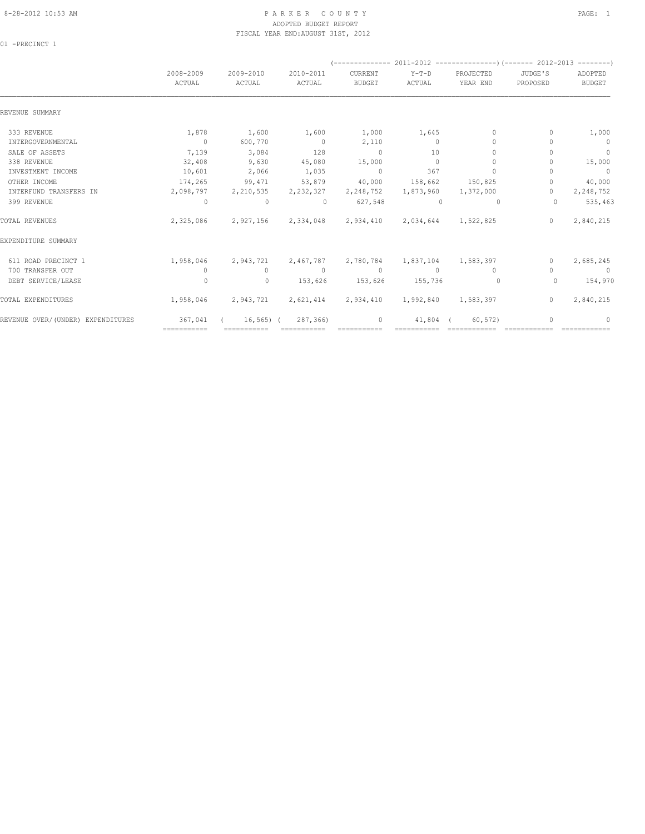# 8-28-2012 10:53 AM P A R K E R C O U N T Y PAGE: 1 ADOPTED BUDGET REPORT FISCAL YEAR END:AUGUST 31ST, 2012

01 -PRECINCT 1

|                                   | 2008-2009<br>ACTUAL | 2009-2010<br>ACTUAL                                         | 2010-2011<br>ACTUAL   | CURRENT<br><b>BUDGET</b> | $Y-T-D$<br>ACTUAL   | PROJECTED<br>YEAR END                             | JUDGE'S<br>PROPOSED | ADOPTED<br><b>BUDGET</b> |
|-----------------------------------|---------------------|-------------------------------------------------------------|-----------------------|--------------------------|---------------------|---------------------------------------------------|---------------------|--------------------------|
| REVENUE SUMMARY                   |                     |                                                             |                       |                          |                     |                                                   |                     |                          |
| 333 REVENUE                       | 1,878               | 1,600                                                       | 1,600                 | 1,000                    | 1,645               | $\Omega$                                          | 0                   | 1,000                    |
| INTERGOVERNMENTAL                 | $\sim$ 0            | 600,770                                                     | $\sim$ 0              | 2,110                    | $\Omega$            | $\begin{array}{c} \n\end{array}$                  | n                   | $\overline{0}$           |
| SALE OF ASSETS                    | 7,139               | 3,084                                                       | 128                   | $\sim$ 0                 | 10                  | $\mathbf{0}$                                      |                     | $\overline{0}$           |
| 338 REVENUE                       | 32,408              | 9,630                                                       | 45,080                | 15,000                   | $\Omega$            | $\mathbf{0}$                                      |                     | 15,000                   |
| INVESTMENT INCOME                 | 10,601              | 2,066                                                       | 1,035                 | $\sim$ 0                 | 367                 | $\bigcap$                                         |                     | $\overline{0}$           |
| OTHER INCOME                      | 174,265             | 99,471                                                      | 53,879                | 40,000                   | 158,662             | 150,825                                           | $\circ$             | 40,000                   |
| INTERFUND TRANSFERS IN            |                     | 2,098,797 2,210,535 2,232,327                               |                       | 2,248,752                | 1,873,960           | 1,372,000                                         | $\Omega$            | 2,248,752                |
| 399 REVENUE                       | $\overline{0}$      | $\sim$ 0                                                    | $\sim$ 0              | 627,548                  | $\sim$ 0            | $\circ$                                           | $\Omega$            | 535,463                  |
| TOTAL REVENUES                    | 2,325,086           |                                                             |                       |                          |                     | 2,927,156 2,334,048 2,934,410 2,034,644 1,522,825 | $\Omega$            | 2,840,215                |
| EXPENDITURE SUMMARY               |                     |                                                             |                       |                          |                     |                                                   |                     |                          |
| 611 ROAD PRECINCT 1               | 1,958,046           | 2,943,721                                                   | 2,467,787 2,780,784   |                          | 1,837,104 1,583,397 |                                                   | $\mathbf{0}$        | 2,685,245                |
| 700 TRANSFER OUT                  | $\circ$             | $\circ$                                                     | $\sim$ 0              | $\sim$ 0                 | $\sim$ 0            | $\Omega$                                          |                     | $\sim$ 0                 |
| DEBT SERVICE/LEASE                | $\Omega$            | $\circ$                                                     | 153,626               | 153,626                  | 155,736             | $\overline{0}$                                    | $\Omega$            | 154,970                  |
| TOTAL EXPENDITURES                |                     | 1,958,046 2,943,721 2,621,414 2,934,410 1,992,840 1,583,397 |                       |                          |                     |                                                   | $\circ$             | 2,840,215                |
| REVENUE OVER/(UNDER) EXPENDITURES | 367,041             |                                                             | $16, 565$ ( 287, 366) | $\circ$                  | 41,804 (            | 60, 572)                                          |                     | 0                        |
|                                   | ============        | ===========                                                 | $=$ ===========       |                          |                     |                                                   |                     |                          |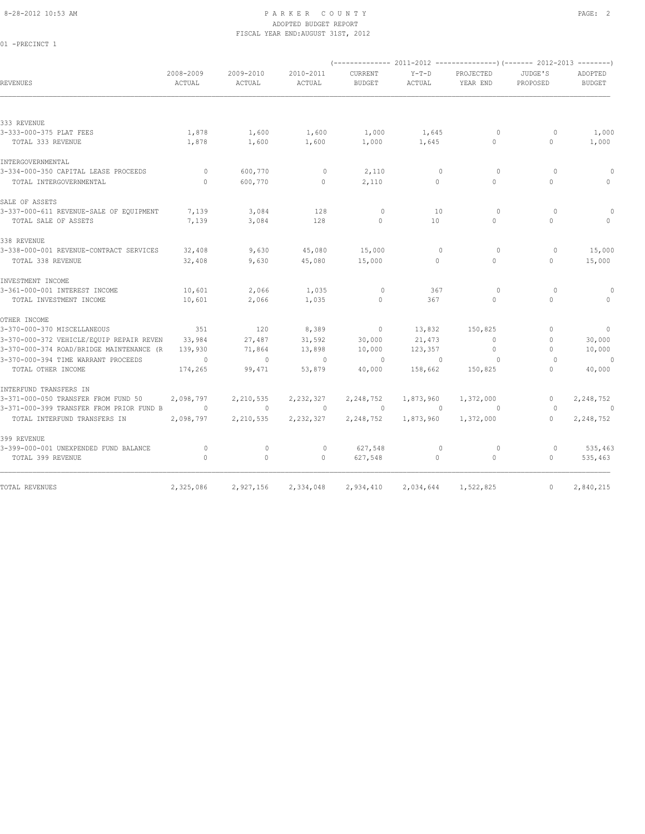01 -PRECINCT 1

# 8-28-2012 10:53 AM PAGE: 2 ADOPTED BUDGET REPORT FISCAL YEAR END:AUGUST 31ST, 2012

| <b>REVENUES</b>                          | 2008-2009<br>ACTUAL | 2009-2010<br>ACTUAL | 2010-2011<br>ACTUAL | <b>CURRENT</b><br><b>BUDGET</b> | $Y-T-D$<br>ACTUAL | PROJECTED<br>YEAR END | JUDGE'S<br>PROPOSED              | ADOPTED<br><b>BUDGET</b>         |
|------------------------------------------|---------------------|---------------------|---------------------|---------------------------------|-------------------|-----------------------|----------------------------------|----------------------------------|
|                                          |                     |                     |                     |                                 |                   |                       |                                  |                                  |
| 333 REVENUE                              |                     |                     |                     |                                 |                   |                       |                                  |                                  |
| 3-333-000-375 PLAT FEES                  | 1,878               | 1,600               | 1,600               | 1,000                           | 1,645             | $\circ$               | $\circ$                          | 1,000                            |
| TOTAL 333 REVENUE                        | 1,878               | 1,600               | 1,600               | 1,000                           | 1,645             | $\Omega$              | $\circ$                          | 1,000                            |
| INTERGOVERNMENTAL                        |                     |                     |                     |                                 |                   |                       |                                  |                                  |
| 3-334-000-350 CAPITAL LEASE PROCEEDS     | $\circ$             | 600,770             | $\mathbf{0}$        | 2,110                           | $\mathbf{0}$      | $\circ$               | $\circ$                          |                                  |
| TOTAL INTERGOVERNMENTAL                  | $\Omega$            | 600,770             | $\circ$             | 2,110                           | $\circ$           | $\Omega$              | $\circ$                          | $\begin{array}{c} \n\end{array}$ |
| SALE OF ASSETS                           |                     |                     |                     |                                 |                   |                       |                                  |                                  |
| 3-337-000-611 REVENUE-SALE OF EQUIPMENT  | 7,139               | 3,084               | 128                 | $\circ$                         | 10                | $\circ$               | $\circ$                          |                                  |
| TOTAL SALE OF ASSETS                     | 7,139               | 3,084               | 128                 | $\mathbf{0}$                    | 10                | $\Omega$              | $\Omega$                         |                                  |
| 338 REVENUE                              |                     |                     |                     |                                 |                   |                       |                                  |                                  |
| 3-338-000-001 REVENUE-CONTRACT SERVICES  | 32,408              | 9,630               | 45,080              | 15,000                          | $\Omega$          | $\circ$               | $\circ$                          | 15,000                           |
| TOTAL 338 REVENUE                        | 32,408              | 9,630               | 45,080              | 15,000                          | $\Omega$          | $\Omega$              | $\Omega$                         | 15,000                           |
| INVESTMENT INCOME                        |                     |                     |                     |                                 |                   |                       |                                  |                                  |
| 3-361-000-001 INTEREST INCOME            | 10,601              | 2,066               | 1,035               | $\circ$                         | 367               | $\circ$               | $\circ$                          | 0                                |
| TOTAL INVESTMENT INCOME                  | 10,601              | 2,066               | 1,035               | $\circ$                         | 367               | $\circ$               | $\circ$                          | $\Omega$                         |
| OTHER INCOME                             |                     |                     |                     |                                 |                   |                       |                                  |                                  |
| 3-370-000-370 MISCELLANEOUS              | 351                 | 120                 | 8,389               | $\mathbf{0}$                    | 13,832            | 150,825               | $\begin{array}{c} \n\end{array}$ | $\circ$                          |
| 3-370-000-372 VEHICLE/EQUIP REPAIR REVEN | 33,984              | 27,487              | 31,592              | 30,000                          | 21,473            | $\Omega$              | $\begin{array}{c} \n\end{array}$ | 30,000                           |
| 3-370-000-374 ROAD/BRIDGE MAINTENANCE (R | 139,930             | 71,864              | 13,898              | 10,000                          | 123,357           | $\Omega$              | $\begin{array}{c} \n\end{array}$ | 10,000                           |
| 3-370-000-394 TIME WARRANT PROCEEDS      | $\Omega$            | $\Omega$            | $\Omega$            | $\Omega$                        | $\Omega$          | $\Omega$              | $\Omega$                         | $\circ$                          |
| TOTAL OTHER INCOME                       | 174,265             | 99,471              | 53,879              | 40,000                          | 158,662           | 150,825               | $\Omega$                         | 40,000                           |
| INTERFUND TRANSFERS IN                   |                     |                     |                     |                                 |                   |                       |                                  |                                  |
| 3-371-000-050 TRANSFER FROM FUND 50      | 2,098,797           | 2,210,535           | 2,232,327           | 2,248,752                       | 1,873,960         | 1,372,000             | 0                                | 2,248,752                        |
| 3-371-000-399 TRANSFER FROM PRIOR FUND B | $\circ$             | $\mathbf{0}$        | $\circ$             | $\circ$                         | $\overline{0}$    | 0                     | $\Omega$                         | 0                                |
| TOTAL INTERFUND TRANSFERS IN             | 2,098,797           | 2,210,535           | 2,232,327           | 2,248,752                       | 1,873,960         | 1,372,000             | $\Omega$                         | 2,248,752                        |
| 399 REVENUE                              |                     |                     |                     |                                 |                   |                       |                                  |                                  |
| 3-399-000-001 UNEXPENDED FUND BALANCE    | $\Omega$            | $\Omega$            | $\mathbf{0}$        | 627,548                         | $\Omega$          | $\circ$               | $\Omega$                         | 535,463                          |
| TOTAL 399 REVENUE                        | $\circ$             | 0                   | 0                   | 627,548                         | $\circ$           | $\circ$               | $\circ$                          | 535,463                          |
|                                          |                     |                     |                     |                                 |                   |                       |                                  |                                  |
| TOTAL REVENUES                           | 2,325,086           | 2,927,156           | 2,334,048           | 2,934,410                       | 2,034,644         | 1,522,825             | $\mathbf{0}$                     | 2,840,215                        |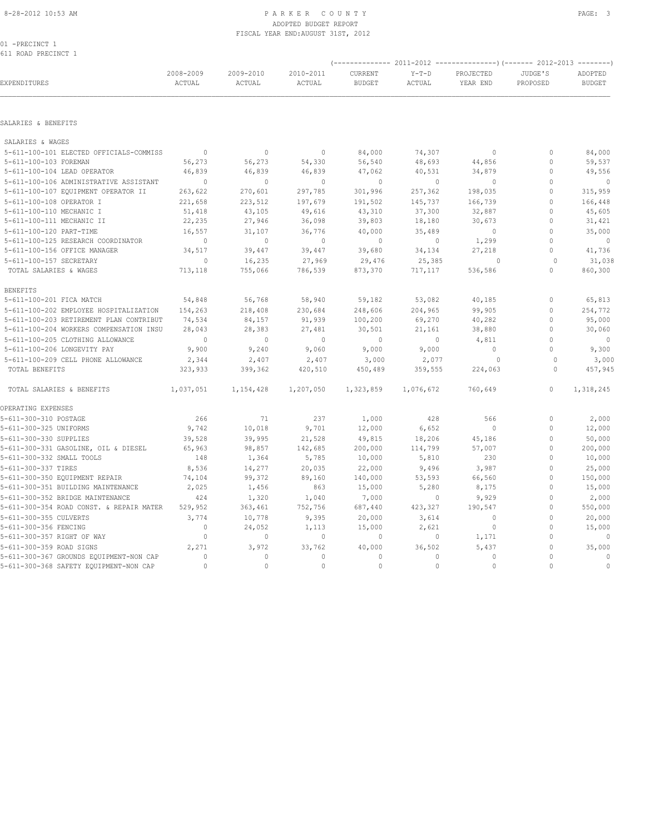# ADOPTED BUDGET REPORT FISCAL YEAR END:AUGUST 31ST, 2012

01 -PRECINCT 1 611 ROAD PRECINCT 1

| EXPENDITURES                             | 2008-2009<br>$\verb ACTUAL $ | 2009-2010<br>ACTUAL | 2010-2011<br>ACTUAL | CURRENT<br><b>BUDGET</b> | $Y-T-D$<br>ACTUAL | PROJECTED<br>YEAR END | JUDGE'S<br>PROPOSED | ADOPTED<br><b>BUDGET</b> |
|------------------------------------------|------------------------------|---------------------|---------------------|--------------------------|-------------------|-----------------------|---------------------|--------------------------|
| SALARIES & BENEFITS                      |                              |                     |                     |                          |                   |                       |                     |                          |
| SALARIES & WAGES                         |                              |                     |                     |                          |                   |                       |                     |                          |
| 5-611-100-101 ELECTED OFFICIALS-COMMISS  | $\sim$ 0                     | $\mathbb O$         | $\mathbb O$         | 84,000                   | 74,307            | $\mathbb O$           | 0                   | 84,000                   |
| 5-611-100-103 FOREMAN                    | 56,273                       | 56,273              | 54,330              | 56,540                   | 48,693            | 44,856                | $\mathbf{0}$        | 59,537                   |
| 5-611-100-104 LEAD OPERATOR              | 46,839                       | 46,839              | 46,839              | 47,062                   | 40,531            | 34,879                | $\mathbf{0}$        | 49,556                   |
| 5-611-100-106 ADMINISTRATIVE ASSISTANT   | $\sim$ 0                     | $\mathbf{0}$        | $\overline{0}$      | $\mathbf{0}$             | $\circ$           | $\mathbf{0}$          | $\mathbf{0}$        | $\overline{\phantom{0}}$ |
| 5-611-100-107 EQUIPMENT OPERATOR II      | 263,622                      | 270,601             | 297,785             | 301,996                  | 257,362           | 198,035               | $\mathbf{0}$        | 315,959                  |
| 5-611-100-108 OPERATOR I                 | 221,658                      | 223,512             | 197,679             | 191,502                  | 145,737           | 166,739               | $\mathbf{0}$        | 166,448                  |
| 5-611-100-110 MECHANIC I                 | 51,418                       | 43,105              | 49,616              | 43,310                   | 37,300            | 32,887                | $\Omega$            | 45,605                   |
| 5-611-100-111 MECHANIC II                | 22,235                       | 27,946              | 36,098              | 39,803                   | 18,180            | 30,673                | $\mathbf{0}$        | 31,421                   |
| 5-611-100-120 PART-TIME                  | 16,557                       | 31,107              | 36,776              | 40,000                   | 35,489            | $\circ$               | $\mathbf{0}$        | 35,000                   |
| 5-611-100-125 RESEARCH COORDINATOR       | $\circ$                      | $\mathbf{0}$        | $\Omega$            | $\mathbf{0}$             | $\circ$           | 1,299                 | $\Omega$            | $\overline{0}$           |
| 5-611-100-156 OFFICE MANAGER             | 34,517                       | 39,447              | 39,447              | 39,680                   | 34,134            | 27,218                | $\circ$             | 41,736                   |
| 5-611-100-157 SECRETARY                  | $\circ$                      | 16,235              | 27,969              | 29,476                   | 25,385            | $\circ$               | $\Omega$            | 31,038                   |
| TOTAL SALARIES & WAGES                   | 713,118                      | 755,066             | 786,539             | 873,370                  | 717,117           | 536,586               | $\mathbf{0}$        | 860,300                  |
| <b>BENEFITS</b>                          |                              |                     |                     |                          |                   |                       |                     |                          |
| 5-611-100-201 FICA MATCH                 | 54,848                       | 56,768              | 58,940              | 59,182                   | 53,082            | 40,185                | $\mathbf{0}$        | 65,813                   |
| 5-611-100-202 EMPLOYEE HOSPITALIZATION   | 154,263                      | 218,408             | 230,684             | 248,606                  | 204,965           | 99,905                | $\mathbf{0}$        | 254,772                  |
| 5-611-100-203 RETIREMENT PLAN CONTRIBUT  | 74,534                       | 84,157              | 91,939              | 100,200                  | 69,270            | 40,282                | $\mathbf{0}$        | 95,000                   |
| 5-611-100-204 WORKERS COMPENSATION INSU  | 28,043                       | 28,383              | 27,481              | 30,501                   | 21,161            | 38,880                | $\mathbf{0}$        | 30,060                   |
| 5-611-100-205 CLOTHING ALLOWANCE         | $\mathbb O$                  | $\mathbf{0}$        | $\mathbf{0}$        | $\mathbb O$              | $\circ$           | 4,811                 | $\mathbf{0}$        | $\sim$ 0                 |
| 5-611-100-206 LONGEVITY PAY              | 9,900                        | 9,240               | 9,060               | 9,000                    | 9,000             | $\circ$               | $\Omega$            | 9,300                    |
| 5-611-100-209 CELL PHONE ALLOWANCE       | 2,344                        | 2,407               | 2,407               | 3,000                    | 2,077             | $\circ$               | $\Omega$            | 3,000                    |
| TOTAL BENEFITS                           | 323,933                      | 399,362             | 420,510             | 450,489                  | 359,555           | 224,063               | $\Omega$            | 457,945                  |
| TOTAL SALARIES & BENEFITS                | 1,037,051                    | 1,154,428           | 1,207,050           | 1,323,859                | 1,076,672         | 760,649               | $\mathbf{0}$        | 1,318,245                |
| OPERATING EXPENSES                       |                              |                     |                     |                          |                   |                       |                     |                          |
| 5-611-300-310 POSTAGE                    | 266                          | 71                  | 237                 | 1,000                    | 428               | 566                   | $\mathbf{0}$        | 2,000                    |
| 5-611-300-325 UNIFORMS                   | 9,742                        | 10,018              | 9,701               | 12,000                   | 6,652             | $\circ$               | $\mathbf{0}$        | 12,000                   |
| 5-611-300-330 SUPPLIES                   | 39,528                       | 39,995              | 21,528              | 49,815                   | 18,206            | 45,186                | $\mathbf{0}$        | 50,000                   |
| 5-611-300-331 GASOLINE, OIL & DIESEL     | 65,963                       | 98,857              | 142,685             | 200,000                  | 114,799           | 57,007                | $\mathbf{0}$        | 200,000                  |
| 5-611-300-332 SMALL TOOLS                | 148                          | 1,364               | 5,785               | 10,000                   | 5,810             | 230                   | $\mathbf{0}$        | 10,000                   |
| 5-611-300-337 TIRES                      | 8,536                        | 14,277              | 20,035              | 22,000                   | 9,496             | 3,987                 | $\mathbf{0}$        | 25,000                   |
| 5-611-300-350 EQUIPMENT REPAIR           | 74,104                       | 99,372              | 89,160              | 140,000                  | 53,593            | 66,560                | $\mathbf 0$         | 150,000                  |
| 5-611-300-351 BUILDING MAINTENANCE       | 2,025                        | 1,456               | 863                 | 15,000                   | 5,280             | 8,175                 | $\mathbf{0}$        | 15,000                   |
| 5-611-300-352 BRIDGE MAINTENANCE         | 424                          | 1,320               | 1,040               | 7,000                    | $\circ$           | 9,929                 | $\mathbf{0}$        | 2,000                    |
| 5-611-300-354 ROAD CONST. & REPAIR MATER | 529,952                      | 363,461             | 752,756             | 687,440                  | 423,327           | 190,547               | $\circ$             | 550,000                  |
| 5-611-300-355 CULVERTS                   | 3,774                        | 10,778              | 9,395               | 20,000                   | 3,614             | $\mathbf{0}$          | $\mathbf{0}$        | 20,000                   |
| 5-611-300-356 FENCING                    | $\mathbf{0}$                 | 24,052              | 1,113               | 15,000                   | 2,621             | $\circ$               | $\mathbf{0}$        | 15,000                   |
| 5-611-300-357 RIGHT OF WAY               | $\circ$                      | $\circ$             | $\circ$             | $\mathbf 0$              | 0                 | 1,171                 | $\mathbf 0$         | $\overline{0}$           |
| 5-611-300-359 ROAD SIGNS                 | 2,271                        | 3,972               | 33,762              | 40,000                   | 36,502            | 5,437                 | $\mathbf{0}$        | 35,000                   |
| 5-611-300-367 GROUNDS EQUIPMENT-NON CAP  | $\mathbf{0}$                 | $\mathbf{0}$        | $\mathbf{0}$        | $\circ$                  | $\circ$           | $\circ$               | $\theta$            | $\mathbf{0}$             |
| 5-611-300-368 SAFETY EQUIPMENT-NON CAP   | $\Omega$                     | $\Omega$            | $\Omega$            | $\Omega$                 | $\Omega$          | $\theta$              | $\theta$            | $\mathbf{0}$             |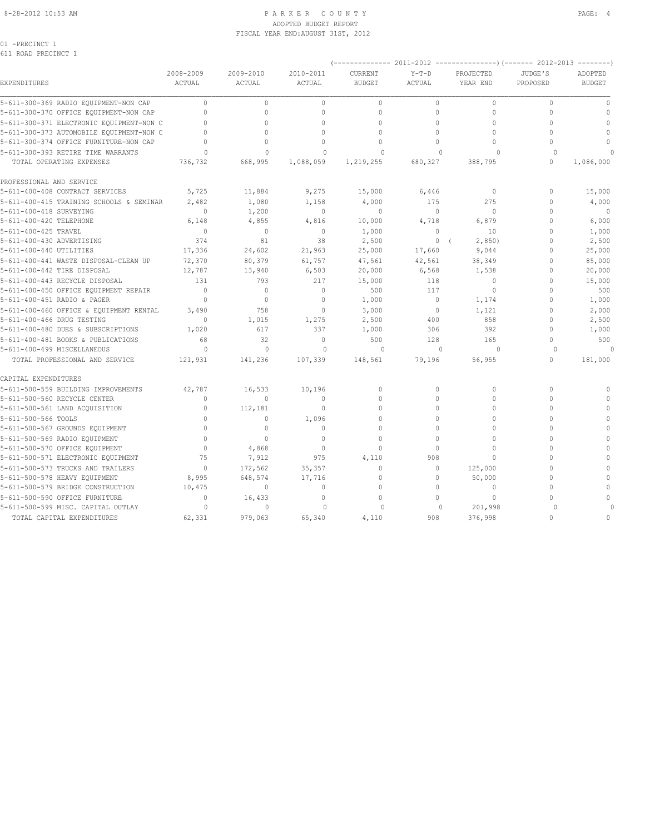#### 8-28-2012 10:53 AM P A R K E R C O U N T Y PAGE: 4 ADOPTED BUDGET REPORT FISCAL YEAR END:AUGUST 31ST, 2012

01 -PRECINCT 1

|                                          | 2008-2009    | 2009-2010    | 2010-2011    | CURRENT       | $Y-T-D$      | PROJECTED            | JUDGE'S      | ADOPTED       |
|------------------------------------------|--------------|--------------|--------------|---------------|--------------|----------------------|--------------|---------------|
| EXPENDITURES                             | ACTUAL       | ACTUAL       | ACTUAL       | <b>BUDGET</b> | ACTUAL       | YEAR END             | PROPOSED     | <b>BUDGET</b> |
| 5-611-300-369 RADIO EQUIPMENT-NON CAP    | $\circ$      | $\mathbf{0}$ | $\circ$      | $\circ$       | $\circ$      | $\circ$              | $\mathbf{0}$ | $\mathbb O$   |
| 5-611-300-370 OFFICE EQUIPMENT-NON CAP   | $\mathbf{0}$ | $\mathbf 0$  | $\mathbf{0}$ | $\circ$       | $\mathbf 0$  | 0                    | $\mathbf 0$  | $\mathbf{0}$  |
| 5-611-300-371 ELECTRONIC EQUIPMENT-NON C | $\Omega$     | $\Omega$     | $\Omega$     | $\Omega$      | $\mathbf 0$  | $\Omega$             | $\Omega$     | $\mathbf{0}$  |
| 5-611-300-373 AUTOMOBILE EQUIPMENT-NON C |              | $\Omega$     | $\cap$       | $\Omega$      | $\Omega$     | $\Omega$             | $\cap$       | $\mathbf{0}$  |
| 5-611-300-374 OFFICE FURNITURE-NON CAP   | $\cap$       | $\Omega$     | $\Omega$     | $\Omega$      | $\Omega$     | $\Omega$             | $\Omega$     | $\Omega$      |
| 5-611-300-393 RETIRE TIME WARRANTS       | $\Omega$     | $\Omega$     | $\Omega$     | $\Omega$      | $\Omega$     | $\cap$               | $\Omega$     |               |
| TOTAL OPERATING EXPENSES                 | 736,732      | 668,995      | 1,088,059    | 1,219,255     | 680,327      | 388,795              | $\Omega$     | 1,086,000     |
| PROFESSIONAL AND SERVICE                 |              |              |              |               |              |                      |              |               |
| 5-611-400-408 CONTRACT SERVICES          | 5,725        | 11,884       | 9,275        | 15,000        | 6,446        | 0                    | 0            | 15,000        |
| 5-611-400-415 TRAINING SCHOOLS & SEMINAR | 2,482        | 1,080        | 1,158        | 4,000         | 175          | 275                  | $\mathbf 0$  | 4,000         |
| 5-611-400-418 SURVEYING                  | $\mathbf{0}$ | 1,200        | $\mathbf 0$  | $\mathbf{0}$  | $\circ$      | $\circ$              | $\Omega$     | $\mathbf{0}$  |
| 5-611-400-420 TELEPHONE                  | 6,148        | 4,855        | 4,816        | 10,000        | 4,718        | 6,879                | $\Omega$     | 6,000         |
| 5-611-400-425 TRAVEL                     | $\circ$      | $\circ$      | $\mathbf{0}$ | 1,000         | $\mathbf 0$  | 10                   | $\Omega$     | 1,000         |
| 5-611-400-430 ADVERTISING                | 374          | 81           | 38           | 2,500         | $\circ$      | 2,850)<br>$\sqrt{ }$ | $\Omega$     | 2,500         |
| 5-611-400-440 UTILITIES                  | 17,336       | 24,602       | 21,963       | 25,000        | 17,660       | 9,044                | $\mathbf 0$  | 25,000        |
| 5-611-400-441 WASTE DISPOSAL-CLEAN UP    | 72,370       | 80,379       | 61,757       | 47,561        | 42,561       | 38,349               | $\Omega$     | 85,000        |
| 5-611-400-442 TIRE DISPOSAL              | 12,787       | 13,940       | 6,503        | 20,000        | 6,568        | 1,538                | 0            | 20,000        |
| 5-611-400-443 RECYCLE DISPOSAL           | 131          | 793          | 217          | 15,000        | 118          | $\mathbf{0}$         | $\Omega$     | 15,000        |
| 5-611-400-450 OFFICE EQUIPMENT REPAIR    | $\Omega$     | $\circ$      | $\mathbf{0}$ | 500           | 117          | $\Omega$             | $\Omega$     | 500           |
| 5-611-400-451 RADIO & PAGER              | $\Omega$     | $\circ$      | $\mathbf{0}$ | 1,000         | $\circ$      | 1,174                | $\Omega$     | 1,000         |
| 5-611-400-460 OFFICE & EQUIPMENT RENTAL  | 3,490        | 758          | $\mathbf{0}$ | 3,000         | $\circ$      | 1,121                | $\Omega$     | 2,000         |
| 5-611-400-466 DRUG TESTING               | $\Omega$     | 1,015        | 1,275        | 2,500         | 400          | 858                  | $\Omega$     | 2,500         |
| 5-611-400-480 DUES & SUBSCRIPTIONS       | 1,020        | 617          | 337          | 1,000         | 306          | 392                  | $\mathbf 0$  | 1,000         |
| 5-611-400-481 BOOKS & PUBLICATIONS       | 68           | 32           | $\mathbf{0}$ | 500           | 128          | 165                  | $\Omega$     | 500           |
| 5-611-400-499 MISCELLANEOUS              | $\circ$      | $\mathbf{0}$ | $\circ$      | $\Omega$      | $\mathbf{0}$ | $\circ$              | $\Omega$     |               |
| TOTAL PROFESSIONAL AND SERVICE           | 121,931      | 141,236      | 107,339      | 148,561       | 79,196       | 56,955               | $\circ$      | 181,000       |
| CAPITAL EXPENDITURES                     |              |              |              |               |              |                      |              |               |
| 5-611-500-559 BUILDING IMPROVEMENTS      | 42,787       | 16,533       | 10,196       | $\mathbf{0}$  | $\circ$      | 0                    | $\mathbf 0$  | $\mathbf{0}$  |
| 5-611-500-560 RECYCLE CENTER             | $\Omega$     | $\mathbf 0$  | $\Omega$     | $\mathbf{0}$  | $\circ$      | 0                    | $\Omega$     | $\Omega$      |
| 5-611-500-561 LAND ACQUISITION           | $\mathbf{0}$ | 112,181      | $\mathbf{0}$ | $\Omega$      | $\Omega$     | $\Omega$             | $\Omega$     | $\mathbf{0}$  |
| 5-611-500-566 TOOLS                      | $\bigcap$    | $\mathbf{0}$ | 1,096        | $\Omega$      | $\Omega$     | $\Omega$             | $\cap$       | $\Omega$      |
| 5-611-500-567 GROUNDS EQUIPMENT          | $\Omega$     | $\mathbf{0}$ | $\mathbf{0}$ | $\Omega$      | $\Omega$     | $\Omega$             | $\cap$       | $\Omega$      |
| 5-611-500-569 RADIO EQUIPMENT            | $\Omega$     | $\Omega$     | $\Omega$     | $\Omega$      | $\Omega$     | $\Omega$             | $\cap$       | $\mathbf{0}$  |
| 5-611-500-570 OFFICE EQUIPMENT           | $\Omega$     | 4,868        | $\mathbf{0}$ | $\mathbf{0}$  | $\Omega$     | $\Omega$             | $\cap$       | $\Omega$      |
| 5-611-500-571 ELECTRONIC EQUIPMENT       | 75           | 7,912        | 975          | 4,110         | 908          | $\Omega$             | $\Omega$     | $\Omega$      |
| 5-611-500-573 TRUCKS AND TRAILERS        | $\Omega$     | 172,562      | 35,357       | $\Omega$      | $\Omega$     | 125,000              | $\Omega$     | $\Omega$      |
| 5-611-500-578 HEAVY EQUIPMENT            | 8,995        | 648,574      | 17,716       | $\mathbf{0}$  | $\circ$      | 50,000               | $\mathbf 0$  | $\mathbf{0}$  |
| 5-611-500-579 BRIDGE CONSTRUCTION        | 10,475       | $\mathbb O$  | $\mathbf{0}$ | $\Omega$      | $\Omega$     | $\circ$              | $\Omega$     | $\mathbb O$   |
| 5-611-500-590 OFFICE FURNITURE           | $\mathbf{0}$ | 16,433       | $\circ$      | $\Omega$      | $\Omega$     | $\Omega$             |              | $\Omega$      |
| 5-611-500-599 MISC. CAPITAL OUTLAY       | $\Omega$     | $\Omega$     | $\Omega$     | $\Omega$      | $\mathbf{0}$ | 201,998              | $\cap$       | $\Omega$      |

TOTAL CAPITAL EXPENDITURES 62,331 979,063 65,340 4,110 908 376,998 0 0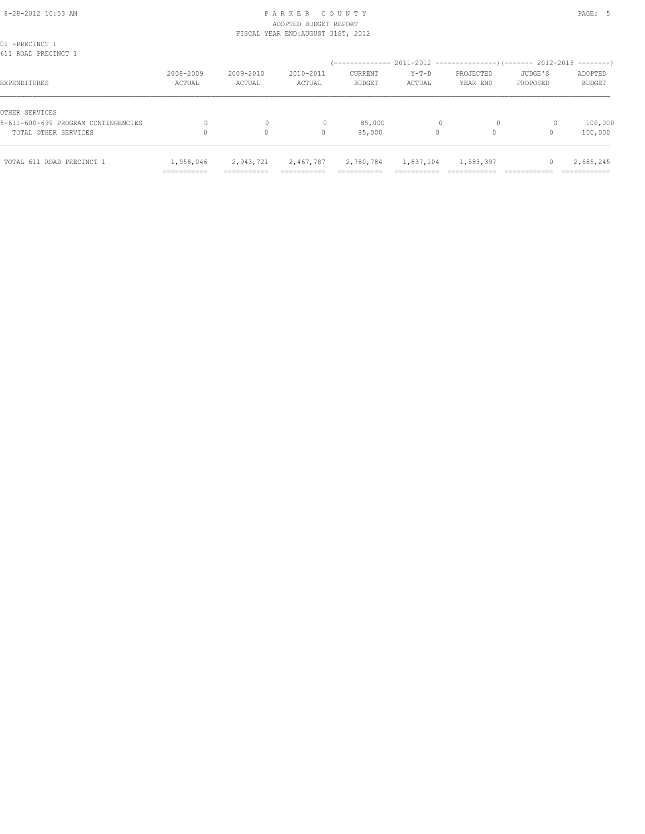# 8-28-2012 10:53 AM P A R K E R C O U N T Y PAGE: 5 ADOPTED BUDGET REPORT FISCAL YEAR END:AUGUST 31ST, 2012

| TOTAL 611 ROAD PRECINCT 1                             | 1,958,046<br>=========== | 2,943,721<br>=========== | 2,467,787<br>_________ | 2,780,784<br>__________<br>=========== | 1,837,104<br>------- | 1,583,397             |                                                 | 2,685,245<br>___________ |
|-------------------------------------------------------|--------------------------|--------------------------|------------------------|----------------------------------------|----------------------|-----------------------|-------------------------------------------------|--------------------------|
| TOTAL OTHER SERVICES                                  |                          | $\circ$                  | 0                      | 85,000                                 | 0                    | $\Omega$              |                                                 | 100,000                  |
| OTHER SERVICES<br>5-611-600-699 PROGRAM CONTINGENCIES |                          | 0                        |                        | 85,000                                 |                      | $\Omega$              |                                                 | 100,000                  |
| EXPENDITURES                                          | 2008-2009<br>ACTUAL      | 2009-2010<br>ACTUAL      | 2010-2011<br>ACTUAL    | CURRENT<br><b>BUDGET</b>               | Y-T-D<br>ACTUAL      | PROJECTED<br>YEAR END | JUDGE'S<br>PROPOSED                             | ADOPTED<br><b>BUDGET</b> |
| 01 -PRECINCT 1<br>611 ROAD PRECINCT 1                 |                          |                          |                        | / ______________                       |                      |                       | 2011-2012 -----------------) (------- 2012-2013 |                          |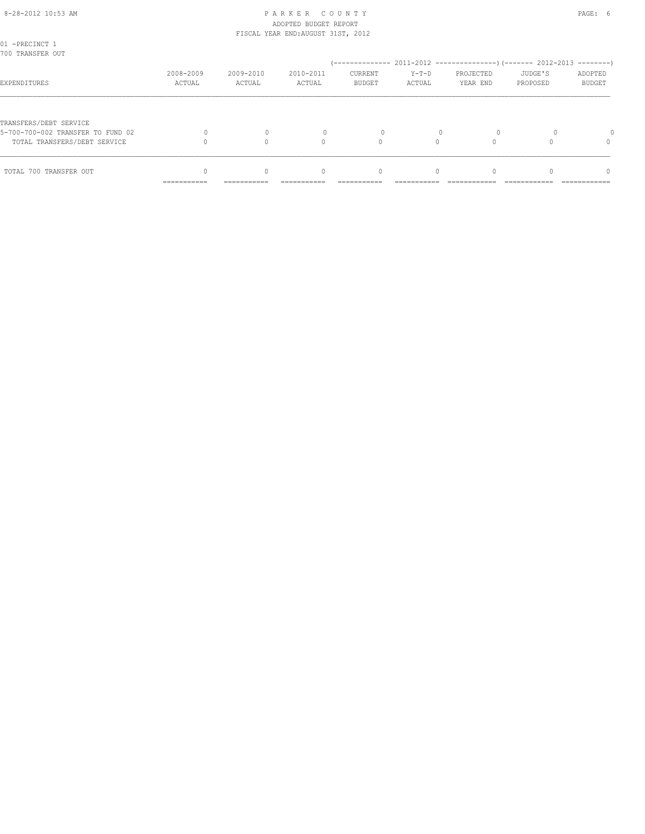# 8-28-2012 10:53 AM PAGE: 6 ADOPTED BUDGET REPORT FISCAL YEAR END:AUGUST 31ST, 2012

| TOTAL 700 TRANSFER OUT                                                                      |                     | $\Omega$            | $\begin{array}{c} \n\end{array}$ | $\mathbf{0}$             | $\Omega$          |                       |                     | $\Omega$          |
|---------------------------------------------------------------------------------------------|---------------------|---------------------|----------------------------------|--------------------------|-------------------|-----------------------|---------------------|-------------------|
| TRANSFERS/DEBT SERVICE<br>5-700-700-002 TRANSFER TO FUND 02<br>TOTAL TRANSFERS/DEBT SERVICE |                     |                     | $\bigcap$                        |                          |                   |                       |                     | $\Omega$          |
|                                                                                             |                     |                     |                                  |                          |                   |                       |                     |                   |
| EXPENDITURES                                                                                | 2008-2009<br>ACTUAL | 2009-2010<br>ACTUAL | 2010-2011<br>ACTUAL              | CURRENT<br><b>BUDGET</b> | $Y-T-D$<br>ACTUAL | PROJECTED<br>YEAR END | JUDGE'S<br>PROPOSED | ADOPTED<br>BUDGET |
| 01 -PRECINCT 1<br>700 TRANSFER OUT                                                          |                     |                     |                                  |                          |                   |                       |                     |                   |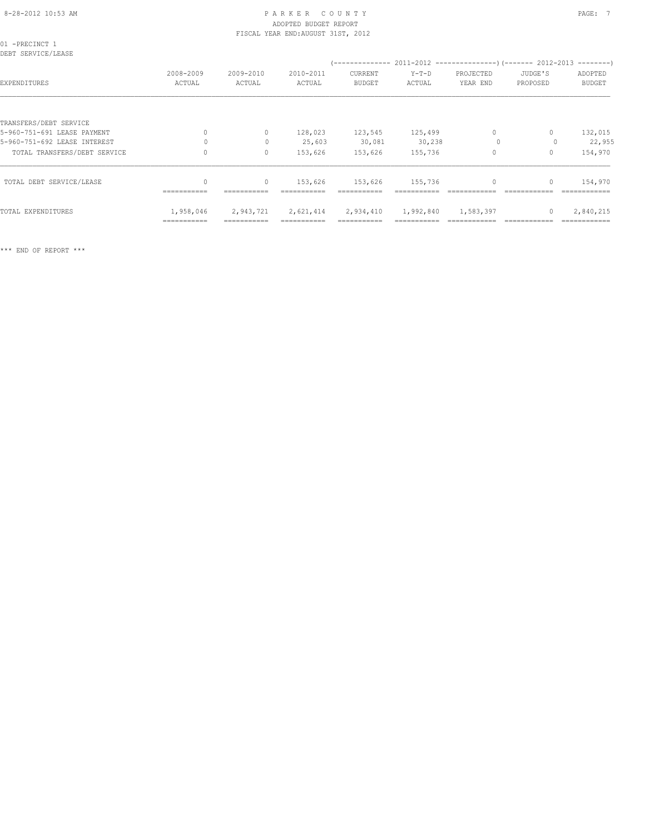# 8-28-2012 10:53 AM PAGE: 7 ADOPTED BUDGET REPORT FISCAL YEAR END:AUGUST 31ST, 2012

| 01 -PRECINCT 1<br>DEBT SERVICE/LEASE |                     |                     |                     |                               |                   |                       |                     |                          |  |  |
|--------------------------------------|---------------------|---------------------|---------------------|-------------------------------|-------------------|-----------------------|---------------------|--------------------------|--|--|
| EXPENDITURES                         | 2008-2009<br>ACTUAL | 2009-2010<br>ACTUAL | 2010-2011<br>ACTUAL | CURRENT<br><b>BUDGET</b>      | $Y-T-D$<br>ACTUAL | PROJECTED<br>YEAR END | JUDGE'S<br>PROPOSED | ADOPTED<br><b>BUDGET</b> |  |  |
| TRANSFERS/DEBT SERVICE               |                     |                     |                     |                               |                   |                       |                     |                          |  |  |
| 5-960-751-691 LEASE PAYMENT          | 0                   | $\circ$             | 128,023             | 123,545                       | 125,499           | $\circ$               | $\mathbf{0}$        | 132,015                  |  |  |
| 5-960-751-692 LEASE INTEREST         | $\Omega$            | $\mathbf{0}$        | 25,603              | 30,081                        | 30, 238           | $\circ$               |                     | 22,955                   |  |  |
| TOTAL TRANSFERS/DEBT SERVICE         |                     | $\circ$             | 153,626             | 153,626                       | 155,736           | $\mathbf{0}$          | $\mathbf{0}$        | 154,970                  |  |  |
| TOTAL DEBT SERVICE/LEASE             | $\mathbf{0}$        | $\circ$             | 153,626             | 153,626                       | 155,736           | $\circ$               | $\mathbf{0}$        | 154,970                  |  |  |
|                                      | ===========         | ===========         | ===========         | ===========                   |                   |                       |                     | =============            |  |  |
| TOTAL EXPENDITURES                   | 1,958,046           | 2,943,721           |                     | 2,621,414 2,934,410 1,992,840 |                   | 1,583,397             | $\mathbf{0}$        | 2,840,215                |  |  |
|                                      | ===========         |                     | ===========         |                               |                   |                       |                     |                          |  |  |

\*\*\* END OF REPORT \*\*\*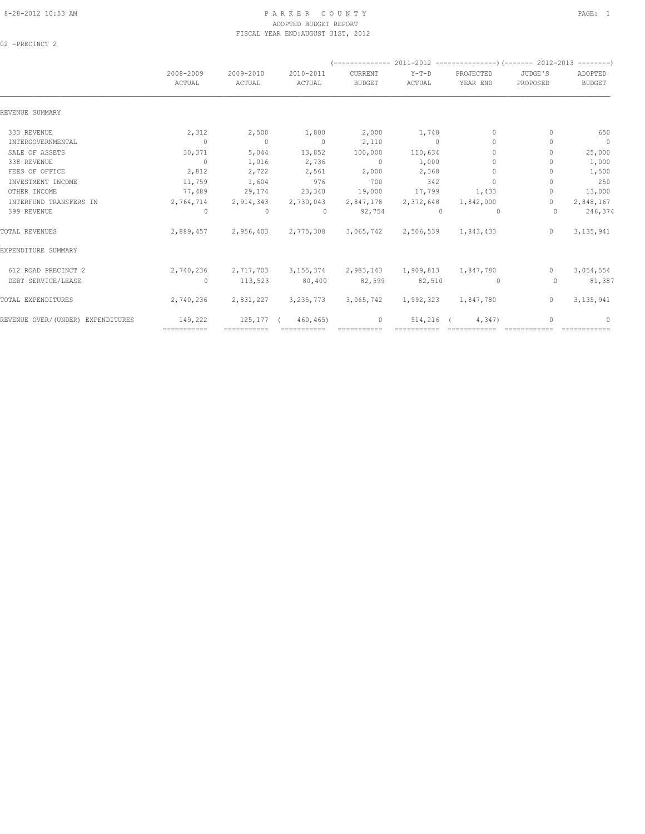# 8-28-2012 10:53 AM P A R K E R C O U N T Y PAGE: 1 ADOPTED BUDGET REPORT FISCAL YEAR END:AUGUST 31ST, 2012

02 -PRECINCT 2

|                                   | 2008-2009<br>ACTUAL | 2009-2010<br>ACTUAL | 2010-2011<br>ACTUAL                               | CURRENT<br><b>BUDGET</b> | $Y-T-D$<br>ACTUAL | PROJECTED<br>YEAR END            | JUDGE'S<br>PROPOSED              | ADOPTED<br><b>BUDGET</b> |  |
|-----------------------------------|---------------------|---------------------|---------------------------------------------------|--------------------------|-------------------|----------------------------------|----------------------------------|--------------------------|--|
| REVENUE SUMMARY                   |                     |                     |                                                   |                          |                   |                                  |                                  |                          |  |
| 333 REVENUE                       | 2,312               | 2,500               | 1,800                                             | 2,000                    | 1,748             | $\mathbf{0}$                     | $\Omega$                         | 650                      |  |
| INTERGOVERNMENTAL                 | $\bigcirc$          | $\sim$ 0            | $\sim$ 0                                          | 2,110                    | $\overline{0}$    | $\Omega$                         | n                                | $\overline{0}$           |  |
| SALE OF ASSETS                    | 30,371              | 5,044               | 13,852                                            | 100,000                  | 110,634           | $\cap$                           | n                                | 25,000                   |  |
| 338 REVENUE                       | $\overline{0}$      | 1,016               | 2,736                                             | $\sim$ 0                 | 1,000             | $\mathbf{0}$                     |                                  | 1,000                    |  |
| FEES OF OFFICE                    | 2,812               | 2,722               | 2,561                                             | 2,000                    | 2,368             | $\begin{array}{c} \n\end{array}$ |                                  | 1,500                    |  |
| INVESTMENT INCOME                 | 11,759              | 1,604               | 976                                               | 700                      | 342               | $\begin{array}{c} \n\end{array}$ | n                                | 250                      |  |
| OTHER INCOME                      | 77,489              | 29,174              | 23,340                                            | 19,000                   | 17,799            | 1,433                            | $\begin{array}{c} \n\end{array}$ | 13,000                   |  |
| INTERFUND TRANSFERS IN            | 2,764,714           | 2,914,343           | 2,730,043                                         | 2,847,178                | 2,372,648         | 1,842,000                        | $\Omega$                         | 2,848,167                |  |
| 399 REVENUE                       | $\circ$             | $\circ$             | $\overline{0}$                                    | 92,754                   | $\Omega$          | $\Omega$                         | $\Omega$                         | 246,374                  |  |
| TOTAL REVENUES                    | 2,889,457           | 2,956,403           | 2,775,308                                         | 3,065,742                | 2,506,539         | 1,843,433                        | $\Omega$                         | 3,135,941                |  |
| EXPENDITURE SUMMARY               |                     |                     |                                                   |                          |                   |                                  |                                  |                          |  |
| 612 ROAD PRECINCT 2               | 2,740,236           |                     | 2,717,703 3,155,374 2,983,143 1,909,813 1,847,780 |                          |                   |                                  | $\circ$                          | 3,054,554                |  |
| DEBT SERVICE/LEASE                | $\circ$             | 113,523             | 80,400                                            | 82,599                   | 82,510            | $\circ$                          | $\circ$                          | 81,387                   |  |
| TOTAL EXPENDITURES                | 2,740,236           | 2,831,227           | 3, 235, 773                                       | 3,065,742                | 1,992,323         | 1,847,780                        | $\circ$                          | 3, 135, 941              |  |
| REVENUE OVER/(UNDER) EXPENDITURES | 149,222             | $125, 177$ (        | 460, 465                                          | $\mathbf{0}$             | $514, 216$ (      | 4,347)                           |                                  | 0                        |  |
|                                   | ============        | ===========         | ===========                                       | ===========              |                   |                                  |                                  |                          |  |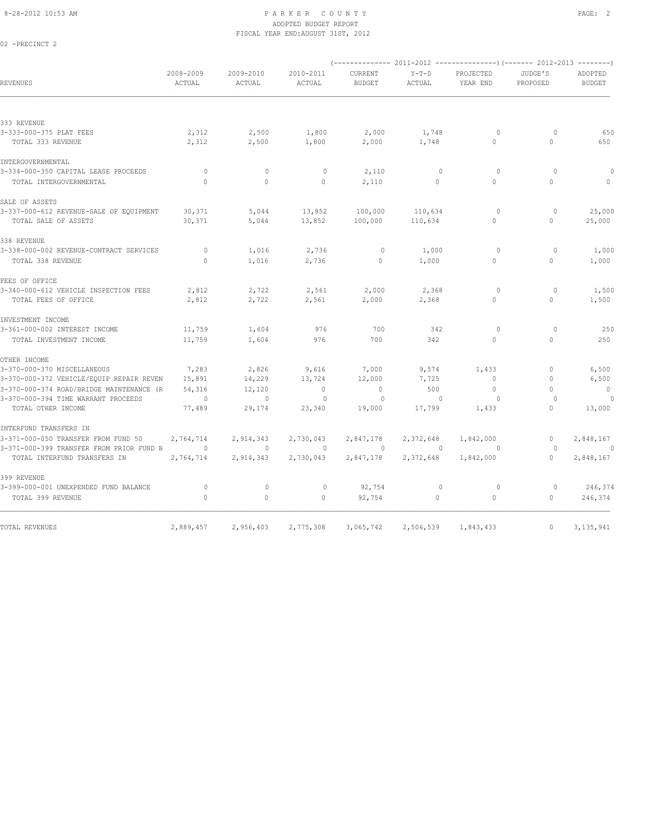02 -PRECINCT 2

#### 8-28-2012 10:53 AM PAGE: 2 ADOPTED BUDGET REPORT FISCAL YEAR END:AUGUST 31ST, 2012

|                                          |                     |                     |                     |                          |                   | (------------- 2011-2012 ---------------) (------- 2012-2013 --------) |                     |                          |
|------------------------------------------|---------------------|---------------------|---------------------|--------------------------|-------------------|------------------------------------------------------------------------|---------------------|--------------------------|
| REVENUES                                 | 2008-2009<br>ACTUAL | 2009-2010<br>ACTUAL | 2010-2011<br>ACTUAL | CURRENT<br><b>BUDGET</b> | $Y-T-D$<br>ACTUAL | PROJECTED<br>YEAR END                                                  | JUDGE'S<br>PROPOSED | ADOPTED<br><b>BUDGET</b> |
|                                          |                     |                     |                     |                          |                   |                                                                        |                     |                          |
| 333 REVENUE                              |                     |                     |                     |                          |                   |                                                                        |                     |                          |
| 3-333-000-375 PLAT FEES                  | 2,312               | 2,500               | 1,800               | 2,000                    | 1,748             | $\circ$                                                                | $\circ$             | 650                      |
| TOTAL 333 REVENUE                        | 2,312               | 2,500               | 1,800               | 2,000                    | 1,748             | $\Omega$                                                               | $\Omega$            | 650                      |
| INTERGOVERNMENTAL                        |                     |                     |                     |                          |                   |                                                                        |                     |                          |
| 3-334-000-350 CAPITAL LEASE PROCEEDS     | 0                   | $\mathbf 0$         | 0                   | 2,110                    | $\mathbf 0$       | $\circ$                                                                | $\circ$             | 0                        |
| TOTAL INTERGOVERNMENTAL                  | $\circ$             | $\circ$             | $\circ$             | 2,110                    | $\circ$           | $\Omega$                                                               | $\circ$             | $\mathbf{0}$             |
| SALE OF ASSETS                           |                     |                     |                     |                          |                   |                                                                        |                     |                          |
| 3-337-000-612 REVENUE-SALE OF EQUIPMENT  | 30,371              | 5,044               | 13,852              | 100,000                  | 110,634           | $\circ$                                                                | $\circ$             | 25,000                   |
| TOTAL SALE OF ASSETS                     | 30,371              | 5,044               | 13,852              | 100,000                  | 110,634           | $\circ$                                                                | $\mathbf{0}$        | 25,000                   |
| 338 REVENUE                              |                     |                     |                     |                          |                   |                                                                        |                     |                          |
| 3-338-000-002 REVENUE-CONTRACT SERVICES  | 0                   | 1,016               | 2,736               | 0                        | 1,000             | 0                                                                      | 0                   | 1,000                    |
| TOTAL 338 REVENUE                        | $\mathbf{0}$        | 1,016               | 2,736               | $\circ$                  | 1,000             | $\circ$                                                                | 0                   | 1,000                    |
| FEES OF OFFICE                           |                     |                     |                     |                          |                   |                                                                        |                     |                          |
| 3-340-000-612 VEHICLE INSPECTION FEES    | 2,812               | 2,722               | 2,561               | 2,000                    | 2,368             | $\circ$                                                                | $\circ$             | 1,500                    |
| TOTAL FEES OF OFFICE                     | 2,812               | 2,722               | 2,561               | 2,000                    | 2,368             | $\circ$                                                                | $\circ$             | 1,500                    |
| INVESTMENT INCOME                        |                     |                     |                     |                          |                   |                                                                        |                     |                          |
| 3-361-000-002 INTEREST INCOME            | 11,759              | 1,604               | 976                 | 700                      | 342               | $\circ$                                                                | $\circ$             | 250                      |
| TOTAL INVESTMENT INCOME                  | 11,759              | 1,604               | 976                 | 700                      | 342               | $\circ$                                                                | $\mathbf{0}$        | 250                      |
| OTHER INCOME                             |                     |                     |                     |                          |                   |                                                                        |                     |                          |
| 3-370-000-370 MISCELLANEOUS              | 7,283               | 2,826               | 9,616               | 7,000                    | 9,574             | 1,433                                                                  | 0                   | 6,500                    |
| 3-370-000-372 VEHICLE/EQUIP REPAIR REVEN | 15,891              | 14,229              | 13,724              | 12,000                   | 7,725             | $\mathbf{0}$                                                           | $\mathbf{0}$        | 6,500                    |
| 3-370-000-374 ROAD/BRIDGE MAINTENANCE (R | 54,316              | 12,120              | $\circ$             | $\circ$                  | 500               | $\mathbf{0}$                                                           | $\Omega$            | $\overline{0}$           |
| 3-370-000-394 TIME WARRANT PROCEEDS      | $\circ$             | $\mathbf{0}$        | $\mathbf{0}$        | $\circ$                  | $\mathbf{0}$      | $\circ$                                                                | $\Omega$            | $\overline{0}$           |
| TOTAL OTHER INCOME                       | 77,489              | 29,174              | 23,340              | 19,000                   | 17,799            | 1,433                                                                  | $\Omega$            | 13,000                   |
| INTERFUND TRANSFERS IN                   |                     |                     |                     |                          |                   |                                                                        |                     |                          |
| 3-371-000-050 TRANSFER FROM FUND 50      | 2,764,714           | 2,914,343           | 2,730,043           | 2,847,178                | 2,372,648         | 1,842,000                                                              | $\circ$             | 2,848,167                |
| 3-371-000-399 TRANSFER FROM PRIOR FUND B | $\circ$             | $\mathbf{0}$        | $\circ$             | $\circ$                  | $\overline{0}$    | $\circ$                                                                | $\circ$             | $\circ$                  |
| TOTAL INTERFUND TRANSFERS IN             | 2,764,714           | 2,914,343           | 2,730,043           | 2,847,178                | 2,372,648         | 1,842,000                                                              | $\mathbf{0}$        | 2,848,167                |
| 399 REVENUE                              |                     |                     |                     |                          |                   |                                                                        |                     |                          |
| 3-399-000-001 UNEXPENDED FUND BALANCE    | 0                   | $\mathbf 0$         | $\circ$             | 92,754                   | $\mathbf 0$       | $\circ$                                                                | $\circ$             | 246,374                  |
| TOTAL 399 REVENUE                        | $\Omega$            | $\circ$             | $\circ$             | 92,754                   | $\circ$           | $\mathbb O$                                                            | $\mathbf{0}$        | 246,374                  |
|                                          |                     |                     |                     |                          |                   |                                                                        |                     |                          |
| TOTAL REVENUES                           | 2,889,457           | 2,956,403           | 2,775,308           | 3,065,742                | 2,506,539         | 1,843,433                                                              | $\circ$             | 3, 135, 941              |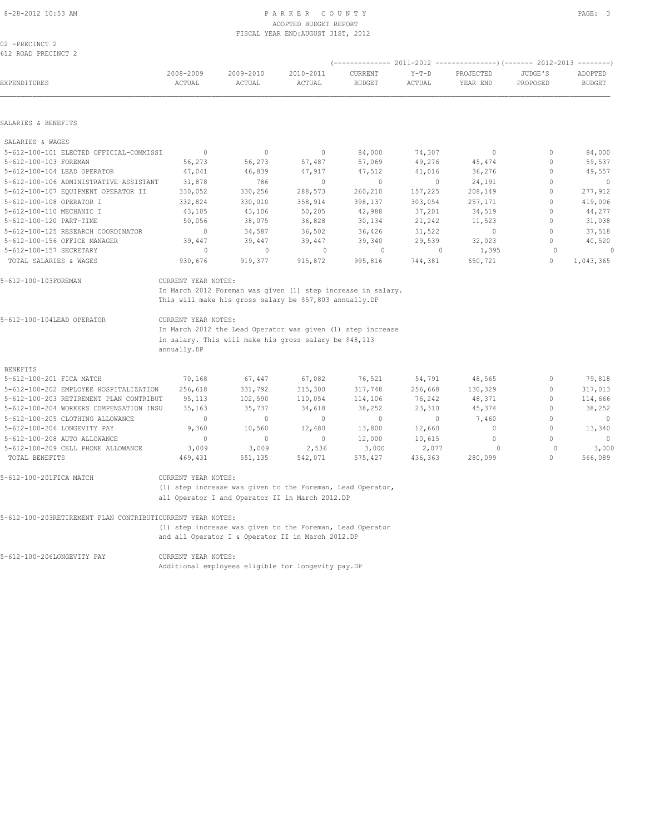# ADOPTED BUDGET REPORT FISCAL YEAR END:AUGUST 31ST, 2012

02 -PRECINCT 2 612 ROAD PRECINCT 2

|                                                                       |                                    |                     |                                                                                                                                                                                                                                                  |                          |                   |                       | ADOPTED<br><b>BUDGET</b>    |                        |  |  |  |  |
|-----------------------------------------------------------------------|------------------------------------|---------------------|--------------------------------------------------------------------------------------------------------------------------------------------------------------------------------------------------------------------------------------------------|--------------------------|-------------------|-----------------------|-----------------------------|------------------------|--|--|--|--|
| EXPENDITURES                                                          | 2008-2009<br>ACTUAL                | 2009-2010<br>ACTUAL | 2010-2011<br><b>ACTUAL</b>                                                                                                                                                                                                                       | CURRENT<br><b>BUDGET</b> | $Y-T-D$<br>ACTUAL | PROJECTED<br>YEAR END | JUDGE'S<br>PROPOSED         |                        |  |  |  |  |
| SALARIES & BENEFITS                                                   |                                    |                     |                                                                                                                                                                                                                                                  |                          |                   |                       |                             |                        |  |  |  |  |
|                                                                       |                                    |                     |                                                                                                                                                                                                                                                  |                          |                   |                       |                             |                        |  |  |  |  |
| SALARIES & WAGES                                                      |                                    |                     |                                                                                                                                                                                                                                                  |                          |                   |                       |                             |                        |  |  |  |  |
| 5-612-100-101 ELECTED OFFICIAL-COMMISSI                               | $\mathbf{0}$                       | $\mathbf{0}$        | $\mathbf{0}$                                                                                                                                                                                                                                     | 84,000                   | 74,307            | $\circ$               | $\mathbf{0}$                | 84,000                 |  |  |  |  |
| 5-612-100-103 FOREMAN                                                 | 56,273<br>47,041                   | 56,273              | 57,487                                                                                                                                                                                                                                           | 57,069                   | 49,276            | 45,474                | $\mathbf{0}$<br>$\mathbf 0$ | 59,537                 |  |  |  |  |
| 5-612-100-104 LEAD OPERATOR<br>5-612-100-106 ADMINISTRATIVE ASSISTANT | 31,878                             | 46,839<br>786       | 47,917<br>$\mathbf{0}$                                                                                                                                                                                                                           | 47,512<br>$\mathbf{0}$   | 41,016<br>$\circ$ | 36,276                | $\mathbf{0}$                | 49,557<br>$\mathbf{0}$ |  |  |  |  |
| 5-612-100-107 EQUIPMENT OPERATOR II                                   | 330,052                            | 330,256             | 288,573                                                                                                                                                                                                                                          | 260,210                  | 157,225           | 24,191<br>208,149     | $\mathbf{0}$                | 277,912                |  |  |  |  |
| 5-612-100-108 OPERATOR I                                              | 332,824                            |                     |                                                                                                                                                                                                                                                  |                          |                   |                       | $\mathbf{0}$                |                        |  |  |  |  |
| 5-612-100-110 MECHANIC I                                              | 43,105                             | 330,010<br>43,106   | 358,914<br>50,205                                                                                                                                                                                                                                | 398,137<br>42,988        | 303,054<br>37,201 | 257,171<br>34,519     | $\mathbf{0}$                | 419,006<br>44,277      |  |  |  |  |
| 5-612-100-120 PART-TIME                                               | 50,056                             | 38,075              | 36,828                                                                                                                                                                                                                                           | 30,134                   | 21,242            | 11,523                | $\mathbb O$                 | 31,038                 |  |  |  |  |
| 5-612-100-125 RESEARCH COORDINATOR                                    | $\mathbf{0}$                       | 34,587              | 36,502                                                                                                                                                                                                                                           | 36,426                   | 31,522            | $\mathbf{0}$          | $\Omega$                    | 37,518                 |  |  |  |  |
| 5-612-100-156 OFFICE MANAGER                                          | 39,447                             | 39,447              | 39,447                                                                                                                                                                                                                                           | 39,340                   | 29,539            | 32,023                | $\Omega$                    | 40,520                 |  |  |  |  |
| 5-612-100-157 SECRETARY                                               | $\circ$                            | $\mathbf{0}$        | $\mathbf{0}$                                                                                                                                                                                                                                     | $\circ$                  | $\mathbf{0}$      | 1,395                 | $\circ$                     | O                      |  |  |  |  |
| TOTAL SALARIES & WAGES                                                | 930,676                            | 919,377             | 915,872                                                                                                                                                                                                                                          | 995,816                  | 744,381           | 650,721               | $\mathbf{0}$                | 1,043,365              |  |  |  |  |
| 5-612-100-104LEAD OPERATOR                                            | CURRENT YEAR NOTES:<br>annually.DP |                     | In March 2012 Foreman was given (1) step increase in salary.<br>This will make his gross salary be \$57,803 annually.DP<br>In March 2012 the Lead Operator was given (1) step increase<br>in salary. This will make his gross salary be \$48,113 |                          |                   |                       |                             |                        |  |  |  |  |
| <b>BENEFITS</b>                                                       |                                    |                     |                                                                                                                                                                                                                                                  |                          |                   |                       |                             |                        |  |  |  |  |
| 5-612-100-201 FICA MATCH                                              | 70,168                             | 67,447              | 67,082                                                                                                                                                                                                                                           | 76,521                   | 54,791            | 48,565                | $\mathbf{0}$                | 79,818                 |  |  |  |  |
| 5-612-100-202 EMPLOYEE HOSPITALIZATION                                | 256,618                            | 331,792             | 315,300                                                                                                                                                                                                                                          | 317,748                  | 256,668           | 130,329               | $\mathbf{0}$                | 317,013                |  |  |  |  |
| 5-612-100-203 RETIREMENT PLAN CONTRIBUT                               | 95,113                             | 102,590             | 110,054                                                                                                                                                                                                                                          | 114,106                  | 76,242            | 48,371                | $\mathbf{0}$                | 114,666                |  |  |  |  |
| 5-612-100-204 WORKERS COMPENSATION INSU                               | 35,163                             | 35,737              | 34,618                                                                                                                                                                                                                                           | 38,252                   | 23,310            | 45,374                | $\Omega$                    | 38,252                 |  |  |  |  |
| 5-612-100-205 CLOTHING ALLOWANCE                                      | $\mathbf{0}$                       | $\mathbf{0}$        | $\Omega$                                                                                                                                                                                                                                         | $\mathbf{0}$             | $\circ$           | 7,460                 | $\Omega$                    | $\mathbf{0}$           |  |  |  |  |
| 5-612-100-206 LONGEVITY PAY                                           | 9,360                              | 10,560              | 12,480                                                                                                                                                                                                                                           | 13,800                   | 12,660            | $\circ$               | $\mathbf{0}$                | 13,340                 |  |  |  |  |
| 5-612-100-208 AUTO ALLOWANCE                                          | $\mathbf 0$                        | $\circ$             | $\Omega$                                                                                                                                                                                                                                         | 12,000                   | 10,615            | $\circ$               | $\Omega$                    | $\circ$                |  |  |  |  |
| 5-612-100-209 CELL PHONE ALLOWANCE                                    | 3,009                              | 3,009               | 2,536                                                                                                                                                                                                                                            | 3,000                    | 2,077             | $\Omega$              | $\circ$                     | 3,000                  |  |  |  |  |
| TOTAL BENEFITS                                                        | 469,431                            | 551,135             | 542,071                                                                                                                                                                                                                                          | 575,427                  | 436,363           | 280,099               | $\Omega$                    | 566,089                |  |  |  |  |
| 5-612-100-201FICA MATCH                                               | CURRENT YEAR NOTES:                |                     |                                                                                                                                                                                                                                                  |                          |                   |                       |                             |                        |  |  |  |  |
|                                                                       |                                    |                     | (1) step increase was given to the Foreman, Lead Operator,                                                                                                                                                                                       |                          |                   |                       |                             |                        |  |  |  |  |
|                                                                       |                                    |                     | all Operator I and Operator II in March 2012.DP                                                                                                                                                                                                  |                          |                   |                       |                             |                        |  |  |  |  |
| 5-612-100-203RETIREMENT PLAN CONTRIBUTICURRENT YEAR NOTES:            |                                    |                     |                                                                                                                                                                                                                                                  |                          |                   |                       |                             |                        |  |  |  |  |
|                                                                       |                                    |                     | (1) step increase was given to the Foreman, Lead Operator                                                                                                                                                                                        |                          |                   |                       |                             |                        |  |  |  |  |
|                                                                       |                                    |                     | and all Operator I & Operator II in March 2012.DP                                                                                                                                                                                                |                          |                   |                       |                             |                        |  |  |  |  |

5-612-100-206LONGEVITY PAY CURRENT YEAR NOTES:

Additional employees eligible for longevity pay.DP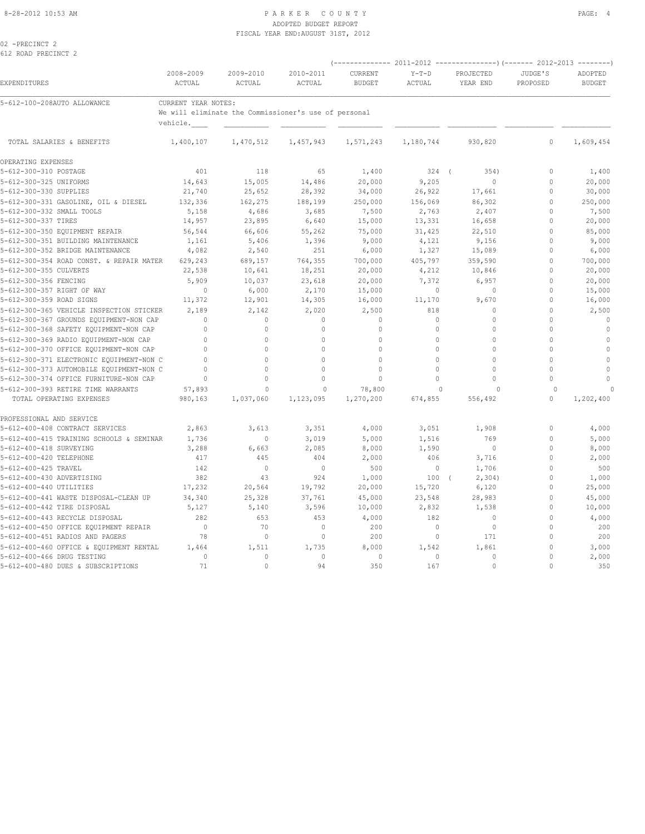#### 8-28-2012 10:53 AM PAGE: 4 ADOPTED BUDGET REPORT FISCAL YEAR END:AUGUST 31ST, 2012

02 -PRECINCT 2 612 ROAD PRECINCT 2

|                                          | 2008-2009           | 2009-2010                                            | 2010-2011    | CURRENT       | $Y-T-D$   | PROJECTED    | JUDGE'S      | ADOPTED       |
|------------------------------------------|---------------------|------------------------------------------------------|--------------|---------------|-----------|--------------|--------------|---------------|
| EXPENDITURES                             | ACTUAL              | ACTUAL                                               | ACTUAL       | <b>BUDGET</b> | ACTUAL    | YEAR END     | PROPOSED     | <b>BUDGET</b> |
| 5-612-100-208AUTO ALLOWANCE              | CURRENT YEAR NOTES: |                                                      |              |               |           |              |              |               |
|                                          | vehicle.            | We will eliminate the Commissioner's use of personal |              |               |           |              |              |               |
| TOTAL SALARIES & BENEFITS                | 1,400,107           | 1,470,512                                            | 1,457,943    | 1,571,243     | 1,180,744 | 930,820      | $\Omega$     | 1,609,454     |
| OPERATING EXPENSES                       |                     |                                                      |              |               |           |              |              |               |
| 5-612-300-310 POSTAGE                    | 401                 | 118                                                  | 65           | 1,400         | $324$ (   | 354)         | $\Omega$     | 1,400         |
| 5-612-300-325 UNIFORMS                   | 14,643              | 15,005                                               | 14,486       | 20,000        | 9,205     | $\mathbb O$  | $\mathbf{0}$ | 20,000        |
| 5-612-300-330 SUPPLIES                   | 21,740              | 25,652                                               | 28,392       | 34,000        | 26,922    | 17,661       | $\mathbb O$  | 30,000        |
| 5-612-300-331 GASOLINE, OIL & DIESEL     | 132,336             | 162,275                                              | 188,199      | 250,000       | 156,069   | 86,302       | $\mathbf{0}$ | 250,000       |
| 5-612-300-332 SMALL TOOLS                | 5,158               | 4,686                                                | 3,685        | 7,500         | 2,763     | 2,407        | $\mathbf{0}$ | 7,500         |
| 5-612-300-337 TIRES                      | 14,957              | 23,895                                               | 6,640        | 15,000        | 13,331    | 16,658       | $\mathbf{0}$ | 20,000        |
| 5-612-300-350 EQUIPMENT REPAIR           | 56,544              | 66,606                                               | 55,262       | 75,000        | 31,425    | 22,510       | $\mathbf{0}$ | 85,000        |
| 5-612-300-351 BUILDING MAINTENANCE       | 1,161               | 5,406                                                | 1,396        | 9,000         | 4,121     | 9,156        | $\mathbf{0}$ | 9,000         |
| 5-612-300-352 BRIDGE MAINTENANCE         | 4,082               | 2,540                                                | 251          | 6,000         | 1,327     | 15,089       | $\mathbf{0}$ | 6,000         |
| 5-612-300-354 ROAD CONST. & REPAIR MATER | 629,243             | 689,157                                              | 764,355      | 700,000       | 405,797   | 359,590      | $\mathbf{0}$ | 700,000       |
| 5-612-300-355 CULVERTS                   | 22,538              | 10,641                                               | 18,251       | 20,000        | 4,212     | 10,846       | $\mathbf{0}$ | 20,000        |
| 5-612-300-356 FENCING                    | 5,909               | 10,037                                               | 23,618       | 20,000        | 7,372     | 6,957        | $\mathbf{0}$ | 20,000        |
| 5-612-300-357 RIGHT OF WAY               | $\mathbf{0}$        | 6,000                                                | 2,170        | 15,000        | $\circ$   | $\circ$      | $\mathbf{0}$ | 15,000        |
| 5-612-300-359 ROAD SIGNS                 | 11,372              | 12,901                                               | 14,305       | 16,000        | 11,170    | 9,670        | $\Omega$     | 16,000        |
| 5-612-300-365 VEHICLE INSPECTION STICKER | 2,189               | 2,142                                                | 2,020        | 2,500         | 818       | $\mathbb O$  | $\mathbf{0}$ | 2,500         |
| 5-612-300-367 GROUNDS EQUIPMENT-NON CAP  | $\Omega$            | $\circ$                                              | $\mathbb O$  | $\mathbb O$   | $\circ$   | $\Omega$     | $\Omega$     | $\mathbb O$   |
| 5-612-300-368 SAFETY EQUIPMENT-NON CAP   | $\mathbb O$         | $\mathbb O$                                          | $\mathbb O$  | $\mathbb O$   | $\circ$   | $\mathbb O$  | $\theta$     | $\mathbb O$   |
| 5-612-300-369 RADIO EQUIPMENT-NON CAP    | $\mathbf 0$         | 0                                                    | $\mathbf 0$  | $\Omega$      | $\circ$   | $\mathbf 0$  | $\mathbf{0}$ | $\mathbf{0}$  |
| 5-612-300-370 OFFICE EQUIPMENT-NON CAP   | $\mathbf{0}$        | 0                                                    | $\mathbf{0}$ | $\Omega$      | 0         | $\Omega$     | $\Omega$     | $\mathbb O$   |
| 5-612-300-371 ELECTRONIC EQUIPMENT-NON C | $\Omega$            | 0                                                    | $\mathbf{0}$ | $\Omega$      | $\Omega$  | $\mathbf{0}$ | $\Omega$     | $\mathbf{0}$  |
| 5-612-300-373 AUTOMOBILE EQUIPMENT-NON C | $\mathbf{0}$        | 0                                                    | $\mathbf{0}$ | $\Omega$      | 0         | 0            | $\mathbf{0}$ | $\mathbb O$   |
| 5-612-300-374 OFFICE FURNITURE-NON CAP   | $\Omega$            | 0                                                    | $\mathbf{0}$ | $\circ$       | $\Omega$  | $\Omega$     | $\Omega$     | $\Omega$      |
| 5-612-300-393 RETIRE TIME WARRANTS       | 57,893              | $\mathbf{0}$                                         | $\mathbf{0}$ | 78,800        | $\bigcap$ | $\Omega$     | $\Omega$     |               |
| TOTAL OPERATING EXPENSES                 | 980,163             | 1,037,060                                            | 1,123,095    | 1,270,200     | 674,855   | 556,492      | $\mathbf{0}$ | 1,202,400     |
| PROFESSIONAL AND SERVICE                 |                     |                                                      |              |               |           |              |              |               |
| 5-612-400-408 CONTRACT SERVICES          | 2,863               | 3,613                                                | 3,351        | 4,000         | 3,051     | 1,908        | $\mathbf{0}$ | 4,000         |
| 5-612-400-415 TRAINING SCHOOLS & SEMINAR | 1,736               | $\mathbf{0}$                                         | 3,019        | 5,000         | 1,516     | 769          | $\mathbf{0}$ | 5,000         |
| 5-612-400-418 SURVEYING                  | 3,288               | 6,663                                                | 2,085        | 8,000         | 1,590     | $\mathbf{0}$ | $\mathbf{0}$ | 8,000         |
| 5-612-400-420 TELEPHONE                  | 417                 | 445                                                  | 404          | 2,000         | 406       | 3,716        | $\mathbf{0}$ | 2,000         |
| 5-612-400-425 TRAVEL                     | 142                 | $\circ$                                              | $\mathbf{0}$ | 500           | $\circ$   | 1,706        | $\mathbf{0}$ | 500           |
| 5-612-400-430 ADVERTISING                | 382                 | 43                                                   | 924          | 1,000         | 100       | 2,304)       | $\mathbb O$  | 1,000         |
| 5-612-400-440 UTILITIES                  | 17,232              | 20,564                                               | 19,792       | 20,000        | 15,720    | 6,120        | $\mathbb O$  | 25,000        |
| 5-612-400-441 WASTE DISPOSAL-CLEAN UP    | 34,340              | 25,328                                               | 37,761       | 45,000        | 23,548    | 28,983       | $\mathbf{0}$ | 45,000        |
| 5-612-400-442 TIRE DISPOSAL              | 5,127               | 5,140                                                | 3,596        | 10,000        | 2,832     | 1,538        | $\mathbf{0}$ | 10,000        |
| 5-612-400-443 RECYCLE DISPOSAL           | 282                 | 653                                                  | 453          | 4,000         | 182       | $\mathbf{0}$ | $\mathbf{0}$ | 4,000         |
| 5-612-400-450 OFFICE EQUIPMENT REPAIR    | $\overline{0}$      | 70                                                   | $\circ$      | 200           | $\circ$   | $\circ$      | $\mathbf{0}$ | 200           |
| 5-612-400-451 RADIOS AND PAGERS          | 78                  | $\circ$                                              | $\mathbf 0$  | 200           | $\circ$   | 171          | $\mathbf{0}$ | 200           |
| 5-612-400-460 OFFICE & EQUIPMENT RENTAL  | 1,464               | 1,511                                                | 1,735        | 8,000         | 1,542     | 1,861        | $\mathbf{0}$ | 3,000         |
| 5-612-400-466 DRUG TESTING               | $\mathbf{0}$        | $\mathbf{0}$                                         | $\mathbf{0}$ | $\circ$       | $\circ$   | $\circ$      | $\mathbf{0}$ | 2,000         |
| 5-612-400-480 DUES & SUBSCRIPTIONS       | 71                  | $\Omega$                                             | 94           | 350           | 167       | $\Omega$     | $\Omega$     | 350           |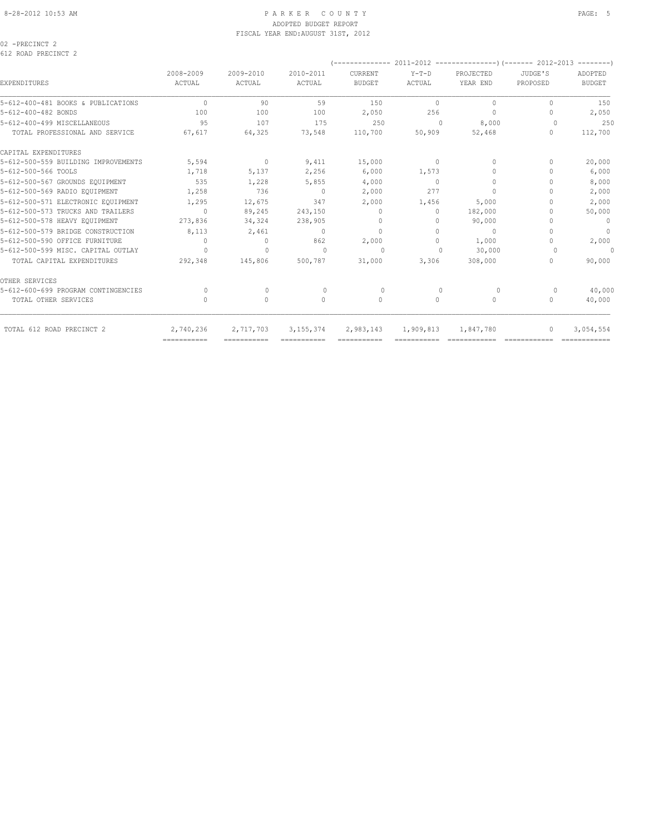### 8-28-2012 10:53 AM PAGE: 5 PARKER COUNTY ADOPTED BUDGET REPORT FISCAL YEAR END:AUGUST 31ST, 2012

02 -PRECINCT 2 612 ROAD PRECINCT 2

| 2008-2009<br>ACTUAL              | 2009-2010<br>ACTUAL | 2010-2011<br>ACTUAL                       | CURRENT<br><b>BUDGET</b> | $Y-T-D$<br>ACTUAL | PROJECTED<br>YEAR END | JUDGE'S<br>PROPOSED | ADOPTED<br><b>BUDGET</b> |
|----------------------------------|---------------------|-------------------------------------------|--------------------------|-------------------|-----------------------|---------------------|--------------------------|
| $\begin{array}{c} \n\end{array}$ | 90                  | 59                                        | 150                      | $\Omega$          | $\Omega$              | $\cup$              | 150                      |
| 100                              | 100                 | 100                                       | 2,050                    | 256               | $\mathbf 0$           | 0                   | 2,050                    |
| 95                               | 107                 | 175                                       | 250                      | $\Omega$          | 8,000                 | $\Omega$            | 250                      |
| 67,617                           | 64,325              | 73,548                                    | 110,700                  | 50,909            | 52,468                | $\Omega$            | 112,700                  |
|                                  |                     |                                           |                          |                   |                       |                     |                          |
| 5,594                            | $\circ$             | 9,411                                     | 15,000                   | $\circ$           | $\Omega$              | $\Omega$            | 20,000                   |
| 1,718                            | 5,137               | 2,256                                     | 6,000                    | 1,573             | $\Omega$              |                     | 6,000                    |
| 535                              | 1,228               | 5,855                                     | 4,000                    | $\Omega$          | $\mathbf{0}$          |                     | 8,000                    |
| 1,258                            | 736                 | $\circ$                                   | 2,000                    | 277               | $\circ$               |                     | 2,000                    |
| 1,295                            | 12,675              | 347                                       | 2,000                    | 1,456             | 5,000                 | 0                   | 2,000                    |
| $\Omega$                         | 89,245              | 243,150                                   | $\Omega$                 | $\Omega$          | 182,000               |                     | 50,000                   |
| 273,836                          | 34,324              | 238,905                                   | 0                        | $\Omega$          | 90,000                |                     | $\circ$                  |
| 8,113                            | 2,461               | 0                                         | $\Omega$                 | $\bigcap$         | $\circ$               |                     | $\overline{0}$           |
| $\Omega$                         | 0                   | 862                                       | 2,000                    | $\Omega$          | 1,000                 |                     | 2,000                    |
| $\bigcap$                        | $\Omega$            | $\bigcap$                                 | $\Omega$                 | $\cap$            | 30,000                |                     | $\circ$                  |
| 292,348                          | 145,806             | 500,787                                   | 31,000                   | 3,306             | 308,000               | $\Omega$            | 90,000                   |
|                                  |                     |                                           |                          |                   |                       |                     |                          |
| $\Omega$                         | $\Omega$            | $\begin{array}{c} \n 0 \\ \n \end{array}$ | $\Omega$                 | $\bigcap$         | $\Omega$              | $\Omega$            | 40,000                   |
| 0                                | $\circ$             | $\mathbf{0}$                              | $\mathbf{0}$             | 0                 | 0                     | $\mathbf{0}$        | 40,000                   |
| 2,740,236                        | 2,717,703           | 3, 155, 374                               | 2,983,143                |                   | 1,847,780             | $\Omega$            | 3,054,554                |
|                                  |                     |                                           |                          |                   | 1,909,813             |                     |                          |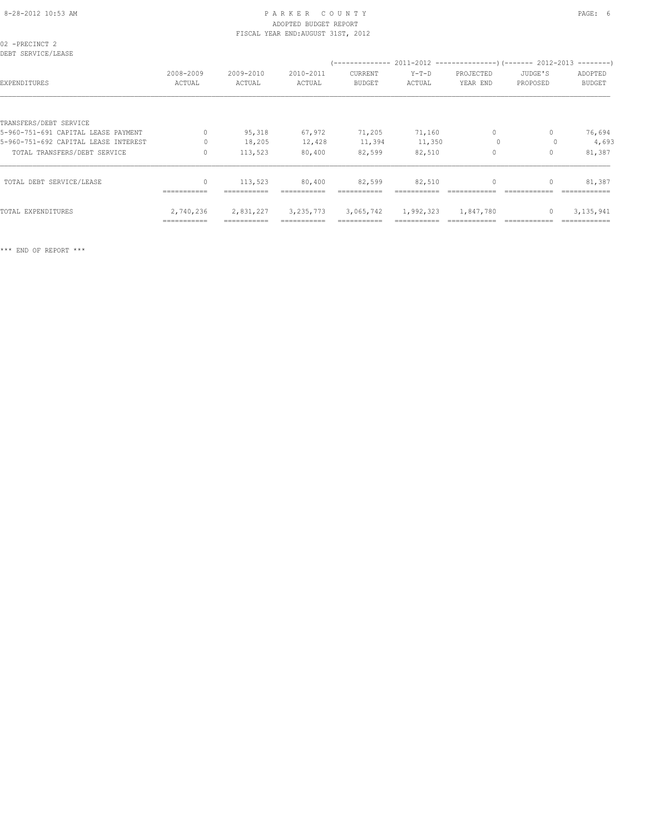# 8-28-2012 10:53 AM PAGE: 6 ADOPTED BUDGET REPORT FISCAL YEAR END:AUGUST 31ST, 2012

| 02 -PRECINCT 2<br>DEBT SERVICE/LEASE |                     |                     |                     |                          |                   |                       |                     |                          |  |  |  |
|--------------------------------------|---------------------|---------------------|---------------------|--------------------------|-------------------|-----------------------|---------------------|--------------------------|--|--|--|
| EXPENDITURES                         | 2008-2009<br>ACTUAL | 2009-2010<br>ACTUAL | 2010-2011<br>ACTUAL | CURRENT<br><b>BUDGET</b> | $Y-T-D$<br>ACTUAL | PROJECTED<br>YEAR END | JUDGE'S<br>PROPOSED | ADOPTED<br><b>BUDGET</b> |  |  |  |
|                                      |                     |                     |                     |                          |                   |                       |                     |                          |  |  |  |
| TRANSFERS/DEBT SERVICE               |                     |                     |                     |                          |                   |                       |                     |                          |  |  |  |
| 5-960-751-691 CAPITAL LEASE PAYMENT  | $\mathbf{0}$        | 95,318              | 67,972              | 71,205                   | 71,160            | $\circ$               | $\Omega$            | 76,694                   |  |  |  |
| 5-960-751-692 CAPITAL LEASE INTEREST | $\Omega$            | 18,205              | 12,428              | 11,394                   | 11,350            | $\circ$               |                     | 4,693                    |  |  |  |
| TOTAL TRANSFERS/DEBT SERVICE         | $\Omega$            | 113,523             | 80,400              | 82,599                   | 82,510            | $\mathbf{0}$          | $\Omega$            | 81,387                   |  |  |  |
| TOTAL DEBT SERVICE/LEASE             | $\mathbf{0}$        | 113,523             | 80,400              | 82,599                   | 82,510            | $\mathbf{0}$          | $\mathbf{0}$        | 81,387                   |  |  |  |
|                                      | ===========         | ===========         |                     | ===========              |                   |                       |                     | =============            |  |  |  |
| TOTAL EXPENDITURES                   | 2,740,236           | 2,831,227           | 3, 235, 773         | 3,065,742                | 1,992,323         | 1,847,780             | $\mathbf{0}$        | 3, 135, 941              |  |  |  |
|                                      | ===========         |                     |                     |                          |                   |                       |                     |                          |  |  |  |

\*\*\* END OF REPORT \*\*\*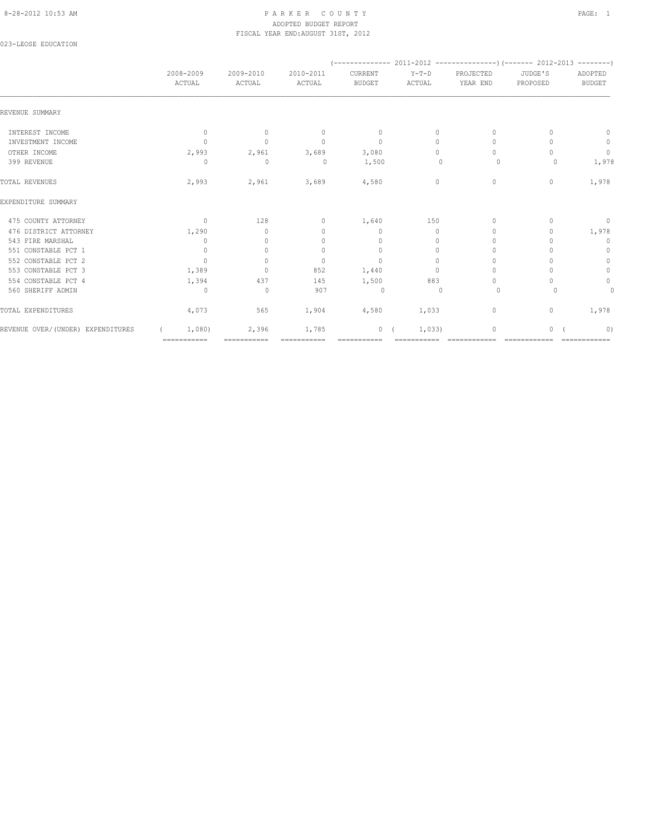# 8-28-2012 10:53 AM PAGE: 1 PAR K E R C O U N T Y ADOPTED BUDGET REPORT FISCAL YEAR END:AUGUST 31ST, 2012

023-LEOSE EDUCATION

|                                   | 2008-2009    | 2009-2010    | 2010-2011                        | CURRENT       | $Y-T-D$  | PROJECTED                        | JUDGE'S      | ADOPTED       |
|-----------------------------------|--------------|--------------|----------------------------------|---------------|----------|----------------------------------|--------------|---------------|
|                                   | ACTUAL       | ACTUAL       | ACTUAL                           | <b>BUDGET</b> | ACTUAL   | YEAR END                         | PROPOSED     | <b>BUDGET</b> |
| REVENUE SUMMARY                   |              |              |                                  |               |          |                                  |              |               |
| INTEREST INCOME                   | $\mathbf{0}$ | $\mathbf{0}$ | $\mathbf{0}$                     | $\circ$       | 0        | $\mathbf{0}$                     | 0            | $\mathbf{0}$  |
| INVESTMENT INCOME                 | $\Omega$     | $\mathbf{0}$ | $\begin{array}{c} \n\end{array}$ | $\mathbf{0}$  | $\Omega$ | $\begin{array}{c} \n\end{array}$ |              | $\mathbb O$   |
| OTHER INCOME                      | 2,993        | 2,961        | 3,689                            | 3,080         | $\Omega$ | $\begin{array}{c} \n\end{array}$ | ∩            | $\mathbb O$   |
| 399 REVENUE                       | 0            | $\circ$      | 0                                | 1,500         | 0        | 0                                | 0            | 1,978         |
| TOTAL REVENUES                    | 2,993        | 2,961        | 3,689                            | 4,580         | 0        | $\circ$                          | $\mathbf{0}$ | 1,978         |
| EXPENDITURE SUMMARY               |              |              |                                  |               |          |                                  |              |               |
| 475 COUNTY ATTORNEY               | $\mathbf{0}$ | 128          | 0                                | 1,640         | 150      | $\Omega$                         |              | 0             |
| 476 DISTRICT ATTORNEY             | 1,290        | $\mathbf{0}$ | $\mathbf{0}$                     | $\mathbf{0}$  | $\circ$  | 0                                | 0            | 1,978         |
| 543 FIRE MARSHAL                  | 0            | $\Omega$     | 0                                | $\mathbf{0}$  | $\Omega$ | $\Omega$                         |              | $\mathbf 0$   |
| 551 CONSTABLE PCT 1               | $\circ$      | $\circ$      | $\mathbf{0}$                     | $\mathbf{0}$  | $\circ$  | $\Omega$                         |              | $\circ$       |
| 552 CONSTABLE PCT 2               | $\Omega$     | $\Omega$     | $\mathbf{0}$                     | $\mathbf{0}$  | $\Omega$ | $\Omega$                         |              | $\circ$       |
| 553 CONSTABLE PCT 3               | 1,389        | $\mathbf{0}$ | 852                              | 1,440         | $\Omega$ | $\Omega$                         |              | $\mathbb O$   |
| 554 CONSTABLE PCT 4               | 1,394        | 437          | 145                              | 1,500         | 883      | $\Omega$                         |              | $\circ$       |
| 560 SHERIFF ADMIN                 | 0            | 0            | 907                              | $\circ$       | $\cup$   | $\circ$                          | $\Omega$     | $\mathbf 0$   |
| TOTAL EXPENDITURES                | 4,073        | 565          | 1,904                            | 4,580         | 1,033    | $\circ$                          | 0            | 1,978         |
| REVENUE OVER/(UNDER) EXPENDITURES | 1,080        | 2,396        | 1,785                            | 0(            | 1,033)   | $\mathbf 0$                      | $\circ$      | 0)            |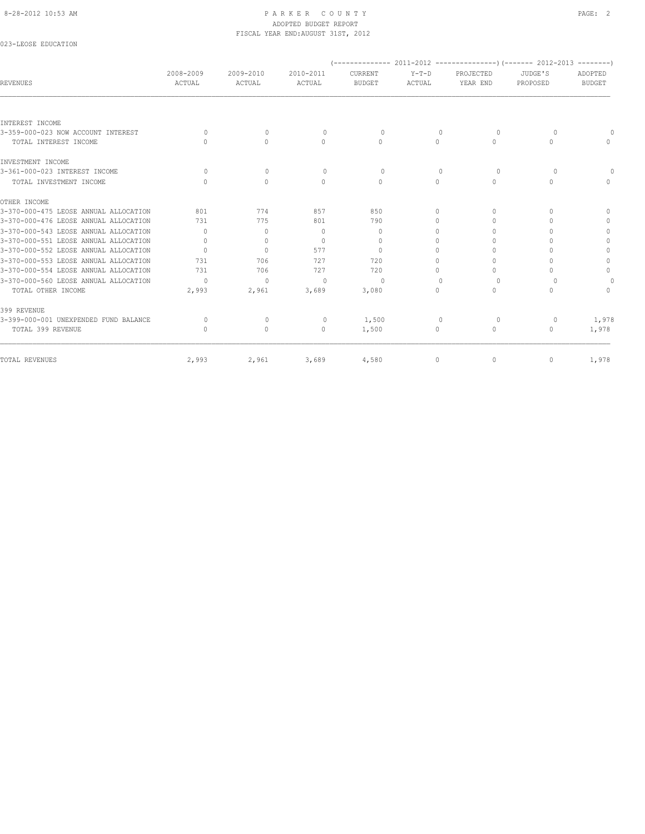#### 8-28-2012 10:53 AM PAGE: 2 ADOPTED BUDGET REPORT FISCAL YEAR END:AUGUST 31ST, 2012

# 023-LEOSE EDUCATION

| <b>REVENUES</b>                       | 2008-2009<br>ACTUAL              | 2009-2010<br>ACTUAL              | 2010-2011<br>ACTUAL | CURRENT<br><b>BUDGET</b> | $Y-T-D$<br>ACTUAL                | PROJECTED<br>YEAR END | JUDGE'S<br>PROPOSED | ADOPTED<br><b>BUDGET</b> |
|---------------------------------------|----------------------------------|----------------------------------|---------------------|--------------------------|----------------------------------|-----------------------|---------------------|--------------------------|
|                                       |                                  |                                  |                     |                          |                                  |                       |                     |                          |
| INTEREST INCOME                       |                                  |                                  |                     |                          |                                  |                       |                     |                          |
| 3-359-000-023 NOW ACCOUNT INTEREST    | $\Omega$                         | $\begin{array}{c} \n\end{array}$ | $\Omega$            | $\Omega$                 | $\Omega$                         | $\Omega$              | $\Omega$            |                          |
| TOTAL INTEREST INCOME                 | $\cap$                           | $\bigcap$                        | $\Omega$            | $\Omega$                 | $\Omega$                         | $\Omega$              | $\Omega$            | $\cap$                   |
| INVESTMENT INCOME                     |                                  |                                  |                     |                          |                                  |                       |                     |                          |
| 3-361-000-023 INTEREST INCOME         | $\Omega$                         | $\circ$                          | $\circ$             | $\circ$                  | $\mathbf{0}$                     | $\circ$               | $\circ$             |                          |
| TOTAL INVESTMENT INCOME               | $\bigcap$                        | $\Omega$                         | $\Omega$            | $\Omega$                 | $\Omega$                         | $\Omega$              | $\Omega$            |                          |
| OTHER INCOME                          |                                  |                                  |                     |                          |                                  |                       |                     |                          |
| 3-370-000-475 LEOSE ANNUAL ALLOCATION | 801                              | 774                              | 857                 | 850                      | $\Omega$                         | $\Omega$              | $\Omega$            | $\Omega$                 |
| 3-370-000-476 LEOSE ANNUAL ALLOCATION | 731                              | 775                              | 801                 | 790                      | 0                                | 0                     | $\Omega$            | $\Omega$                 |
| 3-370-000-543 LEOSE ANNUAL ALLOCATION | $\bigcap$                        | $\mathbf{0}$                     | $\Omega$            | $\mathbf{0}$             | $\Omega$                         | $\bigcap$             | $\cap$              | 0                        |
| 3-370-000-551 LEOSE ANNUAL ALLOCATION | $\Omega$                         | $\mathbf{0}$                     | $\Omega$            | $\Omega$                 | $\cap$                           | n                     | ∩                   | 0                        |
| 3-370-000-552 LEOSE ANNUAL ALLOCATION | $\Omega$                         | $\mathbf{0}$                     | 577                 | $\Omega$                 | $\Omega$                         | $\Omega$              | $\cap$              | $\Omega$                 |
| 3-370-000-553 LEOSE ANNUAL ALLOCATION | 731                              | 706                              | 727                 | 720                      | $\cap$                           | $\cap$                | n                   | 0                        |
| 3-370-000-554 LEOSE ANNUAL ALLOCATION | 731                              | 706                              | 727                 | 720                      | $\Omega$                         | $\Omega$              | $\Omega$            | $\Omega$                 |
| 3-370-000-560 LEOSE ANNUAL ALLOCATION | $\Omega$                         | $\Omega$                         | $\bigcap$           | $\Omega$                 | $\Omega$                         | $\Omega$              | $\Omega$            | 0                        |
| TOTAL OTHER INCOME                    | 2,993                            | 2,961                            | 3,689               | 3,080                    | $\bigcap$                        | $\Omega$              | $\cap$              | $\cap$                   |
| 399 REVENUE                           |                                  |                                  |                     |                          |                                  |                       |                     |                          |
| 3-399-000-001 UNEXPENDED FUND BALANCE | $\Omega$                         | $\mathbf{0}$                     | $\circ$             | 1,500                    | $\begin{array}{c} \n\end{array}$ | $\Omega$              | 0                   | 1,978                    |
| TOTAL 399 REVENUE                     | $\begin{array}{c} \n\end{array}$ | $\mathbf{0}$                     | 0                   | 1,500                    | $\circ$                          | $\circ$               | 0                   | 1,978                    |
| TOTAL REVENUES                        | 2,993                            | 2,961                            | 3,689               | 4,580                    | $\circ$                          | 0                     | $\mathbf{0}$        | 1,978                    |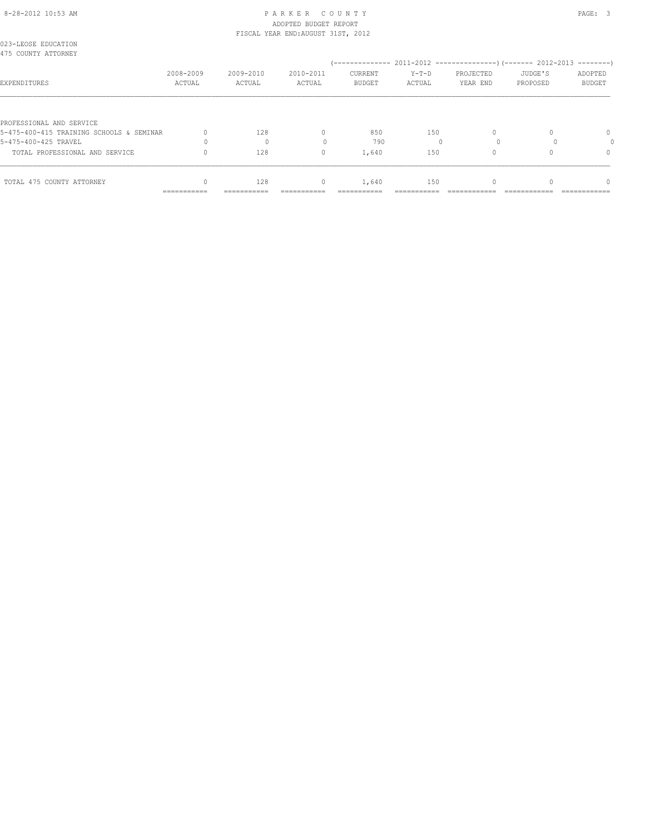### 8-28-2012 10:53 AM PAGE: 3 ADOPTED BUDGET REPORT FISCAL YEAR END:AUGUST 31ST, 2012

| 023-LEOSE EDUCATION<br>475 COUNTY ATTORNEY |                     |                     |                     |                          |                   |                       |                     |                          |
|--------------------------------------------|---------------------|---------------------|---------------------|--------------------------|-------------------|-----------------------|---------------------|--------------------------|
| EXPENDITURES                               | 2008-2009<br>ACTUAL | 2009-2010<br>ACTUAL | 2010-2011<br>ACTUAL | CURRENT<br><b>BUDGET</b> | $Y-T-D$<br>ACTUAL | PROJECTED<br>YEAR END | JUDGE'S<br>PROPOSED | ADOPTED<br><b>BUDGET</b> |
| PROFESSIONAL AND SERVICE                   |                     |                     |                     |                          |                   |                       |                     |                          |
| 5-475-400-415 TRAINING SCHOOLS & SEMINAR   |                     | 128                 | 0                   | 850                      | 150               |                       |                     | $\Omega$                 |
| 5-475-400-425 TRAVEL                       |                     |                     |                     | 790                      |                   |                       |                     |                          |
| TOTAL PROFESSIONAL AND SERVICE             |                     | 128                 | 0                   | 1,640                    | 150               |                       |                     | 0                        |
| TOTAL 475 COUNTY ATTORNEY                  |                     | 128                 | $\mathbf{0}$        | 1,640                    | 150               |                       |                     | $\cap$                   |
|                                            | ===========         | ===========         |                     |                          |                   |                       |                     |                          |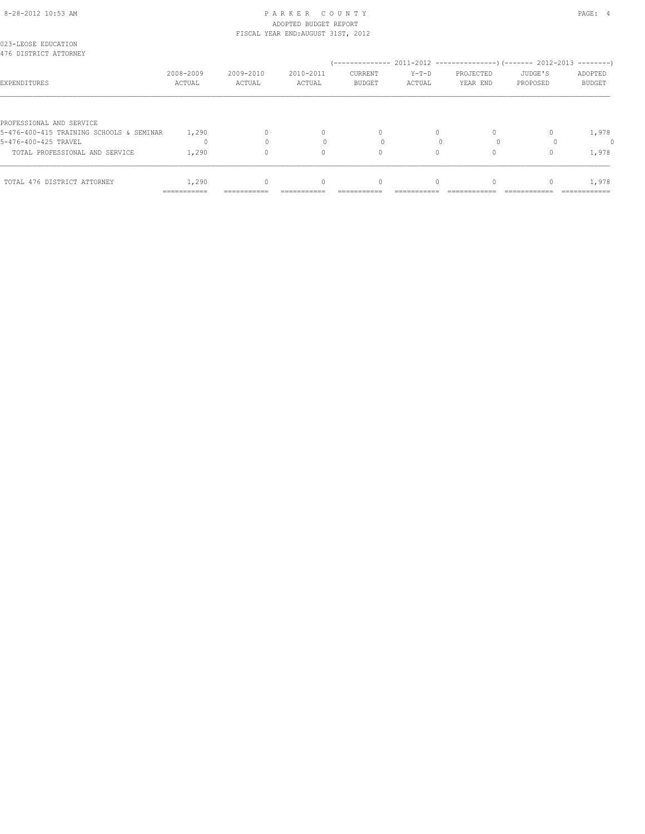# 8-28-2012 10:53 AM PAGE: 4 ADOPTED BUDGET REPORT FISCAL YEAR END:AUGUST 31ST, 2012

|                                                                      | ===========         | :==========         |                     |                          |                 |                       |                     |                          |
|----------------------------------------------------------------------|---------------------|---------------------|---------------------|--------------------------|-----------------|-----------------------|---------------------|--------------------------|
| TOTAL 476 DISTRICT ATTORNEY                                          | 1,290               |                     | $\Omega$            | $\Omega$                 |                 |                       |                     | 1,978                    |
| TOTAL PROFESSIONAL AND SERVICE                                       | 1,290               |                     | 0                   | 0                        | 0               |                       |                     | 1,978                    |
| 5-476-400-425 TRAVEL                                                 |                     |                     |                     |                          |                 |                       |                     |                          |
| PROFESSIONAL AND SERVICE<br>5-476-400-415 TRAINING SCHOOLS & SEMINAR | 1,290               |                     | 0                   | $\Omega$                 | $\Omega$        |                       |                     | 1,978                    |
| EXPENDITURES                                                         | 2008-2009<br>ACTUAL | 2009-2010<br>ACTUAL | 2010-2011<br>ACTUAL | CURRENT<br><b>BUDGET</b> | Y-T-D<br>ACTUAL | PROJECTED<br>YEAR END | JUDGE'S<br>PROPOSED | ADOPTED<br><b>BUDGET</b> |
| 476 DISTRICT ATTORNEY                                                |                     |                     |                     |                          |                 |                       |                     |                          |
| 023-LEOSE EDUCATION                                                  |                     |                     |                     |                          |                 |                       |                     |                          |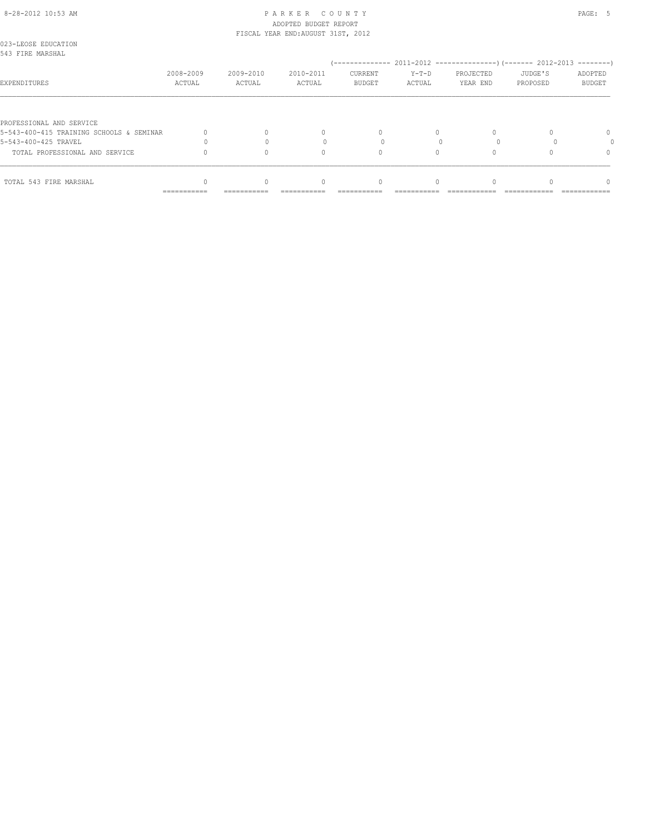#### 8-28-2012 10:53 AM PAGE: 5 ADOPTED BUDGET REPORT FISCAL YEAR END:AUGUST 31ST, 2012

| TOTAL 543 FIRE MARSHAL                                               |                     |                     | $\Omega$            |                          |                 |                       |                     | ∩                        |
|----------------------------------------------------------------------|---------------------|---------------------|---------------------|--------------------------|-----------------|-----------------------|---------------------|--------------------------|
| TOTAL PROFESSIONAL AND SERVICE                                       |                     |                     |                     |                          |                 |                       |                     |                          |
| 5-543-400-425 TRAVEL                                                 |                     |                     | $\Omega$            | $\Omega$                 |                 |                       |                     |                          |
| PROFESSIONAL AND SERVICE<br>5-543-400-415 TRAINING SCHOOLS & SEMINAR |                     |                     | $\cap$              |                          |                 |                       |                     | $\Omega$                 |
| EXPENDITURES                                                         | 2008-2009<br>ACTUAL | 2009-2010<br>ACTUAL | 2010-2011<br>ACTUAL | CURRENT<br><b>BUDGET</b> | Y-T-D<br>ACTUAL | PROJECTED<br>YEAR END | JUDGE'S<br>PROPOSED | ADOPTED<br><b>BUDGET</b> |
| 023-LEOSE EDUCATION<br>543 FIRE MARSHAL                              |                     |                     |                     |                          |                 |                       |                     |                          |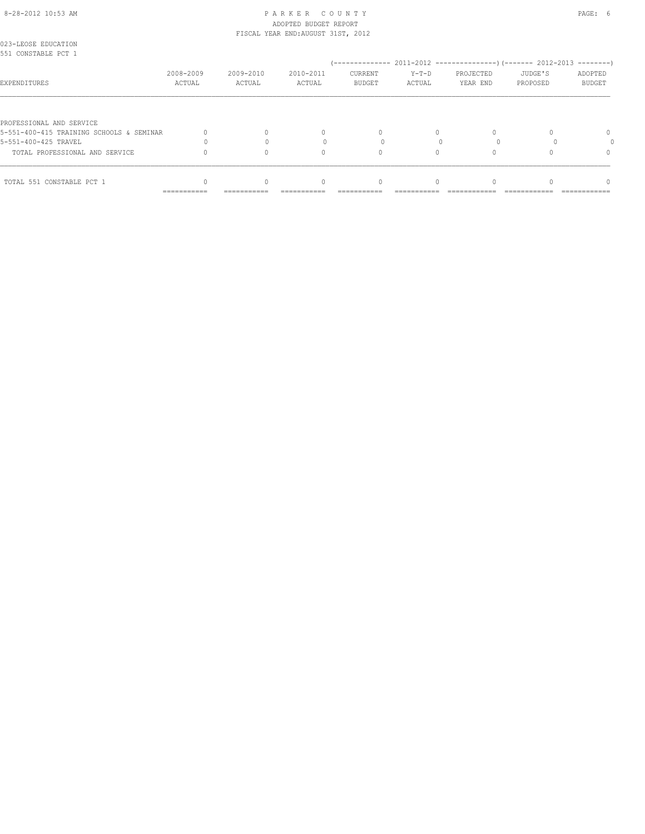### 8-28-2012 10:53 AM PAGE: 6 ADOPTED BUDGET REPORT FISCAL YEAR END:AUGUST 31ST, 2012

| 023-LEOSE EDUCATION<br>551 CONSTABLE PCT 1                           |                     |                     |                     |                          |                   |                       |                     |                          |
|----------------------------------------------------------------------|---------------------|---------------------|---------------------|--------------------------|-------------------|-----------------------|---------------------|--------------------------|
| EXPENDITURES                                                         | 2008-2009<br>ACTUAL | 2009-2010<br>ACTUAL | 2010-2011<br>ACTUAL | CURRENT<br><b>BUDGET</b> | $Y-T-D$<br>ACTUAL | PROJECTED<br>YEAR END | JUDGE'S<br>PROPOSED | ADOPTED<br><b>BUDGET</b> |
| PROFESSIONAL AND SERVICE<br>5-551-400-415 TRAINING SCHOOLS & SEMINAR |                     |                     | $\cap$              |                          |                   |                       |                     | $\Omega$                 |
| 5-551-400-425 TRAVEL<br>TOTAL PROFESSIONAL AND SERVICE               |                     |                     | $\Omega$            | $\Omega$                 |                   |                       |                     |                          |
| TOTAL 551 CONSTABLE PCT 1                                            | ===========         | ===========         | $\Omega$            | ----------               |                   |                       |                     |                          |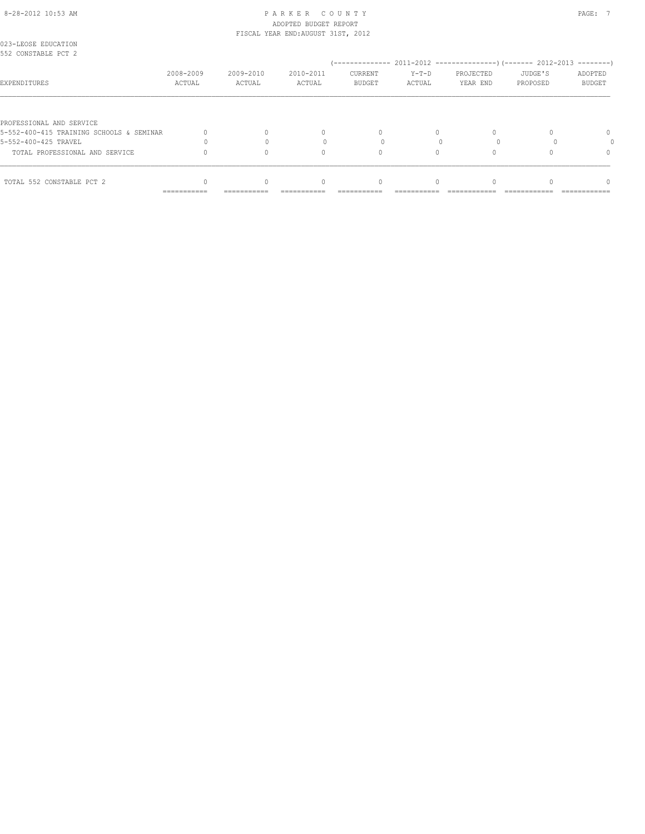#### 8-28-2012 10:53 AM PAGE: 7 ADOPTED BUDGET REPORT FISCAL YEAR END:AUGUST 31ST, 2012

| PROFESSIONAL AND SERVICE<br>5-552-400-415 TRAINING SCHOOLS & SEMINAR |             |             | $\cap$   |          |  | $\Omega$ |
|----------------------------------------------------------------------|-------------|-------------|----------|----------|--|----------|
| 5-552-400-425 TRAVEL                                                 |             |             |          |          |  |          |
| TOTAL PROFESSIONAL AND SERVICE                                       |             |             | $\Omega$ | $\Omega$ |  |          |
| TOTAL 552 CONSTABLE PCT 2                                            |             |             | $\Omega$ |          |  |          |
|                                                                      | =========== | =========== |          |          |  |          |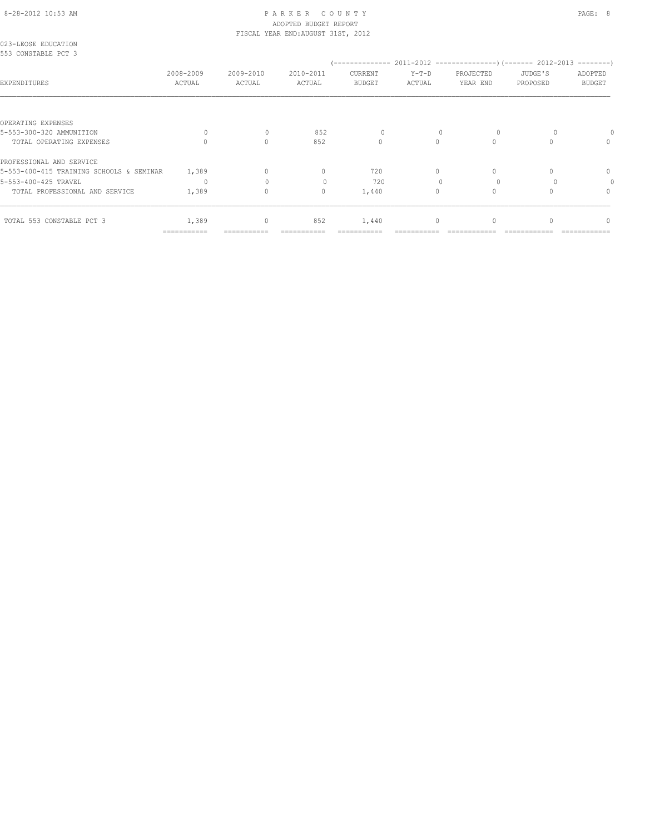# 8-28-2012 10:53 AM P A R K E R C O U N T Y PAGE: 8 ADOPTED BUDGET REPORT

|                                            |                     |                     | FISCAL YEAR END: AUGUST 31ST, 2012 |                   |                   |                       |                     |                          |
|--------------------------------------------|---------------------|---------------------|------------------------------------|-------------------|-------------------|-----------------------|---------------------|--------------------------|
| 023-LEOSE EDUCATION<br>553 CONSTABLE PCT 3 |                     |                     |                                    |                   |                   |                       |                     |                          |
| EXPENDITURES                               | 2008-2009<br>ACTUAL | 2009-2010<br>ACTUAL | 2010-2011<br>ACTUAL                | CURRENT<br>BUDGET | $Y-T-D$<br>ACTUAL | PROJECTED<br>YEAR END | JUDGE'S<br>PROPOSED | ADOPTED<br><b>BUDGET</b> |
|                                            |                     |                     |                                    |                   |                   |                       |                     |                          |
| OPERATING EXPENSES                         |                     |                     |                                    |                   |                   |                       |                     |                          |
| 5-553-300-320 AMMUNITION                   | $\Omega$            | $\mathbf{0}$        | 852                                |                   |                   |                       |                     |                          |
| TOTAL OPERATING EXPENSES                   |                     | $\Omega$            | 852                                | $\circ$           | $\bigcap$         | $\Omega$              |                     | $\mathbf{0}$             |
| PROFESSIONAL AND SERVICE                   |                     |                     |                                    |                   |                   |                       |                     |                          |
| 5-553-400-415 TRAINING SCHOOLS & SEMINAR   | 1,389               | $\Omega$            | $\circ$                            | 720               | $\Omega$          | $\Omega$              |                     | $\mathbf{0}$             |
| 5-553-400-425 TRAVEL                       | $\Omega$            | $\cap$              | $\bigcap$                          | 720               |                   |                       |                     | $\circ$                  |
| TOTAL PROFESSIONAL AND SERVICE             | 1,389               | $\circ$             | $\mathbf{0}$                       | 1,440             | $\circ$           | $\mathbf{0}$          |                     | $\mathbf{0}$             |
| TOTAL 553 CONSTABLE PCT 3                  | 1,389               | 0                   | 852                                | 1,440             | $\circ$           | 0                     |                     | $\Omega$                 |
|                                            | ===========         |                     | ===========                        |                   |                   |                       |                     |                          |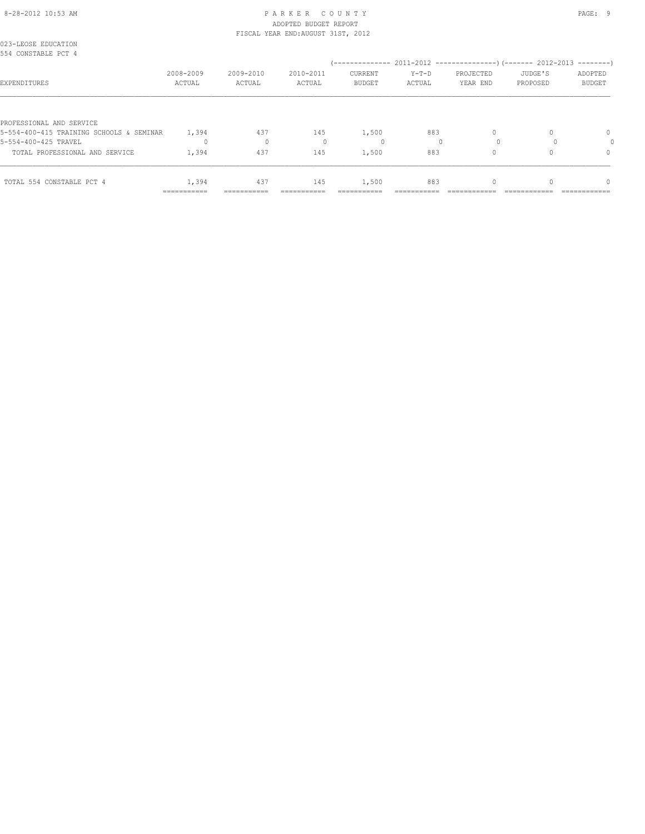#### 8-28-2012 10:53 AM PAGE: 9 PARKER COUNTY ADOPTED BUDGET REPORT FISCAL YEAR END:AUGUST 31ST, 2012

| 023-LEOSE EDUCATION<br>554 CONSTABLE PCT 4 |                     |                     |                     |                          |                   |                       |                     |                   |
|--------------------------------------------|---------------------|---------------------|---------------------|--------------------------|-------------------|-----------------------|---------------------|-------------------|
| EXPENDITURES                               | 2008-2009<br>ACTUAL | 2009-2010<br>ACTUAL | 2010-2011<br>ACTUAL | CURRENT<br><b>BUDGET</b> | $Y-T-D$<br>ACTUAL | PROJECTED<br>YEAR END | JUDGE'S<br>PROPOSED | ADOPTED<br>BUDGET |
| PROFESSIONAL AND SERVICE                   |                     |                     |                     |                          |                   |                       |                     |                   |
| 5-554-400-415 TRAINING SCHOOLS & SEMINAR   | 1,394               | 437                 | 145                 | 1,500                    | 883               |                       |                     | $\mathbf{0}$      |
| 5-554-400-425 TRAVEL                       | $\Omega$            | $\mathbf{0}$        |                     | 0                        |                   |                       |                     |                   |
| TOTAL PROFESSIONAL AND SERVICE             | 1,394               | 437                 | 145                 | 1,500                    | 883               |                       |                     | 0                 |
| TOTAL 554 CONSTABLE PCT 4                  | 1,394               | 437                 | 145                 | 1,500                    | 883               |                       |                     | $\Omega$          |
|                                            | ===========         | ===========         |                     |                          |                   |                       |                     |                   |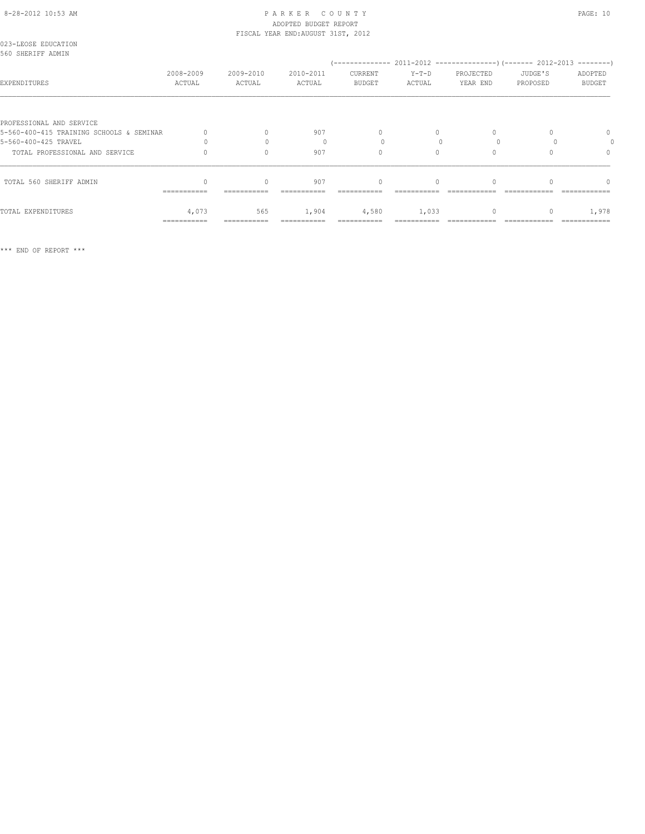# 8-28-2012 10:53 AM P A R K E R C O U N T Y PAGE: 10 ADOPTED BUDGET REPORT FISCAL YEAR END:AUGUST 31ST, 2012

| 023-LEOSE EDUCATION<br>560 SHERIFF ADMIN |                     |                     |                     |                          |                   |                       |                     |                          |
|------------------------------------------|---------------------|---------------------|---------------------|--------------------------|-------------------|-----------------------|---------------------|--------------------------|
| EXPENDITURES                             | 2008-2009<br>ACTUAL | 2009-2010<br>ACTUAL | 2010-2011<br>ACTUAL | CURRENT<br><b>BUDGET</b> | $Y-T-D$<br>ACTUAL | PROJECTED<br>YEAR END | JUDGE'S<br>PROPOSED | ADOPTED<br><b>BUDGET</b> |
|                                          |                     |                     |                     |                          |                   |                       |                     |                          |
| PROFESSIONAL AND SERVICE                 |                     |                     |                     |                          |                   |                       |                     |                          |
| 5-560-400-415 TRAINING SCHOOLS & SEMINAR |                     |                     | 907                 | $\Omega$                 | 0                 |                       |                     | 0                        |
| 5-560-400-425 TRAVEL                     |                     |                     |                     |                          |                   |                       |                     |                          |
| TOTAL PROFESSIONAL AND SERVICE           |                     |                     | 907                 | $\Omega$                 | $\Omega$          |                       |                     | 0                        |
| TOTAL 560 SHERIFF ADMIN                  |                     | $\Omega$            | 907                 | $\mathbf{0}$             |                   |                       |                     |                          |
|                                          | ===========         |                     |                     |                          |                   |                       |                     |                          |
| TOTAL EXPENDITURES                       | 4,073               | 565                 | 1,904               | 4,580                    | 1,033             | 0                     |                     | 1,978                    |
|                                          | ===========         |                     |                     |                          |                   |                       |                     |                          |

\*\*\* END OF REPORT \*\*\*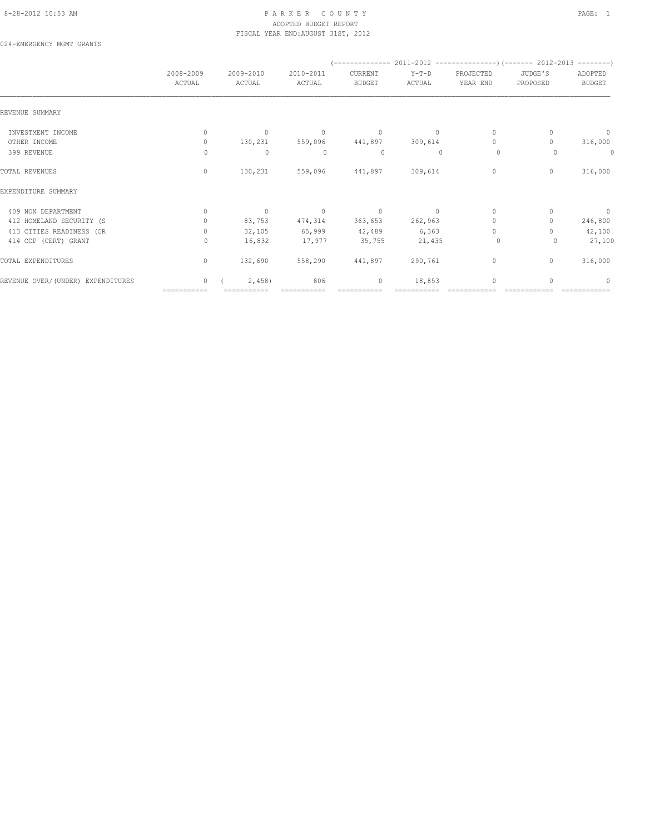### 8-28-2012 10:53 AM PAGE: 1 PAR K E R C O U N T Y ADOPTED BUDGET REPORT FISCAL YEAR END:AUGUST 31ST, 2012

024-EMERGENCY MGMT GRANTS

|                                   | 2008-2009<br>ACTUAL | 2009-2010<br>ACTUAL | 2010-2011<br>ACTUAL | CURRENT<br><b>BUDGET</b> | $Y-T-D$<br>ACTUAL | PROJECTED<br>YEAR END            | JUDGE'S<br>PROPOSED | ADOPTED<br><b>BUDGET</b> |
|-----------------------------------|---------------------|---------------------|---------------------|--------------------------|-------------------|----------------------------------|---------------------|--------------------------|
| REVENUE SUMMARY                   |                     |                     |                     |                          |                   |                                  |                     |                          |
| INVESTMENT INCOME                 | $\mathbf{0}$        | $\circ$             | $\mathbf{0}$        | $\mathbf{0}$             | $\Omega$          | $\circ$                          | $\mathbf{0}$        | $\circ$                  |
| OTHER INCOME                      | $\mathbf{0}$        | 130,231             | 559,096             | 441,897                  | 309,614           | $\circ$                          | $\Omega$            | 316,000                  |
| 399 REVENUE                       | 0                   | $\mathbf{0}$        | $\mathbf{0}$        | 0                        | $\mathbf{0}$      | $\circ$                          | 0                   | 0                        |
| TOTAL REVENUES                    | $\circ$             | 130,231             | 559,096             | 441,897                  | 309,614           | $\circ$                          | $\mathbf{0}$        | 316,000                  |
| EXPENDITURE SUMMARY               |                     |                     |                     |                          |                   |                                  |                     |                          |
| 409 NON DEPARTMENT                | $\Omega$            | $\circ$             | $\overline{0}$      | $\overline{0}$           | $\Omega$          | $\circ$                          |                     | $\overline{0}$           |
| 412 HOMELAND SECURITY (S          | $\Omega$            | 83,753              | 474,314             | 363,653                  | 262,963           | $\circ$                          | $\Omega$            | 246,800                  |
| 413 CITIES READINESS (CR          | $\Omega$            | 32,105              | 65,999              | 42,489                   | 6, 363            | $\begin{array}{c} \n\end{array}$ |                     | 42,100                   |
| 414 CCP (CERT) GRANT              | $\Omega$            | 16,832              | 17,977              | 35,755                   | 21,435            | $\circ$                          | $\Omega$            | 27,100                   |
| TOTAL EXPENDITURES                | $\circ$             | 132,690             | 558,290             | 441,897                  | 290,761           | 0                                | $\mathbf{0}$        | 316,000                  |
| REVENUE OVER/(UNDER) EXPENDITURES | $\Omega$            | 2,458               | 806                 | $\mathbf{0}$             | 18,853            | $\circ$                          | $\cap$              | $\bigcap$                |
|                                   | ===========         | ===========         |                     |                          |                   |                                  |                     |                          |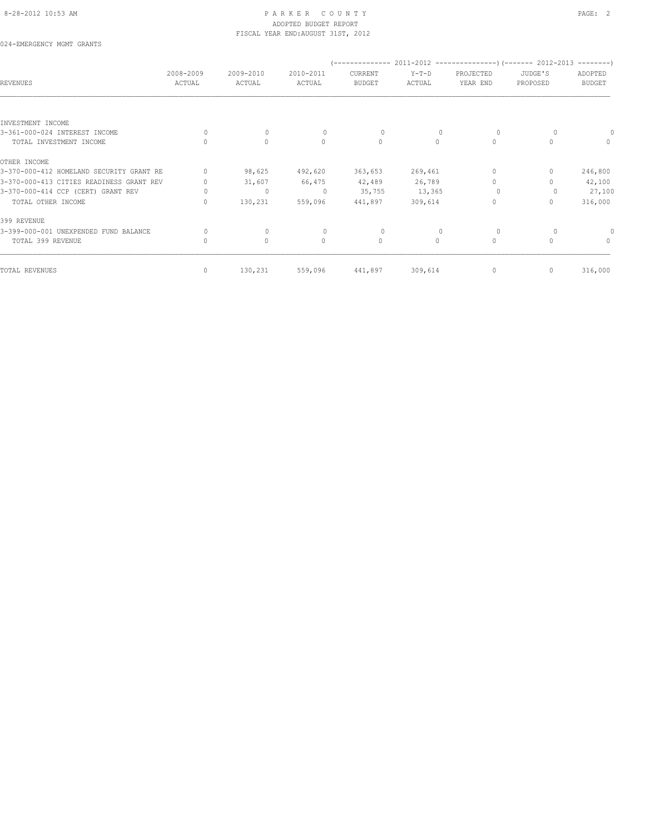# 8-28-2012 10:53 AM PAGE: 2 ADOPTED BUDGET REPORT FISCAL YEAR END:AUGUST 31ST, 2012

024-EMERGENCY MGMT GRANTS

| <b>REVENUES</b>                          | 2008-2009<br>ACTUAL | 2009-2010<br>ACTUAL | 2010-2011<br>ACTUAL              | --------------<br>CURRENT<br><b>BUDGET</b> | $Y-T-D$<br>ACTUAL | PROJECTED<br>YEAR END            | $2011 - 2012$ -----------------) (-------- 2012-2013 ---------<br>JUDGE'S<br>PROPOSED | ADOPTED<br><b>BUDGET</b>         |
|------------------------------------------|---------------------|---------------------|----------------------------------|--------------------------------------------|-------------------|----------------------------------|---------------------------------------------------------------------------------------|----------------------------------|
| INVESTMENT INCOME                        |                     |                     |                                  |                                            |                   |                                  |                                                                                       |                                  |
| 3-361-000-024 INTEREST INCOME            | $\Omega$            | $\mathbf 0$         | $\begin{array}{c} \n\end{array}$ | 0                                          |                   | $\circ$                          |                                                                                       |                                  |
| TOTAL INVESTMENT INCOME                  |                     | $\circ$             | $\mathbf{0}$                     | $\circ$                                    | $\circ$           | $\mathbf{0}$                     |                                                                                       | $\begin{array}{c} \n\end{array}$ |
| OTHER INCOME                             |                     |                     |                                  |                                            |                   |                                  |                                                                                       |                                  |
| 3-370-000-412 HOMELAND SECURITY GRANT RE | $\Omega$            | 98,625              | 492,620                          | 363,653                                    | 269,461           | $\begin{array}{c} \n\end{array}$ |                                                                                       | 246,800                          |
| 3-370-000-413 CITIES READINESS GRANT REV | 0                   | 31,607              | 66,475                           | 42,489                                     | 26,789            | $\Omega$                         |                                                                                       | 42,100                           |
| 3-370-000-414 CCP (CERT) GRANT REV       | 0                   | $\mathbf 0$         | $\circ$                          | 35,755                                     | 13,365            | $\Omega$                         |                                                                                       | 27,100                           |
| TOTAL OTHER INCOME                       | 0                   | 130,231             | 559,096                          | 441,897                                    | 309,614           | $\mathbf{0}$                     | 0                                                                                     | 316,000                          |
| 399 REVENUE                              |                     |                     |                                  |                                            |                   |                                  |                                                                                       |                                  |
| 3-399-000-001 UNEXPENDED FUND BALANCE    | 0                   | $\mathbf{0}$        | $\begin{array}{c} \n\end{array}$ | 0                                          |                   | 0                                |                                                                                       |                                  |
| TOTAL 399 REVENUE                        | $\mathbf{0}$        | $\mathbb O$         | $\mathbf{0}$                     | $\circ$                                    | $\circ$           | $\circ$                          |                                                                                       | $\mathbf{0}$                     |
| TOTAL REVENUES                           | $\mathbf{0}$        | 130,231             | 559,096                          | 441,897                                    | 309,614           | 0                                | 0                                                                                     | 316,000                          |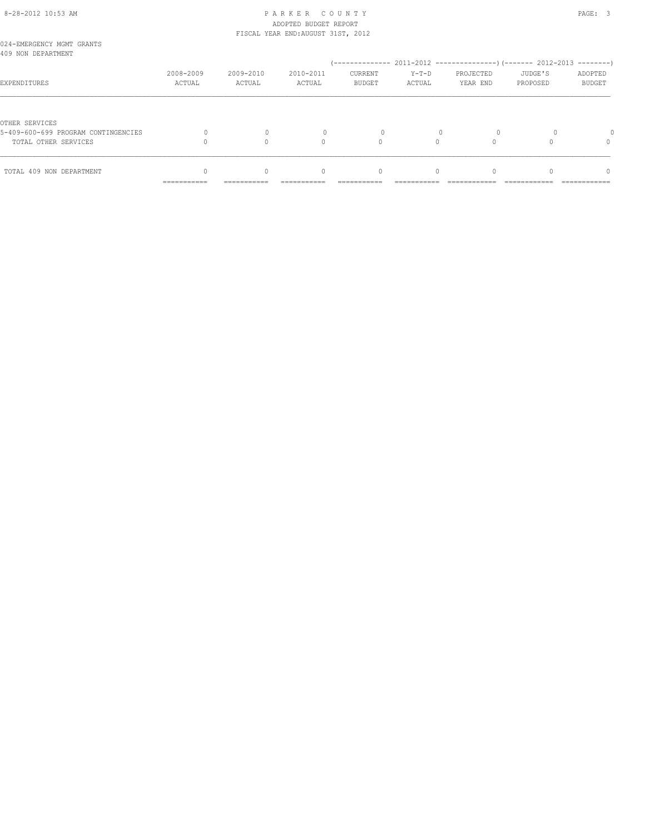# 8-28-2012 10:53 AM P A R K E R C O U N T Y PAGE: 3 ADOPTED BUDGET REPORT

|                                                 |           |           | FISCAL YEAR END: AUGUST 31ST, 2012 |                                  |          |           |          |                                  |
|-------------------------------------------------|-----------|-----------|------------------------------------|----------------------------------|----------|-----------|----------|----------------------------------|
| 024-EMERGENCY MGMT GRANTS<br>409 NON DEPARTMENT |           |           |                                    |                                  |          |           |          |                                  |
|                                                 |           |           |                                    |                                  |          |           |          |                                  |
|                                                 | 2008-2009 | 2009-2010 | 2010-2011                          | CURRENT                          | $Y-T-D$  | PROJECTED | JUDGE'S  | ADOPTED                          |
| EXPENDITURES                                    | ACTUAL    | ACTUAL    | ACTUAL                             | <b>BUDGET</b>                    | ACTUAL   | YEAR END  | PROPOSED | <b>BUDGET</b>                    |
|                                                 |           |           |                                    |                                  |          |           |          |                                  |
| OTHER SERVICES                                  |           |           |                                    |                                  |          |           |          |                                  |
| 5-409-600-699 PROGRAM CONTINGENCIES             |           |           |                                    |                                  |          |           |          |                                  |
| TOTAL OTHER SERVICES                            |           |           | $\cap$                             |                                  |          |           |          | 0                                |
|                                                 |           |           |                                    |                                  |          |           |          |                                  |
| TOTAL 409 NON DEPARTMENT                        |           | $\Omega$  | $\Omega$                           | $\begin{array}{c} \n\end{array}$ | $\Omega$ |           |          | $\begin{array}{c} \n\end{array}$ |
|                                                 |           |           |                                    |                                  |          |           |          |                                  |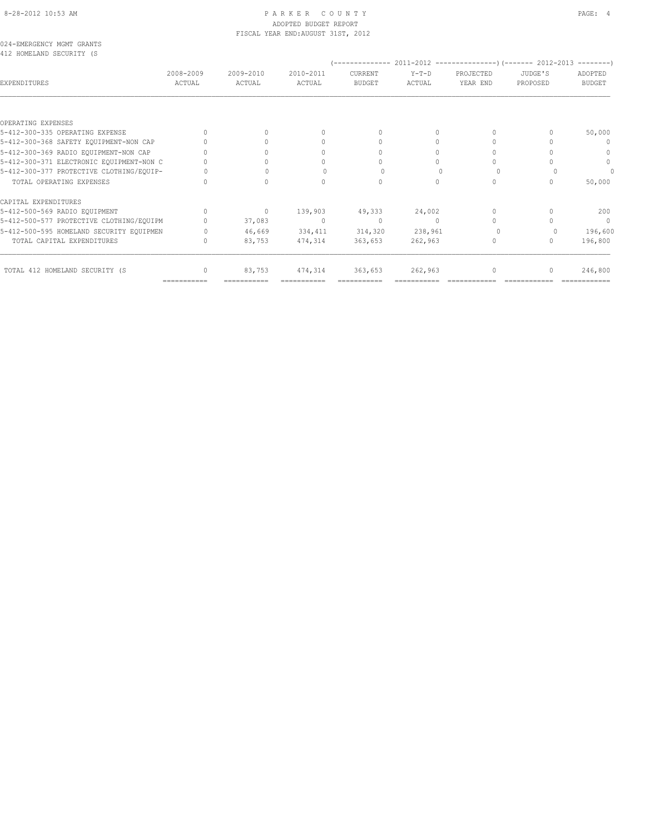#### 8-28-2012 10:53 AM P A R K E R C O U N T Y PAGE: 4 ADOPTED BUDGET REPORT FISCAL YEAR END:AUGUST 31ST, 2012

| 024-EMERGENCY MGMT GRANTS |  |  |
|---------------------------|--|--|
| 412 HOMELAND SECURITY (S  |  |  |

| 412 HOMELAND SECURITY (S                              |                     |                     |                     |                          |                   |                       |                     |                          |
|-------------------------------------------------------|---------------------|---------------------|---------------------|--------------------------|-------------------|-----------------------|---------------------|--------------------------|
| EXPENDITURES                                          | 2008-2009<br>ACTUAL | 2009-2010<br>ACTUAL | 2010-2011<br>ACTUAL | CURRENT<br><b>BUDGET</b> | $Y-T-D$<br>ACTUAL | PROJECTED<br>YEAR END | JUDGE'S<br>PROPOSED | ADOPTED<br><b>BUDGET</b> |
|                                                       |                     |                     |                     |                          |                   |                       |                     |                          |
| OPERATING EXPENSES<br>5-412-300-335 OPERATING EXPENSE |                     |                     |                     | $\bigcap$                |                   |                       |                     |                          |
|                                                       |                     |                     |                     | $\cup$                   |                   | 0<br>$\Omega$         |                     | 50,000                   |
| 5-412-300-368 SAFETY EQUIPMENT-NON CAP                |                     |                     |                     |                          |                   |                       |                     | $\Omega$                 |
| 5-412-300-369 RADIO EQUIPMENT-NON CAP                 |                     |                     |                     |                          |                   | 0                     |                     | $\cap$                   |
| 5-412-300-371 ELECTRONIC EQUIPMENT-NON C              |                     |                     |                     |                          |                   |                       |                     | $\circ$                  |
| 5-412-300-377 PROTECTIVE CLOTHING/EQUIP-              |                     |                     |                     |                          |                   |                       |                     | 0                        |
| TOTAL OPERATING EXPENSES                              |                     |                     |                     |                          | $\Omega$          | 0                     |                     | 50,000                   |
| CAPITAL EXPENDITURES                                  |                     |                     |                     |                          |                   |                       |                     |                          |
| 5-412-500-569 RADIO EQUIPMENT                         | $\Omega$            | $\circ$             | 139,903             | 49,333                   | 24,002            | $\Omega$              |                     | 200                      |
| 5-412-500-577 PROTECTIVE CLOTHING/EQUIPM              |                     | 37,083              | $\overline{0}$      | $\mathbf{0}$             | $\Omega$          | $\bigcap$             |                     | $\mathbf{0}$             |
| 5-412-500-595 HOMELAND SECURITY EQUIPMEN              |                     | 46,669              | 334,411             | 314,320                  | 238,961           |                       |                     | 196,600                  |
| TOTAL CAPITAL EXPENDITURES                            |                     | 83,753              | 474,314             | 363,653                  | 262,963           | $\mathbf{0}$          | $\Omega$            | 196,800                  |
| TOTAL 412 HOMELAND SECURITY (S                        | 0                   | 83,753              | 474,314             | 363,653                  | 262,963           | 0                     | $\Omega$            | 246,800                  |
|                                                       | ===========         |                     | ===========         |                          |                   |                       |                     |                          |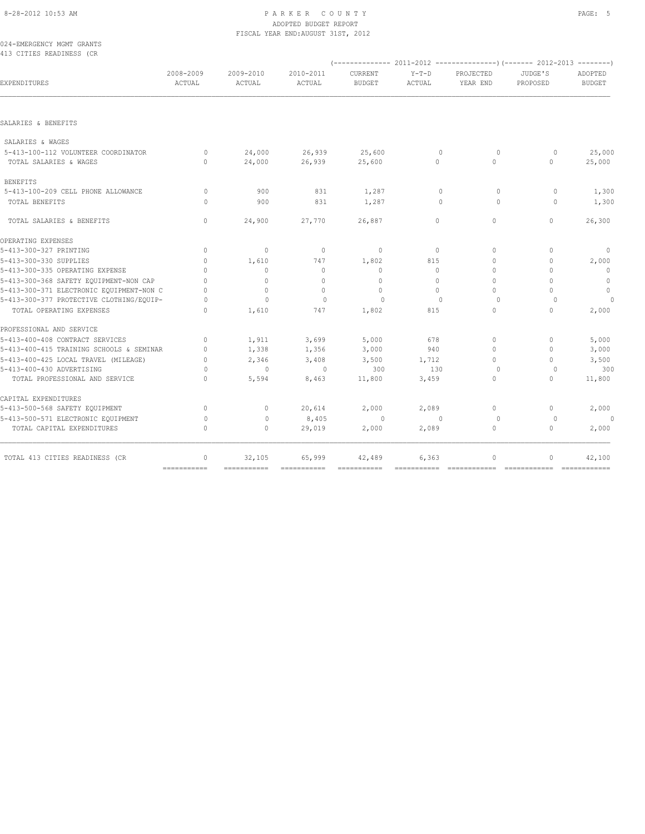# 8-28-2012 10:53 AM PAGE: 5 ADOPTED BUDGET REPORT FISCAL YEAR END:AUGUST 31ST, 2012

024-EMERGENCY MGMT GRANTS 413 CITIES READINESS (CR

| EXPENDITURES                             | 2008-2009<br><b>ACTUAL</b>       | 2009-2010<br>ACTUAL | 2010-2011<br>ACTUAL | CURRENT<br><b>BUDGET</b> | $Y-T-D$<br>ACTUAL | PROJECTED<br>YEAR END | JUDGE'S<br>PROPOSED | ADOPTED<br><b>BUDGET</b> |
|------------------------------------------|----------------------------------|---------------------|---------------------|--------------------------|-------------------|-----------------------|---------------------|--------------------------|
|                                          |                                  |                     |                     |                          |                   |                       |                     |                          |
| SALARIES & BENEFITS                      |                                  |                     |                     |                          |                   |                       |                     |                          |
| SALARIES & WAGES                         |                                  |                     |                     |                          |                   |                       |                     |                          |
| 5-413-100-112 VOLUNTEER COORDINATOR      | $\Omega$                         | 24,000              | 26,939              | 25,600                   | $\mathbf{0}$      | $\circ$               | $\circ$             | 25,000                   |
| TOTAL SALARIES & WAGES                   | $\Omega$                         | 24,000              | 26,939              | 25,600                   | $\circ$           | $\Omega$              | $\Omega$            | 25,000                   |
| <b>BENEFITS</b>                          |                                  |                     |                     |                          |                   |                       |                     |                          |
| 5-413-100-209 CELL PHONE ALLOWANCE       | $\circ$                          | 900                 | 831                 | 1,287                    | $\mathbf{0}$      | $\Omega$              | $\circ$             | 1,300                    |
| TOTAL BENEFITS                           | $\Omega$                         | 900                 | 831                 | 1,287                    | $\mathbf{0}$      | $\Omega$              | $\circ$             | 1,300                    |
| TOTAL SALARIES & BENEFITS                | $\mathbf{0}$                     | 24,900              | 27,770              | 26,887                   | $\circ$           | $\circ$               | $\circ$             | 26,300                   |
| OPERATING EXPENSES                       |                                  |                     |                     |                          |                   |                       |                     |                          |
| 5-413-300-327 PRINTING                   | $\Omega$                         | $\mathbf{0}$        | $\mathbf{0}$        | $\mathbf{0}$             | $\circ$           | $\Omega$              | $\Omega$            | $\circ$                  |
| 5-413-300-330 SUPPLIES                   | $\Omega$                         | 1,610               | 747                 | 1,802                    | 815               | $\Omega$              | $\mathbf 0$         | 2,000                    |
| 5-413-300-335 OPERATING EXPENSE          | $\Omega$                         | $\Omega$            | $\Omega$            | $\circ$                  | $\Omega$          | $\Omega$              | $\Omega$            | $\Omega$                 |
| 5-413-300-368 SAFETY EQUIPMENT-NON CAP   | $\Omega$                         | $\mathbf{0}$        | $\Omega$            | $\circ$                  | $\Omega$          | $\Omega$              | $\Omega$            | $\overline{0}$           |
| 5-413-300-371 ELECTRONIC EQUIPMENT-NON C | $\Omega$                         | $\circ$             | $\mathbf{0}$        | $\mathbf{0}$             | $\Omega$          | $\Omega$              | $\Omega$            | $\mathbb O$              |
| 5-413-300-377 PROTECTIVE CLOTHING/EQUIP- | $\Omega$                         | $\mathbf{0}$        | $\Omega$            | $\Omega$                 | $\Omega$          | $\Omega$              | $\Omega$            | $\circ$                  |
| TOTAL OPERATING EXPENSES                 | $\begin{array}{c} \n\end{array}$ | 1,610               | 747                 | 1,802                    | 815               | $\circ$               | $\Omega$            | 2,000                    |
| PROFESSIONAL AND SERVICE                 |                                  |                     |                     |                          |                   |                       |                     |                          |
| 5-413-400-408 CONTRACT SERVICES          | $\circ$                          | 1,911               | 3,699               | 5,000                    | 678               | $\Omega$              | $\Omega$            | 5,000                    |
| 5-413-400-415 TRAINING SCHOOLS & SEMINAR | $\Omega$                         | 1,338               | 1,356               | 3,000                    | 940               | $\Omega$              | $\Omega$            | 3,000                    |
| 5-413-400-425 LOCAL TRAVEL (MILEAGE)     | $\Omega$                         | 2,346               | 3,408               | 3,500                    | 1,712             | $\Omega$              | $\Omega$            | 3,500                    |
| 5-413-400-430 ADVERTISING                | $\circ$                          | $\mathbf{0}$        | $\mathbf{0}$        | 300                      | 130               | $\circ$               | 0                   | 300                      |
| TOTAL PROFESSIONAL AND SERVICE           | $\Omega$                         | 5,594               | 8,463               | 11,800                   | 3,459             | $\mathbf{0}$          | $\Omega$            | 11,800                   |
| CAPITAL EXPENDITURES                     |                                  |                     |                     |                          |                   |                       |                     |                          |
| 5-413-500-568 SAFETY EQUIPMENT           | $\mathbf{0}$                     | $\circ$             | 20,614              | 2,000                    | 2,089             | $\circ$               | 0                   | 2,000                    |
| 5-413-500-571 ELECTRONIC EQUIPMENT       | $\circ$                          | $\mathbf{0}$        | 8,405               | $\Omega$                 | $\mathbf{0}$      | $\circ$               | $\circ$             | $\Omega$                 |
| TOTAL CAPITAL EXPENDITURES               | $\Omega$                         | $\mathbf{0}$        | 29,019              | 2,000                    | 2,089             | $\circ$               | $\Omega$            | 2,000                    |
| TOTAL 413 CITIES READINESS (CR           | $\mathbf{0}$                     | 32,105              | 65,999              | 42,489                   | 6,363             | $\circ$               | $\Omega$            | 42,100                   |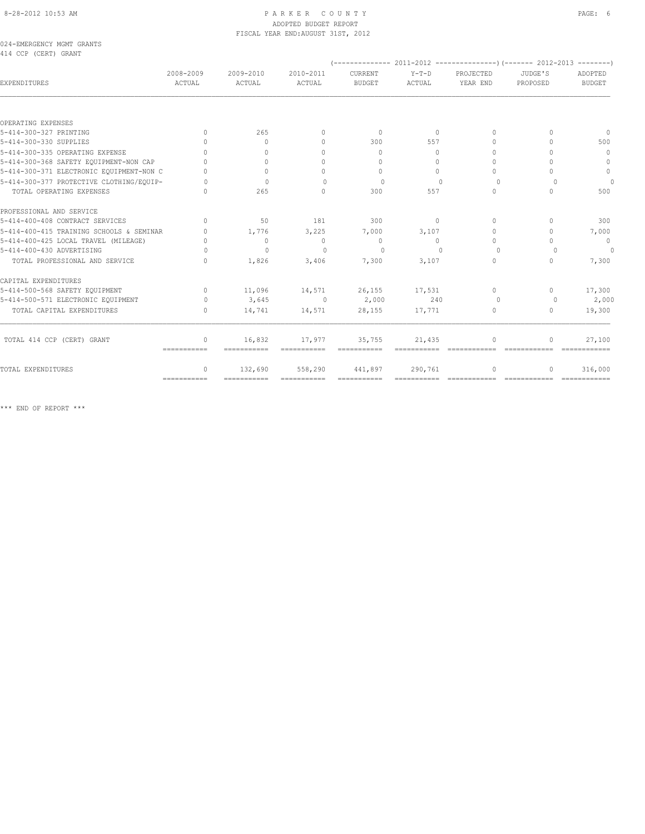#### 8-28-2012 10:53 AM PAGE: 6 PARKER COUNTY ADOPTED BUDGET REPORT FISCAL YEAR END:AUGUST 31ST, 2012

024-EMERGENCY MGMT GRANTS 414 CCP (CERT) GRANT

| <b>EXPENDITURES</b>                      | 2008-2009<br>ACTUAL              | 2009-2010<br>ACTUAL | 2010-2011<br>ACTUAL              | CURRENT<br><b>BUDGET</b>         | $Y-T-D$<br>ACTUAL | PROJECTED<br>YEAR END            | JUDGE'S<br>PROPOSED              | ADOPTED<br><b>BUDGET</b> |
|------------------------------------------|----------------------------------|---------------------|----------------------------------|----------------------------------|-------------------|----------------------------------|----------------------------------|--------------------------|
|                                          |                                  |                     |                                  |                                  |                   |                                  |                                  |                          |
| OPERATING EXPENSES                       |                                  |                     |                                  |                                  |                   |                                  |                                  |                          |
| 5-414-300-327 PRINTING                   | $\Omega$                         | 265                 | $\begin{array}{c} \n\end{array}$ | $\Omega$                         | $\Omega$          | $\begin{array}{c} \n\end{array}$ | $\Omega$                         | $\Omega$                 |
| 5-414-300-330 SUPPLIES                   | $\cap$                           | $\Omega$            | $\begin{array}{c} \n\end{array}$ | 300                              | 557               | $\begin{array}{c} \n\end{array}$ | $\bigcap$                        | 500                      |
| 5-414-300-335 OPERATING EXPENSE          | $\Omega$                         | $\Omega$            | $\begin{array}{c} \n\end{array}$ | $\begin{array}{c} \n\end{array}$ | $\Omega$          | $\begin{array}{c} \n\end{array}$ | $\cap$                           | $\mathbf{0}$             |
| 5-414-300-368 SAFETY EQUIPMENT-NON CAP   | $\cap$                           | $\bigcap$           | $\Omega$                         | $\begin{array}{c} \n\end{array}$ | $\Omega$          | $\Omega$                         | $\cap$                           | $\Omega$                 |
| 5-414-300-371 ELECTRONIC EQUIPMENT-NON C |                                  | $\Omega$            | $\Omega$                         | $\Omega$                         | $\bigcap$         | $\Omega$                         | $\bigcap$                        | $\circ$                  |
| 5-414-300-377 PROTECTIVE CLOTHING/EOUIP- | $\cap$                           | $\bigcap$           | $\Omega$                         | $\Omega$                         | $\Omega$          | $\Omega$                         | $\Omega$                         | $\Omega$                 |
| TOTAL OPERATING EXPENSES                 | $\cap$                           | 265                 | $\Omega$                         | 300                              | 557               | $\Omega$                         | $\Omega$                         | 500                      |
| PROFESSIONAL AND SERVICE                 |                                  |                     |                                  |                                  |                   |                                  |                                  |                          |
| 5-414-400-408 CONTRACT SERVICES          | $\begin{array}{c} \n\end{array}$ | 50                  | 181                              | 300                              | $\Omega$          | $\begin{array}{c} \n\end{array}$ | $\begin{array}{c} \n\end{array}$ | 300                      |
| 5-414-400-415 TRAINING SCHOOLS & SEMINAR | $\Omega$                         | 1,776               | 3,225                            | 7,000                            | 3,107             | $\Omega$                         | $\Omega$                         | 7,000                    |
| 5-414-400-425 LOCAL TRAVEL (MILEAGE)     | $\cap$                           | $\circ$             | $\Omega$                         | $\circ$                          | $\Omega$          | $\begin{array}{c} \n\end{array}$ | $\bigcap$                        | $\mathbf 0$              |
| 5-414-400-430 ADVERTISING                | $\bigcap$                        | $\Omega$            | $\bigcap$                        | $\Omega$                         | $\bigcap$         | $\Omega$                         | $\cap$                           | $\Omega$                 |
| TOTAL PROFESSIONAL AND SERVICE           | $\Omega$                         | 1,826               | 3,406                            | 7,300                            | 3,107             | $\circ$                          | $\Omega$                         | 7,300                    |
| CAPITAL EXPENDITURES                     |                                  |                     |                                  |                                  |                   |                                  |                                  |                          |
| 5-414-500-568 SAFETY EQUIPMENT           | $\Omega$                         | 11,096              | 14,571                           | 26, 155                          | 17,531            | $\Omega$                         | $\mathbf{0}$                     | 17,300                   |
| 5-414-500-571 ELECTRONIC EQUIPMENT       | $\Omega$                         | 3,645               | $\overline{0}$                   | 2,000                            | 240               | $\Omega$                         | $\Omega$                         | 2,000                    |
| TOTAL CAPITAL EXPENDITURES               | $\Omega$                         | 14,741              | 14,571                           | 28,155                           | 17,771            | 0                                | $\mathbf{0}$                     | 19,300                   |
| TOTAL 414 CCP (CERT) GRANT               | 0                                | 16,832              | 17,977                           | 35,755                           | 21,435            | $\circ$                          | 0                                | 27,100                   |
|                                          | -----------                      | ===========         | ------------                     |                                  |                   |                                  |                                  |                          |
| TOTAL EXPENDITURES                       | 0                                | 132,690             | 558,290                          | 441,897                          | 290,761           | $\circ$                          | $\mathbf{0}$                     | 316,000                  |
|                                          | ============                     | ===========         | ============                     |                                  |                   |                                  | =============                    |                          |

\*\*\* END OF REPORT \*\*\*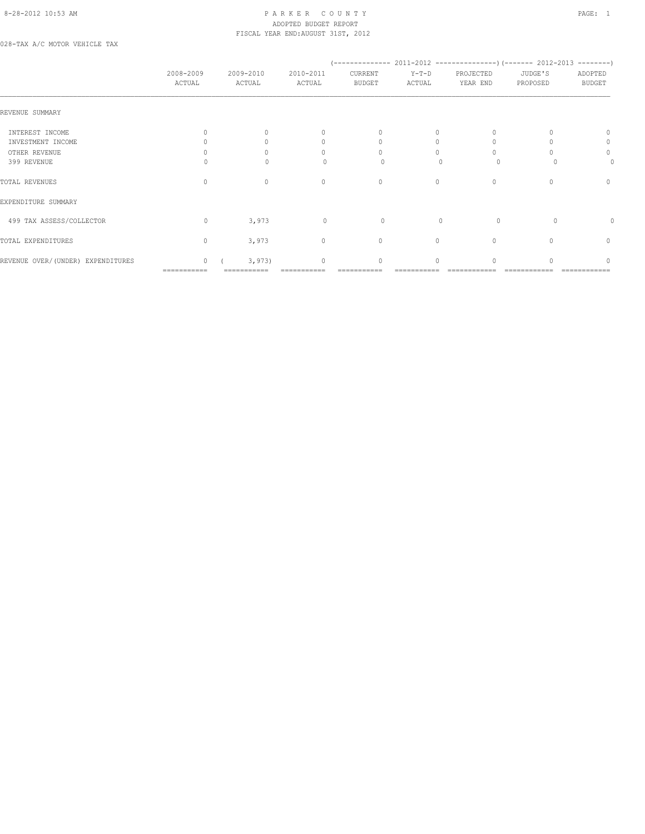## 8-28-2012 10:53 AM P A R K E R C O U N T Y PAGE: 1 ADOPTED BUDGET REPORT FISCAL YEAR END:AUGUST 31ST, 2012

028-TAX A/C MOTOR VEHICLE TAX

|                                   | 2008-2009<br>ACTUAL | 2009-2010<br>ACTUAL | 2010-2011<br>ACTUAL              | CURRENT<br><b>BUDGET</b> | $Y-T-D$<br>ACTUAL | PROJECTED<br>YEAR END | JUDGE'S<br>PROPOSED | ADOPTED<br><b>BUDGET</b> |
|-----------------------------------|---------------------|---------------------|----------------------------------|--------------------------|-------------------|-----------------------|---------------------|--------------------------|
| REVENUE SUMMARY                   |                     |                     |                                  |                          |                   |                       |                     |                          |
| INTEREST INCOME                   |                     |                     | $\mathbf{0}$                     | $\mathbf{0}$             | 0                 |                       |                     |                          |
| INVESTMENT INCOME                 |                     |                     | 0                                | $\Omega$                 |                   |                       |                     | 0                        |
| OTHER REVENUE                     |                     |                     | $\cap$                           | $\bigcap$                |                   |                       |                     | $\circ$                  |
| 399 REVENUE                       |                     | $\cap$              | $\Omega$                         | $\Omega$                 |                   | $\Omega$              |                     | 0                        |
| TOTAL REVENUES                    | $\Omega$            | $\Omega$            | $\mathbf{0}$                     | $\mathbf{0}$             | 0                 | $\mathbf{0}$          |                     | $\mathbf{0}$             |
| EXPENDITURE SUMMARY               |                     |                     |                                  |                          |                   |                       |                     |                          |
| 499 TAX ASSESS/COLLECTOR          | $\Omega$            | 3,973               | $\circ$                          | 0                        | $\Omega$          | $\Omega$              | $\Omega$            |                          |
| TOTAL EXPENDITURES                | $\mathbf{0}$        | 3,973               | $\circ$                          | $\mathbf{0}$             | $\circ$           | $\mathbf{0}$          |                     | $\mathbf{0}$             |
| REVENUE OVER/(UNDER) EXPENDITURES | $\Omega$            | 3,973               | $\begin{array}{c} \n\end{array}$ | $\Omega$                 | $\Omega$          |                       |                     | ∩                        |
|                                   | ===========         |                     |                                  |                          |                   |                       |                     |                          |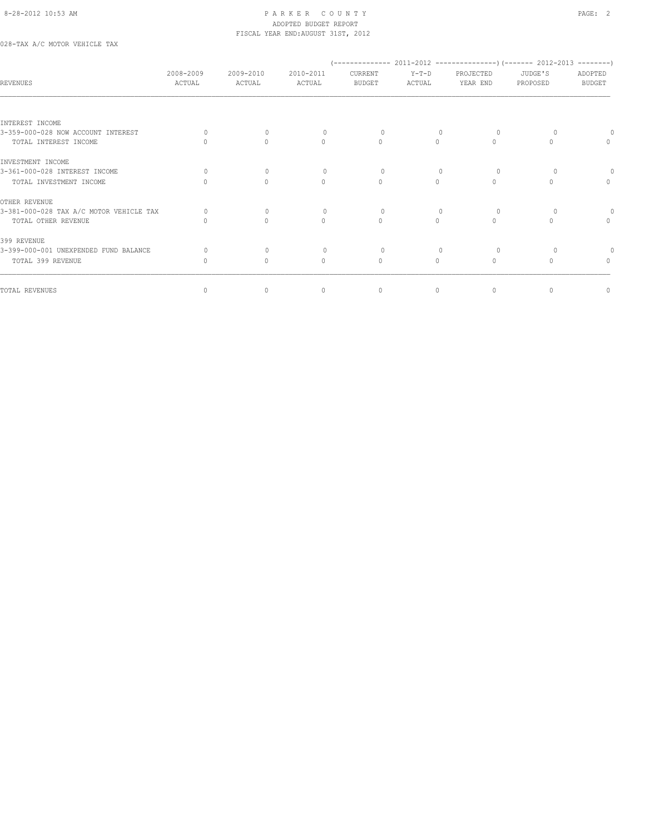#### 8-28-2012 10:53 AM PAGE: 2 ADOPTED BUDGET REPORT FISCAL YEAR END:AUGUST 31ST, 2012

028-TAX A/C MOTOR VEHICLE TAX

| <b>REVENUES</b>                         | 2008-2009<br>ACTUAL              | 2009-2010<br>ACTUAL              | 2010-2011<br>ACTUAL              | CURRENT<br><b>BUDGET</b>         | Y-T-D<br>ACTUAL                  | PROJECTED<br>YEAR END | JUDGE'S<br>PROPOSED | ADOPTED<br><b>BUDGET</b>         |
|-----------------------------------------|----------------------------------|----------------------------------|----------------------------------|----------------------------------|----------------------------------|-----------------------|---------------------|----------------------------------|
| INTEREST INCOME                         |                                  |                                  |                                  |                                  |                                  |                       |                     |                                  |
| 3-359-000-028 NOW ACCOUNT INTEREST      |                                  | $\begin{array}{c} \n\end{array}$ |                                  | $\Omega$                         |                                  | $\Omega$              |                     |                                  |
| TOTAL INTEREST INCOME                   |                                  | $\cap$                           | $\begin{array}{c} \n\end{array}$ | $\begin{array}{c} \n\end{array}$ | $\bigcap$                        | $\bigcap$             |                     | $\cap$                           |
| INVESTMENT INCOME                       |                                  |                                  |                                  |                                  |                                  |                       |                     |                                  |
| 3-361-000-028 INTEREST INCOME           |                                  | $\Omega$                         | $\Omega$                         | $\Omega$                         |                                  | $\Omega$              |                     |                                  |
| TOTAL INVESTMENT INCOME                 |                                  | $\begin{array}{c} \n\end{array}$ | $\circ$                          | $\begin{array}{c} \n\end{array}$ | $\Omega$                         | $\Omega$              |                     | $\begin{array}{c} \n\end{array}$ |
| OTHER REVENUE                           |                                  |                                  |                                  |                                  |                                  |                       |                     |                                  |
| 3-381-000-028 TAX A/C MOTOR VEHICLE TAX |                                  | $\Omega$                         | $\Omega$                         | $\Omega$                         | $\begin{array}{c} \n\end{array}$ | $\Omega$              |                     |                                  |
| TOTAL OTHER REVENUE                     |                                  | $\begin{array}{c} \n\end{array}$ | $\begin{array}{c} \n\end{array}$ | $\begin{array}{c} \n\end{array}$ | $\Omega$                         | $\Omega$              |                     | $\Omega$                         |
| 399 REVENUE                             |                                  |                                  |                                  |                                  |                                  |                       |                     |                                  |
| 3-399-000-001 UNEXPENDED FUND BALANCE   | 0                                | $\Omega$                         | $\Omega$                         | $\Omega$                         | $\begin{array}{c} \n\end{array}$ | $\Omega$              |                     |                                  |
| TOTAL 399 REVENUE                       | $\begin{array}{c} \n\end{array}$ | 0                                | $\circ$                          | $\begin{array}{c} \n\end{array}$ | $\Omega$                         | $\Omega$              |                     | $\begin{array}{c} \n\end{array}$ |
| TOTAL REVENUES                          | $\circ$                          | 0                                | $\mathbf{0}$                     | $\circ$                          | 0                                | $\mathbf{0}$          | $\mathbf{0}$        | $\mathbf 0$                      |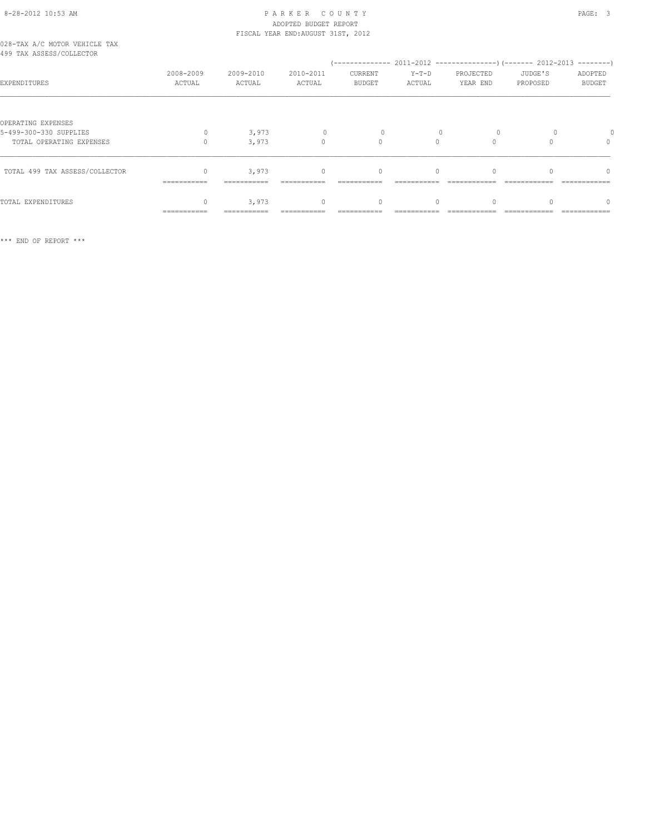# 8-28-2012 10:53 AM P A R K E R C O U N T Y PAGE: 3 ADOPTED BUDGET REPORT FISCAL YEAR END:AUGUST 31ST, 2012

|  |  | 028-TAX A/C MOTOR VEHICLE TAX |  |
|--|--|-------------------------------|--|
|  |  | 499 TAX ASSESS/COLLECTOR      |  |

| 499 TAX ASSESS/COLLECTOR                                                 |                     |                      |                                  |                          |                   |                       |                     |                          |
|--------------------------------------------------------------------------|---------------------|----------------------|----------------------------------|--------------------------|-------------------|-----------------------|---------------------|--------------------------|
| EXPENDITURES                                                             | 2008-2009<br>ACTUAL | 2009-2010<br>ACTUAL  | 2010-2011<br>ACTUAL              | CURRENT<br><b>BUDGET</b> | $Y-T-D$<br>ACTUAL | PROJECTED<br>YEAR END | JUDGE'S<br>PROPOSED | ADOPTED<br><b>BUDGET</b> |
| OPERATING EXPENSES<br>5-499-300-330 SUPPLIES<br>TOTAL OPERATING EXPENSES | 0                   | 3,973<br>3,973       | 0<br>$\cap$                      | $\cap$                   |                   |                       |                     | 0                        |
| TOTAL 499 TAX ASSESS/COLLECTOR                                           | $=$ ===========     | 3,973<br>=========== | $\begin{array}{c} \n\end{array}$ | 0                        |                   |                       |                     |                          |
| TOTAL EXPENDITURES                                                       | ==========          | 3,973                | $\cap$                           |                          |                   |                       |                     |                          |

\*\*\* END OF REPORT \*\*\*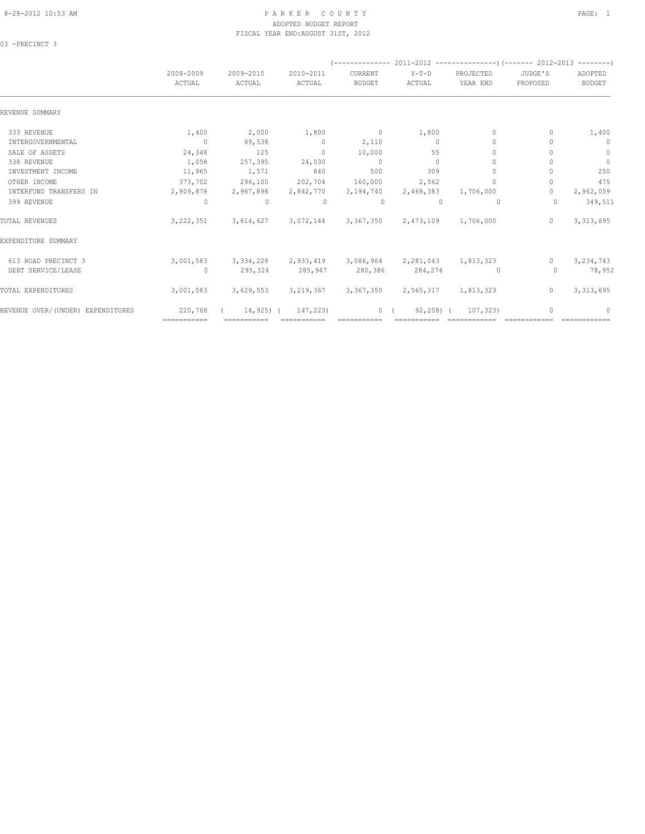# ADOPTED BUDGET REPORT FISCAL YEAR END:AUGUST 31ST, 2012

03 -PRECINCT 3

|                                   | 2008-2009<br>ACTUAL | 2009-2010<br>ACTUAL | 2010-2011<br>ACTUAL     | CURRENT<br><b>BUDGET</b> | Y-T-D<br>ACTUAL                     | PROJECTED<br>YEAR END            | JUDGE'S<br>PROPOSED | ADOPTED<br><b>BUDGET</b> |
|-----------------------------------|---------------------|---------------------|-------------------------|--------------------------|-------------------------------------|----------------------------------|---------------------|--------------------------|
|                                   |                     |                     |                         |                          |                                     |                                  |                     |                          |
| REVENUE SUMMARY                   |                     |                     |                         |                          |                                     |                                  |                     |                          |
| 333 REVENUE                       | 1,400               | 2,000               | 1,800                   | $\sim$ 0                 | 1,800                               | $\mathbf{0}$                     | 0                   | 1,400                    |
| INTERGOVERNMENTAL                 | $\sim$ 0            | 89,538              | $\sim$ 0                | 2,110                    | $\circ$                             | $\Omega$                         |                     | $\mathbf{0}$             |
| SALE OF ASSETS                    | 24,348              | 125                 | $\Omega$                | 10,000                   | 55                                  | $\Omega$                         |                     | $\mathbf{0}$             |
| 338 REVENUE                       | 1,058               | 257,395             | 24,030                  | $\sim$ 0                 | $\circ$                             | 0                                |                     | $\mathbf{0}$             |
| INVESTMENT INCOME                 | 11,965              | 1,571               | 840                     | 500                      | 309                                 | 0                                |                     | 250                      |
| OTHER INCOME                      | 373,702             | 296,100             | 202,704                 | 160,000                  | 2,562                               | $\begin{array}{c} \n\end{array}$ | 0                   | 475                      |
| INTERFUND TRANSFERS IN            | 2,809,878           | 2,967,898           | 2,842,770               | 3,194,740                | 2,468,383                           | 1,706,000                        | $\Omega$            | 2,962,059                |
| 399 REVENUE                       | $\Omega$            | $\circ$             | $\Omega$                | $\Omega$                 | $\Omega$                            | $\Omega$                         | $\Omega$            | 349,511                  |
| TOTAL REVENUES                    | 3, 222, 351         |                     | 3,614,627 3,072,144     |                          | 3,367,350 2,473,109 1,706,000       |                                  | $\Omega$            | 3, 313, 695              |
| EXPENDITURE SUMMARY               |                     |                     |                         |                          |                                     |                                  |                     |                          |
| 613 ROAD PRECINCT 3               | 3,001,583           |                     | 3, 334, 228 2, 933, 419 |                          | 3,086,964 2,281,043 1,813,323       |                                  | $\Omega$            | 3,234,743                |
| DEBT SERVICE/LEASE                | $\circ$             | 295,324             | 285,947                 | 280,386                  | 284,274                             | $\circ$                          | $\Omega$            | 78,952                   |
| TOTAL EXPENDITURES                | 3,001,583           |                     | 3,629,553 3,219,367     |                          | 3, 367, 350 2, 565, 317 1, 813, 323 |                                  | $\circ$             | 3, 313, 695              |
| REVENUE OVER/(UNDER) EXPENDITURES | 220,768             | $14,925$ ) (        | 147,223)                | 0(                       | $92, 208$ ) (                       | 107,323)                         |                     | 0                        |
|                                   | ============        |                     |                         |                          |                                     |                                  |                     |                          |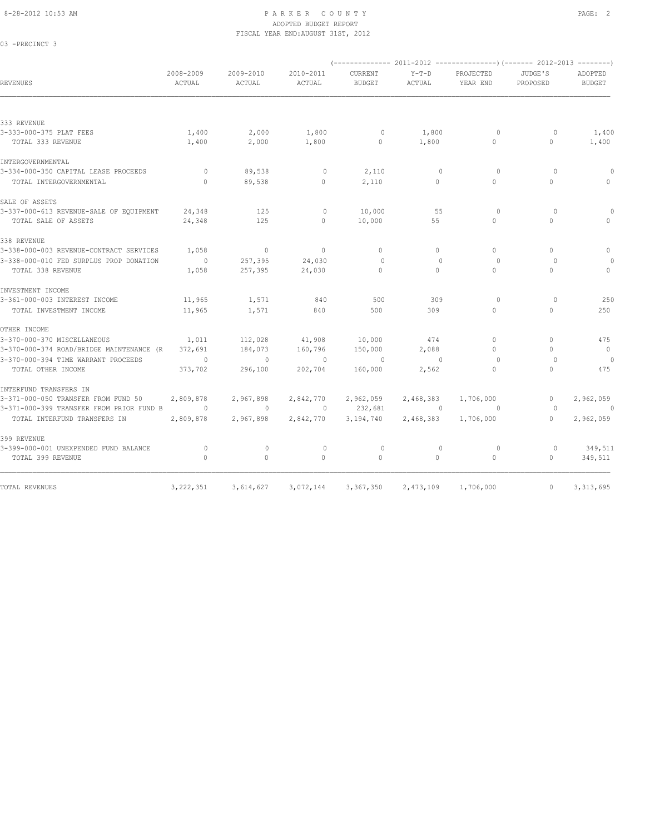03 -PRECINCT 3

# 8-28-2012 10:53 AM PAGE: 2 ADOPTED BUDGET REPORT FISCAL YEAR END:AUGUST 31ST, 2012

| REVENUES                                 | 2008-2009<br>ACTUAL | 2009-2010<br>ACTUAL | 2010-2011<br>ACTUAL | <b>CURRENT</b><br><b>BUDGET</b> | $Y-T-D$<br>ACTUAL | PROJECTED<br>YEAR END | JUDGE'S<br>PROPOSED              | ADOPTED<br><b>BUDGET</b>         |
|------------------------------------------|---------------------|---------------------|---------------------|---------------------------------|-------------------|-----------------------|----------------------------------|----------------------------------|
|                                          |                     |                     |                     |                                 |                   |                       |                                  |                                  |
| 333 REVENUE                              |                     |                     |                     |                                 |                   |                       |                                  |                                  |
| 3-333-000-375 PLAT FEES                  | 1,400               | 2,000               | 1,800               | $\circ$                         | 1,800             | $\Omega$              | $\Omega$                         | 1,400                            |
| TOTAL 333 REVENUE                        | 1,400               | 2,000               | 1,800               | $\mathbf 0$                     | 1,800             | $\Omega$              | $\circ$                          | 1,400                            |
| INTERGOVERNMENTAL                        |                     |                     |                     |                                 |                   |                       |                                  |                                  |
| 3-334-000-350 CAPITAL LEASE PROCEEDS     | $\circ$             | 89,538              | 0                   | 2,110                           | $\mathbf{0}$      | $\circ$               | $\circ$                          | 0                                |
| TOTAL INTERGOVERNMENTAL                  | $\mathbf{0}$        | 89,538              | $\circ$             | 2,110                           | $\circ$           | $\circ$               | $\circ$                          | $\begin{array}{c} \n\end{array}$ |
| SALE OF ASSETS                           |                     |                     |                     |                                 |                   |                       |                                  |                                  |
| 3-337-000-613 REVENUE-SALE OF EQUIPMENT  | 24,348              | 125                 | $\circ$             | 10,000                          | 55                | $\circ$               | $\Omega$                         |                                  |
| TOTAL SALE OF ASSETS                     | 24,348              | 125                 | $\Omega$            | 10,000                          | 55                | $\bigcap$             | $\cap$                           |                                  |
| 338 REVENUE                              |                     |                     |                     |                                 |                   |                       |                                  |                                  |
| 3-338-000-003 REVENUE-CONTRACT SERVICES  | 1,058               | $\circ$             | $\circ$             | $\mathbf{0}$                    | $\bigcap$         | $\Omega$              | $\begin{array}{c} \n\end{array}$ | 0                                |
| 3-338-000-010 FED SURPLUS PROP DONATION  | $\sim$ 0            | 257,395             | 24,030              | $\Omega$                        | $\Omega$          | $\Omega$              | $\Omega$                         |                                  |
| TOTAL 338 REVENUE                        | 1,058               | 257,395             | 24,030              | $\Omega$                        | $\Omega$          | $\Omega$              | $\Omega$                         | $\mathbf{0}$                     |
| INVESTMENT INCOME                        |                     |                     |                     |                                 |                   |                       |                                  |                                  |
| 3-361-000-003 INTEREST INCOME            | 11,965              | 1,571               | 840                 | 500                             | 309               | $\Omega$              | $\Omega$                         | 250                              |
| TOTAL INVESTMENT INCOME                  | 11,965              | 1,571               | 840                 | 500                             | 309               | $\circ$               | $\circ$                          | 250                              |
| OTHER INCOME                             |                     |                     |                     |                                 |                   |                       |                                  |                                  |
| 3-370-000-370 MISCELLANEOUS              | 1,011               | 112,028             | 41,908              | 10,000                          | 474               | $\Omega$              | $\Omega$                         | 475                              |
| 3-370-000-374 ROAD/BRIDGE MAINTENANCE (R | 372,691             | 184,073             | 160,796             | 150,000                         | 2,088             | $\Omega$              | $\begin{array}{c} \n\end{array}$ | $\overline{0}$                   |
| 3-370-000-394 TIME WARRANT PROCEEDS      | $\circ$             | $\mathbf{0}$        | $\sim$ 0            | $\circ$                         | $\circ$           | $\circ$               | $\circ$                          |                                  |
| TOTAL OTHER INCOME                       | 373,702             | 296,100             | 202,704             | 160,000                         | 2,562             | $\circ$               | $\mathbf{0}$                     | 475                              |
| INTERFUND TRANSFERS IN                   |                     |                     |                     |                                 |                   |                       |                                  |                                  |
| 3-371-000-050 TRANSFER FROM FUND 50      | 2,809,878           | 2,967,898           | 2,842,770           | 2,962,059                       | 2,468,383         | 1,706,000             | $\mathbf{0}$                     | 2,962,059                        |
| 3-371-000-399 TRANSFER FROM PRIOR FUND B | $\circ$             | $\mathbf{0}$        | $\circ$             | 232,681                         | $\overline{0}$    | $\circ$               | $\Omega$                         | $\theta$                         |
| TOTAL INTERFUND TRANSFERS IN             | 2,809,878           | 2,967,898           | 2,842,770           | 3,194,740                       | 2,468,383         | 1,706,000             | $\Omega$                         | 2,962,059                        |
| 399 REVENUE                              |                     |                     |                     |                                 |                   |                       |                                  |                                  |
| 3-399-000-001 UNEXPENDED FUND BALANCE    | $\circ$             | $\mathbf{0}$        | $\mathbf{0}$        | $\circ$                         | $\mathbf{0}$      | $\circ$               | $\circ$                          | 349,511                          |
| TOTAL 399 REVENUE                        | $\circ$             | $\circ$             | $\circ$             | $\mathbf{0}$                    | $\circ$           | $\mathbf{0}$          | $\circ$                          | 349,511                          |
|                                          |                     |                     |                     |                                 |                   |                       |                                  |                                  |
| TOTAL REVENUES                           | 3, 222, 351         | 3,614,627           | 3,072,144           | 3,367,350                       | 2,473,109         | 1,706,000             | $\mathbf{0}$                     | 3, 313, 695                      |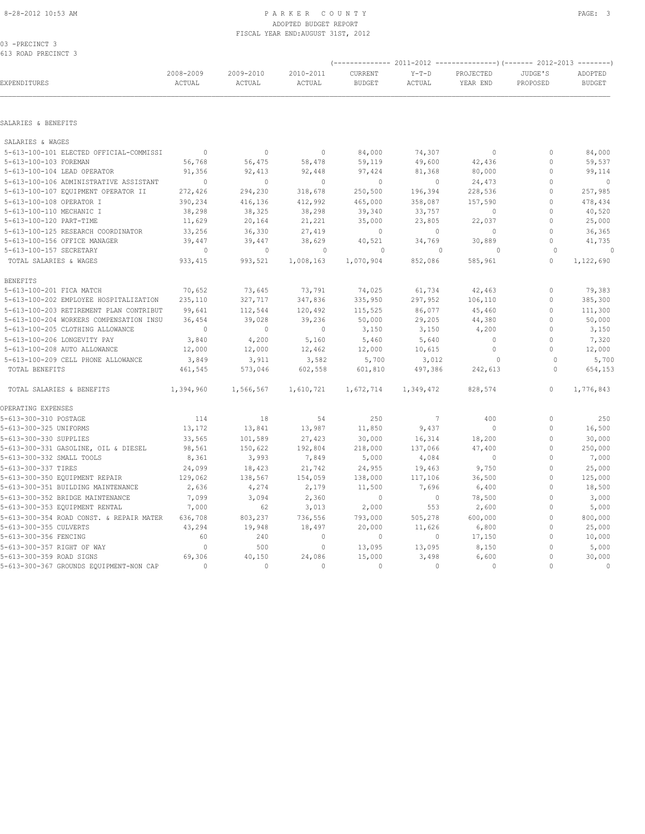#### 8-28-2012 10:53 AM PAGE: 3 ADOPTED BUDGET REPORT FISCAL YEAR END:AUGUST 31ST, 2012

03 -PRECINCT 3 613 ROAD PRECINCT 3

|                                          |                     |                     |                     | (-------------- 2011-2012<br>----------------) (------- 2012-2013 |                   |                       |                     |                          |  |
|------------------------------------------|---------------------|---------------------|---------------------|-------------------------------------------------------------------|-------------------|-----------------------|---------------------|--------------------------|--|
| EXPENDITURES                             | 2008-2009<br>ACTUAL | 2009-2010<br>ACTUAL | 2010-2011<br>ACTUAL | CURRENT<br><b>BUDGET</b>                                          | $Y-T-D$<br>ACTUAL | PROJECTED<br>YEAR END | JUDGE'S<br>PROPOSED | ADOPTED<br><b>BUDGET</b> |  |
|                                          |                     |                     |                     |                                                                   |                   |                       |                     |                          |  |
| SALARIES & BENEFITS                      |                     |                     |                     |                                                                   |                   |                       |                     |                          |  |
| SALARIES & WAGES                         |                     |                     |                     |                                                                   |                   |                       |                     |                          |  |
| 5-613-100-101 ELECTED OFFICIAL-COMMISSI  | $\sim$ 0            | $\circ$             | $\mathbf{0}$        | 84,000                                                            | 74,307            | $\circ$               | $\mathbf{0}$        | 84,000                   |  |
| 5-613-100-103 FOREMAN                    | 56,768              | 56,475              | 58,478              | 59,119                                                            | 49,600            | 42,436                | $\mathbf{0}$        | 59,537                   |  |
| 5-613-100-104 LEAD OPERATOR              | 91,356              | 92,413              | 92,448              | 97,424                                                            | 81,368            | 80,000                | $\mathbf{0}$        | 99,114                   |  |
| 5-613-100-106 ADMINISTRATIVE ASSISTANT   | $\circ$             | $\mathbf{0}$        | $\mathbf{0}$        | $\circ$                                                           | $\circ$           | 24,473                | $\mathbf{0}$        | $\overline{0}$           |  |
| 5-613-100-107 EQUIPMENT OPERATOR II      | 272,426             | 294,230             | 318,678             | 250,500                                                           | 196,394           | 228,536               | $\mathbf{0}$        | 257,985                  |  |
| 5-613-100-108 OPERATOR I                 | 390,234             | 416,136             | 412,992             | 465,000                                                           | 358,087           | 157,590               | $\mathbf{0}$        | 478,434                  |  |
| 5-613-100-110 MECHANIC I                 | 38,298              | 38,325              | 38,298              | 39,340                                                            | 33,757            | 0                     | $\mathbf{0}$        | 40,520                   |  |
| 5-613-100-120 PART-TIME                  | 11,629              | 20,164              | 21,221              | 35,000                                                            | 23,805            | 22,037                | $\Omega$            | 25,000                   |  |
| 5-613-100-125 RESEARCH COORDINATOR       | 33,256              | 36,330              | 27,419              | $\mathbf{0}$                                                      | $\circ$           | $\circ$               | $\mathbf{0}$        | 36,365                   |  |
| 5-613-100-156 OFFICE MANAGER             | 39,447              | 39,447              | 38,629              | 40,521                                                            | 34,769            | 30,889                | $\circ$             | 41,735                   |  |
| 5-613-100-157 SECRETARY                  | $\circ$             | $\circ$             | $\mathbf{0}$        | 0                                                                 | $\mathbf{0}$      | $\circ$               | $\circ$             | $\Omega$                 |  |
| TOTAL SALARIES & WAGES                   | 933, 415            | 993,521             | 1,008,163           | 1,070,904                                                         | 852,086           | 585,961               | $\circ$             | 1,122,690                |  |
| <b>BENEFITS</b>                          |                     |                     |                     |                                                                   |                   |                       |                     |                          |  |
| 5-613-100-201 FICA MATCH                 | 70,652              | 73,645              | 73,791              | 74,025                                                            | 61,734            | 42,463                | $\circ$             | 79,383                   |  |
| 5-613-100-202 EMPLOYEE HOSPITALIZATION   | 235,110             | 327,717             | 347,836             | 335,950                                                           | 297,952           | 106,110               | $\mathbf 0$         | 385,300                  |  |
| 5-613-100-203 RETIREMENT PLAN CONTRIBUT  | 99,641              | 112,544             | 120,492             | 115,525                                                           | 86,077            | 45,460                | $\mathbf{0}$        | 111,300                  |  |
| 5-613-100-204 WORKERS COMPENSATION INSU  | 36,454              | 39,028              | 39,236              | 50,000                                                            | 29,205            | 44,380                | $\mathbf{0}$        | 50,000                   |  |
| 5-613-100-205 CLOTHING ALLOWANCE         | $\mathbf{0}$        | $\circ$             | $\mathbf{0}$        | 3,150                                                             | 3,150             | 4,200                 | $\Omega$            | 3,150                    |  |
| 5-613-100-206 LONGEVITY PAY              | 3,840               | 4,200               | 5,160               | 5,460                                                             | 5,640             | $\circ$               | $\circ$             | 7,320                    |  |
| 5-613-100-208 AUTO ALLOWANCE             | 12,000              | 12,000              | 12,462              | 12,000                                                            | 10,615            | $\mathbf{0}$          | $\mathbf{0}$        | 12,000                   |  |
| 5-613-100-209 CELL PHONE ALLOWANCE       | 3,849               | 3,911               | 3,582               | 5,700                                                             | 3,012             | $\circ$               | $\circ$             | 5,700                    |  |
| TOTAL BENEFITS                           | 461,545             | 573,046             | 602,558             | 601,810                                                           | 497,386           | 242,613               | $\Omega$            | 654,153                  |  |
| TOTAL SALARIES & BENEFITS                | 1,394,960           | 1,566,567           | 1,610,721           | 1,672,714                                                         | 1,349,472         | 828,574               | $\mathbf{0}$        | 1,776,843                |  |
| OPERATING EXPENSES                       |                     |                     |                     |                                                                   |                   |                       |                     |                          |  |
| 5-613-300-310 POSTAGE                    | 114                 | 18                  | 54                  | 250                                                               | 7                 | 400                   | $\circ$             | 250                      |  |
| 5-613-300-325 UNIFORMS                   | 13,172              | 13,841              | 13,987              | 11,850                                                            | 9,437             | $\circ$               | $\mathbf{0}$        | 16,500                   |  |
| 5-613-300-330 SUPPLIES                   | 33,565              | 101,589             | 27,423              | 30,000                                                            | 16,314            | 18,200                | $\mathbf{0}$        | 30,000                   |  |
| 5-613-300-331 GASOLINE, OIL & DIESEL     | 98,561              | 150,622             | 192,804             | 218,000                                                           | 137,066           | 47,400                | $\mathbf{0}$        | 250,000                  |  |
| 5-613-300-332 SMALL TOOLS                | 8,361               | 3,993               | 7,849               | 5,000                                                             | 4,084             | $\mathbb O$           | $\Omega$            | 7,000                    |  |
| 5-613-300-337 TIRES                      | 24,099              | 18,423              | 21,742              | 24,955                                                            | 19,463            | 9,750                 | $\mathbf{0}$        | 25,000                   |  |
| 5-613-300-350 EQUIPMENT REPAIR           | 129,062             | 138,567             | 154,059             | 138,000                                                           | 117,106           | 36,500                | $\mathbf{0}$        | 125,000                  |  |
| 5-613-300-351 BUILDING MAINTENANCE       | 2,636               | 4,274               | 2,179               | 11,500                                                            | 7,696             | 6,400                 | $\mathbf{0}$        | 18,500                   |  |
| 5-613-300-352 BRIDGE MAINTENANCE         | 7,099               | 3,094               | 2,360               | $\mathbf{0}$                                                      | 0                 | 78,500                | $\mathbf{0}$        | 3,000                    |  |
| 5-613-300-353 EQUIPMENT RENTAL           | 7,000               | 62                  | 3,013               | 2,000                                                             | 553               | 2,600                 | $\mathbf{0}$        | 5,000                    |  |
| 5-613-300-354 ROAD CONST. & REPAIR MATER | 636,708             | 803,237             | 736,556             | 793,000                                                           | 505,278           | 600,000               | $\mathbf{0}$        | 800,000                  |  |
| 5-613-300-355 CULVERTS                   | 43,294              | 19,948              | 18,497              | 20,000                                                            | 11,626            | 6,800                 | $\mathbf{0}$        | 25,000                   |  |
| 5-613-300-356 FENCING                    | 60                  | 240                 | $\mathbf{0}$        | $\circ$                                                           | $\circ$           | 17,150                | $\mathbf{0}$        | 10,000                   |  |
| 5-613-300-357 RIGHT OF WAY               | $\mathbf{0}$        | 500                 | $\mathbf{0}$        | 13,095                                                            | 13,095            | 8,150                 | $\mathbf{0}$        | 5,000                    |  |
| 5-613-300-359 ROAD SIGNS                 | 69,306              | 40,150              | 24,086              | 15,000                                                            | 3,498             | 6,600                 | $\Omega$            | 30,000                   |  |
| 5-613-300-367 GROUNDS EQUIPMENT-NON CAP  | $\Omega$            | $\Omega$            | $\Omega$            | $\Omega$                                                          | $\Omega$          | $\Omega$              | $\Omega$            | $\mathbf{0}$             |  |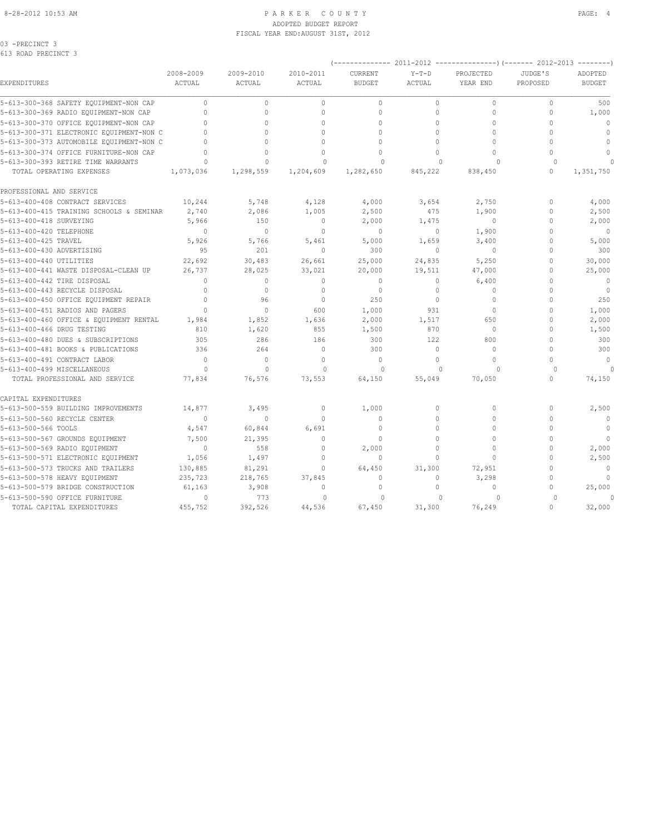#### 8-28-2012 10:53 AM PAGE: 4 ADOPTED BUDGET REPORT FISCAL YEAR END:AUGUST 31ST, 2012

03 -PRECINCT 3

| 0TG KARD RKECIMCI G                      |                                  |              |                                  |                |              |              |              |               |
|------------------------------------------|----------------------------------|--------------|----------------------------------|----------------|--------------|--------------|--------------|---------------|
|                                          | 2008-2009                        | 2009-2010    | 2010-2011                        | <b>CURRENT</b> | $Y-T-D$      | PROJECTED    | JUDGE'S      | ADOPTED       |
| EXPENDITURES                             | ACTUAL                           | ACTUAL       | ACTUAL                           | <b>BUDGET</b>  | ACTUAL       | YEAR END     | PROPOSED     | <b>BUDGET</b> |
| 5-613-300-368 SAFETY EQUIPMENT-NON CAP   | $\circ$                          | $\mathbb O$  | $\circ$                          | $\mathbb O$    | $\circ$      | $\circ$      | $\mathbf 0$  | 500           |
| 5-613-300-369 RADIO EQUIPMENT-NON CAP    | $\Omega$                         | $\Omega$     | $\circ$                          | $\mathbf{0}$   | $\circ$      | $\Omega$     | $\mathbf{0}$ | 1,000         |
| 5-613-300-370 OFFICE EQUIPMENT-NON CAP   | $\cap$                           | $\Omega$     | $\Omega$                         | $\Omega$       | $\Omega$     | $\Omega$     | $\Omega$     | $\Omega$      |
| 5-613-300-371 ELECTRONIC EQUIPMENT-NON C |                                  | $\Omega$     | $\Omega$                         | $\Omega$       | $\Omega$     | $\Omega$     | $\cap$       | $\mathbf{0}$  |
| 5-613-300-373 AUTOMOBILE EQUIPMENT-NON C |                                  | $\Omega$     | O                                | $\Omega$       | $\Omega$     | $\Omega$     | $\Omega$     | $\mathbf{0}$  |
| 5-613-300-374 OFFICE FURNITURE-NON CAP   | O                                | $\Omega$     | $\Omega$                         | $\Omega$       | $\Omega$     | $\Omega$     | $\Omega$     | $\mathbf{0}$  |
| 5-613-300-393 RETIRE TIME WARRANTS       | $\Omega$                         | $\Omega$     | $\Omega$                         | $\Omega$       | $\Omega$     | $\cap$       | $\Omega$     | $\Omega$      |
| TOTAL OPERATING EXPENSES                 | 1,073,036                        | 1,298,559    | 1,204,609                        | 1,282,650      | 845,222      | 838,450      | $\mathbf{0}$ | 1,351,750     |
| PROFESSIONAL AND SERVICE                 |                                  |              |                                  |                |              |              |              |               |
| 5-613-400-408 CONTRACT SERVICES          | 10,244                           | 5,748        | 4,128                            | 4,000          | 3,654        | 2,750        | $\mathbf{0}$ | 4,000         |
| 5-613-400-415 TRAINING SCHOOLS & SEMINAR | 2,740                            | 2,086        | 1,005                            | 2,500          | 475          | 1,900        | $\Omega$     | 2,500         |
| 5-613-400-418 SURVEYING                  | 5,966                            | 150          | $\mathbf{0}$                     | 2,000          | 1,475        | $\Omega$     | $\Omega$     | 2,000         |
| 5-613-400-420 TELEPHONE                  | $\mathbf{0}$                     | $\mathbf{0}$ | $\mathbf{0}$                     | $\mathbf 0$    | 0            | 1,900        | $\Omega$     | $\mathbf{0}$  |
| 5-613-400-425 TRAVEL                     | 5,926                            | 5,766        | 5,461                            | 5,000          | 1,659        | 3,400        | $\Omega$     | 5,000         |
| 5-613-400-430 ADVERTISING                | 95                               | 201          | $\mathbf{0}$                     | 300            | $\circ$      | $\circ$      | $\Omega$     | 300           |
| 5-613-400-440 UTILITIES                  | 22,692                           | 30,483       | 26,661                           | 25,000         | 24,835       | 5,250        | $\Omega$     | 30,000        |
| 5-613-400-441 WASTE DISPOSAL-CLEAN UP    | 26,737                           | 28,025       | 33,021                           | 20,000         | 19,511       | 47,000       | $\cap$       | 25,000        |
| 5-613-400-442 TIRE DISPOSAL              | $\begin{array}{c} \n\end{array}$ | $\mathbf 0$  | $\begin{array}{c} \n\end{array}$ | $\Omega$       | $\Omega$     | 6,400        | $\Omega$     | $\mathbf{0}$  |
| 5-613-400-443 RECYCLE DISPOSAL           | $\mathbf{0}$                     | $\mathbb O$  | $\mathbb O$                      | $\mathbb O$    | $\mathbf{0}$ | $\circ$      | $\Omega$     | $\mathbf 0$   |
| 5-613-400-450 OFFICE EQUIPMENT REPAIR    | $\Omega$                         | 96           | $\circ$                          | 250            | $\mathbf{0}$ | $\Omega$     | $\Omega$     | 250           |
| 5-613-400-451 RADIOS AND PAGERS          | $\Omega$                         | $\mathbf{0}$ | 600                              | 1,000          | 931          | $\circ$      | $\Omega$     | 1,000         |
| 5-613-400-460 OFFICE & EQUIPMENT RENTAL  | 1,984                            | 1,852        | 1,636                            | 2,000          | 1,517        | 650          | $\mathbf 0$  | 2,000         |
| 5-613-400-466 DRUG TESTING               | 810                              | 1,620        | 855                              | 1,500          | 870          | $\mathbf{0}$ | $\Omega$     | 1,500         |
| 5-613-400-480 DUES & SUBSCRIPTIONS       | 305                              | 286          | 186                              | 300            | 122          | 800          | $\Omega$     | 300           |
| 5-613-400-481 BOOKS & PUBLICATIONS       | 336                              | 264          | $\Omega$                         | 300            | $\Omega$     | $\Omega$     | $\Omega$     | 300           |
| 5-613-400-491 CONTRACT LABOR             | $\bigcap$                        | $\mathbf 0$  | $\mathbf{0}$                     | $\mathbf{0}$   | $\circ$      | $\Omega$     | $\Omega$     | $\mathbf{0}$  |
| 5-613-400-499 MISCELLANEOUS              | $\Omega$                         | $\Omega$     | $\Omega$                         | $\Omega$       | $\Omega$     | $\Omega$     | $\Omega$     |               |
| TOTAL PROFESSIONAL AND SERVICE           | 77,834                           | 76,576       | 73,553                           | 64,150         | 55,049       | 70,050       | $\Omega$     | 74,150        |
| CAPITAL EXPENDITURES                     |                                  |              |                                  |                |              |              |              |               |
| 5-613-500-559 BUILDING IMPROVEMENTS      | 14,877                           | 3,495        | $\mathbf{0}$                     | 1,000          | 0            | $\Omega$     | $\mathbf{0}$ | 2,500         |
| 5-613-500-560 RECYCLE CENTER             | $\Omega$                         | $\mathbf 0$  | $\Omega$                         | $\Omega$       | $\Omega$     | $\Omega$     | $\Omega$     | $\mathbf{0}$  |
| 5-613-500-566 TOOLS                      | 4,547                            | 60,844       | 6,691                            | $\mathbf 0$    | $\circ$      | $\Omega$     | $\Omega$     | $\mathbf{0}$  |
| 5-613-500-567 GROUNDS EQUIPMENT          | 7,500                            | 21,395       | $\mathbf{0}$                     | $\mathbf{0}$   | $\circ$      | $\Omega$     | $\Omega$     | $\mathbf{0}$  |
| 5-613-500-569 RADIO EQUIPMENT            | $\mathbf{0}$                     | 558          | $\mathbf{0}$                     | 2,000          | $\circ$      | $\Omega$     | $\mathbf{0}$ | 2,000         |
| 5-613-500-571 ELECTRONIC EQUIPMENT       | 1,056                            | 1,497        | $\circ$                          | $\theta$       | $\Omega$     | $\Omega$     | $\Omega$     | 2,500         |
| 5-613-500-573 TRUCKS AND TRAILERS        | 130,885                          | 81,291       | $\mathbf{0}$                     | 64,450         | 31,300       | 72,951       | $\Omega$     | $\mathbf{0}$  |
| 5-613-500-578 HEAVY EQUIPMENT            | 235,723                          | 218,765      | 37,845                           | $\mathbf{0}$   | $\Omega$     | 3,298        | $\Omega$     | $\Omega$      |
| 5-613-500-579 BRIDGE CONSTRUCTION        | 61,163                           | 3,908        | $\mathbf{0}$                     | $\mathbf{0}$   | $\Omega$     | 0            | $\Omega$     | 25,000        |
| 5-613-500-590 OFFICE FURNITURE           | $\Omega$                         | 773          | $\Omega$                         | $\Omega$       | $\Omega$     | $\Omega$     | $\Omega$     | $\Omega$      |
| TOTAL CAPITAL EXPENDITURES               | 455,752                          | 392,526      | 44,536                           | 67,450         | 31,300       | 76,249       | $\cap$       | 32,000        |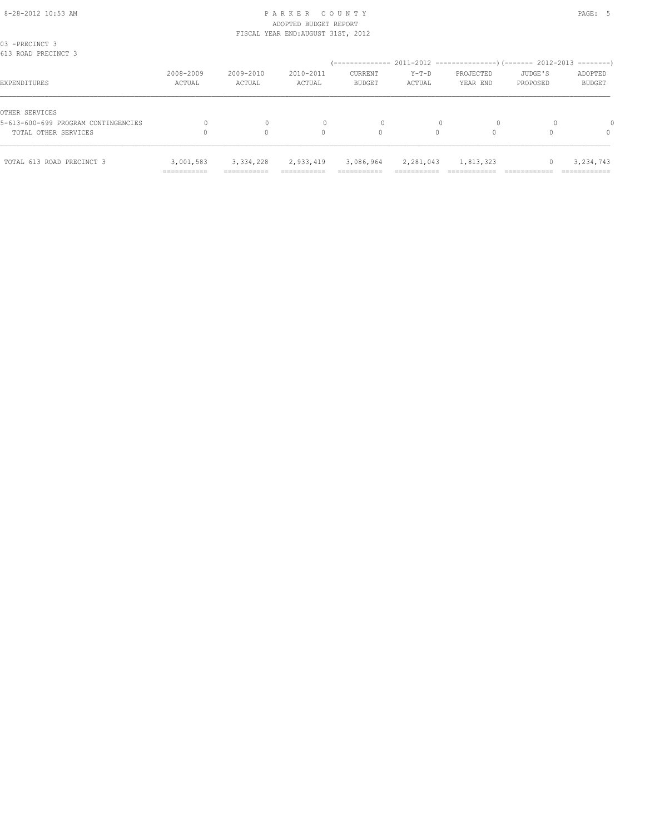| 03 -PRECINCT 3<br>613 ROAD PRECINCT 3                 |                          |                                          |                         |                                       |                                      |                       |                     |                          |
|-------------------------------------------------------|--------------------------|------------------------------------------|-------------------------|---------------------------------------|--------------------------------------|-----------------------|---------------------|--------------------------|
| EXPENDITURES                                          | 2008-2009<br>ACTUAL      | 2009-2010<br>ACTUAL                      | 2010-2011<br>ACTUAL     | <b>CURRENT</b><br><b>BUDGET</b>       | $Y-T-D$<br>ACTUAL                    | PROJECTED<br>YEAR END | JUDGE'S<br>PROPOSED | ADOPTED<br><b>BUDGET</b> |
| OTHER SERVICES<br>5-613-600-699 PROGRAM CONTINGENCIES |                          |                                          |                         | 0                                     |                                      |                       |                     |                          |
| TOTAL OTHER SERVICES                                  |                          |                                          | 0                       | 0                                     |                                      |                       |                     | 0                        |
| TOTAL 613 ROAD PRECINCT 3                             | 3,001,583<br>=========== | 3, 334, 228<br>----------<br>----------- | 2,933,419<br>__________ | 3,086,964<br>_________<br>----------- | 2,281,043<br>----------<br>--------- | 1,813,323             |                     | 3,234,743<br>___________ |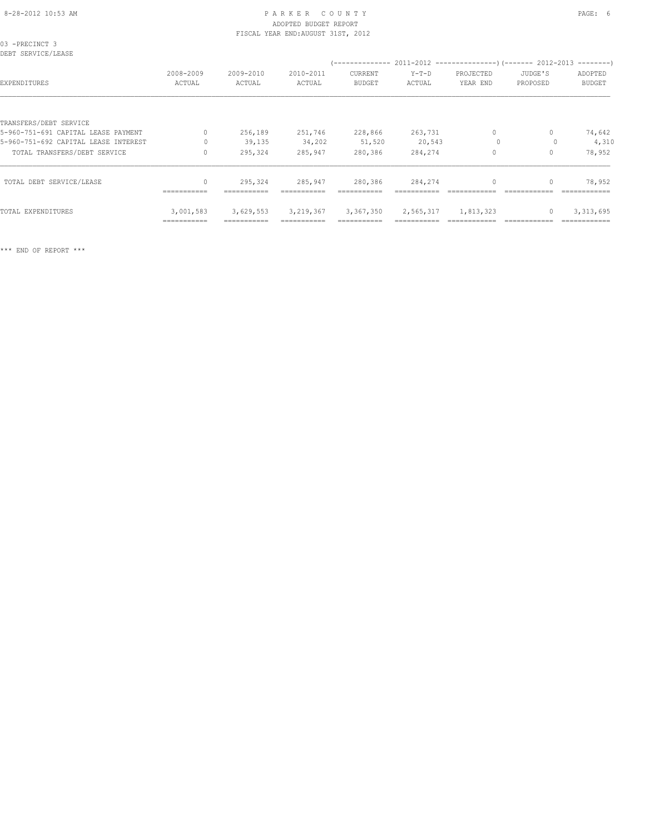| 03 -PRECINCT 3<br>DEBT SERVICE/LEASE |                     |                     |                     |                          |                   |                       |                     |                          |
|--------------------------------------|---------------------|---------------------|---------------------|--------------------------|-------------------|-----------------------|---------------------|--------------------------|
| EXPENDITURES                         | 2008-2009<br>ACTUAL | 2009-2010<br>ACTUAL | 2010-2011<br>ACTUAL | CURRENT<br><b>BUDGET</b> | $Y-T-D$<br>ACTUAL | PROJECTED<br>YEAR END | JUDGE'S<br>PROPOSED | ADOPTED<br><b>BUDGET</b> |
| TRANSFERS/DEBT SERVICE               |                     |                     |                     |                          |                   |                       |                     |                          |
| 5-960-751-691 CAPITAL LEASE PAYMENT  | $\Omega$            | 256,189             | 251,746             | 228,866                  | 263,731           | $\circ$               | 0                   | 74,642                   |
| 5-960-751-692 CAPITAL LEASE INTEREST | $\Omega$            | 39,135              | 34,202              | 51,520                   | 20,543            | $\circ$               | 0                   | 4,310                    |
| TOTAL TRANSFERS/DEBT SERVICE         | $\Omega$            | 295,324             | 285,947             | 280,386                  | 284,274           | $\Omega$              | $\Omega$            | 78,952                   |
| TOTAL DEBT SERVICE/LEASE             | $\mathbf{0}$        | 295,324             | 285,947             | 280,386                  | 284,274           | $\mathbf{0}$          | $\mathbf{0}$        | 78,952                   |
|                                      | ===========         | ===========         | ===========         | ===========              |                   |                       |                     |                          |
| TOTAL EXPENDITURES                   | 3,001,583           | 3,629,553           | 3, 219, 367         | 3,367,350                | 2,565,317         | 1,813,323             | $\mathbf{0}$        | 3, 313, 695              |
|                                      | ===========         |                     |                     |                          |                   |                       |                     |                          |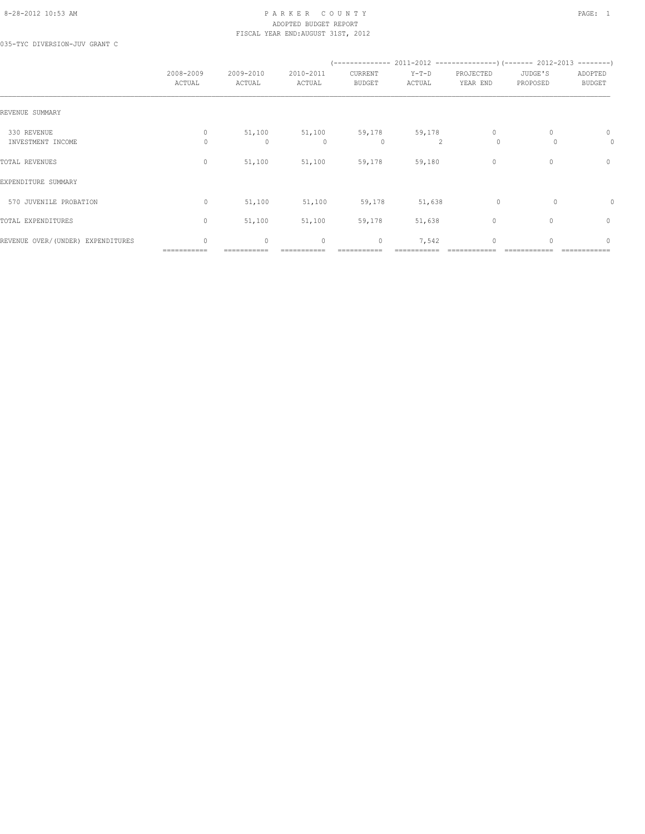#### 8-28-2012 10:53 AM PAGE: 1 PARKER COUNTY PAGE: 1 ADOPTED BUDGET REPORT FISCAL YEAR END:AUGUST 31ST, 2012

035-TYC DIVERSION-JUV GRANT C

|                                   | 2008-2009<br>ACTUAL         | 2009-2010<br>ACTUAL | 2010-2011<br>ACTUAL | CURRENT<br><b>BUDGET</b> | $Y-T-D$<br>ACTUAL        | PROJECTED<br>YEAR END   | JUDGE'S<br>PROPOSED | ADOPTED<br><b>BUDGET</b> |
|-----------------------------------|-----------------------------|---------------------|---------------------|--------------------------|--------------------------|-------------------------|---------------------|--------------------------|
| REVENUE SUMMARY                   |                             |                     |                     |                          |                          |                         |                     |                          |
| 330 REVENUE<br>INVESTMENT INCOME  | $\mathbf{0}$<br>$\Omega$    | 51,100<br>0         | 51,100<br>$\Omega$  | 59,178<br>0              | 59,178<br>$\mathfrak{D}$ | $\mathbf{0}$<br>$\circ$ | $\Omega$            | 0<br>0                   |
| TOTAL REVENUES                    | $\mathbf{0}$                | 51,100              | 51,100              | 59,178                   | 59,180                   | $\mathbf{0}$            | $\mathbf{0}$        | 0                        |
| EXPENDITURE SUMMARY               |                             |                     |                     |                          |                          |                         |                     |                          |
| 570 JUVENILE PROBATION            | 0                           | 51,100              | 51,100              | 59,178                   | 51,638                   | $\circ$                 | 0                   | 0                        |
| TOTAL EXPENDITURES                | $\mathbf{0}$                | 51,100              | 51,100              | 59,178                   | 51,638                   | $\mathbf{0}$            | 0                   | $\mathbf{0}$             |
| REVENUE OVER/(UNDER) EXPENDITURES | $\mathbf{0}$<br>=========== | $\circ$             | $\mathbf 0$         | $\circ$                  | 7,542                    | $\mathbf 0$             | $\Omega$            | $\mathbf{0}$             |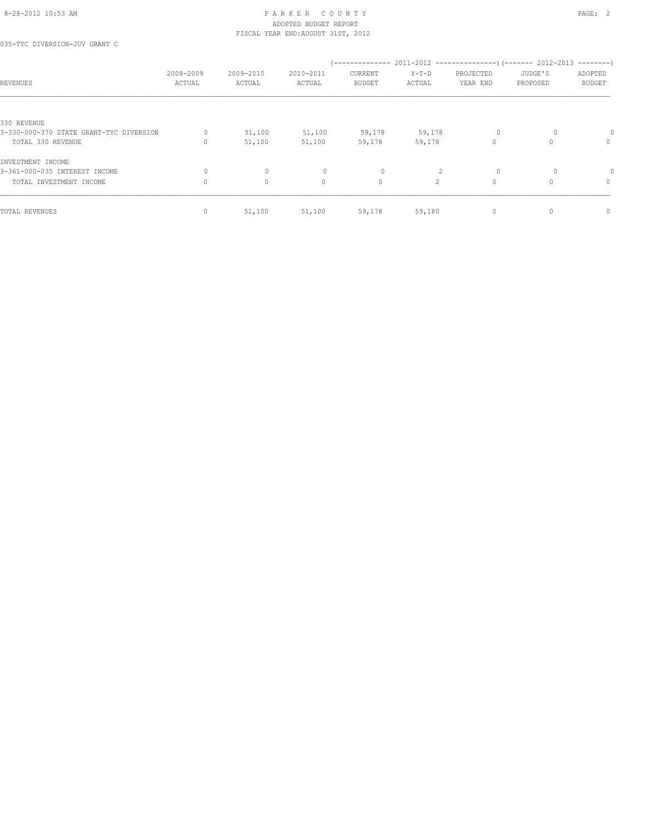035-TYC DIVERSION-JUV GRANT C

| REVENUES                                | 2008-2009<br>ACTUAL | 2009-2010<br>ACTUAL | 2010-2011<br>ACTUAL              | --------------<br>CURRENT<br><b>BUDGET</b> | $Y-T-D$<br>ACTUAL | PROJECTED<br>YEAR END | 2011-2012 -----------------) (------- 2012-2013<br>JUDGE'S<br>PROPOSED | $------$<br>ADOPTED<br><b>BUDGET</b> |
|-----------------------------------------|---------------------|---------------------|----------------------------------|--------------------------------------------|-------------------|-----------------------|------------------------------------------------------------------------|--------------------------------------|
|                                         |                     |                     |                                  |                                            |                   |                       |                                                                        |                                      |
| 330 REVENUE                             |                     |                     |                                  |                                            |                   |                       |                                                                        |                                      |
| 3-330-000-370 STATE GRANT-TYC DIVERSION | 0                   | 51,100              | 51,100                           | 59,178                                     | 59,178            | $\circ$               |                                                                        |                                      |
| TOTAL 330 REVENUE                       | 0                   | 51,100              | 51,100                           | 59,178                                     | 59,178            | $\mathbf 0$           |                                                                        | $\mathbf{0}$                         |
| INVESTMENT INCOME                       |                     |                     |                                  |                                            |                   |                       |                                                                        |                                      |
| 3-361-000-035 INTEREST INCOME           | $\Omega$            | $\mathbf{0}$        | $\begin{array}{c} \n\end{array}$ | 0                                          |                   | $\circ$               |                                                                        |                                      |
| TOTAL INVESTMENT INCOME                 | $\Omega$            | $\circ$             | $\mathbf{0}$                     | $\circ$                                    | $\overline{2}$    | $\circ$               | $\Omega$                                                               | $\mathbf{0}$                         |
| TOTAL REVENUES                          | $\Omega$            | 51,100              | 51,100                           | 59,178                                     | 59,180            | 0                     |                                                                        | $\mathbf{0}$                         |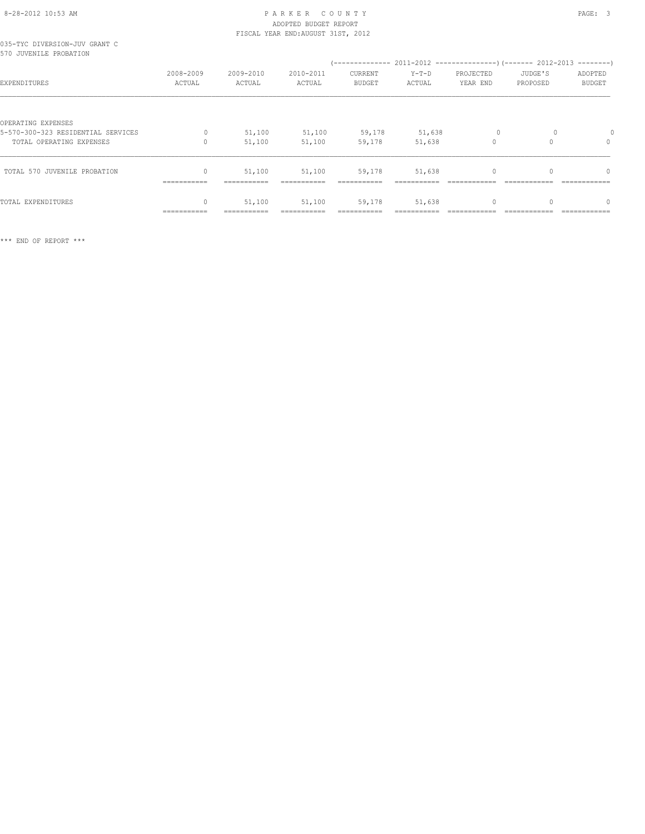## 8-28-2012 10:53 AM P A R K E R C O U N T Y PAGE: 3 ADOPTED BUDGET REPORT

|                               |  | FISCAL YEAR END: AUGUST 31ST, 2012 |  |
|-------------------------------|--|------------------------------------|--|
| 035-TYC DIVERSION-JUV GRANT C |  |                                    |  |
| 570 JUVENILE PROBATION        |  |                                    |  |

| D/U JUVENILE PROBATION                                                               |                                |                       |                       |                                 |                       |                       |                     |                          |
|--------------------------------------------------------------------------------------|--------------------------------|-----------------------|-----------------------|---------------------------------|-----------------------|-----------------------|---------------------|--------------------------|
| EXPENDITURES                                                                         | 2008-2009<br>ACTUAL            | 2009-2010<br>ACTUAL   | 2010-2011<br>ACTUAL   | <b>CURRENT</b><br><b>BUDGET</b> | $Y-T-D$<br>ACTUAL     | PROJECTED<br>YEAR END | JUDGE'S<br>PROPOSED | ADOPTED<br><b>BUDGET</b> |
| OPERATING EXPENSES<br>5-570-300-323 RESIDENTIAL SERVICES<br>TOTAL OPERATING EXPENSES | 0                              | 51,100<br>51,100      | 51,100<br>51,100      | 59,178<br>59,178                | 51,638<br>51,638      | $\Omega$              |                     | 0                        |
| TOTAL 570 JUVENILE PROBATION                                                         | 0<br>$=$ = = = = = = = = = = = | 51,100<br>=========== | 51,100<br>=========== | 59,178<br>===========           | 51,638<br>=========== |                       |                     |                          |
| TOTAL EXPENDITURES                                                                   | 0<br>----------                | 51,100                | 51,100                | 59,178                          | 51,638                |                       |                     |                          |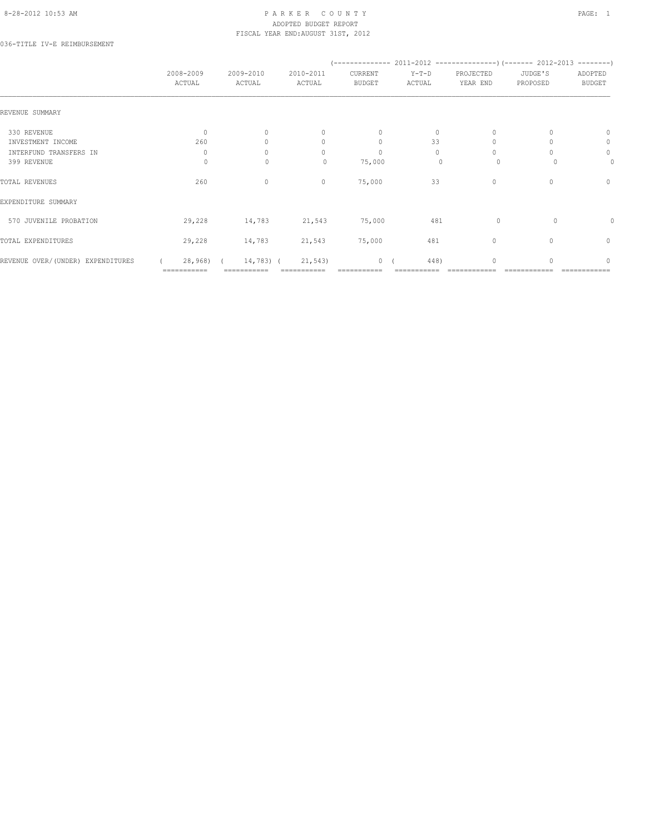#### 8-28-2012 10:53 AM PAGE: 1 PAR K E R C O U N T Y ADOPTED BUDGET REPORT FISCAL YEAR END:AUGUST 31ST, 2012

036-TITLE IV-E REIMBURSEMENT

|                                   | 2008-2009<br>ACTUAL | 2009-2010<br>ACTUAL | 2010-2011<br>ACTUAL | CURRENT<br><b>BUDGET</b> | $Y-T-D$<br>ACTUAL | PROJECTED<br>YEAR END | JUDGE'S<br>PROPOSED | ADOPTED<br><b>BUDGET</b> |
|-----------------------------------|---------------------|---------------------|---------------------|--------------------------|-------------------|-----------------------|---------------------|--------------------------|
| REVENUE SUMMARY                   |                     |                     |                     |                          |                   |                       |                     |                          |
| 330 REVENUE                       | $\Omega$            | $\Omega$            | $\mathbf{0}$        | $\circ$                  | $\circ$           | $\Omega$              |                     | 0                        |
| INVESTMENT INCOME                 | 260                 |                     | 0                   | $\mathbf{0}$             | 33                |                       |                     | 0                        |
| INTERFUND TRANSFERS IN            | $\mathbf{0}$        | U                   | $\cap$              | $\mathbf{0}$             | $\bigcap$         | $\bigcap$             |                     | $\circ$                  |
| 399 REVENUE                       | 0                   | $\mathbf{0}$        | 0                   | 75,000                   | 0                 | $\circ$               |                     | 0                        |
| TOTAL REVENUES                    | 260                 | $\mathbf{0}$        | $\mathbf{0}$        | 75,000                   | 33                | $\mathbf{0}$          | 0                   | $\mathbf{0}$             |
| EXPENDITURE SUMMARY               |                     |                     |                     |                          |                   |                       |                     |                          |
| 570 JUVENILE PROBATION            | 29,228              | 14,783              | 21,543              | 75,000                   | 481               | $\circ$               | $\Omega$            |                          |
| TOTAL EXPENDITURES                | 29,228              | 14,783              | 21,543              | 75,000                   | 481               | $\circ$               | 0                   | $\mathbf{0}$             |
| REVENUE OVER/(UNDER) EXPENDITURES | 28,968)             | 14,783) (           | 21,543              | $\overline{0}$           | 448)              | $\Omega$              |                     | $\cap$                   |
|                                   | ===========         |                     |                     |                          |                   |                       |                     |                          |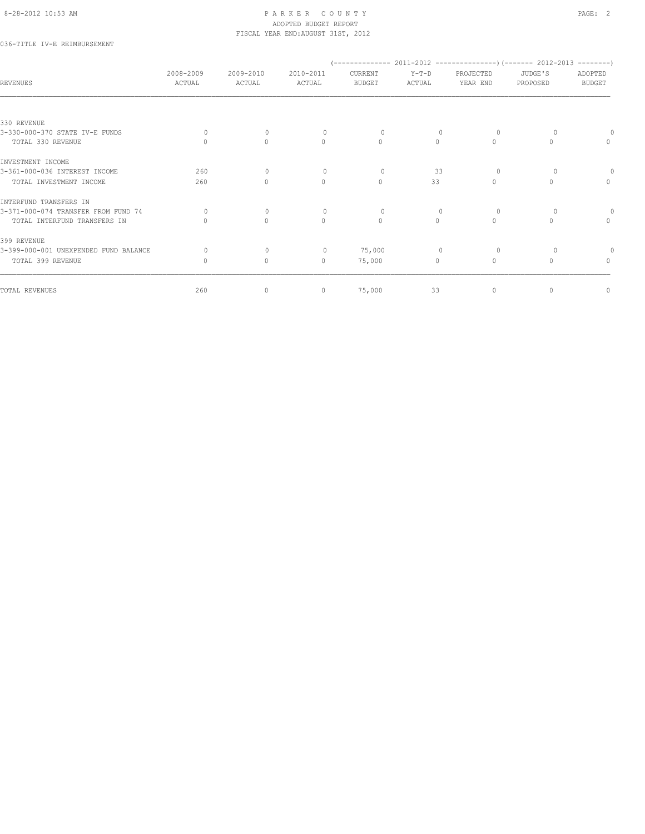### 036-TITLE IV-E REIMBURSEMENT

| <b>REVENUES</b>                               | 2008-2009<br>ACTUAL | 2009-2010<br>ACTUAL              | 2010-2011<br>ACTUAL              | CURRENT<br><b>BUDGET</b> | $Y-T-D$<br>ACTUAL | PROJECTED<br>YEAR END | JUDGE'S<br>PROPOSED | ADOPTED<br><b>BUDGET</b>         |
|-----------------------------------------------|---------------------|----------------------------------|----------------------------------|--------------------------|-------------------|-----------------------|---------------------|----------------------------------|
|                                               |                     |                                  |                                  |                          |                   |                       |                     |                                  |
| 330 REVENUE<br>3-330-000-370 STATE IV-E FUNDS | $\Omega$            | $\mathbf{0}$                     |                                  | $\circ$                  |                   | 0                     |                     |                                  |
| TOTAL 330 REVENUE                             | $\bigcap$           | $\Omega$                         | $\begin{array}{c} \n\end{array}$ | $\Omega$                 | $\Omega$          | $\Omega$              | $\Omega$            | $\Omega$                         |
| INVESTMENT INCOME                             |                     |                                  |                                  |                          |                   |                       |                     |                                  |
| 3-361-000-036 INTEREST INCOME                 | 260                 | $\Omega$                         | $\Omega$                         | $\Omega$                 | 33                | $\Omega$              |                     |                                  |
| TOTAL INVESTMENT INCOME                       | 260                 | $\begin{array}{c} \n\end{array}$ | $\circ$                          | $\circ$                  | 33                | $\mathbf{0}$          | 0                   | $\mathbf{0}$                     |
| INTERFUND TRANSFERS IN                        |                     |                                  |                                  |                          |                   |                       |                     |                                  |
| 3-371-000-074 TRANSFER FROM FUND 74           | $\circ$             | $\mathbf{0}$                     | $\mathbf{0}$                     | $\circ$                  | $\mathbf{0}$      | 0                     | $\Omega$            |                                  |
| TOTAL INTERFUND TRANSFERS IN                  | $\Omega$            | $\Omega$                         | $\mathbf{0}$                     | $\mathbf{0}$             | $\circ$           | $\mathbf{0}$          | $\Omega$            | $\begin{array}{c} \n\end{array}$ |
| 399 REVENUE                                   |                     |                                  |                                  |                          |                   |                       |                     |                                  |
| 3-399-000-001 UNEXPENDED FUND BALANCE         | $\Omega$            | $\mathbf{0}$                     | $\mathbf{0}$                     | 75,000                   |                   | $\Omega$              |                     |                                  |
| TOTAL 399 REVENUE                             | 0                   | $\circ$                          | $\circ$                          | 75,000                   | $\circ$           | $\mathbf{0}$          |                     | $\mathbf{0}$                     |
| TOTAL REVENUES                                | 260                 | $\circ$                          | $\mathbf 0$                      | 75,000                   | 33                | 0                     | $\mathbf{0}$        | $\circ$                          |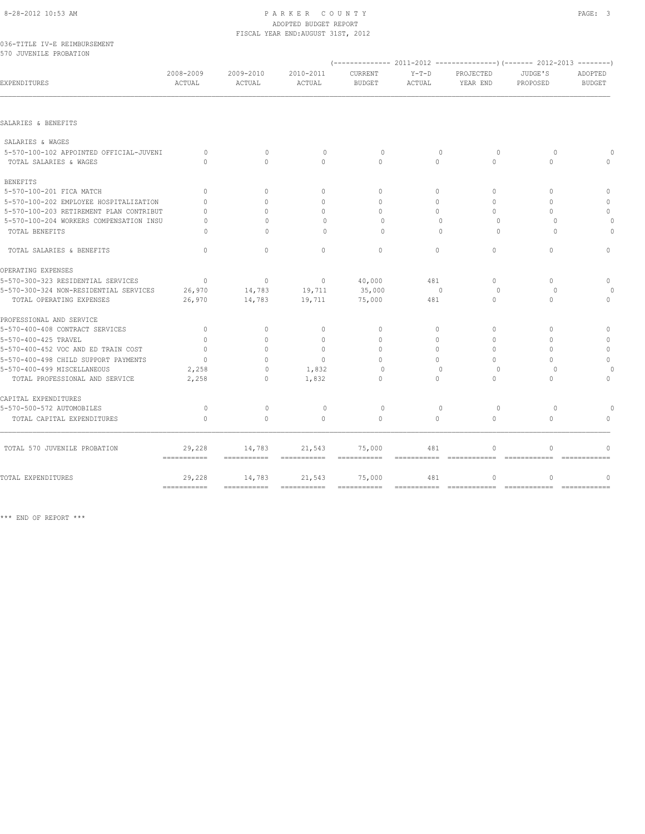#### 8-28-2012 10:53 AM P A R K E R C O U N T Y PAGE: 3 ADOPTED BUDGET REPORT FISCAL YEAR END:AUGUST 31ST, 2012

|  | 036-TITLE IV-E REIMBURSEMENT |
|--|------------------------------|
|  | 570 JUVENILE PROBATION       |

| 310 JUVENILE FRUBATION                  |                                     |                       |                       |                           |                                  |                          |                                  |                               |
|-----------------------------------------|-------------------------------------|-----------------------|-----------------------|---------------------------|----------------------------------|--------------------------|----------------------------------|-------------------------------|
| EXPENDITURES                            | 2008-2009<br>ACTUAL                 | 2009-2010<br>ACTUAL   | 2010-2011<br>ACTUAL   | CURRENT<br><b>BUDGET</b>  | $Y-T-D$<br>ACTUAL                | PROJECTED<br>YEAR END    | JUDGE'S<br>PROPOSED              | ADOPTED<br><b>BUDGET</b>      |
| SALARIES & BENEFITS                     |                                     |                       |                       |                           |                                  |                          |                                  |                               |
|                                         |                                     |                       |                       |                           |                                  |                          |                                  |                               |
| SALARIES & WAGES                        |                                     |                       |                       |                           |                                  |                          |                                  |                               |
| 5-570-100-102 APPOINTED OFFICIAL-JUVENI | $\Omega$                            | $\mathbf{0}$          | $\circ$               | $\circ$                   | $\mathbf{0}$                     | $\circ$                  | $\circ$                          |                               |
| TOTAL SALARIES & WAGES                  | $\begin{array}{c} \n\end{array}$    | $\bigcap$             | $\Omega$              | $\Omega$                  | $\Omega$                         | $\Omega$                 | $\Omega$                         | $\bigcap$                     |
| <b>BENEFITS</b>                         |                                     |                       |                       |                           |                                  |                          |                                  |                               |
| 5-570-100-201 FICA MATCH                | $\Omega$                            | $\circ$               | $\mathbf{0}$          | $\mathbf{0}$              | 0                                | $\circ$                  | $\begin{array}{c} \n\end{array}$ | $\mathbf{0}$                  |
| 5-570-100-202 EMPLOYEE HOSPITALIZATION  | $\Omega$                            | $\Omega$              | $\Omega$              | $\Omega$                  | $\Omega$                         | $\Omega$                 | $\Omega$                         | $\Omega$                      |
| 5-570-100-203 RETIREMENT PLAN CONTRIBUT | $\Omega$                            | $\Omega$              | $\mathbf{0}$          | $\Omega$                  | $\Omega$                         | $\Omega$                 | $\Omega$                         | $\mathbf{0}$                  |
| 5-570-100-204 WORKERS COMPENSATION INSU | $\Omega$                            | $\Omega$              | $\Omega$              | $\Omega$                  | $\mathbf{0}$                     | $\circ$                  | $\circ$                          | $\circ$                       |
| TOTAL BENEFITS                          | $\Omega$                            | $\cap$                | $\Omega$              | $\cap$                    | $\Omega$                         | $\Omega$                 | $\Omega$                         | $\Omega$                      |
| TOTAL SALARIES & BENEFITS               | $\Omega$                            | $\Omega$              | $\Omega$              | $\Omega$                  | $\Omega$                         | $\Omega$                 | $\Omega$                         | $\Omega$                      |
| OPERATING EXPENSES                      |                                     |                       |                       |                           |                                  |                          |                                  |                               |
| 5-570-300-323 RESIDENTIAL SERVICES      | $\Omega$                            | $\Omega$              | $\mathbf{0}$          | 40,000                    | 481                              | $\Omega$                 | $\Omega$                         | $\Omega$                      |
| 5-570-300-324 NON-RESIDENTIAL SERVICES  | 26,970                              | 14,783                | 19,711                | 35,000                    | $\Omega$                         | $\Omega$                 | $\cap$                           | $\Omega$                      |
| TOTAL OPERATING EXPENSES                | 26,970                              | 14,783                | 19,711                | 75,000                    | 481                              | $\Omega$                 | $\Omega$                         | $\Omega$                      |
| PROFESSIONAL AND SERVICE                |                                     |                       |                       |                           |                                  |                          |                                  |                               |
| 5-570-400-408 CONTRACT SERVICES         | $\mathbf{0}$                        | $\circ$               | $\mathbf{0}$          | $\mathbf{0}$              | $\Omega$                         | $\Omega$                 | $\Omega$                         | $\Omega$                      |
| 5-570-400-425 TRAVEL                    | $\Omega$                            | $\Omega$              | $\mathbf{0}$          | $\Omega$                  | $\Omega$                         | $\Omega$                 | $\bigcap$                        | $\mathbf{0}$                  |
| 5-570-400-452 VOC AND ED TRAIN COST     | $\Omega$                            | $\cap$                | $\Omega$              | $\Omega$                  | $\Omega$                         | $\Omega$                 | $\Omega$                         | $\mathbf{0}$                  |
| 5-570-400-498 CHILD SUPPORT PAYMENTS    | $\Omega$                            | $\Omega$              | $\Omega$              | $\Omega$                  | $\cap$                           | $\Omega$                 | $\cap$                           | $\Omega$                      |
| 5-570-400-499 MISCELLANEOUS             | 2,258                               | $\Omega$              | 1,832                 | $\Omega$                  | $\Omega$                         | $\Omega$                 | $\bigcap$                        | $\Omega$                      |
| TOTAL PROFESSIONAL AND SERVICE          | 2,258                               | $\Omega$              | 1,832                 | $\Omega$                  | $\Omega$                         | $\Omega$                 | $\Omega$                         | $\Omega$                      |
| CAPITAL EXPENDITURES                    |                                     |                       |                       |                           |                                  |                          |                                  |                               |
| 5-570-500-572 AUTOMOBILES               | $\circ$                             | $\mathbf{0}$          | $\mathbf{0}$          | $\circ$                   | $\mathbf{0}$                     | $\circ$                  | $\Omega$                         | $\bigcap$                     |
| TOTAL CAPITAL EXPENDITURES              | $\Omega$                            | $\Omega$              | $\Omega$              | $\Omega$                  | $\Omega$                         | $\bigcap$                | $\bigcap$                        | $\bigcap$                     |
| TOTAL 570 JUVENILE PROBATION            | 29,228                              | 14,783                | 21,543                | 75,000                    | 481                              | $\mathbf{0}$             | $\cap$                           | $\bigcap$                     |
|                                         | ===========                         | ===========           | ===========           | $=$ = = = = = = = = = = = | ===========                      |                          |                                  |                               |
| TOTAL EXPENDITURES                      | 29,228<br>$=$ = = = = = = = = = = = | 14,783<br>=========== | 21,543<br>=========== | 75,000<br>$=$ =========== | 481<br>$=$ = = = = = = = = = = = | $\circ$<br>============= | $\mathbf{0}$<br>=============    | $\mathbf{0}$<br>============= |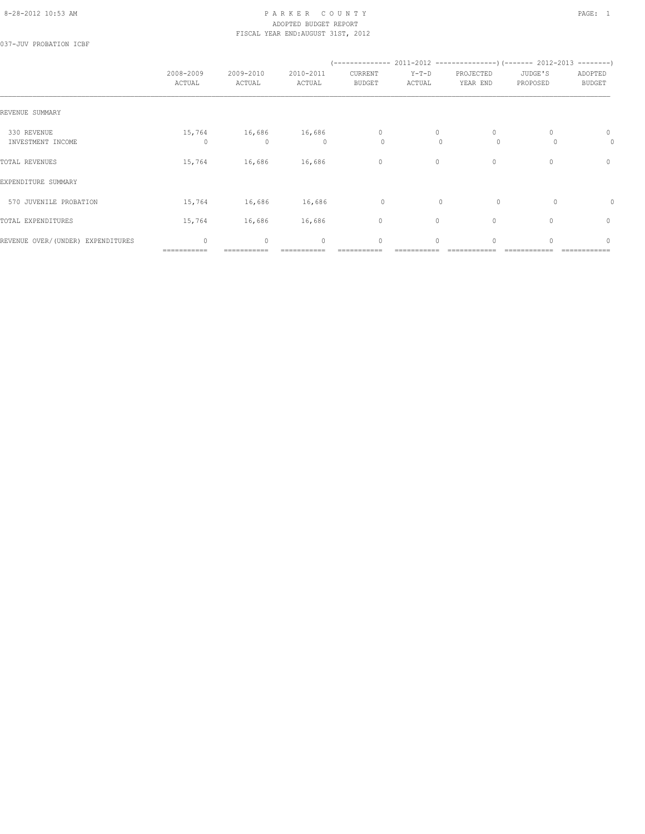#### 8-28-2012 10:53 AM PAGE: 1 PARKER COUNTY PAGE: 1 ADOPTED BUDGET REPORT FISCAL YEAR END:AUGUST 31ST, 2012

037-JUV PROBATION ICBF

|                                    | 2008-2009<br>ACTUAL         | 2009-2010<br>ACTUAL    | 2010-2011<br>ACTUAL | CURRENT<br><b>BUDGET</b> | $Y-T-D$<br>ACTUAL | PROJECTED<br>YEAR END   | JUDGE'S<br>PROPOSED              | ADOPTED<br><b>BUDGET</b> |
|------------------------------------|-----------------------------|------------------------|---------------------|--------------------------|-------------------|-------------------------|----------------------------------|--------------------------|
| REVENUE SUMMARY                    |                             |                        |                     |                          |                   |                         |                                  |                          |
| 330 REVENUE<br>INVESTMENT INCOME   | 15,764<br>$\Omega$          | 16,686<br>$\mathbf{0}$ | 16,686<br>$\Omega$  | $\mathbf{0}$<br>$\circ$  | 0<br>$\Omega$     | $\mathbf{0}$<br>$\circ$ |                                  | 0<br>0                   |
| TOTAL REVENUES                     | 15,764                      | 16,686                 | 16,686              | $\circ$                  | $\circ$           | $\mathbf{0}$            | $\mathbf{0}$                     | $\circ$                  |
| EXPENDITURE SUMMARY                |                             |                        |                     |                          |                   |                         |                                  |                          |
| 570 JUVENILE PROBATION             | 15,764                      | 16,686                 | 16,686              | 0                        | $\Omega$          | $\circ$                 | $\Omega$                         | 0                        |
| TOTAL EXPENDITURES                 | 15,764                      | 16,686                 | 16,686              | $\circ$                  | $\circ$           | $\mathbf{0}$            | $\begin{array}{c} \n\end{array}$ | 0                        |
| REVENUE OVER/ (UNDER) EXPENDITURES | $\mathbf{0}$<br>=========== | $\mathbf{0}$           | $\mathbf{0}$        | $\circ$                  | $\circ$           | $\mathbf{0}$            | O                                | $\mathbf{0}$             |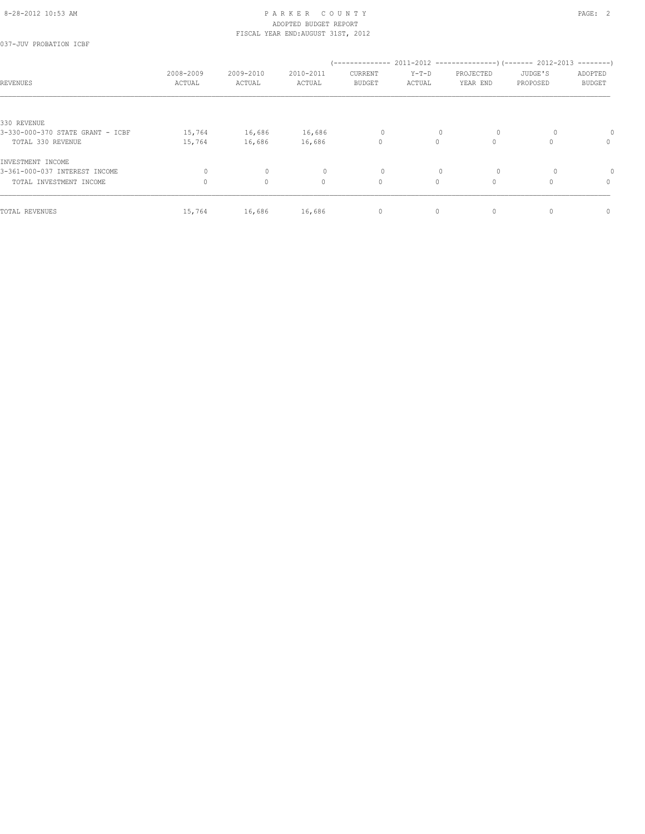037-JUV PROBATION ICBF

| REVENUES                         | 2008-2009<br>ACTUAL | 2009-2010<br>ACTUAL | 2010-2011<br>ACTUAL | (--------------<br>CURRENT<br><b>BUDGET</b> | $Y-T-D$<br>ACTUAL | PROJECTED<br>YEAR END | $2011-2012$ ----------------) (------- 2012-2013 --------)<br>JUDGE'S<br>PROPOSED | ADOPTED<br><b>BUDGET</b> |
|----------------------------------|---------------------|---------------------|---------------------|---------------------------------------------|-------------------|-----------------------|-----------------------------------------------------------------------------------|--------------------------|
|                                  |                     |                     |                     |                                             |                   |                       |                                                                                   |                          |
| 330 REVENUE                      |                     |                     |                     |                                             |                   |                       |                                                                                   |                          |
| 3-330-000-370 STATE GRANT - ICBF | 15,764              | 16,686              | 16,686              | 0                                           | $\mathbf{0}$      | $\circ$               |                                                                                   |                          |
| TOTAL 330 REVENUE                | 15,764              | 16,686              | 16,686              | $\circ$                                     | $\circ$           | $\circ$               | $\Omega$                                                                          | $\mathbf{0}$             |
| INVESTMENT INCOME                |                     |                     |                     |                                             |                   |                       |                                                                                   |                          |
| 3-361-000-037 INTEREST INCOME    | $\circ$             | $\mathbf{0}$        | 0                   | 0                                           | $\mathbf{0}$      | $\circ$               |                                                                                   |                          |
| TOTAL INVESTMENT INCOME          | $\Omega$            | $\circ$             | $\mathbf{0}$        | $\circ$                                     | $\circ$           | $\circ$               | 0                                                                                 | 0                        |
| TOTAL REVENUES                   | 15,764              | 16,686              | 16,686              | 0                                           | 0                 | $\mathbf{0}$          | 0                                                                                 | $\mathbf{0}$             |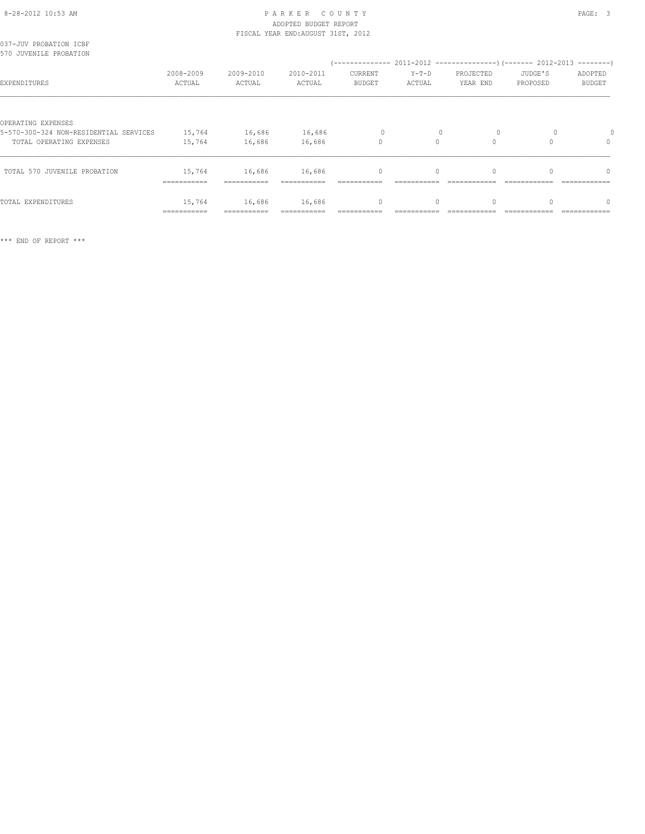## 8-28-2012 10:53 AM PAGE: 3 ADOPTED BUDGET REPORT

|                                                                    |                       |                       | FISCAL YEAR END: AUGUST 31ST, 2012 |                    |                   |                       |                     |                          |
|--------------------------------------------------------------------|-----------------------|-----------------------|------------------------------------|--------------------|-------------------|-----------------------|---------------------|--------------------------|
| 037-JUV PROBATION ICBF<br>570 JUVENILE PROBATION                   |                       |                       |                                    |                    |                   |                       |                     |                          |
| EXPENDITURES                                                       | 2008-2009<br>ACTUAL   | 2009-2010<br>ACTUAL   | 2010-2011<br>ACTUAL                | CURRENT<br>BUDGET  | $Y-T-D$<br>ACTUAL | PROJECTED<br>YEAR END | JUDGE'S<br>PROPOSED | ADOPTED<br><b>BUDGET</b> |
| OPERATING EXPENSES                                                 |                       |                       |                                    |                    |                   |                       |                     |                          |
| 5-570-300-324 NON-RESIDENTIAL SERVICES<br>TOTAL OPERATING EXPENSES | 15,764<br>15,764      | 16,686<br>16,686      | 16,686<br>16,686                   | $\circ$<br>$\circ$ | $\Omega$          | $\circ$<br>$\Omega$   |                     | $\Omega$                 |
| TOTAL 570 JUVENILE PROBATION                                       | 15,764<br>=========== | 16,686<br>=========== | 16,686<br>------------             | $\circ$            | $\circ$           | $\mathbf{0}$          | 0                   | 0                        |
| TOTAL EXPENDITURES                                                 | 15,764<br>=========== | 16,686                | 16,686                             | $\mathbf 0$        | $\circ$           | $\mathbf{0}$          |                     | $\Omega$                 |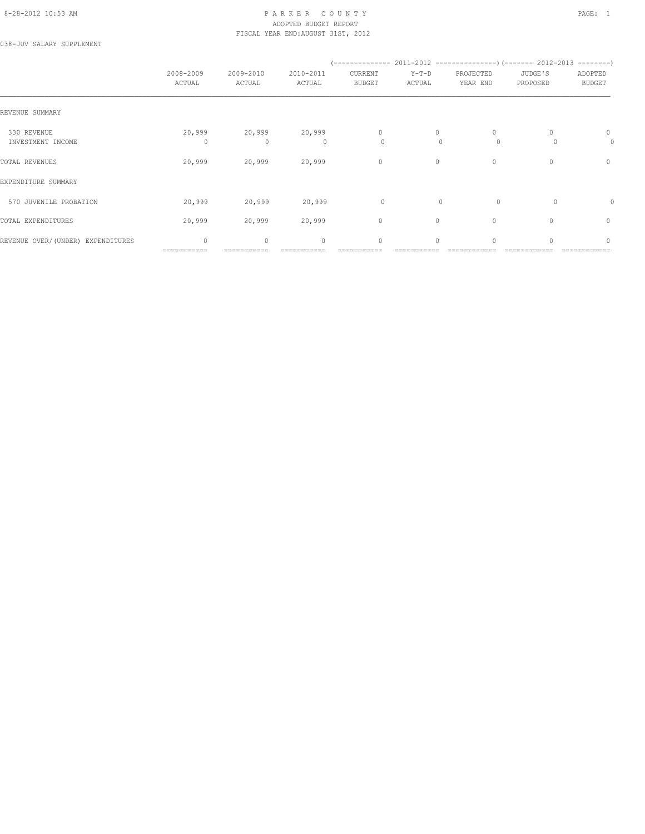#### 8-28-2012 10:53 AM PAGE: 1 PARKER COUNTY PAGE: 1 ADOPTED BUDGET REPORT FISCAL YEAR END:AUGUST 31ST, 2012

038-JUV SALARY SUPPLEMENT

|                                   | 2008-2009<br>ACTUAL         | 2009-2010<br>ACTUAL    | 2010-2011<br>ACTUAL | CURRENT<br><b>BUDGET</b> | $Y-T-D$<br>ACTUAL | PROJECTED<br>YEAR END | JUDGE'S<br>PROPOSED              | ADOPTED<br><b>BUDGET</b> |
|-----------------------------------|-----------------------------|------------------------|---------------------|--------------------------|-------------------|-----------------------|----------------------------------|--------------------------|
| REVENUE SUMMARY                   |                             |                        |                     |                          |                   |                       |                                  |                          |
| 330 REVENUE<br>INVESTMENT INCOME  | 20,999<br>$\Omega$          | 20,999<br>$\mathbf{0}$ | 20,999<br>$\Omega$  | $\mathbf{0}$<br>0        | 0<br>$\Omega$     | $\Omega$<br>$\circ$   |                                  | 0<br>0                   |
| TOTAL REVENUES                    | 20,999                      | 20,999                 | 20,999              | $\circ$                  | $\circ$           | $\mathbf{0}$          | $\mathbf{0}$                     | $\circ$                  |
| EXPENDITURE SUMMARY               |                             |                        |                     |                          |                   |                       |                                  |                          |
| 570 JUVENILE PROBATION            | 20,999                      | 20,999                 | 20,999              | 0                        | $\Omega$          | $\Omega$              | $\Omega$                         | 0                        |
| TOTAL EXPENDITURES                | 20,999                      | 20,999                 | 20,999              | $\circ$                  | $\circ$           | $\mathbf{0}$          | $\begin{array}{c} \n\end{array}$ | 0                        |
| REVENUE OVER/(UNDER) EXPENDITURES | $\mathbf{0}$<br>=========== | $\circ$                | $\mathbf{0}$        | $\circ$                  | $\circ$           | $\circ$               |                                  | $\mathbf{0}$             |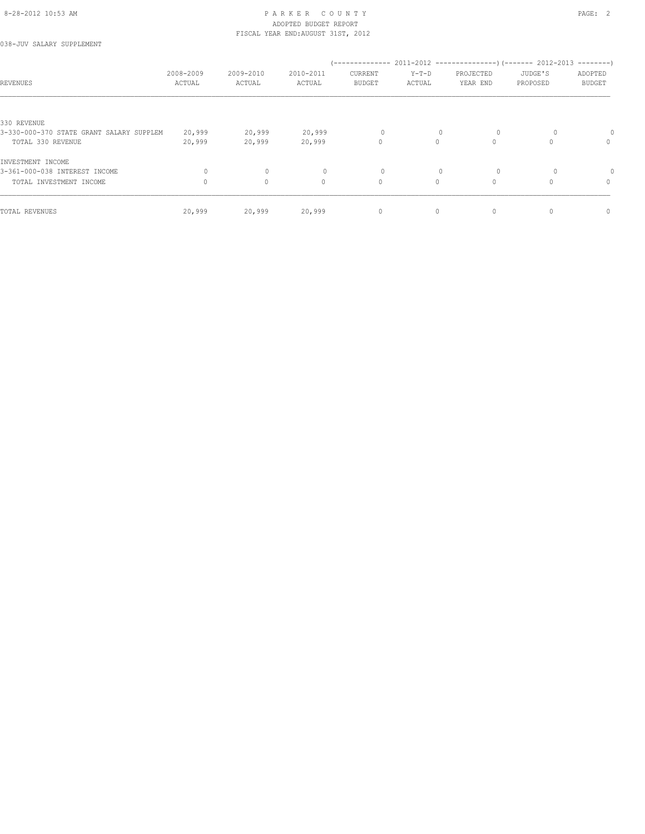038-JUV SALARY SUPPLEMENT

| REVENUES                                 | 2008-2009<br>ACTUAL | 2009-2010<br>ACTUAL | 2010-2011<br>ACTUAL | '--------------<br>CURRENT<br><b>BUDGET</b> | $Y-T-D$<br>ACTUAL | PROJECTED<br>YEAR END | $2011-2012$ ---------------) (------- 2012-2013 --------)<br>JUDGE'S<br>PROPOSED | ADOPTED<br><b>BUDGET</b> |
|------------------------------------------|---------------------|---------------------|---------------------|---------------------------------------------|-------------------|-----------------------|----------------------------------------------------------------------------------|--------------------------|
|                                          |                     |                     |                     |                                             |                   |                       |                                                                                  |                          |
| 330 REVENUE                              |                     |                     |                     |                                             |                   |                       |                                                                                  |                          |
| 3-330-000-370 STATE GRANT SALARY SUPPLEM | 20,999              | 20,999              | 20,999              | 0                                           | $\mathbf{0}$      | $\circ$               |                                                                                  |                          |
| TOTAL 330 REVENUE                        | 20,999              | 20,999              | 20,999              | $\circ$                                     | 0                 | $\Omega$              |                                                                                  | $\mathbf{0}$             |
| INVESTMENT INCOME                        |                     |                     |                     |                                             |                   |                       |                                                                                  |                          |
| 3-361-000-038 INTEREST INCOME            | 0                   | $\mathbf{0}$        | $\Omega$            | 0                                           |                   | $\circ$               |                                                                                  |                          |
| TOTAL INVESTMENT INCOME                  |                     | $\circ$             | $\mathbf{0}$        | $\circ$                                     | $\circ$           | $\Omega$              |                                                                                  | $\mathbf{0}$             |
| TOTAL REVENUES                           | 20,999              | 20,999              | 20,999              | $\circ$                                     | $\circ$           | $\mathbf 0$           |                                                                                  | $\mathbf{0}$             |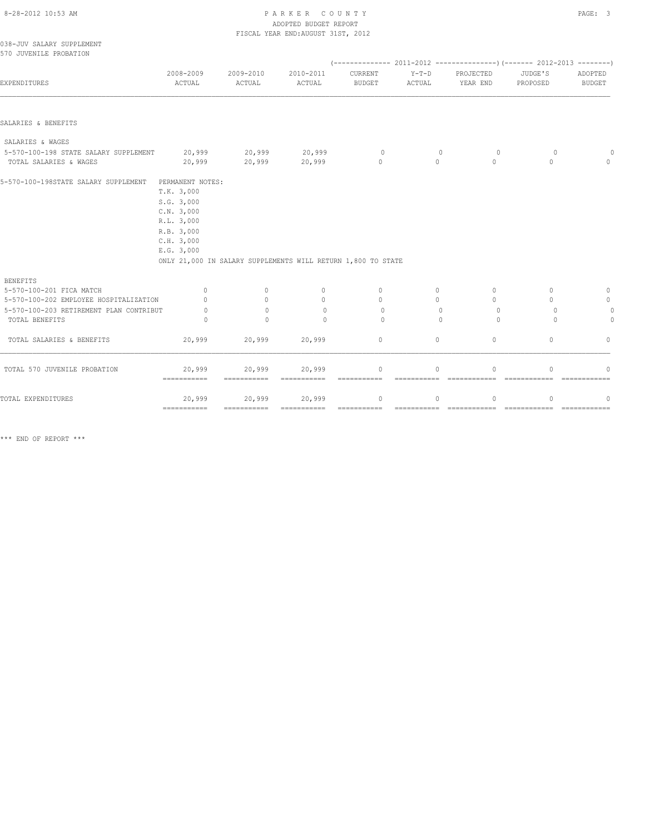## 8-28-2012 10:53 AM P A R K E R C O U N T Y PAGE: 3 ADOPTED BUDGET REPORT

|                                                                 |                                                                                                                                                                                    |                       | FISCAL YEAR END: AUGUST 31ST, 2012 |                          |                            |                       |                         |                          |
|-----------------------------------------------------------------|------------------------------------------------------------------------------------------------------------------------------------------------------------------------------------|-----------------------|------------------------------------|--------------------------|----------------------------|-----------------------|-------------------------|--------------------------|
| 038-JUV SALARY SUPPLEMENT<br>570 JUVENILE PROBATION             |                                                                                                                                                                                    |                       |                                    |                          |                            |                       |                         |                          |
|                                                                 |                                                                                                                                                                                    |                       |                                    |                          |                            |                       |                         |                          |
| EXPENDITURES                                                    | 2008-2009<br>ACTUAL                                                                                                                                                                | 2009-2010<br>ACTUAL   | 2010-2011<br>ACTUAL                | CURRENT<br><b>BUDGET</b> | $Y-T-D$<br>ACTUAL          | PROJECTED<br>YEAR END | JUDGE'S<br>PROPOSED     | ADOPTED<br><b>BUDGET</b> |
|                                                                 |                                                                                                                                                                                    |                       |                                    |                          |                            |                       |                         |                          |
| SALARIES & BENEFITS                                             |                                                                                                                                                                                    |                       |                                    |                          |                            |                       |                         |                          |
| SALARIES & WAGES                                                |                                                                                                                                                                                    |                       |                                    |                          |                            |                       |                         |                          |
| 5-570-100-198 STATE SALARY SUPPLEMENT<br>TOTAL SALARIES & WAGES | 20,999<br>20,999                                                                                                                                                                   | 20,999<br>20,999      | 20,999<br>20,999                   | $\circ$<br>$\mathbf{0}$  | $\overline{0}$<br>$\Omega$ | $\circ$<br>$\Omega$   | $\circ$<br>$\mathbf{0}$ | $\Omega$                 |
| 5-570-100-198STATE SALARY SUPPLEMENT                            | PERMANENT NOTES:<br>T.K. 3,000<br>S.G. 3,000<br>C.N. 3,000<br>R.L. 3,000<br>R.B. 3,000<br>C.H. 3,000<br>E.G. 3,000<br>ONLY 21,000 IN SALARY SUPPLEMENTS WILL RETURN 1,800 TO STATE |                       |                                    |                          |                            |                       |                         |                          |
| <b>BENEFITS</b>                                                 |                                                                                                                                                                                    |                       |                                    |                          |                            |                       |                         |                          |
| 5-570-100-201 FICA MATCH                                        | $\circ$                                                                                                                                                                            | $\mathbf{0}$          | $\mathbf 0$                        | $\mathbf{0}$             | $\circ$                    | $\circ$               | $\mathbf{0}$            | 0                        |
| 5-570-100-202 EMPLOYEE HOSPITALIZATION                          | $\Omega$                                                                                                                                                                           | $\Omega$              | $\mathbf{0}$                       | $\Omega$                 | $\circ$                    | $\Omega$              | $\Omega$                | $\mathbb O$              |
| 5-570-100-203 RETIREMENT PLAN CONTRIBUT<br>TOTAL BENEFITS       | $\Omega$<br>$\cap$                                                                                                                                                                 | $\Omega$<br>$\bigcap$ | $\circ$<br>$\Omega$                | $\Omega$<br>$\Omega$     | $\mathbf{0}$<br>$\bigcap$  | $\circ$<br>$\Omega$   | $\Omega$<br>$\Omega$    | $\circ$<br>$\mathbf{0}$  |
| TOTAL SALARIES & BENEFITS                                       | 20,999                                                                                                                                                                             | 20,999                | 20,999                             | $\circ$                  | $\circ$                    | $\circ$               | $\mathbf{0}$            | $\Omega$                 |
| TOTAL 570 JUVENILE PROBATION                                    | 20,999<br>$=$ = = = = = = = = = = =                                                                                                                                                | 20,999<br>=========== | 20,999<br>===========              | 0<br>===========         | $\circ$                    | $\mathbf 0$           | $\mathbf{0}$            | $\cap$                   |
| TOTAL EXPENDITURES                                              | 20,999                                                                                                                                                                             | 20,999                | 20,999                             | $\mathbf{0}$             | $\circ$                    | $\mathbf{0}$          | $\mathbf{0}$            | 0                        |

=========== =========== =========== =========== =========== ============ ============ ============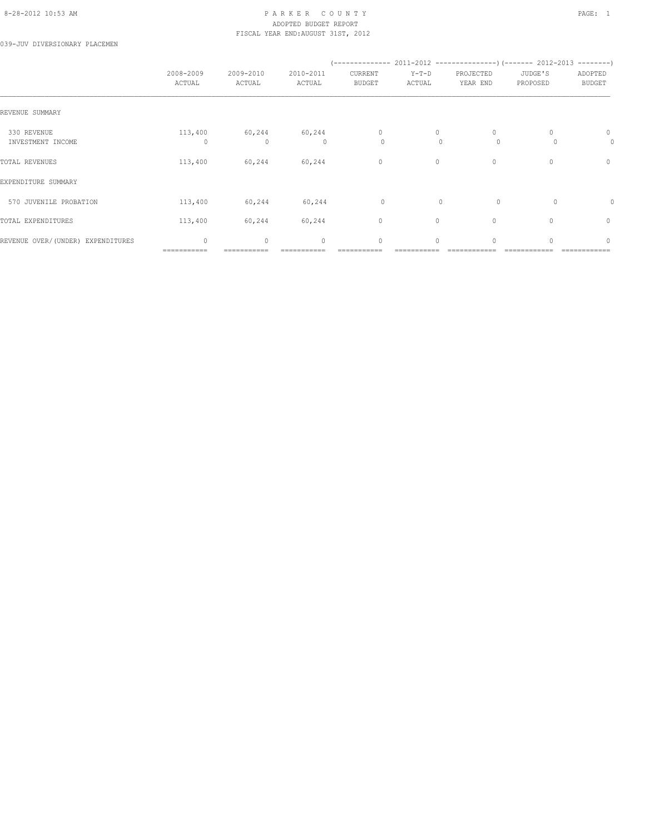#### 8-28-2012 10:53 AM PAGE: 1 PARKER COUNTY PAGE: 1 ADOPTED BUDGET REPORT FISCAL YEAR END:AUGUST 31ST, 2012

039-JUV DIVERSIONARY PLACEMEN

|                                   | 2008-2009<br>ACTUAL         | 2009-2010<br>ACTUAL | 2010-2011<br>ACTUAL | CURRENT<br><b>BUDGET</b> | $Y-T-D$<br>ACTUAL | PROJECTED<br>YEAR END | JUDGE'S<br>PROPOSED              | ADOPTED<br><b>BUDGET</b> |
|-----------------------------------|-----------------------------|---------------------|---------------------|--------------------------|-------------------|-----------------------|----------------------------------|--------------------------|
| REVENUE SUMMARY                   |                             |                     |                     |                          |                   |                       |                                  |                          |
| 330 REVENUE<br>INVESTMENT INCOME  | 113,400<br>0                | 60,244<br>0         | 60,244<br>0         | $\mathbf{0}$<br>0        | 0<br>$\mathbf{0}$ | 0<br>$\circ$          |                                  | 0<br>0                   |
| TOTAL REVENUES                    | 113,400                     | 60,244              | 60,244              | $\circ$                  | 0                 | $\mathbf{0}$          | $\begin{array}{c} \n\end{array}$ | 0                        |
| EXPENDITURE SUMMARY               |                             |                     |                     |                          |                   |                       |                                  |                          |
| 570 JUVENILE PROBATION            | 113,400                     | 60,244              | 60,244              | $\circ$                  | $\mathbf{0}$      | $\circ$               | $\circ$                          | 0                        |
| TOTAL EXPENDITURES                | 113,400                     | 60,244              | 60,244              | $\circ$                  | $\circ$           | $\mathbf{0}$          | $\Omega$                         | $\mathbf{0}$             |
| REVENUE OVER/(UNDER) EXPENDITURES | $\mathbf{0}$<br>=========== | $\circ$             | $\mathbf{0}$        | $\circ$                  | $\circ$           | $\mathbf{0}$          | O                                | $\mathbf{0}$             |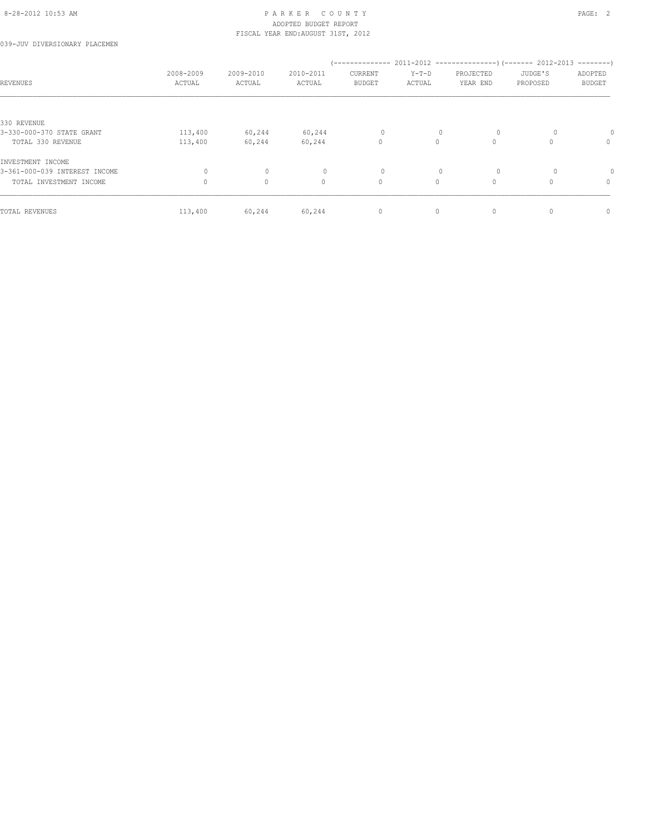039-JUV DIVERSIONARY PLACEMEN

| REVENUES                      | 2008-2009<br>ACTUAL | 2009-2010<br>ACTUAL | 2010-2011<br>ACTUAL | (--------------<br>CURRENT<br><b>BUDGET</b> | $Y-T-D$<br>ACTUAL | PROJECTED<br>YEAR END | $2011-2012$ ----------------) (------- 2012-2013 --------)<br>JUDGE'S<br>PROPOSED | ADOPTED<br><b>BUDGET</b> |
|-------------------------------|---------------------|---------------------|---------------------|---------------------------------------------|-------------------|-----------------------|-----------------------------------------------------------------------------------|--------------------------|
|                               |                     |                     |                     |                                             |                   |                       |                                                                                   |                          |
| 330 REVENUE                   |                     |                     |                     |                                             |                   |                       |                                                                                   |                          |
| 3-330-000-370 STATE GRANT     | 113,400             | 60,244              | 60,244              | 0                                           | $\mathbf{0}$      | $\circ$               |                                                                                   |                          |
| TOTAL 330 REVENUE             | 113,400             | 60,244              | 60,244              | $\circ$                                     | $\Omega$          | $\Omega$              | $\cap$                                                                            | $\mathbf{0}$             |
| INVESTMENT INCOME             |                     |                     |                     |                                             |                   |                       |                                                                                   |                          |
| 3-361-000-039 INTEREST INCOME | 0                   | $\mathbf{0}$        |                     | $\circ$                                     | $\mathbf{0}$      | $\circ$               | $\Omega$                                                                          |                          |
| TOTAL INVESTMENT INCOME       | $\Omega$            | $\circ$             | $\mathbf{0}$        | $\circ$                                     | $\Omega$          | $\circ$               | O                                                                                 | $\mathbf{0}$             |
| TOTAL REVENUES                | 113,400             | 60,244              | 60,244              | 0                                           | $\circ$           | $\mathbf{0}$          | 0                                                                                 | $\mathbf{0}$             |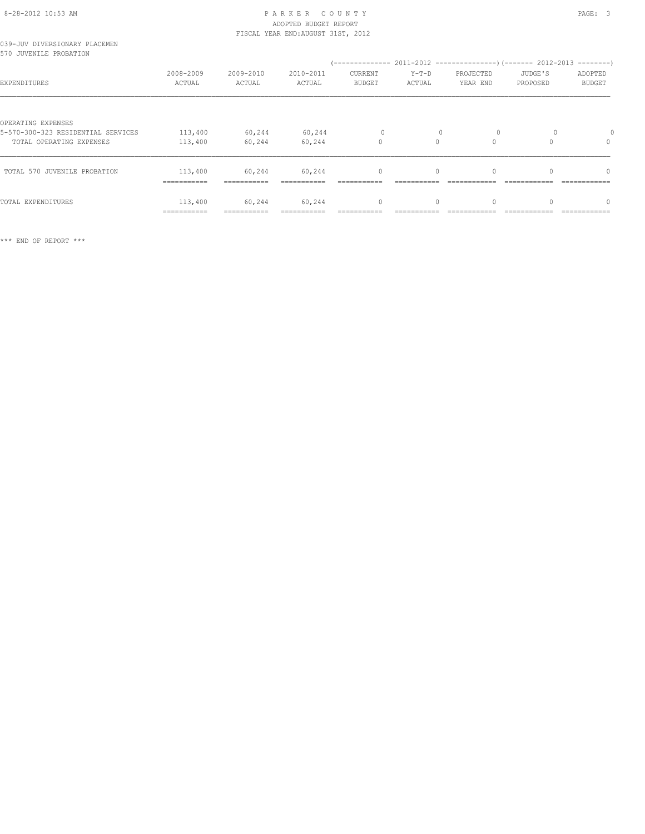#### 8-28-2012 10:53 AM P A R K E R C O U N T Y PAGE: 3 ADOPTED BUDGET REPORT FISCAL YEAR END:AUGUST 31ST, 2012

|  |                        | 039-JUV DIVERSIONARY PLACEMEN |
|--|------------------------|-------------------------------|
|  | 570 JUVENILE PROBATION |                               |

| JIV JUVENILE PRUDAIIUN                                                               |                                        |                                     |                     | '--------------                 |                   |                       | 2011-2012 -----------------) (------- 2012-2013 | $------$                 |
|--------------------------------------------------------------------------------------|----------------------------------------|-------------------------------------|---------------------|---------------------------------|-------------------|-----------------------|-------------------------------------------------|--------------------------|
| EXPENDITURES                                                                         | 2008-2009<br>ACTUAL                    | 2009-2010<br>ACTUAL                 | 2010-2011<br>ACTUAL | <b>CURRENT</b><br><b>BUDGET</b> | $Y-T-D$<br>ACTUAL | PROJECTED<br>YEAR END | JUDGE'S<br>PROPOSED                             | ADOPTED<br><b>BUDGET</b> |
| OPERATING EXPENSES<br>5-570-300-323 RESIDENTIAL SERVICES<br>TOTAL OPERATING EXPENSES | 113,400<br>113,400                     | 60,244<br>60,244                    | 60,244<br>60,244    | $\Omega$<br>0                   | $\Omega$          | $\Omega$<br>0         | $\Omega$                                        | 0                        |
| TOTAL 570 JUVENILE PROBATION                                                         | 113,400<br>------------<br>----------- | 60,244<br>-----------<br>---------- | 60,244              | $\mathbf{0}$                    |                   | 0                     |                                                 | $\Omega$                 |
| TOTAL EXPENDITURES                                                                   | 113,400                                | 60,244                              | 60,244              | 0                               |                   | 0                     |                                                 | 0                        |

=========== =========== =========== =========== =========== ============ ============ ============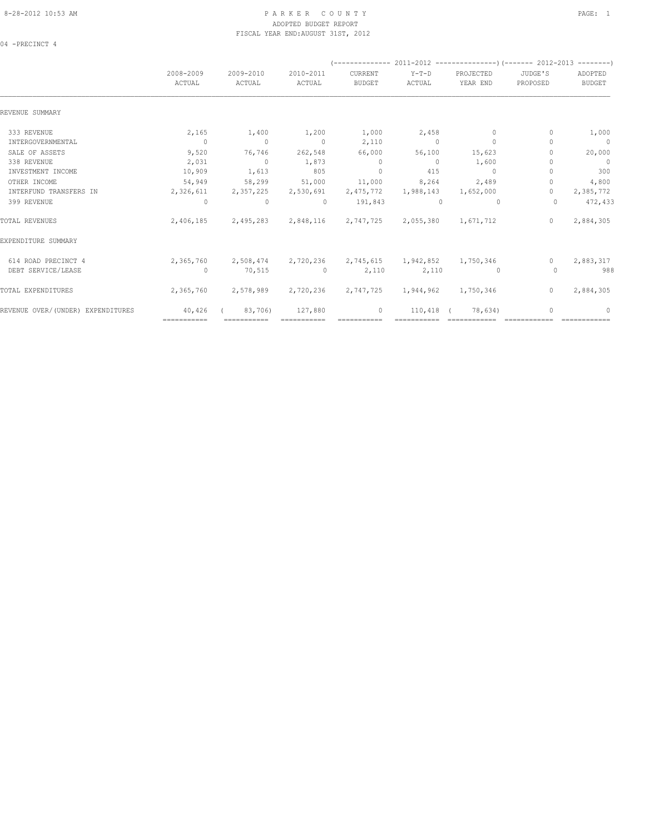#### 8-28-2012 10:53 AM PAGE: 1 PARKER COUNTY PAGE: 1 ADOPTED BUDGET REPORT FISCAL YEAR END:AUGUST 31ST, 2012

04 -PRECINCT 4

|                                   | 2008-2009<br>ACTUAL | 2009-2010<br>ACTUAL                                         | 2010-2011<br>ACTUAL | CURRENT<br><b>BUDGET</b> | $Y-T-D$<br>ACTUAL   | PROJECTED<br>YEAR END                   | JUDGE'S<br>PROPOSED | ADOPTED<br><b>BUDGET</b> |
|-----------------------------------|---------------------|-------------------------------------------------------------|---------------------|--------------------------|---------------------|-----------------------------------------|---------------------|--------------------------|
| REVENUE SUMMARY                   |                     |                                                             |                     |                          |                     |                                         |                     |                          |
| 333 REVENUE                       | 2,165               | 1,400                                                       | 1,200               | 1,000                    | 2,458               | $\mathbf{0}$                            | $\mathbf{0}$        | 1,000                    |
| INTERGOVERNMENTAL                 | $\overline{0}$      | $\overline{0}$                                              | $\sim$ 0            | 2,110                    | $\sim$ 0            | $\Omega$                                | n                   | $\overline{0}$           |
| SALE OF ASSETS                    | 9,520               | 76,746                                                      | 262,548             | 66,000                   | 56,100              | 15,623                                  |                     | 20,000                   |
| 338 REVENUE                       | 2,031               | $\sim$ 0                                                    | 1,873               | $\sim$ 0                 | $\bigcirc$          | 1,600                                   |                     | $\overline{0}$           |
| INVESTMENT INCOME                 | 10,909              | 1,613                                                       | 805                 | $\Omega$                 | 415                 | $\Omega$                                |                     | 300                      |
| OTHER INCOME                      | 54,949              | 58,299                                                      | 51,000              | 11,000                   | 8,264               | 2,489                                   | $\Omega$            | 4,800                    |
| INTERFUND TRANSFERS IN            | 2,326,611           | 2,357,225                                                   | 2,530,691           | 2,475,772                | 1,988,143           | 1,652,000                               | $\mathbf{0}$        | 2,385,772                |
| 399 REVENUE                       | $\overline{0}$      | $\circ$                                                     | $\Omega$            | 191,843                  | $\Omega$            | $\Omega$                                | $\Omega$            | 472,433                  |
| TOTAL REVENUES                    | 2,406,185           |                                                             | 2,495,283 2,848,116 |                          | 2,747,725 2,055,380 | 1,671,712                               | $\Omega$            | 2,884,305                |
| EXPENDITURE SUMMARY               |                     |                                                             |                     |                          |                     |                                         |                     |                          |
| 614 ROAD PRECINCT 4               |                     | 2,365,760 2,508,474 2,720,236 2,745,615 1,942,852 1,750,346 |                     |                          |                     |                                         | $\Omega$            | 2,883,317                |
| DEBT SERVICE/LEASE                | $\overline{0}$      | 70,515                                                      | $\sim$ 0            | 2,110                    | 2,110               | $\sim$ 000 $\sim$ 000 $\sim$ 000 $\sim$ | $\Omega$            | 988                      |
| TOTAL EXPENDITURES                | 2,365,760           | 2,578,989                                                   | 2,720,236           | 2,747,725                | 1,944,962 1,750,346 |                                         | $\Omega$            | 2,884,305                |
| REVENUE OVER/(UNDER) EXPENDITURES | 40,426              | 83,706)                                                     | 127,880             | $\circ$                  | 110,418             | 78,634)                                 | 0                   | $\Omega$                 |
|                                   | ===========         | ===========                                                 |                     |                          |                     |                                         |                     |                          |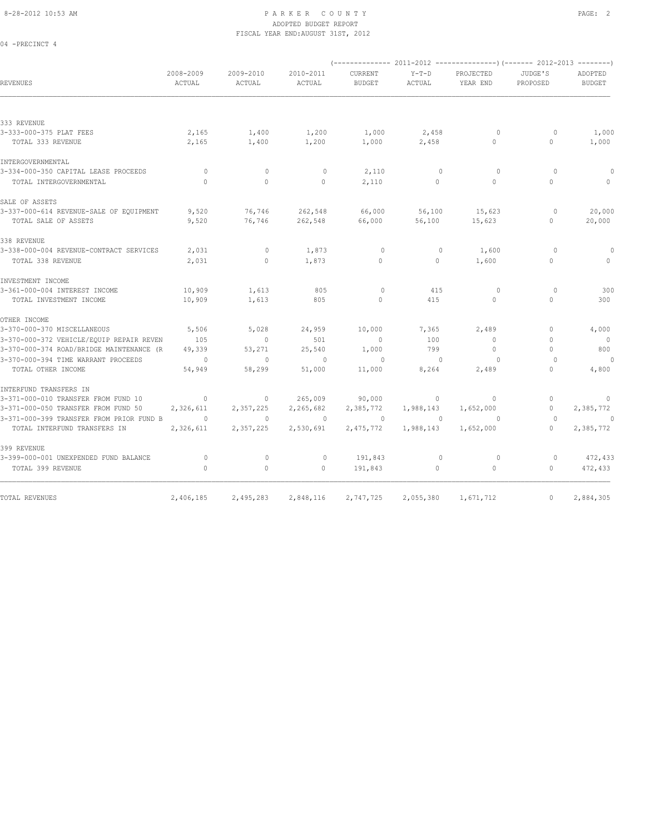04 -PRECINCT 4

#### 8-28-2012 10:53 AM P A R K E R C O U N T Y PAGE: 2 ADOPTED BUDGET REPORT FISCAL YEAR END:AUGUST 31ST, 2012

|                                          | 2008-2009 | 2009-2010    | 2010-2011 | CURRENT       | $Y-T-D$      | PROJECTED    | JUDGE'S      | ADOPTED        |
|------------------------------------------|-----------|--------------|-----------|---------------|--------------|--------------|--------------|----------------|
| REVENUES                                 | ACTUAL    | ACTUAL       | ACTUAL    | <b>BUDGET</b> | ACTUAL       | YEAR END     | PROPOSED     | <b>BUDGET</b>  |
| 333 REVENUE                              |           |              |           |               |              |              |              |                |
| 3-333-000-375 PLAT FEES                  | 2,165     | 1,400        | 1,200     | 1,000         | 2,458        | $\circ$      | $\circ$      | 1,000          |
| TOTAL 333 REVENUE                        | 2,165     | 1,400        | 1,200     | 1,000         | 2,458        | $\circ$      | $\circ$      | 1,000          |
| INTERGOVERNMENTAL                        |           |              |           |               |              |              |              |                |
| 3-334-000-350 CAPITAL LEASE PROCEEDS     | $\circ$   | $\mathbf{0}$ | $\circ$   | 2,110         | $\mathbf{0}$ | $\Omega$     | $\Omega$     | 0              |
| TOTAL INTERGOVERNMENTAL                  | $\Omega$  | $\circ$      | $\circ$   | 2,110         | $\circ$      | $\Omega$     | $\Omega$     | $\Omega$       |
| SALE OF ASSETS                           |           |              |           |               |              |              |              |                |
| 3-337-000-614 REVENUE-SALE OF EQUIPMENT  | 9,520     | 76,746       | 262,548   | 66,000        | 56,100       | 15,623       | $\circ$      | 20,000         |
| TOTAL SALE OF ASSETS                     | 9,520     | 76,746       | 262,548   | 66,000        | 56,100       | 15,623       | $\mathbf{0}$ | 20,000         |
| 338 REVENUE                              |           |              |           |               |              |              |              |                |
| 3-338-000-004 REVENUE-CONTRACT SERVICES  | 2,031     | $\mathbf{0}$ | 1,873     | $\circ$       | $\mathbf{0}$ | 1,600        | $\Omega$     | 0              |
| TOTAL 338 REVENUE                        | 2,031     | $\Omega$     | 1,873     | $\Omega$      | $\Omega$     | 1,600        | $\Omega$     |                |
| INVESTMENT INCOME                        |           |              |           |               |              |              |              |                |
| 3-361-000-004 INTEREST INCOME            | 10,909    | 1,613        | 805       | $\circ$       | 415          | $\circ$      | $\circ$      | 300            |
| TOTAL INVESTMENT INCOME                  | 10,909    | 1,613        | 805       | $\circ$       | 415          | $\circ$      | $\Omega$     | 300            |
| OTHER INCOME                             |           |              |           |               |              |              |              |                |
| 3-370-000-370 MISCELLANEOUS              | 5,506     | 5,028        | 24,959    | 10,000        | 7,365        | 2,489        | $\mathbf{0}$ | 4,000          |
| 3-370-000-372 VEHICLE/EQUIP REPAIR REVEN | 105       | $\mathbf{0}$ | 501       | $\mathbf{0}$  | 100          | $\mathbf{0}$ | $\Omega$     | $\overline{0}$ |
| 3-370-000-374 ROAD/BRIDGE MAINTENANCE (R | 49,339    | 53,271       | 25,540    | 1,000         | 799          | $\circ$      | $\mathbf{0}$ | 800            |
| 3-370-000-394 TIME WARRANT PROCEEDS      | $\circ$   | $\circ$      | $\circ$   | $\mathbf 0$   | $\mathbf{0}$ | $\circ$      | $\Omega$     | $\theta$       |
| TOTAL OTHER INCOME                       | 54,949    | 58,299       | 51,000    | 11,000        | 8,264        | 2,489        | $\bigcap$    | 4,800          |
| INTERFUND TRANSFERS IN                   |           |              |           |               |              |              |              |                |
| 3-371-000-010 TRANSFER FROM FUND 10      | $\Omega$  | $\circ$      | 265,009   | 90,000        | $\circ$      | $\mathbf{0}$ | $\mathbf{0}$ | $\mathbf{0}$   |
| 3-371-000-050 TRANSFER FROM FUND 50      | 2,326,611 | 2,357,225    | 2,265,682 | 2,385,772     | 1,988,143    | 1,652,000    | $\mathbf{0}$ | 2,385,772      |
| 3-371-000-399 TRANSFER FROM PRIOR FUND B | $\Omega$  | $\Omega$     | $\Omega$  | $\Omega$      | $\Omega$     | $\Omega$     | $\Omega$     | $\Omega$       |
| TOTAL INTERFUND TRANSFERS IN             | 2,326,611 | 2,357,225    | 2,530,691 | 2,475,772     | 1,988,143    | 1,652,000    | $\bigcap$    | 2,385,772      |
| 399 REVENUE                              |           |              |           |               |              |              |              |                |
| 3-399-000-001 UNEXPENDED FUND BALANCE    | $\circ$   | $\mathbf 0$  | $\circ$   | 191,843       | $\mathbf{0}$ | $\circ$      | $\circ$      | 472,433        |
| TOTAL 399 REVENUE                        | $\circ$   | $\mathbb O$  | $\circ$   | 191,843       | $\circ$      | $\circ$      | $\circ$      | 472,433        |
|                                          |           |              |           |               |              |              |              |                |
| TOTAL REVENUES                           | 2,406,185 | 2,495,283    | 2,848,116 | 2,747,725     | 2,055,380    | 1,671,712    | $\mathbf{0}$ | 2,884,305      |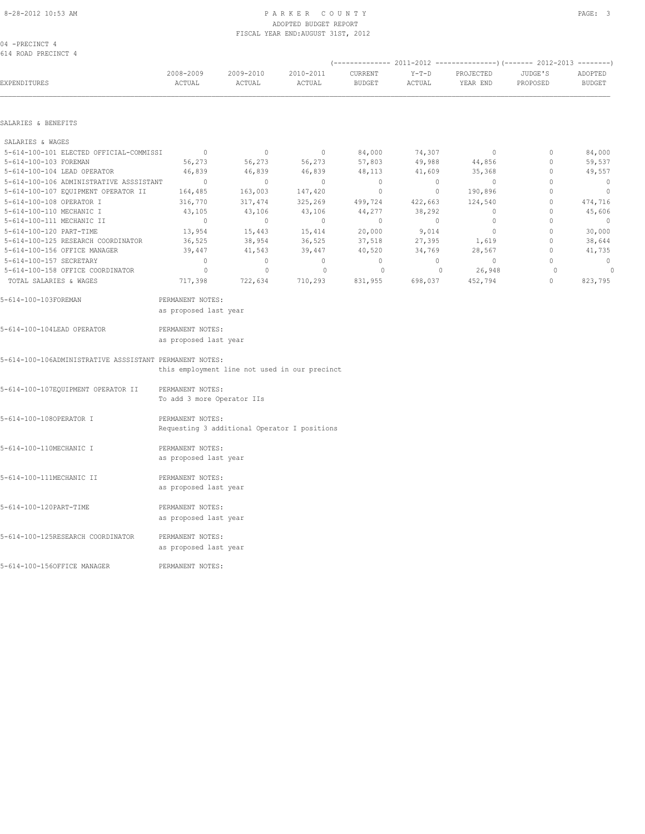04 -PRECINCT 4 614 ROAD PRECINCT 4

| EXPENDITURES                                                     | 2008-2009<br>ACTUAL                            | 2009-2010<br>ACTUAL | 2010-2011<br>ACTUAL                           | CURRENT<br><b>BUDGET</b> | $Y-T-D$<br>ACTUAL | PROJECTED<br>YEAR END | JUDGE'S<br>PROPOSED    | ADOPTED<br><b>BUDGET</b> |
|------------------------------------------------------------------|------------------------------------------------|---------------------|-----------------------------------------------|--------------------------|-------------------|-----------------------|------------------------|--------------------------|
| SALARIES & BENEFITS                                              |                                                |                     |                                               |                          |                   |                       |                        |                          |
|                                                                  |                                                |                     |                                               |                          |                   |                       |                        |                          |
| SALARIES & WAGES                                                 |                                                |                     |                                               |                          |                   |                       |                        |                          |
| 5-614-100-101 ELECTED OFFICIAL-COMMISSI<br>5-614-100-103 FOREMAN | $\overline{0}$                                 | $\circ$             | $\circ$                                       | 84,000<br>57,803         | 74,307            | $\mathbf{0}$          | $\circ$<br>$\mathbf 0$ | 84,000                   |
| 5-614-100-104 LEAD OPERATOR                                      | 56,273<br>46,839                               | 56,273<br>46,839    | 56,273<br>46,839                              | 48,113                   | 49,988<br>41,609  | 44,856<br>35,368      | $\circ$                | 59,537<br>49,557         |
| 5-614-100-106 ADMINISTRATIVE ASSSISTANT                          | $\overline{0}$                                 | $\circ$             | $\circ$                                       | $\circ$                  | $\circ$           | $\circ$               | $\mathbf{0}$           | $\overline{0}$           |
| 5-614-100-107 EQUIPMENT OPERATOR II                              | 164,485                                        | 163,003             | 147,420                                       | $\circ$                  | $\circ$           | 190,896               | $\mathbf 0$            | $\mathbb O$              |
| 5-614-100-108 OPERATOR I                                         | 316,770                                        | 317,474             | 325,269                                       | 499,724                  | 422,663           | 124,540               | $\mathbf 0$            | 474,716                  |
| 5-614-100-110 MECHANIC I                                         | 43,105                                         | 43,106              | 43,106                                        | 44,277                   | 38,292            | $\mathbf 0$           | 0                      | 45,606                   |
| 5-614-100-111 MECHANIC II                                        | $\mathbb O$                                    | $\mathbb O$         | $\circ$                                       | 0                        | $\circ$           | 0                     | 0                      | $\overline{0}$           |
| 5-614-100-120 PART-TIME                                          | 13,954                                         | 15,443              | 15,414                                        | 20,000                   | 9,014             | $\circ$               | $\mathbb O$            | 30,000                   |
| 5-614-100-125 RESEARCH COORDINATOR                               | 36,525                                         | 38,954              | 36,525                                        | 37,518                   | 27,395            | 1,619                 | $\mathbf{0}$           | 38,644                   |
| 5-614-100-156 OFFICE MANAGER                                     | 39,447                                         | 41,543              | 39,447                                        | 40,520                   | 34,769            | 28,567                | $\circ$                | 41,735                   |
| 5-614-100-157 SECRETARY                                          | $\mathbf{0}$                                   | $\circ$             | $\circ$                                       | $\circ$                  | $\circ$           | $\mathbf{0}$          | $\mathbf{0}$           | $\mathbf{0}$             |
| 5-614-100-158 OFFICE COORDINATOR                                 | $\circ$                                        | $\mathbf{0}$        | $\circ$                                       | $\circ$                  | $\circ$           | 26,948                | $\circ$                | $\mathbf{0}$             |
| TOTAL SALARIES & WAGES                                           | 717,398                                        | 722,634             | 710,293                                       | 831,955                  | 698,037           | 452,794               | $\mathbf{0}$           | 823,795                  |
| 5-614-100-103FOREMAN                                             | PERMANENT NOTES:<br>as proposed last year      |                     |                                               |                          |                   |                       |                        |                          |
| 5-614-100-104LEAD OPERATOR                                       | PERMANENT NOTES:<br>as proposed last year      |                     |                                               |                          |                   |                       |                        |                          |
| 5-614-100-106ADMINISTRATIVE ASSSISTANT PERMANENT NOTES:          |                                                |                     | this employment line not used in our precinct |                          |                   |                       |                        |                          |
| 5-614-100-107EQUIPMENT OPERATOR II                               | PERMANENT NOTES:<br>To add 3 more Operator IIs |                     |                                               |                          |                   |                       |                        |                          |
| 5-614-100-1080PERATOR I                                          | PERMANENT NOTES:                               |                     | Requesting 3 additional Operator I positions  |                          |                   |                       |                        |                          |
| 5-614-100-110MECHANIC I                                          | PERMANENT NOTES:<br>as proposed last year      |                     |                                               |                          |                   |                       |                        |                          |
| 5-614-100-111MECHANIC II                                         | PERMANENT NOTES:<br>as proposed last year      |                     |                                               |                          |                   |                       |                        |                          |
| 5-614-100-120PART-TIME                                           | PERMANENT NOTES:<br>as proposed last year      |                     |                                               |                          |                   |                       |                        |                          |
| 5-614-100-125RESEARCH COORDINATOR                                | PERMANENT NOTES:<br>as proposed last year      |                     |                                               |                          |                   |                       |                        |                          |
| 5-614-100-156OFFICE MANAGER                                      | PERMANENT NOTES:                               |                     |                                               |                          |                   |                       |                        |                          |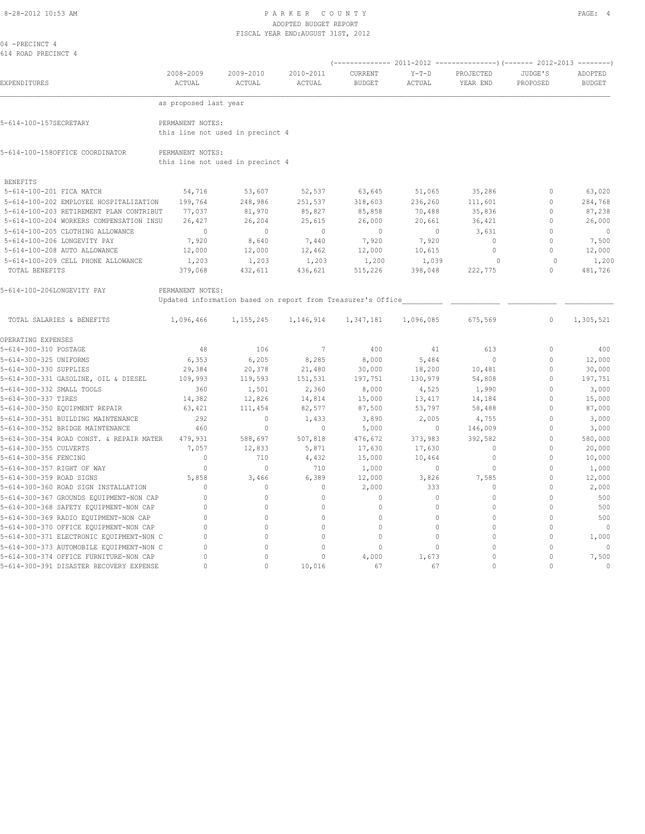|  | 04 -PRECINCT 4      |  |
|--|---------------------|--|
|  | 614 ROAD PRECINCT 4 |  |

|                                          |                       |                                                             |                            |                          | <b>SOTT</b>       |                       | 2012-2013           |                          |
|------------------------------------------|-----------------------|-------------------------------------------------------------|----------------------------|--------------------------|-------------------|-----------------------|---------------------|--------------------------|
| EXPENDITURES                             | 2008-2009<br>ACTUAL   | 2009-2010<br>ACTUAL                                         | 2010-2011<br><b>ACTUAL</b> | CURRENT<br><b>BUDGET</b> | $Y-T-D$<br>ACTUAL | PROJECTED<br>YEAR END | JUDGE'S<br>PROPOSED | ADOPTED<br><b>BUDGET</b> |
|                                          | as proposed last year |                                                             |                            |                          |                   |                       |                     |                          |
| 5-614-100-157SECRETARY                   | PERMANENT NOTES:      | this line not used in precinct 4                            |                            |                          |                   |                       |                     |                          |
| 5-614-100-158OFFICE COORDINATOR          | PERMANENT NOTES:      | this line not used in precinct 4                            |                            |                          |                   |                       |                     |                          |
| <b>BENEFITS</b>                          |                       |                                                             |                            |                          |                   |                       |                     |                          |
| 5-614-100-201 FICA MATCH                 | 54,716                | 53,607                                                      | 52,537                     | 63,645                   | 51,065            | 35,286                | $\Omega$            | 63,020                   |
| 5-614-100-202 EMPLOYEE HOSPITALIZATION   | 199,764               | 248,986                                                     | 251,537                    | 318,603                  | 236,260           | 111,601               | $\Omega$            | 284,768                  |
| 5-614-100-203 RETIREMENT PLAN CONTRIBUT  | 77,037                | 81,970                                                      | 85,827                     | 85,858                   | 70,488            | 35,836                | $\Omega$            | 87,238                   |
| 5-614-100-204 WORKERS COMPENSATION INSU  | 26,427                | 26,204                                                      | 25,615                     | 26,000                   | 20,661            | 36,421                | $\mathbf{0}$        | 26,000                   |
| 5-614-100-205 CLOTHING ALLOWANCE         | $\mathbb O$           | $\circ$                                                     | $\mathbf{0}$               | $\circ$                  | $\circ$           | 3,631                 | $\mathbf 0$         | $\circ$                  |
| 5-614-100-206 LONGEVITY PAY              | 7,920                 | 8,640                                                       | 7,440                      | 7,920                    | 7,920             | $\mathbf{0}$          | $\mathbf{0}$        | 7,500                    |
| 5-614-100-208 AUTO ALLOWANCE             | 12,000                | 12,000                                                      | 12,462                     | 12,000                   | 10,615            | $\circ$               | $\mathbf{0}$        | 12,000                   |
| 5-614-100-209 CELL PHONE ALLOWANCE       | 1,203                 | 1,203                                                       | 1,203                      | 1,200                    | 1,039             | $\circ$               | $\Omega$            | 1,200                    |
| TOTAL BENEFITS                           | 379,068               | 432,611                                                     | 436,621                    | 515,226                  | 398,048           | 222,775               | $\Omega$            | 481,726                  |
| 5-614-100-206LONGEVITY PAY               | PERMANENT NOTES:      | Updated information based on report from Treasurer's Office |                            |                          |                   |                       |                     |                          |
| TOTAL SALARIES & BENEFITS                | 1,096,466             | 1,155,245                                                   | 1,146,914                  | 1,347,181                | 1,096,085         | 675,569               | 0                   | 1,305,521                |
| OPERATING EXPENSES                       |                       |                                                             |                            |                          |                   |                       |                     |                          |
| 5-614-300-310 POSTAGE                    | 48                    | 106                                                         | $7\phantom{.0}$            | 400                      | 41                | 613                   | $\mathbf{0}$        | 400                      |
| 5-614-300-325 UNIFORMS                   | 6,353                 | 6,205                                                       | 8,285                      | 8,000                    | 5,484             | $\mathbf{0}$          | $\mathbf 0$         | 12,000                   |
| 5-614-300-330 SUPPLIES                   | 29,384                | 20,378                                                      | 21,480                     | 30,000                   | 18,200            | 10,481                | $\Omega$            | 30,000                   |
| 5-614-300-331 GASOLINE, OIL & DIESEL     | 109,993               | 119,593                                                     | 151,531                    | 197,751                  | 130,979           | 54,808                | $\Omega$            | 197,751                  |
| 5-614-300-332 SMALL TOOLS                | 360                   | 1,501                                                       | 2,360                      | 8,000                    | 4,525             | 1,990                 | $\Omega$            | 3,000                    |
| 5-614-300-337 TIRES                      | 14,382                | 12,826                                                      | 14,814                     | 15,000                   | 13,417            | 14,184                | $\Omega$            | 15,000                   |
| 5-614-300-350 EQUIPMENT REPAIR           | 63,421                | 111,454                                                     | 82,577                     | 87,500                   | 53,797            | 58,488                | $\Omega$            | 87,000                   |
| 5-614-300-351 BUILDING MAINTENANCE       | 292                   | $\mathbb O$                                                 | 1,433                      | 3,890                    | 2,005             | 4,755                 | $\Omega$            | 3,000                    |
| 5-614-300-352 BRIDGE MAINTENANCE         | 460                   | $\circ$                                                     | $\mathbf{0}$               | 5,000                    | $\circ$           | 146,009               | $\mathbf 0$         | 3,000                    |
| 5-614-300-354 ROAD CONST. & REPAIR MATER | 479,931               | 588,697                                                     | 507,818                    | 476,672                  | 373,983           | 392,582               | $\Omega$            | 580,000                  |
| 5-614-300-355 CULVERTS                   | 7,057                 | 12,833                                                      | 5,871                      | 17,630                   | 17,630            | $\mathbf{0}$          | $\Omega$            | 20,000                   |
| 5-614-300-356 FENCING                    | $\circ$               | 710                                                         | 4,432                      | 15,000                   | 10,464            | $\mathbf{0}$          | $\Omega$            | 10,000                   |
| 5-614-300-357 RIGHT OF WAY               | $\circ$               | $\mathbf{0}$                                                | 710                        | 1,000                    | $\circ$           | $\mathbf{0}$          | $\Omega$            | 1,000                    |
| 5-614-300-359 ROAD SIGNS                 | 5,858                 | 3,466                                                       | 6,389                      | 12,000                   | 3,826             | 7,585                 | $\Omega$            | 12,000                   |
| 5-614-300-360 ROAD SIGN INSTALLATION     | $\circ$               | $\mathbb O$                                                 | 0                          | 2,000                    | 333               | $\mathbf 0$           | $\mathbf{0}$        | 2,000                    |
| 5-614-300-367 GROUNDS EQUIPMENT-NON CAP  | 0                     | $\Omega$                                                    | $\mathbf 0$                | $\mathbf{0}$             | $\circ$           | $\mathbf{0}$          | $\Omega$            | 500                      |
| 5-614-300-368 SAFETY EQUIPMENT-NON CAP   | $\circ$               | 0                                                           | $\mathbf{0}$               | $\mathbf 0$              | $\circ$           | $\mathbf{0}$          | $\Omega$            | 500                      |
| 5-614-300-369 RADIO EQUIPMENT-NON CAP    | $\Omega$              | $\Omega$                                                    | $\mathbf{0}$               | $\Omega$                 | $\Omega$          | $\theta$              | $\Omega$            | 500                      |
| 5-614-300-370 OFFICE EQUIPMENT-NON CAP   | $\circ$               | 0                                                           | $\mathbf{0}$               | $\mathbf 0$              | $\circ$           | $\mathbf{0}$          | $\Omega$            | $\mathbf{0}$             |
| 5-614-300-371 ELECTRONIC EQUIPMENT-NON C | $\Omega$              | $\Omega$                                                    | $\Omega$                   | $\Omega$                 | $\circ$           | $\Omega$              | $\mathbf{0}$        | 1,000                    |
| 5-614-300-373 AUTOMOBILE EQUIPMENT-NON C | $\Omega$              | $\Omega$                                                    | $\mathbf{0}$               | $\Omega$                 | $\circ$           | $\Omega$              | $\Omega$            | $\mathbf{0}$             |
| 5-614-300-374 OFFICE FURNITURE-NON CAP   | 0                     | $\Omega$                                                    | $\mathbf{0}$               | 4,000                    | 1,673             | $\Omega$              | $\Omega$            | 7,500                    |
| 5-614-300-391 DISASTER RECOVERY EXPENSE  | 0                     | 0                                                           | 10,016                     | 67                       | 67                | $\mathbf{0}$          | $\Omega$            | $\mathbf 0$              |

(-------------- 2011-2012 ---------------)(------- 2012-2013 --------)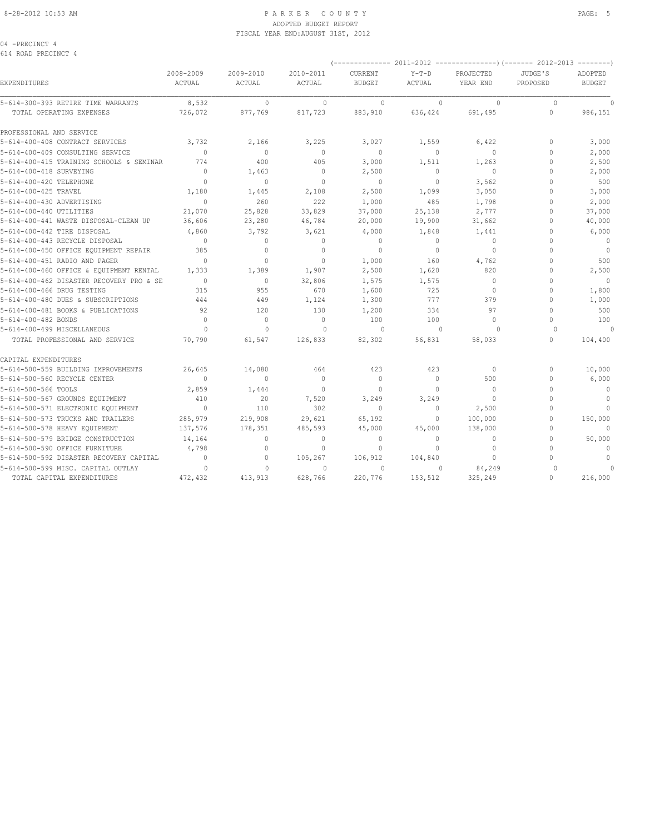04 -PRECINCT 4 614 ROAD PRECINCT 4

| EXPENDITURES                                                   | 2008-2009<br>ACTUAL | 2009-2010<br>ACTUAL     | 2010-2011<br>ACTUAL | CURRENT<br><b>BUDGET</b> | <b>CULL</b><br>$Y-T-D$<br>ACTUAL | PROJECTED<br>YEAR END | JUDGE'S<br>PROPOSED | ADOPTED<br><b>BUDGET</b> |
|----------------------------------------------------------------|---------------------|-------------------------|---------------------|--------------------------|----------------------------------|-----------------------|---------------------|--------------------------|
| 5-614-300-393 RETIRE TIME WARRANTS<br>TOTAL OPERATING EXPENSES | 8,532<br>726,072    | $\mathbf{0}$<br>877,769 | $\Omega$<br>817,723 | $\Omega$<br>883,910      | $\Omega$<br>636,424              | $\Omega$<br>691,495   | $\Omega$<br>$\circ$ | 986,151                  |
|                                                                |                     |                         |                     |                          |                                  |                       |                     |                          |
| PROFESSIONAL AND SERVICE                                       |                     |                         |                     |                          |                                  |                       |                     |                          |
| 5-614-400-408 CONTRACT SERVICES                                | 3,732               | 2,166                   | 3,225               | 3,027                    | 1,559                            | 6,422                 | 0                   | 3,000                    |
| 5-614-400-409 CONSULTING SERVICE                               | $\Omega$            | $\mathbf{0}$            | $\mathbf 0$         | $\mathbf{0}$             | 0                                | $\mathbf 0$           | 0                   | 2,000                    |
| 5-614-400-415 TRAINING SCHOOLS & SEMINAR                       | 774                 | 400                     | 405                 | 3,000                    | 1,511                            | 1,263                 | 0                   | 2,500                    |
| 5-614-400-418 SURVEYING                                        | $\Omega$            | 1,463                   | $\mathbf{0}$        | 2,500                    | $\circ$                          | $\Omega$              | $\Omega$            | 2,000                    |
| 5-614-400-420 TELEPHONE                                        | $\Omega$            | $\mathbf{0}$            | $\mathbf{0}$        | $\mathbf{0}$             | 0                                | 3,562                 | 0                   | 500                      |
| 5-614-400-425 TRAVEL                                           | 1,180               | 1,445                   | 2,108               | 2,500                    | 1,099                            | 3,050                 | O                   | 3,000                    |
| 5-614-400-430 ADVERTISING                                      | $\circ$             | 260                     | 222                 | 1,000                    | 485                              | 1,798                 | $\Omega$            | 2,000                    |
| 5-614-400-440 UTILITIES                                        | 21,070              | 25,828                  | 33,829              | 37,000                   | 25,138                           | 2,777                 | O                   | 37,000                   |
| 5-614-400-441 WASTE DISPOSAL-CLEAN UP                          | 36,606              | 23,280                  | 46,784              | 20,000                   | 19,900                           | 31,662                | $\Omega$            | 40,000                   |
| 5-614-400-442 TIRE DISPOSAL                                    | 4,860               | 3,792                   | 3,621               | 4,000                    | 1,848                            | 1,441                 | 0                   | 6,000                    |
| 5-614-400-443 RECYCLE DISPOSAL                                 | $\mathbf{0}$        | $\circ$                 | $\mathbf{0}$        | $\mathbf{0}$             | $\circ$                          | $\mathbf{0}$          | $\Omega$            | $\overline{0}$           |
| 5-614-400-450 OFFICE EOUIPMENT REPAIR                          | 385                 | $\Omega$                | $\Omega$            | $\Omega$                 | $\Omega$                         | $\Omega$              | O                   | $\overline{0}$           |
| 5-614-400-451 RADIO AND PAGER                                  | $\Omega$            | $\mathbf{0}$            | $\mathbf{0}$        | 1,000                    | 160                              | 4,762                 | O                   | 500                      |
| 5-614-400-460 OFFICE & EQUIPMENT RENTAL                        | 1,333               | 1,389                   | 1,907               | 2,500                    | 1,620                            | 820                   | 0                   | 2,500                    |
| 5-614-400-462 DISASTER RECOVERY PRO & SE                       | $\Omega$            | $\circ$                 | 32,806              | 1,575                    | 1,575                            | $\Omega$              | 0                   | $\Omega$                 |
| 5-614-400-466 DRUG TESTING                                     | 315                 | 955                     | 670                 | 1,600                    | 725                              | $\Omega$              | $\Omega$            | 1,800                    |
| 5-614-400-480 DUES & SUBSCRIPTIONS                             | 444                 | 449                     | 1,124               | 1,300                    | 777                              | 379                   | O                   | 1,000                    |
| 5-614-400-481 BOOKS & PUBLICATIONS                             | 92                  | 120                     | 130                 | 1,200                    | 334                              | 97                    | $\Omega$            | 500                      |
| 5-614-400-482 BONDS                                            | $\Omega$            | $\Omega$                | $\Omega$            | 100                      | 100                              | $\Omega$              | O                   | 100                      |
| 5-614-400-499 MISCELLANEOUS                                    | $\Omega$            | $\Omega$                | $\Omega$            | $\Omega$                 | $\Omega$                         | $\Omega$              | $\Omega$            | $\Omega$                 |
| TOTAL PROFESSIONAL AND SERVICE                                 | 70,790              | 61,547                  | 126,833             | 82,302                   | 56,831                           | 58,033                | $\Omega$            | 104,400                  |
| CAPITAL EXPENDITURES                                           |                     |                         |                     |                          |                                  |                       |                     |                          |
| 5-614-500-559 BUILDING IMPROVEMENTS                            | 26,645              | 14,080                  | 464                 | 423                      | 423                              | $\circ$               | 0                   | 10,000                   |
| 5-614-500-560 RECYCLE CENTER                                   | $\Omega$            | $\mathbf{0}$            | $\Omega$            | $\mathbf{0}$             | $\Omega$                         | 500                   | $\Omega$            | 6,000                    |
| 5-614-500-566 TOOLS                                            | 2,859               | 1,444                   | $\Omega$            | $\Omega$                 | $\Omega$                         | $\Omega$              | $\Omega$            | $\mathbf{0}$             |
| 5-614-500-567 GROUNDS EQUIPMENT                                | 410                 | 20                      | 7,520               | 3,249                    | 3,249                            | $\Omega$              | $\Omega$            | $\mathbf{0}$             |
| 5-614-500-571 ELECTRONIC EQUIPMENT                             | $\overline{0}$      | 110                     | 302                 | $\mathbf{0}$             | $\Omega$                         | 2,500                 | $\Omega$            | $\mathbf{0}$             |
| 5-614-500-573 TRUCKS AND TRAILERS                              | 285,979             | 219,908                 | 29,621              | 65,192                   | $\circ$                          | 100,000               | $\Omega$            | 150,000                  |
| 5-614-500-578 HEAVY EQUIPMENT                                  | 137,576             | 178,351                 | 485,593             | 45,000                   | 45,000                           | 138,000               | $\Omega$            | $\Omega$                 |
| 5-614-500-579 BRIDGE CONSTRUCTION                              | 14,164              | $\circ$                 | $\mathbf{0}$        | $\mathbf{0}$             | $\Omega$                         | $\mathbf 0$           | 0                   | 50,000                   |
| 5-614-500-590 OFFICE FURNITURE                                 | 4,798               | $\mathbb O$             | $\mathbf{0}$        | $\mathbf{0}$             | $\mathbf 0$                      | $\mathbf 0$           | $\Omega$            | $\mathbf{0}$             |
| 5-614-500-592 DISASTER RECOVERY CAPITAL                        | $\mathbf{0}$        | $\mathbb O$             | 105,267             | 106,912                  | 104,840                          | $\mathbf{0}$          | $\cap$              | $\circ$                  |
| 5-614-500-599 MISC. CAPITAL OUTLAY                             | $\Omega$            | $\Omega$                | $\Omega$            | $\Omega$                 | 0                                | 84,249                | $\cap$              |                          |
| TOTAL CAPITAL EXPENDITURES                                     | 472,432             | 413,913                 | 628,766             | 220,776                  | 153,512                          | 325,249               | $\cap$              | 216,000                  |

(-------------- 2011-2012 ---------------)(------- 2012-2013 --------)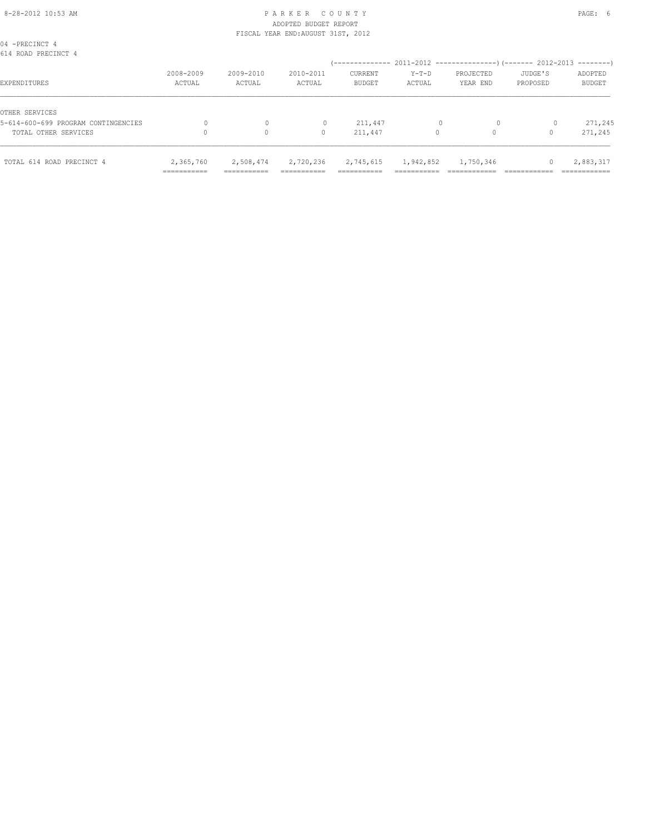#### 8-28-2012 10:53 AM P A R K E R C O U N T Y PAGE: 6 ADOPTED BUDGET REPORT FISCAL YEAR END:AUGUST 31ST, 2012

|                     | $\circ$             | 0                   | 211,447                  | 0               | 0                     |                     | 271,245                  |
|---------------------|---------------------|---------------------|--------------------------|-----------------|-----------------------|---------------------|--------------------------|
|                     | 0                   |                     | 211,447                  |                 | $\Omega$              |                     | 271,245                  |
| 2008-2009<br>ACTUAL | 2009-2010<br>ACTUAL | 2010-2011<br>ACTUAL | CURRENT<br><b>BUDGET</b> | Y-T-D<br>ACTUAL | PROJECTED<br>YEAR END | JUDGE'S<br>PROPOSED | ADOPTED<br><b>BUDGET</b> |
|                     |                     |                     |                          |                 |                       |                     |                          |
|                     |                     |                     |                          |                 |                       |                     |                          |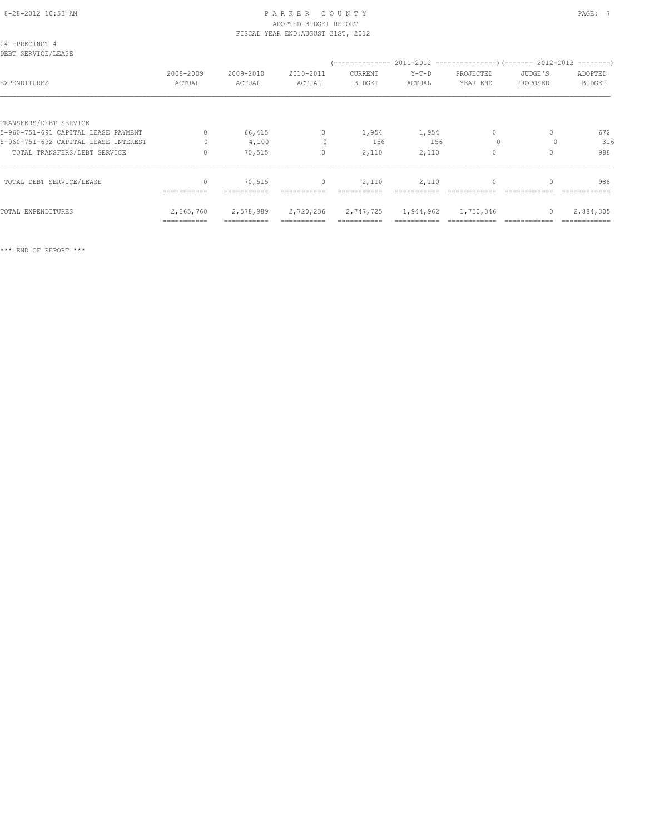| 04 -PRECINCT 4<br>DEBT SERVICE/LEASE |                     |                     |                     |                          |                   |                       |                     |                          |
|--------------------------------------|---------------------|---------------------|---------------------|--------------------------|-------------------|-----------------------|---------------------|--------------------------|
| EXPENDITURES                         | 2008-2009<br>ACTUAL | 2009-2010<br>ACTUAL | 2010-2011<br>ACTUAL | CURRENT<br><b>BUDGET</b> | $Y-T-D$<br>ACTUAL | PROJECTED<br>YEAR END | JUDGE'S<br>PROPOSED | ADOPTED<br><b>BUDGET</b> |
|                                      |                     |                     |                     |                          |                   |                       |                     |                          |
| TRANSFERS/DEBT SERVICE               |                     |                     |                     |                          |                   |                       |                     |                          |
| 5-960-751-691 CAPITAL LEASE PAYMENT  | $\Omega$            | 66,415              | $\circ$             | 1,954                    | 1,954             | $\circ$               | 0                   | 672                      |
| 5-960-751-692 CAPITAL LEASE INTEREST | $\Omega$            | 4,100               | $\Omega$            | 156                      | 156               | $\Omega$              |                     | 316                      |
| TOTAL TRANSFERS/DEBT SERVICE         | $\Omega$            | 70,515              | $\mathbf{0}$        | 2,110                    | 2,110             | $\Omega$              |                     | 988                      |
| TOTAL DEBT SERVICE/LEASE             | $\Omega$            | 70,515              | $\circ$             | 2,110                    | 2,110             | $\Omega$              |                     | 988                      |
|                                      |                     |                     |                     |                          |                   |                       |                     |                          |
| TOTAL EXPENDITURES                   | 2,365,760           | 2,578,989           | 2,720,236           | 2,747,725                | 1,944,962         | 1,750,346             | $\Omega$            | 2,884,305                |
|                                      | ===========         | ===========         |                     |                          |                   |                       |                     |                          |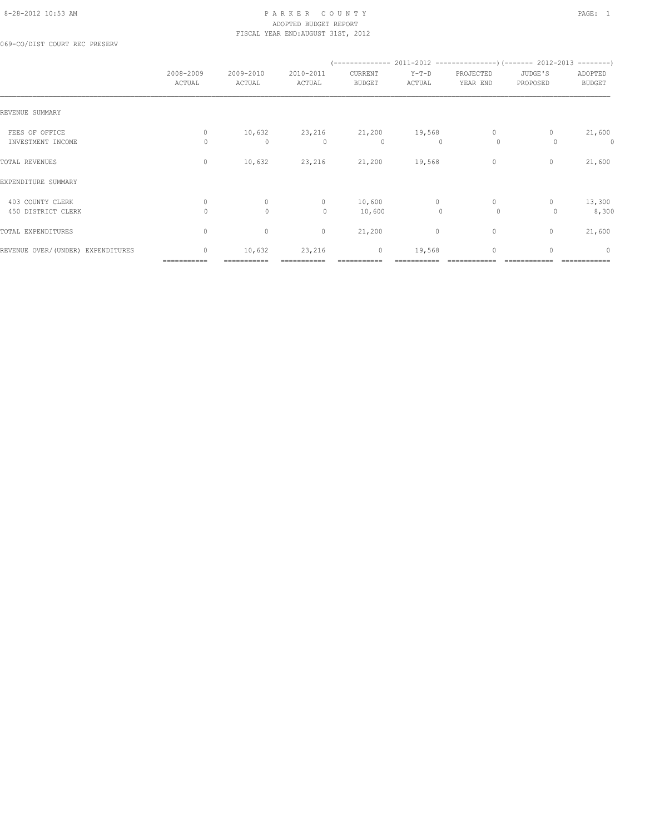#### 8-28-2012 10:53 AM P A R K E R C O U N T Y PAGE: 1 ADOPTED BUDGET REPORT FISCAL YEAR END:AUGUST 31ST, 2012

069-CO/DIST COURT REC PRESERV

|                                        | 2008-2009<br>ACTUAL         | 2009-2010<br>ACTUAL     | 2010-2011<br>ACTUAL | CURRENT<br><b>BUDGET</b> | $Y-T-D$<br>ACTUAL       | PROJECTED<br>YEAR END   | JUDGE'S<br>PROPOSED | ADOPTED<br><b>BUDGET</b> |
|----------------------------------------|-----------------------------|-------------------------|---------------------|--------------------------|-------------------------|-------------------------|---------------------|--------------------------|
| REVENUE SUMMARY                        |                             |                         |                     |                          |                         |                         |                     |                          |
| FEES OF OFFICE<br>INVESTMENT INCOME    | $\circ$<br>$\Omega$         | 10,632<br>$\mathbf{0}$  | $\Omega$            | 23,216 21,200<br>$\circ$ | 19,568<br>$\Omega$      | $\mathbf{0}$<br>$\circ$ | 0                   | 21,600<br>0              |
| TOTAL REVENUES                         | $\circ$                     | 10,632                  | 23,216              | 21,200                   | 19,568                  | $\circ$                 | $\mathbf{0}$        | 21,600                   |
| EXPENDITURE SUMMARY                    |                             |                         |                     |                          |                         |                         |                     |                          |
| 403 COUNTY CLERK<br>450 DISTRICT CLERK | $\mathbf{0}$<br>$\Omega$    | $\circ$<br>$\mathbf{0}$ | $\circ$<br>$\circ$  | 10,600<br>10,600         | $\circ$<br>$\mathbf{0}$ | $\circ$<br>$\circ$      | $\mathbf{0}$<br>0   | 13,300<br>8,300          |
| TOTAL EXPENDITURES                     | $\circ$                     | $\circ$                 | $\circ$             | 21,200                   | $\circ$                 | $\circ$                 | $\circ$             | 21,600                   |
| REVENUE OVER/(UNDER) EXPENDITURES      | $\mathbf{0}$<br>=========== | 10,632<br>========      | 23,216              | $\circ$                  | 19,568                  | $\mathbf{0}$            | $\Omega$            | $\mathbf{0}$             |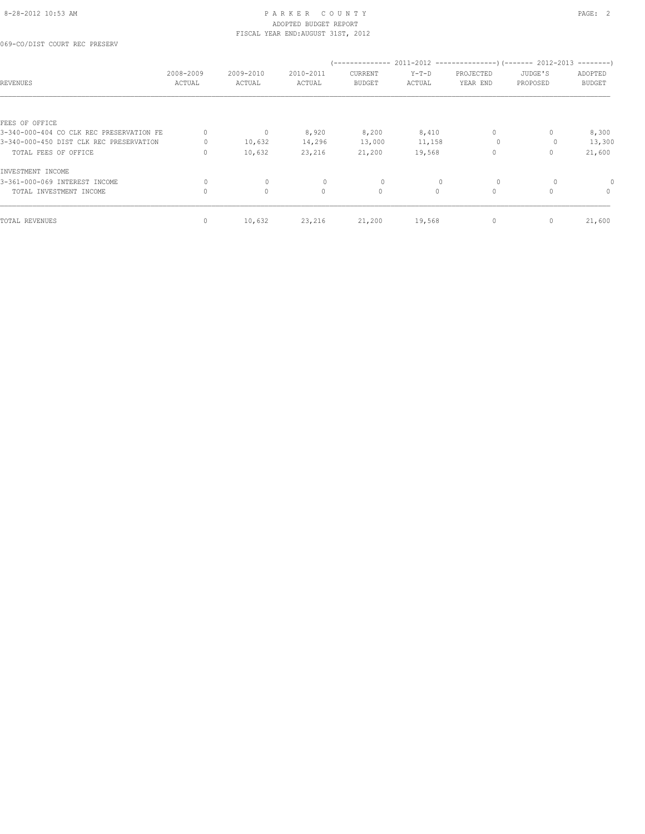069-CO/DIST COURT REC PRESERV

| <b>REVENUES</b>                          | 2008-2009<br>ACTUAL | 2009-2010<br>ACTUAL | 2010-2011<br>ACTUAL | --------------<br>CURRENT<br><b>BUDGET</b> | $Y-T-D$<br>ACTUAL | PROJECTED<br>YEAR END | 2011-2012 ----------------------- 2012-2013<br>JUDGE'S<br>PROPOSED | $------$<br>ADOPTED<br><b>BUDGET</b> |
|------------------------------------------|---------------------|---------------------|---------------------|--------------------------------------------|-------------------|-----------------------|--------------------------------------------------------------------|--------------------------------------|
|                                          |                     |                     |                     |                                            |                   |                       |                                                                    |                                      |
| FEES OF OFFICE                           |                     |                     |                     |                                            |                   |                       |                                                                    |                                      |
| 3-340-000-404 CO CLK REC PRESERVATION FE | $\mathbf{0}$        | $\circ$             | 8,920               | 8,200                                      | 8,410             | $\circ$               | $\Omega$                                                           | 8,300                                |
| 3-340-000-450 DIST CLK REC PRESERVATION  | 0                   | 10,632              | 14,296              | 13,000                                     | 11,158            | $\circ$               | 0                                                                  | 13,300                               |
| TOTAL FEES OF OFFICE                     | 0                   | 10,632              | 23,216              | 21,200                                     | 19,568            | 0                     | 0                                                                  | 21,600                               |
| INVESTMENT INCOME                        |                     |                     |                     |                                            |                   |                       |                                                                    |                                      |
| 3-361-000-069 INTEREST INCOME            |                     | $\mathbf{0}$        | 0                   | 0                                          |                   | $\circ$               |                                                                    |                                      |
| TOTAL INVESTMENT INCOME                  | 0                   | 0                   | $\mathbf{0}$        | 0                                          | $\circ$           | $\circ$               | 0                                                                  | $\mathbf{0}$                         |
| TOTAL REVENUES                           | $\mathbf{0}$        | 10,632              | 23,216              | 21,200                                     | 19,568            | $\mathbf{0}$          | 0                                                                  | 21,600                               |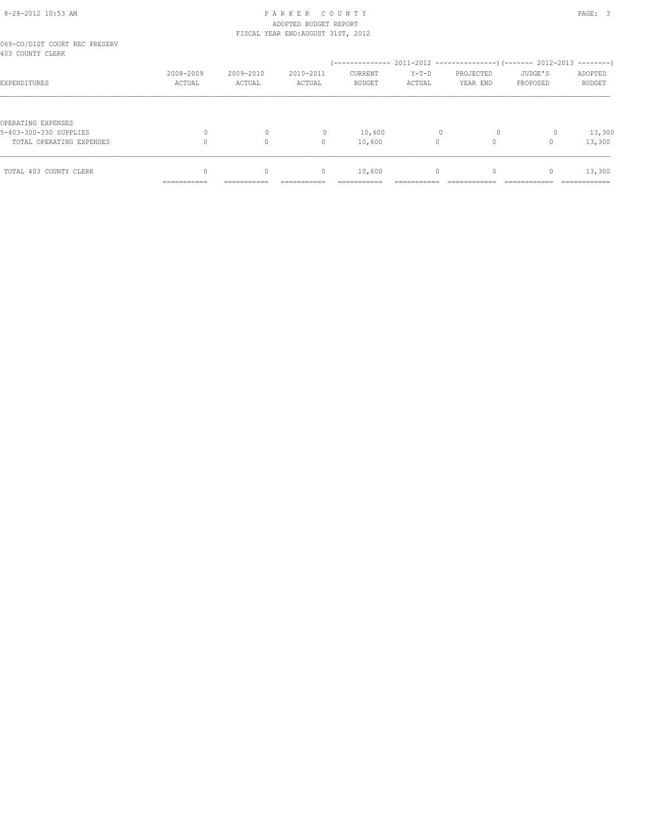|                                                   | ------------        |                     |                     |                          |                   |                       |                     |                          |
|---------------------------------------------------|---------------------|---------------------|---------------------|--------------------------|-------------------|-----------------------|---------------------|--------------------------|
| TOTAL 403 COUNTY CLERK                            | $\Omega$            | $\mathbf{0}$        | $\circ$             | 10,600                   | $\circ$           | $\mathbf{0}$          | $\mathbf{0}$        | 13,300                   |
| TOTAL OPERATING EXPENSES                          |                     | $\Omega$            | 0                   | 10,600                   | $\Omega$          |                       |                     | 13,300                   |
| OPERATING EXPENSES<br>5-403-300-330 SUPPLIES      | $\Omega$            | $\mathbf{0}$        | $\mathbf{0}$        | 10,600                   | $\mathbf{0}$      | $\circ$               | $\circ$             | 13,300                   |
| EXPENDITURES                                      | 2008-2009<br>ACTUAL | 2009-2010<br>ACTUAL | 2010-2011<br>ACTUAL | CURRENT<br><b>BUDGET</b> | $Y-T-D$<br>ACTUAL | PROJECTED<br>YEAR END | JUDGE'S<br>PROPOSED | ADOPTED<br><b>BUDGET</b> |
| 069-CO/DIST COURT REC PRESERV<br>403 COUNTY CLERK |                     |                     |                     |                          |                   |                       |                     |                          |
|                                                   |                     |                     |                     |                          |                   |                       |                     |                          |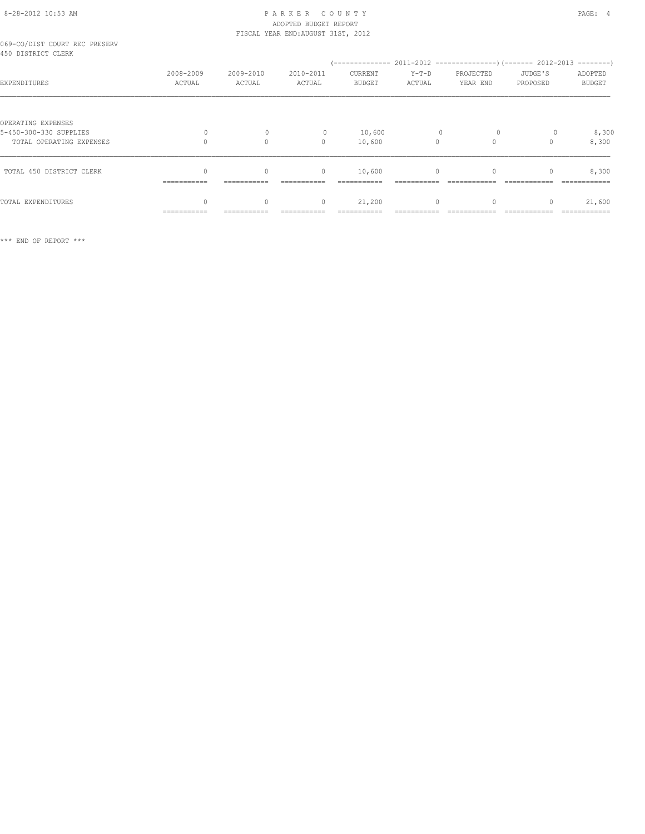# ADOPTED BUDGET REPORT

|                                                     |                     |                      | FISCAL YEAR END: AUGUST 31ST, 2012 |                          |                 |                       |                     |                          |
|-----------------------------------------------------|---------------------|----------------------|------------------------------------|--------------------------|-----------------|-----------------------|---------------------|--------------------------|
| 069-CO/DIST COURT REC PRESERV<br>450 DISTRICT CLERK |                     |                      |                                    |                          |                 |                       |                     |                          |
| EXPENDITURES                                        | 2008-2009<br>ACTUAL | 2009-2010<br>ACTUAL  | 2010-2011<br>ACTUAL                | CURRENT<br><b>BUDGET</b> | Y-T-D<br>ACTUAL | PROJECTED<br>YEAR END | JUDGE'S<br>PROPOSED | ADOPTED<br><b>BUDGET</b> |
| OPERATING EXPENSES                                  |                     |                      |                                    |                          |                 |                       |                     |                          |
| 5-450-300-330 SUPPLIES<br>TOTAL OPERATING EXPENSES  | 0                   | $\Omega$<br>$\Omega$ | $\mathbf{0}$<br>$\Omega$           | 10,600<br>10,600         | $\Omega$        | $\Omega$              |                     | 8,300<br>8,300           |
| TOTAL 450 DISTRICT CLERK                            | ===========         | $\circ$              | $\mathbf{0}$                       | 10,600                   | $\circ$         |                       |                     | 8,300                    |
| TOTAL EXPENDITURES                                  | ===========         | $\circ$              | $\mathbf{0}$                       | 21,200                   | $\circ$         |                       |                     | 21,600                   |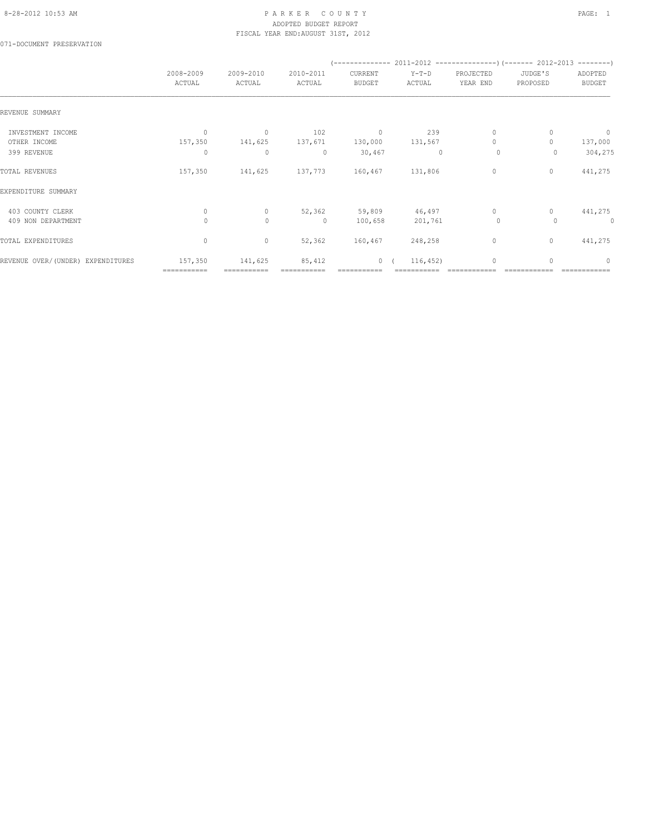#### 8-28-2012 10:53 AM PAGE: 1 PAR K E R C O U N T Y ADOPTED BUDGET REPORT FISCAL YEAR END:AUGUST 31ST, 2012

071-DOCUMENT PRESERVATION

|                                   | 2008-2009    | 2009-2010    | 2010-2011    | CURRENT       | $Y-T-D$      | PROJECTED    | JUDGE'S      | ADOPTED                          |
|-----------------------------------|--------------|--------------|--------------|---------------|--------------|--------------|--------------|----------------------------------|
|                                   | ACTUAL       | ACTUAL       | ACTUAL       | <b>BUDGET</b> | ACTUAL       | YEAR END     | PROPOSED     | <b>BUDGET</b>                    |
| REVENUE SUMMARY                   |              |              |              |               |              |              |              |                                  |
| INVESTMENT INCOME                 | $\mathbf{0}$ | $\mathbf{0}$ | 102          | $\mathbf 0$   | 239          | $\mathbf{0}$ | 0            | $\overline{0}$                   |
| OTHER INCOME                      | 157,350      | 141,625      | 137,671      | 130,000       | 131,567      | $\mathbf{0}$ |              | 137,000                          |
| 399 REVENUE                       | 0            | $\mathbf{0}$ | $\circ$      | 30,467        | $\mathbf{0}$ | 0            | 0            | 304,275                          |
| TOTAL REVENUES                    | 157,350      | 141,625      | 137,773      | 160,467       | 131,806      | $\circ$      | 0            | 441,275                          |
| EXPENDITURE SUMMARY               |              |              |              |               |              |              |              |                                  |
| 403 COUNTY CLERK                  | $\mathbf{0}$ | $\circ$      | 52,362       | 59,809        | 46,497       | $\circ$      | 0            | 441,275                          |
| 409 NON DEPARTMENT                | $\Omega$     | $\mathbf{0}$ | $\mathbf{0}$ | 100,658       | 201,761      | $\circ$      | 0            | 0                                |
| TOTAL EXPENDITURES                | 0            | $\circ$      | 52,362       | 160,467       | 248,258      | $\circ$      | $\mathbf{0}$ | 441,275                          |
| REVENUE OVER/(UNDER) EXPENDITURES | 157,350      | 141,625      | 85,412       | 0(            | 116, 452)    | $\mathbf{0}$ | $\Omega$     | $\begin{array}{c} \n\end{array}$ |
|                                   | ===========  |              |              |               |              |              |              |                                  |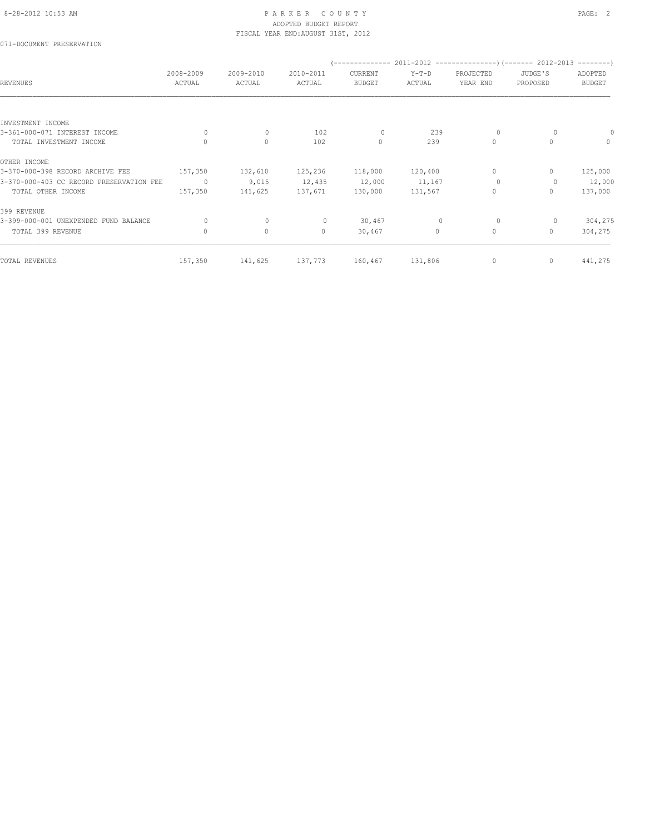071-DOCUMENT PRESERVATION

| REVENUES                                 | 2008-2009<br>ACTUAL | 2009-2010<br>ACTUAL | 2010-2011<br>ACTUAL | CURRENT<br><b>BUDGET</b> | $Y-T-D$<br>ACTUAL | PROJECTED<br>YEAR END | JUDGE'S<br>PROPOSED | ADOPTED<br><b>BUDGET</b>         |
|------------------------------------------|---------------------|---------------------|---------------------|--------------------------|-------------------|-----------------------|---------------------|----------------------------------|
| INVESTMENT INCOME                        |                     |                     |                     |                          |                   |                       |                     |                                  |
| 3-361-000-071 INTEREST INCOME            | 0                   | $\circ$             | 102                 | 0                        | 239               | $\circ$               |                     |                                  |
| TOTAL INVESTMENT INCOME                  |                     | $\circ$             | 102                 | $\circ$                  | 239               | $\mathbf{0}$          |                     | $\begin{array}{c} \n\end{array}$ |
| OTHER INCOME                             |                     |                     |                     |                          |                   |                       |                     |                                  |
| 3-370-000-398 RECORD ARCHIVE FEE         | 157,350             | 132,610             | 125,236             | 118,000                  | 120,400           | $\mathbf{0}$          |                     | 125,000                          |
| 3-370-000-403 CC RECORD PRESERVATION FEE | $\circ$             | 9,015               | 12,435              | 12,000                   | 11,167            | $\Omega$              |                     | 12,000                           |
| TOTAL OTHER INCOME                       | 157,350             | 141,625             | 137,671             | 130,000                  | 131,567           | $\mathbf{0}$          | 0                   | 137,000                          |
| 399 REVENUE                              |                     |                     |                     |                          |                   |                       |                     |                                  |
| 3-399-000-001 UNEXPENDED FUND BALANCE    | $\Omega$            | $\mathbf{0}$        | $\mathbf{0}$        | 30,467                   | $\mathbf{0}$      | $\Omega$              | 0                   | 304,275                          |
| TOTAL 399 REVENUE                        | $\circ$             | $\circ$             | $\mathbf{0}$        | 30,467                   | $\circ$           | $\mathbf{0}$          | 0                   | 304,275                          |
| TOTAL REVENUES                           | 157,350             | 141,625             | 137,773             | 160,467                  | 131,806           | 0                     | 0                   | 441,275                          |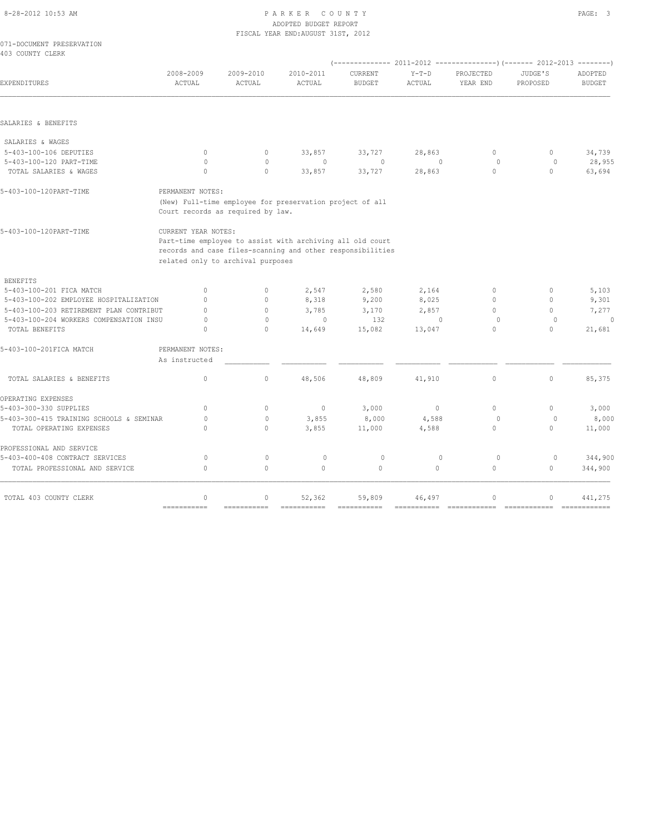#### 8-28-2012 10:53 AM P A R K E R C O U N T Y PAGE: 3 ADOPTED BUDGET REPORT YEAR END: AUGUST 31ST, 2012

|                                               |           |           | FISCAL YEAR END:AUGUST 31ST, 2012 |               |         |           |          |               |
|-----------------------------------------------|-----------|-----------|-----------------------------------|---------------|---------|-----------|----------|---------------|
| 071-DOCUMENT PRESERVATION<br>403 COUNTY CLERK |           |           |                                   |               |         |           |          |               |
|                                               |           |           |                                   |               |         |           |          |               |
|                                               | 2008-2009 | 2009-2010 | 2010-2011                         | CURRENT       | $Y-T-D$ | PROJECTED | JUDGE'S  | ADOPTED       |
| EXPENDITURES                                  | ACTUAL    | ACTUAL    | ACTUAL                            | <b>BUDGET</b> | ACTUAL  | YEAR END  | PROPOSED | <b>BUDGET</b> |

|  | SALARIES & BENEFITS |
|--|---------------------|
|  |                     |

| SALARIES & WAGES        |   |        |        |        |          |        |
|-------------------------|---|--------|--------|--------|----------|--------|
| 5-403-100-106 DEPUTIES  | 0 | 33,857 | 33,727 | 28,863 | <b>U</b> | 34,739 |
| 5-403-100-120 PART-TIME |   |        |        | $\Box$ |          | 28,955 |
| TOTAL SALARIES & WAGES  |   | 33,857 | 33,727 | 28,863 |          | 63,694 |
|                         |   |        |        |        |          |        |

|  | 5-403-100-120PART-TIME |
|--|------------------------|
|  |                        |

 (New) Full-time employee for preservation project of all Court records as required by law.

PERMANENT NOTES:

5-403-100-120PART-TIME CURRENT YEAR NOTES:

 Part-time employee to assist with archiving all old court records and case files-scanning and other responsibilities related only to archival purposes

| <b>BENEFITS</b>                          |                  |              |                                  |         |          |              |          |         |
|------------------------------------------|------------------|--------------|----------------------------------|---------|----------|--------------|----------|---------|
| 5-403-100-201 FICA MATCH                 | $\Omega$         | $\circ$      | 2,547                            | 2,580   | 2,164    | $\Omega$     |          | 5,103   |
| 5-403-100-202 EMPLOYEE HOSPITALIZATION   |                  | $\Omega$     | 8,318                            | 9,200   | 8,025    | $\Omega$     |          | 9,301   |
| 5-403-100-203 RETIREMENT PLAN CONTRIBUT  |                  | $\cap$       | 3,785                            | 3,170   | 2,857    | $\Omega$     |          | 7,277   |
| 5-403-100-204 WORKERS COMPENSATION INSU  |                  | $\mathbf{0}$ | $\begin{array}{c} \n\end{array}$ | 132     |          | $\Omega$     |          | 0       |
| TOTAL BENEFITS                           |                  | $\mathbf{0}$ | 14,649                           | 15,082  | 13,047   | 0            |          | 21,681  |
| 5-403-100-201FICA MATCH                  | PERMANENT NOTES: |              |                                  |         |          |              |          |         |
|                                          | As instructed    |              |                                  |         |          |              |          |         |
| TOTAL SALARIES & BENEFITS                | $\Omega$         | $\circ$      | 48,506                           | 48,809  | 41,910   | $\mathbf{0}$ | $\Omega$ | 85,375  |
| OPERATING EXPENSES                       |                  |              |                                  |         |          |              |          |         |
| 5-403-300-330 SUPPLIES                   | $\bigcap$        | $\Omega$     | $\mathbf{0}$                     | 3,000   | $\Omega$ | $\Omega$     |          | 3,000   |
| 5-403-300-415 TRAINING SCHOOLS & SEMINAR |                  | $\mathbf{0}$ | 3,855                            | 8,000   | 4,588    | $\Omega$     |          | 8,000   |
| TOTAL OPERATING EXPENSES                 |                  | $\circ$      | 3,855                            | 11,000  | 4,588    | $\Omega$     |          | 11,000  |
| PROFESSIONAL AND SERVICE                 |                  |              |                                  |         |          |              |          |         |
| 5-403-400-408 CONTRACT SERVICES          | $\cap$           | $\mathbf{0}$ | $\Omega$                         | $\circ$ |          | $\Omega$     |          | 344,900 |
| TOTAL PROFESSIONAL AND SERVICE           | $\bigcap$        | $\circ$      | $\Omega$                         | $\circ$ | $\circ$  | $\mathbf{0}$ | 0        | 344,900 |
| TOTAL 403 COUNTY CLERK                   | $\cap$           | $\Omega$     | 52,362                           | 59,809  | 46,497   | $\Omega$     | n        | 441,275 |
|                                          | ===========      |              |                                  |         |          |              |          |         |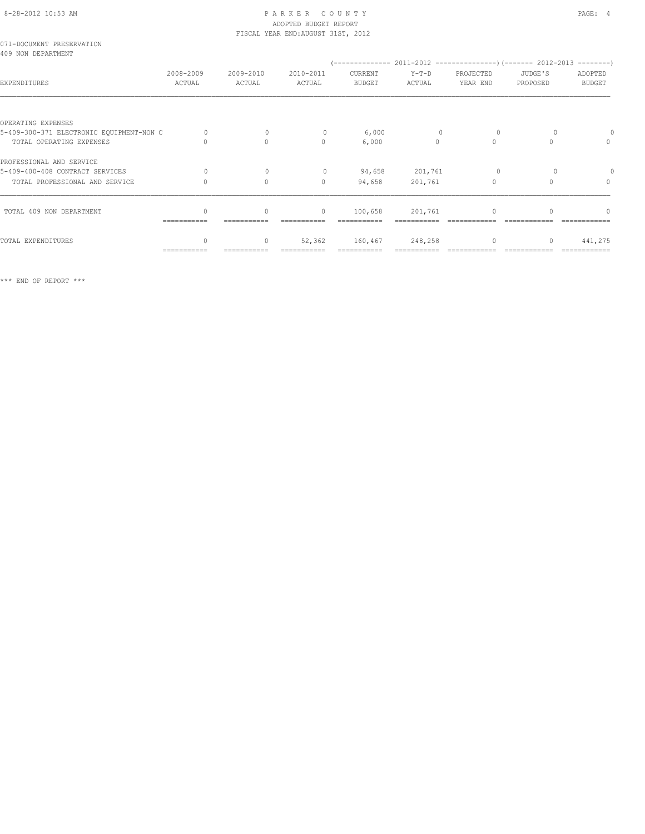## 8-28-2012 10:53 AM P A R K E R C O U N T Y PAGE: 4 ADOPTED BUDGET REPORT

|                                                 |                     |                     | FISCAL YEAR END: AUGUST 31ST, 2012 |                          |                   |                       |                     |                                  |
|-------------------------------------------------|---------------------|---------------------|------------------------------------|--------------------------|-------------------|-----------------------|---------------------|----------------------------------|
| 071-DOCUMENT PRESERVATION<br>409 NON DEPARTMENT |                     |                     |                                    |                          |                   |                       |                     |                                  |
| EXPENDITURES                                    | 2008-2009<br>ACTUAL | 2009-2010<br>ACTUAL | 2010-2011<br>ACTUAL                | CURRENT<br><b>BUDGET</b> | $Y-T-D$<br>ACTUAL | PROJECTED<br>YEAR END | JUDGE'S<br>PROPOSED | ADOPTED<br><b>BUDGET</b>         |
|                                                 |                     |                     |                                    |                          |                   |                       |                     |                                  |
| OPERATING EXPENSES                              |                     |                     |                                    |                          |                   |                       |                     |                                  |
| 5-409-300-371 ELECTRONIC EQUIPMENT-NON C        | $\Omega$            | $\mathbf{0}$        | $\circ$                            | 6,000                    | $\mathbf{0}$      | $\circ$               |                     |                                  |
| TOTAL OPERATING EXPENSES                        |                     | $\Omega$            | $\Omega$                           | 6,000                    | $\Omega$          | $\Omega$              | $\cap$              | $\mathbf{0}$                     |
| PROFESSIONAL AND SERVICE                        |                     |                     |                                    |                          |                   |                       |                     |                                  |
| 5-409-400-408 CONTRACT SERVICES                 | $\Omega$            | $\mathbf{0}$        | $\circ$                            | 94,658                   | 201,761           | $\Omega$              |                     |                                  |
| TOTAL PROFESSIONAL AND SERVICE                  | $\Omega$            | $\Omega$            | $\mathbf{0}$                       | 94,658                   | 201,761           | $\mathbf{0}$          | $\Omega$            | $\begin{array}{c} \n\end{array}$ |
| TOTAL 409 NON DEPARTMENT                        | ------------        | $\Omega$            | $\circ$                            | 100,658                  | 201,761           | $\Omega$              |                     | ∩                                |
|                                                 |                     |                     |                                    |                          |                   |                       |                     |                                  |
| TOTAL EXPENDITURES                              | ===========         | $\circ$             | 52,362                             | 160,467                  | 248,258           | $\Omega$              |                     | 441,275                          |
|                                                 |                     |                     |                                    |                          |                   |                       |                     |                                  |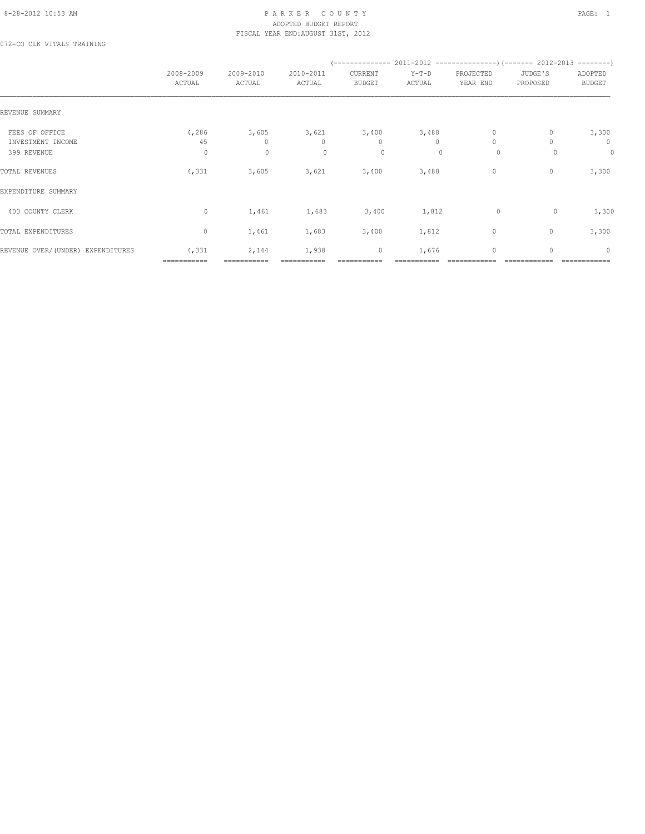#### 8-28-2012 10:53 AM PAGE: 1 PAR K E R C O U N T Y ADOPTED BUDGET REPORT FISCAL YEAR END:AUGUST 31ST, 2012

072-CO CLK VITALS TRAINING

|                                                    | 2008-2009<br>ACTUAL     | 2009-2010<br>ACTUAL                  | 2010-2011<br>ACTUAL              | CURRENT<br><b>BUDGET</b>         | $Y-T-D$<br>ACTUAL              | PROJECTED<br>YEAR END          | JUDGE'S<br>PROPOSED | ADOPTED<br><b>BUDGET</b> |
|----------------------------------------------------|-------------------------|--------------------------------------|----------------------------------|----------------------------------|--------------------------------|--------------------------------|---------------------|--------------------------|
| REVENUE SUMMARY                                    |                         |                                      |                                  |                                  |                                |                                |                     |                          |
| FEES OF OFFICE<br>INVESTMENT INCOME<br>399 REVENUE | 4,286<br>45<br>$\Omega$ | 3,605<br>$\mathbf{0}$<br>$\mathbf 0$ | 3,621<br>$\mathbf{0}$<br>$\circ$ | 3,400<br>$\mathbf{0}$<br>$\circ$ | 3,488<br>$\bigcap$<br>$\Omega$ | $\circ$<br>$\Omega$<br>$\circ$ | 0<br>$\Omega$       | 3,300<br>$\circ$<br>0    |
| TOTAL REVENUES                                     | 4,331                   | 3,605                                | 3,621                            | 3,400                            | 3,488                          | 0                              | 0                   | 3,300                    |
| EXPENDITURE SUMMARY                                |                         |                                      |                                  |                                  |                                |                                |                     |                          |
| 403 COUNTY CLERK                                   | $\circ$                 | 1,461                                | 1,683                            | 3,400                            | 1,812                          | $\circ$                        | $\circ$             | 3,300                    |
| TOTAL EXPENDITURES                                 | $\mathbf{0}$            | 1,461                                | 1,683                            | 3,400                            | 1,812                          | $\circ$                        | $\mathbf{0}$        | 3,300                    |
| REVENUE OVER/(UNDER) EXPENDITURES                  | 4,331<br>===========    | 2,144<br>===========                 | 1,938                            | 0                                | 1,676                          | $\circ$                        | $\mathbf{0}$        | $\circ$                  |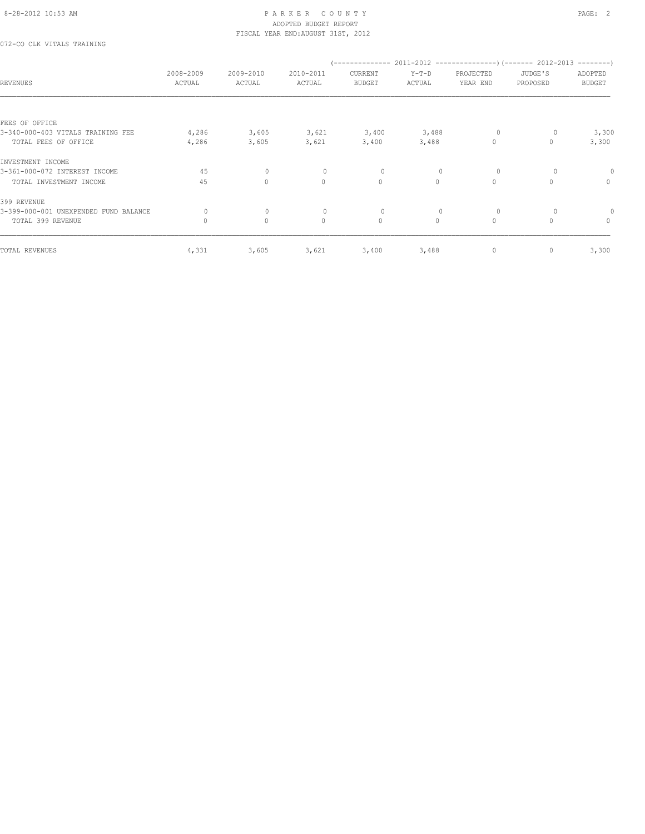072-CO CLK VITALS TRAINING

| <b>REVENUES</b>                       | 2008-2009<br>ACTUAL | 2009-2010<br>ACTUAL | 2010-2011<br>ACTUAL | CURRENT<br><b>BUDGET</b> | $Y-T-D$<br>ACTUAL | PROJECTED<br>YEAR END | JUDGE'S<br>PROPOSED | ADOPTED<br><b>BUDGET</b> |
|---------------------------------------|---------------------|---------------------|---------------------|--------------------------|-------------------|-----------------------|---------------------|--------------------------|
| FEES OF OFFICE                        |                     |                     |                     |                          |                   |                       |                     |                          |
| 3-340-000-403 VITALS TRAINING FEE     | 4,286               | 3,605               | 3,621               | 3,400                    | 3,488             | $\circ$               |                     | 3,300                    |
| TOTAL FEES OF OFFICE                  | 4,286               | 3,605               | 3,621               | 3,400                    | 3,488             | $\circ$               | 0                   | 3,300                    |
| INVESTMENT INCOME                     |                     |                     |                     |                          |                   |                       |                     |                          |
| 3-361-000-072 INTEREST INCOME         | 45                  | 0                   | 0                   | 0                        | $\mathbf{0}$      | 0                     |                     |                          |
| TOTAL INVESTMENT INCOME               | 45                  | $\circ$             | $\circ$             | $\circ$                  | $\circ$           | $\circ$               | $\Omega$            | $\circ$                  |
| 399 REVENUE                           |                     |                     |                     |                          |                   |                       |                     |                          |
| 3-399-000-001 UNEXPENDED FUND BALANCE | $\Omega$            | $\circ$             | $\circ$             | 0                        | $\mathbf{0}$      | 0                     |                     |                          |
| TOTAL 399 REVENUE                     | $\mathbf{0}$        | $\mathbf{0}$        | $\mathbf{0}$        | $\mathbf{0}$             | $\circ$           | $\circ$               | $\circ$             | $\mathbf{0}$             |
| TOTAL REVENUES                        | 4,331               | 3,605               | 3,621               | 3,400                    | 3,488             | 0                     | 0                   | 3,300                    |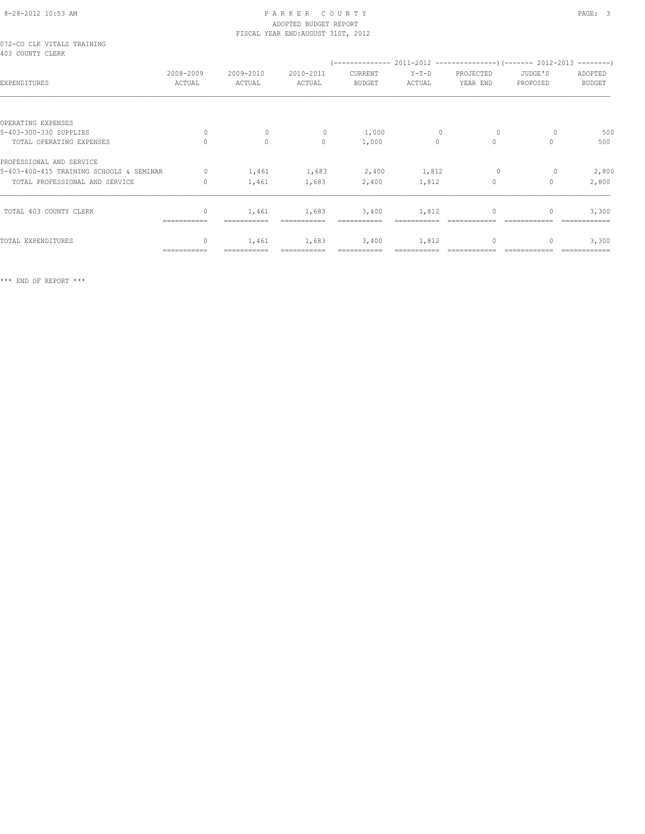## 8-28-2012 10:53 AM P A R K E R C O U N T Y PAGE: 3 ADOPTED BUDGET REPORT

| 072-CO CLK VITALS TRAINING<br>403 COUNTY CLERK |                     |                     |                     |                          |                   |                       |                     |                          |
|------------------------------------------------|---------------------|---------------------|---------------------|--------------------------|-------------------|-----------------------|---------------------|--------------------------|
| EXPENDITURES                                   | 2008-2009<br>ACTUAL | 2009-2010<br>ACTUAL | 2010-2011<br>ACTUAL | CURRENT<br><b>BUDGET</b> | $Y-T-D$<br>ACTUAL | PROJECTED<br>YEAR END | JUDGE'S<br>PROPOSED | ADOPTED<br><b>BUDGET</b> |
|                                                |                     |                     |                     |                          |                   |                       |                     |                          |
| OPERATING EXPENSES                             |                     |                     |                     |                          |                   |                       |                     |                          |
| 5-403-300-330 SUPPLIES                         | 0                   | $\mathbf 0$         | 0                   | 1,000                    | $\mathbf 0$       | 0                     |                     | 500                      |
| TOTAL OPERATING EXPENSES                       |                     | $\circ$             | $\Omega$            | 1,000                    | $\Omega$          | $\Omega$              |                     | 500                      |
| PROFESSIONAL AND SERVICE                       |                     |                     |                     |                          |                   |                       |                     |                          |
| 5-403-400-415 TRAINING SCHOOLS & SEMINAR       | $\circ$             | 1,461               | 1,683               | 2,400                    | 1,812             | $\circ$               | 0                   | 2,800                    |
| TOTAL PROFESSIONAL AND SERVICE                 | $\Omega$            | 1,461               | 1,683               | 2,400                    | 1,812             | $\Omega$              | $\Omega$            | 2,800                    |
| TOTAL 403 COUNTY CLERK                         | $\mathbf{0}$        | 1,461               | 1,683               | 3,400                    | 1,812             | $\mathbf{0}$          | 0                   | 3,300                    |
|                                                |                     |                     |                     |                          |                   |                       |                     |                          |

TOTAL EXPENDITURES 0 1,461 1,683 3,400 1,812 0 0 3,300 =========== =========== =========== =========== =========== ============ ============ ============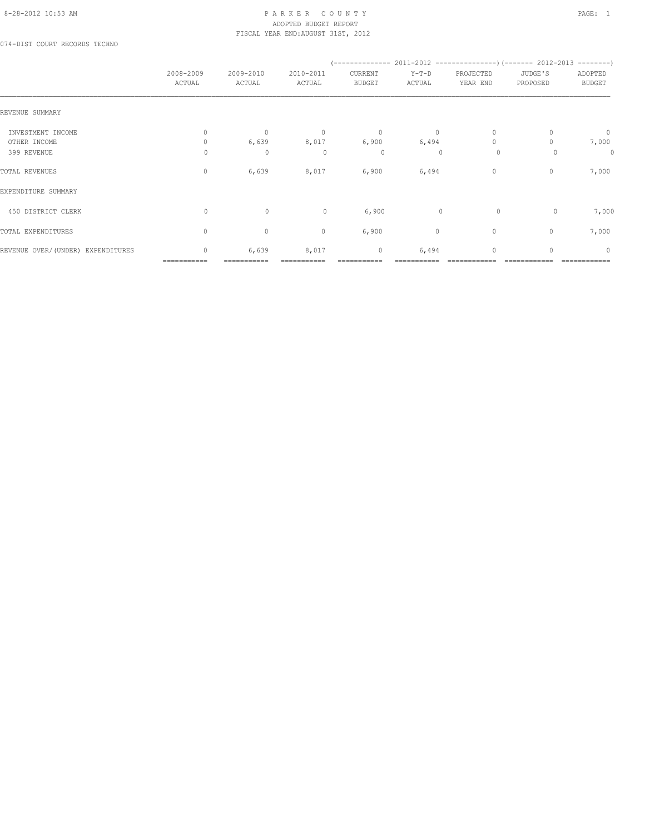#### 8-28-2012 10:53 AM P A R K E R C O U N T Y PAGE: 1 ADOPTED BUDGET REPORT FISCAL YEAR END:AUGUST 31ST, 2012

074-DIST COURT RECORDS TECHNO

|                                                  | 2008-2009<br>ACTUAL           | 2009-2010<br>ACTUAL                   | 2010-2011<br>ACTUAL          | CURRENT<br><b>BUDGET</b>        | $Y-T-D$<br>ACTUAL                | PROJECTED<br>YEAR END               | JUDGE'S<br>PROPOSED | ADOPTED<br><b>BUDGET</b> |
|--------------------------------------------------|-------------------------------|---------------------------------------|------------------------------|---------------------------------|----------------------------------|-------------------------------------|---------------------|--------------------------|
| REVENUE SUMMARY                                  |                               |                                       |                              |                                 |                                  |                                     |                     |                          |
| INVESTMENT INCOME<br>OTHER INCOME<br>399 REVENUE | $\mathbf{0}$<br>$\Omega$<br>0 | $\mathbf{0}$<br>6,639<br>$\mathbf{0}$ | $\overline{0}$<br>8,017<br>0 | $\mathbf 0$<br>6,900<br>$\circ$ | $\circ$<br>6,494<br>$\mathbf{0}$ | $\mathbf{0}$<br>$\Omega$<br>$\circ$ | $\Omega$            | $\circ$<br>7,000<br>0    |
| TOTAL REVENUES                                   | $\mathbf{0}$                  | 6,639                                 | 8,017                        | 6,900                           | 6,494                            | $\circ$                             | 0                   | 7,000                    |
| EXPENDITURE SUMMARY                              |                               |                                       |                              |                                 |                                  |                                     |                     |                          |
| 450 DISTRICT CLERK                               | $\circ$                       | $\circ$                               | $\circ$                      | 6,900                           | $\mathbf{0}$                     | $\circ$                             | 0                   | 7,000                    |
| TOTAL EXPENDITURES                               | $\circ$                       | $\circ$                               | $\circ$                      | 6,900                           | 0                                | $\mathbf{0}$                        | $\circ$             | 7,000                    |
| REVENUE OVER/(UNDER) EXPENDITURES                | $\mathbf{0}$                  | 6,639                                 | 8,017                        | 0                               | 6,494                            | $\mathbf{0}$                        | 0                   | $\mathbf{0}$             |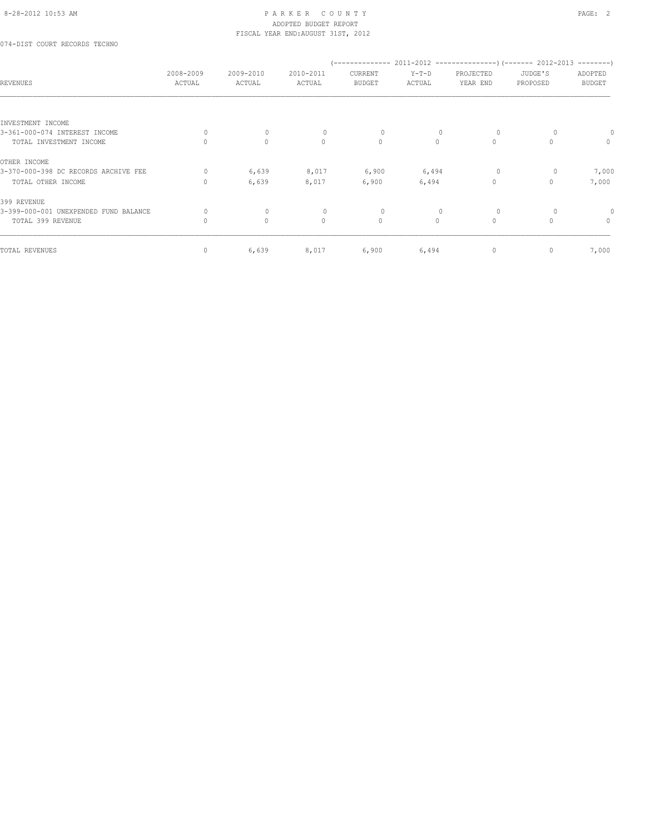#### 8-28-2012 10:53 AM PAGE: 2 ADOPTED BUDGET REPORT FISCAL YEAR END:AUGUST 31ST, 2012

074-DIST COURT RECORDS TECHNO

| <b>REVENUES</b>                       | 2008-2009<br>ACTUAL | 2009-2010<br>ACTUAL | 2010-2011<br>ACTUAL | '--------------<br>CURRENT<br><b>BUDGET</b> | $Y-T-D$<br>ACTUAL | PROJECTED<br>YEAR END | $2011-2012$ ----------------) (------- 2012-2013 --------)<br>JUDGE'S<br>PROPOSED | ADOPTED<br><b>BUDGET</b> |
|---------------------------------------|---------------------|---------------------|---------------------|---------------------------------------------|-------------------|-----------------------|-----------------------------------------------------------------------------------|--------------------------|
| INVESTMENT INCOME                     |                     |                     |                     |                                             |                   |                       |                                                                                   |                          |
| 3-361-000-074 INTEREST INCOME         | $\Omega$            | $\mathbf 0$         | $\Omega$            | $\circ$                                     |                   | $\circ$               |                                                                                   |                          |
| TOTAL INVESTMENT INCOME               | $\Omega$            | $\mathbf{0}$        | $\mathbf{0}$        | $\circ$                                     | $\Omega$          | $\circ$               | $\Omega$                                                                          | $\mathbf{0}$             |
| OTHER INCOME                          |                     |                     |                     |                                             |                   |                       |                                                                                   |                          |
| 3-370-000-398 DC RECORDS ARCHIVE FEE  | $\Omega$            | 6,639               | 8,017               | 6,900                                       | 6,494             | $\circ$               |                                                                                   | 7,000                    |
| TOTAL OTHER INCOME                    | $\Omega$            | 6,639               | 8,017               | 6,900                                       | 6,494             | $\Omega$              | 0                                                                                 | 7,000                    |
| 399 REVENUE                           |                     |                     |                     |                                             |                   |                       |                                                                                   |                          |
| 3-399-000-001 UNEXPENDED FUND BALANCE | 0                   | $\mathbf 0$         | $\mathbf{0}$        | 0                                           |                   | $\circ$               |                                                                                   |                          |
| TOTAL 399 REVENUE                     | $\mathbf{0}$        | $\circ$             | $\circ$             | $\circ$                                     | $\circ$           | $\circ$               | $\Omega$                                                                          | $\mathbf{0}$             |
| TOTAL REVENUES                        | 0                   | 6,639               | 8,017               | 6,900                                       | 6,494             | 0                     | $\mathbf{0}$                                                                      | 7,000                    |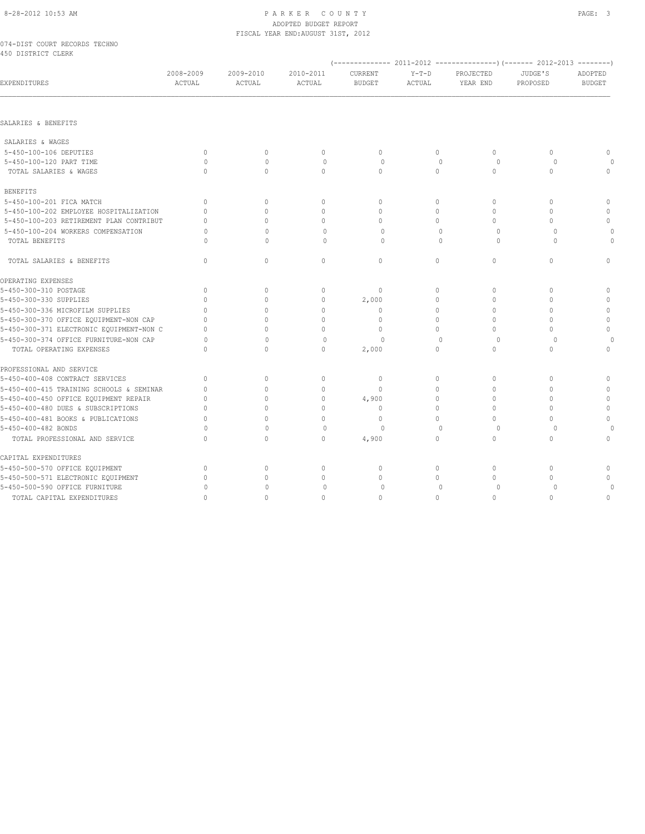#### 8-28-2012 10:53 AM PAGE: 3 ADOPTED BUDGET REPORT FISCAL YEAR END:AUGUST 31ST, 2012

#### 074-DIST COURT RECORDS TECHNO 450 DISTRICT CLERK

| EXPENDITURES                             | 2008-2009<br>ACTUAL | 2009-2010<br>ACTUAL | 2010-2011<br>ACTUAL | CURRENT<br><b>BUDGET</b> | $Y-T-D$<br>ACTUAL | PROJECTED<br>YEAR END | JUDGE'S<br>PROPOSED | ADOPTED<br><b>BUDGET</b> |
|------------------------------------------|---------------------|---------------------|---------------------|--------------------------|-------------------|-----------------------|---------------------|--------------------------|
|                                          |                     |                     |                     |                          |                   |                       |                     |                          |
| SALARIES & BENEFITS                      |                     |                     |                     |                          |                   |                       |                     |                          |
|                                          |                     |                     |                     |                          |                   |                       |                     |                          |
| SALARIES & WAGES                         |                     |                     |                     |                          |                   |                       |                     |                          |
| 5-450-100-106 DEPUTIES                   | $\mathbf{0}$        | $\circ$             | $\circ$             | $\mathbf{0}$             | $\circ$           | $\circ$               | $\circ$             | $\mathbf{0}$             |
| 5-450-100-120 PART TIME                  | $\circ$             | $\mathbf{0}$        | $\circ$             | $\circ$                  | $\mathbf{0}$      | $\circ$               | $\circ$             |                          |
| TOTAL SALARIES & WAGES                   | $\Omega$            | $\Omega$            | $\Omega$            | $\Omega$                 | $\Omega$          | $\Omega$              | $\Omega$            | $\mathbf{0}$             |
| <b>BENEFITS</b>                          |                     |                     |                     |                          |                   |                       |                     |                          |
| 5-450-100-201 FICA MATCH                 | $\mathbf{0}$        | 0                   | $\mathbf{0}$        | $\mathbf{0}$             | 0                 | 0                     | $\circ$             | $\mathbf{0}$             |
| 5-450-100-202 EMPLOYEE HOSPITALIZATION   | $\Omega$            | $\Omega$            | $\mathbf{0}$        | $\mathbf{0}$             | 0                 | 0                     | $\mathbf{0}$        | $\mathbf 0$              |
| 5-450-100-203 RETIREMENT PLAN CONTRIBUT  | $\cap$              | $\Omega$            | $\Omega$            | $\Omega$                 | $\Omega$          | $\Omega$              | 0                   | $\Omega$                 |
| 5-450-100-204 WORKERS COMPENSATION       | $\Omega$            | $\Omega$            | $\mathbf{0}$        | $\circ$                  | $\mathbf{0}$      | 0                     | $\circ$             | $\Omega$                 |
| TOTAL BENEFITS                           | $\Omega$            | $\Omega$            | $\Omega$            | $\Omega$                 | $\Omega$          | $\Omega$              | $\Omega$            | $\Omega$                 |
| TOTAL SALARIES & BENEFITS                | $\mathbf{0}$        | $\circ$             | $\circ$             | $\circ$                  | $\circ$           | $\circ$               | $\circ$             | $\mathbf{0}$             |
| OPERATING EXPENSES                       |                     |                     |                     |                          |                   |                       |                     |                          |
| 5-450-300-310 POSTAGE                    | $\mathbf{0}$        | $\mathbf{0}$        | $\mathbf{0}$        | $\mathbf{0}$             | $\circ$           | 0                     | $\circ$             | $\mathbf{0}$             |
| 5-450-300-330 SUPPLIES                   | $\Omega$            | $\Omega$            | $\mathbf{0}$        | 2,000                    | $\Omega$          | 0                     | O                   | $\mathbf{0}$             |
| 5-450-300-336 MICROFILM SUPPLIES         | $\Omega$            | 0                   | $\mathbf 0$         | $\mathbf{0}$             | 0                 | 0                     | $\circ$             | $\mathbf 0$              |
| 5-450-300-370 OFFICE EQUIPMENT-NON CAP   | $\Omega$            | $\Omega$            | $\Omega$            | $\Omega$                 | $\Omega$          | $\Omega$              | $\cap$              | $\mathbb O$              |
| 5-450-300-371 ELECTRONIC EQUIPMENT-NON C | $\cap$              | 0                   | $\mathbf{0}$        | $\Omega$                 | $\Omega$          | $\Omega$              | O                   | $\mathbf{0}$             |
| 5-450-300-374 OFFICE FURNITURE-NON CAP   | $\circ$             | $\Omega$            | $\mathbf{0}$        | $\Omega$                 | $\mathbf{0}$      | $\circ$               | $\circ$             |                          |
| TOTAL OPERATING EXPENSES                 | $\cap$              | $\Omega$            | $\Omega$            | 2,000                    | $\Omega$          | $\Omega$              | $\Omega$            | $\mathbf{0}$             |
| PROFESSIONAL AND SERVICE                 |                     |                     |                     |                          |                   |                       |                     |                          |
| 5-450-400-408 CONTRACT SERVICES          | $\Omega$            | $\mathbf{0}$        | $\circ$             | $\mathbf{0}$             | $\circ$           | 0                     | $\circ$             | $\mathbf{0}$             |
| 5-450-400-415 TRAINING SCHOOLS & SEMINAR | $\mathbf 0$         | 0                   | $\mathbb O$         | $\mathbf{0}$             | $\Omega$          | 0                     | $\Omega$            | $\mathbf 0$              |
| 5-450-400-450 OFFICE EQUIPMENT REPAIR    | $\cap$              | $\Omega$            | $\mathbf{0}$        | 4,900                    | $\Omega$          | $\Omega$              | O                   | $\mathbb O$              |
| 5-450-400-480 DUES & SUBSCRIPTIONS       | n                   | 0                   | $\Omega$            | $\Omega$                 | $\Omega$          | 0                     | Λ                   | $\mathbf 0$              |
| 5-450-400-481 BOOKS & PUBLICATIONS       | $\Omega$            | $\Omega$            | $\mathbf 0$         | $\Omega$                 | 0                 | 0                     | $\Omega$            | $\circ$                  |
| 5-450-400-482 BONDS                      | $\Omega$            | $\cap$              | $\mathbf{0}$        | $\circ$                  | $\Omega$          | $\circ$               | $\Omega$            | $\Omega$                 |
| TOTAL PROFESSIONAL AND SERVICE           | $\Omega$            | 0                   | $\circ$             | 4,900                    | 0                 | $\circ$               | $\circ$             | $\circ$                  |
| CAPITAL EXPENDITURES                     |                     |                     |                     |                          |                   |                       |                     |                          |
| 5-450-500-570 OFFICE EQUIPMENT           | $\mathbf{0}$        | 0                   | $\circ$             | $\mathbf{0}$             | $\circ$           | 0                     | $\circ$             | $\mathbf{0}$             |
| 5-450-500-571 ELECTRONIC EQUIPMENT       | $\Omega$            | 0                   | $\circ$             | $\Omega$                 | $\circ$           | 0                     | $\circ$             | 0                        |
| 5-450-500-590 OFFICE FURNITURE           | 0                   | $\Omega$            | $\circ$             | 0                        | $\mathbf{0}$      | $\circ$               | 0                   | $\Omega$                 |
| TOTAL CAPITAL EXPENDITURES               | $\Omega$            | $\Omega$            | $\Omega$            | $\Omega$                 | $\Omega$          | $\Omega$              | $\Omega$            | $\mathbf{0}$             |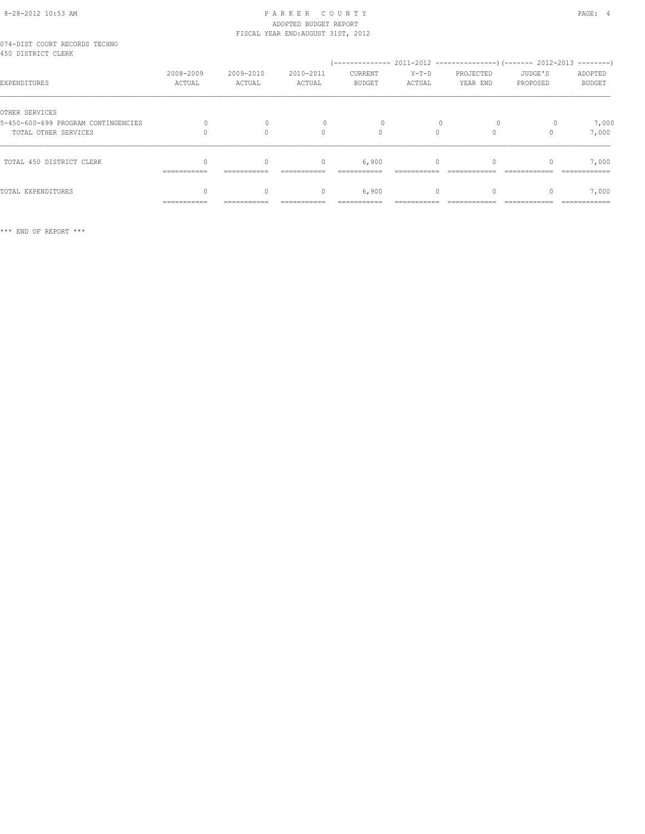# 8-28-2012 10:53 AM P A R K E R C O U N T Y PAGE: 4 ADOPTED BUDGET REPORT

|                                                     |             |           | FISCAL YEAR END: AUGUST 31ST, 2012 |         |          |           |          |               |
|-----------------------------------------------------|-------------|-----------|------------------------------------|---------|----------|-----------|----------|---------------|
| 074-DIST COURT RECORDS TECHNO<br>450 DISTRICT CLERK |             |           |                                    |         |          |           |          |               |
|                                                     |             |           |                                    |         |          |           |          |               |
|                                                     | 2008-2009   | 2009-2010 | 2010-2011                          | CURRENT | $Y-T-D$  | PROJECTED | JUDGE'S  | ADOPTED       |
| EXPENDITURES                                        | ACTUAL      | ACTUAL    | ACTUAL                             | BUDGET  | ACTUAL   | YEAR END  | PROPOSED | <b>BUDGET</b> |
| OTHER SERVICES                                      |             |           |                                    |         |          |           |          |               |
| 5-450-600-699 PROGRAM CONTINGENCIES                 |             |           |                                    |         |          |           |          | 7,000         |
| TOTAL OTHER SERVICES                                |             | $\Omega$  | $\Omega$                           | $\circ$ | $\Omega$ | $\Omega$  |          | 7,000         |
| TOTAL 450 DISTRICT CLERK                            |             |           | $\begin{array}{c} \n\end{array}$   | 6,900   | $\Omega$ |           |          | 7,000         |
|                                                     |             |           |                                    |         |          |           |          |               |
| TOTAL EXPENDITURES                                  |             |           | $\mathbf{0}$                       | 6,900   | $\circ$  |           |          | 7,000         |
|                                                     | =========== |           |                                    |         |          |           |          | ============  |

\*\*\* END OF REPORT \*\*\*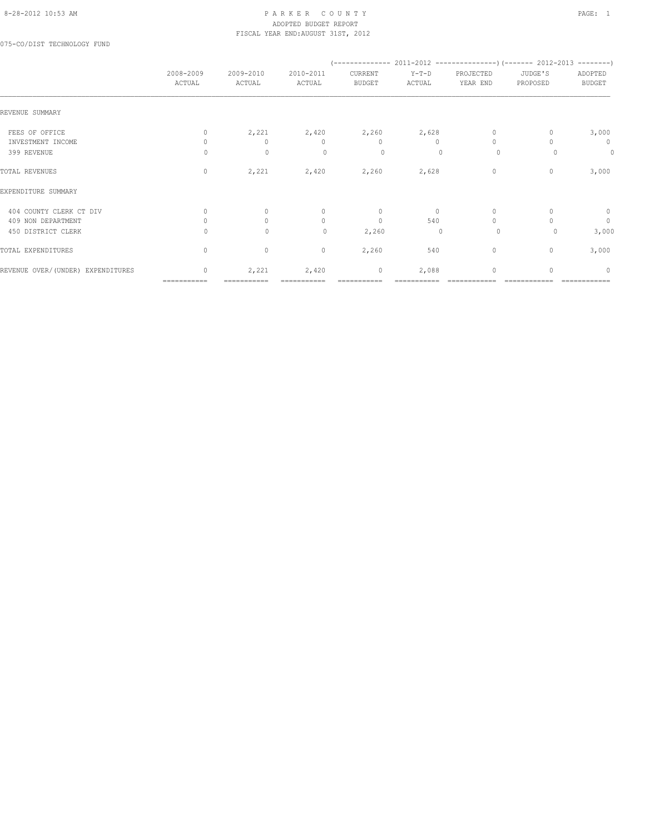#### 8-28-2012 10:53 AM P A R K E R C O U N T Y PAGE: 1 ADOPTED BUDGET REPORT FISCAL YEAR END:AUGUST 31ST, 2012

075-CO/DIST TECHNOLOGY FUND

|                                   | 2008-2009<br>ACTUAL              | 2009-2010<br>ACTUAL | 2010-2011<br>ACTUAL | CURRENT<br><b>BUDGET</b> | $Y-T-D$<br>ACTUAL | PROJECTED<br>YEAR END | JUDGE'S<br>PROPOSED | ADOPTED<br><b>BUDGET</b>         |
|-----------------------------------|----------------------------------|---------------------|---------------------|--------------------------|-------------------|-----------------------|---------------------|----------------------------------|
| REVENUE SUMMARY                   |                                  |                     |                     |                          |                   |                       |                     |                                  |
| FEES OF OFFICE                    | $\mathbf{0}$                     | 2,221               | 2,420               | 2,260                    | 2,628             | $\mathbf{0}$          | $\mathbf{0}$        | 3,000                            |
| INVESTMENT INCOME                 | $\Omega$                         | $\Omega$            | $\mathbf{0}$        | $\mathbf{0}$             | $\Omega$          | $\Omega$              |                     | 0                                |
| 399 REVENUE                       | $\Omega$                         | $\mathbf 0$         | $\Omega$            | 0                        | $\Omega$          | $\circ$               | $\Omega$            | $\theta$                         |
| TOTAL REVENUES                    | $\mathbf{0}$                     | 2,221               | 2,420               | 2,260                    | 2,628             | $\mathbf{0}$          | $\mathbf{0}$        | 3,000                            |
| EXPENDITURE SUMMARY               |                                  |                     |                     |                          |                   |                       |                     |                                  |
| 404 COUNTY CLERK CT DIV           | $\begin{array}{c} \n\end{array}$ | $\Omega$            | $\mathbf{0}$        | $\mathbf{0}$             | $\Omega$          | $\mathbf{0}$          |                     | $\circ$                          |
| 409 NON DEPARTMENT                | $\Omega$                         | $\Omega$            | $\circ$             | $\mathbf{0}$             | 540               | $\Omega$              |                     | $\mathbb O$                      |
| 450 DISTRICT CLERK                | 0                                | 0                   | 0                   | 2,260                    | $\mathbf 0$       | $\circ$               | 0                   | 3,000                            |
| TOTAL EXPENDITURES                | $\mathbf{0}$                     | $\circ$             | $\circ$             | 2,260                    | 540               | 0                     | $\mathbf{0}$        | 3,000                            |
| REVENUE OVER/(UNDER) EXPENDITURES | $\mathbf{0}$                     | 2,221               | 2,420               | $\mathbf 0$              | 2,088             | $\mathbf{0}$          | $\Omega$            | $\begin{array}{c} \n\end{array}$ |
|                                   | ===========                      | ===========         |                     |                          |                   |                       |                     |                                  |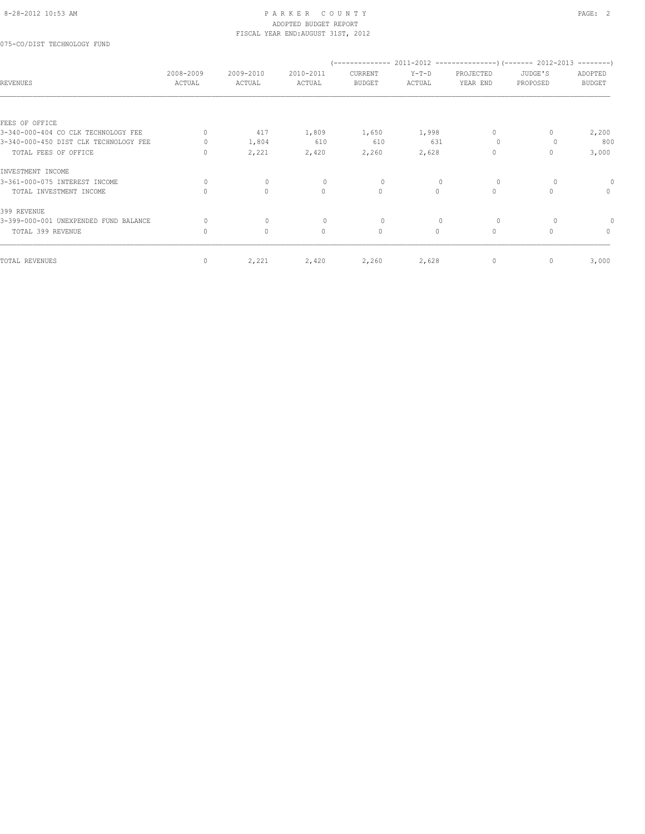#### 8-28-2012 10:53 AM PAGE: 2 ADOPTED BUDGET REPORT FISCAL YEAR END:AUGUST 31ST, 2012

075-CO/DIST TECHNOLOGY FUND

| <b>REVENUES</b>                       | 2008-2009<br>ACTUAL | 2009-2010<br>ACTUAL | 2010-2011<br>ACTUAL | CURRENT<br><b>BUDGET</b> | $Y-T-D$<br>ACTUAL | PROJECTED<br>YEAR END | JUDGE'S<br>PROPOSED | ADOPTED<br><b>BUDGET</b> |
|---------------------------------------|---------------------|---------------------|---------------------|--------------------------|-------------------|-----------------------|---------------------|--------------------------|
| FEES OF OFFICE                        |                     |                     |                     |                          |                   |                       |                     |                          |
| 3-340-000-404 CO CLK TECHNOLOGY FEE   | $\Omega$            | 417                 | 1,809               | 1,650                    | 1,998             | 0                     |                     | 2,200                    |
| 3-340-000-450 DIST CLK TECHNOLOGY FEE |                     | 1,804               | 610                 | 610                      | 631               | $\Omega$              |                     | 800                      |
| TOTAL FEES OF OFFICE                  | 0                   | 2,221               | 2,420               | 2,260                    | 2,628             | $\Omega$              | 0                   | 3,000                    |
| INVESTMENT INCOME                     |                     |                     |                     |                          |                   |                       |                     |                          |
| 3-361-000-075 INTEREST INCOME         | $\Omega$            | $\mathbf{0}$        | $\Omega$            | $\Omega$                 | $\Omega$          | $\Omega$              |                     |                          |
| TOTAL INVESTMENT INCOME               | $\bigcap$           | $\circ$             | $\Omega$            | $\circ$                  | $\Omega$          | $\circ$               | $\bigcap$           | $\mathbf{0}$             |
| 399 REVENUE                           |                     |                     |                     |                          |                   |                       |                     |                          |
| 3-399-000-001 UNEXPENDED FUND BALANCE |                     | $\mathbf{0}$        | $\circ$             | $\circ$                  | $\mathbf{0}$      | $\circ$               |                     |                          |
| TOTAL 399 REVENUE                     | $\mathbf{0}$        | $\circ$             | $\circ$             | $\circ$                  | $\Omega$          | $\circ$               | $\Omega$            | $\Omega$                 |
| TOTAL REVENUES                        | $\mathbf{0}$        | 2,221               | 2,420               | 2,260                    | 2,628             | 0                     | 0                   | 3,000                    |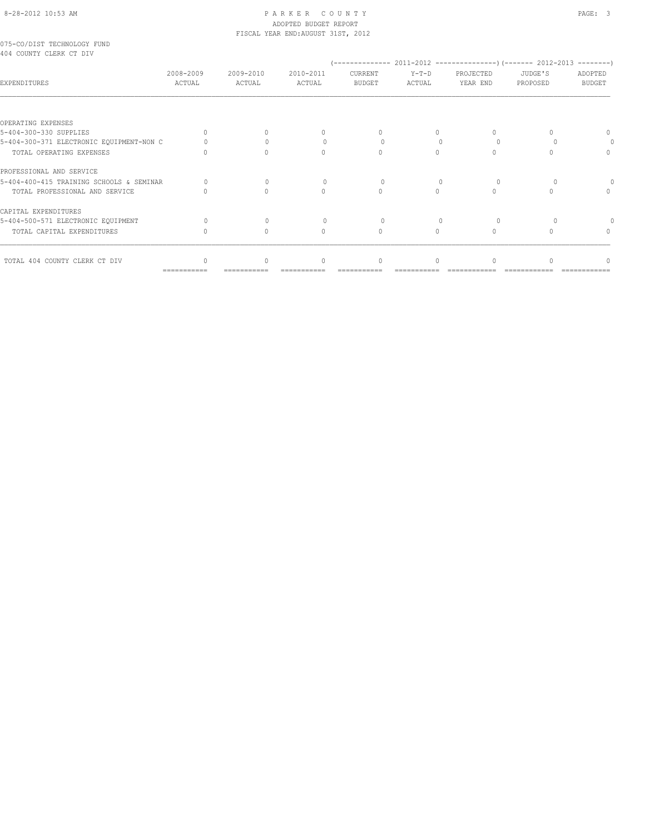#### 8-28-2012 10:53 AM P A R K E R C O U N T Y PAGE: 3 ADOPTED BUDGET REPORT FISCAL YEAR END:AUGUST 31ST, 2012

075-CO/DIST TECHNOLOGY FUND 404 COUNTY CLERK CT DIV

| RUS COUNII CHERR CI DIV                  |                           |                     |                     |                          |                   |                       |                     |                          |
|------------------------------------------|---------------------------|---------------------|---------------------|--------------------------|-------------------|-----------------------|---------------------|--------------------------|
| EXPENDITURES                             | 2008-2009<br>ACTUAL       | 2009-2010<br>ACTUAL | 2010-2011<br>ACTUAL | CURRENT<br><b>BUDGET</b> | $Y-T-D$<br>ACTUAL | PROJECTED<br>YEAR END | JUDGE'S<br>PROPOSED | ADOPTED<br><b>BUDGET</b> |
|                                          |                           |                     |                     |                          |                   |                       |                     |                          |
| OPERATING EXPENSES                       |                           |                     |                     |                          |                   |                       |                     |                          |
| 5-404-300-330 SUPPLIES                   |                           |                     |                     |                          |                   | 0                     |                     |                          |
| 5-404-300-371 ELECTRONIC EQUIPMENT-NON C |                           |                     |                     |                          |                   |                       |                     |                          |
| TOTAL OPERATING EXPENSES                 |                           |                     |                     |                          |                   | $\cap$                |                     |                          |
| PROFESSIONAL AND SERVICE                 |                           |                     |                     |                          |                   |                       |                     |                          |
| 5-404-400-415 TRAINING SCHOOLS & SEMINAR |                           |                     |                     |                          |                   | $\Omega$              |                     |                          |
| TOTAL PROFESSIONAL AND SERVICE           |                           |                     |                     |                          |                   | $\cap$                |                     |                          |
| CAPITAL EXPENDITURES                     |                           |                     |                     |                          |                   |                       |                     |                          |
| 5-404-500-571 ELECTRONIC EQUIPMENT       |                           |                     |                     |                          | $\Omega$          | $\cup$                |                     |                          |
| TOTAL CAPITAL EXPENDITURES               |                           | $\bigcap$           | $\cap$              | $\cap$                   |                   | $\bigcap$             |                     |                          |
| TOTAL 404 COUNTY CLERK CT DIV            |                           | $\Omega$            |                     |                          |                   | $\cap$                |                     |                          |
|                                          | $=$ = = = = = = = = = = = | ==========          |                     |                          |                   |                       |                     |                          |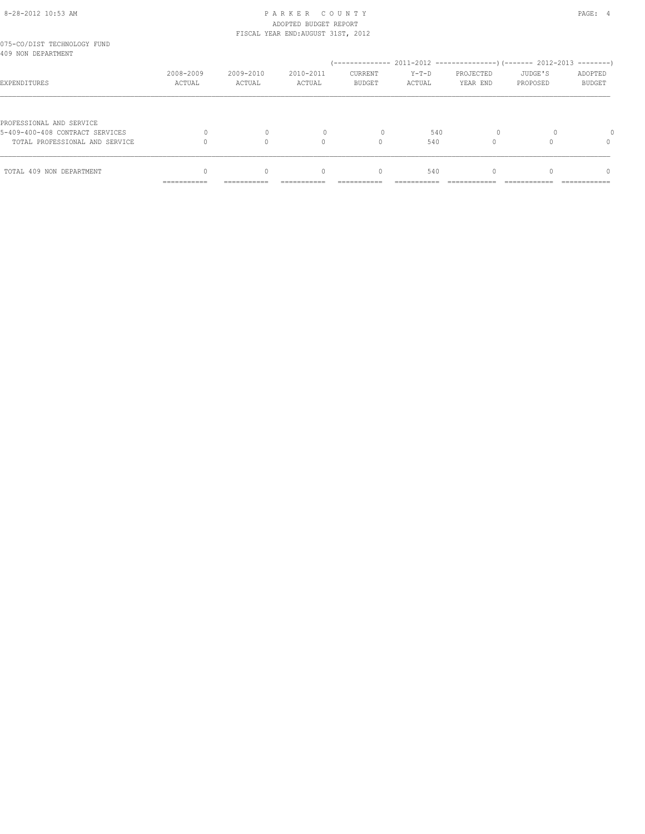# 8-28-2012 10:53 AM P A R K E R C O U N T Y PAGE: 4 ADOPTED BUDGET REPORT

|                                                   |             |             | FISCAL YEAR END: AUGUST 31ST, 2012 |               |         |           |          |               |
|---------------------------------------------------|-------------|-------------|------------------------------------|---------------|---------|-----------|----------|---------------|
| 075-CO/DIST TECHNOLOGY FUND<br>409 NON DEPARTMENT |             |             |                                    |               |         |           |          |               |
|                                                   |             |             |                                    |               |         |           |          |               |
|                                                   | 2008-2009   | 2009-2010   | 2010-2011                          | CURRENT       | $Y-T-D$ | PROJECTED | JUDGE'S  | ADOPTED       |
| EXPENDITURES                                      | ACTUAL      | ACTUAL      | ACTUAL                             | <b>BUDGET</b> | ACTUAL  | YEAR END  | PROPOSED | <b>BUDGET</b> |
|                                                   |             |             |                                    |               |         |           |          |               |
| PROFESSIONAL AND SERVICE                          |             |             |                                    |               |         |           |          |               |
| 5-409-400-408 CONTRACT SERVICES                   |             |             |                                    | 0             | 540     | $\circ$   |          |               |
| TOTAL PROFESSIONAL AND SERVICE                    |             |             | $\cap$                             | $\Omega$      | 540     |           |          | $\Omega$      |
|                                                   |             |             |                                    |               |         |           |          |               |
| TOTAL 409 NON DEPARTMENT                          | $\Omega$    | $\Omega$    | $\begin{array}{c} \n\end{array}$   | 0             | 540     | $\Omega$  |          | $\Omega$      |
|                                                   | =========== | =========== |                                    |               |         |           |          |               |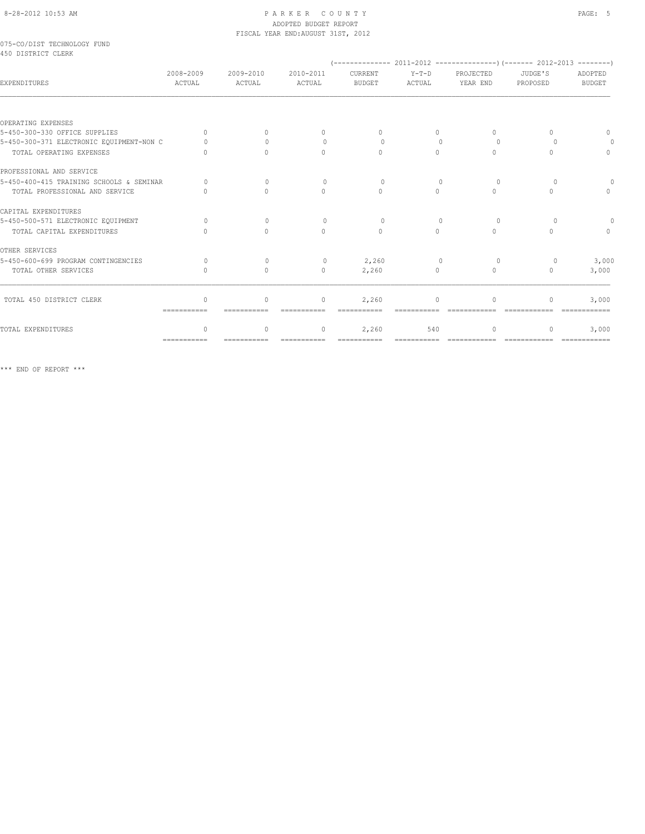#### 8-28-2012 10:53 AM PAGE: 5 ADOPTED BUDGET REPORT FISCAL YEAR END:AUGUST 31ST, 2012

#### 075-CO/DIST TECHNOLOGY FUND 450 DISTRICT CLERK

| EXPENDITURES                             | 2008-2009<br>ACTUAL       | 2009-2010<br>ACTUAL              | 2010-2011<br>ACTUAL              | CURRENT<br><b>BUDGET</b> | $Y-T-D$<br>ACTUAL                | PROJECTED<br>YEAR END            | JUDGE'S<br>PROPOSED | ADOPTED<br><b>BUDGET</b> |
|------------------------------------------|---------------------------|----------------------------------|----------------------------------|--------------------------|----------------------------------|----------------------------------|---------------------|--------------------------|
|                                          |                           |                                  |                                  |                          |                                  |                                  |                     |                          |
| OPERATING EXPENSES                       |                           |                                  |                                  |                          |                                  |                                  |                     |                          |
| 5-450-300-330 OFFICE SUPPLIES            | $\bigcap$                 |                                  | $\Omega$                         | $\cup$                   | $\bigcap$                        | $\cap$                           |                     |                          |
| 5-450-300-371 ELECTRONIC EQUIPMENT-NON C |                           |                                  | $\cap$                           | $\Omega$                 |                                  | $\Omega$                         |                     |                          |
| TOTAL OPERATING EXPENSES                 |                           | $\cap$                           | $\bigcap$                        | $\bigcap$                | $\cap$                           | $\bigcap$                        |                     | $\bigcap$                |
| PROFESSIONAL AND SERVICE                 |                           |                                  |                                  |                          |                                  |                                  |                     |                          |
| 5-450-400-415 TRAINING SCHOOLS & SEMINAR |                           | $\Omega$                         | $\Omega$                         | $\Omega$                 | $\mathbf{0}$                     | $\circ$                          | $\Omega$            |                          |
| TOTAL PROFESSIONAL AND SERVICE           |                           | $\bigcap$                        | $\bigcap$                        | $\bigcap$                | $\cap$                           | $\bigcap$                        | ∩                   |                          |
| CAPITAL EXPENDITURES                     |                           |                                  |                                  |                          |                                  |                                  |                     |                          |
| 5-450-500-571 ELECTRONIC EQUIPMENT       | $\cap$                    | $\Omega$                         | $\Omega$                         | $\Omega$                 | $\begin{array}{c} \n\end{array}$ | $\Omega$                         | $\Omega$            |                          |
| TOTAL CAPITAL EXPENDITURES               |                           | $\bigcap$                        | $\begin{array}{c} \n\end{array}$ | $\Omega$                 | $\bigcap$                        | $\begin{array}{c} \n\end{array}$ | $\cap$              | $\cap$                   |
| OTHER SERVICES                           |                           |                                  |                                  |                          |                                  |                                  |                     |                          |
| 5-450-600-699 PROGRAM CONTINGENCIES      |                           | $\cup$                           | $\Omega$                         | 2,260                    | $\Omega$                         | $\Omega$                         | $\Omega$            | 3,000                    |
| TOTAL OTHER SERVICES                     | $\cup$                    | $\Omega$                         | $\mathbf{0}$                     | 2,260                    | 0                                | $\begin{array}{c} \n\end{array}$ | 0                   | 3,000                    |
|                                          |                           |                                  |                                  |                          |                                  |                                  |                     |                          |
| TOTAL 450 DISTRICT CLERK                 | $\cup$<br>------------    | $\circ$                          | $\mathbf{0}$                     | 2,260                    | ∩                                | $\Omega$                         | 0                   | 3,000                    |
|                                          |                           |                                  |                                  |                          |                                  |                                  |                     |                          |
| TOTAL EXPENDITURES                       | $\cap$                    | $\begin{array}{c} \n\end{array}$ | $\Omega$                         | 2,260                    | 540                              | $\cap$                           | 0                   | 3,000                    |
|                                          | $=$ = = = = = = = = = = = |                                  | ===========                      | ===========              | ===========                      | =============                    | =============       | =============            |

\*\*\* END OF REPORT \*\*\*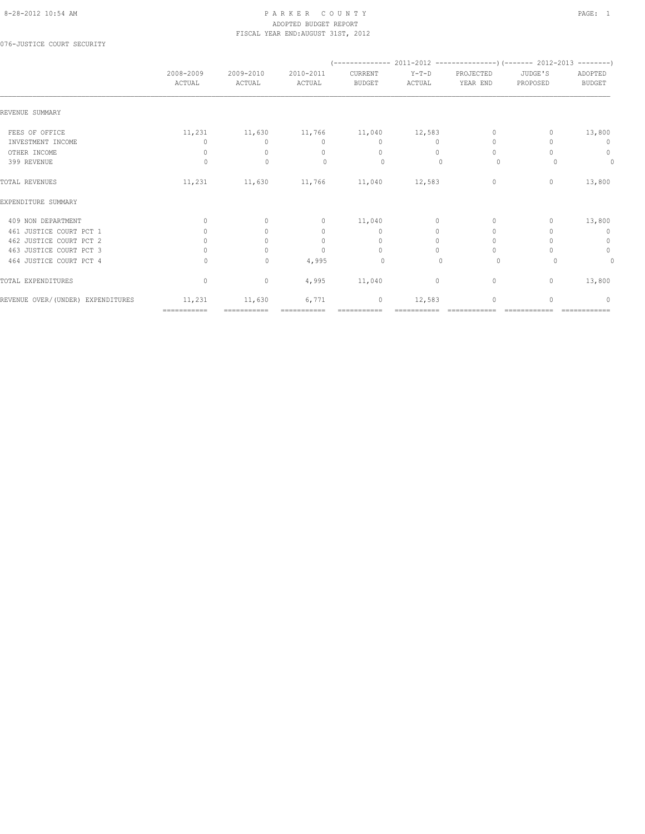### 8-28-2012 10:54 AM PAGE: 1 ADOPTED BUDGET REPORT FISCAL YEAR END:AUGUST 31ST, 2012

076-JUSTICE COURT SECURITY

|                                   | 2008-2009<br>ACTUAL              | 2009-2010<br>ACTUAL | 2010-2011<br>ACTUAL              | CURRENT<br><b>BUDGET</b>         | $Y-T-D$<br>ACTUAL | PROJECTED<br>YEAR END            | JUDGE'S<br>PROPOSED | ADOPTED<br><b>BUDGET</b> |
|-----------------------------------|----------------------------------|---------------------|----------------------------------|----------------------------------|-------------------|----------------------------------|---------------------|--------------------------|
| REVENUE SUMMARY                   |                                  |                     |                                  |                                  |                   |                                  |                     |                          |
| FEES OF OFFICE                    | 11,231                           | 11,630              |                                  | 11,766 11,040                    | 12,583            | $\mathbf{0}$                     | 0                   | 13,800                   |
| INVESTMENT INCOME                 | 0                                | $\Omega$            | $\mathbf{0}$                     | $\mathbf{0}$                     | $\circ$           | $\mathbf{0}$                     |                     | 0                        |
| OTHER INCOME                      | $\mathbf{0}$                     | $\Omega$            | $\mathbf{0}$                     | $\mathbf{0}$                     | $\bigcap$         | $\begin{array}{c} \n\end{array}$ |                     | 0                        |
| 399 REVENUE                       | $\Omega$                         | $\mathbf{0}$        | $\Omega$                         | 0                                | $\Omega$          | $\circ$                          | $\Omega$            | 0                        |
| TOTAL REVENUES                    | 11,231                           | 11,630              | 11,766                           | 11,040                           | 12,583            | $\circ$                          | $\circ$             | 13,800                   |
| EXPENDITURE SUMMARY               |                                  |                     |                                  |                                  |                   |                                  |                     |                          |
| 409 NON DEPARTMENT                | $\Omega$                         | $\Omega$            | $\circ$                          | 11,040                           | $\circ$           | $\Omega$                         | 0                   | 13,800                   |
| 461 JUSTICE COURT PCT 1           | $\begin{array}{c} \n\end{array}$ | $\Omega$            | $\Omega$                         | $\mathbf{0}$                     | 0                 | $\Omega$                         |                     | $\mathbf{0}$             |
| 462 JUSTICE COURT PCT 2           | 0                                | $\Omega$            | $\mathbf{0}$                     | $\mathbf{0}$                     | $\circ$           | $\Omega$                         |                     | $\mathbf 0$              |
| 463 JUSTICE COURT PCT 3           |                                  | $\Omega$            | $\begin{array}{c} \n\end{array}$ | $\begin{array}{c} \n\end{array}$ | $\Omega$          | $\Omega$                         |                     | $\circ$                  |
| 464 JUSTICE COURT PCT 4           | $\Omega$                         | $\mathbf{0}$        | 4,995                            | $\circ$                          | $\mathbf{0}$      | $\circ$                          | 0                   | 0                        |
| TOTAL EXPENDITURES                | $\mathbf{0}$                     | $\circ$             | 4,995                            | 11,040                           | 0                 | $\circ$                          | 0                   | 13,800                   |
| REVENUE OVER/(UNDER) EXPENDITURES | 11,231                           | 11,630              | 6,771                            | $\mathbf 0$                      | 12,583            | $\mathbf{0}$                     | $\Omega$            | $\Omega$                 |
|                                   | ===========                      |                     |                                  |                                  |                   |                                  |                     |                          |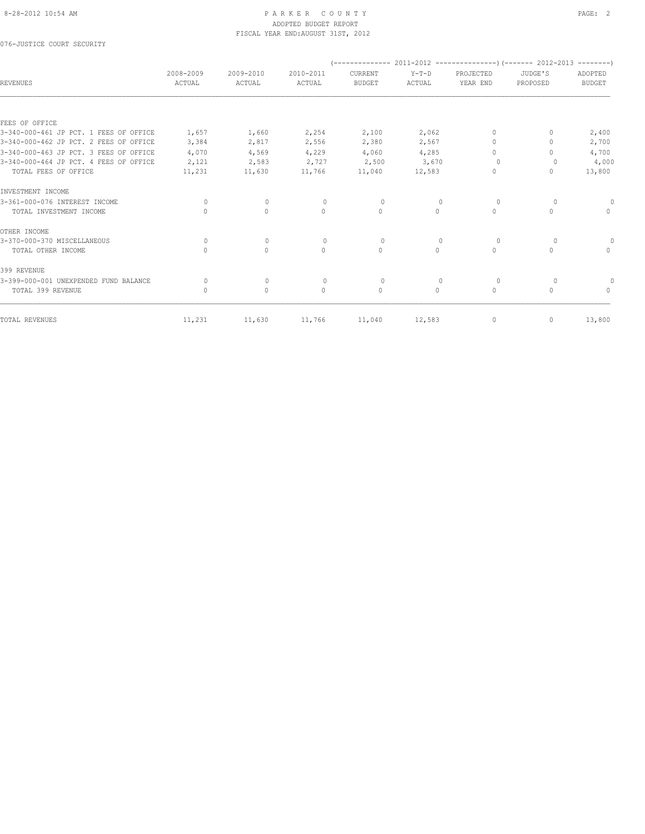### 8-28-2012 10:54 AM PAGE: 2 ADOPTED BUDGET REPORT FISCAL YEAR END:AUGUST 31ST, 2012

076-JUSTICE COURT SECURITY

| <b>REVENUES</b>                        | 2008-2009<br>ACTUAL              | 2009-2010<br>ACTUAL | 2010-2011<br>ACTUAL | CURRENT<br><b>BUDGET</b> | $Y-T-D$<br>ACTUAL | PROJECTED<br>YEAR END            | JUDGE'S<br>PROPOSED | ADOPTED<br><b>BUDGET</b>         |
|----------------------------------------|----------------------------------|---------------------|---------------------|--------------------------|-------------------|----------------------------------|---------------------|----------------------------------|
|                                        |                                  |                     |                     |                          |                   |                                  |                     |                                  |
| FEES OF OFFICE                         |                                  |                     |                     |                          |                   |                                  |                     |                                  |
| 3-340-000-461 JP PCT. 1 FEES OF OFFICE | 1,657                            | 1,660               | 2,254               | 2,100                    | 2,062             | $\mathbf{0}$                     |                     | 2,400                            |
| 3-340-000-462 JP PCT. 2 FEES OF OFFICE | 3,384                            | 2,817               | 2,556               | 2,380                    | 2,567             | $\begin{array}{c} \n\end{array}$ |                     | 2,700                            |
| 3-340-000-463 JP PCT. 3 FEES OF OFFICE | 4,070                            | 4,569               | 4,229               | 4,060                    | 4,285             | $\begin{array}{c} \n\end{array}$ |                     | 4,700                            |
| 3-340-000-464 JP PCT. 4 FEES OF OFFICE | 2,121                            | 2,583               | 2,727               | 2,500                    | 3,670             | 0                                |                     | 4,000                            |
| TOTAL FEES OF OFFICE                   | 11,231                           | 11,630              | 11,766              | 11,040                   | 12,583            | $\mathbf{0}$                     | 0                   | 13,800                           |
| INVESTMENT INCOME                      |                                  |                     |                     |                          |                   |                                  |                     |                                  |
| 3-361-000-076 INTEREST INCOME          | 0                                | $\mathbf{0}$        | $\circ$             | $\circ$                  | 0                 | 0                                | 0                   |                                  |
| TOTAL INVESTMENT INCOME                | $\Omega$                         | $\circ$             | $\circ$             | $\mathbf{0}$             | $\circ$           | $\circ$                          | $\mathbf{0}$        | $\mathbf{0}$                     |
| OTHER INCOME                           |                                  |                     |                     |                          |                   |                                  |                     |                                  |
| 3-370-000-370 MISCELLANEOUS            | 0                                | $\mathbf{0}$        | $\mathbf{0}$        | $\circ$                  | $\mathbf{0}$      | 0                                | $\circ$             |                                  |
| TOTAL OTHER INCOME                     | $\bigcap$                        | $\circ$             | $\Omega$            | $\mathbf{0}$             | $\circ$           | $\circ$                          | $\bigcap$           | $\begin{array}{c} \n\end{array}$ |
| 399 REVENUE                            |                                  |                     |                     |                          |                   |                                  |                     |                                  |
| 3-399-000-001 UNEXPENDED FUND BALANCE  | 0                                | $\mathbf{0}$        | $\mathbf{0}$        | $\circ$                  | 0                 | 0                                | 0                   |                                  |
| TOTAL 399 REVENUE                      | $\begin{array}{c} \n\end{array}$ | $\circ$             | $\Omega$            | $\mathbf{0}$             | $\circ$           | $\mathbf{0}$                     | $\Omega$            | $\begin{array}{c} \n\end{array}$ |
| TOTAL REVENUES                         | 11,231                           | 11,630              | 11,766              | 11,040                   | 12,583            | 0                                | 0                   | 13,800                           |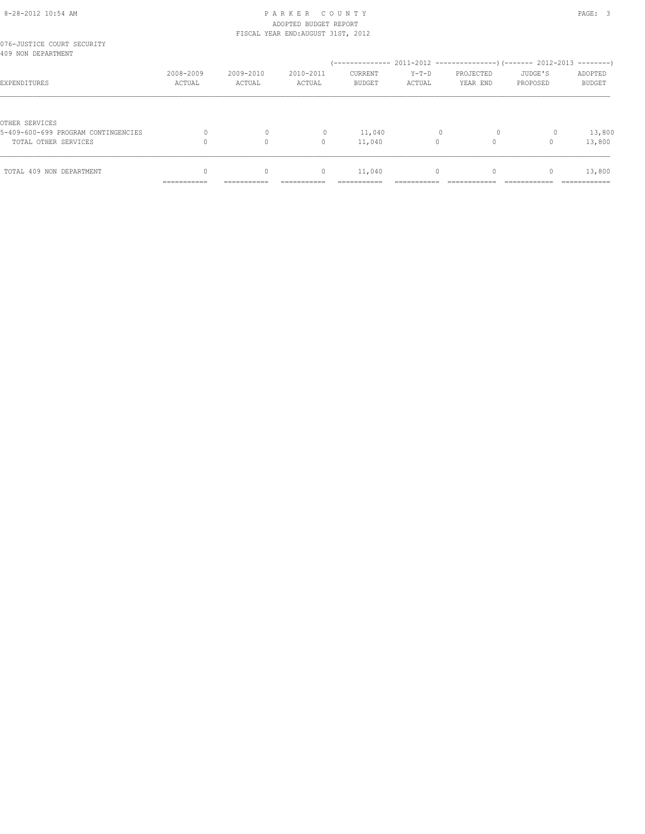### 8-28-2012 10:54 AM PAGE: 3 ADOPTED BUDGET REPORT FISCAL YEAR END:AUGUST 31ST, 2012

| 076-JUSTICE COURT SECURITY<br>409 NON DEPARTMENT |                           |                                  |              |                |           |           |          |               |
|--------------------------------------------------|---------------------------|----------------------------------|--------------|----------------|-----------|-----------|----------|---------------|
|                                                  |                           |                                  |              |                |           |           |          |               |
|                                                  | 2008-2009                 | 2009-2010                        | 2010-2011    | <b>CURRENT</b> | $Y-T-D$   | PROJECTED | JUDGE'S  | ADOPTED       |
| EXPENDITURES                                     | ACTUAL                    | ACTUAL                           | ACTUAL       | <b>BUDGET</b>  | ACTUAL    | YEAR END  | PROPOSED | <b>BUDGET</b> |
|                                                  |                           |                                  |              |                |           |           |          |               |
| OTHER SERVICES                                   |                           |                                  |              |                |           |           |          |               |
| 5-409-600-699 PROGRAM CONTINGENCIES              |                           |                                  | $\mathbf{0}$ | 11,040         |           | $\circ$   | 0        | 13,800        |
| TOTAL OTHER SERVICES                             |                           | $\Omega$                         | 0            | 11,040         | $\Omega$  |           |          | 13,800        |
|                                                  |                           |                                  |              |                |           |           |          |               |
| TOTAL 409 NON DEPARTMENT                         | $\Omega$                  | $\begin{array}{c} \n\end{array}$ | $\mathbf{0}$ | 11,040         | $\bigcap$ | $\Omega$  | 0        | 13,800        |
|                                                  | ----------<br>----------- | -----------                      |              |                |           |           |          | ------------  |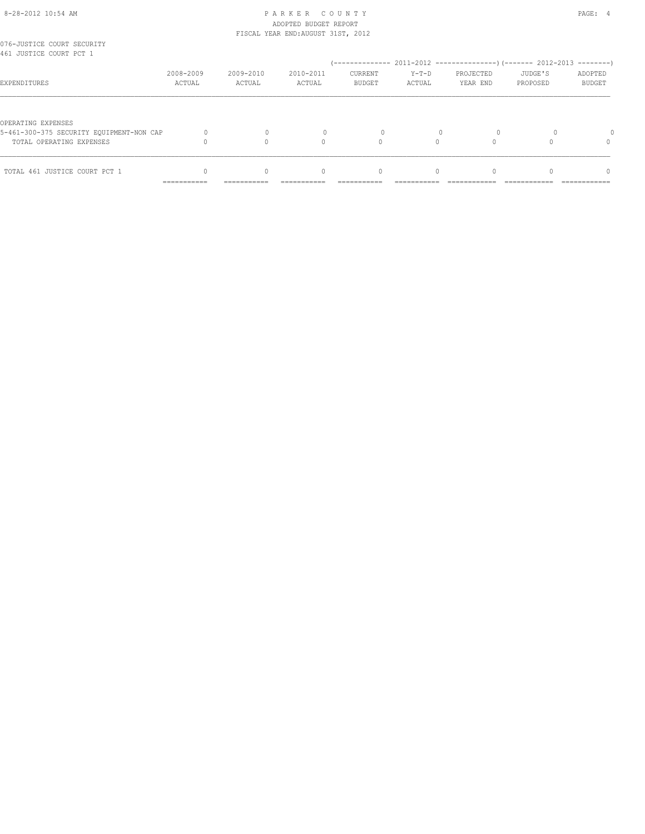# 8-28-2012 10:54 AM PAGE: 4 ADOPTED BUDGET REPORT

|                                                       |             |             | FISCAL YEAR END: AUGUST 31ST, 2012 |               |           |           |          |               |
|-------------------------------------------------------|-------------|-------------|------------------------------------|---------------|-----------|-----------|----------|---------------|
| 076-JUSTICE COURT SECURITY<br>461 JUSTICE COURT PCT 1 |             |             |                                    |               |           |           |          |               |
|                                                       |             |             |                                    |               |           |           |          |               |
|                                                       | 2008-2009   | 2009-2010   | 2010-2011                          | CURRENT       | $Y-T-D$   | PROJECTED | JUDGE'S  | ADOPTED       |
| EXPENDITURES                                          | ACTUAL      | ACTUAL      | ACTUAL                             | <b>BUDGET</b> | ACTUAL    | YEAR END  | PROPOSED | <b>BUDGET</b> |
|                                                       |             |             |                                    |               |           |           |          |               |
| OPERATING EXPENSES                                    |             |             |                                    |               |           |           |          |               |
| 5-461-300-375 SECURITY EQUIPMENT-NON CAP              |             |             |                                    | 0             |           |           |          |               |
| TOTAL OPERATING EXPENSES                              |             |             | $\cap$                             |               | $\bigcap$ |           |          | $\Omega$      |
|                                                       |             |             |                                    |               |           |           |          |               |
| TOTAL 461 JUSTICE COURT PCT 1                         |             | U           | $\bigcap$                          | $\Omega$      | $\cap$    | $\Omega$  |          | $\Omega$      |
|                                                       | =========== | =========== |                                    |               |           |           |          |               |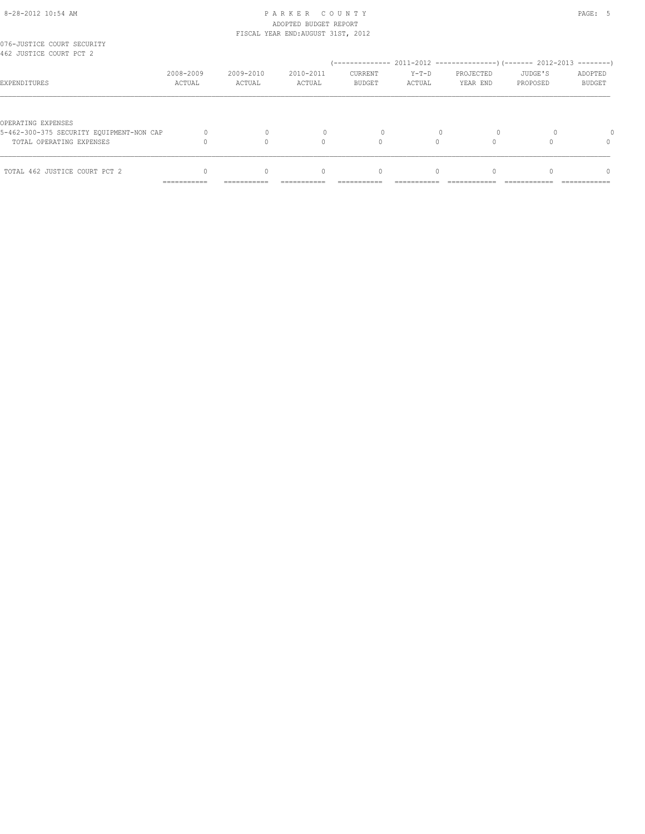# 8-28-2012 10:54 AM PAGE: 5 ADOPTED BUDGET REPORT

|                                                       |                     |                     | FISCAL YEAR END: AUGUST 31ST, 2012 |                                  |                   |                       |                     |                          |
|-------------------------------------------------------|---------------------|---------------------|------------------------------------|----------------------------------|-------------------|-----------------------|---------------------|--------------------------|
| 076-JUSTICE COURT SECURITY<br>462 JUSTICE COURT PCT 2 |                     |                     |                                    |                                  |                   |                       |                     |                          |
|                                                       |                     |                     |                                    |                                  |                   |                       |                     |                          |
| EXPENDITURES                                          | 2008-2009<br>ACTUAL | 2009-2010<br>ACTUAL | 2010-2011<br>ACTUAL                | CURRENT<br>BUDGET                | $Y-T-D$<br>ACTUAL | PROJECTED<br>YEAR END | JUDGE'S<br>PROPOSED | ADOPTED<br><b>BUDGET</b> |
|                                                       |                     |                     |                                    |                                  |                   |                       |                     |                          |
| OPERATING EXPENSES                                    |                     |                     |                                    |                                  |                   |                       |                     |                          |
| 5-462-300-375 SECURITY EQUIPMENT-NON CAP              |                     |                     |                                    |                                  |                   |                       |                     |                          |
| TOTAL OPERATING EXPENSES                              |                     |                     | $\cap$                             |                                  |                   |                       |                     | 0                        |
| TOTAL 462 JUSTICE COURT PCT 2                         |                     | $\Omega$            | $\begin{array}{c} \n\end{array}$   | $\begin{array}{c} \n\end{array}$ | $\bigcap$         |                       |                     | $\Omega$                 |
|                                                       |                     |                     |                                    |                                  |                   |                       |                     |                          |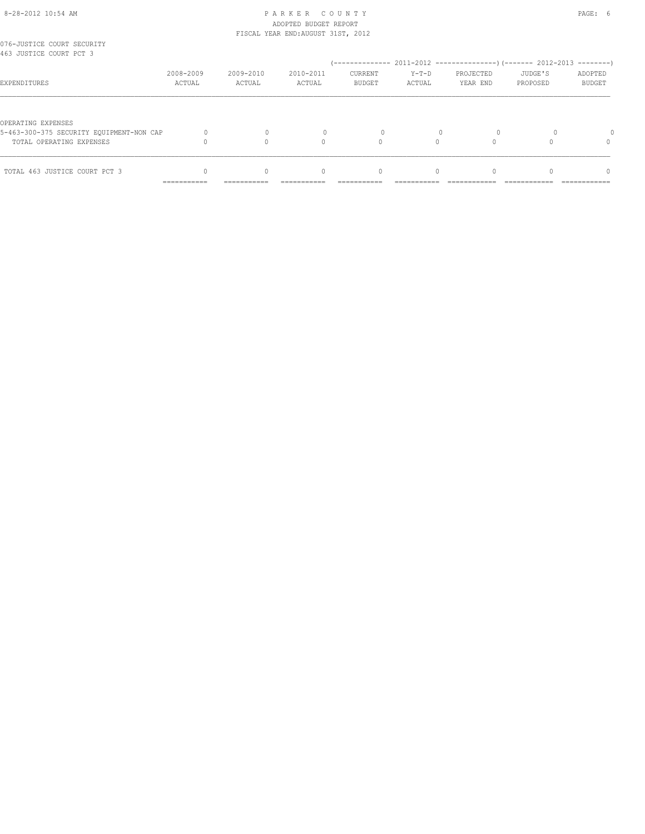# 8-28-2012 10:54 AM PAGE: 6 ADOPTED BUDGET REPORT

|                                                       |             |             | FISCAL YEAR END: AUGUST 31ST, 2012 |               |           |           |          |               |
|-------------------------------------------------------|-------------|-------------|------------------------------------|---------------|-----------|-----------|----------|---------------|
| 076-JUSTICE COURT SECURITY<br>463 JUSTICE COURT PCT 3 |             |             |                                    |               |           |           |          |               |
|                                                       |             |             |                                    |               |           |           |          |               |
|                                                       | 2008-2009   | 2009-2010   | 2010-2011                          | CURRENT       | $Y-T-D$   | PROJECTED | JUDGE'S  | ADOPTED       |
| EXPENDITURES                                          | ACTUAL      | ACTUAL      | ACTUAL                             | <b>BUDGET</b> | ACTUAL    | YEAR END  | PROPOSED | <b>BUDGET</b> |
|                                                       |             |             |                                    |               |           |           |          |               |
| OPERATING EXPENSES                                    |             |             |                                    |               |           |           |          |               |
| 5-463-300-375 SECURITY EQUIPMENT-NON CAP              |             |             |                                    | 0             |           |           |          |               |
| TOTAL OPERATING EXPENSES                              |             |             | $\cap$                             |               | $\bigcap$ |           |          | $\Omega$      |
|                                                       |             |             |                                    |               |           |           |          |               |
| TOTAL 463 JUSTICE COURT PCT 3                         |             | U           | $\bigcap$                          | $\Omega$      | $\cap$    | $\Omega$  |          | $\Omega$      |
|                                                       | =========== | =========== |                                    |               |           |           |          |               |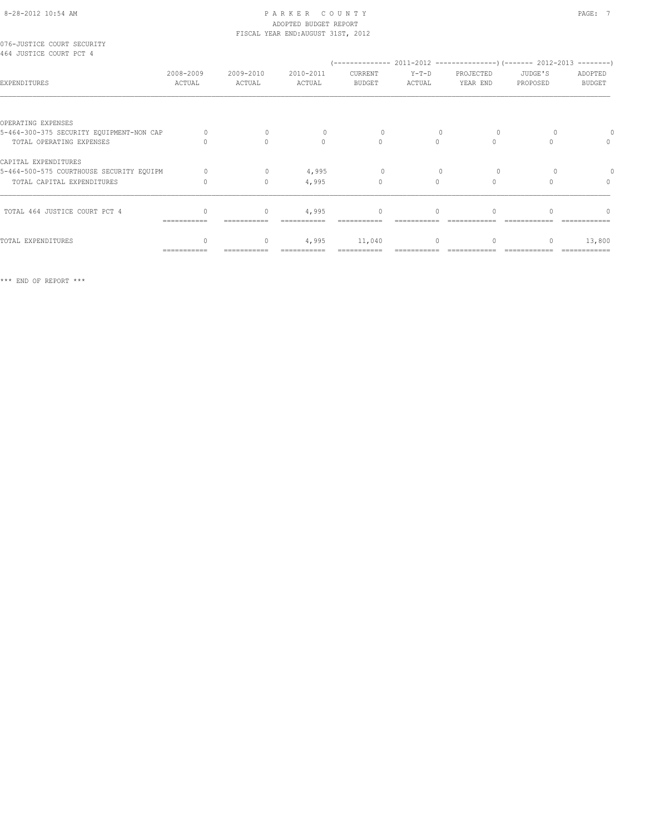# 8-28-2012 10:54 AM PAGE: 7 PAGE: 7 ADOPTED BUDGET REPORT

|                                                       |                     |                     | FISCAL YEAR END: AUGUST 31ST, 2012 |                          |                   |                       |                     |                                  |
|-------------------------------------------------------|---------------------|---------------------|------------------------------------|--------------------------|-------------------|-----------------------|---------------------|----------------------------------|
| 076-JUSTICE COURT SECURITY<br>464 JUSTICE COURT PCT 4 |                     |                     |                                    |                          |                   |                       |                     |                                  |
| EXPENDITURES                                          | 2008-2009<br>ACTUAL | 2009-2010<br>ACTUAL | 2010-2011<br>ACTUAL                | CURRENT<br><b>BUDGET</b> | $Y-T-D$<br>ACTUAL | PROJECTED<br>YEAR END | JUDGE'S<br>PROPOSED | ADOPTED<br><b>BUDGET</b>         |
|                                                       |                     |                     |                                    |                          |                   |                       |                     |                                  |
| OPERATING EXPENSES                                    |                     |                     |                                    |                          |                   |                       |                     |                                  |
| 5-464-300-375 SECURITY EQUIPMENT-NON CAP              |                     | $\Omega$            |                                    | 0                        |                   | $\Omega$              |                     |                                  |
| TOTAL OPERATING EXPENSES                              |                     | $\bigcap$           | $\bigcap$                          | $\Omega$                 | $\bigcap$         | $\bigcap$             |                     | $\Omega$                         |
| CAPITAL EXPENDITURES                                  |                     |                     |                                    |                          |                   |                       |                     |                                  |
| 5-464-500-575 COURTHOUSE SECURITY EQUIPM              | $\cap$              | $\Omega$            | 4,995                              | $\Omega$                 |                   | $\Omega$              |                     |                                  |
| TOTAL CAPITAL EXPENDITURES                            |                     | $\circ$             | 4,995                              | $\mathbf{0}$             | $\Omega$          | $\Omega$              |                     | $\begin{array}{c} \n\end{array}$ |
| TOTAL 464 JUSTICE COURT PCT 4                         |                     | $\Omega$            | 4,995                              | $\Omega$                 | $\Omega$          |                       |                     |                                  |
|                                                       | ------------        |                     |                                    |                          |                   |                       |                     |                                  |
| TOTAL EXPENDITURES                                    |                     | $\Omega$            | 4,995                              | 11,040                   | $\Omega$          |                       |                     | 13,800                           |
|                                                       | ===========         |                     |                                    |                          |                   |                       |                     |                                  |

\*\*\* END OF REPORT \*\*\*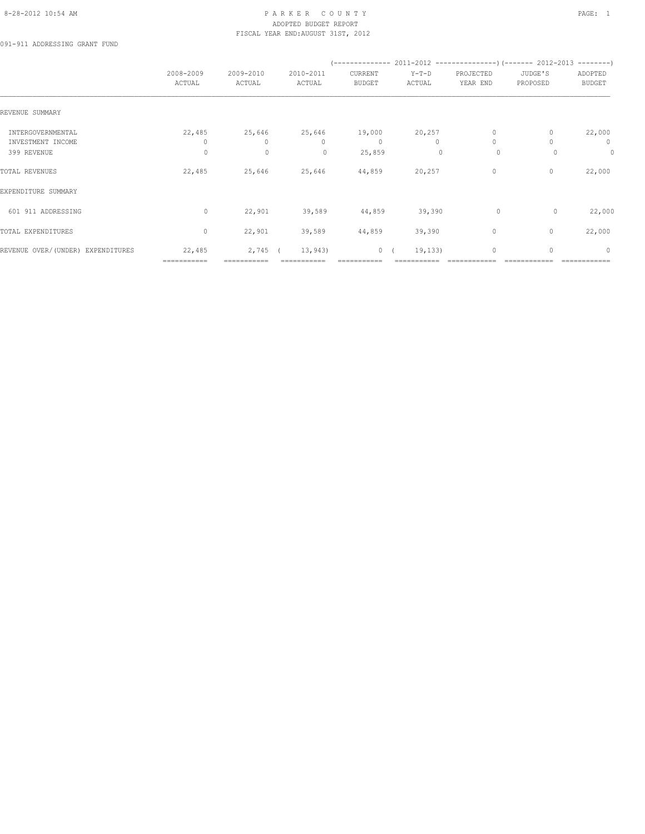#### 8-28-2012 10:54 AM PAGE: 1 PAR K E R C O U N T Y ADOPTED BUDGET REPORT FISCAL YEAR END:AUGUST 31ST, 2012

091-911 ADDRESSING GRANT FUND

|                                                       | 2008-2009<br>ACTUAL    | 2009-2010<br>ACTUAL               | 2010-2011<br>ACTUAL                                   | CURRENT<br><b>BUDGET</b>         | $Y-T-D$<br>ACTUAL                   | PROJECTED<br>YEAR END               | JUDGE'S<br>PROPOSED | ADOPTED<br><b>BUDGET</b>     |
|-------------------------------------------------------|------------------------|-----------------------------------|-------------------------------------------------------|----------------------------------|-------------------------------------|-------------------------------------|---------------------|------------------------------|
| REVENUE SUMMARY                                       |                        |                                   |                                                       |                                  |                                     |                                     |                     |                              |
| INTERGOVERNMENTAL<br>INVESTMENT INCOME<br>399 REVENUE | 22,485<br>0<br>$\circ$ | 25,646<br>$\Omega$<br>$\mathbf 0$ | 25,646<br>$\begin{array}{c} \n\end{array}$<br>$\circ$ | 19,000<br>$\mathbf{0}$<br>25,859 | 20,257<br>$\bigcap$<br>$\mathbf{0}$ | $\mathbf{0}$<br>$\Omega$<br>$\circ$ | $\Omega$            | 22,000<br>$\mathbf{0}$<br>0  |
| TOTAL REVENUES                                        | 22,485                 | 25,646                            | 25,646                                                | 44,859                           | 20,257                              | $\circ$                             | 0                   | 22,000                       |
| EXPENDITURE SUMMARY                                   |                        |                                   |                                                       |                                  |                                     |                                     |                     |                              |
| 601 911 ADDRESSING                                    | $\circ$                | 22,901                            | 39,589                                                | 44,859                           | 39,390                              | $\circ$                             | $\circ$             | 22,000                       |
| TOTAL EXPENDITURES                                    | $\circ$                | 22,901                            | 39,589                                                | 44,859                           | 39,390                              | $\circ$                             | $\mathbf{0}$        | 22,000                       |
| REVENUE OVER/(UNDER) EXPENDITURES                     | 22,485<br>===========  | $2,745$ (<br>===========          | 13,943                                                | 0(                               | 19, 133)                            | $\mathbf 0$                         | 0                   | $\mathbf{0}$<br>============ |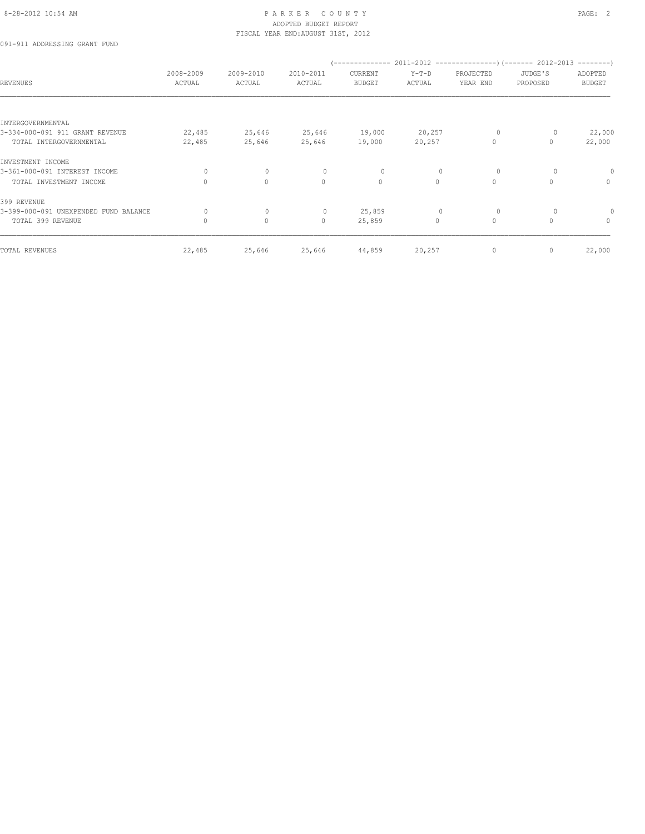#### 8-28-2012 10:54 AM PAGE: 2 ADOPTED BUDGET REPORT FISCAL YEAR END:AUGUST 31ST, 2012

091-911 ADDRESSING GRANT FUND

| <b>REVENUES</b>                       | 2008-2009<br>ACTUAL | 2009-2010<br>ACTUAL | 2010-2011<br>ACTUAL | CURRENT<br><b>BUDGET</b> | $Y-T-D$<br>ACTUAL | PROJECTED<br>YEAR END | JUDGE'S<br>PROPOSED | ADOPTED<br><b>BUDGET</b> |
|---------------------------------------|---------------------|---------------------|---------------------|--------------------------|-------------------|-----------------------|---------------------|--------------------------|
| INTERGOVERNMENTAL                     |                     |                     |                     |                          |                   |                       |                     |                          |
| 3-334-000-091 911 GRANT REVENUE       | 22,485              | 25,646              | 25,646              | 19,000                   | 20,257            | $\circ$               | 0                   | 22,000                   |
| TOTAL INTERGOVERNMENTAL               | 22,485              | 25,646              | 25,646              | 19,000                   | 20,257            | $\circ$               | $\Omega$            | 22,000                   |
| INVESTMENT INCOME                     |                     |                     |                     |                          |                   |                       |                     |                          |
| 3-361-000-091 INTEREST INCOME         | 0                   | $\circ$             | 0                   | 0                        | $\mathbf 0$       | 0                     | 0                   | 0                        |
| TOTAL INVESTMENT INCOME               | $\Omega$            | $\circ$             | $\circ$             | $\circ$                  | $\Omega$          | $\circ$               | $\Omega$            | $\mathbf{0}$             |
| 399 REVENUE                           |                     |                     |                     |                          |                   |                       |                     |                          |
| 3-399-000-091 UNEXPENDED FUND BALANCE | 0                   | $\circ$             | $\mathbf 0$         | 25,859                   | $\mathbf 0$       | $\circ$               |                     |                          |
| TOTAL 399 REVENUE                     | 0                   | 0                   | $\circ$             | 25,859                   | $\circ$           | $\circ$               | $\circ$             | $\mathbf{0}$             |
| TOTAL REVENUES                        | 22,485              | 25,646              | 25,646              | 44,859                   | 20,257            | $\circ$               | $\mathbf{0}$        | 22,000                   |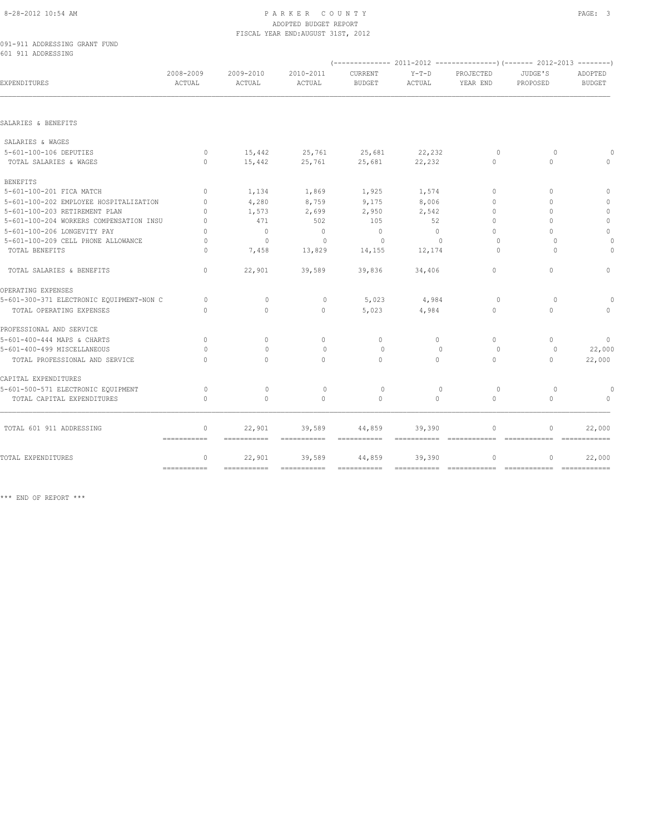#### 8-28-2012 10:54 AM PAGE: 3 ADOPTED BUDGET REPORT FISCAL YEAR END:AUGUST 31ST, 2012

091-911 ADDRESSING GRANT FUND 601 911 ADDRESSING

| <b>EXPENDITURES</b>                      | 2008-2009<br>ACTUAL         | 2009-2010<br>ACTUAL | 2010-2011<br>ACTUAL | CURRENT<br><b>BUDGET</b>  | $Y-T-D$<br>ACTUAL                | PROJECTED<br>YEAR END | JUDGE'S<br>PROPOSED | ADOPTED<br><b>BUDGET</b> |  |
|------------------------------------------|-----------------------------|---------------------|---------------------|---------------------------|----------------------------------|-----------------------|---------------------|--------------------------|--|
|                                          |                             |                     |                     |                           |                                  |                       |                     |                          |  |
| SALARIES & BENEFITS                      |                             |                     |                     |                           |                                  |                       |                     |                          |  |
| SALARIES & WAGES                         |                             |                     |                     |                           |                                  |                       |                     |                          |  |
| 5-601-100-106 DEPUTIES                   | $\circ$                     | 15,442              | 25,761 25,681       |                           | 22, 232                          | 0                     | $\circ$             |                          |  |
| TOTAL SALARIES & WAGES                   | $\circ$                     | 15,442              | 25,761              | 25,681                    | 22,232                           | $\circ$               | $\Omega$            |                          |  |
| <b>BENEFITS</b>                          |                             |                     |                     |                           |                                  |                       |                     |                          |  |
| 5-601-100-201 FICA MATCH                 | $\mathbf{0}$                | 1,134               | 1,869               | 1,925                     | 1,574                            | $\Omega$              | $\Omega$            | $\Omega$                 |  |
| 5-601-100-202 EMPLOYEE HOSPITALIZATION   | $\mathbf{0}$                | 4,280               | 8,759               | 9,175                     | 8,006                            | 0                     | $\Omega$            | $\mathbf{0}$             |  |
| 5-601-100-203 RETIREMENT PLAN            | $\Omega$                    | 1,573               | 2,699               | 2,950                     | 2,542                            | $\Omega$              | $\Omega$            | $\mathbf{0}$             |  |
| 5-601-100-204 WORKERS COMPENSATION INSU  | $\Omega$                    | 471                 | 502                 | 105                       | 52                               | $\Omega$              | $\Omega$            | $\circ$                  |  |
| 5-601-100-206 LONGEVITY PAY              | $\bigcap$                   | $\circ$             | $\overline{0}$      | $\mathbf{0}$              | $\Omega$                         | $\Omega$              | $\bigcap$           | $\Omega$                 |  |
| 5-601-100-209 CELL PHONE ALLOWANCE       | $\Omega$                    | $\mathbf{0}$        | $\circ$             | $\circ$                   | $\Omega$                         | $\Omega$              | $\Omega$            |                          |  |
| TOTAL BENEFITS                           | $\Omega$                    | 7,458               | 13,829              | 14,155                    | 12,174                           | $\Omega$              | $\Omega$            |                          |  |
| TOTAL SALARIES & BENEFITS                | $\circ$                     | 22,901              | 39,589              | 39,836                    | 34,406                           | $\Omega$              | $\Omega$            | $\Omega$                 |  |
| OPERATING EXPENSES                       |                             |                     |                     |                           |                                  |                       |                     |                          |  |
| 5-601-300-371 ELECTRONIC EQUIPMENT-NON C | $\circ$                     | $\Omega$            | $\circ$             | 5,023                     | 4,984                            | $\Omega$              | $\Omega$            | $\cap$                   |  |
| TOTAL OPERATING EXPENSES                 | $\Omega$                    | $\Omega$            | $\Omega$            | 5,023                     | 4,984                            | $\Omega$              | $\Omega$            | $\Omega$                 |  |
| PROFESSIONAL AND SERVICE                 |                             |                     |                     |                           |                                  |                       |                     |                          |  |
| 5-601-400-444 MAPS & CHARTS              | $\mathbf{0}$                | $\Omega$            | $\mathbf{0}$        | $\mathbf{0}$              | $\circ$                          | $\Omega$              | $\Omega$            | $\Omega$                 |  |
| 5-601-400-499 MISCELLANEOUS              | $\Omega$                    | $\bigcap$           | $\Omega$            | $\Omega$                  | $\begin{array}{c} \n\end{array}$ | $\Omega$              | $\Omega$            | 22,000                   |  |
| TOTAL PROFESSIONAL AND SERVICE           | $\bigcap$                   | $\Omega$            | $\cap$              | $\Omega$                  | $\Omega$                         | $\Omega$              | $\Omega$            | 22,000                   |  |
| CAPITAL EXPENDITURES                     |                             |                     |                     |                           |                                  |                       |                     |                          |  |
| 5-601-500-571 ELECTRONIC EQUIPMENT       | $\circ$                     | $\mathbf{0}$        | $\circ$             | $\circ$                   | $\mathbf{0}$                     | $\circ$               | $\circ$             |                          |  |
| TOTAL CAPITAL EXPENDITURES               | $\Omega$                    | $\Omega$            | $\Omega$            | $\Omega$                  | $\Omega$                         | $\Omega$              | $\Omega$            | $\Omega$                 |  |
| TOTAL 601 911 ADDRESSING                 | $\mathbf{0}$<br>=========== | 22,901              | 39,589              | 44,859<br>$=$ =========== | 39,390                           | $\circ$               | 0                   | 22,000                   |  |
| TOTAL EXPENDITURES                       | $\mathbf{0}$                | 22,901              | 39,589              | 44,859                    | 39,390                           | $\mathbb O$           | 0                   | 22,000                   |  |
|                                          |                             | $=$ ===========     | $=$ ===========     | $=$ = = = = = = = = = = = |                                  |                       |                     | =============            |  |

\*\*\* END OF REPORT \*\*\*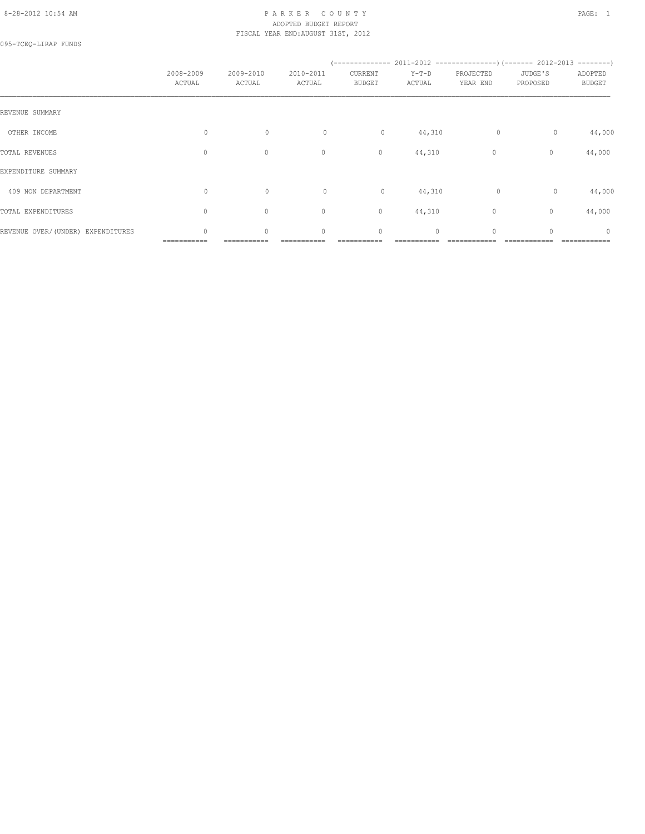#### 8-28-2012 10:54 AM P A R K E R C O U N T Y PAGE: 1 ADOPTED BUDGET REPORT FISCAL YEAR END:AUGUST 31ST, 2012

095-TCEQ-LIRAP FUNDS

|                                   | 2008-2009<br>ACTUAL | 2009-2010<br>ACTUAL | 2010-2011<br>ACTUAL | (--------------<br>CURRENT<br><b>BUDGET</b> | $Y-T-D$<br>ACTUAL | PROJECTED<br>YEAR END | $2011-2012$ ----------------) (------- 2012-2013 --------)<br>JUDGE'S<br>PROPOSED | ADOPTED<br><b>BUDGET</b> |
|-----------------------------------|---------------------|---------------------|---------------------|---------------------------------------------|-------------------|-----------------------|-----------------------------------------------------------------------------------|--------------------------|
| REVENUE SUMMARY                   |                     |                     |                     |                                             |                   |                       |                                                                                   |                          |
| OTHER INCOME                      | $\circ$             | $\circ$             | $\circ$             | $\circ$                                     | 44,310            | 0                     | $\circ$                                                                           | 44,000                   |
| TOTAL REVENUES                    | 0                   | $\mathbb O$         | $\circ$             | $\circ$                                     | 44,310            | 0                     | $\circ$                                                                           | 44,000                   |
| EXPENDITURE SUMMARY               |                     |                     |                     |                                             |                   |                       |                                                                                   |                          |
| 409 NON DEPARTMENT                | $\circ$             | $\mathbb O$         | $\circ$             | $\circ$                                     | 44,310            | $\circ$               | $\circ$                                                                           | 44,000                   |
| TOTAL EXPENDITURES                | $\mathbf{0}$        | $\circ$             | $\mathbf{0}$        | $\circ$                                     | 44,310            | 0                     | $\circ$                                                                           | 44,000                   |
| REVENUE OVER/(UNDER) EXPENDITURES | $\circ$             | $\circ$             | $\mathbf 0$         | $\mathbf 0$                                 | $\circ$           | $\circ$               | 0                                                                                 | 0                        |

=========== =========== =========== =========== =========== ============ ============ ============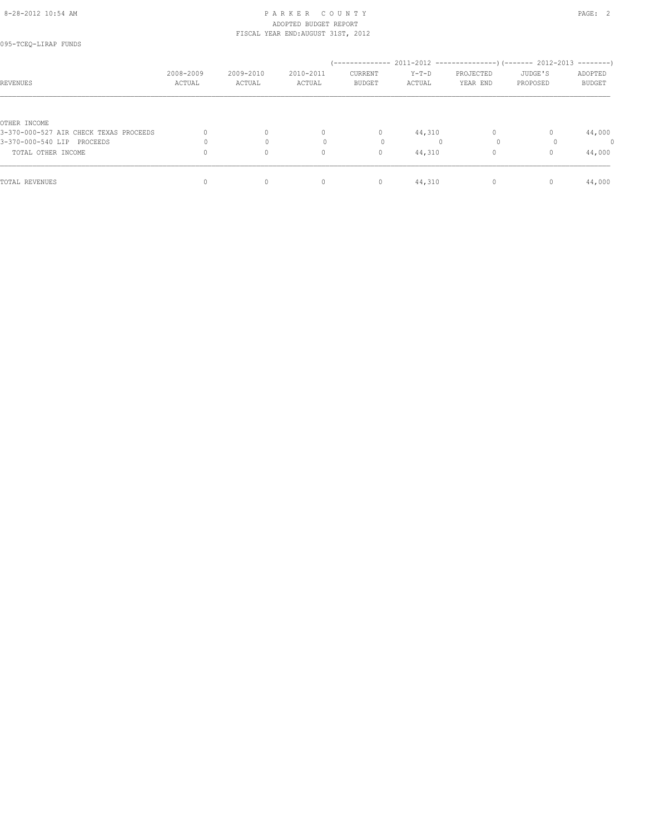#### 8-28-2012 10:54 AM PAGE: 2 ADOPTED BUDGET REPORT FISCAL YEAR END:AUGUST 31ST, 2012

| REVENUES                               | 2008-2009<br>ACTUAL | 2009-2010<br>ACTUAL | 2010-2011<br>ACTUAL | CURRENT<br><b>BUDGET</b> | $Y-T-D$<br>ACTUAL | PROJECTED<br>YEAR END | JUDGE'S<br>PROPOSED | ADOPTED<br><b>BUDGET</b> |
|----------------------------------------|---------------------|---------------------|---------------------|--------------------------|-------------------|-----------------------|---------------------|--------------------------|
|                                        |                     |                     |                     |                          |                   |                       |                     |                          |
| OTHER INCOME                           |                     |                     |                     |                          |                   |                       |                     |                          |
| 3-370-000-527 AIR CHECK TEXAS PROCEEDS |                     | $\Omega$            | $\mathbf{0}$        | $\circ$                  | 44,310            | $\Omega$              |                     | 44,000                   |
| 3-370-000-540 LIP PROCEEDS             |                     |                     |                     | 0                        |                   | $\circ$               |                     | 0                        |
| TOTAL OTHER INCOME                     |                     | $\circ$             | $\mathbf{0}$        | 0                        | 44,310            |                       |                     | 44,000                   |
| TOTAL REVENUES                         |                     | $\Omega$            | $\mathbf{0}$        | $\circ$                  | 44,310            |                       |                     | 44,000                   |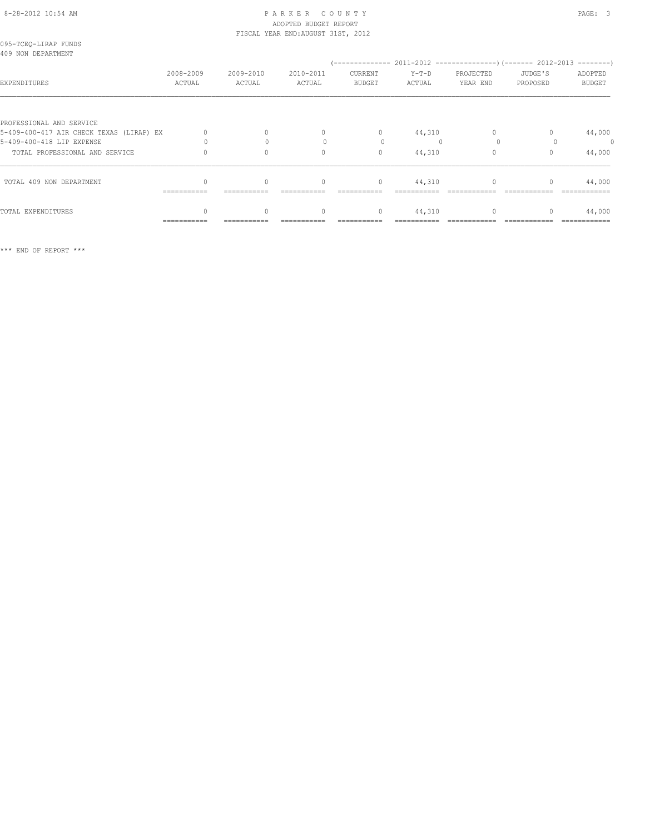### 8-28-2012 10:54 AM PAGE: 3 ADOPTED BUDGET REPORT FISCAL YEAR END:AUGUST 31ST, 2012

| 095-TCEQ-LIRAP FUNDS<br>409 NON DEPARTMENT |                     |                     |                     |                          |                   |                       |                     |                          |
|--------------------------------------------|---------------------|---------------------|---------------------|--------------------------|-------------------|-----------------------|---------------------|--------------------------|
| EXPENDITURES                               | 2008-2009<br>ACTUAL | 2009-2010<br>ACTUAL | 2010-2011<br>ACTUAL | CURRENT<br><b>BUDGET</b> | $Y-T-D$<br>ACTUAL | PROJECTED<br>YEAR END | JUDGE'S<br>PROPOSED | ADOPTED<br><b>BUDGET</b> |
| PROFESSIONAL AND SERVICE                   |                     |                     |                     |                          |                   |                       |                     |                          |
| 5-409-400-417 AIR CHECK TEXAS (LIRAP) EX   |                     |                     | $\mathbf{0}$        | $\circ$                  | 44,310            |                       |                     | 44,000                   |
| 5-409-400-418 LIP EXPENSE                  |                     |                     |                     |                          |                   |                       |                     | $\theta$                 |
| TOTAL PROFESSIONAL AND SERVICE             |                     |                     | $\mathbf{0}$        | $\mathbf{0}$             | 44,310            |                       | $\mathbf{0}$        | 44,000                   |
| TOTAL 409 NON DEPARTMENT                   |                     | $\mathbf{0}$        | $\mathbf{0}$        | $\circ$                  | 44,310            | 0                     |                     | 44,000                   |
|                                            | ===========         | ===========         |                     |                          |                   |                       |                     |                          |
| TOTAL EXPENDITURES                         |                     | $\mathbf{0}$        | $\mathbf{0}$        | $\mathbf{0}$             | 44,310            | $\mathbf{0}$          | $\mathbf{0}$        | 44,000                   |
|                                            | ===========         |                     |                     |                          |                   |                       |                     |                          |

\*\*\* END OF REPORT \*\*\*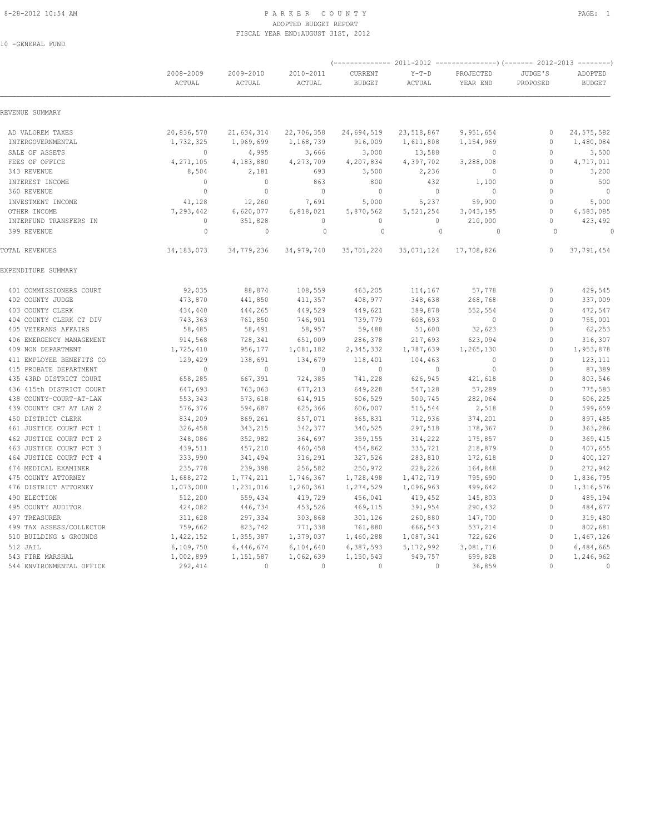#### 8-28-2012 10:54 AM PAGE: 1 PAR K E R C O U N T Y ADOPTED BUDGET REPORT FISCAL YEAR END:AUGUST 31ST, 2012

10 -GENERAL FUND

|                                                    | 2008-2009<br>ACTUAL  | 2009-2010<br>ACTUAL  | 2010-2011<br>ACTUAL  | CURRENT<br><b>BUDGET</b> | $Y-T-D$<br><b>ACTUAL</b> | PROJECTED<br>YEAR END | JUDGE'S<br>PROPOSED          | ADOPTED<br><b>BUDGET</b> |
|----------------------------------------------------|----------------------|----------------------|----------------------|--------------------------|--------------------------|-----------------------|------------------------------|--------------------------|
| REVENUE SUMMARY                                    |                      |                      |                      |                          |                          |                       |                              |                          |
| AD VALOREM TAXES                                   | 20,836,570           | 21,634,314           | 22,706,358           | 24,694,519               | 23,518,867               | 9,951,654             | $\circ$                      | 24, 575, 582             |
| INTERGOVERNMENTAL                                  | 1,732,325            | 1,969,699            | 1,168,739            | 916,009                  | 1,611,808                | 1,154,969             | $\circ$                      | 1,480,084                |
| SALE OF ASSETS                                     | $\circ$              | 4,995                | 3,666                | 3,000                    | 13,588                   | $\mathbf{0}$          | $\mathbf{0}$                 | 3,500                    |
| FEES OF OFFICE                                     | 4, 271, 105          | 4,183,880            | 4,273,709            | 4,207,834                | 4,397,702                | 3,288,008             | $\mathbf{0}$                 | 4,717,011                |
| 343 REVENUE                                        | 8,504                | 2,181                | 693                  | 3,500                    | 2,236                    | $\mathbf{0}$          | $\mathbf{0}$                 | 3,200                    |
| INTEREST INCOME                                    | $\Omega$             | $\mathbf{0}$         | 863                  | 800                      | 432                      | 1,100                 | $\mathbf{0}$                 | 500                      |
| 360 REVENUE                                        | $\mathbf 0$          | $\mathbb O$          | $\mathbb O$          | $\mathbf 0$              | $\circ$                  | $\mathbf{0}$          | $\mathbf{0}$                 | $\overline{0}$           |
| INVESTMENT INCOME                                  | 41,128               | 12,260               | 7,691                | 5,000                    | 5,237                    | 59,900                | $\mathbf{0}$                 | 5,000                    |
| OTHER INCOME                                       | 7,293,442            | 6,620,077            | 6,818,021            | 5,870,562                | 5,521,254                | 3,043,195             | $\mathbb O$                  | 6,583,085                |
| INTERFUND TRANSFERS IN                             | $\circ$              | 351,828              | $\mathbf{0}$         | $\mathbf{0}$             | $\circ$                  | 210,000               | $\circ$                      | 423,492                  |
| 399 REVENUE                                        | $\circ$              | $\circ$              | $\circ$              | $\circ$                  | $\mathbf{0}$             | $\circ$               | $\Omega$                     | $\Omega$                 |
| TOTAL REVENUES                                     | 34, 183, 073         | 34,779,236           | 34,979,740           | 35,701,224               | 35,071,124               | 17,708,826            | $\mathbf{0}$                 | 37,791,454               |
| EXPENDITURE SUMMARY                                |                      |                      |                      |                          |                          |                       |                              |                          |
| 401 COMMISSIONERS COURT                            | 92,035               | 88,874               | 108,559              | 463,205                  | 114,167                  | 57,778                | $\mathbf{0}$                 | 429,545                  |
| 402 COUNTY JUDGE                                   | 473,870              | 441,850              | 411,357              | 408,977                  | 348,638                  | 268,768               | $\mathbf{0}$                 | 337,009                  |
| 403 COUNTY CLERK                                   | 434,440              | 444,265              | 449,529              | 449,621                  | 389,878                  | 552,554               | $\mathbf{0}$                 | 472,547                  |
| 404 COUNTY CLERK CT DIV                            | 743,363              | 761,850              | 746,901              | 739,779                  | 608,693                  | $\mathbf{0}$          | $\mathbf{0}$                 | 755,001                  |
| 405 VETERANS AFFAIRS                               | 58,485               | 58,491               | 58,957               | 59,488                   | 51,600                   | 32,623                | $\mathbf{0}$                 | 62,253                   |
| 406 EMERGENCY MANAGEMENT                           | 914,568              | 728,341              | 651,009              | 286,378                  | 217,693                  | 623,094               | $\mathbf{0}$                 | 316,307                  |
| 409 NON DEPARTMENT                                 | 1,725,410            | 956,177              | 1,081,182            | 2,345,332                | 1,787,639                | 1,265,130             | $\mathbf{0}$                 | 1,953,878                |
| 411 EMPLOYEE BENEFITS CO                           | 129,429              | 138,691              | 134,679              | 118,401                  | 104,463                  | $\circ$               | $\mathbf{0}$                 | 123,111                  |
| 415 PROBATE DEPARTMENT                             | $\mathbf 0$          | $\mathbf{0}$         | $\mathbf 0$          | $\mathbf 0$              | 0                        | $\mathbb O$           | $\mathbf{0}$                 | 87,389                   |
| 435 43RD DISTRICT COURT                            | 658,285              | 667,391              | 724,385              | 741,228                  | 626,945                  | 421,618               | $\mathbf{0}$                 | 803,546                  |
| 436 415th DISTRICT COURT                           | 647,693              | 763,063              | 677,213              | 649,228                  | 547,128                  | 57,289                | $\mathbf{0}$                 | 775,583                  |
| 438 COUNTY-COURT-AT-LAW                            | 553,343              | 573,618              | 614,915              | 606,529                  | 500,745                  | 282,064               | $\mathbf{0}$                 | 606,225                  |
| 439 COUNTY CRT AT LAW 2                            | 576,376              | 594,687              | 625,366              | 606,007                  | 515,544                  | 2,518                 | $\mathbf{0}$                 | 599,659                  |
| 450 DISTRICT CLERK                                 | 834,209              | 869,261              | 857,071              | 865,831                  | 712,936                  | 374,201               | $\mathbf{0}$                 | 897,485                  |
| 461 JUSTICE COURT PCT 1                            | 326,458              | 343,215              | 342,377              | 340,525                  | 297,518                  | 178,367               | $\mathbf{0}$                 | 363,286                  |
| 462 JUSTICE COURT PCT 2                            | 348,086              | 352,982              | 364,697              | 359,155                  | 314,222                  | 175,857               | $\mathbf{0}$                 | 369,415                  |
| 463 JUSTICE COURT PCT 3                            | 439,511              | 457,210              | 460,458              | 454,862                  | 335,721                  | 218,879               | $\mathbf{0}$                 | 407,655                  |
| 464 JUSTICE COURT PCT 4                            | 333,990              | 341,494              | 316,291              | 327,526                  | 283,810                  | 172,618               | $\mathbf{0}$                 | 400,127                  |
| 474 MEDICAL EXAMINER                               | 235,778              | 239,398              | 256,582              | 250,972                  | 228,226                  | 164,848               | $\mathbf{0}$                 | 272,942                  |
| 475 COUNTY ATTORNEY                                | 1,688,272            | 1,774,211            | 1,746,367            | 1,728,498                | 1,472,719                | 795,690               | $\mathbf 0$                  | 1,836,795                |
| 476 DISTRICT ATTORNEY                              | 1,073,000            | 1,231,016            | 1,260,361            | 1,274,529                | 1,096,963                | 499,642               | $\mathbf{0}$                 | 1,316,576                |
| 490 ELECTION<br>495 COUNTY AUDITOR                 | 512,200              | 559,434              | 419,729              | 456,041                  | 419,452                  | 145,803               | $\mathbf{0}$<br>$\mathbf{0}$ | 489,194                  |
|                                                    | 424,082              | 446,734              | 453,526              | 469,115                  | 391,954                  | 290,432               |                              | 484,677                  |
| 497 TREASURER                                      | 311,628              | 297,334              | 303,868              | 301,126                  | 260,880                  | 147,700               | $\mathbf{0}$<br>$\mathbf{0}$ | 319,480                  |
| 499 TAX ASSESS/COLLECTOR<br>510 BUILDING & GROUNDS | 759,662<br>1,422,152 | 823,742<br>1,355,387 | 771,338<br>1,379,037 | 761,880<br>1,460,288     | 666,543<br>1,087,341     | 537,214<br>722,626    | $\mathbf 0$                  | 802,681<br>1,467,126     |
| 512 JAIL                                           | 6,109,750            | 6,446,674            | 6,104,640            | 6,387,593                | 5, 172, 992              | 3,081,716             | $\mathbf{0}$                 | 6,484,665                |
| 543 FIRE MARSHAL                                   | 1,002,899            | 1,151,587            | 1,062,639            | 1,150,543                | 949,757                  | 699,828               | $\mathbf{0}$                 | 1,246,962                |
| 544 ENVIRONMENTAL OFFICE                           | 292,414              | $\mathbf{0}$         | $\mathbf{0}$         | $\mathbf{0}$             | $\circ$                  | 36,859                | $\Omega$                     | $\mathbf{0}$             |
|                                                    |                      |                      |                      |                          |                          |                       |                              |                          |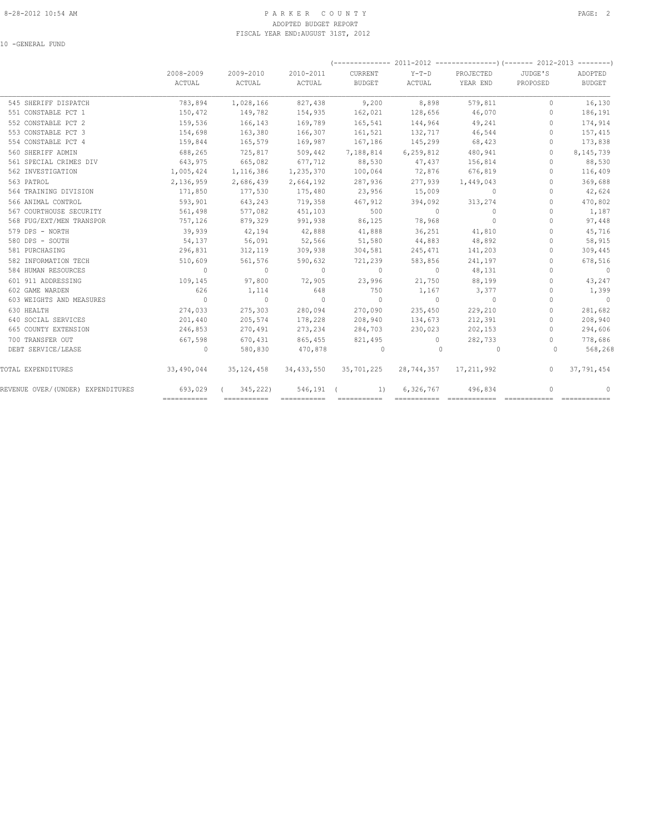#### 8-28-2012 10:54 AM PAGE: 2 PARKER COUNTY ADOPTED BUDGET REPORT FISCAL YEAR END:AUGUST 31ST, 2012

10 -GENERAL FUND

|                          | 2008-2009<br>ACTUAL | 2009-2010<br>ACTUAL | 2010-2011<br>ACTUAL | CURRENT<br><b>BUDGET</b> | $Y-T-D$<br>ACTUAL | PROJECTED<br>YEAR END | JUDGE'S<br>PROPOSED | ADOPTED<br><b>BUDGET</b> |
|--------------------------|---------------------|---------------------|---------------------|--------------------------|-------------------|-----------------------|---------------------|--------------------------|
| 545 SHERIFF DISPATCH     | 783,894             | 1,028,166           | 827,438             | 9,200                    | 8,898             | 579,811               | $\mathbf{0}$        | 16,130                   |
| 551 CONSTABLE PCT 1      | 150,472             | 149,782             | 154,935             | 162,021                  | 128,656           | 46,070                | $\mathbf{0}$        | 186,191                  |
| 552 CONSTABLE PCT 2      | 159,536             | 166,143             | 169,789             | 165,541                  | 144,964           | 49,241                | $\Omega$            | 174,914                  |
| 553 CONSTABLE PCT 3      | 154,698             | 163,380             | 166,307             | 161,521                  | 132,717           | 46,544                | $\Omega$            | 157,415                  |
| 554 CONSTABLE PCT 4      | 159,844             | 165,579             | 169,987             | 167,186                  | 145,299           | 68,423                | $\circ$             | 173,838                  |
| 560 SHERIFF ADMIN        | 688,265             | 725,817             | 509,442             | 7,188,814                | 6,259,812         | 480,941               | $\Omega$            | 8,145,739                |
| 561 SPECIAL CRIMES DIV   | 643,975             | 665,082             | 677,712             | 88,530                   | 47,437            | 156,814               | $\Omega$            | 88,530                   |
| 562 INVESTIGATION        | 1,005,424           | 1,116,386           | 1,235,370           | 100,064                  | 72,876            | 676,819               | $\circ$             | 116,409                  |
| 563 PATROL               | 2,136,959           | 2,686,439           | 2,664,192           | 287,936                  | 277,939           | 1,449,043             | $\Omega$            | 369,688                  |
| 564 TRAINING DIVISION    | 171,850             | 177,530             | 175,480             | 23,956                   | 15,009            | $\sim$ 0              | $\Omega$            | 42,624                   |
| 566 ANIMAL CONTROL       | 593,901             | 643,243             | 719,358             | 467,912                  | 394,092           | 313,274               | $\Omega$            | 470,802                  |
| 567 COURTHOUSE SECURITY  | 561,498             | 577,082             | 451,103             | 500                      | $\sim$ 0          | $\Omega$              | $\Omega$            | 1,187                    |
| 568 FUG/EXT/MEN TRANSPOR | 757,126             | 879,329             | 991,938             | 86,125                   | 78,968            | $\Omega$              | $\Omega$            | 97,448                   |
| 579 DPS - NORTH          | 39,939              | 42,194              | 42,888              | 41,888                   | 36,251            | 41,810                | $\Omega$            | 45,716                   |
| 580 DPS - SOUTH          | 54,137              | 56,091              | 52,566              | 51,580                   | 44,883            | 48,892                | $\circ$             | 58,915                   |
| 581 PURCHASING           | 296,831             | 312,119             | 309,938             | 304,581                  | 245,471           | 141,203               | $\Omega$            | 309,445                  |
| 582 INFORMATION TECH     | 510,609             | 561,576             | 590,632             | 721,239                  | 583,856           | 241,197               | $\Omega$            | 678,516                  |
| 584 HUMAN RESOURCES      | $\sim$ 0            | $\sim$ 0            | $\sim$ 0            | $\sim$ 0                 | $\sim$ 0          | 48,131                | $\Omega$            | $\sim$ 0                 |
| 601 911 ADDRESSING       | 109,145             | 97,800              | 72,905              | 23,996                   | 21,750            | 88,199                | $\Omega$            | 43,247                   |
| 602 GAME WARDEN          | 626                 | 1,114               | 648                 | 750                      | 1,167             | 3,377                 | $\Omega$            | 1,399                    |
| 603 WEIGHTS AND MEASURES | $\sim$ 0            | $\sim$ 0            | $\sim$ 0            | $\sim$ 0                 | $\sim$ 0          | $\sim$ 0              | $\Omega$            | $\sim$ 0                 |
| 630 HEALTH               | 274,033             | 275,303             | 280,094             | 270,090                  | 235,450           | 229,210               | $\Omega$            | 281,682                  |
| 640 SOCIAL SERVICES      | 201,440             | 205,574             | 178,228             | 208,940                  | 134,673           | 212,391               | $\Omega$            | 208,940                  |
| 665 COUNTY EXTENSION     | 246,853             | 270,491             | 273,234             | 284,703                  | 230,023           | 202,153               | $\Omega$            | 294,606                  |
| 700 TRANSFER OUT         | 667,598             | 670,431             | 865,455             | 821,495                  | $\sim$ 0          | 282,733               | $\circ$             | 778,686                  |
| DEBT SERVICE/LEASE       | $\sim$ 0            | 580,830             | 470,878             | $\overline{0}$           | $\circ$           | $\circ$               | $\Omega$            | 568,268                  |
| TOTAL EXPENDITURES       | 33,490,044          | 35, 124, 458        | 34,433,550          | 35,701,225               |                   | 28,744,357 17,211,992 | $\circ$             | 37,791,454               |
|                          |                     |                     |                     |                          |                   |                       |                     |                          |

REVENUE OVER/(UNDER) EXPENDITURES 693,029 ( 345,222) 546,191 ( 1) 6,326,767 496,834 0 0 =========== =========== =========== =========== =========== ============ ============ ============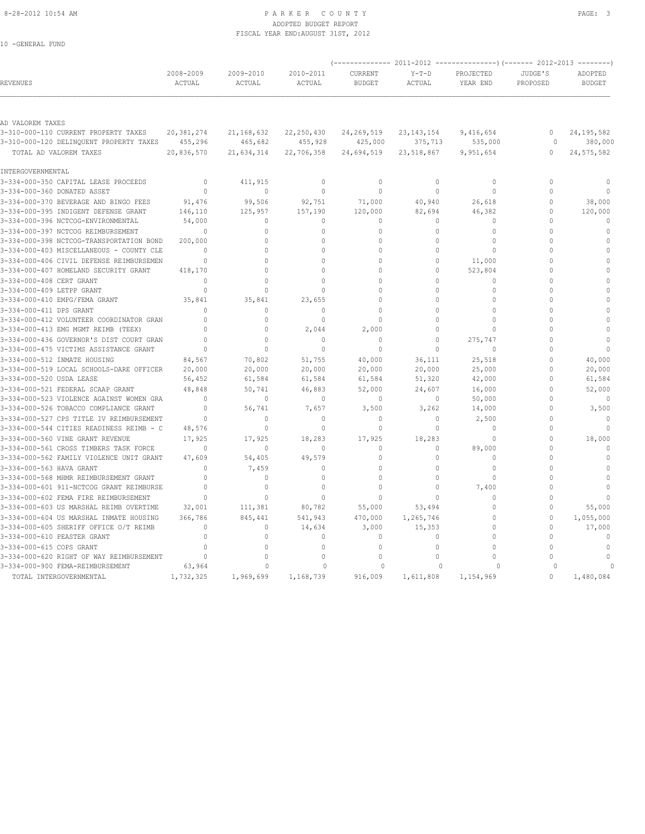10 -GENERAL FUND

#### 8-28-2012 10:54 AM PAGE: 3 ADOPTED BUDGET REPORT FISCAL YEAR END:AUGUST 31ST, 2012

| <b>REVENUES</b>                          | 2008-2009<br>ACTUAL | 2009-2010<br>ACTUAL | 2010-2011<br>ACTUAL | CURRENT<br><b>BUDGET</b> | $Y-T-D$<br>ACTUAL | PROJECTED<br>YEAR END | JUDGE'S<br>PROPOSED | ADOPTED<br><b>BUDGET</b> |
|------------------------------------------|---------------------|---------------------|---------------------|--------------------------|-------------------|-----------------------|---------------------|--------------------------|
|                                          |                     |                     |                     |                          |                   |                       |                     |                          |
| AD VALOREM TAXES                         |                     |                     |                     |                          |                   |                       |                     |                          |
| 3-310-000-110 CURRENT PROPERTY TAXES     | 20,381,274          | 21, 168, 632        | 22, 250, 430        | 24, 269, 519             | 23, 143, 154      | 9,416,654             | $\mathbf{0}$        | 24, 195, 582             |
| 3-310-000-120 DELINQUENT PROPERTY TAXES  | 455,296             | 465,682             | 455,928             | 425,000                  | 375,713           | 535,000               | $\circ$             | 380,000                  |
| TOTAL AD VALOREM TAXES                   | 20,836,570          | 21,634,314          | 22,706,358          | 24,694,519               | 23,518,867        | 9,951,654             | $\circ$             | 24, 575, 582             |
| INTERGOVERNMENTAL                        |                     |                     |                     |                          |                   |                       |                     |                          |
| 3-334-000-350 CAPITAL LEASE PROCEEDS     | $\mathbf{0}$        | 411,915             | $\mathbf{0}$        | $\mathbf{0}$             | $\circ$           | $\circ$               | $\mathbf{0}$        | $\cap$                   |
| 3-334-000-360 DONATED ASSET              | $\mathbf 0$         | $\mathbf{0}$        | $\mathbf 0$         | $\circ$                  | $\circ$           | $\circ$               | $\Omega$            | $\Omega$                 |
| 3-334-000-370 BEVERAGE AND BINGO FEES    | 91,476              | 99,506              | 92,751              | 71,000                   | 40,940            | 26,618                | $\Omega$            | 38,000                   |
| 3-334-000-395 INDIGENT DEFENSE GRANT     | 146,110             | 125,957             | 157,190             | 120,000                  | 82,694            | 46,382                | $\mathbf{0}$        | 120,000                  |
| 3-334-000-396 NCTCOG-ENVIRONMENTAL       | 54,000              | $\Omega$            | $\Omega$            | $\Omega$                 | $\Omega$          | $\Omega$              | $\Omega$            |                          |
| 3-334-000-397 NCTCOG REIMBURSEMENT       | $\Omega$            | $\mathbf 0$         | $\Omega$            | $\Omega$                 | $\Omega$          | $\Omega$              | $\Omega$            | $\Omega$                 |
| 3-334-000-398 NCTCOG-TRANSPORTATION BOND | 200,000             | $\Omega$            | $\Omega$            | $\Omega$                 | $\Omega$          | $\Omega$              | $\Omega$            | $\Omega$                 |
| 3-334-000-403 MISCELLANEOUS - COUNTY CLE | $\Omega$            | $\Omega$            | $\Omega$            | $\cap$                   | $\Omega$          | $\Omega$              | $\cap$              | $\Omega$                 |
| 3-334-000-406 CIVIL DEFENSE REIMBURSEMEN | $\Omega$            | $\Omega$            | $\Omega$            | O                        | $\Omega$          | 11,000                | $\Omega$            | $\Omega$                 |
| 3-334-000-407 HOMELAND SECURITY GRANT    | 418,170             | $\Omega$            | $\Omega$            | $\Omega$                 | $\Omega$          | 523,804               | $\Omega$            | $\Omega$                 |
| 3-334-000-408 CERT GRANT                 | $\Omega$            | $\Omega$            | $\cap$              | $\cap$                   | $\Omega$          | $\mathbf{0}$          | $\cap$              | $\cap$                   |
| 3-334-000-409 LETPP GRANT                | $\Omega$            | $\Omega$            | $\Omega$            | $\Omega$                 | $\Omega$          | $\Omega$              | $\Omega$            | $\Omega$                 |
| 3-334-000-410 EMPG/FEMA GRANT            | 35,841              | 35,841              | 23,655              | O                        | $\Omega$          | $\Omega$              | $\Omega$            |                          |
| 3-334-000-411 DPS GRANT                  | $\Omega$            | $\Omega$            | $\Omega$            | $\Omega$                 | $\Omega$          | $\Omega$              | $\Omega$            |                          |
| 3-334-000-412 VOLUNTEER COORDINATOR GRAN | $\Omega$            | $\mathbf{0}$        | $\mathbf 0$         | $\mathbf 0$              | $\Omega$          | $\mathbf{0}$          | $\Omega$            | $\Omega$                 |
| 3-334-000-413 EMG MGMT REIMB (TEEX)      | $\Omega$            | $\Omega$            | 2,044               | 2,000                    | $\Omega$          | $\Omega$              | $\Omega$            | $\Omega$                 |
| 3-334-000-436 GOVERNOR'S DIST COURT GRAN | $\Omega$            | $\Omega$            | $\mathbf{0}$        | $\mathbf{0}$             | $\Omega$          | 275,747               | $\cap$              | $\Omega$                 |
| 3-334-000-475 VICTIMS ASSISTANCE GRANT   | $\Omega$            | $\Omega$            | $\Omega$            | $\Omega$                 | $\Omega$          | $\Omega$              | $\Omega$            | $\cap$                   |
| 3-334-000-512 INMATE HOUSING             | 84,567              | 70,802              | 51,755              | 40,000                   | 36,111            | 25,518                | $\Omega$            | 40,000                   |
| 3-334-000-519 LOCAL SCHOOLS-DARE OFFICER | 20,000              | 20,000              | 20,000              | 20,000                   | 20,000            | 25,000                | $\mathbf{0}$        | 20,000                   |
| 3-334-000-520 USDA LEASE                 | 56,452              | 61,584              | 61,584              | 61,584                   | 51,320            | 42,000                | $\Omega$            | 61,584                   |
| 3-334-000-521 FEDERAL SCAAP GRANT        | 48,848              | 50,741              | 46,883              | 52,000                   | 24,607            | 16,000                | $\Omega$            | 52,000                   |
| 3-334-000-523 VIOLENCE AGAINST WOMEN GRA | $\Omega$            | $\mathbf 0$         | $\mathbf{0}$        | $\mathbf{0}$             | $\circ$           | 50,000                | $\Omega$            | $\mathbf{0}$             |
| 3-334-000-526 TOBACCO COMPLIANCE GRANT   | $\Omega$            | 56,741              | 7,657               | 3,500                    | 3,262             | 14,000                | $\Omega$            | 3,500                    |
| 3-334-000-527 CPS TITLE IV REIMBURSEMENT | $\Omega$            | $\mathbf 0$         | $\Omega$            | $\Omega$                 | $\circ$           | 2,500                 | $\Omega$            | $\mathbf 0$              |
| 3-334-000-544 CITIES READINESS REIMB - C | 48,576              | $\mathbf{0}$        | $\Omega$            | $\Omega$                 | $\circ$           | $\Omega$              | $\Omega$            | $\Omega$                 |
| 3-334-000-560 VINE GRANT REVENUE         | 17,925              | 17,925              | 18,283              | 17,925                   | 18,283            | $\Omega$              | $\Omega$            | 18,000                   |
| 3-334-000-561 CROSS TIMBERS TASK FORCE   | $\mathbf 0$         | $\mathbf{0}$        | $\mathbf 0$         | 0                        | 0                 | 89,000                | $\Omega$            | $\mathbf{0}$             |
| 3-334-000-562 FAMILY VIOLENCE UNIT GRANT | 47,609              | 54,405              | 49,579              | $\Omega$                 | 0                 | $\Omega$              | $\Omega$            | $\Omega$                 |
| 3-334-000-563 HAVA GRANT                 | $\Omega$            | 7,459               | $\Omega$            | $\Omega$                 | $\Omega$          | $\mathbf{0}$          | $\Omega$            | $\Omega$                 |
| 3-334-000-568 MHMR REIMBURSEMENT GRANT   | $\Omega$            | $\Omega$            | $\Omega$            | $\cap$                   | $\Omega$          | $\Omega$              | $\cap$              |                          |
| 3-334-000-601 911-NCTCOG GRANT REIMBURSE | $\Omega$            | $\mathbf{0}$        | $\Omega$            | O                        | $\circ$           | 7,400                 | $\Omega$            | $\Omega$                 |
| 3-334-000-602 FEMA FIRE REIMBURSEMENT    | $\Omega$            | $\Omega$            | $\Omega$            | $\Omega$                 | $\Omega$          | $\Omega$              | $\Omega$            | $\Omega$                 |
| 3-334-000-603 US MARSHAL REIMB OVERTIME  | 32,001              | 111,381             | 80,782              | 55,000                   | 53,494            | $\Omega$              | $\mathbf{0}$        | 55,000                   |
| 3-334-000-604 US MARSHAL INMATE HOUSING  | 366,786             | 845,441             | 541,943             | 470,000                  | 1,265,746         | $\Omega$              | $\mathbf{0}$        | 1,055,000                |
| 3-334-000-605 SHERIFF OFFICE O/T REIMB   | $\Omega$            | $\mathbf 0$         | 14,634              | 3,000                    | 15,353            | $\Omega$              | $\mathbf{0}$        | 17,000                   |
| 3-334-000-610 PEASTER GRANT              | $\Omega$            | $\Omega$            | $\Omega$            | $\Omega$                 | $\Omega$          | $\Omega$              | $\Omega$            | $\Omega$                 |
| 3-334-000-615 COPS GRANT                 | $\Omega$            | $\Omega$            | $\Omega$            | $\Omega$                 | $\Omega$          | $\Omega$              | $\Omega$            | $\Omega$                 |
| 3-334-000-620 RIGHT OF WAY REIMBURSEMENT | $\Omega$            | $\mathbb O$         | $\Omega$            | $\Omega$                 | $\Omega$          | $\cap$                | $\cap$              | $\cap$                   |
| 3-334-000-900 FEMA-REIMBURSEMENT         | 63,964              | 0                   | 0                   | $\Omega$                 | $\Omega$          |                       |                     |                          |
| TOTAL INTERGOVERNMENTAL                  | 1,732,325           | 1,969,699           | 1,168,739           | 916,009                  | 1,611,808         | 1,154,969             | $\circ$             | 1,480,084                |
|                                          |                     |                     |                     |                          |                   |                       |                     |                          |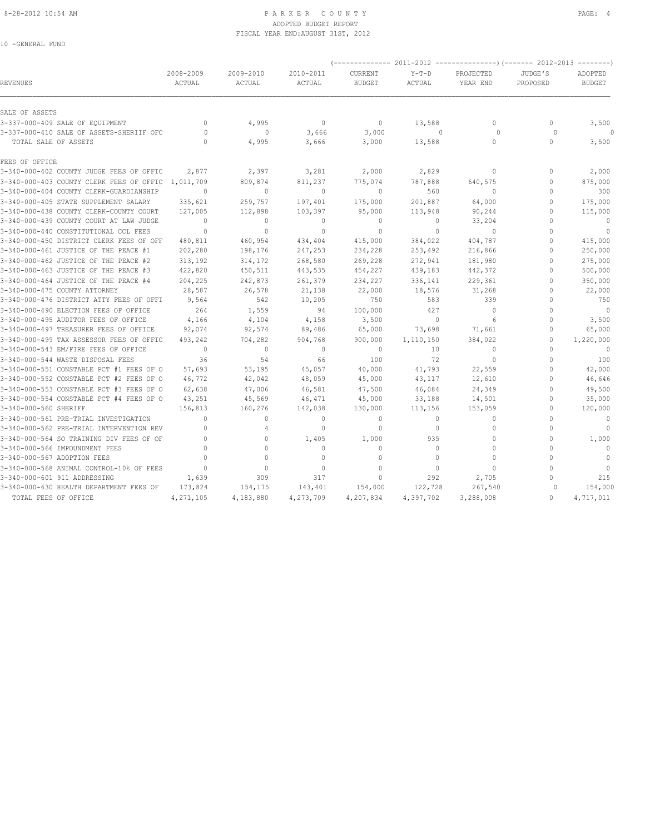#### 8-28-2012 10:54 AM PAGE: 4 ADOPTED BUDGET REPORT FISCAL YEAR END:AUGUST 31ST, 2012

10 -GENERAL FUND

|                                          | 2008-2009    | 2009-2010      | 2010-2011    | CURRENT       | $Y-T-D$   | PROJECTED    | JUDGE'S      | ADOPTED        |
|------------------------------------------|--------------|----------------|--------------|---------------|-----------|--------------|--------------|----------------|
| <b>REVENUES</b>                          | ACTUAL       | ACTUAL         | ACTUAL       | <b>BUDGET</b> | ACTUAL    | YEAR END     | PROPOSED     | <b>BUDGET</b>  |
| SALE OF ASSETS                           |              |                |              |               |           |              |              |                |
| 3-337-000-409 SALE OF EQUIPMENT          | $\mathbf{0}$ | 4,995          | $\circ$      | $\circ$       | 13,588    | $\circ$      | $\Omega$     | 3,500          |
| 3-337-000-410 SALE OF ASSETS-SHERIIF OFC | $\Omega$     | $\mathbf{0}$   | 3,666        | 3,000         | $\Omega$  | $\Omega$     | $\Omega$     |                |
| TOTAL SALE OF ASSETS                     | $\Omega$     | 4,995          | 3,666        | 3,000         | 13,588    | $\circ$      | $\Omega$     | 3,500          |
| FEES OF OFFICE                           |              |                |              |               |           |              |              |                |
| 3-340-000-402 COUNTY JUDGE FEES OF OFFIC | 2,877        | 2,397          | 3,281        | 2,000         | 2,829     | $\circ$      | $\mathbf{0}$ | 2,000          |
| 3-340-000-403 COUNTY CLERK FEES OF OFFIC | 1,011,709    | 809,874        | 811,237      | 775,074       | 787,888   | 640,575      | $\mathbf{0}$ | 875,000        |
| 3-340-000-404 COUNTY CLERK-GUARDIANSHIP  | $\Omega$     | $\Omega$       | $\mathbf{0}$ | $\Omega$      | 560       | $\Omega$     | $\cap$       | 300            |
| 3-340-000-405 STATE SUPPLEMENT SALARY    | 335,621      | 259,757        | 197,401      | 175,000       | 201,887   | 64,000       | $\mathbf{0}$ | 175,000        |
| 3-340-000-438 COUNTY CLERK-COUNTY COURT  | 127,005      | 112,898        | 103,397      | 95,000        | 113,948   | 90,244       | $\Omega$     | 115,000        |
| 3-340-000-439 COUNTY COURT AT LAW JUDGE  | $\Omega$     | $\mathbf{0}$   | $\mathbf{0}$ | $\mathbf{0}$  | $\circ$   | 33,204       | $\Omega$     | $\mathbf{0}$   |
| 3-340-000-440 CONSTITUTIONAL CCL FEES    | $\mathbf{0}$ | $\mathbf{0}$   | $\mathbf{0}$ | $\mathbf{0}$  | $\circ$   | $\circ$      | $\mathbf{0}$ | $\overline{0}$ |
| 3-340-000-450 DISTRICT CLERK FEES OF OFF | 480,811      | 460,954        | 434,404      | 415,000       | 384,022   | 404,787      | $\Omega$     | 415,000        |
| 3-340-000-461 JUSTICE OF THE PEACE #1    | 202,280      | 198,176        | 247,253      | 234,228       | 253,492   | 216,866      | $\Omega$     | 250,000        |
| 3-340-000-462 JUSTICE OF THE PEACE #2    | 313,192      | 314,172        | 268,580      | 269,228       | 272,941   | 181,980      | $\Omega$     | 275,000        |
| 3-340-000-463 JUSTICE OF THE PEACE #3    | 422,820      | 450,511        | 443,535      | 454,227       | 439,183   | 442,372      | $\Omega$     | 500,000        |
| 3-340-000-464 JUSTICE OF THE PEACE #4    | 204,225      | 242,873        | 261,379      | 234,227       | 336,141   | 229,361      | $\Omega$     | 350,000        |
| 3-340-000-475 COUNTY ATTORNEY            | 28,587       | 26,578         | 21,138       | 22,000        | 18,576    | 31,268       | $\Omega$     | 22,000         |
| 3-340-000-476 DISTRICT ATTY FEES OF OFFI | 9,564        | 542            | 10,205       | 750           | 583       | 339          | $\Omega$     | 750            |
| 3-340-000-490 ELECTION FEES OF OFFICE    | 264          | 1,559          | 94           | 100,000       | 427       | $\circ$      | $\Omega$     | $\overline{0}$ |
| 3-340-000-495 AUDITOR FEES OF OFFICE     | 4,166        | 4,104          | 4,158        | 3,500         | $\circ$   | 6            | $\Omega$     | 3,500          |
| 3-340-000-497 TREASURER FEES OF OFFICE   | 92,074       | 92,574         | 89,486       | 65,000        | 73,698    | 71,661       | $\mathbf{0}$ | 65,000         |
| 3-340-000-499 TAX ASSESSOR FEES OF OFFIC | 493,242      | 704,282        | 904,768      | 900,000       | 1,110,150 | 384,022      | $\mathbf{0}$ | 1,220,000      |
| 3-340-000-543 EM/FIRE FEES OF OFFICE     | $\Omega$     | $\circ$        | $\mathbf{0}$ | $\mathbf{0}$  | 10        | $\Omega$     | $\Omega$     | $\bigcirc$     |
| 3-340-000-544 WASTE DISPOSAL FEES        | 36           | 54             | 66           | 100           | 72        | $\circ$      | $\Omega$     | 100            |
| 3-340-000-551 CONSTABLE PCT #1 FEES OF O | 57,693       | 53,195         | 45,057       | 40,000        | 41,793    | 22,559       | $\Omega$     | 42,000         |
| 3-340-000-552 CONSTABLE PCT #2 FEES OF O | 46,772       | 42,042         | 48,059       | 45,000        | 43,117    | 12,610       | $\mathbf{0}$ | 46,646         |
| 3-340-000-553 CONSTABLE PCT #3 FEES OF O | 62,638       | 47,006         | 46,581       | 47,500        | 46,084    | 24,349       | $\Omega$     | 49,500         |
| 3-340-000-554 CONSTABLE PCT #4 FEES OF O | 43,251       | 45,569         | 46,471       | 45,000        | 33,188    | 14,501       | $\Omega$     | 35,000         |
| 3-340-000-560 SHERIFF                    | 156,813      | 160,276        | 142,038      | 130,000       | 113,156   | 153,059      | $\mathbf{0}$ | 120,000        |
| 3-340-000-561 PRE-TRIAL INVESTIGATION    | $\Omega$     | $\circ$        | $\mathbf{0}$ | $\mathbf{0}$  | $\circ$   | $\circ$      | $\Omega$     | $\mathbf{0}$   |
| 3-340-000-562 PRE-TRIAL INTERVENTION REV | $\Omega$     | $\overline{4}$ | $\mathbf{0}$ | $\Omega$      | $\Omega$  | $\Omega$     | $\Omega$     | $\mathbf{0}$   |
| 3-340-000-564 SO TRAINING DIV FEES OF OF | $\Omega$     | $\circ$        | 1,405        | 1,000         | 935       | $\mathbf{0}$ | $\mathbf{0}$ | 1,000          |
| 3-340-000-566 IMPOUNDMENT FEES           | $\Omega$     | $\Omega$       | $\Omega$     | $\Omega$      | $\Omega$  | $\Omega$     | $\Omega$     | $\overline{0}$ |
| 3-340-000-567 ADOPTION FEES              | $\Omega$     | $\Omega$       | $\mathbf{0}$ | $\mathbf{0}$  | $\circ$   | $\mathbf{0}$ | $\Omega$     | $\circ$        |
| 3-340-000-568 ANIMAL CONTROL-10% OF FEES | $\Omega$     | $\mathbf{0}$   | $\mathbf{0}$ | $\mathbf{0}$  | $\circ$   | $\Omega$     | $\Omega$     | $\overline{0}$ |
| 3-340-000-601 911 ADDRESSING             | 1,639        | 309            | 317          | $\Omega$      | 292       | 2,705        | $\Omega$     | 215            |
| 3-340-000-630 HEALTH DEPARTMENT FEES OF  | 173,824      | 154,175        | 143,401      | 154,000       | 122,728   | 267,540      | $\circ$      | 154,000        |
| TOTAL FEES OF OFFICE                     | 4,271,105    | 4,183,880      | 4,273,709    | 4,207,834     | 4,397,702 | 3,288,008    | $\mathbf{0}$ | 4,717,011      |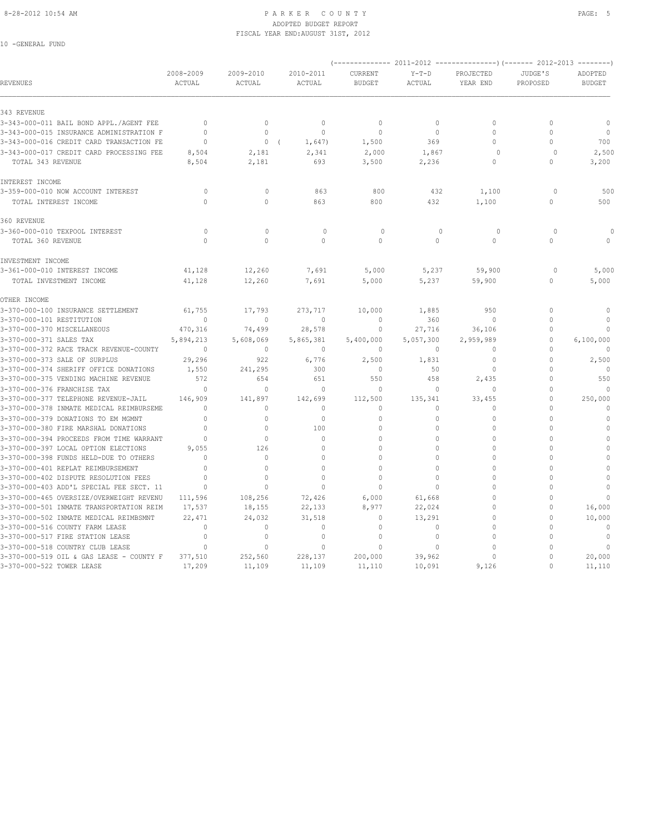#### 8-28-2012 10:54 AM PAGE: 5 ADOPTED BUDGET REPORT FISCAL YEAR END:AUGUST 31ST, 2012

10 -GENERAL FUND

| REVENUES                                                                    | 2008-2009<br>ACTUAL | 2009-2010<br>ACTUAL     | 2010-2011<br>ACTUAL          | CURRENT<br><b>BUDGET</b> | $Y-T-D$<br>ACTUAL      | PROJECTED<br>YEAR END        | JUDGE'S<br>PROPOSED  | ADOPTED<br><b>BUDGET</b> |
|-----------------------------------------------------------------------------|---------------------|-------------------------|------------------------------|--------------------------|------------------------|------------------------------|----------------------|--------------------------|
| 343 REVENUE                                                                 |                     |                         |                              |                          |                        |                              |                      |                          |
| 3-343-000-011 BAIL BOND APPL./AGENT FEE                                     | $\mathbf{0}$        | $\mathbf{0}$            | $\mathbf{0}$                 | $\mathbf{0}$             | $\circ$                | $\mathbf{0}$                 | $\mathbf{0}$         | $\circ$                  |
| 3-343-000-015 INSURANCE ADMINISTRATION F                                    | $\Omega$            | $\Omega$                | $\theta$                     | $\Omega$                 | $\circ$                | $\theta$                     | $\Omega$             | $\circ$                  |
| 3-343-000-016 CREDIT CARD TRANSACTION FE                                    | $\Omega$            | 0(                      | 1,647)                       | 1,500                    | 369                    | $\Omega$                     | $\Omega$             | 700                      |
| 3-343-000-017 CREDIT CARD PROCESSING FEE                                    | 8,504               | 2,181                   | 2,341                        | 2,000                    | 1,867                  | $\circ$                      | $\Omega$             | 2,500                    |
| TOTAL 343 REVENUE                                                           | 8,504               | 2,181                   | 693                          | 3,500                    | 2,236                  | $\Omega$                     | $\Omega$             | 3,200                    |
| INTEREST INCOME                                                             |                     |                         |                              |                          |                        |                              |                      |                          |
| 3-359-000-010 NOW ACCOUNT INTEREST                                          | $\circ$             | $\circ$                 | 863                          | 800                      | 432                    | 1,100                        | $\Omega$             | 500                      |
| TOTAL INTEREST INCOME                                                       | $\Omega$            | $\Omega$                | 863                          | 800                      | 432                    | 1,100                        | $\Omega$             | 500                      |
| 360 REVENUE                                                                 |                     |                         |                              |                          |                        |                              |                      |                          |
| 3-360-000-010 TEXPOOL INTEREST                                              | $\circ$             | $\mathbf{0}$            | $\circ$                      | $\circ$                  | $\mathbf{0}$           | $\circ$                      | $\circ$              |                          |
| TOTAL 360 REVENUE                                                           | $\Omega$            | $\Omega$                | $\cap$                       | $\Omega$                 | $\Omega$               | $\Omega$                     | $\Omega$             | $\Omega$                 |
| INVESTMENT INCOME                                                           |                     |                         |                              |                          |                        |                              |                      |                          |
| 3-361-000-010 INTEREST INCOME                                               | 41,128              | 12,260                  | 7,691                        | 5,000                    | 5,237                  | 59,900                       | $\Omega$             | 5,000                    |
| TOTAL INVESTMENT INCOME                                                     | 41,128              | 12,260                  | 7,691                        | 5,000                    | 5,237                  | 59,900                       | $\mathbf{0}$         | 5,000                    |
| OTHER INCOME                                                                |                     |                         |                              |                          |                        |                              |                      |                          |
| 3-370-000-100 INSURANCE SETTLEMENT                                          | 61,755              | 17,793                  | 273,717                      | 10,000                   | 1,885                  | 950                          | $\Omega$             | $\mathbf{0}$             |
| 3-370-000-101 RESTITUTION                                                   | $\mathbf{0}$        | $\mathbf{0}$            | $\mathbf{0}$                 | $\mathbf{0}$             | 360                    | $\mathbf{0}$                 | $\mathbf{0}$         | $\mathbf{0}$             |
| 3-370-000-370 MISCELLANEOUS                                                 | 470,316             | 74,499                  | 28,578                       | $\mathbf 0$              | 27,716                 | 36,106                       | $\mathbf{0}$         | $\mathbf{0}$             |
| 3-370-000-371 SALES TAX                                                     | 5,894,213           | 5,608,069               | 5,865,381                    | 5,400,000                | 5,057,300              | 2,959,989                    | 0                    | 6,100,000                |
| 3-370-000-372 RACE TRACK REVENUE-COUNTY                                     | $\Omega$            | $\Omega$                | $\Omega$                     | $\Omega$                 | $\circ$                | $\mathbf{0}$                 | $\Omega$             | $\Omega$                 |
| 3-370-000-373 SALE OF SURPLUS                                               | 29,296              | 922                     | 6,776                        | 2,500                    | 1,831                  | $\Omega$                     | $\Omega$             | 2,500                    |
| 3-370-000-374 SHERIFF OFFICE DONATIONS                                      | 1,550               | 241,295                 | 300                          | $\mathbf{0}$             | 50                     | $\mathbf{0}$                 | $\Omega$             | $\Omega$                 |
| 3-370-000-375 VENDING MACHINE REVENUE                                       | 572                 | 654                     | 651                          | 550                      | 458                    | 2,435                        | $\Omega$             | 550                      |
| 3-370-000-376 FRANCHISE TAX                                                 | $\mathbf{0}$        | $\Omega$                | $\mathbf{0}$                 | $\Omega$                 | $\circ$                | $\mathbf{0}$                 | $\Omega$             | $\mathbf{0}$             |
| 3-370-000-377 TELEPHONE REVENUE-JAIL                                        | 146,909<br>$\Omega$ | 141,897                 | 142,699                      | 112,500<br>$\Omega$      | 135,341                | 33,455                       | $\Omega$<br>$\Omega$ | 250,000<br>$\mathbf{0}$  |
| 3-370-000-378 INMATE MEDICAL REIMBURSEME                                    | $\Omega$            | $\circ$<br>$\mathbf{0}$ | $\mathbf{0}$<br>$\mathbf{0}$ | $\mathbf{0}$             | $\circ$<br>$\mathbf 0$ | $\mathbf{0}$<br>$\mathbf{0}$ | $\Omega$             | $\mathbb O$              |
| 3-370-000-379 DONATIONS TO EM MGMNT<br>3-370-000-380 FIRE MARSHAL DONATIONS | $\mathbf{0}$        | $\circ$                 | 100                          | $\mathbf{0}$             | $\circ$                | $\mathbf{0}$                 | $\Omega$             | $\mathbf{0}$             |
| 3-370-000-394 PROCEEDS FROM TIME WARRANT                                    | $\mathbf{0}$        | $\circ$                 | $\mathbf{0}$                 | $\circ$                  | $\circ$                | $\mathbf{0}$                 | $\Omega$             | $\mathbf{0}$             |
| 3-370-000-397 LOCAL OPTION ELECTIONS                                        | 9,055               | 126                     | $\cap$                       | $\cap$                   | $\Omega$               | $\Omega$                     | $\cap$               | $\theta$                 |
| 3-370-000-398 FUNDS HELD-DUE TO OTHERS                                      | $\Omega$            | $\mathbf{0}$            | $\Omega$                     | $\Omega$                 | $\Omega$               | $\Omega$                     | $\Omega$             | $\mathbf{0}$             |
| 3-370-000-401 REPLAT REIMBURSEMENT                                          | $\Omega$            | $\Omega$                | $\Omega$                     | $\Omega$                 | $\Omega$               | $\Omega$                     | $\Omega$             | $\Omega$                 |
| 3-370-000-402 DISPUTE RESOLUTION FEES                                       | $\Omega$            | $\Omega$                | $\mathbf{0}$                 | $\mathbf{0}$             | $\mathbf 0$            | $\mathbf{0}$                 | $\Omega$             | $\mathbf{0}$             |
| 3-370-000-403 ADD'L SPECIAL FEE SECT. 11                                    | $\mathbf{0}$        | $\Omega$                | $\Omega$                     | $\mathbf{0}$             | $\circ$                | $\Omega$                     | $\Omega$             | $\mathbb O$              |
| 3-370-000-465 OVERSIZE/OVERWEIGHT REVENU                                    | 111,596             | 108,256                 | 72,426                       | 6,000                    | 61,668                 | $\mathbf{0}$                 | $\bigcap$            | $\mathbf{0}$             |
| 3-370-000-501 INMATE TRANSPORTATION REIM                                    | 17,537              | 18,155                  | 22,133                       | 8,977                    | 22,024                 | $\Omega$                     | $\Omega$             | 16,000                   |
| 3-370-000-502 INMATE MEDICAL REIMBSMNT                                      | 22,471              | 24,032                  | 31,518                       | $\Omega$                 | 13,291                 | $\Omega$                     | $\Omega$             | 10,000                   |
| 3-370-000-516 COUNTY FARM LEASE                                             | $\mathbf{0}$        | $\circ$                 | $\mathbf{0}$                 | $\mathbf{0}$             | $\circ$                | $\mathbf{0}$                 | $\Omega$             | $\mathbf{0}$             |
| 3-370-000-517 FIRE STATION LEASE                                            | $\mathbf{0}$        | $\circ$                 | $\mathbf{0}$                 | $\mathbf{0}$             | $\circ$                | $\Omega$                     | $\Omega$             | $\mathbf{0}$             |
| 3-370-000-518 COUNTRY CLUB LEASE                                            | $\cap$              | $\Omega$                | $\Omega$                     | $\Omega$                 | $\Omega$               | $\Omega$                     | $\cap$               | $\mathbf{0}$             |
| 3-370-000-519 OIL & GAS LEASE - COUNTY F                                    | 377,510             | 252,560                 | 228,137                      | 200,000                  | 39,962                 | $\Omega$                     | $\Omega$             | 20,000                   |
| 3-370-000-522 TOWER LEASE                                                   | 17,209              | 11,109                  | 11,109                       | 11,110                   | 10,091                 | 9,126                        | $\Omega$             | 11,110                   |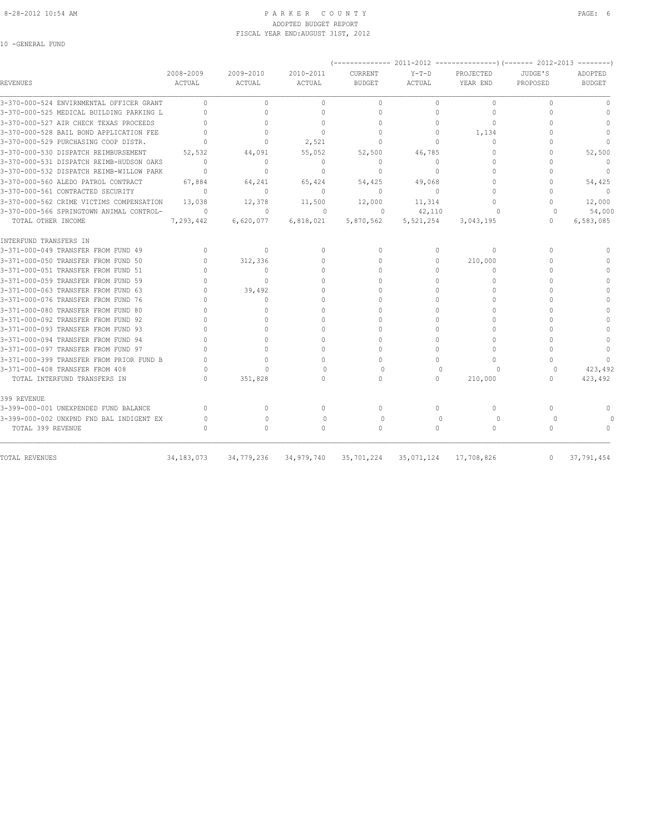10 -GENERAL FUND

#### 8-28-2012 10:54 AM PAGE: 6 PARKER COUNTY PAGE: 6 ADOPTED BUDGET REPORT FISCAL YEAR END:AUGUST 31ST, 2012

| REVENUES                                 | 2008-2009<br>ACTUAL              | 2009-2010<br>ACTUAL              | 2010-2011<br>ACTUAL | <b>CURRENT</b><br><b>BUDGET</b>  | $Y-T-D$<br>ACTUAL | PROJECTED<br>YEAR END | JUDGE'S<br>PROPOSED              | ADOPTED<br><b>BUDGET</b> |
|------------------------------------------|----------------------------------|----------------------------------|---------------------|----------------------------------|-------------------|-----------------------|----------------------------------|--------------------------|
| 3-370-000-524 ENVIRNMENTAL OFFICER GRANT | $\bigcap$                        | $\Omega$                         | $\Omega$            | $\circ$                          | $\Omega$          | $\circ$               | $\Omega$                         | $\Omega$                 |
| 3-370-000-525 MEDICAL BUILDING PARKING L | $\cap$                           | $\cap$                           | $\cap$              | $\Omega$                         | $\Omega$          | $\Omega$              | $\cap$                           | $\Omega$                 |
| 3-370-000-527 AIR CHECK TEXAS PROCEEDS   |                                  | $\Omega$                         | $\Omega$            | $\cap$                           | $\Omega$          | $\Omega$              |                                  | $\cap$                   |
| 3-370-000-528 BAIL BOND APPLICATION FEE  | $\Omega$                         | $\Omega$                         | $\Omega$            | $\begin{array}{c} \n\end{array}$ | $\circ$           | 1,134                 |                                  | $\Omega$                 |
| 3-370-000-529 PURCHASING COOP DISTR.     | $\Omega$                         | $\Omega$                         | 2,521               | $\Omega$                         | $\Omega$          | $\Omega$              |                                  | $\Omega$                 |
| 3-370-000-530 DISPATCH REIMBURSEMENT     | 52,532                           | 44,091                           | 55,052              | 52,500                           | 46,785            | 0                     | $\cap$                           | 52,500                   |
| 3-370-000-531 DISPATCH REIMB-HUDSON OAKS | $\begin{array}{c} \n\end{array}$ | $\mathbf{0}$                     | $\mathbf{0}$        | $\mathbf{0}$                     | $\circ$           | $\Omega$              | $\cap$                           | $\mathbf{0}$             |
| 3-370-000-532 DISPATCH REIMB-WILLOW PARK | $\Omega$                         | $\Omega$                         | $\Omega$            | $\Omega$                         | $\Omega$          | $\Omega$              | $\cap$                           | $\mathbf{0}$             |
| 3-370-000-560 ALEDO PATROL CONTRACT      | 67,884                           | 64,241                           | 65,424              | 54,425                           | 49,068            | $\Omega$              | $\Omega$                         | 54,425                   |
| 3-370-000-561 CONTRACTED SECURITY        | $\mathbf{0}$                     | $\begin{array}{c} \n\end{array}$ | $\Omega$            | $\mathbf{0}$                     | $\Omega$          | $\cap$                | n                                | $\Omega$                 |
| 3-370-000-562 CRIME VICTIMS COMPENSATION | 13,038                           | 12,378                           | 11,500              | 12,000                           | 11,314            | $\cap$                | $\Omega$                         | 12,000                   |
| 3-370-000-566 SPRINGTOWN ANIMAL CONTROL- | $\circ$                          | $\mathbf{0}$                     | $\circ$             | 0                                | 42,110            |                       | $\Omega$                         | 54,000                   |
| TOTAL OTHER INCOME                       | 7,293,442                        | 6,620,077                        | 6,818,021           | 5,870,562                        | 5,521,254         | 3,043,195             | $\begin{array}{c} \n\end{array}$ | 6,583,085                |
| INTERFUND TRANSFERS IN                   |                                  |                                  |                     |                                  |                   |                       |                                  |                          |
| 3-371-000-049 TRANSFER FROM FUND 49      | $\mathbf{0}$                     | $\mathbf{0}$                     | $\mathbf{0}$        | $\mathbf{0}$                     | $\circ$           | $\Omega$              | $\Omega$                         | $\cap$                   |
| 3-371-000-050 TRANSFER FROM FUND 50      | $\Omega$                         | 312,336                          | $\Omega$            | $\Omega$                         | $\Omega$          | 210,000               | $\cap$                           | $\cap$                   |
| 3-371-000-051 TRANSFER FROM FUND 51      |                                  | $\Omega$                         | $\Omega$            | $\Omega$                         | $\Omega$          | $\Omega$              |                                  |                          |
| 3-371-000-059 TRANSFER FROM FUND 59      |                                  | $\cap$                           | $\cap$              | $\cap$                           | $\cap$            | $\Omega$              |                                  |                          |
| 3-371-000-063 TRANSFER FROM FUND 63      | $\bigcap$                        | 39,492                           | $\cap$              | $\bigcap$                        | $\Omega$          | $\Omega$              |                                  | $\Omega$                 |
| 3-371-000-076 TRANSFER FROM FUND 76      |                                  | $\Omega$                         | $\Omega$            | $\cap$                           | $\Omega$          | $\Omega$              |                                  |                          |
| 3-371-000-080 TRANSFER FROM FUND 80      |                                  | $\Omega$                         | $\cap$              | $\cap$                           | $\Omega$          | $\Omega$              |                                  |                          |
| 3-371-000-092 TRANSFER FROM FUND 92      |                                  | $\bigcap$                        | $\cap$              | $\cap$                           | $\Omega$          | $\cap$                |                                  | $\Omega$                 |
| 3-371-000-093 TRANSFER FROM FUND 93      |                                  | $\cap$                           | $\cap$              | $\cap$                           | $\Omega$          | $\Omega$              |                                  |                          |
| 3-371-000-094 TRANSFER FROM FUND 94      | $\cap$                           | $\Omega$                         | $\cap$              | $\Omega$                         | $\Omega$          | $\Omega$              |                                  |                          |
| 3-371-000-097 TRANSFER FROM FUND 97      |                                  | $\Omega$                         | 0                   | $\Omega$                         | 0                 | $\Omega$              | $\cap$                           | $\mathbf{0}$             |
| 3-371-000-399 TRANSFER FROM PRIOR FUND B |                                  | $\Omega$                         | $\cap$              | $\Omega$                         | 0                 | $\Omega$              | $\cap$                           | $\bigcap$                |
| 3-371-000-408 TRANSFER FROM 408          | $\Omega$                         | $\cap$                           | $\Omega$            | $\bigcap$                        | $\cap$            | C                     | ∩                                | 423,492                  |
| TOTAL INTERFUND TRANSFERS IN             |                                  | 351,828                          | $\cap$              | $\Omega$                         | $\Omega$          | 210,000               | $\bigcap$                        | 423,492                  |
| 399 REVENUE                              |                                  |                                  |                     |                                  |                   |                       |                                  |                          |
| 3-399-000-001 UNEXPENDED FUND BALANCE    | $\begin{array}{c} \n\end{array}$ | $\Omega$                         | $\Omega$            | $\Omega$                         | $\Omega$          | $\Omega$              | $\Omega$                         | $\cap$                   |
| 3-399-000-002 UNXPND FND BAL INDIGENT EX | $\circ$                          | $\mathbf{0}$                     | $\circ$             | $\circ$                          | $\bigcap$         | $\circ$               | $\Omega$                         |                          |
| TOTAL 399 REVENUE                        | ∩                                | $\Omega$                         | $\Omega$            | $\Omega$                         | $\Omega$          | $\Omega$              | $\Omega$                         | $\Omega$                 |
|                                          |                                  |                                  |                     |                                  |                   |                       |                                  |                          |
| TOTAL REVENUES                           | 34, 183, 073                     | 34,779,236                       | 34,979,740          | 35,701,224                       | 35,071,124        | 17,708,826            | $\mathbf{0}$                     | 37,791,454               |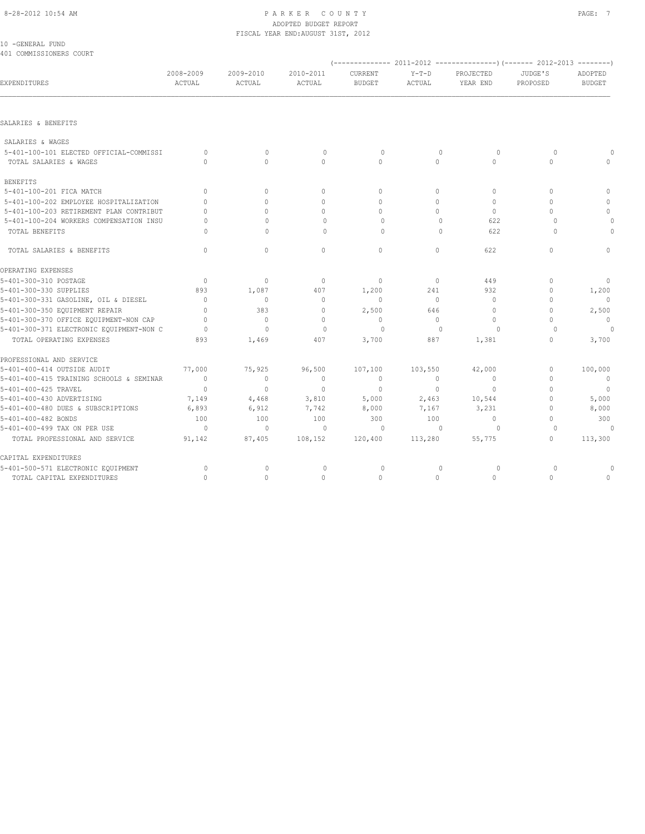## 8-28-2012 10:54 AM PAGE: 7 ADOPTED BUDGET REPORT FISCAL YEAR END:AUGUST 31ST, 2012

| 10 - GENERAL FUND       |  |  |
|-------------------------|--|--|
| 401 COMMISSIONERS COURT |  |  |

|                                          | (------------- 2011-2012 ---------------) (------- 2012-2013 --------) |                     |                     |                          |                                  |                       |                     |                          |  |  |  |
|------------------------------------------|------------------------------------------------------------------------|---------------------|---------------------|--------------------------|----------------------------------|-----------------------|---------------------|--------------------------|--|--|--|
| EXPENDITURES                             | 2008-2009<br>ACTUAL                                                    | 2009-2010<br>ACTUAL | 2010-2011<br>ACTUAL | CURRENT<br><b>BUDGET</b> | $Y-T-D$<br>ACTUAL                | PROJECTED<br>YEAR END | JUDGE'S<br>PROPOSED | ADOPTED<br><b>BUDGET</b> |  |  |  |
|                                          |                                                                        |                     |                     |                          |                                  |                       |                     |                          |  |  |  |
| SALARIES & BENEFITS                      |                                                                        |                     |                     |                          |                                  |                       |                     |                          |  |  |  |
| SALARIES & WAGES                         |                                                                        |                     |                     |                          |                                  |                       |                     |                          |  |  |  |
| 5-401-100-101 ELECTED OFFICIAL-COMMISSI  | $\Omega$                                                               | $\mathbf{0}$        | $\mathbf 0$         | 0                        | $\mathbf{0}$                     | $\circ$               | $\Omega$            | $\Omega$                 |  |  |  |
| TOTAL SALARIES & WAGES                   | $\Omega$                                                               | $\Omega$            | $\Omega$            | $\Omega$                 | $\Omega$                         | $\Omega$              | $\Omega$            | $\circ$                  |  |  |  |
| <b>BENEFITS</b>                          |                                                                        |                     |                     |                          |                                  |                       |                     |                          |  |  |  |
| 5-401-100-201 FICA MATCH                 | $\Omega$                                                               | $\Omega$            | $\Omega$            | $\circ$                  | $\Omega$                         | $\Omega$              | $\Omega$            | $\mathbf{0}$             |  |  |  |
| 5-401-100-202 EMPLOYEE HOSPITALIZATION   | $\Omega$                                                               | $\Omega$            | $\Omega$            | $\Omega$                 | $\Omega$                         | $\mathbf{0}$          | $\mathbf{0}$        | 0                        |  |  |  |
| 5-401-100-203 RETIREMENT PLAN CONTRIBUT  | $\Omega$                                                               | $\Omega$            | $\Omega$            | $\Omega$                 | $\Omega$                         | $\Omega$              | $\Omega$            | $\circ$                  |  |  |  |
| 5-401-100-204 WORKERS COMPENSATION INSU  | $\cap$                                                                 | $\mathbf{0}$        | $\circ$             | $\circ$                  | $\mathbf{0}$                     | 622                   | $\Omega$            | 0                        |  |  |  |
| TOTAL BENEFITS                           | $\Omega$                                                               | $\Omega$            | $\Omega$            | $\Omega$                 | $\begin{array}{c} \n\end{array}$ | 622                   | $\Omega$            | $\Omega$                 |  |  |  |
| TOTAL SALARIES & BENEFITS                | $\mathbf{0}$                                                           | $\mathbf{0}$        | $\mathbf{0}$        | $\circ$                  | $\Omega$                         | 622                   | $\mathbf{0}$        | $\mathbb O$              |  |  |  |
| OPERATING EXPENSES                       |                                                                        |                     |                     |                          |                                  |                       |                     |                          |  |  |  |
| 5-401-300-310 POSTAGE                    | $\mathbf{0}$                                                           | $\circ$             | $\mathbf 0$         | $\mathbf 0$              | $\circ$                          | 449                   | $\mathbf{0}$        | $\mathbf{0}$             |  |  |  |
| 5-401-300-330 SUPPLIES                   | 893                                                                    | 1,087               | 407                 | 1,200                    | 241                              | 932                   | $\mathbf{0}$        | 1,200                    |  |  |  |
| 5-401-300-331 GASOLINE, OIL & DIESEL     | $\mathbf{0}$                                                           | 0                   | $\mathbf 0$         | $\Omega$                 | $\circ$                          | $\mathbf{0}$          | $\mathbf{0}$        | $\mathbf{0}$             |  |  |  |
| 5-401-300-350 EQUIPMENT REPAIR           | $\mathbf{0}$                                                           | 383                 | $\mathbf{0}$        | 2,500                    | 646                              | $\circ$               | $\mathbf{0}$        | 2,500                    |  |  |  |
| 5-401-300-370 OFFICE EQUIPMENT-NON CAP   | $\Omega$                                                               | $\Omega$            | $\Omega$            | $\Omega$                 | $\circ$                          | $\circ$               | $\mathbf{0}$        | $\mathbf{0}$             |  |  |  |
| 5-401-300-371 ELECTRONIC EQUIPMENT-NON C | $\Omega$                                                               | $\Omega$            | $\mathbf{0}$        | $\circ$                  | $\mathbf{0}$                     | $\Omega$              | $\Omega$            |                          |  |  |  |
| TOTAL OPERATING EXPENSES                 | 893                                                                    | 1,469               | 407                 | 3,700                    | 887                              | 1,381                 | $\mathbf{0}$        | 3,700                    |  |  |  |
| PROFESSIONAL AND SERVICE                 |                                                                        |                     |                     |                          |                                  |                       |                     |                          |  |  |  |
| 5-401-400-414 OUTSIDE AUDIT              | 77,000                                                                 | 75,925              | 96,500              | 107,100                  | 103,550                          | 42,000                | $\mathbf{0}$        | 100,000                  |  |  |  |
| 5-401-400-415 TRAINING SCHOOLS & SEMINAR | $\overline{0}$                                                         | $\Omega$            | $\mathbf{0}$        | $\mathbf{0}$             | $\circ$                          | $\Omega$              | $\Omega$            | $\mathbf{0}$             |  |  |  |
| 5-401-400-425 TRAVEL                     | $\overline{0}$                                                         | $\mathbf{0}$        | $\mathbf{0}$        | $\mathbf{0}$             | $\overline{0}$                   | $\mathbf{0}$          | $\mathbf{0}$        | $\overline{0}$           |  |  |  |
| 5-401-400-430 ADVERTISING                | 7,149                                                                  | 4,468               | 3,810               | 5,000                    | 2,463                            | 10,544                | $\mathbf{0}$        | 5,000                    |  |  |  |
| 5-401-400-480 DUES & SUBSCRIPTIONS       | 6,893                                                                  | 6,912               | 7,742               | 8,000                    | 7,167                            | 3,231                 | $\Omega$            | 8,000                    |  |  |  |
| 5-401-400-482 BONDS                      | 100                                                                    | 100                 | 100                 | 300                      | 100                              | $\Omega$              | $\Omega$            | 300                      |  |  |  |
| 5-401-400-499 TAX ON PER USE             | $\bigcirc$                                                             | $\mathbf{0}$        | $\circ$             | $\Omega$                 | $\Omega$                         | $\Omega$              | $\Omega$            | - 0                      |  |  |  |
| TOTAL PROFESSIONAL AND SERVICE           | 91,142                                                                 | 87,405              | 108,152             | 120,400                  | 113,280                          | 55,775                | $\mathbf{0}$        | 113,300                  |  |  |  |
| CAPITAL EXPENDITURES                     |                                                                        |                     |                     |                          |                                  |                       |                     |                          |  |  |  |
| 5-401-500-571 ELECTRONIC EQUIPMENT       | 0                                                                      | $\mathbf 0$         | $\mathbf 0$         | 0                        | $\mathbf 0$                      | $\circ$               | 0                   | 0                        |  |  |  |
| TOTAL CAPITAL EXPENDITURES               | $\circ$                                                                | $\mathbf 0$         | $\mathbf 0$         | $\circ$                  | $\circ$                          | $\circ$               | $\mathbf{0}$        | $\mathbf 0$              |  |  |  |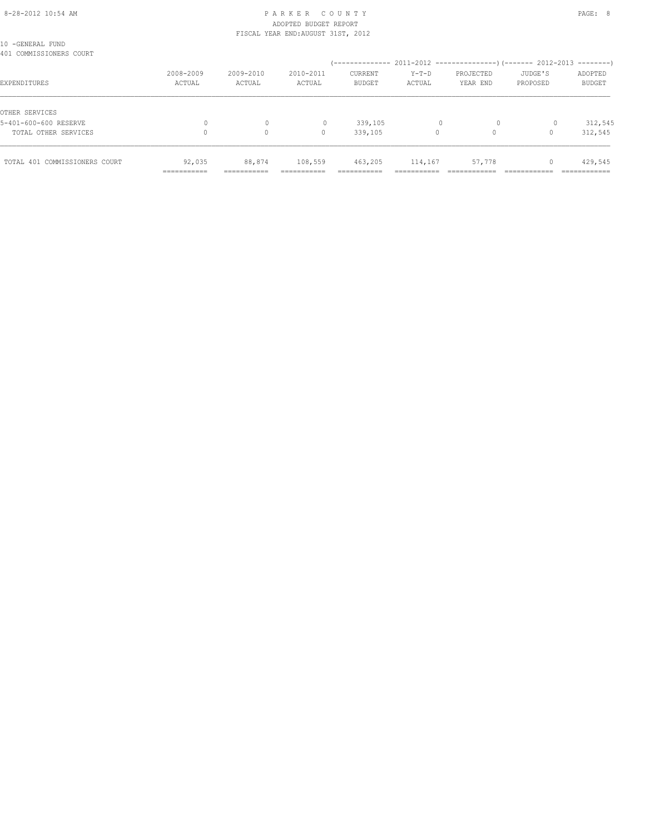### 8-28-2012 10:54 AM PAGE: 8 ADOPTED BUDGET REPORT FISCAL YEAR END:AUGUST 31ST, 2012

| TOTAL 401 COMMISSIONERS COURT               | 92,035<br>=========== | 88,874<br>--------<br>-------- | 108,559<br>_________ | 463,205<br>________<br>----------- | 114,167<br>------- | 57,778                |                     | 429,545<br>:==========   |
|---------------------------------------------|-----------------------|--------------------------------|----------------------|------------------------------------|--------------------|-----------------------|---------------------|--------------------------|
| TOTAL OTHER SERVICES                        |                       | $\circ$                        | 0                    | 339,105                            | 0                  |                       |                     | 312,545                  |
| OTHER SERVICES<br>5-401-600-600 RESERVE     |                       | 0                              | 0                    | 339,105                            |                    | $\circ$               | 0                   | 312,545                  |
| EXPENDITURES                                | 2008-2009<br>ACTUAL   | 2009-2010<br>ACTUAL            | 2010-2011<br>ACTUAL  | CURRENT<br><b>BUDGET</b>           | $Y-T-D$<br>ACTUAL  | PROJECTED<br>YEAR END | JUDGE'S<br>PROPOSED | ADOPTED<br><b>BUDGET</b> |
| 10 -GENERAL FUND<br>401 COMMISSIONERS COURT |                       |                                |                      |                                    |                    |                       |                     |                          |
|                                             |                       |                                |                      |                                    |                    |                       |                     |                          |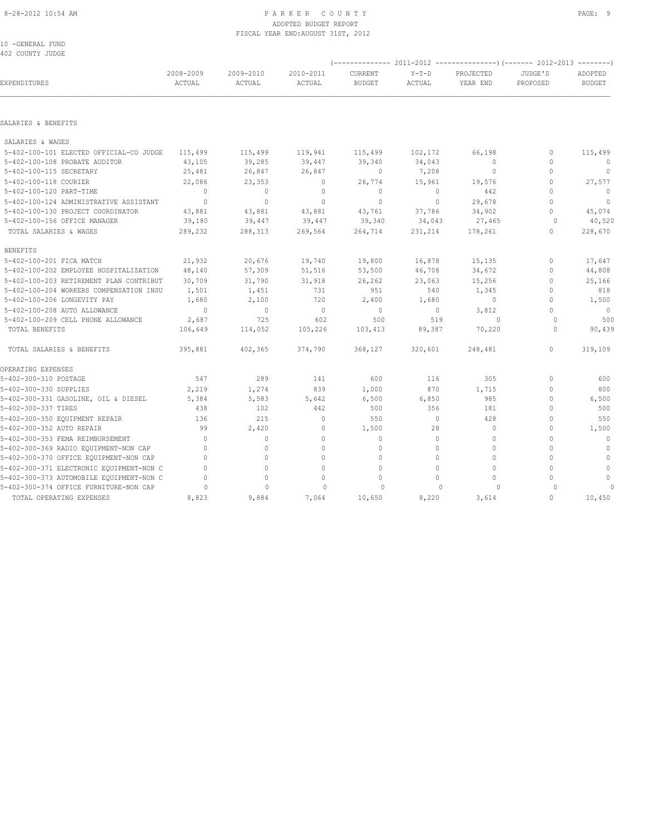#### 8-28-2012 10:54 AM PAGE: 9 ADOPTED BUDGET REPORT FISCAL YEAR END:AUGUST 31ST, 2012

| 10 | -GENERAL FUND    |  |
|----|------------------|--|
|    | 402 COUNTY JUDGE |  |

| EXPENDITURES                             | 2008-2009<br>ACTUAL              | 2009-2010<br>ACTUAL | 2010-2011<br>ACTUAL | CURRENT<br><b>BUDGET</b> | $Y-T-D$<br>ACTUAL | PROJECTED<br>YEAR END | JUDGE'S<br>PROPOSED | ADOPTED<br><b>BUDGET</b> |
|------------------------------------------|----------------------------------|---------------------|---------------------|--------------------------|-------------------|-----------------------|---------------------|--------------------------|
|                                          |                                  |                     |                     |                          |                   |                       |                     |                          |
| SALARIES & BENEFITS                      |                                  |                     |                     |                          |                   |                       |                     |                          |
| SALARIES & WAGES                         |                                  |                     |                     |                          |                   |                       |                     |                          |
| 5-402-100-101 ELECTED OFFICIAL-CO JUDGE  | 115,499                          | 115,499             | 119,941             | 115,499                  | 102,172           | 66,198                | 0                   | 115,499                  |
| 5-402-100-108 PROBATE AUDITOR            | 43,105                           | 39,285              | 39,447              | 39,340                   | 34,043            | $\circ$               | $\mathbf{0}$        | $\circ$                  |
| 5-402-100-115 SECRETARY                  | 25,481                           | 26,847              | 26,847              | $\mathbf{0}$             | 7,208             | $\mathbf 0$           | $\Omega$            | $\mathbf{0}$             |
| 5-402-100-118 COURIER                    | 22,086                           | 23,353              | $\circ$             | 26,774                   | 15,961            | 19,576                | 0                   | 27,577                   |
| 5-402-100-120 PART-TIME                  | $\Omega$                         | $\circ$             | $\mathbf{0}$        | $\mathbf{0}$             | $\circ$           | 442                   | $\cap$              | $\Omega$                 |
| 5-402-100-124 ADMINISTRATIVE ASSISTANT   | $\overline{0}$                   | $\mathbf{0}$        | $\mathbf{0}$        | $\mathbf{0}$             | $\circ$           | 29,678                | $\Omega$            | $\mathbf{0}$             |
| 5-402-100-130 PROJECT COORDINATOR        | 43,881                           | 43,881              | 43,881              | 43,761                   | 37,786            | 34,902                | $\Omega$            | 45,074                   |
| 5-402-100-156 OFFICE MANAGER             | 39,180                           | 39,447              | 39,447              | 39,340                   | 34,043            | 27,465                | $\Omega$            | 40,520                   |
| TOTAL SALARIES & WAGES                   | 289,232                          | 288,313             | 269,564             | 264,714                  | 231,214           | 178,261               | $\Omega$            | 228,670                  |
| <b>BENEFITS</b>                          |                                  |                     |                     |                          |                   |                       |                     |                          |
| 5-402-100-201 FICA MATCH                 | 21,932                           | 20,676              | 19,740              | 19,800                   | 16,878            | 15,135                | $\mathbf{0}$        | 17,647                   |
| 5-402-100-202 EMPLOYEE HOSPITALIZATION   | 48,140                           | 57,309              | 51,516              | 53,500                   | 46,708            | 34,672                | $\circ$             | 44,808                   |
| 5-402-100-203 RETIREMENT PLAN CONTRIBUT  | 30,709                           | 31,790              | 31,918              | 26,262                   | 23,063            | 15,256                | $\Omega$            | 25,166                   |
| 5-402-100-204 WORKERS COMPENSATION INSU  | 1,501                            | 1,451               | 731                 | 951                      | 540               | 1,345                 | 0                   | 818                      |
| 5-402-100-206 LONGEVITY PAY              | 1,680                            | 2,100               | 720                 | 2,400                    | 1,680             | $\circ$               | $\Omega$            | 1,500                    |
| 5-402-100-208 AUTO ALLOWANCE             | $\mathbf{0}$                     | $\circ$             | $\circ$             | $\circ$                  | $\circ$           | 3,812                 | $\Omega$            | $\mathbf{0}$             |
| 5-402-100-209 CELL PHONE ALLOWANCE       | 2,687                            | 725                 | 602                 | 500                      | 519               | $\Omega$              | $\Omega$            | 500                      |
| TOTAL BENEFITS                           | 106,649                          | 114,052             | 105,226             | 103,413                  | 89,387            | 70,220                | $\Omega$            | 90,439                   |
| TOTAL SALARIES & BENEFITS                | 395,881                          | 402,365             | 374,790             | 368,127                  | 320,601           | 248,481               | 0                   | 319,109                  |
| OPERATING EXPENSES                       |                                  |                     |                     |                          |                   |                       |                     |                          |
| 5-402-300-310 POSTAGE                    | 547                              | 289                 | 141                 | 600                      | 116               | 305                   | 0                   | 600                      |
| 5-402-300-330 SUPPLIES                   | 2,219                            | 1,274               | 839                 | 1,000                    | 870               | 1,715                 | 0                   | 800                      |
| 5-402-300-331 GASOLINE, OIL & DIESEL     | 5,384                            | 5,583               | 5,642               | 6,500                    | 6,850             | 985                   | 0                   | 6,500                    |
| 5-402-300-337 TIRES                      | 438                              | 102                 | 442                 | 500                      | 356               | 181                   | $\Omega$            | 500                      |
| 5-402-300-350 EQUIPMENT REPAIR           | 136                              | 215                 | $\mathbf{0}$        | 550                      | $\circ$           | 428                   | 0                   | 550                      |
| 5-402-300-352 AUTO REPAIR                | 99                               | 2,420               | $\mathbf{0}$        | 1,500                    | 28                | $\mathbf 0$           | $\Omega$            | 1,500                    |
| 5-402-300-353 FEMA REIMBURSEMENT         | $\Omega$                         | $\circ$             | $\mathbf{0}$        | $\mathbf{0}$             | $\Omega$          | $\mathbf 0$           | $\Omega$            | $\mathbf{0}$             |
| 5-402-300-369 RADIO EQUIPMENT-NON CAP    | $\Omega$                         | $\Omega$            | $\Omega$            | $\Omega$                 | $\Omega$          | $\Omega$              | $\Omega$            | $\mathbf{0}$             |
| 5-402-300-370 OFFICE EQUIPMENT-NON CAP   | $\Omega$                         | 0                   | $\Omega$            | $\circ$                  | $\Omega$          | $\Omega$              | $\Omega$            | $\mathbf{0}$             |
| 5-402-300-371 ELECTRONIC EQUIPMENT-NON C | $\cap$                           | $\Omega$            | $\Omega$            | $\Omega$                 | $\cap$            | $\Omega$              | $\Omega$            | $\Omega$                 |
| 5-402-300-373 AUTOMOBILE EQUIPMENT-NON C | $\begin{array}{c} \n\end{array}$ | 0                   | $\Omega$            | $\mathbf{0}$             | $\Omega$          | $\circ$               | $\cap$              | $\mathbf{0}$             |
| 5-402-300-374 OFFICE FURNITURE-NON CAP   | $\circ$                          | $\mathbf{0}$        | $\circ$             | $\circ$                  | 0                 | $\circ$               | $\Omega$            |                          |
| TOTAL OPERATING EXPENSES                 | 8,823                            | 9,884               | 7,064               | 10,650                   | 8,220             | 3,614                 | $\Omega$            | 10,450                   |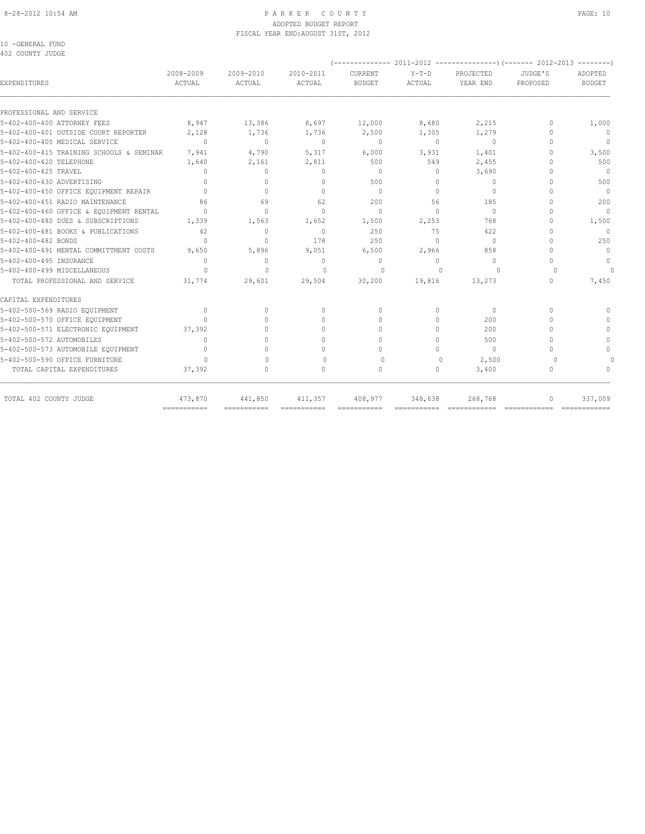#### 8-28-2012 10:54 AM PAGE: 10 ADOPTED BUDGET REPORT FISCAL YEAR END:AUGUST 31ST, 2012

10 -GENERAL FUND 402 COUNTY JUDGE

| <b>EXPENDITURES</b>                      | 2008-2009<br><b>ACTUAL</b>       | 2009-2010<br>ACTUAL | 2010-2011<br><b>ACTUAL</b>       | CURRENT<br><b>BUDGET</b> | $Y-T-D$<br><b>ACTUAL</b> | PROJECTED<br>YEAR END | JUDGE'S<br>PROPOSED | ADOPTED<br><b>BUDGET</b> |
|------------------------------------------|----------------------------------|---------------------|----------------------------------|--------------------------|--------------------------|-----------------------|---------------------|--------------------------|
| PROFESSIONAL AND SERVICE                 |                                  |                     |                                  |                          |                          |                       |                     |                          |
| 5-402-400-400 ATTORNEY FEES              | 8,947                            | 13,386              | 8,697                            | 12,000                   | 8,680                    | 2,215                 | $\mathbf{0}$        | 1,000                    |
| 5-402-400-401 OUTSIDE COURT REPORTER     | 2,128                            | 1,736               | 1,736                            | 2,500                    | 1,305                    | 1,279                 | $\Omega$            | $\mathbf{0}$             |
| 5-402-400-405 MEDICAL SERVICE            | $\begin{array}{c} \n\end{array}$ | $\mathbf{0}$        | $\mathbf{0}$                     | $\mathbf{0}$             | $\circ$                  | $\mathbf{0}$          | $\cap$              | $\mathbf{0}$             |
| 5-402-400-415 TRAINING SCHOOLS & SEMINAR | 7,941                            | 4,790               | 5,317                            | 6,000                    | 3,931                    | 1,401                 | n                   | 3,500                    |
| 5-402-400-420 TELEPHONE                  | 1,640                            | 2,161               | 2,811                            | 500                      | 549                      | 2,455                 | n                   | 500                      |
| 5-402-400-425 TRAVEL                     | 0                                | $\mathbf{0}$        | $\mathbf{0}$                     | $\mathbf{0}$             | 0                        | 3,690                 | n                   | $\Omega$                 |
| 5-402-400-430 ADVERTISING                | 0                                | $\Omega$            | $\Omega$                         | 500                      | $\Omega$                 | $\Omega$              | $\cap$              | 500                      |
| 5-402-400-450 OFFICE EQUIPMENT REPAIR    | $\Omega$                         | $\Omega$            | $\Omega$                         | $\Omega$                 | $\Omega$                 | $\Omega$              | $\cap$              | $\Omega$                 |
| 5-402-400-451 RADIO MAINTENANCE          | 86                               | 69                  | 62                               | 200                      | 56                       | 185                   | $\cap$              | 200                      |
| 5-402-400-460 OFFICE & EQUIPMENT RENTAL  | $\Omega$                         | $\Omega$            | $\Omega$                         | $\Omega$                 | $\Omega$                 | $\Omega$              | $\cap$              | $\Omega$                 |
| 5-402-400-480 DUES & SUBSCRIPTIONS       | 1,339                            | 1,563               | 1,652                            | 1,500                    | 2,253                    | 768                   | $\cap$              | 1,500                    |
| 5-402-400-481 BOOKS & PUBLICATIONS       | 42                               | $\Omega$            | $\Omega$                         | 2.50                     | 75                       | 422                   | $\cap$              | $\Omega$                 |
| 5-402-400-482 BONDS                      | 0                                | $\Omega$            | 178                              | 250                      | $\Omega$                 | $\mathbf{0}$          | $\cap$              | 250                      |
| 5-402-400-491 MENTAL COMMITTMENT COSTS   | 9,650                            | 5,896               | 9,051                            | 6,500                    | 2,966                    | 858                   | $\cap$              | $\mathbf{0}$             |
| 5-402-400-495 INSURANCE                  | 0                                | $\mathbb O$         | $\mathbf{0}$                     | $\mathbf{0}$             | $\circ$                  | $\circ$               | $\cap$              | $\mathbf{0}$             |
| 5-402-400-499 MISCELLANEOUS              | $\Omega$                         | $\Omega$            | $\Omega$                         | $\Omega$                 | $\cap$                   | $\Omega$              | $\Omega$            | $\Omega$                 |
| TOTAL PROFESSIONAL AND SERVICE           | 31,774                           | 29,601              | 29,504                           | 30,200                   | 19,816                   | 13,273                | $\Omega$            | 7,450                    |
| CAPITAL EXPENDITURES                     |                                  |                     |                                  |                          |                          |                       |                     |                          |
| 5-402-500-569 RADIO EQUIPMENT            | $\begin{array}{c} \n\end{array}$ | $\Omega$            | $\begin{array}{c} \n\end{array}$ | $\Omega$                 | $\Omega$                 | $\mathbf{0}$          | $\bigcap$           |                          |
| 5-402-500-570 OFFICE EQUIPMENT           | $\cap$                           |                     | $\bigcap$                        | $\Omega$                 | $\cap$                   | 200                   | ∩                   |                          |
| 5-402-500-571 ELECTRONIC EQUIPMENT       | 37,392                           |                     | $\cap$                           | $\cap$                   | 0                        | 200                   | ∩                   |                          |
| 5-402-500-572 AUTOMOBILES                | 0                                |                     | $\bigcap$                        | $\cap$                   | 0                        | 500                   | $\cap$              | $\cap$                   |
| 5-402-500-573 AUTOMOBILE EQUIPMENT       | 0                                | $\bigcap$           | $\Omega$                         | 0                        | 0                        | $\circ$               | $\cap$              | $\Omega$                 |
| 5-402-500-590 OFFICE FURNITURE           | $\bigcap$                        | $\bigcap$           | $\bigcap$                        | $\Omega$                 | $\mathbf{0}$             | 2,500                 | $\cap$              |                          |
| TOTAL CAPITAL EXPENDITURES               | 37,392                           | $\circ$             | $\mathbf{0}$                     | $\mathbf{0}$             | 0                        | 3,400                 | $\mathbf{0}$        | $\cap$                   |
| TOTAL 402 COUNTY JUDGE                   | 473,870                          | 441,850             | 411,357                          | 408,977                  | 348,638                  | 268,768               | $\mathbf{0}$        | 337,009                  |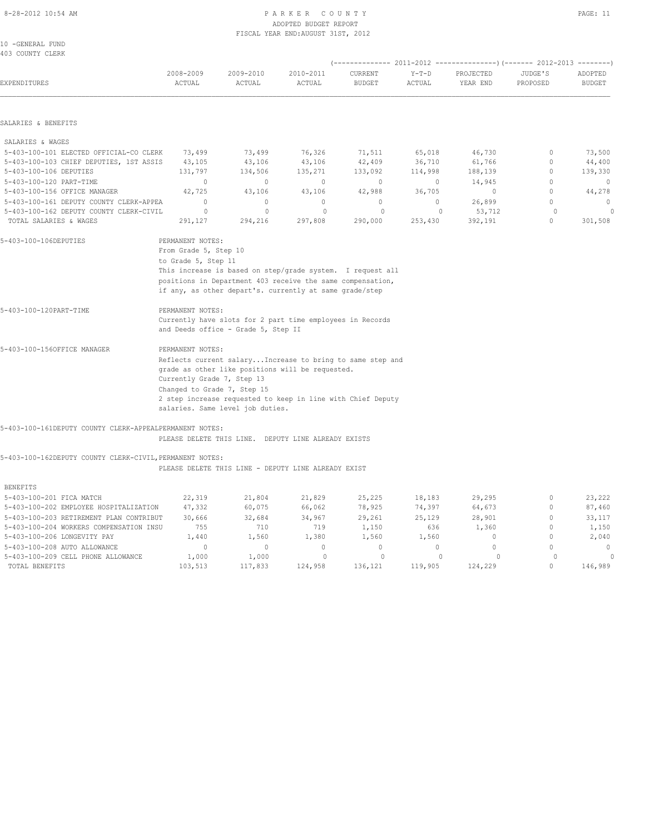| 8-28-2012 10:54 AM                             |                                                                  |                                                                                                                       | PARKER COUNTY<br>ADOPTED BUDGET REPORT<br>FISCAL YEAR END: AUGUST 31ST, 2012 |                          |                   |                       |                     | PAGE: 11                 |
|------------------------------------------------|------------------------------------------------------------------|-----------------------------------------------------------------------------------------------------------------------|------------------------------------------------------------------------------|--------------------------|-------------------|-----------------------|---------------------|--------------------------|
| 10 -GENERAL FUND<br>403 COUNTY CLERK           |                                                                  |                                                                                                                       |                                                                              |                          |                   |                       |                     |                          |
| <b>EXPENDITURES</b>                            | 2008-2009<br>ACTUAL                                              | 2009-2010<br>ACTUAL                                                                                                   | 2010-2011<br>ACTUAL                                                          | CURRENT<br><b>BUDGET</b> | $Y-T-D$<br>ACTUAL | PROJECTED<br>YEAR END | JUDGE'S<br>PROPOSED | ADOPTED<br><b>BUDGET</b> |
| SALARIES & BENEFITS                            |                                                                  |                                                                                                                       |                                                                              |                          |                   |                       |                     |                          |
| SALARIES & WAGES                               |                                                                  |                                                                                                                       |                                                                              |                          |                   |                       |                     |                          |
| 5-403-100-101 ELECTED OFFICIAL-CO CLERK 73,499 |                                                                  |                                                                                                                       | 73,499 76,326 71,511                                                         |                          | 65,018            | 46,730                | $\circ$             | 73,500                   |
| 5-403-100-103 CHIEF DEPUTIES, 1ST ASSIS 43,105 |                                                                  | 43,106                                                                                                                | 43,106 42,409                                                                |                          | 36,710 61,766     |                       | $\Omega$            | 44,400                   |
| 5-403-100-106 DEPUTIES                         | 131,797                                                          | 134,506                                                                                                               | 135, 271                                                                     | 133,092                  | 114,998           | 188,139               | $\Omega$            | 139,330                  |
| 5-403-100-120 PART-TIME                        | $\circ$                                                          | $\Omega$                                                                                                              | $\overline{0}$                                                               | $\Omega$                 | $\overline{0}$    | 14,945                | $\Omega$            | $\overline{0}$           |
| 5-403-100-156 OFFICE MANAGER                   | 42,725                                                           | 43,106                                                                                                                | 43,106                                                                       | 42,988                   | 36,705            | $\circ$               | $\circ$             | 44,278                   |
| 5-403-100-161 DEPUTY COUNTY CLERK-APPEA        | $\circ$                                                          | $\circ$                                                                                                               | $\mathbf{0}$                                                                 | $\circ$                  | $\circ$           | 26,899                | $\circ$             | $\circ$                  |
| 5-403-100-162 DEPUTY COUNTY CLERK-CIVIL        | $\circ$                                                          | $\Omega$                                                                                                              | $\Omega$                                                                     | $\Omega$                 | $\overline{0}$    | 53,712                | $\circ$             | $\circ$                  |
| TOTAL SALARIES & WAGES                         | 291,127                                                          | 294,216                                                                                                               | 297,808                                                                      | 290,000                  | 253,430           | 392,191               | $\mathbf{0}$        | 301,508                  |
| 5-403-100-106DEPUTIES                          | PERMANENT NOTES:<br>From Grade 5, Step 10<br>to Grade 5, Step 11 |                                                                                                                       |                                                                              |                          |                   |                       |                     |                          |
|                                                |                                                                  | This increase is based on step/grade system. I request all                                                            |                                                                              |                          |                   |                       |                     |                          |
|                                                |                                                                  | positions in Department 403 receive the same compensation,<br>if any, as other depart's. currently at same grade/step |                                                                              |                          |                   |                       |                     |                          |
| 5-403-100-120PART-TIME                         | PERMANENT NOTES:                                                 |                                                                                                                       |                                                                              |                          |                   |                       |                     |                          |
|                                                |                                                                  | Currently have slots for 2 part time employees in Records<br>and Deeds office - Grade 5, Step II                      |                                                                              |                          |                   |                       |                     |                          |
| 5-403-100-1560FFICE MANAGER                    | PERMANENT NOTES:                                                 |                                                                                                                       |                                                                              |                          |                   |                       |                     |                          |
|                                                |                                                                  | Reflects current salary Increase to bring to same step and                                                            |                                                                              |                          |                   |                       |                     |                          |

| 3-403-100-136055105 MANAGER | FERMANENT NOTES:                                            |  |  |  |  |  |  |
|-----------------------------|-------------------------------------------------------------|--|--|--|--|--|--|
|                             | Reflects current salary Increase to bring to same step and  |  |  |  |  |  |  |
|                             | grade as other like positions will be requested.            |  |  |  |  |  |  |
|                             | Currently Grade 7, Step 13                                  |  |  |  |  |  |  |
|                             | Changed to Grade 7, Step 15                                 |  |  |  |  |  |  |
|                             | 2 step increase requested to keep in line with Chief Deputy |  |  |  |  |  |  |
|                             | salaries. Same level job duties.                            |  |  |  |  |  |  |
|                             |                                                             |  |  |  |  |  |  |

5-403-100-161DEPUTY COUNTY CLERK-APPEALPERMANENT NOTES:

PLEASE DELETE THIS LINE. DEPUTY LINE ALREADY EXISTS

5-403-100-162DEPUTY COUNTY CLERK-CIVIL,PERMANENT NOTES:

PLEASE DELETE THIS LINE - DEPUTY LINE ALREADY EXIST

| <b>BENEFITS</b>                         |         |         |          |          |         |         |          |
|-----------------------------------------|---------|---------|----------|----------|---------|---------|----------|
| 5-403-100-201 FICA MATCH                | 22,319  | 21,804  | 21,829   | 25,225   | 18,183  | 29,295  | 23,222   |
| 5-403-100-202 EMPLOYEE HOSPITALIZATION  | 47,332  | 60,075  | 66,062   | 78,925   | 74,397  | 64,673  | 87,460   |
| 5-403-100-203 RETIREMENT PLAN CONTRIBUT | 30,666  | 32,684  | 34,967   | 29,261   | 25,129  | 28,901  | 33,117   |
| 5-403-100-204 WORKERS COMPENSATION INSU | 755     | 710     | 719      | 1,150    | 636     | 1,360   | 1,150    |
| 5-403-100-206 LONGEVITY PAY             | 1,440   | 1,560   | 1,380    | 1,560    | 1,560   |         | 2,040    |
| 5-403-100-208 AUTO ALLOWANCE            |         |         | $\Omega$ | $\Omega$ |         |         | $\Omega$ |
| 5-403-100-209 CELL PHONE ALLOWANCE      | 1,000   | 1,000   |          |          |         |         |          |
| TOTAL BENEFITS                          | 103,513 | 117,833 | 124,958  | 136,121  | 119,905 | 124,229 | 146,989  |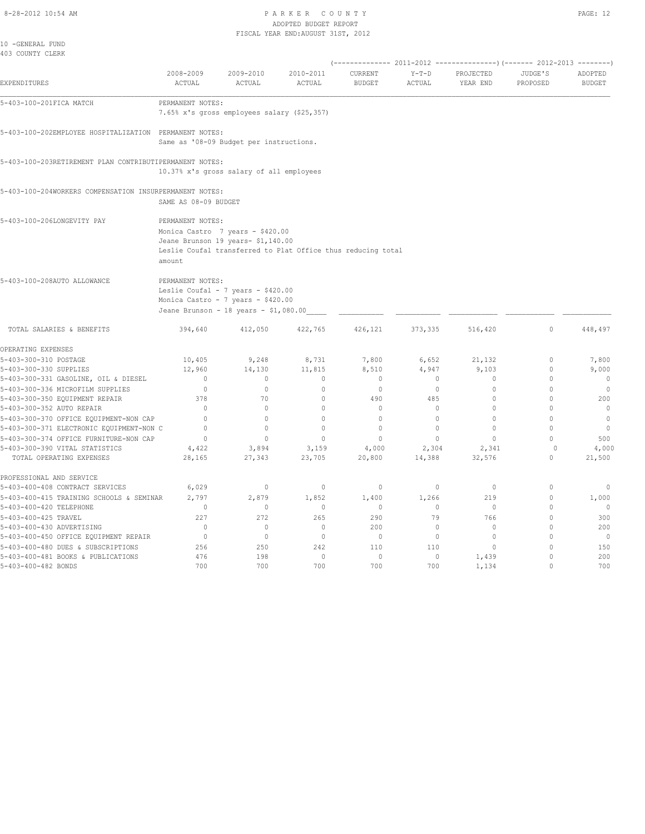#### 8-28-2012 10:54 AM P A R K E R C O U N T Y ADOPTED BUDGET REPORT FISCAL YEAR END:AUGUST 31ST, 2012

| 10 -GENERAL FUND<br>403 COUNTY CLERK                                               |                            |                                                                                                                                        |                              |                          |                   |                       |                          |                          |
|------------------------------------------------------------------------------------|----------------------------|----------------------------------------------------------------------------------------------------------------------------------------|------------------------------|--------------------------|-------------------|-----------------------|--------------------------|--------------------------|
| EXPENDITURES                                                                       | 2008-2009<br>ACTUAL        | 2009-2010<br>ACTUAL                                                                                                                    | 2010-2011<br><b>ACTUAL</b>   | CURRENT<br><b>BUDGET</b> | $Y-T-D$<br>ACTUAL | PROJECTED<br>YEAR END | JUDGE'S<br>PROPOSED      | ADOPTED<br><b>BUDGET</b> |
| 5-403-100-201FICA MATCH                                                            | PERMANENT NOTES:           | 7.65% x's gross employees salary (\$25,357)                                                                                            |                              |                          |                   |                       |                          |                          |
| 5-403-100-202EMPLOYEE HOSPITALIZATION PERMANENT NOTES:                             |                            | Same as '08-09 Budget per instructions.                                                                                                |                              |                          |                   |                       |                          |                          |
| 5-403-100-203RETIREMENT PLAN CONTRIBUTIPERMANENT NOTES:                            |                            | 10.37% x's gross salary of all employees                                                                                               |                              |                          |                   |                       |                          |                          |
| 5-403-100-204WORKERS COMPENSATION INSURPERMANENT NOTES:                            | SAME AS 08-09 BUDGET       |                                                                                                                                        |                              |                          |                   |                       |                          |                          |
| 5-403-100-206LONGEVITY PAY                                                         | PERMANENT NOTES:<br>amount | Monica Castro 7 years - \$420.00<br>Jeane Brunson 19 years- \$1,140.00<br>Leslie Coufal transferred to Plat Office thus reducing total |                              |                          |                   |                       |                          |                          |
| 5-403-100-208AUTO ALLOWANCE                                                        | PERMANENT NOTES:           | Leslie Coufal - 7 years - \$420.00<br>Monica Castro - 7 years - \$420.00<br>Jeane Brunson - 18 years - \$1,080.00                      |                              |                          |                   |                       |                          |                          |
| TOTAL SALARIES & BENEFITS                                                          | 394,640                    | 412,050                                                                                                                                | 422,765                      | 426,121                  | 373, 335          | 516,420               | $\Omega$                 | 448,497                  |
| OPERATING EXPENSES                                                                 |                            |                                                                                                                                        |                              |                          |                   |                       |                          |                          |
| 5-403-300-310 POSTAGE                                                              | 10,405                     | 9,248                                                                                                                                  | 8,731                        | 7,800                    | 6,652             | 21,132                | $\Omega$                 | 7,800                    |
| 5-403-300-330 SUPPLIES                                                             | 12,960                     | 14,130                                                                                                                                 | 11,815                       | 8,510                    | 4,947             | 9,103                 | $\Omega$                 | 9,000                    |
| 5-403-300-331 GASOLINE, OIL & DIESEL                                               | $\mathbf{0}$               | $\mathbf{0}$                                                                                                                           | $\mathbf{0}$                 | $\mathbf{0}$             | $\circ$           | $\mathbf 0$           | $\Omega$                 | $\mathbb O$              |
| 5-403-300-336 MICROFILM SUPPLIES                                                   | $\mathbb O$                | $\mathbb O$                                                                                                                            | $\mathbb O$                  | $\mathbb O$              | $\circ$           | $\Omega$              | $\Omega$                 | $\circ$                  |
| 5-403-300-350 EQUIPMENT REPAIR                                                     | 378<br>$\Omega$            | 70<br>$\Omega$                                                                                                                         | $\mathbf{0}$<br>$\mathbf{0}$ | 490                      | 485<br>$\Omega$   | $\Omega$<br>$\Omega$  | $\Omega$<br>$\Omega$     | 200<br>$\circ$           |
| 5-403-300-352 AUTO REPAIR                                                          | $\Omega$                   | $\Omega$                                                                                                                               | $\mathbf{0}$                 | $\mathbf{0}$<br>$\Omega$ | $\Omega$          | $\Omega$              | $\Omega$                 | $\mathbf{0}$             |
| 5-403-300-370 OFFICE EQUIPMENT-NON CAP<br>5-403-300-371 ELECTRONIC EQUIPMENT-NON C | $\Omega$                   | $\Omega$                                                                                                                               | $\Omega$                     | $\Omega$                 | $\Omega$          | $\Omega$              | $\Omega$                 | $\circ$                  |
| 5-403-300-374 OFFICE FURNITURE-NON CAP                                             | $\mathbf{0}$               | $\mathbf{0}$                                                                                                                           | $\mathbf{0}$                 | $\mathbf{0}$             | $\circ$           | $\mathbf 0$           | $\cap$                   | 500                      |
| 5-403-300-390 VITAL STATISTICS                                                     | 4,422                      | 3,894                                                                                                                                  | 3,159                        | 4,000                    | 2,304             | 2,341                 | $\Omega$                 | 4,000                    |
| TOTAL OPERATING EXPENSES                                                           | 28,165                     | 27,343                                                                                                                                 | 23,705                       | 20,800                   | 14,388            | 32,576                | $\Omega$                 | 21,500                   |
| PROFESSIONAL AND SERVICE                                                           |                            |                                                                                                                                        |                              |                          |                   |                       |                          |                          |
| 5-403-400-408 CONTRACT SERVICES                                                    | 6,029                      | $\circ$                                                                                                                                | $\circ$                      | $\mathbb O$              | $\circ$           | $\circ$               | $\Omega$                 | $\circ$                  |
| 5-403-400-415 TRAINING SCHOOLS & SEMINAR                                           | 2,797                      | 2,879                                                                                                                                  | 1,852                        | 1,400                    | 1,266             | 219                   | $\mathbf 0$              | 1,000                    |
| 5-403-400-420 TELEPHONE                                                            | $\bigcirc$                 | $\Omega$                                                                                                                               | $\Omega$                     | $\Omega$                 | $\Omega$          | $\Omega$              | $\Omega$                 | $\circ$                  |
| 5-403-400-425 TRAVEL                                                               | 227                        | 272                                                                                                                                    | 265                          | 290                      | 79                | 766                   | $\Omega$                 | 300                      |
| 5-403-400-430 ADVERTISING                                                          | $\mathbb O$                | $\circ$                                                                                                                                | $\mathbb O$                  | 200                      | $\circ$           | $\mathbf{0}$          | $\cap$                   | 200                      |
| 5-403-400-450 OFFICE EQUIPMENT REPAIR                                              | $\mathbb O$                | $\circ$                                                                                                                                | $\mathbf{0}$                 | $\mathbb O$              | $\circ$           | $\mathbb O$           | $\cap$                   | $\overline{0}$           |
| 5-403-400-480 DUES & SUBSCRIPTIONS<br>5-403-400-481 BOOKS & PUBLICATIONS           | 256<br>476                 | 250<br>198                                                                                                                             | 242<br>$\mathbb O$           | 110<br>$\circ$           | 110<br>0          | $\Omega$<br>1,439     | $\Omega$<br>$\mathbf{0}$ | 150<br>200               |
| 5-403-400-482 BONDS                                                                | 700                        | 700                                                                                                                                    | 700                          | 700                      | 700               | 1,134                 | $\mathbf{0}$             | 700                      |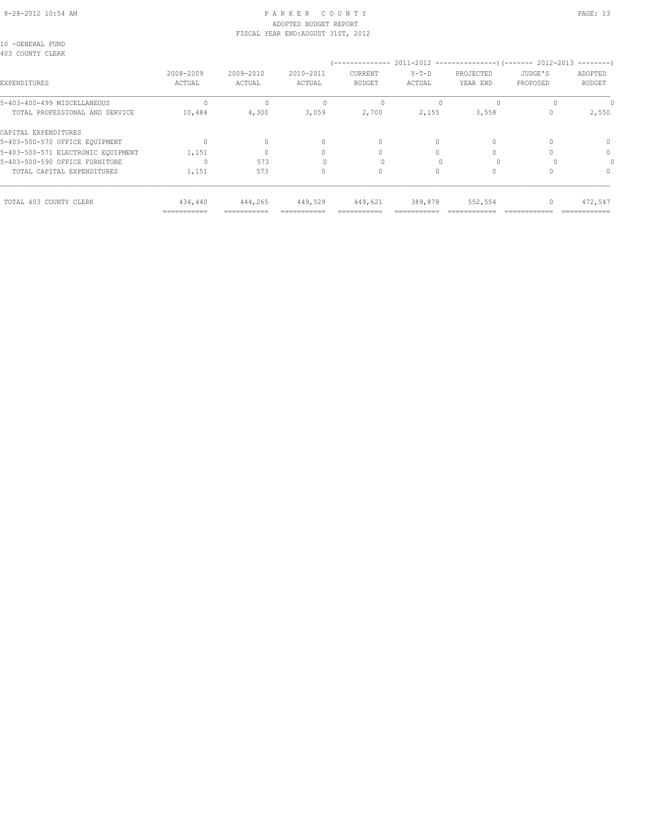#### 8-28-2012 10:54 AM P A R K E R C O U N T Y PAGE: 13 ADOPTED BUDGET REPORT FISCAL YEAR END:AUGUST 31ST, 2012

10 -GENERAL FUND 403 COUNTY CLERK

|                                    |                     |                     |                     | -------------                   |                   | $2011 - 2012$ ----------------)(------- 2012-2013 |                     | ---------                |
|------------------------------------|---------------------|---------------------|---------------------|---------------------------------|-------------------|---------------------------------------------------|---------------------|--------------------------|
| <b>EXPENDITURES</b>                | 2008-2009<br>ACTUAL | 2009-2010<br>ACTUAL | 2010-2011<br>ACTUAL | <b>CURRENT</b><br><b>BUDGET</b> | $Y-T-D$<br>ACTUAL | PROJECTED<br>YEAR END                             | JUDGE'S<br>PROPOSED | ADOPTED<br><b>BUDGET</b> |
| 5-403-400-499 MISCELLANEOUS        |                     |                     |                     |                                 |                   | $\Omega$                                          |                     |                          |
| TOTAL PROFESSIONAL AND SERVICE     | 10,484              | 4,300               | 3,059               | 2,700                           | 2,155             | 3,558                                             |                     | 2,550                    |
| CAPITAL EXPENDITURES               |                     |                     |                     |                                 |                   |                                                   |                     |                          |
| 5-403-500-570 OFFICE EQUIPMENT     |                     | $\Omega$            |                     | 0                               | 0                 | $\Omega$                                          |                     | $\Omega$                 |
| 5-403-500-571 ELECTRONIC EQUIPMENT | 1,151               |                     |                     |                                 |                   |                                                   |                     | 0                        |
| 5-403-500-590 OFFICE FURNITURE     |                     | 573                 |                     |                                 |                   |                                                   |                     |                          |
| TOTAL CAPITAL EXPENDITURES         | 1,151               | 573                 |                     | 0                               |                   | $\Omega$                                          |                     | $\Omega$                 |
| TOTAL 403 COUNTY CLERK             | 434,440             | 444,265             | 449,529             | 449,621                         | 389,878           | 552,554                                           |                     | 472,547                  |
|                                    | ------------        |                     |                     |                                 |                   |                                                   |                     |                          |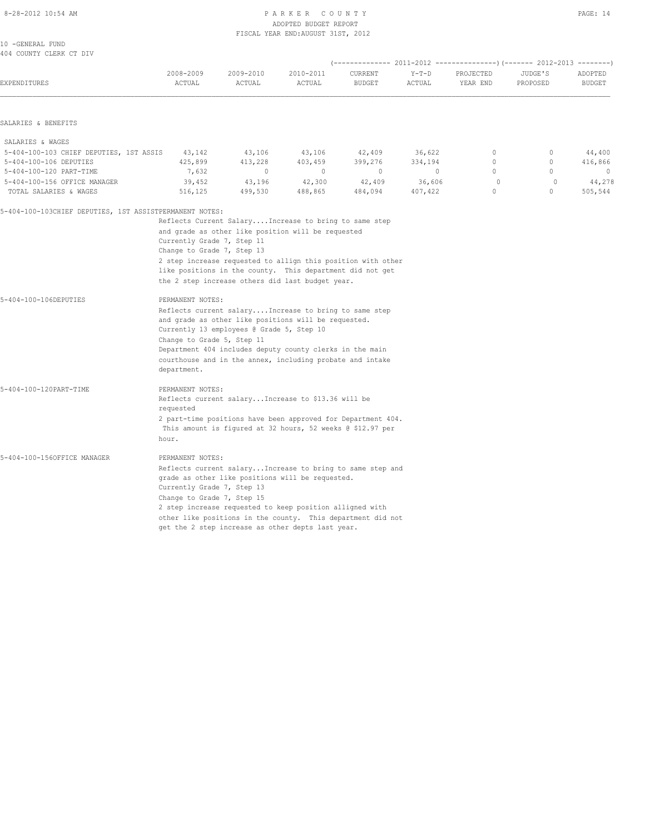#### 8-28-2012 10:54 AM PAGE: 14 ADOPTED BUDGET REPORT FISCAL YEAR END:AUGUST 31ST, 2012

| 10 -GENERAL FUND        |  |  |  |
|-------------------------|--|--|--|
| 404 COUNTY CLERK CT DIV |  |  |  |

| EXPENDITURES                                            | 2008-2009<br>ACTUAL                                                                                                                                                                                                         | 2009-2010<br>ACTUAL                       | 2010-2011<br>ACTUAL                                                                                                                                                                                                                                                                            | CURRENT<br><b>BUDGET</b> | $Y-T-D$<br>ACTUAL | PROJECTED<br>YEAR END      | JUDGE'S<br>PROPOSED      | ADOPTED<br><b>BUDGET</b> |  |
|---------------------------------------------------------|-----------------------------------------------------------------------------------------------------------------------------------------------------------------------------------------------------------------------------|-------------------------------------------|------------------------------------------------------------------------------------------------------------------------------------------------------------------------------------------------------------------------------------------------------------------------------------------------|--------------------------|-------------------|----------------------------|--------------------------|--------------------------|--|
| SALARIES & BENEFITS                                     |                                                                                                                                                                                                                             |                                           |                                                                                                                                                                                                                                                                                                |                          |                   |                            |                          |                          |  |
|                                                         |                                                                                                                                                                                                                             |                                           |                                                                                                                                                                                                                                                                                                |                          |                   |                            |                          |                          |  |
| SALARIES & WAGES                                        |                                                                                                                                                                                                                             |                                           |                                                                                                                                                                                                                                                                                                |                          |                   |                            |                          |                          |  |
| 5-404-100-103 CHIEF DEPUTIES, 1ST ASSIS                 | 43,142                                                                                                                                                                                                                      | 43,106                                    | 43,106                                                                                                                                                                                                                                                                                         | 42,409                   | 36,622            | $\circ$                    | $\circ$                  | 44,400                   |  |
| 5-404-100-106 DEPUTIES                                  | 425,899                                                                                                                                                                                                                     | 413,228                                   | 403,459                                                                                                                                                                                                                                                                                        | 399,276                  | 334,194           | $\circ$                    | $\mathbf 0$              | 416,866                  |  |
| 5-404-100-120 PART-TIME                                 | 7,632                                                                                                                                                                                                                       | $\circ$                                   | $\circ$                                                                                                                                                                                                                                                                                        | $\mathbf{0}$             | $\circ$           | $\Omega$                   | $\Omega$                 | $\mathbf{0}$             |  |
| 5-404-100-156 OFFICE MANAGER<br>TOTAL SALARIES & WAGES  | 39,452<br>516,125                                                                                                                                                                                                           | 43,196<br>499,530                         | 42,300<br>488,865                                                                                                                                                                                                                                                                              | 42,409<br>484,094        | 36,606<br>407,422 | $\bigcirc$<br>$\mathbf{0}$ | $\Omega$<br>$\mathbf{0}$ | 44,278<br>505,544        |  |
| 5-404-100-103CHIEF DEPUTIES, 1ST ASSISTPERMANENT NOTES: |                                                                                                                                                                                                                             |                                           | Reflects Current Salary Increase to bring to same step                                                                                                                                                                                                                                         |                          |                   |                            |                          |                          |  |
|                                                         | Currently Grade 7, Step 11<br>Change to Grade 7, Step 13                                                                                                                                                                    |                                           | and grade as other like position will be requested<br>2 step increase requested to allign this position with other<br>like positions in the county. This department did not get<br>the 2 step increase others did last budget year.                                                            |                          |                   |                            |                          |                          |  |
| 5-404-100-106DEPUTIES                                   | PERMANENT NOTES:<br>Change to Grade 5, Step 11<br>department.                                                                                                                                                               | Currently 13 employees @ Grade 5, Step 10 | Reflects current salary Increase to bring to same step<br>and grade as other like positions will be requested.<br>Department 404 includes deputy county clerks in the main<br>courthouse and in the annex, including probate and intake                                                        |                          |                   |                            |                          |                          |  |
| 5-404-100-120PART-TIME                                  | PERMANENT NOTES:<br>Reflects current salary Increase to \$13.36 will be<br>requested<br>2 part-time positions have been approved for Department 404.<br>This amount is figured at 32 hours, 52 weeks @ \$12.97 per<br>hour. |                                           |                                                                                                                                                                                                                                                                                                |                          |                   |                            |                          |                          |  |
| 5-404-100-156OFFICE MANAGER                             | PERMANENT NOTES:<br>Currently Grade 7, Step 13<br>Change to Grade 7, Step 15                                                                                                                                                |                                           | Reflects current salary Increase to bring to same step and<br>grade as other like positions will be requested.<br>2 step increase requested to keep position alligned with<br>other like positions in the county. This department did not<br>get the 2 step increase as other depts last year. |                          |                   |                            |                          |                          |  |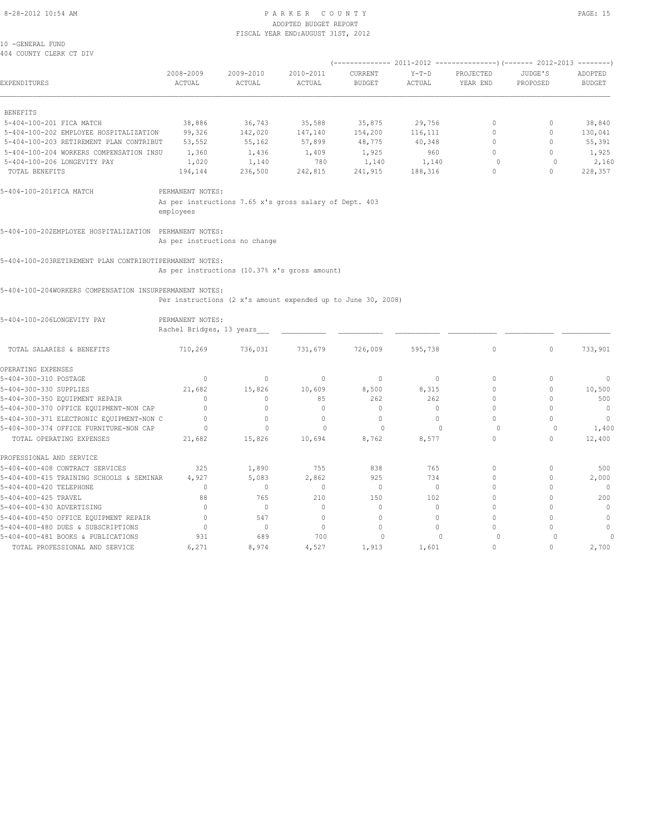#### 8-28-2012 10:54 AM P A R K E R C O U N T Y PAGE: 15 ADOPTED BUDGET REPORT FISCAL YEAR END:AUGUST 31ST, 2012

10 -GENERAL FUND 404 COUNTY CLERK CT DIV

| <b>EXPENDITURES</b>                                     | 2008-2009<br>ACTUAL                          | 2009-2010<br>ACTUAL                                          | 2010-2011<br>ACTUAL | CURRENT<br><b>BUDGET</b> | $Y-T-D$<br>ACTUAL | PROJECTED<br>YEAR END | JUDGE'S<br>PROPOSED | ADOPTED<br><b>BUDGET</b> |
|---------------------------------------------------------|----------------------------------------------|--------------------------------------------------------------|---------------------|--------------------------|-------------------|-----------------------|---------------------|--------------------------|
| <b>BENEFITS</b>                                         |                                              |                                                              |                     |                          |                   |                       |                     |                          |
| 5-404-100-201 FICA MATCH                                | 38,886                                       | 36,743                                                       | 35,588              | 35,875                   | 29,756            | $\Omega$              | $\Omega$            | 38,840                   |
| 5-404-100-202 EMPLOYEE HOSPITALIZATION                  | 99,326                                       | 142,020                                                      | 147,140             | 154,200                  | 116,111           | $\Omega$              | $\mathbf{0}$        | 130,041                  |
| 5-404-100-203 RETIREMENT PLAN CONTRIBUT                 | 53,552                                       | 55,162                                                       | 57,899              | 48,775                   | 40,348            | $\Omega$              | $\mathbf{0}$        | 55,391                   |
| 5-404-100-204 WORKERS COMPENSATION INSU                 | 1,360                                        | 1,436                                                        | 1,409               | 1,925                    | 960               | $\cap$                | $\Omega$            | 1,925                    |
| 5-404-100-206 LONGEVITY PAY                             | 1,020                                        | 1,140                                                        | 780                 | 1,140                    | 1,140             | $\Omega$              | $\Omega$            | 2,160                    |
| TOTAL BENEFITS                                          | 194,144                                      | 236,500                                                      | 242,815             | 241,915                  | 188,316           | $\Omega$              | $\Omega$            | 228,357                  |
| 5-404-100-201FICA MATCH                                 | PERMANENT NOTES:                             |                                                              |                     |                          |                   |                       |                     |                          |
|                                                         | employees                                    | As per instructions 7.65 x's gross salary of Dept. 403       |                     |                          |                   |                       |                     |                          |
| 5-404-100-202EMPLOYEE HOSPITALIZATION PERMANENT NOTES:  |                                              | As per instructions no change                                |                     |                          |                   |                       |                     |                          |
| 5-404-100-203RETIREMENT PLAN CONTRIBUTIPERMANENT NOTES: |                                              | As per instructions (10.37% x's gross amount)                |                     |                          |                   |                       |                     |                          |
| 5-404-100-204WORKERS COMPENSATION INSURPERMANENT NOTES: |                                              | Per instructions (2 x's amount expended up to June 30, 2008) |                     |                          |                   |                       |                     |                          |
| 5-404-100-206LONGEVITY PAY                              | PERMANENT NOTES:<br>Rachel Bridges, 13 years |                                                              |                     |                          |                   |                       |                     |                          |
| TOTAL SALARIES & BENEFITS                               | 710,269                                      | 736,031                                                      | 731,679             | 726,009                  | 595,738           | $\circ$               | $\circ$             | 733,901                  |
| OPERATING EXPENSES                                      |                                              |                                                              |                     |                          |                   |                       |                     |                          |
| 5-404-300-310 POSTAGE                                   | $\mathbf{0}$                                 | $\mathbf{0}$                                                 | $\mathbf{0}$        | $\circ$                  | $\circ$           | $\Omega$              | $\mathbf{0}$        | $\mathbf 0$              |
| 5-404-300-330 SUPPLIES                                  | 21,682                                       | 15,826                                                       | 10,609              | 8,500                    | 8,315             | $\Omega$              | $\circ$             | 10,500                   |
| 5-404-300-350 EQUIPMENT REPAIR                          | $\Omega$                                     | $\circ$                                                      | 85                  | 262                      | 262               | $\circ$               | $\mathbf{0}$        | 500                      |
| 5-404-300-370 OFFICE EQUIPMENT-NON CAP                  | $\mathbf{0}$                                 | $\mathbf{0}$                                                 | $\mathbf{0}$        | $\mathbf{0}$             | $\circ$           | $\Omega$              | $\mathbf{0}$        | $\circ$                  |
| 5-404-300-371 ELECTRONIC EQUIPMENT-NON C                | $\mathbf{0}$                                 | $\circ$                                                      | $\circ$             | $\circ$                  | $\circ$           | $\cap$                | $\Omega$            | $\mathbf{0}$             |
| 5-404-300-374 OFFICE FURNITURE-NON CAP                  | $\circ$                                      | $\mathbf{0}$                                                 | $\Omega$            | $\circ$                  | $\Omega$          | $\Omega$              | $\circ$             | 1,400                    |
| TOTAL OPERATING EXPENSES                                | 21,682                                       | 15,826                                                       | 10,694              | 8,762                    | 8,577             | $\circ$               | $\circ$             | 12,400                   |
| PROFESSIONAL AND SERVICE                                |                                              |                                                              |                     |                          |                   |                       |                     |                          |
| 5-404-400-408 CONTRACT SERVICES                         | 325                                          | 1,890                                                        | 755                 | 838                      | 765               | $\circ$               | $\mathbf{0}$        | 500                      |
| 5-404-400-415 TRAINING SCHOOLS & SEMINAR                | 4,927                                        | 5,083                                                        | 2,862               | 925                      | 734               | $\circ$               | $\mathbf{0}$        | 2,000                    |
| 5-404-400-420 TELEPHONE                                 | $\mathbf{0}$                                 | $\mathbf{0}$                                                 | $\mathbf{0}$        | $\circ$                  | $\circ$           | $\circ$               | $\circ$             | $\overline{0}$           |
| 5-404-400-425 TRAVEL                                    | 88                                           | 765                                                          | 210                 | 150                      | 102               | $\Omega$              | $\mathbf{0}$        | 200                      |
| 5-404-400-430 ADVERTISING                               | $\Omega$                                     | $\mathbf{0}$                                                 | $\Omega$            | $\circ$                  | $\Omega$          | $\Omega$              | $\circ$             | $\mathbf{0}$             |

5-404-400-450 OFFICE EQUIPMENT REPAIR 0 547 0 0 0 0 0 0 5-404-400-480 DUES & SUBSCRIPTIONS 0 0 0 0 0 0 0 0 5-404-400-481 BOOKS & PUBLICATIONS 931 689 700 0 0 0 0 0 TOTAL PROFESSIONAL AND SERVICE 6,271 8,974 4,527 1,913 1,601 0 0 2,700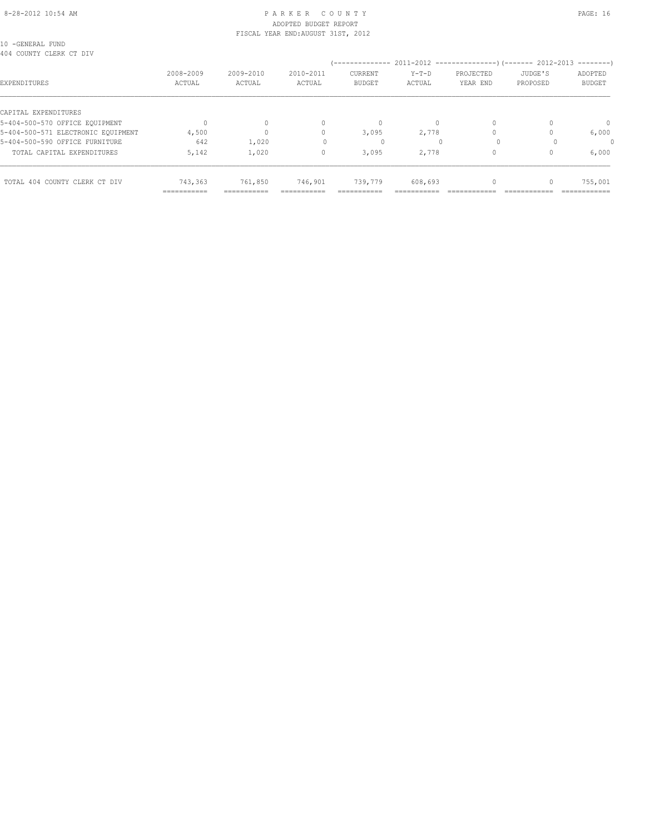#### 8-28-2012 10:54 AM PAGE: 16 ADOPTED BUDGET REPORT FISCAL YEAR END:AUGUST 31ST, 2012

10 -GENERAL FUND 404 COUNTY CLERK CT DIV

| 404 Counii Clerr Ci <i>D</i> iv    |                            |                           |                     | --------------                  |                   | 2011-2012 -----------------) (------- 2012-2013 |                     | ---------                |
|------------------------------------|----------------------------|---------------------------|---------------------|---------------------------------|-------------------|-------------------------------------------------|---------------------|--------------------------|
| EXPENDITURES                       | 2008-2009<br>ACTUAL        | 2009-2010<br>ACTUAL       | 2010-2011<br>ACTUAL | <b>CURRENT</b><br><b>BUDGET</b> | $Y-T-D$<br>ACTUAL | PROJECTED<br>YEAR END                           | JUDGE'S<br>PROPOSED | ADOPTED<br><b>BUDGET</b> |
| CAPITAL EXPENDITURES               |                            |                           |                     |                                 |                   |                                                 |                     |                          |
| 5-404-500-570 OFFICE EQUIPMENT     |                            |                           |                     | $\Omega$                        |                   | $\Omega$                                        |                     | $\Omega$                 |
| 5-404-500-571 ELECTRONIC EQUIPMENT | 4,500                      |                           |                     | 3,095                           | 2,778             |                                                 |                     | 6,000                    |
| 5-404-500-590 OFFICE FURNITURE     | 642                        | 1,020                     |                     |                                 |                   |                                                 |                     |                          |
| TOTAL CAPITAL EXPENDITURES         | 5,142                      | 1,020                     |                     | 3,095                           | 2,778             | $\Omega$                                        |                     | 6,000                    |
| TOTAL 404 COUNTY CLERK CT DIV      | 743,363                    | 761,850                   | 746,901             | 739,779                         | 608,693           | $\Omega$                                        |                     | 755,001                  |
|                                    | -----------<br>----------- | ----------<br>----------- | ----------------    | ---------                       |                   |                                                 |                     | __________               |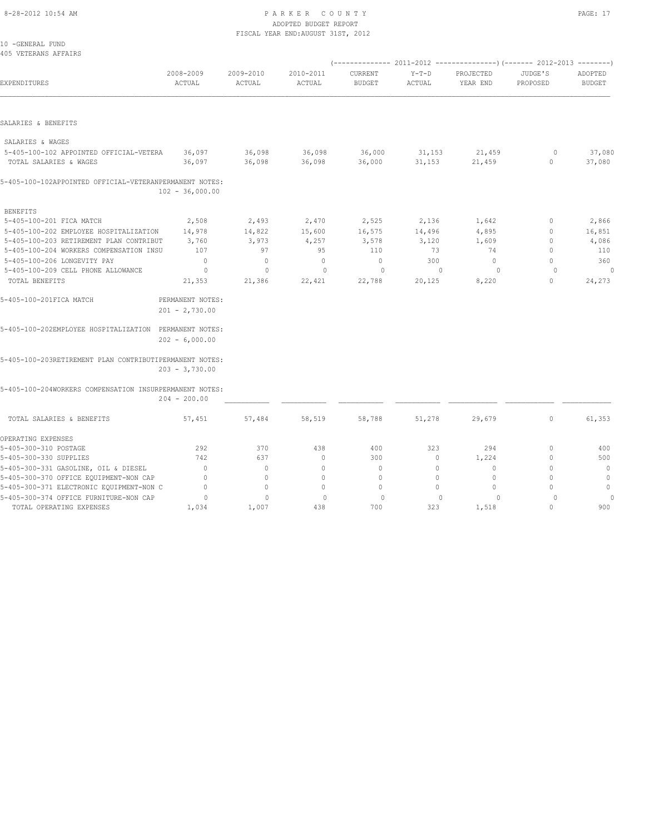# 8-28-2012 10:54 AM P A R K E R C O U N T Y PAGE: 17 ADOPTED BUDGET REPORT

|                                                         |                                      |                     | FISCAL YEAR END: AUGUST 31ST, 2012 |                          |                   |                       |                     |                          |
|---------------------------------------------------------|--------------------------------------|---------------------|------------------------------------|--------------------------|-------------------|-----------------------|---------------------|--------------------------|
| 10 -GENERAL FUND                                        |                                      |                     |                                    |                          |                   |                       |                     |                          |
| 405 VETERANS AFFAIRS                                    |                                      |                     |                                    |                          |                   |                       |                     |                          |
| EXPENDITURES                                            | 2008-2009<br>ACTUAL                  | 2009-2010<br>ACTUAL | 2010-2011<br>ACTUAL                | CURRENT<br><b>BUDGET</b> | $Y-T-D$<br>ACTUAL | PROJECTED<br>YEAR END | JUDGE'S<br>PROPOSED | ADOPTED<br><b>BUDGET</b> |
|                                                         |                                      |                     |                                    |                          |                   |                       |                     |                          |
| SALARIES & BENEFITS                                     |                                      |                     |                                    |                          |                   |                       |                     |                          |
| SALARIES & WAGES                                        |                                      |                     |                                    |                          |                   |                       |                     |                          |
| 5-405-100-102 APPOINTED OFFICIAL-VETERA                 | 36,097                               | 36,098              | 36,098                             | 36,000                   | 31,153            | 21,459                | $\circ$             | 37,080                   |
| TOTAL SALARIES & WAGES                                  | 36,097                               | 36,098              | 36,098                             | 36,000                   | 31,153            | 21,459                | $\mathbb O$         | 37,080                   |
| 5-405-100-102APPOINTED OFFICIAL-VETERANPERMANENT NOTES: | $102 - 36,000.00$                    |                     |                                    |                          |                   |                       |                     |                          |
| <b>BENEFITS</b>                                         |                                      |                     |                                    |                          |                   |                       |                     |                          |
| 5-405-100-201 FICA MATCH                                | 2,508                                | 2,493               | 2,470                              | 2,525                    | 2,136             | 1,642                 | $\mathbf{0}$        | 2,866                    |
| 5-405-100-202 EMPLOYEE HOSPITALIZATION                  | 14,978                               | 14,822              | 15,600                             | 16,575                   | 14,496            | 4,895                 | 0                   | 16,851                   |
| 5-405-100-203 RETIREMENT PLAN CONTRIBUT                 | 3,760                                | 3,973               | 4,257                              | 3,578                    | 3,120             | 1,609                 | $\mathbf{0}$        | 4,086                    |
| 5-405-100-204 WORKERS COMPENSATION INSU                 | 107                                  | 97                  | 95                                 | 110                      | 73                | 74                    | $\mathbf{0}$        | 110                      |
| 5-405-100-206 LONGEVITY PAY                             | $\mathbf{0}$                         | $\mathbf{0}$        | $\circ$                            | $\mathbf{0}$             | 300               | $\mathbf{0}$          | $\Omega$            | 360                      |
| 5-405-100-209 CELL PHONE ALLOWANCE                      | $\circ$                              | $\mathbf 0$         | $\mathbf{0}$                       | $\circ$                  | $\mathbf{0}$      | $\circ$               | $\circ$             | $\circ$                  |
| TOTAL BENEFITS                                          | 21,353                               | 21,386              | 22,421                             | 22,788                   | 20,125            | 8,220                 | $\mathbf{0}$        | 24,273                   |
| 5-405-100-201FICA MATCH                                 | PERMANENT NOTES:<br>$201 - 2,730.00$ |                     |                                    |                          |                   |                       |                     |                          |
| 5-405-100-202EMPLOYEE HOSPITALIZATION PERMANENT NOTES:  | $202 - 6,000.00$                     |                     |                                    |                          |                   |                       |                     |                          |
| 5-405-100-203RETIREMENT PLAN CONTRIBUTIPERMANENT NOTES: | $203 - 3,730.00$                     |                     |                                    |                          |                   |                       |                     |                          |
| 5-405-100-204WORKERS COMPENSATION INSURPERMANENT NOTES: | $204 - 200.00$                       |                     |                                    |                          |                   |                       |                     |                          |
| TOTAL SALARIES & BENEFITS                               | 57,451                               | 57,484              | 58,519                             | 58,788                   | 51,278            | 29,679                | $\circ$             | 61,353                   |
| OPERATING EXPENSES                                      |                                      |                     |                                    |                          |                   |                       |                     |                          |
| 5-405-300-310 POSTAGE                                   | 292                                  | 370                 | 438                                | 400                      | 323               | 294                   | $\mathbf{0}$        | 400                      |
| 5-405-300-330 SUPPLIES                                  | 742                                  | 637                 | $\circ$                            | 300                      | 0                 | 1,224                 | $\mathbf{0}$        | 500                      |
| 5-405-300-331 GASOLINE, OIL & DIESEL                    | $\circ$                              | $\mathbf{0}$        | $\circ$                            | $\circ$                  | $\circ$           | $\mathbf{0}$          | $\mathbf{0}$        | $\mathbb O$              |
| 5-405-300-370 OFFICE EQUIPMENT-NON CAP                  | $\mathbf{0}$                         | $\mathbf{0}$        | $\mathbf{0}$                       | $\mathbf{0}$             | $\circ$           | $\mathbf{0}$          | $\mathbf{0}$        | $\mathbf 0$              |
| 5-405-300-371 ELECTRONIC EQUIPMENT-NON C                | $\mathbf{0}$                         | $\Omega$            | $\Omega$                           | $\mathbf{0}$             | $\circ$           | $\Omega$              | $\Omega$            | $\mathbf{0}$             |
| 5-405-300-374 OFFICE FURNITURE-NON CAP                  | $\circ$                              | $\mathbf{0}$        | $\mathbf{0}$                       | $\circ$                  | $\Omega$          | 0                     | $\Omega$            | 0                        |
| TOTAL OPERATING EXPENSES                                | 1,034                                | 1,007               | 438                                | 700                      | 323               | 1,518                 | $\Omega$            | 900                      |
|                                                         |                                      |                     |                                    |                          |                   |                       |                     |                          |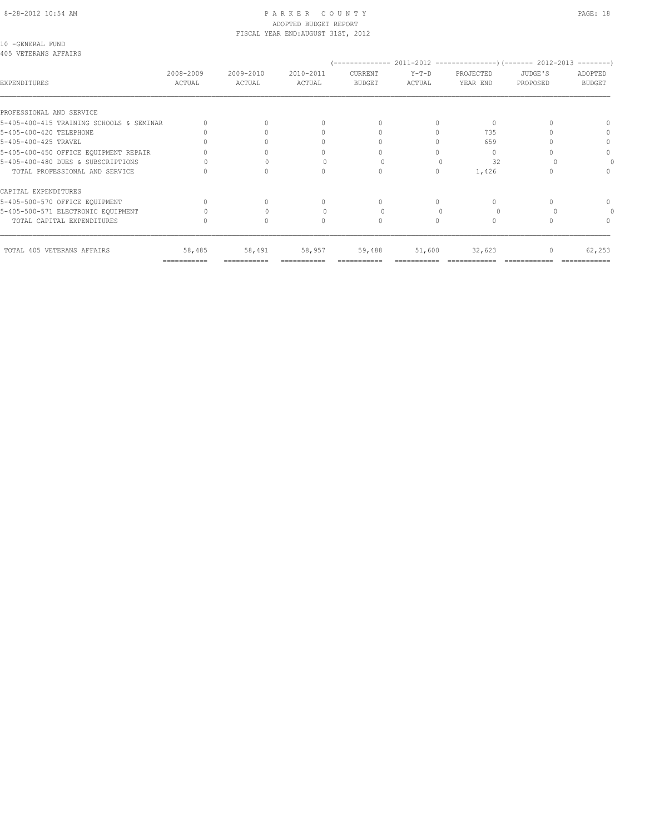# ADOPTED BUDGET REPORT FISCAL YEAR END:AUGUST 31ST, 2012

10 -GENERAL FUND 405 VETERANS AFFAIRS

| EXPENDITURES                             | 2008-2009<br>ACTUAL       | 2009-2010<br>ACTUAL | 2010-2011<br>ACTUAL | CURRENT<br><b>BUDGET</b> | $Y-T-D$<br>ACTUAL | PROJECTED<br>YEAR END | JUDGE'S<br>PROPOSED | ADOPTED<br><b>BUDGET</b> |
|------------------------------------------|---------------------------|---------------------|---------------------|--------------------------|-------------------|-----------------------|---------------------|--------------------------|
| PROFESSIONAL AND SERVICE                 |                           |                     |                     |                          |                   |                       |                     |                          |
| 5-405-400-415 TRAINING SCHOOLS & SEMINAR |                           |                     |                     | $\bigcap$                |                   | $\Omega$              |                     |                          |
| 5-405-400-420 TELEPHONE                  |                           |                     |                     |                          |                   | 735                   |                     |                          |
| 5-405-400-425 TRAVEL                     |                           |                     |                     |                          |                   | 659                   |                     |                          |
| 5-405-400-450 OFFICE EQUIPMENT REPAIR    |                           |                     |                     | U                        |                   | 0                     |                     | $\bigcap$                |
| 5-405-400-480 DUES & SUBSCRIPTIONS       |                           |                     |                     |                          |                   | 32                    |                     |                          |
| TOTAL PROFESSIONAL AND SERVICE           |                           |                     |                     | 0                        | 0                 | 1,426                 |                     |                          |
| CAPITAL EXPENDITURES                     |                           |                     |                     |                          |                   |                       |                     |                          |
| 5-405-500-570 OFFICE EQUIPMENT           |                           |                     |                     | $\cap$                   | 0                 | $\bigcap$             |                     | $\cap$                   |
| 5-405-500-571 ELECTRONIC EQUIPMENT       |                           |                     |                     |                          |                   |                       |                     |                          |
| TOTAL CAPITAL EXPENDITURES               |                           | $\Omega$            |                     | $\Omega$                 |                   | $\Omega$              |                     |                          |
| TOTAL 405 VETERANS AFFAIRS               | 58,485                    | 58,491              | 58,957              | 59,488                   | 51,600            | 32,623                | 0                   | 62,253                   |
|                                          | $=$ = = = = = = = = = = = | ===========         |                     |                          |                   |                       |                     |                          |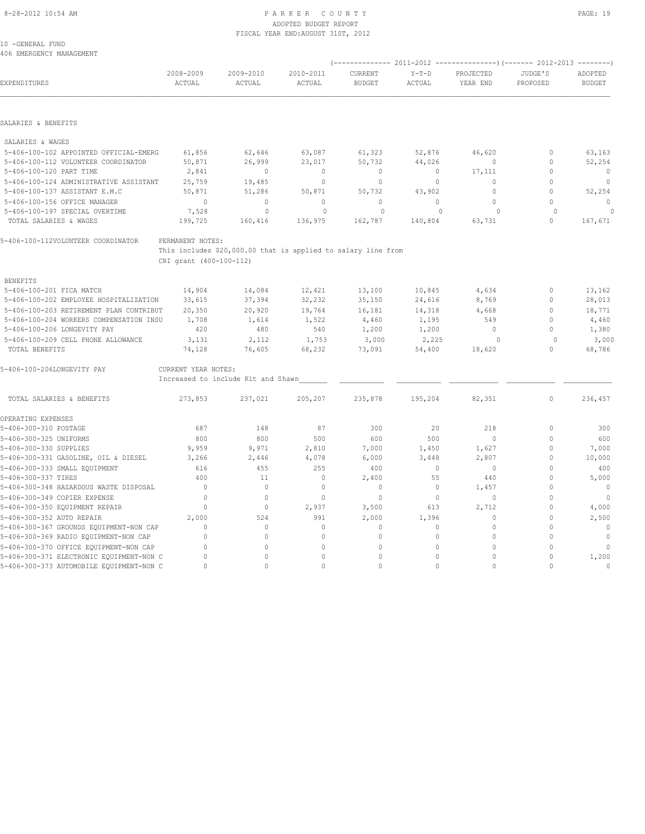# 8-28-2012 10:54 AM PAGE: 19 PARKER COUNTY

|                                         |                         |                                                               | ADOPTED BUDGET REPORT              |               |          |                                  |              |                |
|-----------------------------------------|-------------------------|---------------------------------------------------------------|------------------------------------|---------------|----------|----------------------------------|--------------|----------------|
| 10 -GENERAL FUND                        |                         |                                                               | FISCAL YEAR END: AUGUST 31ST, 2012 |               |          |                                  |              |                |
| 406 EMERGENCY MANAGEMENT                |                         |                                                               |                                    |               |          |                                  |              |                |
|                                         |                         |                                                               |                                    |               |          |                                  |              |                |
|                                         | 2008-2009               | 2009-2010                                                     | 2010-2011                          | CURRENT       | $Y-T-D$  | PROJECTED                        | JUDGE'S      | ADOPTED        |
| EXPENDITURES                            | ACTUAL                  | ACTUAL                                                        | ACTUAL                             | <b>BUDGET</b> | ACTUAL   | YEAR END                         | PROPOSED     | <b>BUDGET</b>  |
|                                         |                         |                                                               |                                    |               |          |                                  |              |                |
| SALARIES & BENEFITS                     |                         |                                                               |                                    |               |          |                                  |              |                |
| SALARIES & WAGES                        |                         |                                                               |                                    |               |          |                                  |              |                |
| 5-406-100-102 APPOINTED OFFICIAL-EMERG  | 61,856                  | 62,646                                                        | 63,087                             | 61,323        | 52,876   | 46,620                           | $\mathbf{0}$ | 63,163         |
| 5-406-100-112 VOLUNTEER COORDINATOR     | 50,871                  | 26,999                                                        | 23,017                             | 50,732        | 44,026   | $\mathbf{0}$                     | $\mathbf{0}$ | 52,254         |
| 5-406-100-120 PART TIME                 | 2,841                   | $\circ$                                                       | $\mathbf{0}$                       | $\circ$       | $\circ$  | 17,111                           | $\Omega$     | $\overline{0}$ |
| 5-406-100-124 ADMINISTRATIVE ASSISTANT  | 25,759                  | 19,485                                                        | $\mathbf{0}$                       | 0             | $\circ$  | $\mathbf{0}$                     | $\Omega$     | $\mathbf{0}$   |
| 5-406-100-137 ASSISTANT E.M.C           | 50,871                  | 51,286                                                        | 50,871                             | 50,732        | 43,902   | $\mathbf{0}$                     | $\mathbf{0}$ | 52,254         |
| 5-406-100-156 OFFICE MANAGER            | $\mathbf{0}$            | $\mathbf{0}$                                                  | $\mathbf{0}$                       | $\mathbf{0}$  | $\circ$  | $\circ$                          | $\mathbf{0}$ | $\mathbf{0}$   |
| 5-406-100-197 SPECIAL OVERTIME          | 7,528                   | $\circ$                                                       | $\circ$                            | $\circ$       | $\Omega$ | $\Omega$                         | $\Omega$     | $\circ$        |
| TOTAL SALARIES & WAGES                  | 199,725                 | 160,416                                                       | 136,975                            | 162,787       | 140,804  | 63,731                           | $\Omega$     | 167,671        |
| 5-406-100-112VOLUNTEER COORDINATOR      | PERMANENT NOTES:        |                                                               |                                    |               |          |                                  |              |                |
|                                         |                         | This includes \$20,000.00 that is applied to salary line from |                                    |               |          |                                  |              |                |
|                                         | CRI grant (400-100-112) |                                                               |                                    |               |          |                                  |              |                |
| <b>BENEFITS</b>                         |                         |                                                               |                                    |               |          |                                  |              |                |
| 5-406-100-201 FICA MATCH                | 14,904                  | 14,084                                                        | 12,421                             | 13,100        | 10,845   | 4,634                            | $\mathbf{0}$ | 13,162         |
| 5-406-100-202 EMPLOYEE HOSPITALIZATION  | 33,615                  | 37,394                                                        | 32,232                             | 35,150        | 24,616   | 8,769                            | $\Omega$     | 28,013         |
| 5-406-100-203 RETIREMENT PLAN CONTRIBUT | 20,350                  | 20,920                                                        | 19,764                             | 16,181        | 14,318   | 4,668                            | $\Omega$     | 18,771         |
| 5-406-100-204 WORKERS COMPENSATION INSU | 1,708                   | 1,614                                                         | 1,522                              | 4,460         | 1,195    | 549                              | $\mathbf{0}$ | 4,460          |
| 5-406-100-206 LONGEVITY PAY             | 420                     | 480                                                           | 540                                | 1,200         | 1,200    | $\begin{array}{c} \n\end{array}$ | $\bigcap$    | 1,380          |
| 5-406-100-209 CELL PHONE ALLOWANCE      | 3,131                   | 2,112                                                         | 1,753                              | 3,000         | 2,225    | $\circ$                          | $\Omega$     | 3,000          |
| TOTAL BENEFITS                          | 74,128                  | 76,605                                                        | 68,232                             | 73,091        | 54,400   | 18,620                           | $\Omega$     | 68,786         |
| 5-406-100-206LONGEVITY PAY              | CURRENT YEAR NOTES:     |                                                               |                                    |               |          |                                  |              |                |
|                                         |                         | Increased to include Kit and Shawn                            |                                    |               |          |                                  |              |                |
| TOTAL SALARIES & BENEFITS               | 273,853                 | 237,021                                                       | 205,207                            | 235,878       | 195,204  | 82,351                           | $\mathbf{0}$ | 236,457        |
| OPERATING EXPENSES                      |                         |                                                               |                                    |               |          |                                  |              |                |
| 5-406-300-310 POSTAGE                   | 687                     | 148                                                           | 87                                 | 300           | 20       | 218                              | $\mathbf{0}$ | 300            |
| 5-406-300-325 UNIFORMS                  | 800                     | 800                                                           | 500                                | 600           | 500      | $\bigcap$                        | $\Omega$     | 600            |

5-406-300-330 SUPPLIES 9,959 9,971 2,810 7,000 1,450 1,627 0 7,000 5-406-300-331 GASOLINE, OIL & DIESEL 3,266 2,446 4,078 6,000 3,448 2,807 0 10,000 5-406-300-333 SMALL EQUIPMENT 616 455 255 400 0 0 0 400 5-406-300-337 TIRES 400 11 0 2,400 55 440 0 5,000 5-406-300-348 HAZARDOUS WASTE DISPOSAL 0 0 0 0 0 1,457 0 0 5-406-300-349 COPIER EXPENSE 0 0 0 0 0 0 0 0 5-406-300-350 EQUIPMENT REPAIR 0 0 2,937 3,500 613 2,712 0 4,000 5-406-300-352 AUTO REPAIR 2,000 524 991 2,000 1,396 0 0 2,500 5-406-300-367 GROUNDS EQUIPMENT-NON CAP 0 0 0 0 0 0 0 0 5-406-300-369 RADIO EQUIPMENT-NON CAP 0 0 0 0 0 0 0 0 5-406-300-370 OFFICE EQUIPMENT-NON CAP 0 0 0 0 0 0 0 0 5-406-300-371 ELECTRONIC EQUIPMENT-NON C 0 0 0 0 0 0 0 1,200 5-406-300-373 AUTOMOBILE EQUIPMENT-NON C 0 0 0 0 0 0 0 0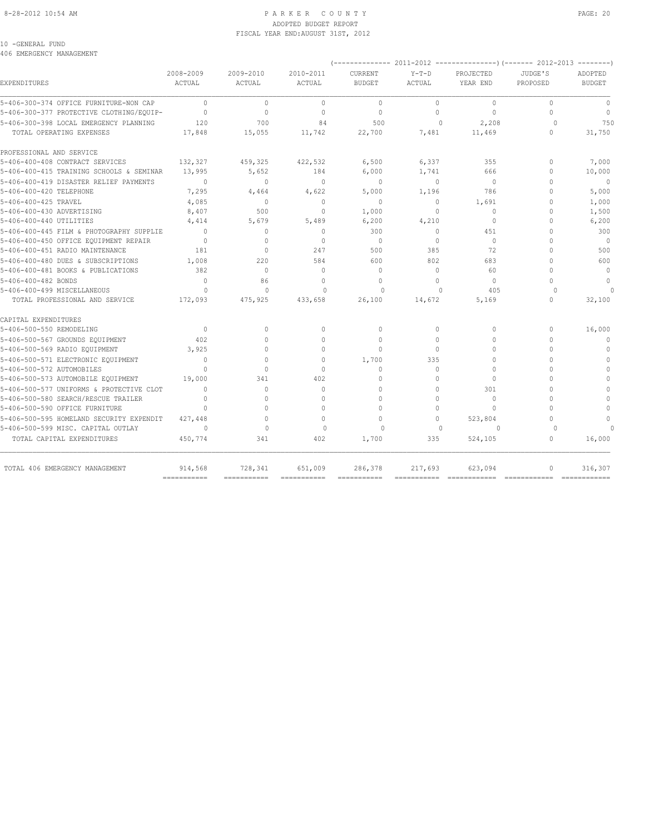#### 8-28-2012 10:54 AM PAGE: 20 PARKER COUNTY PAGE: 20 ADOPTED BUDGET REPORT FISCAL YEAR END:AUGUST 31ST, 2012

### 10 -GENERAL FUND

406 EMERGENCY MANAGEMENT

| ANO FWERGEMOI MANAGEMENI                 |                           |                            |                         |                           |                   |                       |                     |                                  |
|------------------------------------------|---------------------------|----------------------------|-------------------------|---------------------------|-------------------|-----------------------|---------------------|----------------------------------|
| <b>EXPENDITURES</b>                      | 2008-2009<br>ACTUAL       | 2009-2010<br><b>ACTUAL</b> | 2010-2011<br>ACTUAL     | CURRENT<br><b>BUDGET</b>  | $Y-T-D$<br>ACTUAL | PROJECTED<br>YEAR END | JUDGE'S<br>PROPOSED | ADOPTED<br><b>BUDGET</b>         |
| 5-406-300-374 OFFICE FURNITURE-NON CAP   | $\Omega$                  | $\mathbf{0}$               | $\mathbf{0}$            | $\mathbf{0}$              | $\Omega$          | $\Omega$              | $\Omega$            | $\mathbf{0}$                     |
| 5-406-300-377 PROTECTIVE CLOTHING/EQUIP- | $\Omega$                  | $\mathbf{0}$               | $\mathbf{0}$            | $\mathbf{0}$              | $\Omega$          | 0                     | O                   | $\Omega$                         |
| 5-406-300-398 LOCAL EMERGENCY PLANNING   | 120                       | 700                        | 84                      | 500                       | $\Omega$          | 2,208                 | $\Omega$            | 750                              |
| TOTAL OPERATING EXPENSES                 | 17,848                    | 15,055                     | 11,742                  | 22,700                    | 7,481             | 11,469                | 0                   | 31,750                           |
| PROFESSIONAL AND SERVICE                 |                           |                            |                         |                           |                   |                       |                     |                                  |
| 5-406-400-408 CONTRACT SERVICES          | 132,327                   | 459,325                    | 422,532                 | 6,500                     | 6,337             | 355                   | $\Omega$            | 7,000                            |
| 5-406-400-415 TRAINING SCHOOLS & SEMINAR | 13,995                    | 5,652                      | 184                     | 6,000                     | 1,741             | 666                   | $\Omega$            | 10,000                           |
| 5-406-400-419 DISASTER RELIEF PAYMENTS   | $\Omega$                  | $\bigcap$                  | $\mathbf{0}$            | $\Omega$                  | $\Omega$          | $\Omega$              | Λ                   | $\mathbf{0}$                     |
| 5-406-400-420 TELEPHONE                  | 7,295                     | 4,464                      | 4,622                   | 5,000                     | 1,196             | 786                   | O                   | 5,000                            |
| 5-406-400-425 TRAVEL                     | 4,085                     | $\Omega$                   | $\Omega$                | $\Omega$                  | $\Omega$          | 1,691                 | O                   | 1,000                            |
| 5-406-400-430 ADVERTISING                | 8,407                     | 500                        | $\Omega$                | 1,000                     | $\Omega$          | 0                     | U                   | 1,500                            |
| 5-406-400-440 UTILITIES                  | 4,414                     | 5,679                      | 5,489                   | 6,200                     | 4,210             | 0                     | 0                   | 6,200                            |
| 5-406-400-445 FILM & PHOTOGRAPHY SUPPLIE | $\Omega$                  | $\mathbf{0}$               | $\mathbf{0}$            | 300                       | $\circ$           | 451                   | O                   | 300                              |
| 5-406-400-450 OFFICE EOUIPMENT REPAIR    | $\Omega$                  | $\Omega$                   | $\Omega$                | $\Omega$                  | $\Omega$          | $\Omega$              | Λ                   | $\Omega$                         |
| 5-406-400-451 RADIO MAINTENANCE          | 181                       | $\mathbf{0}$               | 247                     | 500                       | 385               | 72                    | $\cap$              | 500                              |
| 5-406-400-480 DUES & SUBSCRIPTIONS       | 1,008                     | 220                        | 584                     | 600                       | 802               | 683                   | U                   | 600                              |
| 5-406-400-481 BOOKS & PUBLICATIONS       | 382                       | $\mathbf{0}$               | $\Omega$                | $\mathbf{0}$              | $\Omega$          | 60                    | $\cap$              | $\Omega$                         |
| 5-406-400-482 BONDS                      | $\Omega$                  | 86                         | $\Omega$                | $\Omega$                  | $\Omega$          | $\Omega$              | $\cap$              | $\Omega$                         |
| 5-406-400-499 MISCELLANEOUS              | $\Omega$                  | $\Omega$                   | $\Omega$                | $\Omega$                  | $\Omega$          | 405                   | $\Omega$            |                                  |
| TOTAL PROFESSIONAL AND SERVICE           | 172,093                   | 475,925                    | 433,658                 | 26,100                    | 14,672            | 5,169                 | 0                   | 32,100                           |
| CAPITAL EXPENDITURES                     |                           |                            |                         |                           |                   |                       |                     |                                  |
| 5-406-500-550 REMODELING                 | $\mathbf{0}$              | 0                          | $\mathbf{0}$            | $\mathbf{0}$              | $\circ$           | 0                     | $\circ$             | 16,000                           |
| 5-406-500-567 GROUNDS EQUIPMENT          | 402                       | $\Omega$                   | $\Omega$                | $\Omega$                  | $\Omega$          | $\Omega$              | O                   | $\mathbf{0}$                     |
| 5-406-500-569 RADIO EQUIPMENT            | 3,925                     | $\Omega$                   | $\Omega$                | $\Omega$                  | $\cap$            | $\Omega$              | $\cap$              | $\Omega$                         |
| 5-406-500-571 ELECTRONIC EOUIPMENT       | $\Omega$                  | $\Omega$                   | $\Omega$                | 1,700                     | 335               | $\Omega$              | $\cap$              | $\Omega$                         |
| 5-406-500-572 AUTOMOBILES                | $\Omega$                  | 0                          | $\mathbf{0}$            | $\mathbf{0}$              | $\Omega$          | 0                     | $\cap$              | $\Omega$                         |
| 5-406-500-573 AUTOMOBILE EQUIPMENT       | 19,000                    | 341                        | 402                     | $\Omega$                  | $\Omega$          | $\Omega$              | Λ                   | $\Omega$                         |
| 5-406-500-577 UNIFORMS & PROTECTIVE CLOT | $\Omega$                  | 0                          | $\Omega$                | $\Omega$                  | $\cap$            | 301                   |                     | $\Omega$                         |
| 5-406-500-580 SEARCH/RESCUE TRAILER      | $\Omega$                  | 0                          | $\cap$                  | $\Omega$                  | $\Omega$          | 0                     | Λ                   | $\Omega$                         |
| 5-406-500-590 OFFICE FURNITURE           | $\Omega$                  | $\Omega$                   | $\Omega$                | $\Omega$                  | $\Omega$          | $\Omega$              | $\cap$              | $\Omega$                         |
| 5-406-500-595 HOMELAND SECURITY EXPENDIT | 427.448                   | $\Omega$                   | $\Omega$                | $\Omega$                  | $\Omega$          | 523,804               | O                   | $\begin{array}{c} \n\end{array}$ |
| 5-406-500-599 MISC. CAPITAL OUTLAY       | $\cap$                    | $\Omega$                   | $\Omega$                | $\Omega$                  | $\Omega$          | $\Omega$              | $\Omega$            |                                  |
| TOTAL CAPITAL EXPENDITURES               | 450,774                   | 341                        | 402                     | 1,700                     | 335               | 524,105               | $\circ$             | 16,000                           |
| TOTAL 406 EMERGENCY MANAGEMENT           | 914,568                   | 728,341                    | 651,009                 | 286,378                   | 217,693           | 623,094               | 0                   | 316,307                          |
|                                          | $=$ = = = = = = = = = = = | ===========                | $=$ = = = = = = = = = = | $=$ = = = = = = = = = = = | $=$ ===========   | ============          |                     | ============                     |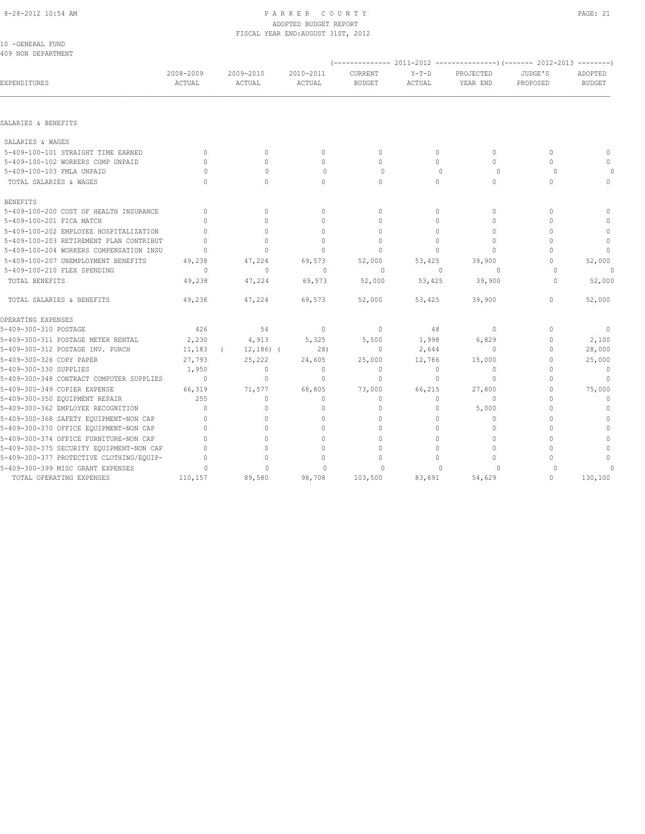## ADOPTED BUDGET REPORT FISCAL YEAR END:AUGUST 31ST, 2012

| 10 -GENERAL FUND<br>409 NON DEPARTMENT   |                     |                     |                     |                          |                   |                       |                     |                          |
|------------------------------------------|---------------------|---------------------|---------------------|--------------------------|-------------------|-----------------------|---------------------|--------------------------|
|                                          |                     |                     |                     |                          |                   |                       |                     |                          |
| EXPENDITURES                             | 2008-2009<br>ACTUAL | 2009-2010<br>ACTUAL | 2010-2011<br>ACTUAL | CURRENT<br><b>BUDGET</b> | $Y-T-D$<br>ACTUAL | PROJECTED<br>YEAR END | JUDGE'S<br>PROPOSED | ADOPTED<br><b>BUDGET</b> |
| SALARIES & BENEFITS                      |                     |                     |                     |                          |                   |                       |                     |                          |
| SALARIES & WAGES                         |                     |                     |                     |                          |                   |                       |                     |                          |
| 5-409-100-101 STRAIGHT TIME EARNED       | $\circ$             | $\circ$             | $\mathbf{0}$        | $\mathbf{0}$             | $\circ$           | $\circ$               | $\mathbf{0}$        | $\Omega$                 |
| 5-409-100-102 WORKERS COMP UNPAID        | $\Omega$            | $\Omega$            | $\Omega$            | $\Omega$                 | $\Omega$          | $\Omega$              | $\Omega$            | $\mathbf{0}$             |
| 5-409-100-103 FMLA UNPAID                | $\cap$              | $\Omega$            | $\Omega$            | $\circ$                  | $\Omega$          | $\circ$               | $\Omega$            |                          |
| TOTAL SALARIES & WAGES                   | $\Omega$            | $\Omega$            | $\Omega$            | $\mathbf{0}$             | $\circ$           | $\circ$               | $\mathbf{0}$        | 0                        |
| <b>BENEFITS</b>                          |                     |                     |                     |                          |                   |                       |                     |                          |
| 5-409-100-200 COST OF HEALTH INSURANCE   | $\mathbf{0}$        | $\circ$             | $\mathbf{0}$        | $\mathbf{0}$             | $\circ$           | $\mathbf{0}$          | $\mathbf{0}$        | $\Omega$                 |
| 5-409-100-201 FICA MATCH                 | $\cap$              | $\Omega$            | $\Omega$            | $\mathbf{0}$             | $\circ$           | $\mathbf{0}$          | $\Omega$            | $\mathbf{0}$             |
| 5-409-100-202 EMPLOYEE HOSPITALIZATION   | $\Omega$            | $\Omega$            | $\Omega$            | $\Omega$                 | $\Omega$          | $\Omega$              | $\bigcap$           | $\circ$                  |
| 5-409-100-203 RETIREMENT PLAN CONTRIBUT  | $\Omega$            | $\Omega$            | $\Omega$            | $\Omega$                 | $\Omega$          | $\Omega$              | $\bigcap$           | $\mathbf{0}$             |
| 5-409-100-204 WORKERS COMPENSATION INSU  | $\mathbf{0}$        | $\Omega$            | $\Omega$            | $\Omega$                 | $\Omega$          | $\Omega$              | $\cap$              | $\Omega$                 |
| 5-409-100-207 UNEMPLOYMENT BENEFITS      | 49,238              | 47,224              | 69,573              | 52,000                   | 53,425            | 39,900                | $\Omega$            | 52,000                   |
| 5-409-100-210 FLEX SPENDING              | $\Omega$            | $\mathbf{0}$        | $\mathbf{0}$        | $\circ$                  | $\Omega$          | $\Omega$              | $\cap$              | 0                        |
| TOTAL BENEFITS                           | 49,238              | 47,224              | 69,573              | 52,000                   | 53,425            | 39,900                | 0                   | 52,000                   |
| TOTAL SALARIES & BENEFITS                | 49,238              | 47,224              | 69,573              | 52,000                   | 53,425            | 39,900                | $\mathbf{0}$        | 52,000                   |
| OPERATING EXPENSES                       |                     |                     |                     |                          |                   |                       |                     |                          |
| 5-409-300-310 POSTAGE                    | 426                 | 54                  | $\mathbf{0}$        | $\mathbf{0}$             | 48                | $\mathbf{0}$          | $\Omega$            | $\mathbf{0}$             |
| 5-409-300-311 POSTAGE METER RENTAL       | 2,230               | 4,913               | 5,325               | 5,500                    | 1,998             | 6,829                 | $\Omega$            | 2,100                    |
| 5-409-300-312 POSTAGE INV. PURCH         | 11,183              | $12, 186$ ) (       | 28)                 | $\mathbf{0}$             | 2,644             | $\mathbf{0}$          | $\Omega$            | 28,000                   |
| 5-409-300-326 COPY PAPER                 | 27,793              | 25,222              | 24,605              | 25,000                   | 12,786            | 15,000                | $\Omega$            | 25,000                   |
| 5-409-300-330 SUPPLIES                   | 1,950               | 0                   | 0                   | 0                        | 0                 | 0                     | $\Omega$            | $\mathbf{0}$             |
| 5-409-300-348 CONTRACT COMPUTER SUPPLIES | $\mathbf{0}$        | $\mathbf{0}$        | $\circ$             | $\mathbf{0}$             | $\circ$           | $\mathbf{0}$          | $\Omega$            | $\mathbf{0}$             |
| 5-409-300-349 COPIER EXPENSE             | 66,319              | 71,577              | 68,805              | 73,000                   | 66,215            | 27,800                | $\bigcap$           | 75,000                   |
| 5-409-300-350 EQUIPMENT REPAIR           | 255                 | $\circ$             | $\mathbf{0}$        | 0                        | $\circ$           | 0                     | $\Omega$            | $\mathbf{0}$             |
| 5-409-300-362 EMPLOYEE RECOGNITION       | $\Omega$            | $\Omega$            | $\mathbf{0}$        | 0                        | 0                 | 5,000                 | $\bigcap$           | $\mathbf{0}$             |
| 5-409-300-368 SAFETY EQUIPMENT-NON CAP   | $\Omega$            | $\Omega$            | $\Omega$            | $\Omega$                 | $\Omega$          | $\Omega$              | $\Omega$            | $\Omega$                 |
| 5-409-300-370 OFFICE EQUIPMENT-NON CAP   | $\Omega$            | $\Omega$            | $\Omega$            | $\Omega$                 | $\Omega$          | $\Omega$              | $\Omega$            | $\Omega$                 |
| 5-409-300-374 OFFICE FURNITURE-NON CAP   | $\Omega$            | $\Omega$            | $\Omega$            | $\Omega$                 | $\Omega$          | $\Omega$              | O                   | $\Omega$                 |
| 5-409-300-375 SECURITY EQUIPMENT-NON CAP | $\Omega$            | $\cap$              | $\Omega$            | $\Omega$                 | $\Omega$          | $\Omega$              | $\cap$              | $\mathbf{0}$             |
| 5-409-300-377 PROTECTIVE CLOTHING/EQUIP- |                     |                     | $\cap$              | Λ                        | $\Omega$          | $\cap$                |                     | $\Omega$                 |
| 5-409-300-399 MISC GRANT EXPENSES        | $\cap$              | $\cap$              | $\cap$              | $\cap$                   | $\cap$            |                       |                     |                          |

TOTAL OPERATING EXPENSES 110,157 89,580 98,708 103,500 83,691 54,629 0 130,100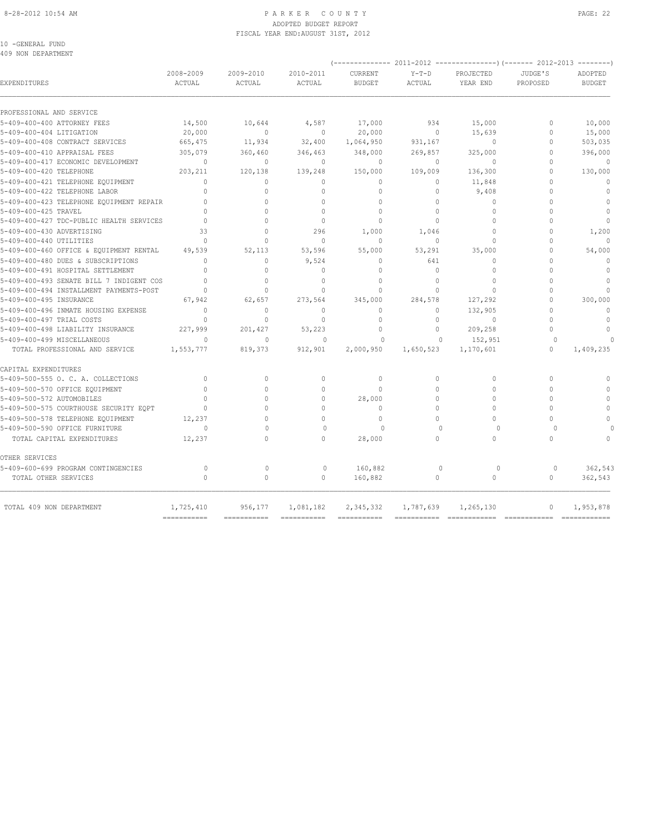#### 8-28-2012 10:54 AM PAGE: 22 ADOPTED BUDGET REPORT FISCAL YEAR END:AUGUST 31ST, 2012

10 -GENERAL FUND 409 NON DEPARTMENT

|                                                             | 2008-2009                        | 2009-2010                    |                              |                          |                         |                       |                      |                          |
|-------------------------------------------------------------|----------------------------------|------------------------------|------------------------------|--------------------------|-------------------------|-----------------------|----------------------|--------------------------|
| EXPENDITURES                                                | ACTUAL                           | ACTUAL                       | 2010-2011<br>ACTUAL          | CURRENT<br><b>BUDGET</b> | $Y-T-D$<br>ACTUAL       | PROJECTED<br>YEAR END | JUDGE'S<br>PROPOSED  | ADOPTED<br><b>BUDGET</b> |
| PROFESSIONAL AND SERVICE                                    |                                  |                              |                              |                          |                         |                       |                      |                          |
| 5-409-400-400 ATTORNEY FEES                                 | 14,500                           | 10,644                       | 4,587                        | 17,000                   | 934                     | 15,000                | $\Omega$             | 10,000                   |
| 5-409-400-404 LITIGATION                                    | 20,000                           | $\bigcap$                    | $\Omega$                     | 20,000                   | $\Omega$                | 15,639                | $\Omega$             | 15,000                   |
| 5-409-400-408 CONTRACT SERVICES                             | 665,475                          | 11,934                       | 32,400                       | 1,064,950                | 931,167                 | $\circ$               | $\Omega$             | 503,035                  |
| 5-409-400-410 APPRAISAL FEES                                | 305,079                          | 360,460                      | 346,463                      | 348,000                  | 269,857                 | 325,000               | $\Omega$             | 396,000                  |
| 5-409-400-417 ECONOMIC DEVELOPMENT                          | $\mathbf{0}$                     | $\Omega$                     | $\mathbf{0}$                 | $\mathbf{0}$             | $\circ$                 | $\Omega$              | $\Omega$             | $\overline{0}$           |
| 5-409-400-420 TELEPHONE                                     | 203,211                          | 120,138                      | 139,248                      | 150,000                  | 109,009                 | 136,300               | $\Omega$             | 130,000                  |
| 5-409-400-421 TELEPHONE EQUIPMENT                           | $\Omega$                         | $\Omega$                     | $\Omega$                     | $\mathbf{0}$             | $\Omega$                | 11,848                | $\Omega$             | $\mathbf{0}$             |
| 5-409-400-422 TELEPHONE LABOR                               | $\Omega$                         | $\Omega$                     | $\Omega$                     | $\Omega$                 | $\Omega$                | 9,408                 | $\cap$               | $\Omega$                 |
| 5-409-400-423 TELEPHONE EQUIPMENT REPAIR                    | $\Omega$                         | $\Omega$                     | $\Omega$                     | $\mathbf{0}$             | $\Omega$                | $\mathbf 0$           | $\Omega$             | $\circ$                  |
| 5-409-400-425 TRAVEL                                        | $\Omega$                         | $\cap$                       | $\cap$                       | $\theta$                 | $\Omega$                | $\Omega$              | $\cap$               | $\circ$                  |
| 5-409-400-427 TDC-PUBLIC HEALTH SERVICES                    | $\Omega$                         | $\Omega$                     | $\mathbf{0}$                 | $\circ$                  | $\Omega$                | $\Omega$              | $\Omega$             | $\mathbf{0}$             |
| 5-409-400-430 ADVERTISING                                   | 33                               | $\cap$                       | 296                          | 1,000                    | 1,046                   | $\cap$                | $\Omega$             | 1,200                    |
| 5-409-400-440 UTILITIES                                     | $\Omega$                         | $\Omega$                     | $\mathbf{0}$                 | $\Omega$                 | $\Omega$                | $\Omega$              | $\Omega$             | $\Omega$                 |
| 5-409-400-460 OFFICE & EQUIPMENT RENTAL                     | 49,539                           | 52,113                       | 53,596                       | 55,000                   | 53,291                  | 35,000                | $\Omega$             | 54,000                   |
| 5-409-400-480 DUES & SUBSCRIPTIONS                          | $\Omega$                         | $\Omega$                     | 9,524                        | $\Omega$                 | 641                     | $\Omega$              | $\cap$               | $\Omega$                 |
| 5-409-400-491 HOSPITAL SETTLEMENT                           | $\Omega$                         | $\Omega$                     | $\Omega$                     | $\Omega$                 | $\Omega$                | $\Omega$              | $\cap$               | $\Omega$                 |
| 5-409-400-493 SENATE BILL 7 INDIGENT COS                    |                                  | $\cap$                       | $\Omega$                     | $\bigcap$                | $\cap$                  | $\cap$                | $\cap$               | $\Omega$                 |
| 5-409-400-494 INSTALLMENT PAYMENTS-POST                     | $\Omega$                         | $\Omega$                     | $\Omega$                     | $\cap$                   | $\Omega$                | $\Omega$              | $\cap$               | $\cap$                   |
| 5-409-400-495 INSURANCE                                     | 67,942                           | 62,657                       | 273,564                      | 345,000                  | 284,578                 | 127,292               | $\Omega$             | 300,000                  |
| 5-409-400-496 INMATE HOUSING EXPENSE                        | $\Omega$                         | $\Omega$                     | $\Omega$                     | $\Omega$                 | $\Omega$                | 132,905               | $\Omega$             | $\circ$                  |
| 5-409-400-497 TRIAL COSTS                                   | $\begin{array}{c} \n\end{array}$ | $\Omega$                     | $\Omega$                     | $\Omega$                 | $\Omega$                | $\Omega$              | $\cap$               | $\Omega$                 |
| 5-409-400-498 LIABILITY INSURANCE                           | 227,999                          | 201,427                      | 53,223                       | $\circ$                  | $\circ$                 | 209,258               | $\Omega$             | $\mathbf{0}$             |
| 5-409-400-499 MISCELLANEOUS                                 | $\cap$                           | $\Omega$                     | $\Omega$                     | $\Omega$                 | $\bigcap$               | 152,951               | $\Omega$             |                          |
| TOTAL PROFESSIONAL AND SERVICE                              | 1,553,777                        | 819,373                      | 912,901                      | 2,000,950                | 1,650,523               | 1,170,601             | $\Omega$             | 1,409,235                |
| CAPITAL EXPENDITURES                                        |                                  |                              |                              |                          |                         |                       |                      |                          |
| 5-409-500-555 O. C. A. COLLECTIONS                          | $\Omega$                         | $\Omega$                     | $\circ$                      | $\Omega$                 | $\Omega$                | $\Omega$              | $\Omega$             | $\Omega$                 |
| 5-409-500-570 OFFICE EQUIPMENT                              | $\Omega$                         | $\Omega$                     | $\Omega$                     | $\Omega$                 | $\Omega$                | $\Omega$              | $\Omega$             | $\Omega$                 |
| 5-409-500-572 AUTOMOBILES                                   | $\Omega$                         | $\Omega$                     | $\Omega$                     | 28,000                   | $\Omega$                | $\Omega$              | $\Omega$             | $\mathbf{0}$             |
| 5-409-500-575 COURTHOUSE SECURITY EQPT                      | $\Omega$                         | $\Omega$                     | $\Omega$                     | $\Omega$                 | $\Omega$                | $\Omega$              | $\Omega$             | $\Omega$                 |
| 5-409-500-578 TELEPHONE EQUIPMENT                           | 12,237                           | $\cap$                       | $\Omega$                     | $\Omega$                 | $\bigcap$               | $\Omega$              | $\cap$               | $\bigcap$                |
| 5-409-500-590 OFFICE FURNITURE                              | $\bigcap$                        | $\cap$                       | $\Omega$                     | $\bigcap$                | $\bigcap$               | $\Omega$              | $\cap$               |                          |
| TOTAL CAPITAL EXPENDITURES                                  | 12,237                           | $\cap$                       | $\cap$                       | 28,000                   | $\Omega$                | $\Omega$              | $\cap$               | $\Omega$                 |
| OTHER SERVICES                                              |                                  |                              |                              |                          |                         |                       |                      |                          |
| 5-409-600-699 PROGRAM CONTINGENCIES<br>TOTAL OTHER SERVICES | $\Omega$<br>$\Omega$             | $\mathbf{0}$<br>$\mathbf{0}$ | $\mathbf{0}$<br>$\mathbf{0}$ | 160,882<br>160,882       | $\mathbf{0}$<br>$\circ$ | $\circ$<br>$\circ$    | $\Omega$<br>$\Omega$ | 362,543<br>362,543       |
| TOTAL 409 NON DEPARTMENT                                    | 1,725,410<br>===========         | 956,177<br>$=$ ============  | 1,081,182<br>$=$ =========== | 2,345,332<br>=========== | 1,787,639               | 1,265,130             | $\mathbf{0}$         | 1,953,878                |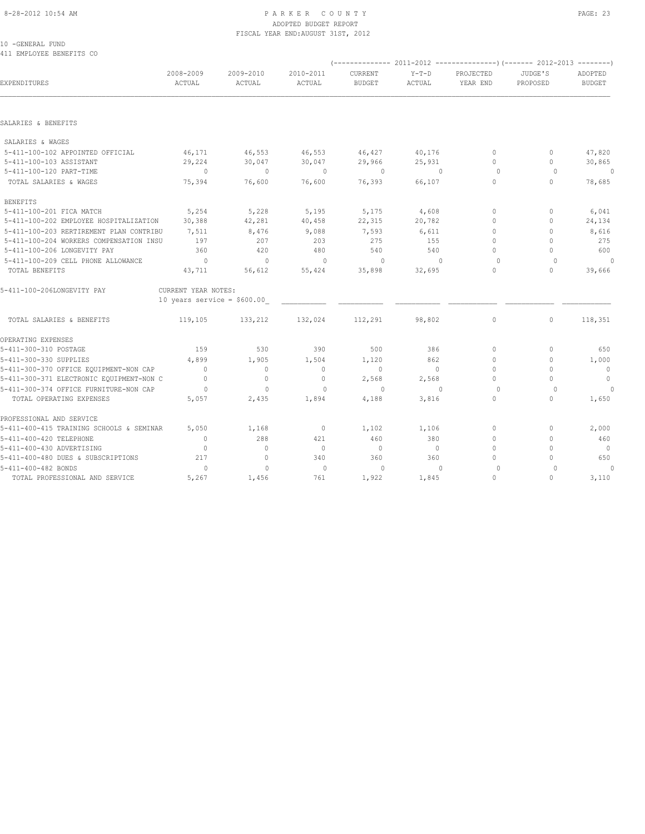#### 8-28-2012 10:54 AM PAGE: 23 ADOPTED BUDGET REPORT FISCAL YEAR END:AUGUST 31ST, 2012

10 -GENERAL FUND 411 EMPLOYEE BENEFITS CO

| EXPENDITURES                             | 2008-2009<br>ACTUAL          | 2009-2010<br>ACTUAL | 2010-2011<br>ACTUAL | <b>CURRENT</b><br><b>BUDGET</b> | $Y-T-D$<br>ACTUAL | PROJECTED<br>YEAR END            | JUDGE'S<br>PROPOSED              | ADOPTED<br><b>BUDGET</b> |
|------------------------------------------|------------------------------|---------------------|---------------------|---------------------------------|-------------------|----------------------------------|----------------------------------|--------------------------|
|                                          |                              |                     |                     |                                 |                   |                                  |                                  |                          |
| SALARIES & BENEFITS                      |                              |                     |                     |                                 |                   |                                  |                                  |                          |
| SALARIES & WAGES                         |                              |                     |                     |                                 |                   |                                  |                                  |                          |
| 5-411-100-102 APPOINTED OFFICIAL         | 46,171                       | 46,553              | 46,553              | 46,427                          | 40,176            | $\circ$                          | 0                                | 47,820                   |
| 5-411-100-103 ASSISTANT                  | 29,224                       | 30,047              | 30,047              | 29,966                          | 25,931            | $\circ$                          | $\mathbf{0}$                     | 30,865                   |
| 5-411-100-120 PART-TIME                  | $\overline{0}$               | $\mathbf{0}$        | $\circ$             | $\circ$                         | $\mathbf{0}$      | $\circ$                          | $\Omega$                         | $\mathbf{0}$             |
| TOTAL SALARIES & WAGES                   | 75,394                       | 76,600              | 76,600              | 76,393                          | 66,107            | $\circ$                          | $\circ$                          | 78,685                   |
| <b>BENEFITS</b>                          |                              |                     |                     |                                 |                   |                                  |                                  |                          |
| 5-411-100-201 FICA MATCH                 | 5,254                        | 5,228               | 5,195               | 5,175                           | 4,608             | $\mathbf{0}$                     | $\mathbf{0}$                     | 6,041                    |
| 5-411-100-202 EMPLOYEE HOSPITALIZATION   | 30,388                       | 42,281              | 40,458              | 22,315                          | 20,782            | $\Omega$                         | $\mathbf{0}$                     | 24,134                   |
| 5-411-100-203 RERTIREMENT PLAN CONTRIBU  | 7,511                        | 8,476               | 9,088               | 7,593                           | 6,611             | $\circ$                          | $\Omega$                         | 8,616                    |
| 5-411-100-204 WORKERS COMPENSATION INSU  | 197                          | 207                 | 203                 | 275                             | 155               | $\begin{array}{c} \n\end{array}$ | $\begin{array}{c} \n\end{array}$ | 275                      |
| 5-411-100-206 LONGEVITY PAY              | 360                          | 420                 | 480                 | 540                             | 540               | $\Omega$                         | $\Omega$                         | 600                      |
| 5-411-100-209 CELL PHONE ALLOWANCE       | $\overline{0}$               | $\sim$ 0            | $\overline{0}$      | $\overline{0}$                  | $\Omega$          | $\Omega$                         | $\Omega$                         | $\theta$                 |
| TOTAL BENEFITS                           | 43,711                       | 56,612              | 55,424              | 35,898                          | 32,695            | $\Omega$                         | $\Omega$                         | 39,666                   |
| 5-411-100-206LONGEVITY PAY               | CURRENT YEAR NOTES:          |                     |                     |                                 |                   |                                  |                                  |                          |
|                                          | 10 years service = $$600.00$ |                     |                     |                                 |                   |                                  |                                  |                          |
| TOTAL SALARIES & BENEFITS                | 119,105                      | 133,212             | 132,024             | 112,291                         | 98,802            | $\circ$                          | $\circ$                          | 118,351                  |
| OPERATING EXPENSES                       |                              |                     |                     |                                 |                   |                                  |                                  |                          |
| 5-411-300-310 POSTAGE                    | 159                          | 530                 | 390                 | 500                             | 386               | $\mathbf{0}$                     | $\mathbf{0}$                     | 650                      |
| 5-411-300-330 SUPPLIES                   | 4,899                        | 1,905               | 1,504               | 1,120                           | 862               | $\Omega$                         | $\Omega$                         | 1,000                    |
| 5-411-300-370 OFFICE EQUIPMENT-NON CAP   | $\circ$                      | $\circ$             | $\mathbf 0$         | $\circ$                         | $\circ$           | $\mathbf{0}$                     | $\mathbf{0}$                     | $\circ$                  |
| 5-411-300-371 ELECTRONIC EQUIPMENT-NON C | $\overline{0}$               | $\circ$             | $\mathbf{0}$        | 2,568                           | 2,568             | $\Omega$                         | $\Omega$                         | $\circ$                  |
| 5-411-300-374 OFFICE FURNITURE-NON CAP   | $\circ$                      | $\mathbf{0}$        | $\mathbf{0}$        | $\circ$                         | $\Omega$          | $\circ$                          | $\circ$                          | $\theta$                 |
| TOTAL OPERATING EXPENSES                 | 5,057                        | 2,435               | 1,894               | 4,188                           | 3,816             | $\circ$                          | $\circ$                          | 1,650                    |
| PROFESSIONAL AND SERVICE                 |                              |                     |                     |                                 |                   |                                  |                                  |                          |
| 5-411-400-415 TRAINING SCHOOLS & SEMINAR | 5,050                        | 1,168               | $\circ$             | 1,102                           | 1,106             | $\mathbf{0}$                     | $\mathbf{0}$                     | 2,000                    |
| 5-411-400-420 TELEPHONE                  | $\mathbf{0}$                 | 288                 | 421                 | 460                             | 380               | $\mathbf{0}$                     | $\mathbf{0}$                     | 460                      |
| 5-411-400-430 ADVERTISING                | $\mathbf{0}$                 | $\mathbf{0}$        | $\circ$             | $\circ$                         | $\circ$           | $\mathbf{0}$                     | $\Omega$                         | $\overline{0}$           |
| 5-411-400-480 DUES & SUBSCRIPTIONS       | 217                          | $\mathbf{0}$        | 340                 | 360                             | 360               | $\Omega$                         | $\begin{array}{c} \n\end{array}$ | 650                      |
| 5-411-400-482 BONDS                      | $\Omega$                     | $\mathbf{0}$        | $\circ$             | $\circ$                         | $\Omega$          | $\circ$                          | $\Omega$                         | $\mathbf{0}$             |
| TOTAL PROFESSIONAL AND SERVICE           | 5,267                        | 1,456               | 761                 | 1,922                           | 1,845             | $\Omega$                         | $\Omega$                         | 3,110                    |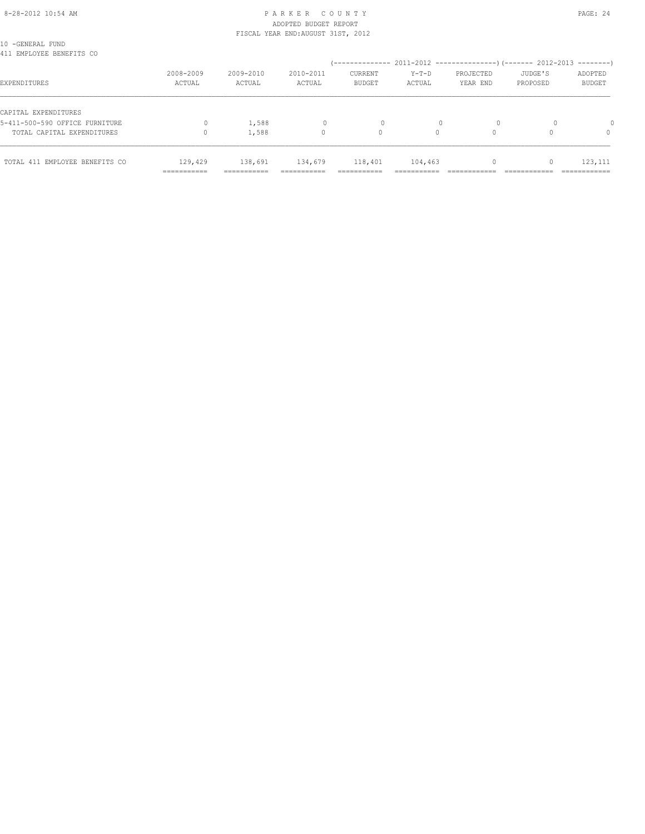# 8-28-2012 10:54 AM P A R K E R C O U N T Y PAGE: 24 ADOPTED BUDGET REPORT

|                                              |           | FISCAL YEAR END: AUGUST 31ST, 2012 |           |               |          |           |          |               |  |
|----------------------------------------------|-----------|------------------------------------|-----------|---------------|----------|-----------|----------|---------------|--|
| 10 -GENERAL FUND<br>411 EMPLOYEE BENEFITS CO |           |                                    |           |               |          |           |          |               |  |
|                                              |           |                                    |           |               |          |           |          |               |  |
|                                              | 2008-2009 | 2009-2010                          | 2010-2011 | CURRENT       | Y-T-D    | PROJECTED | JUDGE'S  | ADOPTED       |  |
| EXPENDITURES                                 | ACTUAL    | ACTUAL                             | ACTUAL    | <b>BUDGET</b> | ACTUAL   | YEAR END  | PROPOSED | <b>BUDGET</b> |  |
| CAPITAL EXPENDITURES                         |           |                                    |           |               |          |           |          |               |  |
| 5-411-500-590 OFFICE FURNITURE               |           | 1,588                              |           |               |          |           |          |               |  |
| TOTAL CAPITAL EXPENDITURES                   |           | 1,588                              | 0         | 0             | $\Omega$ |           |          | $\Omega$      |  |
| TOTAL 411 EMPLOYEE BENEFITS CO               | 129,429   | 138,691                            | 134,679   | 118,401       | 104,463  |           |          | 123,111       |  |

=========== =========== =========== =========== =========== ============ ============ ============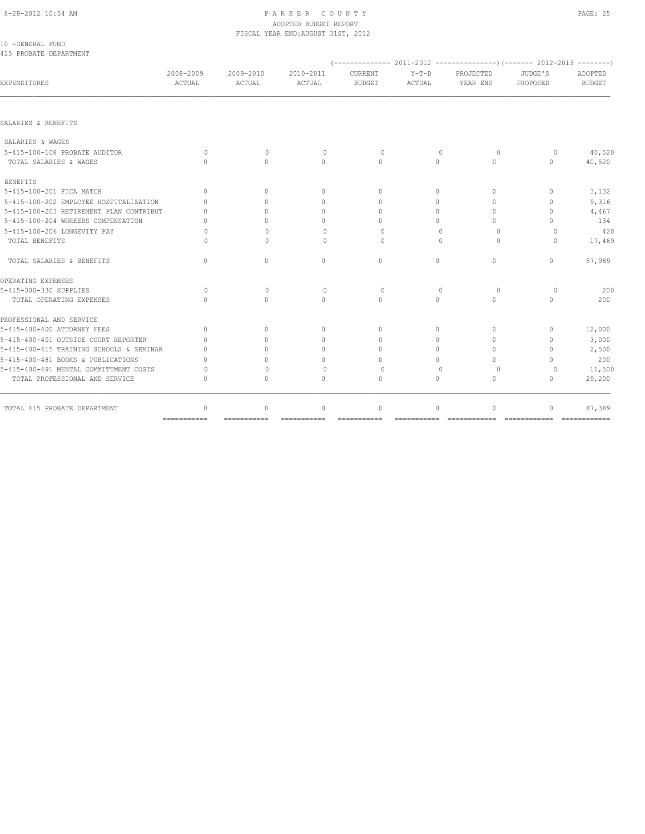# ADOPTED BUDGET REPORT

| 10 -GENERAL FUND                         |                     |                     | FISCAL YEAR END: AUGUST 31ST, 2012 |                                  |                   |                       |                                  |                          |  |  |  |  |
|------------------------------------------|---------------------|---------------------|------------------------------------|----------------------------------|-------------------|-----------------------|----------------------------------|--------------------------|--|--|--|--|
| 415 PROBATE DEPARTMENT                   |                     |                     |                                    |                                  |                   |                       |                                  |                          |  |  |  |  |
|                                          |                     |                     |                                    |                                  |                   |                       |                                  |                          |  |  |  |  |
| EXPENDITURES                             | 2008-2009<br>ACTUAL | 2009-2010<br>ACTUAL | 2010-2011<br>ACTUAL                | <b>CURRENT</b><br><b>BUDGET</b>  | $Y-T-D$<br>ACTUAL | PROJECTED<br>YEAR END | JUDGE'S<br>PROPOSED              | ADOPTED<br><b>BUDGET</b> |  |  |  |  |
|                                          |                     |                     |                                    |                                  |                   |                       |                                  |                          |  |  |  |  |
| SALARIES & BENEFITS                      |                     |                     |                                    |                                  |                   |                       |                                  |                          |  |  |  |  |
| SALARIES & WAGES                         |                     |                     |                                    |                                  |                   |                       |                                  |                          |  |  |  |  |
| 5-415-100-108 PROBATE AUDITOR            | $\circ$             | $\mathbf{0}$        | $\circ$                            | $\circ$                          | $\mathbf{0}$      | $\circ$               | $\circ$                          | 40,520                   |  |  |  |  |
| TOTAL SALARIES & WAGES                   | $\Omega$            | $\Omega$            | $\Omega$                           | $\Omega$                         | $\Omega$          | $\Omega$              | $\circ$                          | 40,520                   |  |  |  |  |
| <b>BENEFITS</b>                          |                     |                     |                                    |                                  |                   |                       |                                  |                          |  |  |  |  |
| 5-415-100-201 FICA MATCH                 | $\Omega$            | $\Omega$            | $\Omega$                           | $\Omega$                         | $\Omega$          | $\Omega$              | $\begin{array}{c} \n\end{array}$ | 3,132                    |  |  |  |  |
| 5-415-100-202 EMPLOYEE HOSPITALIZATION   | $\cap$              | $\cap$              | $\Omega$                           | $\Omega$                         | $\Omega$          | $\Omega$              | $\Omega$                         | 9,316                    |  |  |  |  |
| 5-415-100-203 RETIREMENT PLAN CONTRIBUT  | $\cap$              | $\cap$              | $\Omega$                           | $\cap$                           | $\Omega$          | $\Omega$              | $\Omega$                         | 4,467                    |  |  |  |  |
| 5-415-100-204 WORKERS COMPENSATION       | $\cap$              | $\cap$              | $\Omega$                           | $\Omega$                         | $\Omega$          | $\Omega$              | $\Omega$                         | 134                      |  |  |  |  |
| 5-415-100-206 LONGEVITY PAY              | U                   | $\bigcap$           | $\begin{array}{c} \n\end{array}$   | $\Omega$                         | $\Omega$          | $\Omega$              | $\Omega$                         | 420                      |  |  |  |  |
| TOTAL BENEFITS                           | U                   | $\bigcap$           | $\begin{array}{c} \n\end{array}$   | $\Omega$                         | $\bigcap$         | $\Omega$              | $\bigcap$                        | 17,469                   |  |  |  |  |
| TOTAL SALARIES & BENEFITS                | $\circ$             | $\circ$             | $\circ$                            | $\circ$                          | $\circ$           | $\circ$               | $\circ$                          | 57,989                   |  |  |  |  |
| OPERATING EXPENSES                       |                     |                     |                                    |                                  |                   |                       |                                  |                          |  |  |  |  |
| 5-415-300-330 SUPPLIES                   | $\Omega$            | $\mathbf{0}$        | $\Omega$                           | $\Omega$                         | $\Omega$          | $\Omega$              | $\Omega$                         | 200                      |  |  |  |  |
| TOTAL OPERATING EXPENSES                 | $\bigcap$           | $\Omega$            | $\cap$                             | $\Omega$                         | $\Omega$          | $\Omega$              | $\bigcap$                        | 200                      |  |  |  |  |
| PROFESSIONAL AND SERVICE                 |                     |                     |                                    |                                  |                   |                       |                                  |                          |  |  |  |  |
| 5-415-400-400 ATTORNEY FEES              | $\Omega$            | $\Omega$            | $\Omega$                           | $\Omega$                         | $\Omega$          | $\Omega$              | $\begin{array}{c} \n\end{array}$ | 12,000                   |  |  |  |  |
| 5-415-400-401 OUTSIDE COURT REPORTER     | $\Omega$            | $\Omega$            | $\begin{array}{c} \n\end{array}$   | $\begin{array}{c} \n\end{array}$ | $\circ$           | $\Omega$              | $\mathbf{0}$                     | 3,000                    |  |  |  |  |
| 5-415-400-415 TRAINING SCHOOLS & SEMINAR | $\cap$              | $\bigcap$           | $\Omega$                           | $\cap$                           | $\Omega$          | $\bigcap$             | $\Omega$                         | 2,500                    |  |  |  |  |
| 5-415-400-481 BOOKS & PUBLICATIONS       | $\Omega$            | $\Omega$            | $\Omega$                           | $\Omega$                         | $\Omega$          | $\Omega$              | $\Omega$                         | 200                      |  |  |  |  |
| 5-415-400-491 MENTAL COMMITTMENT COSTS   | $\Omega$            | $\Omega$            | $\begin{array}{c} \n\end{array}$   | $\Omega$                         | $\Omega$          | $\Omega$              | $\Omega$                         | 11,500                   |  |  |  |  |
| TOTAL PROFESSIONAL AND SERVICE           | $\cap$              | $\Omega$            | $\Omega$                           | $\Omega$                         | $\Omega$          | $\Omega$              | $\begin{array}{c} \n\end{array}$ | 29,200                   |  |  |  |  |
| TOTAL 415 PROBATE DEPARTMENT             | $\circ$             | $\mathbf{0}$        | $\circ$                            | $\mathbf{0}$                     | $\circ$           | $\mathbf{0}$          | $\mathbf{0}$                     | 87,389                   |  |  |  |  |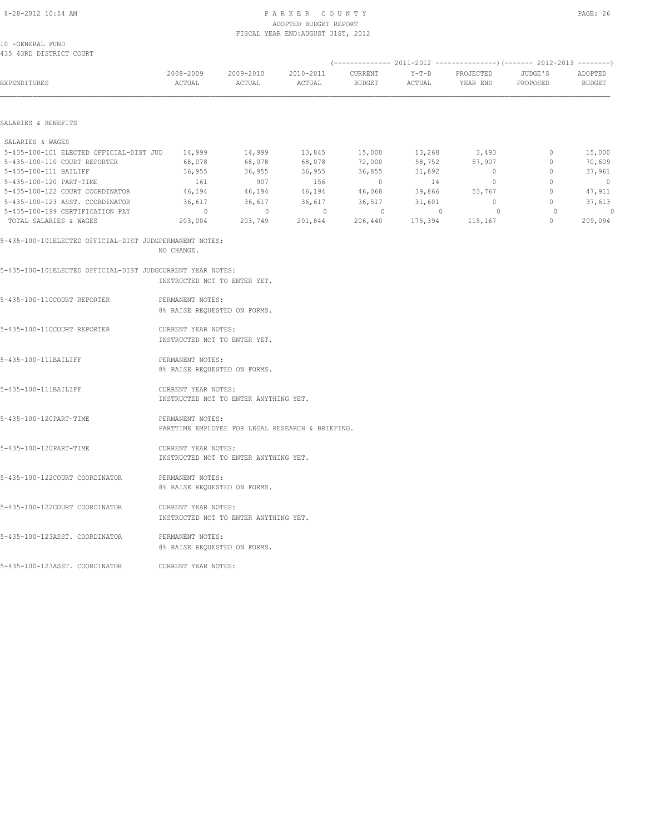#### 8-28-2012 10:54 AM P A R K E R C O U N T Y PAGE: 26 ADOPTED BUDGET REPORT FISCAL YEAR END:AUGUST 31ST, 2012

10 -GENERAL FUND 435 43RD DISTRICT COURT

| 435 43RD DISTRICT COURT                                    |                              |                                                  |                     |                   |                   |                       |                     |                          |
|------------------------------------------------------------|------------------------------|--------------------------------------------------|---------------------|-------------------|-------------------|-----------------------|---------------------|--------------------------|
| EXPENDITURES                                               | 2008-2009<br>ACTUAL          | 2009-2010<br>ACTUAL                              | 2010-2011<br>ACTUAL | CURRENT<br>BUDGET | $Y-T-D$<br>ACTUAL | PROJECTED<br>YEAR END | JUDGE'S<br>PROPOSED | ADOPTED<br><b>BUDGET</b> |
|                                                            |                              |                                                  |                     |                   |                   |                       |                     |                          |
| SALARIES & BENEFITS                                        |                              |                                                  |                     |                   |                   |                       |                     |                          |
| SALARIES & WAGES                                           |                              |                                                  |                     |                   |                   |                       |                     |                          |
| 5-435-100-101 ELECTED OFFICIAL-DIST JUD                    | 14,999                       | 14,999                                           | 13,845              | 15,000            | 13,268            | 3,493                 | $\circ$             | 15,000                   |
| 5-435-100-110 COURT REPORTER                               | 68,078                       | 68,078                                           | 68,078              | 72,000            | 58,752            | 57,907                | $\mathbb O$         | 70,609                   |
| 5-435-100-111 BAILIFF                                      | 36,955                       | 36,955                                           | 36,955              | 36,855            | 31,892            | $\mathbf{0}$          | $\mathbf{0}$        | 37,961                   |
| 5-435-100-120 PART-TIME                                    | 161                          | 907                                              | 156                 | $\circ$           | 14                | $\circ$               | $\circ$             | $\circ$                  |
| 5-435-100-122 COURT COORDINATOR                            | 46,194                       | 46,194                                           | 46,194              | 46,068            | 39,866            | 53,767                | $\circ$             | 47,911                   |
| 5-435-100-123 ASST. COORDINATOR                            | 36,617                       | 36,617                                           | 36,617              | 36,517            | 31,601            | $\circ$               | $\circ$             | 37,613                   |
| 5-435-100-199 CERTIFICATION PAY                            | $\circ$                      | $\overline{0}$                                   | $\sim$ 0            | $\circ$           | $\mathbb O$       | $\circ$               | $\circ$             | $\circ$                  |
| TOTAL SALARIES & WAGES                                     | 203,004                      | 203,749                                          | 201,844             | 206,440           | 175,394           | 115,167               | $\mathbf{0}$        | 209,094                  |
| 5-435-100-101ELECTED OFFICIAL-DIST JUDGPERMANENT NOTES:    |                              |                                                  |                     |                   |                   |                       |                     |                          |
|                                                            | NO CHANGE.                   |                                                  |                     |                   |                   |                       |                     |                          |
| 5-435-100-101ELECTED OFFICIAL-DIST JUDGCURRENT YEAR NOTES: |                              |                                                  |                     |                   |                   |                       |                     |                          |
|                                                            | INSTRUCTED NOT TO ENTER YET. |                                                  |                     |                   |                   |                       |                     |                          |
| 5-435-100-110COURT REPORTER                                | PERMANENT NOTES:             |                                                  |                     |                   |                   |                       |                     |                          |
|                                                            | 8% RAISE REQUESTED ON FORMS. |                                                  |                     |                   |                   |                       |                     |                          |
|                                                            |                              |                                                  |                     |                   |                   |                       |                     |                          |
| 5-435-100-110COURT REPORTER                                | CURRENT YEAR NOTES:          |                                                  |                     |                   |                   |                       |                     |                          |
|                                                            | INSTRUCTED NOT TO ENTER YET. |                                                  |                     |                   |                   |                       |                     |                          |
| 5-435-100-111BAILIFF                                       | PERMANENT NOTES:             |                                                  |                     |                   |                   |                       |                     |                          |
|                                                            | 8% RAISE REQUESTED ON FORMS. |                                                  |                     |                   |                   |                       |                     |                          |
| 5-435-100-111BAILIFF                                       | CURRENT YEAR NOTES:          |                                                  |                     |                   |                   |                       |                     |                          |
|                                                            |                              | INSTRUCTED NOT TO ENTER ANYTHING YET.            |                     |                   |                   |                       |                     |                          |
|                                                            |                              |                                                  |                     |                   |                   |                       |                     |                          |
| 5-435-100-120PART-TIME                                     | PERMANENT NOTES:             | PARTTIME EMPLOYEE FOR LEGAL RESEARCH & BRIEFING. |                     |                   |                   |                       |                     |                          |
|                                                            |                              |                                                  |                     |                   |                   |                       |                     |                          |
| 5-435-100-120PART-TIME                                     | CURRENT YEAR NOTES:          |                                                  |                     |                   |                   |                       |                     |                          |
|                                                            |                              | INSTRUCTED NOT TO ENTER ANYTHING YET.            |                     |                   |                   |                       |                     |                          |
| 5-435-100-122COURT COORDINATOR                             | PERMANENT NOTES:             |                                                  |                     |                   |                   |                       |                     |                          |
|                                                            | 8% RAISE REQUESTED ON FORMS. |                                                  |                     |                   |                   |                       |                     |                          |
|                                                            |                              |                                                  |                     |                   |                   |                       |                     |                          |
| 5-435-100-122COURT COORDINATOR                             | CURRENT YEAR NOTES:          |                                                  |                     |                   |                   |                       |                     |                          |

INSTRUCTED NOT TO ENTER ANYTHING YET.

8% RAISE REQUESTED ON FORMS.

5-435-100-123ASST. COORDINATOR PERMANENT NOTES:

5-435-100-123ASST. COORDINATOR CURRENT YEAR NOTES: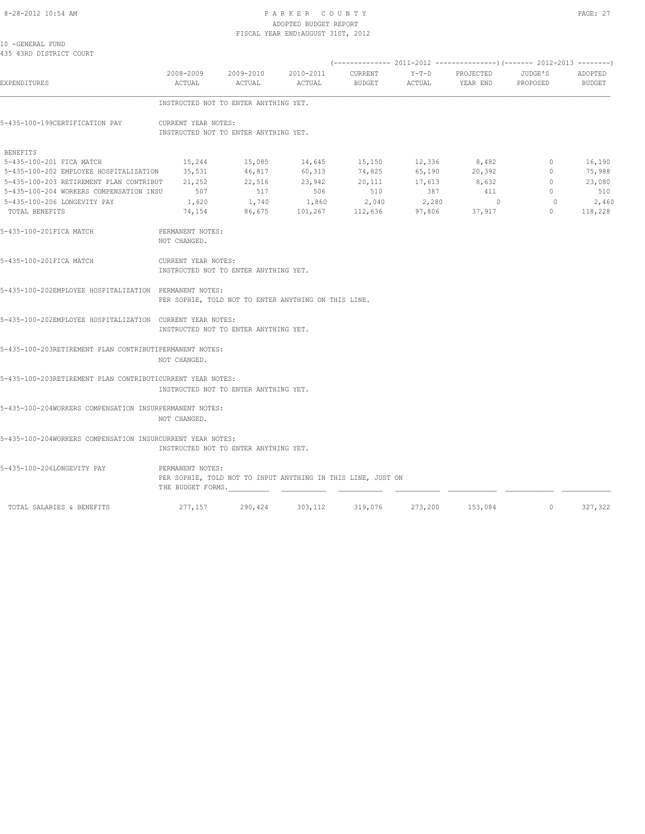#### 8-28-2012 10:54 AM PAGE: 27 ADOPTED BUDGET REPORT FISCAL YEAR END:AUGUST 31ST, 2012

10 -GENERAL FUND 435 43RD DISTRICT COURT

| <b>EXPENDITURES</b>                                        | ACTUAL                                                       | ACTUAL | 2008-2009 2009-2010 2010-2011 CURRENT<br>ACTUAL      | BUDGET ACTUAL                                                     |     | Y-T-D PROJECTED JUDGE'S<br>YEAR END | PROPOSED       | ADOPTED<br>BUDGET |  |  |  |  |  |
|------------------------------------------------------------|--------------------------------------------------------------|--------|------------------------------------------------------|-------------------------------------------------------------------|-----|-------------------------------------|----------------|-------------------|--|--|--|--|--|
|                                                            | INSTRUCTED NOT TO ENTER ANYTHING YET.                        |        |                                                      |                                                                   |     |                                     |                |                   |  |  |  |  |  |
| 5-435-100-199CERTIFICATION PAY                             | CURRENT YEAR NOTES:<br>INSTRUCTED NOT TO ENTER ANYTHING YET. |        |                                                      |                                                                   |     |                                     |                |                   |  |  |  |  |  |
| BENEFITS                                                   |                                                              |        |                                                      |                                                                   |     |                                     |                |                   |  |  |  |  |  |
| 5-435-100-201 FICA MATCH                                   | 15,244                                                       | 15,085 |                                                      |                                                                   |     | 8,482                               | $\circ$        | 16,190            |  |  |  |  |  |
| 5-435-100-202 EMPLOYEE HOSPITALIZATION                     | 35,531                                                       | 46,817 |                                                      | $14,645$ $15,150$ $12,336$ $8,482$<br>60,313 74,825 65,190 20,392 |     |                                     | $\circ$        | 75,988            |  |  |  |  |  |
| 5-435-100-203 RETIREMENT PLAN CONTRIBUT 21,252             |                                                              | 22,516 |                                                      | 23,942 20,111 17,613 8,632                                        |     |                                     | $\mathbf 0$    | 23,080            |  |  |  |  |  |
| 5-435-100-204 WORKERS COMPENSATION INSU 507                |                                                              | 517    | 506                                                  | 510                                                               | 387 | 411                                 | $\overline{0}$ | 510               |  |  |  |  |  |
| 5-435-100-206 LONGEVITY PAY                                | 1,620                                                        |        |                                                      | $1,740$ $1,860$ $2,040$ $2,280$                                   |     | $\sim$ 0                            | $\overline{0}$ | 2,460             |  |  |  |  |  |
| TOTAL BENEFITS                                             | 74,154                                                       | 86,675 |                                                      | $101, 267$ $112, 636$ $97, 806$ $37, 917$                         |     |                                     | $\overline{0}$ | 118,228           |  |  |  |  |  |
| 5-435-100-201FICA MATCH                                    | PERMANENT NOTES:<br>NOT CHANGED.                             |        |                                                      |                                                                   |     |                                     |                |                   |  |  |  |  |  |
| 5-435-100-201FICA MATCH                                    | CURRENT YEAR NOTES:<br>INSTRUCTED NOT TO ENTER ANYTHING YET. |        |                                                      |                                                                   |     |                                     |                |                   |  |  |  |  |  |
| 5-435-100-202EMPLOYEE HOSPITALIZATION PERMANENT NOTES:     |                                                              |        | PER SOPHIE, TOLD NOT TO ENTER ANYTHING ON THIS LINE. |                                                                   |     |                                     |                |                   |  |  |  |  |  |
| 5-435-100-202EMPLOYEE HOSPITALIZATION CURRENT YEAR NOTES:  | INSTRUCTED NOT TO ENTER ANYTHING YET.                        |        |                                                      |                                                                   |     |                                     |                |                   |  |  |  |  |  |
| 5-435-100-203RETIREMENT PLAN CONTRIBUTIPERMANENT NOTES:    |                                                              |        |                                                      |                                                                   |     |                                     |                |                   |  |  |  |  |  |
|                                                            | NOT CHANGED.                                                 |        |                                                      |                                                                   |     |                                     |                |                   |  |  |  |  |  |
| 5-435-100-203RETIREMENT PLAN CONTRIBUTICURRENT YEAR NOTES: | INSTRUCTED NOT TO ENTER ANYTHING YET.                        |        |                                                      |                                                                   |     |                                     |                |                   |  |  |  |  |  |
|                                                            |                                                              |        |                                                      |                                                                   |     |                                     |                |                   |  |  |  |  |  |
| 5-435-100-204WORKERS COMPENSATION INSURPERMANENT NOTES:    | NOT CHANGED.                                                 |        |                                                      |                                                                   |     |                                     |                |                   |  |  |  |  |  |
| 5-435-100-204WORKERS COMPENSATION INSURCURRENT YEAR NOTES: | INSTRUCTED NOT TO ENTER ANYTHING YET.                        |        |                                                      |                                                                   |     |                                     |                |                   |  |  |  |  |  |
| 5-435-100-206LONGEVITY PAY                                 | PERMANENT NOTES:<br>THE BUDGET FORMS.                        |        |                                                      | PER SOPHIE, TOLD NOT TO INPUT ANYTHING IN THIS LINE, JUST ON      |     |                                     |                |                   |  |  |  |  |  |
| TOTAL SALARIES & BENEFITS                                  |                                                              |        |                                                      | 277,157 290,424 303,112 319,076 273,200 153,084                   |     |                                     | $\sim$ 0       | 327,322           |  |  |  |  |  |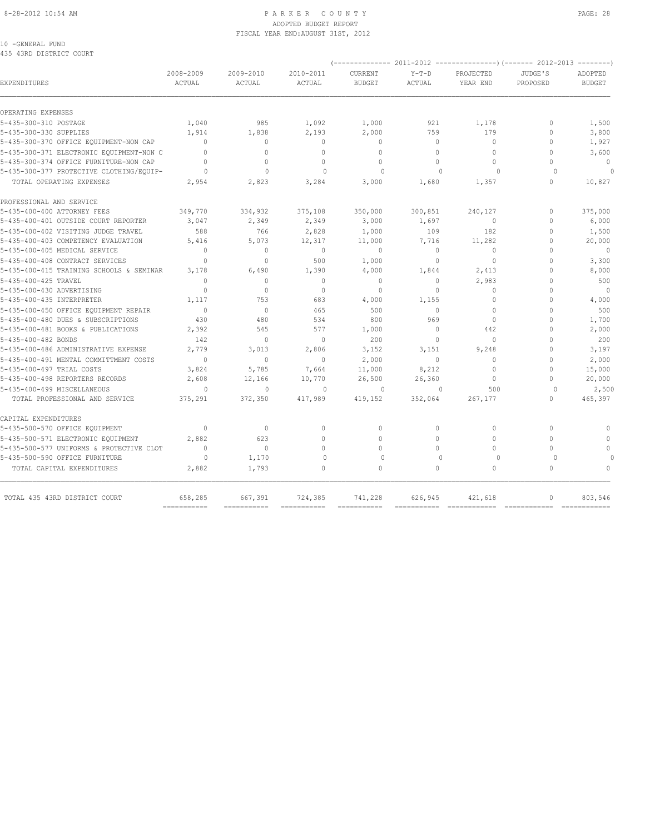#### 8-28-2012 10:54 AM PAGE: 28 ADOPTED BUDGET REPORT FISCAL YEAR END:AUGUST 31ST, 2012

### 10 -GENERAL FUND

435 43RD DISTRICT COURT

|                                          |                     |                     |                     | (-------------- 2011-2012 |                          | ----------------) (------- 2012-2013 |                     | --------                 |
|------------------------------------------|---------------------|---------------------|---------------------|---------------------------|--------------------------|--------------------------------------|---------------------|--------------------------|
| EXPENDITURES                             | 2008-2009<br>ACTUAL | 2009-2010<br>ACTUAL | 2010-2011<br>ACTUAL | CURRENT<br><b>BUDGET</b>  | $Y-T-D$<br><b>ACTUAL</b> | PROJECTED<br>YEAR END                | JUDGE'S<br>PROPOSED | ADOPTED<br><b>BUDGET</b> |
| OPERATING EXPENSES                       |                     |                     |                     |                           |                          |                                      |                     |                          |
| 5-435-300-310 POSTAGE                    | 1,040               | 985                 | 1,092               | 1,000                     | 921                      | 1,178                                | $\Omega$            | 1,500                    |
| 5-435-300-330 SUPPLIES                   | 1,914               | 1,838               | 2,193               | 2,000                     | 759                      | 179                                  | $\Omega$            | 3,800                    |
| 5-435-300-370 OFFICE EQUIPMENT-NON CAP   | $\Omega$            | $\Omega$            | $\Omega$            | $\Omega$                  | $\Omega$                 | $\Omega$                             | $\Omega$            | 1,927                    |
| 5-435-300-371 ELECTRONIC EQUIPMENT-NON C | $\Omega$            | $\circ$             | $\Omega$            | $\mathbf{0}$              | $\Omega$                 | $\Omega$                             | $\Omega$            | 3,600                    |
| 5-435-300-374 OFFICE FURNITURE-NON CAP   | $\Omega$            | $\circ$             | $\mathbf{0}$        | $\mathbf{0}$              | $\Omega$                 | $\Omega$                             | $\bigcap$           | $\mathbf{0}$             |
| 5-435-300-377 PROTECTIVE CLOTHING/EQUIP- | $\Omega$            | $\Omega$            | $\Omega$            | $\Omega$                  | $\Omega$                 | $\cap$                               | $\Omega$            |                          |
| TOTAL OPERATING EXPENSES                 | 2,954               | 2,823               | 3,284               | 3,000                     | 1,680                    | 1,357                                | $\circ$             | 10,827                   |
| PROFESSIONAL AND SERVICE                 |                     |                     |                     |                           |                          |                                      |                     |                          |
| 5-435-400-400 ATTORNEY FEES              | 349,770             | 334,932             | 375,108             | 350,000                   | 300,851                  | 240,127                              | $\Omega$            | 375,000                  |
| 5-435-400-401 OUTSIDE COURT REPORTER     | 3,047               | 2,349               | 2,349               | 3,000                     | 1,697                    | $\mathbf{0}$                         | $\Omega$            | 6,000                    |
| 5-435-400-402 VISITING JUDGE TRAVEL      | 588                 | 766                 | 2,828               | 1,000                     | 109                      | 182                                  | $\Omega$            | 1,500                    |
| 5-435-400-403 COMPETENCY EVALUATION      | 5,416               | 5,073               | 12,317              | 11,000                    | 7,716                    | 11,282                               | $\Omega$            | 20,000                   |
| 5-435-400-405 MEDICAL SERVICE            | $\Omega$            | $\mathbf{0}$        | $\mathbf{0}$        | $\mathbf{0}$              | $\circ$                  | $\mathbf{0}$                         | $\cap$              | $\mathbf{0}$             |
| 5-435-400-408 CONTRACT SERVICES          | $\Omega$            | $\Omega$            | 500                 | 1,000                     | $\circ$                  | $\mathbf{0}$                         | $\Omega$            | 3,300                    |
| 5-435-400-415 TRAINING SCHOOLS & SEMINAR | 3,178               | 6,490               | 1,390               | 4,000                     | 1,844                    | 2,413                                | $\Omega$            | 8,000                    |
| 5-435-400-425 TRAVEL                     | $\Omega$            | $\Omega$            | $\Omega$            | $\mathbf{0}$              | $\Omega$                 | 2,983                                | $\Omega$            | 500                      |
| 5-435-400-430 ADVERTISING                | $\mathbf{0}$        | $\mathbf{0}$        | $\mathbf{0}$        | $\mathbf{0}$              | $\circ$                  | $\mathbf{0}$                         | $\mathbf{0}$        | $\overline{0}$           |
| 5-435-400-435 INTERPRETER                | 1,117               | 753                 | 683                 | 4,000                     | 1,155                    | $\mathbf{0}$                         | $\mathbf{0}$        | 4,000                    |
| 5-435-400-450 OFFICE EQUIPMENT REPAIR    | $\cap$              | $\Omega$            | 465                 | 500                       | $\Omega$                 | $\Omega$                             | $\Omega$            | 500                      |
| 5-435-400-480 DUES & SUBSCRIPTIONS       | 430                 | 480                 | 534                 | 800                       | 969                      | $\mathbf{0}$                         | $\cap$              | 1,700                    |
| 5-435-400-481 BOOKS & PUBLICATIONS       | 2,392               | 545                 | 577                 | 1,000                     | $\circ$                  | 442                                  | $\Omega$            | 2,000                    |
| 5-435-400-482 BONDS                      | 142                 | $\circ$             | $\circ$             | 200                       | $\circ$                  | $\mathbf{0}$                         | $\Omega$            | 200                      |
| 5-435-400-486 ADMINISTRATIVE EXPENSE     | 2,779               | 3,013               | 2,806               | 3,152                     | 3,151                    | 9,248                                | $\mathbf{0}$        | 3,197                    |
| 5-435-400-491 MENTAL COMMITTMENT COSTS   | $\Omega$            | $\Omega$            | $\Omega$            | 2,000                     | $\Omega$                 | $\Omega$                             | $\Omega$            | 2,000                    |
| 5-435-400-497 TRIAL COSTS                | 3,824               | 5,785               | 7,664               | 11,000                    | 8,212                    | $\Omega$                             | $\Omega$            | 15,000                   |
| 5-435-400-498 REPORTERS RECORDS          | 2,608               | 12,166              | 10,770              | 26,500                    | 26,360                   | $\Omega$                             | $\bigcap$           | 20,000                   |
| 5-435-400-499 MISCELLANEOUS              | $\Omega$            | $\Omega$            | $\Omega$            | $\Omega$                  | $\Omega$                 | 500                                  | $\cap$              | 2,500                    |
| TOTAL PROFESSIONAL AND SERVICE           | 375,291             | 372,350             | 417,989             | 419,152                   | 352,064                  | 267,177                              | $\circ$             | 465,397                  |
| CAPITAL EXPENDITURES                     |                     |                     |                     |                           |                          |                                      |                     |                          |
| 5-435-500-570 OFFICE EQUIPMENT           | $\Omega$            | $\Omega$            | $\Omega$            | $\Omega$                  | $\Omega$                 | $\circ$                              | $\Omega$            | $\Omega$                 |
| 5-435-500-571 ELECTRONIC EQUIPMENT       | 2,882               | 623                 | $\Omega$            | $\Omega$                  | $\Omega$                 | $\Omega$                             | $\Omega$            | $\mathbf{0}$             |
| 5-435-500-577 UNIFORMS & PROTECTIVE CLOT | $\Omega$            | $\mathbf{0}$        | $\Omega$            | $\Omega$                  | $\Omega$                 | $\Omega$                             | $\bigcap$           | $\Omega$                 |
| 5-435-500-590 OFFICE FURNITURE           | $\circ$             | 1,170               | $\mathbf{0}$        | $\mathbf 0$               | $\Omega$                 | $\circ$                              | $\Omega$            |                          |
| TOTAL CAPITAL EXPENDITURES               | 2,882               | 1,793               | $\Omega$            | $\mathbf{0}$              | $\Omega$                 | $\circ$                              | $\Omega$            | $\Omega$                 |
| TOTAL 435 43RD DISTRICT COURT            | 658,285             | 667,391             | 724,385             | 741,228                   | 626,945                  | 421,618                              | $\mathbf{0}$        | 803,546                  |
|                                          | ===========         | ===========         | ===========         | ===========               |                          |                                      | =============       | =============            |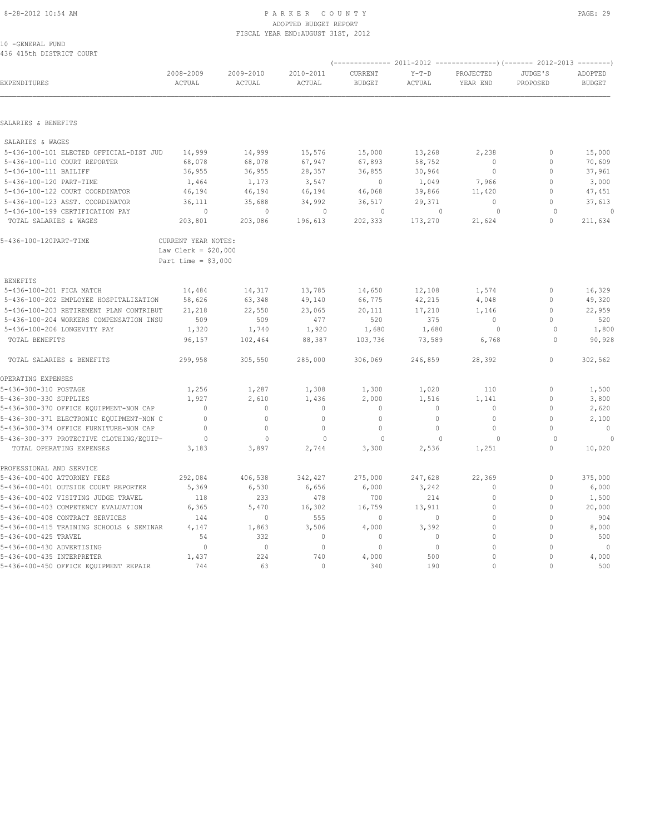#### 8-28-2012 10:54 AM PAGE: 29 PARKER COUNTY ADOPTED BUDGET REPORT FISCAL YEAR END:AUGUST 31ST, 2012

10 -GENERAL FUND 436 415th DISTRICT COURT

| EXPENDITURES                             | 2008-2009<br>ACTUAL   | 2009-2010<br>ACTUAL | 2010-2011<br>ACTUAL | CURRENT<br><b>BUDGET</b> | $Y-T-D$<br>ACTUAL | PROJECTED<br>YEAR END | JUDGE'S<br>PROPOSED | ADOPTED<br><b>BUDGET</b> |
|------------------------------------------|-----------------------|---------------------|---------------------|--------------------------|-------------------|-----------------------|---------------------|--------------------------|
|                                          |                       |                     |                     |                          |                   |                       |                     |                          |
| SALARIES & BENEFITS                      |                       |                     |                     |                          |                   |                       |                     |                          |
| SALARIES & WAGES                         |                       |                     |                     |                          |                   |                       |                     |                          |
| 5-436-100-101 ELECTED OFFICIAL-DIST JUD  | 14,999                | 14,999              | 15,576              | 15,000                   | 13,268            | 2,238                 | $\circ$             | 15,000                   |
| 5-436-100-110 COURT REPORTER             | 68,078                | 68,078              | 67,947              | 67,893                   | 58,752            | $\Omega$              | $\circ$             | 70,609                   |
| 5-436-100-111 BAILIFF                    | 36,955                | 36,955              | 28,357              | 36,855                   | 30,964            | $\circ$               | $\circ$             | 37,961                   |
| 5-436-100-120 PART-TIME                  | 1,464                 | 1,173               | 3,547               | $\circ$                  | 1,049             | 7,966                 | $\mathbf{0}$        | 3,000                    |
| 5-436-100-122 COURT COORDINATOR          | 46,194                | 46,194              | 46,194              | 46,068                   | 39,866            | 11,420                | $\Omega$            | 47,451                   |
| 5-436-100-123 ASST. COORDINATOR          | 36,111                | 35,688              | 34,992              | 36,517                   | 29,371            | $\Omega$              | $\circ$             | 37,613                   |
| 5-436-100-199 CERTIFICATION PAY          | $\circ$               | $\mathbf{0}$        | $\mathbf{0}$        | $\mathbf{0}$             | $\mathbf{0}$      | $\circ$               | $\Omega$            | $\Omega$                 |
| TOTAL SALARIES & WAGES                   | 203,801               | 203,086             | 196,613             | 202,333                  | 173,270           | 21,624                | $\circ$             | 211,634                  |
| 5-436-100-120PART-TIME                   | CURRENT YEAR NOTES:   |                     |                     |                          |                   |                       |                     |                          |
|                                          | Law Clerk = $$20,000$ |                     |                     |                          |                   |                       |                     |                          |
|                                          | Part time = $$3,000$  |                     |                     |                          |                   |                       |                     |                          |
| <b>BENEFITS</b>                          |                       |                     |                     |                          |                   |                       |                     |                          |
| 5-436-100-201 FICA MATCH                 | 14,484                | 14,317              | 13,785              | 14,650                   | 12,108            | 1,574                 | $\mathbf{0}$        | 16,329                   |
| 5-436-100-202 EMPLOYEE HOSPITALIZATION   | 58,626                | 63,348              | 49,140              | 66,775                   | 42,215            | 4,048                 | $\mathbf{0}$        | 49,320                   |
| 5-436-100-203 RETIREMENT PLAN CONTRIBUT  | 21,218                | 22,550              | 23,065              | 20,111                   | 17,210            | 1,146                 | $\circ$             | 22,959                   |
| 5-436-100-204 WORKERS COMPENSATION INSU  | 509                   | 509                 | 477                 | 520                      | 375               | $\circ$               | $\circ$             | 520                      |
| 5-436-100-206 LONGEVITY PAY              | 1,320                 | 1,740               | 1,920               | 1,680                    | 1,680             | $\circ$               | $\Omega$            | 1,800                    |
| TOTAL BENEFITS                           | 96,157                | 102,464             | 88,387              | 103,736                  | 73,589            | 6,768                 | $\Omega$            | 90,928                   |
| TOTAL SALARIES & BENEFITS                | 299,958               | 305,550             | 285,000             | 306,069                  | 246,859           | 28,392                | $\circ$             | 302,562                  |
| OPERATING EXPENSES                       |                       |                     |                     |                          |                   |                       |                     |                          |
| 5-436-300-310 POSTAGE                    | 1,256                 | 1,287               | 1,308               | 1,300                    | 1,020             | 110                   | $\mathbf{0}$        | 1,500                    |
| 5-436-300-330 SUPPLIES                   | 1,927                 | 2,610               | 1,436               | 2,000                    | 1,516             | 1,141                 | $\circ$             | 3,800                    |
| 5-436-300-370 OFFICE EQUIPMENT-NON CAP   | $\overline{0}$        | $\circ$             | $\circ$             | $\mathbf 0$              | $\circ$           | $\circ$               | $\mathbf{0}$        | 2,620                    |
| 5-436-300-371 ELECTRONIC EQUIPMENT-NON C | $\circ$               | $\mathbf{0}$        | $\circ$             | $\mathbf{0}$             | $\circ$           | $\circ$               | $\circ$             | 2,100                    |
| 5-436-300-374 OFFICE FURNITURE-NON CAP   | $\mathbf{0}$          | 0                   | $\mathbf 0$         | $\mathbf 0$              | $\circ$           | $\circ$               | $\mathbf{0}$        | $\overline{0}$           |
| 5-436-300-377 PROTECTIVE CLOTHING/EQUIP- | $\overline{0}$        | $\circ$             | $\mathbf{0}$        | $\circ$                  | $\mathbf{0}$      | $\circ$               | $\circ$             | $\overline{0}$           |
| TOTAL OPERATING EXPENSES                 | 3,183                 | 3,897               | 2,744               | 3,300                    | 2,536             | 1,251                 | $\Omega$            | 10,020                   |
| PROFESSIONAL AND SERVICE                 |                       |                     |                     |                          |                   |                       |                     |                          |
| 5-436-400-400 ATTORNEY FEES              | 292,084               | 406,538             | 342,427             | 275,000                  | 247,628           | 22,369                | $\circ$             | 375,000                  |
| 5-436-400-401 OUTSIDE COURT REPORTER     | 5,369                 | 6,530               | 6,656               | 6,000                    | 3,242             | $\mathbf{0}$          | $\circ$             | 6,000                    |
| 5-436-400-402 VISITING JUDGE TRAVEL      | 118                   | 233                 | 478                 | 700                      | 214               | $\mathbf{0}$          | $\circ$             | 1,500                    |
| 5-436-400-403 COMPETENCY EVALUATION      | 6,365                 | 5,470               | 16,302              | 16,759                   | 13,911            | $\mathbf{0}$          | $\mathbf{0}$        | 20,000                   |
| 5-436-400-408 CONTRACT SERVICES          | 144                   | $\mathbf{0}$        | 555                 | $\overline{0}$           | $\circ$           | $\mathbf{0}$          | $\Omega$            | 904                      |
| 5-436-400-415 TRAINING SCHOOLS & SEMINAR | 4,147                 | 1,863               | 3,506               | 4,000                    | 3,392             | $\mathbf{0}$          | $\mathbf{0}$        | 8,000                    |
| 5-436-400-425 TRAVEL                     | 54                    | 332                 | $\mathbb O$         | $\mathbb O$              | $\Omega$          | $\Omega$              | $\Omega$            | 500                      |
| 5-436-400-430 ADVERTISING                | $\mathbf{0}$          | $\circ$             | $\mathbf{0}$        | $\mathbf{0}$             | $\circ$           | $\mathbf{0}$          | $\bigcap$           | $\sim$ 0                 |
| 5-436-400-435 INTERPRETER                | 1,437                 | 224                 | 740                 | 4,000                    | 500               | $\Omega$              | $\Omega$            | 4,000                    |
| 5-436-400-450 OFFICE EQUIPMENT REPAIR    | 744                   | 63                  | $\Omega$            | 340                      | 190               | $\Omega$              | $\Omega$            | 500                      |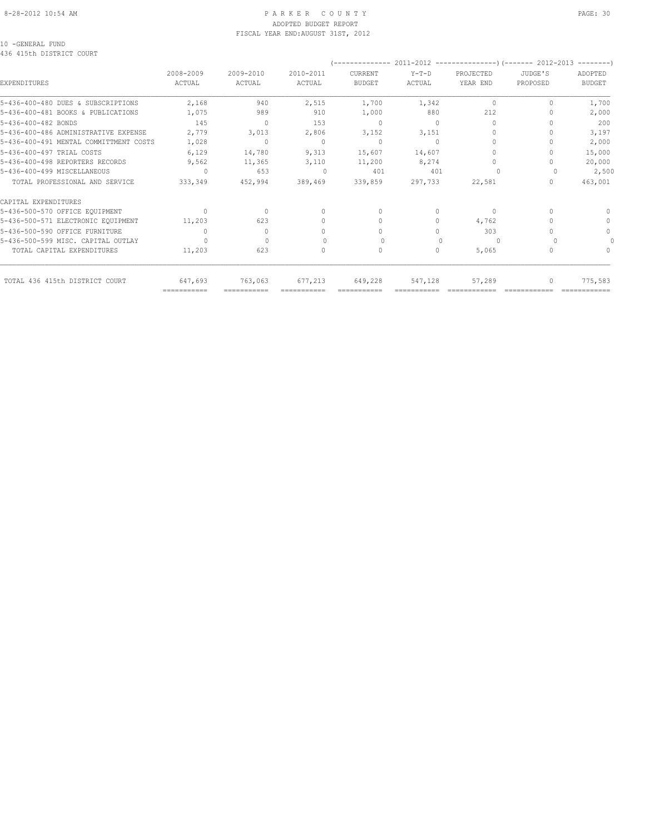#### 8-28-2012 10:54 AM P A R K E R C O U N T Y PAGE: 30 ADOPTED BUDGET REPORT FISCAL YEAR END:AUGUST 31ST, 2012

#### 10 -GENERAL FUND 436 415th DISTRICT COURT

|                                        |                     |                     |                                           | --------------                   |                   |                                  |                     |                          |
|----------------------------------------|---------------------|---------------------|-------------------------------------------|----------------------------------|-------------------|----------------------------------|---------------------|--------------------------|
| <b>EXPENDITURES</b>                    | 2008-2009<br>ACTUAL | 2009-2010<br>ACTUAL | 2010-2011<br>ACTUAL                       | CURRENT<br><b>BUDGET</b>         | $Y-T-D$<br>ACTUAL | PROJECTED<br>YEAR END            | JUDGE'S<br>PROPOSED | ADOPTED<br><b>BUDGET</b> |
|                                        |                     |                     |                                           |                                  |                   |                                  |                     |                          |
| 5-436-400-480 DUES & SUBSCRIPTIONS     | 2,168               | 940                 | 2,515                                     | 1,700                            | 1,342             | $\mathbf{0}$                     | 0                   | 1,700                    |
| 5-436-400-481 BOOKS & PUBLICATIONS     | 1,075               | 989                 | 910                                       | 1,000                            | 880               | 212                              |                     | 2,000                    |
| 5-436-400-482 BONDS                    | 145                 | $\mathbf{0}$        | 153                                       | $\mathbf{0}$                     | $\Omega$          | $\circ$                          |                     | 200                      |
| 5-436-400-486 ADMINISTRATIVE EXPENSE   | 2,779               | 3,013               | 2,806                                     | 3,152                            | 3,151             | 0                                |                     | 3,197                    |
| 5-436-400-491 MENTAL COMMITTMENT COSTS | 1,028               | $\mathbf{0}$        | 0                                         | $\mathbf{0}$                     | $\Omega$          | $\begin{array}{c} \n\end{array}$ |                     | 2,000                    |
| 5-436-400-497 TRIAL COSTS              | 6,129               | 14,780              | 9,313                                     | 15,607                           | 14,607            | 0                                |                     | 15,000                   |
| 5-436-400-498 REPORTERS RECORDS        | 9,562               | 11,365              | 3,110                                     | 11,200                           | 8,274             | 0                                |                     | 20,000                   |
| 5-436-400-499 MISCELLANEOUS            | $\Omega$            | 653                 | $\begin{array}{c} \n 0 \\ \n \end{array}$ | 401                              | 401               |                                  |                     | 2,500                    |
| TOTAL PROFESSIONAL AND SERVICE         | 333,349             | 452,994             | 389,469                                   | 339,859                          | 297,733           | 22,581                           | 0                   | 463,001                  |
| CAPITAL EXPENDITURES                   |                     |                     |                                           |                                  |                   |                                  |                     |                          |
| 5-436-500-570 OFFICE EOUIPMENT         | $\cup$              | $\bigcap$           | $\Omega$                                  | $\begin{array}{c} \n\end{array}$ | $\Omega$          | $\Omega$                         |                     |                          |
| 5-436-500-571 ELECTRONIC EQUIPMENT     | 11,203              | 623                 |                                           | 0                                | 0                 | 4,762                            |                     | n                        |
| 5-436-500-590 OFFICE FURNITURE         |                     | $\mathbf{0}$        |                                           | 0                                | 0                 | 303                              |                     |                          |
| 5-436-500-599 MISC. CAPITAL OUTLAY     |                     | $\cap$              |                                           |                                  |                   | $\Omega$                         |                     |                          |
| TOTAL CAPITAL EXPENDITURES             | 11,203              | 623                 |                                           | 0                                | 0                 | 5,065                            |                     |                          |
| TOTAL 436 415th DISTRICT COURT         | 647,693             | 763,063             | 677,213                                   | 649,228                          | 547,128           | 57,289                           |                     | 775,583                  |
|                                        | ===========         |                     |                                           |                                  |                   |                                  |                     |                          |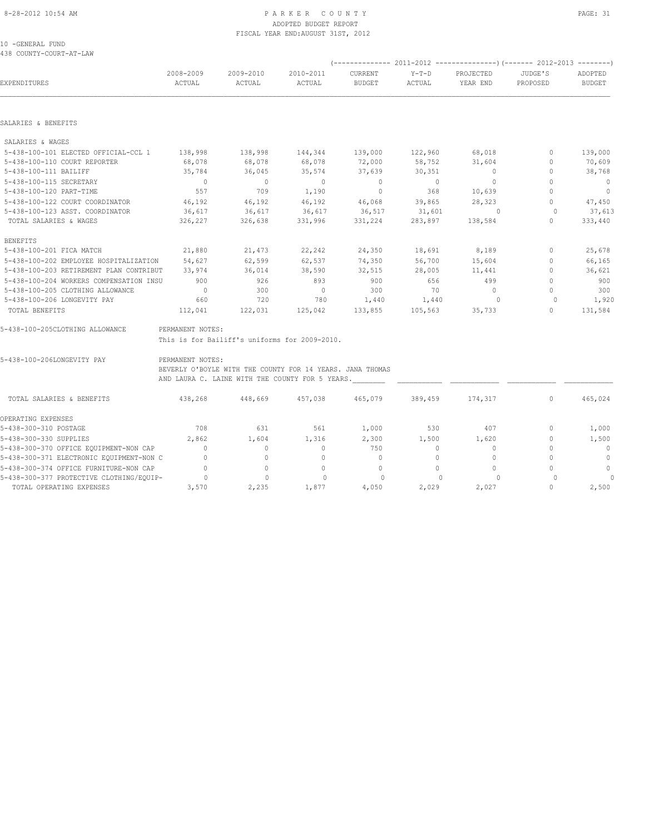#### 8-28-2012 10:54 AM PAGE: 31 ADOPTED BUDGET REPORT FISCAL YEAR END:AUGUST 31ST, 2012

10 -GENERAL FUND 438 COUNTY-COURT-AT-LAW

| EXPENDITURES                             | 2008-2009<br>ACTUAL | 2009-2010<br>ACTUAL                                       | 2010-2011<br>ACTUAL | CURRENT<br><b>BUDGET</b> | $Y-T-D$<br>ACTUAL | PROJECTED<br>YEAR END    | JUDGE'S<br>PROPOSED              | ADOPTED<br><b>BUDGET</b> |
|------------------------------------------|---------------------|-----------------------------------------------------------|---------------------|--------------------------|-------------------|--------------------------|----------------------------------|--------------------------|
|                                          |                     |                                                           |                     |                          |                   |                          |                                  |                          |
| SALARIES & BENEFITS                      |                     |                                                           |                     |                          |                   |                          |                                  |                          |
| SALARIES & WAGES                         |                     |                                                           |                     |                          |                   |                          |                                  |                          |
| 5-438-100-101 ELECTED OFFICIAL-CCL 1     | 138,998             | 138,998                                                   | 144,344             | 139,000                  | 122,960           | 68,018                   | $\mathbf{0}$                     | 139,000                  |
| 5-438-100-110 COURT REPORTER             | 68,078              | 68,078                                                    | 68,078              | 72,000                   | 58,752            | 31,604                   | 0                                | 70,609                   |
| 5-438-100-111 BAILIFF                    | 35,784              | 36,045                                                    | 35,574              | 37,639                   | 30,351            | $\overline{\phantom{0}}$ | $\mathbb O$                      | 38,768                   |
| 5-438-100-115 SECRETARY                  | $\overline{0}$      | $\sim$ 0                                                  | $\sim$ 0            | $\sim$ 0                 | $\sim$ 0          | $\overline{\phantom{0}}$ | $\Omega$                         | $\overline{0}$           |
| 5-438-100-120 PART-TIME                  | 557                 | 709                                                       | 1,190               | $\overline{0}$           | 368               | 10,639                   | $\Omega$                         | $\overline{0}$           |
| 5-438-100-122 COURT COORDINATOR          | 46,192              | 46,192                                                    | 46,192              | 46,068                   | 39,865            | 28,323                   | $\mathbf{0}$                     | 47,450                   |
| 5-438-100-123 ASST. COORDINATOR          | 36,617              | 36,617                                                    | 36,617              | 36,517                   | 31,601            | $\overline{0}$           | $\circ$                          | 37,613                   |
| TOTAL SALARIES & WAGES                   | 326,227             | 326,638                                                   | 331,996             | 331,224                  | 283,897           | 138,584                  | $\mathbf{0}$                     | 333,440                  |
| <b>BENEFITS</b>                          |                     |                                                           |                     |                          |                   |                          |                                  |                          |
| 5-438-100-201 FICA MATCH                 | 21,880              | 21,473                                                    | 22,242              | 24,350                   | 18,691            | 8,189                    | $\circ$                          | 25,678                   |
| 5-438-100-202 EMPLOYEE HOSPITALIZATION   | 54,627              | 62,599                                                    | 62,537              | 74,350                   | 56,700            | 15,604                   | $\mathbf{0}$                     | 66,165                   |
| 5-438-100-203 RETIREMENT PLAN CONTRIBUT  | 33,974              | 36,014                                                    | 38,590              | 32,515                   | 28,005            | 11,441                   | $\mathbf{0}$                     | 36,621                   |
| 5-438-100-204 WORKERS COMPENSATION INSU  | 900                 | 926                                                       | 893                 | 900                      | 656               | 499                      | $\mathbf{0}$                     | 900                      |
| 5-438-100-205 CLOTHING ALLOWANCE         | $\overline{0}$      | 300                                                       | $\overline{0}$      | 300                      | 70                | $\sim$ 0                 | $\circ$                          | 300                      |
| 5-438-100-206 LONGEVITY PAY              | 660                 | 720                                                       | 780                 | 1,440                    | 1,440             | $\overline{0}$           | $\overline{0}$                   | 1,920                    |
| TOTAL BENEFITS                           | 112,041             | 122,031                                                   | 125,042             | 133,855                  | 105,563           | 35,733                   | $\Omega$                         | 131,584                  |
| 5-438-100-205CLOTHING ALLOWANCE          | PERMANENT NOTES:    |                                                           |                     |                          |                   |                          |                                  |                          |
|                                          |                     | This is for Bailiff's uniforms for 2009-2010.             |                     |                          |                   |                          |                                  |                          |
| 5-438-100-206LONGEVITY PAY               | PERMANENT NOTES:    |                                                           |                     |                          |                   |                          |                                  |                          |
|                                          |                     | BEVERLY O'BOYLE WITH THE COUNTY FOR 14 YEARS. JANA THOMAS |                     |                          |                   |                          |                                  |                          |
|                                          |                     | AND LAURA C. LAINE WITH THE COUNTY FOR 5 YEARS.           |                     |                          |                   |                          |                                  |                          |
| TOTAL SALARIES & BENEFITS                | 438,268             | 448,669                                                   | 457,038             | 465,079                  | 389,459           | 174,317                  | $\mathbf{0}$                     | 465,024                  |
| OPERATING EXPENSES                       |                     |                                                           |                     |                          |                   |                          |                                  |                          |
| 5-438-300-310 POSTAGE                    | 708                 | 631                                                       | 561                 | 1,000                    | 530               | 407                      | $\mathbf{0}$                     | 1,000                    |
| 5-438-300-330 SUPPLIES                   | 2,862               | 1,604                                                     | 1,316               | 2,300                    | 1,500             | 1,620                    | $\mathbf{0}$                     | 1,500                    |
| 5-438-300-370 OFFICE EQUIPMENT-NON CAP   | $\sim$ 0            | $\circ$                                                   | $\overline{0}$      | 750                      | $\circ$           | $\mathbf{0}$             | $\begin{array}{c} \n\end{array}$ | $\overline{0}$           |
| 5-438-300-371 ELECTRONIC EQUIPMENT-NON C | $\overline{0}$      | $\circ$                                                   | $\circ$             | $\overline{\phantom{0}}$ | $\circ$           | 0                        | $\mathbf{0}$                     | $\mathbb{O}$             |
| 5-438-300-374 OFFICE FURNITURE-NON CAP   | $\circ$             | $\circ$                                                   | $\mathbb O$         | $\mathbb O$              | $\circ$           | $\circ$                  | $\Omega$                         | $\circ$                  |
| 5-438-300-377 PROTECTIVE CLOTHING/EQUIP- | $\overline{0}$      | $\circ$                                                   | $\circ$             | $\circ$                  | $\overline{0}$    | 0                        | $\circ$                          | $\circ$                  |
| TOTAL OPERATING EXPENSES                 | 3,570               | 2,235                                                     | 1,877               | 4,050                    | 2,029             | 2,027                    | $\Omega$                         | 2,500                    |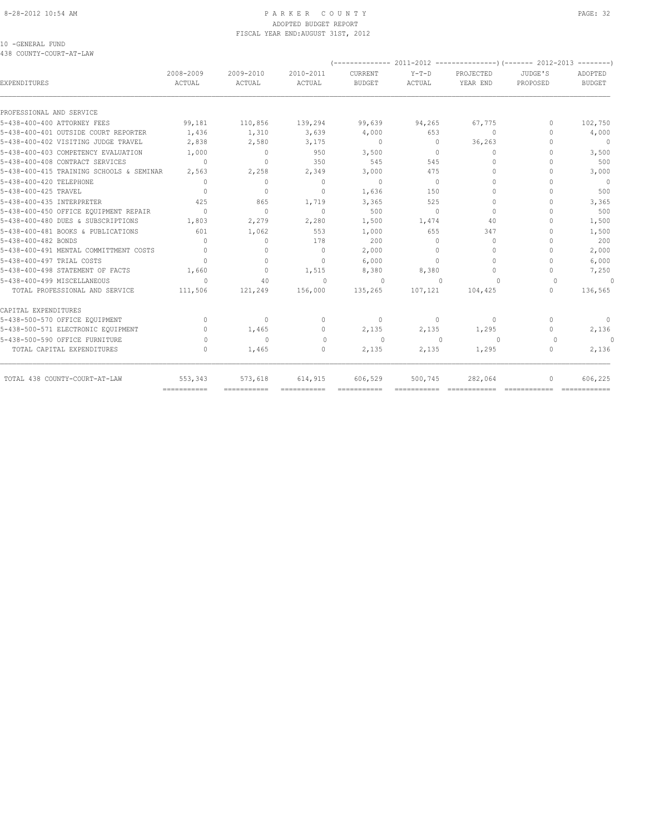#### 8-28-2012 10:54 AM P A R K E R C O U N T Y PAGE: 32 ADOPTED BUDGET REPORT FISCAL YEAR END:AUGUST 31ST, 2012

#### 10 -GENERAL FUND 438 COUNTY-COURT-AT-LAW

| EXPENDITURES                             | 2008-2009<br>ACTUAL              | 2009-2010<br>ACTUAL | 2010-2011<br>ACTUAL              | CURRENT<br><b>BUDGET</b> | $Y-T-D$<br>ACTUAL | PROJECTED<br>YEAR END | JUDGE'S<br>PROPOSED              | ADOPTED<br><b>BUDGET</b> |
|------------------------------------------|----------------------------------|---------------------|----------------------------------|--------------------------|-------------------|-----------------------|----------------------------------|--------------------------|
| PROFESSIONAL AND SERVICE                 |                                  |                     |                                  |                          |                   |                       |                                  |                          |
| 5-438-400-400 ATTORNEY FEES              | 99,181                           | 110,856             | 139,294                          | 99,639                   | 94,265            | 67,775                | $\Omega$                         | 102,750                  |
| 5-438-400-401 OUTSIDE COURT REPORTER     | 1,436                            | 1,310               | 3,639                            | 4,000                    | 653               | $\Omega$              | $\cap$                           | 4,000                    |
| 5-438-400-402 VISITING JUDGE TRAVEL      | 2,838                            | 2,580               | 3,175                            | $\circ$                  | $\circ$           | 36,263                | $\cap$                           | $\overline{0}$           |
| 5-438-400-403 COMPETENCY EVALUATION      | 1,000                            | $\circ$             | 950                              | 3,500                    | $\Omega$          | $\Omega$              | $\Omega$                         | 3,500                    |
| 5-438-400-408 CONTRACT SERVICES          | $\Omega$                         | $\Omega$            | 350                              | 545                      | 545               | $\bigcap$             | $\cap$                           | 500                      |
| 5-438-400-415 TRAINING SCHOOLS & SEMINAR | 2,563                            | 2,258               | 2,349                            | 3,000                    | 475               | $\Omega$              |                                  | 3,000                    |
| 5-438-400-420 TELEPHONE                  | $\Omega$                         | $\mathbf{0}$        | $\mathbf{0}$                     | $\circ$                  | $\circ$           | $\bigcap$             | $\cap$                           | $\overline{0}$           |
| 5-438-400-425 TRAVEL                     | $\Omega$                         | 0                   | $\mathbf{0}$                     | 1,636                    | 150               | $\Omega$              | $\cap$                           | 500                      |
| 5-438-400-435 INTERPRETER                | 425                              | 865                 | 1,719                            | 3,365                    | 525               | $\Omega$              | $\cap$                           | 3,365                    |
| 5-438-400-450 OFFICE EQUIPMENT REPAIR    | $\Omega$                         | $\Omega$            | $\mathbf{0}$                     | 500                      | $\Omega$          | $\Omega$              |                                  | 500                      |
| 5-438-400-480 DUES & SUBSCRIPTIONS       | 1,803                            | 2,279               | 2,280                            | 1,500                    | 1,474             | 40                    |                                  | 1,500                    |
| 5-438-400-481 BOOKS & PUBLICATIONS       | 601                              | 1,062               | 553                              | 1,000                    | 655               | 347                   | $\cap$                           | 1,500                    |
| 5-438-400-482 BONDS                      | $\begin{array}{c} \n\end{array}$ | $\circ$             | 178                              | 200                      | $\Omega$          | $\mathbf{0}$          | $\cap$                           | 200                      |
| 5-438-400-491 MENTAL COMMITTMENT COSTS   | $\Omega$                         | $\circ$             | $\Omega$                         | 2,000                    | $\Omega$          | $\Omega$              | n                                | 2,000                    |
| 5-438-400-497 TRIAL COSTS                | $\bigcap$                        | $\Omega$            | $\Omega$                         | 6,000                    | $\Omega$          | $\Omega$              | n                                | 6,000                    |
| 5-438-400-498 STATEMENT OF FACTS         | 1,660                            | $\Omega$            | 1,515                            | 8,380                    | 8,380             | $\Omega$              | $\Omega$                         | 7,250                    |
| 5-438-400-499 MISCELLANEOUS              | $\Omega$                         | 40                  | $\circ$                          | $\Omega$                 | $\circ$           | $\Omega$              | $\Omega$                         | $\Omega$                 |
| TOTAL PROFESSIONAL AND SERVICE           | 111,506                          | 121,249             | 156,000                          | 135,265                  | 107,121           | 104,425               | $\begin{array}{c} \n\end{array}$ | 136,565                  |
| CAPITAL EXPENDITURES                     |                                  |                     |                                  |                          |                   |                       |                                  |                          |
| 5-438-500-570 OFFICE EQUIPMENT           | $\Omega$                         | $\Omega$            | $\mathbf{0}$                     | $\circ$                  | $\Omega$          | $\Omega$              | $\Omega$                         | $\Omega$                 |
| 5-438-500-571 ELECTRONIC EQUIPMENT       | $\begin{array}{c} \n\end{array}$ | 1,465               | $\mathbf{0}$                     | 2,135                    | 2,135             | 1,295                 | $\begin{array}{c} \n\end{array}$ | 2,136                    |
| 5-438-500-590 OFFICE FURNITURE           | 0                                | $\Omega$            | $\Omega$                         | $\Omega$                 | $\Omega$          | $\Omega$              | 0                                | $\cap$                   |
| TOTAL CAPITAL EXPENDITURES               | $\begin{array}{c} \n\end{array}$ | 1,465               | $\begin{array}{c} \n\end{array}$ | 2,135                    | 2,135             | 1,295                 | $\begin{array}{c} \n\end{array}$ | 2,136                    |
| TOTAL 438 COUNTY-COURT-AT-LAW            | 553,343                          | 573,618             | 614,915                          | 606,529                  | 500,745           | 282,064               | $\Omega$                         | 606,225                  |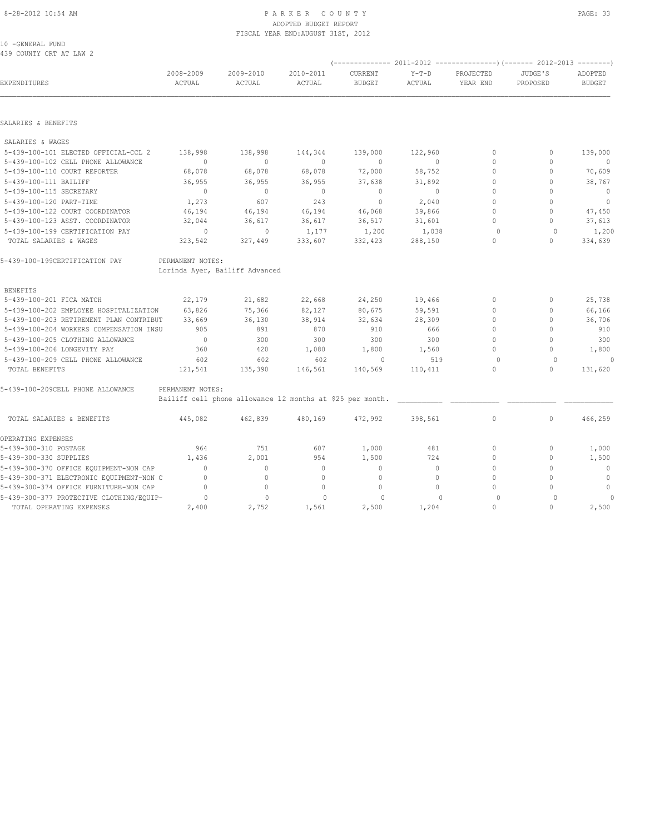#### 8-28-2012 10:54 AM P A R K E R C O U N T Y PAGE: 33 ADOPTED BUDGET REPORT FISCAL YEAR END:AUGUST 31ST, 2012

10 -GENERAL FUND 439 COUNTY CRT AT LAW 2

| EXPENDITURES                             | 2008-2009<br>ACTUAL | 2009-2010<br>ACTUAL                                       | 2010-2011<br>ACTUAL | CURRENT<br><b>BUDGET</b> | $Y-T-D$<br>ACTUAL | PROJECTED<br>YEAR END | JUDGE'S<br>PROPOSED | ADOPTED<br><b>BUDGET</b> |
|------------------------------------------|---------------------|-----------------------------------------------------------|---------------------|--------------------------|-------------------|-----------------------|---------------------|--------------------------|
|                                          |                     |                                                           |                     |                          |                   |                       |                     |                          |
| SALARIES & BENEFITS                      |                     |                                                           |                     |                          |                   |                       |                     |                          |
| SALARIES & WAGES                         |                     |                                                           |                     |                          |                   |                       |                     |                          |
| 5-439-100-101 ELECTED OFFICIAL-CCL 2     | 138,998             | 138,998                                                   | 144,344             | 139,000                  | 122,960           | $\mathbf{0}$          | 0                   | 139,000                  |
| 5-439-100-102 CELL PHONE ALLOWANCE       | $\mathbf{0}$        | $\mathbf{0}$                                              | $\mathbf{0}$        | $\mathbf{0}$             | $\circ$           | $\mathbf{0}$          | $\mathbf{0}$        |                          |
| 5-439-100-110 COURT REPORTER             | 68,078              | 68,078                                                    | 68,078              | 72,000                   | 58,752            | $\Omega$              | $\Omega$            | 70,609                   |
| 5-439-100-111 BAILIFF                    | 36,955              | 36,955                                                    | 36,955              | 37,638                   | 31,892            | $\mathbf{0}$          | $\Omega$            | 38,767                   |
| 5-439-100-115 SECRETARY                  | $\Omega$            | $\mathbf{0}$                                              | $\mathbf{0}$        | $\mathbf{0}$             | $\Omega$          | $\mathbf{0}$          | $\Omega$            | $\mathbf{0}$             |
| 5-439-100-120 PART-TIME                  | 1,273               | 607                                                       | 243                 | $\mathbf{0}$             | 2,040             | $\Omega$              | $\Omega$            | $\circ$                  |
| 5-439-100-122 COURT COORDINATOR          | 46,194              | 46,194                                                    | 46,194              | 46,068                   | 39,866            | $\Omega$              | $\Omega$            | 47,450                   |
| 5-439-100-123 ASST. COORDINATOR          | 32,044              | 36,617                                                    | 36,617              | 36,517                   | 31,601            | $\mathbf{0}$          | $\mathbf{0}$        | 37,613                   |
| 5-439-100-199 CERTIFICATION PAY          | $\circ$             | $\mathbf{0}$                                              | 1,177               | 1,200                    | 1,038             | $\circ$               | $\Omega$            | 1,200                    |
| TOTAL SALARIES & WAGES                   | 323,542             | 327,449                                                   | 333,607             | 332,423                  | 288,150           | $\circ$               | $\mathbf{0}$        | 334,639                  |
| 5-439-100-199CERTIFICATION PAY           | PERMANENT NOTES:    |                                                           |                     |                          |                   |                       |                     |                          |
|                                          |                     | Lorinda Ayer, Bailiff Advanced                            |                     |                          |                   |                       |                     |                          |
| <b>BENEFITS</b>                          |                     |                                                           |                     |                          |                   |                       |                     |                          |
| 5-439-100-201 FICA MATCH                 | 22,179              | 21,682                                                    | 22,668              | 24,250                   | 19,466            | $\mathbf{0}$          | $\mathbf{0}$        | 25,738                   |
| 5-439-100-202 EMPLOYEE HOSPITALIZATION   | 63,826              | 75,366                                                    | 82,127              | 80,675                   | 59,591            | $\mathbf{0}$          | $\mathbf{0}$        | 66,166                   |
| 5-439-100-203 RETIREMENT PLAN CONTRIBUT  | 33,669              | 36,130                                                    | 38,914              | 32,634                   | 28,309            | $\circ$               | $\mathbf{0}$        | 36,706                   |
| 5-439-100-204 WORKERS COMPENSATION INSU  | 905                 | 891                                                       | 870                 | 910                      | 666               | $\mathbf{0}$          | $\mathbf{0}$        | 910                      |
| 5-439-100-205 CLOTHING ALLOWANCE         | $\circ$             | 300                                                       | 300                 | 300                      | 300               | $\circ$               | $\Omega$            | 300                      |
| 5-439-100-206 LONGEVITY PAY              | 360                 | 420                                                       | 1,080               | 1,800                    | 1,560             | $\mathbf{0}$          | $\mathbf{0}$        | 1,800                    |
| 5-439-100-209 CELL PHONE ALLOWANCE       | 602                 | 602                                                       | 602                 | $\circ$                  | 519               | $\Omega$              | $\circ$             | 0                        |
| TOTAL BENEFITS                           | 121,541             | 135,390                                                   | 146,561             | 140,569                  | 110,411           | $\Omega$              | $\mathbf{0}$        | 131,620                  |
| 5-439-100-209CELL PHONE ALLOWANCE        | PERMANENT NOTES:    |                                                           |                     |                          |                   |                       |                     |                          |
|                                          |                     | Bailiff cell phone allowance 12 months at \$25 per month. |                     |                          |                   |                       |                     |                          |
| TOTAL SALARIES & BENEFITS                | 445,082             | 462,839                                                   | 480,169             | 472,992                  | 398,561           | $\mathbb O$           | $\circ$             | 466,259                  |
| OPERATING EXPENSES                       |                     |                                                           |                     |                          |                   |                       |                     |                          |
| 5-439-300-310 POSTAGE                    | 964                 | 751                                                       | 607                 | 1,000                    | 481               | $\mathbf{0}$          | $\mathbf{0}$        | 1,000                    |
| 5-439-300-330 SUPPLIES                   | 1,436               | 2,001                                                     | 954                 | 1,500                    | 724               | $\mathbf{0}$          | $\mathbf{0}$        | 1,500                    |
| 5-439-300-370 OFFICE EQUIPMENT-NON CAP   | $\Omega$            | $\Omega$                                                  | $\Omega$            | $\mathbf{0}$             | $\circ$           | $\Omega$              | $\Omega$            | $\mathbf{0}$             |
| 5-439-300-371 ELECTRONIC EQUIPMENT-NON C | $\mathbf{0}$        | 0                                                         | $\mathbf 0$         | $\mathbf 0$              | $\circ$           | $\mathbf{0}$          | $\mathbf{0}$        | $\mathbb O$              |
| 5-439-300-374 OFFICE FURNITURE-NON CAP   | $\mathbf{0}$        | $\circ$                                                   | $\mathbf{0}$        | $\mathbf 0$              | $\circ$           | $\Omega$              | $\Omega$            | $\circ$                  |
| 5-439-300-377 PROTECTIVE CLOTHING/EQUIP- | $\circ$             | $\mathbf{0}$                                              | $\circ$             | $\circ$                  | $\bigcap$         | $\circ$               | $\Omega$            |                          |
| TOTAL OPERATING EXPENSES                 | 2,400               | 2,752                                                     | 1,561               | 2,500                    | 1,204             | $\circ$               | $\circ$             | 2,500                    |
|                                          |                     |                                                           |                     |                          |                   |                       |                     |                          |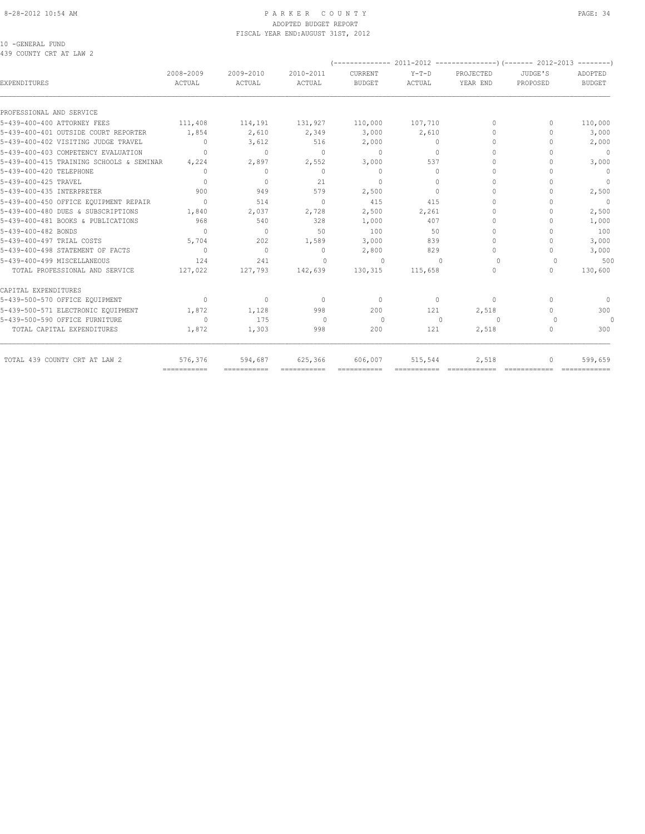#### 8-28-2012 10:54 AM P A R K E R C O U N T Y PAGE: 34 ADOPTED BUDGET REPORT FISCAL YEAR END:AUGUST 31ST, 2012

10 -GENERAL FUND 439 COUNTY CRT AT LAW 2

|                                          |                     |                                  |                                  |                                  |                   | ------------ 2011-2012 ----------------)(------- 2012-2013 --------) |                                  |                          |
|------------------------------------------|---------------------|----------------------------------|----------------------------------|----------------------------------|-------------------|----------------------------------------------------------------------|----------------------------------|--------------------------|
| <b>EXPENDITURES</b>                      | 2008-2009<br>ACTUAL | 2009-2010<br>ACTUAL              | 2010-2011<br>ACTUAL              | CURRENT<br><b>BUDGET</b>         | $Y-T-D$<br>ACTUAL | PROJECTED<br>YEAR END                                                | JUDGE'S<br>PROPOSED              | ADOPTED<br><b>BUDGET</b> |
|                                          |                     |                                  |                                  |                                  |                   |                                                                      |                                  |                          |
| PROFESSIONAL AND SERVICE                 |                     |                                  |                                  |                                  |                   |                                                                      |                                  |                          |
| 5-439-400-400 ATTORNEY FEES              | 111,408             | 114,191                          | 131,927                          | 110,000                          | 107,710           | $\begin{array}{c} \n\end{array}$                                     | $\Omega$                         | 110,000                  |
| 5-439-400-401 OUTSIDE COURT REPORTER     | 1,854               | 2,610                            | 2,349                            | 3,000                            | 2,610             | $\bigcap$                                                            | n                                | 3,000                    |
| 5-439-400-402 VISITING JUDGE TRAVEL      | $\mathbf{0}$        | 3,612                            | 516                              | 2,000                            | $\circ$           | $\circ$                                                              | 0                                | 2,000                    |
| 5-439-400-403 COMPETENCY EVALUATION      | $\Omega$            | $\Omega$                         | $\begin{array}{c} \n\end{array}$ | $\Omega$                         | $\Omega$          | $\Omega$                                                             |                                  | $\mathbf{0}$             |
| 5-439-400-415 TRAINING SCHOOLS & SEMINAR | 4,224               | 2,897                            | 2,552                            | 3,000                            | 537               | $\Omega$                                                             | n                                | 3,000                    |
| 5-439-400-420 TELEPHONE                  | $\Omega$            | $\mathbf{0}$                     | $\mathbf{0}$                     | $\mathbf{0}$                     | $\circ$           | $\circ$                                                              | n                                | $\mathbf{0}$             |
| 5-439-400-425 TRAVEL                     | $\bigcap$           | $\circ$                          | 21                               | $\begin{array}{c} \n\end{array}$ | $\Omega$          | $\Omega$                                                             |                                  | $\overline{0}$           |
| 5-439-400-435 INTERPRETER                | 900                 | 949                              | 579                              | 2,500                            | $\Omega$          | $\Omega$                                                             |                                  | 2,500                    |
| 5-439-400-450 OFFICE EQUIPMENT REPAIR    | $\Omega$            | 514                              | $\begin{array}{c} \n\end{array}$ | 415                              | 415               | $\Omega$                                                             | n                                | $\Omega$                 |
| 5-439-400-480 DUES & SUBSCRIPTIONS       | 1,840               | 2,037                            | 2,728                            | 2,500                            | 2,261             | $\Omega$                                                             |                                  | 2,500                    |
| 5-439-400-481 BOOKS & PUBLICATIONS       | 968                 | 540                              | 328                              | 1,000                            | 407               | $\Omega$                                                             | ∩                                | 1,000                    |
| 5-439-400-482 BONDS                      | $\bigcap$           | $\begin{array}{c} \n\end{array}$ | 50                               | 100                              | 50                | $\Omega$                                                             | $\cap$                           | 100                      |
| 5-439-400-497 TRIAL COSTS                | 5,704               | 202                              | 1,589                            | 3,000                            | 839               | $\bigcap$                                                            |                                  | 3,000                    |
| 5-439-400-498 STATEMENT OF FACTS         | $\Omega$            | $\mathbf{0}$                     | $\mathbf{0}$                     | 2,800                            | 829               | $\Omega$                                                             | $\bigcap$                        | 3,000                    |
| 5-439-400-499 MISCELLANEOUS              | 124                 | 241                              | $\Omega$                         | $\Omega$                         | $\cap$            | $\Omega$                                                             | $\Omega$                         | 500                      |
| TOTAL PROFESSIONAL AND SERVICE           | 127,022             | 127,793                          | 142,639                          | 130,315                          | 115,658           | $\Omega$                                                             | $\begin{array}{c} \n\end{array}$ | 130,600                  |
| CAPITAL EXPENDITURES                     |                     |                                  |                                  |                                  |                   |                                                                      |                                  |                          |
| 5-439-500-570 OFFICE EQUIPMENT           | $\circ$             | $\mathbf{0}$                     | $\begin{array}{c} \n\end{array}$ | $\mathbf{0}$                     | $\Omega$          | $\mathbf{0}$                                                         | $\bigcap$                        | $\mathbf{0}$             |
| 5-439-500-571 ELECTRONIC EQUIPMENT       | 1,872               | 1,128                            | 998                              | 200                              | 121               | 2,518                                                                | $\Omega$                         | 300                      |
| 5-439-500-590 OFFICE FURNITURE           | $\Omega$            | 175                              | $\Omega$                         | $\Omega$                         | $\Omega$          | $\Omega$                                                             | $\cap$                           | $\Omega$                 |
| TOTAL CAPITAL EXPENDITURES               | 1,872               | 1,303                            | 998                              | 200                              | 121               | 2,518                                                                | $\cap$                           | 300                      |
| TOTAL 439 COUNTY CRT AT LAW 2            | 576,376             | 594,687                          | 625,366                          | 606,007                          | 515,544           | 2,518                                                                | $\Omega$                         | 599,659                  |
|                                          | ===========         | ===========                      | ===========                      |                                  | ===========       | =============                                                        |                                  |                          |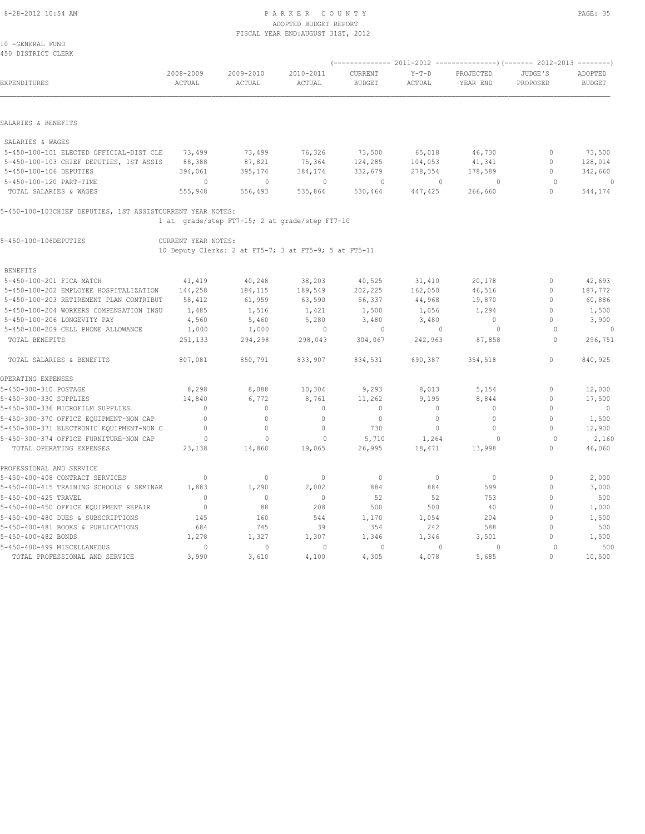#### 8-28-2012 10:54 AM P A R K E R C O U N T Y PAGE: 35 ADOPTED BUDGET REPORT FISCAL YEAR END:AUGUST 31ST, 2012

| 10 -GENERAL FUND<br>450 DISTRICT CLERK                     |                     |                                                       |                     |                          |                   |                       |                     |                          |
|------------------------------------------------------------|---------------------|-------------------------------------------------------|---------------------|--------------------------|-------------------|-----------------------|---------------------|--------------------------|
|                                                            |                     |                                                       |                     |                          |                   |                       |                     |                          |
| EXPENDITURES                                               | 2008-2009<br>ACTUAL | 2009-2010<br>ACTUAL                                   | 2010-2011<br>ACTUAL | CURRENT<br><b>BUDGET</b> | $Y-T-D$<br>ACTUAL | PROJECTED<br>YEAR END | JUDGE'S<br>PROPOSED | ADOPTED<br><b>BUDGET</b> |
|                                                            |                     |                                                       |                     |                          |                   |                       |                     |                          |
| SALARIES & BENEFITS                                        |                     |                                                       |                     |                          |                   |                       |                     |                          |
| SALARIES & WAGES                                           |                     |                                                       |                     |                          |                   |                       |                     |                          |
| 5-450-100-101 ELECTED OFFICIAL-DIST CLE                    | 73,499              | 73,499                                                | 76,326              | 73,500                   | 65,018            | 46,730                | $\mathbf{0}$        | 73,500                   |
| 5-450-100-103 CHIEF DEPUTIES, 1ST ASSIS                    | 88,388              | 87,821                                                | 75,364              | 124,285                  | 104,053           | 41,341                | $\circ$             | 128,014                  |
| 5-450-100-106 DEPUTIES                                     | 394,061             | 395,174                                               | 384,174             | 332,679                  | 278,354           | 178,589               | $\Omega$            | 342,660                  |
| 5-450-100-120 PART-TIME                                    | $\Omega$            | $\Omega$                                              | $\Omega$            | $\circ$                  | $\Omega$          | $\Omega$              | $\Omega$            | $\theta$                 |
| TOTAL SALARIES & WAGES                                     | 555,948             | 556,493                                               | 535,864             | 530,464                  | 447,425           | 266,660               | $\Omega$            | 544,174                  |
| 5-450-100-103CHIEF DEPUTIES, 1ST ASSISTCURRENT YEAR NOTES: |                     |                                                       |                     |                          |                   |                       |                     |                          |
|                                                            |                     | 1 at grade/step FT7-15; 2 at grade/step FT7-10        |                     |                          |                   |                       |                     |                          |
| 5-450-100-106DEPUTIES                                      | CURRENT YEAR NOTES: |                                                       |                     |                          |                   |                       |                     |                          |
|                                                            |                     | 10 Deputy Clerks: 2 at FT5-7; 3 at FT5-9; 5 at FT5-11 |                     |                          |                   |                       |                     |                          |
| <b>BENEFITS</b>                                            |                     |                                                       |                     |                          |                   |                       |                     |                          |
| 5-450-100-201 FICA MATCH                                   | 41,419              | 40,248                                                | 38,203              | 40,525                   | 31,410            | 20,178                | $\circ$             | 42,693                   |
| 5-450-100-202 EMPLOYEE HOSPITALIZATION                     | 144,258             | 184,115                                               | 189,549             | 202,225                  | 162,050           | 46,516                | $\mathbf{0}$        | 187,772                  |
| 5-450-100-203 RETIREMENT PLAN CONTRIBUT                    | 58,412              | 61,959                                                | 63,590              | 56,337                   | 44,968            | 19,870                | $\mathbf{0}$        | 60,886                   |
| 5-450-100-204 WORKERS COMPENSATION INSU                    | 1,485               | 1,516                                                 | 1,421               | 1,500                    | 1,056             | 1,294                 | $\mathbf{0}$        | 1,500                    |
| 5-450-100-206 LONGEVITY PAY                                | 4,560               | 5,460                                                 | 5,280               | 3,480                    | 3,480             | $\circ$               | $\Omega$            | 3,900                    |
| 5-450-100-209 CELL PHONE ALLOWANCE                         | 1,000               | 1,000                                                 | $\mathbf{0}$        | $\circ$                  | $\mathbf{0}$      | $\circ$               | $\Omega$            | 0                        |
| TOTAL BENEFITS                                             | 251,133             | 294,298                                               | 298,043             | 304,067                  | 242,963           | 87,858                | $\Omega$            | 296,751                  |
| TOTAL SALARIES & BENEFITS                                  | 807,081             | 850,791                                               | 833,907             | 834,531                  | 690,387           | 354,518               | $\Omega$            | 840,925                  |
| OPERATING EXPENSES                                         |                     |                                                       |                     |                          |                   |                       |                     |                          |
| 5-450-300-310 POSTAGE                                      | 8,298               | 8,088                                                 | 10,304              | 9,293                    | 8,013             | 5,154                 | $\mathbf{0}$        | 12,000                   |
| 5-450-300-330 SUPPLIES                                     | 14,840              | 6,772                                                 | 8,761               | 11,262                   | 9,195             | 8,844                 | $\mathbf{0}$        | 17,500                   |
| 5-450-300-336 MICROFILM SUPPLIES                           | $\mathbf 0$         | $\circ$                                               | $\mathbf{0}$        | $\mathbf 0$              | $\circ$           | $\circ$               | $\mathbf{0}$        | $\overline{0}$           |
| 5-450-300-370 OFFICE EQUIPMENT-NON CAP                     | $\Omega$            | $\circ$                                               | $\Omega$            | $\circ$                  | $\circ$           | $\Omega$              | $\theta$            | 1,500                    |
| 5-450-300-371 ELECTRONIC EQUIPMENT-NON C                   | $\mathbf{0}$        | $\circ$                                               | $\mathbf 0$         | 730                      | $\circ$           | $\circ$               | $\mathbf{0}$        | 12,900                   |
| 5-450-300-374 OFFICE FURNITURE-NON CAP                     | $\circ$             | $\Omega$                                              | $\Omega$            | 5,710                    | 1,264             | $\Omega$              | $\Omega$            | 2,160                    |
| TOTAL OPERATING EXPENSES                                   | 23,138              | 14,860                                                | 19,065              | 26,995                   | 18,471            | 13,998                | $\circ$             | 46,060                   |
| PROFESSIONAL AND SERVICE                                   |                     |                                                       |                     |                          |                   |                       |                     |                          |
| 5-450-400-408 CONTRACT SERVICES                            | 0                   | $\circ$                                               | $\Omega$            | $\circ$                  | $\circ$           | $\mathbf{0}$          | $\mathbf{0}$        | 2,000                    |
| 5-450-400-415 TRAINING SCHOOLS & SEMINAR                   | 1,883               | 1,290                                                 | 2,002               | 884                      | 884               | 599                   | $\mathbf{0}$        | 3,000                    |
| 5-450-400-425 TRAVEL                                       | $\Omega$            | $\mathbf{0}$                                          | $\Omega$            | 52                       | 52                | 753                   | $\Omega$            | 500                      |
| 5-450-400-450 OFFICE EQUIPMENT REPAIR                      | $\circ$             | 88                                                    | 208                 | 500                      | 500               | 40                    | $\mathbf{0}$        | 1,000                    |
| 5-450-400-480 DUES & SUBSCRIPTIONS                         | 145                 | 160                                                   | 544                 | 1,170                    | 1,054             | 204                   | $\Omega$            | 1,500                    |
| 5-450-400-481 BOOKS & PUBLICATIONS                         | 684                 | 745                                                   | 39                  | 354                      | 242               | 588                   | $\mathbf{0}$        | 500                      |
| 5-450-400-482 BONDS                                        | 1,278               | 1,327                                                 | 1,307               | 1,346                    | 1,346             | 3,501                 | $\Omega$            | 1,500                    |

5-450-400-499 MISCELLANEOUS 0 0 0 0 0 0 0 500 TOTAL PROFESSIONAL AND SERVICE 3,990 3,610 4,100 4,305 4,078 5,685 0 10,500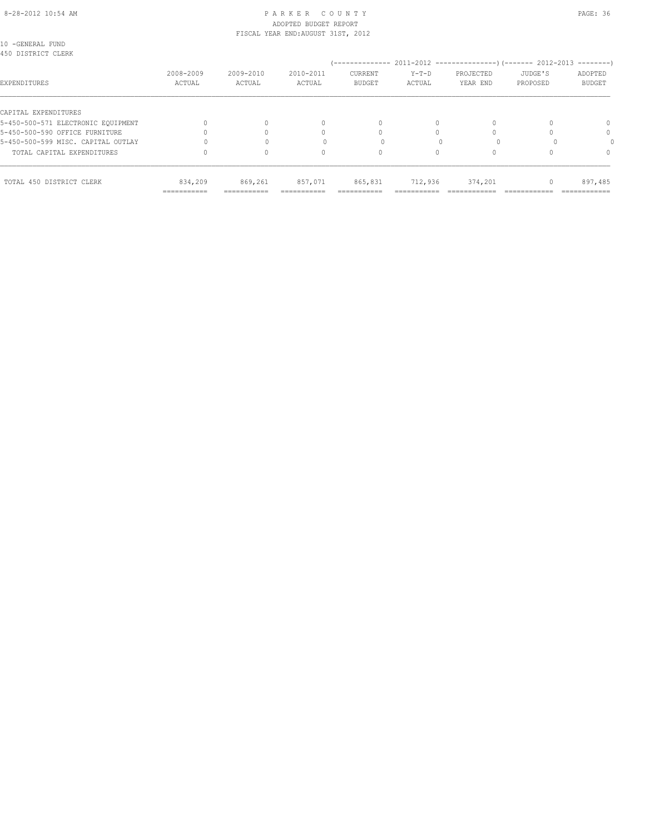# 8-28-2012 10:54 AM P A R K E R C O U N T Y PAGE: 36 ADOPTED BUDGET REPORT

| TOTAL 450 DISTRICT CLERK                                   | 834,209<br>=========== | 869,261             | 857,071                            | 865,831                  | 712,936           | 374,201               |                     | 897,485                  |
|------------------------------------------------------------|------------------------|---------------------|------------------------------------|--------------------------|-------------------|-----------------------|---------------------|--------------------------|
| TOTAL CAPITAL EXPENDITURES                                 |                        |                     | 0                                  |                          |                   |                       |                     | $\Omega$                 |
| 5-450-500-599 MISC. CAPITAL OUTLAY                         |                        |                     |                                    |                          |                   |                       |                     |                          |
| 5-450-500-590 OFFICE FURNITURE                             |                        |                     | $\Omega$                           |                          |                   |                       |                     | 0                        |
| CAPITAL EXPENDITURES<br>5-450-500-571 ELECTRONIC EOUIPMENT |                        |                     | $\mathbf{0}$                       | $\Omega$                 | $\Omega$          |                       |                     | 0                        |
| EXPENDITURES                                               | 2008-2009<br>ACTUAL    | 2009-2010<br>ACTUAL | 2010-2011<br>ACTUAL                | CURRENT<br><b>BUDGET</b> | $Y-T-D$<br>ACTUAL | PROJECTED<br>YEAR END | JUDGE'S<br>PROPOSED | ADOPTED<br><b>BUDGET</b> |
| 10 -GENERAL FUND<br>450 DISTRICT CLERK                     |                        |                     |                                    |                          |                   |                       |                     |                          |
|                                                            |                        |                     | FISCAL YEAR END: AUGUST 31ST, 2012 |                          |                   |                       |                     |                          |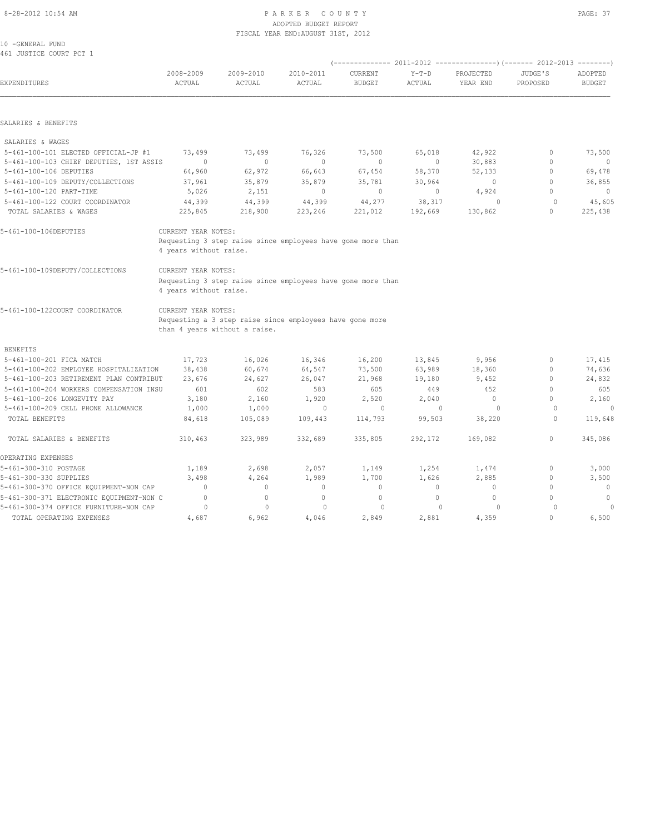#### 8-28-2012 10:54 AM PAGE: 37 ADOPTED BUDGET REPORT FISCAL YEAR END:AUGUST 31ST, 2012

| 10 -GENERAL FUND        |  |  |
|-------------------------|--|--|
| 461 JUSTICE COURT PCT 1 |  |  |

| EXPENDITURES                             | 2008-2009<br>ACTUAL                           | 2009-2010<br>ACTUAL                                                                       | 2010-2011<br>ACTUAL | CURRENT<br><b>BUDGET</b> | $Y-T-D$<br><b>ACTUAL</b> | PROJECTED<br>YEAR END | JUDGE'S<br>PROPOSED | ADOPTED<br><b>BUDGET</b> |
|------------------------------------------|-----------------------------------------------|-------------------------------------------------------------------------------------------|---------------------|--------------------------|--------------------------|-----------------------|---------------------|--------------------------|
|                                          |                                               |                                                                                           |                     |                          |                          |                       |                     |                          |
| SALARIES & BENEFITS                      |                                               |                                                                                           |                     |                          |                          |                       |                     |                          |
| SALARIES & WAGES                         |                                               |                                                                                           |                     |                          |                          |                       |                     |                          |
| 5-461-100-101 ELECTED OFFICIAL-JP #1     | 73,499                                        | 73,499                                                                                    | 76,326              | 73,500                   | 65,018                   | 42,922                | $\mathbf 0$         | 73,500                   |
| 5-461-100-103 CHIEF DEPUTIES, 1ST ASSIS  | $\Omega$                                      | $\Omega$                                                                                  | $\mathbf{0}$        | $\mathbf{0}$             | $\circ$                  | 30,883                | $\mathbf{0}$        | $\overline{0}$           |
| 5-461-100-106 DEPUTIES                   | 64,960                                        | 62,972                                                                                    | 66,643              | 67,454                   | 58,370                   | 52,133                | $\circ$             | 69,478                   |
| 5-461-100-109 DEPUTY/COLLECTIONS         | 37,961                                        | 35,879                                                                                    | 35,879              | 35,781                   | 30,964                   | $\mathbf{0}$          | $\mathbf{0}$        | 36,855                   |
| 5-461-100-120 PART-TIME                  | 5,026                                         | 2,151                                                                                     | $\circ$             | $\circ$                  | $\circ$                  | 4,924                 | $\mathbf{0}$        | $\mathbf{0}$             |
| 5-461-100-122 COURT COORDINATOR          | 44,399                                        | 44,399                                                                                    | 44,399              | 44,277                   | 38,317                   | $\circ$               | $\mathbf{0}$        | 45,605                   |
| TOTAL SALARIES & WAGES                   | 225,845                                       | 218,900                                                                                   | 223,246             | 221,012                  | 192,669                  | 130,862               | $\mathbf 0$         | 225,438                  |
| 5-461-100-106DEPUTIES                    | CURRENT YEAR NOTES:<br>4 years without raise. | Requesting 3 step raise since employees have gone more than                               |                     |                          |                          |                       |                     |                          |
| 5-461-100-109DEPUTY/COLLECTIONS          | CURRENT YEAR NOTES:<br>4 years without raise. | Requesting 3 step raise since employees have gone more than                               |                     |                          |                          |                       |                     |                          |
| 5-461-100-122COURT COORDINATOR           | CURRENT YEAR NOTES:                           |                                                                                           |                     |                          |                          |                       |                     |                          |
|                                          |                                               | Requesting a 3 step raise since employees have gone more<br>than 4 years without a raise. |                     |                          |                          |                       |                     |                          |
|                                          |                                               |                                                                                           |                     |                          |                          |                       |                     |                          |
| <b>BENEFITS</b>                          |                                               |                                                                                           |                     |                          |                          |                       |                     |                          |
| 5-461-100-201 FICA MATCH                 | 17,723                                        | 16,026                                                                                    | 16,346              | 16,200                   | 13,845                   | 9,956                 | $\mathbf{0}$        | 17,415                   |
| 5-461-100-202 EMPLOYEE HOSPITALIZATION   | 38,438                                        | 60,674                                                                                    | 64,547              | 73,500                   | 63,989                   | 18,360                | 0                   | 74,636                   |
| 5-461-100-203 RETIREMENT PLAN CONTRIBUT  | 23,676                                        | 24,627                                                                                    | 26,047              | 21,968                   | 19,180                   | 9,452                 | $\mathbf{0}$        | 24,832                   |
| 5-461-100-204 WORKERS COMPENSATION INSU  | 601                                           | 602                                                                                       | 583                 | 605                      | 449                      | 452                   | $\Omega$            | 605                      |
| 5-461-100-206 LONGEVITY PAY              | 3,180                                         | 2,160                                                                                     | 1,920               | 2,520                    | 2,040                    | $\circ$               | $\Omega$            | 2,160                    |
| 5-461-100-209 CELL PHONE ALLOWANCE       | 1,000                                         | 1,000                                                                                     | $\mathbf{0}$        | $\circ$                  | $\Omega$                 | $\Omega$              | $\Omega$            | 0                        |
| TOTAL BENEFITS                           | 84,618                                        | 105,089                                                                                   | 109,443             | 114,793                  | 99,503                   | 38,220                | $\circ$             | 119,648                  |
| TOTAL SALARIES & BENEFITS                | 310,463                                       | 323,989                                                                                   | 332,689             | 335,805                  | 292,172                  | 169,082               | $\mathbf{0}$        | 345,086                  |
| OPERATING EXPENSES                       |                                               |                                                                                           |                     |                          |                          |                       |                     |                          |
| 5-461-300-310 POSTAGE                    | 1,189                                         | 2,698                                                                                     | 2,057               | 1,149                    | 1,254                    | 1,474                 | $\mathbf{0}$        | 3,000                    |
| 5-461-300-330 SUPPLIES                   | 3,498                                         | 4,264                                                                                     | 1,989               | 1,700                    | 1,626                    | 2,885                 | $\mathbf{0}$        | 3,500                    |
| 5-461-300-370 OFFICE EQUIPMENT-NON CAP   | $\Omega$                                      | $\mathbf{0}$                                                                              | $\mathbf{0}$        | $\circ$                  | $\circ$                  | $\circ$               | $\circ$             | $\overline{0}$           |
| 5-461-300-371 ELECTRONIC EQUIPMENT-NON C | $\mathbf{0}$                                  | $\circ$                                                                                   | $\mathbf{0}$        | $\mathbf{0}$             | $\circ$                  | $\circ$               | $\Omega$            | $\mathbb O$              |
| 5-461-300-374 OFFICE FURNITURE-NON CAP   | $\circ$                                       | $\mathbf{0}$                                                                              | $\circ$             | $\circ$                  | $\Omega$                 | $\Omega$              | $\Omega$            | 0                        |
| TOTAL OPERATING EXPENSES                 | 4,687                                         | 6,962                                                                                     | 4,046               | 2,849                    | 2,881                    | 4,359                 | $\mathbf 0$         | 6,500                    |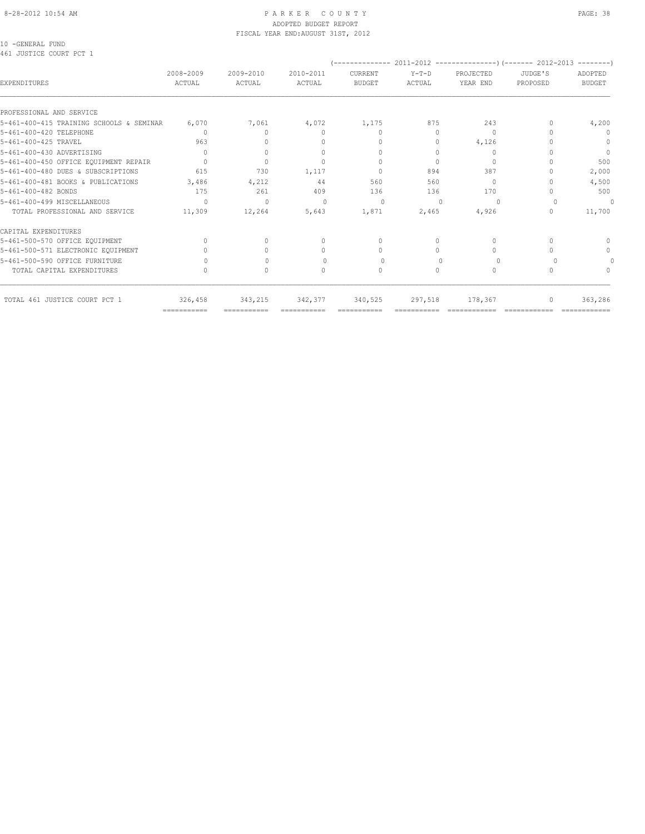#### 8-28-2012 10:54 AM P A R K E R C O U N T Y PAGE: 38 ADOPTED BUDGET REPORT FISCAL YEAR END:AUGUST 31ST, 2012

10 -GENERAL FUND 461 JUSTICE COURT PCT 1

| 2008-2009<br>ACTUAL       | 2009-2010<br>ACTUAL                                                                        | 2010-2011<br>ACTUAL                                                | <b>CURRENT</b><br><b>BUDGET</b>  | $Y-T-D$<br>ACTUAL                                                         | PROJECTED<br>YEAR END                | JUDGE'S<br>PROPOSED                 | ADOPTED<br><b>BUDGET</b> |
|---------------------------|--------------------------------------------------------------------------------------------|--------------------------------------------------------------------|----------------------------------|---------------------------------------------------------------------------|--------------------------------------|-------------------------------------|--------------------------|
|                           |                                                                                            |                                                                    |                                  |                                                                           |                                      |                                     |                          |
|                           |                                                                                            |                                                                    |                                  |                                                                           |                                      |                                     | 4,200                    |
|                           |                                                                                            |                                                                    |                                  |                                                                           |                                      |                                     | $\Omega$                 |
|                           |                                                                                            |                                                                    |                                  |                                                                           |                                      |                                     | $\Omega$                 |
|                           |                                                                                            |                                                                    |                                  |                                                                           |                                      |                                     | $\mathbf{0}$             |
| $\bigcap$                 | $\Omega$                                                                                   |                                                                    | $\Omega$                         | $\Omega$                                                                  | $\bigcap$                            |                                     | 500                      |
| 615                       | 730                                                                                        | 1,117                                                              | $\Omega$                         | 894                                                                       | 387                                  |                                     | 2,000                    |
|                           |                                                                                            | 44                                                                 | 560                              | 560                                                                       | $\bigcap$                            |                                     | 4,500                    |
| 175                       | 261                                                                                        | 409                                                                | 136                              | 136                                                                       | 170                                  |                                     | 500                      |
| $\Omega$                  | $\Omega$                                                                                   | $\Omega$                                                           | $\Omega$                         | $\Omega$                                                                  | $\Omega$                             |                                     | 0                        |
| 11,309                    | 12,264                                                                                     | 5,643                                                              | 1,871                            | 2,465                                                                     | 4,926                                |                                     | 11,700                   |
|                           |                                                                                            |                                                                    |                                  |                                                                           |                                      |                                     |                          |
| $\bigcap$                 | $\bigcap$                                                                                  | 0                                                                  | $\begin{array}{c} \n\end{array}$ | $\Omega$                                                                  | $\begin{array}{c} \n\end{array}$     |                                     |                          |
|                           |                                                                                            | $\cap$                                                             | $\Omega$                         | 0                                                                         | $\begin{array}{c} \n\end{array}$     |                                     | $\Omega$                 |
|                           |                                                                                            | $\bigcap$                                                          | $\Omega$                         | $\bigcap$                                                                 | $\Omega$                             |                                     |                          |
|                           | 0                                                                                          | 0                                                                  | $\mathbf{0}$                     | $\Omega$                                                                  | $\circ$                              | $\Omega$                            |                          |
| 326,458                   | 343,215                                                                                    | 342,377                                                            |                                  | 297,518                                                                   | 178,367                              | 0                                   | 363,286                  |
| $=$ = = = = = = = = = = = | 5-461-400-415 TRAINING SCHOOLS & SEMINAR<br>6,070<br>$\bigcap$<br>963<br>$\Omega$<br>3,486 | 7,061<br>$\begin{array}{c} \n\end{array}$<br>$\mathbf{0}$<br>4,212 | 4,072<br>0<br>$\Omega$           | 1,175<br>$\begin{array}{c} \n\end{array}$<br>$\mathbf{0}$<br>$\mathbf{0}$ | 875<br>$\Omega$<br>0<br>0<br>340,525 | 243<br>$\Omega$<br>4,126<br>$\circ$ |                          |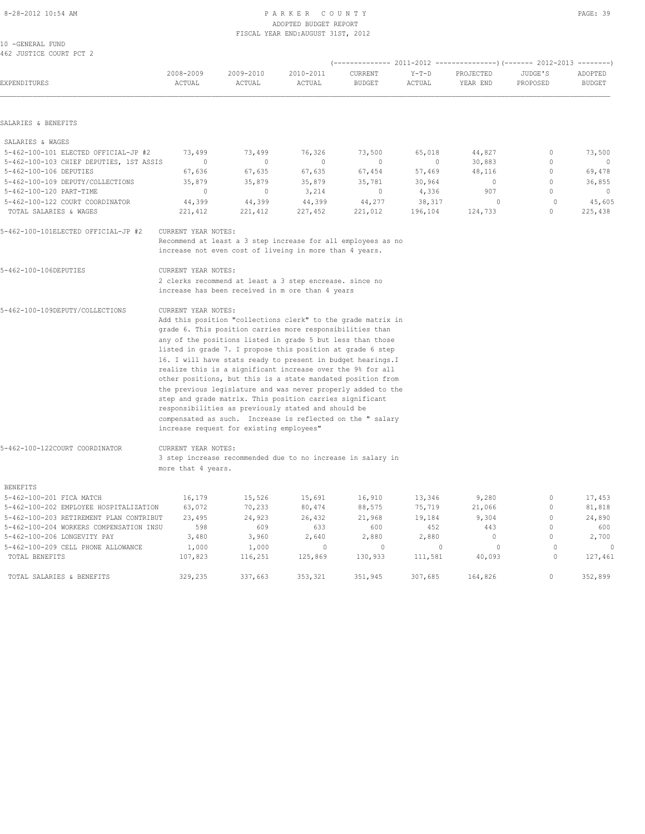# ADOPTED BUDGET REPORT FISCAL YEAR END:AUGUST 31ST, 2012

| 10 -GENERAL FUND                        |                     |                                                              |            |                |          |                |                                  |               |
|-----------------------------------------|---------------------|--------------------------------------------------------------|------------|----------------|----------|----------------|----------------------------------|---------------|
| 462 JUSTICE COURT PCT 2                 |                     |                                                              |            |                |          |                |                                  |               |
|                                         | 2008-2009           | 2009-2010                                                    | 2010-2011  | <b>CURRENT</b> | $Y-T-D$  | PROJECTED      | JUDGE'S                          | ADOPTED       |
| EXPENDITURES                            | ACTUAL              | ACTUAL                                                       | ACTUAL     | <b>BUDGET</b>  | ACTUAL   | YEAR END       | PROPOSED                         | <b>BUDGET</b> |
|                                         |                     |                                                              |            |                |          |                |                                  |               |
| SALARIES & BENEFITS                     |                     |                                                              |            |                |          |                |                                  |               |
| SALARIES & WAGES                        |                     |                                                              |            |                |          |                |                                  |               |
| 5-462-100-101 ELECTED OFFICIAL-JP #2    | 73,499              | 73,499                                                       | 76,326     | 73,500         | 65,018   | 44,827         | 0                                | 73,500        |
| 5-462-100-103 CHIEF DEPUTIES, 1ST ASSIS | $\sim$ 0            | $\Omega$                                                     | $\bigcirc$ | $\Omega$       | $\sim$ 0 | 30,883         | 0                                | $\sim$ 0      |
| 5-462-100-106 DEPUTIES                  | 67,636              | 67,635                                                       | 67,635     | 67,454         | 57,469   | 48,116         | $\mathbf{0}$                     | 69,478        |
| 5-462-100-109 DEPUTY/COLLECTIONS        | 35,879              | 35,879                                                       | 35,879     | 35,781         | 30,964   | $\overline{0}$ | $\begin{array}{c} \n\end{array}$ | 36,855        |
| 5-462-100-120 PART-TIME                 | $\mathbf{0}$        | $\circ$                                                      | 3,214      | $\circ$        | 4,336    | 907            | $\bigcap$                        | $\circ$       |
| 5-462-100-122 COURT COORDINATOR         | 44,399              | 44,399                                                       | 44,399     | 44,277         | 38,317   | $\circ$        | $\circ$                          | 45,605        |
| TOTAL SALARIES & WAGES                  | 221,412             | 221,412                                                      | 227,452    | 221,012        | 196,104  | 124,733        | $\begin{array}{c} \n\end{array}$ | 225,438       |
| 5-462-100-101ELECTED OFFICIAL-JP #2     | CURRENT YEAR NOTES: |                                                              |            |                |          |                |                                  |               |
|                                         |                     | Recommend at least a 3 step increase for all employees as no |            |                |          |                |                                  |               |
|                                         |                     | increase not even cost of liveing in more than 4 years.      |            |                |          |                |                                  |               |
| 5-462-100-106DEPUTIES                   | CURRENT YEAR NOTES: |                                                              |            |                |          |                |                                  |               |
|                                         |                     | 2 clerks recommend at least a 3 step encrease. since no      |            |                |          |                |                                  |               |
|                                         |                     | increase has been received in m ore than 4 years             |            |                |          |                |                                  |               |
| 5-462-100-109DEPUTY/COLLECTIONS         | CURRENT YEAR NOTES: |                                                              |            |                |          |                |                                  |               |
|                                         |                     | Add this position "collections clerk" to the grade matrix in |            |                |          |                |                                  |               |
|                                         |                     | grade 6. This position carries more responsibilities than    |            |                |          |                |                                  |               |
|                                         |                     | any of the positions listed in grade 5 but less than those   |            |                |          |                |                                  |               |
|                                         |                     | listed in grade 7. I propose this position at grade 6 step   |            |                |          |                |                                  |               |
|                                         |                     | 16. I will have stats ready to present in budget hearings. I |            |                |          |                |                                  |               |
|                                         |                     | realize this is a significant increase over the 9% for all   |            |                |          |                |                                  |               |

 other positions, but this is a state mandated position from the previous legislature and was never properly added to the step and grade matrix. This position carries significant responsibilities as previously stated and should be compensated as such. Increase is reflected on the " salary

3 step increase recommended due to no increase in salary in

increase request for existing employees"

more that 4 years.

5-462-100-122COURT COORDINATOR CURRENT YEAR NOTES:

| <b>BENEFITS</b>                         |         |         |         |         |         |         |   |         |
|-----------------------------------------|---------|---------|---------|---------|---------|---------|---|---------|
| 5-462-100-201 FICA MATCH                | 16,179  | 15,526  | 15,691  | 16,910  | 13,346  | 9,280   |   | 17,453  |
| 5-462-100-202 EMPLOYEE HOSPITALIZATION  | 63,072  | 70,233  | 80,474  | 88,575  | 75,719  | 21,066  |   | 81,818  |
| 5-462-100-203 RETIREMENT PLAN CONTRIBUT | 23,495  | 24,923  | 26,432  | 21,968  | 19,184  | 9,304   |   | 24,890  |
| 5-462-100-204 WORKERS COMPENSATION INSU | 598     | 609     | 633     | 600     | 452     | 443     |   | 600     |
| 5-462-100-206 LONGEVITY PAY             | 3,480   | 3,960   | 2,640   | 2,880   | 2,880   | U       |   | 2,700   |
| 5-462-100-209 CELL PHONE ALLOWANCE      | 1,000   | 1,000   |         | 0       |         |         |   |         |
| TOTAL BENEFITS                          | 107,823 | 116,251 | 125,869 | 130,933 | 111,581 | 40,093  | 0 | 127,461 |
| TOTAL SALARIES & BENEFITS               | 329,235 | 337,663 | 353,321 | 351,945 | 307,685 | 164,826 |   | 352,899 |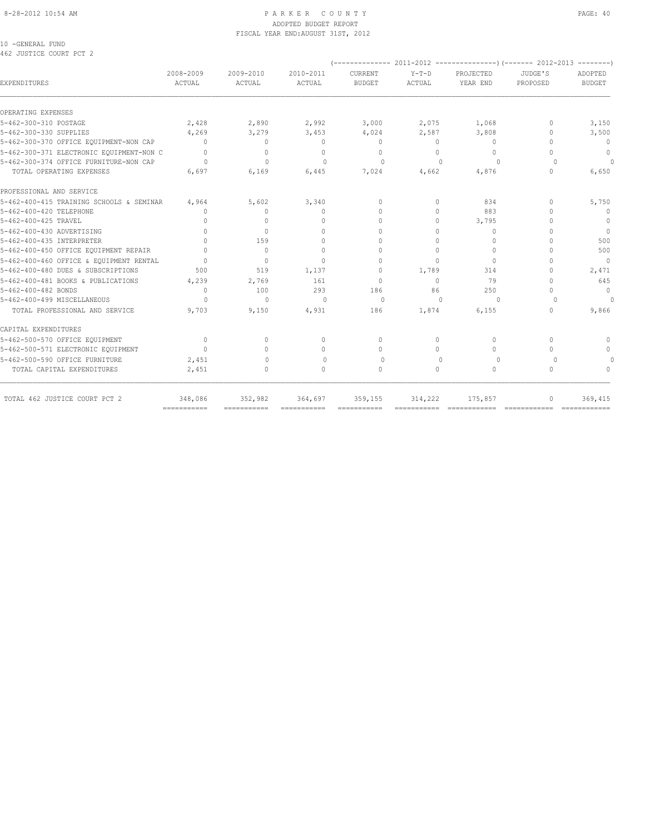#### 8-28-2012 10:54 AM P A R K E R C O U N T Y PAGE: 40 ADOPTED BUDGET REPORT FISCAL YEAR END:AUGUST 31ST, 2012

10 -GENERAL FUND 462 JUSTICE COURT PCT 2

| <b>EXPENDITURES</b>                      | 2008-2009<br>ACTUAL              | 2009-2010<br>ACTUAL              | 2010-2011<br>ACTUAL | CURRENT<br><b>BUDGET</b> | $Y-T-D$<br>ACTUAL | PROJECTED<br>YEAR END | JUDGE'S<br>PROPOSED              | ADOPTED<br><b>BUDGET</b>         |
|------------------------------------------|----------------------------------|----------------------------------|---------------------|--------------------------|-------------------|-----------------------|----------------------------------|----------------------------------|
| OPERATING EXPENSES                       |                                  |                                  |                     |                          |                   |                       |                                  |                                  |
| 5-462-300-310 POSTAGE                    | 2,428                            | 2,890                            | 2,992               | 3,000                    | 2,075             | 1,068                 | 0                                | 3,150                            |
| 5-462-300-330 SUPPLIES                   | 4,269                            | 3,279                            | 3,453               | 4,024                    | 2,587             | 3,808                 | $\mathbf{0}$                     | 3,500                            |
| 5-462-300-370 OFFICE EQUIPMENT-NON CAP   | $\begin{array}{c} \n\end{array}$ | $\mathbf{0}$                     | $\mathbf{0}$        | $\mathbf{0}$             | $\circ$           | $\mathbf{0}$          | $\Omega$                         | $\overline{0}$                   |
| 5-462-300-371 ELECTRONIC EQUIPMENT-NON C | $\Omega$                         | $\mathbf 0$                      | $\mathbf{0}$        | $\mathbf{0}$             | $\Omega$          | $\circ$               | $\begin{array}{c} \n\end{array}$ | $\circ$                          |
| 5-462-300-374 OFFICE FURNITURE-NON CAP   | $\Omega$                         | $\mathbf{0}$                     | $\Omega$            | 0                        | $\Omega$          | $\Omega$              | $\cup$                           | $\Omega$                         |
| TOTAL OPERATING EXPENSES                 | 6,697                            | 6,169                            | 6,445               | 7,024                    | 4,662             | 4,876                 | $\mathbf{0}$                     | 6,650                            |
| PROFESSIONAL AND SERVICE                 |                                  |                                  |                     |                          |                   |                       |                                  |                                  |
| 5-462-400-415 TRAINING SCHOOLS & SEMINAR | 4,964                            | 5,602                            | 3,340               | $\Omega$                 | $\Omega$          | 834                   | $\Omega$                         | 5,750                            |
| 5-462-400-420 TELEPHONE                  | <sup>0</sup>                     | $\begin{array}{c} \n\end{array}$ | $\Omega$            | $\bigcap$                | $\Omega$          | 883                   | $\cap$                           | $\overline{0}$                   |
| 5-462-400-425 TRAVEL                     | $\Omega$                         | $\Omega$                         | $\Omega$            | $\Omega$                 | $\Omega$          | 3,795                 | $\cap$                           | $\overline{0}$                   |
| 5-462-400-430 ADVERTISING                | $\begin{array}{c} \n\end{array}$ | $\Omega$                         | $\Omega$            | $\cap$                   | $\Omega$          | $\Omega$              | $\cap$                           | $\overline{0}$                   |
| 5-462-400-435 INTERPRETER                | $\begin{array}{c} \n\end{array}$ | 159                              | $\Omega$            | $\Omega$                 | $\Omega$          | $\Omega$              | $\cap$                           | 500                              |
| 5-462-400-450 OFFICE EQUIPMENT REPAIR    | $\bigcap$                        | $\Omega$                         | $\Omega$            | $\Omega$                 | $\Omega$          | $\Omega$              | $\cap$                           | 500                              |
| 5-462-400-460 OFFICE & EQUIPMENT RENTAL  | $\Omega$                         | $\circ$                          | $\cap$              | $\mathbf{0}$             | $\Omega$          | $\circ$               | $\cap$                           | $\Omega$                         |
| 5-462-400-480 DUES & SUBSCRIPTIONS       | 500                              | 519                              | 1,137               | $\mathbf{0}$             | 1,789             | 314                   | $\cap$                           | 2,471                            |
| 5-462-400-481 BOOKS & PUBLICATIONS       | 4,239                            | 2,769                            | 161                 | $\mathbf{0}$             | $\Omega$          | 79                    | $\Omega$                         | 645                              |
| 5-462-400-482 BONDS                      | $\mathbf{0}$                     | 100                              | 293                 | 186                      | 86                | 250                   | $\cap$                           | $\mathbf{0}$                     |
| 5-462-400-499 MISCELLANEOUS              | $\Omega$                         | $\Omega$                         | $\Omega$            | $\Omega$                 | $\Omega$          | $\Omega$              | $\Omega$                         | $\Omega$                         |
| TOTAL PROFESSIONAL AND SERVICE           | 9,703                            | 9,150                            | 4,931               | 186                      | 1,874             | 6,155                 | $\begin{array}{c} \n\end{array}$ | 9,866                            |
| CAPITAL EXPENDITURES                     |                                  |                                  |                     |                          |                   |                       |                                  |                                  |
| 5-462-500-570 OFFICE EQUIPMENT           | $\Omega$                         | $\Omega$                         | $\Omega$            | $\Omega$                 | $\Omega$          | $\Omega$              | $\Omega$                         | $\begin{array}{c} \n\end{array}$ |
| 5-462-500-571 ELECTRONIC EQUIPMENT       | $\Omega$                         | $\bigcap$                        | $\Omega$            | $\Omega$                 | $\bigcap$         | $\Omega$              | $\bigcap$                        | $\mathbf{0}$                     |
| 5-462-500-590 OFFICE FURNITURE           | 2,451                            | $\bigcap$                        | $\bigcap$           | $\Omega$                 | $\cap$            | $\Omega$              | $\cup$                           | $\Omega$                         |
| TOTAL CAPITAL EXPENDITURES               | 2,451                            | $\circ$                          | $\Omega$            | $\Omega$                 | $\Omega$          | $\circ$               | $\Omega$                         | $\begin{array}{c} \n\end{array}$ |
| TOTAL 462 JUSTICE COURT PCT 2            | 348,086                          | 352,982                          | 364,697             | 359,155                  | 314,222           | 175,857               | $\mathbf{0}$                     | 369,415                          |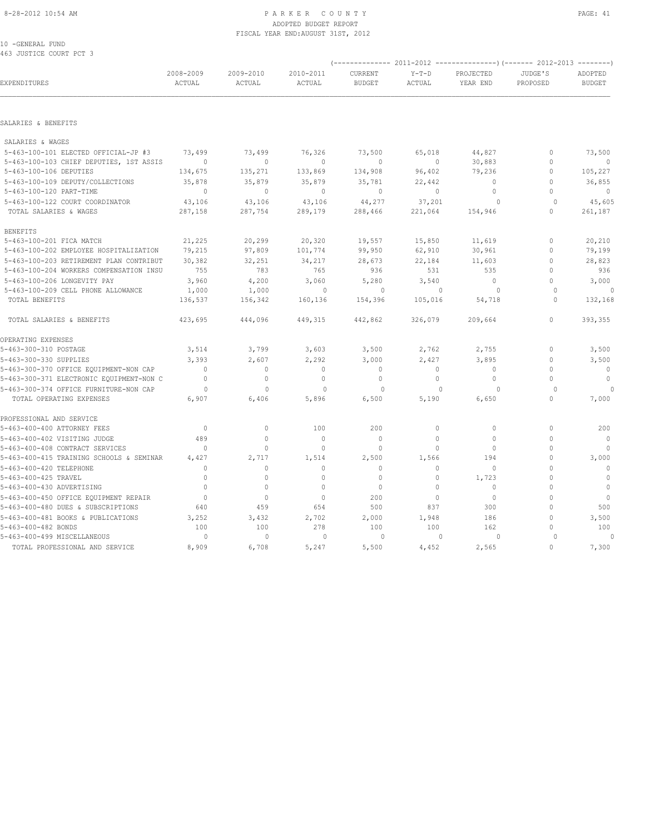#### 8-28-2012 10:54 AM PAGE: 41 ADOPTED BUDGET REPORT FISCAL YEAR END:AUGUST 31ST, 2012

10 -GENERAL FUND 463 JUSTICE COURT PCT 3

| EXPENDITURES                             | 2008-2009<br>ACTUAL | 2009-2010<br>ACTUAL | 2010-2011<br>ACTUAL | CURRENT<br><b>BUDGET</b> | $Y-T-D$<br>ACTUAL | PROJECTED<br>YEAR END | JUDGE'S<br>PROPOSED | ADOPTED<br><b>BUDGET</b> |
|------------------------------------------|---------------------|---------------------|---------------------|--------------------------|-------------------|-----------------------|---------------------|--------------------------|
|                                          |                     |                     |                     |                          |                   |                       |                     |                          |
| SALARIES & BENEFITS                      |                     |                     |                     |                          |                   |                       |                     |                          |
| SALARIES & WAGES                         |                     |                     |                     |                          |                   |                       |                     |                          |
| 5-463-100-101 ELECTED OFFICIAL-JP #3     | 73,499              | 73,499              | 76,326              | 73,500                   | 65,018            | 44,827                | 0                   | 73,500                   |
| 5-463-100-103 CHIEF DEPUTIES, 1ST ASSIS  | $\Omega$            | $\circ$             | $\circ$             | $\mathbf{0}$             | $\circ$           | 30,883                | $\mathbf 0$         | $\overline{0}$           |
| 5-463-100-106 DEPUTIES                   | 134,675             | 135,271             | 133,869             | 134,908                  | 96,402            | 79,236                | $\mathbf 0$         | 105,227                  |
| 5-463-100-109 DEPUTY/COLLECTIONS         | 35,878              | 35,879              | 35,879              | 35,781                   | 22,442            | $\mathbf{0}$          | $\mathbf{0}$        | 36,855                   |
| 5-463-100-120 PART-TIME                  | $\circ$             | $\circ$             | $\mathbf{0}$        | $\mathbf{0}$             | $\circ$           | $\circ$               | $\mathbf 0$         | $\mathbf{0}$             |
| 5-463-100-122 COURT COORDINATOR          | 43,106              | 43,106              | 43,106              | 44,277                   | 37,201            | $\Omega$              | $\mathbf{0}$        | 45,605                   |
| TOTAL SALARIES & WAGES                   | 287,158             | 287,754             | 289,179             | 288,466                  | 221,064           | 154,946               | $\circ$             | 261,187                  |
| <b>BENEFITS</b>                          |                     |                     |                     |                          |                   |                       |                     |                          |
| 5-463-100-201 FICA MATCH                 | 21,225              | 20,299              | 20,320              | 19,557                   | 15,850            | 11,619                | $\mathbf{0}$        | 20,210                   |
| 5-463-100-202 EMPLOYEE HOSPITALIZATION   | 79,215              | 97,809              | 101,774             | 99,950                   | 62,910            | 30,961                | $\mathbf{0}$        | 79,199                   |
| 5-463-100-203 RETIREMENT PLAN CONTRIBUT  | 30,382              | 32,251              | 34,217              | 28,673                   | 22,184            | 11,603                | $\mathbf 0$         | 28,823                   |
| 5-463-100-204 WORKERS COMPENSATION INSU  | 755                 | 783                 | 765                 | 936                      | 531               | 535                   | $\mathbf{0}$        | 936                      |
| 5-463-100-206 LONGEVITY PAY              | 3,960               | 4,200               | 3,060               | 5,280                    | 3,540             | $\circ$               | $\mathbf 0$         | 3,000                    |
| 5-463-100-209 CELL PHONE ALLOWANCE       | 1,000               | 1,000               | $\mathbf{0}$        | $\circ$                  | $\mathbf{0}$      | $\circ$               | $\circ$             | 0                        |
| TOTAL BENEFITS                           | 136,537             | 156,342             | 160,136             | 154,396                  | 105,016           | 54,718                | $\mathbf{0}$        | 132,168                  |
| TOTAL SALARIES & BENEFITS                | 423,695             | 444,096             | 449,315             | 442,862                  | 326,079           | 209,664               | $\mathsf{O}\xspace$ | 393,355                  |
| OPERATING EXPENSES                       |                     |                     |                     |                          |                   |                       |                     |                          |
| 5-463-300-310 POSTAGE                    | 3,514               | 3,799               | 3,603               | 3,500                    | 2,762             | 2,755                 | 0                   | 3,500                    |
| 5-463-300-330 SUPPLIES                   | 3,393               | 2,607               | 2,292               | 3,000                    | 2,427             | 3,895                 | $\mathbf 0$         | 3,500                    |
| 5-463-300-370 OFFICE EQUIPMENT-NON CAP   | $\mathbf{0}$        | $\circ$             | $\mathbf{0}$        | $\mathbf 0$              | 0                 | 0                     | $\mathbf{0}$        | $\mathbf 0$              |
| 5-463-300-371 ELECTRONIC EQUIPMENT-NON C | $\mathbf{0}$        | $\mathbb O$         | $\circ$             | $\mathbb O$              | $\circ$           | $\mathbb O$           | $\mathbf 0$         | $\mathbf 0$              |
| 5-463-300-374 OFFICE FURNITURE-NON CAP   | $\circ$             | $\mathbf{0}$        | $\mathbf{0}$        | $\circ$                  | $\mathbf{0}$      | $\Omega$              | $\circ$             |                          |
| TOTAL OPERATING EXPENSES                 | 6,907               | 6,406               | 5,896               | 6,500                    | 5,190             | 6,650                 | $\mathbb O$         | 7,000                    |
| PROFESSIONAL AND SERVICE                 |                     |                     |                     |                          |                   |                       |                     |                          |
| 5-463-400-400 ATTORNEY FEES              | $\mathbf{0}$        | $\mathbf{0}$        | 100                 | 200                      | $\circ$           | 0                     | $\mathbf{0}$        | 200                      |
| 5-463-400-402 VISITING JUDGE             | 489                 | $\Omega$            | $\Omega$            | $\mathbf 0$              | $\Omega$          | $\Omega$              | $\Omega$            | $\mathbf 0$              |
| 5-463-400-408 CONTRACT SERVICES          | $\Omega$            | $\mathbf{0}$        | $\Omega$            | $\mathbf{0}$             | $\Omega$          | $\Omega$              | $\Omega$            | $\mathbf{0}$             |
| 5-463-400-415 TRAINING SCHOOLS & SEMINAR | 4,427               | 2,717               | 1,514               | 2,500                    | 1,566             | 194                   | $\Omega$            | 3,000                    |
| 5-463-400-420 TELEPHONE                  | $\Omega$            | $\Omega$            | $\Omega$            | $\Omega$                 | $\Omega$          | $\Omega$              | $\Omega$            | $\mathbf{0}$             |
| 5-463-400-425 TRAVEL                     | $\mathbf{0}$        | $\Omega$            | $\Omega$            | $\mathbf{0}$             | $\circ$           | 1,723                 | $\Omega$            | $\mathbf{0}$             |
| 5-463-400-430 ADVERTISING                | $\Omega$            | $\mathbf{0}$        | $\Omega$            | $\mathbf{0}$             | $\circ$           | $\Omega$              | $\Omega$            | $\mathbf{0}$             |
| 5-463-400-450 OFFICE EQUIPMENT REPAIR    | $\mathbf{0}$        | $\circ$             | $\Omega$            | 200                      | $\circ$           | $\circ$               | $\Omega$            | $\mathbf{0}$             |
| 5-463-400-480 DUES & SUBSCRIPTIONS       | 640                 | 459                 | 654                 | 500                      | 837               | 300                   | $\Omega$            | 500                      |
| 5-463-400-481 BOOKS & PUBLICATIONS       | 3,252               | 3,432               | 2,702               | 2,000                    | 1,948             | 186                   | $\Omega$            | 3,500                    |
| 5-463-400-482 BONDS                      | 100                 | 100                 | 278                 | 100                      | 100               | 162                   | $\mathbf{0}$        | 100                      |
| 5-463-400-499 MISCELLANEOUS              | $\circ$             | $\mathbf{0}$        | $\mathbf{0}$        | $\circ$                  | $\mathbf{0}$      | 0                     | 0                   | 0                        |
| TOTAL PROFESSIONAL AND SERVICE           | 8,909               | 6,708               | 5,247               | 5,500                    | 4,452             | 2,565                 | $\Omega$            | 7,300                    |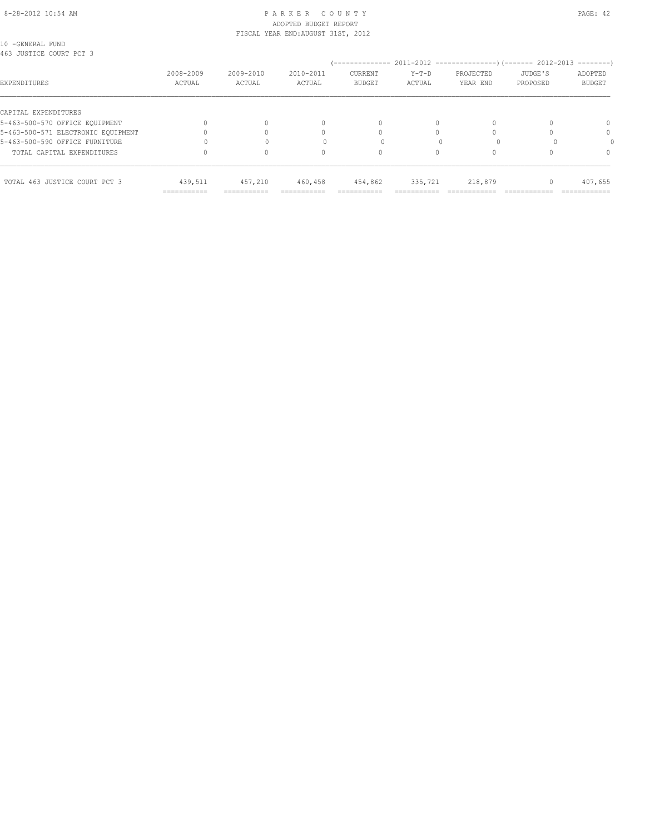#### 8-28-2012 10:54 AM PAGE: 42 ADOPTED BUDGET REPORT FISCAL YEAR END:AUGUST 31ST, 2012

10 -GENERAL FUND 463 JUSTICE COURT PCT 3

| RAG AASIILE CAART EAT S            |                            |                           |                     | --------------                  |                        | 2011-2012 -----------------) (------- 2012-2013 |                     | $------$                 |
|------------------------------------|----------------------------|---------------------------|---------------------|---------------------------------|------------------------|-------------------------------------------------|---------------------|--------------------------|
| EXPENDITURES                       | 2008-2009<br>ACTUAL        | 2009-2010<br>ACTUAL       | 2010-2011<br>ACTUAL | <b>CURRENT</b><br><b>BUDGET</b> | $Y-T-D$<br>ACTUAL      | PROJECTED<br>YEAR END                           | JUDGE'S<br>PROPOSED | ADOPTED<br><b>BUDGET</b> |
| CAPITAL EXPENDITURES               |                            |                           |                     |                                 |                        |                                                 |                     |                          |
| 5-463-500-570 OFFICE EQUIPMENT     |                            | 0                         |                     | 0                               |                        |                                                 |                     | $\Omega$                 |
| 5-463-500-571 ELECTRONIC EOUIPMENT |                            |                           |                     |                                 |                        |                                                 |                     | $\Omega$                 |
| 5-463-500-590 OFFICE FURNITURE     |                            |                           |                     |                                 |                        |                                                 |                     |                          |
| TOTAL CAPITAL EXPENDITURES         |                            | 0                         |                     | 0                               |                        |                                                 |                     | $\Omega$                 |
| TOTAL 463 JUSTICE COURT PCT 3      | 439,511                    | 457,210                   | 460,458             | 454,862                         | 335,721                | 218,879                                         |                     | 407,655                  |
|                                    | -----------<br>----------- | ----------<br>----------- | ----------          | ----------<br>----------        | ---------------------- |                                                 |                     | ------------             |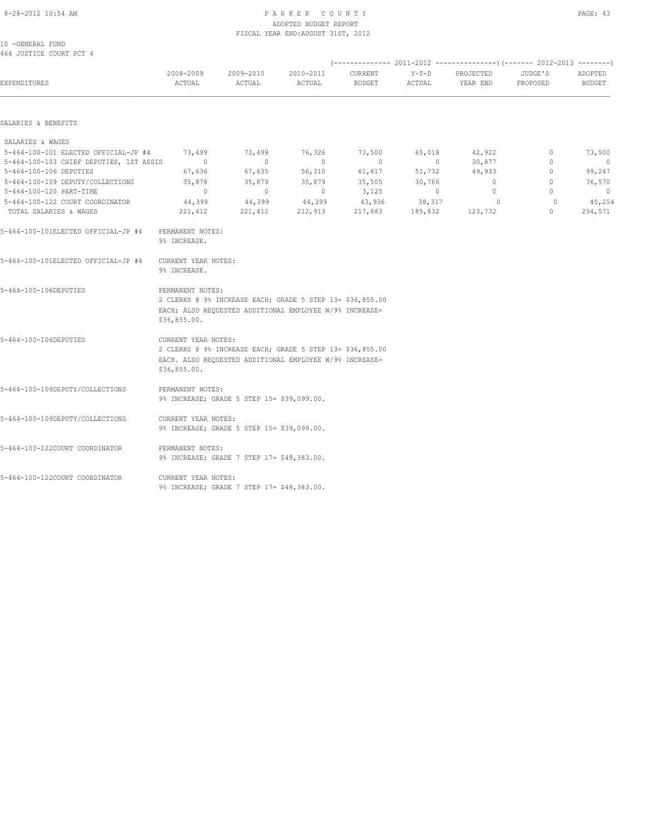#### 8-28-2012 10:54 AM PAGE: 43 ADOPTED BUDGET REPORT FISCAL YEAR END:AUGUST 31ST, 2012

| 10 -GENERAL FUND        |  |  |
|-------------------------|--|--|
| AGA THOTTOR CONDT DOT A |  |  |

| 464 JUSTICE COURT PCT 4                                    |                                     |                                                                                                                      |                     |                          |                   |                       |                         |                   |
|------------------------------------------------------------|-------------------------------------|----------------------------------------------------------------------------------------------------------------------|---------------------|--------------------------|-------------------|-----------------------|-------------------------|-------------------|
| EXPENDITURES                                               | 2008-2009<br>ACTUAL                 | 2009-2010<br>ACTUAL                                                                                                  | 2010-2011<br>ACTUAL | CURRENT<br><b>BUDGET</b> | $Y-T-D$<br>ACTUAL | PROJECTED<br>YEAR END | JUDGE'S<br>PROPOSED     | ADOPTED<br>BUDGET |
| SALARIES & BENEFITS                                        |                                     |                                                                                                                      |                     |                          |                   |                       |                         |                   |
| SALARIES & WAGES                                           |                                     |                                                                                                                      |                     |                          |                   |                       |                         |                   |
| 5-464-100-101 ELECTED OFFICIAL-JP #4                       | 73,499                              | 73,499                                                                                                               | 76,326              | 73,500                   | 65,018            | 42,922                | $\circ$                 | 73,500            |
| 5-464-100-103 CHIEF DEPUTIES, 1ST ASSIS                    | $\sim$ 0                            | $\circ$                                                                                                              | $\circ$             | $\circ$                  | $\sim$ 0          | 30,877                | $\mathbf{0}$<br>$\circ$ | $\overline{0}$    |
| 5-464-100-106 DEPUTIES<br>5-464-100-109 DEPUTY/COLLECTIONS | 67,636<br>35,878                    | 67,635<br>35,879                                                                                                     | 56,310<br>35,879    | 61,617<br>35,505         | 51,732<br>30,766  | 49,933<br>$\circ$     | $\circ$                 | 99,247<br>36,570  |
| 5-464-100-120 PART-TIME                                    | $\Omega$                            | $\overline{0}$                                                                                                       | $\Omega$            | 3,125                    | $\bigcirc$        | $\Omega$              | $\bigcap$               | $\Omega$          |
| 5-464-100-122 COURT COORDINATOR                            | 44,399                              | 44,399                                                                                                               | 44,399              | 43,936                   | 38, 317           | $\overline{0}$        | $\circ$                 | 45,254            |
| TOTAL SALARIES & WAGES                                     | 221,412                             | 221,412                                                                                                              | 212,913             | 217,683                  | 185,832           | 123,732               | $\mathbf{0}$            | 254,571           |
| 5-464-100-101ELECTED OFFICIAL-JP #4                        | PERMANENT NOTES:<br>9% INCREASE.    |                                                                                                                      |                     |                          |                   |                       |                         |                   |
| 5-464-100-101ELECTED OFFICIAL-JP #4                        | CURRENT YEAR NOTES:<br>9% INCREASE. |                                                                                                                      |                     |                          |                   |                       |                         |                   |
| 5-464-100-106DEPUTIES                                      | PERMANENT NOTES:<br>\$36,855.00.    | 2 CLERKS @ 9% INCREASE EACH; GRADE 5 STEP 13= \$36,855.00<br>EACH; ALSO REQUESTED ADDITIONAL EMPLOYEE W/9% INCREASE= |                     |                          |                   |                       |                         |                   |
| 5-464-100-106DEPUTIES                                      | CURRENT YEAR NOTES:<br>\$36,855.00. | 2 CLERKS @ 9% INCREASE EACH; GRADE 5 STEP 13= \$36,855.00<br>EACH. ALSO REQUESTED ADDITIONAL EMPLOYEE W/9% INCREASE= |                     |                          |                   |                       |                         |                   |
| 5-464-100-109DEPUTY/COLLECTIONS                            | PERMANENT NOTES:                    | 9% INCREASE; GRADE 5 STEP 15= \$39,099.00.                                                                           |                     |                          |                   |                       |                         |                   |
| 5-464-100-109DEPUTY/COLLECTIONS                            | CURRENT YEAR NOTES:                 | 9% INCREASE; GRADE 5 STEP 15= \$39,099.00.                                                                           |                     |                          |                   |                       |                         |                   |
| 5-464-100-122COURT COORDINATOR                             | PERMANENT NOTES:                    | 9% INCREASE; GRADE 7 STEP 17= \$48,383.00.                                                                           |                     |                          |                   |                       |                         |                   |

5-464-100-122COURT COORDINATOR CURRENT YEAR NOTES: 9% INCREASE; GRADE 7 STEP 17= \$48,383.00.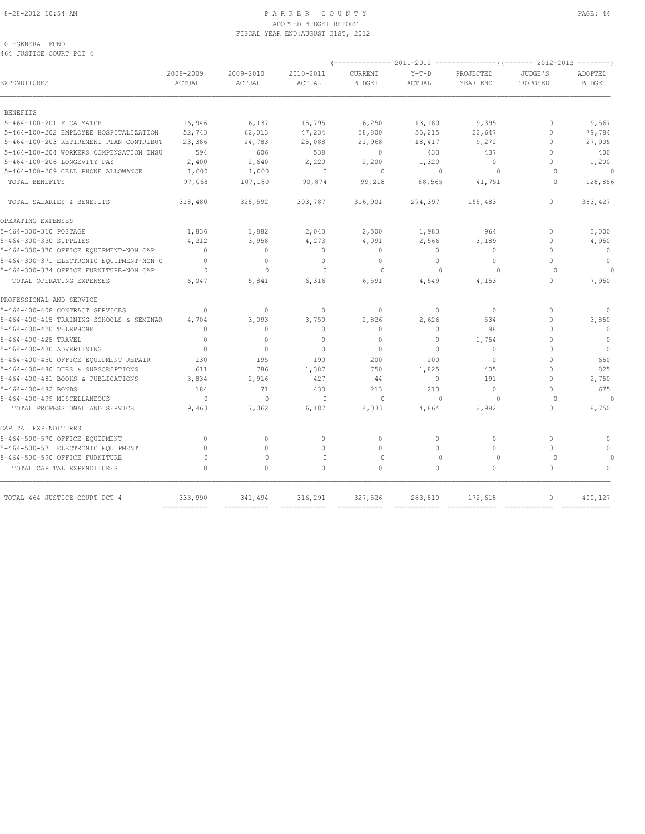#### 8-28-2012 10:54 AM PAGE: 44 ADOPTED BUDGET REPORT FISCAL YEAR END:AUGUST 31ST, 2012

10 -GENERAL FUND 464 JUSTICE COURT PCT 4

| 404 JUSIILA LUUKI PUI 4                  |                           |                                  |                           |                          |                                  |                       |                     |                                  |
|------------------------------------------|---------------------------|----------------------------------|---------------------------|--------------------------|----------------------------------|-----------------------|---------------------|----------------------------------|
| EXPENDITURES                             | 2008-2009<br>ACTUAL       | 2009-2010<br>ACTUAL              | 2010-2011<br>ACTUAL       | CURRENT<br><b>BUDGET</b> | $Y-T-D$<br>ACTUAL                | PROJECTED<br>YEAR END | JUDGE'S<br>PROPOSED | ADOPTED<br><b>BUDGET</b>         |
| <b>BENEFITS</b>                          |                           |                                  |                           |                          |                                  |                       |                     |                                  |
| 5-464-100-201 FICA MATCH                 | 16,946                    | 16,137                           | 15,795                    | 16,250                   | 13,180                           | 9,395                 | $\circ$             | 19,567                           |
| 5-464-100-202 EMPLOYEE HOSPITALIZATION   | 52,743                    | 62,013                           | 47,234                    | 58,800                   | 55,215                           | 22,647                | $\Omega$            | 79,784                           |
| 5-464-100-203 RETIREMENT PLAN CONTRIBUT  | 23,386                    | 24,783                           | 25,088                    | 21,968                   | 18,417                           | 9,272                 | $\Omega$            | 27,905                           |
| 5-464-100-204 WORKERS COMPENSATION INSU  | 594                       | 606                              | 538                       | $\Omega$                 | 433                              | 437                   | $\Omega$            | 400                              |
| 5-464-100-206 LONGEVITY PAY              | 2,400                     | 2,640                            | 2,220                     | 2,200                    | 1,320                            | 0                     | 0                   | 1,200                            |
| 5-464-100-209 CELL PHONE ALLOWANCE       | 1,000                     | 1,000                            | $\mathbf{0}$              | $\circ$                  | $\Omega$                         | $\Omega$              | $\Omega$            | $\cap$                           |
| TOTAL BENEFITS                           | 97,068                    | 107,180                          | 90,874                    | 99,218                   | 88,565                           | 41,751                | $\circ$             | 128,856                          |
| TOTAL SALARIES & BENEFITS                | 318,480                   | 328,592                          | 303,787                   | 316,901                  | 274,397                          | 165,483               | $\Omega$            | 383,427                          |
| OPERATING EXPENSES                       |                           |                                  |                           |                          |                                  |                       |                     |                                  |
| 5-464-300-310 POSTAGE                    | 1,836                     | 1,882                            | 2,043                     | 2,500                    | 1,983                            | 964                   | $\circ$             | 3,000                            |
| 5-464-300-330 SUPPLIES                   | 4,212                     | 3,958                            | 4,273                     | 4,091                    | 2,566                            | 3,189                 | O                   | 4,950                            |
| 5-464-300-370 OFFICE EQUIPMENT-NON CAP   | $\Omega$                  | $\begin{array}{c} \n\end{array}$ | $\Omega$                  | $\Omega$                 | $\Omega$                         | $\Omega$              | O                   | $\Omega$                         |
| 5-464-300-371 ELECTRONIC EQUIPMENT-NON C | $\mathbf{0}$              | $\circ$                          | $\mathbf{0}$              | $\mathbf{0}$             | $\circ$                          | 0                     | O                   | $\mathbf{0}$                     |
| 5-464-300-374 OFFICE FURNITURE-NON CAP   | $\Omega$                  | $\Omega$                         | $\Omega$                  | $\Omega$                 | $\begin{array}{c} \n\end{array}$ | $\Omega$              | $\Omega$            |                                  |
| TOTAL OPERATING EXPENSES                 | 6,047                     | 5,841                            | 6,316                     | 6,591                    | 4,549                            | 4,153                 | 0                   | 7,950                            |
| PROFESSIONAL AND SERVICE                 |                           |                                  |                           |                          |                                  |                       |                     |                                  |
| 5-464-400-408 CONTRACT SERVICES          | $\Omega$                  | $\mathbf{0}$                     | $\mathbf{0}$              | $\mathbf{0}$             | 0                                | $\circ$               | $\mathbf{0}$        | 0                                |
| 5-464-400-415 TRAINING SCHOOLS & SEMINAR | 4,704                     | 3,093                            | 3,750                     | 2,826                    | 2,626                            | 534                   | $\Omega$            | 3,850                            |
| 5-464-400-420 TELEPHONE                  | $\cap$                    | $\mathbf{0}$                     | $\Omega$                  | $\mathbf{0}$             | $\circ$                          | 98                    | O                   | $\mathbf{0}$                     |
| 5-464-400-425 TRAVEL                     | $\Omega$                  | 0                                | $\Omega$                  | $\Omega$                 | $\Omega$                         | 1,754                 | O                   | $\circ$                          |
| 5-464-400-430 ADVERTISING                | $\Omega$                  | $\Omega$                         | $\Omega$                  | $\Omega$                 | $\Omega$                         | $\Omega$              | $\cap$              | $\Omega$                         |
| 5-464-400-450 OFFICE EQUIPMENT REPAIR    | 130                       | 195                              | 190                       | 200                      | 200                              | 0                     | O                   | 650                              |
| 5-464-400-480 DUES & SUBSCRIPTIONS       | 611                       | 786                              | 1,387                     | 750                      | 1,825                            | 405                   | O                   | 825                              |
| 5-464-400-481 BOOKS & PUBLICATIONS       | 3,834                     | 2,916                            | 427                       | 44                       | $\circ$                          | 191                   | O                   | 2,750                            |
| 5-464-400-482 BONDS                      | 184                       | 71                               | 433                       | 213                      | 213                              | $\Omega$              | $\cap$              | 675                              |
| 5-464-400-499 MISCELLANEOUS              | $\Omega$                  | $\Omega$                         | $\bigcap$                 | $\cap$                   | $\cap$                           | $\Omega$              | $\cap$              |                                  |
| TOTAL PROFESSIONAL AND SERVICE           | 9,463                     | 7,062                            | 6,187                     | 4,033                    | 4,864                            | 2,982                 | O                   | 8,750                            |
| CAPITAL EXPENDITURES                     |                           |                                  |                           |                          |                                  |                       |                     |                                  |
| 5-464-500-570 OFFICE EQUIPMENT           | $\Omega$                  | 0                                | $\mathbf{0}$              | $\mathbf{0}$             | $\Omega$                         | $\Omega$              | $\Omega$            | $\Omega$                         |
| 5-464-500-571 ELECTRONIC EQUIPMENT       | $\Omega$                  | $\Omega$                         | $\Omega$                  | $\Omega$                 | $\Omega$                         | $\Omega$              | $\cap$              | $\begin{array}{c} \n\end{array}$ |
| 5-464-500-590 OFFICE FURNITURE           | $\Omega$                  | $\Omega$                         | $\mathbf 0$               | $\Omega$                 | $\mathbf{0}$                     | $\circ$               | $\Omega$            |                                  |
| TOTAL CAPITAL EXPENDITURES               | $\cap$                    | $\Omega$                         | $\Omega$                  | $\Omega$                 | $\Omega$                         | $\Omega$              | $\Omega$            | $\begin{array}{c} \n\end{array}$ |
| TOTAL 464 JUSTICE COURT PCT 4            | 333,990                   | 341,494                          | 316,291                   | 327,526                  | 283,810                          | 172,618               | 0                   | 400,127                          |
|                                          | $=$ = = = = = = = = = = = | ===========                      | $=$ = = = = = = = = = = = |                          | ===========                      | ============          |                     | $=$ ============                 |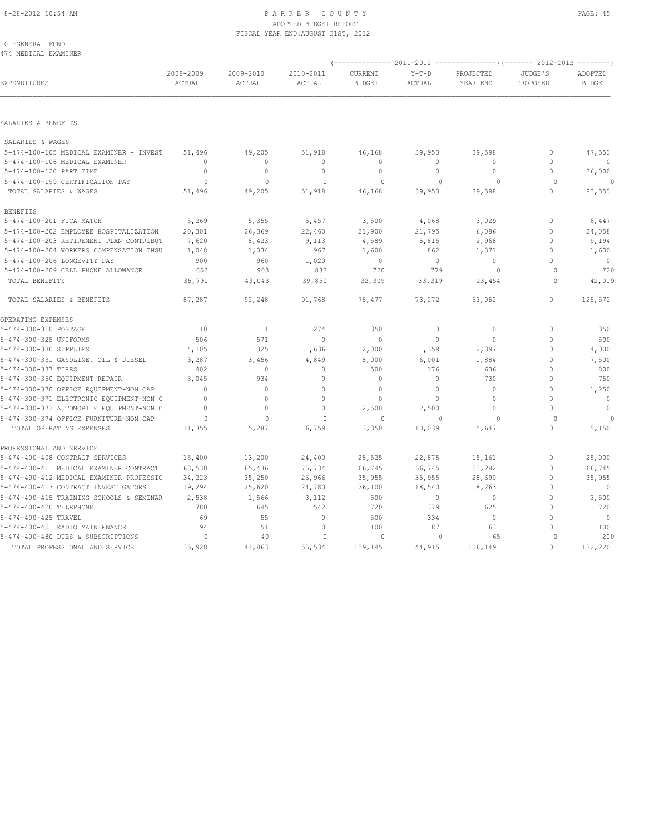#### 8-28-2012 10:54 AM PAGE: 45 ADOPTED BUDGET REPORT FISCAL YEAR END:AUGUST 31ST, 2012

| 10 -GENERAL FUND |                      |
|------------------|----------------------|
|                  | 474 MEDICAL EXAMINER |

|                                          |                                  |                     |                     |                          |                          |                       |                     | (------------- 2011-2012 ---------------) (------- 2012-2013 --------) |  |
|------------------------------------------|----------------------------------|---------------------|---------------------|--------------------------|--------------------------|-----------------------|---------------------|------------------------------------------------------------------------|--|
| EXPENDITURES                             | 2008-2009<br>ACTUAL              | 2009-2010<br>ACTUAL | 2010-2011<br>ACTUAL | CURRENT<br><b>BUDGET</b> | $Y-T-D$<br><b>ACTUAL</b> | PROJECTED<br>YEAR END | JUDGE'S<br>PROPOSED | ADOPTED<br><b>BUDGET</b>                                               |  |
|                                          |                                  |                     |                     |                          |                          |                       |                     |                                                                        |  |
| SALARIES & BENEFITS                      |                                  |                     |                     |                          |                          |                       |                     |                                                                        |  |
| SALARIES & WAGES                         |                                  |                     |                     |                          |                          |                       |                     |                                                                        |  |
| 5-474-100-105 MEDICAL EXAMINER - INVEST  | 51,496                           | 49,205              | 51,918              | 46,168                   | 39,953                   | 39,598                | 0                   | 47,553                                                                 |  |
| 5-474-100-106 MEDICAL EXAMINER           | $\begin{array}{c} \n\end{array}$ | $\circ$             | $\mathbf{0}$        | $\mathbf{0}$             | $\Omega$                 | $\Omega$              | $\Omega$            | $\circ$                                                                |  |
| 5-474-100-120 PART TIME                  | $\mathbf{0}$                     | $\mathbf 0$         | $\mathbf{0}$        | $\mathbf{0}$             | $\circ$                  | $\Omega$              | $\Omega$            | 36,000                                                                 |  |
| 5-474-100-199 CERTIFICATION PAY          | $\circ$                          | $\mathbf{0}$        | $\circ$             | 0                        | $\mathbf 0$              | 0                     | $\circ$             | $\circ$                                                                |  |
| TOTAL SALARIES & WAGES                   | 51,496                           | 49,205              | 51,918              | 46,168                   | 39,953                   | 39,598                | $\Omega$            | 83,553                                                                 |  |
| <b>BENEFITS</b>                          |                                  |                     |                     |                          |                          |                       |                     |                                                                        |  |
| 5-474-100-201 FICA MATCH                 | 5,269                            | 5,355               | 5,457               | 3,500                    | 4,068                    | 3,029                 | 0                   | 6,447                                                                  |  |
| 5-474-100-202 EMPLOYEE HOSPITALIZATION   | 20,301                           | 26,369              | 22,460              | 21,900                   | 21,795                   | 6,086                 | $\mathbf{0}$        | 24,058                                                                 |  |
| 5-474-100-203 RETIREMENT PLAN CONTRIBUT  | 7,620                            | 8,423               | 9,113               | 4,589                    | 5,815                    | 2,968                 | $\mathbf{0}$        | 9,194                                                                  |  |
| 5-474-100-204 WORKERS COMPENSATION INSU  | 1,048                            | 1,034               | 967                 | 1,600                    | 862                      | 1,371                 | $\mathbf{0}$        | 1,600                                                                  |  |
| 5-474-100-206 LONGEVITY PAY              | 900                              | 960                 | 1,020               | $\mathbf{0}$             | $\circ$                  | $\circ$               | $\Omega$            | $\mathbf{0}$                                                           |  |
| 5-474-100-209 CELL PHONE ALLOWANCE       | 652                              | 903                 | 833                 | 720                      | 779                      | 0                     | $\Omega$            | 720                                                                    |  |
| TOTAL BENEFITS                           | 35,791                           | 43,043              | 39,850              | 32,309                   | 33,319                   | 13,454                | $\Omega$            | 42,019                                                                 |  |
| TOTAL SALARIES & BENEFITS                | 87,287                           | 92,248              | 91,768              | 78,477                   | 73,272                   | 53,052                | $\circ$             | 125,572                                                                |  |
| OPERATING EXPENSES                       |                                  |                     |                     |                          |                          |                       |                     |                                                                        |  |
| 5-474-300-310 POSTAGE                    | 10                               | $\mathbf{1}$        | 274                 | 350                      | 3                        | $\circ$               | $\mathbf 0$         | 350                                                                    |  |
| 5-474-300-325 UNIFORMS                   | 506                              | 571                 | $\mathbf{0}$        | $\mathbf{0}$             | $\circ$                  | $\circ$               | $\mathbf{0}$        | 500                                                                    |  |
| 5-474-300-330 SUPPLIES                   | 4,105                            | 325                 | 1,636               | 2,000                    | 1,359                    | 2,397                 | $\mathbf{0}$        | 4,000                                                                  |  |
| 5-474-300-331 GASOLINE, OIL & DIESEL     | 3,287                            | 3,456               | 4,849               | 8,000                    | 6,001                    | 1,884                 | $\Omega$            | 7,500                                                                  |  |
| 5-474-300-337 TIRES                      | 402                              | $\mathbf 0$         | $\mathbf{0}$        | 500                      | 176                      | 636                   | $\Omega$            | 800                                                                    |  |
| 5-474-300-350 EQUIPMENT REPAIR           | 3,045                            | 934                 | $\mathbf{0}$        | $\mathbf{0}$             | $\circ$                  | 730                   | $\Omega$            | 750                                                                    |  |
| 5-474-300-370 OFFICE EQUIPMENT-NON CAP   | $\Omega$                         | $\mathbf 0$         | $\circ$             | $\theta$                 | $\circ$                  | $\circ$               | $\Omega$            | 1,250                                                                  |  |
| 5-474-300-371 ELECTRONIC EQUIPMENT-NON C | $\mathbf{0}$                     | $\mathbf{0}$        | $\mathbf{0}$        | $\mathbf{0}$             | $\circ$                  | $\circ$               | $\mathbf{0}$        | $\mathbf 0$                                                            |  |
| 5-474-300-373 AUTOMOBILE EQUIPMENT-NON C | $\mathbf{0}$                     | $\mathbb O$         | $\circ$             | 2,500                    | 2,500                    | $\circ$               | $\Omega$            | $\mathbf 0$                                                            |  |
| 5-474-300-374 OFFICE FURNITURE-NON CAP   | $\circ$                          | $\mathbf{0}$        | $\Omega$            | $\Omega$                 | $\mathbf{0}$             | $\Omega$              | $\Omega$            |                                                                        |  |
| TOTAL OPERATING EXPENSES                 | 11,355                           | 5,287               | 6,759               | 13,350                   | 10,039                   | 5,647                 | $\mathbf{0}$        | 15,150                                                                 |  |
| PROFESSIONAL AND SERVICE                 |                                  |                     |                     |                          |                          |                       |                     |                                                                        |  |
| 5-474-400-408 CONTRACT SERVICES          | 15,400                           | 13,200              | 24,400              | 28,525                   | 22,875                   | 15,161                | 0                   | 25,000                                                                 |  |
| 5-474-400-411 MEDICAL EXAMINER CONTRACT  | 63,530                           | 65,436              | 75,734              | 66,745                   | 66,745                   | 53,282                | $\mathbf{0}$        | 66,745                                                                 |  |
| 5-474-400-412 MEDICAL EXAMINER PROFESSIO | 34,223                           | 35,250              | 26,966              | 35,955                   | 35,955                   | 28,690                | $\Omega$            | 35,955                                                                 |  |
| 5-474-400-413 CONTRACT INVESTIGATORS     | 19,294                           | 25,620              | 24,780              | 26,100                   | 18,540                   | 8,263                 | $\Omega$            | $\Omega$                                                               |  |
| 5-474-400-415 TRAINING SCHOOLS & SEMINAR | 2,538                            | 1,566               | 3,112               | 500                      | $\circ$                  | $\circ$               | $\mathbf{0}$        | 3,500                                                                  |  |
| 5-474-400-420 TELEPHONE                  | 780                              | 645                 | 542                 | 720                      | 379                      | 625                   | $\Omega$            | 720                                                                    |  |
| 5-474-400-425 TRAVEL                     | 69                               | 55                  | $\mathbb O$         | 500                      | 334                      | $\mathbf{0}$          | $\mathbf 0$         | $\mathbf{0}$                                                           |  |
| 5-474-400-451 RADIO MAINTENANCE          | 94                               | 51                  | $\circ$             | 100                      | 87                       | 63                    | $\Omega$            | 100                                                                    |  |
| 5-474-400-480 DUES & SUBSCRIPTIONS       | $\circ$                          | 40                  | $\Omega$            | $\Omega$                 | $\mathbf{0}$             | 65                    | $\Omega$            | 200                                                                    |  |
| TOTAL PROFESSIONAL AND SERVICE           | 135,928                          | 141,863             | 155,534             | 159,145                  | 144,915                  | 106,149               | $\Omega$            | 132,220                                                                |  |
|                                          |                                  |                     |                     |                          |                          |                       |                     |                                                                        |  |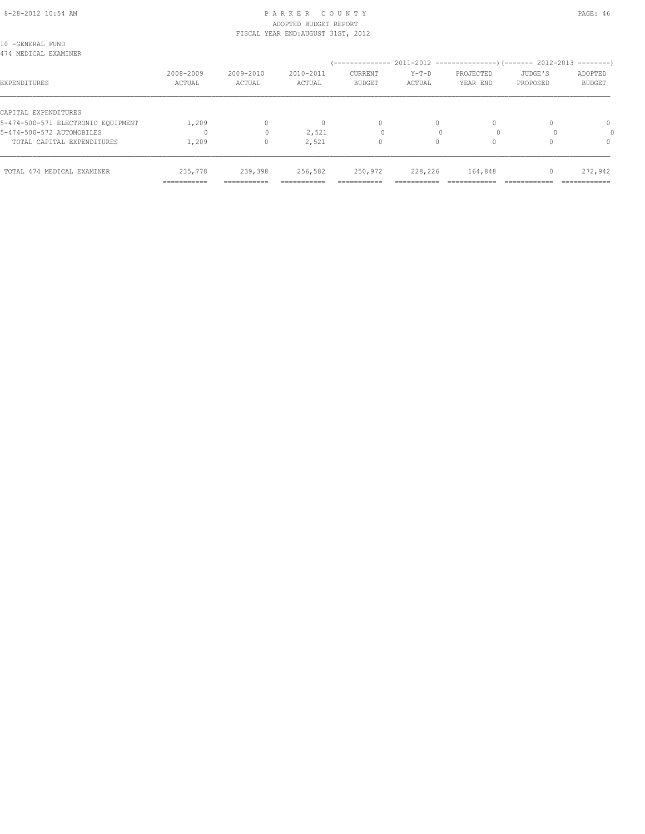#### 8-28-2012 10:54 AM PAGE: 46 PARKER COUNTY PAGE: 46 ADOPTED BUDGET REPORT FISCAL YEAR END:AUGUST 31ST, 2012

| 10 -GENERAL FUND<br>474 MEDICAL EXAMINER |                        |                        |                                  |                                 |                        |                       |                     |                          |
|------------------------------------------|------------------------|------------------------|----------------------------------|---------------------------------|------------------------|-----------------------|---------------------|--------------------------|
| EXPENDITURES                             | 2008-2009<br>ACTUAL    | 2009-2010<br>ACTUAL    | 2010-2011<br>ACTUAL              | <b>CURRENT</b><br><b>BUDGET</b> | $Y-T-D$<br>ACTUAL      | PROJECTED<br>YEAR END | JUDGE'S<br>PROPOSED | ADOPTED<br><b>BUDGET</b> |
| CAPITAL EXPENDITURES                     |                        |                        |                                  |                                 |                        |                       |                     |                          |
| 5-474-500-571 ELECTRONIC EOUIPMENT       | 1,209                  | $\circ$                | $\begin{array}{c} \n\end{array}$ | $\mathbf{0}$                    | 0                      | $\Omega$              |                     | 0                        |
| 5-474-500-572 AUTOMOBILES                |                        | $\mathbf{0}$           | 2,521                            |                                 |                        |                       |                     |                          |
| TOTAL CAPITAL EXPENDITURES               | 1,209                  | $\Omega$               | 2,521                            | $\circ$                         | $\Omega$               |                       |                     | $\Omega$                 |
| TOTAL 474 MEDICAL EXAMINER               | 235,778<br>=========== | 239,398<br>=========== | 256,582<br>===========           | 250,972<br>===========          | 228,226<br>=========== | 164,848               |                     | 272,942<br>============  |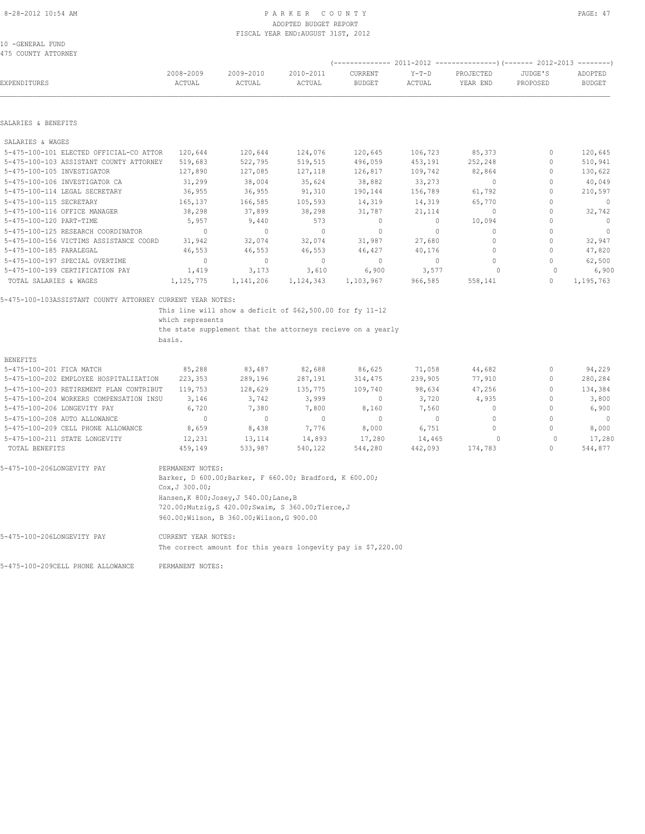# ADOPTED BUDGET REPORT FISCAL YEAR END:AUGUST 31ST, 2012

10 -GENERAL FUND 475 COUNTY ATTORNEY

| EXPENDITURES                                               | 2008-2009<br>ACTUAL | 2009-2010<br>ACTUAL                                         | 2010-2011<br>ACTUAL | <b>CURRENT</b><br><b>BUDGET</b> | $Y-T-D$<br>ACTUAL | PROJECTED<br>YEAR END | JUDGE'S<br>PROPOSED              | ADOPTED<br><b>BUDGET</b> |
|------------------------------------------------------------|---------------------|-------------------------------------------------------------|---------------------|---------------------------------|-------------------|-----------------------|----------------------------------|--------------------------|
| SALARIES & BENEFITS                                        |                     |                                                             |                     |                                 |                   |                       |                                  |                          |
| SALARIES & WAGES                                           |                     |                                                             |                     |                                 |                   |                       |                                  |                          |
| 5-475-100-101 ELECTED OFFICIAL-CO ATTOR                    | 120,644             | 120,644                                                     | 124,076             | 120,645                         | 106,723           | 85,373                | $\mathbf{0}$                     | 120,645                  |
| 5-475-100-103 ASSISTANT COUNTY ATTORNEY                    | 519,683             | 522,795                                                     | 519,515             | 496,059                         | 453,191           | 252,248               | $\Omega$                         | 510,941                  |
| 5-475-100-105 INVESTIGATOR                                 | 127,890             | 127,085                                                     | 127,118             | 126,817                         | 109,742           | 82,864                | $\Omega$                         | 130,622                  |
| 5-475-100-106 INVESTIGATOR CA                              | 31,299              | 38,004                                                      | 35,624              | 38,882                          | 33,273            | $\Omega$              | $\Omega$                         | 40,049                   |
| 5-475-100-114 LEGAL SECRETARY                              | 36,955              | 36,955                                                      | 91,310              | 190,144                         | 156,789           | 61,792                | $\Omega$                         | 210,597                  |
| 5-475-100-115 SECRETARY                                    | 165,137             | 166,585                                                     | 105,593             | 14,319                          | 14,319            | 65,770                | $\Omega$                         | $\mathbf{0}$             |
| 5-475-100-116 OFFICE MANAGER                               | 38,298              | 37,899                                                      | 38,298              | 31,787                          | 21,114            | $\mathbf{0}$          | $\Omega$                         | 32,742                   |
| 5-475-100-120 PART-TIME                                    | 5,957               | 9,440                                                       | 573                 | $\mathbf{0}$                    | $\circ$           | 10,094                | $\bigcap$                        | $\overline{0}$           |
| 5-475-100-125 RESEARCH COORDINATOR                         | $\circ$             | $\mathbf{0}$                                                | $\Omega$            | $\Omega$                        | $\Omega$          | $\Omega$              | $\bigcap$                        | $\overline{0}$           |
| 5-475-100-156 VICTIMS ASSISTANCE COORD                     | 31,942              | 32,074                                                      | 32,074              | 31,987                          | 27,680            | $\Omega$              | $\Omega$                         | 32,947                   |
| 5-475-100-185 PARALEGAL                                    | 46,553              | 46,553                                                      | 46,553              | 46,427                          | 40,176            | $\Omega$              | $\Omega$                         | 47,820                   |
| 5-475-100-197 SPECIAL OVERTIME                             | $\mathbf{0}$        | $\mathbf{0}$                                                | $\mathbf{0}$        | $\mathbf{0}$                    | $\circ$           | $\mathbf{0}$          | $\mathbf{0}$                     | 62,500                   |
| 5-475-100-199 CERTIFICATION PAY                            | 1,419               | 3,173                                                       | 3,610               | 6,900                           | 3,577             | $\Omega$              | $\Omega$                         | 6,900                    |
| TOTAL SALARIES & WAGES                                     | 1, 125, 775         | 1,141,206                                                   | 1,124,343           | 1,103,967                       | 966,585           | 558,141               | $\mathbf{0}$                     | 1,195,763                |
| 5-475-100-103ASSISTANT COUNTY ATTORNEY CURRENT YEAR NOTES: |                     |                                                             |                     |                                 |                   |                       |                                  |                          |
|                                                            |                     | This line will show a deficit of \$62,500.00 for fy 11-12   |                     |                                 |                   |                       |                                  |                          |
|                                                            | which represents    |                                                             |                     |                                 |                   |                       |                                  |                          |
|                                                            |                     | the state supplement that the attorneys recieve on a yearly |                     |                                 |                   |                       |                                  |                          |
|                                                            | basis.              |                                                             |                     |                                 |                   |                       |                                  |                          |
| <b>BENEFITS</b>                                            |                     |                                                             |                     |                                 |                   |                       |                                  |                          |
| 5-475-100-201 FICA MATCH                                   | 85,288              | 83,487                                                      | 82,688              | 86,625                          | 71,058            | 44,682                | $\begin{array}{c} \n\end{array}$ | 94,229                   |
| 5-475-100-202 EMPLOYEE HOSPITALIZATION                     | 223,353             | 289,196                                                     | 287,191             | 314,475                         | 239,905           | 77,910                | $\mathbf{0}$                     | 280,284                  |
| 5-475-100-203 RETIREMENT PLAN CONTRIBUT                    | 119,753             | 128,629                                                     | 135,775             | 109,740                         | 98,634            | 47,256                | $\begin{array}{c} \n\end{array}$ | 134,384                  |
| 5-475-100-204 WORKERS COMPENSATION INSU                    | 3,146               | 3,742                                                       | 3,999               | $\mathbf{0}$                    | 3,720             | 4,935                 | $\mathbf{0}$                     | 3,800                    |
| 5-475-100-206 LONGEVITY PAY                                | 6,720               | 7,380                                                       | 7,800               | 8,160                           | 7,560             | $\mathbf{0}$          | $\begin{array}{c} \n\end{array}$ | 6,900                    |
| 5-475-100-208 AUTO ALLOWANCE                               | $\mathbf{0}$        | $\mathbf{0}$                                                | $\Omega$            | $\circ$                         | $\circ$           | $\Omega$              | $\Omega$                         | $\mathbf{0}$             |
| 5-475-100-209 CELL PHONE ALLOWANCE                         | 8,659               | 8,438                                                       | 7,776               | 8,000                           | 6,751             | $\Omega$              | $\Omega$                         | 8,000                    |
| 5-475-100-211 STATE LONGEVITY                              | 12,231              | 13,114                                                      | 14,893              | 17,280                          | 14,465            | $\Omega$              | $\Omega$                         | 17,280                   |
| TOTAL BENEFITS                                             | 459,149             | 533,987                                                     | 540,122             | 544,280                         | 442,093           | 174,783               | $\mathbf{0}$                     | 544,877                  |
|                                                            |                     |                                                             |                     |                                 |                   |                       |                                  |                          |

| 5-475-100-206LONGEVITY PAY | PERMANENT NOTES:<br>Barker, D 600.00; Barker, F 660.00; Bradford, K 600.00;<br>Cox, J 300.00;                                                 |
|----------------------------|-----------------------------------------------------------------------------------------------------------------------------------------------|
|                            | Hansen, K 800; Josey, J 540.00; Lane, B<br>720.00; Mutzig, S 420.00; Swaim, S 360.00; Tierce, J<br>960.00; Wilson, B 360.00; Wilson, G 900.00 |
| 5-475-100-206LONGEVITY PAY | CURRENT YEAR NOTES:<br>The correct amount for this years longevity pay is \$7,220.00                                                          |

5-475-100-209CELL PHONE ALLOWANCE PERMANENT NOTES: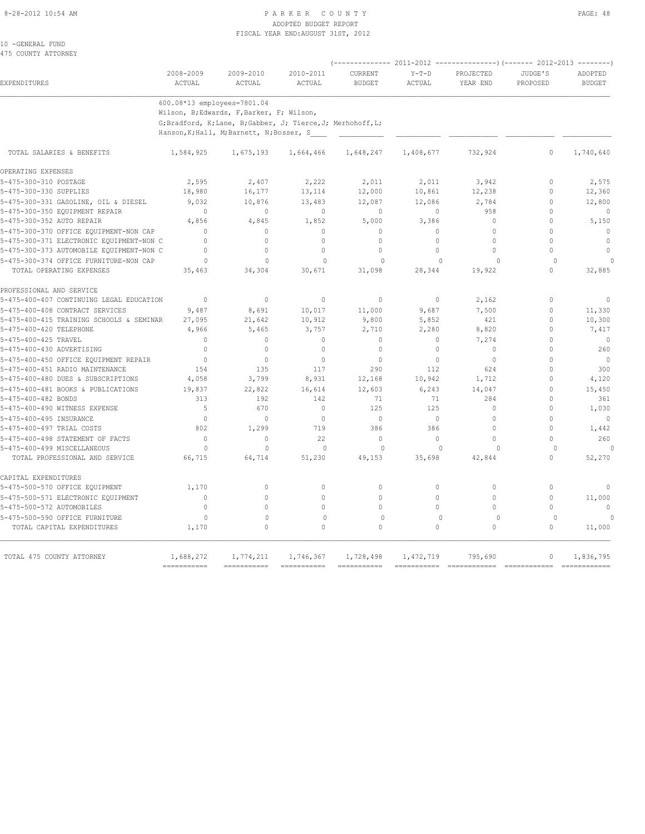#### 8-28-2012 10:54 AM PAGE: 48 ADOPTED BUDGET REPORT FISCAL YEAR END:AUGUST 31ST, 2012

10 -GENERAL FUND 475 COUNTY ATTORNEY

|                                                               |                             |                                                                                                           |                           | $--------- 2011-2012$    |                          | $---------(---2012-2013)$ | $-----$              |                          |  |
|---------------------------------------------------------------|-----------------------------|-----------------------------------------------------------------------------------------------------------|---------------------------|--------------------------|--------------------------|---------------------------|----------------------|--------------------------|--|
| EXPENDITURES                                                  | 2008-2009<br>ACTUAL         | 2009-2010<br>ACTUAL                                                                                       | 2010-2011<br>ACTUAL       | CURRENT<br><b>BUDGET</b> | $Y-T-D$<br>ACTUAL        | PROJECTED<br>YEAR END     | JUDGE'S<br>PROPOSED  | ADOPTED<br><b>BUDGET</b> |  |
|                                                               | 600.08*13 employees=7801.04 |                                                                                                           |                           |                          |                          |                           |                      |                          |  |
|                                                               |                             | Wilson, B;Edwards, F,Barker, F; Wilson,                                                                   |                           |                          |                          |                           |                      |                          |  |
|                                                               |                             | G; Bradford, K; Lane, B; Gabber, J; Tierce, J; Merhohoff, L;<br>Hanson, K; Hall, M; Barnett, N; Bosser, S |                           |                          |                          |                           |                      |                          |  |
| TOTAL SALARIES & BENEFITS                                     | 1,584,925                   | 1,675,193                                                                                                 | 1,664,466                 | 1,648,247                | 1,408,677                | 732,924                   | $\Omega$             | 1,740,640                |  |
| OPERATING EXPENSES                                            |                             |                                                                                                           |                           |                          |                          |                           |                      |                          |  |
| 5-475-300-310 POSTAGE                                         | 2,595                       | 2,407                                                                                                     | 2,222                     | 2,011                    | 2,011                    | 3,942                     | $\Omega$             | 2,575                    |  |
| 5-475-300-330 SUPPLIES                                        | 18,980                      | 16,177                                                                                                    | 13,114                    | 12,000                   | 10,861                   | 12,238                    | $\mathbf{0}$         | 12,360                   |  |
| 5-475-300-331 GASOLINE, OIL & DIESEL                          | 9,032                       | 10,876                                                                                                    | 13,483                    | 12,087                   | 12,086                   | 2,784                     | $\Omega$             | 12,800                   |  |
| 5-475-300-350 EQUIPMENT REPAIR                                | $\mathbf{0}$                | $\mathbf{0}$                                                                                              | $\mathbf{0}$              | $\mathbf{0}$             | $\circ$                  | 958                       | $\mathbf{0}$         | $\mathbf{0}$             |  |
| 5-475-300-352 AUTO REPAIR                                     | 4,856                       | 4,845                                                                                                     | 1,852                     | 5,000                    | 3,386                    | $\mathbf{0}$              | $\Omega$             | 5,150                    |  |
| 5-475-300-370 OFFICE EQUIPMENT-NON CAP                        | $\Omega$                    | $\circ$                                                                                                   | $\mathbf{0}$              | $\mathbf{0}$             | $\Omega$                 | $\mathbf{0}$              | $\Omega$             | $\mathbf{0}$             |  |
| 5-475-300-371 ELECTRONIC EQUIPMENT-NON C                      | $\Omega$                    | $\Omega$                                                                                                  | $\Omega$                  | $\mathbf{0}$             | $\Omega$                 | $\Omega$                  | $\Omega$             | $\mathbf{0}$             |  |
| 5-475-300-373 AUTOMOBILE EQUIPMENT-NON C                      | $\Omega$                    | $\Omega$                                                                                                  | $\Omega$                  | $\Omega$                 | $\Omega$                 | $\Omega$                  | $\theta$             | $\theta$                 |  |
| 5-475-300-374 OFFICE FURNITURE-NON CAP                        | $\Omega$                    | $\Omega$                                                                                                  | $\Omega$                  | $\Omega$                 | $\Omega$                 | $\Omega$                  | $\Omega$             | $\cap$                   |  |
| TOTAL OPERATING EXPENSES                                      | 35,463                      | 34,304                                                                                                    | 30,671                    | 31,098                   | 28,344                   | 19,922                    | $\cap$               | 32,885                   |  |
| PROFESSIONAL AND SERVICE                                      |                             |                                                                                                           |                           |                          |                          |                           |                      |                          |  |
| 5-475-400-407 CONTINUING LEGAL EDUCATION                      | $\mathbf{0}$                | $\mathbf{0}$                                                                                              | $\mathbf{0}$              | $\circ$                  | $\circ$                  | 2,162                     | $\mathbf{0}$         | $\mathbf{0}$             |  |
| 5-475-400-408 CONTRACT SERVICES                               | 9,487                       | 8,691                                                                                                     | 10,017                    | 11,000                   | 9,687                    | 7,500                     | $\mathbf{0}$         | 11,330                   |  |
| 5-475-400-415 TRAINING SCHOOLS & SEMINAR                      | 27,095                      | 21,642                                                                                                    | 10,912                    | 9,800                    | 5,852                    | 421                       | $\Omega$             | 10,300                   |  |
| 5-475-400-420 TELEPHONE                                       | 4,966                       | 5,465                                                                                                     | 3,757                     | 2,710                    | 2,280                    | 8,820                     | $\mathbf{0}$         | 7,417                    |  |
| 5-475-400-425 TRAVEL                                          | $\mathbf{0}$                | $\mathbf{0}$                                                                                              | $\mathbf{0}$              | $\mathbf{0}$             | $\circ$                  | 7,274                     | $\Omega$             | $\circ$                  |  |
| 5-475-400-430 ADVERTISING                                     | $\Omega$                    | $\circ$                                                                                                   | $\Omega$                  | $\circ$                  | $\circ$                  | $\circ$                   | $\Omega$             | 260                      |  |
| 5-475-400-450 OFFICE EQUIPMENT REPAIR                         | $\mathbf{0}$                | $\Omega$                                                                                                  | $\Omega$                  | $\theta$                 | $\Omega$                 | $\Omega$                  | $\theta$             | $\overline{0}$           |  |
| 5-475-400-451 RADIO MAINTENANCE                               | 154                         | 135                                                                                                       | 117                       | 290                      | 112                      | 624                       | $\Omega$             | 300                      |  |
| 5-475-400-480 DUES & SUBSCRIPTIONS                            | 4,058                       | 3,799                                                                                                     | 8,931                     | 12,168                   | 10,942                   | 1,712                     | $\mathbf{0}$         | 4,120                    |  |
| 5-475-400-481 BOOKS & PUBLICATIONS                            | 19,837                      | 22,822                                                                                                    | 16,614                    | 12,603                   | 6,243                    | 14,047                    | $\Omega$             | 15,450                   |  |
| 5-475-400-482 BONDS                                           | 313                         | 192                                                                                                       | 142                       | 71                       | 71                       | 284                       | $\Omega$             | 361                      |  |
| 5-475-400-490 WITNESS EXPENSE                                 | 5                           | 670                                                                                                       | $\Omega$                  | 125                      | 125                      | $\circ$                   | $\Omega$             | 1,030                    |  |
| 5-475-400-495 INSURANCE                                       | $\Omega$                    | $\mathbf{0}$                                                                                              | $\Omega$                  | $\circ$                  | $\circ$                  | $\circ$                   | $\Omega$             | $\mathbf{0}$             |  |
| 5-475-400-497 TRIAL COSTS                                     | 802                         | 1,299                                                                                                     | 719                       | 386                      | 386                      | $\Omega$                  | $\theta$             | 1,442                    |  |
| 5-475-400-498 STATEMENT OF FACTS                              | $\mathbf 0$                 | $\mathbf{0}$                                                                                              | 22                        | $\mathbf{0}$             | 0                        | $\Omega$                  | $\Omega$             | 260                      |  |
| 5-475-400-499 MISCELLANEOUS<br>TOTAL PROFESSIONAL AND SERVICE | $\Omega$<br>66,715          | $\Omega$<br>64,714                                                                                        | $\theta$<br>51,230        | $\Omega$<br>49,153       | $\Omega$<br>35,698       | $\Omega$<br>42,844        | $\Omega$<br>$\Omega$ | $\Omega$<br>52,270       |  |
|                                                               |                             |                                                                                                           |                           |                          |                          |                           |                      |                          |  |
| CAPITAL EXPENDITURES                                          |                             |                                                                                                           |                           |                          |                          |                           |                      |                          |  |
| 5-475-500-570 OFFICE EOUIPMENT                                | 1,170                       | $\circ$                                                                                                   | $\circ$                   | $\circ$                  | $\circ$                  | $\circ$                   | $\mathbf{0}$         | $\mathbf{0}$             |  |
| 5-475-500-571 ELECTRONIC EQUIPMENT                            | $\Omega$                    | $\Omega$                                                                                                  | $\Omega$                  | $\Omega$                 | $\Omega$                 | $\Omega$                  | $\Omega$             | 11,000                   |  |
| 5-475-500-572 AUTOMOBILES                                     | $\mathbf 0$                 | 0                                                                                                         | $\mathbf 0$               | $\Omega$                 | $\Omega$                 | $\Omega$                  | $\mathbf{0}$         | $\mathbf{0}$             |  |
| 5-475-500-590 OFFICE FURNITURE<br>TOTAL CAPITAL EXPENDITURES  | $\Omega$<br>1,170           | $\mathbf 0$<br>$\Omega$                                                                                   | $\mathbf{0}$<br>$\Omega$  | $\circ$<br>$\Omega$      | $\mathbf{0}$<br>$\Omega$ | $\circ$<br>$\Omega$       | $\Omega$<br>$\Omega$ | $\cap$<br>11,000         |  |
| TOTAL 475 COUNTY ATTORNEY                                     | 1,688,272                   | 1,774,211                                                                                                 | 1,746,367                 | 1,728,498                | 1,472,719                | 795,690                   | $\circ$              | 1,836,795                |  |
|                                                               | ===========                 |                                                                                                           | $=$ = = = = = = = = = = = | ===========              |                          | ============              | $\texttt{-----}$     | =============            |  |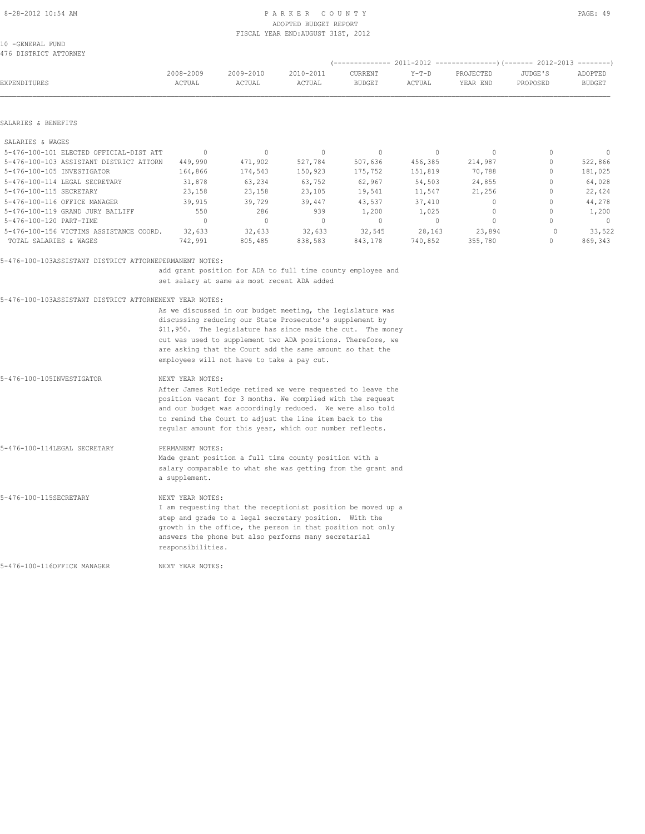## ADOPTED BUDGET REPORT FISCAL YEAR END:AUGUST 31ST, 2012

10 -GENERAL FUND 476 DISTRICT ATTORNEY

| ITU DIUINIUI AIIUNNUI                   |                                  |           |                                  | -------------- |          |                                  | 2011-2012 ----------------------- 2012-2013 | $------$      |
|-----------------------------------------|----------------------------------|-----------|----------------------------------|----------------|----------|----------------------------------|---------------------------------------------|---------------|
|                                         | 2008-2009                        | 2009-2010 | 2010-2011                        | CURRENT        | $Y-T-D$  | PROJECTED                        | JUDGE'S                                     | ADOPTED       |
| EXPENDITURES                            | ACTUAL                           | ACTUAL    | ACTUAL                           | <b>BUDGET</b>  | ACTUAL   | YEAR END                         | PROPOSED                                    | <b>BUDGET</b> |
|                                         |                                  |           |                                  |                |          |                                  |                                             |               |
| SALARIES & BENEFITS                     |                                  |           |                                  |                |          |                                  |                                             |               |
| SALARIES & WAGES                        |                                  |           |                                  |                |          |                                  |                                             |               |
| 5-476-100-101 ELECTED OFFICIAL-DIST ATT | $\begin{array}{c} \n\end{array}$ | 0         | $\Omega$                         | $\mathbf{0}$   | $\Omega$ | $\Omega$                         |                                             | $\Omega$      |
| 5-476-100-103 ASSISTANT DISTRICT ATTORN | 449,990                          | 471,902   | 527,784                          | 507,636        | 456,385  | 214,987                          |                                             | 522,866       |
| 5-476-100-105 INVESTIGATOR              | 164,866                          | 174,543   | 150,923                          | 175,752        | 151,819  | 70,788                           |                                             | 181,025       |
| 5-476-100-114 LEGAL SECRETARY           | 31,878                           | 63,234    | 63,752                           | 62,967         | 54,503   | 24,855                           |                                             | 64,028        |
| 5-476-100-115 SECRETARY                 | 23,158                           | 23,158    | 23,105                           | 19,541         | 11,547   | 21,256                           |                                             | 22,424        |
| 5-476-100-116 OFFICE MANAGER            | 39,915                           | 39,729    | 39,447                           | 43,537         | 37,410   | $\begin{array}{c} \n\end{array}$ |                                             | 44,278        |
| 5-476-100-119 GRAND JURY BAILIFF        | 550                              | 286       | 939                              | 1,200          | 1,025    |                                  |                                             | 1,200         |
| 5-476-100-120 PART-TIME                 | $\Omega$                         | 0         | $\begin{array}{c} \n\end{array}$ | $\mathbf{0}$   | $\Omega$ | $\circ$                          |                                             | $\circ$       |
| 5-476-100-156 VICTIMS ASSISTANCE COORD. | 32,633                           | 32,633    | 32,633                           | 32,545         | 28,163   | 23,894                           |                                             | 33,522        |
| TOTAL SALARIES & WAGES                  | 742,991                          | 805,485   | 838,583                          | 843,178        | 740,852  | 355,780                          |                                             | 869,343       |

#### 5-476-100-103ASSISTANT DISTRICT ATTORNEPERMANENT NOTES:

 add grant position for ADA to full time county employee and set salary at same as most recent ADA added

#### 5-476-100-103ASSISTANT DISTRICT ATTORNENEXT YEAR NOTES:

 As we discussed in our budget meeting, the legislature was discussing reducing our State Prosecutor's supplement by \$11,950. The legislature has since made the cut. The money cut was used to supplement two ADA positions. Therefore, we are asking that the Court add the same amount so that the employees will not have to take a pay cut.

| 5-476-100-105INVESTIGATOR    | NEXT YEAR NOTES:                                                                                                                                                                                                                                                                                              |
|------------------------------|---------------------------------------------------------------------------------------------------------------------------------------------------------------------------------------------------------------------------------------------------------------------------------------------------------------|
|                              | After James Rutledge retired we were requested to leave the<br>position vacant for 3 months. We complied with the request<br>and our budget was accordingly reduced. We were also told<br>to remind the Court to adjust the line item back to the<br>reqular amount for this year, which our number reflects. |
| 5-476-100-114LEGAL SECRETARY | PERMANENT NOTES:<br>Made grant position a full time county position with a<br>salary comparable to what she was getting from the grant and<br>a supplement.                                                                                                                                                   |
| 5-476-100-115SECRETARY       | NEXT YEAR NOTES:<br>I am requesting that the receptionist position be moved up a<br>step and grade to a legal secretary position. With the<br>growth in the office, the person in that position not only<br>answers the phone but also performs many secretarial<br>responsibilities.                         |

5-476-100-116OFFICE MANAGER NEXT YEAR NOTES: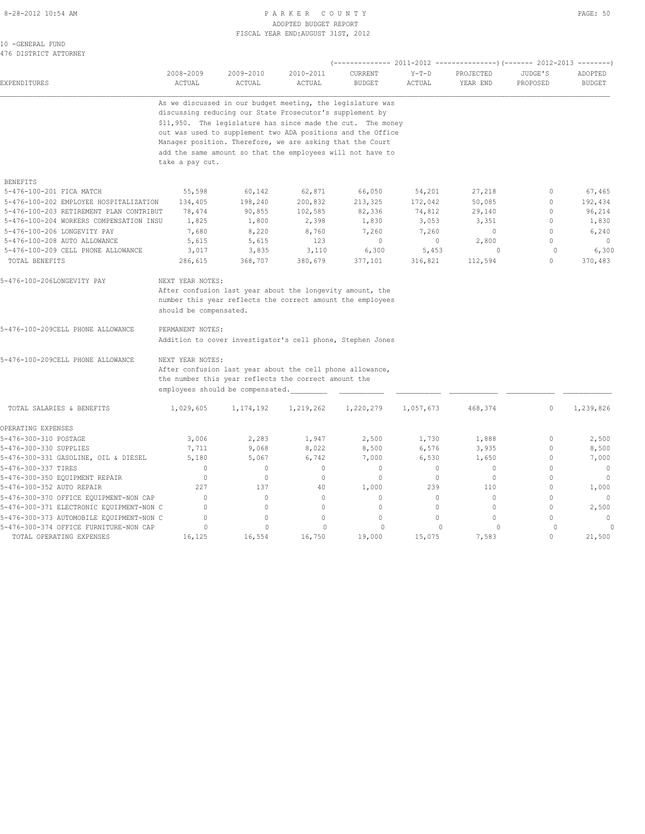#### 8-28-2012 10:54 AM PAGE: 50 ADOPTED BUDGET REPORT FISCAL YEAR END:AUGUST 31ST, 2012

| 10 -GENERAL FUND |                       |
|------------------|-----------------------|
|                  | 476 DISTRICT ATTORNEY |

| EXPENDITURES                             | 2008-2009<br>ACTUAL                                         | 2009-2010<br>ACTUAL | 2010-2011<br><b>ACTUAL</b> | (-------------- 2011-2012<br>CURRENT<br><b>BUDGET</b> | $Y-T-D$<br>ACTUAL | ----------------) (------- 2012-2013<br>PROJECTED<br>YEAR END | JUDGE'S<br>PROPOSED | ---------<br>ADOPTED<br><b>BUDGET</b> |  |  |
|------------------------------------------|-------------------------------------------------------------|---------------------|----------------------------|-------------------------------------------------------|-------------------|---------------------------------------------------------------|---------------------|---------------------------------------|--|--|
|                                          | As we discussed in our budget meeting, the legislature was  |                     |                            |                                                       |                   |                                                               |                     |                                       |  |  |
|                                          | discussing reducing our State Prosecutor's supplement by    |                     |                            |                                                       |                   |                                                               |                     |                                       |  |  |
|                                          | \$11,950. The legislature has since made the cut. The money |                     |                            |                                                       |                   |                                                               |                     |                                       |  |  |
|                                          | out was used to supplement two ADA positions and the Office |                     |                            |                                                       |                   |                                                               |                     |                                       |  |  |
|                                          | Manager position. Therefore, we are asking that the Court   |                     |                            |                                                       |                   |                                                               |                     |                                       |  |  |
|                                          | add the same amount so that the employees will not have to  |                     |                            |                                                       |                   |                                                               |                     |                                       |  |  |
|                                          | take a pay cut.                                             |                     |                            |                                                       |                   |                                                               |                     |                                       |  |  |
| <b>BENEFITS</b>                          |                                                             |                     |                            |                                                       |                   |                                                               |                     |                                       |  |  |
| 5-476-100-201 FICA MATCH                 | 55,598                                                      | 60,142              | 62,871                     | 66,050                                                | 54,201            | 27,218                                                        | 0                   | 67,465                                |  |  |
| 5-476-100-202 EMPLOYEE HOSPITALIZATION   | 134,405                                                     | 198,240             | 200,832                    | 213,325                                               | 172,042           | 50,085                                                        | $\mathbf{0}$        | 192,434                               |  |  |
| 5-476-100-203 RETIREMENT PLAN CONTRIBUT  | 78,474                                                      | 90,855              | 102,585                    | 82,336                                                | 74,812            | 29,140                                                        | $\mathbf{0}$        | 96,214                                |  |  |
| 5-476-100-204 WORKERS COMPENSATION INSU  | 1,825                                                       | 1,800               | 2,398                      | 1,830                                                 | 3,053             | 3,351                                                         | $\mathbf{0}$        | 1,830                                 |  |  |
| 5-476-100-206 LONGEVITY PAY              | 7,680                                                       | 8,220               | 8,760                      | 7,260                                                 | 7,260             | $\mathbf{0}$                                                  | $\circ$             | 6,240                                 |  |  |
| 5-476-100-208 AUTO ALLOWANCE             | 5,615                                                       | 5,615               | 123                        | 0                                                     | 0                 | 2,800                                                         | $\circ$             | $\mathbf{0}$                          |  |  |
| 5-476-100-209 CELL PHONE ALLOWANCE       | 3,017                                                       | 3,835               | 3,110                      | 6,300                                                 | 5,453             | $\circ$                                                       | $\circ$             | 6,300                                 |  |  |
| TOTAL BENEFITS                           | 286,615                                                     | 368,707             | 380,679                    | 377,101                                               | 316,821           | 112,594                                                       | $\circ$             | 370,483                               |  |  |
| 5-476-100-206LONGEVITY PAY               | NEXT YEAR NOTES:                                            |                     |                            |                                                       |                   |                                                               |                     |                                       |  |  |
|                                          | After confusion last year about the longevity amount, the   |                     |                            |                                                       |                   |                                                               |                     |                                       |  |  |
|                                          | number this year reflects the correct amount the employees  |                     |                            |                                                       |                   |                                                               |                     |                                       |  |  |
|                                          | should be compensated.                                      |                     |                            |                                                       |                   |                                                               |                     |                                       |  |  |
| 5-476-100-209CELL PHONE ALLOWANCE        | PERMANENT NOTES:                                            |                     |                            |                                                       |                   |                                                               |                     |                                       |  |  |
|                                          | Addition to cover investigator's cell phone, Stephen Jones  |                     |                            |                                                       |                   |                                                               |                     |                                       |  |  |
| 5-476-100-209CELL PHONE ALLOWANCE        | NEXT YEAR NOTES:                                            |                     |                            |                                                       |                   |                                                               |                     |                                       |  |  |
|                                          | After confusion last year about the cell phone allowance,   |                     |                            |                                                       |                   |                                                               |                     |                                       |  |  |
|                                          | the number this year reflects the correct amount the        |                     |                            |                                                       |                   |                                                               |                     |                                       |  |  |
|                                          | employees should be compensated.                            |                     |                            |                                                       |                   |                                                               |                     |                                       |  |  |
| TOTAL SALARIES & BENEFITS                | 1,029,605                                                   | 1,174,192           | 1,219,262                  | 1,220,279                                             | 1,057,673         | 468,374                                                       | $\mathbf 0$         | 1,239,826                             |  |  |
| OPERATING EXPENSES                       |                                                             |                     |                            |                                                       |                   |                                                               |                     |                                       |  |  |
| 5-476-300-310 POSTAGE                    | 3,006                                                       | 2,283               | 1,947                      | 2,500                                                 | 1,730             | 1,888                                                         | $\mathbf 0$         | 2,500                                 |  |  |
| 5-476-300-330 SUPPLIES                   | 7,711                                                       | 9,068               | 8,022                      | 8,500                                                 | 6,576             | 3,935                                                         | 0                   | 8,500                                 |  |  |
| 5-476-300-331 GASOLINE, OIL & DIESEL     | 5,180                                                       | 5,067               | 6,742                      | 7,000                                                 | 6,530             | 1,650                                                         | $\mathbf 0$         | 7,000                                 |  |  |
| 5-476-300-337 TIRES                      | 0                                                           | $\mathbf{0}$        | $\mathbf{0}$               | $\mathbf{0}$                                          | 0                 | 0                                                             | $\mathbf{0}$        | $\mathbf 0$                           |  |  |
| 5-476-300-350 EQUIPMENT REPAIR           | $\mathbf{0}$                                                | $\circ$             | $\mathbf{0}$               | $\mathbf{0}$                                          | $\circ$           | $\mathbf{0}$                                                  | $\mathbf{0}$        | $\mathbf{0}$                          |  |  |
| 5-476-300-352 AUTO REPAIR                | 227                                                         | 137                 | 40                         | 1,000                                                 | 239               | 110                                                           | $\mathbf{0}$        | 1,000                                 |  |  |
| 5-476-300-370 OFFICE EQUIPMENT-NON CAP   | $\mathbf{0}$                                                | $\circ$             | 0                          | $\mathbf{0}$                                          | $\circ$           | $\circ$                                                       | $\mathbf{0}$        | 0                                     |  |  |
| 5-476-300-371 ELECTRONIC EQUIPMENT-NON C | $\mathbf{0}$                                                | $\circ$             | $\circ$                    | $\mathbf{0}$                                          | $\circ$           | $\circ$                                                       | $\mathbf{0}$        | 2,500                                 |  |  |
| 5-476-300-373 AUTOMOBILE EQUIPMENT-NON C | $\mathbf{0}$                                                | $\circ$             | $\mathbf{0}$               | $\mathbf{0}$                                          | $\circ$           | $\mathbf{0}$                                                  | $\mathbf{0}$        | $\mathbf{0}$                          |  |  |
| 5-476-300-374 OFFICE FURNITURE-NON CAP   | $\circ$                                                     | $\Omega$            | $\Omega$                   | $\Omega$                                              | $\circ$           | $\Omega$                                                      | 0                   | $\Omega$                              |  |  |
| TOTAL OPERATING EXPENSES                 | 16,125                                                      | 16,554              | 16,750                     | 19,000                                                | 15,075            | 7,583                                                         | $\Omega$            | 21,500                                |  |  |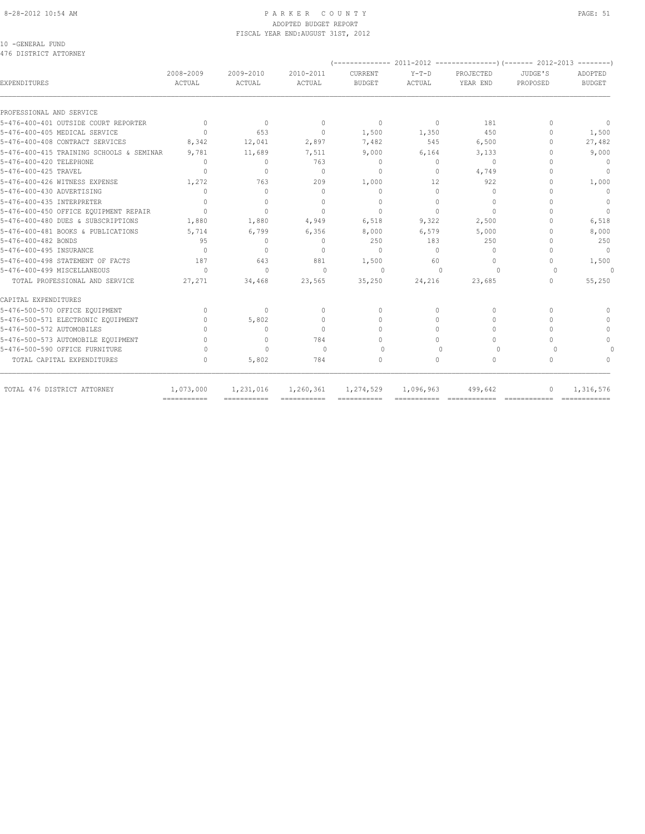# ADOPTED BUDGET REPORT FISCAL YEAR END:AUGUST 31ST, 2012

10 -GENERAL FUND 476 DISTRICT ATTORNEY

| 2008-2009<br>ACTUAL | 2009-2010<br>ACTUAL                                     | 2010-2011<br>ACTUAL              | CURRENT<br><b>BUDGET</b>         | $Y-T-D$<br>ACTUAL                | PROJECTED<br>YEAR END | JUDGE'S<br>PROPOSED | ADOPTED<br><b>BUDGET</b>         |
|---------------------|---------------------------------------------------------|----------------------------------|----------------------------------|----------------------------------|-----------------------|---------------------|----------------------------------|
|                     |                                                         |                                  |                                  |                                  |                       |                     |                                  |
| $\mathbf{0}$        | $\mathbf{0}$                                            | $\mathbf{0}$                     | $\mathbf{0}$                     | $\circ$                          | 181                   | $\Omega$            | $\mathbf{0}$                     |
| $\Omega$            | 653                                                     | $\mathbf{0}$                     | 1,500                            | 1,350                            | 450                   | $\Omega$            | 1,500                            |
| 8,342               | 12,041                                                  | 2,897                            | 7,482                            | 545                              | 6,500                 | $\Omega$            | 27,482                           |
| 9,781               | 11,689                                                  | 7,511                            | 9,000                            | 6,164                            | 3,133                 | $\cap$              | 9,000                            |
| $\Omega$            | $\mathbf{0}$                                            | 763                              | $\mathbf{0}$                     | $\circ$                          | $\Omega$              | $\cap$              | $\overline{0}$                   |
|                     | $\mathbf{0}$                                            | $\Omega$                         | $\mathbf{0}$                     | $\circ$                          | 4,749                 |                     | $\mathbf{0}$                     |
| 1,272               | 763                                                     | 209                              | 1,000                            | 12                               | 922                   | $\cap$              | 1,000                            |
| $\Omega$            | $\mathbf{0}$                                            | $\begin{array}{c} \n\end{array}$ | $\mathbf{0}$                     | $\Omega$                         | $\Omega$              | $\cap$              | $\begin{array}{c} \n\end{array}$ |
| $\Omega$            | $\Omega$                                                | $\begin{array}{c} \n\end{array}$ | $\Omega$                         | $\Omega$                         | $\Omega$              | n                   | $\circ$                          |
| $\Omega$            | $\begin{array}{c} \n\end{array}$                        | $\begin{array}{c} \n\end{array}$ | $\Omega$                         | $\Omega$                         | $\Omega$              | $\cap$              | $\Omega$                         |
| 1,880               | 1,880                                                   | 4,949                            | 6,518                            | 9,322                            | 2,500                 | $\cap$              | 6,518                            |
| 5,714               | 6,799                                                   | 6,356                            | 8,000                            | 6,579                            | 5,000                 | $\cap$              | 8,000                            |
| 95                  | $\mathbf{0}$                                            | $\begin{array}{c} \n\end{array}$ | 250                              | 183                              | 250                   | $\cap$              | 250                              |
| $\Omega$            | $\begin{array}{c} \n\end{array}$                        | $\begin{array}{c} \n\end{array}$ | $\begin{array}{c} \n\end{array}$ | $\Omega$                         | $\Omega$              | $\cap$              | $\overline{0}$                   |
| 187                 | 643                                                     | 881                              | 1,500                            | 60                               | 0                     | 0                   | 1,500                            |
| $\Omega$            | $\Omega$                                                | $\Omega$                         | $\Omega$                         | $\begin{array}{c} \n\end{array}$ | $\Omega$              | $\Omega$            | $\Omega$                         |
| 27,271              | 34,468                                                  | 23,565                           | 35,250                           | 24,216                           | 23,685                | $\Omega$            | 55,250                           |
|                     |                                                         |                                  |                                  |                                  |                       |                     |                                  |
| $\mathbf{0}$        | $\mathbf{0}$                                            | $\mathbf{0}$                     | $\Omega$                         | $\Omega$                         | $\Omega$              | $\Omega$            |                                  |
| $\Omega$            | 5,802                                                   | $\Omega$                         | $\Omega$                         | $\Omega$                         | $\Omega$              | $\Omega$            | $\Omega$                         |
| $\Omega$            | $\begin{array}{c} \n\end{array}$                        | $\begin{array}{c} \n\end{array}$ | $\Omega$                         | $\Omega$                         | $\Omega$              | $\Omega$            | $\Omega$                         |
| $\bigcap$           | $\begin{array}{c} \n\end{array}$                        | 784                              | $\Omega$                         | $\Omega$                         | $\Omega$              | $\Omega$            | $\bigcap$                        |
| 0                   | $\Omega$                                                | $\bigcap$                        | $\Omega$                         | $\bigcap$                        | $\Omega$              | $\Omega$            |                                  |
| $\Omega$            | 5,802                                                   | 784                              | 0                                | $\Omega$                         | $\circ$               | $\Omega$            | $\Omega$                         |
| 1,073,000           | 1,231,016                                               | 1,260,361                        | 1,274,529                        |                                  | 499,642               | $\Omega$            | 1,316,576                        |
|                     | 5-476-400-415 TRAINING SCHOOLS & SEMINAR<br>=========== | ===========                      | ============                     | ===========                      | 1,096,963             |                     |                                  |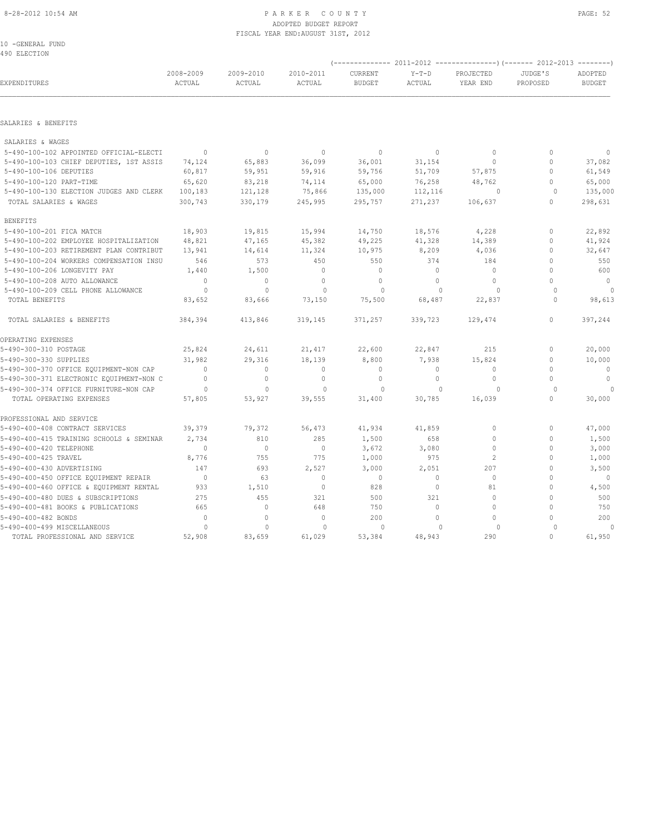#### 8-28-2012 10:54 AM PAGE: 52 ADOPTED BUDGET REPORT FISCAL YEAR END:AUGUST 31ST, 2012

10 -GENERAL FUND 490 ELECTION

| EXPENDITURES                             | 2008-2009<br>ACTUAL | 2009-2010<br>ACTUAL | 2010-2011<br>ACTUAL | CURRENT<br><b>BUDGET</b> | $Y-T-D$<br>ACTUAL | PROJECTED<br>YEAR END | JUDGE'S<br>PROPOSED | ADOPTED<br><b>BUDGET</b> |
|------------------------------------------|---------------------|---------------------|---------------------|--------------------------|-------------------|-----------------------|---------------------|--------------------------|
|                                          |                     |                     |                     |                          |                   |                       |                     |                          |
| SALARIES & BENEFITS                      |                     |                     |                     |                          |                   |                       |                     |                          |
| SALARIES & WAGES                         |                     |                     |                     |                          |                   |                       |                     |                          |
| 5-490-100-102 APPOINTED OFFICIAL-ELECTI  | $\overline{0}$      | $\mathbf{0}$        | $\circ$             | $\mathbf{0}$             | $\circ$           | $\mathbf{0}$          | $\mathbf{0}$        | $\mathbf{0}$             |
| 5-490-100-103 CHIEF DEPUTIES, 1ST ASSIS  | 74,124              | 65,883              | 36,099              | 36,001                   | 31,154            | $\mathbf{0}$          | $\mathbf{0}$        | 37,082                   |
| 5-490-100-106 DEPUTIES                   | 60,817              | 59,951              | 59,916              | 59,756                   | 51,709            | 57,875                | $\mathbf{0}$        | 61,549                   |
| 5-490-100-120 PART-TIME                  | 65,620              | 83,218              | 74,114              | 65,000                   | 76,258            | 48,762                | $\mathbf{0}$        | 65,000                   |
| 5-490-100-130 ELECTION JUDGES AND CLERK  | 100,183             | 121,128             | 75,866              | 135,000                  | 112,116           | $\Omega$              | $\Omega$            | 135,000                  |
| TOTAL SALARIES & WAGES                   | 300,743             | 330,179             | 245,995             | 295,757                  | 271,237           | 106,637               | $\mathbf{0}$        | 298,631                  |
| <b>BENEFITS</b>                          |                     |                     |                     |                          |                   |                       |                     |                          |
| 5-490-100-201 FICA MATCH                 | 18,903              | 19,815              | 15,994              | 14,750                   | 18,576            | 4,228                 | $\mathbf 0$         | 22,892                   |
| 5-490-100-202 EMPLOYEE HOSPITALIZATION   | 48,821              | 47,165              | 45,382              | 49,225                   | 41,328            | 14,389                | $\mathbf{0}$        | 41,924                   |
| 5-490-100-203 RETIREMENT PLAN CONTRIBUT  | 13,941              | 14,614              | 11,324              | 10,975                   | 8,209             | 4,036                 | $\mathbf{0}$        | 32,647                   |
| 5-490-100-204 WORKERS COMPENSATION INSU  | 546                 | 573                 | 450                 | 550                      | 374               | 184                   | $\Omega$            | 550                      |
| 5-490-100-206 LONGEVITY PAY              | 1,440               | 1,500               | $\mathbf{0}$        | $\mathbf{0}$             | $\circ$           | $\mathbf{0}$          | $\mathbf{0}$        | 600                      |
| 5-490-100-208 AUTO ALLOWANCE             | $\circ$             | $\mathbf{0}$        | $\circ$             | $\mathbf{0}$             | $\Omega$          | $\Omega$              | $\Omega$            | $\mathbf{0}$             |
| 5-490-100-209 CELL PHONE ALLOWANCE       | 0                   | $\mathbf{0}$        | $\circ$             | $\circ$                  | $\Omega$          | $\circ$               | $\cap$              | $\circ$                  |
| TOTAL BENEFITS                           | 83,652              | 83,666              | 73,150              | 75,500                   | 68,487            | 22,837                | $\Omega$            | 98,613                   |
| TOTAL SALARIES & BENEFITS                | 384,394             | 413,846             | 319,145             | 371,257                  | 339,723           | 129,474               | $\circ$             | 397,244                  |
| OPERATING EXPENSES                       |                     |                     |                     |                          |                   |                       |                     |                          |
| 5-490-300-310 POSTAGE                    | 25,824              | 24,611              | 21,417              | 22,600                   | 22,847            | 215                   | $\mathbf{0}$        | 20,000                   |
| 5-490-300-330 SUPPLIES                   | 31,982              | 29,316              | 18,139              | 8,800                    | 7,938             | 15,824                | $\Omega$            | 10,000                   |
| 5-490-300-370 OFFICE EQUIPMENT-NON CAP   | $\Omega$            | $\mathbf{0}$        | $\mathbf 0$         | $\circ$                  | 0                 | $\mathbf{0}$          | $\mathbf{0}$        | $\circ$                  |
| 5-490-300-371 ELECTRONIC EQUIPMENT-NON C | $\mathbf{0}$        | $\mathbf{0}$        | $\mathbf{0}$        | $\mathbf{0}$             | $\circ$           | $\mathbf{0}$          | $\Omega$            | $\mathbf{0}$             |
| 5-490-300-374 OFFICE FURNITURE-NON CAP   | $\circ$             | $\mathbf{0}$        | $\circ$             | $\circ$                  | $\mathbf{0}$      | $\circ$               | $\Omega$            | $\Omega$                 |
| TOTAL OPERATING EXPENSES                 | 57,805              | 53,927              | 39,555              | 31,400                   | 30,785            | 16,039                | $\Omega$            | 30,000                   |
| PROFESSIONAL AND SERVICE                 |                     |                     |                     |                          |                   |                       |                     |                          |
| 5-490-400-408 CONTRACT SERVICES          | 39,379              | 79,372              | 56,473              | 41,934                   | 41,859            | $\circ$               | $\mathbf{0}$        | 47,000                   |
| 5-490-400-415 TRAINING SCHOOLS & SEMINAR | 2,734               | 810                 | 285                 | 1,500                    | 658               | $\mathbf{0}$          | $\mathbf{0}$        | 1,500                    |
| 5-490-400-420 TELEPHONE                  | $\mathbf{0}$        | $\mathbf{0}$        | $\circ$             | 3,672                    | 3,080             | $\mathbf{0}$          | $\Omega$            | 3,000                    |
| 5-490-400-425 TRAVEL                     | 8,776               | 755                 | 775                 | 1,000                    | 975               | $\overline{c}$        | $\mathbf{0}$        | 1,000                    |
| 5-490-400-430 ADVERTISING                | 147                 | 693                 | 2,527               | 3,000                    | 2,051             | 207                   | $\Omega$            | 3,500                    |
| 5-490-400-450 OFFICE EQUIPMENT REPAIR    | $\sim$ 0            | 63                  | $\mathbf{0}$        | $\circ$                  | $\circ$           | $\mathbf{0}$          | $\Omega$            | $\overline{0}$           |
| 5-490-400-460 OFFICE & EQUIPMENT RENTAL  | 933                 | 1,510               | $\mathbf{0}$        | 828                      | $\circ$           | 81                    | $\Omega$            | 4,500                    |
| 5-490-400-480 DUES & SUBSCRIPTIONS       | 275                 | 455                 | 321                 | 500                      | 321               | $\mathbf{0}$          | $\Omega$            | 500                      |
| 5-490-400-481 BOOKS & PUBLICATIONS       | 665                 | $\circ$             | 648                 | 750                      | $\circ$           | $\mathbf 0$           | $\Omega$            | 750                      |
| 5-490-400-482 BONDS                      | $\Omega$            | $\circ$             | $\mathbf{0}$        | 200                      | $\Omega$          | $\mathbf{0}$          | $\Omega$            | 200                      |
| 5-490-400-499 MISCELLANEOUS              | $\circ$             | $\Omega$            | $\circ$             | $\circ$                  |                   | $\Omega$              |                     | $\Omega$                 |
| TOTAL PROFESSIONAL AND SERVICE           | 52,908              | 83,659              | 61,029              | 53,384                   | 48,943            | 290                   | $\circ$             | 61,950                   |
|                                          |                     |                     |                     |                          |                   |                       |                     |                          |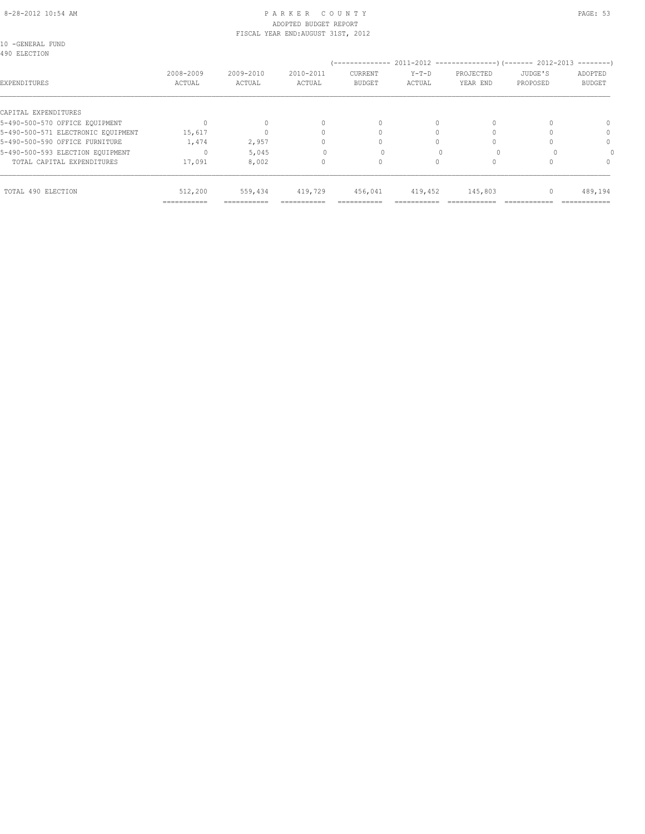#### 8-28-2012 10:54 AM PAGE: 53 ADOPTED BUDGET REPORT FISCAL YEAR END:AUGUST 31ST, 2012

| 10 -GENERAL FUND |  |
|------------------|--|
| 100 BIBOBION     |  |

| 490 ELECTION                       |                     |                     |                     |                                 |                   |                       |                     |                                        |
|------------------------------------|---------------------|---------------------|---------------------|---------------------------------|-------------------|-----------------------|---------------------|----------------------------------------|
| EXPENDITURES                       | 2008-2009<br>ACTUAL | 2009-2010<br>ACTUAL | 2010-2011<br>ACTUAL | <b>CURRENT</b><br><b>BUDGET</b> | $Y-T-D$<br>ACTUAL | PROJECTED<br>YEAR END | JUDGE'S<br>PROPOSED | $--------$<br>ADOPTED<br><b>BUDGET</b> |
| CAPITAL EXPENDITURES               |                     |                     |                     |                                 |                   |                       |                     |                                        |
| 5-490-500-570 OFFICE EQUIPMENT     |                     |                     | 0                   | $\Omega$                        | $\bigcap$         |                       |                     |                                        |
| 5-490-500-571 ELECTRONIC EOUIPMENT | 15,617              |                     |                     |                                 |                   |                       |                     | $\Omega$                               |
| 5-490-500-590 OFFICE FURNITURE     | 1,474               | 2,957               | n                   |                                 | Ω                 |                       |                     | $\Omega$                               |
| 5-490-500-593 ELECTION EQUIPMENT   |                     | 5,045               |                     |                                 |                   |                       |                     |                                        |
| TOTAL CAPITAL EXPENDITURES         | 17,091              | 8,002               | 0                   | $\Omega$                        | 0                 |                       |                     |                                        |
| TOTAL 490 ELECTION                 | 512,200             | 559,434             | 419,729             | 456,041                         | 419,452           | 145,803               | 0                   | 489,194                                |
|                                    | ===========         | ===========         | ===========         | -----------                     |                   |                       |                     | ============                           |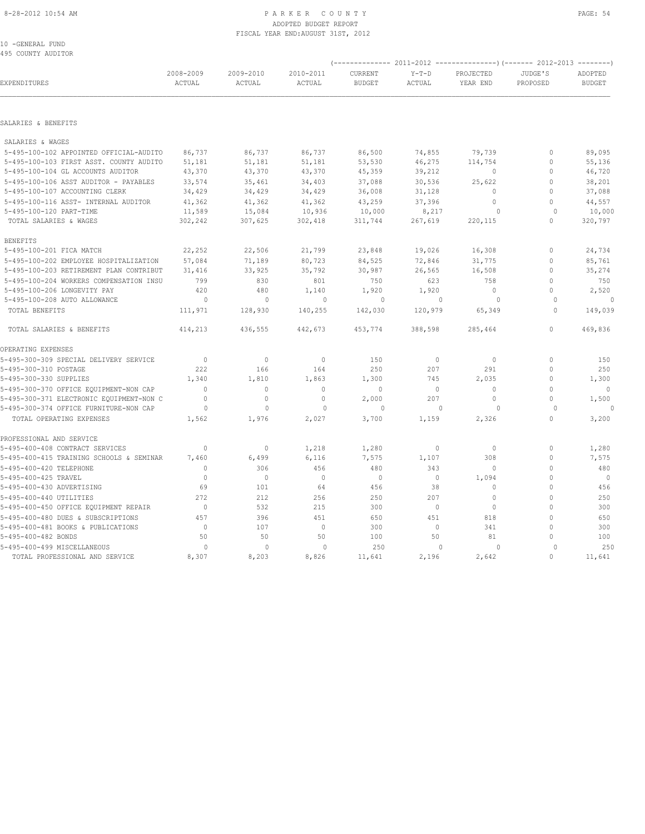#### 8-28-2012 10:54 AM PAGE: 54 ADOPTED BUDGET REPORT FISCAL YEAR END:AUGUST 31ST, 2012

10 -GENERAL FUND 495 COUNTY AUDITOR

| EXPENDITURES                             | 2008-2009<br>ACTUAL | 2009-2010<br>ACTUAL | 2010-2011<br>ACTUAL | CURRENT<br><b>BUDGET</b> | $Y-T-D$<br>ACTUAL | PROJECTED<br>YEAR END | JUDGE'S<br>PROPOSED | ADOPTED<br><b>BUDGET</b> |
|------------------------------------------|---------------------|---------------------|---------------------|--------------------------|-------------------|-----------------------|---------------------|--------------------------|
|                                          |                     |                     |                     |                          |                   |                       |                     |                          |
| SALARIES & BENEFITS                      |                     |                     |                     |                          |                   |                       |                     |                          |
| SALARIES & WAGES                         |                     |                     |                     |                          |                   |                       |                     |                          |
| 5-495-100-102 APPOINTED OFFICIAL-AUDITO  | 86,737              | 86,737              | 86,737              | 86,500                   | 74,855            | 79,739                | 0                   | 89,095                   |
| 5-495-100-103 FIRST ASST. COUNTY AUDITO  | 51,181              | 51,181              | 51,181              | 53,530                   | 46,275            | 114,754               | $\mathbf{0}$        | 55,136                   |
| 5-495-100-104 GL ACCOUNTS AUDITOR        | 43,370              | 43,370              | 43,370              | 45,359                   | 39,212            | 0                     | $\mathbf{0}$        | 46,720                   |
| 5-495-100-106 ASST AUDITOR - PAYABLES    | 33,574              | 35,461              | 34,403              | 37,088                   | 30,536            | 25,622                | $\Omega$            | 38,201                   |
| 5-495-100-107 ACCOUNTING CLERK           | 34,429              | 34,429              | 34,429              | 36,008                   | 31,128            | $\mathbf{0}$          | $\mathbf{0}$        | 37,088                   |
| 5-495-100-116 ASST- INTERNAL AUDITOR     | 41,362              | 41,362              | 41,362              | 43,259                   | 37,396            | $\Omega$              | $\Omega$            | 44,557                   |
| 5-495-100-120 PART-TIME                  | 11,589              | 15,084              | 10,936              | 10,000                   | 8,217             | $\circ$               | $\Omega$            | 10,000                   |
| TOTAL SALARIES & WAGES                   | 302,242             | 307,625             | 302,418             | 311,744                  | 267,619           | 220,115               | $\circ$             | 320,797                  |
| <b>BENEFITS</b>                          |                     |                     |                     |                          |                   |                       |                     |                          |
| 5-495-100-201 FICA MATCH                 | 22,252              | 22,506              | 21,799              | 23,848                   | 19,026            | 16,308                | $\mathbf{0}$        | 24,734                   |
| 5-495-100-202 EMPLOYEE HOSPITALIZATION   | 57,084              | 71,189              | 80,723              | 84,525                   | 72,846            | 31,775                | $\mathbf{0}$        | 85,761                   |
| 5-495-100-203 RETIREMENT PLAN CONTRIBUT  | 31,416              | 33,925              | 35,792              | 30,987                   | 26,565            | 16,508                | $\Omega$            | 35,274                   |
| 5-495-100-204 WORKERS COMPENSATION INSU  | 799                 | 830                 | 801                 | 750                      | 623               | 758                   | $\mathbf{0}$        | 750                      |
| 5-495-100-206 LONGEVITY PAY              | 420                 | 480                 | 1,140               | 1,920                    | 1,920             | $\bigcirc$            | $\Omega$            | 2,520                    |
| 5-495-100-208 AUTO ALLOWANCE             | $\circ$             | $\mathbf{0}$        | $\circ$             | $\circ$                  | $\Omega$          | $\circ$               | $\Omega$            | $\circ$                  |
| TOTAL BENEFITS                           | 111,971             | 128,930             | 140,255             | 142,030                  | 120,979           | 65,349                | $\cap$              | 149,039                  |
| TOTAL SALARIES & BENEFITS                | 414,213             | 436,555             | 442,673             | 453,774                  | 388,598           | 285,464               | $\mathbf{0}$        | 469,836                  |
| OPERATING EXPENSES                       |                     |                     |                     |                          |                   |                       |                     |                          |
| 5-495-300-309 SPECIAL DELIVERY SERVICE   | $\overline{0}$      | $\circ$             | $\mathbb O$         | 150                      | $\circ$           | $\circ$               | $\mathbf{0}$        | 150                      |
| 5-495-300-310 POSTAGE                    | 222                 | 166                 | 164                 | 250                      | 207               | 291                   | $\mathbf{0}$        | 250                      |
| 5-495-300-330 SUPPLIES                   | 1,340               | 1,810               | 1,863               | 1,300                    | 745               | 2,035                 | $\mathbf{0}$        | 1,300                    |
| 5-495-300-370 OFFICE EQUIPMENT-NON CAP   | $\Omega$            | $\mathbf{0}$        | $\mathbf{0}$        | $\mathbf 0$              | $\circ$           | $\mathbf{0}$          | $\Omega$            | $\mathbf{0}$             |
| 5-495-300-371 ELECTRONIC EQUIPMENT-NON C | $\mathbf{0}$        | $\circ$             | $\mathbf{0}$        | 2,000                    | 207               | $\mathbf{0}$          | $\mathbf{0}$        | 1,500                    |
| 5-495-300-374 OFFICE FURNITURE-NON CAP   | $\circ$             | $\mathbf{0}$        | 0                   | $\circ$                  | $\bigcap$         | $\circ$               | $\Omega$            |                          |
| TOTAL OPERATING EXPENSES                 | 1,562               | 1,976               | 2,027               | 3,700                    | 1,159             | 2,326                 | $\Omega$            | 3,200                    |
| PROFESSIONAL AND SERVICE                 |                     |                     |                     |                          |                   |                       |                     |                          |
| 5-495-400-408 CONTRACT SERVICES          | $\mathbf{0}$        | $\mathbf{0}$        | 1,218               | 1,280                    | $\circ$           | $\circ$               | $\mathbf{0}$        | 1,280                    |
| 5-495-400-415 TRAINING SCHOOLS & SEMINAR | 7,460               | 6,499               | 6,116               | 7,575                    | 1,107             | 308                   | $\mathbf 0$         | 7,575                    |
| 5-495-400-420 TELEPHONE                  | $\mathbf{0}$        | 306                 | 456                 | 480                      | 343               | $\mathbf{0}$          | $\Omega$            | 480                      |
| 5-495-400-425 TRAVEL                     | $\mathbf{0}$        | $\circ$             | $\mathbb O$         | $\mathbf 0$              | $\circ$           | 1,094                 | $\Omega$            | $\circ$                  |
| 5-495-400-430 ADVERTISING                | 69                  | 101                 | 64                  | 456                      | 38                | $\Omega$              | $\Omega$            | 456                      |
| 5-495-400-440 UTILITIES                  | 272                 | 212                 | 256                 | 250                      | 207               | $\mathbf 0$           | $\Omega$            | 250                      |
| 5-495-400-450 OFFICE EQUIPMENT REPAIR    | $\circ$             | 532                 | 215                 | 300                      | $\circ$           | $\mathbf{0}$          | $\Omega$            | 300                      |
| 5-495-400-480 DUES & SUBSCRIPTIONS       | 457                 | 396                 | 451                 | 650                      | 451               | 818                   | $\Omega$            | 650                      |
| 5-495-400-481 BOOKS & PUBLICATIONS       | $\mathbf{0}$        | 107                 | $\mathbf{0}$        | 300                      | $\circ$           | 341                   | $\Omega$            | 300                      |
| 5-495-400-482 BONDS                      | 50                  | 50                  | 50                  | 100                      | 50                | 81                    | $\mathbf{0}$        | 100                      |
| 5-495-400-499 MISCELLANEOUS              | $\circ$             | $\mathbf 0$         | $\circ$             | 250                      | $\bigcap$         | $\circ$               | $\Omega$            | 250                      |
| TOTAL PROFESSIONAL AND SERVICE           | 8,307               | 8,203               | 8,826               | 11,641                   | 2,196             | 2,642                 | $\Omega$            | 11,641                   |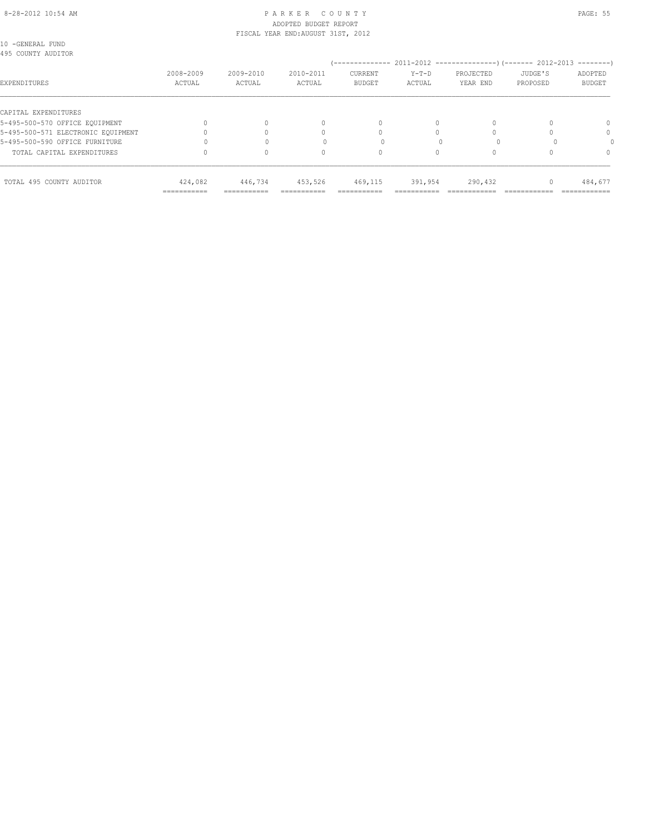# 8-28-2012 10:54 AM P A R K E R C O U N T Y PAGE: 55 ADOPTED BUDGET REPORT

| TOTAL 495 COUNTY AUDITOR                               | 424,082<br>=========== | 446,734                            | 453,526             | 469,115                          | 391,954           | 290,432               |                     | 484,677                  |
|--------------------------------------------------------|------------------------|------------------------------------|---------------------|----------------------------------|-------------------|-----------------------|---------------------|--------------------------|
| TOTAL CAPITAL EXPENDITURES                             |                        | 0                                  |                     | 0                                |                   | $\Omega$              |                     | $\Omega$                 |
| 5-495-500-590 OFFICE FURNITURE                         |                        |                                    |                     |                                  |                   |                       |                     |                          |
| 5-495-500-571 ELECTRONIC EQUIPMENT                     |                        |                                    |                     |                                  |                   |                       |                     | 0                        |
| CAPITAL EXPENDITURES<br>5-495-500-570 OFFICE EQUIPMENT |                        | $\Omega$                           | $\Omega$            | $\begin{array}{c} \n\end{array}$ | $\bigcap$         | $\Omega$              |                     | 0                        |
| EXPENDITURES                                           | 2008-2009<br>ACTUAL    | 2009-2010<br>ACTUAL                | 2010-2011<br>ACTUAL | CURRENT<br><b>BUDGET</b>         | $Y-T-D$<br>ACTUAL | PROJECTED<br>YEAR END | JUDGE'S<br>PROPOSED | ADOPTED<br><b>BUDGET</b> |
| 10 -GENERAL FUND<br>495 COUNTY AUDITOR                 |                        |                                    |                     |                                  |                   |                       |                     |                          |
|                                                        |                        | FISCAL YEAR END: AUGUST 31ST, 2012 |                     |                                  |                   |                       |                     |                          |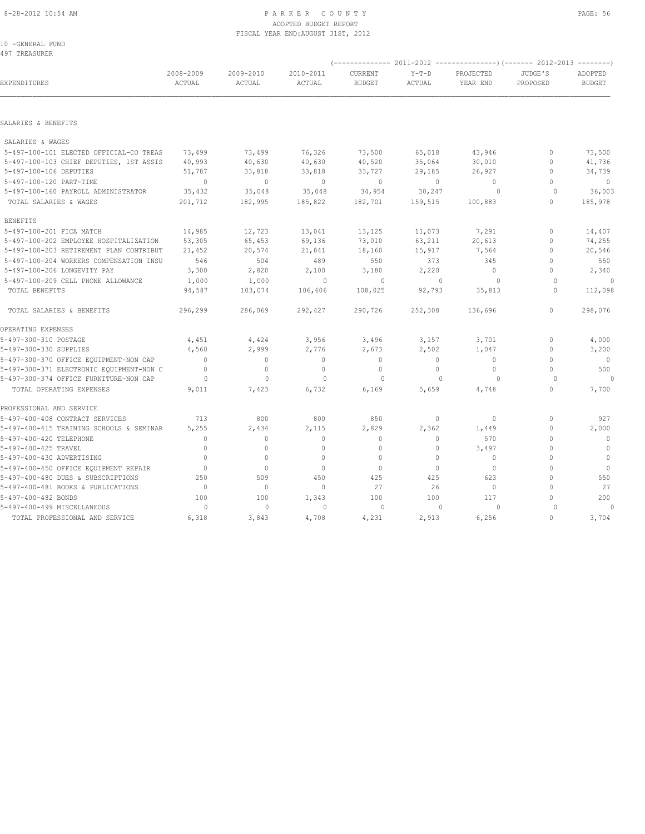# ADOPTED BUDGET REPORT FISCAL YEAR END:AUGUST 31ST, 2012

10 -GENERAL FUND 497 TREASURER

| EXPENDITURES                             | 2008-2009<br>ACTUAL | 2009-2010<br>ACTUAL | 2010-2011<br>ACTUAL | CURRENT<br><b>BUDGET</b> | $Y-T-D$<br>ACTUAL | PROJECTED<br>YEAR END | JUDGE'S<br>PROPOSED | ADOPTED<br><b>BUDGET</b> |
|------------------------------------------|---------------------|---------------------|---------------------|--------------------------|-------------------|-----------------------|---------------------|--------------------------|
|                                          |                     |                     |                     |                          |                   |                       |                     |                          |
| SALARIES & BENEFITS                      |                     |                     |                     |                          |                   |                       |                     |                          |
| SALARIES & WAGES                         |                     |                     |                     |                          |                   |                       |                     |                          |
| 5-497-100-101 ELECTED OFFICIAL-CO TREAS  | 73,499              | 73,499              | 76,326              | 73,500                   | 65,018            | 43,946                | $\circ$             | 73,500                   |
| 5-497-100-103 CHIEF DEPUTIES, 1ST ASSIS  | 40,993              | 40,630              | 40,630              | 40,520                   | 35,064            | 30,010                | $\circ$             | 41,736                   |
| 5-497-100-106 DEPUTIES                   | 51,787              | 33,818              | 33,818              | 33,727                   | 29,185            | 26,927                | $\mathbf{0}$        | 34,739                   |
| 5-497-100-120 PART-TIME                  | $\overline{0}$      | $\mathbf{0}$        | $\circ$             | $\mathbf{0}$             | $\circ$           | $\circ$               | $\Omega$            | $\overline{0}$           |
| 5-497-100-160 PAYROLL ADMINISTRATOR      | 35,432              | 35,048              | 35,048              | 34,954                   | 30,247            | $\circ$               | $\circ$             | 36,003                   |
| TOTAL SALARIES & WAGES                   | 201,712             | 182,995             | 185,822             | 182,701                  | 159,515           | 100,883               | $\circ$             | 185,978                  |
| <b>BENEFITS</b>                          |                     |                     |                     |                          |                   |                       |                     |                          |
| 5-497-100-201 FICA MATCH                 | 14,985              | 12,723              | 13,041              | 13,125                   | 11,073            | 7,291                 | $\circ$             | 14,407                   |
| 5-497-100-202 EMPLOYEE HOSPITALIZATION   | 53,305              | 65,453              | 69,136              | 73,010                   | 63,211            | 20,613                | $\Omega$            | 74,255                   |
| 5-497-100-203 RETIREMENT PLAN CONTRIBUT  | 21,452              | 20,574              | 21,841              | 18,160                   | 15,917            | 7,564                 | $\Omega$            | 20,546                   |
| 5-497-100-204 WORKERS COMPENSATION INSU  | 546                 | 504                 | 489                 | 550                      | 373               | 345                   | $\Omega$            | 550                      |
| 5-497-100-206 LONGEVITY PAY              | 3,300               | 2,820               | 2,100               | 3,180                    | 2,220             | $\Omega$              | $\Omega$            | 2,340                    |
| 5-497-100-209 CELL PHONE ALLOWANCE       | 1,000               | 1,000               | $\Omega$            | $\circ$                  | $\mathbf{0}$      | $\circ$               | $\Omega$            | $\Omega$                 |
| TOTAL BENEFITS                           | 94,587              | 103,074             | 106,606             | 108,025                  | 92,793            | 35,813                | $\Omega$            | 112,098                  |
| TOTAL SALARIES & BENEFITS                | 296,299             | 286,069             | 292,427             | 290,726                  | 252,308           | 136,696               | $\circ$             | 298,076                  |
| OPERATING EXPENSES                       |                     |                     |                     |                          |                   |                       |                     |                          |
| 5-497-300-310 POSTAGE                    | 4,451               | 4,424               | 3,956               | 3,496                    | 3,157             | 3,701                 | $\circ$             | 4,000                    |
| 5-497-300-330 SUPPLIES                   | 4,560               | 2,999               | 2,776               | 2,673                    | 2,502             | 1,047                 | $\circ$             | 3,200                    |
| 5-497-300-370 OFFICE EQUIPMENT-NON CAP   | $\overline{0}$      | $\mathbf{0}$        | $\mathbf{0}$        | $\mathbf{0}$             | $\circ$           | $\circ$               | $\circ$             | $\overline{0}$           |
| 5-497-300-371 ELECTRONIC EQUIPMENT-NON C | $\mathbf{0}$        | $\mathbf{0}$        | $\mathbf{0}$        | $\mathbf{0}$             | $\circ$           | $\circ$               | O                   | 500                      |
| 5-497-300-374 OFFICE FURNITURE-NON CAP   | $\circ$             | $\mathbf{0}$        | $\mathbf{0}$        | $\circ$                  | $\mathbf{0}$      | $\circ$               | $\circ$             | $\Omega$                 |
| TOTAL OPERATING EXPENSES                 | 9,011               | 7,423               | 6,732               | 6,169                    | 5,659             | 4,748                 | $\Omega$            | 7,700                    |
| PROFESSIONAL AND SERVICE                 |                     |                     |                     |                          |                   |                       |                     |                          |
| 5-497-400-408 CONTRACT SERVICES          | 713                 | 800                 | 800                 | 850                      | $\circ$           | $\circ$               | $\mathbf{0}$        | 927                      |
| 5-497-400-415 TRAINING SCHOOLS & SEMINAR | 5,255               | 2,434               | 2,115               | 2,829                    | 2,362             | 1,449                 | $\Omega$            | 2,000                    |
| 5-497-400-420 TELEPHONE                  | $\mathbf{0}$        | $\mathbf{0}$        | $\mathbf{0}$        | $\mathbf{0}$             | $\circ$           | 570                   | $\Omega$            | $\mathbf{0}$             |
| 5-497-400-425 TRAVEL                     | $\mathbf{0}$        | 0                   | $\mathbf{0}$        | $\mathbf{0}$             | $\circ$           | 3,497                 | U                   | $\mathbf{0}$             |
| 5-497-400-430 ADVERTISING                | $\Omega$            | $\mathbf{0}$        | $\mathbf{0}$        | $\mathbf{0}$             | $\circ$           | $\circ$               | $\Omega$            | $\overline{0}$           |
| 5-497-400-450 OFFICE EQUIPMENT REPAIR    | $\mathbf{0}$        | $\circ$             | $\circ$             | $\mathbf{0}$             | $\mathbf{0}$      | $\mathbf{0}$          | $\Omega$            | $\circ$                  |
| 5-497-400-480 DUES & SUBSCRIPTIONS       | 250                 | 509                 | 450                 | 425                      | 425               | 623                   |                     | 550                      |
| 5-497-400-481 BOOKS & PUBLICATIONS       | $\mathbf{0}$        | $\circ$             | $\mathbf{0}$        | 27                       | 26                | $\circ$               | $\Omega$            | 27                       |
| 5-497-400-482 BONDS                      | 100                 | 100                 | 1,343               | 100                      | 100               | 117                   | O                   | 200                      |
| 5-497-400-499 MISCELLANEOUS              | $\Omega$            | $\cap$              | $\Omega$            | $\cap$                   | $\bigcap$         | $\Omega$              |                     | $\cap$                   |

TOTAL PROFESSIONAL AND SERVICE 6,318 3,843 4,708 4,231 2,913 6,256 0 3,704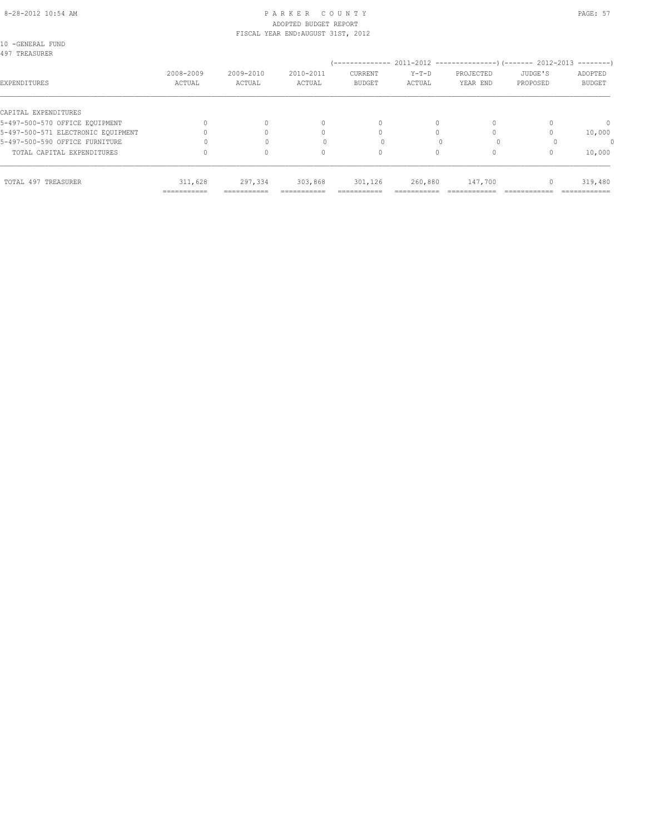# ADOPTED BUDGET REPORT

|                                    |                     | FISCAL YEAR END: AUGUST 31ST, 2012 |                     |                          |                   |                       |                     |                          |
|------------------------------------|---------------------|------------------------------------|---------------------|--------------------------|-------------------|-----------------------|---------------------|--------------------------|
| 10 -GENERAL FUND<br>497 TREASURER  |                     |                                    |                     |                          |                   |                       |                     |                          |
| EXPENDITURES                       | 2008-2009<br>ACTUAL | 2009-2010<br>ACTUAL                | 2010-2011<br>ACTUAL | CURRENT<br><b>BUDGET</b> | $Y-T-D$<br>ACTUAL | PROJECTED<br>YEAR END | JUDGE'S<br>PROPOSED | ADOPTED<br><b>BUDGET</b> |
| CAPITAL EXPENDITURES               |                     |                                    |                     |                          |                   |                       |                     |                          |
| 5-497-500-570 OFFICE EQUIPMENT     |                     |                                    | $\Omega$            |                          | $\Omega$          | 0                     |                     | 0                        |
| 5-497-500-571 ELECTRONIC EQUIPMENT |                     |                                    |                     |                          |                   |                       |                     | 10,000                   |
| 5-497-500-590 OFFICE FURNITURE     |                     |                                    |                     |                          |                   |                       |                     |                          |
| TOTAL CAPITAL EXPENDITURES         |                     |                                    |                     | 0                        | $\Omega$          | 0                     | $\Omega$            | 10,000                   |
| TOTAL 497 TREASURER                | 311,628             | 297,334                            | 303,868             | 301,126                  | 260,880           | 147,700               | $\Omega$            | 319,480                  |
|                                    | -----------         | -----------                        |                     | ---------                |                   |                       |                     | ------------             |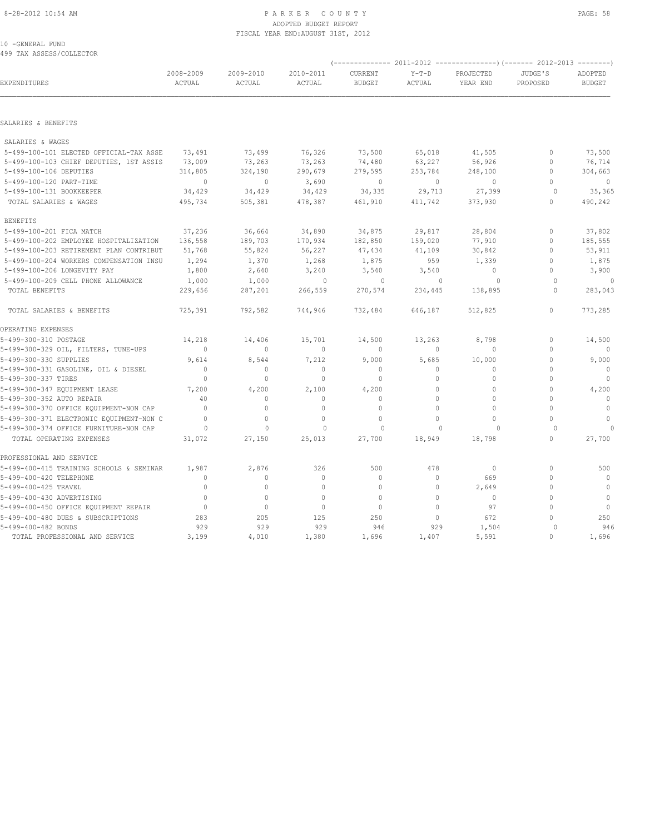#### 8-28-2012 10:54 AM P A R K E R C O U N T Y PAGE: 58 ADOPTED BUDGET REPORT FISCAL YEAR END:AUGUST 31ST, 2012

10 -GENERAL FUND 499 TAX ASSESS/COLLECTOR

| 10 -GENERAL FUND<br>499 TAX ASSESS/COLLECTOR |           |           |           |               |         |           |              |               |
|----------------------------------------------|-----------|-----------|-----------|---------------|---------|-----------|--------------|---------------|
|                                              |           |           |           |               |         |           |              |               |
|                                              | 2008-2009 | 2009-2010 | 2010-2011 | CURRENT       | $Y-T-D$ | PROJECTED | JUDGE'S      | ADOPTED       |
| EXPENDITURES                                 | ACTUAL    | ACTUAL    | ACTUAL    | <b>BUDGET</b> | ACTUAL  | YEAR END  | PROPOSED     | <b>BUDGET</b> |
|                                              |           |           |           |               |         |           |              |               |
|                                              |           |           |           |               |         |           |              |               |
| SALARIES & BENEFITS                          |           |           |           |               |         |           |              |               |
| SALARIES & WAGES                             |           |           |           |               |         |           |              |               |
| 5-499-100-101 ELECTED OFFICIAL-TAX ASSE      | 73,491    | 73,499    | 76,326    | 73,500        | 65,018  | 41,505    | $\mathbf{0}$ | 73,500        |
| 5-499-100-103 CHIEF DEPUTIES, 1ST ASSIS      | 73,009    | 73,263    | 73,263    | 74,480        | 63,227  | 56,926    | $\mathbf{0}$ | 76,714        |
| 5-499-100-106 DEPUTIES                       | 314,805   | 324,190   | 290,679   | 279,595       | 253,784 | 248,100   | $\circ$      | 304,663       |

| 5-499-100-106 DEPUTIES                   | 314,805                          | 324,190      | 290,679      | 279,595      | 253,784      | 248,100      | $\mathbf{0}$                     | 304,663      |
|------------------------------------------|----------------------------------|--------------|--------------|--------------|--------------|--------------|----------------------------------|--------------|
| 5-499-100-120 PART-TIME                  | $\Omega$                         | $\mathbf{0}$ | 3,690        | $\Omega$     | $\Omega$     | $\Omega$     | $\Omega$                         | $\Omega$     |
| 5-499-100-131 BOOKKEEPER                 | 34,429                           | 34,429       | 34,429       | 34,335       | 29,713       | 27,399       | $\circ$                          | 35,365       |
| TOTAL SALARIES & WAGES                   | 495,734                          | 505,381      | 478,387      | 461,910      | 411,742      | 373,930      | $\Omega$                         | 490,242      |
| <b>BENEFITS</b>                          |                                  |              |              |              |              |              |                                  |              |
| 5-499-100-201 FICA MATCH                 | 37,236                           | 36,664       | 34,890       | 34,875       | 29,817       | 28,804       | $\begin{array}{c} \n\end{array}$ | 37,802       |
| 5-499-100-202 EMPLOYEE HOSPITALIZATION   | 136,558                          | 189,703      | 170,934      | 182,850      | 159,020      | 77,910       | $\bigcap$                        | 185,555      |
| 5-499-100-203 RETIREMENT PLAN CONTRIBUT  | 51,768                           | 55,824       | 56,227       | 47,434       | 41,109       | 30,842       | $\Omega$                         | 53,911       |
| 5-499-100-204 WORKERS COMPENSATION INSU  | 1,294                            | 1,370        | 1,268        | 1,875        | 959          | 1,339        |                                  | 1,875        |
| 5-499-100-206 LONGEVITY PAY              | 1,800                            | 2,640        | 3,240        | 3,540        | 3,540        | $\Omega$     |                                  | 3,900        |
| 5-499-100-209 CELL PHONE ALLOWANCE       | 1,000                            | 1,000        | $\mathbf{0}$ | 0            | $\mathbf{0}$ | $\Omega$     | $\Omega$                         | 0            |
| TOTAL BENEFITS                           | 229,656                          | 287,201      | 266,559      | 270,574      | 234,445      | 138,895      | $\Omega$                         | 283,043      |
| TOTAL SALARIES & BENEFITS                | 725,391                          | 792,582      | 744,946      | 732,484      | 646,187      | 512,825      | $\begin{array}{c} \n\end{array}$ | 773,285      |
| OPERATING EXPENSES                       |                                  |              |              |              |              |              |                                  |              |
| 5-499-300-310 POSTAGE                    | 14,218                           | 14,406       | 15,701       | 14,500       | 13,263       | 8,798        | $\begin{array}{c} \n\end{array}$ | 14,500       |
| 5-499-300-329 OIL, FILTERS, TUNE-UPS     | $\overline{0}$                   | $\mathbf{0}$ | $\mathbf{0}$ | $\Omega$     | $\bigcap$    | $\bigcap$    | $\begin{array}{c} \n\end{array}$ | $\Omega$     |
| 5-499-300-330 SUPPLIES                   | 9,614                            | 8,544        | 7,212        | 9,000        | 5,685        | 10,000       | $\Omega$                         | 9,000        |
| 5-499-300-331 GASOLINE, OIL & DIESEL     | $\overline{0}$                   | $\mathbf{0}$ | $\mathbf{0}$ | $\mathbf{0}$ | 0            | $\mathbf{0}$ | $\Omega$                         | $\circ$      |
| 5-499-300-337 TIRES                      | $\Omega$                         | $\mathbf{0}$ | $\Omega$     | $\Omega$     | $\Omega$     | $\Omega$     | $\Omega$                         | $\Omega$     |
| 5-499-300-347 EQUIPMENT LEASE            | 7,200                            | 4,200        | 2,100        | 4,200        | $\Omega$     | $\Omega$     | $\Omega$                         | 4,200        |
| 5-499-300-352 AUTO REPAIR                | 40                               | 0            | $\mathbf{0}$ | $\Omega$     | $\Omega$     | $\Omega$     | $\cap$                           | $\Omega$     |
| 5-499-300-370 OFFICE EQUIPMENT-NON CAP   | $\Omega$                         | $\mathbf{0}$ | $\mathbf{0}$ | 0            | $\Omega$     | $\mathbf{0}$ | $\Omega$                         | $\circ$      |
| 5-499-300-371 ELECTRONIC EQUIPMENT-NON C | $\Omega$                         | $\mathbf{0}$ | $\mathbf{0}$ | $\circ$      | $\Omega$     | $\Omega$     | $\Omega$                         | $\Omega$     |
| 5-499-300-374 OFFICE FURNITURE-NON CAP   | $\Omega$                         | $\mathbf 0$  | $\Omega$     | $\Omega$     | $\mathbf{0}$ | $\Omega$     | 0                                | $\bigcap$    |
| TOTAL OPERATING EXPENSES                 | 31,072                           | 27,150       | 25,013       | 27,700       | 18,949       | 18,798       | 0                                | 27,700       |
| PROFESSIONAL AND SERVICE                 |                                  |              |              |              |              |              |                                  |              |
| 5-499-400-415 TRAINING SCHOOLS & SEMINAR | 1,987                            | 2,876        | 326          | 500          | 478          | $\mathbf{0}$ | $\mathbf{0}$                     | 500          |
| 5-499-400-420 TELEPHONE                  | $\Omega$                         | $\mathbf{0}$ | $\mathbf{0}$ | $\mathbf 0$  | $\circ$      | 669          | $\Omega$                         | $\Omega$     |
| 5-499-400-425 TRAVEL                     | $\begin{array}{c} \n\end{array}$ | $\mathbf{0}$ | $\mathbf{0}$ | $\mathbf 0$  | 0            | 2,649        | $\mathbf{0}$                     | $\mathbf{0}$ |
| 5-499-400-430 ADVERTISING                | $\Omega$                         | $\circ$      | $\Omega$     | $\Omega$     | $\Omega$     | $\Omega$     | $\Omega$                         | $\mathbf{0}$ |
| 5-499-400-450 OFFICE EQUIPMENT REPAIR    | $\overline{0}$                   | $\mathbf{0}$ | $\mathbf{0}$ | $\mathbf 0$  | $\Omega$     | 97           | $\cap$                           | $\mathbf{0}$ |
| 5-499-400-480 DUES & SUBSCRIPTIONS       | 283                              | 205          | 125          | 250          | $\Omega$     | 672          | $\Omega$                         | 250          |
| 5-499-400-482 BONDS                      | 929                              | 929          | 929          | 946          | 929          | 1,504        | $\Omega$                         | 946          |
| TOTAL PROFESSIONAL AND SERVICE           | 3,199                            | 4,010        | 1,380        | 1,696        | 1,407        | 5,591        | $\Omega$                         | 1,696        |
|                                          |                                  |              |              |              |              |              |                                  |              |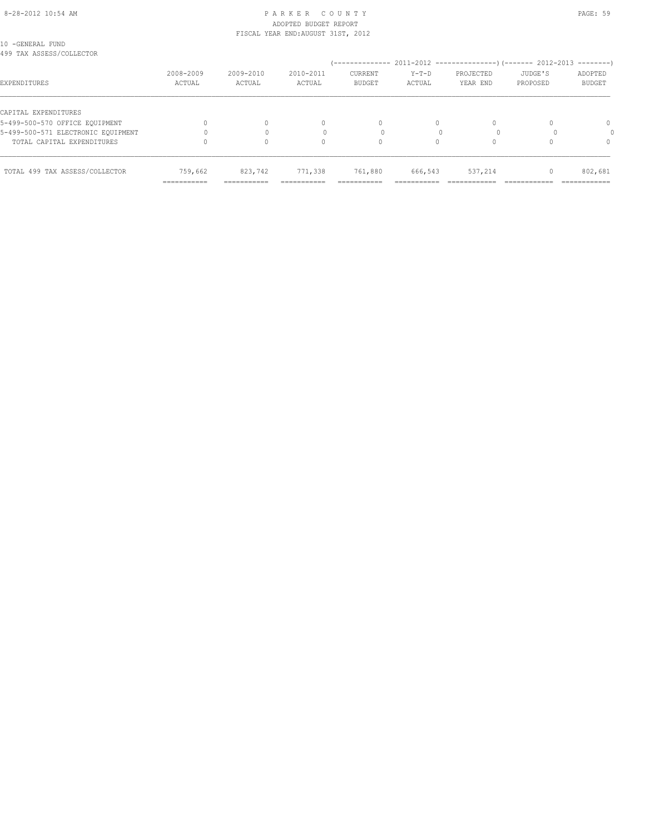#### 8-28-2012 10:54 AM P A R K E R C O U N T Y PAGE: 59 ADOPTED BUDGET REPORT FISCAL YEAR END:AUGUST 31ST, 2012

|  | 10 -GENERAL FUND         |
|--|--------------------------|
|  | 499 TAX ASSESS/COLLECTOR |

|                                    |                                         |                                         |                           |                                       |                         |                         |                     | $------$                                |
|------------------------------------|-----------------------------------------|-----------------------------------------|---------------------------|---------------------------------------|-------------------------|-------------------------|---------------------|-----------------------------------------|
| EXPENDITURES                       | 2008-2009<br>ACTUAL                     | 2009-2010<br>ACTUAL                     | $2010 - 2011$<br>ACTUAL   | <b>CURRENT</b><br><b>BUDGET</b>       | $Y-T-D$<br>ACTUAL       | PROJECTED<br>YEAR END   | JUDGE'S<br>PROPOSED | ADOPTED<br>BUDGET                       |
| CAPITAL EXPENDITURES               |                                         |                                         |                           |                                       |                         |                         |                     |                                         |
| 5-499-500-570 OFFICE EQUIPMENT     |                                         | $\Omega$                                | $\Omega$                  | 0                                     |                         |                         |                     | 0                                       |
| 5-499-500-571 ELECTRONIC EQUIPMENT |                                         |                                         |                           |                                       |                         |                         |                     |                                         |
| TOTAL CAPITAL EXPENDITURES         |                                         | 0                                       |                           | 0                                     |                         |                         |                     |                                         |
| TOTAL 499 TAX ASSESS/COLLECTOR     | 759,662<br>-------------<br>----------- | 823,742<br>-------------<br>----------- | 771,338<br>-------------- | 761,880<br>------------<br>---------- | 666,543<br>------------ | 537,214<br>____________ |                     | 802,681<br>____________<br>------------ |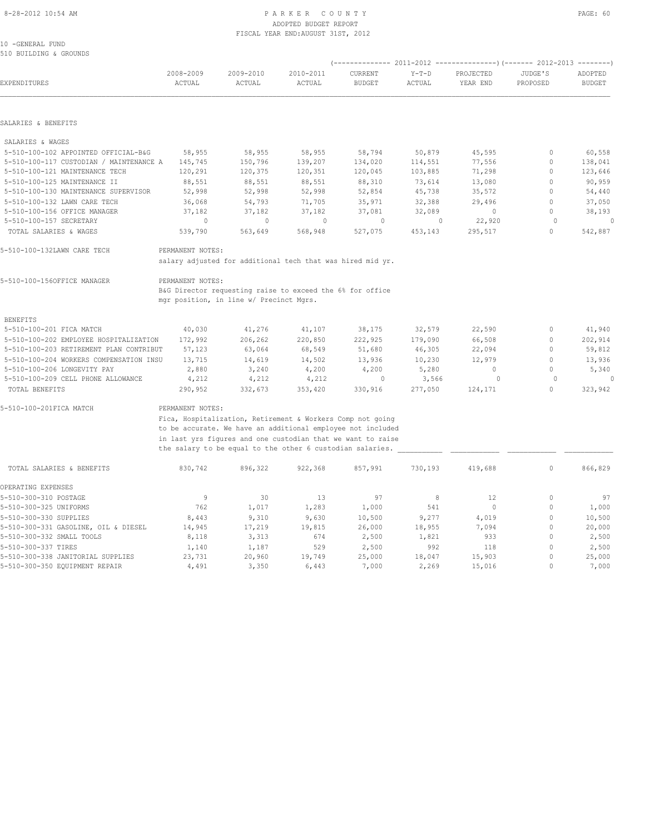#### 8-28-2012 10:54 AM P A R K E R C O U N T Y PAGE: 60 ADOPTED BUDGET REPORT FISCAL YEAR END:AUGUST 31ST, 2012

10 -GENERAL FUND 510 BUILDING & GROUNDS

| EXPENDITURES                            | 2008-2009<br>ACTUAL | 2009-2010<br>ACTUAL                                                                                  | 2010-2011<br>ACTUAL | CURRENT<br><b>BUDGET</b> | $Y-T-D$<br>ACTUAL | PROJECTED<br>YEAR END | JUDGE'S<br>PROPOSED | ADOPTED<br><b>BUDGET</b> |
|-----------------------------------------|---------------------|------------------------------------------------------------------------------------------------------|---------------------|--------------------------|-------------------|-----------------------|---------------------|--------------------------|
| SALARIES & BENEFITS                     |                     |                                                                                                      |                     |                          |                   |                       |                     |                          |
| SALARIES & WAGES                        |                     |                                                                                                      |                     |                          |                   |                       |                     |                          |
| 5-510-100-102 APPOINTED OFFICIAL-B&G    | 58,955              | 58,955                                                                                               | 58,955              | 58,794                   | 50,879            | 45,595                | $\circ$             | 60,558                   |
| 5-510-100-117 CUSTODIAN / MAINTENANCE A | 145,745             | 150,796                                                                                              | 139,207             | 134,020                  | 114,551           | 77,556                | $\circ$             | 138,041                  |
| 5-510-100-121 MAINTENANCE TECH          | 120,291             | 120,375                                                                                              | 120,351             | 120,045                  | 103,885           | 71,298                | $\circ$             | 123,646                  |
| 5-510-100-125 MAINTENANCE II            | 88,551              | 88,551                                                                                               | 88,551              | 88,310                   | 73,614            | 13,080                | $\mathbf{0}$        | 90,959                   |
| 5-510-100-130 MAINTENANCE SUPERVISOR    | 52,998              | 52,998                                                                                               | 52,998              | 52,854                   | 45,738            | 35,572                | $\mathbf{0}$        | 54,440                   |
| 5-510-100-132 LAWN CARE TECH            | 36,068              | 54,793                                                                                               | 71,705              | 35,971                   | 32,388            | 29,496                | $\mathbf{0}$        | 37,050                   |
| 5-510-100-156 OFFICE MANAGER            | 37,182              | 37,182                                                                                               | 37,182              | 37,081                   | 32,089            | $\circ$               | $\circ$             | 38,193                   |
| 5-510-100-157 SECRETARY                 | 0                   | 0                                                                                                    | 0                   | 0                        | $\mathbf 0$       | 22,920                | $\circ$             | $\circ$                  |
| TOTAL SALARIES & WAGES                  | 539,790             | 563,649                                                                                              | 568,948             | 527,075                  | 453,143           | 295,517               | $\mathbf{0}$        | 542,887                  |
| 5-510-100-132LAWN CARE TECH             | PERMANENT NOTES:    | salary adjusted for additional tech that was hired mid yr.                                           |                     |                          |                   |                       |                     |                          |
| 5-510-100-156OFFICE MANAGER             | PERMANENT NOTES:    | B&G Director requesting raise to exceed the 6% for office<br>mgr position, in line w/ Precinct Mgrs. |                     |                          |                   |                       |                     |                          |
| <b>BENEFITS</b>                         |                     |                                                                                                      |                     |                          |                   |                       |                     |                          |
| 5-510-100-201 FICA MATCH                | 40,030              | 41,276                                                                                               | 41,107              | 38,175                   | 32,579            | 22,590                | $\circ$             | 41,940                   |
| 5-510-100-202 EMPLOYEE HOSPITALIZATION  | 172,992             | 206,262                                                                                              | 220,850             | 222,925                  | 179,090           | 66,508                | $\mathbf{0}$        | 202,914                  |
| 5-510-100-203 RETIREMENT PLAN CONTRIBUT | 57,123              | 63,064                                                                                               | 68,549              | 51,680                   | 46,305            | 22,094                | $\mathbf{0}$        | 59,812                   |
| 5-510-100-204 WORKERS COMPENSATION INSU | 13,715              | 14,619                                                                                               | 14,502              | 13,936                   | 10,230            | 12,979                | $\circ$             | 13,936                   |
| 5-510-100-206 LONGEVITY PAY             | 2,880               | 3,240                                                                                                | 4,200               | 4,200                    | 5,280             | $\circ$               | $\Omega$            | 5,340                    |
| 5-510-100-209 CELL PHONE ALLOWANCE      | 4,212               | 4,212                                                                                                | 4,212               | 0                        | 3,566             | $\circ$               | $\Omega$            | $\circ$                  |
| TOTAL BENEFITS                          | 290,952             | 332,673                                                                                              | 353,420             | 330,916                  | 277,050           | 124,171               | $\Omega$            | 323,942                  |
| 5-510-100-201FICA MATCH                 | PERMANENT NOTES:    |                                                                                                      |                     |                          |                   |                       |                     |                          |
|                                         |                     | Fica, Hospitalization, Retirement & Workers Comp not going                                           |                     |                          |                   |                       |                     |                          |
|                                         |                     | to be accurate. We have an additional employee not included                                          |                     |                          |                   |                       |                     |                          |
|                                         |                     | in last yrs figures and one custodian that we want to raise                                          |                     |                          |                   |                       |                     |                          |
|                                         |                     | the salary to be equal to the other 6 custodian salaries.                                            |                     |                          |                   |                       |                     |                          |
| TOTAL SALARIES & BENEFITS               | 830,742             | 896,322                                                                                              | 922,368             | 857,991                  | 730,193           | 419,688               | 0                   | 866,829                  |
| OPERATING EXPENSES                      |                     |                                                                                                      |                     |                          |                   |                       |                     |                          |
| 5-510-300-310 POSTAGE                   | 9                   | 30                                                                                                   | 13                  | 97                       | 8                 | 12                    | 0                   | 97                       |
| 5-510-300-325 UNIFORMS                  | 762                 | 1,017                                                                                                | 1,283               | 1,000                    | 541               | $\mathbf{0}$          | $\mathbf{0}$        | 1,000                    |
| 5-510-300-330 SUPPLIES                  | 8,443               | 9,310                                                                                                | 9,630               | 10,500                   | 9,277             | 4,019                 | $\mathbf{0}$        | 10,500                   |
| 5-510-300-331 GASOLINE, OIL & DIESEL    | 14,945              | 17,219                                                                                               | 19,815              | 26,000                   | 18,955            | 7,094                 | $\mathbf{0}$        | 20,000                   |
| 5-510-300-332 SMALL TOOLS               | 8,118               | 3,313                                                                                                | 674                 | 2,500                    | 1,821             | 933                   | $\mathbf 0$         | 2,500                    |
| 5-510-300-337 TIRES                     | 1,140               | 1,187                                                                                                | 529                 | 2,500                    | 992               | 118                   | $\mathbf{0}$        | 2,500                    |
| 5-510-300-338 JANITORIAL SUPPLIES       | 23,731              | 20,960                                                                                               | 19,749              | 25,000                   | 18,047            | 15,903                | $\mathbf{0}$        | 25,000                   |
| 5-510-300-350 EQUIPMENT REPAIR          | 4,491               | 3,350                                                                                                | 6,443               | 7,000                    | 2,269             | 15,016                | $\Omega$            | 7,000                    |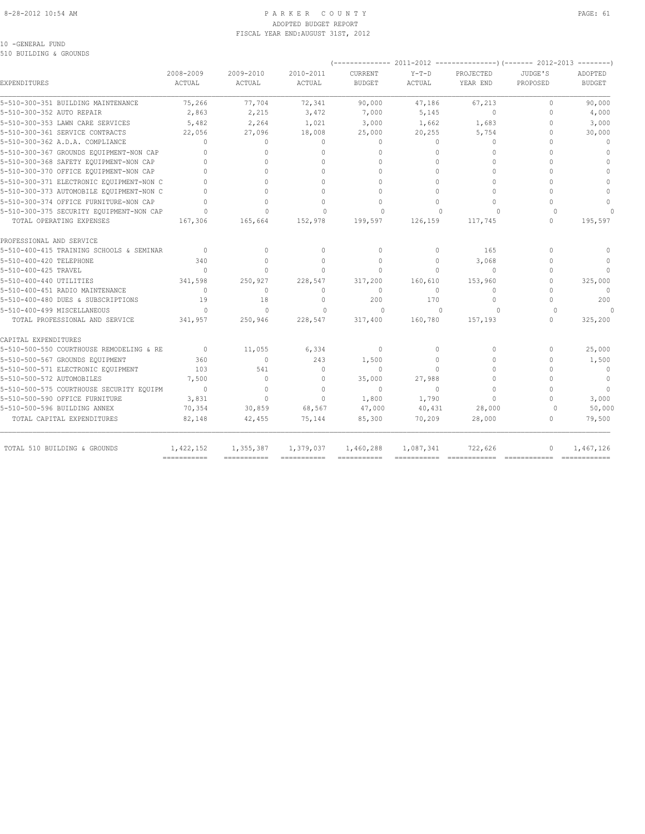#### 8-28-2012 10:54 AM P A R K E R C O U N T Y PAGE: 61 ADOPTED BUDGET REPORT FISCAL YEAR END:AUGUST 31ST, 2012

#### 10 -GENERAL FUND 510 BUILDING & GROUNDS

| EXPENDITURES                             | 2008-2009<br>ACTUAL              | 2009-2010<br>ACTUAL | 2010-2011<br><b>ACTUAL</b> | CURRENT<br><b>BUDGET</b> | $Y-T-D$<br><b>ACTUAL</b> | PROJECTED<br>YEAR END | JUDGE'S<br>PROPOSED | ADOPTED<br><b>BUDGET</b> |
|------------------------------------------|----------------------------------|---------------------|----------------------------|--------------------------|--------------------------|-----------------------|---------------------|--------------------------|
| 5-510-300-351 BUILDING MAINTENANCE       | 75,266                           | 77,704              | 72,341                     | 90,000                   | 47,186                   | 67,213                | $\circ$             | 90,000                   |
| 5-510-300-352 AUTO REPAIR                | 2,863                            | 2,215               | 3,472                      | 7,000                    | 5,145                    | $\Omega$              | $\Omega$            | 4,000                    |
| 5-510-300-353 LAWN CARE SERVICES         | 5,482                            | 2,264               | 1,021                      | 3,000                    | 1,662                    | 1,683                 | $\Omega$            | 3,000                    |
| 5-510-300-361 SERVICE CONTRACTS          | 22,056                           | 27,096              | 18,008                     | 25,000                   | 20,255                   | 5,754                 | 0                   | 30,000                   |
| 5-510-300-362 A.D.A. COMPLIANCE          | $\bigcap$                        | $\circ$             | $\mathbf{0}$               | $\mathbf{0}$             | $\Omega$                 | $\Omega$              | $\Omega$            | $\mathbf{0}$             |
| 5-510-300-367 GROUNDS EQUIPMENT-NON CAP  | $\Omega$                         | $\Omega$            | $\Omega$                   | $\Omega$                 | $\Omega$                 | $\Omega$              | $\Omega$            | $\mathbf{0}$             |
| 5-510-300-368 SAFETY EQUIPMENT-NON CAP   |                                  |                     | $\Omega$                   | $\Omega$                 | $\Omega$                 | $\Omega$              |                     | $\Omega$                 |
| 5-510-300-370 OFFICE EQUIPMENT-NON CAP   |                                  | $\Omega$            | $\cap$                     | $\bigcap$                | $\Omega$                 | $\Omega$              | $\cap$              | $\bigcap$                |
| 5-510-300-371 ELECTRONIC EQUIPMENT-NON C | $\begin{array}{c} \n\end{array}$ | $\Omega$            | $\Omega$                   | $\Omega$                 | $\Omega$                 | $\Omega$              | $\cap$              | $\Omega$                 |
| 5-510-300-373 AUTOMOBILE EQUIPMENT-NON C |                                  | $\cap$              | $\Omega$                   | $\Omega$                 | $\Omega$                 | $\Omega$              |                     | $\Omega$                 |
| 5-510-300-374 OFFICE FURNITURE-NON CAP   | $\bigcap$                        | $\Omega$            | $\cap$                     | $\Omega$                 | $\Omega$                 | $\Omega$              | $\cap$              | $\Omega$                 |
| 5-510-300-375 SECURITY EQUIPMENT-NON CAP | $\cap$                           | $\bigcap$           | $\Omega$                   | $\Omega$                 | $\Omega$                 | $\Omega$              | $\Omega$            |                          |
| TOTAL OPERATING EXPENSES                 | 167,306                          | 165,664             | 152,978                    | 199,597                  | 126,159                  | 117,745               | $\cap$              | 195,597                  |
| PROFESSIONAL AND SERVICE                 |                                  |                     |                            |                          |                          |                       |                     |                          |
| 5-510-400-415 TRAINING SCHOOLS & SEMINAR | $\mathbf{0}$                     | $\circ$             | $\mathbf{0}$               | $\mathbf{0}$             | $\circ$                  | 165                   | $\Omega$            | $\Omega$                 |
| 5-510-400-420 TELEPHONE                  | 340                              | $\Omega$            | $\Omega$                   | $\Omega$                 | $\Omega$                 | 3,068                 | $\Omega$            | $\Omega$                 |
| 5-510-400-425 TRAVEL                     | $\bigcap$                        | $\Omega$            | $\Omega$                   | $\Omega$                 | $\Omega$                 | $\Omega$              | $\Omega$            | $\bigcap$                |
| 5-510-400-440 UTILITIES                  | 341,598                          | 250,927             | 228,547                    | 317,200                  | 160,610                  | 153,960               | $\cap$              | 325,000                  |
| 5-510-400-451 RADIO MAINTENANCE          | $\begin{array}{c} \n\end{array}$ | 0                   | $\mathbf{0}$               | $\mathbf{0}$             | $\Omega$                 | $\Omega$              | $\Omega$            | $\Omega$                 |
| 5-510-400-480 DUES & SUBSCRIPTIONS       | 19                               | 18                  | $\mathbf{0}$               | 200                      | 170                      | 0                     | $\cap$              | 200                      |
| 5-510-400-499 MISCELLANEOUS              | $\Omega$                         | $\Omega$            | $\Omega$                   | $\Omega$                 | $\Omega$                 | $\cap$                | $\cap$              | $\Omega$                 |
| TOTAL PROFESSIONAL AND SERVICE           | 341,957                          | 250,946             | 228,547                    | 317,400                  | 160,780                  | 157,193               | $\bigcap$           | 325,200                  |
| CAPITAL EXPENDITURES                     |                                  |                     |                            |                          |                          |                       |                     |                          |
| 5-510-500-550 COURTHOUSE REMODELING & RE | $\overline{0}$                   | 11,055              | 6,334                      | $\mathbf{0}$             | $\Omega$                 | 0                     | $\Omega$            | 25,000                   |
| 5-510-500-567 GROUNDS EQUIPMENT          | 360                              | $\mathbf{0}$        | 243                        | 1,500                    | $\circ$                  | $\Omega$              | $\Omega$            | 1,500                    |
| 5-510-500-571 ELECTRONIC EQUIPMENT       | 103                              | 541                 | $\mathbf{0}$               | $\mathbf{0}$             | $\Omega$                 | $\Omega$              | $\cap$              | $\mathbf{0}$             |
| 5-510-500-572 AUTOMOBILES                | 7,500                            | $\circ$             | $\Omega$                   | 35,000                   | 27,988                   | $\Omega$              | $\cap$              | $\mathbf{0}$             |
| 5-510-500-575 COURTHOUSE SECURITY EQUIPM | $\Omega$                         | $\Omega$            | $\Omega$                   | $\Omega$                 | $\Omega$                 | $\Omega$              | $\cap$              | $\Omega$                 |
| 5-510-500-590 OFFICE FURNITURE           | 3,831                            | $\Omega$            | $\Omega$                   | 1,800                    | 1,790                    | $\Omega$              | $\cap$              | 3,000                    |
| 5-510-500-596 BUILDING ANNEX             | 70,354                           | 30,859              | 68,567                     | 47,000                   | 40,431                   | 28,000                | $\Omega$            | 50,000                   |
| TOTAL CAPITAL EXPENDITURES               | 82,148                           | 42,455              | 75,144                     | 85,300                   | 70,209                   | 28,000                | $\Omega$            | 79,500                   |
| TOTAL 510 BUILDING & GROUNDS             | 1,422,152                        | 1,355,387           | 1,379,037                  | 1,460,288                | 1,087,341                | 722,626               | $\Omega$            | 1,467,126                |
|                                          | ===========                      | ============        | $=$ = = = = = = = = = = =  | ===========              |                          | $=$ =============     | -------------       | =============            |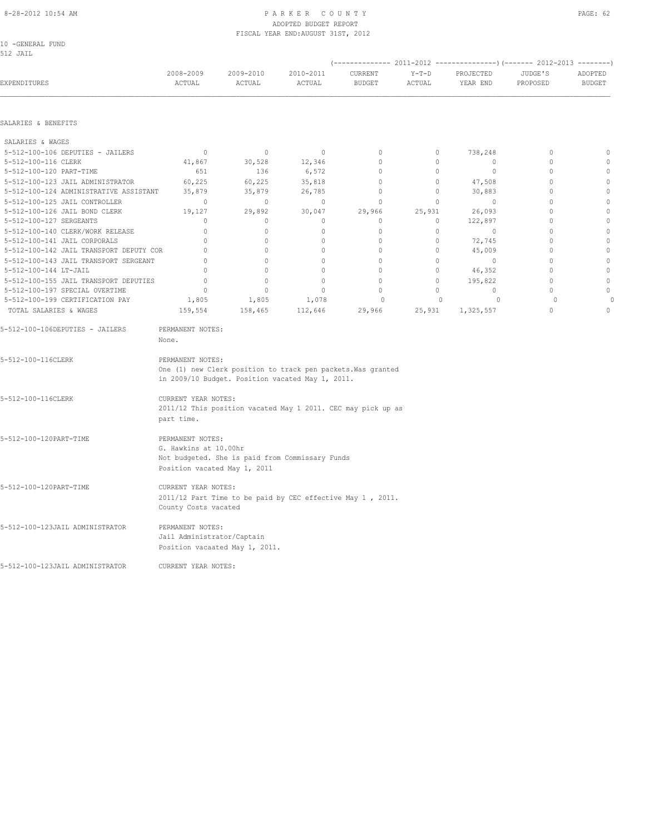SALARIES & BENEFITS SALARIES & WAGES

# ADOPTED BUDGET REPORT FISCAL YEAR END:AUGUST 31ST, 2012

10 -GENERAL FUND 512 JAIL

| 5-512-100-116 CLERK                     | 41,867  | 30,528  | 12,346  |        |        |           |  |
|-----------------------------------------|---------|---------|---------|--------|--------|-----------|--|
| 5-512-100-120 PART-TIME                 | 651     | 136     | 6,572   |        |        |           |  |
| 5-512-100-123 JAIL ADMINISTRATOR        | 60,225  | 60,225  | 35,818  |        |        | 47,508    |  |
| 5-512-100-124 ADMINISTRATIVE ASSISTANT  | 35,879  | 35,879  | 26,785  |        |        | 30,883    |  |
| 5-512-100-125 JAIL CONTROLLER           |         |         |         |        |        |           |  |
| 5-512-100-126 JAIL BOND CLERK           | 19,127  | 29,892  | 30,047  | 29,966 | 25,931 | 26,093    |  |
| 5-512-100-127 SERGEANTS                 |         |         |         |        |        | 122,897   |  |
| 5-512-100-140 CLERK/WORK RELEASE        |         |         |         |        |        |           |  |
| 5-512-100-141 JAIL CORPORALS            |         |         |         |        |        | 72,745    |  |
| 5-512-100-142 JAIL TRANSPORT DEPUTY COR |         |         |         |        |        | 45,009    |  |
| 5-512-100-143 JAIL TRANSPORT SERGEANT   |         |         |         |        |        |           |  |
| 5-512-100-144 LT-JAIL                   |         |         |         |        |        | 46,352    |  |
| 5-512-100-155 JAIL TRANSPORT DEPUTIES   |         |         |         |        |        | 195,822   |  |
| 5-512-100-197 SPECIAL OVERTIME          |         |         |         |        |        |           |  |
| 5-512-100-199 CERTIFICATION PAY         | 1,805   | 1,805   | 1,078   |        |        |           |  |
| TOTAL SALARIES & WAGES                  | 159,554 | 158,465 | 112,646 | 29,966 | 25,931 | 1,325,557 |  |

| 5-512-100-106DEPUTIES - JAILERS | PERMANENT NOTES:<br>None.                                                                                                            |
|---------------------------------|--------------------------------------------------------------------------------------------------------------------------------------|
| 5-512-100-116CLERK              | PERMANENT NOTES:<br>One (1) new Clerk position to track pen packets. Was granted<br>in 2009/10 Budget. Position vacated May 1, 2011. |
| 5-512-100-116CLERK              | CURRENT YEAR NOTES:<br>2011/12 This position vacated May 1 2011. CEC may pick up as<br>part time.                                    |
| 5-512-100-120PART-TIME          | PERMANENT NOTES:<br>G. Hawkins at 10.00hr<br>Not budgeted. She is paid from Commissary Funds<br>Position vacated May 1, 2011         |
| 5-512-100-120PART-TIME          | CURRENT YEAR NOTES:<br>2011/12 Part Time to be paid by CEC effective May 1, 2011.<br>County Costs vacated                            |
| 5-512-100-123JAIL ADMINISTRATOR | PERMANENT NOTES:<br>Jail Administrator/Captain<br>Position vacaated May 1, 2011.                                                     |
| 5-512-100-123JAIL ADMINISTRATOR | CURRENT YEAR NOTES:                                                                                                                  |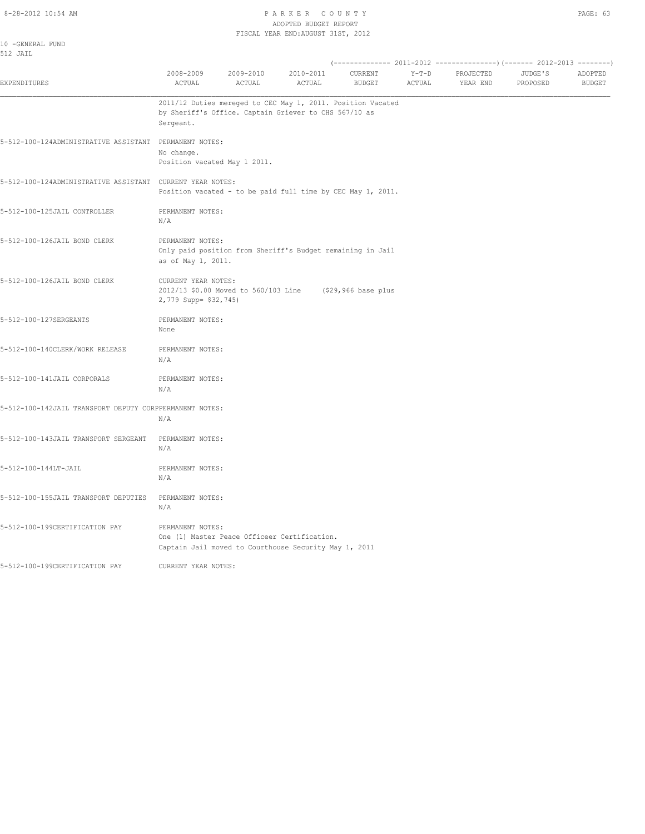#### 8-28-2012 10:54 AM P A R K E R C O U N T Y ADOPTED BUDGET REPORT FISCAL YEAR END:AUGUST 31ST, 2012

| w<br>۰, |  |
|---------|--|
|---------|--|

| 10 -GENERAL FUND<br>512 JAIL                            |                                                                |                                                                                                                      |                     |                          |                   |                       |                     |                          |
|---------------------------------------------------------|----------------------------------------------------------------|----------------------------------------------------------------------------------------------------------------------|---------------------|--------------------------|-------------------|-----------------------|---------------------|--------------------------|
| <b>EXPENDITURES</b>                                     | 2008-2009<br>ACTUAL                                            | 2009-2010<br>ACTUAL                                                                                                  | 2010-2011<br>ACTUAL | CURRENT<br><b>BUDGET</b> | $Y-T-D$<br>ACTUAL | PROJECTED<br>YEAR END | JUDGE'S<br>PROPOSED | ADOPTED<br><b>BUDGET</b> |
|                                                         | Sergeant.                                                      | 2011/12 Duties mereged to CEC May 1, 2011. Position Vacated<br>by Sheriff's Office. Captain Griever to CHS 567/10 as |                     |                          |                   |                       |                     |                          |
| 5-512-100-124ADMINISTRATIVE ASSISTANT                   | PERMANENT NOTES:<br>No change.<br>Position vacated May 1 2011. |                                                                                                                      |                     |                          |                   |                       |                     |                          |
| 5-512-100-124ADMINISTRATIVE ASSISTANT                   | CURRENT YEAR NOTES:                                            | Position vacated - to be paid full time by CEC May 1, 2011.                                                          |                     |                          |                   |                       |                     |                          |
| 5-512-100-125JAIL CONTROLLER                            | PERMANENT NOTES:<br>N/A                                        |                                                                                                                      |                     |                          |                   |                       |                     |                          |
| 5-512-100-126JAIL BOND CLERK                            | PERMANENT NOTES:<br>as of May 1, 2011.                         | Only paid position from Sheriff's Budget remaining in Jail                                                           |                     |                          |                   |                       |                     |                          |
| 5-512-100-126JAIL BOND CLERK                            | CURRENT YEAR NOTES:<br>2,779 Supp= \$32,745)                   | 2012/13 \$0.00 Moved to 560/103 Line                                                                                 |                     | (\$29,966 base plus      |                   |                       |                     |                          |
| 5-512-100-127SERGEANTS                                  | PERMANENT NOTES:<br>None                                       |                                                                                                                      |                     |                          |                   |                       |                     |                          |
| 5-512-100-140CLERK/WORK RELEASE                         | PERMANENT NOTES:<br>N/A                                        |                                                                                                                      |                     |                          |                   |                       |                     |                          |
| 5-512-100-141JAIL CORPORALS                             | PERMANENT NOTES:<br>N/A                                        |                                                                                                                      |                     |                          |                   |                       |                     |                          |
| 5-512-100-142JAIL TRANSPORT DEPUTY CORPPERMANENT NOTES: | N/A                                                            |                                                                                                                      |                     |                          |                   |                       |                     |                          |
| 5-512-100-143JAIL TRANSPORT SERGEANT                    | PERMANENT NOTES:<br>N/A                                        |                                                                                                                      |                     |                          |                   |                       |                     |                          |
| 5-512-100-144LT-JAIL                                    | PERMANENT NOTES:<br>N/A                                        |                                                                                                                      |                     |                          |                   |                       |                     |                          |
| 5-512-100-155JAIL TRANSPORT DEPUTIES                    | PERMANENT NOTES:<br>N/A                                        |                                                                                                                      |                     |                          |                   |                       |                     |                          |
| 5-512-100-199CERTIFICATION PAY                          | PERMANENT NOTES:                                               | One (1) Master Peace Officeer Certification.<br>Captain Jail moved to Courthouse Security May 1, 2011                |                     |                          |                   |                       |                     |                          |
| 5-512-100-199CERTIFICATION PAY                          | CURRENT YEAR NOTES:                                            |                                                                                                                      |                     |                          |                   |                       |                     |                          |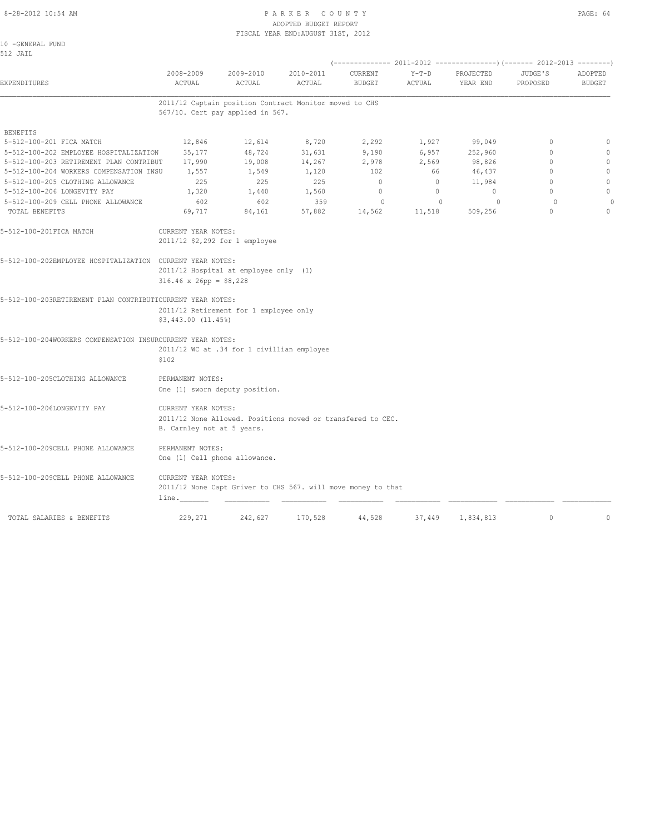#### 8-28-2012 10:54 AM PAGE: 64 ADOPTED BUDGET REPORT FISCAL YEAR END:AUGUST 31ST, 2012

10 -GENERAL FUND 512 JAIL

| EXPENDITURES                                               | 2008-2009<br>ACTUAL           | 2009-2010<br>ACTUAL                        | 2010-2011<br>ACTUAL                                    | CURRENT<br><b>BUDGET</b>                                     | $Y-T-D$<br>ACTUAL        | PROJECTED<br>YEAR END | JUDGE'S<br>PROPOSED | ADOPTED<br><b>BUDGET</b> |
|------------------------------------------------------------|-------------------------------|--------------------------------------------|--------------------------------------------------------|--------------------------------------------------------------|--------------------------|-----------------------|---------------------|--------------------------|
|                                                            |                               | 567/10. Cert pay applied in 567.           | 2011/12 Captain position Contract Monitor moved to CHS |                                                              |                          |                       |                     |                          |
| <b>BENEFITS</b>                                            |                               |                                            |                                                        |                                                              |                          |                       |                     |                          |
| 5-512-100-201 FICA MATCH                                   | 12,846                        | 12,614                                     | 8,720                                                  | 2,292                                                        | 1,927                    | 99,049                | $\circ$             | $\circ$                  |
| 5-512-100-202 EMPLOYEE HOSPITALIZATION                     | 35,177                        | 48,724                                     | 31,631                                                 | 9,190                                                        | 6,957                    | 252,960               | $\mathbf{0}$        | $\mathbf{0}$             |
| 5-512-100-203 RETIREMENT PLAN CONTRIBUT                    | 17,990                        | 19,008                                     | 14,267                                                 | 2,978                                                        | 2,569                    | 98,826                | $\mathbf{0}$        | $\mathbf{0}$             |
| 5-512-100-204 WORKERS COMPENSATION INSU                    | 1,557                         | 1,549                                      | 1,120                                                  | 102                                                          | 66                       | 46,437                | $\mathbf{0}$        | $\mathbf 0$              |
| 5-512-100-205 CLOTHING ALLOWANCE                           | 225                           | 225                                        | 225                                                    | $\overline{0}$                                               | $\overline{0}$           | 11,984                | $\mathbf{0}$        | $\mathbf{0}$             |
| 5-512-100-206 LONGEVITY PAY                                | 1,320                         | 1,440                                      | 1,560                                                  | $\circ$                                                      | $\circ$                  | $\circ$               | $\Omega$            | $\mathbb O$              |
|                                                            |                               |                                            |                                                        |                                                              |                          |                       | $\circ$             |                          |
| 5-512-100-209 CELL PHONE ALLOWANCE<br>TOTAL BENEFITS       | 602<br>69,717                 | 602<br>84,161                              | 359<br>57,882                                          | $\circ$<br>14,562                                            | $\overline{0}$<br>11,518 | $\circ$<br>509,256    | $\Omega$            | $\Omega$                 |
| 5-512-100-201FICA MATCH                                    | CURRENT YEAR NOTES:           |                                            |                                                        |                                                              |                          |                       |                     |                          |
|                                                            |                               | 2011/12 \$2,292 for 1 employee             |                                                        |                                                              |                          |                       |                     |                          |
| 5-512-100-202EMPLOYEE HOSPITALIZATION CURRENT YEAR NOTES:  |                               |                                            |                                                        |                                                              |                          |                       |                     |                          |
|                                                            |                               | 2011/12 Hospital at employee only (1)      |                                                        |                                                              |                          |                       |                     |                          |
|                                                            | $316.46 \times 26pp = $8,228$ |                                            |                                                        |                                                              |                          |                       |                     |                          |
| 5-512-100-203RETIREMENT PLAN CONTRIBUTICURRENT YEAR NOTES: |                               |                                            |                                                        |                                                              |                          |                       |                     |                          |
|                                                            | $$3,443.00$ $(11.45%)$        | 2011/12 Retirement for 1 employee only     |                                                        |                                                              |                          |                       |                     |                          |
| 5-512-100-204WORKERS COMPENSATION INSURCURRENT YEAR NOTES: |                               |                                            |                                                        |                                                              |                          |                       |                     |                          |
|                                                            |                               | 2011/12 WC at .34 for 1 civillian employee |                                                        |                                                              |                          |                       |                     |                          |
|                                                            | \$102                         |                                            |                                                        |                                                              |                          |                       |                     |                          |
| 5-512-100-205CLOTHING ALLOWANCE                            | PERMANENT NOTES:              |                                            |                                                        |                                                              |                          |                       |                     |                          |
|                                                            |                               | One (1) sworn deputy position.             |                                                        |                                                              |                          |                       |                     |                          |
| 5-512-100-206LONGEVITY PAY                                 | CURRENT YEAR NOTES:           |                                            |                                                        |                                                              |                          |                       |                     |                          |
|                                                            |                               |                                            |                                                        | 2011/12 None Allowed. Positions moved or transfered to CEC.  |                          |                       |                     |                          |
|                                                            | B. Carnley not at 5 years.    |                                            |                                                        |                                                              |                          |                       |                     |                          |
| 5-512-100-209CELL PHONE ALLOWANCE                          | PERMANENT NOTES:              | One (1) Cell phone allowance.              |                                                        |                                                              |                          |                       |                     |                          |
| 5-512-100-209CELL PHONE ALLOWANCE                          | CURRENT YEAR NOTES:<br>line.  |                                            |                                                        | 2011/12 None Capt Griver to CHS 567. will move money to that |                          |                       |                     |                          |
| TOTAL SALARIES & BENEFITS                                  | 229,271                       | 242,627                                    | 170,528                                                | 44,528                                                       | 37,449                   | 1,834,813             | $\mathbf 0$         | $\circ$                  |
|                                                            |                               |                                            |                                                        |                                                              |                          |                       |                     |                          |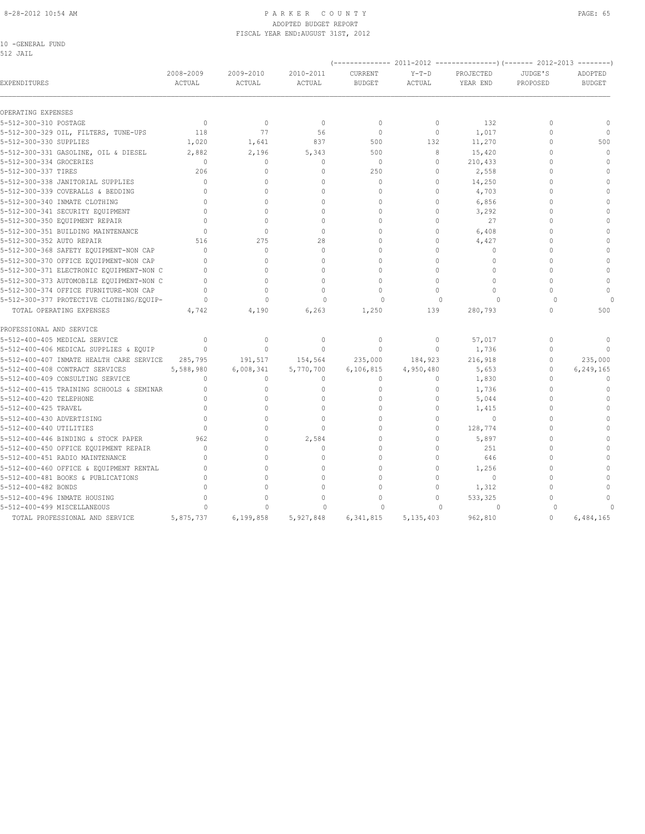#### 8-28-2012 10:54 AM P A R K E R C O U N T Y PAGE: 65 ADOPTED BUDGET REPORT FISCAL YEAR END:AUGUST 31ST, 2012

| -GENERAL FUND |  |
|---------------|--|
|               |  |

| EXPENDITURES                             | 2008-2009<br>ACTUAL              | 2009-2010<br>ACTUAL | 2010-2011<br>ACTUAL | <b>CURRENT</b><br><b>BUDGET</b> | $Y-T-D$<br>ACTUAL | PROJECTED<br>YEAR END | JUDGE'S<br>PROPOSED | ADOPTED<br><b>BUDGET</b> |
|------------------------------------------|----------------------------------|---------------------|---------------------|---------------------------------|-------------------|-----------------------|---------------------|--------------------------|
| OPERATING EXPENSES                       |                                  |                     |                     |                                 |                   |                       |                     |                          |
| 5-512-300-310 POSTAGE                    | $\Omega$                         | $\Omega$            | $\mathbf{0}$        | $\mathbf{0}$                    | $\Omega$          | 132                   | $\Omega$            | $\mathbf{0}$             |
| 5-512-300-329 OIL, FILTERS, TUNE-UPS     | 118                              | 77                  | 56                  | $\Omega$                        | $\circ$           | 1,017                 | $\Omega$            | $\Omega$                 |
| 5-512-300-330 SUPPLIES                   | 1,020                            | 1,641               | 837                 | 500                             | 132               | 11,270                | $\Omega$            | 500                      |
| 5-512-300-331 GASOLINE, OIL & DIESEL     | 2,882                            | 2,196               | 5,343               | 500                             | 8                 | 15,420                | $\Omega$            | $\Omega$                 |
| 5-512-300-334 GROCERIES                  | $\mathbf{0}$                     | $\circ$             | $\mathbf{0}$        | $\mathbf{0}$                    | $\circ$           | 210,433               | $\Omega$            | $\mathbf{0}$             |
| 5-512-300-337 TIRES                      | 206                              | $\Omega$            | $\mathbf{0}$        | 250                             | $\circ$           | 2,558                 | $\cap$              | $\Omega$                 |
| 5-512-300-338 JANITORIAL SUPPLIES        | $\Omega$                         | $\Omega$            | $\Omega$            | $\mathbf{0}$                    | $\Omega$          | 14,250                |                     | $\Omega$                 |
| 5-512-300-339 COVERALLS & BEDDING        | $\Omega$                         | $\Omega$            | $\Omega$            | $\circ$                         | $\circ$           | 4,703                 | $\Omega$            | $\Omega$                 |
| 5-512-300-340 INMATE CLOTHING            | $\Omega$                         | $\cap$              | $\Omega$            | $\Omega$                        | $\Omega$          | 6,856                 | $\cap$              | $\Omega$                 |
| 5-512-300-341 SECURITY EQUIPMENT         | $\cap$                           | $\cap$              | $\Omega$            | $\Omega$                        | $\Omega$          | 3,292                 | $\cap$              | $\cap$                   |
| 5-512-300-350 EQUIPMENT REPAIR           | $\Omega$                         | $\Omega$            | $\Omega$            | $\Omega$                        | $\Omega$          | 27                    | $\cap$              | $\cap$                   |
| 5-512-300-351 BUILDING MAINTENANCE       | $\cap$                           | $\Omega$            | $\Omega$            | $\Omega$                        | $\Omega$          | 6,408                 | $\cap$              | $\Omega$                 |
| 5-512-300-352 AUTO REPAIR                | 516                              | 275                 | 28                  | $\cap$                          | $\Omega$          | 4,427                 | $\Omega$            | $\Omega$                 |
| 5-512-300-368 SAFETY EQUIPMENT-NON CAP   | $\Omega$                         | $\Omega$            | $\Omega$            | $\Omega$                        | $\Omega$          | $\Omega$              | $\Omega$            | $\Omega$                 |
| 5-512-300-370 OFFICE EQUIPMENT-NON CAP   |                                  |                     | $\Omega$            | $\Omega$                        | $\Omega$          | $\mathbf{0}$          | $\Omega$            |                          |
| 5-512-300-371 ELECTRONIC EQUIPMENT-NON C | $\Omega$                         | $\Omega$            | $\Omega$            | $\Omega$                        | $\Omega$          | $\Omega$              | $\Omega$            | $\Omega$                 |
| 5-512-300-373 AUTOMOBILE EQUIPMENT-NON C | $\Omega$                         | $\Omega$            | $\Omega$            | $\Omega$                        | $\Omega$          | $\Omega$              | $\Omega$            | $\mathbf{0}$             |
| 5-512-300-374 OFFICE FURNITURE-NON CAP   | $\Omega$                         | $\cap$              | $\Omega$            | $\Omega$                        | $\Omega$          | $\Omega$              | $\Omega$            | $\Omega$                 |
| 5-512-300-377 PROTECTIVE CLOTHING/EQUIP- | $\Omega$                         | $\Omega$            | $\Omega$            | $\Omega$                        | $\Omega$          | $\Omega$              | $\cap$              |                          |
| TOTAL OPERATING EXPENSES                 | 4,742                            | 4,190               | 6,263               | 1,250                           | 139               | 280,793               | $\Omega$            | 500                      |
| PROFESSIONAL AND SERVICE                 |                                  |                     |                     |                                 |                   |                       |                     |                          |
| 5-512-400-405 MEDICAL SERVICE            | $\begin{array}{c} \n\end{array}$ | $\Omega$            | $\mathbf{0}$        | $\mathbf{0}$                    | $\circ$           | 57,017                | $\Omega$            | $\Omega$                 |
| 5-512-400-406 MEDICAL SUPPLIES & EQUIP   | $\Omega$                         | $\Omega$            | $\Omega$            | $\Omega$                        | $\Omega$          | 1,736                 | $\Omega$            | $\cap$                   |
| 5-512-400-407 INMATE HEALTH CARE SERVICE | 285,795                          | 191,517             | 154,564             | 235,000                         | 184,923           | 216,918               | $\Omega$            | 235,000                  |
| 5-512-400-408 CONTRACT SERVICES          | 5,588,980                        | 6,008,341           | 5,770,700           | 6,106,815                       | 4,950,480         | 5,653                 | $\mathbf{0}$        | 6,249,165                |
| 5-512-400-409 CONSULTING SERVICE         | $\mathbf{0}$                     | $\circ$             | $\mathbf{0}$        | $\mathbf{0}$                    | $\circ$           | 1,830                 | $\Omega$            | $\mathbf{0}$             |
| 5-512-400-415 TRAINING SCHOOLS & SEMINAR | $\mathbf{0}$                     | $\circ$             | $\mathbf{0}$        | $\mathbf{0}$                    | $\circ$           | 1,736                 | $\Omega$            | $\Omega$                 |
| 5-512-400-420 TELEPHONE                  | $\mathbf{0}$                     | $\Omega$            | $\mathbf{0}$        | $\mathbf{0}$                    | $\circ$           | 5,044                 | $\Omega$            | $\Omega$                 |
| 5-512-400-425 TRAVEL                     | $\Omega$                         | $\Omega$            | $\Omega$            | $\Omega$                        | $\Omega$          | 1,415                 | $\Omega$            | $\Omega$                 |
| 5-512-400-430 ADVERTISING                | $\Omega$                         | $\cap$              | $\Omega$            | $\Omega$                        | $\Omega$          | $\Omega$              | $\cap$              | $\cap$                   |
| 5-512-400-440 UTILITIES                  | $\Omega$                         |                     | $\Omega$            | $\cap$                          | $\Omega$          | 128,774               | $\cap$              |                          |
| 5-512-400-446 BINDING & STOCK PAPER      | 962                              | $\Omega$            | 2,584               | $\Omega$                        | $\Omega$          | 5,897                 | $\cap$              | $\Omega$                 |
| 5-512-400-450 OFFICE EQUIPMENT REPAIR    | $\Omega$                         | $\Omega$            | $\Omega$            | $\Omega$                        | $\Omega$          | 251                   | $\Omega$            | $\cap$                   |
| 5-512-400-451 RADIO MAINTENANCE          | $\bigcap$                        | $\Omega$            | $\Omega$            | $\Omega$                        | $\Omega$          | 646                   | $\Omega$            | $\Omega$                 |
| 5-512-400-460 OFFICE & EQUIPMENT RENTAL  | $\bigcap$                        | $\Omega$            | $\Omega$            | $\cap$                          | $\Omega$          | 1,256                 | $\Omega$            |                          |
| 5-512-400-481 BOOKS & PUBLICATIONS       | $\mathbf{0}$                     | $\Omega$            | $\Omega$            | $\Omega$                        | $\Omega$          | 0                     | $\Omega$            |                          |
| 5-512-400-482 BONDS                      | $\Omega$                         |                     | $\Omega$            | $\Omega$                        | $\circ$           | 1,312                 | $\cap$              | $\Omega$                 |
| 5-512-400-496 INMATE HOUSING             | $\Omega$                         |                     | $\Omega$            | $\cap$                          | $\Omega$          | 533,325               | $\bigcap$           |                          |
| 5-512-400-499 MISCELLANEOUS              | $\Omega$                         | $\Omega$            | $\Omega$            | $\Omega$                        | $\Omega$          | $\circ$               | $\cap$              |                          |

TOTAL PROFESSIONAL AND SERVICE 5,875,737 6,199,858 5,927,848 6,341,815 5,135,403 962,810 0 6,484,165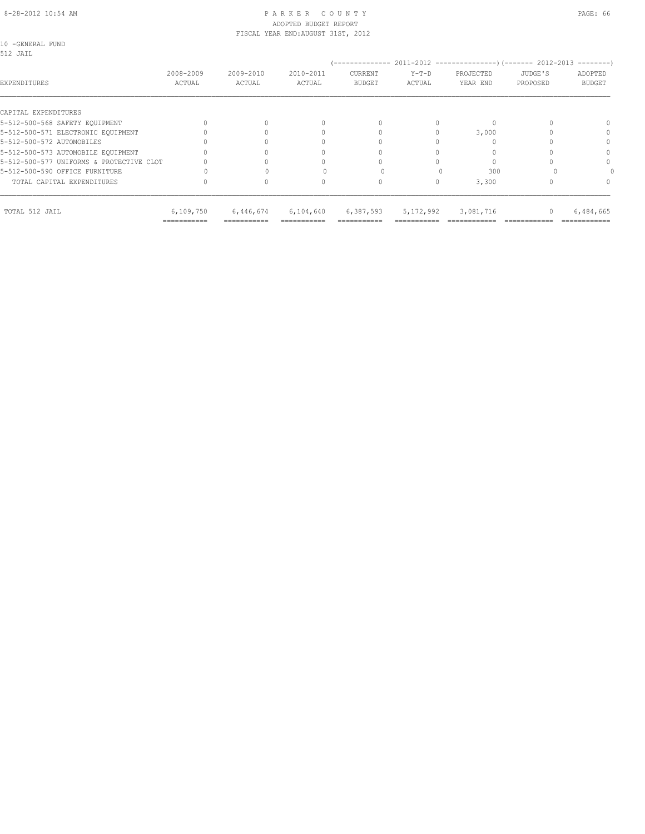#### 8-28-2012 10:54 AM P A R K E R C O U N T Y PAGE: 66 ADOPTED BUDGET REPORT FISCAL YEAR END:AUGUST 31ST, 2012

10 -GENERAL FUND

| 512 JAIL                                 |                     |                     |                     | --------------           |                   | 2011-2012 ----------------------- 2012-2013 |                     | $------$                 |
|------------------------------------------|---------------------|---------------------|---------------------|--------------------------|-------------------|---------------------------------------------|---------------------|--------------------------|
| EXPENDITURES                             | 2008-2009<br>ACTUAL | 2009-2010<br>ACTUAL | 2010-2011<br>ACTUAL | CURRENT<br><b>BUDGET</b> | $Y-T-D$<br>ACTUAL | PROJECTED<br>YEAR END                       | JUDGE'S<br>PROPOSED | ADOPTED<br><b>BUDGET</b> |
| CAPITAL EXPENDITURES                     |                     |                     |                     |                          |                   |                                             |                     |                          |
| 5-512-500-568 SAFETY EQUIPMENT           |                     |                     |                     |                          |                   |                                             |                     |                          |
| 5-512-500-571 ELECTRONIC EOUIPMENT       |                     |                     |                     |                          |                   | 3,000                                       |                     |                          |
| 5-512-500-572 AUTOMOBILES                |                     |                     |                     |                          |                   |                                             |                     | $\Omega$                 |
| 5-512-500-573 AUTOMOBILE EQUIPMENT       |                     |                     |                     |                          |                   |                                             |                     | $\Omega$                 |
| 5-512-500-577 UNIFORMS & PROTECTIVE CLOT |                     |                     |                     |                          |                   |                                             |                     | $\Omega$                 |
| 5-512-500-590 OFFICE FURNITURE           |                     |                     |                     |                          |                   | 300                                         |                     |                          |
| TOTAL CAPITAL EXPENDITURES               |                     |                     | <sup>0</sup>        | 0                        |                   | 3,300                                       |                     | 0                        |
| TOTAL 512 JAIL                           | 6,109,750           | 6,446,674           | 6,104,640           | 6,387,593                | 5, 172, 992       | 3,081,716                                   |                     | 6,484,665                |

=========== =========== =========== =========== =========== ============ ============ ============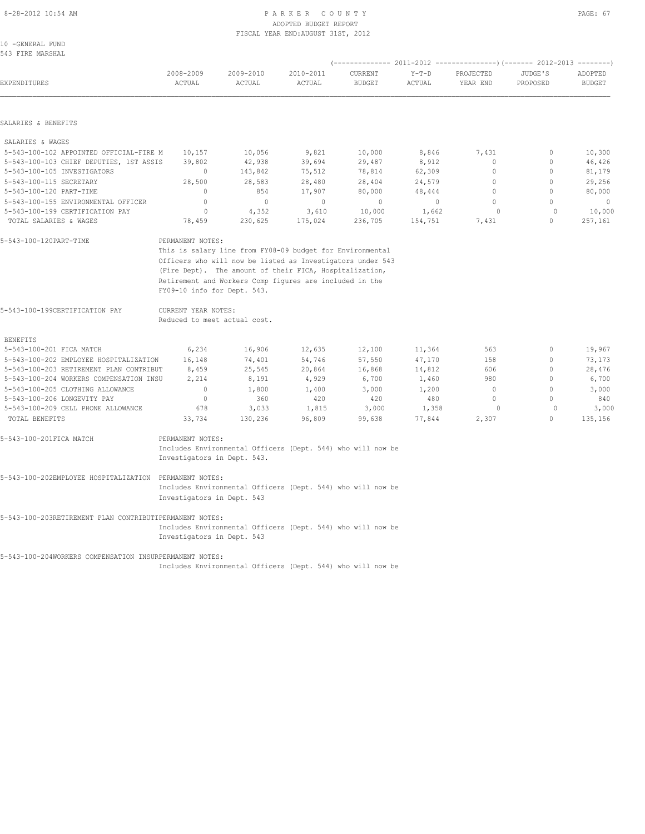# 8-28-2012 10:54 AM P A R K E R C O U N T Y PAGE: 67

|                                                |                                                         |                                                            | ADOPTED BUDGET REPORT              |                          |                   |                       |                     |                          |  |
|------------------------------------------------|---------------------------------------------------------|------------------------------------------------------------|------------------------------------|--------------------------|-------------------|-----------------------|---------------------|--------------------------|--|
|                                                |                                                         |                                                            | FISCAL YEAR END: AUGUST 31ST, 2012 |                          |                   |                       |                     |                          |  |
| 10 -GENERAL FUND                               |                                                         |                                                            |                                    |                          |                   |                       |                     |                          |  |
| 543 FIRE MARSHAL                               |                                                         |                                                            |                                    |                          |                   |                       |                     |                          |  |
|                                                |                                                         |                                                            |                                    |                          |                   |                       |                     |                          |  |
| <b>EXPENDITURES</b>                            | 2008-2009<br>ACTUAL                                     | 2009-2010<br>ACTUAL                                        | 2010-2011<br>ACTUAL                | CURRENT<br><b>BUDGET</b> | $Y-T-D$<br>ACTUAL | PROJECTED<br>YEAR END | JUDGE'S<br>PROPOSED | ADOPTED<br><b>BUDGET</b> |  |
|                                                |                                                         |                                                            |                                    |                          |                   |                       |                     |                          |  |
| SALARIES & BENEFITS                            |                                                         |                                                            |                                    |                          |                   |                       |                     |                          |  |
| SALARIES & WAGES                               |                                                         |                                                            |                                    |                          |                   |                       |                     |                          |  |
| 5-543-100-102 APPOINTED OFFICIAL-FIRE M        | 10,157                                                  | 10,056                                                     | 9,821                              | 10,000                   | 8,846             | 7,431                 | $\circ$             | 10,300                   |  |
| 5-543-100-103 CHIEF DEPUTIES, 1ST ASSIS 39,802 |                                                         | 42,938                                                     | 39,694                             | 29,487                   | 8,912             | $\circ$               | $\circ$             | 46,426                   |  |
| 5-543-100-105 INVESTIGATORS                    | $\Omega$                                                | 143,842                                                    |                                    | 75,512 78,814 62,309     |                   | $\Omega$              | $\Omega$            | 81,179                   |  |
| 5-543-100-115 SECRETARY                        | 28,500                                                  | 28,583                                                     |                                    | 28,480 28,404 24,579     |                   | $\circ$               | $\circ$             | 29,256                   |  |
| 5-543-100-120 PART-TIME                        | $\Omega$                                                | 854                                                        | 17,907 80,000                      |                          | 48,444            | $\Omega$              | $\Omega$            | 80,000                   |  |
| 5-543-100-155 ENVIRONMENTAL OFFICER            | $\circ$                                                 | $\sim$ 0                                                   | $\overline{0}$                     | $\sim$ 0                 | $\overline{0}$    | $\circ$               | $\Omega$            | $\overline{0}$           |  |
| 5-543-100-199 CERTIFICATION PAY                | $\circ$                                                 | 4,352                                                      | 3,610                              | 10,000 1,662             |                   | $\Omega$              | $\Omega$            | 10,000                   |  |
| TOTAL SALARIES & WAGES                         | 78,459                                                  |                                                            | 230,625 175,024                    | 236,705                  | 154,751           | 7,431                 | $\Omega$            | 257,161                  |  |
| 5-543-100-120PART-TIME                         | PERMANENT NOTES:                                        |                                                            |                                    |                          |                   |                       |                     |                          |  |
|                                                |                                                         | This is salary line from FY08-09 budget for Environmental  |                                    |                          |                   |                       |                     |                          |  |
|                                                |                                                         | Officers who will now be listed as Investigators under 543 |                                    |                          |                   |                       |                     |                          |  |
|                                                | (Fire Dept). The amount of their FICA, Hospitalization, |                                                            |                                    |                          |                   |                       |                     |                          |  |
|                                                |                                                         | Retirement and Workers Comp figures are included in the    |                                    |                          |                   |                       |                     |                          |  |
|                                                | FY09-10 info for Dept. 543.                             |                                                            |                                    |                          |                   |                       |                     |                          |  |
| 5-543-100-199CERTIFICATION PAY                 | CURRENT YEAR NOTES:                                     |                                                            |                                    |                          |                   |                       |                     |                          |  |
|                                                | Reduced to meet actual cost.                            |                                                            |                                    |                          |                   |                       |                     |                          |  |

BENEFITS

| 5-543-100-201 FICA MATCH                | 6,234  | 16,906  | 12,635 | 12,100 | 11,364 | 563   | 19,967  |
|-----------------------------------------|--------|---------|--------|--------|--------|-------|---------|
| 5-543-100-202 EMPLOYEE HOSPITALIZATION  | 16,148 | 74,401  | 54,746 | 57,550 | 47,170 | 158   | 73,173  |
| 5-543-100-203 RETIREMENT PLAN CONTRIBUT | 8,459  | 25,545  | 20,864 | 16,868 | 14,812 | 606   | 28,476  |
| 5-543-100-204 WORKERS COMPENSATION INSU | 2,214  | 8,191   | 4,929  | 6,700  | 1,460  | 980   | 6,700   |
| 5-543-100-205 CLOTHING ALLOWANCE        |        | .800    | 1,400  | 3,000  | 1,200  |       | 3,000   |
| 5-543-100-206 LONGEVITY PAY             |        | 360     | 420    | 420    | 480    |       | 840     |
| 5-543-100-209 CELL PHONE ALLOWANCE      | 678    | 3,033   | 1,815  | 3,000  | 1,358  |       | 3,000   |
| TOTAL BENEFITS                          | 33,734 | 130,236 | 96,809 | 99,638 | 77.844 | 2,307 | 135,156 |

## 5-543-100-201FICA MATCH PERMANENT NOTES: Includes Environmental Officers (Dept. 544) who will now be Investigators in Dept. 543.

### 5-543-100-202EMPLOYEE HOSPITALIZATION PERMANENT NOTES: Includes Environmental Officers (Dept. 544) who will now be Investigators in Dept. 543

#### 5-543-100-203RETIREMENT PLAN CONTRIBUTIPERMANENT NOTES: Includes Environmental Officers (Dept. 544) who will now be Investigators in Dept. 543

5-543-100-204WORKERS COMPENSATION INSURPERMANENT NOTES:

Includes Environmental Officers (Dept. 544) who will now be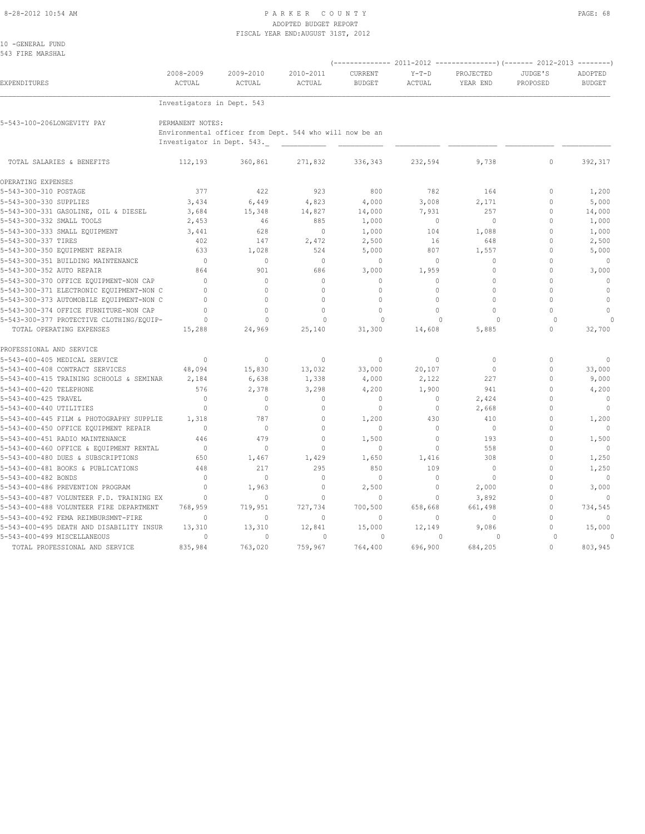#### 8-28-2012 10:54 AM P A R K E R C O U N T Y PAGE: 68 ADOPTED BUDGET REPORT FISCAL YEAR END:AUGUST 31ST, 2012

| 10 -GENERAL FUND<br>543 FIRE MARSHAL     |                                                |                                                         |                     |                          |                   |                       |                     |                          |
|------------------------------------------|------------------------------------------------|---------------------------------------------------------|---------------------|--------------------------|-------------------|-----------------------|---------------------|--------------------------|
| EXPENDITURES                             | 2008-2009<br>ACTUAL                            | 2009-2010<br>ACTUAL                                     | 2010-2011<br>ACTUAL | CURRENT<br><b>BUDGET</b> | $Y-T-D$<br>ACTUAL | PROJECTED<br>YEAR END | JUDGE'S<br>PROPOSED | ADOPTED<br><b>BUDGET</b> |
|                                          | Investigators in Dept. 543                     |                                                         |                     |                          |                   |                       |                     |                          |
| 5-543-100-206LONGEVITY PAY               | PERMANENT NOTES:<br>Investigator in Dept. 543. | Environmental officer from Dept. 544 who will now be an |                     |                          |                   |                       |                     |                          |
| TOTAL SALARIES & BENEFITS                | 112,193                                        | 360,861                                                 | 271,832             | 336,343                  | 232,594           | 9,738                 | $\circ$             | 392,317                  |
| OPERATING EXPENSES                       |                                                |                                                         |                     |                          |                   |                       |                     |                          |
| 5-543-300-310 POSTAGE                    | 377                                            | 422                                                     | 923                 | 800                      | 782               | 164                   | $\mathbf{0}$        | 1,200                    |
| 5-543-300-330 SUPPLIES                   | 3,434                                          | 6,449                                                   | 4,823               | 4,000                    | 3,008             | 2,171                 | $\Omega$            | 5,000                    |
| 5-543-300-331 GASOLINE, OIL & DIESEL     | 3,684                                          | 15,348                                                  | 14,827              | 14,000                   | 7,931             | 257                   | $\mathbf{0}$        | 14,000                   |
| 5-543-300-332 SMALL TOOLS                | 2,453                                          | 46                                                      | 885                 | 1,000                    | $\circ$           | $\Omega$              | $\Omega$            | 1,000                    |
| 5-543-300-333 SMALL EQUIPMENT            | 3,441                                          | 628                                                     | $\mathbf{0}$        | 1,000                    | 104               | 1,088                 | $\Omega$            | 1,000                    |
| 5-543-300-337 TIRES                      | 402                                            | 147                                                     | 2,472               | 2,500                    | 16                | 648                   | $\mathbf{0}$        | 2,500                    |
| 5-543-300-350 EQUIPMENT REPAIR           | 633                                            | 1,028                                                   | 524                 | 5,000                    | 807               | 1,557                 | $\Omega$            | 5,000                    |
| 5-543-300-351 BUILDING MAINTENANCE       | $\Omega$                                       | $\Omega$                                                | $\Omega$            | $\Omega$                 | $\Omega$          | $\Omega$              | $\Omega$            | $\mathbf{0}$             |
| 5-543-300-352 AUTO REPAIR                | 864                                            | 901                                                     | 686                 | 3,000                    | 1,959             | $\Omega$              | $\Omega$            | 3,000                    |
| 5-543-300-370 OFFICE EQUIPMENT-NON CAP   | $\Omega$                                       | $\Omega$                                                | $\Omega$            | $\Omega$                 | $\Omega$          | $\Omega$              | $\Omega$            | $\mathbf{0}$             |
| 5-543-300-371 ELECTRONIC EQUIPMENT-NON C | $\Omega$                                       | $\Omega$                                                | $\mathbf{0}$        | $\circ$                  | $\circ$           | $\theta$              | $\Omega$            | $\mathbf{0}$             |
| 5-543-300-373 AUTOMOBILE EQUIPMENT-NON C | $\Omega$                                       | $\Omega$                                                | $\Omega$            | $\mathbf{0}$             | $\Omega$          | $\Omega$              | $\Omega$            | $\mathbf{0}$             |
| 5-543-300-374 OFFICE FURNITURE-NON CAP   | $\mathbf{0}$                                   | $\Omega$                                                | $\Omega$            | $\circ$                  | $\Omega$          | $\Omega$              | $\Omega$            | $\mathbf{0}$             |
| 5-543-300-377 PROTECTIVE CLOTHING/EQUIP- | $\Omega$                                       | $\Omega$                                                | $\Omega$            | $\Omega$                 | $\Omega$          | $\Omega$              | $\Omega$            |                          |
| TOTAL OPERATING EXPENSES                 | 15,288                                         | 24,969                                                  | 25,140              | 31,300                   | 14,608            | 5,885                 | $\Omega$            | 32,700                   |
| PROFESSIONAL AND SERVICE                 |                                                |                                                         |                     |                          |                   |                       |                     |                          |
| 5-543-400-405 MEDICAL SERVICE            | $\Omega$                                       | $\Omega$                                                | $\Omega$            | $\mathbf{0}$             | $\circ$           | $\Omega$              | $\Omega$            | $\Omega$                 |
| 5-543-400-408 CONTRACT SERVICES          | 48,094                                         | 15,830                                                  | 13,032              | 33,000                   | 20,107            | $\mathbf{0}$          | $\mathbf{0}$        | 33,000                   |
| 5-543-400-415 TRAINING SCHOOLS & SEMINAR | 2,184                                          | 6,638                                                   | 1,338               | 4,000                    | 2,122             | 227                   | $\mathbf{0}$        | 9,000                    |
| 5-543-400-420 TELEPHONE                  | 576                                            | 2,378                                                   | 3,298               | 4,200                    | 1,900             | 941                   | $\Omega$            | 4,200                    |
| 5-543-400-425 TRAVEL                     | $\mathbf{0}$                                   | $\mathbf{0}$                                            | $\mathbf{0}$        | $\mathbf{0}$             | $\circ$           | 2,424                 | $\Omega$            | $\mathbf{0}$             |
| 5-543-400-440 UTILITIES                  | $\mathbf{0}$                                   | $\mathbf{0}$                                            | $\mathbf{0}$        | 0                        | 0                 | 2,668                 | $\mathbf{0}$        | $\mathbf{0}$             |
| 5-543-400-445 FILM & PHOTOGRAPHY SUPPLIE | 1,318                                          | 787                                                     | $\Omega$            | 1,200                    | 430               | 410                   | $\mathbf{0}$        | 1,200                    |
| 5-543-400-450 OFFICE EQUIPMENT REPAIR    | $\mathbf{0}$                                   | $\mathbf{0}$                                            | $\Omega$            | $\mathbf{0}$             | 0                 | 0                     | $\Omega$            | $\mathbf{0}$             |
| 5-543-400-451 RADIO MAINTENANCE          | 446                                            | 479                                                     | $\Omega$            | 1,500                    | $\Omega$          | 193                   | $\cap$              | 1,500                    |
| 5-543-400-460 OFFICE & EQUIPMENT RENTAL  | $\mathbf{0}$                                   | $\mathbf{0}$                                            | $\mathbf{0}$        | $\mathbf{0}$             | $\circ$           | 558                   | $\Omega$            | $\mathbf{0}$             |
| 5-543-400-480 DUES & SUBSCRIPTIONS       | 650                                            | 1,467                                                   | 1,429               | 1,650                    | 1,416             | 308                   | $\Omega$            | 1,250                    |
| 5-543-400-481 BOOKS & PUBLICATIONS       | 448                                            | 217                                                     | 295                 | 850                      | 109               | $\mathbf 0$           | $\mathbf{0}$        | 1,250                    |
| 5-543-400-482 BONDS                      | $\Omega$                                       | $\Omega$                                                | $\Omega$            | $\Omega$                 | $\Omega$          | $\Omega$              | $\Omega$            | $\mathbf{0}$             |
| 5-543-400-486 PREVENTION PROGRAM         | $\mathbf{0}$                                   | 1,963                                                   | $\mathbf{0}$        | 2,500                    | $\circ$           | 2,000                 | $\Omega$            | 3,000                    |
| 5-543-400-487 VOLUNTEER F.D. TRAINING EX | $\mathbf{0}$                                   | $\Omega$                                                | $\mathbf{0}$        | $\mathbf{0}$             | $\circ$           | 3,892                 | $\Omega$            | $\Omega$                 |
| 5-543-400-488 VOLUNTEER FIRE DEPARTMENT  | 768,959                                        | 719,951                                                 | 727,734             | 700,500                  | 658,668           | 661,498               | $\Omega$            | 734,545                  |
| 5-543-400-492 FEMA REIMBURSMNT-FIRE      | $\Omega$                                       | $\Omega$                                                | $\Omega$            | $\mathbf{0}$             | $\Omega$          | $\Omega$              | $\Omega$            | $\mathbf{0}$             |
| 5-543-400-495 DEATH AND DISABILITY INSUR | 13,310                                         | 13,310                                                  | 12,841              | 15,000                   | 12,149            | 9,086                 | $\mathbf{0}$        | 15,000                   |
| 5-543-400-499 MISCELLANEOUS              | $\circ$                                        | $\mathbf{0}$                                            | $\circ$             | $\circ$                  | $\Omega$          | $\Omega$              | $\Omega$            | $\circ$                  |
| TOTAL PROFESSIONAL AND SERVICE           | 835,984                                        | 763,020                                                 | 759,967             | 764,400                  | 696,900           | 684,205               | $\Omega$            | 803,945                  |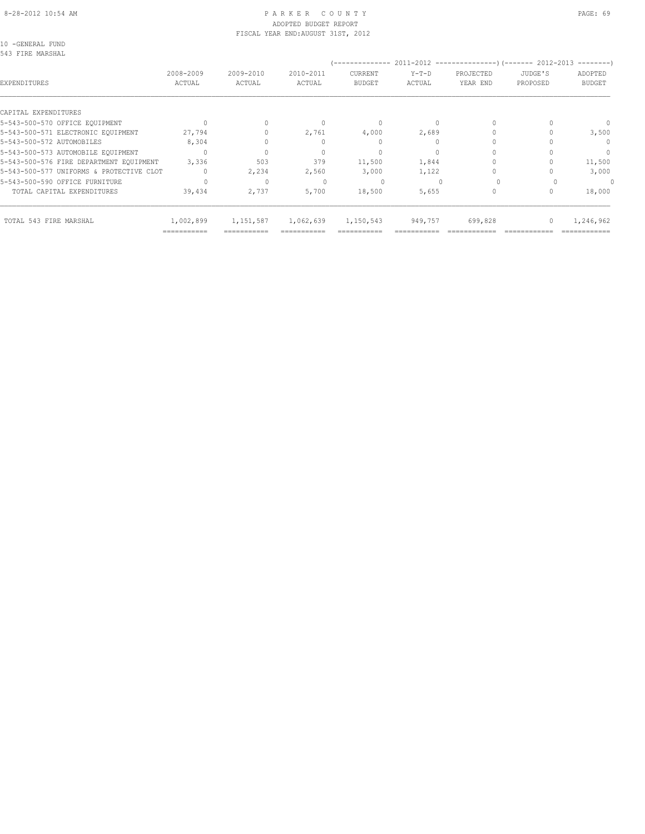#### 8-28-2012 10:54 AM P A R K E R C O U N T Y PAGE: 69 ADOPTED BUDGET REPORT FISCAL YEAR END:AUGUST 31ST, 2012

10 -GENERAL FUND 543 FIRE MARSHAL

| U40 FIRE MARONAL                         |                     |                     |                     | --------------           |                   | 2011-2012 -----------------) (------- 2012-2013 |                     | $------$                         |
|------------------------------------------|---------------------|---------------------|---------------------|--------------------------|-------------------|-------------------------------------------------|---------------------|----------------------------------|
| EXPENDITURES                             | 2008-2009<br>ACTUAL | 2009-2010<br>ACTUAL | 2010-2011<br>ACTUAL | CURRENT<br><b>BUDGET</b> | $Y-T-D$<br>ACTUAL | PROJECTED<br>YEAR END                           | JUDGE'S<br>PROPOSED | ADOPTED<br><b>BUDGET</b>         |
| CAPITAL EXPENDITURES                     |                     |                     |                     |                          |                   |                                                 |                     |                                  |
| 5-543-500-570 OFFICE EQUIPMENT           | $\bigcap$           |                     |                     | $\bigcap$                |                   |                                                 |                     | $\cap$                           |
| 5-543-500-571 ELECTRONIC EOUIPMENT       | 27,794              |                     | 2,761               | 4,000                    | 2,689             |                                                 |                     | 3,500                            |
| 5-543-500-572 AUTOMOBILES                | 8,304               |                     |                     | $\cup$                   |                   |                                                 |                     | 0                                |
| 5-543-500-573 AUTOMOBILE EQUIPMENT       | $\cap$              | $\Omega$            |                     | $\Omega$                 |                   |                                                 |                     | $\begin{array}{c} \n\end{array}$ |
| 5-543-500-576 FIRE DEPARTMENT EQUIPMENT  | 3,336               | 503                 | 379                 | 11,500                   | 1,844             |                                                 |                     | 11,500                           |
| 5-543-500-577 UNIFORMS & PROTECTIVE CLOT |                     | 2,234               | 2,560               | 3,000                    | 1,122             |                                                 |                     | 3,000                            |
| 5-543-500-590 OFFICE FURNITURE           |                     | $\Omega$            |                     | $\Omega$                 |                   |                                                 |                     |                                  |
| TOTAL CAPITAL EXPENDITURES               | 39,434              | 2,737               | 5,700               | 18,500                   | 5,655             |                                                 |                     | 18,000                           |
| TOTAL 543 FIRE MARSHAL                   | 1,002,899           | 1,151,587           | 1,062,639           | 1,150,543                | 949,757           | 699,828                                         |                     | 1,246,962                        |
|                                          | ===========         |                     |                     |                          |                   |                                                 |                     |                                  |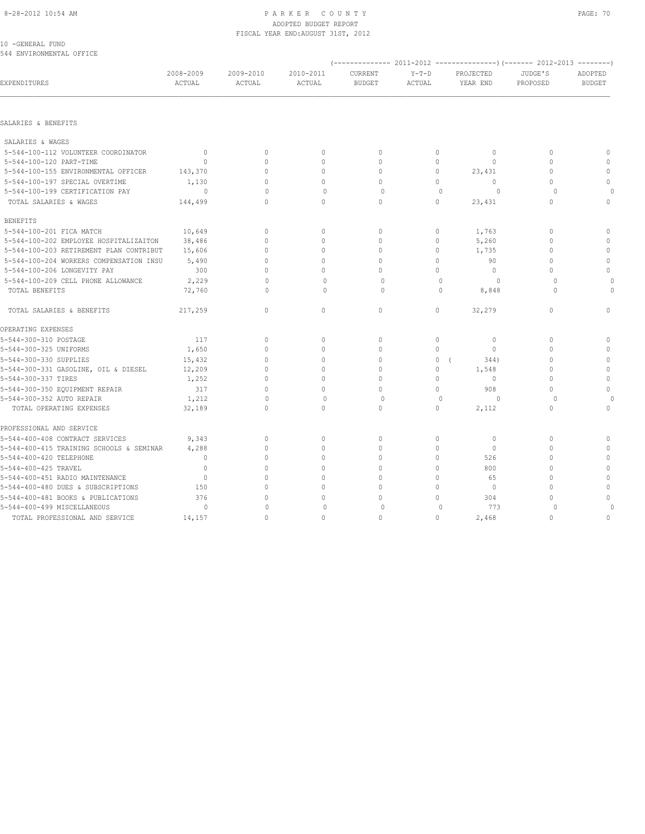#### 8-28-2012 10:54 AM PAGE: 70 ADOPTED BUDGET REPORT FISCAL YEAR END:AUGUST 31ST, 2012

10 -GENERAL FUND 544 ENVIRONMENTAL OFFICE

| EXPENDITURES                             | 2008-2009<br>ACTUAL | 2009-2010<br>ACTUAL | 2010-2011<br>ACTUAL | CURRENT<br><b>BUDGET</b> | $Y-T-D$<br>ACTUAL | PROJECTED<br>YEAR END | JUDGE'S<br>PROPOSED              | ADOPTED<br><b>BUDGET</b> |
|------------------------------------------|---------------------|---------------------|---------------------|--------------------------|-------------------|-----------------------|----------------------------------|--------------------------|
|                                          |                     |                     |                     |                          |                   |                       |                                  |                          |
| SALARIES & BENEFITS                      |                     |                     |                     |                          |                   |                       |                                  |                          |
| SALARIES & WAGES                         |                     |                     |                     |                          |                   |                       |                                  |                          |
| 5-544-100-112 VOLUNTEER COORDINATOR      | $\Omega$            | $\Omega$            | $\mathbf{0}$        | $\mathbf{0}$             | 0                 | $\Omega$              | $\begin{array}{c} \n\end{array}$ | $\mathbf{0}$             |
| 5-544-100-120 PART-TIME                  | $\Omega$            | $\Omega$            | $\Omega$            | $\mathbf{0}$             | $\circ$           | $\Omega$              | $\Omega$                         | $\mathbb O$              |
| 5-544-100-155 ENVIRONMENTAL OFFICER      | 143,370             | $\circ$             | $\mathbf{0}$        | $\mathbf{0}$             | $\circ$           | 23,431                | 0                                | $\mathbf 0$              |
| 5-544-100-197 SPECIAL OVERTIME           | 1,130               | $\Omega$            | $\circ$             | $\circ$                  | $\mathbf 0$       | $\Omega$              | $\Omega$                         | $\mathbf{0}$             |
| 5-544-100-199 CERTIFICATION PAY          | $\Omega$            | $\Omega$            | $\mathbf{0}$        | $\circ$                  | $\mathbf{0}$      | $\circ$               | $\Omega$                         |                          |
| TOTAL SALARIES & WAGES                   | 144,499             | $\Omega$            | $\Omega$            | $\Omega$                 | $\circ$           | 23,431                | $\Omega$                         | $\mathbf{0}$             |
| <b>BENEFITS</b>                          |                     |                     |                     |                          |                   |                       |                                  |                          |
| 5-544-100-201 FICA MATCH                 | 10,649              | $\Omega$            | $\mathbf{0}$        | $\circ$                  | $\circ$           | 1,763                 | $\Omega$                         | $\mathbf{0}$             |
| 5-544-100-202 EMPLOYEE HOSPITALIZAITON   | 38,486              | $\circ$             | $\mathbf{0}$        | $\mathbf{0}$             | $\circ$           | 5,260                 | $\Omega$                         | $\circ$                  |
| 5-544-100-203 RETIREMENT PLAN CONTRIBUT  | 15,606              | $\Omega$            | $\mathbf{0}$        | $\mathbf{0}$             | $\circ$           | 1,735                 | $\Omega$                         | $\mathbf{0}$             |
| 5-544-100-204 WORKERS COMPENSATION INSU  | 5,490               | $\Omega$            | $\mathbf{0}$        | $\mathbf{0}$             | $\circ$           | 90                    | $\Omega$                         | $\mathbb O$              |
| 5-544-100-206 LONGEVITY PAY              | 300                 | $\Omega$            | $\Omega$            | $\Omega$                 | $\Omega$          | $\Omega$              | $\Omega$                         | $\mathbf{0}$             |
| 5-544-100-209 CELL PHONE ALLOWANCE       | 2,229               | $\Omega$            | $\circ$             | $\circ$                  | $\mathbf{0}$      | $\circ$               | $\circ$                          | $\circ$                  |
| TOTAL BENEFITS                           | 72,760              | $\Omega$            | $\Omega$            | $\Omega$                 | $\Omega$          | 8,848                 | $\Omega$                         | $\Omega$                 |
| TOTAL SALARIES & BENEFITS                | 217,259             | $\circ$             | $\circ$             | $\circ$                  | 0                 | 32,279                | $\mathbf{0}$                     | $\circ$                  |
| OPERATING EXPENSES                       |                     |                     |                     |                          |                   |                       |                                  |                          |
| 5-544-300-310 POSTAGE                    | 117                 | $\circ$             | $\mathbf{0}$        | $\mathbf{0}$             | $\circ$           | $\circ$               | 0                                | $\mathbf{0}$             |
| 5-544-300-325 UNIFORMS                   | 1,650               | $\circ$             | $\mathbf{0}$        | $\mathbf{0}$             | $\mathbf 0$       | $\circ$               | $\Omega$                         | $\mathbb O$              |
| 5-544-300-330 SUPPLIES                   | 15,432              | $\Omega$            | $\Omega$            | $\Omega$                 | $\circ$           | 344)                  | $\Omega$                         | $\mathbf{0}$             |
| 5-544-300-331 GASOLINE, OIL & DIESEL     | 12,209              | $\Omega$            | $\mathbf{0}$        | $\mathbf{0}$             | $\circ$           | 1,548                 | $\Omega$                         | $\mathbb O$              |
| 5-544-300-337 TIRES                      | 1,252               | $\circ$             | $\mathbf{0}$        | $\mathbf{0}$             | $\circ$           | $\circ$               | 0                                | $\mathbb O$              |
| 5-544-300-350 EQUIPMENT REPAIR           | 317                 | $\Omega$            | $\Omega$            | $\Omega$                 | $\Omega$          | 908                   | $\Omega$                         | $\circ$                  |
| 5-544-300-352 AUTO REPAIR                | 1,212               | $\Omega$            | $\mathbf{0}$        | $\circ$                  | $\mathbf{0}$      | $\circ$               | $\circ$                          | $\bigcap$                |
| TOTAL OPERATING EXPENSES                 | 32,189              | $\Omega$            | $\Omega$            | $\Omega$                 | $\Omega$          | 2,112                 | $\Omega$                         | $\mathbf{0}$             |
| PROFESSIONAL AND SERVICE                 |                     |                     |                     |                          |                   |                       |                                  |                          |
| 5-544-400-408 CONTRACT SERVICES          | 9,343               | $\circ$             | $\mathbf 0$         | $\mathbf{0}$             | $\circ$           | $\circ$               | 0                                | $\mathbf{0}$             |
| 5-544-400-415 TRAINING SCHOOLS & SEMINAR | 4,288               | $\circ$             | $\mathbf{0}$        | $\mathbf{0}$             | $\circ$           | $\circ$               | 0                                | $\mathbf 0$              |
| 5-544-400-420 TELEPHONE                  | $\mathbf{0}$        | $\Omega$            | $\circ$             | $\mathbf{0}$             | $\mathbf 0$       | 526                   | $\Omega$                         | $\circ$                  |
| 5-544-400-425 TRAVEL                     | $\mathbf{0}$        | $\Omega$            | $\mathbf{0}$        | $\mathbf{0}$             | $\circ$           | 800                   | $\Omega$                         | $\mathbb O$              |
| 5-544-400-451 RADIO MAINTENANCE          | $\Omega$            | U                   | $\Omega$            | $\Omega$                 | $\Omega$          | 65                    | $\Omega$                         | $\mathbf{0}$             |
| 5-544-400-480 DUES & SUBSCRIPTIONS       | 150                 | $\Omega$            | $\mathbf{0}$        | $\mathbf{0}$             | $\mathbf 0$       | $\circ$               | $\Omega$                         | $\circ$                  |
| 5-544-400-481 BOOKS & PUBLICATIONS       | 376                 | $\Omega$            | $\mathbf{0}$        | $\Omega$                 | $\circ$           | 304                   | 0                                | $\mathbb O$              |
| 5-544-400-499 MISCELLANEOUS              | $\circ$             | $\Omega$            | $\mathbf{0}$        | $\circ$                  | $\mathbf{0}$      | 773                   | $\circ$                          |                          |
| TOTAL PROFESSIONAL AND SERVICE           | 14,157              | $\Omega$            | $\Omega$            | $\mathbf{0}$             | $\mathbf 0$       | 2,468                 | $\Omega$                         | $\mathbf{0}$             |
|                                          |                     |                     |                     |                          |                   |                       |                                  |                          |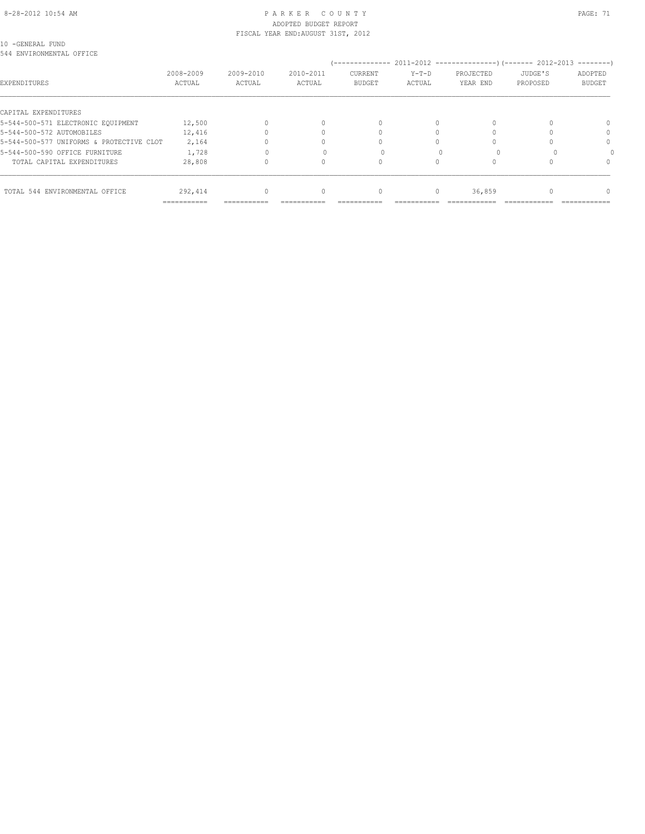#### 8-28-2012 10:54 AM P A R K E R C O U N T Y PAGE: 71 ADOPTED BUDGET REPORT FISCAL YEAR END:AUGUST 31ST, 2012

10 -GENERAL FUND 544 ENVIRONMENTAL OFFICE

| YII DINYINONNIBINIALI OFFICB             |                                      |                         |                     |                                            |                   |                       |                                                                        |                                       |
|------------------------------------------|--------------------------------------|-------------------------|---------------------|--------------------------------------------|-------------------|-----------------------|------------------------------------------------------------------------|---------------------------------------|
| EXPENDITURES                             | 2008-2009<br>ACTUAL                  | 2009-2010<br>ACTUAL     | 2010-2011<br>ACTUAL | --------------<br>CURRENT<br><b>BUDGET</b> | $Y-T-D$<br>ACTUAL | PROJECTED<br>YEAR END | 2011-2012 -----------------) (------- 2012-2013<br>JUDGE'S<br>PROPOSED | ---------<br>ADOPTED<br><b>BUDGET</b> |
| CAPITAL EXPENDITURES                     |                                      |                         |                     |                                            |                   |                       |                                                                        |                                       |
| 5-544-500-571 ELECTRONIC EQUIPMENT       | 12,500                               |                         |                     | $\cap$                                     |                   | U                     |                                                                        | $\Omega$                              |
| 5-544-500-572 AUTOMOBILES                | 12,416                               |                         |                     |                                            |                   |                       |                                                                        |                                       |
| 5-544-500-577 UNIFORMS & PROTECTIVE CLOT | 2,164                                |                         |                     |                                            |                   |                       |                                                                        | $\Omega$                              |
| 5-544-500-590 OFFICE FURNITURE           | 1,728                                |                         |                     |                                            |                   |                       |                                                                        |                                       |
| TOTAL CAPITAL EXPENDITURES               | 28,808                               |                         |                     |                                            |                   |                       |                                                                        | $\Omega$                              |
|                                          |                                      |                         |                     |                                            |                   |                       |                                                                        |                                       |
| TOTAL 544 ENVIRONMENTAL OFFICE           | 292,414<br>$=$ = = = = = = = = = = = | $\Omega$<br>=========== |                     | $\Omega$                                   | $\Omega$          | 36,859                |                                                                        |                                       |
|                                          |                                      |                         | ----------          | ----------                                 |                   | -----------           |                                                                        | ------------                          |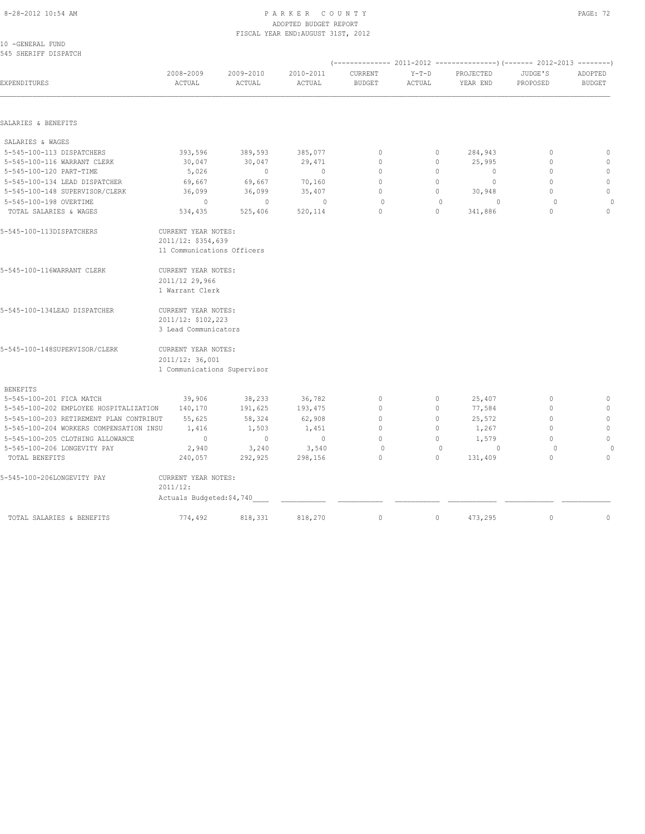#### 8-28-2012 10:54 AM P A R K E R C O U N T Y PAGE: 72 ADOPTED BUDGET REPORT FISCAL YEAR END:AUGUST 31ST, 2012

| 10 -GENERAL FUND<br>545 SHERIFF DISPATCH |                             |                     |                     |                          |                   |                       |                     |                          |
|------------------------------------------|-----------------------------|---------------------|---------------------|--------------------------|-------------------|-----------------------|---------------------|--------------------------|
| EXPENDITURES                             | 2008-2009<br>ACTUAL         | 2009-2010<br>ACTUAL | 2010-2011<br>ACTUAL | CURRENT<br><b>BUDGET</b> | $Y-T-D$<br>ACTUAL | PROJECTED<br>YEAR END | JUDGE'S<br>PROPOSED | ADOPTED<br><b>BUDGET</b> |
|                                          |                             |                     |                     |                          |                   |                       |                     |                          |
| SALARIES & BENEFITS                      |                             |                     |                     |                          |                   |                       |                     |                          |
| SALARIES & WAGES                         |                             |                     |                     |                          |                   |                       |                     |                          |
| 5-545-100-113 DISPATCHERS                | 393,596                     | 389,593             | 385,077             | $\mathbb O$              | 0                 | 284,943               | 0                   | $\mathbb O$              |
| 5-545-100-116 WARRANT CLERK              | 30,047                      | 30,047              | 29,471              | $\mathbf{0}$             | 0                 | 25,995                | $\mathbf{0}$        | $\mathbf{0}$             |
| 5-545-100-120 PART-TIME                  | 5,026                       | $\circ$             | $\circ$             | $\circ$                  | 0                 | $\circ$               | $\mathbf{0}$        | $\mathbb O$              |
| 5-545-100-134 LEAD DISPATCHER            | 69,667                      | 69,667              | 70,160              | $\mathbf{0}$             | $\circ$           | $\circ$               | $\mathbf{0}$        | $\mathbf{0}$             |
| 5-545-100-148 SUPERVISOR/CLERK           | 36,099                      | 36,099              | 35,407              | $\Omega$                 | 0                 | 30,948                | $\Omega$            | $\mathbb O$              |
| 5-545-100-198 OVERTIME                   | $\circ$                     | $\mathbf{0}$        | $\mathbf{0}$        | $\circ$                  | $\mathbf{0}$      | $\Omega$              | $\circ$             | $\Omega$                 |
| TOTAL SALARIES & WAGES                   | 534,435                     | 525,406             | 520,114             | $\Omega$                 | $\Omega$          | 341,886               | $\Omega$            | $\Omega$                 |
| 5-545-100-113DISPATCHERS                 | CURRENT YEAR NOTES:         |                     |                     |                          |                   |                       |                     |                          |
|                                          | 2011/12: \$354,639          |                     |                     |                          |                   |                       |                     |                          |
|                                          | 11 Communications Officers  |                     |                     |                          |                   |                       |                     |                          |
| 5-545-100-116WARRANT CLERK               | CURRENT YEAR NOTES:         |                     |                     |                          |                   |                       |                     |                          |
|                                          | 2011/12 29,966              |                     |                     |                          |                   |                       |                     |                          |
|                                          | 1 Warrant Clerk             |                     |                     |                          |                   |                       |                     |                          |
| 5-545-100-134LEAD DISPATCHER             | CURRENT YEAR NOTES:         |                     |                     |                          |                   |                       |                     |                          |
|                                          | 2011/12: \$102,223          |                     |                     |                          |                   |                       |                     |                          |
|                                          | 3 Lead Communicators        |                     |                     |                          |                   |                       |                     |                          |
| 5-545-100-148SUPERVISOR/CLERK            | CURRENT YEAR NOTES:         |                     |                     |                          |                   |                       |                     |                          |
|                                          | 2011/12: 36,001             |                     |                     |                          |                   |                       |                     |                          |
|                                          | 1 Communications Supervisor |                     |                     |                          |                   |                       |                     |                          |
| <b>BENEFITS</b>                          |                             |                     |                     |                          |                   |                       |                     |                          |
| 5-545-100-201 FICA MATCH                 | 39,906                      | 38,233              | 36,782              | $\mathbf{0}$             | 0                 | 25,407                | $\mathbf{0}$        | $\circ$                  |
| 5-545-100-202 EMPLOYEE HOSPITALIZATION   | 140,170                     | 191,625             | 193,475             | $\mathbf{0}$             | 0                 | 77,584                | $\mathbf{0}$        | $\mathbf{0}$             |
| 5-545-100-203 RETIREMENT PLAN CONTRIBUT  | 55,625                      | 58,324              | 62,908              | $\mathbf{0}$             | $\circ$           | 25,572                | $\mathbf{0}$        | $\mathbb O$              |
| 5-545-100-204 WORKERS COMPENSATION INSU  | 1,416                       | 1,503               | 1,451               | $\Omega$                 | $\circ$           | 1,267                 | $\Omega$            | $\mathbb O$              |
| 5-545-100-205 CLOTHING ALLOWANCE         | $\mathbf 0$                 | $\mathbf{0}$        | $\circ$             | $\mathbf{0}$             | $\circ$           | 1,579                 | $\mathbf{0}$        | $\mathbb O$              |
| 5-545-100-206 LONGEVITY PAY              | 2,940                       | 3,240               | 3,540               | $\circ$                  | $\mathbf{0}$      | $\circ$               | $\Omega$            |                          |
| TOTAL BENEFITS                           | 240,057                     | 292,925             | 298,156             | $\circ$                  | $\circ$           | 131,409               | $\circ$             | $\circ$                  |
| 5-545-100-206LONGEVITY PAY               | CURRENT YEAR NOTES:         |                     |                     |                          |                   |                       |                     |                          |
|                                          | 2011/12:                    |                     |                     |                          |                   |                       |                     |                          |
|                                          | Actuals Budgeted: \$4,740   |                     |                     |                          |                   |                       |                     |                          |
| TOTAL SALARIES & BENEFITS                | 774,492                     | 818,331             | 818,270             | $\mathbf{0}$             | $\circ$           | 473,295               | $\mathbf{0}$        | $\circ$                  |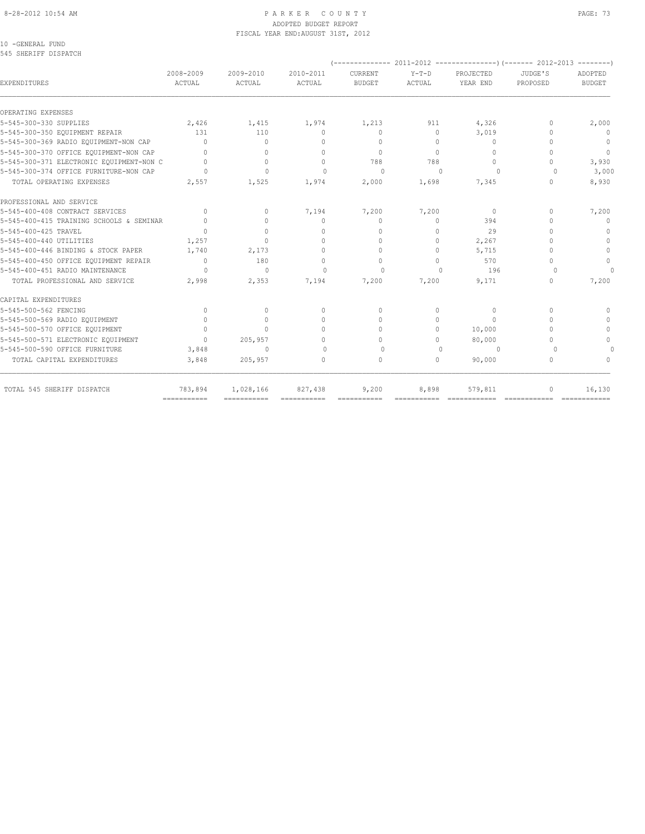#### 8-28-2012 10:54 AM PAGE: 73 ADOPTED BUDGET REPORT FISCAL YEAR END:AUGUST 31ST, 2012

10 -GENERAL FUND 545 SHERIFF DISPATCH

| <b>EXPENDITURES</b>                      | 2008-2009<br>ACTUAL              | 2009-2010<br>ACTUAL | 2010-2011<br>ACTUAL              | CURRENT<br><b>BUDGET</b>         | $Y-T-D$<br>ACTUAL | PROJECTED<br>YEAR END | JUDGE'S<br>PROPOSED              | ADOPTED<br><b>BUDGET</b> |
|------------------------------------------|----------------------------------|---------------------|----------------------------------|----------------------------------|-------------------|-----------------------|----------------------------------|--------------------------|
| OPERATING EXPENSES                       |                                  |                     |                                  |                                  |                   |                       |                                  |                          |
| 5-545-300-330 SUPPLIES                   | 2,426                            | 1,415               | 1,974                            | 1,213                            | 911               | 4,326                 | $\begin{array}{c} \n\end{array}$ | 2,000                    |
| 5-545-300-350 EQUIPMENT REPAIR           | 131                              | 110                 | $\Omega$                         | $\begin{array}{c} \n\end{array}$ | $\Omega$          | 3,019                 | $\cap$                           | $\Omega$                 |
| 5-545-300-369 RADIO EQUIPMENT-NON CAP    | $\Omega$                         | 0                   | $\cap$                           | $\Omega$                         | $\Omega$          | 0                     | $\cap$                           | $\mathbf{0}$             |
| 5-545-300-370 OFFICE EQUIPMENT-NON CAP   | $\cap$                           | $\Omega$            | $\bigcap$                        | $\Omega$                         | $\Omega$          | $\Omega$              | $\Omega$                         | $\overline{0}$           |
| 5-545-300-371 ELECTRONIC EQUIPMENT-NON C | $\bigcap$                        | $\Omega$            | $\Omega$                         | 788                              | 788               | $\mathbf{0}$          | $\bigcap$                        | 3,930                    |
| 5-545-300-374 OFFICE FURNITURE-NON CAP   | $\bigcap$                        | $\Omega$            | $\Omega$                         | $\Omega$                         | $\Omega$          | $\Omega$              | $\Omega$                         | 3,000                    |
| TOTAL OPERATING EXPENSES                 | 2,557                            | 1,525               | 1,974                            | 2,000                            | 1,698             | 7,345                 | $\Omega$                         | 8,930                    |
| PROFESSIONAL AND SERVICE                 |                                  |                     |                                  |                                  |                   |                       |                                  |                          |
| 5-545-400-408 CONTRACT SERVICES          | $\begin{array}{c} \n\end{array}$ | $\Omega$            | 7,194                            | 7,200                            | 7,200             | $\bigcap$             | $\begin{array}{c} \n\end{array}$ | 7,200                    |
| 5-545-400-415 TRAINING SCHOOLS & SEMINAR | $\begin{array}{c} \n\end{array}$ | $\Omega$            | $\begin{array}{c} \n\end{array}$ | $\mathbf{0}$                     | $\Omega$          | 394                   | $\begin{array}{c} \n\end{array}$ | $\mathbf{0}$             |
| 5-545-400-425 TRAVEL                     | $\bigcap$                        | $\Omega$            | $\mathbf{0}$                     | $\mathbf{0}$                     | $\Omega$          | 29                    | $\bigcap$                        | $\Omega$                 |
| 5-545-400-440 UTILITIES                  | 1,257                            | $\Omega$            | $\mathbf{0}$                     | $\mathbf{0}$                     | $\circ$           | 2,267                 | $\Omega$                         | $\Omega$                 |
| 5-545-400-446 BINDING & STOCK PAPER      | 1,740                            | 2,173               | $\Omega$                         | $\Omega$                         | $\bigcap$         | 5,715                 | $\cap$                           | $\Omega$                 |
| 5-545-400-450 OFFICE EQUIPMENT REPAIR    | $\Omega$                         | 180                 | $\circ$                          | $\mathbf{0}$                     | $\Omega$          | 570                   | $\bigcap$                        | $\Omega$                 |
| 5-545-400-451 RADIO MAINTENANCE          | $\bigcap$                        | $\Omega$            | $\Omega$                         | $\Omega$                         | $\bigcap$         | 196                   | $\cap$                           | $\cap$                   |
| TOTAL PROFESSIONAL AND SERVICE           | 2,998                            | 2,353               | 7,194                            | 7,200                            | 7,200             | 9,171                 | $\begin{array}{c} \n\end{array}$ | 7,200                    |
| CAPITAL EXPENDITURES                     |                                  |                     |                                  |                                  |                   |                       |                                  |                          |
| 5-545-500-562 FENCING                    | $\mathbf{0}$                     | $\circ$             | $\circ$                          | $\mathbf{0}$                     | $\circ$           | $\mathbf{0}$          | $\begin{array}{c} \n\end{array}$ |                          |
| 5-545-500-569 RADIO EQUIPMENT            | $\Omega$                         | $\circ$             | $\circ$                          | $\circ$                          | $\Omega$          | $\Omega$              | $\begin{array}{c} \n\end{array}$ | $\Omega$                 |
| 5-545-500-570 OFFICE EQUIPMENT           | $\begin{array}{c} \n\end{array}$ | $\Omega$            | $\Omega$                         | $\Omega$                         | $\Omega$          | 10,000                | $\begin{array}{c} \n\end{array}$ | $\Omega$                 |
| 5-545-500-571 ELECTRONIC EQUIPMENT       | $\begin{array}{c} \n\end{array}$ | 205,957             | $\Omega$                         | $\begin{array}{c} \n\end{array}$ | $\bigcap$         | 80,000                | $\begin{array}{c} \n\end{array}$ | $\cap$                   |
| 5-545-500-590 OFFICE FURNITURE           | 3,848                            | $\Omega$            | $\Omega$                         | $\Omega$                         | $\Omega$          | $\Omega$              | $\Omega$                         |                          |
| TOTAL CAPITAL EXPENDITURES               | 3,848                            | 205,957             | $\Omega$                         | $\mathbf{0}$                     | $\Omega$          | 90,000                | $\Omega$                         | $\cap$                   |
| TOTAL 545 SHERIFF DISPATCH               | 783,894                          | 1,028,166           | 827,438                          | 9,200                            | 8,898             | 579,811               | $\mathbf{0}$                     | 16,130                   |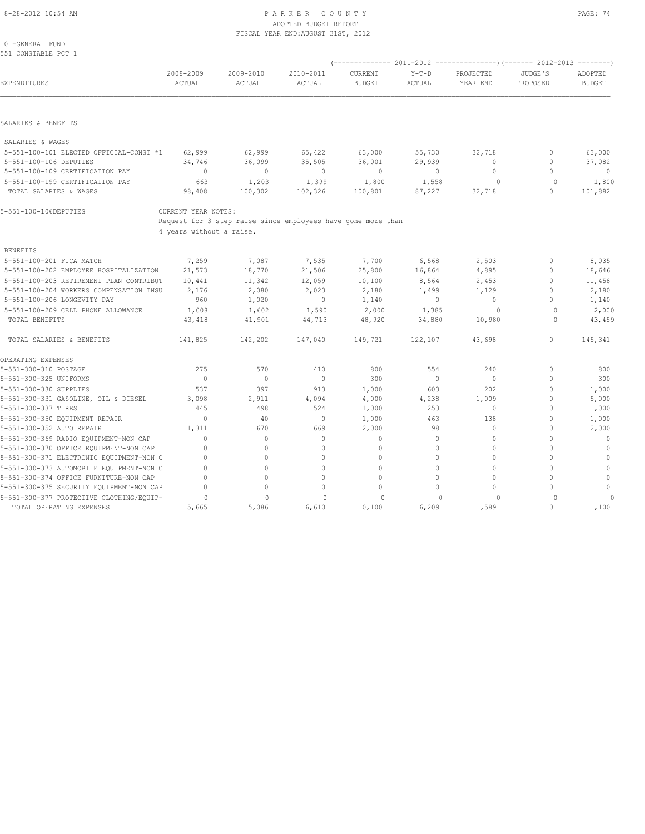#### 8-28-2012 10:54 AM PAGE: 74 ADOPTED BUDGET REPORT FISCAL YEAR END:AUGUST 31ST, 2012

10 -GENERAL FUND 551 CONSTABLE PCT 1

| <b>EXPENDITURES</b>                      | 2008-2009<br>ACTUAL      | 2009-2010<br>ACTUAL                                          | 2010-2011<br>ACTUAL | <b>CURRENT</b><br><b>BUDGET</b> | $Y-T-D$<br><b>ACTUAL</b> | PROJECTED<br>YEAR END | JUDGE'S<br>PROPOSED | ADOPTED<br><b>BUDGET</b> |
|------------------------------------------|--------------------------|--------------------------------------------------------------|---------------------|---------------------------------|--------------------------|-----------------------|---------------------|--------------------------|
|                                          |                          |                                                              |                     |                                 |                          |                       |                     |                          |
| SALARIES & BENEFITS                      |                          |                                                              |                     |                                 |                          |                       |                     |                          |
| SALARIES & WAGES                         |                          |                                                              |                     |                                 |                          |                       |                     |                          |
| 5-551-100-101 ELECTED OFFICIAL-CONST #1  | 62,999                   | 62,999                                                       | 65,422              | 63,000                          | 55,730                   | 32,718                | $\mathbf{0}$        | 63,000                   |
| 5-551-100-106 DEPUTIES                   | 34,746                   | 36,099                                                       | 35,505              | 36,001                          | 29,939                   | $\mathbf{0}$          | $\mathbf{0}$        | 37,082                   |
| 5-551-100-109 CERTIFICATION PAY          | $\circ$                  | $\circ$                                                      | $\circ$             | $\overline{0}$                  | $\circ$                  | $\Omega$              | $\Omega$            | $\overline{0}$           |
| 5-551-100-199 CERTIFICATION PAY          | 663                      | 1,203                                                        | 1,399               | 1,800                           | 1,558                    | $\Omega$              | $\circ$             | 1,800                    |
| TOTAL SALARIES & WAGES                   | 98,408                   | 100,302                                                      | 102,326             | 100,801                         | 87,227                   | 32,718                | 0                   | 101,882                  |
| 5-551-100-106DEPUTIES                    | CURRENT YEAR NOTES:      |                                                              |                     |                                 |                          |                       |                     |                          |
|                                          |                          | Request for 3 step raise since employees have gone more than |                     |                                 |                          |                       |                     |                          |
|                                          | 4 years without a raise. |                                                              |                     |                                 |                          |                       |                     |                          |
| <b>BENEFITS</b>                          |                          |                                                              |                     |                                 |                          |                       |                     |                          |
| 5-551-100-201 FICA MATCH                 | 7,259                    | 7,087                                                        | 7,535               | 7,700                           | 6,568                    | 2,503                 | $\circ$             | 8,035                    |
| 5-551-100-202 EMPLOYEE HOSPITALIZATION   | 21,573                   | 18,770                                                       | 21,506              | 25,800                          | 16,864                   | 4,895                 | $\mathbf 0$         | 18,646                   |
| 5-551-100-203 RETIREMENT PLAN CONTRIBUT  | 10,441                   | 11,342                                                       | 12,059              | 10,100                          | 8,564                    | 2,453                 | $\mathbf 0$         | 11,458                   |
| 5-551-100-204 WORKERS COMPENSATION INSU  | 2,176                    | 2,080                                                        | 2,023               | 2,180                           | 1,499                    | 1,129                 | $\mathbf 0$         | 2,180                    |
| 5-551-100-206 LONGEVITY PAY              | 960                      | 1,020                                                        | $\circ$             | 1,140                           | $\circ$                  | $\mathbf{0}$          | $\Omega$            | 1,140                    |
| 5-551-100-209 CELL PHONE ALLOWANCE       | 1,008                    | 1,602                                                        | 1,590               | 2,000                           | 1,385                    | 0                     | $\Omega$            | 2,000                    |
| TOTAL BENEFITS                           | 43,418                   | 41,901                                                       | 44,713              | 48,920                          | 34,880                   | 10,980                | $\cap$              | 43,459                   |
| TOTAL SALARIES & BENEFITS                | 141,825                  | 142,202                                                      | 147,040             | 149,721                         | 122,107                  | 43,698                | $\mathbf{0}$        | 145,341                  |
| OPERATING EXPENSES                       |                          |                                                              |                     |                                 |                          |                       |                     |                          |
| 5-551-300-310 POSTAGE                    | 275                      | 570                                                          | 410                 | 800                             | 554                      | 240                   | $\mathbf 0$         | 800                      |
| 5-551-300-325 UNIFORMS                   | $\circ$                  | $\circ$                                                      | $\mathbf{0}$        | 300                             | $\circ$                  | $\mathbf{0}$          | 0                   | 300                      |
| 5-551-300-330 SUPPLIES                   | 537                      | 397                                                          | 913                 | 1,000                           | 603                      | 202                   | $\Omega$            | 1,000                    |
| 5-551-300-331 GASOLINE, OIL & DIESEL     | 3,098                    | 2,911                                                        | 4,094               | 4,000                           | 4,238                    | 1,009                 | $\mathbf 0$         | 5,000                    |
| 5-551-300-337 TIRES                      | 445                      | 498                                                          | 524                 | 1,000                           | 253                      | $\mathbf{0}$          | 0                   | 1,000                    |
| 5-551-300-350 EQUIPMENT REPAIR           | $\circ$                  | 40                                                           | $\mathbf 0$         | 1,000                           | 463                      | 138                   | $\mathbf 0$         | 1,000                    |
| 5-551-300-352 AUTO REPAIR                | 1,311                    | 670                                                          | 669                 | 2,000                           | 98                       | $\mathbf{0}$          | $\mathbf 0$         | 2,000                    |
| 5-551-300-369 RADIO EQUIPMENT-NON CAP    | $\mathbf{0}$             | $\mathbf{0}$                                                 | $\circ$             | $\mathbf 0$                     | $\circ$                  | $\mathbf{0}$          | $\Omega$            | $\circ$                  |
| 5-551-300-370 OFFICE EQUIPMENT-NON CAP   | $\Omega$                 | $\Omega$                                                     | $\Omega$            | $\Omega$                        | $\Omega$                 | $\Omega$              | $\Omega$            | $\mathbf{0}$             |
| 5-551-300-371 ELECTRONIC EQUIPMENT-NON C | $\Omega$                 | $\circ$                                                      | $\mathbf{0}$        | $\mathbf 0$                     | $\Omega$                 | $\mathbf{0}$          | $\Omega$            | $\circ$                  |
| 5-551-300-373 AUTOMOBILE EQUIPMENT-NON C | $\Omega$                 | $\circ$                                                      | $\Omega$            | $\Omega$                        | $\Omega$                 | $\Omega$              | $\Omega$            | $\mathbf{0}$             |
| 5-551-300-374 OFFICE FURNITURE-NON CAP   | $\Omega$                 | $\Omega$                                                     | $\Omega$            | $\Omega$                        | $\Omega$                 | $\Omega$              | $\Omega$            | $\mathbf{0}$             |
| 5-551-300-375 SECURITY EQUIPMENT-NON CAP | $\circ$                  | $\mathbb O$                                                  | $\mathbf{0}$        | $\mathbf{0}$                    | $\circ$                  | $\Omega$              | $\Omega$            | $\mathbf{0}$             |
| 5-551-300-377 PROTECTIVE CLOTHING/EQUIP- | $\circ$                  | $\mathbf{0}$                                                 | $\mathbf{0}$        | $\Omega$                        | $\Omega$                 | $\circ$               | $\circ$             | $\circ$                  |
| TOTAL OPERATING EXPENSES                 | 5,665                    | 5,086                                                        | 6,610               | 10,100                          | 6,209                    | 1,589                 | $\Omega$            | 11,100                   |
|                                          |                          |                                                              |                     |                                 |                          |                       |                     |                          |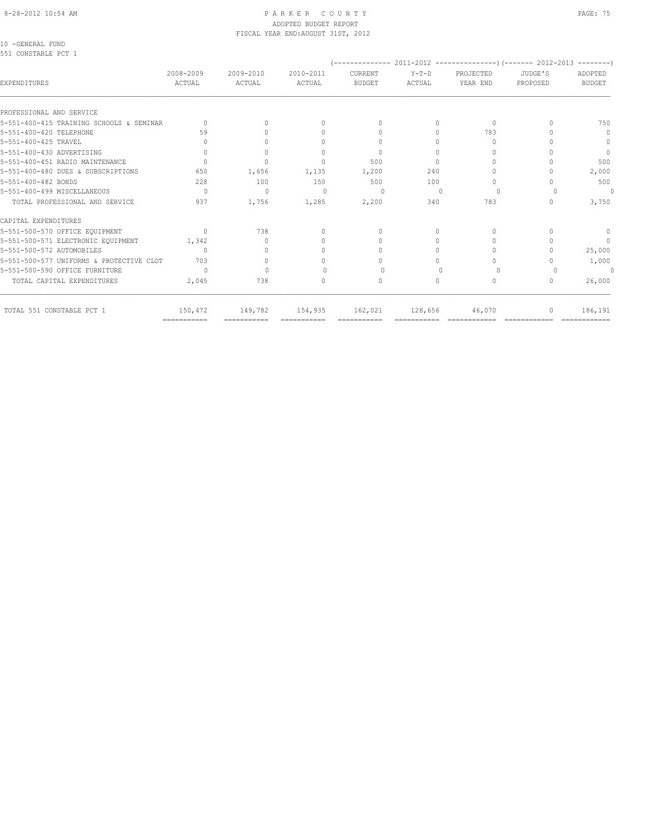# ADOPTED BUDGET REPORT FISCAL YEAR END:AUGUST 31ST, 2012

10 -GENERAL FUND

| 551 CONSTABLE PCT 1                      |                                  |                     |                                  |                                  |                   |                       |                     | $- - - - - - - -$                |
|------------------------------------------|----------------------------------|---------------------|----------------------------------|----------------------------------|-------------------|-----------------------|---------------------|----------------------------------|
| EXPENDITURES                             | 2008-2009<br><b>ACTUAL</b>       | 2009-2010<br>ACTUAL | 2010-2011<br>ACTUAL              | CURRENT<br><b>BUDGET</b>         | $Y-T-D$<br>ACTUAL | PROJECTED<br>YEAR END | JUDGE'S<br>PROPOSED | ADOPTED<br><b>BUDGET</b>         |
|                                          |                                  |                     |                                  |                                  |                   |                       |                     |                                  |
| PROFESSIONAL AND SERVICE                 |                                  |                     |                                  |                                  |                   |                       |                     |                                  |
| 5-551-400-415 TRAINING SCHOOLS & SEMINAR | $\cap$                           | $\bigcap$           | $\begin{array}{c} \n\end{array}$ | $\begin{array}{c} \n\end{array}$ | $\Omega$          | $\Omega$              |                     | 750                              |
| 5-551-400-420 TELEPHONE                  | 59                               | $\cap$              | $\bigcap$                        | $\begin{array}{c} \n\end{array}$ | $\bigcap$         | 783                   |                     | $\mathbf{0}$                     |
| 5-551-400-425 TRAVEL                     |                                  |                     | $\Omega$                         | 0                                | O                 | $\Omega$              |                     | $\mathbf{0}$                     |
| 5-551-400-430 ADVERTISING                | $\begin{array}{c} \n\end{array}$ | $\Omega$            | $\Omega$                         | $\mathbf{0}$                     | $\Omega$          | $\Omega$              |                     | $\mathbf{0}$                     |
| 5-551-400-451 RADIO MAINTENANCE          |                                  | $\Omega$            | $\Omega$                         | 500                              | $\bigcap$         | $\cap$                |                     | 500                              |
| 5-551-400-480 DUES & SUBSCRIPTIONS       | 650                              | 1,656               | 1,135                            | 1,200                            | 240               | $\cup$                |                     | 2,000                            |
| 5-551-400-482 BONDS                      | 228                              | 100                 | 150                              | 500                              | 100               | $\Omega$              |                     | 500                              |
| 5-551-400-499 MISCELLANEOUS              | $\bigcap$                        | $\Omega$            | $\cup$                           | $\bigcap$                        |                   | $\Omega$              |                     | $\Omega$                         |
| TOTAL PROFESSIONAL AND SERVICE           | 937                              | 1,756               | 1,285                            | 2,200                            | 340               | 783                   |                     | 3,750                            |
| CAPITAL EXPENDITURES                     |                                  |                     |                                  |                                  |                   |                       |                     |                                  |
| 5-551-500-570 OFFICE EQUIPMENT           | $\Omega$                         | 738                 | $\begin{array}{c} \n\end{array}$ | $\begin{array}{c} \n\end{array}$ | $\bigcap$         | $\Omega$              |                     | $\mathbf{0}$                     |
| 5-551-500-571 ELECTRONIC EQUIPMENT       | 1,342                            | $\Omega$            | 0                                | $\Omega$                         | $\Omega$          | $\Omega$              |                     | $\begin{array}{c} \n\end{array}$ |
| 5-551-500-572 AUTOMOBILES                | $\bigcap$                        | $\bigcap$           | $\cap$                           | $\bigcap$                        | $\bigcap$         | $\Omega$              |                     | 25,000                           |
| 5-551-500-577 UNIFORMS & PROTECTIVE CLOT | 703                              | $\Omega$            | 0                                | $\cap$                           | $\bigcap$         | $\bigcap$             |                     | 1,000                            |
| 5-551-500-590 OFFICE FURNITURE           | $\bigcap$                        | $\cap$              |                                  | $\Omega$                         |                   | $\Omega$              |                     | $\Omega$                         |
| TOTAL CAPITAL EXPENDITURES               | 2,045                            | 738                 | $\begin{array}{c} \n\end{array}$ | 0                                | 0                 | 0                     | 0                   | 26,000                           |
| TOTAL 551 CONSTABLE PCT 1                | 150,472                          | 149,782             | 154,935                          | 162,021                          | 128,656           | 46,070                |                     | 186,191                          |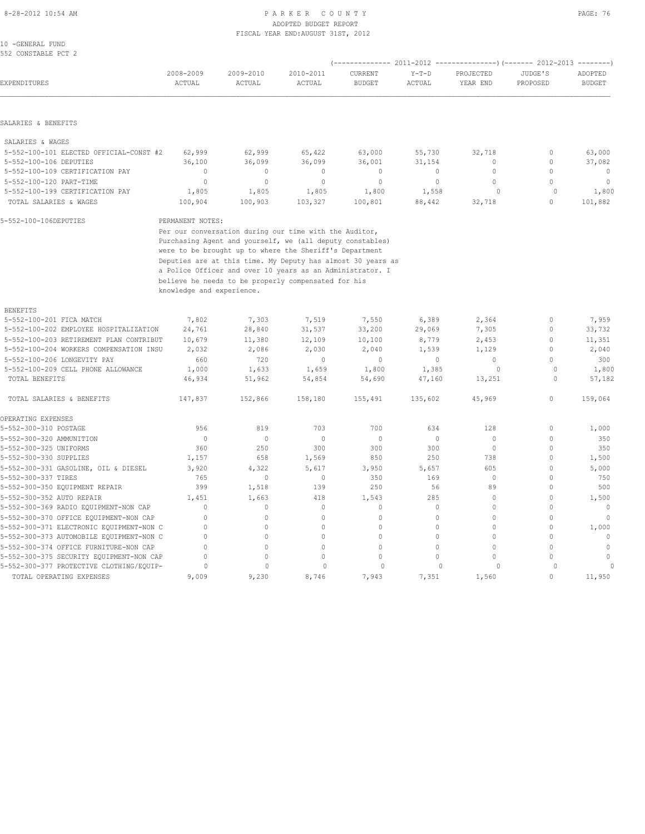#### 8-28-2012 10:54 AM PAGE: 76 ADOPTED BUDGET REPORT FISCAL YEAR END:AUGUST 31ST, 2012

| 10 - GENERAL FUND   |  |  |
|---------------------|--|--|
| 552 CONSTABLE PCT 2 |  |  |

| EXPENDITURES                                              | 2008-2009<br>ACTUAL       | 2009-2010<br>ACTUAL | 2010-2011<br>ACTUAL                                         | CURRENT<br><b>BUDGET</b> | $Y-T-D$<br>ACTUAL | PROJECTED<br>YEAR END | JUDGE'S<br>PROPOSED         | ADOPTED<br><b>BUDGET</b> |
|-----------------------------------------------------------|---------------------------|---------------------|-------------------------------------------------------------|--------------------------|-------------------|-----------------------|-----------------------------|--------------------------|
| SALARIES & BENEFITS                                       |                           |                     |                                                             |                          |                   |                       |                             |                          |
|                                                           |                           |                     |                                                             |                          |                   |                       |                             |                          |
| SALARIES & WAGES                                          |                           |                     |                                                             |                          |                   |                       |                             |                          |
| 5-552-100-101 ELECTED OFFICIAL-CONST #2                   | 62,999                    | 62,999              | 65,422                                                      | 63,000                   | 55,730            | 32,718                | $\mathbf 0$                 | 63,000                   |
| 5-552-100-106 DEPUTIES                                    | 36,100                    | 36,099              | 36,099                                                      | 36,001                   | 31,154            | 0                     | $\mathbb O$                 | 37,082                   |
| 5-552-100-109 CERTIFICATION PAY                           | $\mathbf{0}$              | $\mathbf{0}$        | $\mathbf{0}$                                                | $\mathbf{0}$             | 0                 | $\mathbf{0}$          | $\mathbf{0}$                | $\mathbf 0$              |
| 5-552-100-120 PART-TIME                                   | $\mathbf{0}$              | $\circ$             | $\circ$                                                     | $\circ$                  | $\circ$           | $\mathbf{0}$          | $\Omega$                    | $\circ$                  |
| 5-552-100-199 CERTIFICATION PAY<br>TOTAL SALARIES & WAGES | 1,805                     | 1,805               | 1,805                                                       | 1,800                    | 1,558             | 0<br>32,718           | $\mathbf 0$<br>$\mathbf{0}$ | 1,800<br>101,882         |
|                                                           | 100,904                   | 100,903             | 103,327                                                     | 100,801                  | 88,442            |                       |                             |                          |
| 5-552-100-106DEPUTIES                                     | PERMANENT NOTES:          |                     |                                                             |                          |                   |                       |                             |                          |
|                                                           |                           |                     | Per our conversation during our time with the Auditor,      |                          |                   |                       |                             |                          |
|                                                           |                           |                     | Purchasing Agent and yourself, we (all deputy constables)   |                          |                   |                       |                             |                          |
|                                                           |                           |                     | were to be brought up to where the Sheriff's Department     |                          |                   |                       |                             |                          |
|                                                           |                           |                     | Deputies are at this time. My Deputy has almost 30 years as |                          |                   |                       |                             |                          |
|                                                           |                           |                     | a Police Officer and over 10 years as an Administrator. I   |                          |                   |                       |                             |                          |
|                                                           |                           |                     | believe he needs to be properly compensated for his         |                          |                   |                       |                             |                          |
|                                                           | knowledge and experience. |                     |                                                             |                          |                   |                       |                             |                          |
| <b>BENEFITS</b>                                           |                           |                     |                                                             |                          |                   |                       |                             |                          |
| 5-552-100-201 FICA MATCH                                  | 7,802                     | 7,303               | 7,519                                                       | 7,550                    | 6,389             | 2,364                 | 0                           | 7,959                    |
| 5-552-100-202 EMPLOYEE HOSPITALIZATION                    | 24,761                    | 28,840              | 31,537                                                      | 33,200                   | 29,069            | 7,305                 | $\mathbf{0}$                | 33,732                   |
| 5-552-100-203 RETIREMENT PLAN CONTRIBUT                   | 10,679                    | 11,380              | 12,109                                                      | 10,100                   | 8,779             | 2,453                 | $\mathbf 0$                 | 11,351                   |
| 5-552-100-204 WORKERS COMPENSATION INSU                   | 2,032                     | 2,086               | 2,030                                                       | 2,040                    | 1,539             | 1,129                 | $\mathbf{0}$                | 2,040                    |
| 5-552-100-206 LONGEVITY PAY                               | 660                       | 720                 | $\mathbf{0}$                                                | $\circ$                  | $\circ$           | $\circ$               | $\mathbf{0}$                | 300                      |
| 5-552-100-209 CELL PHONE ALLOWANCE                        | 1,000                     | 1,633               | 1,659                                                       | 1,800                    | 1,385             | 0                     | $\circ$                     | 1,800                    |
| TOTAL BENEFITS                                            | 46,934                    | 51,962              | 54,854                                                      | 54,690                   | 47,160            | 13,251                | $\circ$                     | 57,182                   |
| TOTAL SALARIES & BENEFITS                                 | 147,837                   | 152,866             | 158,180                                                     | 155,491                  | 135,602           | 45,969                | $\mathbf{0}$                | 159,064                  |
| OPERATING EXPENSES                                        |                           |                     |                                                             |                          |                   |                       |                             |                          |
| 5-552-300-310 POSTAGE                                     | 956                       | 819                 | 703                                                         | 700                      | 634               | 128                   | $\mathbf{0}$                | 1,000                    |
| 5-552-300-320 AMMUNITION                                  | $\mathbf{0}$              | $\circ$             | $\mathbf{0}$                                                | $\Omega$                 | $\circ$           | $\circ$               | $\mathbf{0}$                | 350                      |
| 5-552-300-325 UNIFORMS                                    | 360                       | 250                 | 300                                                         | 300                      | 300               | $\circ$               | $\mathbb O$                 | 350                      |
| 5-552-300-330 SUPPLIES                                    | 1,157                     | 658                 | 1,569                                                       | 850                      | 250               | 738                   | $\mathbf{0}$                | 1,500                    |
| 5-552-300-331 GASOLINE, OIL & DIESEL                      | 3,920                     | 4,322               | 5,617                                                       | 3,950                    | 5,657             | 605                   | $\mathbf{0}$                | 5,000                    |
| 5-552-300-337 TIRES                                       | 765                       | $\circ$             | $\mathbf 0$                                                 | 350                      | 169               | $\circ$               | $\mathbf{0}$                | 750                      |
| 5-552-300-350 EQUIPMENT REPAIR                            | 399                       | 1,518               | 139                                                         | 250                      | 56                | 89                    | $\mathbf{0}$                | 500                      |
| 5-552-300-352 AUTO REPAIR                                 | 1,451                     | 1,663               | 418                                                         | 1,543                    | 285               | $\Omega$              | $\mathbf{0}$                | 1,500                    |
| 5-552-300-369 RADIO EQUIPMENT-NON CAP                     | $\mathbf{0}$              | 0                   | $\mathbb O$                                                 | $\mathbb O$              | $\mathbb O$       | $\mathbb O$           | $\mathbf{0}$                | $\mathbb O$              |
| 5-552-300-370 OFFICE EQUIPMENT-NON CAP                    | $\Omega$                  | 0                   | $\circ$                                                     | $\mathbf{0}$             | $\mathbf 0$       | $\circ$               | $\mathbf{0}$                | $\mathbf{0}$             |
| 5-552-300-371 ELECTRONIC EQUIPMENT-NON C                  | $\Omega$                  | 0                   | $\mathbf{0}$                                                | $\Omega$                 | $\Omega$          | $\Omega$              | $\mathbf{0}$                | 1,000                    |
| 5-552-300-373 AUTOMOBILE EQUIPMENT-NON C                  | $\Omega$                  | 0                   | $\circ$                                                     | $\mathbf{0}$             | $\mathbf 0$       | $\mathbf{0}$          | $\mathbf{0}$                | $\mathbf 0$              |
| 5-552-300-374 OFFICE FURNITURE-NON CAP                    | $\Omega$                  | 0                   | $\circ$                                                     | $\mathbf{0}$             | $\circ$           | $\circ$               | $\Omega$                    | $\mathbf{0}$             |
| 5-552-300-375 SECURITY EQUIPMENT-NON CAP                  | $\Omega$                  | 0                   | $\Omega$                                                    | $\Omega$                 | $\Omega$          | $\Omega$              | $\Omega$                    | $\mathbf{0}$             |
| 5-552-300-377 PROTECTIVE CLOTHING/EQUIP-                  | $\mathbf{0}$              | $\mathbb O$         | $\mathbf{0}$                                                | $\mathbf{0}$             | $\circ$           | $\circ$               | $\mathbf{0}$                | $\circ$                  |
| TOTAL OPERATING EXPENSES                                  | 9,009                     | 9,230               | 8,746                                                       | 7,943                    | 7,351             | 1,560                 | $\Omega$                    | 11,950                   |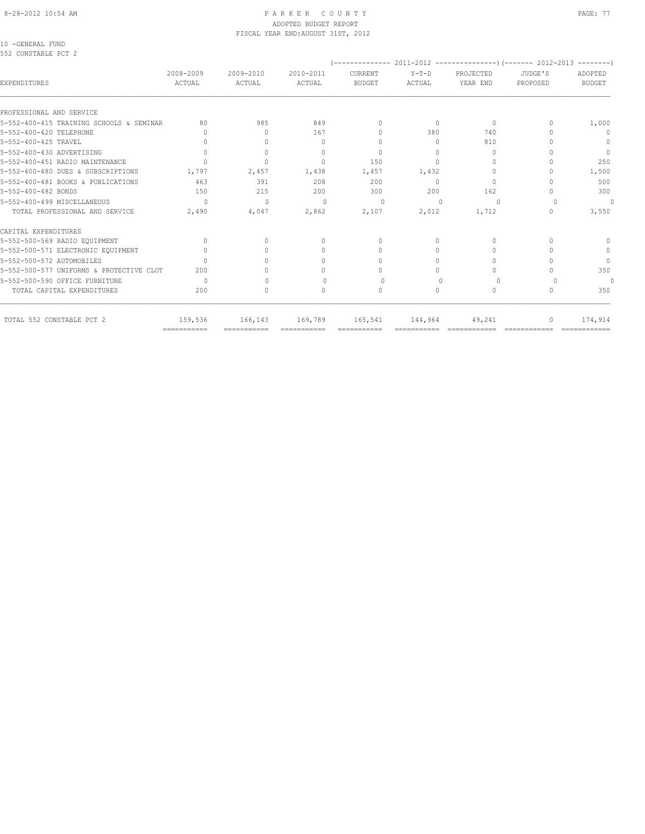# ADOPTED BUDGET REPORT FISCAL YEAR END:AUGUST 31ST, 2012

10 -GENERAL FUND

| 2008-2009<br>ACTUAL | 2009-2010<br>ACTUAL                                                                                 | 2010-2011<br>ACTUAL              | CURRENT<br><b>BUDGET</b>         | $Y-T-D$<br>ACTUAL | PROJECTED<br>YEAR END | JUDGE'S<br>PROPOSED | ADOPTED<br><b>BUDGET</b> |
|---------------------|-----------------------------------------------------------------------------------------------------|----------------------------------|----------------------------------|-------------------|-----------------------|---------------------|--------------------------|
|                     |                                                                                                     |                                  |                                  |                   |                       |                     |                          |
| 80                  | 985                                                                                                 |                                  | $\begin{array}{c} \n\end{array}$ | $\Omega$          | $\Omega$              |                     | 1,000                    |
| n                   | $\bigcap$                                                                                           | 167                              | $\begin{array}{c} \n\end{array}$ | 380               | 740                   |                     | $\mathbf{0}$             |
|                     | $\Omega$                                                                                            | $\begin{array}{c} \n\end{array}$ | $\begin{array}{c} \n\end{array}$ | $\Omega$          | 810                   |                     | 0                        |
| $\Omega$            | $\circ$                                                                                             | $\Omega$                         | $\mathbf{0}$                     | $\cup$            | $\Omega$              |                     | $\Omega$                 |
|                     | $\Omega$                                                                                            | $\Omega$                         | 150                              | $\bigcap$         | $\bigcap$             |                     | 250                      |
| 1,797               | 2,457                                                                                               | 1,438                            | 1,457                            | 1,432             | $\Omega$              |                     | 1,500                    |
| 463                 | 391                                                                                                 | 208                              | 200                              | $\Omega$          | $\Omega$              |                     | 500                      |
| 150                 | 215                                                                                                 | 200                              | 300                              | 200               | 162                   |                     | 300                      |
| $\cap$              | $\begin{array}{c} \n\end{array}$                                                                    | $\Omega$                         | $\Omega$                         | ∩                 | $\Omega$              |                     | $\Omega$                 |
| 2,490               | 4,047                                                                                               | 2,862                            | 2,107                            | 2,012             | 1,712                 | $\Omega$            | 3,550                    |
|                     |                                                                                                     |                                  |                                  |                   |                       |                     |                          |
| $\bigcap$           | $\bigcap$                                                                                           | $\begin{array}{c} \n\end{array}$ | $\begin{array}{c} \n\end{array}$ | $\bigcap$         | $\Omega$              |                     | $\Omega$                 |
|                     |                                                                                                     | 0                                | $\Omega$                         | $\Omega$          | $\Omega$              |                     | $\mathbf{0}$             |
|                     |                                                                                                     | $\Omega$                         | $\Omega$                         | $\Omega$          | $\Omega$              |                     | $\Omega$                 |
| 200                 |                                                                                                     | $\cap$                           | $\bigcap$                        | $\bigcap$         | $\bigcap$             |                     | 350                      |
| $\Omega$            | $\bigcap$                                                                                           | $\begin{array}{c} \n\end{array}$ | $\Omega$                         | $\bigcap$         | $\Omega$              |                     | $\Omega$                 |
| 200                 | $\circ$                                                                                             | $\begin{array}{c} \n\end{array}$ | $\mathbf{0}$                     | $\circ$           | $\mathbf{0}$          | 0                   | 350                      |
| 159,536             | 166,143                                                                                             | 169,789                          | 165,541                          | 144,964           | 49,241                |                     | 174,914                  |
|                     | 5-552-400-415 TRAINING SCHOOLS & SEMINAR<br>5-552-500-577 UNIFORMS & PROTECTIVE CLOT<br>=========== |                                  | 849                              |                   |                       |                     |                          |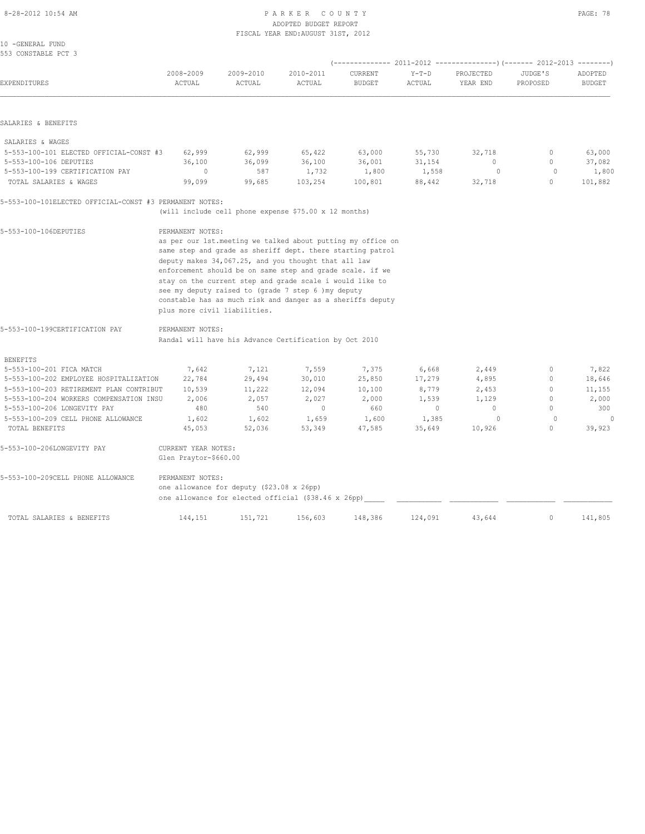#### 8-28-2012 10:54 AM PAGE: 78 ADOPTED BUDGET REPORT FISCAL YEAR END:AUGUST 31ST, 2012

| 10 - GENERAL FUND   |  |  |
|---------------------|--|--|
| 553 CONSTABLE PCT 3 |  |  |

|                                                         |                              |                                           |                                                             | (-------------- 2011-2012 |                   | ----------------) (------- 2012-2013 |                     | $-- - - - - - -$         |
|---------------------------------------------------------|------------------------------|-------------------------------------------|-------------------------------------------------------------|---------------------------|-------------------|--------------------------------------|---------------------|--------------------------|
| EXPENDITURES                                            | 2008-2009<br>ACTUAL          | 2009-2010<br>ACTUAL                       | 2010-2011<br>ACTUAL                                         | CURRENT<br><b>BUDGET</b>  | $Y-T-D$<br>ACTUAL | PROJECTED<br>YEAR END                | JUDGE'S<br>PROPOSED | ADOPTED<br><b>BUDGET</b> |
|                                                         |                              |                                           |                                                             |                           |                   |                                      |                     |                          |
| SALARIES & BENEFITS                                     |                              |                                           |                                                             |                           |                   |                                      |                     |                          |
| SALARIES & WAGES                                        |                              |                                           |                                                             |                           |                   |                                      |                     |                          |
| 5-553-100-101 ELECTED OFFICIAL-CONST #3                 | 62,999                       | 62,999                                    | 65,422                                                      | 63,000                    | 55,730            | 32,718                               | $\circ$             | 63,000                   |
| 5-553-100-106 DEPUTIES                                  | 36,100                       | 36,099                                    | 36,100                                                      | 36,001                    | 31,154            | $\mathbf{0}$                         | $\mathbf{0}$        | 37,082                   |
| 5-553-100-199 CERTIFICATION PAY                         | $\circ$                      | 587                                       | 1,732                                                       | 1,800                     | 1,558             | $\circ$                              | $\circ$             | 1,800                    |
| TOTAL SALARIES & WAGES                                  | 99,099                       | 99,685                                    | 103,254                                                     | 100,801                   | 88,442            | 32,718                               | $\Omega$            | 101,882                  |
| 5-553-100-101ELECTED OFFICIAL-CONST #3 PERMANENT NOTES: |                              |                                           |                                                             |                           |                   |                                      |                     |                          |
|                                                         |                              |                                           | (will include cell phone expense \$75.00 x 12 months)       |                           |                   |                                      |                     |                          |
| 5-553-100-106DEPUTIES                                   | PERMANENT NOTES:             |                                           |                                                             |                           |                   |                                      |                     |                          |
|                                                         |                              |                                           | as per our 1st.meeting we talked about putting my office on |                           |                   |                                      |                     |                          |
|                                                         |                              |                                           | same step and grade as sheriff dept. there starting patrol  |                           |                   |                                      |                     |                          |
|                                                         |                              |                                           | deputy makes 34,067.25, and you thought that all law        |                           |                   |                                      |                     |                          |
|                                                         |                              |                                           | enforcement should be on same step and grade scale. if we   |                           |                   |                                      |                     |                          |
|                                                         |                              |                                           | stay on the current step and grade scale i would like to    |                           |                   |                                      |                     |                          |
|                                                         |                              |                                           | see my deputy raised to (grade 7 step 6 ) my deputy         |                           |                   |                                      |                     |                          |
|                                                         |                              |                                           | constable has as much risk and danger as a sheriffs deputy  |                           |                   |                                      |                     |                          |
|                                                         | plus more civil liabilities. |                                           |                                                             |                           |                   |                                      |                     |                          |
| 5-553-100-199CERTIFICATION PAY                          | PERMANENT NOTES:             |                                           |                                                             |                           |                   |                                      |                     |                          |
|                                                         |                              |                                           | Randal will have his Advance Certification by Oct 2010      |                           |                   |                                      |                     |                          |
| <b>BENEFITS</b>                                         |                              |                                           |                                                             |                           |                   |                                      |                     |                          |
| 5-553-100-201 FICA MATCH                                | 7,642                        | 7,121                                     | 7,559                                                       | 7,375                     | 6,668             | 2,449                                | 0                   | 7,822                    |
| 5-553-100-202 EMPLOYEE HOSPITALIZATION                  | 22,784                       | 29,494                                    | 30,010                                                      | 25,850                    | 17,279            | 4,895                                | 0                   | 18,646                   |
| 5-553-100-203 RETIREMENT PLAN CONTRIBUT                 | 10,539                       | 11,222                                    | 12,094                                                      | 10,100                    | 8,779             | 2,453                                | $\Omega$            | 11,155                   |
| 5-553-100-204 WORKERS COMPENSATION INSU                 | 2,006                        | 2,057                                     | 2,027                                                       | 2,000                     | 1,539             | 1,129                                | $\circ$             | 2,000                    |
| 5-553-100-206 LONGEVITY PAY                             | 480                          | 540                                       | $\mathbf{0}$                                                | 660                       | $\circ$           | $\mathbf{0}$                         | $\circ$             | 300                      |
| 5-553-100-209 CELL PHONE ALLOWANCE                      | 1,602                        | 1,602                                     | 1,659                                                       | 1,600                     | 1,385             | $\Omega$                             | $\Omega$            |                          |
| TOTAL BENEFITS                                          | 45,053                       | 52,036                                    | 53,349                                                      | 47,585                    | 35,649            | 10,926                               | $\circ$             | 39,923                   |
| 5-553-100-206LONGEVITY PAY                              | CURRENT YEAR NOTES:          |                                           |                                                             |                           |                   |                                      |                     |                          |
|                                                         | Glen Praytor-\$660.00        |                                           |                                                             |                           |                   |                                      |                     |                          |
| 5-553-100-209CELL PHONE ALLOWANCE                       | PERMANENT NOTES:             |                                           |                                                             |                           |                   |                                      |                     |                          |
|                                                         |                              | one allowance for deputy (\$23.08 x 26pp) |                                                             |                           |                   |                                      |                     |                          |
|                                                         |                              |                                           | one allowance for elected official (\$38.46 x 26pp)         |                           |                   |                                      |                     |                          |
| TOTAL SALARIES & BENEFITS                               | 144,151                      | 151,721                                   | 156,603                                                     | 148,386                   | 124,091           | 43,644                               | 0                   | 141,805                  |
|                                                         |                              |                                           |                                                             |                           |                   |                                      |                     |                          |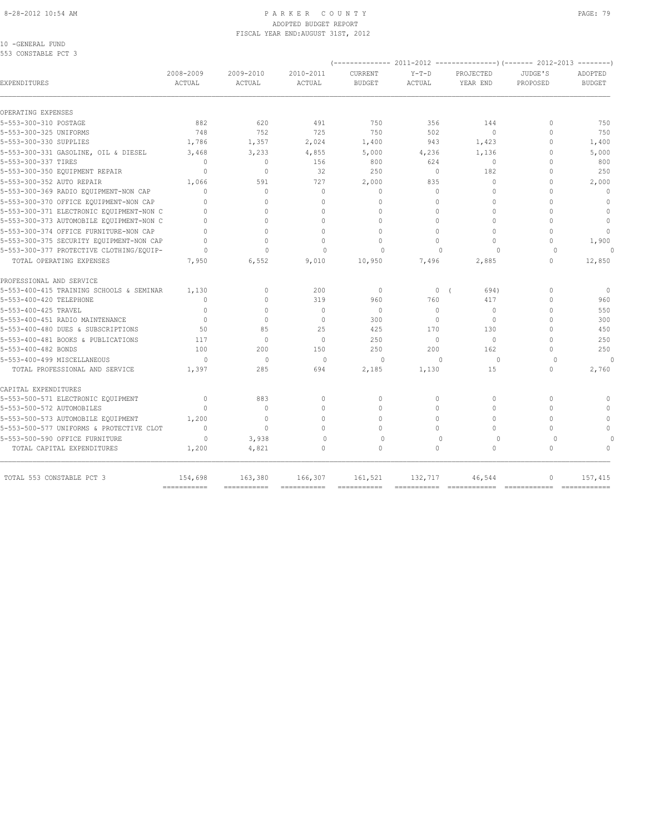#### 8-28-2012 10:54 AM P A R K E R C O U N T Y PAGE: 79 ADOPTED BUDGET REPORT FISCAL YEAR END:AUGUST 31ST, 2012

10 -GENERAL FUND 553 CONSTABLE PCT 3

|                                                             |                           |                   |                           | (-------------- 2011-2012 |                 |                          | ----------------) (------- 2012-2013<br>--------- |               |  |
|-------------------------------------------------------------|---------------------------|-------------------|---------------------------|---------------------------|-----------------|--------------------------|---------------------------------------------------|---------------|--|
|                                                             | 2008-2009                 | 2009-2010         | 2010-2011                 | CURRENT                   | $Y-T-D$         | PROJECTED                | JUDGE'S                                           | ADOPTED       |  |
| EXPENDITURES                                                | ACTUAL                    | ACTUAL            | ACTUAL                    | <b>BUDGET</b>             | ACTUAL          | YEAR END                 | PROPOSED                                          | <b>BUDGET</b> |  |
| OPERATING EXPENSES                                          |                           |                   |                           |                           |                 |                          |                                                   |               |  |
|                                                             | 882                       | 620               | 491                       | 750                       |                 |                          | $\Omega$                                          | 750           |  |
| 5-553-300-310 POSTAGE<br>5-553-300-325 UNIFORMS             | 748                       | 752               | 725                       | 750                       | 356<br>502      | 144<br>$\Omega$          | $\Omega$                                          | 750           |  |
| 5-553-300-330 SUPPLIES                                      | 1,786                     | 1,357             | 2,024                     | 1,400                     | 943             | 1,423                    | $\mathbf{0}$                                      | 1,400         |  |
|                                                             |                           |                   |                           |                           |                 |                          | $\Omega$                                          |               |  |
| 5-553-300-331 GASOLINE, OIL & DIESEL<br>5-553-300-337 TIRES | 3,468<br>$\Omega$         | 3,233<br>$\Omega$ | 4,855<br>156              | 5,000<br>800              | 4,236<br>624    | 1,136<br>$\Omega$        | $\Omega$                                          | 5,000<br>800  |  |
| 5-553-300-350 EQUIPMENT REPAIR                              | $\Omega$                  | $\Omega$          | 32                        | 250                       | $\Omega$        | 182                      | $\Omega$                                          | 250           |  |
|                                                             |                           |                   |                           |                           |                 |                          |                                                   |               |  |
| 5-553-300-352 AUTO REPAIR                                   | 1,066<br>$\cap$           | 591<br>$\Omega$   | 727                       | 2,000<br>$\Omega$         | 835<br>$\Omega$ | $\mathbf{0}$<br>$\Omega$ | $\Omega$<br>$\cap$                                | 2,000         |  |
| 5-553-300-369 RADIO EOUIPMENT-NON CAP                       |                           |                   | $\Omega$                  |                           |                 |                          |                                                   | $\mathbf{0}$  |  |
| 5-553-300-370 OFFICE EQUIPMENT-NON CAP                      |                           | $\cap$            | $\Omega$                  | $\Omega$                  | $\Omega$        | $\Omega$                 | $\Omega$                                          | $\mathbf{0}$  |  |
| 5-553-300-371 ELECTRONIC EQUIPMENT-NON C                    | $\cap$                    | 0                 | 0                         | $\mathbf{0}$              | $\circ$         | $\mathbf 0$              | $\Omega$                                          | $\mathbf{0}$  |  |
| 5-553-300-373 AUTOMOBILE EQUIPMENT-NON C                    | $\bigcap$                 | $\Omega$          | $\cap$                    | $\Omega$                  | $\Omega$        | $\Omega$                 | $\Omega$                                          | $\mathbf{0}$  |  |
| 5-553-300-374 OFFICE FURNITURE-NON CAP                      | $\Omega$                  | $\Omega$          | $\Omega$                  | $\Omega$                  | $\Omega$        | $\Omega$                 | $\Omega$                                          | $\mathbf{0}$  |  |
| 5-553-300-375 SECURITY EQUIPMENT-NON CAP                    | $\Omega$                  | $\Omega$          | $\Omega$                  | $\Omega$                  | $\Omega$        | $\Omega$                 | $\Omega$                                          | 1,900         |  |
| 5-553-300-377 PROTECTIVE CLOTHING/EQUIP-                    | $\Omega$                  | $\Omega$          | $\Omega$                  | $\Omega$                  | $\cap$          | $\Omega$                 | $\Omega$                                          | $\cap$        |  |
| TOTAL OPERATING EXPENSES                                    | 7,950                     | 6,552             | 9,010                     | 10,950                    | 7,496           | 2,885                    | $\mathbf{0}$                                      | 12,850        |  |
| PROFESSIONAL AND SERVICE                                    |                           |                   |                           |                           |                 |                          |                                                   |               |  |
| 5-553-400-415 TRAINING SCHOOLS & SEMINAR                    | 1,130                     | $\mathbf{0}$      | 200                       | $\mathbf{0}$              | 0(              | 694)                     | $\Omega$                                          | $\mathbf{0}$  |  |
| 5-553-400-420 TELEPHONE                                     | $\bigcap$                 | $\Omega$          | 319                       | 960                       | 760             | 417                      | $\Omega$                                          | 960           |  |
| 5-553-400-425 TRAVEL                                        | $\mathbf{0}$              | $\mathbf{0}$      | $\mathbf{0}$              | $\mathbf{0}$              | $\circ$         | $\Omega$                 | $\Omega$                                          | 550           |  |
| 5-553-400-451 RADIO MAINTENANCE                             | $\Omega$                  | $\Omega$          | $\Omega$                  | 300                       | $\Omega$        | $\Omega$                 | $\Omega$                                          | 300           |  |
| 5-553-400-480 DUES & SUBSCRIPTIONS                          | 50                        | 85                | 25                        | 425                       | 170             | 130                      | $\cap$                                            | 450           |  |
| 5-553-400-481 BOOKS & PUBLICATIONS                          | 117                       | $\circ$           | $\Omega$                  | 250                       | $\circ$         | $\mathbf 0$              | $\Omega$                                          | 250           |  |
| 5-553-400-482 BONDS                                         | 100                       | 200               | 150                       | 250                       | 200             | 162                      | $\Omega$                                          | 250           |  |
| 5-553-400-499 MISCELLANEOUS                                 | $\Omega$                  | $\circ$           | $\circ$                   | $\Omega$                  | $\Omega$        | $\Omega$                 | $\Omega$                                          | $\Omega$      |  |
| TOTAL PROFESSIONAL AND SERVICE                              | 1,397                     | 285               | 694                       | 2,185                     | 1,130           | 15                       | $\Omega$                                          | 2,760         |  |
| CAPITAL EXPENDITURES                                        |                           |                   |                           |                           |                 |                          |                                                   |               |  |
| 5-553-500-571 ELECTRONIC EQUIPMENT                          | $\mathbf{0}$              | 883               | $\mathbf{0}$              | $\mathbf{0}$              | $\circ$         | $\mathbf{0}$             | $\mathbf{0}$                                      | 0             |  |
| 5-553-500-572 AUTOMOBILES                                   | $\bigcap$                 | $\Omega$          | $\Omega$                  | $\Omega$                  | $\Omega$        | $\Omega$                 | $\cap$                                            | $\cap$        |  |
| 5-553-500-573 AUTOMOBILE EQUIPMENT                          | 1,200                     | $\mathbf{0}$      | $\mathbf{0}$              | $\mathbf{0}$              | $\circ$         | $\mathbf{0}$             | $\mathbf{0}$                                      | $\mathbf{0}$  |  |
| 5-553-500-577 UNIFORMS & PROTECTIVE CLOT                    | $\Omega$                  | $\Omega$          | $\Omega$                  | $\Omega$                  | $\Omega$        | $\Omega$                 | $\Omega$                                          | $\Omega$      |  |
| 5-553-500-590 OFFICE FURNITURE                              | $\Omega$                  | 3,938             | $\Omega$                  | $\Omega$                  | $\Omega$        | $\Omega$                 | $\Omega$                                          |               |  |
| TOTAL CAPITAL EXPENDITURES                                  | 1,200                     | 4,821             | $\Omega$                  | $\circ$                   | $\circ$         | $\circ$                  | $\mathbf{0}$                                      | $\Omega$      |  |
| TOTAL 553 CONSTABLE PCT 3                                   | 154,698                   | 163,380           | 166,307                   | 161,521                   | 132,717         | 46,544                   | 0                                                 | 157,415       |  |
|                                                             | $=$ = = = = = = = = = = = | $=$ ===========   | $=$ = = = = = = = = = = = |                           |                 |                          | =============                                     | ============  |  |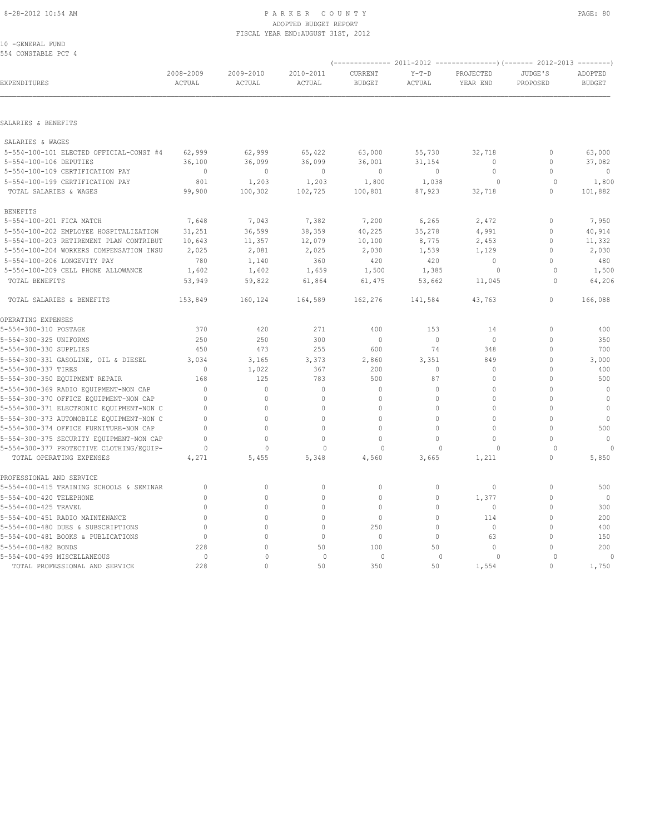#### 8-28-2012 10:54 AM PAGE: 80 ADOPTED BUDGET REPORT FISCAL YEAR END:AUGUST 31ST, 2012

10 -GENERAL FUND 554 CONSTABLE PCT 4

| EXPENDITURES<br>SALARIES & BENEFITS<br>SALARIES & WAGES<br>5-554-100-106 DEPUTIES<br>5-554-100-109 CERTIFICATION PAY<br>5-554-100-199 CERTIFICATION PAY<br>TOTAL SALARIES & WAGES<br><b>BENEFITS</b><br>5-554-100-201 FICA MATCH<br>5-554-100-202 EMPLOYEE HOSPITALIZATION<br>5-554-100-206 LONGEVITY PAY<br>5-554-100-209 CELL PHONE ALLOWANCE<br>TOTAL BENEFITS<br>TOTAL SALARIES & BENEFITS |                     | 2009-2010<br>ACTUAL |                     |                          |                          |                       |                         |                          |
|------------------------------------------------------------------------------------------------------------------------------------------------------------------------------------------------------------------------------------------------------------------------------------------------------------------------------------------------------------------------------------------------|---------------------|---------------------|---------------------|--------------------------|--------------------------|-----------------------|-------------------------|--------------------------|
|                                                                                                                                                                                                                                                                                                                                                                                                | 2008-2009<br>ACTUAL |                     | 2010-2011<br>ACTUAL | CURRENT<br><b>BUDGET</b> | $Y-T-D$<br><b>ACTUAL</b> | PROJECTED<br>YEAR END | JUDGE'S<br>PROPOSED     | ADOPTED<br><b>BUDGET</b> |
|                                                                                                                                                                                                                                                                                                                                                                                                |                     |                     |                     |                          |                          |                       |                         |                          |
|                                                                                                                                                                                                                                                                                                                                                                                                |                     |                     |                     |                          |                          |                       |                         |                          |
|                                                                                                                                                                                                                                                                                                                                                                                                |                     |                     |                     |                          |                          |                       |                         |                          |
| 5-554-100-101 ELECTED OFFICIAL-CONST #4                                                                                                                                                                                                                                                                                                                                                        | 62,999              | 62,999              | 65,422              | 63,000                   | 55,730                   | 32,718                | $\mathbb O$             | 63,000                   |
|                                                                                                                                                                                                                                                                                                                                                                                                | 36,100              | 36,099              | 36,099              | 36,001                   | 31,154                   | $\circ$               | $\mathbf 0$             | 37,082                   |
|                                                                                                                                                                                                                                                                                                                                                                                                | $\mathbf{0}$        | $\mathbf{0}$        | $\mathbf 0$         | $\circ$                  | $\circ$                  | $\circ$               | $\mathbf 0$             | $\circ$                  |
|                                                                                                                                                                                                                                                                                                                                                                                                | 801                 | 1,203               | 1,203               | 1,800                    | 1,038                    | $\circ$               | $\Omega$                | 1,800                    |
|                                                                                                                                                                                                                                                                                                                                                                                                | 99,900              | 100,302             | 102,725             | 100,801                  | 87,923                   | 32,718                | $\circ$                 | 101,882                  |
|                                                                                                                                                                                                                                                                                                                                                                                                |                     |                     |                     |                          |                          |                       |                         |                          |
|                                                                                                                                                                                                                                                                                                                                                                                                | 7,648               | 7,043               | 7,382               | 7,200                    | 6,265                    | 2,472                 | $\Omega$                | 7,950                    |
|                                                                                                                                                                                                                                                                                                                                                                                                | 31,251              | 36,599              | 38,359              | 40,225                   | 35,278                   | 4,991                 | $\mathbf 0$             | 40,914                   |
| 5-554-100-203 RETIREMENT PLAN CONTRIBUT                                                                                                                                                                                                                                                                                                                                                        | 10,643              | 11,357              | 12,079              | 10,100                   | 8,775                    | 2,453                 | $\mathbf 0$             | 11,332                   |
| 5-554-100-204 WORKERS COMPENSATION INSU                                                                                                                                                                                                                                                                                                                                                        | 2,025               | 2,081               | 2,025               | 2,030                    | 1,539                    | 1,129                 | $\mathbf 0$             | 2,030                    |
|                                                                                                                                                                                                                                                                                                                                                                                                | 780                 | 1,140               | 360                 | 420                      | 420                      | $\circ$               | $\Omega$                | 480                      |
|                                                                                                                                                                                                                                                                                                                                                                                                | 1,602               | 1,602               | 1,659               | 1,500                    | 1,385                    | $\circ$               | $\circ$                 | 1,500                    |
|                                                                                                                                                                                                                                                                                                                                                                                                | 53,949              | 59,822              | 61,864              | 61,475                   | 53,662                   | 11,045                | $\Omega$                | 64,206                   |
|                                                                                                                                                                                                                                                                                                                                                                                                | 153,849             | 160,124             | 164,589             | 162,276                  | 141,584                  | 43,763                | $\mathbf{0}$            | 166,088                  |
| OPERATING EXPENSES                                                                                                                                                                                                                                                                                                                                                                             |                     |                     |                     |                          |                          |                       |                         |                          |
| 5-554-300-310 POSTAGE                                                                                                                                                                                                                                                                                                                                                                          | 370                 | 420                 | 271                 | 400                      | 153                      | 14                    | $\mathbf{0}$            | 400                      |
| 5-554-300-325 UNIFORMS                                                                                                                                                                                                                                                                                                                                                                         | 250                 | 250                 | 300                 | $\mathbf{0}$             | $\circ$                  | $\circ$               | $\mathbf 0$             | 350                      |
| 5-554-300-330 SUPPLIES                                                                                                                                                                                                                                                                                                                                                                         | 450                 | 473                 | 255                 | 600                      | 74                       | 348                   | $\Omega$                | 700                      |
| 5-554-300-331 GASOLINE, OIL & DIESEL                                                                                                                                                                                                                                                                                                                                                           | 3,034               | 3,165               | 3,373               | 2,860                    | 3,351                    | 849                   | $\Omega$                | 3,000                    |
| 5-554-300-337 TIRES                                                                                                                                                                                                                                                                                                                                                                            | $\Omega$            | 1,022               | 367                 | 200                      | $\circ$                  | $\circ$               | $\Omega$                | 400                      |
| 5-554-300-350 EQUIPMENT REPAIR                                                                                                                                                                                                                                                                                                                                                                 | 168                 | 125                 | 783                 | 500                      | 87                       | $\circ$               | $\Omega$                | 500                      |
| 5-554-300-369 RADIO EQUIPMENT-NON CAP                                                                                                                                                                                                                                                                                                                                                          | $\Omega$            | $\mathbf{0}$        | $\mathbf{0}$        | $\mathbf{0}$             | $\mathbf{0}$             | $\Omega$              | $\Omega$                | $\circ$                  |
| 5-554-300-370 OFFICE EQUIPMENT-NON CAP                                                                                                                                                                                                                                                                                                                                                         | $\circ$             | $\mathbf{0}$        | $\Omega$            | $\mathbf{0}$             | $\mathbf{0}$             | $\circ$               | $\Omega$                | $\mathbf{0}$             |
| 5-554-300-371 ELECTRONIC EQUIPMENT-NON C                                                                                                                                                                                                                                                                                                                                                       | $\Omega$            | $\mathbf 0$         | $\Omega$            | $\circ$                  | $\circ$                  | $\circ$               | $\Omega$                | $\mathbf{0}$             |
| 5-554-300-373 AUTOMOBILE EQUIPMENT-NON C                                                                                                                                                                                                                                                                                                                                                       | $\Omega$            | $\Omega$            | $\Omega$            | $\Omega$                 | $\Omega$                 | $\Omega$              | $\Omega$                | $\mathbf{0}$             |
| 5-554-300-374 OFFICE FURNITURE-NON CAP                                                                                                                                                                                                                                                                                                                                                         | $\Omega$            | $\circ$             | $\Omega$            | $\circ$                  | $\mathbf{0}$             | $\circ$               | $\Omega$                | 500                      |
| 5-554-300-375 SECURITY EQUIPMENT-NON CAP                                                                                                                                                                                                                                                                                                                                                       | $\Omega$            | $\Omega$            | $\Omega$            | $\Omega$                 | $\Omega$                 | $\circ$               | $\Omega$                | $\mathbf{0}$             |
| 5-554-300-377 PROTECTIVE CLOTHING/EQUIP-<br>TOTAL OPERATING EXPENSES                                                                                                                                                                                                                                                                                                                           | $\Omega$<br>4,271   | $\Omega$<br>5,455   | 0<br>5,348          | $\Omega$<br>4,560        | $\Omega$<br>3,665        | $\Omega$<br>1,211     | $\Omega$<br>$\mathbf 0$ | $\Omega$<br>5,850        |
| PROFESSIONAL AND SERVICE                                                                                                                                                                                                                                                                                                                                                                       |                     |                     |                     |                          |                          |                       |                         |                          |
| 5-554-400-415 TRAINING SCHOOLS & SEMINAR                                                                                                                                                                                                                                                                                                                                                       | $\circ$             | $\mathbb O$         | $\mathbf 0$         | $\mathbf{0}$             | $\circ$                  | $\circ$               | $\mathbf{0}$            | 500                      |
| 5-554-400-420 TELEPHONE                                                                                                                                                                                                                                                                                                                                                                        | $\mathbf{0}$        | $\mathbf{0}$        | $\mathbf{0}$        | $\mathbf{0}$             | $\circ$                  | 1,377                 | $\mathbf 0$             | $\overline{0}$           |
| 5-554-400-425 TRAVEL                                                                                                                                                                                                                                                                                                                                                                           | $\circ$             | $\mathbf{0}$        | $\Omega$            | $\mathbf{0}$             | $\circ$                  | $\circ$               | $\mathbf 0$             | 300                      |
| 5-554-400-451 RADIO MAINTENANCE                                                                                                                                                                                                                                                                                                                                                                | $\Omega$            | $\Omega$            | $\Omega$            | $\mathbf{0}$             | $\mathbf{0}$             | 114                   | $\Omega$                | 200                      |
| 5-554-400-480 DUES & SUBSCRIPTIONS                                                                                                                                                                                                                                                                                                                                                             | $\Omega$            | $\Omega$            | $\Omega$            | 250                      | $\mathbf{0}$             | $\mathbf{0}$          | $\Omega$                | 400                      |
| 5-554-400-481 BOOKS & PUBLICATIONS                                                                                                                                                                                                                                                                                                                                                             | $\mathbf{0}$        | $\Omega$            | $\Omega$            | $\mathbf{0}$             | $\circ$                  | 63                    | $\Omega$                | 150                      |
| 5-554-400-482 BONDS                                                                                                                                                                                                                                                                                                                                                                            | 228                 | $\Omega$            | 50                  | 100                      | 50                       | $\Omega$              | $\Omega$                | 200                      |
| 5-554-400-499 MISCELLANEOUS                                                                                                                                                                                                                                                                                                                                                                    | $\circ$             | $\Omega$            | $\mathbf{0}$        | $\circ$                  | $\Omega$                 | $\circ$               | $\circ$                 | $\mathbf 0$              |
| TOTAL PROFESSIONAL AND SERVICE                                                                                                                                                                                                                                                                                                                                                                 | 228                 | $\Omega$            | 50                  | 350                      | 50                       | 1,554                 | $\Omega$                | 1,750                    |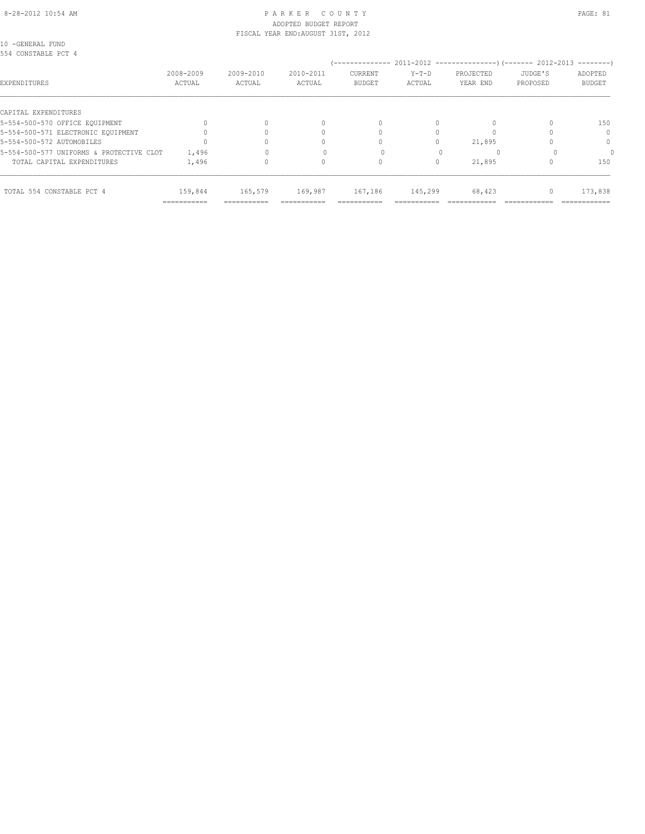#### 8-28-2012 10:54 AM PAGE: 81 ADOPTED BUDGET REPORT FISCAL YEAR END:AUGUST 31ST, 2012

10 -GENERAL FUND 554 CONSTABLE PCT 4

| YYI CUNUINDIB LUI I                      |             |             |            |               |            |             |          |               |
|------------------------------------------|-------------|-------------|------------|---------------|------------|-------------|----------|---------------|
|                                          | 2008-2009   | 2009-2010   | 2010-2011  | CURRENT       | $Y-T-D$    | PROJECTED   | JUDGE'S  | ADOPTED       |
| EXPENDITURES                             | ACTUAL      | ACTUAL      | ACTUAL     | <b>BUDGET</b> | ACTUAL     | YEAR END    | PROPOSED | <b>BUDGET</b> |
| CAPITAL EXPENDITURES                     |             |             |            |               |            |             |          |               |
|                                          |             |             |            |               |            |             |          |               |
| 5-554-500-570 OFFICE EQUIPMENT           |             | $\Omega$    |            | $\Omega$      |            |             |          | 150           |
| 5-554-500-571 ELECTRONIC EQUIPMENT       |             |             |            |               |            |             |          | $\Omega$      |
| 5-554-500-572 AUTOMOBILES                |             |             |            |               |            | 21,895      |          | 0             |
| 5-554-500-577 UNIFORMS & PROTECTIVE CLOT | 1,496       |             |            |               |            |             |          |               |
| TOTAL CAPITAL EXPENDITURES               | 1,496       | 0           |            |               |            | 21,895      |          | 150           |
|                                          |             |             |            |               |            |             |          |               |
| TOTAL 554 CONSTABLE PCT 4                | 159,844     | 165,579     | 169,987    | 167,186       | 145,299    | 68,423      |          | 173,838       |
|                                          | =========== | =========== | ---------- | ===========   | ---------- | ----------- |          | ============  |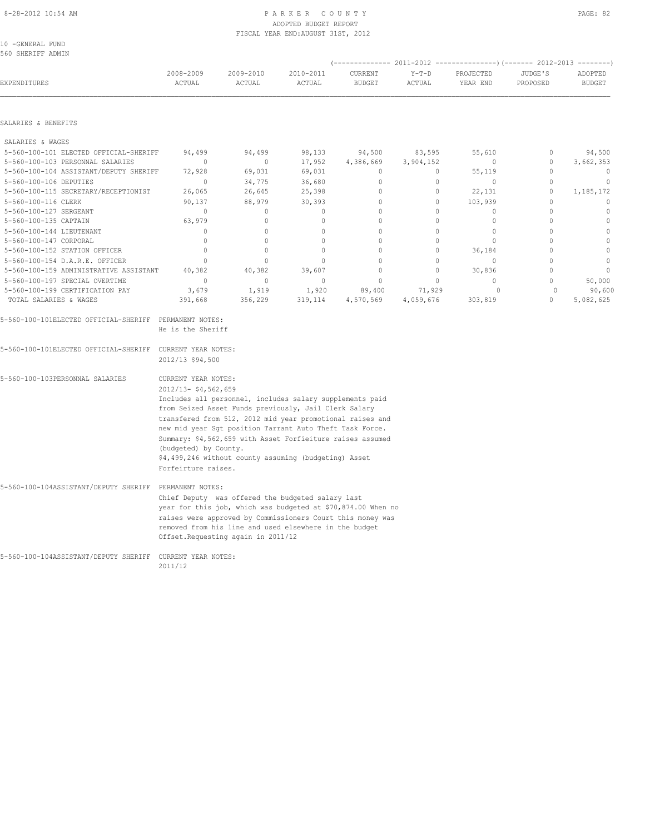#### 8-28-2012 10:54 AM P A R K E R C O U N T Y PAGE: 82 ADOPTED BUDGET REPORT FISCAL YEAR END:AUGUST 31ST, 2012

10 -GENERAL FUND 560 SHERIFF ADMIN

| EXPENDITURES                                              | 2008-2009<br>ACTUAL                                        | 2009-2010<br>ACTUAL                                          | 2010-2011<br>ACTUAL | CURRENT<br><b>BUDGET</b> | $Y-T-D$<br>ACTUAL | PROJECTED<br>YEAR END | JUDGE'S<br>PROPOSED | ADOPTED<br><b>BUDGET</b> |  |  |  |
|-----------------------------------------------------------|------------------------------------------------------------|--------------------------------------------------------------|---------------------|--------------------------|-------------------|-----------------------|---------------------|--------------------------|--|--|--|
| SALARIES & BENEFITS                                       |                                                            |                                                              |                     |                          |                   |                       |                     |                          |  |  |  |
| SALARIES & WAGES                                          |                                                            |                                                              |                     |                          |                   |                       |                     |                          |  |  |  |
| 5-560-100-101 ELECTED OFFICIAL-SHERIFF                    | 94,499                                                     | 94,499                                                       | 98,133              | 94,500                   | 83,595            | 55,610                | $\mathbf 0$         | 94,500                   |  |  |  |
| 5-560-100-103 PERSONNAL SALARIES                          | $\mathbf{0}$                                               | $\circ$                                                      | 17,952              | 4,386,669                | 3,904,152         | $\mathbf{0}$          | $\circ$             | 3,662,353                |  |  |  |
| 5-560-100-104 ASSISTANT/DEPUTY SHERIFF                    | 72,928                                                     | 69,031                                                       | 69,031              | $\mathbf{0}$             | $\circ$           | 55,119                | $\mathbf{0}$        | $\overline{0}$           |  |  |  |
| 5-560-100-106 DEPUTIES                                    | $\mathbf{0}$                                               | 34,775                                                       | 36,680              | $\mathbf{0}$             | $\circ$           | $\mathbf{0}$          | $\mathbf{0}$        | $\mathbf 0$              |  |  |  |
| 5-560-100-115 SECRETARY/RECEPTIONIST                      | 26,065                                                     | 26,645                                                       | 25,398              | $\mathbf{0}$             | $\circ$           | 22,131                | $\mathbf{0}$        | 1,185,172                |  |  |  |
| 5-560-100-116 CLERK                                       | 90,137                                                     | 88,979                                                       | 30,393              | $\circ$                  | $\circ$           | 103,939               | $\mathbf{0}$        | $\mathbf{0}$             |  |  |  |
| 5-560-100-127 SERGEANT                                    | $\mathbf{0}$                                               | $\circ$                                                      | $\mathbf 0$         | $\mathbf{0}$             | $\circ$           | $\circ$               | $\Omega$            | $\mathbb O$              |  |  |  |
| 5-560-100-135 CAPTAIN                                     | 63,979                                                     | $\mathbb O$                                                  | $\mathbf{0}$        | $\circ$                  | 0                 | $\circ$               | $\mathbf{0}$        | $\mathbb O$              |  |  |  |
| 5-560-100-144 LIEUTENANT                                  | $\mathbf{0}$                                               | $\circ$                                                      | $\circ$             | $\Omega$                 | 0                 | $\circ$               | $\Omega$            | $\mathbb O$              |  |  |  |
| 5-560-100-147 CORPORAL                                    | $\mathbf{0}$                                               | $\mathbf{0}$                                                 | $\circ$             | $\circ$                  | 0                 | $\circ$               | $\circ$             | $\mathbb O$              |  |  |  |
| 5-560-100-152 STATION OFFICER                             | $\mathbb O$                                                | $\mathbb O$                                                  | $\mathbf{0}$        | $\circ$                  | $\circ$           | 36,184                | $\circ$             | $\mathbb O$              |  |  |  |
| 5-560-100-154 D.A.R.E. OFFICER                            | $\mathbf{0}$                                               | $\mathbb O$                                                  | $\mathbf{0}$        | $\circ$                  | $\circ$           | $\mathbf{0}$          | $\mathbf{0}$        | $\mathbb O$              |  |  |  |
| 5-560-100-159 ADMINISTRATIVE ASSISTANT                    | 40,382                                                     | 40,382                                                       | 39,607              | $\circ$                  | $\circ$           | 30,836                | $\Omega$            | $\mathbb O$              |  |  |  |
| 5-560-100-197 SPECIAL OVERTIME                            | $\mathbf{0}$                                               | $\mathbb O$                                                  | $\circ$             | $\circ$                  | $\circ$           | $\circ$               | $\circ$             | 50,000                   |  |  |  |
| 5-560-100-199 CERTIFICATION PAY                           | 3,679                                                      | 1,919                                                        | 1,920               | 89,400                   | 71,929            | $\circ$               | $\circ$             | 90,600                   |  |  |  |
| TOTAL SALARIES & WAGES                                    | 391,668                                                    | 356,229                                                      | 319,114             | 4,570,569                | 4,059,676         | 303,819               | $\Omega$            | 5,082,625                |  |  |  |
| 5-560-100-101ELECTED OFFICIAL-SHERIFF PERMANENT NOTES:    | He is the Sheriff                                          |                                                              |                     |                          |                   |                       |                     |                          |  |  |  |
| 5-560-100-101ELECTED OFFICIAL-SHERIFF CURRENT YEAR NOTES: | 2012/13 \$94,500                                           |                                                              |                     |                          |                   |                       |                     |                          |  |  |  |
| 5-560-100-103PERSONNAL SALARIES                           | CURRENT YEAR NOTES:                                        |                                                              |                     |                          |                   |                       |                     |                          |  |  |  |
|                                                           | 2012/13- \$4,562,659                                       |                                                              |                     |                          |                   |                       |                     |                          |  |  |  |
|                                                           | Includes all personnel, includes salary supplements paid   |                                                              |                     |                          |                   |                       |                     |                          |  |  |  |
|                                                           | from Seized Asset Funds previously, Jail Clerk Salary      |                                                              |                     |                          |                   |                       |                     |                          |  |  |  |
|                                                           |                                                            | transfered from 512, 2012 mid year promotional raises and    |                     |                          |                   |                       |                     |                          |  |  |  |
|                                                           | new mid year Sgt position Tarrant Auto Theft Task Force.   |                                                              |                     |                          |                   |                       |                     |                          |  |  |  |
|                                                           | Summary: \$4,562,659 with Asset Forfieiture raises assumed |                                                              |                     |                          |                   |                       |                     |                          |  |  |  |
|                                                           | (budgeted) by County.                                      |                                                              |                     |                          |                   |                       |                     |                          |  |  |  |
|                                                           |                                                            | \$4,499,246 without county assuming (budgeting) Asset        |                     |                          |                   |                       |                     |                          |  |  |  |
|                                                           | Forfeirture raises.                                        |                                                              |                     |                          |                   |                       |                     |                          |  |  |  |
| 5-560-100-104ASSISTANT/DEPUTY SHERIFF PERMANENT NOTES:    |                                                            |                                                              |                     |                          |                   |                       |                     |                          |  |  |  |
|                                                           |                                                            | Chief Deputy was offered the budgeted salary last            |                     |                          |                   |                       |                     |                          |  |  |  |
|                                                           |                                                            | year for this job, which was budgeted at \$70,874.00 When no |                     |                          |                   |                       |                     |                          |  |  |  |
|                                                           |                                                            | raises were approved by Commissioners Court this money was   |                     |                          |                   |                       |                     |                          |  |  |  |
|                                                           |                                                            | removed from his line and used elsewhere in the budget       |                     |                          |                   |                       |                     |                          |  |  |  |
|                                                           |                                                            | Offset. Requesting again in 2011/12                          |                     |                          |                   |                       |                     |                          |  |  |  |
| 5-560-100-104ASSISTANT/DEPUTY SHERIFF CURRENT YEAR NOTES: |                                                            |                                                              |                     |                          |                   |                       |                     |                          |  |  |  |
|                                                           | 2011/12                                                    |                                                              |                     |                          |                   |                       |                     |                          |  |  |  |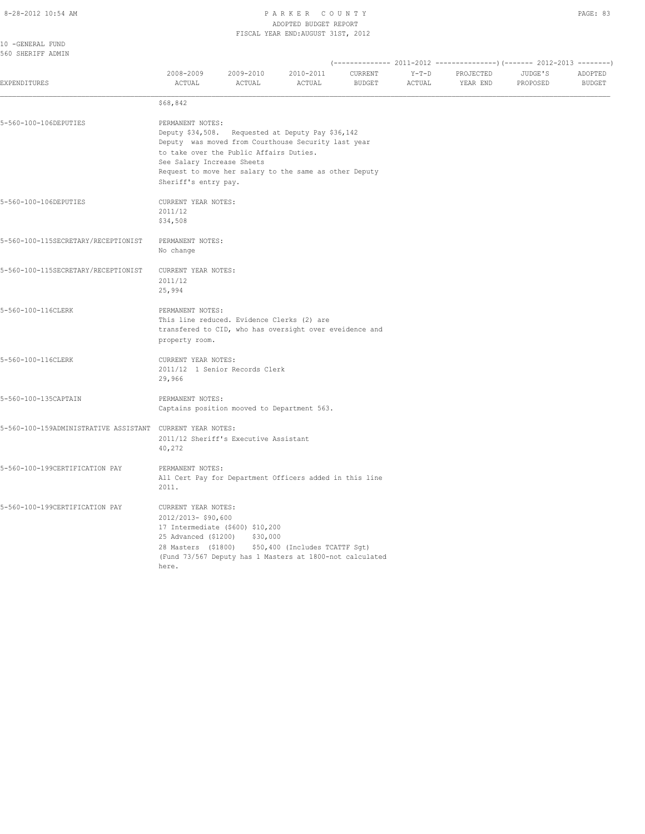#### 8-28-2012 10:54 AM P A R K E R C O U N T Y ADOPTED BUDGET REPORT FISCAL YEAR END:AUGUST 31ST, 2012

| 10 - GENERAL FUND<br>560 SHERIFF ADMIN                    |                                                                                                    |                                              |                                                                                                                                                                    |                          |                   |                       |                     |                          |
|-----------------------------------------------------------|----------------------------------------------------------------------------------------------------|----------------------------------------------|--------------------------------------------------------------------------------------------------------------------------------------------------------------------|--------------------------|-------------------|-----------------------|---------------------|--------------------------|
| <b>EXPENDITURES</b>                                       | 2008-2009<br>ACTUAL                                                                                | 2009-2010<br>ACTUAL                          | 2010-2011<br><b>ACTUAL</b>                                                                                                                                         | CURRENT<br><b>BUDGET</b> | $Y-T-D$<br>ACTUAL | PROJECTED<br>YEAR END | JUDGE'S<br>PROPOSED | ADOPTED<br><b>BUDGET</b> |
|                                                           | \$68,842                                                                                           |                                              |                                                                                                                                                                    |                          |                   |                       |                     |                          |
| 5-560-100-106DEPUTIES                                     | PERMANENT NOTES:<br>See Salary Increase Sheets<br>Sheriff's entry pay.                             | to take over the Public Affairs Duties.      | Deputy \$34,508. Requested at Deputy Pay \$36,142<br>Deputy was moved from Courthouse Security last year<br>Request to move her salary to the same as other Deputy |                          |                   |                       |                     |                          |
| 5-560-100-106DEPUTIES                                     | CURRENT YEAR NOTES:<br>2011/12<br>\$34,508                                                         |                                              |                                                                                                                                                                    |                          |                   |                       |                     |                          |
| 5-560-100-115SECRETARY/RECEPTIONIST                       | PERMANENT NOTES:<br>No change                                                                      |                                              |                                                                                                                                                                    |                          |                   |                       |                     |                          |
| 5-560-100-115SECRETARY/RECEPTIONIST                       | CURRENT YEAR NOTES:<br>2011/12<br>25,994                                                           |                                              |                                                                                                                                                                    |                          |                   |                       |                     |                          |
| 5-560-100-116CLERK                                        | PERMANENT NOTES:<br>property room.                                                                 | This line reduced. Evidence Clerks (2) are   | transfered to CID, who has oversight over eveidence and                                                                                                            |                          |                   |                       |                     |                          |
| 5-560-100-116CLERK                                        | CURRENT YEAR NOTES:<br>29,966                                                                      | 2011/12 1 Senior Records Clerk               |                                                                                                                                                                    |                          |                   |                       |                     |                          |
| 5-560-100-135CAPTAIN                                      | PERMANENT NOTES:                                                                                   | Captains position mooved to Department 563.  |                                                                                                                                                                    |                          |                   |                       |                     |                          |
| 5-560-100-159ADMINISTRATIVE ASSISTANT CURRENT YEAR NOTES: | 40,272                                                                                             | 2011/12 Sheriff's Executive Assistant        |                                                                                                                                                                    |                          |                   |                       |                     |                          |
| 5-560-100-199CERTIFICATION PAY                            | PERMANENT NOTES:<br>2011.                                                                          |                                              | All Cert Pay for Department Officers added in this line                                                                                                            |                          |                   |                       |                     |                          |
| 5-560-100-199CERTIFICATION PAY                            | CURRENT YEAR NOTES:<br>2012/2013- \$90,600<br>25 Advanced (\$1200)<br>28 Masters (\$1800)<br>here. | 17 Intermediate (\$600) \$10,200<br>\$30,000 | \$50,400 (Includes TCATTF Sgt)<br>(Fund 73/567 Deputy has 1 Masters at 1800-not calculated                                                                         |                          |                   |                       |                     |                          |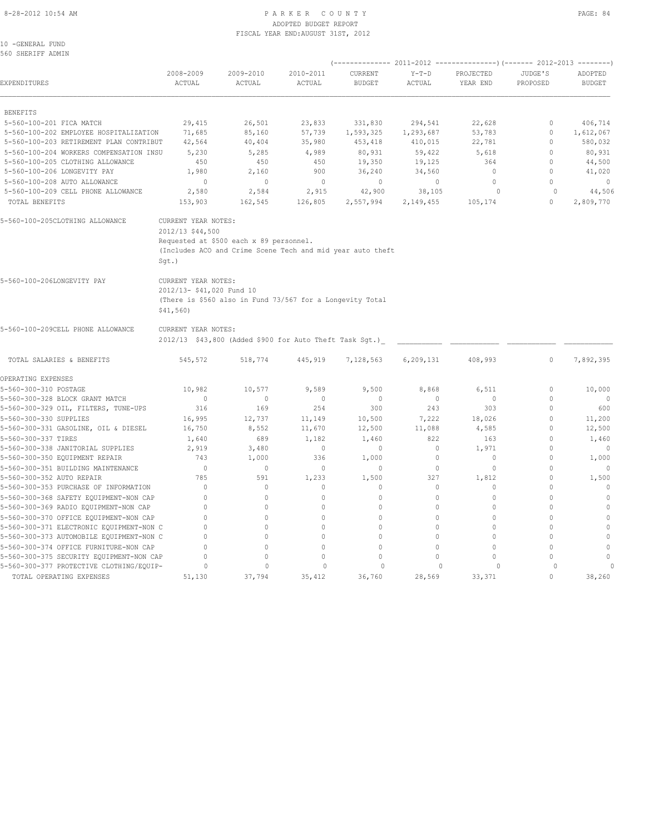#### 8-28-2012 10:54 AM P A R K E R C O U N T Y PAGE: 84 ADOPTED BUDGET REPORT FISCAL YEAR END:AUGUST 31ST, 2012

10 -GENERAL FUND 560 SHERIFF ADMIN

| EXPENDITURES                             | 2008-2009<br>ACTUAL                                           | 2009-2010<br>ACTUAL                                                                                   | 2010-2011<br>ACTUAL | CURRENT<br><b>BUDGET</b> | $Y-T-D$<br>ACTUAL | PROJECTED<br>YEAR END | JUDGE'S<br>PROPOSED | ADOPTED<br><b>BUDGET</b> |
|------------------------------------------|---------------------------------------------------------------|-------------------------------------------------------------------------------------------------------|---------------------|--------------------------|-------------------|-----------------------|---------------------|--------------------------|
| <b>BENEFITS</b>                          |                                                               |                                                                                                       |                     |                          |                   |                       |                     |                          |
| 5-560-100-201 FICA MATCH                 | 29,415                                                        | 26,501                                                                                                | 23,833              | 331,830                  | 294,541           | 22,628                | $\mathbf{0}$        | 406,714                  |
| 5-560-100-202 EMPLOYEE HOSPITALIZATION   | 71,685                                                        | 85,160                                                                                                | 57,739              | 1,593,325                | 1,293,687         | 53,783                | $\mathbf 0$         | 1,612,067                |
| 5-560-100-203 RETIREMENT PLAN CONTRIBUT  | 42,564                                                        | 40,404                                                                                                | 35,980              | 453,418                  | 410,015           | 22,781                | $\mathbf 0$         | 580,032                  |
| 5-560-100-204 WORKERS COMPENSATION INSU  | 5,230                                                         | 5,285                                                                                                 | 4,989               | 80,931                   | 59,422            | 5,618                 | $\mathbf 0$         | 80,931                   |
| 5-560-100-205 CLOTHING ALLOWANCE         | 450                                                           | 450                                                                                                   | 450                 | 19,350                   | 19,125            | 364                   | $\mathbf{0}$        | 44,500                   |
| 5-560-100-206 LONGEVITY PAY              | 1,980                                                         | 2,160                                                                                                 | 900                 | 36,240                   | 34,560            | $\mathbf{0}$          | $\circ$             | 41,020                   |
| 5-560-100-208 AUTO ALLOWANCE             | $\mathbf{0}$                                                  | $\mathbf{0}$                                                                                          | $\circ$             | $\mathbf{0}$             | $\circ$           | $\circ$               | $\circ$             | $\mathbf{0}$             |
| 5-560-100-209 CELL PHONE ALLOWANCE       | 2,580                                                         | 2,584                                                                                                 | 2,915               | 42,900                   | 38,105            | $\circ$               | $\circ$             | 44,506                   |
| TOTAL BENEFITS                           | 153,903                                                       | 162,545                                                                                               | 126,805             | 2,557,994                | 2,149,455         | 105,174               | $\circ$             | 2,809,770                |
| 5-560-100-205CLOTHING ALLOWANCE          | CURRENT YEAR NOTES:<br>2012/13 \$44,500<br>$Sqt.$ )           | Requested at \$500 each x 89 personnel.<br>(Includes ACO and Crime Scene Tech and mid year auto theft |                     |                          |                   |                       |                     |                          |
| 5-560-100-206LONGEVITY PAY               | CURRENT YEAR NOTES:<br>2012/13- \$41,020 Fund 10<br>\$41,560) | (There is \$560 also in Fund 73/567 for a Longevity Total                                             |                     |                          |                   |                       |                     |                          |
| 5-560-100-209CELL PHONE ALLOWANCE        | CURRENT YEAR NOTES:                                           | 2012/13 \$43,800 (Added \$900 for Auto Theft Task Sgt.)                                               |                     |                          |                   |                       |                     |                          |
| TOTAL SALARIES & BENEFITS                | 545,572                                                       | 518,774                                                                                               | 445,919             | 7,128,563                | 6,209,131         | 408,993               | $\mathbf{0}$        | 7,892,395                |
| OPERATING EXPENSES                       |                                                               |                                                                                                       |                     |                          |                   |                       |                     |                          |
| 5-560-300-310 POSTAGE                    | 10,982                                                        | 10,577                                                                                                | 9,589               | 9,500                    | 8,868             | 6,511                 | $\mathbf 0$         | 10,000                   |
| 5-560-300-328 BLOCK GRANT MATCH          | $\mathbf{0}$                                                  | $\mathbf{0}$                                                                                          | $\mathbf{0}$        | $\mathbf{0}$             | $\circ$           | $\mathbf{0}$          | $\mathbf{0}$        | $\overline{0}$           |
| 5-560-300-329 OIL, FILTERS, TUNE-UPS     | 316                                                           | 169                                                                                                   | 254                 | 300                      | 243               | 303                   | $\mathbf{0}$        | 600                      |
| 5-560-300-330 SUPPLIES                   | 16,995                                                        | 12,737                                                                                                | 11,149              | 10,500                   | 7,222             | 18,026                | $\mathbf{0}$        | 11,200                   |
| 5-560-300-331 GASOLINE, OIL & DIESEL     | 16,750                                                        | 8,552                                                                                                 | 11,670              | 12,500                   | 11,088            | 4,585                 | $\mathbf{0}$        | 12,500                   |
| 5-560-300-337 TIRES                      | 1,640                                                         | 689                                                                                                   | 1,182               | 1,460                    | 822               | 163                   | $\mathbf{0}$        | 1,460                    |
| 5-560-300-338 JANITORIAL SUPPLIES        | 2,919                                                         | 3,480                                                                                                 | $\mathbf{0}$        | $\mathbf{0}$             | $\circ$           | 1,971                 | $\mathbf{0}$        | $\mathbf{0}$             |
| 5-560-300-350 EQUIPMENT REPAIR           | 743                                                           | 1,000                                                                                                 | 336                 | 1,000                    | 0                 | $\mathbf{0}$          | $\mathbf{0}$        | 1,000                    |
| 5-560-300-351 BUILDING MAINTENANCE       | $\mathbf{0}$                                                  | $\circ$                                                                                               | $\mathbf{0}$        | $\mathbf{0}$             | $\Omega$          | $\mathbf{0}$          | $\Omega$            | $\Omega$                 |
| 5-560-300-352 AUTO REPAIR                | 785                                                           | 591                                                                                                   | 1,233               | 1,500                    | 327               | 1,812                 | $\mathbb O$         | 1,500                    |
| 5-560-300-353 PURCHASE OF INFORMATION    | $\mathbf{0}$                                                  | $\mathbf{0}$                                                                                          | 0                   | $\mathbf{0}$             | $\circ$           | $\mathbf{0}$          | $\mathbf{0}$        | $\mathbf{0}$             |
| 5-560-300-368 SAFETY EQUIPMENT-NON CAP   | $\mathbf{0}$                                                  | 0                                                                                                     | $\mathbb O$         | $\mathbf{0}$             | $\circ$           | $\circ$               | $\mathbf{0}$        | $\mathbb O$              |
| 5-560-300-369 RADIO EQUIPMENT-NON CAP    | $\mathbf{0}$                                                  | 0                                                                                                     | $\circ$             | $\cap$                   | $\circ$           | $\circ$               | $\Omega$            | $\mathbf{0}$             |
| 5-560-300-370 OFFICE EQUIPMENT-NON CAP   | $\mathbf 0$                                                   | 0                                                                                                     | $\circ$             | $\cap$                   | $\mathbf 0$       | $\mathbf{0}$          | $\mathbf{0}$        | $\mathbb O$              |
| 5-560-300-371 ELECTRONIC EQUIPMENT-NON C | $\Omega$                                                      | 0                                                                                                     | $\mathbf{0}$        | $\mathbf{0}$             | $\circ$           | $\mathbf{0}$          | $\mathbf{0}$        | $\mathbf{0}$             |
| 5-560-300-373 AUTOMOBILE EQUIPMENT-NON C | $\Omega$                                                      | 0                                                                                                     | $\mathbf{0}$        | $\Omega$                 | $\Omega$          | $\Omega$              | $\Omega$            | $\mathbf{0}$             |
| 5-560-300-374 OFFICE FURNITURE-NON CAP   | $\Omega$                                                      | $\Omega$                                                                                              | $\circ$             | $\Omega$                 | $\Omega$          | $\Omega$              | $\Omega$            | $\mathbb O$              |
| 5-560-300-375 SECURITY EQUIPMENT-NON CAP | $\Omega$                                                      | 0                                                                                                     | $\circ$             | $\Omega$                 | $\Omega$          | $\Omega$              | $\Omega$            | $\Omega$                 |
| 5-560-300-377 PROTECTIVE CLOTHING/EQUIP- | 0                                                             | $\Omega$                                                                                              | $\Omega$            | $\Omega$                 | $\Omega$          | 0                     | $\Omega$            |                          |
| TOTAL OPERATING EXPENSES                 | 51,130                                                        | 37,794                                                                                                | 35,412              | 36,760                   | 28,569            | 33,371                | $\circ$             | 38,260                   |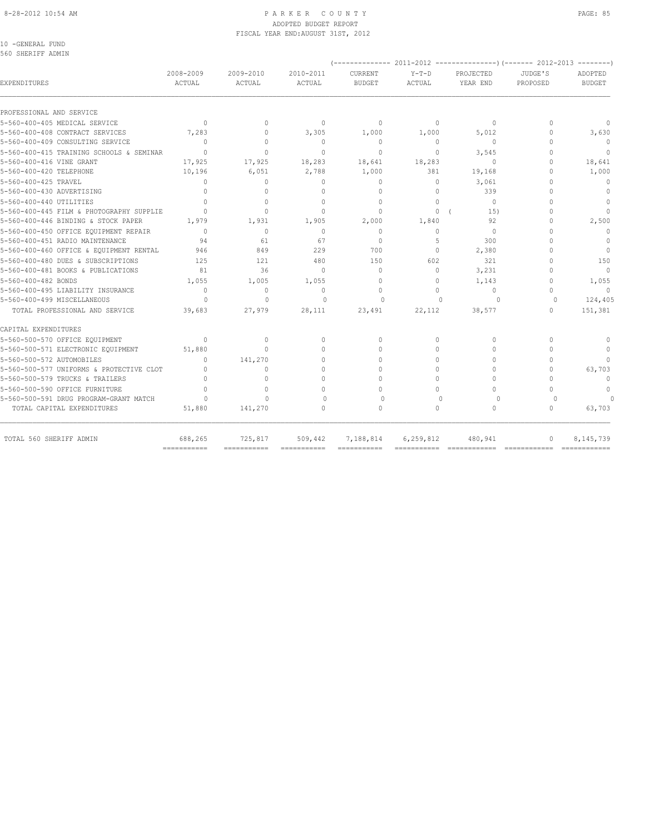#### 8-28-2012 10:54 AM PAGE: 85 ADOPTED BUDGET REPORT FISCAL YEAR END:AUGUST 31ST, 2012

10 -GENERAL FUND 560 SHERIFF ADMIN

| 2008-2009<br>ACTUAL              | 2009-2010<br>ACTUAL                                                                                                                                   | 2010-2011<br>ACTUAL | CURRENT<br><b>BUDGET</b>         | $Y-T-D$<br>ACTUAL                | PROJECTED<br>YEAR END            | JUDGE'S<br>PROPOSED                                                                | ADOPTED<br><b>BUDGET</b> |
|----------------------------------|-------------------------------------------------------------------------------------------------------------------------------------------------------|---------------------|----------------------------------|----------------------------------|----------------------------------|------------------------------------------------------------------------------------|--------------------------|
|                                  |                                                                                                                                                       |                     |                                  |                                  |                                  |                                                                                    |                          |
|                                  |                                                                                                                                                       |                     |                                  |                                  |                                  | $\cap$                                                                             | $\Omega$                 |
|                                  | $\begin{array}{c} \n\end{array}$                                                                                                                      |                     |                                  |                                  |                                  | $\Omega$                                                                           | 3,630                    |
| $\Omega$                         | $\mathbf{0}$                                                                                                                                          | $\mathbf{0}$        | $\circ$                          | 0                                | $\mathbf{0}$                     | $\cap$                                                                             | $\mathbf{0}$             |
| $\Omega$                         | $\Omega$                                                                                                                                              | $\Omega$            | $\Omega$                         | $\circ$                          |                                  | $\cap$                                                                             | $\Omega$                 |
| 17,925                           | 17,925                                                                                                                                                | 18,283              | 18,641                           | 18,283                           | $\Omega$                         | $\Omega$                                                                           | 18,641                   |
| 10,196                           | 6,051                                                                                                                                                 | 2,788               | 1,000                            | 381                              | 19,168                           | $\cap$                                                                             | 1,000                    |
| $\begin{array}{c} \n\end{array}$ | $\Omega$                                                                                                                                              | $\Omega$            | $\circ$                          | 0                                | 3,061                            | $\cap$                                                                             | $\mathbf{0}$             |
| $\bigcap$                        | $\cap$                                                                                                                                                | $\cap$              | $\Omega$                         | $\Omega$                         | 339                              | $\cap$                                                                             | $\Omega$                 |
| $\bigcap$                        | $\Omega$                                                                                                                                              | $\Omega$            | $\mathbf{0}$                     | $\Omega$                         | $\Omega$                         |                                                                                    | $\mathbf{0}$             |
| $\bigcap$                        | $\Omega$                                                                                                                                              | $\Omega$            | $\Omega$                         | $\circ$                          | 15)                              | $\cap$                                                                             | $\bigcap$                |
| 1,979                            | 1,931                                                                                                                                                 | 1,905               | 2,000                            | 1,840                            | 92                               | $\cap$                                                                             | 2,500                    |
| $\Omega$                         | $\circ$                                                                                                                                               | $\mathbf{0}$        | $\mathbf{0}$                     | $\Omega$                         | $\mathbf{0}$                     | $\cap$                                                                             | $\mathbf{0}$             |
| 94                               | 61                                                                                                                                                    | 67                  | $\Omega$                         | 5                                | 300                              |                                                                                    | $\mathbf{0}$             |
| 946                              | 849                                                                                                                                                   | 229                 | 700                              | $\Omega$                         | 2,380                            | $\cap$                                                                             | $\Omega$                 |
| 125                              | 121                                                                                                                                                   | 480                 | 150                              | 602                              | 321                              |                                                                                    | 150                      |
| 81                               | 36                                                                                                                                                    | $\Omega$            | $\Omega$                         | $\Omega$                         | 3,231                            | $\cap$                                                                             | $\Omega$                 |
| 1,055                            | 1,005                                                                                                                                                 | 1,055               | $\Omega$                         | $\cap$                           | 1,143                            | $\cap$                                                                             | 1,055                    |
| $\begin{array}{c} \n\end{array}$ | $\mathbf{0}$                                                                                                                                          | $\Omega$            | $\begin{array}{c} \n\end{array}$ | $\Omega$                         | $\begin{array}{c} \n\end{array}$ | $\cap$                                                                             | $\Omega$                 |
| $\circ$                          | $\mathbf{0}$                                                                                                                                          | $\mathbf{0}$        | 0                                | $\mathbf{0}$                     | 0                                | 0                                                                                  | 124,405                  |
| 39,683                           | 27,979                                                                                                                                                | 28,111              | 23,491                           | 22,112                           | 38,577                           | $\Omega$                                                                           | 151,381                  |
|                                  |                                                                                                                                                       |                     |                                  |                                  |                                  |                                                                                    |                          |
| $\circ$                          | $\mathbf{0}$                                                                                                                                          | $\mathbf{0}$        | $\begin{array}{c} \n\end{array}$ | 0                                | $\Omega$                         | $\Omega$                                                                           | $\Omega$                 |
| 51,880                           | $\Omega$                                                                                                                                              | $\Omega$            | $\Omega$                         | $\Omega$                         | $\Omega$                         | $\cap$                                                                             |                          |
| $\begin{array}{c} \n\end{array}$ | 141,270                                                                                                                                               | $\Omega$            | $\Omega$                         | $\Omega$                         | $\Omega$                         | $\cap$                                                                             |                          |
| $\begin{array}{c} \n\end{array}$ | 0                                                                                                                                                     | $\bigcap$           | $\bigcap$                        | $\bigcap$                        | $\cap$                           | $\bigcap$                                                                          | 63,703                   |
| $\Omega$                         | $\Omega$                                                                                                                                              | $\cap$              | $\Omega$                         | $\cap$                           | $\Omega$                         | $\cap$                                                                             | $\Omega$                 |
| $\Omega$                         | $\Omega$                                                                                                                                              | $\bigcap$           | $\Omega$                         | $\Omega$                         | $\Omega$                         | $\cap$                                                                             | $\mathbf{0}$             |
| $\cap$                           | $\bigcap$                                                                                                                                             | $\Omega$            | $\Omega$                         | $\Omega$                         | $\Omega$                         | $\cap$                                                                             | $\Omega$                 |
| 51,880                           | 141,270                                                                                                                                               | $\bigcap$           | $\Omega$                         | $\bigcap$                        | $\Omega$                         | 0                                                                                  | 63,703                   |
| 688,265                          | 725,817                                                                                                                                               | 509,442             | 7,188,814                        | 6,259,812                        | 480,941                          | $\Omega$                                                                           | 8,145,739                |
|                                  | $\Omega$<br>7,283<br>5-560-400-415 TRAINING SCHOOLS & SEMINAR<br>5-560-400-445 FILM & PHOTOGRAPHY SUPPLIE<br>5-560-500-577 UNIFORMS & PROTECTIVE CLOT | $\Omega$            | $\Omega$<br>3,305                | $\Omega$<br>1,000<br>=========== | $\Omega$<br>1,000                | $\begin{array}{c} \n\end{array}$<br>5,012<br>3,545<br>============================ |                          |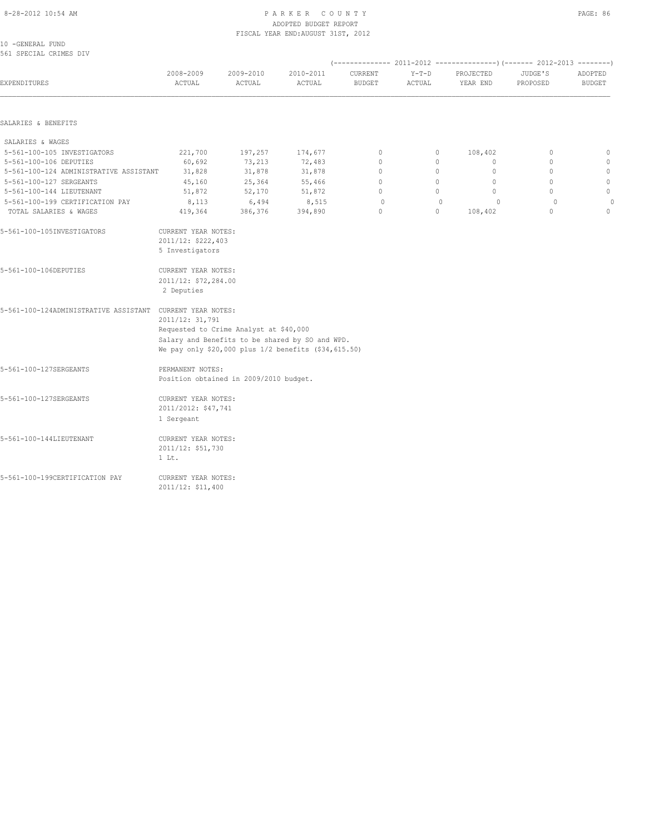#### 8-28-2012 10:54 AM PAGE: 86 PARKER COUNTY PAGE: 86 ADOPTED BUDGET REPORT FISCAL YEAR END:AUGUST 31ST, 2012

10 -GENERAL FUND 561 SPECIAL CRIMES DIV

| <b>EXPENDITURES</b>                                                                                              | 2008-2009<br>ACTUAL                                                                                                                          | 2009-2010<br>ACTUAL                    | 2010-2011<br>ACTUAL                                                                                     | CURRENT<br><b>BUDGET</b> | $Y-T-D$<br>ACTUAL | PROJECTED<br>YEAR END | JUDGE'S<br>PROPOSED | ADOPTED<br><b>BUDGET</b> |  |  |
|------------------------------------------------------------------------------------------------------------------|----------------------------------------------------------------------------------------------------------------------------------------------|----------------------------------------|---------------------------------------------------------------------------------------------------------|--------------------------|-------------------|-----------------------|---------------------|--------------------------|--|--|
| SALARIES & BENEFITS                                                                                              |                                                                                                                                              |                                        |                                                                                                         |                          |                   |                       |                     |                          |  |  |
| SALARIES & WAGES                                                                                                 |                                                                                                                                              |                                        |                                                                                                         |                          |                   |                       |                     |                          |  |  |
| 5-561-100-105 INVESTIGATORS                                                                                      | 221,700                                                                                                                                      | 197,257                                | 174,677                                                                                                 | $\circ$                  | $\circ$           | 108,402               | $\mathbf 0$         | $\circ$                  |  |  |
| 5-561-100-106 DEPUTIES                                                                                           | 60,692                                                                                                                                       | 73,213                                 | 72,483                                                                                                  | $\mathbf 0$              | $\circ$           | $\circ$               | $\circ$             | $\mathbb O$              |  |  |
| 5-561-100-124 ADMINISTRATIVE ASSISTANT                                                                           | 31,828                                                                                                                                       | 31,878                                 | 31,878                                                                                                  | $\overline{0}$           | $\circ$           | $\circ$               | $\Omega$            | $\mathbb O$              |  |  |
| 5-561-100-127 SERGEANTS                                                                                          | 45,160                                                                                                                                       | 25,364                                 | 55,466                                                                                                  | $\mathbf{0}$             | $\circ$           | $\circ$               | $\circ$             | $\mathbb O$              |  |  |
| 5-561-100-144 LIEUTENANT                                                                                         | 51,872                                                                                                                                       | 52,170                                 | 51,872                                                                                                  | $\overline{0}$           | $\circ$           | $\circ$               | $\Omega$            | $\mathbb O$              |  |  |
| 5-561-100-199 CERTIFICATION PAY                                                                                  | 8,113                                                                                                                                        | 6,494                                  | 8,515                                                                                                   | $\Omega$                 | $\mathbf{0}$      | $\circ$               | $\Omega$            | $\theta$                 |  |  |
| TOTAL SALARIES & WAGES                                                                                           | 419,364                                                                                                                                      | 386,376                                | 394,890                                                                                                 | $\mathbf{0}$             | $\circ$           | 108,402               | $\circ$             | $\circ$                  |  |  |
| 5-561-100-105INVESTIGATORS<br>5-561-100-106DEPUTIES<br>5-561-100-124ADMINISTRATIVE ASSISTANT CURRENT YEAR NOTES: | CURRENT YEAR NOTES:<br>2011/12: \$222,403<br>5 Investigators<br>CURRENT YEAR NOTES:<br>2011/12: \$72,284.00<br>2 Deputies<br>2011/12: 31,791 | Requested to Crime Analyst at \$40,000 |                                                                                                         |                          |                   |                       |                     |                          |  |  |
| 5-561-100-127SERGEANTS                                                                                           | PERMANENT NOTES:                                                                                                                             | Position obtained in 2009/2010 budget. | Salary and Benefits to be shared by SO and WPD.<br>We pay only \$20,000 plus 1/2 benefits (\$34,615.50) |                          |                   |                       |                     |                          |  |  |
| 5-561-100-127SERGEANTS                                                                                           | CURRENT YEAR NOTES:<br>2011/2012: \$47,741<br>1 Sergeant                                                                                     |                                        |                                                                                                         |                          |                   |                       |                     |                          |  |  |
| 5-561-100-144LIEUTENANT                                                                                          | CURRENT YEAR NOTES:<br>2011/12: \$51,730<br>$1$ Lt.                                                                                          |                                        |                                                                                                         |                          |                   |                       |                     |                          |  |  |

5-561-100-199CERTIFICATION PAY CURRENT YEAR NOTES: 2011/12: \$11,400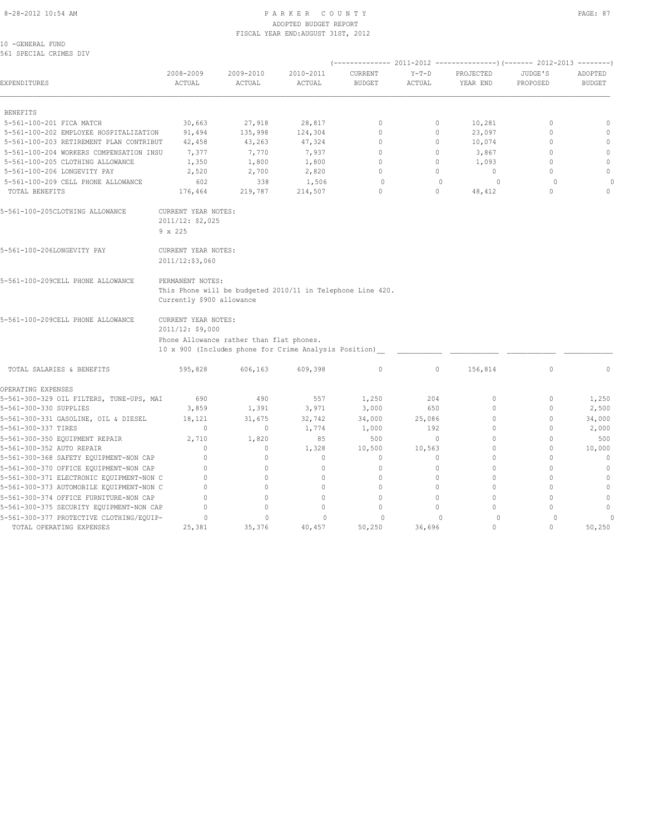#### 8-28-2012 10:54 AM PAGE: 87 ADOPTED BUDGET REPORT FISCAL YEAR END:AUGUST 31ST, 2012

10 -GENERAL FUND 561 SPECIAL CRIMES DIV

| EXPENDITURES                                                                       | 2008-2009<br>ACTUAL                                                                               | 2009-2010<br>ACTUAL | 2010-2011<br>ACTUAL                                        | CURRENT<br><b>BUDGET</b>                     | $Y-T-D$<br>ACTUAL   | PROJECTED<br>YEAR END | JUDGE'S<br>PROPOSED  | ADOPTED<br><b>BUDGET</b> |  |  |  |
|------------------------------------------------------------------------------------|---------------------------------------------------------------------------------------------------|---------------------|------------------------------------------------------------|----------------------------------------------|---------------------|-----------------------|----------------------|--------------------------|--|--|--|
| <b>BENEFITS</b>                                                                    |                                                                                                   |                     |                                                            |                                              |                     |                       |                      |                          |  |  |  |
| 5-561-100-201 FICA MATCH                                                           | 30,663                                                                                            | 27,918              | 28,817                                                     | $\mathbf{0}$                                 | 0                   | 10,281                | $\mathbf 0$          | $\mathbf{0}$             |  |  |  |
| 5-561-100-202 EMPLOYEE HOSPITALIZATION                                             | 91,494                                                                                            | 135,998             | 124,304                                                    | $\Omega$                                     | $\circ$             | 23,097                | $\mathbf{0}$         | $\mathbf{0}$             |  |  |  |
| 5-561-100-203 RETIREMENT PLAN CONTRIBUT                                            | 42,458                                                                                            | 43,263              | 47,324                                                     | $\mathbf{0}$                                 | 0                   | 10,074                | $\mathbf 0$          | $\mathbf{0}$             |  |  |  |
| 5-561-100-204 WORKERS COMPENSATION INSU                                            | 7,377                                                                                             | 7,770               | 7,937                                                      | $\Omega$                                     | $\circ$             | 3,867                 | $\mathbf{0}$         | $\mathbf{0}$             |  |  |  |
| 5-561-100-205 CLOTHING ALLOWANCE                                                   | 1,350                                                                                             | 1,800               | 1,800                                                      | $\mathbf{0}$                                 | $\circ$             | 1,093                 | $\mathbf{0}$         | $\mathbb O$              |  |  |  |
| 5-561-100-206 LONGEVITY PAY                                                        | 2,520                                                                                             | 2,700               | 2,820                                                      | $\Omega$                                     | $\circ$             | $\mathbf{0}$          | $\Omega$             | $\mathbf{0}$             |  |  |  |
| 5-561-100-209 CELL PHONE ALLOWANCE                                                 | 602                                                                                               | 338                 | 1,506                                                      | $\circ$                                      | $\mathbf{0}$        | 0                     | $\circ$              | 0                        |  |  |  |
| TOTAL BENEFITS                                                                     | 176,464                                                                                           | 219,787             | 214,507                                                    | $\mathbf{0}$                                 | $\circ$             | 48,412                | $\circ$              | $\Omega$                 |  |  |  |
| 5-561-100-205CLOTHING ALLOWANCE                                                    | CURRENT YEAR NOTES:<br>2011/12: \$2,025                                                           |                     |                                                            |                                              |                     |                       |                      |                          |  |  |  |
|                                                                                    | 9 x 225                                                                                           |                     |                                                            |                                              |                     |                       |                      |                          |  |  |  |
| 5-561-100-206LONGEVITY PAY                                                         | CURRENT YEAR NOTES:                                                                               |                     |                                                            |                                              |                     |                       |                      |                          |  |  |  |
|                                                                                    | 2011/12:\$3,060                                                                                   |                     |                                                            |                                              |                     |                       |                      |                          |  |  |  |
| 5-561-100-209CELL PHONE ALLOWANCE                                                  | PERMANENT NOTES:<br>Currently \$900 allowance                                                     |                     | This Phone will be budgeted 2010/11 in Telephone Line 420. |                                              |                     |                       |                      |                          |  |  |  |
| 5-561-100-209CELL PHONE ALLOWANCE                                                  | CURRENT YEAR NOTES:<br>2011/12: \$9,000                                                           |                     |                                                            |                                              |                     |                       |                      |                          |  |  |  |
|                                                                                    | Phone Allowance rather than flat phones.<br>10 x 900 (Includes phone for Crime Analysis Position) |                     |                                                            |                                              |                     |                       |                      |                          |  |  |  |
|                                                                                    |                                                                                                   |                     |                                                            |                                              |                     |                       |                      |                          |  |  |  |
| TOTAL SALARIES & BENEFITS                                                          | 595,828                                                                                           | 606,163             | 609,398                                                    | $\mathbb O$                                  | $\circ$             | 156,814               | $\mathbb O$          | $\mathbf{0}$             |  |  |  |
| OPERATING EXPENSES                                                                 |                                                                                                   |                     |                                                            |                                              |                     |                       |                      |                          |  |  |  |
| 5-561-300-329 OIL FILTERS, TUNE-UPS, MAI                                           | 690                                                                                               | 490                 | 557                                                        | 1,250                                        | 204                 | $\circ$               | $\circ$              | 1,250                    |  |  |  |
| 5-561-300-330 SUPPLIES                                                             | 3,859                                                                                             | 1,391               | 3,971                                                      | 3,000                                        | 650                 | $\circ$               | $\circ$              | 2,500                    |  |  |  |
| 5-561-300-331 GASOLINE, OIL & DIESEL                                               | 18,121                                                                                            | 31,675              | 32,742                                                     | 34,000                                       | 25,086              | $\circ$               | $\mathbf{0}$         | 34,000                   |  |  |  |
| 5-561-300-337 TIRES                                                                | $\mathbf{0}$                                                                                      | $\mathbf{0}$        | 1,774                                                      | 1,000                                        | 192                 | $\Omega$              | $\mathbf{0}$         | 2,000                    |  |  |  |
| 5-561-300-350 EQUIPMENT REPAIR                                                     | 2,710                                                                                             | 1,820               | 85                                                         | 500                                          | $\circ$             | $\Omega$              | $\mathbf{0}$         | 500                      |  |  |  |
| 5-561-300-352 AUTO REPAIR                                                          | $\mathbf{0}$                                                                                      | $\circ$             | 1,328                                                      | 10,500                                       | 10,563              | $\circ$               | $\mathbf 0$          | 10,000                   |  |  |  |
| 5-561-300-368 SAFETY EQUIPMENT-NON CAP                                             | $\mathbf 0$                                                                                       | 0                   | $\circ$                                                    | $\mathbf{0}$                                 | $\circ$             | $\Omega$              | $\mathbf{0}$         | $\mathbf{0}$             |  |  |  |
| 5-561-300-370 OFFICE EQUIPMENT-NON CAP                                             | $\mathbf{0}$                                                                                      | $\Omega$            | $\mathbf{0}$                                               | $\begin{array}{c} \n\end{array}$             | $\circ$             | $\Omega$              | $\Omega$             | $\mathbf{0}$             |  |  |  |
| 5-561-300-371 ELECTRONIC EQUIPMENT-NON C                                           | $\mathbf 0$<br>$\Omega$                                                                           | $\Omega$            | $\mathbf{0}$                                               | $\Omega$                                     | $\circ$<br>$\Omega$ | $\Omega$<br>$\Omega$  | $\Omega$<br>$\Omega$ | $\mathbf{0}$<br>$\Omega$ |  |  |  |
| 5-561-300-373 AUTOMOBILE EQUIPMENT-NON C                                           | $\mathbf 0$                                                                                       | 0<br>$\Omega$       | $\circ$<br>$\mathbf{0}$                                    | $\begin{array}{c} \n\end{array}$<br>$\Omega$ | $\Omega$            | $\Omega$              | $\Omega$             |                          |  |  |  |
| 5-561-300-374 OFFICE FURNITURE-NON CAP<br>5-561-300-375 SECURITY EQUIPMENT-NON CAP | $\Omega$                                                                                          | 0                   | $\Omega$                                                   | $\begin{array}{c} \n\end{array}$             | $\Omega$            | $\bigcap$             | $\Omega$             | $\mathbb O$<br>$\Omega$  |  |  |  |
| 5-561-300-377 PROTECTIVE CLOTHING/EQUIP-                                           | $\circ$                                                                                           | $\Omega$            | $\Omega$                                                   | $\circ$                                      | $\Omega$            | $\circ$               | $\Omega$             | $\overline{0}$           |  |  |  |
|                                                                                    |                                                                                                   |                     |                                                            |                                              |                     |                       |                      |                          |  |  |  |

TOTAL OPERATING EXPENSES 25,381 35,376 40,457 50,250 36,696 0 0 50,250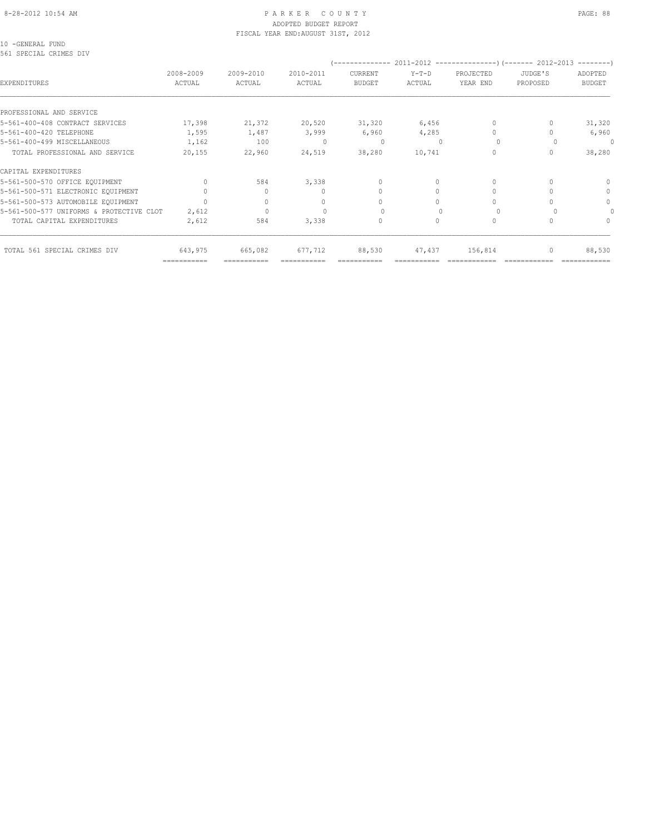#### 8-28-2012 10:54 AM P A R K E R C O U N T Y PAGE: 88 ADOPTED BUDGET REPORT FISCAL YEAR END:AUGUST 31ST, 2012

10 -GENERAL FUND 561 SPECIAL CRIMES DIV

|                                          |                     |                                  |                                  |                          |                   |                                  |                     | ---------                |
|------------------------------------------|---------------------|----------------------------------|----------------------------------|--------------------------|-------------------|----------------------------------|---------------------|--------------------------|
| EXPENDITURES                             | 2008-2009<br>ACTUAL | 2009-2010<br>ACTUAL              | 2010-2011<br>ACTUAL              | CURRENT<br><b>BUDGET</b> | $Y-T-D$<br>ACTUAL | PROJECTED<br>YEAR END            | JUDGE'S<br>PROPOSED | ADOPTED<br><b>BUDGET</b> |
| PROFESSIONAL AND SERVICE                 |                     |                                  |                                  |                          |                   |                                  |                     |                          |
| 5-561-400-408 CONTRACT SERVICES          | 17,398              | 21,372                           | 20,520                           | 31,320                   | 6,456             | $\begin{array}{c} \n\end{array}$ |                     | 31,320                   |
| 5-561-400-420 TELEPHONE                  | 1,595               | 1,487                            | 3,999                            | 6,960                    | 4,285             | $\bigcap$                        |                     | 6,960                    |
| 5-561-400-499 MISCELLANEOUS              | 1,162               | 100                              | $\cup$                           | $\Omega$                 | $\Omega$          | $\Omega$                         |                     | $\Omega$                 |
| TOTAL PROFESSIONAL AND SERVICE           | 20,155              | 22,960                           | 24,519                           | 38,280                   | 10,741            | $\Omega$                         | $\Omega$            | 38,280                   |
| CAPITAL EXPENDITURES                     |                     |                                  |                                  |                          |                   |                                  |                     |                          |
| 5-561-500-570 OFFICE EQUIPMENT           | $\cap$              | 584                              | 3,338                            | $\Omega$                 |                   | $\Omega$                         |                     |                          |
| 5-561-500-571 ELECTRONIC EQUIPMENT       | $\cap$              |                                  | $\cup$                           | $\Omega$                 | $\bigcap$         | $\Omega$                         |                     | $\Omega$                 |
| 5-561-500-573 AUTOMOBILE EQUIPMENT       | $\cap$              | $\begin{array}{c} \n\end{array}$ | $\begin{array}{c} \n\end{array}$ | $\bigcap$                | $\Omega$          | $\bigcap$                        |                     | $\Omega$                 |
| 5-561-500-577 UNIFORMS & PROTECTIVE CLOT | 2,612               | $\Omega$                         |                                  |                          | $\Omega$          |                                  |                     |                          |
| TOTAL CAPITAL EXPENDITURES               | 2,612               | 584                              | 3,338                            | 0                        | $\Omega$          | $\mathbf{0}$                     |                     | 0                        |
| TOTAL 561 SPECIAL CRIMES DIV             | 643,975             | 665,082                          | 677,712                          | 88,530                   | 47,437            | 156,814                          | $\mathbf{0}$        | 88,530                   |
|                                          | ===========         |                                  |                                  |                          |                   |                                  |                     |                          |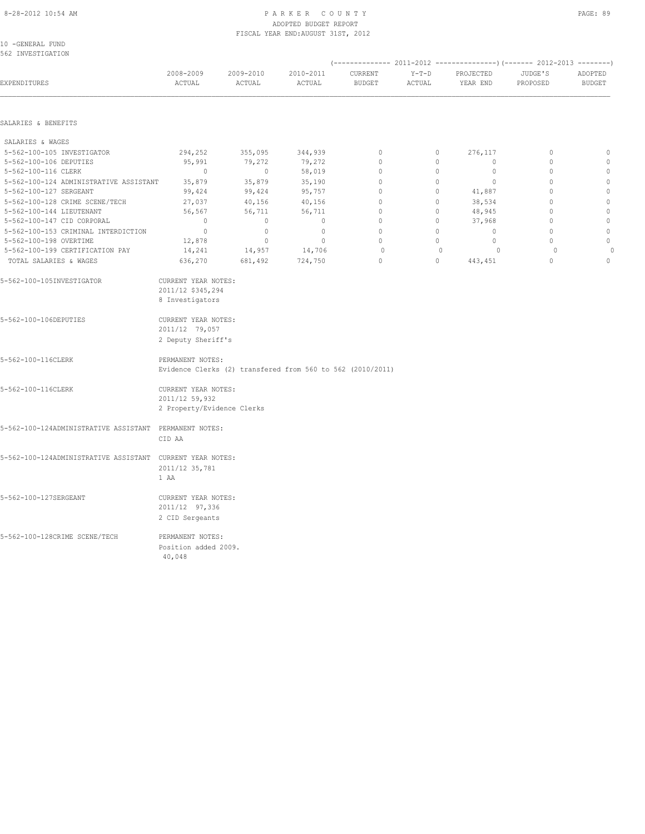#### 8-28-2012 10:54 AM P A R K E R C O U N T Y PAGE: 89 ADOPTED BUDGET REPORT FISCAL YEAR END:AUGUST 31ST, 2012

| 10 -GENERAL FUND  |  |
|-------------------|--|
| 562 INVESTIGATION |  |

| <b>EXPENDITURES</b>                                       | 2008-2009<br>ACTUAL                                                            | 2009-2010<br>ACTUAL | 2010-2011<br>ACTUAL | CURRENT<br><b>BUDGET</b> | $Y-T-D$<br>ACTUAL | PROJECTED<br>YEAR END | JUDGE'S<br>PROPOSED | ADOPTED<br><b>BUDGET</b> |
|-----------------------------------------------------------|--------------------------------------------------------------------------------|---------------------|---------------------|--------------------------|-------------------|-----------------------|---------------------|--------------------------|
| SALARIES & BENEFITS                                       |                                                                                |                     |                     |                          |                   |                       |                     |                          |
|                                                           |                                                                                |                     |                     |                          |                   |                       |                     |                          |
| SALARIES & WAGES                                          |                                                                                |                     |                     |                          |                   |                       |                     |                          |
| 5-562-100-105 INVESTIGATOR                                | 294,252                                                                        | 355,095             | 344,939             | $\circ$                  | $\circ$           | 276,117               | $\mathbf{0}$        | $\mathbb O$              |
| 5-562-100-106 DEPUTIES                                    | 95,991                                                                         | 79,272              | 79,272              | $\mathbf{0}$             | $\circ$           | $\circ$               | $\mathbb O$         | $\mathbf{0}$             |
| 5-562-100-116 CLERK                                       | $\circ$                                                                        | $\circ$             | 58,019              | $\mathbf 0$              | 0                 | $\circ$               | $\mathbf 0$         | $\mathbb O$              |
| 5-562-100-124 ADMINISTRATIVE ASSISTANT                    | 35,879                                                                         | 35,879              | 35,190              | $\circ$                  | $\circ$           | $\circ$               | $\mathbf{0}$        | $\mathbf{0}$             |
| 5-562-100-127 SERGEANT                                    | 99,424                                                                         | 99,424              | 95,757              | $\mathbf{0}$             | 0                 | 41,887                | $\mathbf{0}$        | $\mathbb O$              |
| 5-562-100-128 CRIME SCENE/TECH                            | 27,037                                                                         | 40,156              | 40,156              | $\mathbf{0}$             | 0                 | 38,534                | $\mathbf{0}$        | $\mathbb O$              |
| 5-562-100-144 LIEUTENANT                                  | 56,567                                                                         | 56,711              | 56,711              | $\circ$                  | $\circ$           | 48,945                | $\mathbf{0}$        | $\mathbb O$              |
| 5-562-100-147 CID CORPORAL                                | $\mathbf{0}$                                                                   | $\mathbf{0}$        | $\mathbf{0}$        | $\circ$                  | $\circ$           | 37,968                | $\mathbf{0}$        | $\mathbb O$              |
| 5-562-100-153 CRIMINAL INTERDICTION                       | $\mathbb O$                                                                    | $\mathbf{0}$        | $\mathbb O$         | $\mathbf{0}$             | $\circ$           | $\circ$               | $\mathbf{0}$        | $\mathbb O$              |
| 5-562-100-198 OVERTIME                                    | 12,878                                                                         | $\circ$             | $\mathbb O$         | $\Omega$                 | $\circ$           | $\circ$               | $\Omega$            | $\mathbb O$              |
| 5-562-100-199 CERTIFICATION PAY                           | 14,241                                                                         | 14,957              | 14,706              | $\circ$                  | $\circ$           | $\circ$               | $\circ$             |                          |
| TOTAL SALARIES & WAGES                                    | 636,270                                                                        | 681,492             | 724,750             | $\mathbf{0}$             | $\circ$           | 443,451               | $\circ$             | $\mathbb O$              |
| 5-562-100-105INVESTIGATOR                                 | CURRENT YEAR NOTES:<br>2011/12 \$345,294<br>8 Investigators                    |                     |                     |                          |                   |                       |                     |                          |
| 5-562-100-106DEPUTIES                                     | CURRENT YEAR NOTES:<br>2011/12 79,057<br>2 Deputy Sheriff's                    |                     |                     |                          |                   |                       |                     |                          |
| 5-562-100-116CLERK                                        | PERMANENT NOTES:<br>Evidence Clerks (2) transfered from 560 to 562 (2010/2011) |                     |                     |                          |                   |                       |                     |                          |
| 5-562-100-116CLERK                                        | CURRENT YEAR NOTES:<br>2011/12 59,932<br>2 Property/Evidence Clerks            |                     |                     |                          |                   |                       |                     |                          |
| 5-562-100-124ADMINISTRATIVE ASSISTANT PERMANENT NOTES:    | CID AA                                                                         |                     |                     |                          |                   |                       |                     |                          |
| 5-562-100-124ADMINISTRATIVE ASSISTANT CURRENT YEAR NOTES: | 2011/12 35,781<br>1 AA                                                         |                     |                     |                          |                   |                       |                     |                          |
| 5-562-100-127SERGEANT                                     | CURRENT YEAR NOTES:<br>2011/12 97,336<br>2 CID Sergeants                       |                     |                     |                          |                   |                       |                     |                          |
| 5-562-100-128CRIME SCENE/TECH                             | PERMANENT NOTES:<br>Position added 2009.<br>40,048                             |                     |                     |                          |                   |                       |                     |                          |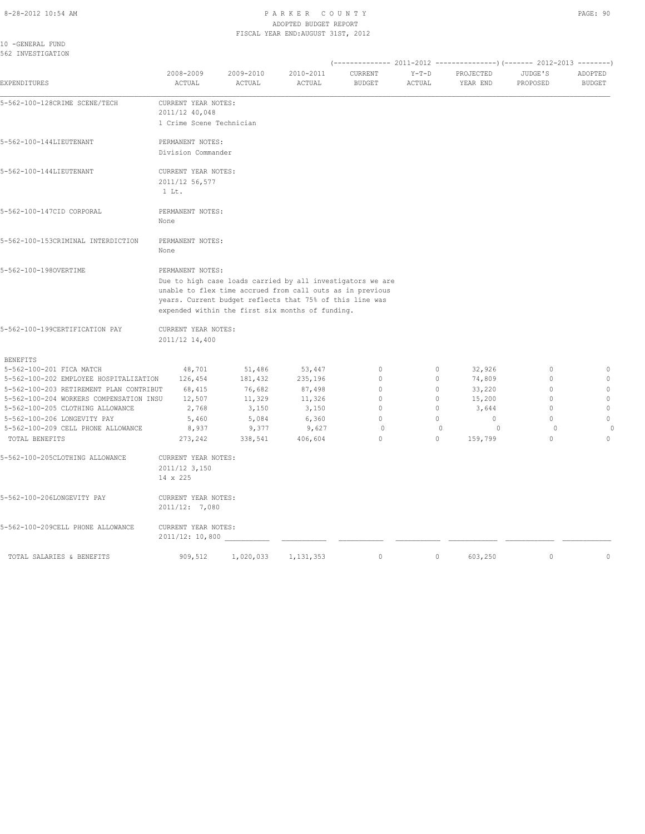#### 8-28-2012 10:54 AM P A R K E R C O U N T Y PAGE: 90 ADOPTED BUDGET REPORT FISCAL YEAR END:AUGUST 31ST, 2012

10 -GENERAL FUND 562 INVESTIGATION

| EXPENDITURES                            | 2008-2009<br>ACTUAL                                                                                                                                                                                                                                         | 2009-2010<br>ACTUAL | 2010-2011<br>ACTUAL | CURRENT<br><b>BUDGET</b> | $Y-T-D$<br>ACTUAL | PROJECTED<br>YEAR END | JUDGE'S<br>PROPOSED | ADOPTED<br><b>BUDGET</b> |
|-----------------------------------------|-------------------------------------------------------------------------------------------------------------------------------------------------------------------------------------------------------------------------------------------------------------|---------------------|---------------------|--------------------------|-------------------|-----------------------|---------------------|--------------------------|
| 5-562-100-128CRIME SCENE/TECH           | CURRENT YEAR NOTES:<br>2011/12 40,048<br>1 Crime Scene Technician                                                                                                                                                                                           |                     |                     |                          |                   |                       |                     |                          |
| 5-562-100-144LIEUTENANT                 | PERMANENT NOTES:<br>Division Commander                                                                                                                                                                                                                      |                     |                     |                          |                   |                       |                     |                          |
| 5-562-100-144LIEUTENANT                 | CURRENT YEAR NOTES:<br>2011/12 56,577<br>$1$ Lt.                                                                                                                                                                                                            |                     |                     |                          |                   |                       |                     |                          |
| 5-562-100-147CID CORPORAL               | PERMANENT NOTES:<br>None                                                                                                                                                                                                                                    |                     |                     |                          |                   |                       |                     |                          |
| 5-562-100-153CRIMINAL INTERDICTION      | PERMANENT NOTES:<br>None                                                                                                                                                                                                                                    |                     |                     |                          |                   |                       |                     |                          |
| 5-562-100-1980VERTIME                   | PERMANENT NOTES:<br>Due to high case loads carried by all investigators we are<br>unable to flex time accrued from call outs as in previous<br>years. Current budget reflects that 75% of this line was<br>expended within the first six months of funding. |                     |                     |                          |                   |                       |                     |                          |
| 5-562-100-199CERTIFICATION PAY          | CURRENT YEAR NOTES:<br>2011/12 14,400                                                                                                                                                                                                                       |                     |                     |                          |                   |                       |                     |                          |
| <b>BENEFITS</b>                         |                                                                                                                                                                                                                                                             |                     |                     |                          |                   |                       |                     |                          |
| 5-562-100-201 FICA MATCH                | 48,701                                                                                                                                                                                                                                                      | 51,486              | 53,447              | $\circ$                  | $\circ$           | 32,926                | $\circ$             | $\mathbb O$              |
| 5-562-100-202 EMPLOYEE HOSPITALIZATION  | 126,454                                                                                                                                                                                                                                                     | 181,432             | 235,196             | $\circ$                  | 0                 | 74,809                | $\mathbf{0}$        | $\mathbb O$              |
| 5-562-100-203 RETIREMENT PLAN CONTRIBUT | 68,415                                                                                                                                                                                                                                                      | 76,682              | 87,498              | $\circ$                  | $\circ$           | 33,220                | $\circ$             | $\mathbb O$              |
| 5-562-100-204 WORKERS COMPENSATION INSU | 12,507                                                                                                                                                                                                                                                      | 11,329              | 11,326              | $\mathbf{0}$             | $\circ$           | 15,200                | $\mathbf{0}$        | $\mathbb O$              |
| 5-562-100-205 CLOTHING ALLOWANCE        | 2,768                                                                                                                                                                                                                                                       | 3,150               | 3,150               | $\mathbf{0}$             | $\circ$           | 3,644                 | $\mathbf{0}$        | $\mathbb O$              |
| 5-562-100-206 LONGEVITY PAY             | 5,460                                                                                                                                                                                                                                                       | 5,084               | 6,360               | $\Omega$                 | 0                 | $\circ$               | $\Omega$            | $\mathbb O$              |
| 5-562-100-209 CELL PHONE ALLOWANCE      | 8,937                                                                                                                                                                                                                                                       | 9,377               | 9,627               | $\circ$                  | $\mathbf{0}$      | $\circ$               | $\circ$             |                          |
| TOTAL BENEFITS                          | 273,242                                                                                                                                                                                                                                                     | 338,541             | 406,604             | $\Omega$                 | $\Omega$          | 159,799               | $\Omega$            | $\mathbf{0}$             |
| 5-562-100-205CLOTHING ALLOWANCE         | CURRENT YEAR NOTES:<br>2011/12 3,150<br>14 x 225                                                                                                                                                                                                            |                     |                     |                          |                   |                       |                     |                          |
| 5-562-100-206LONGEVITY PAY              | CURRENT YEAR NOTES:<br>2011/12: 7,080                                                                                                                                                                                                                       |                     |                     |                          |                   |                       |                     |                          |
| 5-562-100-209CELL PHONE ALLOWANCE       | CURRENT YEAR NOTES:<br>2011/12: 10,800                                                                                                                                                                                                                      |                     |                     |                          |                   |                       |                     |                          |
| TOTAL SALARIES & BENEFITS               | 909,512                                                                                                                                                                                                                                                     | 1,020,033           | 1, 131, 353         | $\mathbf{0}$             | $\circ$           | 603,250               | $\circ$             | $\circ$                  |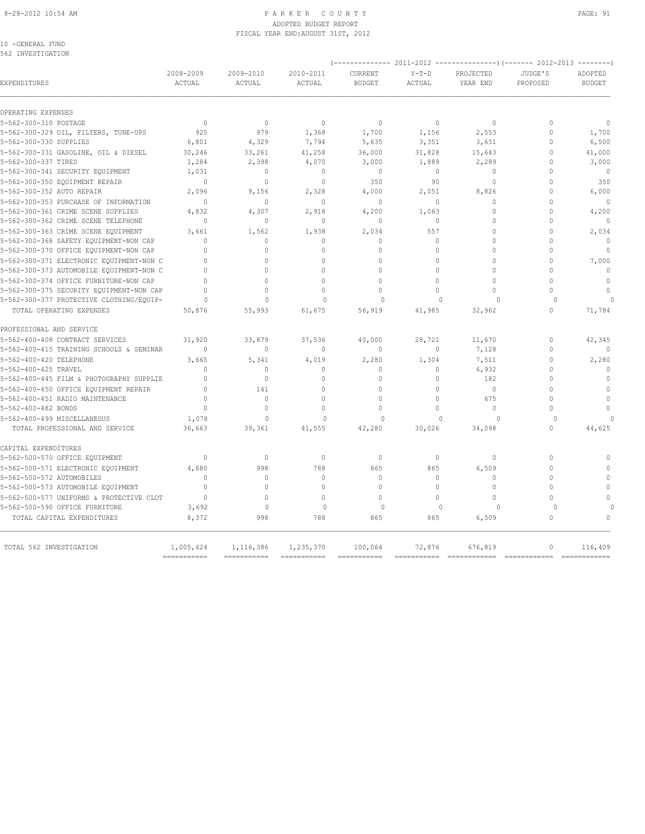#### 8-28-2012 10:54 AM PAGE: 91 ADOPTED BUDGET REPORT FISCAL YEAR END:AUGUST 31ST, 2012

10 -GENERAL FUND 562 INVESTIGATION

|                                                               |                            | $---------2011-2012$<br>$------------() (------ 2012-2013)$<br>-------- |                            |                          |                   |                       |                      |                          |  |
|---------------------------------------------------------------|----------------------------|-------------------------------------------------------------------------|----------------------------|--------------------------|-------------------|-----------------------|----------------------|--------------------------|--|
| EXPENDITURES                                                  | 2008-2009<br><b>ACTUAL</b> | 2009-2010<br>ACTUAL                                                     | 2010-2011<br><b>ACTUAL</b> | CURRENT<br><b>BUDGET</b> | $Y-T-D$<br>ACTUAL | PROJECTED<br>YEAR END | JUDGE'S<br>PROPOSED  | ADOPTED<br><b>BUDGET</b> |  |
| OPERATING EXPENSES                                            |                            |                                                                         |                            |                          |                   |                       |                      |                          |  |
| 5-562-300-310 POSTAGE                                         | $\circ$                    | $\circ$                                                                 | $\mathbf{0}$               | $\mathbf{0}$             | $\circ$           | $\circ$               | $\Omega$             | $\mathbf{0}$             |  |
| 5-562-300-329 OIL, FILTERS, TUNE-UPS                          | 925                        | 979                                                                     | 1,368                      | 1,700                    | 1,156             | 2,553                 | $\Omega$             | 1,700                    |  |
| 5-562-300-330 SUPPLIES                                        | 6,801                      | 4,329                                                                   | 7,794                      | 5,635                    | 3,351             | 3,651                 | $\Omega$             | 6,500                    |  |
| 5-562-300-331 GASOLINE, OIL & DIESEL                          | 30,246                     | 33,261                                                                  | 41,258                     | 36,000                   | 31,828            | 15,643                | $\mathbf{0}$         | 41,000                   |  |
| 5-562-300-337 TIRES                                           | 1,284                      | 2,398                                                                   | 4,070                      | 3,000                    | 1,889             | 2,289                 | $\Omega$             | 3,000                    |  |
| 5-562-300-341 SECURITY EQUIPMENT                              | 1,031                      | $\Omega$                                                                | $\Omega$                   | $\Omega$                 | $\circ$           | $\Omega$              | $\Omega$             | $\overline{0}$           |  |
| 5-562-300-350 EQUIPMENT REPAIR                                | $\mathbf{0}$               | $\circ$                                                                 | $\mathbf{0}$               | 350                      | 90                | $\mathbf{0}$          | $\Omega$             | 350                      |  |
| 5-562-300-352 AUTO REPAIR                                     | 2,096                      | 9,156                                                                   | 2,328                      | 4,000                    | 2,051             | 8,826                 | $\Omega$             | 6,000                    |  |
| 5-562-300-353 PURCHASE OF INFORMATION                         | $\Omega$                   | $\Omega$                                                                | $\Omega$                   | $\Omega$                 | $\Omega$          | $\Omega$              | $\Omega$             | $\Omega$                 |  |
| 5-562-300-361 CRIME SCENE SUPPLIES                            | 4,832                      | 4,307                                                                   | 2,918                      | 4,200                    | 1,063             | $\mathbf{0}$          | $\Omega$             | 4,200                    |  |
| 5-562-300-362 CRIME SCENE TELEPHONE                           | $\Omega$                   | $\circ$                                                                 | $\Omega$                   | $\mathbf{0}$             | $\circ$           | $\Omega$              | $\Omega$             | $\mathbf{0}$             |  |
| 5-562-300-363 CRIME SCENE EQUIPMENT                           | 3,661                      | 1,562                                                                   | 1,938                      | 2,034                    | 557               | $\Omega$              | $\Omega$             | 2,034                    |  |
| 5-562-300-368 SAFETY EQUIPMENT-NON CAP                        | $\Omega$                   | $\Omega$                                                                | $\Omega$                   | $\mathbf{0}$             | $\Omega$          | $\Omega$              | $\Omega$             | $\Omega$                 |  |
| 5-562-300-370 OFFICE EQUIPMENT-NON CAP                        | $\Omega$                   | $\Omega$                                                                | $\Omega$                   | $\Omega$                 | $\Omega$          | $\Omega$              | $\Omega$             | $\Omega$                 |  |
| 5-562-300-371 ELECTRONIC EQUIPMENT-NON C                      | $\bigcap$                  | $\cap$                                                                  | $\cap$                     | $\cap$                   | $\cap$            | $\Omega$              | $\bigcap$            | 7,000                    |  |
| 5-562-300-373 AUTOMOBILE EQUIPMENT-NON C                      | $\Omega$                   | $\Omega$                                                                | $\Omega$                   | $\Omega$                 | $\Omega$          | $\Omega$              | $\Omega$             | $\Omega$                 |  |
| 5-562-300-374 OFFICE FURNITURE-NON CAP                        | $\bigcap$                  | $\cap$                                                                  | $\cap$                     | $\bigcap$                | $\Omega$          | $\Omega$              | $\bigcap$            | $\Omega$                 |  |
| 5-562-300-375 SECURITY EQUIPMENT-NON CAP                      | $\cap$                     | $\cap$                                                                  | $\cap$                     | $\Omega$                 | $\Omega$          | $\Omega$              | $\cap$               | $\mathbf{0}$             |  |
| 5-562-300-377 PROTECTIVE CLOTHING/EQUIP-                      | $\Omega$                   | $\Omega$                                                                | $\Omega$                   | $\Omega$                 | $\cap$            | $\Omega$              | $\Omega$             | $\Omega$                 |  |
| TOTAL OPERATING EXPENSES                                      | 50,876                     | 55,993                                                                  | 61,675                     | 56,919                   | 41,985            | 32,962                | $\Omega$             | 71,784                   |  |
| PROFESSIONAL AND SERVICE                                      |                            |                                                                         |                            |                          |                   |                       |                      |                          |  |
| 5-562-400-408 CONTRACT SERVICES                               | 31,920                     | 33,879                                                                  | 37,536                     | 40,000                   | 28,721            | 11,670                | $\Omega$             | 42,345                   |  |
| 5-562-400-415 TRAINING SCHOOLS & SEMINAR                      | $\Omega$                   | $\mathbf{0}$                                                            | $\mathbf{0}$               | $\mathbf{0}$             | $\circ$           | 7,128                 | $\Omega$             | $\Omega$                 |  |
| 5-562-400-420 TELEPHONE                                       | 3,665                      | 5,341                                                                   | 4,019                      | 2,280                    | 1,304             | 7,511                 | $\theta$             | 2,280                    |  |
| 5-562-400-425 TRAVEL                                          | $\bigcap$                  | $\Omega$                                                                | $\Omega$                   | $\Omega$                 | $\Omega$          | 6,932                 | $\bigcap$            | $\Omega$                 |  |
| 5-562-400-445 FILM & PHOTOGRAPHY SUPPLIE                      | $\Omega$                   | $\Omega$                                                                | $\Omega$                   | $\circ$                  | $\circ$           | 182                   | $\Omega$             | $\mathbf{0}$             |  |
| 5-562-400-450 OFFICE EQUIPMENT REPAIR                         | $\bigcap$                  | 141                                                                     | $\bigcap$                  | $\Omega$                 | $\Omega$          | $\theta$              | $\bigcap$            | $\theta$                 |  |
| 5-562-400-451 RADIO MAINTENANCE                               | $\bigcap$                  | $\mathbf{0}$                                                            | $\cap$                     | $\cap$                   | $\Omega$          | 675                   | $\cap$               | $\mathbf{0}$             |  |
| 5-562-400-482 BONDS                                           | $\Omega$                   | $\Omega$                                                                | $\Omega$                   | $\Omega$                 | $\Omega$          | $\circ$               | $\Omega$             | $\mathbf{0}$             |  |
| 5-562-400-499 MISCELLANEOUS<br>TOTAL PROFESSIONAL AND SERVICE | 1,078<br>36,663            | $\Omega$<br>39,361                                                      | $\Omega$<br>41,555         | $\Omega$<br>42,280       | $\cap$<br>30,026  | $\cap$<br>34,098      | $\Omega$<br>$\Omega$ | $\cap$<br>44,625         |  |
| CAPITAL EXPENDITURES                                          |                            |                                                                         |                            |                          |                   |                       |                      |                          |  |
| 5-562-500-570 OFFICE EQUIPMENT                                | $\Omega$                   | $\Omega$                                                                | $\mathbf{0}$               | $\mathbf{0}$             | $\circ$           | $\Omega$              | $\Omega$             | $\Omega$                 |  |
| 5-562-500-571 ELECTRONIC EQUIPMENT                            | 4,680                      | 998                                                                     | 788                        | 865                      | 865               | 6,509                 | $\Omega$             | $\Omega$                 |  |
| 5-562-500-572 AUTOMOBILES                                     | $\bigcap$                  | $\Omega$                                                                | $\Omega$                   | $\Omega$                 | $\Omega$          | $\Omega$              | $\bigcap$            | $\Omega$                 |  |
| 5-562-500-573 AUTOMOBILE EQUIPMENT                            | $\Omega$                   | $\Omega$                                                                | $\Omega$                   | $\Omega$                 | $\Omega$          | $\Omega$              | $\Omega$             | $\Omega$                 |  |
| 5-562-500-577 UNIFORMS & PROTECTIVE CLOT                      | $\Omega$                   | $\Omega$                                                                | $\Omega$                   | $\Omega$                 | $\Omega$          | $\Omega$              | $\cap$               | $\Omega$                 |  |
| 5-562-500-590 OFFICE FURNITURE                                | 3,692                      | $\Omega$                                                                | $\Omega$                   | $\Omega$                 | $\Omega$          | $\Omega$              | $\Omega$             |                          |  |
| TOTAL CAPITAL EXPENDITURES                                    | 8,372                      | 998                                                                     | 788                        | 865                      | 865               | 6,509                 | $\Omega$             | $\Omega$                 |  |
| TOTAL 562 INVESTIGATION                                       | 1,005,424                  | 1,116,386                                                               | 1,235,370                  | 100,064                  | 72,876            | 676,819               | $\mathbf{0}$         | 116,409                  |  |
|                                                               | ===========                | ===========                                                             | ===========                | ===========              |                   |                       |                      | ============             |  |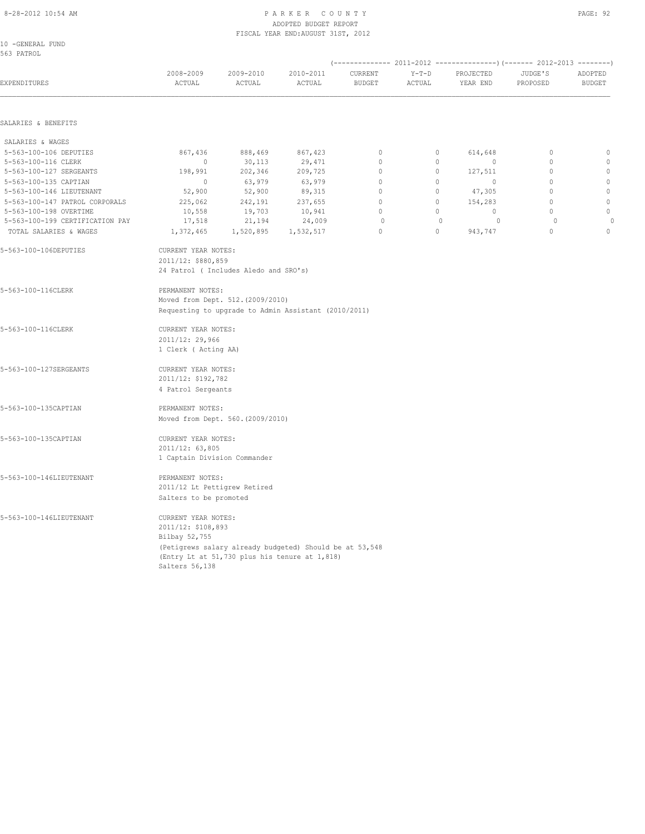#### 8-28-2012 10:54 AM PAGE: 92 ADOPTED BUDGET REPORT FISCAL YEAR END:AUGUST 31ST, 2012

| 10 -GENERAL FUND |  |
|------------------|--|
| 563 PATROL       |  |

| EXPENDITURES                    | 2008-2009<br>ACTUAL                                                                                                                                                                                                | 2009-2010<br>$\verb ACTUAL $      | 2010-2011<br>ACTUAL                                  | CURRENT<br><b>BUDGET</b> | $Y-T-D$<br>ACTUAL | PROJECTED<br>YEAR END | JUDGE'S<br>PROPOSED | ADOPTED<br><b>BUDGET</b> |
|---------------------------------|--------------------------------------------------------------------------------------------------------------------------------------------------------------------------------------------------------------------|-----------------------------------|------------------------------------------------------|--------------------------|-------------------|-----------------------|---------------------|--------------------------|
| SALARIES & BENEFITS             |                                                                                                                                                                                                                    |                                   |                                                      |                          |                   |                       |                     |                          |
| SALARIES & WAGES                |                                                                                                                                                                                                                    |                                   |                                                      |                          |                   |                       |                     |                          |
| 5-563-100-106 DEPUTIES          | 867,436                                                                                                                                                                                                            | 888,469                           | 867,423                                              | $\mathbb O$              | $\circ$           | 614,648               | $\mathbf 0$         | $\mathbb O$              |
| 5-563-100-116 CLERK             | $\circ$                                                                                                                                                                                                            | 30,113                            | 29,471                                               | $\circ$                  | $\circ$           | $\mathbf 0$           | $\circ$             | $\circ$                  |
| 5-563-100-127 SERGEANTS         | 198,991                                                                                                                                                                                                            | 202,346                           | 209,725                                              | $\mathbf 0$              | $\circ$           | 127,511               | $\circ$             | $\mathbb O$              |
| 5-563-100-135 CAPTIAN           | $\circ$                                                                                                                                                                                                            | 63,979                            | 63,979                                               | $\mathbf{0}$             | 0                 | $\mathbf 0$           | $\mathbf 0$         | $\mathbb O$              |
| 5-563-100-146 LIEUTENANT        | 52,900                                                                                                                                                                                                             | 52,900                            | 89,315                                               | 0                        | $\circ$           | 47,305                | $\mathbb O$         | $\mathbb O$              |
| 5-563-100-147 PATROL CORPORALS  | 225,062                                                                                                                                                                                                            | 242,191                           | 237,655                                              | 0                        | 0                 | 154,283               | $\circ$             | $\mathbb O$              |
| 5-563-100-198 OVERTIME          | 10,558                                                                                                                                                                                                             | 19,703                            | 10,941                                               | $\Omega$                 | $\circ$           | $\Omega$              | $\Omega$            | $\mathbb O$              |
| 5-563-100-199 CERTIFICATION PAY | 17,518                                                                                                                                                                                                             | 21,194                            | 24,009                                               | $\circ$                  | $\mathbf{0}$      | $\circ$               | $\circ$             | $\circ$                  |
| TOTAL SALARIES & WAGES          | 1,372,465                                                                                                                                                                                                          | 1,520,895                         | 1,532,517                                            | $\Omega$                 | $\Omega$          | 943,747               | $\Omega$            | $\mathbf{0}$             |
| 5-563-100-106DEPUTIES           | CURRENT YEAR NOTES:<br>2011/12: \$880,859<br>24 Patrol ( Includes Aledo and SRO's)                                                                                                                                 |                                   |                                                      |                          |                   |                       |                     |                          |
| 5-563-100-116CLERK              | PERMANENT NOTES:                                                                                                                                                                                                   | Moved from Dept. 512. (2009/2010) | Requesting to upgrade to Admin Assistant (2010/2011) |                          |                   |                       |                     |                          |
| 5-563-100-116CLERK              | CURRENT YEAR NOTES:<br>2011/12: 29,966<br>1 Clerk ( Acting AA)                                                                                                                                                     |                                   |                                                      |                          |                   |                       |                     |                          |
| 5-563-100-127SERGEANTS          | CURRENT YEAR NOTES:<br>2011/12: \$192,782<br>4 Patrol Sergeants                                                                                                                                                    |                                   |                                                      |                          |                   |                       |                     |                          |
| 5-563-100-135CAPTIAN            | PERMANENT NOTES:                                                                                                                                                                                                   |                                   |                                                      |                          |                   |                       |                     |                          |
|                                 |                                                                                                                                                                                                                    | Moved from Dept. 560. (2009/2010) |                                                      |                          |                   |                       |                     |                          |
| 5-563-100-135CAPTIAN            | CURRENT YEAR NOTES:<br>2011/12: 63,805<br>1 Captain Division Commander                                                                                                                                             |                                   |                                                      |                          |                   |                       |                     |                          |
| 5-563-100-146LIEUTENANT         | PERMANENT NOTES:<br>2011/12 Lt Pettigrew Retired                                                                                                                                                                   |                                   |                                                      |                          |                   |                       |                     |                          |
| 5-563-100-146LIEUTENANT         | Salters to be promoted<br>CURRENT YEAR NOTES:<br>2011/12: \$108,893<br>Bilbay 52,755<br>(Petigrews salary already budgeted) Should be at 53,548<br>(Entry Lt at 51,730 plus his tenure at 1,818)<br>Salters 56,138 |                                   |                                                      |                          |                   |                       |                     |                          |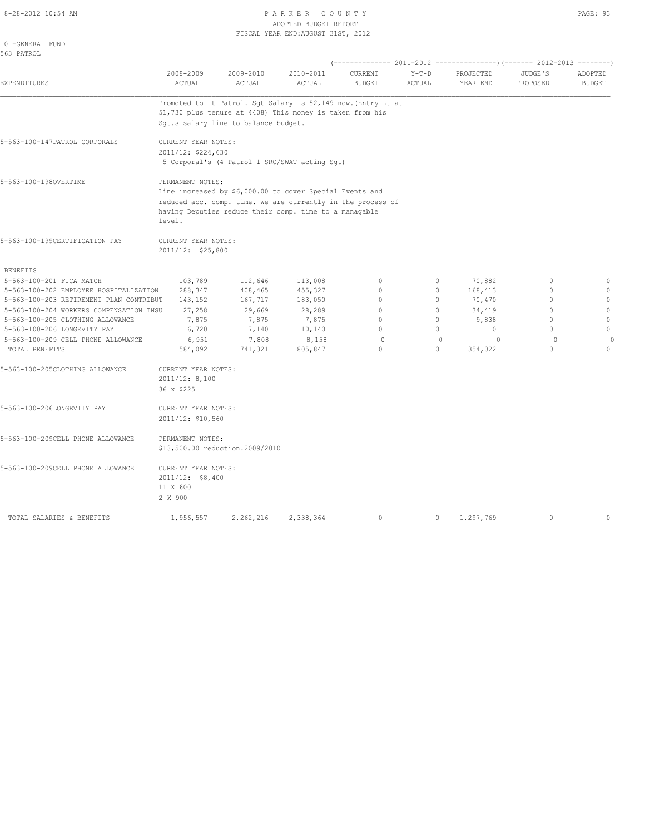#### 8-28-2012 10:54 AM P A R K E R C O U N T Y ADOPTED BUDGET REPORT FISCAL YEAR END:AUGUST 31ST, 2012

|--|--|

| 2008-2009 | 2009-2010                                                                                                                 | 2010-2011                                                                                                                                                                                                                                                                                               | CURRENT                                                                                                                              | $Y-T-D$                                                                                                                                                                                                                                                                                                 | PROJECTED                                                                                                                                                                          | JUDGE'S                                          | ADOPTED                                                    |
|-----------|---------------------------------------------------------------------------------------------------------------------------|---------------------------------------------------------------------------------------------------------------------------------------------------------------------------------------------------------------------------------------------------------------------------------------------------------|--------------------------------------------------------------------------------------------------------------------------------------|---------------------------------------------------------------------------------------------------------------------------------------------------------------------------------------------------------------------------------------------------------------------------------------------------------|------------------------------------------------------------------------------------------------------------------------------------------------------------------------------------|--------------------------------------------------|------------------------------------------------------------|
|           |                                                                                                                           |                                                                                                                                                                                                                                                                                                         |                                                                                                                                      |                                                                                                                                                                                                                                                                                                         |                                                                                                                                                                                    |                                                  | <b>BUDGET</b>                                              |
|           |                                                                                                                           |                                                                                                                                                                                                                                                                                                         |                                                                                                                                      |                                                                                                                                                                                                                                                                                                         |                                                                                                                                                                                    |                                                  |                                                            |
|           |                                                                                                                           |                                                                                                                                                                                                                                                                                                         |                                                                                                                                      |                                                                                                                                                                                                                                                                                                         |                                                                                                                                                                                    |                                                  |                                                            |
|           |                                                                                                                           |                                                                                                                                                                                                                                                                                                         |                                                                                                                                      |                                                                                                                                                                                                                                                                                                         |                                                                                                                                                                                    |                                                  |                                                            |
|           |                                                                                                                           |                                                                                                                                                                                                                                                                                                         |                                                                                                                                      |                                                                                                                                                                                                                                                                                                         |                                                                                                                                                                                    |                                                  |                                                            |
|           |                                                                                                                           |                                                                                                                                                                                                                                                                                                         |                                                                                                                                      |                                                                                                                                                                                                                                                                                                         |                                                                                                                                                                                    |                                                  |                                                            |
|           |                                                                                                                           |                                                                                                                                                                                                                                                                                                         |                                                                                                                                      |                                                                                                                                                                                                                                                                                                         |                                                                                                                                                                                    |                                                  |                                                            |
|           |                                                                                                                           |                                                                                                                                                                                                                                                                                                         |                                                                                                                                      |                                                                                                                                                                                                                                                                                                         |                                                                                                                                                                                    |                                                  |                                                            |
|           |                                                                                                                           |                                                                                                                                                                                                                                                                                                         |                                                                                                                                      |                                                                                                                                                                                                                                                                                                         |                                                                                                                                                                                    |                                                  |                                                            |
|           |                                                                                                                           |                                                                                                                                                                                                                                                                                                         |                                                                                                                                      |                                                                                                                                                                                                                                                                                                         |                                                                                                                                                                                    |                                                  |                                                            |
| 103,789   | 112,646                                                                                                                   | 113,008                                                                                                                                                                                                                                                                                                 | $\mathbf{0}$                                                                                                                         | $\circ$                                                                                                                                                                                                                                                                                                 | 70,882                                                                                                                                                                             | $\mathbf{0}$                                     | $\mathbf{0}$                                               |
|           |                                                                                                                           |                                                                                                                                                                                                                                                                                                         |                                                                                                                                      |                                                                                                                                                                                                                                                                                                         |                                                                                                                                                                                    |                                                  | $\mathbf 0$<br>$\circ$                                     |
|           |                                                                                                                           |                                                                                                                                                                                                                                                                                                         |                                                                                                                                      |                                                                                                                                                                                                                                                                                                         |                                                                                                                                                                                    |                                                  | $\Omega$                                                   |
|           |                                                                                                                           |                                                                                                                                                                                                                                                                                                         |                                                                                                                                      |                                                                                                                                                                                                                                                                                                         |                                                                                                                                                                                    |                                                  | $\circ$                                                    |
|           |                                                                                                                           |                                                                                                                                                                                                                                                                                                         | $\mathbf 0$                                                                                                                          | $\circ$                                                                                                                                                                                                                                                                                                 | $\circ$                                                                                                                                                                            | $\circ$                                          | $\circ$                                                    |
| 6,951     | 7,808                                                                                                                     | 8,158                                                                                                                                                                                                                                                                                                   | $\Omega$                                                                                                                             | $\Omega$                                                                                                                                                                                                                                                                                                | $\cap$                                                                                                                                                                             | $\Omega$                                         | $\Omega$                                                   |
| 584,092   | 741,321                                                                                                                   | 805,847                                                                                                                                                                                                                                                                                                 | $\Omega$                                                                                                                             | $\Omega$                                                                                                                                                                                                                                                                                                | 354,022                                                                                                                                                                            | $\Omega$                                         | $\Omega$                                                   |
|           |                                                                                                                           |                                                                                                                                                                                                                                                                                                         |                                                                                                                                      |                                                                                                                                                                                                                                                                                                         |                                                                                                                                                                                    |                                                  |                                                            |
|           |                                                                                                                           |                                                                                                                                                                                                                                                                                                         |                                                                                                                                      |                                                                                                                                                                                                                                                                                                         |                                                                                                                                                                                    |                                                  |                                                            |
|           |                                                                                                                           |                                                                                                                                                                                                                                                                                                         |                                                                                                                                      |                                                                                                                                                                                                                                                                                                         |                                                                                                                                                                                    |                                                  |                                                            |
|           |                                                                                                                           |                                                                                                                                                                                                                                                                                                         |                                                                                                                                      |                                                                                                                                                                                                                                                                                                         |                                                                                                                                                                                    |                                                  |                                                            |
|           |                                                                                                                           |                                                                                                                                                                                                                                                                                                         |                                                                                                                                      |                                                                                                                                                                                                                                                                                                         |                                                                                                                                                                                    |                                                  |                                                            |
|           |                                                                                                                           |                                                                                                                                                                                                                                                                                                         |                                                                                                                                      |                                                                                                                                                                                                                                                                                                         |                                                                                                                                                                                    |                                                  |                                                            |
|           |                                                                                                                           |                                                                                                                                                                                                                                                                                                         |                                                                                                                                      |                                                                                                                                                                                                                                                                                                         |                                                                                                                                                                                    |                                                  |                                                            |
|           |                                                                                                                           |                                                                                                                                                                                                                                                                                                         |                                                                                                                                      |                                                                                                                                                                                                                                                                                                         |                                                                                                                                                                                    |                                                  |                                                            |
| 1,956,557 | 2,262,216                                                                                                                 | 2,338,364                                                                                                                                                                                                                                                                                               | $\circ$                                                                                                                              | $\circ$                                                                                                                                                                                                                                                                                                 | 1,297,769                                                                                                                                                                          | $\circ$                                          | $\mathbf{0}$                                               |
|           | ACTUAL<br>level.<br>288,347<br>143,152<br>27,258<br>7,875<br>6,720<br>2011/12: 8,100<br>36 x \$225<br>11 X 600<br>2 X 900 | ACTUAL<br>CURRENT YEAR NOTES:<br>2011/12: \$224,630<br>PERMANENT NOTES:<br>CURRENT YEAR NOTES:<br>2011/12: \$25,800<br>408,465<br>167,717<br>29,669<br>7,875<br>7,140<br>CURRENT YEAR NOTES:<br>CURRENT YEAR NOTES:<br>2011/12: \$10,560<br>PERMANENT NOTES:<br>CURRENT YEAR NOTES:<br>2011/12: \$8,400 | ACTUAL<br>Sgt.s salary line to balance budget.<br>455,327<br>183,050<br>28,289<br>7,875<br>10,140<br>\$13,500.00 reduction.2009/2010 | <b>BUDGET</b><br>51,730 plus tenure at 4408) This money is taken from his<br>5 Corporal's (4 Patrol 1 SRO/SWAT acting Sgt)<br>Line increased by \$6,000.00 to cover Special Events and<br>having Deputies reduce their comp. time to a managable<br>$\mathbf 0$<br>$\Omega$<br>$\Omega$<br>$\mathbf{0}$ | ACTUAL<br>Promoted to Lt Patrol. Sqt Salary is 52,149 now. (Entry Lt at<br>reduced acc. comp. time. We are currently in the process of<br>$\circ$<br>$\circ$<br>$\circ$<br>$\circ$ | YEAR END<br>168,413<br>70,470<br>34,419<br>9,838 | PROPOSED<br>$\mathbf{0}$<br>$\Omega$<br>$\cap$<br>$\Omega$ |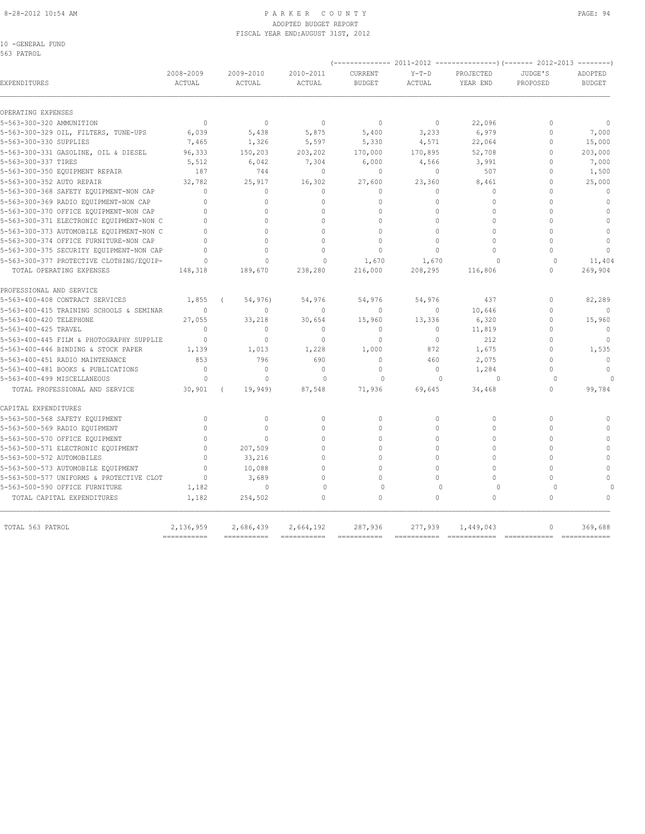#### 8-28-2012 10:54 AM PAGE: 94 ADOPTED BUDGET REPORT FISCAL YEAR END:AUGUST 31ST, 2012

| 10 | -GENERAL FUND |  |
|----|---------------|--|
|    |               |  |

| 2008-2009<br>2009-2010<br>2010-2011<br>CURRENT<br>$Y-T-D$<br>PROJECTED<br>JUDGE'S<br><b>EXPENDITURES</b><br>ACTUAL<br>ACTUAL<br><b>ACTUAL</b><br><b>BUDGET</b><br><b>ACTUAL</b><br>YEAR END<br>PROPOSED<br>OPERATING EXPENSES<br>$\circ$<br>22,096<br>5-563-300-320 AMMUNITION<br>$\mathbf{0}$<br>$\circ$<br>$\circ$<br>$\circ$<br>$\mathbf{0}$<br>6,039<br>5,875<br>3,233<br>6,979<br>$\Omega$<br>5-563-300-329 OIL, FILTERS, TUNE-UPS<br>5,438<br>5,400<br>1,326<br>5,597<br>5,330<br>4,571<br>22,064<br>$\Omega$<br>7,465<br>5-563-300-331 GASOLINE, OIL & DIESEL<br>150,203<br>52,708<br>$\Omega$<br>96,333<br>203,202<br>170,000<br>170,895<br>5-563-300-337 TIRES<br>5,512<br>6,042<br>7,304<br>6,000<br>4,566<br>3,991<br>$\Omega$<br>187<br>744<br>$\mathbf{0}$<br>$\circ$<br>507<br>$\mathbf{0}$<br>$\circ$<br>32,782<br>16,302<br>5-563-300-352 AUTO REPAIR<br>25,917<br>27,600<br>23,360<br>8,461<br>$\Omega$<br>5-563-300-368 SAFETY EQUIPMENT-NON CAP<br>$\Omega$<br>0<br>$\Omega$<br>$\Omega$<br>$\Omega$<br>$\Omega$<br>$\Omega$<br>$\Omega$<br>$\Omega$<br>$\Omega$<br>$\Omega$<br>$\Omega$<br>$\Omega$<br>$\Omega$<br>$\Omega$<br>5-563-300-370 OFFICE EQUIPMENT-NON CAP<br>$\Omega$<br>$\Omega$<br>$\Omega$<br>$\Omega$<br>$\Omega$<br>$\bigcap$<br>$\Omega$<br>$\Omega$<br>$\cap$<br>$\cap$<br>$\cap$<br>$\cap$<br>$\Omega$<br>5-563-300-373 AUTOMOBILE EOUIPMENT-NON C<br>$\Omega$<br>$\Omega$<br>$\Omega$<br>$\Omega$<br>$\Omega$<br>$\cap$<br>$\Omega$<br>$\Omega$<br>$\Omega$<br>$\Omega$<br>$\Omega$<br>5-563-300-374 OFFICE FURNITURE-NON CAP<br>$\Omega$<br>$\Omega$<br>$\Omega$<br>$\Omega$<br>$\Omega$<br>$\cap$<br>$\Omega$<br>$\bigcap$<br>$\Omega$<br>$\Omega$<br>5-563-300-375 SECURITY EQUIPMENT-NON CAP<br>$\Omega$<br>$\Omega$<br>$\Omega$<br>1,670<br>1,670<br>$\Omega$<br>TOTAL OPERATING EXPENSES<br>148,318<br>216,000<br>208,295<br>116,806<br>189,670<br>238,280<br>$\Omega$<br>PROFESSIONAL AND SERVICE<br>5-563-400-408 CONTRACT SERVICES<br>1,855<br>54,976)<br>54,976<br>54,976<br>54,976<br>437<br>$\Omega$ | ADOPTED<br><b>BUDGET</b><br>$\mathbf{0}$<br>7,000<br>15,000<br>203,000<br>7,000<br>1,500 |
|-----------------------------------------------------------------------------------------------------------------------------------------------------------------------------------------------------------------------------------------------------------------------------------------------------------------------------------------------------------------------------------------------------------------------------------------------------------------------------------------------------------------------------------------------------------------------------------------------------------------------------------------------------------------------------------------------------------------------------------------------------------------------------------------------------------------------------------------------------------------------------------------------------------------------------------------------------------------------------------------------------------------------------------------------------------------------------------------------------------------------------------------------------------------------------------------------------------------------------------------------------------------------------------------------------------------------------------------------------------------------------------------------------------------------------------------------------------------------------------------------------------------------------------------------------------------------------------------------------------------------------------------------------------------------------------------------------------------------------------------------------------------------------------------------------------------------------------------------------------------------------------------------------------------------------------------------------------------------------------------------------------------------------------------------------------|------------------------------------------------------------------------------------------|
|                                                                                                                                                                                                                                                                                                                                                                                                                                                                                                                                                                                                                                                                                                                                                                                                                                                                                                                                                                                                                                                                                                                                                                                                                                                                                                                                                                                                                                                                                                                                                                                                                                                                                                                                                                                                                                                                                                                                                                                                                                                           |                                                                                          |
|                                                                                                                                                                                                                                                                                                                                                                                                                                                                                                                                                                                                                                                                                                                                                                                                                                                                                                                                                                                                                                                                                                                                                                                                                                                                                                                                                                                                                                                                                                                                                                                                                                                                                                                                                                                                                                                                                                                                                                                                                                                           |                                                                                          |
| 5-563-300-330 SUPPLIES<br>5-563-300-350 EQUIPMENT REPAIR<br>5-563-300-369 RADIO EOUIPMENT-NON CAP<br>5-563-300-371 ELECTRONIC EQUIPMENT-NON C<br>5-563-300-377 PROTECTIVE CLOTHING/EQUIP-                                                                                                                                                                                                                                                                                                                                                                                                                                                                                                                                                                                                                                                                                                                                                                                                                                                                                                                                                                                                                                                                                                                                                                                                                                                                                                                                                                                                                                                                                                                                                                                                                                                                                                                                                                                                                                                                 |                                                                                          |
|                                                                                                                                                                                                                                                                                                                                                                                                                                                                                                                                                                                                                                                                                                                                                                                                                                                                                                                                                                                                                                                                                                                                                                                                                                                                                                                                                                                                                                                                                                                                                                                                                                                                                                                                                                                                                                                                                                                                                                                                                                                           |                                                                                          |
|                                                                                                                                                                                                                                                                                                                                                                                                                                                                                                                                                                                                                                                                                                                                                                                                                                                                                                                                                                                                                                                                                                                                                                                                                                                                                                                                                                                                                                                                                                                                                                                                                                                                                                                                                                                                                                                                                                                                                                                                                                                           |                                                                                          |
|                                                                                                                                                                                                                                                                                                                                                                                                                                                                                                                                                                                                                                                                                                                                                                                                                                                                                                                                                                                                                                                                                                                                                                                                                                                                                                                                                                                                                                                                                                                                                                                                                                                                                                                                                                                                                                                                                                                                                                                                                                                           |                                                                                          |
|                                                                                                                                                                                                                                                                                                                                                                                                                                                                                                                                                                                                                                                                                                                                                                                                                                                                                                                                                                                                                                                                                                                                                                                                                                                                                                                                                                                                                                                                                                                                                                                                                                                                                                                                                                                                                                                                                                                                                                                                                                                           |                                                                                          |
|                                                                                                                                                                                                                                                                                                                                                                                                                                                                                                                                                                                                                                                                                                                                                                                                                                                                                                                                                                                                                                                                                                                                                                                                                                                                                                                                                                                                                                                                                                                                                                                                                                                                                                                                                                                                                                                                                                                                                                                                                                                           |                                                                                          |
|                                                                                                                                                                                                                                                                                                                                                                                                                                                                                                                                                                                                                                                                                                                                                                                                                                                                                                                                                                                                                                                                                                                                                                                                                                                                                                                                                                                                                                                                                                                                                                                                                                                                                                                                                                                                                                                                                                                                                                                                                                                           | 25,000                                                                                   |
|                                                                                                                                                                                                                                                                                                                                                                                                                                                                                                                                                                                                                                                                                                                                                                                                                                                                                                                                                                                                                                                                                                                                                                                                                                                                                                                                                                                                                                                                                                                                                                                                                                                                                                                                                                                                                                                                                                                                                                                                                                                           | $\mathbf{0}$                                                                             |
|                                                                                                                                                                                                                                                                                                                                                                                                                                                                                                                                                                                                                                                                                                                                                                                                                                                                                                                                                                                                                                                                                                                                                                                                                                                                                                                                                                                                                                                                                                                                                                                                                                                                                                                                                                                                                                                                                                                                                                                                                                                           | $\Omega$                                                                                 |
|                                                                                                                                                                                                                                                                                                                                                                                                                                                                                                                                                                                                                                                                                                                                                                                                                                                                                                                                                                                                                                                                                                                                                                                                                                                                                                                                                                                                                                                                                                                                                                                                                                                                                                                                                                                                                                                                                                                                                                                                                                                           | $\Omega$                                                                                 |
|                                                                                                                                                                                                                                                                                                                                                                                                                                                                                                                                                                                                                                                                                                                                                                                                                                                                                                                                                                                                                                                                                                                                                                                                                                                                                                                                                                                                                                                                                                                                                                                                                                                                                                                                                                                                                                                                                                                                                                                                                                                           | $\theta$                                                                                 |
|                                                                                                                                                                                                                                                                                                                                                                                                                                                                                                                                                                                                                                                                                                                                                                                                                                                                                                                                                                                                                                                                                                                                                                                                                                                                                                                                                                                                                                                                                                                                                                                                                                                                                                                                                                                                                                                                                                                                                                                                                                                           | $\theta$                                                                                 |
|                                                                                                                                                                                                                                                                                                                                                                                                                                                                                                                                                                                                                                                                                                                                                                                                                                                                                                                                                                                                                                                                                                                                                                                                                                                                                                                                                                                                                                                                                                                                                                                                                                                                                                                                                                                                                                                                                                                                                                                                                                                           | $\mathbf{0}$                                                                             |
|                                                                                                                                                                                                                                                                                                                                                                                                                                                                                                                                                                                                                                                                                                                                                                                                                                                                                                                                                                                                                                                                                                                                                                                                                                                                                                                                                                                                                                                                                                                                                                                                                                                                                                                                                                                                                                                                                                                                                                                                                                                           | $\cap$                                                                                   |
|                                                                                                                                                                                                                                                                                                                                                                                                                                                                                                                                                                                                                                                                                                                                                                                                                                                                                                                                                                                                                                                                                                                                                                                                                                                                                                                                                                                                                                                                                                                                                                                                                                                                                                                                                                                                                                                                                                                                                                                                                                                           | 11,404<br>269,904                                                                        |
|                                                                                                                                                                                                                                                                                                                                                                                                                                                                                                                                                                                                                                                                                                                                                                                                                                                                                                                                                                                                                                                                                                                                                                                                                                                                                                                                                                                                                                                                                                                                                                                                                                                                                                                                                                                                                                                                                                                                                                                                                                                           |                                                                                          |
|                                                                                                                                                                                                                                                                                                                                                                                                                                                                                                                                                                                                                                                                                                                                                                                                                                                                                                                                                                                                                                                                                                                                                                                                                                                                                                                                                                                                                                                                                                                                                                                                                                                                                                                                                                                                                                                                                                                                                                                                                                                           | 82,289                                                                                   |
| $\mathbf{0}$<br>$\mathbf{0}$<br>$\Omega$<br>5-563-400-415 TRAINING SCHOOLS & SEMINAR<br>$\mathbf{0}$<br>$\mathbf{0}$<br>$\circ$<br>10,646                                                                                                                                                                                                                                                                                                                                                                                                                                                                                                                                                                                                                                                                                                                                                                                                                                                                                                                                                                                                                                                                                                                                                                                                                                                                                                                                                                                                                                                                                                                                                                                                                                                                                                                                                                                                                                                                                                                 | $\Omega$                                                                                 |
| 5-563-400-420 TELEPHONE<br>27,055<br>33,218<br>13,336<br>6,320<br>$\Omega$<br>30,654<br>15,960                                                                                                                                                                                                                                                                                                                                                                                                                                                                                                                                                                                                                                                                                                                                                                                                                                                                                                                                                                                                                                                                                                                                                                                                                                                                                                                                                                                                                                                                                                                                                                                                                                                                                                                                                                                                                                                                                                                                                            | 15,960                                                                                   |
| 5-563-400-425 TRAVEL<br>$\mathbf{0}$<br>$\mathbf{0}$<br>$\mathbf{0}$<br>$\mathbf{0}$<br>$\circ$<br>11,819<br>$\Omega$                                                                                                                                                                                                                                                                                                                                                                                                                                                                                                                                                                                                                                                                                                                                                                                                                                                                                                                                                                                                                                                                                                                                                                                                                                                                                                                                                                                                                                                                                                                                                                                                                                                                                                                                                                                                                                                                                                                                     | $\Omega$                                                                                 |
| $\mathbf{0}$<br>$\mathbf{0}$<br>$\mathbf{0}$<br>$\mathbf{0}$<br>5-563-400-445 FILM & PHOTOGRAPHY SUPPLIE<br>$\mathbf{0}$<br>$\circ$<br>212                                                                                                                                                                                                                                                                                                                                                                                                                                                                                                                                                                                                                                                                                                                                                                                                                                                                                                                                                                                                                                                                                                                                                                                                                                                                                                                                                                                                                                                                                                                                                                                                                                                                                                                                                                                                                                                                                                                | $\mathbf{0}$                                                                             |
| 5-563-400-446 BINDING & STOCK PAPER<br>$\Omega$<br>1,139<br>1,013<br>1,228<br>1,000<br>872<br>1,675                                                                                                                                                                                                                                                                                                                                                                                                                                                                                                                                                                                                                                                                                                                                                                                                                                                                                                                                                                                                                                                                                                                                                                                                                                                                                                                                                                                                                                                                                                                                                                                                                                                                                                                                                                                                                                                                                                                                                       | 1,535                                                                                    |
| 853<br>$\Omega$<br>5-563-400-451 RADIO MAINTENANCE<br>796<br>690<br>$\Omega$<br>460<br>2,075                                                                                                                                                                                                                                                                                                                                                                                                                                                                                                                                                                                                                                                                                                                                                                                                                                                                                                                                                                                                                                                                                                                                                                                                                                                                                                                                                                                                                                                                                                                                                                                                                                                                                                                                                                                                                                                                                                                                                              | $\Omega$                                                                                 |
| 5-563-400-481 BOOKS & PUBLICATIONS<br>$\Omega$<br>$\Omega$<br>$\Omega$<br>$\Omega$<br>$\Omega$<br>1,284<br>$\Omega$                                                                                                                                                                                                                                                                                                                                                                                                                                                                                                                                                                                                                                                                                                                                                                                                                                                                                                                                                                                                                                                                                                                                                                                                                                                                                                                                                                                                                                                                                                                                                                                                                                                                                                                                                                                                                                                                                                                                       | $\theta$                                                                                 |
| $\Omega$<br>$\Omega$<br>$\Omega$<br>5-563-400-499 MISCELLANEOUS<br>$\Omega$<br>$\Omega$<br>$\Omega$<br>$\Omega$                                                                                                                                                                                                                                                                                                                                                                                                                                                                                                                                                                                                                                                                                                                                                                                                                                                                                                                                                                                                                                                                                                                                                                                                                                                                                                                                                                                                                                                                                                                                                                                                                                                                                                                                                                                                                                                                                                                                           | $\cap$                                                                                   |
| TOTAL PROFESSIONAL AND SERVICE<br>30,901<br>19,949)<br>87,548<br>71,936<br>69,645<br>34,468<br>$\Omega$                                                                                                                                                                                                                                                                                                                                                                                                                                                                                                                                                                                                                                                                                                                                                                                                                                                                                                                                                                                                                                                                                                                                                                                                                                                                                                                                                                                                                                                                                                                                                                                                                                                                                                                                                                                                                                                                                                                                                   | 99,784                                                                                   |
| CAPITAL EXPENDITURES                                                                                                                                                                                                                                                                                                                                                                                                                                                                                                                                                                                                                                                                                                                                                                                                                                                                                                                                                                                                                                                                                                                                                                                                                                                                                                                                                                                                                                                                                                                                                                                                                                                                                                                                                                                                                                                                                                                                                                                                                                      |                                                                                          |
| $\Omega$<br>$\mathbf{0}$<br>$\circ$<br>$\Omega$<br>$\Omega$<br>$\Omega$<br>$\Omega$<br>5-563-500-568 SAFETY EQUIPMENT                                                                                                                                                                                                                                                                                                                                                                                                                                                                                                                                                                                                                                                                                                                                                                                                                                                                                                                                                                                                                                                                                                                                                                                                                                                                                                                                                                                                                                                                                                                                                                                                                                                                                                                                                                                                                                                                                                                                     | $\cap$                                                                                   |
| $\Omega$<br>$\Omega$<br>5-563-500-569 RADIO EQUIPMENT<br>$\bigcap$<br>$\cap$<br>$\cap$<br>$\Omega$<br>$\bigcap$                                                                                                                                                                                                                                                                                                                                                                                                                                                                                                                                                                                                                                                                                                                                                                                                                                                                                                                                                                                                                                                                                                                                                                                                                                                                                                                                                                                                                                                                                                                                                                                                                                                                                                                                                                                                                                                                                                                                           | $\Omega$                                                                                 |
| 5-563-500-570 OFFICE EQUIPMENT<br>$\Omega$<br>$\Omega$<br>$\mathbf 0$<br>$\Omega$<br>$\Omega$<br>$\mathbf{0}$<br>$\Omega$                                                                                                                                                                                                                                                                                                                                                                                                                                                                                                                                                                                                                                                                                                                                                                                                                                                                                                                                                                                                                                                                                                                                                                                                                                                                                                                                                                                                                                                                                                                                                                                                                                                                                                                                                                                                                                                                                                                                 | $\mathbf{0}$                                                                             |
| $\Omega$<br>$\Omega$<br>$\Omega$<br>$\Omega$<br>$\Omega$<br>5-563-500-571 ELECTRONIC EQUIPMENT<br>$\Omega$<br>207,509                                                                                                                                                                                                                                                                                                                                                                                                                                                                                                                                                                                                                                                                                                                                                                                                                                                                                                                                                                                                                                                                                                                                                                                                                                                                                                                                                                                                                                                                                                                                                                                                                                                                                                                                                                                                                                                                                                                                     | $\theta$                                                                                 |
| $\mathbf 0$<br>5-563-500-572 AUTOMOBILES<br>$\Omega$<br>33,216<br>$\circ$<br>$\Omega$<br>$\Omega$<br>$\Omega$                                                                                                                                                                                                                                                                                                                                                                                                                                                                                                                                                                                                                                                                                                                                                                                                                                                                                                                                                                                                                                                                                                                                                                                                                                                                                                                                                                                                                                                                                                                                                                                                                                                                                                                                                                                                                                                                                                                                             | $\theta$                                                                                 |
| 5-563-500-573 AUTOMOBILE EQUIPMENT<br>$\cap$<br>10,088<br>$\Omega$<br>$\cap$<br>$\Omega$<br>$\Omega$<br>$\Omega$                                                                                                                                                                                                                                                                                                                                                                                                                                                                                                                                                                                                                                                                                                                                                                                                                                                                                                                                                                                                                                                                                                                                                                                                                                                                                                                                                                                                                                                                                                                                                                                                                                                                                                                                                                                                                                                                                                                                          | $\Omega$                                                                                 |
| $\Omega$<br>$\Omega$<br>5-563-500-577 UNIFORMS & PROTECTIVE CLOT<br>$\Omega$<br>3,689<br>$\Omega$<br>$\Omega$<br>$\Omega$                                                                                                                                                                                                                                                                                                                                                                                                                                                                                                                                                                                                                                                                                                                                                                                                                                                                                                                                                                                                                                                                                                                                                                                                                                                                                                                                                                                                                                                                                                                                                                                                                                                                                                                                                                                                                                                                                                                                 | $\Omega$                                                                                 |
| 5-563-500-590 OFFICE FURNITURE<br>$\Omega$<br>$\Omega$<br>$\Omega$<br>$\Omega$<br>1,182<br>$\Omega$<br>$\Omega$<br>254,502<br>$\Omega$<br>$\Omega$<br>$\Omega$<br>TOTAL CAPITAL EXPENDITURES<br>1,182<br>$\cap$<br>$\cap$                                                                                                                                                                                                                                                                                                                                                                                                                                                                                                                                                                                                                                                                                                                                                                                                                                                                                                                                                                                                                                                                                                                                                                                                                                                                                                                                                                                                                                                                                                                                                                                                                                                                                                                                                                                                                                 | $\cap$                                                                                   |
|                                                                                                                                                                                                                                                                                                                                                                                                                                                                                                                                                                                                                                                                                                                                                                                                                                                                                                                                                                                                                                                                                                                                                                                                                                                                                                                                                                                                                                                                                                                                                                                                                                                                                                                                                                                                                                                                                                                                                                                                                                                           |                                                                                          |
| 2,136,959<br>TOTAL 563 PATROL<br>2,686,439<br>2,664,192<br>287,936<br>277,939<br>1,449,043<br>$\mathbf{0}$<br>============<br>===========<br>===========<br>===========<br>===========<br>===========<br>=============                                                                                                                                                                                                                                                                                                                                                                                                                                                                                                                                                                                                                                                                                                                                                                                                                                                                                                                                                                                                                                                                                                                                                                                                                                                                                                                                                                                                                                                                                                                                                                                                                                                                                                                                                                                                                                    |                                                                                          |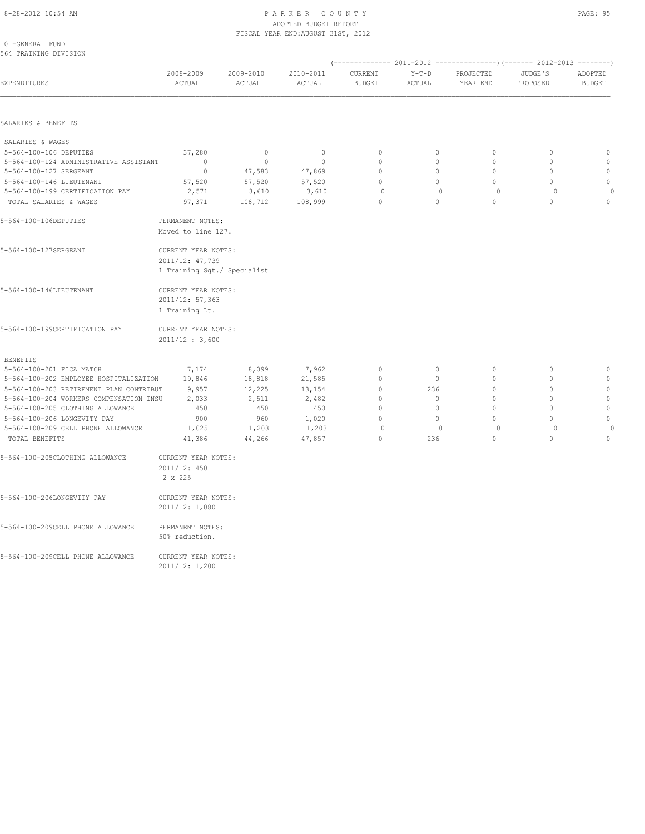#### 8-28-2012 10:54 AM P A R K E R C O U N T Y ADOPTED BUDGET REPORT FISCAL YEAR END:AUGUST 31ST, 2012

| $\sim$<br>- | ۰, |
|-------------|----|
|             |    |

| 10 -GENERAL FUND<br>564 TRAINING DIVISION |                                                                       |                     |                     |                          |                   |                       |                     |                          |
|-------------------------------------------|-----------------------------------------------------------------------|---------------------|---------------------|--------------------------|-------------------|-----------------------|---------------------|--------------------------|
| EXPENDITURES                              | 2008-2009<br>ACTUAL                                                   | 2009-2010<br>ACTUAL | 2010-2011<br>ACTUAL | CURRENT<br><b>BUDGET</b> | $Y-T-D$<br>ACTUAL | PROJECTED<br>YEAR END | JUDGE'S<br>PROPOSED | ADOPTED<br><b>BUDGET</b> |
|                                           |                                                                       |                     |                     |                          |                   |                       |                     |                          |
| SALARIES & BENEFITS                       |                                                                       |                     |                     |                          |                   |                       |                     |                          |
| SALARIES & WAGES                          |                                                                       |                     |                     |                          |                   |                       |                     |                          |
| 5-564-100-106 DEPUTIES                    | 37,280                                                                | $\mathbf{0}$        | $\mathbf 0$         | $\mathbf{0}$             | 0                 | $\circ$               | $\mathbf{0}$        | $\mathbf{0}$             |
| 5-564-100-124 ADMINISTRATIVE ASSISTANT    | $\mathbf{0}$                                                          | $\mathbf{0}$        | $\mathbf{0}$        | $\Omega$                 | $\Omega$          | $\Omega$              | $\mathbf{0}$        | $\mathbf{0}$             |
| 5-564-100-127 SERGEANT                    | $\mathbf 0$                                                           | 47,583              | 47,869              | $\mathbb O$              | 0                 | $\mathbb O$           | $\mathbb O$         | $\mathbb O$              |
| 5-564-100-146 LIEUTENANT                  | 57,520                                                                | 57,520              | 57,520              | $\mathbf{0}$             | $\circ$           | $\circ$               | $\mathbf{0}$        | $\mathbf{0}$             |
| 5-564-100-199 CERTIFICATION PAY           | 2,571                                                                 | 3,610               | 3,610               | $\circ$                  | $\circ$           | $\circ$               | $\circ$             | $\circ$                  |
| TOTAL SALARIES & WAGES                    | 97,371                                                                | 108,712             | 108,999             | $\Omega$                 | $\Omega$          | $\Omega$              | $\Omega$            | $\mathbf{0}$             |
| 5-564-100-106DEPUTIES                     | PERMANENT NOTES:                                                      | Moved to line 127.  |                     |                          |                   |                       |                     |                          |
| 5-564-100-127SERGEANT                     | CURRENT YEAR NOTES:<br>2011/12: 47,739<br>1 Training Sgt./ Specialist |                     |                     |                          |                   |                       |                     |                          |
| 5-564-100-146LIEUTENANT                   | CURRENT YEAR NOTES:<br>2011/12: 57,363<br>1 Training Lt.              |                     |                     |                          |                   |                       |                     |                          |
| 5-564-100-199CERTIFICATION PAY            | CURRENT YEAR NOTES:<br>2011/12 : 3,600                                |                     |                     |                          |                   |                       |                     |                          |
| <b>BENEFITS</b>                           |                                                                       |                     |                     |                          |                   |                       |                     |                          |
| 5-564-100-201 FICA MATCH                  | 7,174                                                                 | 8,099               | 7,962               | $\mathbf{0}$             | $\circ$           | $\circ$               | $\mathbf{0}$        | $\mathbf{0}$             |
| 5-564-100-202 EMPLOYEE HOSPITALIZATION    | 19,846                                                                | 18,818              | 21,585              | $\mathbb O$              | $\circ$           | $\circ$               | $\mathbf 0$         | $\circ$                  |
| 5-564-100-203 RETIREMENT PLAN CONTRIBUT   | 9,957                                                                 | 12,225              | 13,154              | $\mathbf{0}$             | 236               | $\Omega$              | $\mathbf{0}$        | $\mathbf{0}$             |
| 5-564-100-204 WORKERS COMPENSATION INSU   | 2,033                                                                 | 2,511               | 2,482               | $\mathbb O$              | 0                 | $\circ$               | $\mathbf 0$         | $\mathbb O$              |
| 5-564-100-205 CLOTHING ALLOWANCE          | 450                                                                   | 450                 | 450                 | $\mathbf 0$              | 0                 | $\mathbf{0}$          | $\mathbf{0}$        | $\circ$                  |
| 5-564-100-206 LONGEVITY PAY               | 900                                                                   | 960                 | 1,020               | $\Omega$                 | $\Omega$          | $\Omega$              | $\Omega$            | $\mathbb O$              |
| 5-564-100-209 CELL PHONE ALLOWANCE        | 1,025                                                                 | 1,203               | 1,203               | 0                        | $\mathbf{0}$      | $\circ$               | $\circ$             | $\circ$                  |
| TOTAL BENEFITS                            | 41,386                                                                | 44,266              | 47,857              | $\Omega$                 | 236               | $\mathbb O$           | $\Omega$            | $\mathbf 0$              |
| 5-564-100-205CLOTHING ALLOWANCE           | CURRENT YEAR NOTES:                                                   |                     |                     |                          |                   |                       |                     |                          |
|                                           | 2011/12: 450<br>2 x 225                                               |                     |                     |                          |                   |                       |                     |                          |
| 5-564-100-206LONGEVITY PAY                | CURRENT YEAR NOTES:<br>2011/12: 1,080                                 |                     |                     |                          |                   |                       |                     |                          |
| 5-564-100-209CELL PHONE ALLOWANCE         | PERMANENT NOTES:<br>50% reduction.                                    |                     |                     |                          |                   |                       |                     |                          |
| 5-564-100-209CELL PHONE ALLOWANCE         | CURRENT YEAR NOTES:                                                   |                     |                     |                          |                   |                       |                     |                          |

2011/12: 1,200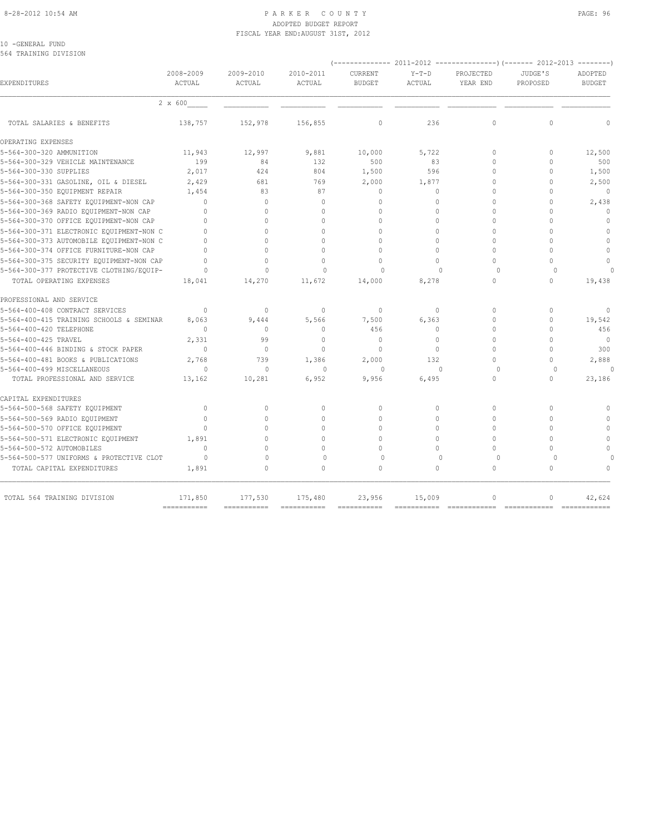#### 8-28-2012 10:54 AM PAGE: 96 PARKER COUNTY PAGE: 96 ADOPTED BUDGET REPORT FISCAL YEAR END:AUGUST 31ST, 2012

#### 10 -GENERAL FUND 564 TRAINING DIVISION

|                                          |                         |                     |                     |                          | $- - - - - - - -$ |                       |                     |                          |
|------------------------------------------|-------------------------|---------------------|---------------------|--------------------------|-------------------|-----------------------|---------------------|--------------------------|
| EXPENDITURES                             | 2008-2009<br>ACTUAL     | 2009-2010<br>ACTUAL | 2010-2011<br>ACTUAL | CURRENT<br><b>BUDGET</b> | $Y-T-D$<br>ACTUAL | PROJECTED<br>YEAR END | JUDGE'S<br>PROPOSED | ADOPTED<br><b>BUDGET</b> |
|                                          | 2 x 600                 |                     |                     |                          |                   |                       |                     |                          |
| TOTAL SALARIES & BENEFITS                | 138,757                 | 152,978             | 156,855             | $\circ$                  | 236               | $\mathbf{0}$          | $\mathbf 0$         | $\mathbf 0$              |
| OPERATING EXPENSES                       |                         |                     |                     |                          |                   |                       |                     |                          |
| 5-564-300-320 AMMUNITION                 | 11,943                  | 12,997              | 9,881               | 10,000                   | 5,722             | $\mathbf{0}$          | 0                   | 12,500                   |
| 5-564-300-329 VEHICLE MAINTENANCE        | 199                     | 84                  | 132                 | 500                      | 83                | $\Omega$              | $\Omega$            | 500                      |
| 5-564-300-330 SUPPLIES                   | 2,017                   | 424                 | 804                 | 1,500                    | 596               | 0                     | $\mathbf 0$         | 1,500                    |
| 5-564-300-331 GASOLINE, OIL & DIESEL     | 2,429                   | 681                 | 769                 | 2,000                    | 1,877             | $\Omega$              | $\Omega$            | 2,500                    |
| 5-564-300-350 EQUIPMENT REPAIR           | 1,454                   | 83                  | 87                  | $\mathbf{0}$             | $\Omega$          | $\Omega$              | $\cap$              | $\Omega$                 |
| 5-564-300-368 SAFETY EQUIPMENT-NON CAP   | $\bigcap$               | $\Omega$            | $\Omega$            | $\mathbf{0}$             | $\Omega$          | $\Omega$              | $\Omega$            | 2,438                    |
| 5-564-300-369 RADIO EQUIPMENT-NON CAP    | $\bigcap$               | $\Omega$            | $\Omega$            | $\Omega$                 | $\Omega$          | $\Omega$              | $\Omega$            | $\Omega$                 |
| 5-564-300-370 OFFICE EQUIPMENT-NON CAP   |                         | $\cap$              | $\cap$              | $\Omega$                 | $\cap$            | $\Omega$              | $\cap$              | $\Omega$                 |
| 5-564-300-371 ELECTRONIC EQUIPMENT-NON C | $\bigcap$               | $\Omega$            | $\Omega$            | $\Omega$                 | $\Omega$          | $\Omega$              | $\cap$              | $\circ$                  |
| 5-564-300-373 AUTOMOBILE EQUIPMENT-NON C | $\bigcap$               | $\cap$              | $\cap$              | $\Omega$                 | $\Omega$          | $\Omega$              | $\cap$              | $\mathbf{0}$             |
| 5-564-300-374 OFFICE FURNITURE-NON CAP   | $\bigcap$               | $\Omega$            | $\Omega$            | $\Omega$                 | $\Omega$          | $\Omega$              | $\cap$              | $\Omega$                 |
| 5-564-300-375 SECURITY EQUIPMENT-NON CAP | $\bigcap$               | $\Omega$            | $\Omega$            | $\Omega$                 | $\Omega$          | $\Omega$              | $\cap$              | $\Omega$                 |
| 5-564-300-377 PROTECTIVE CLOTHING/EQUIP- | $\Omega$                | $\Omega$            | $\Omega$            | $\Omega$                 | $\bigcap$         | $\cap$                | $\Omega$            | $\cap$                   |
| TOTAL OPERATING EXPENSES                 | 18,041                  | 14,270              | 11,672              | 14,000                   | 8,278             | 0                     | $\Omega$            | 19,438                   |
| PROFESSIONAL AND SERVICE                 |                         |                     |                     |                          |                   |                       |                     |                          |
| 5-564-400-408 CONTRACT SERVICES          | $\Omega$                | $\mathbf{0}$        | $\mathbf{0}$        | $\mathbf 0$              | $\circ$           | 0                     | $\Omega$            | $\mathbf{0}$             |
| 5-564-400-415 TRAINING SCHOOLS & SEMINAR | 8,063                   | 9,444               | 5,566               | 7,500                    | 6,363             | $\Omega$              | $\mathbf 0$         | 19,542                   |
| 5-564-400-420 TELEPHONE                  | $\Omega$                | $\mathbf{0}$        | $\mathbf{0}$        | 456                      | $\Omega$          | $\Omega$              | $\Omega$            | 456                      |
| 5-564-400-425 TRAVEL                     | 2,331                   | 99                  | $\mathbf{0}$        | $\mathbf{0}$             | $\circ$           | $\Omega$              | $\Omega$            | $\overline{0}$           |
| 5-564-400-446 BINDING & STOCK PAPER      | $\Omega$                | $\circ$             | $\Omega$            | $\mathbf{0}$             | $\Omega$          | $\Omega$              | $\Omega$            | 300                      |
| 5-564-400-481 BOOKS & PUBLICATIONS       | 2,768                   | 739                 | 1,386               | 2,000                    | 132               | $\Omega$              | $\Omega$            | 2,888                    |
| 5-564-400-499 MISCELLANEOUS              | $\Omega$                | $\mathbf{0}$        | $\circ$             | $\Omega$                 | $\Omega$          | $\Omega$              | $\Omega$            | $\Omega$                 |
| TOTAL PROFESSIONAL AND SERVICE           | 13,162                  | 10,281              | 6,952               | 9,956                    | 6,495             | $\Omega$              | $\Omega$            | 23,186                   |
| CAPITAL EXPENDITURES                     |                         |                     |                     |                          |                   |                       |                     |                          |
| 5-564-500-568 SAFETY EQUIPMENT           | $\mathbf{0}$            | $\circ$             | $\mathbf{0}$        | $\mathbf{0}$             | $\circ$           | 0                     | $\mathbf 0$         | $\mathbf{0}$             |
| 5-564-500-569 RADIO EQUIPMENT            | $\Omega$                | $\Omega$            | $\Omega$            | $\mathbf{0}$             | $\Omega$          | $\Omega$              | $\cap$              | $\Omega$                 |
| 5-564-500-570 OFFICE EQUIPMENT           | $\bigcap$               | $\Omega$            | $\cap$              | $\Omega$                 | $\Omega$          | $\Omega$              | $\Omega$            | $\circ$                  |
| 5-564-500-571 ELECTRONIC EQUIPMENT       | 1,891                   | $\Omega$            | $\Omega$            | $\Omega$                 | $\Omega$          | $\Omega$              | $\cap$              | $\Omega$                 |
| 5-564-500-572 AUTOMOBILES                | $\bigcap$               | $\cap$              | $\Omega$            | $\Omega$                 | $\Omega$          | $\Omega$              | $\cap$              | $\Omega$                 |
| 5-564-500-577 UNIFORMS & PROTECTIVE CLOT | $\cap$                  | $\bigcap$           | $\Omega$            | $\cap$                   | $\bigcap$         | $\cap$                | $\cap$              |                          |
| TOTAL CAPITAL EXPENDITURES               | 1,891                   | $\Omega$            | $\Omega$            | $\Omega$                 | $\Omega$          | 0                     | $\Omega$            | $\Omega$                 |
| TOTAL 564 TRAINING DIVISION              | 171,850                 | 177,530             | 175,480             | 23,956                   | 15,009            | 0                     | 0                   | 42,624                   |
|                                          | $=$ = = = = = = = = = = | $=$ ============    |                     |                          |                   | ============          | =============       | $=$ ============         |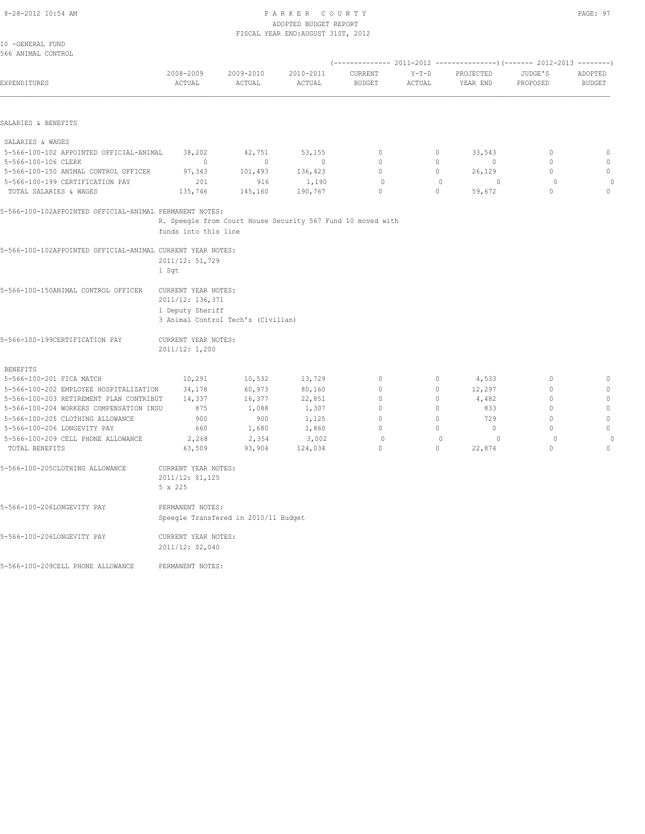#### 8-28-2012 10:54 AM P A R K E R C O U N T Y PAGE: 97 ADOPTED BUDGET REPORT FISCAL YEAR END:AUGUST 31ST, 2012

| 2009-2010<br>2010-2011<br>2008-2009<br>CURRENT<br>$Y-T-D$<br>PROJECTED<br>JUDGE'S<br>EXPENDITURES<br>ACTUAL<br>ACTUAL<br>ACTUAL<br><b>BUDGET</b><br>ACTUAL<br>YEAR END<br>PROPOSED<br>SALARIES & BENEFITS<br>SALARIES & WAGES<br>5-566-100-102 APPOINTED OFFICIAL-ANIMAL<br>38,202<br>42,751<br>53,155<br>$\mathbf{0}$<br>0<br>33,543<br>$\mathbf{0}$<br>5-566-100-106 CLERK<br>$\Omega$<br>$\Omega$<br>$\circ$<br>$\Omega$<br>$\Omega$<br>$\Omega$<br>$\Omega$<br>$\circ$<br>5-566-100-150 ANIMAL CONTROL OFFICER<br>97,343<br>101,493<br>136,423<br>$\circ$<br>$\circ$<br>26,129<br>5-566-100-199 CERTIFICATION PAY<br>201<br>916<br>1,190<br>$\Omega$<br>$\Omega$<br>$\Omega$<br>$\Omega$<br>$\circ$<br>$\circ$<br>TOTAL SALARIES & WAGES<br>135,746<br>190,767<br>$\circ$<br>59,672<br>145,160<br>5-566-100-102APPOINTED OFFICIAL-ANIMAL PERMANENT NOTES:<br>R. Speegle from Court House Security 567 Fund 10 moved with<br>funds into this line<br>5-566-100-102APPOINTED OFFICIAL-ANIMAL CURRENT YEAR NOTES:<br>2011/12: 51,729<br>1 Sqt<br>5-566-100-150ANIMAL CONTROL OFFICER<br>CURRENT YEAR NOTES:<br>2011/12: 136,371 |               |
|----------------------------------------------------------------------------------------------------------------------------------------------------------------------------------------------------------------------------------------------------------------------------------------------------------------------------------------------------------------------------------------------------------------------------------------------------------------------------------------------------------------------------------------------------------------------------------------------------------------------------------------------------------------------------------------------------------------------------------------------------------------------------------------------------------------------------------------------------------------------------------------------------------------------------------------------------------------------------------------------------------------------------------------------------------------------------------------------------------------------------------|---------------|
|                                                                                                                                                                                                                                                                                                                                                                                                                                                                                                                                                                                                                                                                                                                                                                                                                                                                                                                                                                                                                                                                                                                                  | ADOPTED       |
|                                                                                                                                                                                                                                                                                                                                                                                                                                                                                                                                                                                                                                                                                                                                                                                                                                                                                                                                                                                                                                                                                                                                  | <b>BUDGET</b> |
|                                                                                                                                                                                                                                                                                                                                                                                                                                                                                                                                                                                                                                                                                                                                                                                                                                                                                                                                                                                                                                                                                                                                  |               |
|                                                                                                                                                                                                                                                                                                                                                                                                                                                                                                                                                                                                                                                                                                                                                                                                                                                                                                                                                                                                                                                                                                                                  |               |
|                                                                                                                                                                                                                                                                                                                                                                                                                                                                                                                                                                                                                                                                                                                                                                                                                                                                                                                                                                                                                                                                                                                                  | $\mathbb O$   |
|                                                                                                                                                                                                                                                                                                                                                                                                                                                                                                                                                                                                                                                                                                                                                                                                                                                                                                                                                                                                                                                                                                                                  | $\mathbf 0$   |
|                                                                                                                                                                                                                                                                                                                                                                                                                                                                                                                                                                                                                                                                                                                                                                                                                                                                                                                                                                                                                                                                                                                                  | $\mathbb O$   |
|                                                                                                                                                                                                                                                                                                                                                                                                                                                                                                                                                                                                                                                                                                                                                                                                                                                                                                                                                                                                                                                                                                                                  | $\theta$      |
|                                                                                                                                                                                                                                                                                                                                                                                                                                                                                                                                                                                                                                                                                                                                                                                                                                                                                                                                                                                                                                                                                                                                  | $\circ$       |
|                                                                                                                                                                                                                                                                                                                                                                                                                                                                                                                                                                                                                                                                                                                                                                                                                                                                                                                                                                                                                                                                                                                                  |               |
|                                                                                                                                                                                                                                                                                                                                                                                                                                                                                                                                                                                                                                                                                                                                                                                                                                                                                                                                                                                                                                                                                                                                  |               |
|                                                                                                                                                                                                                                                                                                                                                                                                                                                                                                                                                                                                                                                                                                                                                                                                                                                                                                                                                                                                                                                                                                                                  |               |
|                                                                                                                                                                                                                                                                                                                                                                                                                                                                                                                                                                                                                                                                                                                                                                                                                                                                                                                                                                                                                                                                                                                                  |               |
|                                                                                                                                                                                                                                                                                                                                                                                                                                                                                                                                                                                                                                                                                                                                                                                                                                                                                                                                                                                                                                                                                                                                  |               |
|                                                                                                                                                                                                                                                                                                                                                                                                                                                                                                                                                                                                                                                                                                                                                                                                                                                                                                                                                                                                                                                                                                                                  |               |
|                                                                                                                                                                                                                                                                                                                                                                                                                                                                                                                                                                                                                                                                                                                                                                                                                                                                                                                                                                                                                                                                                                                                  |               |
|                                                                                                                                                                                                                                                                                                                                                                                                                                                                                                                                                                                                                                                                                                                                                                                                                                                                                                                                                                                                                                                                                                                                  |               |
| 1 Deputy Sheriff                                                                                                                                                                                                                                                                                                                                                                                                                                                                                                                                                                                                                                                                                                                                                                                                                                                                                                                                                                                                                                                                                                                 |               |
| 3 Animal Control Tech's (Civilian)                                                                                                                                                                                                                                                                                                                                                                                                                                                                                                                                                                                                                                                                                                                                                                                                                                                                                                                                                                                                                                                                                               |               |
| 5-566-100-199CERTIFICATION PAY<br>CURRENT YEAR NOTES:                                                                                                                                                                                                                                                                                                                                                                                                                                                                                                                                                                                                                                                                                                                                                                                                                                                                                                                                                                                                                                                                            |               |
| 2011/12: 1,200                                                                                                                                                                                                                                                                                                                                                                                                                                                                                                                                                                                                                                                                                                                                                                                                                                                                                                                                                                                                                                                                                                                   |               |
| <b>BENEFITS</b>                                                                                                                                                                                                                                                                                                                                                                                                                                                                                                                                                                                                                                                                                                                                                                                                                                                                                                                                                                                                                                                                                                                  |               |
| $\mathbb O$<br>5-566-100-201 FICA MATCH<br>10,291<br>10,532<br>13,729<br>0<br>4,533<br>$\mathbf{0}$                                                                                                                                                                                                                                                                                                                                                                                                                                                                                                                                                                                                                                                                                                                                                                                                                                                                                                                                                                                                                              | $\mathbb O$   |
| 34,178<br>60,973<br>80,160<br>$\mathbf{0}$<br>12,297<br>$\mathbf{0}$<br>5-566-100-202 EMPLOYEE HOSPITALIZATION<br>$\circ$                                                                                                                                                                                                                                                                                                                                                                                                                                                                                                                                                                                                                                                                                                                                                                                                                                                                                                                                                                                                        | $\mathbf{0}$  |
| 4,482<br>$\mathbf{0}$<br>5-566-100-203 RETIREMENT PLAN CONTRIBUT<br>14,337<br>16,377<br>22,851<br>$\circ$<br>0                                                                                                                                                                                                                                                                                                                                                                                                                                                                                                                                                                                                                                                                                                                                                                                                                                                                                                                                                                                                                   | $\mathbb O$   |
| $\mathbf{0}$<br>5-566-100-204 WORKERS COMPENSATION INSU<br>875<br>1,088<br>1,307<br>$\mathbf{0}$<br>$\circ$<br>833                                                                                                                                                                                                                                                                                                                                                                                                                                                                                                                                                                                                                                                                                                                                                                                                                                                                                                                                                                                                               | $\mathbb O$   |
| $\circ$<br>$\mathbf{0}$<br>5-566-100-205 CLOTHING ALLOWANCE<br>900<br>900<br>1,125<br>$\mathbf{0}$<br>729                                                                                                                                                                                                                                                                                                                                                                                                                                                                                                                                                                                                                                                                                                                                                                                                                                                                                                                                                                                                                        | $\mathbb O$   |
| $\circ$<br>$\circ$<br>5-566-100-206 LONGEVITY PAY<br>660<br>1,680<br>1,860<br>$\circ$<br>$\mathbf{0}$                                                                                                                                                                                                                                                                                                                                                                                                                                                                                                                                                                                                                                                                                                                                                                                                                                                                                                                                                                                                                            | $\mathbf{0}$  |
| 5-566-100-209 CELL PHONE ALLOWANCE<br>2,354<br>$\circ$<br>2,268<br>3,002<br>$\mathbf{0}$<br>$\circ$<br>$\circ$                                                                                                                                                                                                                                                                                                                                                                                                                                                                                                                                                                                                                                                                                                                                                                                                                                                                                                                                                                                                                   | $\mathbf{0}$  |
| $\circ$<br>$\circ$<br>TOTAL BENEFITS<br>63,509<br>93,904<br>124,034<br>$\circ$<br>22,874                                                                                                                                                                                                                                                                                                                                                                                                                                                                                                                                                                                                                                                                                                                                                                                                                                                                                                                                                                                                                                         | $\circ$       |
| 5-566-100-205CLOTHING ALLOWANCE<br>CURRENT YEAR NOTES:                                                                                                                                                                                                                                                                                                                                                                                                                                                                                                                                                                                                                                                                                                                                                                                                                                                                                                                                                                                                                                                                           |               |
| 2011/12: \$1,125                                                                                                                                                                                                                                                                                                                                                                                                                                                                                                                                                                                                                                                                                                                                                                                                                                                                                                                                                                                                                                                                                                                 |               |
| 5 x 225                                                                                                                                                                                                                                                                                                                                                                                                                                                                                                                                                                                                                                                                                                                                                                                                                                                                                                                                                                                                                                                                                                                          |               |
| 5-566-100-206LONGEVITY PAY<br>PERMANENT NOTES:                                                                                                                                                                                                                                                                                                                                                                                                                                                                                                                                                                                                                                                                                                                                                                                                                                                                                                                                                                                                                                                                                   |               |
| Speegle Transfered in 2010/11 Budget                                                                                                                                                                                                                                                                                                                                                                                                                                                                                                                                                                                                                                                                                                                                                                                                                                                                                                                                                                                                                                                                                             |               |
| 5-566-100-206LONGEVITY PAY<br>CURRENT YEAR NOTES:                                                                                                                                                                                                                                                                                                                                                                                                                                                                                                                                                                                                                                                                                                                                                                                                                                                                                                                                                                                                                                                                                |               |

2011/12: \$2,040

5-566-100-209CELL PHONE ALLOWANCE PERMANENT NOTES: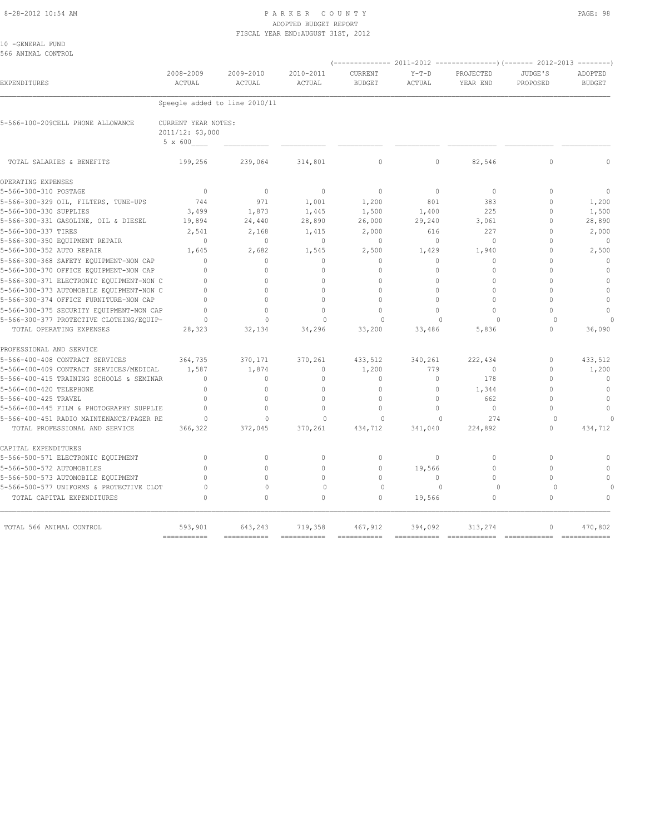#### 8-28-2012 10:54 AM PAGE: 98 ADOPTED BUDGET REPORT FISCAL YEAR END:AUGUST 31ST, 2012

| 10 - GENERAL FUND |                    |
|-------------------|--------------------|
|                   | 566 ANIMAL CONTROL |

|                                          | 2008-2009                                          | 2009-2010                     | 2010-2011                | CURRENT       | $Y-T-D$  | PROJECTED    | JUDGE'S      | ADOPTED       |
|------------------------------------------|----------------------------------------------------|-------------------------------|--------------------------|---------------|----------|--------------|--------------|---------------|
| EXPENDITURES                             | ACTUAL                                             | ACTUAL                        | ACTUAL                   | <b>BUDGET</b> | ACTUAL   | YEAR END     | PROPOSED     | <b>BUDGET</b> |
|                                          |                                                    | Speegle added to line 2010/11 |                          |               |          |              |              |               |
| 5-566-100-209CELL PHONE ALLOWANCE        | CURRENT YEAR NOTES:<br>2011/12: \$3,000<br>5 x 600 |                               |                          |               |          |              |              |               |
| TOTAL SALARIES & BENEFITS                | 199,256                                            | 239,064                       | 314,801                  | $\mathbf{0}$  | $\circ$  | 82,546       | $\mathbf{0}$ |               |
| OPERATING EXPENSES                       |                                                    |                               |                          |               |          |              |              |               |
| 5-566-300-310 POSTAGE                    | $\overline{0}$                                     | $\mathbf{0}$                  | $\mathbf{0}$             | $\mathbf{0}$  | $\circ$  | $\circ$      | $\Omega$     | $\mathbf{0}$  |
| 5-566-300-329 OIL, FILTERS, TUNE-UPS     | 744                                                | 971                           | 1,001                    | 1,200         | 801      | 383          | $\mathbf{0}$ | 1,200         |
| 5-566-300-330 SUPPLIES                   | 3,499                                              | 1,873                         | 1,445                    | 1,500         | 1,400    | 225          | $\mathbf{0}$ | 1,500         |
| 5-566-300-331 GASOLINE, OIL & DIESEL     | 19,894                                             | 24,440                        | 28,890                   | 26,000        | 29,240   | 3,061        | $\Omega$     | 28,890        |
| 5-566-300-337 TIRES                      | 2,541                                              | 2,168                         | 1,415                    | 2,000         | 616      | 227          | $\Omega$     | 2,000         |
| 5-566-300-350 EQUIPMENT REPAIR           | $\Omega$                                           | $\Omega$                      | $\mathbf{0}$             | $\Omega$      | $\circ$  | $\Omega$     | $\Omega$     | $\mathbf{0}$  |
| 5-566-300-352 AUTO REPAIR                | 1,645                                              | 2,682                         | 1,545                    | 2,500         | 1,429    | 1,940        | $\mathbf{0}$ | 2,500         |
| 5-566-300-368 SAFETY EQUIPMENT-NON CAP   | $\Omega$                                           | $\circ$                       | $\mathbf{0}$             | $\mathbf{0}$  | $\Omega$ | $\mathbf{0}$ | $\Omega$     | $\Omega$      |
| 5-566-300-370 OFFICE EQUIPMENT-NON CAP   | $\Omega$                                           | $\Omega$                      | $\Omega$                 | $\Omega$      | $\Omega$ | $\Omega$     | $\Omega$     | $\mathbf{0}$  |
| 5-566-300-371 ELECTRONIC EQUIPMENT-NON C | $\Omega$                                           | $\Omega$                      | $\mathbf{0}$             | $\mathbf{0}$  | $\circ$  | $\mathbf{0}$ | $\Omega$     | $\mathbf{0}$  |
| 5-566-300-373 AUTOMOBILE EQUIPMENT-NON C | $\Omega$                                           | $\Omega$                      | $\Omega$                 | $\Omega$      | $\Omega$ | $\Omega$     | $\Omega$     | $\mathbf{0}$  |
| 5-566-300-374 OFFICE FURNITURE-NON CAP   | $\mathbf{0}$                                       | $\mathbf{0}$                  | $\circ$                  | $\circ$       | $\circ$  | $\circ$      | $\Omega$     | $\mathbf{0}$  |
| 5-566-300-375 SECURITY EQUIPMENT-NON CAP | $\Omega$                                           | $\Omega$                      | $\Omega$                 | $\Omega$      | $\Omega$ | $\Omega$     | $\bigcap$    | $\Omega$      |
| 5-566-300-377 PROTECTIVE CLOTHING/EQUIP- | $\Omega$                                           | $\Omega$                      | $\Omega$                 | $\cap$        | $\cap$   | $\cap$       | $\cap$       |               |
| TOTAL OPERATING EXPENSES                 | 28,323                                             | 32,134                        | 34,296                   | 33,200        | 33,486   | 5,836        | $\Omega$     | 36,090        |
| PROFESSIONAL AND SERVICE                 |                                                    |                               |                          |               |          |              |              |               |
| 5-566-400-408 CONTRACT SERVICES          | 364,735                                            | 370,171                       | 370,261                  | 433,512       | 340,261  | 222,434      | $\mathbf{0}$ | 433,512       |
| 5-566-400-409 CONTRACT SERVICES/MEDICAL  | 1,587                                              | 1,874                         | $\Omega$                 | 1,200         | 779      | $\bigcirc$   | $\Omega$     | 1,200         |
| 5-566-400-415 TRAINING SCHOOLS & SEMINAR | $\mathbf{0}$                                       | $\mathbf{0}$                  | $\mathbf{0}$             | $\mathbf{0}$  | $\circ$  | 178          | $\Omega$     | $\mathbf{0}$  |
| 5-566-400-420 TELEPHONE                  | $\Omega$                                           | $\Omega$                      | $\Omega$                 | $\circ$       | $\circ$  | 1,344        | $\Omega$     | $\circ$       |
| 5-566-400-425 TRAVEL                     | $\mathbf{0}$                                       | $\Omega$                      | $\circ$                  | $\mathbf{0}$  | $\circ$  | 662          | $\Omega$     | $\circ$       |
| 5-566-400-445 FILM & PHOTOGRAPHY SUPPLIE | $\Omega$                                           | $\Omega$                      | $\Omega$                 | $\mathbf{0}$  | $\Omega$ | $\mathbf{0}$ | $\cap$       | $\mathbf{0}$  |
| 5-566-400-451 RADIO MAINTENANCE/PAGER RE | $\circ$                                            | $\circ$                       | $\mathbf 0$              | $\mathbf 0$   | $\Omega$ | 274          | $\Omega$     | $\Omega$      |
| TOTAL PROFESSIONAL AND SERVICE           | 366,322                                            | 372,045                       | 370,261                  | 434,712       | 341,040  | 224,892      | $\Omega$     | 434,712       |
| CAPITAL EXPENDITURES                     |                                                    |                               |                          |               |          |              |              |               |
| 5-566-500-571 ELECTRONIC EQUIPMENT       | $\Omega$                                           | $\Omega$                      | $\mathbf{0}$             | $\Omega$      | $\circ$  | $\Omega$     | $\Omega$     | $\Omega$      |
| 5-566-500-572 AUTOMOBILES                | $\Omega$                                           | $\Omega$                      | $\circ$                  | $\circ$       | 19,566   | $\circ$      | $\Omega$     | $\circ$       |
| 5-566-500-573 AUTOMOBILE EQUIPMENT       | $\Omega$                                           | $\Omega$                      | $\mathbf{0}$             | $\circ$       | $\circ$  | $\Omega$     | $\Omega$     | $\circ$       |
| 5-566-500-577 UNIFORMS & PROTECTIVE CLOT | $\Omega$                                           | $\Omega$                      | $\Omega$                 | $\Omega$      | $\Omega$ | $\Omega$     | $\Omega$     | $\Omega$      |
| TOTAL CAPITAL EXPENDITURES               | $\begin{array}{c} \n\end{array}$                   | $\Omega$                      | $\Omega$                 | $\circ$       | 19,566   | $\circ$      | $\mathbf{0}$ | $\mathbf{0}$  |
| TOTAL 566 ANIMAL CONTROL                 | 593,901                                            | 643,243                       | 719,358                  | 467,912       | 394,092  | 313,274      | $\circ$      | 470,802       |
|                                          | $=$ = = = = = = = = = = =                          | -----------                   | ======================== |               |          |              |              |               |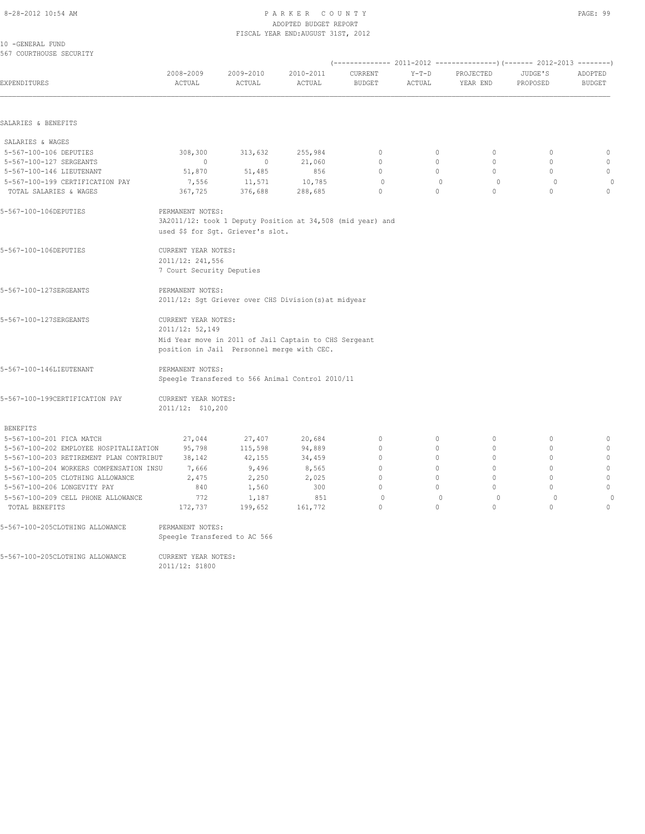#### 8-28-2012 10:54 AM P A R K E R C O U N T Y PAGE: 99 ADOPTED BUDGET REPORT FISCAL YEAR END:AUGUST 31ST, 2012

10 -GENERAL FUND 567 COURTHOUSE SECURITY

| EXPENDITURES                            | 2008-2009<br>ACTUAL                                                                                                                           | 2009-2010<br>ACTUAL | 2010-2011<br>ACTUAL                                        | CURRENT<br><b>BUDGET</b> | $Y-T-D$<br>ACTUAL | PROJECTED<br>YEAR END | JUDGE'S<br>PROPOSED | ADOPTED<br><b>BUDGET</b> |
|-----------------------------------------|-----------------------------------------------------------------------------------------------------------------------------------------------|---------------------|------------------------------------------------------------|--------------------------|-------------------|-----------------------|---------------------|--------------------------|
| SALARIES & BENEFITS                     |                                                                                                                                               |                     |                                                            |                          |                   |                       |                     |                          |
| SALARIES & WAGES                        |                                                                                                                                               |                     |                                                            |                          |                   |                       |                     |                          |
| 5-567-100-106 DEPUTIES                  | 308,300                                                                                                                                       | 313,632             | 255,984                                                    | $\mathbb O$              | $\circ$           | $\circ$               | $\circ$             | $\circ$                  |
| 5-567-100-127 SERGEANTS                 | $\overline{0}$                                                                                                                                | $\circ$             | 21,060                                                     | $\Omega$                 | $\Omega$          | $\Omega$              | $\Omega$            | $\mathbf 0$              |
| 5-567-100-146 LIEUTENANT                | 51,870                                                                                                                                        | 51,485              | 856                                                        | $\circ$                  | $\circ$           | $\circ$               | $\circ$             | $\circ$                  |
| 5-567-100-199 CERTIFICATION PAY         | 7,556                                                                                                                                         | 11,571              | 10,785                                                     | $\circ$                  | $\mathbb O$       | $\circ$               | $\circ$             | $\circ$                  |
| TOTAL SALARIES & WAGES                  | 367,725                                                                                                                                       | 376,688             | 288,685                                                    | $\Omega$                 | $\Omega$          | $\Omega$              | $\Omega$            | $\circ$                  |
| 5-567-100-106DEPUTIES                   | PERMANENT NOTES:<br>used \$\$ for Sgt. Griever's slot.                                                                                        |                     | 3A2011/12: took 1 Deputy Position at 34,508 (mid year) and |                          |                   |                       |                     |                          |
| 5-567-100-106DEPUTIES                   | CURRENT YEAR NOTES:<br>2011/12: 241,556<br>7 Court Security Deputies                                                                          |                     |                                                            |                          |                   |                       |                     |                          |
| 5-567-100-127SERGEANTS                  | PERMANENT NOTES:                                                                                                                              |                     | 2011/12: Sgt Griever over CHS Division (s) at midyear      |                          |                   |                       |                     |                          |
| 5-567-100-127SERGEANTS                  | CURRENT YEAR NOTES:<br>2011/12: 52,149<br>Mid Year move in 2011 of Jail Captain to CHS Sergeant<br>position in Jail Personnel merge with CEC. |                     |                                                            |                          |                   |                       |                     |                          |
| 5-567-100-146LIEUTENANT                 | PERMANENT NOTES:                                                                                                                              |                     | Speegle Transfered to 566 Animal Control 2010/11           |                          |                   |                       |                     |                          |
| 5-567-100-199CERTIFICATION PAY          | CURRENT YEAR NOTES:<br>2011/12: \$10,200                                                                                                      |                     |                                                            |                          |                   |                       |                     |                          |
| <b>BENEFITS</b>                         |                                                                                                                                               |                     |                                                            |                          |                   |                       |                     |                          |
| 5-567-100-201 FICA MATCH                | 27,044                                                                                                                                        | 27,407              | 20,684                                                     | $\mathbb O$              | 0                 | $\mathbb O$           | $\mathbf 0$         | $\mathbb O$              |
| 5-567-100-202 EMPLOYEE HOSPITALIZATION  | 95,798                                                                                                                                        | 115,598             | 94,889                                                     | $\mathbf{0}$             | $\circ$           | $\mathbf{0}$          | $\circ$             | $\mathbf{0}$             |
| 5-567-100-203 RETIREMENT PLAN CONTRIBUT | 38,142                                                                                                                                        | 42,155              | 34,459                                                     | $\mathbf{0}$             | $\circ$           | $\mathbf{0}$          | $\mathbf{0}$        | $\mathbb O$              |
| 5-567-100-204 WORKERS COMPENSATION INSU | 7,666                                                                                                                                         | 9,496               | 8,565                                                      | $\mathbf{0}$             | $\circ$           | $\Omega$              | $\circ$             | $\mathbf{0}$             |
| 5-567-100-205 CLOTHING ALLOWANCE        | 2,475                                                                                                                                         | 2,250               | 2,025                                                      | $\mathbf{0}$             | $\circ$           | $\circ$               | $\mathbf{0}$        | $\mathbb O$              |
| 5-567-100-206 LONGEVITY PAY             | 840                                                                                                                                           | 1,560               | 300                                                        | $\Omega$                 | $\Omega$          | $\Omega$              | $\Omega$            | $\circ$                  |
| 5-567-100-209 CELL PHONE ALLOWANCE      | 772                                                                                                                                           | 1,187               | 851                                                        | $\Omega$                 | $\mathbf{0}$      | $\Omega$              | $\circ$             | $\theta$                 |
| TOTAL BENEFITS                          | 172,737                                                                                                                                       | 199,652             | 161,772                                                    | $\Omega$                 | $\Omega$          | $\Omega$              | $\Omega$            | $\Omega$                 |
| 5-567-100-205CLOTHING ALLOWANCE         | PERMANENT NOTES:<br>Speeqle Transfered to AC 566                                                                                              |                     |                                                            |                          |                   |                       |                     |                          |
| 5-567-100-205CLOTHING ALLOWANCE         | CURRENT YEAR NOTES:                                                                                                                           |                     |                                                            |                          |                   |                       |                     |                          |

2011/12: \$1800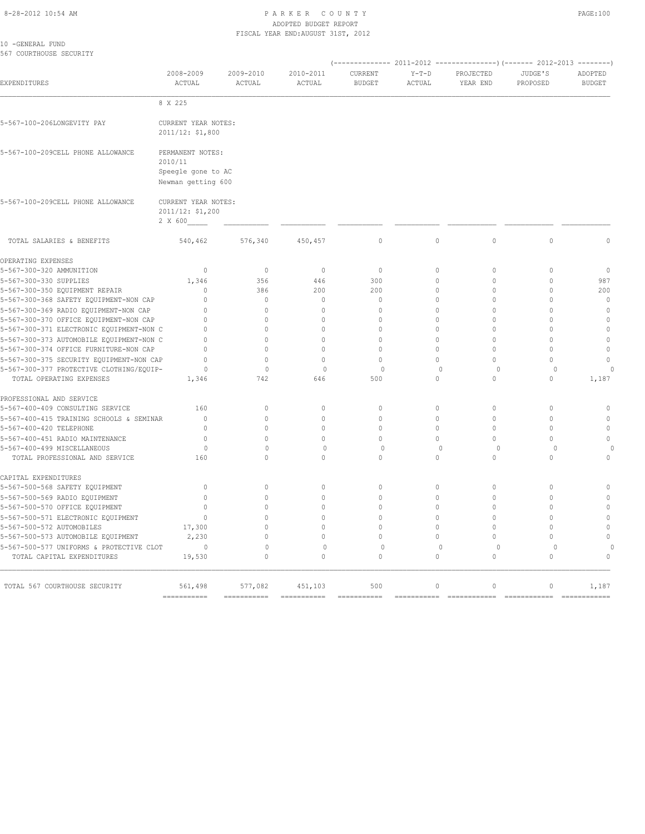#### 8-28-2012 10:54 AM P A R K E R C O U N T Y PAGE:100 ADOPTED BUDGET REPORT FISCAL YEAR END:AUGUST 31ST, 2012

10 -GENERAL FUND 567 COURTHOUSE SECURITY

| 2008-2009<br>ACTUAL                                      | 2009-2010<br>ACTUAL                        | 2010-2011<br>ACTUAL                                                                                                                                                                                   | CURRENT                        | $Y-T-D$      | PROJECTED                                         | JUDGE'S                                         | ADOPTED                                                  |
|----------------------------------------------------------|--------------------------------------------|-------------------------------------------------------------------------------------------------------------------------------------------------------------------------------------------------------|--------------------------------|--------------|---------------------------------------------------|-------------------------------------------------|----------------------------------------------------------|
|                                                          |                                            |                                                                                                                                                                                                       | <b>BUDGET</b>                  | ACTUAL       | YEAR END                                          | PROPOSED                                        | <b>BUDGET</b>                                            |
|                                                          |                                            |                                                                                                                                                                                                       |                                |              |                                                   |                                                 |                                                          |
| 8 X 225                                                  |                                            |                                                                                                                                                                                                       |                                |              |                                                   |                                                 |                                                          |
|                                                          |                                            |                                                                                                                                                                                                       |                                |              |                                                   |                                                 |                                                          |
| 2010/11                                                  |                                            |                                                                                                                                                                                                       |                                |              |                                                   |                                                 |                                                          |
| 2 X 600                                                  |                                            |                                                                                                                                                                                                       |                                |              |                                                   |                                                 |                                                          |
| 540,462                                                  | 576,340                                    | 450,457                                                                                                                                                                                               | $\circ$                        | $\circ$      | $\circ$                                           | $\mathbf{0}$                                    | $\circ$                                                  |
|                                                          |                                            |                                                                                                                                                                                                       |                                |              |                                                   |                                                 |                                                          |
| $\circ$                                                  | $\circ$                                    | $\mathbf{0}$                                                                                                                                                                                          | $\mathbf{0}$                   | $\circ$      | $\circ$                                           | $\mathbf{0}$                                    | $\mathbf{0}$                                             |
| 1,346                                                    | 356                                        | 446                                                                                                                                                                                                   | 300                            | $\Omega$     | $\Omega$                                          | $\Omega$                                        | 987                                                      |
| $\Omega$                                                 | 386                                        | 200                                                                                                                                                                                                   | 200                            | 0            | $\Omega$                                          | $\mathbf{0}$                                    | 200                                                      |
| $\Omega$                                                 | $\circ$                                    | $\mathbf{0}$                                                                                                                                                                                          | $\mathbf{0}$                   | $\Omega$     | $\Omega$                                          | $\mathbf{0}$                                    | $\mathbf{0}$                                             |
| $\Omega$                                                 | $\circ$                                    | $\mathbf{0}$                                                                                                                                                                                          | $\Omega$                       | $\Omega$     | $\Omega$                                          | $\mathbf{0}$                                    | $\mathbb O$                                              |
| $\Omega$                                                 | $\Omega$                                   | $\Omega$                                                                                                                                                                                              | $\Omega$                       | $\Omega$     | $\Omega$                                          | $\Omega$                                        | $\theta$                                                 |
| $\Omega$<br>5-567-300-371 ELECTRONIC EQUIPMENT-NON C     | $\Omega$                                   | $\Omega$                                                                                                                                                                                              | $\Omega$                       | $\Omega$     | $\Omega$                                          | $\Omega$                                        | $\mathbb O$                                              |
| 5-567-300-373 AUTOMOBILE EQUIPMENT-NON C<br>$\mathbf{0}$ | $\circ$                                    | $\mathbf{0}$                                                                                                                                                                                          | $\mathbf{0}$                   | $\circ$      | $\Omega$                                          | $\mathbf{0}$                                    | $\mathbf{0}$                                             |
| $\cap$                                                   | $\Omega$                                   | $\cap$                                                                                                                                                                                                | $\cap$                         | $\Omega$     | $\Omega$                                          | $\Omega$                                        | $\mathbf{0}$                                             |
| 5-567-300-375 SECURITY EQUIPMENT-NON CAP<br>$\Omega$     | $\Omega$                                   | $\Omega$                                                                                                                                                                                              | $\Omega$                       | $\Omega$     | $\Omega$                                          | $\Omega$                                        | $\mathbf{0}$                                             |
| $\Omega$<br>5-567-300-377 PROTECTIVE CLOTHING/EQUIP-     | $\mathbf{0}$                               | $\Omega$                                                                                                                                                                                              | $\mathbf 0$                    | $\mathbf{0}$ | $\circ$                                           | $\mathbf 0$                                     | $\Omega$                                                 |
| 1,346                                                    | 742                                        | 646                                                                                                                                                                                                   | 500                            | 0            | $\mathbf{0}$                                      | $\circ$                                         | 1,187                                                    |
|                                                          |                                            |                                                                                                                                                                                                       |                                |              |                                                   |                                                 |                                                          |
| 160                                                      | $\Omega$                                   | $\mathbf{0}$                                                                                                                                                                                          | $\Omega$                       | $\Omega$     | $\Omega$                                          | $\mathbf{0}$                                    | $\mathbf{0}$                                             |
| 5-567-400-415 TRAINING SCHOOLS & SEMINAR<br>$\mathbf{0}$ | $\Omega$                                   | $\Omega$                                                                                                                                                                                              | $\Omega$                       | $\Omega$     | $\Omega$                                          | $\Omega$                                        | $\mathbf{0}$                                             |
| $\Omega$                                                 | $\Omega$                                   | $\Omega$                                                                                                                                                                                              | $\Omega$                       | $\Omega$     | $\Omega$                                          | $\Omega$                                        | $\Omega$                                                 |
| $\mathbf{0}$                                             | $\Omega$                                   | $\circ$                                                                                                                                                                                               | $\mathbf{0}$                   | $\Omega$     | $\Omega$                                          | $\mathbf{0}$                                    | $\Omega$                                                 |
| $\Omega$                                                 | $\bigcap$                                  | $\circ$                                                                                                                                                                                               | $\Omega$                       | $\mathbf{0}$ | $\Omega$                                          | $\circ$                                         | $\cap$                                                   |
| 160                                                      | $\cap$                                     | $\cap$                                                                                                                                                                                                | $\Omega$                       | $\cap$       | $\mathbf{0}$                                      | $\circ$                                         | $\mathbf{0}$                                             |
|                                                          |                                            |                                                                                                                                                                                                       |                                |              |                                                   |                                                 |                                                          |
| $\mathbf{0}$                                             | $\circ$                                    | $\circ$                                                                                                                                                                                               | $\mathbf 0$                    | $\circ$      | $\circ$                                           | $\mathbf{0}$                                    | $\mathbf{0}$                                             |
|                                                          |                                            |                                                                                                                                                                                                       |                                |              |                                                   |                                                 | $\mathbf{0}$                                             |
|                                                          |                                            |                                                                                                                                                                                                       | $\cap$                         | $\Omega$     |                                                   |                                                 | $\mathbf{0}$                                             |
| $\Omega$                                                 | $\Omega$                                   | $\Omega$                                                                                                                                                                                              | $\Omega$                       | $\Omega$     | $\Omega$                                          | $\Omega$                                        | $\mathbf{0}$                                             |
| 17,300                                                   | $\Omega$                                   | $\Omega$                                                                                                                                                                                              | $\Omega$                       | $\Omega$     | $\Omega$                                          | $\Omega$                                        | $\mathbf{0}$                                             |
| 2,230                                                    |                                            |                                                                                                                                                                                                       | $\Omega$                       |              |                                                   |                                                 | $\Omega$                                                 |
| 5-567-500-577 UNIFORMS & PROTECTIVE CLOT<br>$\cap$       | $\mathbf{0}$                               | $\mathbf{0}$                                                                                                                                                                                          | $\mathbf{0}$                   | $\mathbf{0}$ | $\circ$                                           | $\circ$                                         |                                                          |
| 19,530                                                   | $\mathbf{0}$                               | $\circ$                                                                                                                                                                                               | $\mathbf 0$                    | $\circ$      | $\circ$                                           | $\mathbf{0}$                                    | $\Omega$                                                 |
| 561,498                                                  | 577,082                                    | 451,103                                                                                                                                                                                               | 500                            | 0            | $\circ$                                           | $\circ$                                         | 1,187<br>============                                    |
|                                                          | $\circ$<br>$\mathbf{0}$<br>$=$ =========== | CURRENT YEAR NOTES:<br>2011/12: \$1,800<br>PERMANENT NOTES:<br>Speegle gone to AC<br>Newman getting 600<br>CURRENT YEAR NOTES:<br>2011/12: \$1,200<br>$\Omega$<br>$\Omega$<br>$\Omega$<br>=========== | $\circ$<br>$\circ$<br>$\Omega$ | $\mathbf 0$  | $\circ$<br>$\Omega$<br>===========<br>=========== | $\circ$<br>$\Omega$<br>$\Omega$<br>============ | $\mathbf{0}$<br>$\mathbf{0}$<br>$\Omega$<br>============ |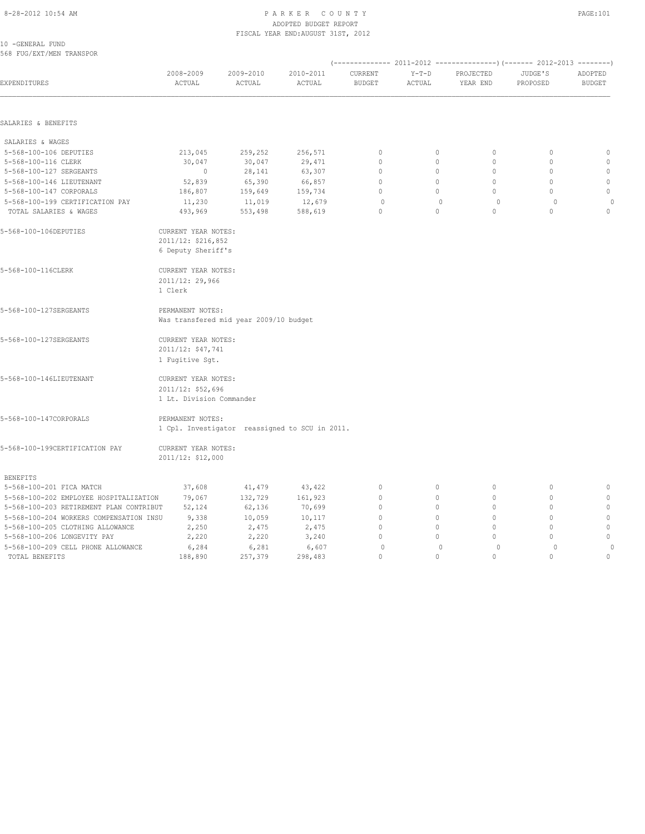### 8-28-2012 10:54 AM PAGE:101 ADOPTED BUDGET REPORT FISCAL YEAR END:AUGUST 31ST, 2012

| 10 - GENERAL FUND |                          |
|-------------------|--------------------------|
|                   | 568 FUG/EXT/MEN TRANSPOR |

|  |  | rnom. r<br>__ |
|--|--|---------------|
|  |  |               |
|  |  |               |
|  |  |               |
|  |  |               |

| EXPENDITURES                            | 2008-2009<br>ACTUAL                                             | 2009-2010<br>ACTUAL                            | 2010-2011<br>ACTUAL | CURRENT<br><b>BUDGET</b> | $Y-T-D$<br>ACTUAL | PROJECTED<br>YEAR END | JUDGE'S<br>PROPOSED              | ADOPTED<br><b>BUDGET</b> |
|-----------------------------------------|-----------------------------------------------------------------|------------------------------------------------|---------------------|--------------------------|-------------------|-----------------------|----------------------------------|--------------------------|
|                                         |                                                                 |                                                |                     |                          |                   |                       |                                  |                          |
| SALARIES & BENEFITS                     |                                                                 |                                                |                     |                          |                   |                       |                                  |                          |
| SALARIES & WAGES                        |                                                                 |                                                |                     |                          |                   |                       |                                  |                          |
| 5-568-100-106 DEPUTIES                  | 213,045                                                         | 259,252                                        | 256,571             | $\circ$                  | 0                 | $\circ$               | $\mathbf 0$                      | $\mathbb{O}$             |
| 5-568-100-116 CLERK                     | 30,047                                                          | 30,047                                         | 29,471              | $\circ$                  | $\circ$           | $\circ$               | $\mathbf{0}$                     | $\mathbf{0}$             |
| 5-568-100-127 SERGEANTS                 | $\overline{0}$                                                  | 28,141                                         | 63,307              | $\mathbf{0}$             | $\circ$           | $\Omega$              | $\Omega$                         | $\circ$                  |
| 5-568-100-146 LIEUTENANT                | 52,839                                                          | 65,390                                         | 66,857              | $\circ$                  | $\circ$           | $\circ$               | $\mathbf{0}$                     | $\mathbb O$              |
| 5-568-100-147 CORPORALS                 | 186,807                                                         | 159,649                                        | 159,734             | $\Omega$                 | $\Omega$          | $\Omega$              | $\Omega$                         | $\mathbf{0}$             |
| 5-568-100-199 CERTIFICATION PAY         | 11,230                                                          | 11,019                                         | 12,679              | $\circ$                  | $\circ$           | $\circ$               | $\Omega$                         | $\circ$                  |
| TOTAL SALARIES & WAGES                  | 493,969                                                         | 553,498                                        | 588,619             | $\Omega$                 | $\Omega$          | $\Omega$              | $\Omega$                         | $\Omega$                 |
| 5-568-100-106DEPUTIES                   | CURRENT YEAR NOTES:<br>2011/12: \$216,852<br>6 Deputy Sheriff's |                                                |                     |                          |                   |                       |                                  |                          |
| 5-568-100-116CLERK                      | CURRENT YEAR NOTES:                                             |                                                |                     |                          |                   |                       |                                  |                          |
|                                         | 2011/12: 29,966<br>1 Clerk                                      |                                                |                     |                          |                   |                       |                                  |                          |
| 5-568-100-127SERGEANTS                  | PERMANENT NOTES:                                                |                                                |                     |                          |                   |                       |                                  |                          |
|                                         |                                                                 | Was transfered mid year 2009/10 budget         |                     |                          |                   |                       |                                  |                          |
| 5-568-100-127SERGEANTS                  | CURRENT YEAR NOTES:<br>2011/12: \$47,741                        |                                                |                     |                          |                   |                       |                                  |                          |
|                                         | 1 Fugitive Sqt.                                                 |                                                |                     |                          |                   |                       |                                  |                          |
| 5-568-100-146LIEUTENANT                 | CURRENT YEAR NOTES:                                             |                                                |                     |                          |                   |                       |                                  |                          |
|                                         | 2011/12: \$52,696                                               |                                                |                     |                          |                   |                       |                                  |                          |
|                                         | 1 Lt. Division Commander                                        |                                                |                     |                          |                   |                       |                                  |                          |
| 5-568-100-147CORPORALS                  | PERMANENT NOTES:                                                |                                                |                     |                          |                   |                       |                                  |                          |
|                                         |                                                                 | 1 Cpl. Investigator reassigned to SCU in 2011. |                     |                          |                   |                       |                                  |                          |
| 5-568-100-199CERTIFICATION PAY          | CURRENT YEAR NOTES:                                             |                                                |                     |                          |                   |                       |                                  |                          |
|                                         | 2011/12: \$12,000                                               |                                                |                     |                          |                   |                       |                                  |                          |
| <b>BENEFITS</b>                         |                                                                 |                                                |                     |                          |                   |                       |                                  |                          |
| 5-568-100-201 FICA MATCH                | 37,608                                                          | 41,479                                         | 43,422              | $\circ$                  | $\circ$           | $\circ$               | $\circ$                          | $\circ$                  |
| 5-568-100-202 EMPLOYEE HOSPITALIZATION  | 79,067                                                          | 132,729                                        | 161,923             | $\circ$                  | $\circ$           | $\Omega$              | $\mathbf{0}$                     | $\mathbf{0}$             |
| 5-568-100-203 RETIREMENT PLAN CONTRIBUT | 52,124                                                          | 62,136                                         | 70,699              | $\Omega$                 | 0                 | $\circ$               | $\mathbf{0}$                     | $\circ$                  |
| 5-568-100-204 WORKERS COMPENSATION INSU | 9,338                                                           | 10,059                                         | 10,117              | $\mathbf{0}$             | 0                 | $\Omega$              | $\begin{array}{c} \n\end{array}$ | $\mathbb{O}$             |
| 5-568-100-205 CLOTHING ALLOWANCE        | 2,250                                                           | 2,475                                          | 2,475               | $\Omega$                 | 0                 | $\Omega$              | $\mathbf{0}$                     | $\circ$                  |
| 5-568-100-206 LONGEVITY PAY             | 2,220                                                           | 2,220                                          | 3,240               | $\Omega$                 | 0                 | $\Omega$              | $\mathbf{0}$                     | $\mathbf{0}$             |
| 5-568-100-209 CELL PHONE ALLOWANCE      | 6,284                                                           | 6,281                                          | 6,607               | $\circ$                  | $\mathbf{0}$      | $\circ$               | $\Omega$                         | $\circ$                  |
| TOTAL BENEFITS                          | 188,890                                                         | 257,379                                        | 298,483             | $\Omega$                 | $\Omega$          | $\Omega$              | $\cap$                           | $\circ$                  |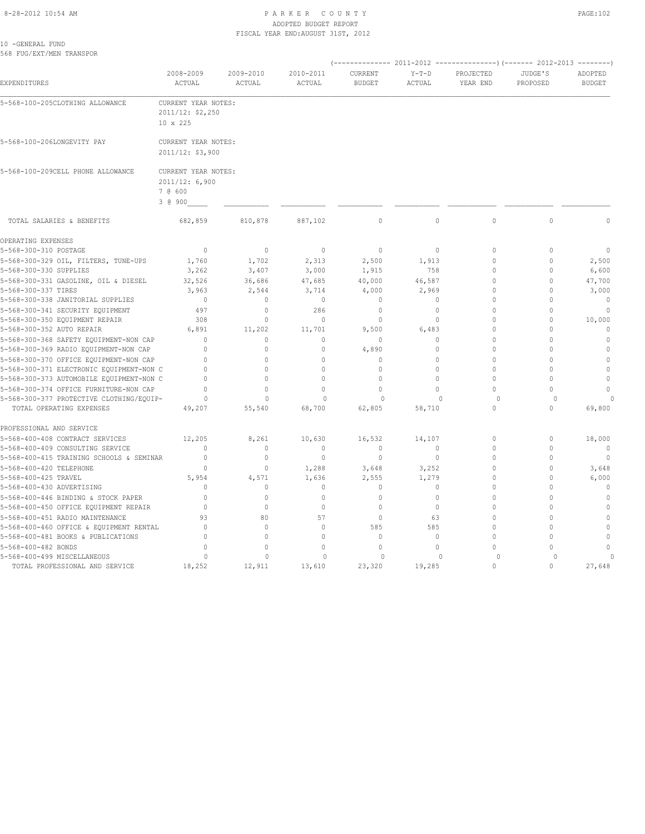#### 8-28-2012 10:54 AM P A R K E R C O U N T Y PAGE:102 ADOPTED BUDGET REPORT FISCAL YEAR END:AUGUST 31ST, 2012

10 -GENERAL FUND 568 FUG/EXT/MEN TRANSPOR

| EXPENDITURES                                                                 | 2008-2009<br>ACTUAL                                         | 2009-2010<br>ACTUAL  | 2010-2011<br>ACTUAL      | CURRENT<br><b>BUDGET</b>     | $Y-T-D$<br>ACTUAL   | PROJECTED<br>YEAR END | JUDGE'S<br>PROPOSED  | ADOPTED<br><b>BUDGET</b>     |
|------------------------------------------------------------------------------|-------------------------------------------------------------|----------------------|--------------------------|------------------------------|---------------------|-----------------------|----------------------|------------------------------|
| 5-568-100-205CLOTHING ALLOWANCE                                              | CURRENT YEAR NOTES:<br>2011/12: \$2,250<br>10 x 225         |                      |                          |                              |                     |                       |                      |                              |
| 5-568-100-206LONGEVITY PAY                                                   | CURRENT YEAR NOTES:<br>2011/12: \$3,900                     |                      |                          |                              |                     |                       |                      |                              |
| 5-568-100-209CELL PHONE ALLOWANCE                                            | CURRENT YEAR NOTES:<br>2011/12: 6,900<br>7 @ 600<br>3 @ 900 |                      |                          |                              |                     |                       |                      |                              |
| TOTAL SALARIES & BENEFITS                                                    | 682,859                                                     | 810,878              | 887,102                  | $\circ$                      | $\mathbb O$         | $\mathbb O$           | $\mathbb O$          | $\Omega$                     |
| OPERATING EXPENSES<br>5-568-300-310 POSTAGE                                  | $\mathbf{0}$                                                | $\circ$              | $\mathbf{0}$             | $\mathbf{0}$                 | $\Omega$            | $\Omega$              | $\mathbf{0}$         | $\mathbf{0}$                 |
|                                                                              |                                                             | 1,702                |                          |                              |                     | $\Omega$              | $\mathbf{0}$         |                              |
| 5-568-300-329 OIL, FILTERS, TUNE-UPS<br>5-568-300-330 SUPPLIES               | 1,760<br>3,262                                              | 3,407                | 2,313<br>3,000           | 2,500<br>1,915               | 1,913<br>758        | $\Omega$              | $\mathbf{0}$         | 2,500<br>6,600               |
|                                                                              | 32,526                                                      |                      |                          | 40,000                       |                     | $\Omega$              | $\mathbf{0}$         |                              |
| 5-568-300-331 GASOLINE, OIL & DIESEL<br>5-568-300-337 TIRES                  | 3,963                                                       | 36,686<br>2,544      | 47,685<br>3,714          | 4,000                        | 46,587<br>2,969     | $\Omega$              | $\mathbf{0}$         | 47,700<br>3,000              |
| 5-568-300-338 JANITORIAL SUPPLIES                                            | $\mathbf{0}$                                                | $\circ$              | $\mathbf{0}$             | $\mathbf{0}$                 | $\circ$             | $\Omega$              | $\mathbf{0}$         | $\mathbf{0}$                 |
| 5-568-300-341 SECURITY EQUIPMENT                                             | 497                                                         | $\circ$              | 286                      | $\mathbf{0}$                 | $\circ$             | $\Omega$              | $\mathbf{0}$         | $\mathbf{0}$                 |
| 5-568-300-350 EQUIPMENT REPAIR                                               | 308                                                         | $\mathbf{0}$         | $\circ$                  | $\mathbf{0}$                 | $\circ$             | $\Omega$              | $\mathbf{0}$         | 10,000                       |
| 5-568-300-352 AUTO REPAIR                                                    | 6,891                                                       | 11,202               | 11,701                   | 9,500                        | 6,483               | $\Omega$              | $\Omega$             | $\mathbf{0}$                 |
| 5-568-300-368 SAFETY EQUIPMENT-NON CAP                                       | $\mathbf{0}$                                                | $\circ$              | $\mathbf{0}$             | $\mathbf{0}$                 | $\circ$             | $\Omega$              | $\Omega$             | $\mathbf{0}$                 |
| 5-568-300-369 RADIO EQUIPMENT-NON CAP                                        | $\Omega$                                                    | $\mathbf{0}$         | $\mathbf{0}$             | 4,890                        | $\circ$             | $\Omega$              | $\Omega$             | $\mathbf{0}$                 |
| 5-568-300-370 OFFICE EQUIPMENT-NON CAP                                       | $\mathbf{0}$                                                | $\circ$              | $\circ$                  | $\mathbf{0}$                 | $\circ$             | $\Omega$              | $\Omega$             | $\mathbf{0}$                 |
| 5-568-300-371 ELECTRONIC EQUIPMENT-NON C                                     | $\Omega$                                                    | $\Omega$             | $\mathbf 0$              | $\mathbf{0}$                 | $\Omega$            | $\Omega$              | $\Omega$             | $\mathbb O$                  |
| 5-568-300-373 AUTOMOBILE EQUIPMENT-NON C                                     | $\Omega$                                                    | $\circ$              | $\mathbf 0$              | $\mathbf{0}$                 | $\circ$             | $\Omega$              | $\mathbf{0}$         | $\mathbf{0}$                 |
| 5-568-300-374 OFFICE FURNITURE-NON CAP                                       | $\Omega$                                                    | $\Omega$             | $\mathbf 0$              | $\mathbf{0}$                 | $\Omega$            | $\Omega$              | $\Omega$             | $\mathbf{0}$                 |
| 5-568-300-377 PROTECTIVE CLOTHING/EQUIP-                                     | $\circ$                                                     | $\Omega$             | $\circ$                  | $\circ$                      | $\mathbf{0}$        | $\circ$               | $\circ$              |                              |
| TOTAL OPERATING EXPENSES                                                     | 49,207                                                      | 55,540               | 68,700                   | 62,805                       | 58,710              | $\circ$               | $\mathbf{0}$         | 69,800                       |
| PROFESSIONAL AND SERVICE                                                     |                                                             |                      |                          |                              |                     |                       |                      |                              |
| 5-568-400-408 CONTRACT SERVICES                                              | 12,205                                                      | 8,261                | 10,630                   | 16,532                       | 14,107              | $\circ$               | $\mathbf 0$          | 18,000                       |
| 5-568-400-409 CONSULTING SERVICE                                             | $\mathbf{0}$                                                | $\mathbf{0}$         | $\mathbf 0$              | $\mathbf{0}$                 | 0                   | $\circ$               | 0                    | $\overline{0}$               |
| 5-568-400-415 TRAINING SCHOOLS & SEMINAR                                     | 0                                                           | $\mathbb O$          | $\mathbf 0$              | $\mathbf 0$                  | $\circ$             | U                     | $\mathbf 0$          | $\circ$                      |
| 5-568-400-420 TELEPHONE                                                      | $\mathbf{0}$                                                | $\mathbf{0}$         | 1,288                    | 3,648                        | 3,252               | 0                     | $\mathbf 0$          | 3,648                        |
| 5-568-400-425 TRAVEL                                                         | 5,954                                                       | 4,571                | 1,636                    | 2,555                        | 1,279               | U                     | $\mathbb O$          | 6,000                        |
| 5-568-400-430 ADVERTISING                                                    | $\Omega$                                                    | $\circ$              | $\mathbf{0}$             | $\mathbf{0}$                 | $\circ$             | $\Omega$              | $\mathbf{0}$         | $\mathbf{0}$                 |
| 5-568-400-446 BINDING & STOCK PAPER<br>5-568-400-450 OFFICE EQUIPMENT REPAIR | $\Omega$<br>$\Omega$                                        | $\Omega$<br>$\Omega$ | $\Omega$<br>$\mathbf{0}$ | $\mathbf{0}$<br>$\mathbf{0}$ | $\Omega$<br>$\circ$ | $\Omega$<br>$\Omega$  | $\Omega$<br>$\Omega$ | $\mathbf{0}$<br>$\mathbf{0}$ |
|                                                                              |                                                             |                      |                          |                              |                     |                       |                      |                              |
| 5-568-400-451 RADIO MAINTENANCE<br>5-568-400-460 OFFICE & EQUIPMENT RENTAL   | 93<br>$\Omega$                                              | 80<br>$\Omega$       | 57<br>$\Omega$           | $\mathbf{0}$<br>585          | 63<br>585           | $\Omega$<br>$\Omega$  | $\Omega$<br>$\Omega$ | $\mathbf{0}$<br>$\mathbf{0}$ |
| 5-568-400-481 BOOKS & PUBLICATIONS                                           | $\mathbf{0}$                                                | $\Omega$             | $\mathbf 0$              | $\mathbf{0}$                 | $\circ$             |                       | $\Omega$             | $\mathbf{0}$                 |
| 5-568-400-482 BONDS                                                          | $\Omega$                                                    | $\Omega$             | $\Omega$                 | $\Omega$                     | $\Omega$            | $\cap$                | $\Omega$             | $\Omega$                     |
| 5-568-400-499 MISCELLANEOUS                                                  | $\circ$                                                     | $\Omega$             | $\circ$                  | $\circ$                      | $\mathbf{0}$        | $\Omega$              | $\Omega$             | $\Omega$                     |
| TOTAL PROFESSIONAL AND SERVICE                                               | 18,252                                                      | 12,911               | 13,610                   | 23,320                       | 19,285              | $\Omega$              | $\Omega$             | 27,648                       |
|                                                                              |                                                             |                      |                          |                              |                     |                       |                      |                              |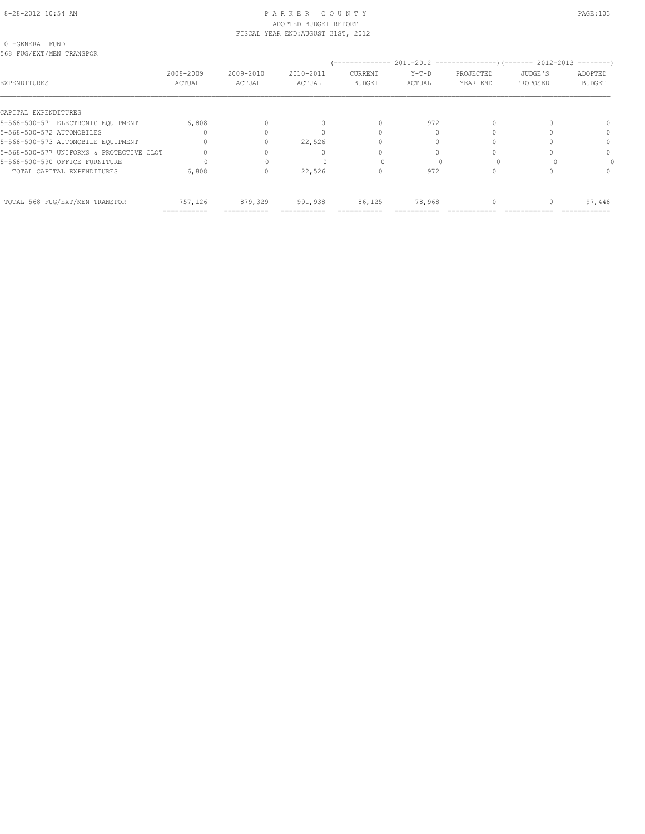#### 8-28-2012 10:54 AM P A R K E R C O U N T Y PAGE:103 ADOPTED BUDGET REPORT FISCAL YEAR END:AUGUST 31ST, 2012

10 -GENERAL FUND 568 FUG/EXT/MEN TRANSPOR

| JOG FUG/LAT/MLN IKANSFUK                 |             |           |           |                                  |         |                                                              |          |                     |
|------------------------------------------|-------------|-----------|-----------|----------------------------------|---------|--------------------------------------------------------------|----------|---------------------|
|                                          | 2008-2009   | 2009-2010 | 2010-2011 | --------------<br><b>CURRENT</b> | $Y-T-D$ | 2011-2012 -----------------) (------- 2012-2013<br>PROJECTED | JUDGE'S  | $------$<br>ADOPTED |
| EXPENDITURES                             | ACTUAL      | ACTUAL    | ACTUAL    | <b>BUDGET</b>                    | ACTUAL  | YEAR END                                                     | PROPOSED | <b>BUDGET</b>       |
| CAPITAL EXPENDITURES                     |             |           |           |                                  |         |                                                              |          |                     |
| 5-568-500-571 ELECTRONIC EQUIPMENT       | 6,808       |           |           | $\Omega$                         | 972     |                                                              |          | $\Omega$            |
| 5-568-500-572 AUTOMOBILES                |             |           |           |                                  |         |                                                              |          |                     |
| 5-568-500-573 AUTOMOBILE EQUIPMENT       |             |           | 22,526    |                                  |         |                                                              |          | $\Omega$            |
| 5-568-500-577 UNIFORMS & PROTECTIVE CLOT |             |           |           |                                  |         |                                                              |          | $\Omega$            |
| 5-568-500-590 OFFICE FURNITURE           |             |           |           |                                  |         |                                                              |          |                     |
| TOTAL CAPITAL EXPENDITURES               | 6,808       | 0         | 22,526    |                                  | 972     |                                                              |          |                     |
| TOTAL 568 FUG/EXT/MEN TRANSPOR           | 757,126     | 879,329   | 991,938   | 86,125                           | 78,968  |                                                              |          | 97,448              |
|                                          | =========== |           |           |                                  |         |                                                              |          |                     |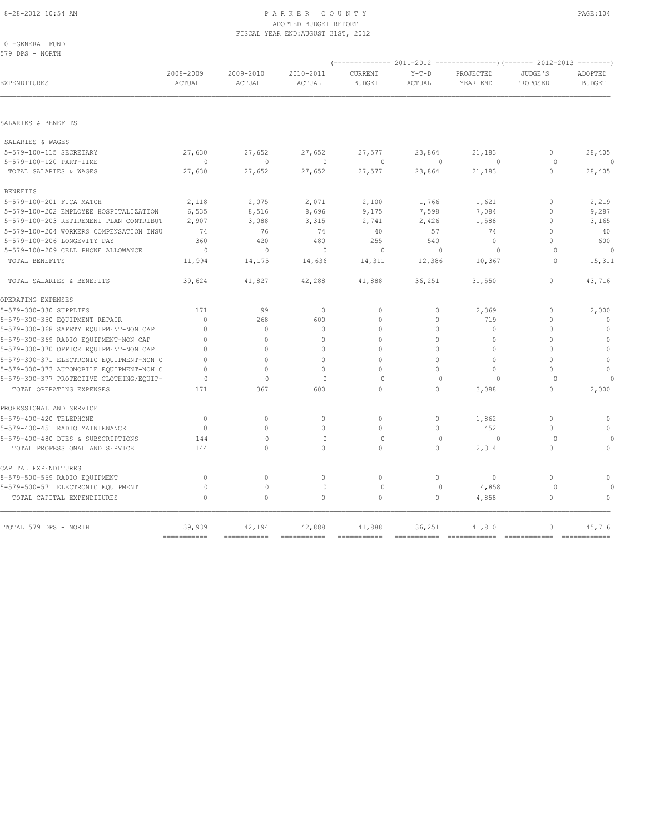### ADOPTED BUDGET REPORT FISCAL YEAR END:AUGUST 31ST, 2012

| 10 -GENERAL FUND                         |              |              |              |               |              |              |              |               |
|------------------------------------------|--------------|--------------|--------------|---------------|--------------|--------------|--------------|---------------|
| 579 DPS - NORTH                          |              |              |              |               |              |              |              |               |
|                                          | 2008-2009    | 2009-2010    | 2010-2011    | CURRENT       | $Y-T-D$      | PROJECTED    | JUDGE'S      | ADOPTED       |
| EXPENDITURES                             | ACTUAL       | ACTUAL       | ACTUAL       | <b>BUDGET</b> | ACTUAL       | YEAR END     | PROPOSED     | <b>BUDGET</b> |
|                                          |              |              |              |               |              |              |              |               |
| SALARIES & BENEFITS                      |              |              |              |               |              |              |              |               |
| SALARIES & WAGES                         |              |              |              |               |              |              |              |               |
| 5-579-100-115 SECRETARY                  | 27,630       | 27,652       | 27,652       | 27,577        | 23,864       | 21,183       | $\mathbf{0}$ | 28,405        |
| 5-579-100-120 PART-TIME                  | $\Omega$     | $\Omega$     | $\Omega$     | $\Omega$      | $\Omega$     | $\Omega$     | $\circ$      | $\Omega$      |
| TOTAL SALARIES & WAGES                   | 27,630       | 27,652       | 27,652       | 27,577        | 23,864       | 21,183       | $\Omega$     | 28,405        |
| <b>BENEFITS</b>                          |              |              |              |               |              |              |              |               |
| 5-579-100-201 FICA MATCH                 | 2,118        | 2,075        | 2,071        | 2,100         | 1,766        | 1,621        | $\mathbf{0}$ | 2,219         |
| 5-579-100-202 EMPLOYEE HOSPITALIZATION   | 6,535        | 8,516        | 8,696        | 9,175         | 7,598        | 7,084        | $\mathbf{0}$ | 9,287         |
| 5-579-100-203 RETIREMENT PLAN CONTRIBUT  | 2,907        | 3,088        | 3,315        | 2,741         | 2,426        | 1,588        | $\mathbf{0}$ | 3,165         |
| 5-579-100-204 WORKERS COMPENSATION INSU  | 74           | 76           | 74           | 40            | 57           | 74           | $\Omega$     | 40            |
| 5-579-100-206 LONGEVITY PAY              | 360          | 420          | 480          | 255           | 540          | $\mathbf{0}$ | $\Omega$     | 600           |
| 5-579-100-209 CELL PHONE ALLOWANCE       | $\circ$      | $\mathbf{0}$ | $\circ$      | 0             | $\circ$      | $\circ$      | $\Omega$     | 0             |
| TOTAL BENEFITS                           | 11,994       | 14,175       | 14,636       | 14,311        | 12,386       | 10,367       | $\circ$      | 15,311        |
| TOTAL SALARIES & BENEFITS                | 39,624       | 41,827       | 42,288       | 41,888        | 36,251       | 31,550       | $\circ$      | 43,716        |
| OPERATING EXPENSES                       |              |              |              |               |              |              |              |               |
| 5-579-300-330 SUPPLIES                   | 171          | 99           | $\mathbf{0}$ | $\mathbf{0}$  | 0            | 2,369        | $\mathbf{0}$ | 2,000         |
| 5-579-300-350 EQUIPMENT REPAIR           | $\mathbf{0}$ | 268          | 600          | $\circ$       | $\circ$      | 719          | $\mathbf{0}$ | $\mathbf{0}$  |
| 5-579-300-368 SAFETY EQUIPMENT-NON CAP   | $\mathbf{0}$ | $\circ$      | $\mathbf{0}$ | $\circ$       | $\circ$      | $\mathbf{0}$ | $\mathbf{0}$ | $\mathbb O$   |
| 5-579-300-369 RADIO EQUIPMENT-NON CAP    | $\mathbf{0}$ | $\Omega$     | $\Omega$     | $\Omega$      | $\mathbf 0$  | $\Omega$     | $\Omega$     | $\mathbb O$   |
| 5-579-300-370 OFFICE EQUIPMENT-NON CAP   | $\Omega$     | $\Omega$     | $\Omega$     | $\Omega$      | $\circ$      | $\mathbf{0}$ | $\Omega$     | $\mathbb O$   |
| 5-579-300-371 ELECTRONIC EQUIPMENT-NON C | $\Omega$     | $\Omega$     | $\Omega$     | $\Omega$      | $\Omega$     | $\Omega$     | $\Omega$     | $\mathbb O$   |
| 5-579-300-373 AUTOMOBILE EQUIPMENT-NON C | $\Omega$     | $\Omega$     | $\Omega$     | $\Omega$      | $\Omega$     | $\Omega$     | $\Omega$     | $\circ$       |
| 5-579-300-377 PROTECTIVE CLOTHING/EQUIP- | $\Omega$     | $\mathbf{0}$ | $\Omega$     | $\Omega$      | $\Omega$     | $\Omega$     | $\Omega$     | $\cap$        |
| TOTAL OPERATING EXPENSES                 | 171          | 367          | 600          | $\Omega$      | $\Omega$     | 3,088        | $\Omega$     | 2,000         |
| PROFESSIONAL AND SERVICE                 |              |              |              |               |              |              |              |               |
| 5-579-400-420 TELEPHONE                  | $\mathbf{0}$ | $\circ$      | $\mathbf{0}$ | $\mathbf{0}$  | $\circ$      | 1,862        | $\mathbf{0}$ | $\mathbf 0$   |
| 5-579-400-451 RADIO MAINTENANCE          | $\mathbf{0}$ | $\mathbf{0}$ | $\circ$      | $\circ$       | $\circ$      | 452          | $\mathbf{0}$ | $\mathbf{0}$  |
| 5-579-400-480 DUES & SUBSCRIPTIONS       | 144          | $\mathbf{0}$ | $\mathbf{0}$ | $\circ$       | $\Omega$     | $\Omega$     | $\Omega$     |               |
| TOTAL PROFESSIONAL AND SERVICE           | 144          | $\Omega$     | $\Omega$     | $\Omega$      | $\Omega$     | 2,314        | $\Omega$     | $\Omega$      |
| CAPITAL EXPENDITURES                     |              |              |              |               |              |              |              |               |
| 5-579-500-569 RADIO EQUIPMENT            | $\mathbf 0$  | $\mathbf{0}$ | $\mathbb O$  | $\mathbb O$   | $\circ$      | $\mathbb O$  | $\circ$      | $\mathbb O$   |
| 5-579-500-571 ELECTRONIC EQUIPMENT       | $\circ$      | $\mathbb O$  | $\circ$      | $\circ$       | $\mathbf{0}$ | 4,858        | $\circ$      |               |
| TOTAL CAPITAL EXPENDITURES               | $\mathbb O$  | $\mathbf 0$  | $\circ$      | $\circ$       | $\circ$      | 4,858        | $\circ$      | $\mathbb O$   |
|                                          |              |              |              |               |              |              |              |               |
| TOTAL 579 DPS - NORTH                    | 39,939       | 42,194       | 42,888       | 41,888        | 36,251       | 41,810       | $\mathbf{0}$ | 45,716        |

=========== =========== =========== =========== =========== ============ ============ ============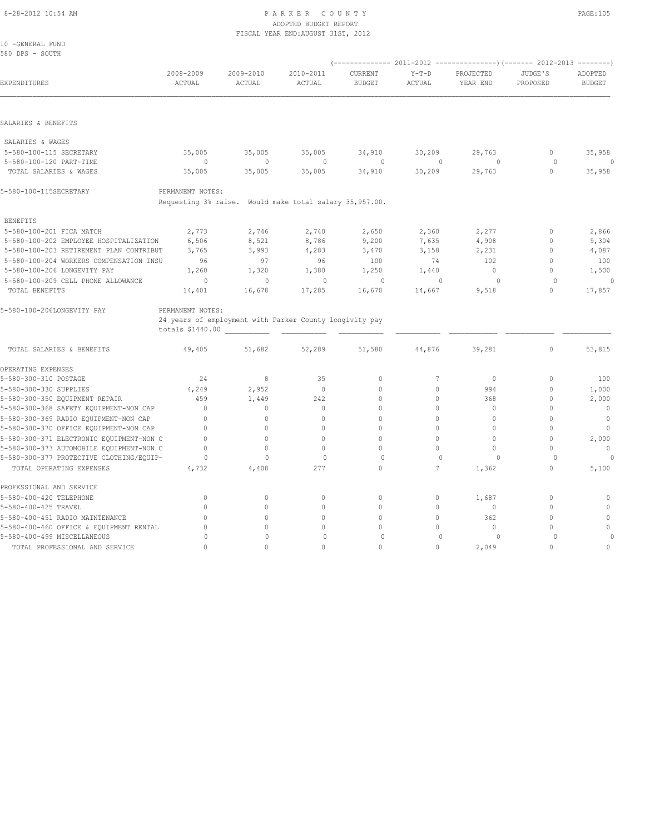#### 8-28-2012 10:54 AM P A R K E R C O U N T Y PAGE:105 ADOPTED BUDGET REPORT FISCAL YEAR END:AUGUST 31ST, 2012

| 10 -GENERAL FUND<br>580 DPS - SOUTH      |                     |                                                         |                     |                          |                   |                       |                     |                          |
|------------------------------------------|---------------------|---------------------------------------------------------|---------------------|--------------------------|-------------------|-----------------------|---------------------|--------------------------|
| EXPENDITURES                             | 2008-2009<br>ACTUAL | 2009-2010<br>ACTUAL                                     | 2010-2011<br>ACTUAL | CURRENT<br><b>BUDGET</b> | $Y-T-D$<br>ACTUAL | PROJECTED<br>YEAR END | JUDGE'S<br>PROPOSED | ADOPTED<br><b>BUDGET</b> |
|                                          |                     |                                                         |                     |                          |                   |                       |                     |                          |
| SALARIES & BENEFITS                      |                     |                                                         |                     |                          |                   |                       |                     |                          |
| SALARIES & WAGES                         |                     |                                                         |                     |                          |                   |                       |                     |                          |
| 5-580-100-115 SECRETARY                  | 35,005              | 35,005                                                  | 35,005              | 34,910                   | 30,209            | 29,763                | $\circ$             | 35,958                   |
| 5-580-100-120 PART-TIME                  | $\circ$             | $\mathbf{0}$                                            | $\mathbf{0}$        | 0                        | $\mathbf{0}$      | $\circ$               | $\circ$             | $\Omega$                 |
| TOTAL SALARIES & WAGES                   | 35,005              | 35,005                                                  | 35,005              | 34,910                   | 30,209            | 29,763                | $\mathbf{0}$        | 35,958                   |
| 5-580-100-115SECRETARY                   | PERMANENT NOTES:    |                                                         |                     |                          |                   |                       |                     |                          |
|                                          |                     | Requesting 3% raise. Would make total salary 35,957.00. |                     |                          |                   |                       |                     |                          |
| <b>BENEFITS</b>                          |                     |                                                         |                     |                          |                   |                       |                     |                          |
| 5-580-100-201 FICA MATCH                 | 2,773               | 2,746                                                   | 2,740               | 2,650                    | 2,360             | 2,277                 | 0                   | 2,866                    |
| 5-580-100-202 EMPLOYEE HOSPITALIZATION   | 6,506               | 8,521                                                   | 8,786               | 9,200                    | 7,635             | 4,908                 | $\mathbf{0}$        | 9,304                    |
| 5-580-100-203 RETIREMENT PLAN CONTRIBUT  | 3,765               | 3,993                                                   | 4,283               | 3,470                    | 3,158             | 2,231                 | $\Omega$            | 4,087                    |
| 5-580-100-204 WORKERS COMPENSATION INSU  | 96                  | 97                                                      | 96                  | 100                      | 74                | 102                   | $\Omega$            | 100                      |
| 5-580-100-206 LONGEVITY PAY              | 1,260               | 1,320                                                   | 1,380               | 1,250                    | 1,440             | $\mathbf{0}$          | $\mathbf{0}$        | 1,500                    |
| 5-580-100-209 CELL PHONE ALLOWANCE       | $\Omega$            | $\Omega$                                                | $\Omega$            | $\Omega$                 | $\Omega$          | $\Omega$              | $\Omega$            | $\Omega$                 |
| TOTAL BENEFITS                           | 14,401              | 16,678                                                  | 17,285              | 16,670                   | 14,667            | 9,518                 | $\circ$             | 17,857                   |
| 5-580-100-206LONGEVITY PAY               | PERMANENT NOTES:    |                                                         |                     |                          |                   |                       |                     |                          |
|                                          |                     | 24 years of employment with Parker County longivity pay |                     |                          |                   |                       |                     |                          |
|                                          | totals \$1440.00    |                                                         |                     |                          |                   |                       |                     |                          |
| TOTAL SALARIES & BENEFITS                | 49,405              | 51,682                                                  | 52,289              | 51,580                   | 44,876            | 39,281                | $\mathbf{0}$        | 53,815                   |
| OPERATING EXPENSES                       |                     |                                                         |                     |                          |                   |                       |                     |                          |
| 5-580-300-310 POSTAGE                    | 24                  | 8                                                       | 35                  | $\mathbf{0}$             | $7\phantom{.0}$   | $\circ$               | $\mathbf{0}$        | 100                      |
| 5-580-300-330 SUPPLIES                   | 4,249               | 2,952                                                   | $\mathbb O$         | $\mathbf{0}$             | $\circ$           | 994                   | $\mathbf{0}$        | 1,000                    |
| 5-580-300-350 EQUIPMENT REPAIR           | 459                 | 1,449                                                   | 242                 | $\circ$                  | $\circ$           | 368                   | $\mathbf{0}$        | 2,000                    |
| 5-580-300-368 SAFETY EQUIPMENT-NON CAP   | $\mathbf{0}$        | $\circ$                                                 | 0                   | $\circ$                  | $\circ$           | $\mathbf 0$           | $\mathbf{0}$        | $\mathbf 0$              |
| 5-580-300-369 RADIO EQUIPMENT-NON CAP    | $\mathbf{0}$        | $\circ$                                                 | $\mathbf{0}$        | $\circ$                  | $\circ$           | $\mathbf{0}$          | $\Omega$            | $\mathbf 0$              |
| 5-580-300-370 OFFICE EQUIPMENT-NON CAP   | $\mathbf{0}$        | $\circ$                                                 | $\Omega$            | 0                        | $\circ$           | $\mathbf{0}$          | $\mathbf{0}$        | $\mathbf{0}$             |
| 5-580-300-371 ELECTRONIC EQUIPMENT-NON C | $\Omega$            | $\Omega$                                                | $\Omega$            | $\Omega$                 | $\Omega$          | $\Omega$              | $\Omega$            | 2,000                    |
| 5-580-300-373 AUTOMOBILE EQUIPMENT-NON C | $\mathbf{0}$        | $\circ$                                                 | $\mathbf{0}$        | 0                        | $\circ$           | $\mathbf{0}$          | $\mathbf{0}$        | $\mathbf 0$              |
| 5-580-300-377 PROTECTIVE CLOTHING/EQUIP- | $\Omega$            | $\Omega$                                                | $\Omega$            | $\mathbf 0$              | $\Omega$          | $\Omega$              | $\Omega$            | $\Omega$                 |
| TOTAL OPERATING EXPENSES                 | 4,732               | 4,408                                                   | 277                 | $\mathbf{0}$             | $7\phantom{.0}$   | 1,362                 | $\mathbf{0}$        | 5,100                    |
| PROFESSIONAL AND SERVICE                 |                     |                                                         |                     |                          |                   |                       |                     |                          |
| 5-580-400-420 TELEPHONE                  | $\mathbf{0}$        | $\circ$                                                 | $\mathbf{0}$        | $\circ$                  | $\circ$           | 1,687                 | $\mathbf{0}$        | $\mathbf{0}$             |
| 5-580-400-425 TRAVEL                     | $\Omega$            | $\Omega$                                                | $\Omega$            | $\Omega$                 | $\circ$           | $\mathbf{0}$          | $\Omega$            | $\mathbf{0}$             |
| 5-580-400-451 RADIO MAINTENANCE          | $\Omega$            | $\Omega$                                                | $\Omega$            | $\Omega$                 | $\circ$           | 362                   | $\Omega$            | $\mathbf{0}$             |
| 5-580-400-460 OFFICE & EQUIPMENT RENTAL  | $\Omega$            | $\circ$                                                 | $\mathbf{0}$        | $\Omega$                 | $\circ$           | $\Omega$              | $\Omega$            | $\mathbf{0}$             |
| 5-580-400-499 MISCELLANEOUS              | 0                   | $\circ$                                                 | $\circ$             | $\mathbf 0$              | $\Omega$          | $\Omega$              | $\Omega$            | $\theta$                 |
| TOTAL PROFESSIONAL AND SERVICE           | $\cap$              | $\Omega$                                                | $\cap$              | $\cap$                   | $\bigcap$         | 2,049                 | $\Omega$            | $\mathbf{0}$             |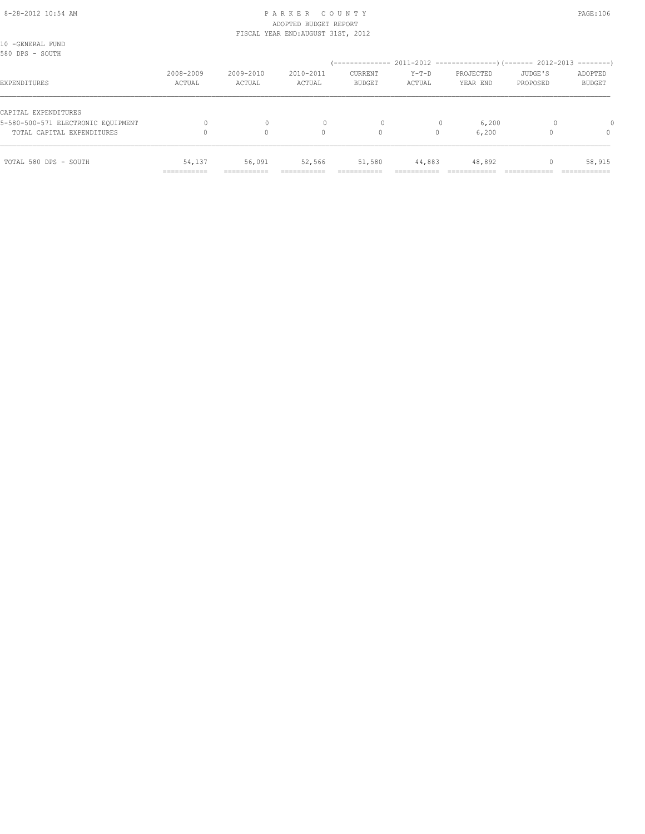#### 8-28-2012 10:54 AM P A R K E R C O U N T Y PAGE:106 ADOPTED BUDGET REPORT FISCAL YEAR END:AUGUST 31ST, 2012

| TOTAL 580 DPS - SOUTH                                      | 54,137<br>=========== | 56,091<br>--------  | 52,566              | 51,580                   | 44,883          | 48,892                |                     | 58,915<br>----------     |
|------------------------------------------------------------|-----------------------|---------------------|---------------------|--------------------------|-----------------|-----------------------|---------------------|--------------------------|
| TOTAL CAPITAL EXPENDITURES                                 |                       | $\circ$             | 0                   | 0                        | 0               | 6,200                 |                     | $\Omega$                 |
| CAPITAL EXPENDITURES<br>5-580-500-571 ELECTRONIC EOUIPMENT |                       | 0                   |                     | 0                        |                 | 6,200                 |                     |                          |
| EXPENDITURES                                               | 2008-2009<br>ACTUAL   | 2009-2010<br>ACTUAL | 2010-2011<br>ACTUAL | CURRENT<br><b>BUDGET</b> | Y-T-D<br>ACTUAL | PROJECTED<br>YEAR END | JUDGE'S<br>PROPOSED | ADOPTED<br><b>BUDGET</b> |
| 10 -GENERAL FUND<br>580 DPS - SOUTH                        |                       |                     |                     |                          |                 |                       |                     |                          |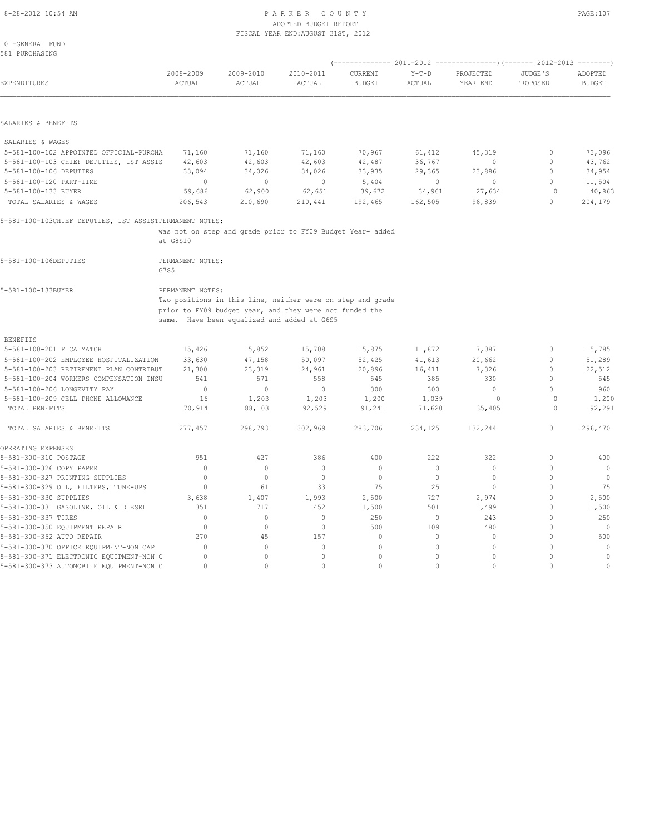#### 8-28-2012 10:54 AM P A R K E R C O U N T Y PAGE:107 ADOPTED BUDGET REPORT FISCAL YEAR END:AUGUST 31ST, 2012

10 -GENERAL FUND 581 PURCHASING

| EXPENDITURES                                            | 2008-2009<br>ACTUAL      | 2009-2010<br>ACTUAL | 2010-2011<br>ACTUAL                                        | CURRENT<br><b>BUDGET</b>   | $Y-T-D$<br>ACTUAL | PROJECTED<br>YEAR END        | JUDGE'S<br>PROPOSED      | ADOPTED<br><b>BUDGET</b>   |
|---------------------------------------------------------|--------------------------|---------------------|------------------------------------------------------------|----------------------------|-------------------|------------------------------|--------------------------|----------------------------|
|                                                         |                          |                     |                                                            |                            |                   |                              |                          |                            |
| SALARIES & BENEFITS                                     |                          |                     |                                                            |                            |                   |                              |                          |                            |
| SALARIES & WAGES                                        |                          |                     |                                                            |                            |                   |                              |                          |                            |
| 5-581-100-102 APPOINTED OFFICIAL-PURCHA                 | 71,160                   | 71,160              | 71,160                                                     | 70,967                     | 61,412            | 45,319                       | 0                        | 73,096                     |
| 5-581-100-103 CHIEF DEPUTIES, 1ST ASSIS                 | 42,603                   | 42,603              | 42,603                                                     | 42,487                     | 36,767            | 0                            | 0                        | 43,762                     |
| 5-581-100-106 DEPUTIES                                  | 33,094                   | 34,026              | 34,026                                                     | 33,935                     | 29,365            | 23,886                       | $\circ$                  | 34,954                     |
| 5-581-100-120 PART-TIME                                 | $\circ$                  | $\mathbf{0}$        | $\mathbf{0}$                                               | 5,404                      | 0                 | 0                            | $\circ$                  | 11,504                     |
| 5-581-100-133 BUYER                                     | 59,686                   | 62,900              | 62,651                                                     | 39,672                     | 34,961            | 27,634                       | $\circ$                  | 40,863                     |
| TOTAL SALARIES & WAGES                                  | 206,543                  | 210,690             | 210,441                                                    | 192,465                    | 162,505           | 96,839                       | $\mathbf{0}$             | 204,179                    |
| 5-581-100-103CHIEF DEPUTIES, 1ST ASSISTPERMANENT NOTES: |                          |                     |                                                            |                            |                   |                              |                          |                            |
|                                                         |                          |                     | was not on step and grade prior to FY09 Budget Year- added |                            |                   |                              |                          |                            |
|                                                         | at G8S10                 |                     |                                                            |                            |                   |                              |                          |                            |
| 5-581-100-106DEPUTIES                                   | PERMANENT NOTES:<br>G7S5 |                     |                                                            |                            |                   |                              |                          |                            |
| 5-581-100-133BUYER                                      | PERMANENT NOTES:         |                     |                                                            |                            |                   |                              |                          |                            |
|                                                         |                          |                     | Two positions in this line, neither were on step and grade |                            |                   |                              |                          |                            |
|                                                         |                          |                     | prior to FY09 budget year, and they were not funded the    |                            |                   |                              |                          |                            |
|                                                         |                          |                     | same. Have been equalized and added at G6S5                |                            |                   |                              |                          |                            |
| <b>BENEFITS</b>                                         |                          |                     |                                                            |                            |                   |                              |                          |                            |
| 5-581-100-201 FICA MATCH                                | 15,426                   | 15,852              | 15,708                                                     | 15,875                     | 11,872            | 7,087                        | $\circ$                  | 15,785                     |
| 5-581-100-202 EMPLOYEE HOSPITALIZATION                  | 33,630                   | 47,158              | 50,097                                                     | 52,425                     | 41,613            | 20,662                       | 0                        | 51,289                     |
| 5-581-100-203 RETIREMENT PLAN CONTRIBUT                 | 21,300                   | 23,319              | 24,961                                                     | 20,896                     | 16,411            | 7,326                        | $\mathbf{0}$             | 22,512                     |
| 5-581-100-204 WORKERS COMPENSATION INSU                 | 541                      | 571                 | 558                                                        | 545                        | 385               | 330                          | $\circ$                  | 545                        |
| 5-581-100-206 LONGEVITY PAY                             | $\circ$                  | $\mathbf{0}$        | $\mathbf{0}$                                               | 300                        | 300               | $\mathbf{0}$                 | $\Omega$                 | 960                        |
| 5-581-100-209 CELL PHONE ALLOWANCE                      | 16                       | 1,203               | 1,203                                                      | 1,200                      | 1,039             | $\circ$                      | $\circ$                  | 1,200                      |
| TOTAL BENEFITS                                          | 70,914                   | 88,103              | 92,529                                                     | 91,241                     | 71,620            | 35,405                       | 0                        | 92,291                     |
| TOTAL SALARIES & BENEFITS                               | 277,457                  | 298,793             | 302,969                                                    | 283,706                    | 234,125           | 132,244                      | $\mathbf{0}$             | 296,470                    |
| OPERATING EXPENSES                                      |                          |                     |                                                            |                            |                   |                              |                          |                            |
| 5-581-300-310 POSTAGE                                   | 951                      | 427                 | 386                                                        | 400                        | 222               | 322                          | $\mathbb O$              | 400                        |
| 5-581-300-326 COPY PAPER                                | $\mathbf{0}$             | $\circ$             | $\circ$                                                    | $\circ$                    | $\circ$           | $\circ$                      | $\mathbf{0}$             | $\circ$                    |
| 5-581-300-327 PRINTING SUPPLIES                         | $\mathbf{0}$             | $\circ$             | $\mathbf{0}$                                               | $\mathbf{0}$               | $\circ$           | $\mathbf{0}$                 | $\mathbf{0}$             | $\overline{0}$             |
| 5-581-300-329 OIL, FILTERS, TUNE-UPS                    | $\circ$                  | 61                  | 33                                                         | 75                         | 25                | $\mathbf{0}$                 | $\mathbf{0}$             | 75                         |
| 5-581-300-330 SUPPLIES                                  | 3,638                    | 1,407               | 1,993                                                      | 2,500                      | 727               | 2,974                        | $\mathbf{0}$             | 2,500                      |
| 5-581-300-331 GASOLINE, OIL & DIESEL                    | 351                      | 717                 | 452                                                        | 1,500                      | 501               | 1,499                        | $\mathbf{0}$             | 1,500                      |
| 5-581-300-337 TIRES                                     | $\Omega$                 | $\circ$             | $\circ$                                                    | 250                        | $\circ$           | 243                          | $\mathbf{0}$             | 250                        |
| 5-581-300-350 EQUIPMENT REPAIR                          | $\mathbf{0}$             | $\circ$             | $\circ$                                                    | 500                        | 109               | 480                          | $\Omega$                 | $\mathbf{0}$               |
| 5-581-300-352 AUTO REPAIR                               | 270                      | 45                  | 157                                                        | $\mathbf{0}$               | $\circ$           | $\circ$                      | $\Omega$                 | 500                        |
| 5-581-300-370 OFFICE EQUIPMENT-NON CAP                  | $\mathbf{0}$             | $\circ$             | $\circ$                                                    | $\mathbf{0}$               | $\circ$           | $\mathbf{0}$                 | $\mathbf{0}$             | $\mathbb O$                |
| 5-581-300-371 ELECTRONIC EQUIPMENT-NON C                | 0<br>$\circ$             | $\circ$<br>$\circ$  | 0<br>$\mathbf 0$                                           | $\mathbf 0$<br>$\mathbf 0$ | 0<br>0            | $\mathbf{0}$<br>$\mathbf{0}$ | $\mathbf{0}$<br>$\Omega$ | $\mathbb O$<br>$\mathbb O$ |
| 5-581-300-373 AUTOMOBILE EQUIPMENT-NON C                |                          |                     |                                                            |                            |                   |                              |                          |                            |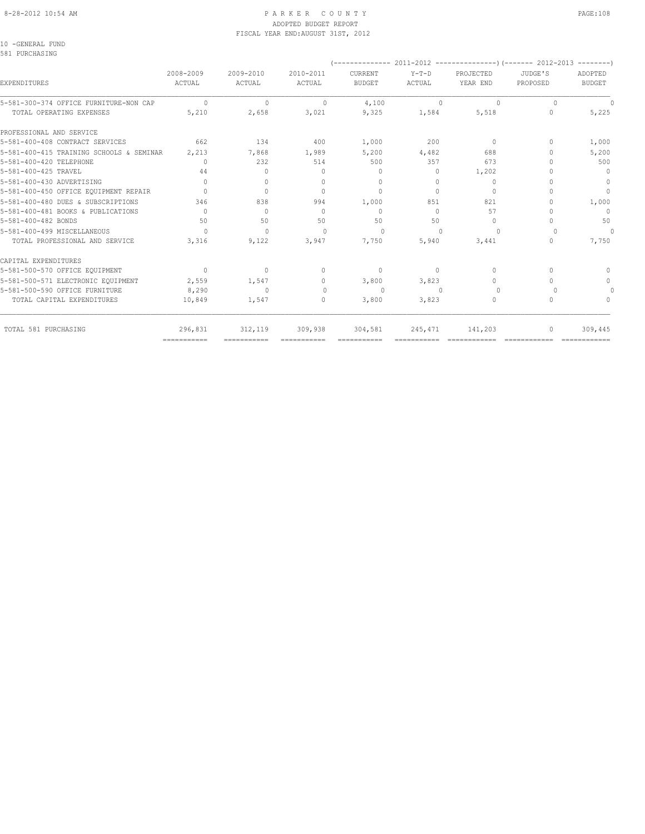#### 8-28-2012 10:54 AM P A R K E R C O U N T Y PAGE:108 ADOPTED BUDGET REPORT FISCAL YEAR END:AUGUST 31ST, 2012

10 -GENERAL FUND 581 PURCHASING

| ADOPTED<br><b>BUDGET</b> | JUDGE'S<br>PROPOSED | PROJECTED<br>YEAR END            | $Y-T-D$<br><b>ACTUAL</b> | CURRENT<br><b>BUDGET</b>         | 2010-2011<br><b>ACTUAL</b> | 2009-2010<br>ACTUAL              | 2008-2009<br>ACTUAL | EXPENDITURES                                                         |
|--------------------------|---------------------|----------------------------------|--------------------------|----------------------------------|----------------------------|----------------------------------|---------------------|----------------------------------------------------------------------|
|                          | $\Omega$            | $\Omega$                         | $\Omega$                 | 4,100                            | $\Omega$                   | $\Omega$                         | $\Omega$            | 5-581-300-374 OFFICE FURNITURE-NON CAP                               |
| 5,225                    | 0                   | 5,518                            | 1,584                    | 9,325                            | 3,021                      | 2,658                            | 5,210               | TOTAL OPERATING EXPENSES                                             |
|                          |                     |                                  |                          |                                  |                            |                                  |                     | PROFESSIONAL AND SERVICE                                             |
| 1,000                    | $\Omega$            | $\mathbf{0}$                     | 200                      | 1,000                            | 400                        | 134                              | 662                 | 5-581-400-408 CONTRACT SERVICES                                      |
| 5,200                    |                     | 688                              | 4,482                    | 5,200                            | 1,989                      | 7,868                            | 2,213               | 5-581-400-415 TRAINING SCHOOLS & SEMINAR                             |
| 500                      |                     | 673                              | 357                      | 500                              | 514                        | 232                              | $\Omega$            | 5-581-400-420 TELEPHONE                                              |
| $\mathbf{0}$             |                     | 1,202                            | 0                        | $\mathbf{0}$                     | $\Omega$                   | 0                                | 44                  | 5-581-400-425 TRAVEL                                                 |
| $\mathbf 0$              |                     | $\mathbf{0}$                     | $\Omega$                 | $\begin{array}{c} \n\end{array}$ | 0                          | $\Omega$                         | $\bigcap$           | 5-581-400-430 ADVERTISING                                            |
| $\mathbf{0}$             |                     | $\mathbf{0}$                     | $\Omega$                 | $\begin{array}{c} \n\end{array}$ | $\bigcap$                  | $\mathbf{0}$                     | $\bigcap$           | 5-581-400-450 OFFICE EQUIPMENT REPAIR                                |
| 1,000                    |                     | 821                              | 851                      | 1,000                            | 994                        | 838                              | 346                 | 5-581-400-480 DUES & SUBSCRIPTIONS                                   |
| $\mathbf{0}$             |                     | 57                               | $\Omega$                 | $\mathbf{0}$                     | $\bigcap$                  | $\Omega$                         | $\bigcap$           | 5-581-400-481 BOOKS & PUBLICATIONS                                   |
| 50                       |                     | $\mathbf{0}$                     | 50                       | 50                               | 50                         | 50                               | 50                  | 5-581-400-482 BONDS                                                  |
| $\Omega$                 |                     | $\cup$                           | n                        | $\Omega$                         | $\bigcap$                  | $\begin{array}{c} \n\end{array}$ | $\bigcap$           | 5-581-400-499 MISCELLANEOUS                                          |
| 7,750                    | $\cap$              | 3,441                            | 5,940                    | 7,750                            | 3,947                      | 9,122                            | 3,316               | TOTAL PROFESSIONAL AND SERVICE                                       |
|                          |                     |                                  |                          |                                  |                            |                                  |                     | CAPITAL EXPENDITURES                                                 |
| $\bigcap$                | $\bigcap$           | $\circ$                          | $\Omega$                 | $\mathbf{0}$                     | 0                          | $\mathbf{0}$                     | $\Omega$            | 5-581-500-570 OFFICE EQUIPMENT                                       |
| $\Omega$                 |                     | $\begin{array}{c} \n\end{array}$ | 3,823                    | 3,800                            | $\Omega$                   | 1,547                            | 2,559               |                                                                      |
|                          |                     | $\Omega$                         | n                        | $\Omega$                         | $\Omega$                   | $\begin{array}{c} \n\end{array}$ | 8,290               |                                                                      |
| $\Omega$                 | $\cap$              | $\circ$                          | 3,823                    | 3,800                            | 0                          | 1,547                            | 10,849              | TOTAL CAPITAL EXPENDITURES                                           |
| 309,445                  | 0                   | 141,203                          | 245,471                  | 304,581                          | 309,938                    | 312, 119                         | 296,831             | TOTAL 581 PURCHASING                                                 |
|                          |                     |                                  |                          |                                  |                            | ===========                      | ===========         | 5-581-500-571 ELECTRONIC EOUIPMENT<br>5-581-500-590 OFFICE FURNITURE |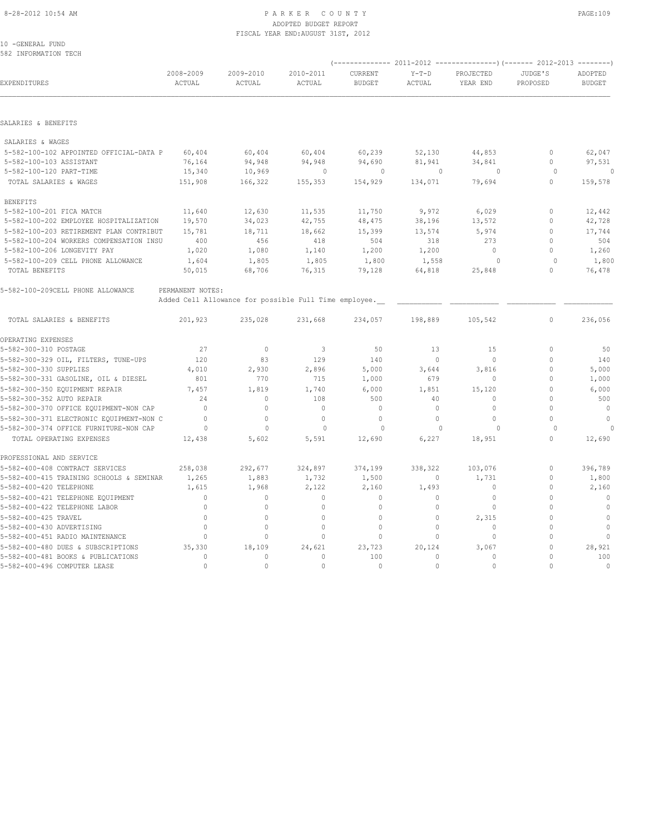#### 8-28-2012 10:54 AM P A R K E R C O U N T Y PAGE:109 ADOPTED BUDGET REPORT FISCAL YEAR END:AUGUST 31ST, 2012

10 -GENERAL FUND 582 INFORMATION TECH

| EXPENDITURES                             | 2008-2009<br>ACTUAL | 2009-2010<br>ACTUAL                                   | 2010-2011<br>ACTUAL | CURRENT<br><b>BUDGET</b> | $Y-T-D$<br>ACTUAL | PROJECTED<br>YEAR END | JUDGE'S<br>PROPOSED | ADOPTED<br><b>BUDGET</b> |
|------------------------------------------|---------------------|-------------------------------------------------------|---------------------|--------------------------|-------------------|-----------------------|---------------------|--------------------------|
|                                          |                     |                                                       |                     |                          |                   |                       |                     |                          |
| SALARIES & BENEFITS                      |                     |                                                       |                     |                          |                   |                       |                     |                          |
| SALARIES & WAGES                         |                     |                                                       |                     |                          |                   |                       |                     |                          |
| 5-582-100-102 APPOINTED OFFICIAL-DATA P  | 60,404              | 60,404                                                | 60,404              | 60,239                   | 52,130            | 44,853                | 0                   | 62,047                   |
| 5-582-100-103 ASSISTANT                  | 76,164              | 94,948                                                | 94,948              | 94,690                   | 81,941            | 34,841                | $\mathbf 0$         | 97,531                   |
| 5-582-100-120 PART-TIME                  | 15,340              | 10,969                                                | $\circ$             | $\circ$                  | $\mathbf 0$       | 0                     | $\circ$             | $\circ$                  |
| TOTAL SALARIES & WAGES                   | 151,908             | 166,322                                               | 155,353             | 154,929                  | 134,071           | 79,694                | $\mathbf 0$         | 159,578                  |
| <b>BENEFITS</b>                          |                     |                                                       |                     |                          |                   |                       |                     |                          |
| 5-582-100-201 FICA MATCH                 | 11,640              | 12,630                                                | 11,535              | 11,750                   | 9,972             | 6,029                 | 0                   | 12,442                   |
| 5-582-100-202 EMPLOYEE HOSPITALIZATION   | 19,570              | 34,023                                                | 42,755              | 48,475                   | 38,196            | 13,572                | $\mathbf 0$         | 42,728                   |
| 5-582-100-203 RETIREMENT PLAN CONTRIBUT  | 15,781              | 18,711                                                | 18,662              | 15,399                   | 13,574            | 5,974                 | $\mathbf 0$         | 17,744                   |
| 5-582-100-204 WORKERS COMPENSATION INSU  | 400                 | 456                                                   | 418                 | 504                      | 318               | 273                   | $\Omega$            | 504                      |
| 5-582-100-206 LONGEVITY PAY              | 1,020               | 1,080                                                 | 1,140               | 1,200                    | 1,200             | $\mathbf 0$           | $\Omega$            | 1,260                    |
| 5-582-100-209 CELL PHONE ALLOWANCE       | 1,604               | 1,805                                                 | 1,805               | 1,800                    | 1,558             | $\circ$               | $\Omega$            | 1,800                    |
| TOTAL BENEFITS                           | 50,015              | 68,706                                                | 76,315              | 79,128                   | 64,818            | 25,848                | $\Omega$            | 76,478                   |
| 5-582-100-209CELL PHONE ALLOWANCE        | PERMANENT NOTES:    |                                                       |                     |                          |                   |                       |                     |                          |
|                                          |                     | Added Cell Allowance for possible Full Time employee. |                     |                          |                   |                       |                     |                          |
| TOTAL SALARIES & BENEFITS                | 201,923             | 235,028                                               | 231,668             | 234,057                  | 198,889           | 105,542               | $\mathbf{0}$        | 236,056                  |
| OPERATING EXPENSES                       |                     |                                                       |                     |                          |                   |                       |                     |                          |
| 5-582-300-310 POSTAGE                    | 27                  | $\circ$                                               | 3                   | 50                       | 13                | 15                    | $\mathbf{0}$        | 50                       |
| 5-582-300-329 OIL, FILTERS, TUNE-UPS     | 120                 | 83                                                    | 129                 | 140                      | $\Omega$          | $\Omega$              | $\Omega$            | 140                      |
| 5-582-300-330 SUPPLIES                   | 4,010               | 2,930                                                 | 2,896               | 5,000                    | 3,644             | 3,816                 | $\Omega$            | 5,000                    |
| 5-582-300-331 GASOLINE, OIL & DIESEL     | 801                 | 770                                                   | 715                 | 1,000                    | 679               | 0                     | $\mathbf 0$         | 1,000                    |
| 5-582-300-350 EQUIPMENT REPAIR           | 7,457               | 1,819                                                 | 1,740               | 6,000                    | 1,851             | 15,120                | $\Omega$            | 6,000                    |
| 5-582-300-352 AUTO REPAIR                | 2.4                 | $\Omega$                                              | 108                 | 500                      | 40                | $\Omega$              | $\Omega$            | 500                      |
| 5-582-300-370 OFFICE EQUIPMENT-NON CAP   | $\mathbf{0}$        | $\circ$                                               | $\mathbf{0}$        | $\mathbf{0}$             | $\circ$           | $\mathbf 0$           | $\Omega$            | $\circ$                  |
| 5-582-300-371 ELECTRONIC EQUIPMENT-NON C | $\mathbf{0}$        | $\circ$                                               | $\mathbf{0}$        | $\mathbf{0}$             | $\circ$           | $\Omega$              | $\Omega$            | $\circ$                  |
| 5-582-300-374 OFFICE FURNITURE-NON CAP   | $\circ$             | $\mathbf{0}$                                          | $\mathbf{0}$        | $\Omega$                 | $\Omega$          | $\Omega$              | $\Omega$            |                          |
| TOTAL OPERATING EXPENSES                 | 12,438              | 5,602                                                 | 5,591               | 12,690                   | 6,227             | 18,951                | $\Omega$            | 12,690                   |
| PROFESSIONAL AND SERVICE                 |                     |                                                       |                     |                          |                   |                       |                     |                          |
| 5-582-400-408 CONTRACT SERVICES          | 258,038             | 292,677                                               | 324,897             | 374,199                  | 338,322           | 103,076               | $\mathbf 0$         | 396,789                  |
| 5-582-400-415 TRAINING SCHOOLS & SEMINAR | 1,265               | 1,883                                                 | 1,732               | 1,500                    | $\circ$           | 1,731                 | $\Omega$            | 1,800                    |
| 5-582-400-420 TELEPHONE                  | 1,615               | 1,968                                                 | 2,122               | 2,160                    | 1,493             | $\mathbf 0$           | $\Omega$            | 2,160                    |
| 5-582-400-421 TELEPHONE EQUIPMENT        | $\mathbf{0}$        | $\circ$                                               | $\mathbf 0$         | $\mathbf{0}$             | $\circ$           | $\mathbf 0$           | $\Omega$            | $\circ$                  |
| 5-582-400-422 TELEPHONE LABOR            | $\mathbf{0}$        | $\mathbf{0}$                                          | $\mathbf{0}$        | $\mathbf{0}$             | $\circ$           | $\circ$               | $\Omega$            | $\mathbf{0}$             |
| 5-582-400-425 TRAVEL                     | $\Omega$            | $\mathbf{0}$                                          | $\circ$             | $\circ$                  | $\circ$           | 2,315                 | $\Omega$            | $\mathbf{0}$             |
| 5-582-400-430 ADVERTISING                | $\mathbf{0}$        | $\Omega$                                              | $\mathbf 0$         | $\mathbf{0}$             | $\circ$           | $\mathbf 0$           | $\Omega$            | $\circ$                  |
| 5-582-400-451 RADIO MAINTENANCE          | $\mathbf{0}$        | 0                                                     | $\Omega$            | $\mathbf{0}$             | $\Omega$          | $\mathbf 0$           | $\Omega$            | $\mathbb O$              |
| 5-582-400-480 DUES & SUBSCRIPTIONS       | 35,330              | 18,109                                                | 24,621              | 23,723                   | 20,124            | 3,067                 | $\mathbf 0$         | 28,921                   |
| 5-582-400-481 BOOKS & PUBLICATIONS       | $\Omega$            | $\mathbf{0}$                                          | $\Omega$            | 100                      | $\Omega$          | $\Omega$              | $\Omega$            | 100                      |
| 5-582-400-496 COMPUTER LEASE             | $\cap$              | $\Omega$                                              | $\Omega$            | $\Omega$                 | $\Omega$          | $\Omega$              | $\Omega$            | $\mathbf{0}$             |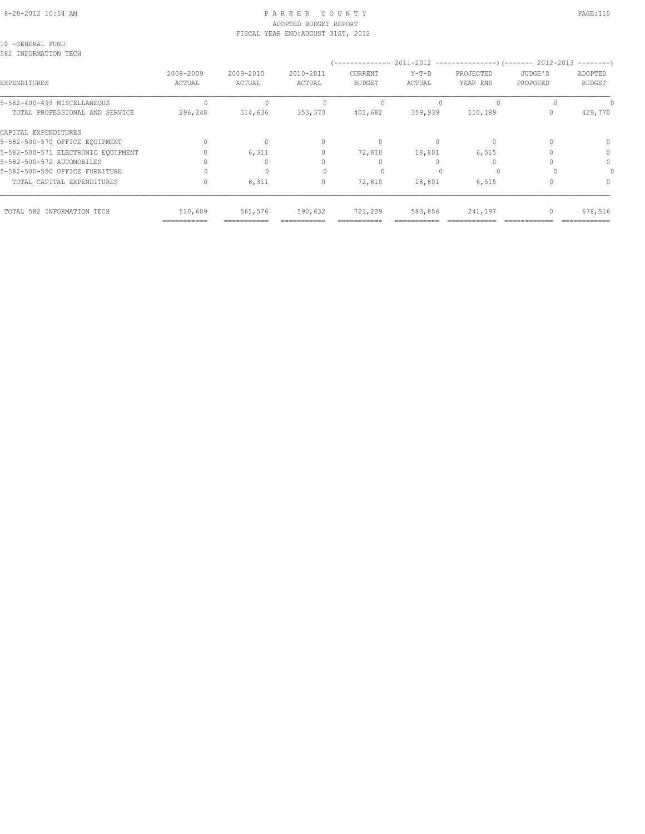#### 8-28-2012 10:54 AM P A R K E R C O U N T Y PAGE:110 ADOPTED BUDGET REPORT FISCAL YEAR END:AUGUST 31ST, 2012

10 -GENERAL FUND 582 INFORMATION TECH

| JUZ INIUNIAIIUN IEUH               |                     |                     |                     |                                  |                   |                       |                     |                          |
|------------------------------------|---------------------|---------------------|---------------------|----------------------------------|-------------------|-----------------------|---------------------|--------------------------|
| EXPENDITURES                       | 2008-2009<br>ACTUAL | 2009-2010<br>ACTUAL | 2010-2011<br>ACTUAL | CURRENT<br><b>BUDGET</b>         | $Y-T-D$<br>ACTUAL | PROJECTED<br>YEAR END | JUDGE'S<br>PROPOSED | ADOPTED<br><b>BUDGET</b> |
| 5-582-400-499 MISCELLANEOUS        |                     |                     |                     |                                  |                   | $\Omega$              |                     |                          |
| TOTAL PROFESSIONAL AND SERVICE     | 296,248             | 314,636             | 353,373             | 401,682                          | 359,939           | 110,189               |                     | 429,770                  |
| CAPITAL EXPENDITURES               |                     |                     |                     |                                  |                   |                       |                     |                          |
| 5-582-500-570 OFFICE EQUIPMENT     |                     | $\circ$             | $\Omega$            | $\begin{array}{c} \n\end{array}$ | 0                 | $\Omega$              |                     | $\Omega$                 |
| 5-582-500-571 ELECTRONIC EQUIPMENT |                     | 6,311               |                     | 72,810                           | 18,801            | 6,515                 |                     | 0                        |
| 5-582-500-572 AUTOMOBILES          |                     | 0                   |                     |                                  |                   |                       |                     | $\Omega$                 |
| 5-582-500-590 OFFICE FURNITURE     |                     |                     |                     |                                  |                   | $\cup$                |                     |                          |
| TOTAL CAPITAL EXPENDITURES         |                     | 6,311               | 0                   | 72,810                           | 18,801            | 6,515                 |                     |                          |
| TOTAL 582 INFORMATION TECH         | 510,609             | 561,576             | 590,632             | 721,239                          | 583,856           | 241,197               |                     | 678,516                  |

=========== =========== =========== =========== =========== ============ ============ ============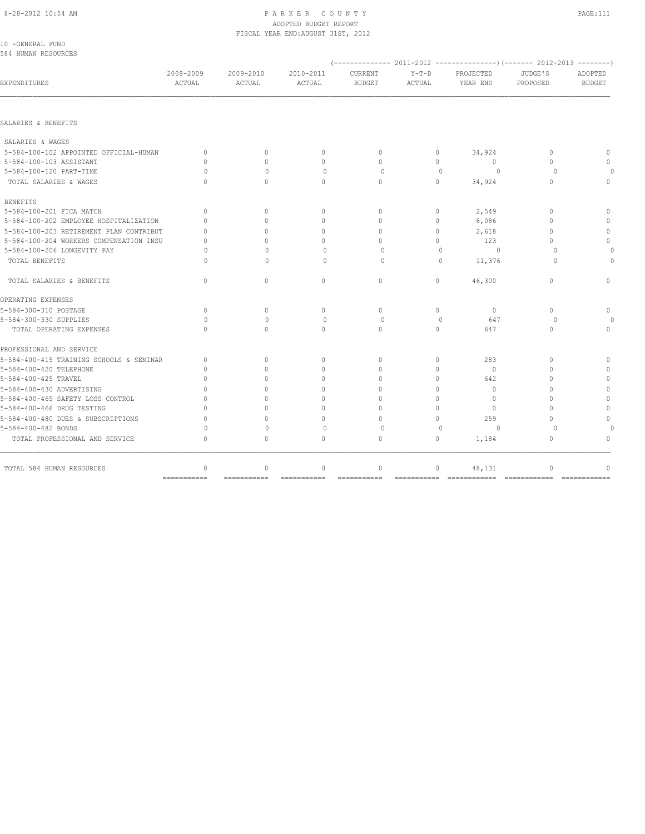# ADOPTED BUDGET REPORT

| ACTUAL                           | ACTUAL       | ACTUAL       | <b>BUDGET</b> | ACTUAL                                        | YEAR END     | PROPOSED                         | ADOPTED<br><b>BUDGET</b> |
|----------------------------------|--------------|--------------|---------------|-----------------------------------------------|--------------|----------------------------------|--------------------------|
|                                  |              |              |               |                                               |              |                                  |                          |
|                                  |              |              |               |                                               |              |                                  |                          |
|                                  |              |              |               |                                               |              |                                  |                          |
| $\circ$                          | $\mathbf{0}$ | $\circ$      | $\circ$       | $\circ$                                       |              | $\mathbf{0}$                     | $\mathbf{0}$             |
| $\Omega$                         | $\Omega$     | $\circ$      | $\circ$       | $\circ$                                       | $\circ$      | $\Omega$                         | $\Omega$                 |
| $\Omega$                         | $\Omega$     | $\circ$      | $\circ$       | $\mathbf{0}$                                  | $\circ$      | $\Omega$                         |                          |
| $\bigcap$                        | $\Omega$     | $\Omega$     | $\Omega$      | $\Omega$                                      | 34,924       | $\Omega$                         | $\Omega$                 |
|                                  |              |              |               |                                               |              |                                  |                          |
| $\Omega$                         | $\Omega$     | $\mathbf{0}$ | $\circ$       | $\circ$                                       | 2,549        | $\begin{array}{c} \n\end{array}$ | $\mathbf{0}$             |
| $\Omega$                         | $\Omega$     | $\mathbf{0}$ | $\circ$       | $\circ$                                       | 6,086        | $\mathbf{0}$                     | $\Omega$                 |
| $\Omega$                         | $\Omega$     | $\mathbf{0}$ | $\Omega$      | $\circ$                                       | 2,618        | $\Omega$                         | $\mathbf{0}$             |
| $\mathbf{0}$                     | $\Omega$     | $\mathbf{0}$ | $\Omega$      | $\circ$                                       | 123          | $\Omega$                         | $\mathbf{0}$             |
| 0                                | $\Omega$     | $\Omega$     | $\Omega$      | $\Omega$                                      | $\Omega$     | $\Omega$                         |                          |
| $\Omega$                         | $\Omega$     | $\Omega$     | $\Omega$      | $\mathbf{0}$                                  | 11,376       | $\cap$                           |                          |
| $\Omega$                         | $\Omega$     | $\mathbf{0}$ | $\circ$       | $\circ$                                       | 46,300       | $\Omega$                         | $\Omega$                 |
|                                  |              |              |               |                                               |              |                                  |                          |
| $\Omega$                         | $\Omega$     | $\Omega$     | $\Omega$      | $\Omega$                                      | $\Omega$     | $\Omega$                         | $\mathbf{0}$             |
| $\Omega$                         | $\Omega$     | $\mathbf{0}$ | $\Omega$      | $\Omega$                                      | 647          | $\Omega$                         |                          |
| $\Omega$                         | $\Omega$     | $\Omega$     | $\Omega$      | $\Omega$                                      | 647          | $\Omega$                         | $\mathbf{0}$             |
|                                  |              |              |               |                                               |              |                                  |                          |
| $\mathbf{0}$                     | $\circ$      | $\mathbf 0$  | $\circ$       | $\circ$                                       | 283          | $\mathbf{0}$                     | $\mathbf{0}$             |
| $\mathbf{0}$                     | $\Omega$     | $\mathbf{0}$ | $\mathbf{0}$  | $\circ$                                       | $\mathbf{0}$ | $\mathbf{0}$                     | $\circ$                  |
| $\Omega$                         | $\Omega$     | $\mathbf{0}$ | $\circ$       | $\circ$                                       | 642          | $\Omega$                         | $\mathbf{0}$             |
| $\Omega$                         | $\Omega$     | $\mathbf{0}$ | $\Omega$      | $\Omega$                                      | $\Omega$     | $\Omega$                         | $\mathbf{0}$             |
| $\Omega$                         | $\cap$       | $\Omega$     | $\Omega$      | $\Omega$                                      | $\Omega$     | $\Omega$                         | $\circ$                  |
| $\Omega$                         | $\Omega$     | $\Omega$     | $\Omega$      | $\Omega$                                      | $\Omega$     | $\Omega$                         | $\Omega$                 |
| $\Omega$                         | $\Omega$     | $\mathbf{0}$ | $\Omega$      | $\circ$                                       | 259          | $\Omega$                         | $\Omega$                 |
| $\Omega$                         | $\mathbf{0}$ | $\circ$      | $\circ$       | $\mathbf{0}$                                  | $\circ$      | $\Omega$                         |                          |
| $\begin{array}{c} \n\end{array}$ | $\Omega$     | $\Omega$     | $\Omega$      | $\Omega$                                      | 1,184        | $\Omega$                         | $\Omega$                 |
|                                  | 2008-2009    | 2009-2010    | 2010-2011     | FISCAL YEAR END: AUGUST 31ST, 2012<br>CURRENT | $Y-T-D$      | PROJECTED<br>34,924              | JUDGE'S                  |

=========== =========== =========== =========== =========== ============ ============ ============

TOTAL 584 HUMAN RESOURCES 0 0 0 0 0 0 48,131 0 0 0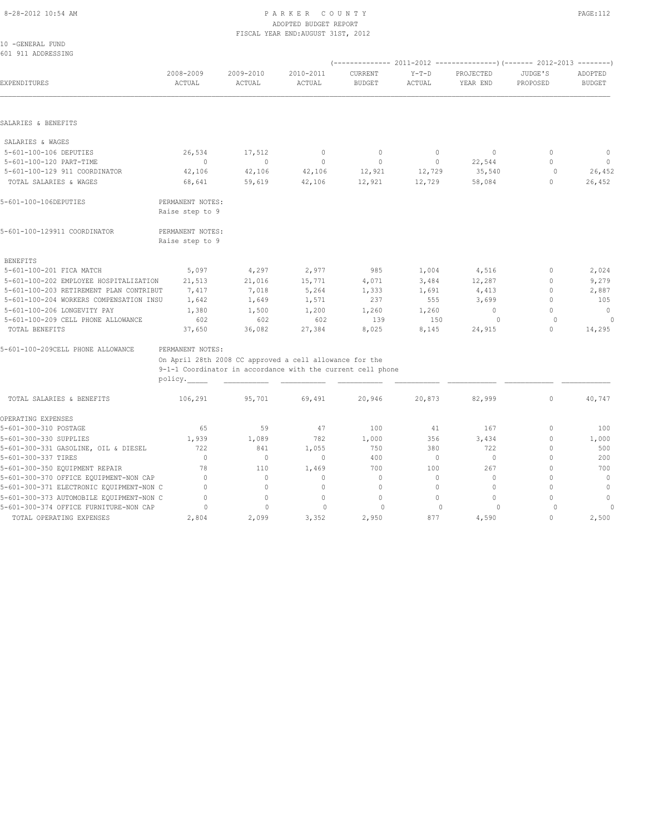#### 8-28-2012 10:54 AM P A R K E R C O U N T Y PAGE:112 ADOPTED BUDGET REPORT FISCAL YEAR END:AUGUST 31ST, 2012

| 10 -GENERAL FUND<br>601 911 ADDRESSING   |                                                             |                     |                     |                          |                   |                       |                     |                          |
|------------------------------------------|-------------------------------------------------------------|---------------------|---------------------|--------------------------|-------------------|-----------------------|---------------------|--------------------------|
|                                          |                                                             |                     |                     |                          |                   |                       |                     |                          |
| EXPENDITURES                             | 2008-2009<br>ACTUAL                                         | 2009-2010<br>ACTUAL | 2010-2011<br>ACTUAL | CURRENT<br><b>BUDGET</b> | $Y-T-D$<br>ACTUAL | PROJECTED<br>YEAR END | JUDGE'S<br>PROPOSED | ADOPTED<br><b>BUDGET</b> |
|                                          |                                                             |                     |                     |                          |                   |                       |                     |                          |
| SALARIES & BENEFITS                      |                                                             |                     |                     |                          |                   |                       |                     |                          |
| SALARIES & WAGES                         |                                                             |                     |                     |                          |                   |                       |                     |                          |
| 5-601-100-106 DEPUTIES                   | 26,534                                                      | 17,512              | $\mathbf 0$         | $\mathbf 0$              | 0                 | $\mathbf{0}$          | $\mathbf 0$         | $\mathbb O$              |
| 5-601-100-120 PART-TIME                  | $\mathbf{0}$                                                | $\mathbf{0}$        | $\mathbf{0}$        | $\mathbf{0}$             | $\circ$           | 22,544                | $\mathbf{0}$        | $\circ$                  |
| 5-601-100-129 911 COORDINATOR            | 42,106                                                      | 42,106              | 42,106              | 12,921                   | 12,729            | 35,540                | $\circ$             | 26,452                   |
| TOTAL SALARIES & WAGES                   | 68,641                                                      | 59,619              | 42,106              | 12,921                   | 12,729            | 58,084                | $\mathbf{0}$        | 26,452                   |
| 5-601-100-106DEPUTIES                    | PERMANENT NOTES:<br>Raise step to 9                         |                     |                     |                          |                   |                       |                     |                          |
| 5-601-100-129911 COORDINATOR             | PERMANENT NOTES:<br>Raise step to 9                         |                     |                     |                          |                   |                       |                     |                          |
| <b>BENEFITS</b>                          |                                                             |                     |                     |                          |                   |                       |                     |                          |
| 5-601-100-201 FICA MATCH                 | 5,097                                                       | 4,297               | 2,977               | 985                      | 1,004             | 4,516                 | $\mathbf 0$         | 2,024                    |
| 5-601-100-202 EMPLOYEE HOSPITALIZATION   | 21,513                                                      | 21,016              | 15,771              | 4,071                    | 3,484             | 12,287                | $\mathbf{0}$        | 9,279                    |
| 5-601-100-203 RETIREMENT PLAN CONTRIBUT  | 7,417                                                       | 7,018               | 5,264               | 1,333                    | 1,691             | 4,413                 | $\mathbf{0}$        | 2,887                    |
| 5-601-100-204 WORKERS COMPENSATION INSU  | 1,642                                                       | 1,649               | 1,571               | 237                      | 555               | 3,699                 | $\Omega$            | 105                      |
| 5-601-100-206 LONGEVITY PAY              | 1,380                                                       | 1,500               | 1,200               | 1,260                    | 1,260             | $\mathbf{0}$          | $\mathbf{0}$        | $\mathbf{0}$             |
| 5-601-100-209 CELL PHONE ALLOWANCE       | 602                                                         | 602                 | 602                 | 139                      | 150               | $\Omega$              | $\Omega$            | $\Omega$                 |
| TOTAL BENEFITS                           | 37,650                                                      | 36,082              | 27,384              | 8,025                    | 8,145             | 24,915                | $\circ$             | 14,295                   |
| 5-601-100-209CELL PHONE ALLOWANCE        | PERMANENT NOTES:                                            |                     |                     |                          |                   |                       |                     |                          |
|                                          | On April 28th 2008 CC approved a cell allowance for the     |                     |                     |                          |                   |                       |                     |                          |
|                                          | 9-1-1 Coordinator in accordance with the current cell phone |                     |                     |                          |                   |                       |                     |                          |
|                                          | policy.                                                     |                     |                     |                          |                   |                       |                     |                          |
| TOTAL SALARIES & BENEFITS                | 106,291                                                     | 95,701              | 69,491              | 20,946                   | 20,873            | 82,999                | $\circ$             | 40,747                   |
| OPERATING EXPENSES                       |                                                             |                     |                     |                          |                   |                       |                     |                          |
| 5-601-300-310 POSTAGE                    | 65                                                          | 59                  | 47                  | 100                      | 41                | 167                   | $\mathbf{0}$        | 100                      |
| 5-601-300-330 SUPPLIES                   | 1,939                                                       | 1,089               | 782                 | 1,000                    | 356               | 3,434                 | $\mathbf{0}$        | 1,000                    |
| 5-601-300-331 GASOLINE, OIL & DIESEL     | 722                                                         | 841                 | 1,055               | 750                      | 380               | 722                   | $\mathbf{0}$        | 500                      |
| 5-601-300-337 TIRES                      | $\Omega$                                                    | $\mathbf{0}$        | $\mathbf{0}$        | 400                      | $\circ$           | $\mathbf{0}$          | $\Omega$            | 200                      |
| 5-601-300-350 EQUIPMENT REPAIR           | 78                                                          | 110                 | 1,469               | 700                      | 100               | 267                   | $\Omega$            | 700                      |
| 5-601-300-370 OFFICE EQUIPMENT-NON CAP   | $\mathbf{0}$                                                | $\circ$             | $\mathbf{0}$        | $\mathbf{0}$             | $\circ$           | $\mathbf{0}$          | $\bigcap$           | $\mathbf{0}$             |
| 5-601-300-371 ELECTRONIC EQUIPMENT-NON C | $\mathbf{0}$                                                | $\circ$             | $\mathbf{0}$        | $\mathbf{0}$             | $\circ$           | $\mathbf{0}$          | $\Omega$            | $\mathbf 0$              |
| 5-601-300-373 AUTOMOBILE EQUIPMENT-NON C | $\Omega$                                                    | $\circ$             | $\mathbf{0}$        | $\mathbf{0}$             | $\circ$           | $\Omega$              | $\Omega$            | $\mathbf{0}$             |
| 5-601-300-374 OFFICE FURNITURE-NON CAP   | $\circ$                                                     | $\mathbf{0}$        | $\circ$             | $\circ$                  | $\Omega$          | $\circ$               | $\Omega$            | 0                        |
| TOTAL OPERATING EXPENSES                 | 2,804                                                       | 2,099               | 3,352               | 2,950                    | 877               | 4,590                 | $\Omega$            | 2,500                    |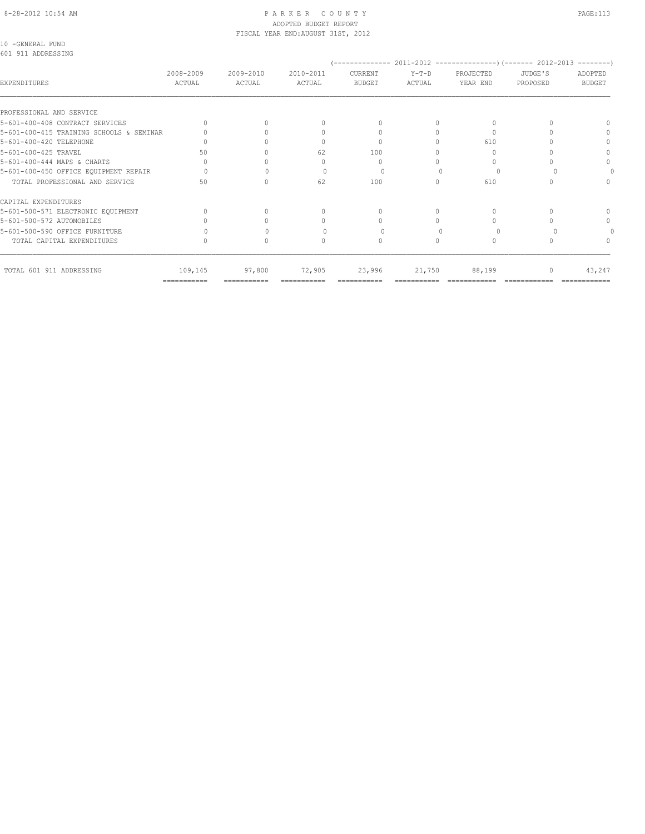### ADOPTED BUDGET REPORT FISCAL YEAR END:AUGUST 31ST, 2012

10 -GENERAL FUND 601 911 ADDRESSING

| 601 911 ADDRESSING                       |                     |                     |                     |                          |                   |                                  |                     |                          |
|------------------------------------------|---------------------|---------------------|---------------------|--------------------------|-------------------|----------------------------------|---------------------|--------------------------|
| EXPENDITURES                             | 2008-2009<br>ACTUAL | 2009-2010<br>ACTUAL | 2010-2011<br>ACTUAL | CURRENT<br><b>BUDGET</b> | $Y-T-D$<br>ACTUAL | PROJECTED<br>YEAR END            | JUDGE'S<br>PROPOSED | ADOPTED<br><b>BUDGET</b> |
| PROFESSIONAL AND SERVICE                 |                     |                     |                     |                          |                   |                                  |                     |                          |
| 5-601-400-408 CONTRACT SERVICES          |                     |                     |                     |                          |                   | 0                                |                     |                          |
| 5-601-400-415 TRAINING SCHOOLS & SEMINAR |                     |                     |                     |                          |                   | $\begin{array}{c} \n\end{array}$ |                     | $\Omega$                 |
| 5-601-400-420 TELEPHONE                  |                     |                     |                     |                          |                   | 610                              |                     | $\Omega$                 |
| 5-601-400-425 TRAVEL                     | 50                  |                     | 62                  | 100                      |                   | 0                                |                     |                          |
| 5-601-400-444 MAPS & CHARTS              |                     |                     |                     | $\Omega$                 |                   | $\Omega$                         |                     | $\Omega$                 |
| 5-601-400-450 OFFICE EQUIPMENT REPAIR    |                     |                     |                     |                          |                   |                                  |                     |                          |
| TOTAL PROFESSIONAL AND SERVICE           | 50                  |                     | 62                  | 100                      |                   | 610                              |                     |                          |
| CAPITAL EXPENDITURES                     |                     |                     |                     |                          |                   |                                  |                     |                          |
| 5-601-500-571 ELECTRONIC EQUIPMENT       |                     |                     |                     | $\Omega$                 |                   | 0                                |                     | $\cap$                   |
| 5-601-500-572 AUTOMOBILES                |                     |                     |                     |                          |                   |                                  |                     | $\Omega$                 |
| 5-601-500-590 OFFICE FURNITURE           |                     |                     |                     |                          |                   |                                  |                     |                          |
| TOTAL CAPITAL EXPENDITURES               |                     |                     | n                   | 0                        | $\Omega$          | 0                                |                     |                          |
| TOTAL 601 911 ADDRESSING                 | 109,145             | 97,800              | 72,905              | 23,996                   | 21,750            | 88,199                           | $\mathbf{0}$        | 43,247                   |

=========== =========== =========== =========== =========== ============ ============ ============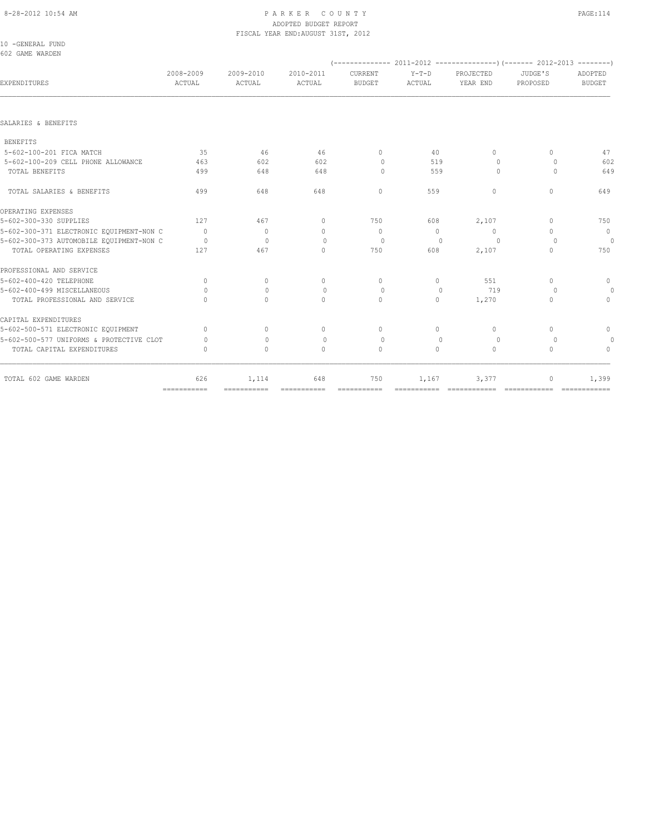# ADOPTED BUDGET REPORT

|                                          |              |           | FISCAL YEAR END: AUGUST 31ST, 2012 |                                  |          |              |                                  |                |
|------------------------------------------|--------------|-----------|------------------------------------|----------------------------------|----------|--------------|----------------------------------|----------------|
| 10 -GENERAL FUND                         |              |           |                                    |                                  |          |              |                                  |                |
| 602 GAME WARDEN                          |              |           |                                    |                                  |          |              |                                  |                |
|                                          |              |           |                                    |                                  |          |              |                                  |                |
|                                          | 2008-2009    | 2009-2010 | 2010-2011                          | CURRENT                          | $Y-T-D$  | PROJECTED    | JUDGE'S                          | ADOPTED        |
| EXPENDITURES                             | ACTUAL       | ACTUAL    | ACTUAL                             | <b>BUDGET</b>                    | ACTUAL   | YEAR END     | PROPOSED                         | <b>BUDGET</b>  |
|                                          |              |           |                                    |                                  |          |              |                                  |                |
| SALARIES & BENEFITS                      |              |           |                                    |                                  |          |              |                                  |                |
| <b>BENEFITS</b>                          |              |           |                                    |                                  |          |              |                                  |                |
| 5-602-100-201 FICA MATCH                 | 35           | 46        | 46                                 | $\mathbf{0}$                     | 40       | $\mathbf{0}$ | $\begin{array}{c} \n\end{array}$ | 47             |
| 5-602-100-209 CELL PHONE ALLOWANCE       | 463          | 602       | 602                                | $\circ$                          | 519      | $\circ$      | $\circ$                          | 602            |
| TOTAL BENEFITS                           | 499          | 648       | 648                                | $\Omega$                         | 559      | $\Omega$     | $\Omega$                         | 649            |
| TOTAL SALARIES & BENEFITS                | 499          | 648       | 648                                | $\Omega$                         | 559      | $\Omega$     | $\Omega$                         | 649            |
| OPERATING EXPENSES                       |              |           |                                    |                                  |          |              |                                  |                |
| 5-602-300-330 SUPPLIES                   | 127          | 467       | $\begin{array}{c} \n\end{array}$   | 750                              | 608      | 2,107        | $\begin{array}{c} \n\end{array}$ | 750            |
| 5-602-300-371 ELECTRONIC EQUIPMENT-NON C | $\bigcap$    | $\Omega$  | $\Omega$                           | $\Omega$                         | $\Omega$ | $\Omega$     | $\bigcap$                        | $\overline{0}$ |
| 5-602-300-373 AUTOMOBILE EQUIPMENT-NON C | $\Omega$     | $\Omega$  | $\Omega$                           | $\Omega$                         | $\Omega$ | $\Omega$     | $\Omega$                         | $\circ$        |
| TOTAL OPERATING EXPENSES                 | 127          | 467       | $\begin{array}{c} \n\end{array}$   | 750                              | 608      | 2,107        | $\begin{array}{c} \n\end{array}$ | 750            |
| PROFESSIONAL AND SERVICE                 |              |           |                                    |                                  |          |              |                                  |                |
| 5-602-400-420 TELEPHONE                  | $\Omega$     | $\Omega$  | $\mathbf{0}$                       | $\Omega$                         | $\Omega$ | 551          | $\begin{array}{c} \n\end{array}$ | $\circ$        |
| 5-602-400-499 MISCELLANEOUS              | $\Omega$     | $\Omega$  | $\Omega$                           | $\Omega$                         | $\Omega$ | 719          | $\Omega$                         | $\circ$        |
| TOTAL PROFESSIONAL AND SERVICE           | $\bigcap$    | $\Omega$  | $\Omega$                           | $\Omega$                         | $\circ$  | 1,270        | $\begin{array}{c} \n\end{array}$ | $\mathbf{0}$   |
| CAPITAL EXPENDITURES                     |              |           |                                    |                                  |          |              |                                  |                |
| 5-602-500-571 ELECTRONIC EQUIPMENT       | $\Omega$     | $\Omega$  | $\begin{array}{c} \n\end{array}$   | $\begin{array}{c} \n\end{array}$ | $\Omega$ | $\Omega$     | $\Omega$                         | $\circ$        |
| 5-602-500-577 UNIFORMS & PROTECTIVE CLOT | $\Omega$     | $\Omega$  | $\Omega$                           | $\Omega$                         | $\Omega$ | $\Omega$     | $\Omega$                         | $\theta$       |
| TOTAL CAPITAL EXPENDITURES               | $\mathbf{0}$ | $\circ$   | $\circ$                            | $\mathbf{0}$                     | $\circ$  | $\circ$      | $\mathbf{0}$                     | $\mathbf{0}$   |
| TOTAL 602 GAME WARDEN                    | 626          | 1,114     | 648                                | 750                              | 1,167    | 3,377        | $\circ$                          | 1,399          |

=========== =========== =========== =========== =========== ============ ============ ============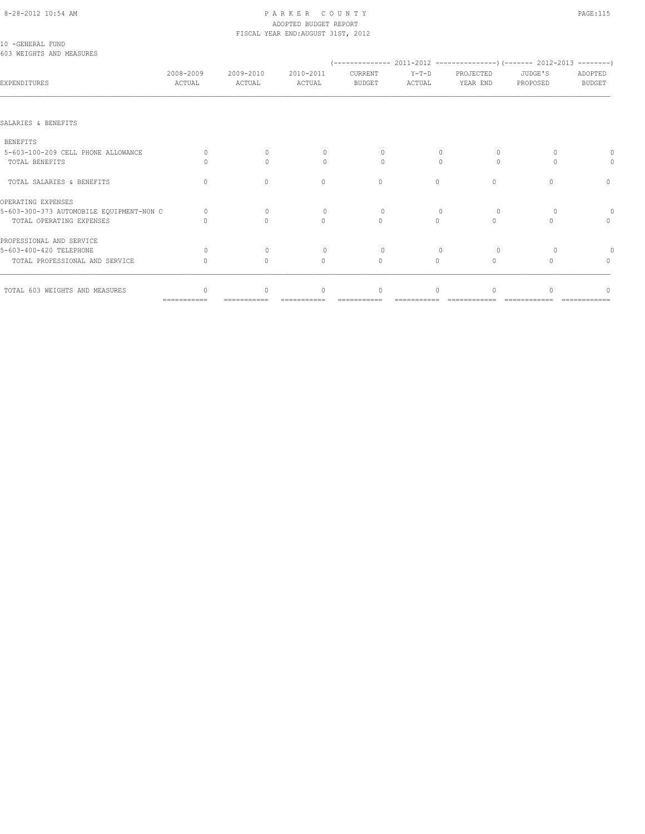# ADOPTED BUDGET REPORT

| 2008-2009<br>ACTUAL                           | 2009-2010<br>ACTUAL              | 2010-2011<br>ACTUAL | CURRENT<br><b>BUDGET</b> | $Y-T-D$<br>ACTUAL                  | PROJECTED<br>YEAR END | JUDGE'S<br>PROPOSED | ADOPTED<br><b>BUDGET</b>         |
|-----------------------------------------------|----------------------------------|---------------------|--------------------------|------------------------------------|-----------------------|---------------------|----------------------------------|
|                                               |                                  |                     |                          |                                    |                       |                     |                                  |
|                                               |                                  |                     |                          |                                    |                       |                     |                                  |
|                                               |                                  |                     |                          |                                    |                       |                     |                                  |
| $\Omega$                                      | $\Omega$                         | $\Omega$            | 0                        | 0                                  | $\circ$               | 0                   |                                  |
| Λ                                             | $\bigcap$                        | $\bigcap$           | $\bigcap$                | $\bigcap$                          | $\Omega$              | $\cap$              |                                  |
| $\begin{array}{c} \n\end{array}$              | $\Omega$                         | $\Omega$            | $\mathbf{0}$             | $\circ$                            | $\circ$               | $\Omega$            | $\mathbf{0}$                     |
|                                               |                                  |                     |                          |                                    |                       |                     |                                  |
| 5-603-300-373 AUTOMOBILE EQUIPMENT-NON C<br>0 | $\mathbf{0}$                     | $\mathbf{0}$        | $\circ$                  | $\mathbf{0}$                       | 0                     | $\circ$             |                                  |
|                                               | $\bigcap$                        | $\Omega$            | $\Omega$                 | $\Omega$                           | $\bigcap$             | $\bigcap$           | $\begin{array}{c} \n\end{array}$ |
|                                               |                                  |                     |                          |                                    |                       |                     |                                  |
| $\Omega$                                      | $\Omega$                         | $\Omega$            | $\Omega$                 |                                    | $\Omega$              |                     |                                  |
| $\Omega$                                      | $\begin{array}{c} \n\end{array}$ | $\Omega$            | $\mathbf{0}$             | $\Omega$                           | $\Omega$              | $\bigcap$           | $\begin{array}{c} \n\end{array}$ |
|                                               | $\cap$                           | $\Omega$            | $\Omega$                 | $\Omega$                           |                       |                     |                                  |
|                                               |                                  |                     |                          | FISCAL YEAR END: AUGUST 31ST, 2012 |                       |                     |                                  |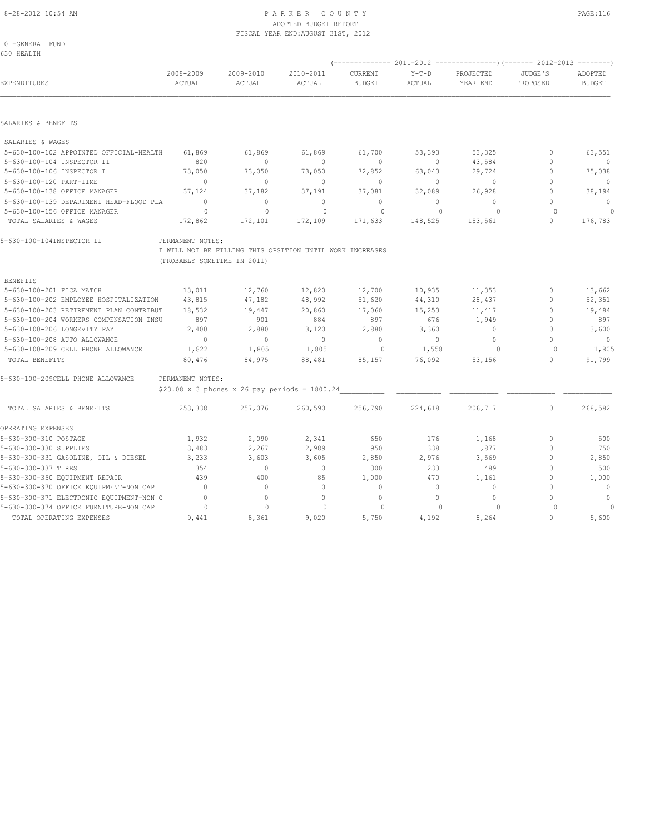# 8-28-2012 10:54 AM P A R K E R C O U N T Y PAGE:116 ADOPTED BUDGET REPORT

| 10 -GENERAL FUND<br>630 HEALTH |           |           | FISCAL YEAR END: AUGUST 31ST, 2012 |               |         |           |          |               |
|--------------------------------|-----------|-----------|------------------------------------|---------------|---------|-----------|----------|---------------|
|                                |           |           |                                    |               |         |           |          |               |
|                                | 2008-2009 | 2009-2010 | 2010-2011                          | CURRENT       | $Y-T-D$ | PROJECTED | JUDGE'S  | ADOPTED       |
| EXPENDITURES                   | ACTUAL    | ACTUAL    | ACTUAL                             | <b>BUDGET</b> | ACTUAL  | YEAR END  | PROPOSED | <b>BUDGET</b> |
|                                |           |           |                                    |               |         |           |          |               |
|                                |           |           |                                    |               |         |           |          |               |

#### SALARIES & BENEFITS

| SALARIES & WAGES                        |         |         |         |         |         |         |          |
|-----------------------------------------|---------|---------|---------|---------|---------|---------|----------|
| 5-630-100-102 APPOINTED OFFICIAL-HEALTH | 61,869  | 61,869  | 61,869  | 61,700  | 53,393  | 53,325  | 63,551   |
| 5-630-100-104 INSPECTOR II              | 820     |         |         |         |         | 43,584  | $\Omega$ |
| 5-630-100-106 INSPECTOR I               | 73,050  | 73,050  | 73,050  | 72,852  | 63,043  | 29,724  | 75,038   |
| 5-630-100-120 PART-TIME                 |         |         | 0       |         |         |         | $\cap$   |
| 5-630-100-138 OFFICE MANAGER            | 37,124  | 37,182  | 37,191  | 37,081  | 32,089  | 26,928  | 38,194   |
| 5-630-100-139 DEPARTMENT HEAD-FLOOD PLA |         |         |         | 0       |         |         | $\Omega$ |
| 5-630-100-156 OFFICE MANAGER            |         |         |         |         |         |         |          |
| TOTAL SALARIES & WAGES                  | 172,862 | 172,101 | 172,109 | 171,633 | 148,525 | 153,561 | 176,783  |

## 5-630-100-104INSPECTOR II PERMANENT NOTES:

 I WILL NOT BE FILLING THIS OPSITION UNTIL WORK INCREASES (PROBABLY SOMETIME IN 2011)

| BENEFITS                                |        |        |        |        |        |        |          |
|-----------------------------------------|--------|--------|--------|--------|--------|--------|----------|
| 5-630-100-201 FICA MATCH                | 13,011 | 12,760 | 12,820 | 12,700 | 10,935 | 11,353 | 13,662   |
| 5-630-100-202 EMPLOYEE HOSPITALIZATION  | 43,815 | 47,182 | 48,992 | 51,620 | 44,310 | 28,437 | 52,351   |
| 5-630-100-203 RETIREMENT PLAN CONTRIBUT | 18,532 | 19,447 | 20,860 | 17,060 | 15,253 | 11,417 | 19,484   |
| 5-630-100-204 WORKERS COMPENSATION INSU | 897    | 901    | 884    | 897    | 676    | 1,949  | 897      |
| 5-630-100-206 LONGEVITY PAY             | 2,400  | 2,880  | 3,120  | 2,880  | 3,360  |        | 3,600    |
| 5-630-100-208 AUTO ALLOWANCE            |        | 0      |        | 0      | 0      | 0      | $\Omega$ |
| 5-630-100-209 CELL PHONE ALLOWANCE      | 1,822  | 1,805  | 1,805  | 0      | 1,558  |        | 1,805    |
| TOTAL BENEFITS                          | 80,476 | 84,975 | 88,481 | 85,157 | 76,092 | 53,156 | 91,799   |
|                                         |        |        |        |        |        |        |          |
|                                         |        |        |        |        |        |        |          |

## 5-630-100-209CELL PHONE ALLOWANCE PERMANENT NOTES:

\$23.08 x 3 phones x 26 pay periods = 1800.24\_\_\_\_\_\_\_\_\_\_\_ \_\_\_\_\_\_\_\_\_\_\_ \_\_\_\_\_\_\_\_\_\_\_\_ \_\_\_\_\_\_\_\_\_\_\_\_ \_\_\_\_\_\_\_\_\_\_\_\_

| TOTAL SALARIES & BENEFITS                | 253,338 | 257,076 | 260,590 | 256,790  | 224,618                          | 206,717  | 0 | 268,582  |
|------------------------------------------|---------|---------|---------|----------|----------------------------------|----------|---|----------|
| OPERATING EXPENSES                       |         |         |         |          |                                  |          |   |          |
| 5-630-300-310 POSTAGE                    | 1,932   | 2,090   | 2,341   | 650      | 176                              | 1,168    |   | 500      |
| 5-630-300-330 SUPPLIES                   | 3,483   | 2,267   | 2,989   | 950      | 338                              | 1,877    |   | 750      |
| 5-630-300-331 GASOLINE, OIL & DIESEL     | 3,233   | 3,603   | 3,605   | 2,850    | 2,976                            | 3,569    |   | 2,850    |
| 5-630-300-337 TIRES                      | 354     |         |         | 300      | 233                              | 489      |   | 500      |
| 5-630-300-350 EQUIPMENT REPAIR           | 439     | 400     | 85      | 1,000    | 470                              | 1,161    |   | 1,000    |
| 5-630-300-370 OFFICE EQUIPMENT-NON CAP   |         |         |         | $\Omega$ |                                  | 0        |   | $\Omega$ |
| 5-630-300-371 ELECTRONIC EQUIPMENT-NON C |         |         |         | $\Omega$ |                                  | $\Omega$ |   | $\Omega$ |
| 5-630-300-374 OFFICE FURNITURE-NON CAP   |         | 0       |         |          | $\begin{array}{c} \n\end{array}$ |          |   |          |
| TOTAL OPERATING EXPENSES                 | 9,441   | 8,361   | 9,020   | 5,750    | 4,192                            | 8,264    |   | 5,600    |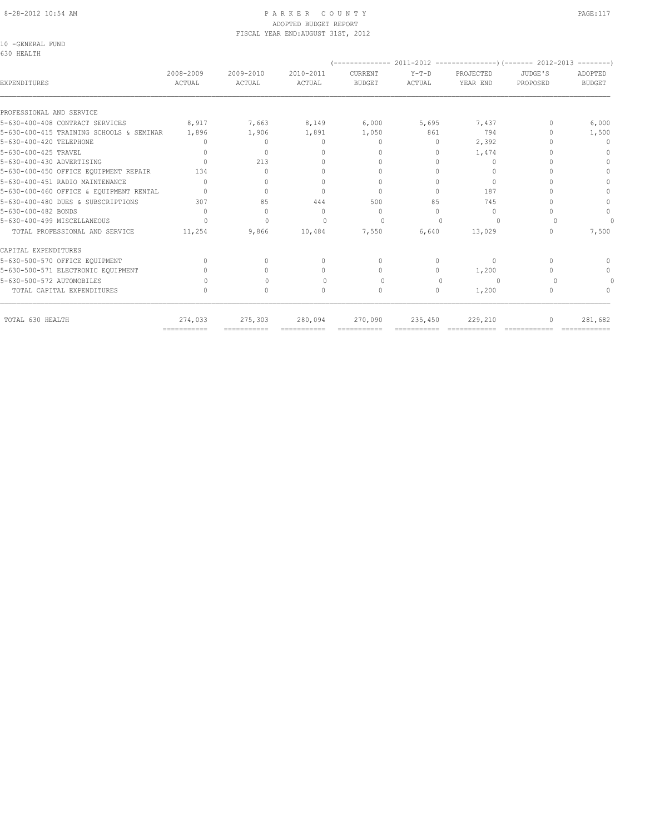#### 8-28-2012 10:54 AM PAGE:117 PAGE:117 ADOPTED BUDGET REPORT FISCAL YEAR END:AUGUST 31ST, 2012

10 -GENERAL FUND

| 2008-2009<br>ACTUAL | 2009-2010<br>ACTUAL                                                                                | 2010-2011<br>ACTUAL              | CURRENT<br><b>BUDGET</b>         | $Y-T-D$<br>ACTUAL | PROJECTED<br>YEAR END            | JUDGE'S<br>PROPOSED | ADOPTED<br><b>BUDGET</b> |
|---------------------|----------------------------------------------------------------------------------------------------|----------------------------------|----------------------------------|-------------------|----------------------------------|---------------------|--------------------------|
|                     |                                                                                                    |                                  |                                  |                   |                                  |                     |                          |
| 8,917               | 7,663                                                                                              | 8,149                            | 6,000                            | 5,695             | 7,437                            |                     | 6,000                    |
| 1,896               | 1,906                                                                                              | 1,891                            | 1,050                            | 861               | 794                              |                     | 1,500                    |
|                     | $\Omega$                                                                                           | $\begin{array}{c} \n\end{array}$ | $\Omega$                         | $\Omega$          | 2,392                            |                     | $\Omega$                 |
| $\cap$              | $\begin{array}{c} \n\end{array}$                                                                   | $\cap$                           | $\Omega$                         | $\Omega$          | 1,474                            |                     | n                        |
| $\bigcap$           | 213                                                                                                | 0                                | $\Omega$                         | $\Omega$          | $\Omega$                         |                     |                          |
| 134                 | $\cap$                                                                                             | $\cap$                           | $\bigcap$                        | $\bigcap$         | $\Omega$                         |                     | $\bigcap$                |
| $\bigcap$           | $\bigcap$                                                                                          | $\bigcap$                        | $\begin{array}{c} \n\end{array}$ | $\Omega$          | $\Omega$                         |                     |                          |
|                     | $\Omega$                                                                                           | $\Omega$                         | $\Omega$                         | $\Omega$          | 187                              |                     |                          |
| 307                 | 85                                                                                                 | 444                              | 500                              | 85                | 745                              |                     | ∩                        |
| $\bigcap$           | $\begin{array}{c} \n\end{array}$                                                                   | $\bigcap$                        | $\Omega$                         | $\cap$            | $\begin{array}{c} \n\end{array}$ |                     | $\Omega$                 |
| $\Omega$            | $\Omega$                                                                                           | $\bigcap$                        | $\Omega$                         |                   | $\Omega$                         |                     |                          |
| 11,254              | 9,866                                                                                              | 10,484                           | 7,550                            | 6,640             | 13,029                           | n                   | 7,500                    |
|                     |                                                                                                    |                                  |                                  |                   |                                  |                     |                          |
| $\cap$              | $\cap$                                                                                             | $\begin{array}{c} \n\end{array}$ | $\begin{array}{c} \n\end{array}$ | $\bigcap$         | $\begin{array}{c} \n\end{array}$ |                     | $\cap$                   |
|                     | $\Omega$                                                                                           | $\begin{array}{c} \n\end{array}$ | $\Omega$                         | $\Omega$          | 1,200                            |                     |                          |
|                     |                                                                                                    | $\begin{array}{c} \n\end{array}$ | $\Omega$                         | $\Omega$          | $\Omega$                         |                     |                          |
| 0                   | $\circ$                                                                                            | $\begin{array}{c} \n\end{array}$ | $\mathbf{0}$                     | 0                 | 1,200                            | 0                   |                          |
| 274,033             | 275,303                                                                                            | 280,094                          | 270,090                          | 235,450           | 229,210                          |                     | 281,682                  |
|                     | 5-630-400-415 TRAINING SCHOOLS & SEMINAR<br>5-630-400-460 OFFICE & EQUIPMENT RENTAL<br>=========== | ===========                      | $=$ = = = = = = = = = = =        |                   | ===========<br>===========       | =============       | $=$ =============        |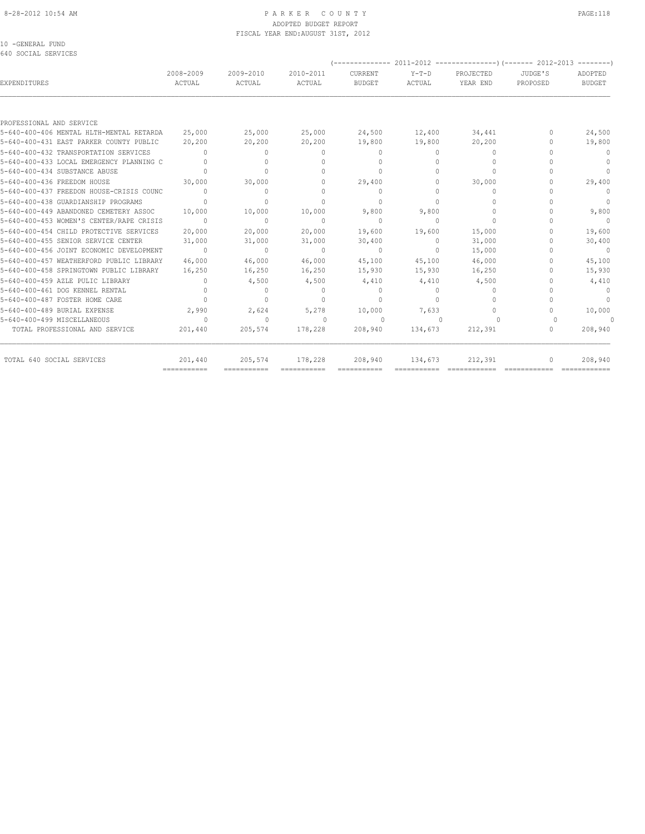#### 8-28-2012 10:54 AM P A R K E R C O U N T Y PAGE:118 ADOPTED BUDGET REPORT FISCAL YEAR END:AUGUST 31ST, 2012

10 -GENERAL FUND

| 640 SOCIAL SERVICES                      |                                      |                                  |                                  | --------------                   |                   | $2011 - 2012$ ----------------) (------- 2012-2013 -------- |                     |                          |
|------------------------------------------|--------------------------------------|----------------------------------|----------------------------------|----------------------------------|-------------------|-------------------------------------------------------------|---------------------|--------------------------|
| EXPENDITURES                             | 2008-2009<br>ACTUAL                  | 2009-2010<br>ACTUAL              | 2010-2011<br>ACTUAL              | CURRENT<br><b>BUDGET</b>         | $Y-T-D$<br>ACTUAL | PROJECTED<br>YEAR END                                       | JUDGE'S<br>PROPOSED | ADOPTED<br><b>BUDGET</b> |
|                                          |                                      |                                  |                                  |                                  |                   |                                                             |                     |                          |
| PROFESSIONAL AND SERVICE                 |                                      |                                  |                                  |                                  |                   |                                                             |                     |                          |
| 5-640-400-406 MENTAL HLTH-MENTAL RETARDA | 25,000                               | 25,000                           | 25,000                           | 24,500                           | 12,400            | 34,441                                                      | 0                   | 24,500                   |
| 5-640-400-431 EAST PARKER COUNTY PUBLIC  | 20,200                               | 20,200                           | 20,200                           | 19,800                           | 19,800            | 20,200                                                      | 0                   | 19,800                   |
| 5-640-400-432 TRANSPORTATION SERVICES    | $\bigcap$                            | $\Omega$                         | $\Omega$                         | $\mathbf{0}$                     | $\Omega$          | $\begin{array}{c} \n\end{array}$                            | n                   | $\Omega$                 |
| 5-640-400-433 LOCAL EMERGENCY PLANNING C | $\begin{array}{c} \n\end{array}$     | $\Omega$                         | $\Omega$                         | $\begin{array}{c} \n\end{array}$ | $\Omega$          | $\Omega$                                                    | $\cap$              | $\Omega$                 |
| 5-640-400-434 SUBSTANCE ABUSE            | $\Omega$                             | $\Omega$                         | $\Omega$                         | $\Omega$                         | 0                 | $\Omega$                                                    |                     | $\Omega$                 |
| 5-640-400-436 FREEDOM HOUSE              | 30,000                               | 30,000                           | $\Omega$                         | 29,400                           | 0                 | 30,000                                                      |                     | 29,400                   |
| 5-640-400-437 FREEDON HOUSE-CRISIS COUNC | $\bigcap$                            | $\circ$                          | $\bigcap$                        | $\mathbf{0}$                     | 0                 | $\Omega$                                                    |                     | $\Omega$                 |
| 5-640-400-438 GUARDIANSHIP PROGRAMS      | $\Omega$                             | $\begin{array}{c} \n\end{array}$ | $\Omega$                         | $\begin{array}{c} \n\end{array}$ | $\Omega$          | 0                                                           | n                   | $\overline{0}$           |
| 5-640-400-449 ABANDONED CEMETERY ASSOC   | 10,000                               | 10,000                           | 10,000                           | 9,800                            | 9,800             | $\Omega$                                                    | n                   | 9,800                    |
| 5-640-400-453 WOMEN'S CENTER/RAPE CRISIS | $\Omega$                             | $\mathbf{0}$                     | $\Omega$                         | $\mathbf{0}$                     | $\Omega$          | $\Omega$                                                    |                     | $\mathbf{0}$             |
| 5-640-400-454 CHILD PROTECTIVE SERVICES  | 20,000                               | 20,000                           | 20,000                           | 19,600                           | 19,600            | 15,000                                                      | $\cap$              | 19,600                   |
| 5-640-400-455 SENIOR SERVICE CENTER      | 31,000                               | 31,000                           | 31,000                           | 30,400                           | $\circ$           | 31,000                                                      | n                   | 30,400                   |
| 5-640-400-456 JOINT ECONOMIC DEVELOPMENT | $\Omega$                             | $\begin{array}{c} \n\end{array}$ | $\Omega$                         | $\Omega$                         | $\Omega$          | 15,000                                                      |                     | $\overline{0}$           |
| 5-640-400-457 WEATHERFORD PUBLIC LIBRARY | 46,000                               | 46,000                           | 46,000                           | 45,100                           | 45,100            | 46,000                                                      | $\cap$              | 45,100                   |
| 5-640-400-458 SPRINGTOWN PUBLIC LIBRARY  | 16,250                               | 16,250                           | 16,250                           | 15,930                           | 15,930            | 16,250                                                      | 0                   | 15,930                   |
| 5-640-400-459 AZLE PULIC LIBRARY         | $\Omega$                             | 4,500                            | 4,500                            | 4,410                            | 4,410             | 4,500                                                       | n                   | 4,410                    |
| 5-640-400-461 DOG KENNEL RENTAL          | $\begin{array}{c} \n\end{array}$     | $\Omega$                         | $\begin{array}{c} \n\end{array}$ | $\circ$                          | $\Omega$          | $\begin{array}{c} \n\end{array}$                            | $\cap$              | $\Omega$                 |
| 5-640-400-487 FOSTER HOME CARE           | $\bigcap$                            | $\mathbf{0}$                     | $\Omega$                         | $\begin{array}{c} \n\end{array}$ | $\cap$            | $\Omega$                                                    | $\cap$              | $\mathbf{0}$             |
| 5-640-400-489 BURIAL EXPENSE             | 2,990                                | 2,624                            | 5,278                            | 10,000                           | 7,633             | $\begin{array}{c} \n\end{array}$                            | $\bigcap$           | 10,000                   |
| 5-640-400-499 MISCELLANEOUS              | $\cap$                               | $\begin{array}{c} \n\end{array}$ | $\bigcap$                        | $\Omega$                         | $\bigcap$         | $\Omega$                                                    | $\cup$              | $\Omega$                 |
| TOTAL PROFESSIONAL AND SERVICE           | 201,440                              | 205,574                          | 178,228                          | 208,940                          | 134,673           | 212,391                                                     | $\Omega$            | 208,940                  |
| TOTAL 640 SOCIAL SERVICES                | 201,440<br>$=$ = = = = = = = = = = = | 205,574                          | 178,228                          | 208,940                          | 134,673           | 212,391                                                     | $\mathbf{0}$        | 208,940                  |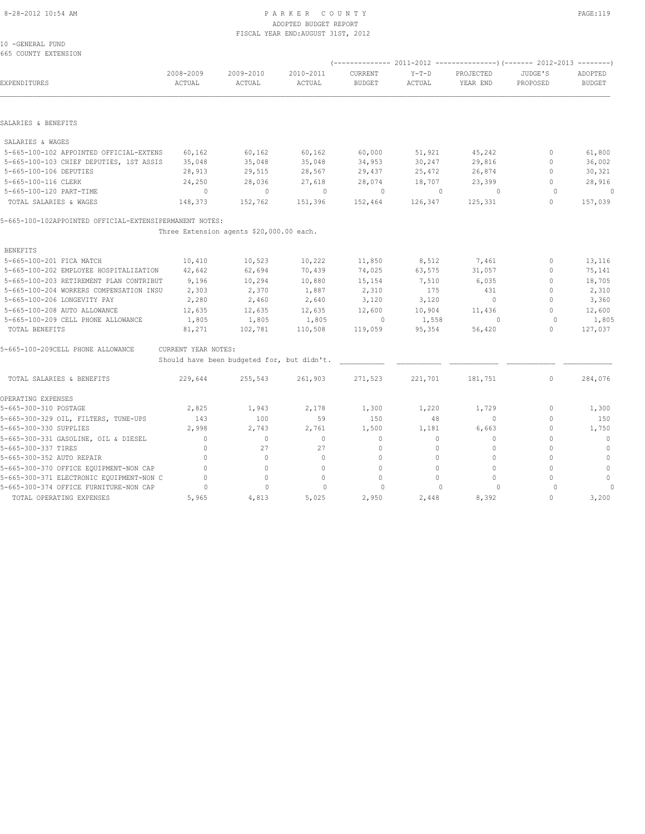#### 8-28-2012 10:54 AM P A R K E R C O U N T Y PAGE:119 ADOPTED BUDGET REPORT FISCAL YEAR END:AUGUST 31ST, 2012

10 -GENERAL FUND 665 COUNTY EXTENSION

| <b>EXPENDITURES</b>                                     | 2008-2009<br>ACTUAL | 2009-2010<br>ACTUAL                        | 2010-2011<br>ACTUAL | CURRENT<br><b>BUDGET</b> | $Y-T-D$<br>ACTUAL | PROJECTED<br>YEAR END | JUDGE'S<br>PROPOSED | ADOPTED<br><b>BUDGET</b> |
|---------------------------------------------------------|---------------------|--------------------------------------------|---------------------|--------------------------|-------------------|-----------------------|---------------------|--------------------------|
|                                                         |                     |                                            |                     |                          |                   |                       |                     |                          |
| SALARIES & BENEFITS                                     |                     |                                            |                     |                          |                   |                       |                     |                          |
| SALARIES & WAGES                                        |                     |                                            |                     |                          |                   |                       |                     |                          |
| 5-665-100-102 APPOINTED OFFICIAL-EXTENS                 | 60,162              | 60,162                                     | 60,162              | 60,000                   | 51,921            | 45,242                | 0                   | 61,800                   |
| 5-665-100-103 CHIEF DEPUTIES, 1ST ASSIS                 | 35,048              | 35,048                                     | 35,048              | 34,953                   | 30,247            | 29,816                | $\mathbf{0}$        | 36,002                   |
| 5-665-100-106 DEPUTIES                                  | 28,913              | 29,515                                     | 28,567              | 29,437                   | 25,472            | 26,874                | $\Omega$            | 30,321                   |
| 5-665-100-116 CLERK                                     | 24,250              | 28,036                                     | 27,618              | 28,074                   | 18,707            | 23,399                | $\mathbf{0}$        | 28,916                   |
| 5-665-100-120 PART-TIME                                 | $\circ$             | $\circ$                                    | $\mathbf{0}$        | $\circ$                  | $\mathbf{0}$      | $\circ$               | $\Omega$            | $\circ$                  |
| TOTAL SALARIES & WAGES                                  | 148,373             | 152,762                                    | 151,396             | 152,464                  | 126,347           | 125,331               | $\circ$             | 157,039                  |
| 5-665-100-102APPOINTED OFFICIAL-EXTENSIPERMANENT NOTES: |                     |                                            |                     |                          |                   |                       |                     |                          |
|                                                         |                     | Three Extension agents \$20,000.00 each.   |                     |                          |                   |                       |                     |                          |
| <b>BENEFITS</b>                                         |                     |                                            |                     |                          |                   |                       |                     |                          |
| 5-665-100-201 FICA MATCH                                | 10,410              | 10,523                                     | 10,222              | 11,850                   | 8,512             | 7,461                 | $\mathbf{0}$        | 13,116                   |
| 5-665-100-202 EMPLOYEE HOSPITALIZATION                  | 42,642              | 62,694                                     | 70,439              | 74,025                   | 63,575            | 31,057                | $\mathbf{0}$        | 75,141                   |
| 5-665-100-203 RETIREMENT PLAN CONTRIBUT                 | 9,196               | 10,294                                     | 10,880              | 15,154                   | 7,510             | 6,035                 | $\mathbf{0}$        | 18,705                   |
| 5-665-100-204 WORKERS COMPENSATION INSU                 | 2,303               | 2,370                                      | 1,887               | 2,310                    | 175               | 431                   | $\mathbf{0}$        | 2,310                    |
| 5-665-100-206 LONGEVITY PAY                             | 2,280               | 2,460                                      | 2,640               | 3,120                    | 3,120             | $\circ$               | $\Omega$            | 3,360                    |
| 5-665-100-208 AUTO ALLOWANCE                            | 12,635              | 12,635                                     | 12,635              | 12,600                   | 10,904            | 11,436                | $\Omega$            | 12,600                   |
| 5-665-100-209 CELL PHONE ALLOWANCE                      | 1,805               | 1,805                                      | 1,805               | 0                        | 1,558             | $\circ$               | $\circ$             | 1,805                    |
| TOTAL BENEFITS                                          | 81,271              | 102,781                                    | 110,508             | 119,059                  | 95,354            | 56,420                | $\Omega$            | 127,037                  |
| 5-665-100-209CELL PHONE ALLOWANCE                       | CURRENT YEAR NOTES: |                                            |                     |                          |                   |                       |                     |                          |
|                                                         |                     | Should have been budgeted for, but didn't. |                     |                          |                   |                       |                     |                          |
| TOTAL SALARIES & BENEFITS                               | 229,644             | 255,543                                    | 261,903             | 271,523                  | 221,701           | 181,751               | $\mathbf{0}$        | 284,076                  |
| OPERATING EXPENSES                                      |                     |                                            |                     |                          |                   |                       |                     |                          |
| 5-665-300-310 POSTAGE                                   | 2,825               | 1,943                                      | 2,178               | 1,300                    | 1,220             | 1,729                 | 0                   | 1,300                    |
| 5-665-300-329 OIL, FILTERS, TUNE-UPS                    | 143                 | 100                                        | 59                  | 150                      | 48                | $\circ$               | $\mathbf{0}$        | 150                      |
| 5-665-300-330 SUPPLIES                                  | 2,998               | 2,743                                      | 2,761               | 1,500                    | 1,181             | 6,663                 | $\mathbf{0}$        | 1,750                    |
| 5-665-300-331 GASOLINE, OIL & DIESEL                    | $\circ$             | $\mathbf{0}$                               | $\mathbf{0}$        | $\circ$                  | $\circ$           | $\mathbb O$           | $\mathbf{0}$        | $\mathbb O$              |
| 5-665-300-337 TIRES                                     | $\Omega$            | 27                                         | 27                  | $\mathbf{0}$             | $\Omega$          | $\Omega$              | $\Omega$            | $\mathbf 0$              |
| 5-665-300-352 AUTO REPAIR                               | $\Omega$            | $\circ$                                    | $\mathbf{0}$        | 0                        | $\Omega$          | $\circ$               | $\Omega$            | $\mathbb O$              |
| 5-665-300-370 OFFICE EQUIPMENT-NON CAP                  | $\Omega$            | $\circ$                                    | $\mathbf{0}$        | $\mathbf{0}$             | $\Omega$          | $\mathbf{0}$          | $\Omega$            | $\mathbf{0}$             |
| 5-665-300-371 ELECTRONIC EQUIPMENT-NON C                | $\mathbf{0}$        | $\circ$                                    | $\mathbf{0}$        | $\mathbf{0}$             | $\Omega$          | $\circ$               | $\Omega$            | $\circ$                  |
| 5-665-300-374 OFFICE FURNITURE-NON CAP                  | $\circ$             | $\mathbf 0$                                | $\Omega$            | $\Omega$                 | $\circ$           | $\circ$               | $\Omega$            |                          |
| TOTAL OPERATING EXPENSES                                | 5,965               | 4,813                                      | 5,025               | 2,950                    | 2,448             | 8,392                 | $\mathbf{0}$        | 3,200                    |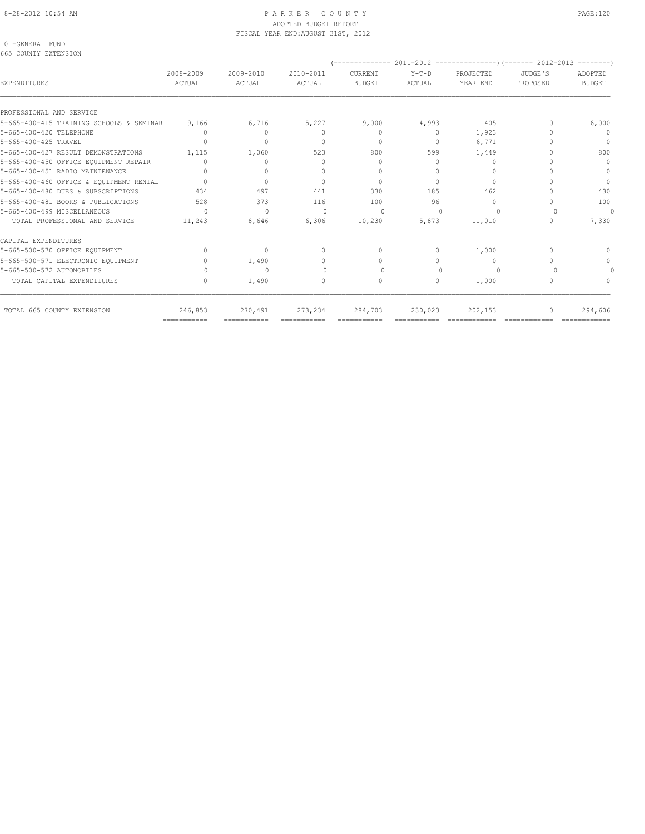### ADOPTED BUDGET REPORT FISCAL YEAR END:AUGUST 31ST, 2012

10 -GENERAL FUND

| 2008-2009<br>ACTUAL | 2009-2010<br>ACTUAL                               | 2010-2011<br>ACTUAL | CURRENT<br><b>BUDGET</b> | $Y-T-D$<br><b>ACTUAL</b> | PROJECTED<br>YEAR END            | JUDGE'S<br>PROPOSED | ADOPTED<br><b>BUDGET</b> |
|---------------------|---------------------------------------------------|---------------------|--------------------------|--------------------------|----------------------------------|---------------------|--------------------------|
|                     |                                                   |                     |                          |                          |                                  |                     |                          |
|                     |                                                   |                     |                          |                          | 405                              | n                   | 6,000                    |
| 0                   | $\Omega$                                          | n                   | $\Omega$                 | $\Omega$                 | 1,923                            |                     | $\mathbf{0}$             |
|                     | 0                                                 |                     | $\mathbf{0}$             | $\circ$                  | 6,771                            |                     | $\Omega$                 |
| 1,115               | 1,060                                             | 523                 | 800                      | 599                      | 1,449                            |                     | 800                      |
|                     | $\Omega$                                          |                     | $\Omega$                 | O                        | $\circ$                          |                     | $\mathbf{0}$             |
|                     | $\begin{array}{c} \n\end{array}$                  |                     | $\Omega$                 | O                        | $\begin{array}{c} \n\end{array}$ |                     | $\Omega$                 |
| $\cap$              | $\Omega$                                          | $\cap$              | $\Omega$                 | 0                        | $\Omega$                         |                     | $\Omega$                 |
| 434                 | 497                                               | 441                 | 330                      | 185                      | 462                              |                     | 430                      |
| 528                 | 373                                               | 116                 | 100                      | 96                       | $\Omega$                         |                     | 100                      |
| $\Omega$            | $\begin{array}{c} \n\end{array}$                  | $\Omega$            | $\Omega$                 | $\cap$                   | $\cup$                           |                     | $\Omega$                 |
| 11,243              | 8,646                                             | 6,306               | 10,230                   | 5,873                    | 11,010                           |                     | 7,330                    |
|                     |                                                   |                     |                          |                          |                                  |                     |                          |
| $\cap$              | $\mathbf{0}$                                      | $\Omega$            | $\Omega$                 | $\Omega$                 | 1,000                            | $\bigcap$           | ∩                        |
|                     | 1,490                                             | $\Omega$            | 0                        | 0                        | $\mathbf{0}$                     |                     | 0                        |
|                     | $\Omega$                                          |                     | ∩                        | n                        | $\cap$                           |                     |                          |
|                     | 1,490                                             | 0                   | $\mathbf{0}$             | $\circ$                  | 1,000                            | 0                   |                          |
| 246,853             | 270,491                                           | 273,234             | 284,703                  | 230,023                  | 202,153                          |                     | 294,606                  |
|                     | 5-665-400-415 TRAINING SCHOOLS & SEMINAR<br>9,166 | 6,716               | 5,227                    | 9,000                    | 4,993                            |                     |                          |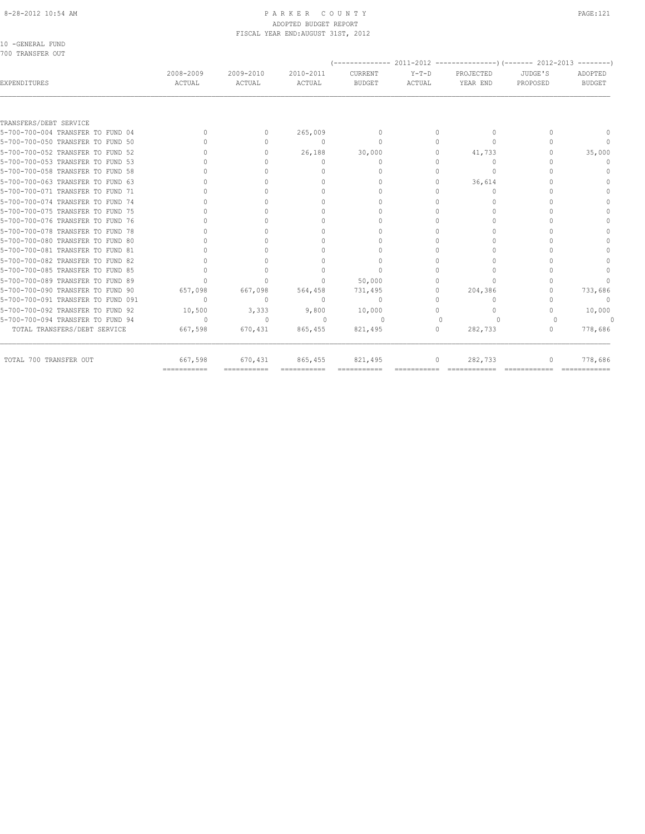# ADOPTED BUDGET REPORT

| 10 -GENERAL FUND       |                     |                     | FISCAL YEAR END: AUGUST 31ST, 2012 |                   |                   |                       |                     |                   |
|------------------------|---------------------|---------------------|------------------------------------|-------------------|-------------------|-----------------------|---------------------|-------------------|
| 700 TRANSFER OUT       |                     |                     |                                    |                   |                   |                       |                     |                   |
| EXPENDITURES           | 2008-2009<br>ACTUAL | 2009-2010<br>ACTUAL | 2010-2011<br>ACTUAL                | CURRENT<br>BUDGET | $Y-T-D$<br>ACTUAL | PROJECTED<br>YEAR END | JUDGE'S<br>PROPOSED | ADOPTED<br>BUDGET |
| TRANSFERS/DEBT SERVICE |                     |                     |                                    |                   |                   |                       |                     |                   |

|                                    | ============ | =========== |          |              |          |         |                                  |
|------------------------------------|--------------|-------------|----------|--------------|----------|---------|----------------------------------|
| TOTAL 700 TRANSFER OUT             | 667,598      | 670,431     | 865,455  | 821,495      |          | 282,733 | 778,686                          |
| TOTAL TRANSFERS/DEBT SERVICE       | 667,598      | 670,431     | 865,455  | 821,495      | $\Omega$ | 282,733 | 778,686                          |
| 5-700-700-094 TRANSFER TO FUND 94  | U            | $\Omega$    |          | $\cap$       |          |         |                                  |
| 5-700-700-092 TRANSFER TO FUND 92  | 10,500       | 3,333       | 9,800    | 10,000       |          |         | 10,000                           |
| 5-700-700-091 TRANSFER TO FUND 091 | n            |             | n        | $\mathbf{0}$ |          |         | $\begin{array}{c} \n\end{array}$ |
| 5-700-700-090 TRANSFER TO FUND 90  | 657,098      | 667,098     | 564,458  | 731,495      |          | 204,386 | 733,686                          |
| 5-700-700-089 TRANSFER TO FUND 89  |              |             |          | 50,000       |          |         |                                  |
| 5-700-700-085 TRANSFER TO FUND 85  |              |             |          |              |          |         |                                  |
| 5-700-700-082 TRANSFER TO FUND 82  |              |             |          |              |          |         |                                  |
| 5-700-700-081 TRANSFER TO FUND 81  |              |             |          |              |          |         |                                  |
| 5-700-700-080 TRANSFER TO FUND 80  |              |             |          |              |          |         |                                  |
| 5-700-700-078 TRANSFER TO FUND 78  |              |             |          |              |          |         |                                  |
| 5-700-700-076 TRANSFER TO FUND 76  |              |             |          |              |          |         |                                  |
| 5-700-700-075 TRANSFER TO FUND 75  |              |             |          |              |          |         |                                  |
| 5-700-700-074 TRANSFER TO FUND 74  |              |             |          |              |          |         |                                  |
| 5-700-700-071 TRANSFER TO FUND 71  |              |             |          |              |          |         |                                  |
| 5-700-700-063 TRANSFER TO FUND 63  |              |             |          |              |          | 36,614  |                                  |
| 5-700-700-058 TRANSFER TO FUND 58  |              |             |          |              |          |         |                                  |
| 5-700-700-053 TRANSFER TO FUND 53  |              |             |          |              |          |         |                                  |
| 5-700-700-052 TRANSFER TO FUND 52  |              |             | 26,188   | 30,000       |          | 41,733  | 35,000                           |
| 5-700-700-050 TRANSFER TO FUND 50  |              |             | $\Omega$ | $\cap$       |          |         |                                  |
| 5-700-700-004 TRANSFER TO FUND 04  |              |             | 265,009  |              |          |         |                                  |
|                                    |              |             |          |              |          |         |                                  |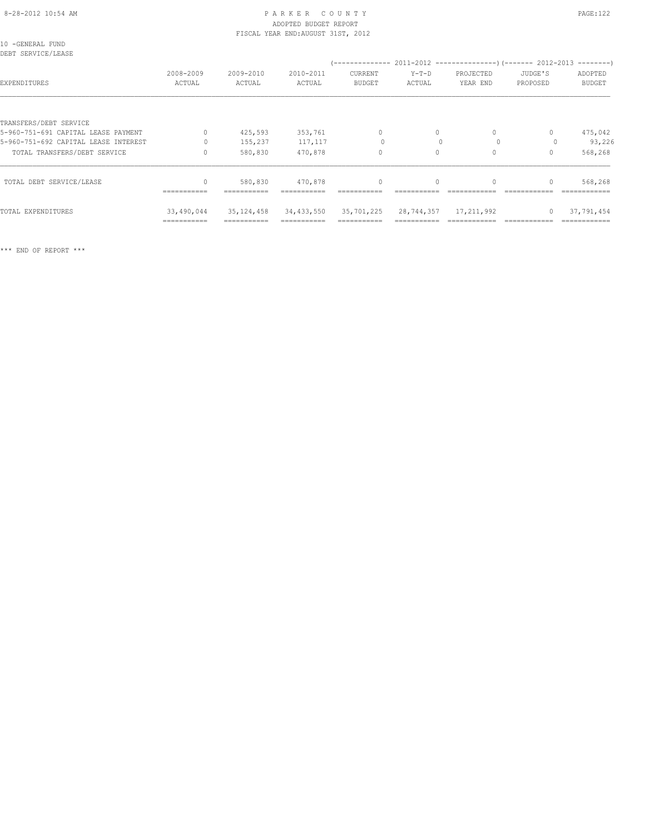#### 8-28-2012 10:54 AM PAGE:122 PARKER COUNTY PAGE:122 ADOPTED BUDGET REPORT FISCAL YEAR END:AUGUST 31ST, 2012

| 10 -GENERAL FUND<br>DEBT SERVICE/LEASE |                     |                     |                     |                          |                   |                           |                     |                          |
|----------------------------------------|---------------------|---------------------|---------------------|--------------------------|-------------------|---------------------------|---------------------|--------------------------|
| EXPENDITURES                           | 2008-2009<br>ACTUAL | 2009-2010<br>ACTUAL | 2010-2011<br>ACTUAL | CURRENT<br><b>BUDGET</b> | $Y-T-D$<br>ACTUAL | PROJECTED<br>YEAR END     | JUDGE'S<br>PROPOSED | ADOPTED<br><b>BUDGET</b> |
|                                        |                     |                     |                     |                          |                   |                           |                     |                          |
| TRANSFERS/DEBT SERVICE                 |                     |                     |                     |                          |                   |                           |                     |                          |
| 5-960-751-691 CAPITAL LEASE PAYMENT    | $\Omega$            | 425,593             | 353,761             | $\mathbf{0}$             | $\circ$           | $\circ$                   | 0                   | 475,042                  |
| 5-960-751-692 CAPITAL LEASE INTEREST   | $\Omega$            | 155,237             | 117,117             | $\circ$                  |                   | $\Omega$                  |                     | 93,226                   |
| TOTAL TRANSFERS/DEBT SERVICE           | $\Omega$            | 580,830             | 470,878             | $\circ$                  | $\circ$           | $\Omega$                  | 0                   | 568,268                  |
| TOTAL DEBT SERVICE/LEASE               | $\mathbf{0}$        | 580,830             | 470,878             | $\circ$                  | $\circ$           | 0                         | $\mathbf{0}$        | 568,268                  |
|                                        | ===========         | ===========         | ===========         |                          |                   |                           |                     | =============            |
| TOTAL EXPENDITURES                     | 33,490,044          | 35, 124, 458        | 34,433,550          | 35,701,225               |                   | 28, 744, 357 17, 211, 992 | $\circ$             | 37,791,454               |
|                                        | ===========         |                     | ===========         |                          |                   |                           |                     |                          |

\*\*\* END OF REPORT \*\*\*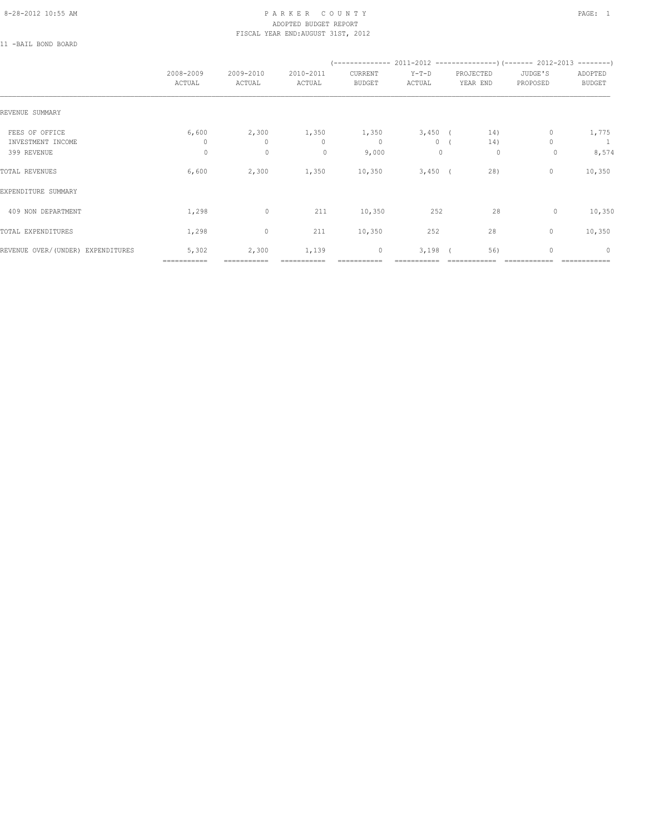#### 8-28-2012 10:55 AM P A R K E R C O U N T Y PAGE: 1 ADOPTED BUDGET REPORT FISCAL YEAR END:AUGUST 31ST, 2012

11 -BAIL BOND BOARD

|                                     | 2008-2009<br>ACTUAL   | 2009-2010<br>ACTUAL   | 2010-2011<br>ACTUAL   | CURRENT<br><b>BUDGET</b> | $Y-T-D$<br>ACTUAL    | PROJECTED<br>YEAR END | JUDGE'S<br>PROPOSED | ADOPTED<br><b>BUDGET</b> |
|-------------------------------------|-----------------------|-----------------------|-----------------------|--------------------------|----------------------|-----------------------|---------------------|--------------------------|
| REVENUE SUMMARY                     |                       |                       |                       |                          |                      |                       |                     |                          |
| FEES OF OFFICE<br>INVESTMENT INCOME | 6,600<br>$\mathbf{0}$ | 2,300<br>$\mathbf{0}$ | 1,350<br>$\mathbf{0}$ | 1,350<br>$\circ$         | $3,450$ (<br>$\circ$ | 14)<br>14)            | 0                   | 1,775<br>$\overline{1}$  |
| 399 REVENUE                         | $\circ$               | $\mathbf 0$           | $\mathbf{0}$          | 9,000                    | $\mathbf{0}$         | 0                     | 0                   | 8,574                    |
| TOTAL REVENUES                      | 6,600                 | 2,300                 | 1,350                 | 10,350                   | $3,450$ (            | 28)                   | 0                   | 10,350                   |
| EXPENDITURE SUMMARY                 |                       |                       |                       |                          |                      |                       |                     |                          |
| 409 NON DEPARTMENT                  | 1,298                 | $\circ$               | 211                   | 10,350                   | 252                  | 28                    | 0                   | 10,350                   |
| TOTAL EXPENDITURES                  | 1,298                 | $\circ$               | 211                   | 10,350                   | 252                  | 28                    | $\mathbf{0}$        | 10,350                   |
| REVENUE OVER/(UNDER) EXPENDITURES   | 5,302<br>===========  | 2,300<br>===========  | 1,139                 | $\circ$                  | 3,198                | 56)                   | 0                   | $\mathbf{0}$             |
|                                     |                       |                       |                       |                          |                      |                       |                     |                          |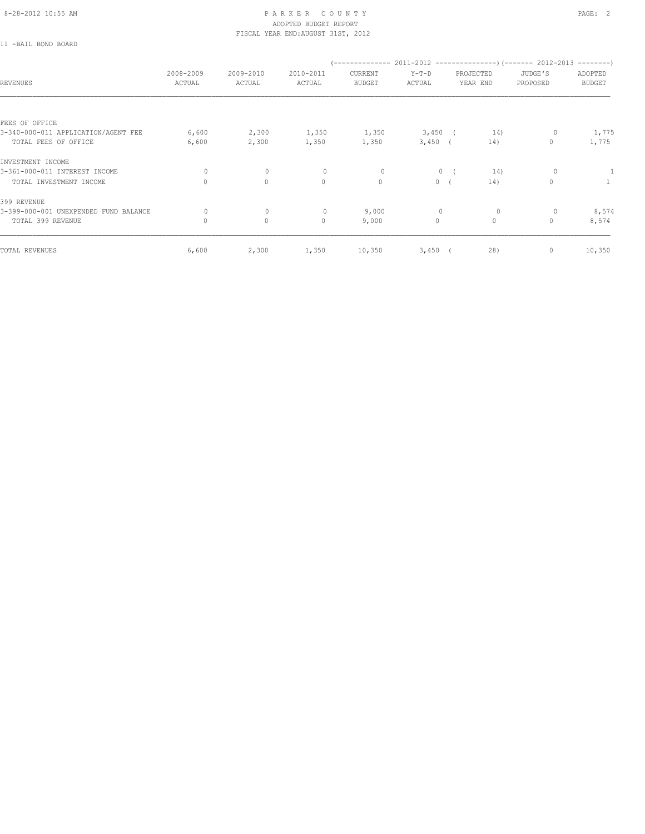11 -BAIL BOND BOARD

| REVENUES                              | 2008-2009<br>ACTUAL | 2009-2010<br>ACTUAL | 2010-2011<br>ACTUAL | CURRENT<br><b>BUDGET</b> | $Y-T-D$<br>ACTUAL | PROJECTED<br>YEAR END | JUDGE'S<br>PROPOSED | ADOPTED<br><b>BUDGET</b> |
|---------------------------------------|---------------------|---------------------|---------------------|--------------------------|-------------------|-----------------------|---------------------|--------------------------|
| FEES OF OFFICE                        |                     |                     |                     |                          |                   |                       |                     |                          |
| 3-340-000-011 APPLICATION/AGENT FEE   | 6,600               | 2,300               | 1,350               | 1,350                    | 3,450             | 14)                   | 0                   | 1,775                    |
| TOTAL FEES OF OFFICE                  | 6,600               | 2,300               | 1,350               | 1,350                    | 3,450             | 14)                   | $\Omega$            | 1,775                    |
| INVESTMENT INCOME                     |                     |                     |                     |                          |                   |                       |                     |                          |
| 3-361-000-011 INTEREST INCOME         | $\circ$             | $\mathbf 0$         | $\circ$             | 0                        | $\circ$           | 14)                   | $\circ$             |                          |
| TOTAL INVESTMENT INCOME               | $\Omega$            | $\circ$             | $\mathbf{0}$        | $\circ$                  | $\circ$           | 14)                   | $\Omega$            | $\overline{1}$           |
| 399 REVENUE                           |                     |                     |                     |                          |                   |                       |                     |                          |
| 3-399-000-001 UNEXPENDED FUND BALANCE | $\circ$             | $\mathbf 0$         | $\circ$             | 9,000                    | $\mathbf{0}$      | $\circ$               | 0                   | 8,574                    |
| TOTAL 399 REVENUE                     | $\circ$             | $\mathbb O$         | $\circ$             | 9,000                    | $\circ$           | $\circ$               | 0                   | 8,574                    |
| TOTAL REVENUES                        | 6,600               | 2,300               | 1,350               | 10,350                   | $3,450$ (         | 28)                   | $\mathbf{0}$        | 10,350                   |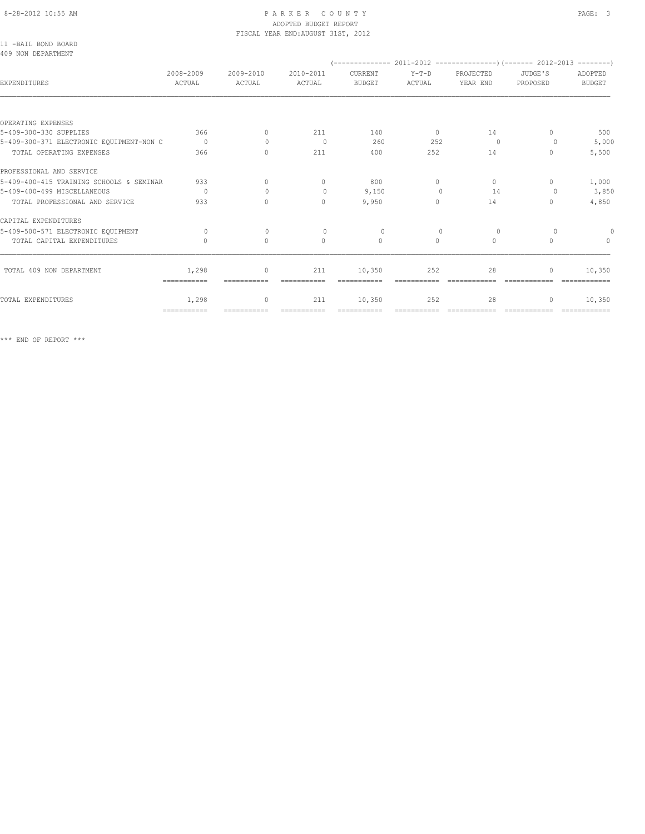# ADOPTED BUDGET REPORT

|                                           |                     |                     | FISCAL YEAR END: AUGUST 31ST, 2012 |                          |                   |                       |                                  |                               |
|-------------------------------------------|---------------------|---------------------|------------------------------------|--------------------------|-------------------|-----------------------|----------------------------------|-------------------------------|
| 11 -BAIL BOND BOARD<br>409 NON DEPARTMENT |                     |                     |                                    |                          |                   |                       |                                  |                               |
| EXPENDITURES                              | 2008-2009<br>ACTUAL | 2009-2010<br>ACTUAL | 2010-2011<br>ACTUAL                | CURRENT<br><b>BUDGET</b> | $Y-T-D$<br>ACTUAL | PROJECTED<br>YEAR END | JUDGE'S<br>PROPOSED              | ADOPTED<br><b>BUDGET</b>      |
|                                           |                     |                     |                                    |                          |                   |                       |                                  |                               |
| OPERATING EXPENSES                        |                     |                     |                                    |                          |                   |                       |                                  |                               |
| 5-409-300-330 SUPPLIES                    | 366                 | $\Omega$            | 211                                | 140                      | $\overline{0}$    | 14                    | $\Omega$                         | 500                           |
| 5-409-300-371 ELECTRONIC EQUIPMENT-NON C  | $\overline{0}$      | $\Omega$            | $\overline{0}$                     | 260                      | 252               | $\Omega$              | $\Omega$                         | 5,000                         |
| TOTAL OPERATING EXPENSES                  | 366                 | $\circ$             | 211                                | 400                      | 252               | 14                    | $\begin{array}{c} \n\end{array}$ | 5,500                         |
| PROFESSIONAL AND SERVICE                  |                     |                     |                                    |                          |                   |                       |                                  |                               |
| 5-409-400-415 TRAINING SCHOOLS & SEMINAR  | 933                 | $\Omega$            | $\mathbf{0}$                       | 800                      | $\circ$           | $\circ$               | $\circ$                          | 1,000                         |
| 5-409-400-499 MISCELLANEOUS               | $\circ$             | $\Omega$            | $\circ$                            | 9,150                    | $\Omega$          | 14                    | 0                                | 3,850                         |
| TOTAL PROFESSIONAL AND SERVICE            | 933                 | $\Omega$            | $\Omega$                           | 9,950                    | $\Omega$          | 14                    | $\Omega$                         | 4,850                         |
| CAPITAL EXPENDITURES                      |                     |                     |                                    |                          |                   |                       |                                  |                               |
| 5-409-500-571 ELECTRONIC EOUIPMENT        | $\Omega$            | $\Omega$            | $\Omega$                           | $\Omega$                 | $\Omega$          | $\Omega$              | $\Omega$                         |                               |
| TOTAL CAPITAL EXPENDITURES                | $\mathbf{0}$        | $\circ$             | $\circ$                            | $\mathbf{0}$             | $\circ$           | $\circ$               | $\mathbf{0}$                     | $\Omega$                      |
| TOTAL 409 NON DEPARTMENT                  | 1,298               | 0                   | 211                                | 10,350                   | 252               | 28                    | $\mathbf{0}$                     | 10,350                        |
|                                           | ===========         | ------------        | ------------                       | -----------              |                   | -------------         |                                  | $=$ = = = = = = = = = = = = = |
| TOTAL EXPENDITURES                        | 1,298               | $\circ$             | 211                                | 10,350                   | 252               | 28                    | $\mathbf{0}$                     | 10,350                        |

=========== =========== =========== =========== =========== ============ ============ ============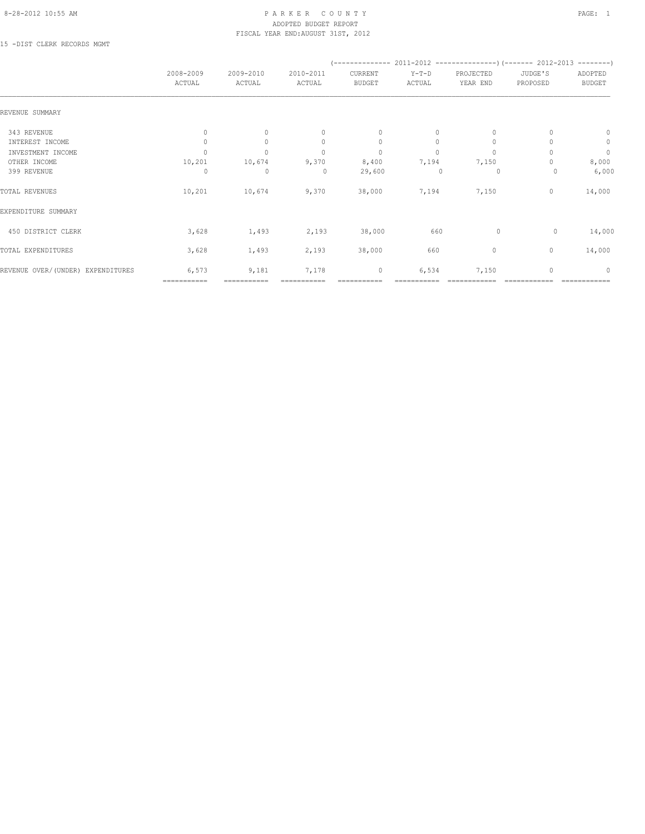#### 8-28-2012 10:55 AM PAGE: 1 PARKER COUNTY PAGE: 1 ADOPTED BUDGET REPORT FISCAL YEAR END:AUGUST 31ST, 2012

15 -DIST CLERK RECORDS MGMT

|                                   | 2008-2009<br>ACTUAL | 2009-2010<br>ACTUAL | 2010-2011<br>ACTUAL              | CURRENT<br><b>BUDGET</b> | $Y-T-D$<br>ACTUAL | PROJECTED<br>YEAR END | JUDGE'S<br>PROPOSED | ADOPTED<br><b>BUDGET</b> |
|-----------------------------------|---------------------|---------------------|----------------------------------|--------------------------|-------------------|-----------------------|---------------------|--------------------------|
| REVENUE SUMMARY                   |                     |                     |                                  |                          |                   |                       |                     |                          |
| 343 REVENUE                       | $\mathbf{0}$        | $\Omega$            | $\begin{array}{c} \n\end{array}$ | $\mathbf{0}$             | $\Omega$          | $\mathbf{0}$          |                     | $\mathbf{0}$             |
| INTEREST INCOME                   | 0                   | $\circ$             | $\mathbf{0}$                     | $\circ$                  | $\circ$           | $\mathbf{0}$          |                     | $\circ$                  |
| INVESTMENT INCOME                 | $\Omega$            | $\circ$             | $\mathbf{0}$                     | $\mathbf{0}$             | $\circ$           | $\mathbf{0}$          |                     | $\circ$                  |
| OTHER INCOME                      | 10,201              | 10,674              | 9,370                            | 8,400                    | 7,194             | 7,150                 |                     | 8,000                    |
| 399 REVENUE                       | 0                   | 0                   | $\circ$                          | 29,600                   |                   | 0                     | 0                   | 6,000                    |
| TOTAL REVENUES                    | 10,201              | 10,674              | 9,370                            | 38,000                   | 7,194             | 7,150                 | $\mathbf{0}$        | 14,000                   |
| EXPENDITURE SUMMARY               |                     |                     |                                  |                          |                   |                       |                     |                          |
| 450 DISTRICT CLERK                | 3,628               | 1,493               | 2,193                            | 38,000                   | 660               | 0                     | 0                   | 14,000                   |
| TOTAL EXPENDITURES                | 3,628               | 1,493               | 2,193                            | 38,000                   | 660               | 0                     | $\mathbf{0}$        | 14,000                   |
| REVENUE OVER/(UNDER) EXPENDITURES | 6,573               | 9,181               | 7,178                            | $\mathbf 0$              | 6,534             | 7,150                 | $\mathbf{0}$        | $\mathbf{0}$             |
|                                   | ===========         | ===========         |                                  |                          |                   |                       |                     |                          |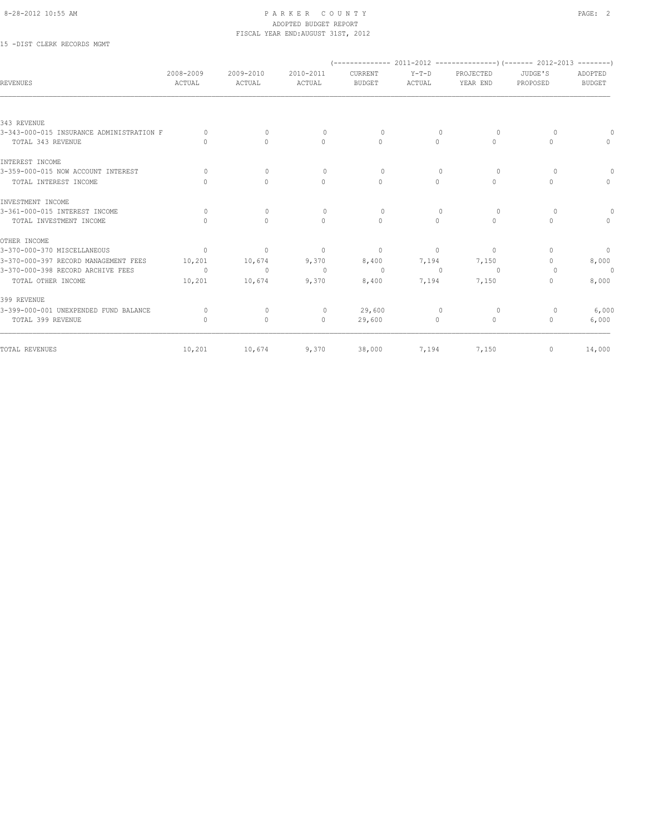15 -DIST CLERK RECORDS MGMT

| <b>REVENUES</b>                          | 2008-2009<br>ACTUAL | 2009-2010<br>ACTUAL | 2010-2011<br>ACTUAL              | CURRENT<br><b>BUDGET</b> | $Y-T-D$<br>ACTUAL | PROJECTED<br>YEAR END | JUDGE'S<br>PROPOSED              | ADOPTED<br><b>BUDGET</b> |
|------------------------------------------|---------------------|---------------------|----------------------------------|--------------------------|-------------------|-----------------------|----------------------------------|--------------------------|
|                                          |                     |                     |                                  |                          |                   |                       |                                  |                          |
| 343 REVENUE                              |                     |                     |                                  |                          |                   |                       |                                  |                          |
| 3-343-000-015 INSURANCE ADMINISTRATION F | $\bigcap$           | $\Omega$            | $\Omega$                         | $\Omega$                 | $\Omega$          | $\Omega$              | $\Omega$                         |                          |
| TOTAL 343 REVENUE                        | $\circ$             | $\circ$             | $\circ$                          | $\mathbf{0}$             | $\circ$           | $\circ$               | $\mathbf{0}$                     | $\mathbf{0}$             |
| INTEREST INCOME                          |                     |                     |                                  |                          |                   |                       |                                  |                          |
| 3-359-000-015 NOW ACCOUNT INTEREST       | $\bigcap$           | $\mathbf{0}$        | $\Omega$                         | $\Omega$                 | $\Omega$          | $\Omega$              | $\Omega$                         |                          |
| TOTAL INTEREST INCOME                    | $\Omega$            | $\circ$             | $\mathbf{0}$                     | $\mathbf{0}$             | $\circ$           | $\circ$               | $\mathbf{0}$                     | $\circ$                  |
| INVESTMENT INCOME                        |                     |                     |                                  |                          |                   |                       |                                  |                          |
| 3-361-000-015 INTEREST INCOME            | $\circ$             | $\circ$             | $\circ$                          | $\circ$                  | $\mathbf{0}$      | $\circ$               | $\circ$                          |                          |
| TOTAL INVESTMENT INCOME                  | $\bigcap$           | $\Omega$            | $\begin{array}{c} \n\end{array}$ | $\mathbf{0}$             | $\circ$           | $\circ$               | $\bigcap$                        | $\mathbf{0}$             |
| OTHER INCOME                             |                     |                     |                                  |                          |                   |                       |                                  |                          |
| 3-370-000-370 MISCELLANEOUS              | $\Omega$            | $\Omega$            | $\mathbf{0}$                     | $\Omega$                 | $\Omega$          | $\Omega$              | $\Omega$                         | $\circ$                  |
| 3-370-000-397 RECORD MANAGEMENT FEES     | 10,201              | 10,674              | 9,370                            | 8,400                    | 7,194             | 7,150                 | $\begin{array}{c} \n\end{array}$ | 8,000                    |
| 3-370-000-398 RECORD ARCHIVE FEES        | $\circ$             | $\circ$             | $\circ$                          | $\overline{0}$           | $\mathbf{0}$      | $\overline{0}$        | $\Omega$                         | $\circ$                  |
| TOTAL OTHER INCOME                       | 10,201              | 10,674              | 9,370                            | 8,400                    | 7,194             | 7,150                 | $\begin{array}{c} \n\end{array}$ | 8,000                    |
| 399 REVENUE                              |                     |                     |                                  |                          |                   |                       |                                  |                          |
| 3-399-000-001 UNEXPENDED FUND BALANCE    | 0                   | 0                   | $\circ$                          | 29,600                   | $\Omega$          | 0                     | 0                                | 6,000                    |
| TOTAL 399 REVENUE                        | $\circ$             | $\circ$             | $\circ$                          | 29,600                   | $\circ$           | $\circ$               | $\mathbf{0}$                     | 6,000                    |
| TOTAL REVENUES                           | 10,201              | 10,674              | 9,370                            | 38,000                   | 7,194             | 7,150                 | $\mathbf 0$                      | 14,000                   |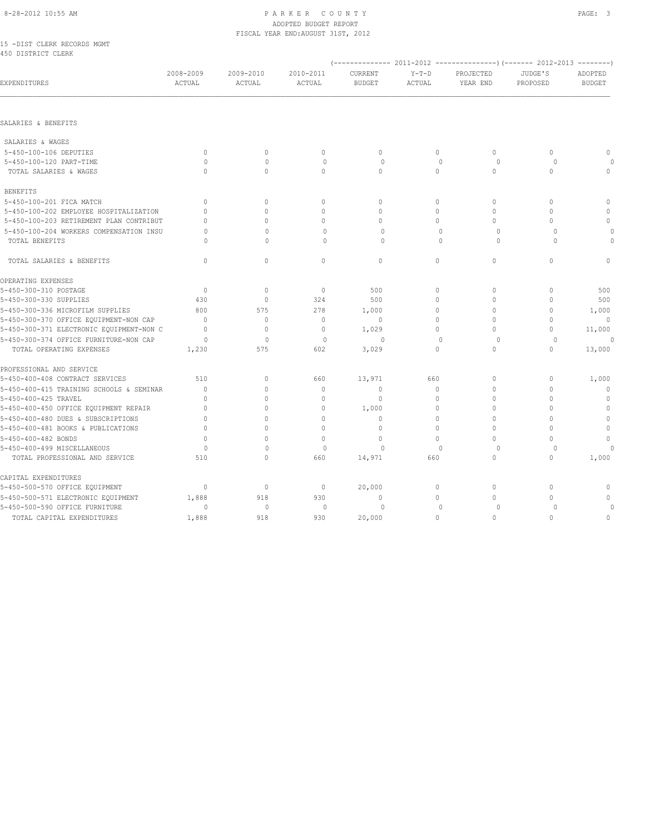15 -DIST CLERK RECORDS MGMT 450 DISTRICT CLERK

| EXPENDITURES                             | 2008-2009<br>ACTUAL | 2009-2010<br>ACTUAL | 2010-2011<br>ACTUAL | CURRENT<br><b>BUDGET</b> | $Y-T-D$<br>ACTUAL | PROJECTED<br>YEAR END | JUDGE'S<br>PROPOSED | ADOPTED<br><b>BUDGET</b> |
|------------------------------------------|---------------------|---------------------|---------------------|--------------------------|-------------------|-----------------------|---------------------|--------------------------|
|                                          |                     |                     |                     |                          |                   |                       |                     |                          |
| SALARIES & BENEFITS                      |                     |                     |                     |                          |                   |                       |                     |                          |
| SALARIES & WAGES                         |                     |                     |                     |                          |                   |                       |                     |                          |
| 5-450-100-106 DEPUTIES                   | $\circ$             | $\mathbf{0}$        | $\circ$             | $\mathbf{0}$             | $\circ$           | $\circ$               | $\circ$             | $\mathbf 0$              |
| 5-450-100-120 PART-TIME                  | $\Omega$            | $\Omega$            | $\Omega$            | $\Omega$                 | $\Omega$          | $\Omega$              | $\Omega$            |                          |
| TOTAL SALARIES & WAGES                   | $\Omega$            | $\mathbf{0}$        | $\mathbf{0}$        | $\circ$                  | $\circ$           | $\circ$               | $\Omega$            | $\circ$                  |
| <b>BENEFITS</b>                          |                     |                     |                     |                          |                   |                       |                     |                          |
| 5-450-100-201 FICA MATCH                 | $\mathbf{0}$        | $\mathbf{0}$        | $\mathbf{0}$        | $\mathbf{0}$             | $\circ$           | $\mathbf{0}$          | $\circ$             | $\mathbb O$              |
| 5-450-100-202 EMPLOYEE HOSPITALIZATION   | $\Omega$            | $\mathbf{0}$        | $\mathbf{0}$        | 0                        | $\circ$           | 0                     | $\circ$             | $\mathbf{0}$             |
| 5-450-100-203 RETIREMENT PLAN CONTRIBUT  | $\Omega$            | $\Omega$            | $\mathbf 0$         | $\Omega$                 | $\circ$           | 0                     | $\Omega$            | $\mathbf{0}$             |
| 5-450-100-204 WORKERS COMPENSATION INSU  | $\circ$             | $\Omega$            | 0                   | $\circ$                  | $\mathbf{0}$      | $\circ$               | $\circ$             | 0                        |
| TOTAL BENEFITS                           | $\cap$              | $\Omega$            | $\Omega$            | $\Omega$                 | $\bigcap$         | $\Omega$              | $\Omega$            | $\bigcap$                |
| TOTAL SALARIES & BENEFITS                | $\mathbf{0}$        | $\circ$             | $\mathbf{0}$        | $\circ$                  | $\circ$           | $\mathbf 0$           | $\Omega$            | $\Omega$                 |
| OPERATING EXPENSES                       |                     |                     |                     |                          |                   |                       |                     |                          |
| 5-450-300-310 POSTAGE                    | $\mathbf{0}$        | $\mathbf{0}$        | $\mathbf{0}$        | 500                      | $\circ$           | $\mathbf{0}$          | $\circ$             | 500                      |
| 5-450-300-330 SUPPLIES                   | 430                 | $\circ$             | 324                 | 500                      | $\mathbf 0$       | $\Omega$              | $\circ$             | 500                      |
| 5-450-300-336 MICROFILM SUPPLIES         | 800                 | 575                 | 278                 | 1,000                    | $\circ$           | $\Omega$              | $\circ$             | 1,000                    |
| 5-450-300-370 OFFICE EQUIPMENT-NON CAP   | $\Omega$            | $\mathbf{0}$        | $\mathbf{0}$        | $\mathbf{0}$             | $\Omega$          | $\Omega$              | $\Omega$            | $\Omega$                 |
| 5-450-300-371 ELECTRONIC EQUIPMENT-NON C | $\Omega$            | $\circ$             | $\mathbf{0}$        | 1,029                    | $\Omega$          | $\Omega$              | $\circ$             | 11,000                   |
| 5-450-300-374 OFFICE FURNITURE-NON CAP   | $\circ$             | $\mathbf{0}$        | $\mathbf{0}$        | 0                        | $\mathbf{0}$      | 0                     | $\circ$             |                          |
| TOTAL OPERATING EXPENSES                 | 1,230               | 575                 | 602                 | 3,029                    | $\Omega$          | $\Omega$              | $\Omega$            | 13,000                   |
| PROFESSIONAL AND SERVICE                 |                     |                     |                     |                          |                   |                       |                     |                          |
| 5-450-400-408 CONTRACT SERVICES          | 510                 | $\circ$             | 660                 | 13,971                   | 660               | $\mathbf{0}$          | $\circ$             | 1,000                    |
| 5-450-400-415 TRAINING SCHOOLS & SEMINAR | $\mathbf{0}$        | $\mathbf{0}$        | $\mathbf 0$         | $\mathbf{0}$             | $\circ$           | 0                     | $\circ$             | $\mathbf{0}$             |
| 5-450-400-425 TRAVEL                     | $\Omega$            | $\Omega$            | $\mathbf{0}$        | $\mathbf{0}$             | $\mathbf 0$       | $\Omega$              | $\Omega$            | $\mathbf 0$              |
| 5-450-400-450 OFFICE EQUIPMENT REPAIR    | $\Omega$            | $\Omega$            | $\mathbf 0$         | 1,000                    | $\circ$           | 0                     | $\Omega$            | $\mathbb O$              |
| 5-450-400-480 DUES & SUBSCRIPTIONS       | $\circ$             | $\Omega$            | $\Omega$            | $\mathbf{0}$             | $\mathbf 0$       | $\Omega$              | $\circ$             | $\mathbb O$              |
| 5-450-400-481 BOOKS & PUBLICATIONS       | $\Omega$            | $\Omega$            | $\Omega$            | $\Omega$                 | $\Omega$          | $\Omega$              | $\Omega$            | $\circ$                  |
| 5-450-400-482 BONDS                      | $\Omega$            | $\Omega$            | $\mathbf{0}$        | $\mathbf{0}$             | $\circ$           | 0                     | $\circ$             | $\mathbf{0}$             |
| 5-450-400-499 MISCELLANEOUS              | $\Omega$            | $\Omega$            | $\circ$             | $\Omega$                 | $\mathbf{0}$      | 0                     | 0                   |                          |
| TOTAL PROFESSIONAL AND SERVICE           | 510                 | $\circ$             | 660                 | 14,971                   | 660               | $\mathbf{0}$          | $\circ$             | 1,000                    |
| CAPITAL EXPENDITURES                     |                     |                     |                     |                          |                   |                       |                     |                          |
| 5-450-500-570 OFFICE EQUIPMENT           | $\mathbf{0}$        | $\mathbb O$         | $\circ$             | 20,000                   | $\circ$           | 0                     | $\circ$             | $\circ$                  |
| 5-450-500-571 ELECTRONIC EQUIPMENT       | 1,888               | 918                 | 930                 | $\mathbf{0}$             | $\Omega$          | 0                     | $\Omega$            | $\mathbf{0}$             |
| 5-450-500-590 OFFICE FURNITURE           | 0                   | $\circ$             | $\circ$             | $\circ$                  | $\mathbf{0}$      | 0                     | $\circ$             |                          |
| TOTAL CAPITAL EXPENDITURES               | 1,888               | 918                 | 930                 | 20,000                   | $\circ$           | 0                     | $\circ$             | $\mathbf 0$              |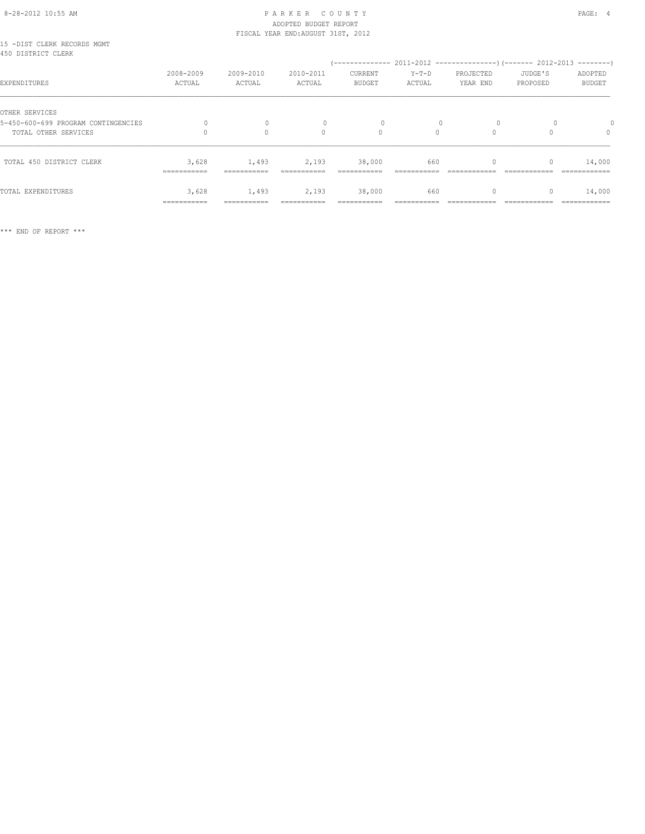# 8-28-2012 10:55 AM P A R K E R C O U N T Y PAGE: 4 ADOPTED BUDGET REPORT FISCAL YEAR END:AUGUST 31ST, 2012

| 15 -DIST CLERK RECORDS MGMT<br>450 DISTRICT CLERK |              |             |           |               |          |           |          |               |
|---------------------------------------------------|--------------|-------------|-----------|---------------|----------|-----------|----------|---------------|
|                                                   |              |             |           |               |          |           |          |               |
|                                                   | 2008-2009    | 2009-2010   | 2010-2011 | CURRENT       | $Y-T-D$  | PROJECTED | JUDGE'S  | ADOPTED       |
| EXPENDITURES                                      | ACTUAL       | ACTUAL      | ACTUAL    | <b>BUDGET</b> | ACTUAL   | YEAR END  | PROPOSED | <b>BUDGET</b> |
| OTHER SERVICES                                    |              |             |           |               |          |           |          |               |
|                                                   |              |             |           |               |          |           |          |               |
| 5-450-600-699 PROGRAM CONTINGENCIES               |              | $\Omega$    |           | $\Omega$      |          | $\Omega$  |          |               |
| TOTAL OTHER SERVICES                              |              | $\circ$     | $\Omega$  | $\circ$       | $\Omega$ | $\Omega$  |          | $\mathbf{0}$  |
| TOTAL 450 DISTRICT CLERK                          | 3,628        | 1,493       | 2,193     | 38,000        | 660      |           |          | 14,000        |
|                                                   | ------------ | ----------- |           |               |          |           |          |               |
|                                                   |              |             |           |               |          |           |          |               |
| TOTAL EXPENDITURES                                | 3,628        | 1,493       | 2,193     | 38,000        | 660      | 0         | 0        | 14,000        |
|                                                   | ===========  | =========== |           |               |          |           |          | ============  |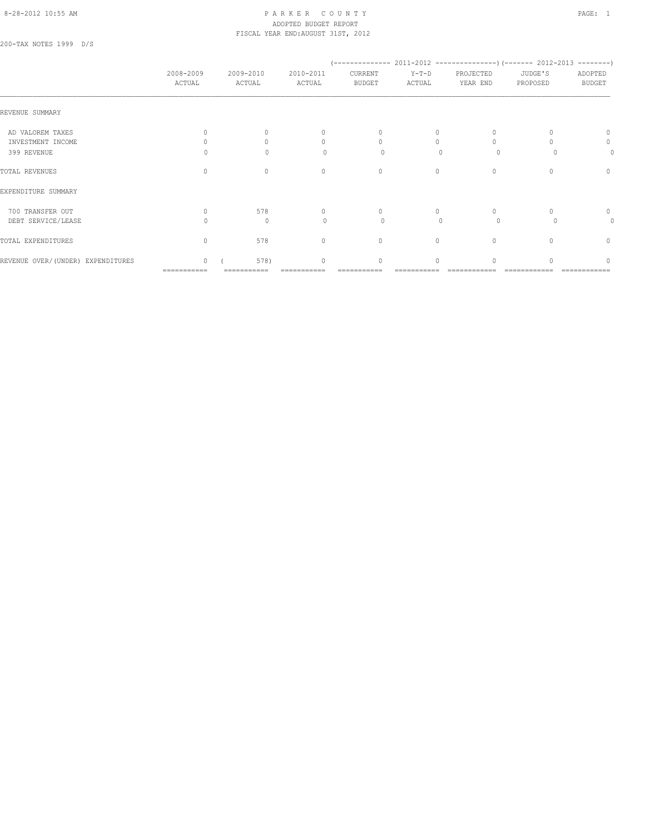# 8-28-2012 10:55 AM P A R K E R C O U N T Y PAGE: 1 ADOPTED BUDGET REPORT FISCAL YEAR END:AUGUST 31ST, 2012

200-TAX NOTES 1999 D/S

|                                   | 2008-2009<br>ACTUAL | 2009-2010<br>ACTUAL | 2010-2011<br>ACTUAL              | CURRENT<br><b>BUDGET</b> | $Y-T-D$<br>ACTUAL | PROJECTED<br>YEAR END | JUDGE'S<br>PROPOSED | ADOPTED<br><b>BUDGET</b> |
|-----------------------------------|---------------------|---------------------|----------------------------------|--------------------------|-------------------|-----------------------|---------------------|--------------------------|
| REVENUE SUMMARY                   |                     |                     |                                  |                          |                   |                       |                     |                          |
| AD VALOREM TAXES                  |                     | $\Omega$            | $\Omega$                         | $\circ$                  | $\circ$           | $\Omega$              |                     | 0                        |
| INVESTMENT INCOME                 |                     | $\Omega$            | $\begin{array}{c} \n\end{array}$ | $\Omega$                 | $\Omega$          | $\Omega$              |                     | 0                        |
| 399 REVENUE                       | Ω                   | $\Omega$            | $\Omega$                         | $\circ$                  | $\Omega$          | $\Omega$              |                     | 0                        |
| TOTAL REVENUES                    | $\mathbf{0}$        | $\mathbf{0}$        | $\mathbf{0}$                     | $\circ$                  | $\circ$           | $\mathbf{0}$          |                     | $\circ$                  |
| EXPENDITURE SUMMARY               |                     |                     |                                  |                          |                   |                       |                     |                          |
| 700 TRANSFER OUT                  | $\Omega$            | 578                 | $\circ$                          | $\circ$                  | 0                 | $\mathbf{0}$          |                     | $\circ$                  |
| DEBT SERVICE/LEASE                | Λ                   | $\mathbf{0}$        | $\Omega$                         | $\circ$                  | $\bigcap$         | $\circ$               |                     | 0                        |
| TOTAL EXPENDITURES                | $\Omega$            | 578                 | $\mathbf{0}$                     | $\circ$                  | $\circ$           | $\mathbf{0}$          | $\cap$              | $\mathbf{0}$             |
| REVENUE OVER/(UNDER) EXPENDITURES | $\mathbf{0}$        | 578)                | $\mathbf{0}$                     | $\circ$                  | 0                 | 0                     |                     | 0                        |

=========== =========== =========== =========== =========== ============ ============ ============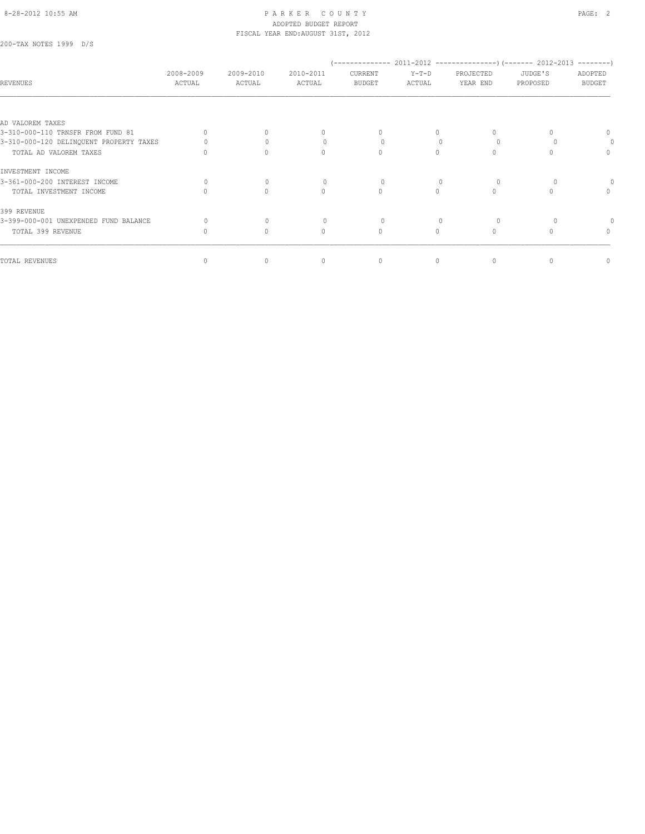200-TAX NOTES 1999 D/S

| <b>REVENUES</b>                         | 2008-2009<br>ACTUAL | 2009-2010<br>ACTUAL | 2010-2011<br>ACTUAL              | CURRENT<br><b>BUDGET</b> | $Y-T-D$<br>ACTUAL | PROJECTED<br>YEAR END | JUDGE'S<br>PROPOSED | ADOPTED<br><b>BUDGET</b>         |
|-----------------------------------------|---------------------|---------------------|----------------------------------|--------------------------|-------------------|-----------------------|---------------------|----------------------------------|
|                                         |                     |                     |                                  |                          |                   |                       |                     |                                  |
| AD VALOREM TAXES                        |                     |                     |                                  |                          |                   |                       |                     |                                  |
| 3-310-000-110 TRNSFR FROM FUND 81       |                     |                     | $\begin{array}{c} \n\end{array}$ | $\cap$                   | $\cap$            |                       |                     |                                  |
| 3-310-000-120 DELINQUENT PROPERTY TAXES |                     |                     |                                  | 0                        |                   |                       |                     |                                  |
| TOTAL AD VALOREM TAXES                  |                     | $\bigcap$           | $\begin{array}{c} \n\end{array}$ | $\Omega$                 | $\Omega$          | $\Omega$              |                     | $\begin{array}{c} \n\end{array}$ |
| INVESTMENT INCOME                       |                     |                     |                                  |                          |                   |                       |                     |                                  |
| 3-361-000-200 INTEREST INCOME           | $\Omega$            | $\mathbf{0}$        | $\Omega$                         | 0                        |                   |                       |                     |                                  |
| TOTAL INVESTMENT INCOME                 |                     | $\bigcap$           | $\bigcap$                        | $\Omega$                 | $\bigcap$         | $\Omega$              |                     | $\Omega$                         |
| 399 REVENUE                             |                     |                     |                                  |                          |                   |                       |                     |                                  |
| 3-399-000-001 UNEXPENDED FUND BALANCE   |                     | $\cup$              |                                  | 0                        |                   |                       |                     |                                  |
| TOTAL 399 REVENUE                       |                     | $\Omega$            | $\Omega$                         | $\Omega$                 | $\bigcap$         | $\bigcap$             |                     | $\Omega$                         |
| TOTAL REVENUES                          |                     | $\Omega$            | $\mathbf{0}$                     | $\mathbf{0}$             | 0                 | $\Omega$              |                     | 0                                |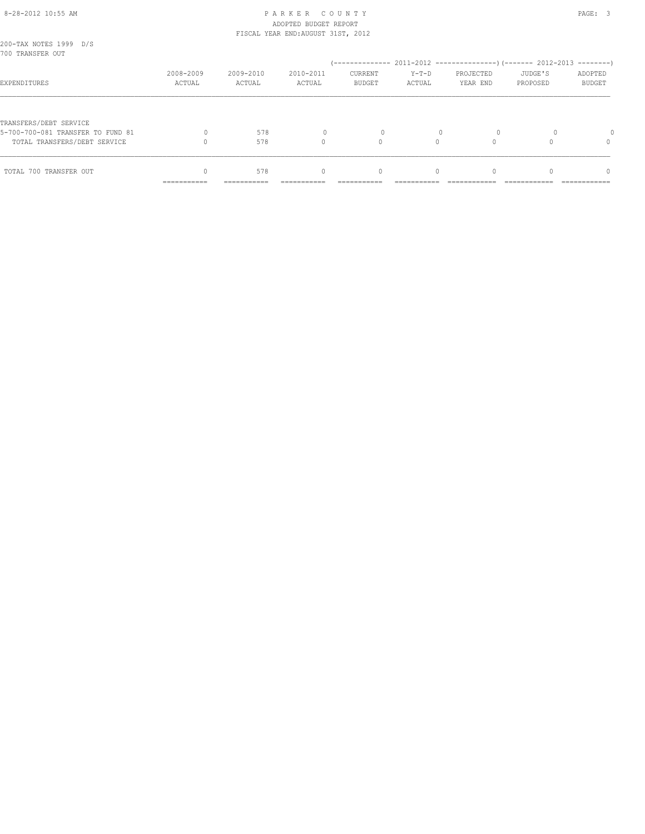| TOTAL 700 TRANSFER OUT                                            |                     | 578                 | $\begin{array}{c} \n\end{array}$ | $\mathbf{0}$                    | $\Omega$          |                       |                     | $\Omega$                 |
|-------------------------------------------------------------------|---------------------|---------------------|----------------------------------|---------------------------------|-------------------|-----------------------|---------------------|--------------------------|
| 5-700-700-081 TRANSFER TO FUND 81<br>TOTAL TRANSFERS/DEBT SERVICE |                     | 578<br>578          |                                  |                                 |                   |                       |                     |                          |
| TRANSFERS/DEBT SERVICE                                            |                     |                     |                                  |                                 |                   |                       |                     |                          |
| EXPENDITURES                                                      | 2008-2009<br>ACTUAL | 2009-2010<br>ACTUAL | 2010-2011<br>ACTUAL              | <b>CURRENT</b><br><b>BUDGET</b> | $Y-T-D$<br>ACTUAL | PROJECTED<br>YEAR END | JUDGE'S<br>PROPOSED | ADOPTED<br><b>BUDGET</b> |
| 200-TAX NOTES 1999 D/S<br>700 TRANSFER OUT                        |                     |                     |                                  |                                 |                   |                       |                     |                          |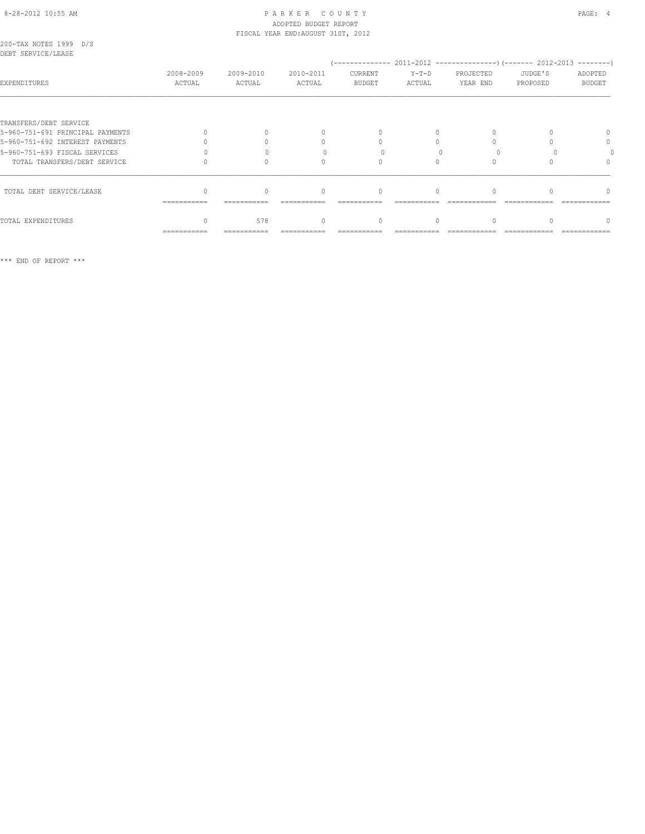# ADOPTED BUDGET REPORT

|                                              |                     |                     | FISCAL YEAR END: AUGUST 31ST, 2012 |                                  |                   | PROJECTED<br>JUDGE'S<br>ADOPTED<br>YEAR END<br><b>BUDGET</b><br>PROPOSED |   |  |
|----------------------------------------------|---------------------|---------------------|------------------------------------|----------------------------------|-------------------|--------------------------------------------------------------------------|---|--|
| 200-TAX NOTES 1999 D/S<br>DEBT SERVICE/LEASE |                     |                     |                                    |                                  |                   |                                                                          |   |  |
| EXPENDITURES                                 | 2008-2009<br>ACTUAL | 2009-2010<br>ACTUAL | 2010-2011<br>ACTUAL                | CURRENT<br>BUDGET                | $Y-T-D$<br>ACTUAL |                                                                          |   |  |
|                                              |                     |                     |                                    |                                  |                   |                                                                          |   |  |
| TRANSFERS/DEBT SERVICE                       |                     |                     |                                    |                                  |                   |                                                                          |   |  |
| 5-960-751-691 PRINCIPAL PAYMENTS             |                     |                     |                                    |                                  |                   |                                                                          |   |  |
| 5-960-751-692 INTEREST PAYMENTS              |                     |                     | 0                                  |                                  |                   |                                                                          | 0 |  |
| 5-960-751-693 FISCAL SERVICES                |                     |                     |                                    |                                  |                   |                                                                          |   |  |
| TOTAL TRANSFERS/DEBT SERVICE                 |                     |                     | $\cap$                             |                                  |                   |                                                                          |   |  |
| TOTAL DEBT SERVICE/LEASE                     | ============        |                     | $\begin{array}{c} \n\end{array}$   | $\begin{array}{c} \n\end{array}$ |                   |                                                                          |   |  |
| TOTAL EXPENDITURES                           |                     | 578                 | $\Omega$                           | 0                                | $\Omega$          |                                                                          |   |  |
|                                              | ===========         | ===========         |                                    |                                  |                   |                                                                          |   |  |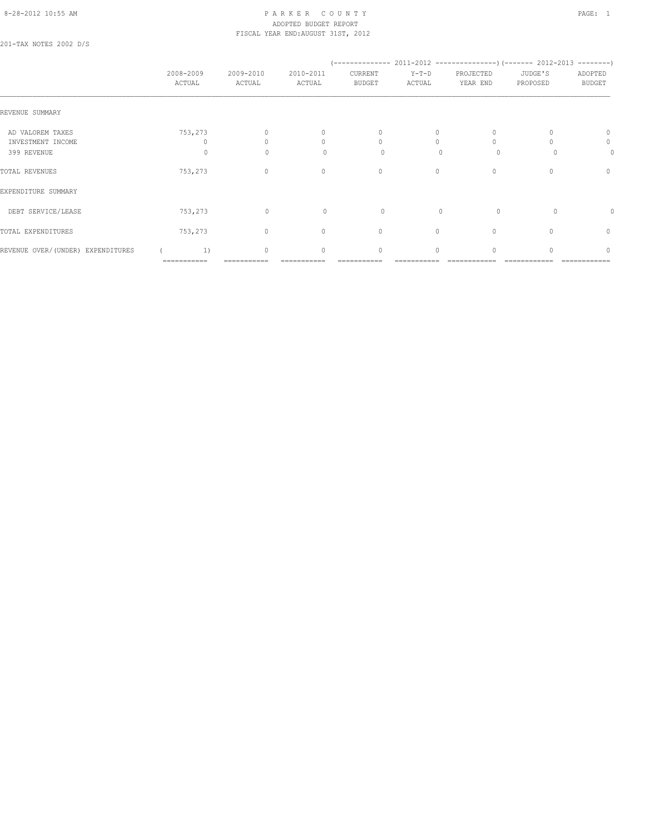#### 8-28-2012 10:55 AM P A R K E R C O U N T Y PAGE: 1 ADOPTED BUDGET REPORT FISCAL YEAR END:AUGUST 31ST, 2012

201-TAX NOTES 2002 D/S

|                                                      | 2008-2009<br>ACTUAL | 2009-2010<br>ACTUAL              | 2010-2011<br>ACTUAL                               | CURRENT<br><b>BUDGET</b>                         | $Y-T-D$<br>ACTUAL         | PROJECTED<br>YEAR END | JUDGE'S<br>PROPOSED | ADOPTED<br><b>BUDGET</b> |
|------------------------------------------------------|---------------------|----------------------------------|---------------------------------------------------|--------------------------------------------------|---------------------------|-----------------------|---------------------|--------------------------|
| REVENUE SUMMARY                                      |                     |                                  |                                                   |                                                  |                           |                       |                     |                          |
| AD VALOREM TAXES<br>INVESTMENT INCOME<br>399 REVENUE | 753,273<br>$\circ$  | $\Omega$<br>$\Omega$<br>$\Omega$ | 0<br>$\begin{array}{c} \n\end{array}$<br>$\Omega$ | 0<br>$\begin{array}{c} \n\end{array}$<br>$\circ$ | 0<br>$\Omega$<br>$\Omega$ | $\Omega$<br>$\circ$   |                     | 0<br>0<br>0              |
| TOTAL REVENUES                                       | 753,273             | $\mathbf{0}$                     | $\circ$                                           | 0                                                | $\circ$                   | 0                     | n                   | $\mathbf{0}$             |
| EXPENDITURE SUMMARY                                  |                     |                                  |                                                   |                                                  |                           |                       |                     |                          |
| DEBT SERVICE/LEASE                                   | 753,273             | $\mathbf 0$                      | $\circ$                                           | $\circ$                                          | $\mathbf{0}$              | $\circ$               | $\Omega$            | $\Omega$                 |
| TOTAL EXPENDITURES                                   | 753,273             | $\circ$                          | $\mathbf{0}$                                      | $\mathbf{0}$                                     | $\circ$                   | 0                     |                     | 0                        |
| REVENUE OVER/(UNDER) EXPENDITURES                    | 1)<br>===========   | $\circ$                          | $\mathbf{0}$                                      | $\mathbf{0}$                                     | 0                         | $\Omega$              |                     | $\Omega$                 |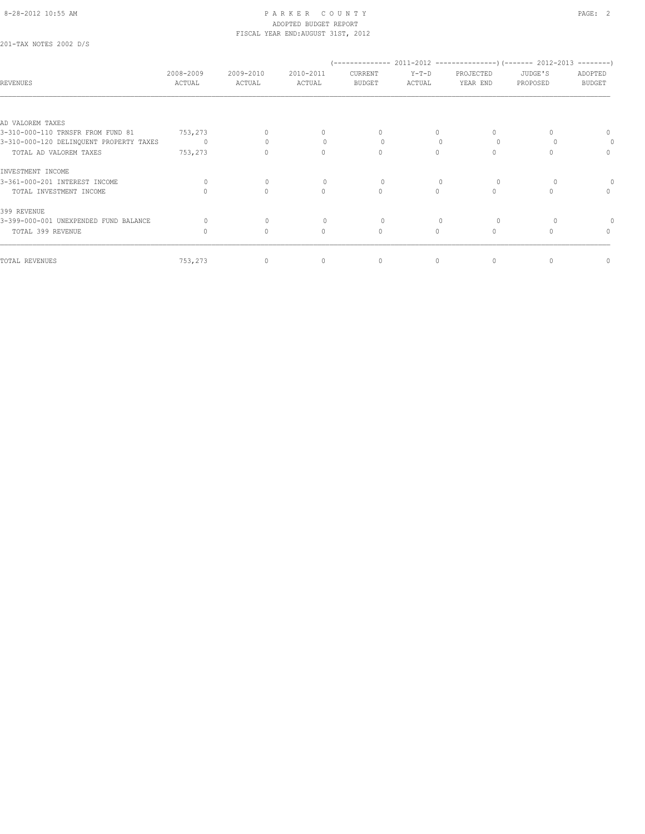201-TAX NOTES 2002 D/S

| <b>REVENUES</b>                         | 2008-2009<br>ACTUAL | 2009-2010<br>ACTUAL | 2010-2011<br>ACTUAL              | CURRENT<br><b>BUDGET</b> | $Y-T-D$<br>ACTUAL | PROJECTED<br>YEAR END | JUDGE'S<br>PROPOSED | ADOPTED<br><b>BUDGET</b> |
|-----------------------------------------|---------------------|---------------------|----------------------------------|--------------------------|-------------------|-----------------------|---------------------|--------------------------|
|                                         |                     |                     |                                  |                          |                   |                       |                     |                          |
| AD VALOREM TAXES                        |                     |                     |                                  |                          |                   |                       |                     |                          |
| 3-310-000-110 TRNSFR FROM FUND 81       | 753,273             | 0                   | 0                                | 0                        |                   |                       | n                   | 0                        |
| 3-310-000-120 DELINQUENT PROPERTY TAXES | $\Omega$            |                     | $\begin{array}{c} \n\end{array}$ | $\Omega$                 |                   |                       |                     |                          |
| TOTAL AD VALOREM TAXES                  | 753,273             | 0                   | $\Omega$                         | $\Omega$                 |                   |                       |                     | 0                        |
| INVESTMENT INCOME                       |                     |                     |                                  |                          |                   |                       |                     |                          |
| 3-361-000-201 INTEREST INCOME           | $\Omega$            | $\circ$             | 0                                | $\Omega$                 |                   |                       |                     |                          |
| TOTAL INVESTMENT INCOME                 |                     | $\Omega$            | $\Omega$                         | $\Omega$                 | $\cap$            | $\Omega$              | $\bigcap$           | $\Omega$                 |
| 399 REVENUE                             |                     |                     |                                  |                          |                   |                       |                     |                          |
| 3-399-000-001 UNEXPENDED FUND BALANCE   |                     | $\mathbf{0}$        | 0                                |                          |                   |                       |                     |                          |
| TOTAL 399 REVENUE                       |                     | $\mathbf{0}$        | $\Omega$                         | $\Omega$                 | $\Omega$          |                       | n                   | $\Omega$                 |
|                                         |                     |                     |                                  |                          |                   |                       |                     |                          |
| TOTAL REVENUES                          | 753,273             | 0                   | 0                                | $\mathbf 0$              | 0                 | 0                     | 0                   | 0                        |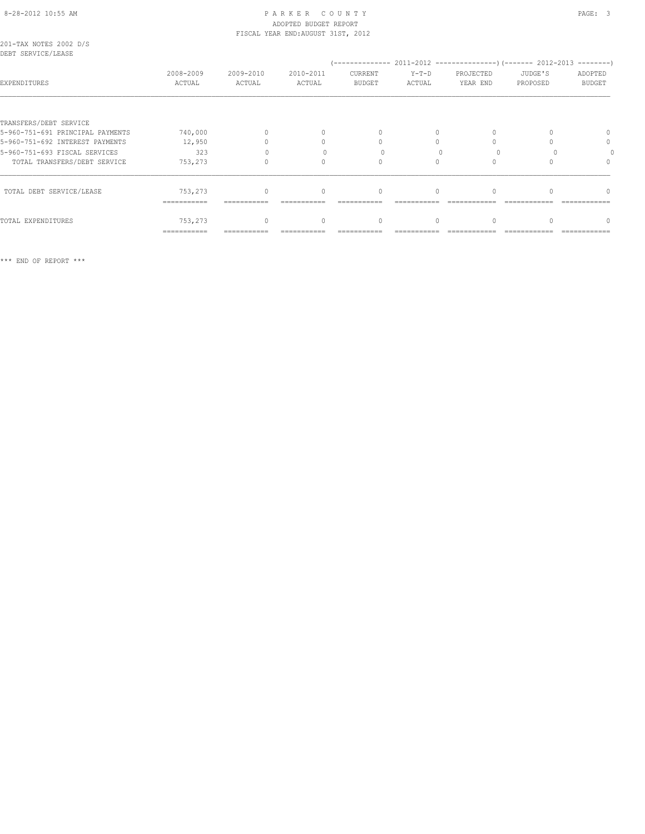# 8-28-2012 10:55 AM P A R K E R C O U N T Y PAGE: 3 ADOPTED BUDGET REPORT

|                        |  | FISCAL YEAR END: AUGUST 31ST, 2012 |  |
|------------------------|--|------------------------------------|--|
| 201-TAX NOTES 2002 D/S |  |                                    |  |
| DEBT SERVICE/LEASE     |  |                                    |  |

| NDDI ƏRKVIYAYINDAƏD              |                     |                     |                                  |                          |                   |                       |                     |                          |
|----------------------------------|---------------------|---------------------|----------------------------------|--------------------------|-------------------|-----------------------|---------------------|--------------------------|
| EXPENDITURES                     | 2008-2009<br>ACTUAL | 2009-2010<br>ACTUAL | 2010-2011<br>ACTUAL              | CURRENT<br><b>BUDGET</b> | $Y-T-D$<br>ACTUAL | PROJECTED<br>YEAR END | JUDGE'S<br>PROPOSED | ADOPTED<br><b>BUDGET</b> |
|                                  |                     |                     |                                  |                          |                   |                       |                     |                          |
| TRANSFERS/DEBT SERVICE           |                     |                     |                                  |                          |                   |                       |                     |                          |
| 5-960-751-691 PRINCIPAL PAYMENTS | 740,000             |                     | $\begin{array}{c} \n\end{array}$ | $\Omega$                 | $\bigcap$         |                       |                     |                          |
| 5-960-751-692 INTEREST PAYMENTS  | 12,950              |                     | 0                                |                          |                   |                       |                     | $\Omega$                 |
| 5-960-751-693 FISCAL SERVICES    | 323                 |                     |                                  |                          |                   |                       |                     |                          |
| TOTAL TRANSFERS/DEBT SERVICE     | 753,273             |                     |                                  |                          |                   |                       |                     |                          |
| TOTAL DEBT SERVICE/LEASE         | 753,273             |                     | $\begin{array}{c} \n\end{array}$ | $\Omega$                 |                   |                       |                     |                          |
|                                  | ===========         |                     |                                  |                          |                   |                       |                     |                          |
| TOTAL EXPENDITURES               | 753,273             |                     | $\begin{array}{c} \n\end{array}$ | $\mathbf{0}$             | $\Omega$          |                       |                     |                          |
|                                  | ===========         |                     |                                  |                          |                   |                       |                     |                          |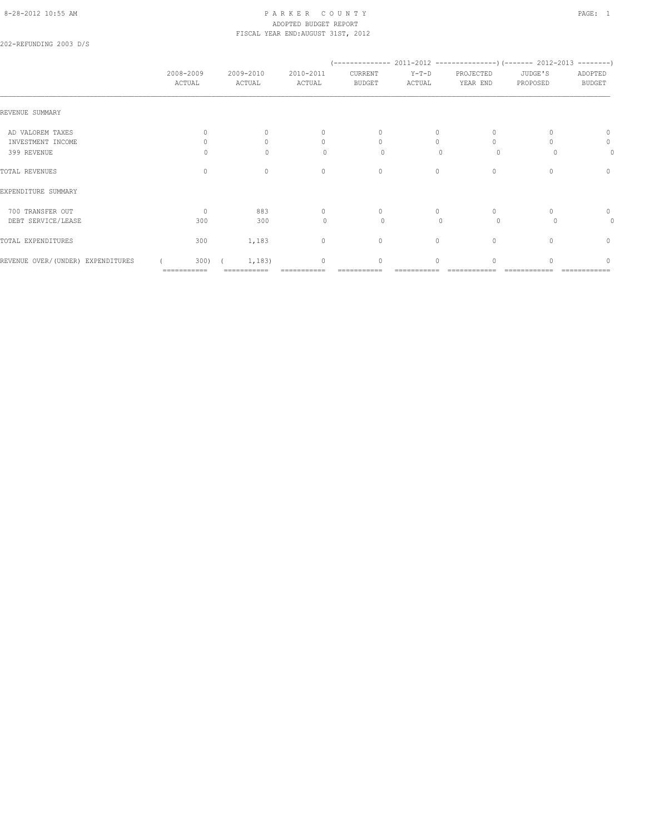# 8-28-2012 10:55 AM P A R K E R C O U N T Y PAGE: 1 ADOPTED BUDGET REPORT FISCAL YEAR END:AUGUST 31ST, 2012

202-REFUNDING 2003 D/S

|                                   |                     |                     |                                  | '--------------                  |                   |                       | $2011-2012$ ----------------) (------- 2012-2013 --------) |                          |
|-----------------------------------|---------------------|---------------------|----------------------------------|----------------------------------|-------------------|-----------------------|------------------------------------------------------------|--------------------------|
|                                   | 2008-2009<br>ACTUAL | 2009-2010<br>ACTUAL | 2010-2011<br>ACTUAL              | CURRENT<br><b>BUDGET</b>         | $Y-T-D$<br>ACTUAL | PROJECTED<br>YEAR END | JUDGE'S<br>PROPOSED                                        | ADOPTED<br><b>BUDGET</b> |
| REVENUE SUMMARY                   |                     |                     |                                  |                                  |                   |                       |                                                            |                          |
| AD VALOREM TAXES                  |                     | $\cap$              | $\mathbf{0}$                     | $\mathbf{0}$                     | 0                 |                       |                                                            | $\Omega$                 |
| INVESTMENT INCOME                 |                     |                     | 0                                | $\Omega$                         |                   |                       |                                                            | 0                        |
| 399 REVENUE                       |                     | $\Omega$            | $\Omega$                         | $\Omega$                         | $\bigcap$         | $\Omega$              |                                                            | 0                        |
| TOTAL REVENUES                    | 0                   | $\circ$             | $\mathbf{0}$                     | 0                                | $\circ$           | 0                     |                                                            | 0                        |
| EXPENDITURE SUMMARY               |                     |                     |                                  |                                  |                   |                       |                                                            |                          |
| 700 TRANSFER OUT                  | $\Omega$            | 883                 | $\begin{array}{c} \n\end{array}$ | $\begin{array}{c} \n\end{array}$ | $\Omega$          | $\Omega$              |                                                            | 0                        |
| DEBT SERVICE/LEASE                | 300                 | 300                 | $\Omega$                         | $\circ$                          | $\bigcap$         | $\Omega$              |                                                            | 0                        |
| TOTAL EXPENDITURES                | 300                 | 1,183               | $\circ$                          | $\circ$                          | $\circ$           | $\mathbf{0}$          | 0                                                          | $\circ$                  |
| REVENUE OVER/(UNDER) EXPENDITURES | 300)                | 1,183)              | $\begin{array}{c} \n\end{array}$ | 0                                | $\Omega$          | $\cap$                |                                                            | n                        |
|                                   | ===========         |                     |                                  |                                  |                   |                       |                                                            |                          |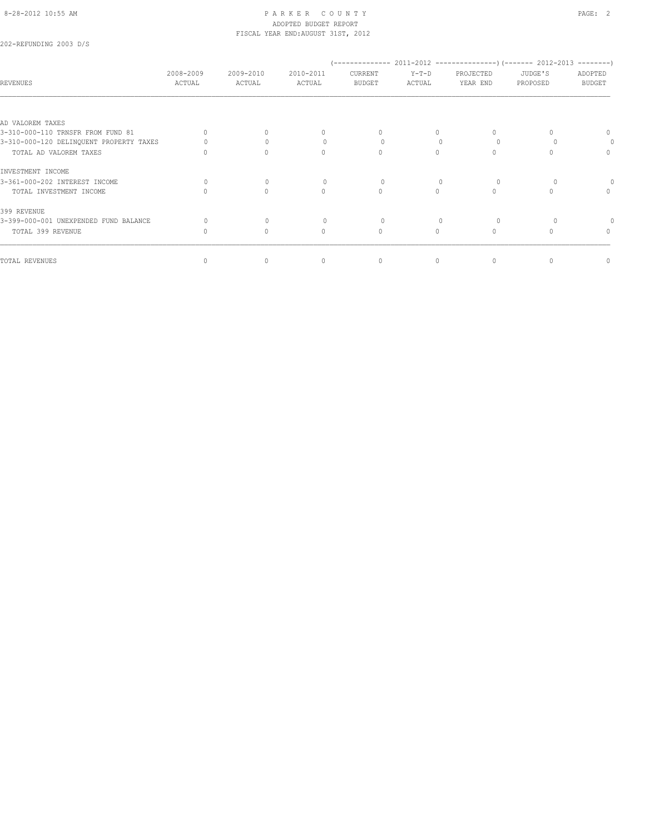202-REFUNDING 2003 D/S

| REVENUES                                | 2008-2009<br>ACTUAL | 2009-2010<br>ACTUAL | 2010-2011<br>ACTUAL              | ______________<br>CURRENT<br><b>BUDGET</b> | $Y-T-D$<br>ACTUAL | PROJECTED<br>YEAR END | 2011-2012 ---------------------- (------- 2012-2013 ----------)<br>JUDGE'S<br>PROPOSED | ADOPTED<br><b>BUDGET</b> |
|-----------------------------------------|---------------------|---------------------|----------------------------------|--------------------------------------------|-------------------|-----------------------|----------------------------------------------------------------------------------------|--------------------------|
|                                         |                     |                     |                                  |                                            |                   |                       |                                                                                        |                          |
| AD VALOREM TAXES                        |                     |                     |                                  |                                            |                   |                       |                                                                                        |                          |
| 3-310-000-110 TRNSFR FROM FUND 81       |                     | $\Omega$            | $\begin{array}{c} \n\end{array}$ | $\Omega$                                   |                   | $\Omega$              |                                                                                        |                          |
| 3-310-000-120 DELINQUENT PROPERTY TAXES |                     | $\bigcap$           | $\circ$                          | 0                                          |                   |                       |                                                                                        | $\Omega$                 |
| TOTAL AD VALOREM TAXES                  |                     | $\Omega$            | $\Omega$                         | $\Omega$                                   |                   | 0                     |                                                                                        | $\Omega$                 |
| INVESTMENT INCOME                       |                     |                     |                                  |                                            |                   |                       |                                                                                        |                          |
| 3-361-000-202 INTEREST INCOME           | $\Omega$            | $\mathbf{0}$        | $\begin{array}{c} \n\end{array}$ | 0                                          | $\Omega$          |                       |                                                                                        |                          |
| TOTAL INVESTMENT INCOME                 |                     | $\circ$             | $\Omega$                         | $\circ$                                    |                   | $\Omega$              |                                                                                        | $\Omega$                 |
| 399 REVENUE                             |                     |                     |                                  |                                            |                   |                       |                                                                                        |                          |
| 3-399-000-001 UNEXPENDED FUND BALANCE   |                     | $\mathbf{0}$        | $\circ$                          |                                            |                   |                       |                                                                                        |                          |
| TOTAL 399 REVENUE                       |                     | $\Omega$            | $\Omega$                         | $\Omega$                                   | $\Omega$          | $\Omega$              |                                                                                        | $\Omega$                 |
| TOTAL REVENUES                          |                     | $\circ$             | $\mathbf{0}$                     | $\mathbf{0}$                               | $\Omega$          | 0                     | 0                                                                                      | $\mathbf{0}$             |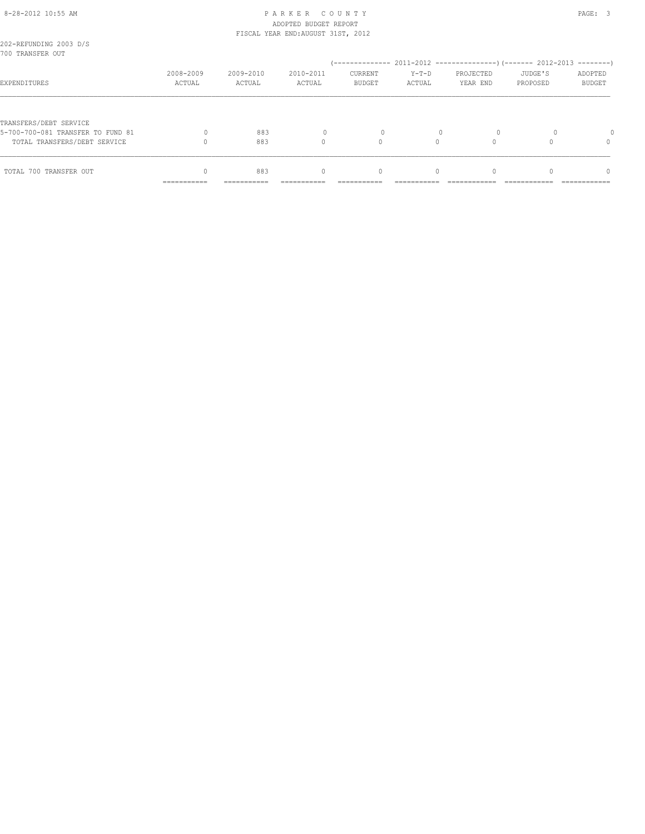| TRANSFERS/DEBT SERVICE<br>5-700-700-081 TRANSFER TO FUND 81 |                           | 883         |                                  |              |          |  |                      |
|-------------------------------------------------------------|---------------------------|-------------|----------------------------------|--------------|----------|--|----------------------|
| TOTAL TRANSFERS/DEBT SERVICE<br>TOTAL 700 TRANSFER OUT      |                           | 883<br>883  | $\begin{array}{c} \n\end{array}$ | $\mathbf{0}$ | $\Omega$ |  | $\Omega$<br>$\Omega$ |
|                                                             | __________<br>----------- | ----------- |                                  |              |          |  |                      |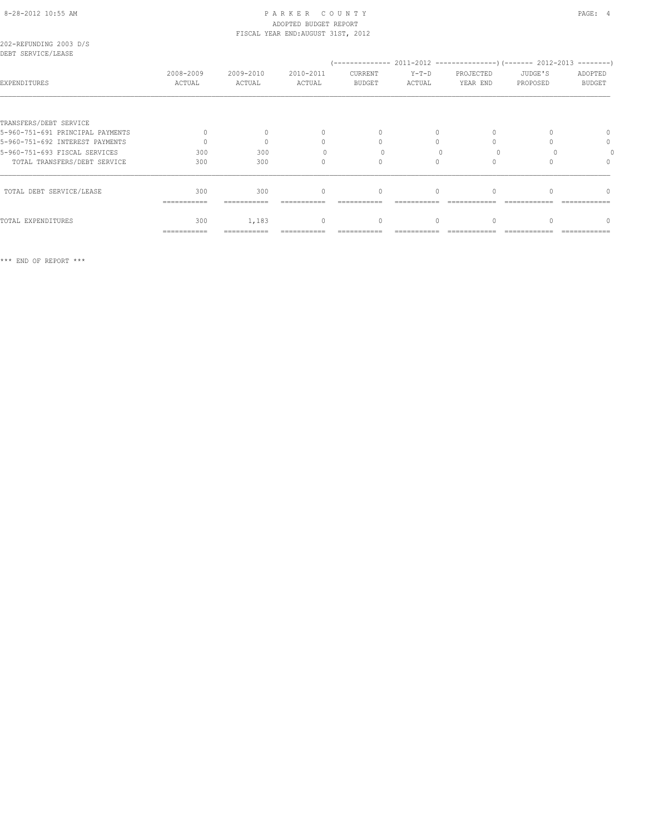# ADOPTED BUDGET REPORT

|                                              |                     |                     | FISCAL YEAR END: AUGUST 31ST, 2012 |                                  |                   |                       |                     |                          |
|----------------------------------------------|---------------------|---------------------|------------------------------------|----------------------------------|-------------------|-----------------------|---------------------|--------------------------|
| 202-REFUNDING 2003 D/S<br>DEBT SERVICE/LEASE |                     |                     |                                    |                                  |                   |                       |                     |                          |
| EXPENDITURES                                 | 2008-2009<br>ACTUAL | 2009-2010<br>ACTUAL | 2010-2011<br>ACTUAL                | CURRENT<br>BUDGET                | $Y-T-D$<br>ACTUAL | PROJECTED<br>YEAR END | JUDGE'S<br>PROPOSED | ADOPTED<br><b>BUDGET</b> |
|                                              |                     |                     |                                    |                                  |                   |                       |                     |                          |
| TRANSFERS/DEBT SERVICE                       |                     |                     |                                    |                                  |                   |                       |                     |                          |
| 5-960-751-691 PRINCIPAL PAYMENTS             |                     |                     | $\begin{array}{c} \n\end{array}$   | $\begin{array}{c} \n\end{array}$ |                   |                       |                     | 0                        |
| 5-960-751-692 INTEREST PAYMENTS              | $\Omega$            | $\Omega$            | 0                                  | $\Omega$                         |                   |                       |                     | 0                        |
| 5-960-751-693 FISCAL SERVICES                | 300                 | 300                 |                                    |                                  |                   |                       |                     |                          |
| TOTAL TRANSFERS/DEBT SERVICE                 | 300                 | 300                 | 0                                  | $\Omega$                         | $\Omega$          |                       |                     |                          |
| TOTAL DEBT SERVICE/LEASE                     | 300<br>===========  | 300                 | $\mathbf{0}$                       | $\Omega$                         | $\Omega$          |                       |                     |                          |
| TOTAL EXPENDITURES                           | 300                 | 1,183               | $\circ$                            | $\mathbf{0}$                     | $\Omega$          | $\Omega$              |                     | n                        |
|                                              | ===========         | ===========         |                                    |                                  |                   |                       |                     |                          |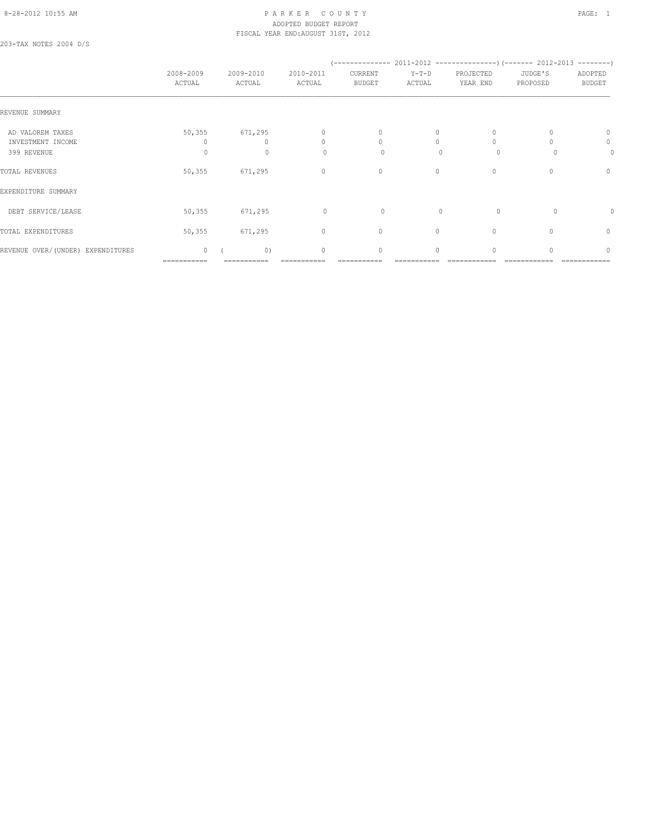#### 8-28-2012 10:55 AM P A R K E R C O U N T Y PAGE: 1 ADOPTED BUDGET REPORT FISCAL YEAR END:AUGUST 31ST, 2012

203-TAX NOTES 2004 D/S

|                                                      | 2008-2009<br>ACTUAL         | 2009-2010<br>ACTUAL                 | 2010-2011<br>ACTUAL                | CURRENT<br><b>BUDGET</b> | $Y-T-D$<br>ACTUAL         | PROJECTED<br>YEAR END    | JUDGE'S<br>PROPOSED | ADOPTED<br><b>BUDGET</b>         |
|------------------------------------------------------|-----------------------------|-------------------------------------|------------------------------------|--------------------------|---------------------------|--------------------------|---------------------|----------------------------------|
| REVENUE SUMMARY                                      |                             |                                     |                                    |                          |                           |                          |                     |                                  |
| AD VALOREM TAXES<br>INVESTMENT INCOME<br>399 REVENUE | 50, 355<br>$\circ$          | 671,295<br>$\Omega$<br>$\mathbf{0}$ | $\circ$<br>$\Omega$<br>$\mathbf 0$ | 0<br>$\Omega$<br>$\circ$ | 0<br>$\Omega$<br>$\Omega$ | 0<br>$\Omega$<br>$\circ$ |                     | $\mathbf{0}$<br>$\circ$<br>0     |
| TOTAL REVENUES                                       | 50,355                      | 671,295                             | $\circ$                            | $\circ$                  | 0                         | $\mathbf{0}$             | 0                   | $\mathbf{0}$                     |
| EXPENDITURE SUMMARY                                  |                             |                                     |                                    |                          |                           |                          |                     |                                  |
| DEBT SERVICE/LEASE                                   | 50, 355                     | 671,295                             | $\circ$                            | $\circ$                  | $\mathbf{0}$              | $\circ$                  | $\circ$             | 0                                |
| TOTAL EXPENDITURES                                   | 50, 355                     | 671,295                             | $\mathbf{0}$                       | $\circ$                  | $\circ$                   | 0                        |                     | 0                                |
| REVENUE OVER/(UNDER) EXPENDITURES                    | $\mathbf{0}$<br>=========== | 0)<br>===========                   | $\mathbf{0}$                       | $\circ$                  | $\circ$                   | 0                        |                     | $\begin{array}{c} \n\end{array}$ |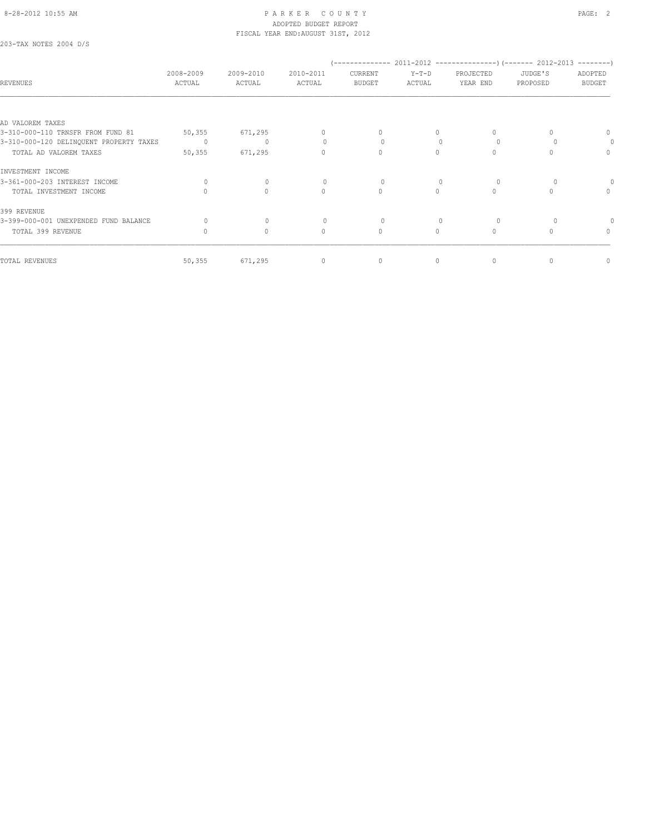203-TAX NOTES 2004 D/S

| <b>REVENUES</b>                         | 2008-2009<br>ACTUAL | 2009-2010<br>ACTUAL | 2010-2011<br>ACTUAL              | CURRENT<br><b>BUDGET</b> | $Y-T-D$<br>ACTUAL | PROJECTED<br>YEAR END | JUDGE'S<br>PROPOSED | ADOPTED<br><b>BUDGET</b> |
|-----------------------------------------|---------------------|---------------------|----------------------------------|--------------------------|-------------------|-----------------------|---------------------|--------------------------|
|                                         |                     |                     |                                  |                          |                   |                       |                     |                          |
| AD VALOREM TAXES                        |                     |                     |                                  |                          |                   |                       |                     |                          |
| 3-310-000-110 TRNSFR FROM FUND 81       | 50, 355             | 671,295             | 0                                | 0                        |                   |                       | 0                   | 0                        |
| 3-310-000-120 DELINQUENT PROPERTY TAXES | $\Omega$            | $\mathbf{0}$        | $\begin{array}{c} \n\end{array}$ | $\Omega$                 |                   | $\Omega$              |                     | 0                        |
| TOTAL AD VALOREM TAXES                  | 50, 355             | 671,295             | $\Omega$                         | $\Omega$                 | $\Omega$          |                       | n                   | $\Omega$                 |
| INVESTMENT INCOME                       |                     |                     |                                  |                          |                   |                       |                     |                          |
| 3-361-000-203 INTEREST INCOME           | $\Omega$            | $\circ$             | $\begin{array}{c} \n\end{array}$ | $\Omega$                 |                   |                       | $\Omega$            |                          |
| TOTAL INVESTMENT INCOME                 |                     | $\mathbf{0}$        | $\Omega$                         | $\Omega$                 | $\Omega$          | $\Omega$              | $\bigcap$           | $\Omega$                 |
| 399 REVENUE                             |                     |                     |                                  |                          |                   |                       |                     |                          |
| 3-399-000-001 UNEXPENDED FUND BALANCE   | 0                   | $\mathbf{0}$        | $\mathbf{0}$                     | 0                        |                   |                       |                     |                          |
| TOTAL 399 REVENUE                       |                     | $\mathbf{0}$        | $\Omega$                         | $\mathbf{0}$             | $\Omega$          | $\Omega$              | $\cap$              | 0                        |
| TOTAL REVENUES                          | 50, 355             | 671,295             | $\mathbf{0}$                     | $\mathbf{0}$             | 0                 | $\Omega$              | 0                   | 0                        |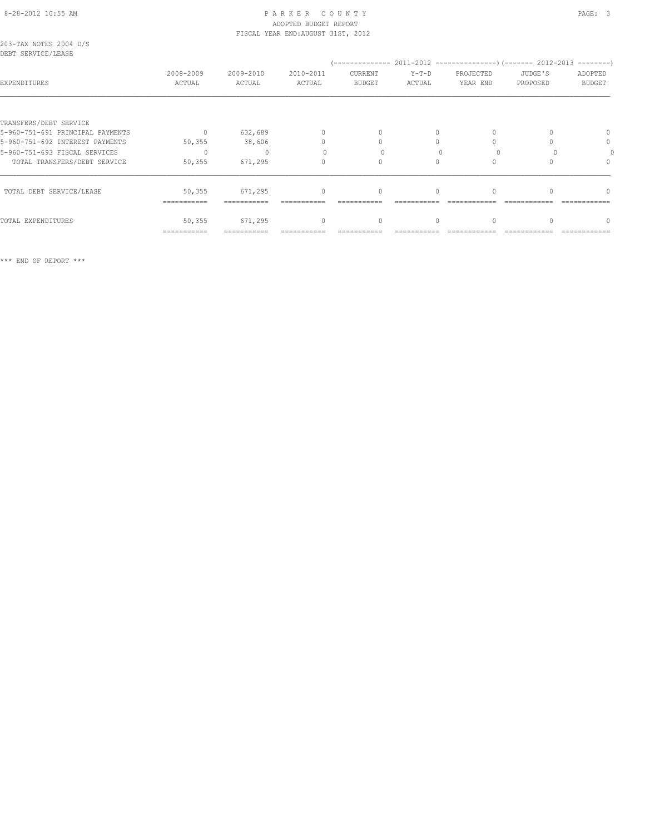# ADOPTED BUDGET REPORT

TOTAL EXPENDITURES 50,355 671,295 0 0 0 0 0 0

=========== =========== =========== =========== =========== ============ ============ ============

|                                              |                     |                     | FISCAL YEAR END: AUGUST 31ST, 2012 |                          |                   |                       |                     |                          |
|----------------------------------------------|---------------------|---------------------|------------------------------------|--------------------------|-------------------|-----------------------|---------------------|--------------------------|
| 203-TAX NOTES 2004 D/S<br>DEBT SERVICE/LEASE |                     |                     |                                    |                          |                   |                       |                     |                          |
| EXPENDITURES                                 | 2008-2009<br>ACTUAL | 2009-2010<br>ACTUAL | 2010-2011<br>ACTUAL                | CURRENT<br><b>BUDGET</b> | $Y-T-D$<br>ACTUAL | PROJECTED<br>YEAR END | JUDGE'S<br>PROPOSED | ADOPTED<br><b>BUDGET</b> |
|                                              |                     |                     |                                    |                          |                   |                       |                     |                          |
| TRANSFERS/DEBT SERVICE                       |                     |                     |                                    |                          |                   |                       |                     |                          |
| 5-960-751-691 PRINCIPAL PAYMENTS             | $\Omega$            | 632,689             |                                    | $\Omega$                 | 0                 |                       |                     | 0                        |
| 5-960-751-692 INTEREST PAYMENTS              | 50, 355             | 38,606              |                                    |                          | 0                 |                       |                     | 0                        |
| 5-960-751-693 FISCAL SERVICES                | $\Omega$            |                     |                                    |                          |                   |                       |                     |                          |
| TOTAL TRANSFERS/DEBT SERVICE                 | 50,355              | 671,295             |                                    |                          | 0                 |                       |                     | $\Omega$                 |
| TOTAL DEBT SERVICE/LEASE                     | 50,355              | 671,295             | $\mathbf{0}$                       | 0                        | $\circ$           |                       |                     | $\Omega$                 |
|                                              | ===========         |                     |                                    |                          |                   |                       |                     |                          |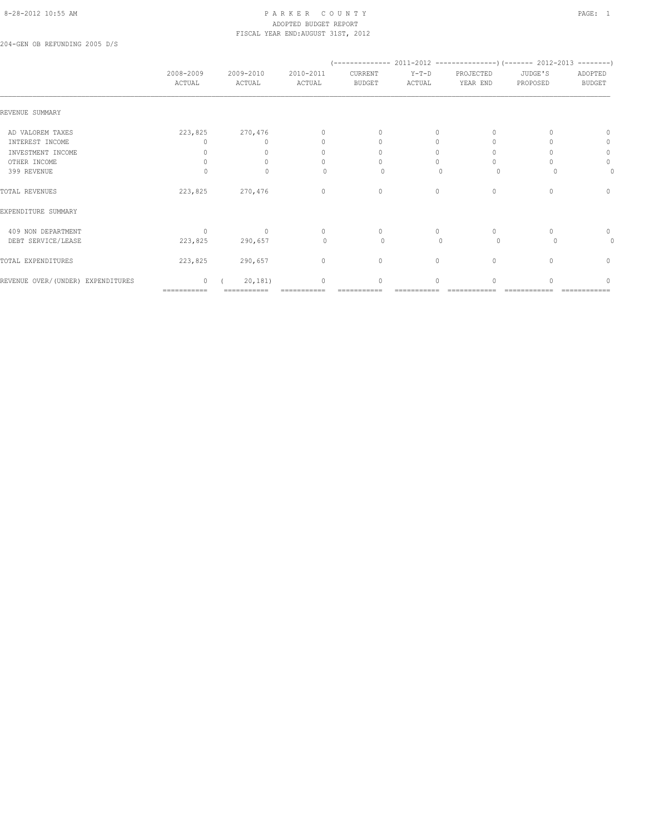# 8-28-2012 10:55 AM PAGE: 1 PARKER COUNTY PAGE: 1 ADOPTED BUDGET REPORT FISCAL YEAR END:AUGUST 31ST, 2012

204-GEN OB REFUNDING 2005 D/S

|                                   | 2008-2009<br>ACTUAL       | 2009-2010<br>ACTUAL              | 2010-2011<br>ACTUAL | CURRENT<br><b>BUDGET</b>         | $Y-T-D$<br>ACTUAL | PROJECTED<br>YEAR END | JUDGE'S<br>PROPOSED              | ADOPTED<br><b>BUDGET</b> |
|-----------------------------------|---------------------------|----------------------------------|---------------------|----------------------------------|-------------------|-----------------------|----------------------------------|--------------------------|
| REVENUE SUMMARY                   |                           |                                  |                     |                                  |                   |                       |                                  |                          |
| AD VALOREM TAXES                  | 223,825                   | 270,476                          | 0                   | $\begin{array}{c} \n\end{array}$ | $\Omega$          | $\Omega$              |                                  | $\Omega$                 |
| INTEREST INCOME                   | 0                         |                                  |                     | $\Omega$                         | 0                 | $\circ$               |                                  | 0                        |
| INVESTMENT INCOME                 | 0                         | $\Omega$                         |                     | 0                                | $\Omega$          | 0                     |                                  | $\circ$                  |
| OTHER INCOME                      | $\mathbf{0}$              |                                  |                     |                                  |                   | $\Omega$              |                                  | $\circ$                  |
| 399 REVENUE                       |                           | $\bigcap$                        | U                   | $\Omega$                         | n                 | $\Omega$              |                                  | 0                        |
| TOTAL REVENUES                    | 223,825                   | 270,476                          | $\mathbf{0}$        | $\mathbf{0}$                     | $\Omega$          | $\circ$               | $\Omega$                         | $\mathbf{0}$             |
| EXPENDITURE SUMMARY               |                           |                                  |                     |                                  |                   |                       |                                  |                          |
| 409 NON DEPARTMENT                | $\Omega$                  | $\begin{array}{c} \n\end{array}$ | $\Omega$            | $\Omega$                         | $\Omega$          | $\circ$               | $\Omega$                         | $\mathbf 0$              |
| DEBT SERVICE/LEASE                | 223,825                   | 290,657                          | $\mathbf{0}$        | 0                                | $\mathbf{0}$      | $\circ$               | $\cup$                           | 0                        |
| TOTAL EXPENDITURES                | 223,825                   | 290,657                          | $\mathbf{0}$        | $\mathbf{0}$                     | $\circ$           | $\mathbf{0}$          | $\begin{array}{c} \n\end{array}$ | $\mathbf{0}$             |
| REVENUE OVER/(UNDER) EXPENDITURES | $\Omega$                  | 20, 181)                         | $\bigcap$           | $\Omega$                         | $\cap$            | $\Omega$              |                                  | ∩                        |
|                                   | $=$ = = = = = = = = = = = |                                  |                     |                                  |                   |                       |                                  |                          |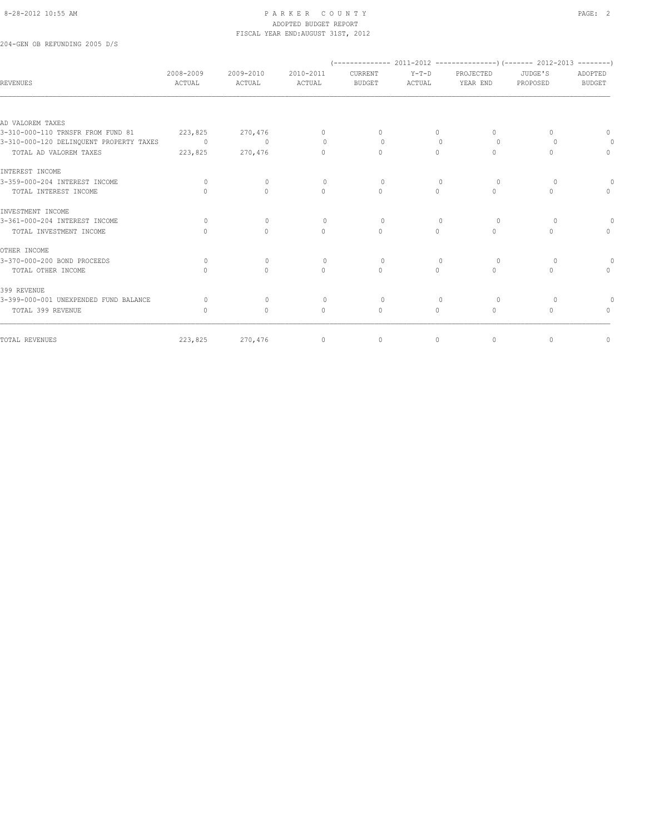204-GEN OB REFUNDING 2005 D/S

| REVENUES                                | 2008-2009<br>ACTUAL              | 2009-2010<br>ACTUAL              | 2010-2011<br>ACTUAL              | CURRENT<br><b>BUDGET</b>         | $Y-T-D$<br>ACTUAL | PROJECTED<br>YEAR END | JUDGE'S<br>PROPOSED              | ADOPTED<br><b>BUDGET</b> |
|-----------------------------------------|----------------------------------|----------------------------------|----------------------------------|----------------------------------|-------------------|-----------------------|----------------------------------|--------------------------|
|                                         |                                  |                                  |                                  |                                  |                   |                       |                                  |                          |
| AD VALOREM TAXES                        |                                  |                                  |                                  |                                  |                   |                       |                                  |                          |
| 3-310-000-110 TRNSFR FROM FUND 81       | 223,825                          | 270,476                          | $\Omega$                         | $\Omega$                         | $\Omega$          | $\bigcap$             | $\Box$                           | $\Omega$                 |
| 3-310-000-120 DELINQUENT PROPERTY TAXES | $\sim$ 0                         | $\circ$                          | $\Omega$                         | $\Omega$                         | $\Omega$          | $\circ$               |                                  |                          |
| TOTAL AD VALOREM TAXES                  | 223,825                          | 270,476                          | $\begin{array}{c} \n\end{array}$ | $\begin{array}{c} \n\end{array}$ | 0                 | $\Omega$              |                                  | $\mathbf{0}$             |
| INTEREST INCOME                         |                                  |                                  |                                  |                                  |                   |                       |                                  |                          |
| 3-359-000-204 INTEREST INCOME           | $\circ$                          | $\mathbf{0}$                     | $\circ$                          | $\circ$                          | $\mathbf{0}$      | $\circ$               | 0                                |                          |
| TOTAL INTEREST INCOME                   | $\Omega$                         | $\begin{array}{c} \n\end{array}$ | $\begin{array}{c} \n\end{array}$ | $\begin{array}{c} \n\end{array}$ | $\circ$           | $\Omega$              | $\begin{array}{c} \n\end{array}$ | $\Omega$                 |
| INVESTMENT INCOME                       |                                  |                                  |                                  |                                  |                   |                       |                                  |                          |
| 3-361-000-204 INTEREST INCOME           | $\Omega$                         | $\Omega$                         | $\Omega$                         | $\Omega$                         | $\Omega$          | $\Omega$              | $\Omega$                         |                          |
| TOTAL INVESTMENT INCOME                 | $\Omega$                         | $\circ$                          | $\circ$                          | $\mathbf{0}$                     | $\circ$           | $\Omega$              | $\Omega$                         | $\circ$                  |
| OTHER INCOME                            |                                  |                                  |                                  |                                  |                   |                       |                                  |                          |
| 3-370-000-200 BOND PROCEEDS             | $\Omega$                         | $\Omega$                         | $\Omega$                         | $\circ$                          | $\bigcap$         | $\Omega$              |                                  | 0                        |
| TOTAL OTHER INCOME                      | $\begin{array}{c} \n\end{array}$ | $\Omega$                         | $\circ$                          | $\mathbf{0}$                     | $\circ$           | $\Omega$              | $\Omega$                         | $\mathbf{0}$             |
| 399 REVENUE                             |                                  |                                  |                                  |                                  |                   |                       |                                  |                          |
| 3-399-000-001 UNEXPENDED FUND BALANCE   | $\Omega$                         | $\Omega$                         | $\Omega$                         | $\Omega$                         |                   | $\Omega$              |                                  |                          |
| TOTAL 399 REVENUE                       | $\bigcap$                        | $\Omega$                         | $\Omega$                         | $\mathbf{0}$                     | $\circ$           | $\Omega$              | $\bigcap$                        | $\Omega$                 |
| TOTAL REVENUES                          | 223,825                          | 270,476                          | $\mathbf{0}$                     | $\circ$                          | $\circ$           | $\mathbf{0}$          | $\mathbf{0}$                     | 0                        |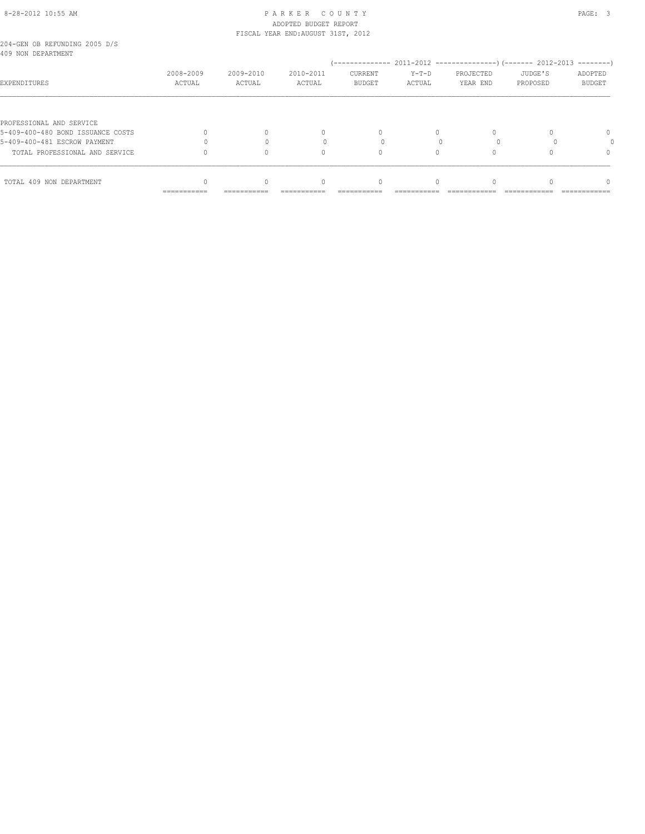# 8-28-2012 10:55 AM P A R K E R C O U N T Y PAGE: 3 ADOPTED BUDGET REPORT FISCAL YEAR END:AUGUST 31ST, 2012

|  | 204-GEN OB REFUNDING 2005 D/S |  |  |
|--|-------------------------------|--|--|
|  | 409 NON DEPARTMENT            |  |  |

| 409 NON DEPARTMENT                |                           |                     |                     |                                 |                   |                       |                     | $------$                      |
|-----------------------------------|---------------------------|---------------------|---------------------|---------------------------------|-------------------|-----------------------|---------------------|-------------------------------|
| EXPENDITURES                      | 2008-2009<br>ACTUAL       | 2009-2010<br>ACTUAL | 2010-2011<br>ACTUAL | <b>CURRENT</b><br><b>BUDGET</b> | $Y-T-D$<br>ACTUAL | PROJECTED<br>YEAR END | JUDGE'S<br>PROPOSED | ADOPTED<br>BUDGET             |
|                                   |                           |                     |                     |                                 |                   |                       |                     |                               |
| PROFESSIONAL AND SERVICE          |                           |                     |                     |                                 |                   |                       |                     |                               |
| 5-409-400-480 BOND ISSUANCE COSTS |                           |                     | $\Omega$            | $\Omega$                        | 0                 | $\Omega$              |                     | 0                             |
| 5-409-400-481 ESCROW PAYMENT      |                           |                     |                     |                                 |                   |                       |                     |                               |
| TOTAL PROFESSIONAL AND SERVICE    |                           |                     |                     | $\Omega$                        |                   | 0                     |                     | $\Omega$                      |
|                                   |                           |                     |                     |                                 |                   |                       |                     |                               |
| TOTAL 409 NON DEPARTMENT          |                           | 0                   |                     | $\Omega$                        | 0                 | $\Omega$              |                     | $\Omega$                      |
|                                   | $=$ = = = = = = = = = = = | ===========         | ===========         | ===========                     | ___________       | _____________         | ---------------     | _____________<br>------------ |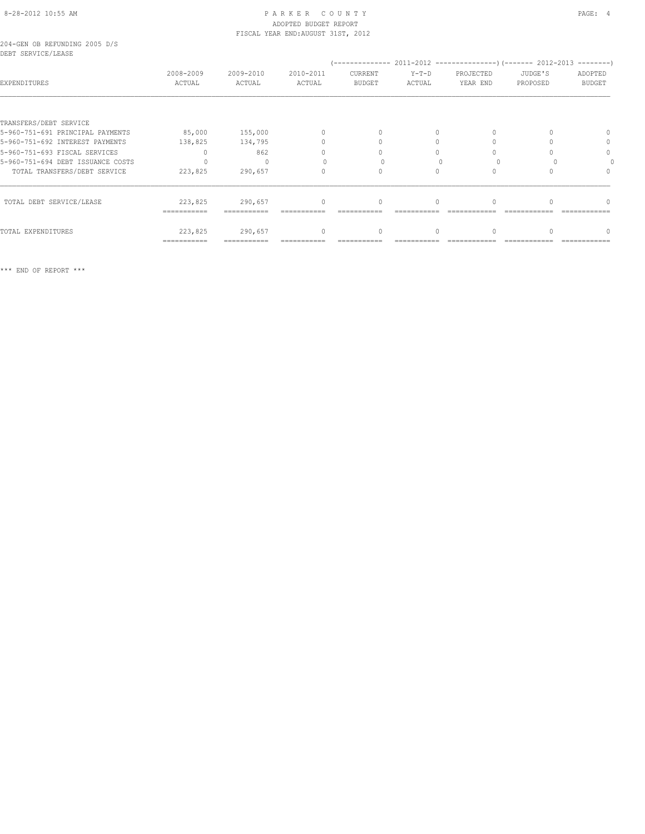#### 204-GEN OB REFUNDING 2005 D/S DEBT SERVICE/LEASE

| boot obnvicos ababa               |                     |                     |                                  |                          |                   |                       |                     |                          |
|-----------------------------------|---------------------|---------------------|----------------------------------|--------------------------|-------------------|-----------------------|---------------------|--------------------------|
| EXPENDITURES                      | 2008-2009<br>ACTUAL | 2009-2010<br>ACTUAL | 2010-2011<br>ACTUAL              | CURRENT<br><b>BUDGET</b> | $Y-T-D$<br>ACTUAL | PROJECTED<br>YEAR END | JUDGE'S<br>PROPOSED | ADOPTED<br><b>BUDGET</b> |
|                                   |                     |                     |                                  |                          |                   |                       |                     |                          |
| TRANSFERS/DEBT SERVICE            |                     |                     |                                  |                          |                   |                       |                     |                          |
| 5-960-751-691 PRINCIPAL PAYMENTS  | 85,000              | 155,000             | $\mathbf{0}$                     |                          | $\Omega$          |                       |                     |                          |
| 5-960-751-692 INTEREST PAYMENTS   | 138,825             | 134,795             | $\begin{array}{c} \n\end{array}$ |                          | $\Omega$          |                       |                     | 0                        |
| 5-960-751-693 FISCAL SERVICES     |                     | 862                 | $\cap$                           |                          |                   |                       |                     |                          |
| 5-960-751-694 DEBT ISSUANCE COSTS |                     |                     |                                  |                          |                   |                       |                     |                          |
| TOTAL TRANSFERS/DEBT SERVICE      | 223,825             | 290,657             | 0                                |                          |                   |                       |                     |                          |
| TOTAL DEBT SERVICE/LEASE          | 223,825             | 290,657             | $\begin{array}{c} \n\end{array}$ | $\mathbf{0}$             | $\Omega$          |                       |                     |                          |
|                                   | ------------        |                     |                                  |                          |                   |                       |                     |                          |
| TOTAL EXPENDITURES                | 223,825             | 290,657             | $\Omega$                         | 0                        | $\Omega$          |                       |                     |                          |
|                                   | -----------         | ===========         |                                  |                          |                   |                       |                     |                          |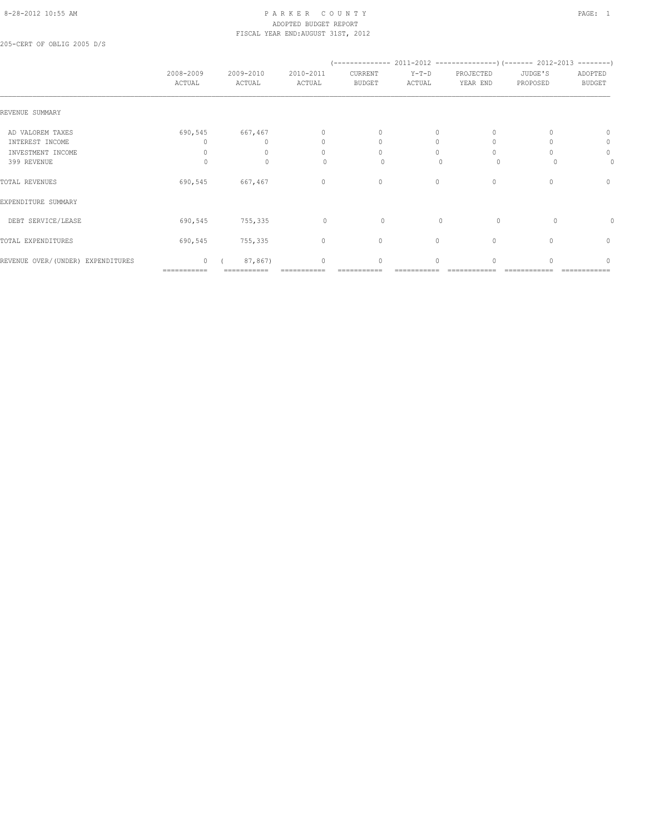#### 8-28-2012 10:55 AM PAGE: 1 PARKER COUNTY PAGE: 1 ADOPTED BUDGET REPORT FISCAL YEAR END:AUGUST 31ST, 2012

205-CERT OF OBLIG 2005 D/S

|                                   | 2008-2009<br>ACTUAL | 2009-2010<br>ACTUAL | 2010-2011<br>ACTUAL | CURRENT<br><b>BUDGET</b> | $Y-T-D$<br>ACTUAL | PROJECTED<br>YEAR END | JUDGE'S<br>PROPOSED | ADOPTED<br><b>BUDGET</b> |
|-----------------------------------|---------------------|---------------------|---------------------|--------------------------|-------------------|-----------------------|---------------------|--------------------------|
| REVENUE SUMMARY                   |                     |                     |                     |                          |                   |                       |                     |                          |
| AD VALOREM TAXES                  | 690,545             | 667,467             | $\mathbf{0}$        | $\mathbf{0}$             | 0                 |                       |                     | $\Omega$                 |
| INTEREST INCOME                   |                     |                     | 0                   | 0                        | $\Omega$          |                       |                     | 0                        |
| INVESTMENT INCOME                 |                     |                     | $\cap$              | $\bigcap$                | $\bigcap$         |                       |                     | $\mathbf 0$              |
| 399 REVENUE                       | $\Omega$            | 0                   |                     | 0                        |                   | $\circ$               |                     | 0                        |
| TOTAL REVENUES                    | 690,545             | 667,467             | $\mathbf{0}$        | $\mathbf{0}$             | $\circ$           | $\mathbf{0}$          |                     | $\mathbf{0}$             |
| EXPENDITURE SUMMARY               |                     |                     |                     |                          |                   |                       |                     |                          |
| DEBT SERVICE/LEASE                | 690,545             | 755,335             | $\circ$             | 0                        | $\mathbf{0}$      | $\circ$               | $\Omega$            |                          |
| TOTAL EXPENDITURES                | 690,545             | 755,335             | $\circ$             | $\circ$                  | 0                 | $\mathbf{0}$          | 0                   | $\mathbf{0}$             |
| REVENUE OVER/(UNDER) EXPENDITURES | $\circ$             | 87,867)             | $\mathbf{0}$        | 0                        | $\Omega$          | $\cap$                |                     | n                        |
|                                   | ===========         |                     |                     |                          |                   |                       |                     |                          |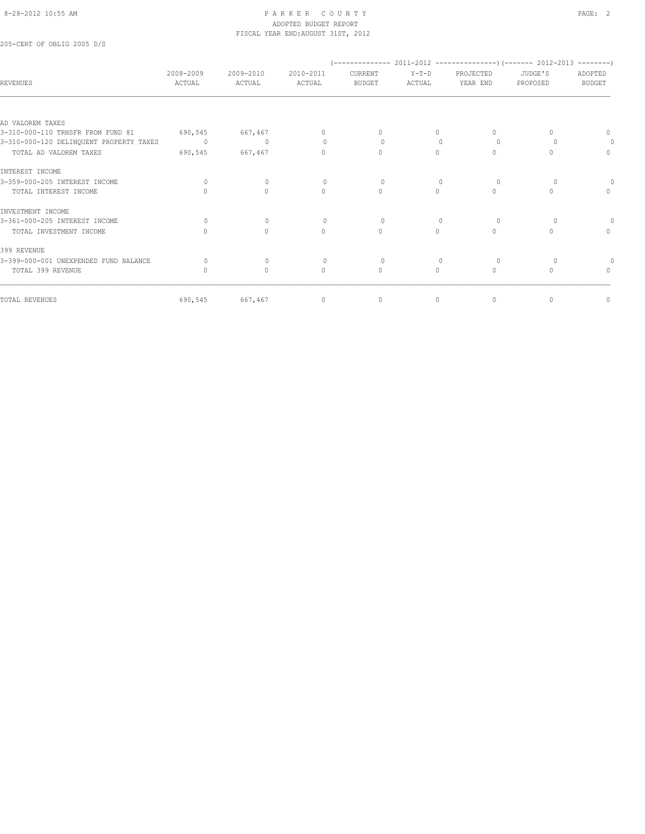205-CERT OF OBLIG 2005 D/S

| 2008-2009<br>ACTUAL | 2009-2010<br>ACTUAL | 2010-2011<br>ACTUAL              | CURRENT<br>BUDGET                | $Y-T-D$<br>ACTUAL | PROJECTED<br>YEAR END            | JUDGE'S<br>PROPOSED | ADOPTED<br><b>BUDGET</b>         |
|---------------------|---------------------|----------------------------------|----------------------------------|-------------------|----------------------------------|---------------------|----------------------------------|
|                     |                     |                                  |                                  |                   |                                  |                     |                                  |
|                     |                     |                                  |                                  |                   |                                  |                     |                                  |
| 690,545             | 667,467             | $\mathbf{0}$                     | $\begin{array}{c} \n\end{array}$ | $\Omega$          | $\Omega$                         |                     | $\begin{array}{c} \n\end{array}$ |
| $\sim$ 0            | $\Omega$            | $\Omega$                         | $\Omega$                         |                   | $\Omega$                         |                     |                                  |
| 690,545             | 667,467             | $\begin{array}{c} \n\end{array}$ | $\Omega$                         | $\Omega$          | $\Omega$                         |                     | $\circ$                          |
|                     |                     |                                  |                                  |                   |                                  |                     |                                  |
| $\Omega$            | $\Omega$            | $\bigcap$                        | $\Omega$                         |                   | $\Omega$                         |                     |                                  |
|                     | $\Omega$            | $\begin{array}{c} \n\end{array}$ | $\Omega$                         | $\Omega$          | $\begin{array}{c} \n\end{array}$ | ∩                   | $\begin{array}{c} \n\end{array}$ |
|                     |                     |                                  |                                  |                   |                                  |                     |                                  |
| $\bigcap$           | $\Omega$            | $\bigcap$                        | $\Omega$                         |                   | $\Omega$                         |                     |                                  |
|                     | $\Omega$            | $\Omega$                         | $\Omega$                         | $\Omega$          | $\bigcap$                        | ∩                   | $\Omega$                         |
|                     |                     |                                  |                                  |                   |                                  |                     |                                  |
| $\Omega$            | $\mathbf{0}$        | $\Omega$                         | $\circ$                          |                   | $\circ$                          |                     |                                  |
|                     | $\circ$             | $\mathbf{0}$                     | $\mathbf{0}$                     | $\circ$           | $\circ$                          | $\cap$              | $\mathbf{0}$                     |
|                     |                     |                                  |                                  |                   |                                  |                     | 0                                |
|                     |                     |                                  | $\mathbf{0}$                     | $\mathbf{0}$      | 690,545<br>667,467<br>$\circ$    | $\circ$             | $\mathbf{0}$                     |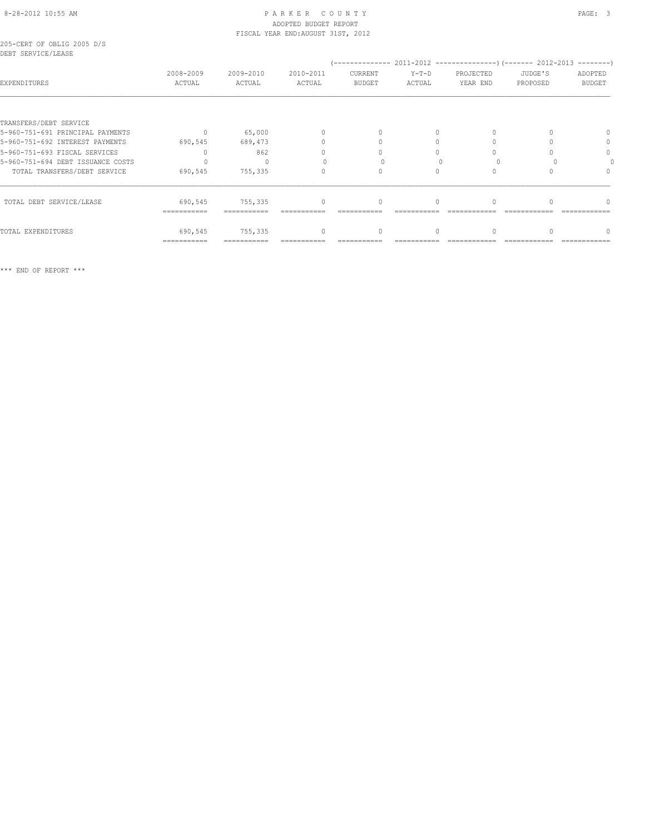# 8-28-2012 10:55 AM P A R K E R C O U N T Y PAGE: 3 ADOPTED BUDGET REPORT FISCAL YEAR END:AUGUST 31ST, 2012

205-CERT OF OBLIG 2005 D/S DEBT SERVICE/LEASE

| PEDI JERVICE/BERGE<br>EXPENDITURES | 2008-2009<br>ACTUAL | 2009-2010<br>ACTUAL | 2010-2011<br>ACTUAL | CURRENT<br><b>BUDGET</b> | $Y-T-D$<br>ACTUAL | PROJECTED<br>YEAR END | JUDGE'S<br>PROPOSED | $------$<br>ADOPTED<br><b>BUDGET</b> |
|------------------------------------|---------------------|---------------------|---------------------|--------------------------|-------------------|-----------------------|---------------------|--------------------------------------|
| TRANSFERS/DEBT SERVICE             |                     |                     |                     |                          |                   |                       |                     |                                      |
| 5-960-751-691 PRINCIPAL PAYMENTS   | $\bigcap$           | 65,000              | $\Omega$            | $\cap$                   |                   |                       |                     |                                      |
| 5-960-751-692 INTEREST PAYMENTS    | 690,545             | 689,473             |                     |                          |                   |                       |                     | n                                    |
| 5-960-751-693 FISCAL SERVICES      |                     | 862                 |                     |                          |                   |                       |                     |                                      |
| 5-960-751-694 DEBT ISSUANCE COSTS  |                     |                     |                     |                          |                   |                       |                     |                                      |
| TOTAL TRANSFERS/DEBT SERVICE       | 690,545             | 755,335             |                     |                          |                   |                       |                     |                                      |
| TOTAL DEBT SERVICE/LEASE           | 690,545             | 755,335             |                     | $\Omega$                 |                   |                       |                     |                                      |
|                                    | ------------        |                     |                     |                          |                   |                       |                     |                                      |
| TOTAL EXPENDITURES                 | 690,545             | 755,335             |                     | $\Omega$                 |                   | $\Omega$              |                     |                                      |
|                                    | ===========         | ------------        |                     |                          |                   |                       |                     |                                      |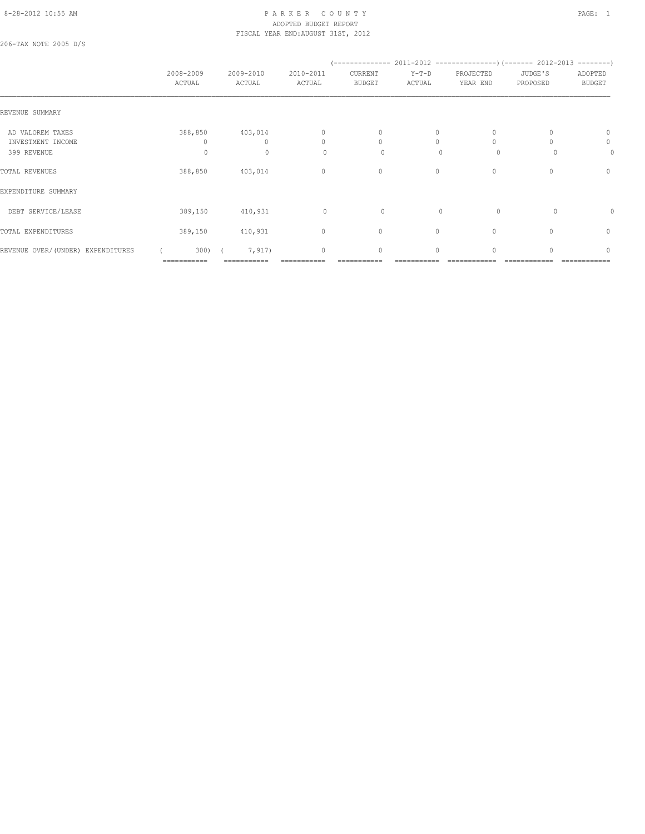#### 8-28-2012 10:55 AM P A R K E R C O U N T Y PAGE: 1 ADOPTED BUDGET REPORT FISCAL YEAR END:AUGUST 31ST, 2012

206-TAX NOTE 2005 D/S

|                                                      | 2008-2009<br>ACTUAL | 2009-2010<br>ACTUAL                 | 2010-2011<br>ACTUAL       | CURRENT<br><b>BUDGET</b>           | $Y-T-D$<br>ACTUAL         | PROJECTED<br>YEAR END    | JUDGE'S<br>PROPOSED | ADOPTED<br><b>BUDGET</b>            |
|------------------------------------------------------|---------------------|-------------------------------------|---------------------------|------------------------------------|---------------------------|--------------------------|---------------------|-------------------------------------|
| REVENUE SUMMARY                                      |                     |                                     |                           |                                    |                           |                          |                     |                                     |
| AD VALOREM TAXES<br>INVESTMENT INCOME<br>399 REVENUE | 388,850<br>$\circ$  | 403,014<br>$\Omega$<br>$\mathbf{0}$ | 0<br>$\Omega$<br>$\Omega$ | $\mathbf{0}$<br>$\circ$<br>$\circ$ | 0<br>$\Omega$<br>$\Omega$ | 0<br>$\Omega$<br>$\circ$ | $\Omega$            | $\mathbf{0}$<br>$\circ$<br>$\Omega$ |
| TOTAL REVENUES                                       | 388,850             | 403,014                             | $\mathbf{0}$              | $\circ$                            | $\circ$                   | $\mathbf{0}$             | 0                   | $\mathbf{0}$                        |
| EXPENDITURE SUMMARY                                  |                     |                                     |                           |                                    |                           |                          |                     |                                     |
| DEBT SERVICE/LEASE                                   | 389,150             | 410,931                             | $\circ$                   | 0                                  | $\mathbf{0}$              | $\circ$                  | $\Omega$            | 0                                   |
| TOTAL EXPENDITURES                                   | 389,150             | 410,931                             | $\mathbf{0}$              | $\circ$                            | $\circ$                   | $\mathbf{0}$             | $\Omega$            | $\mathbf{0}$                        |
| REVENUE OVER/(UNDER) EXPENDITURES                    | 300)<br>=========== | 7,917)<br>:=======                  | $\mathbf{0}$              | $\circ$                            | $\circ$                   | $\mathbf{0}$             |                     | $\begin{array}{c} \n\end{array}$    |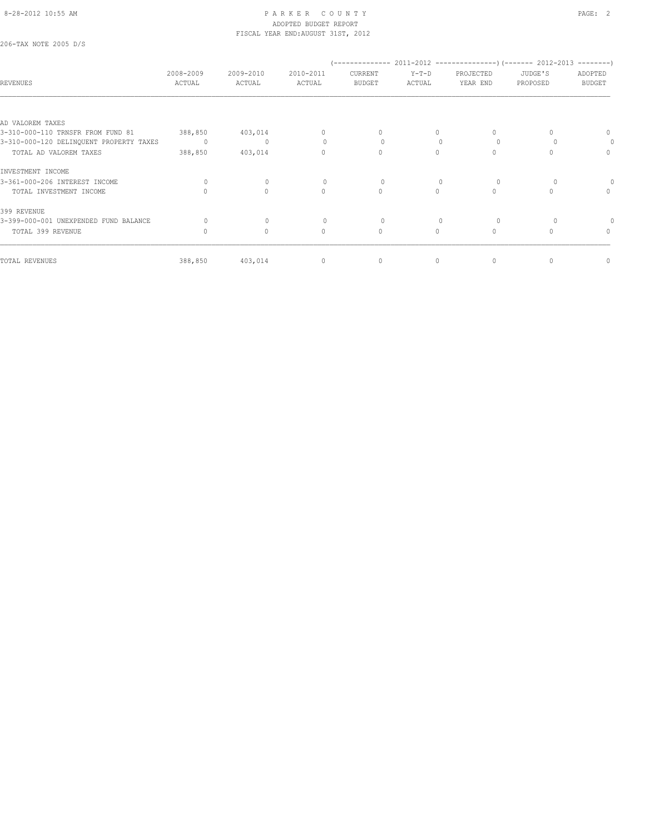206-TAX NOTE 2005 D/S

| <b>REVENUES</b>                         | 2008-2009<br>ACTUAL | 2009-2010<br>ACTUAL | 2010-2011<br>ACTUAL              | CURRENT<br><b>BUDGET</b> | $Y-T-D$<br>ACTUAL | PROJECTED<br>YEAR END | JUDGE'S<br>PROPOSED | ADOPTED<br><b>BUDGET</b>         |
|-----------------------------------------|---------------------|---------------------|----------------------------------|--------------------------|-------------------|-----------------------|---------------------|----------------------------------|
|                                         |                     |                     |                                  |                          |                   |                       |                     |                                  |
| AD VALOREM TAXES                        |                     |                     |                                  |                          |                   |                       |                     |                                  |
| 3-310-000-110 TRNSFR FROM FUND 81       | 388,850             | 403,014             | 0                                | $\Omega$                 | $\Omega$          | $\Omega$              |                     | $\Omega$                         |
| 3-310-000-120 DELINQUENT PROPERTY TAXES | $\Omega$            | $\mathbf{0}$        |                                  | $\Omega$                 |                   | $\Omega$              |                     |                                  |
| TOTAL AD VALOREM TAXES                  | 388,850             | 403,014             | 0                                | $\circ$                  | $\Omega$          | $\Omega$              |                     | $\begin{array}{c} \n\end{array}$ |
| INVESTMENT INCOME                       |                     |                     |                                  |                          |                   |                       |                     |                                  |
| 3-361-000-206 INTEREST INCOME           | $\Omega$            | $\Omega$            |                                  | $\Omega$                 |                   | $\Omega$              |                     |                                  |
| TOTAL INVESTMENT INCOME                 |                     | $\Omega$            | $\begin{array}{c} \n\end{array}$ | $\circ$                  | $\Omega$          | $\Omega$              |                     | $\begin{array}{c} \n\end{array}$ |
| 399 REVENUE                             |                     |                     |                                  |                          |                   |                       |                     |                                  |
| 3-399-000-001 UNEXPENDED FUND BALANCE   |                     | $\mathbf{0}$        |                                  | $\circ$                  |                   | $\Omega$              |                     |                                  |
| TOTAL 399 REVENUE                       | $\Omega$            | $\circ$             | $\Omega$                         | $\circ$                  | $\Omega$          | $\Omega$              |                     | $\Omega$                         |
| TOTAL REVENUES                          | 388,850             | 403,014             | $\mathbf{0}$                     | 0                        | $\circ$           | 0                     |                     | 0                                |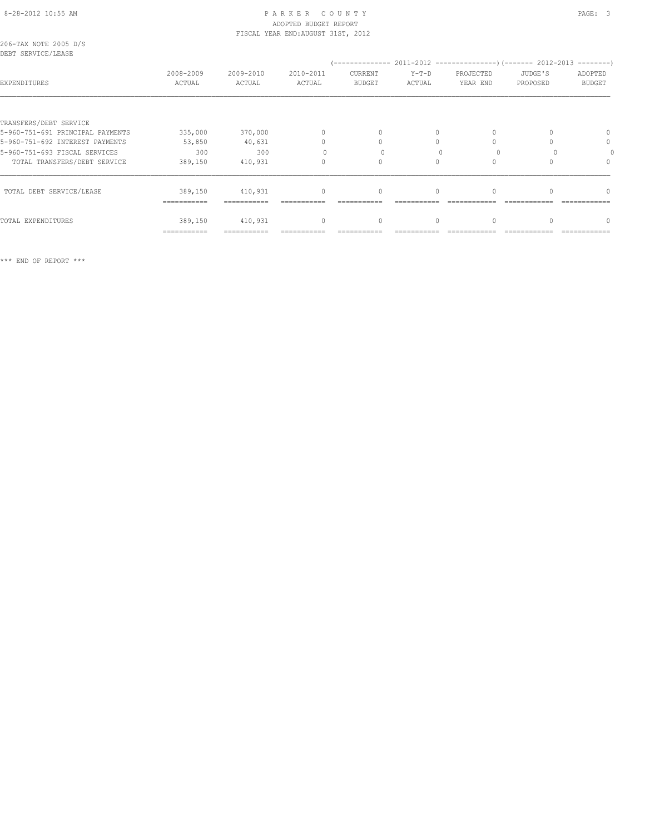# ADOPTED BUDGET REPORT

|                                             |                     |                     | FISCAL YEAR END: AUGUST 31ST, 2012 |                                  |                   |                       |                     |                          |
|---------------------------------------------|---------------------|---------------------|------------------------------------|----------------------------------|-------------------|-----------------------|---------------------|--------------------------|
| 206-TAX NOTE 2005 D/S<br>DEBT SERVICE/LEASE |                     |                     |                                    |                                  |                   |                       |                     |                          |
|                                             |                     |                     |                                    |                                  |                   |                       |                     |                          |
| EXPENDITURES                                | 2008-2009<br>ACTUAL | 2009-2010<br>ACTUAL | 2010-2011<br>ACTUAL                | CURRENT<br><b>BUDGET</b>         | $Y-T-D$<br>ACTUAL | PROJECTED<br>YEAR END | JUDGE'S<br>PROPOSED | ADOPTED<br><b>BUDGET</b> |
|                                             |                     |                     |                                    |                                  |                   |                       |                     |                          |
| TRANSFERS/DEBT SERVICE                      |                     |                     |                                    |                                  |                   |                       |                     |                          |
| 5-960-751-691 PRINCIPAL PAYMENTS            | 335,000             | 370,000             | $\Omega$                           | $\begin{array}{c} \n\end{array}$ | $\Omega$          |                       |                     | $\Omega$                 |
| 5-960-751-692 INTEREST PAYMENTS             | 53,850              | 40,631              | 0                                  |                                  |                   |                       |                     | 0                        |
| 5-960-751-693 FISCAL SERVICES               | 300                 | 300                 |                                    |                                  |                   |                       |                     |                          |
| TOTAL TRANSFERS/DEBT SERVICE                | 389,150             | 410,931             | 0                                  | $\Omega$                         | $\bigcap$         |                       |                     | $\cap$                   |
| TOTAL DEBT SERVICE/LEASE                    | 389,150             | 410,931             | $\mathbf{0}$                       | $\mathbf{0}$                     | $\circ$           |                       |                     | n                        |
|                                             | ===========         |                     |                                    |                                  |                   |                       |                     |                          |
| TOTAL EXPENDITURES                          | 389,150             | 410,931             | 0                                  | 0                                | 0                 |                       |                     | 0                        |

=========== =========== =========== =========== =========== ============ ============ ============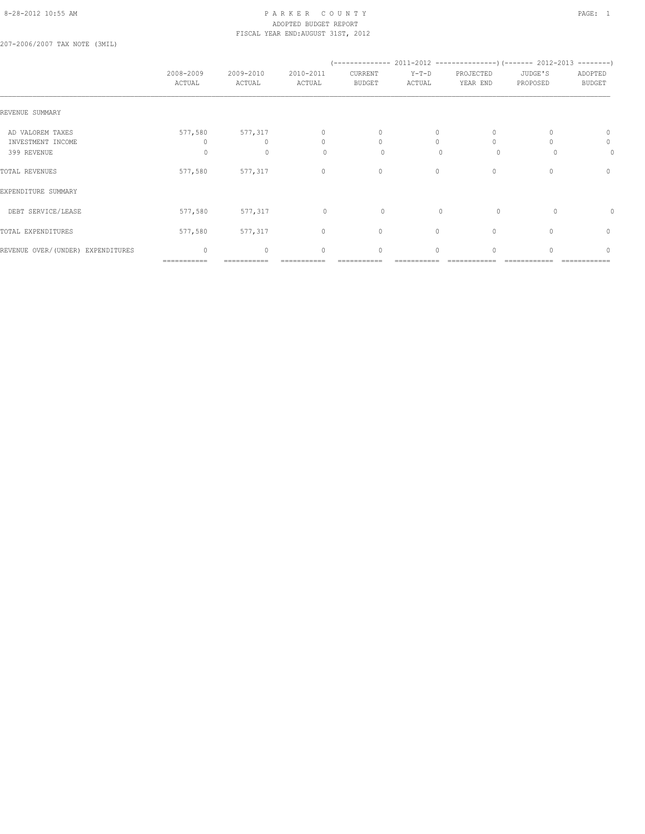#### 8-28-2012 10:55 AM PAGE: 1 PARKER COUNTY PAGE: 1 ADOPTED BUDGET REPORT FISCAL YEAR END:AUGUST 31ST, 2012

207-2006/2007 TAX NOTE (3MIL)

|                                                      | 2008-2009<br>ACTUAL         | 2009-2010<br>ACTUAL          | 2010-2011<br>ACTUAL | CURRENT<br><b>BUDGET</b>      | $Y-T-D$<br>ACTUAL | PROJECTED<br>YEAR END    | JUDGE'S<br>PROPOSED | ADOPTED<br><b>BUDGET</b> |
|------------------------------------------------------|-----------------------------|------------------------------|---------------------|-------------------------------|-------------------|--------------------------|---------------------|--------------------------|
| REVENUE SUMMARY                                      |                             |                              |                     |                               |                   |                          |                     |                          |
| AD VALOREM TAXES<br>INVESTMENT INCOME<br>399 REVENUE | 577,580<br>$\Omega$         | 577,317<br>0<br>$\mathbf{0}$ | 0<br>$\Omega$<br>0  | $\mathbf{0}$<br>$\Omega$<br>0 | 0<br>$\mathbf{0}$ | 0<br>$\Omega$<br>$\circ$ |                     | 0<br>0<br>0              |
| TOTAL REVENUES                                       | 577,580                     | 577,317                      | $\circ$             | $\mathbf 0$                   | 0                 | $\mathbf{0}$             | 0                   | $\mathbf{0}$             |
| EXPENDITURE SUMMARY                                  |                             |                              |                     |                               |                   |                          |                     |                          |
| DEBT SERVICE/LEASE                                   | 577,580                     | 577,317                      | $\circ$             | $\circ$                       | $\mathbf{0}$      | $\circ$                  | 0                   | 0                        |
| TOTAL EXPENDITURES                                   | 577,580                     | 577,317                      | $\circ$             | $\mathbf{0}$                  | $\Omega$          | $\mathbf{0}$             |                     | $\mathbf{0}$             |
| REVENUE OVER/(UNDER) EXPENDITURES                    | $\mathbf{0}$<br>=========== | 0                            | $\mathbf{0}$        | $\mathbf{0}$                  | $\Omega$          | $\Omega$                 |                     | $\Omega$                 |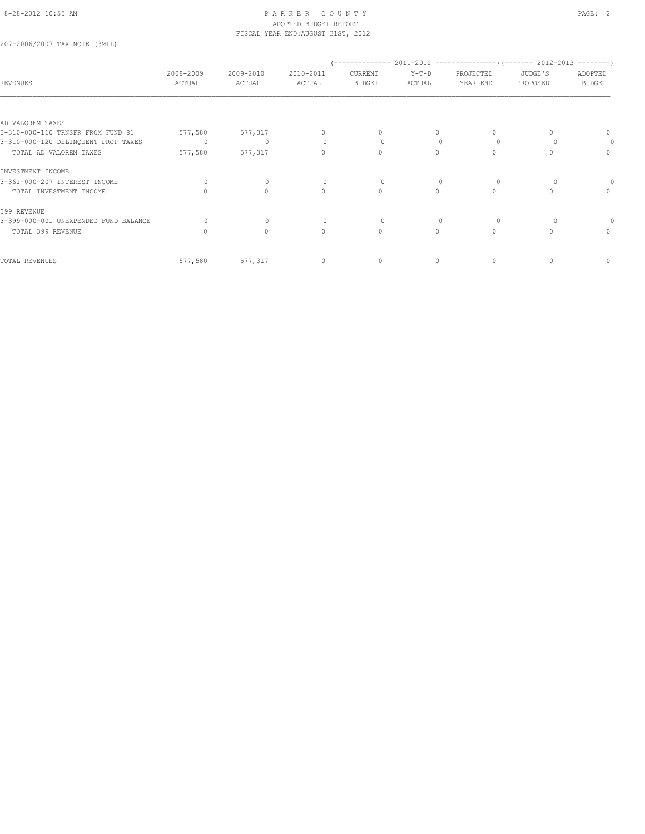207-2006/2007 TAX NOTE (3MIL)

| <b>REVENUES</b>                       | 2008-2009<br>ACTUAL | 2009-2010<br>ACTUAL              | 2010-2011<br>ACTUAL | CURRENT<br><b>BUDGET</b> | $Y-T-D$<br>ACTUAL | PROJECTED<br>YEAR END | JUDGE'S<br>PROPOSED | ADOPTED<br><b>BUDGET</b> |
|---------------------------------------|---------------------|----------------------------------|---------------------|--------------------------|-------------------|-----------------------|---------------------|--------------------------|
| AD VALOREM TAXES                      |                     |                                  |                     |                          |                   |                       |                     |                          |
| 3-310-000-110 TRNSFR FROM FUND 81     | 577,580             | 577,317                          | $\Omega$            | 0                        | 0                 | 0                     |                     | $\Omega$                 |
| 3-310-000-120 DELINQUENT PROP TAXES   | 0                   | $\mathbf{0}$                     | $\bigcap$           |                          | $\cap$            | $\Omega$              |                     |                          |
| TOTAL AD VALOREM TAXES                | 577,580             | 577,317                          | 0                   | $\mathbf{0}$             | $\Omega$          | $\circ$               |                     | $\mathbf{0}$             |
| INVESTMENT INCOME                     |                     |                                  |                     |                          |                   |                       |                     |                          |
| 3-361-000-207 INTEREST INCOME         | 0                   | $\bigcap$                        |                     |                          |                   | $\Omega$              |                     |                          |
| TOTAL INVESTMENT INCOME               |                     | $\Omega$                         | $\Omega$            | $\Omega$                 | $\Omega$          | $\circ$               | $\cap$              | $\Omega$                 |
| 399 REVENUE                           |                     |                                  |                     |                          |                   |                       |                     |                          |
| 3-399-000-001 UNEXPENDED FUND BALANCE |                     | $\begin{array}{c} \n\end{array}$ | $\Omega$            |                          |                   | $\Omega$              |                     |                          |
| TOTAL 399 REVENUE                     | 0                   | $\circ$                          | $\circ$             | $\mathbf{0}$             | $\circ$           | $\circ$               | $\Omega$            | 0                        |
| TOTAL REVENUES                        | 577,580             | 577,317                          | $\mathbf{0}$        | $\mathbf 0$              | $\circ$           | 0                     |                     | 0                        |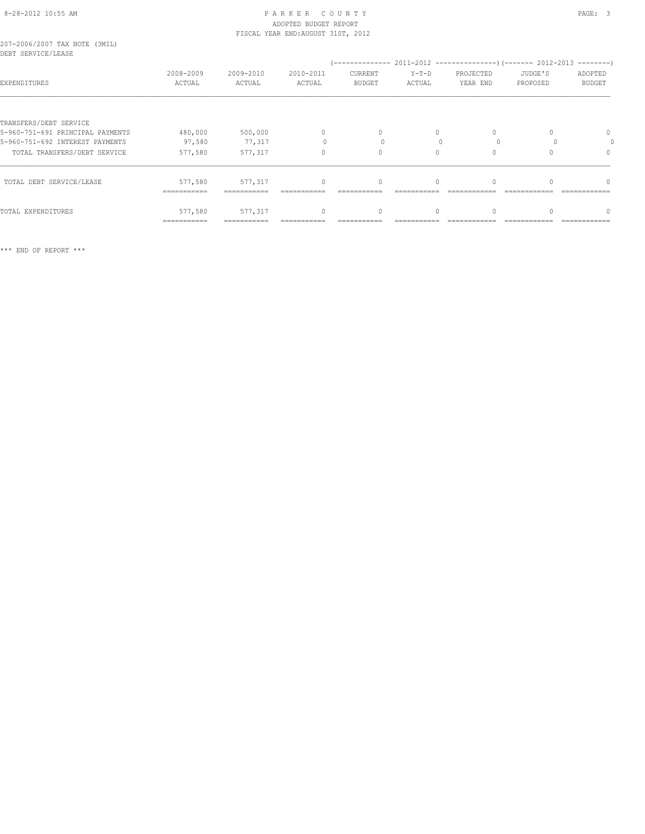| 207-2006/2007 TAX NOTE (3MIL) |  |  |
|-------------------------------|--|--|
| DEBT SERVICE/LEASE            |  |  |

| DEDI OEKVILE/ HEAOE              |                     |                     |                     |                          |                   |                       |                     |                          |
|----------------------------------|---------------------|---------------------|---------------------|--------------------------|-------------------|-----------------------|---------------------|--------------------------|
| EXPENDITURES                     | 2008-2009<br>ACTUAL | 2009-2010<br>ACTUAL | 2010-2011<br>ACTUAL | CURRENT<br><b>BUDGET</b> | $Y-T-D$<br>ACTUAL | PROJECTED<br>YEAR END | JUDGE'S<br>PROPOSED | ADOPTED<br><b>BUDGET</b> |
|                                  |                     |                     |                     |                          |                   |                       |                     |                          |
| TRANSFERS/DEBT SERVICE           |                     |                     |                     |                          |                   |                       |                     |                          |
| 5-960-751-691 PRINCIPAL PAYMENTS | 480,000             | 500,000             | $\Omega$            | 0                        | $\Omega$          | $\circ$               |                     | 0                        |
| 5-960-751-692 INTEREST PAYMENTS  | 97,580              | 77,317              |                     |                          |                   | $\Omega$              |                     |                          |
| TOTAL TRANSFERS/DEBT SERVICE     | 577,580             | 577,317             | 0                   | 0                        |                   | $\mathbf{0}$          |                     | 0                        |
| TOTAL DEBT SERVICE/LEASE         | 577,580             | 577,317             | $\cap$              | $\Omega$                 | $\cap$            | $\Omega$              | $\Omega$            | $\Omega$                 |
|                                  | ===========         |                     |                     |                          |                   |                       |                     |                          |
| TOTAL EXPENDITURES               | 577,580             | 577,317             | $\cap$              | 0                        |                   | $\mathbf{0}$          |                     | $\Omega$                 |
|                                  | ===========         |                     |                     |                          |                   |                       |                     |                          |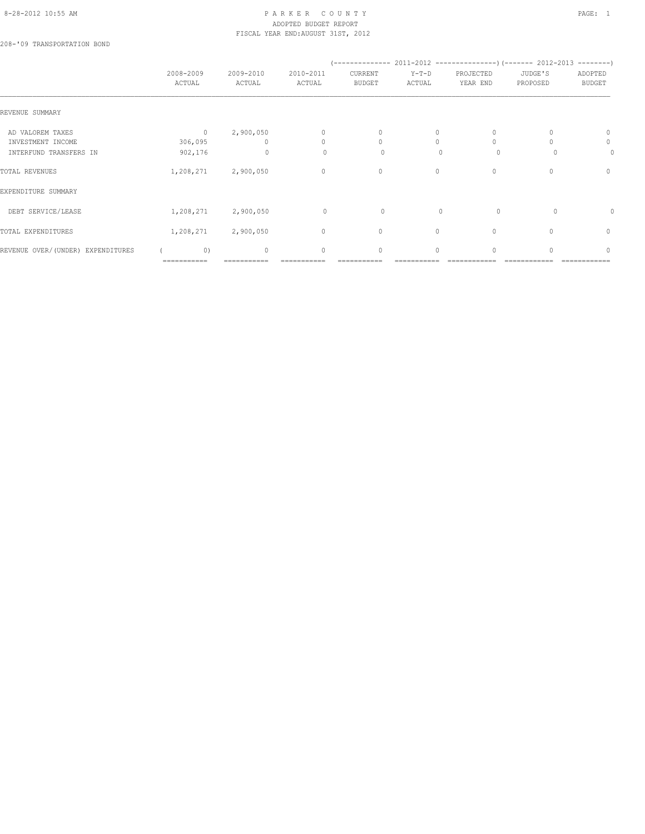# 8-28-2012 10:55 AM P A R K E R C O U N T Y PAGE: 1 ADOPTED BUDGET REPORT FISCAL YEAR END:AUGUST 31ST, 2012

208-'09 TRANSPORTATION BOND

|                                       | 2008-2009<br>ACTUAL       | 2009-2010<br>ACTUAL   | 2010-2011<br>ACTUAL | CURRENT<br><b>BUDGET</b> | $Y-T-D$<br>ACTUAL | PROJECTED<br>YEAR END | JUDGE'S<br>PROPOSED | ADOPTED<br><b>BUDGET</b>         |
|---------------------------------------|---------------------------|-----------------------|---------------------|--------------------------|-------------------|-----------------------|---------------------|----------------------------------|
| REVENUE SUMMARY                       |                           |                       |                     |                          |                   |                       |                     |                                  |
| AD VALOREM TAXES<br>INVESTMENT INCOME | $\overline{0}$<br>306,095 | 2,900,050<br>$\Omega$ | $\circ$<br>$\Omega$ | $\mathbf{0}$<br>$\circ$  | 0<br>$\Omega$     | 0<br>$\Omega$         |                     | $\mathbf{0}$<br>$\circ$          |
| INTERFUND TRANSFERS IN                | 902,176                   | $\circ$               | $\Omega$            | $\circ$                  | $\Omega$          | $\Omega$              |                     | $\Omega$                         |
| TOTAL REVENUES                        | 1,208,271                 | 2,900,050             | $\mathbf{0}$        | $\circ$                  | $\circ$           | $\mathbf{0}$          | 0                   | $\circ$                          |
| EXPENDITURE SUMMARY                   |                           |                       |                     |                          |                   |                       |                     |                                  |
| DEBT SERVICE/LEASE                    | 1,208,271                 | 2,900,050             | $\circ$             | 0                        | $\mathbf{0}$      | $\circ$               | $\Omega$            | 0                                |
| TOTAL EXPENDITURES                    | 1,208,271                 | 2,900,050             | $\mathbf{0}$        | $\circ$                  | $\Omega$          | $\Omega$              | $\Omega$            | $\begin{array}{c} \n\end{array}$ |
| REVENUE OVER/(UNDER) EXPENDITURES     | 0)<br>===========         | $\Omega$              | $\mathbf{0}$        | $\circ$                  | $\circ$           | $\mathbf{0}$          |                     | $\begin{array}{c} \n\end{array}$ |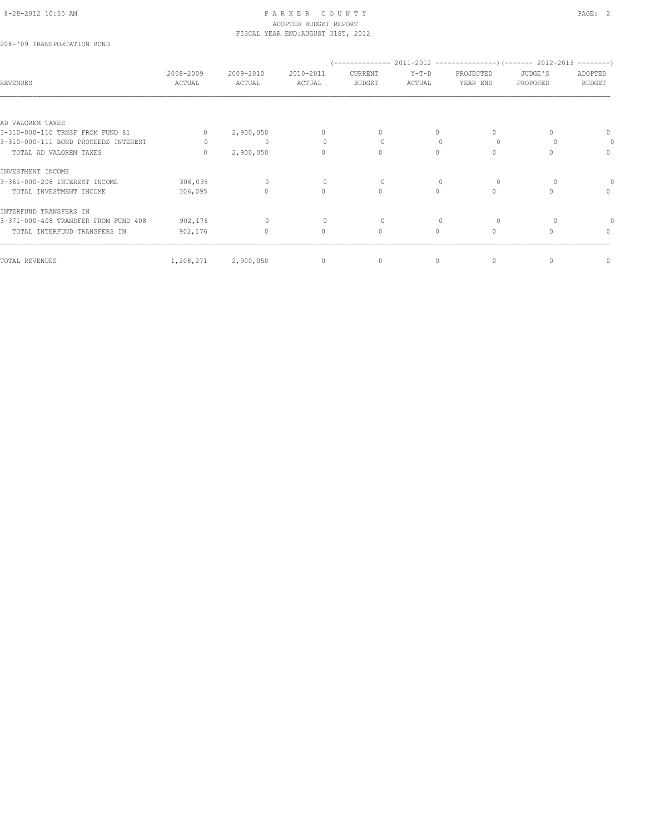208-'09 TRANSPORTATION BOND

| <b>REVENUES</b>                      | 2008-2009<br>ACTUAL | 2009-2010<br>ACTUAL | 2010-2011<br>ACTUAL | CURRENT<br><b>BUDGET</b> | $Y-T-D$<br>ACTUAL | PROJECTED<br>YEAR END | JUDGE'S<br>PROPOSED | ADOPTED<br><b>BUDGET</b> |
|--------------------------------------|---------------------|---------------------|---------------------|--------------------------|-------------------|-----------------------|---------------------|--------------------------|
|                                      |                     |                     |                     |                          |                   |                       |                     |                          |
| AD VALOREM TAXES                     |                     |                     |                     |                          |                   |                       |                     |                          |
| 3-310-000-110 TRNSF FROM FUND 81     | $\Omega$            | 2,900,050           | 0                   | 0                        | $\Omega$          | $\Omega$              |                     | 0                        |
| 3-310-000-111 BOND PROCEEDS INTEREST |                     | 0                   | 0                   | $\Omega$                 |                   | $\Omega$              |                     | 0                        |
| TOTAL AD VALOREM TAXES               | $\cap$              | 2,900,050           | $\Omega$            | $\Omega$                 | $\bigcap$         | $\Omega$              |                     | $\mathbf{0}$             |
| INVESTMENT INCOME                    |                     |                     |                     |                          |                   |                       |                     |                          |
| 3-361-000-208 INTEREST INCOME        | 306,095             | $\Omega$            |                     | 0                        |                   | $\Omega$              |                     |                          |
| TOTAL INVESTMENT INCOME              | 306,095             | 0                   | $\mathbf{0}$        | $\circ$                  | $\cap$            | $\Omega$              |                     | $\mathbf{0}$             |
| INTERFUND TRANSFERS IN               |                     |                     |                     |                          |                   |                       |                     |                          |
| 3-371-000-408 TRANSFER FROM FUND 408 | 902,176             | $\mathbf{0}$        | 0                   | 0                        |                   | $\Omega$              |                     |                          |
| TOTAL INTERFUND TRANSFERS IN         | 902,176             | $\circ$             | $\Omega$            | $\circ$                  | $\Omega$          | $\Omega$              |                     | $\mathbf{0}$             |
| TOTAL REVENUES                       | 1,208,271           | 2,900,050           | $\mathbf{0}$        | 0                        | 0                 | $\mathbf{0}$          |                     | 0                        |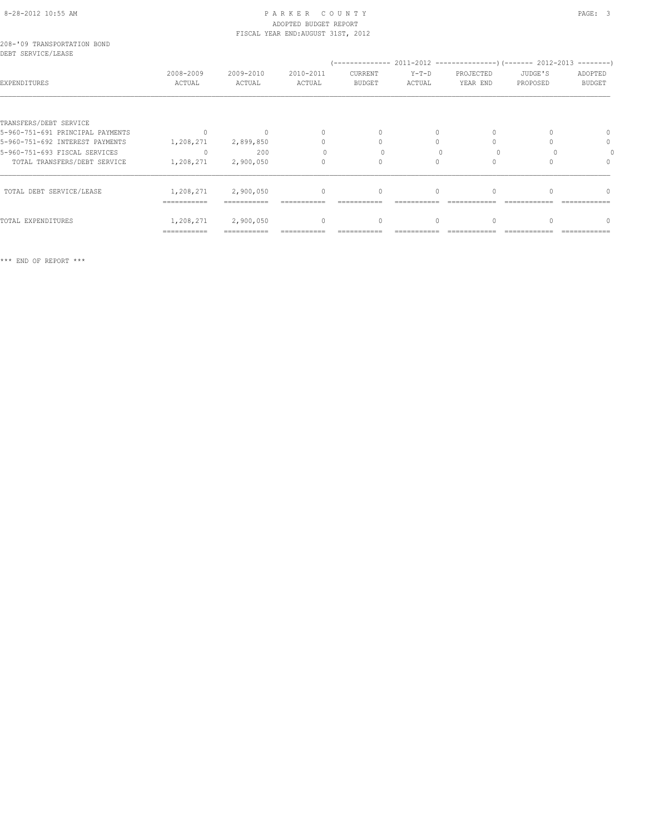# 8-28-2012 10:55 AM P A R K E R C O U N T Y PAGE: 3 ADOPTED BUDGET REPORT FISCAL YEAR END:AUGUST 31ST, 2012

|  | 208-'09 TRANSPORTATION BOND |  |
|--|-----------------------------|--|
|  | DEBT SERVICE/LEASE          |  |

| bhbi Ghnvich/mhnoi               | 2008-2009   | 2009-2010 | 2010-2011 | CURRENT       | $Y-T-D$ | PROJECTED | JUDGE'S  | ADOPTED       |
|----------------------------------|-------------|-----------|-----------|---------------|---------|-----------|----------|---------------|
| EXPENDITURES                     | ACTUAL      | ACTUAL    | ACTUAL    | <b>BUDGET</b> | ACTUAL  | YEAR END  | PROPOSED | <b>BUDGET</b> |
| TRANSFERS/DEBT SERVICE           |             |           |           |               |         |           |          |               |
| 5-960-751-691 PRINCIPAL PAYMENTS |             |           |           | $\bigcap$     |         | $\Omega$  |          | $\Omega$      |
| 5-960-751-692 INTEREST PAYMENTS  | 1,208,271   | 2,899,850 |           |               |         |           |          | 0             |
| 5-960-751-693 FISCAL SERVICES    |             | 200       |           |               |         |           |          |               |
| TOTAL TRANSFERS/DEBT SERVICE     | 1,208,271   | 2,900,050 |           |               |         |           |          | $\Omega$      |
| TOTAL DEBT SERVICE/LEASE         | 1,208,271   | 2,900,050 | $\cap$    | $\Omega$      |         |           |          | $\cap$        |
|                                  | =========== |           |           |               |         |           |          |               |
| TOTAL EXPENDITURES               | 1,208,271   | 2,900,050 | $\Omega$  | 0             |         | 0         |          |               |
|                                  | =========== |           |           |               |         |           |          |               |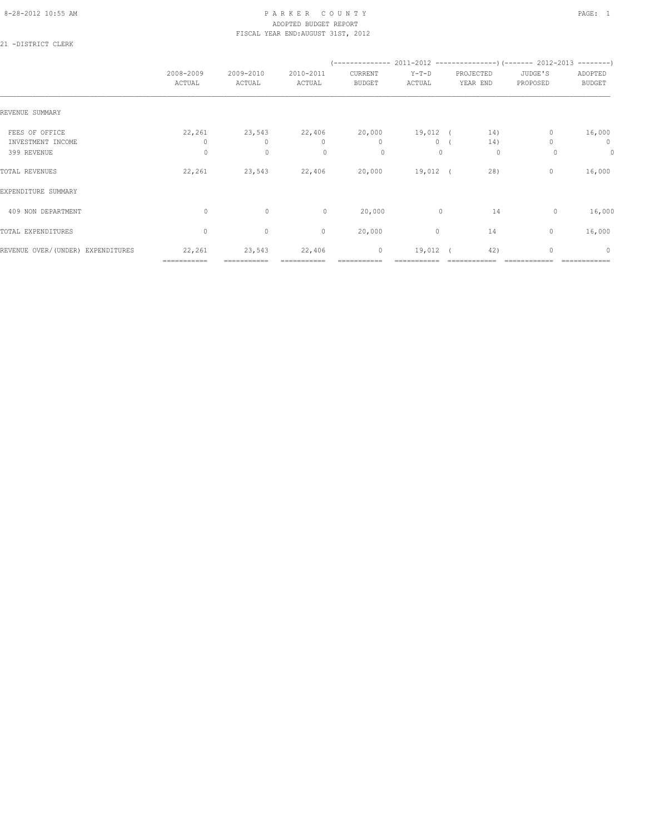# 8-28-2012 10:55 AM PAGE: 1 PARKER COUNTY PAGE: 1 ADOPTED BUDGET REPORT FISCAL YEAR END:AUGUST 31ST, 2012

21 -DISTRICT CLERK

|                                   | 2008-2009<br>ACTUAL | 2009-2010<br>ACTUAL | 2010-2011<br>ACTUAL | CURRENT<br>BUDGET | $Y-T-D$<br>ACTUAL | PROJECTED<br>YEAR END | JUDGE'S<br>PROPOSED | ADOPTED<br><b>BUDGET</b> |
|-----------------------------------|---------------------|---------------------|---------------------|-------------------|-------------------|-----------------------|---------------------|--------------------------|
| REVENUE SUMMARY                   |                     |                     |                     |                   |                   |                       |                     |                          |
| FEES OF OFFICE                    | 22,261              | 23,543              | 22,406 20,000       |                   | $19,012$ ( $14)$  |                       | $\mathbf{0}$        | 16,000                   |
| INVESTMENT INCOME                 | 0                   | 0                   | $\mathbf{0}$        | $\mathbf{0}$      | 0(                | 14)                   |                     | $\circ$                  |
| 399 REVENUE                       | $\circ$             | $\mathbf{0}$        | $\Omega$            | $\circ$           | $\Omega$          | 0                     | $\Omega$            | $\circ$                  |
| TOTAL REVENUES                    | 22,261              | 23,543              | 22,406              | 20,000            | 19,012 (          | 28)                   | $\circ$             | 16,000                   |
| EXPENDITURE SUMMARY               |                     |                     |                     |                   |                   |                       |                     |                          |
| 409 NON DEPARTMENT                | $\circ$             | $\circ$             | $\circ$             | 20,000            | $\mathbf{0}$      | 14                    | 0                   | 16,000                   |
| TOTAL EXPENDITURES                | $\mathbf{0}$        | $\circ$             | $\mathbf{0}$        | 20,000            | $\circ$           | 14                    | $\mathbf{0}$        | 16,000                   |
| REVENUE OVER/(UNDER) EXPENDITURES | 22,261              | 23,543              | 22,406              | $\circ$           | 19,012 (          | 42)                   | $\mathbf{0}$        | $\mathbf{0}$             |
|                                   | ===========         |                     |                     |                   |                   |                       |                     |                          |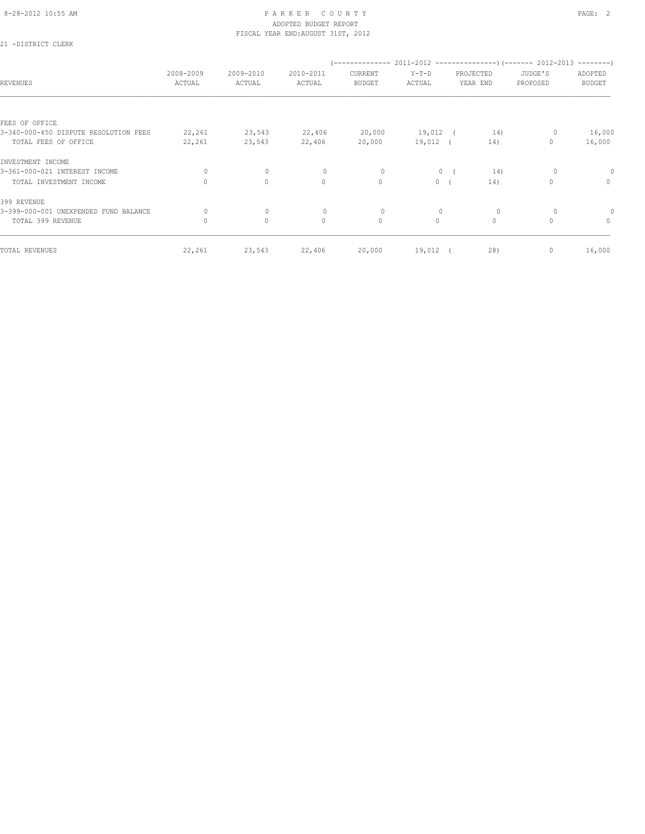# 8-28-2012 10:55 AM PAGE: 2 ADOPTED BUDGET REPORT FISCAL YEAR END:AUGUST 31ST, 2012

21 -DISTRICT CLERK

| <b>REVENUES</b>                       | 2008-2009<br>ACTUAL | 2009-2010<br>ACTUAL | 2010-2011<br>ACTUAL | CURRENT<br><b>BUDGET</b> | $Y-T-D$<br>ACTUAL |            | PROJECTED<br>YEAR END | JUDGE'S<br>PROPOSED | ADOPTED<br><b>BUDGET</b> |
|---------------------------------------|---------------------|---------------------|---------------------|--------------------------|-------------------|------------|-----------------------|---------------------|--------------------------|
| FEES OF OFFICE                        |                     |                     |                     |                          |                   |            |                       |                     |                          |
| 3-340-000-450 DISPUTE RESOLUTION FEES | 22,261              | 23,543              | 22,406              | 20,000                   | 19,012            | $\sqrt{2}$ | 14)                   |                     | 16,000                   |
| TOTAL FEES OF OFFICE                  | 22,261              | 23,543              | 22,406              | 20,000                   | $19,012$ (        |            | 14)                   | 0                   | 16,000                   |
| INVESTMENT INCOME                     |                     |                     |                     |                          |                   |            |                       |                     |                          |
| 3-361-000-021 INTEREST INCOME         | $\circ$             | $\circ$             | 0                   | 0                        | 0                 |            | 14)                   | 0                   | 0                        |
| TOTAL INVESTMENT INCOME               | $\Omega$            | $\circ$             | $\circ$             | $\mathbf{0}$             | $\circ$           |            | 14)                   | 0                   | $\mathbf{0}$             |
| 399 REVENUE                           |                     |                     |                     |                          |                   |            |                       |                     |                          |
| 3-399-000-001 UNEXPENDED FUND BALANCE | $\circ$             | $\mathbf 0$         | $\circ$             | 0                        | $\mathbf 0$       |            | $\circ$               | 0                   |                          |
| TOTAL 399 REVENUE                     | $\mathbf{0}$        | $\circ$             | $\mathbf{0}$        | $\circ$                  | $\circ$           |            | $\circ$               | $\Omega$            | $\circ$                  |
| TOTAL REVENUES                        | 22,261              | 23,543              | 22,406              | 20,000                   | $19,012$ (        |            | 28)                   | 0                   | 16,000                   |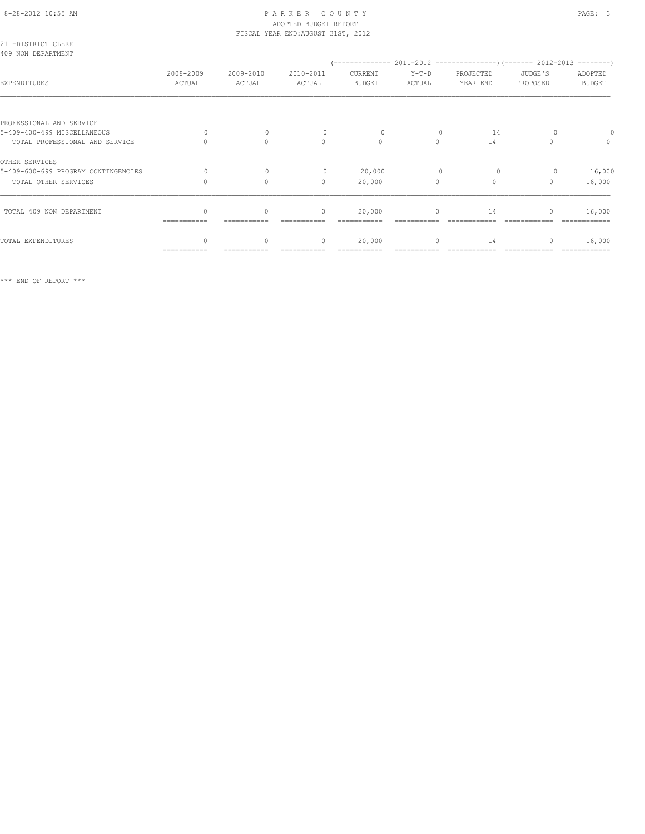#### 8-28-2012 10:55 AM P A R K E R C O U N T Y PAGE: 3 ADOPTED BUDGET REPORT FISCAL YEAR END:AUGUST 31ST, 2012

| 21 -DISTRICT CLERK<br>409 NON DEPARTMENT |                     |                     |                     |                          |                   |                       |                     |                          |
|------------------------------------------|---------------------|---------------------|---------------------|--------------------------|-------------------|-----------------------|---------------------|--------------------------|
|                                          |                     |                     |                     |                          |                   |                       |                     |                          |
| EXPENDITURES                             | 2008-2009<br>ACTUAL | 2009-2010<br>ACTUAL | 2010-2011<br>ACTUAL | CURRENT<br><b>BUDGET</b> | $Y-T-D$<br>ACTUAL | PROJECTED<br>YEAR END | JUDGE'S<br>PROPOSED | ADOPTED<br><b>BUDGET</b> |
|                                          |                     |                     |                     |                          |                   |                       |                     |                          |
| PROFESSIONAL AND SERVICE                 |                     |                     |                     |                          |                   |                       |                     |                          |
| 5-409-400-499 MISCELLANEOUS              | $\bigcap$           | $\Omega$            | $\Omega$            | $\circ$                  |                   | 14                    |                     |                          |
| TOTAL PROFESSIONAL AND SERVICE           |                     | $\Omega$            | $\Omega$            | $\Omega$                 | $\Omega$          | 14                    | $\cap$              | $\mathbf{0}$             |
| OTHER SERVICES                           |                     |                     |                     |                          |                   |                       |                     |                          |
| 5-409-600-699 PROGRAM CONTINGENCIES      | $\Omega$            | $\Omega$            | $\circ$             | 20,000                   | $\mathbf{0}$      | $\circ$               | 0                   | 16,000                   |
| TOTAL OTHER SERVICES                     |                     | $\Omega$            | $\mathbf{0}$        | 20,000                   | $\circ$           | $\mathbf{0}$          | $\mathbf{0}$        | 16,000                   |
|                                          |                     |                     |                     |                          |                   |                       |                     |                          |
| TOTAL 409 NON DEPARTMENT                 | ===========         | $\circ$             | $\circ$             | 20,000                   | $\circ$           | 14                    | $\mathbf{0}$        | 16,000                   |
| TOTAL EXPENDITURES                       | $\cap$              | $\Omega$            | $\mathbf{0}$        | 20,000                   | $\circ$           | 14                    | $\Omega$            | 16,000                   |
|                                          | ===========         |                     |                     |                          |                   |                       |                     | ============             |
|                                          |                     |                     |                     |                          |                   |                       |                     |                          |

\*\*\* END OF REPORT \*\*\*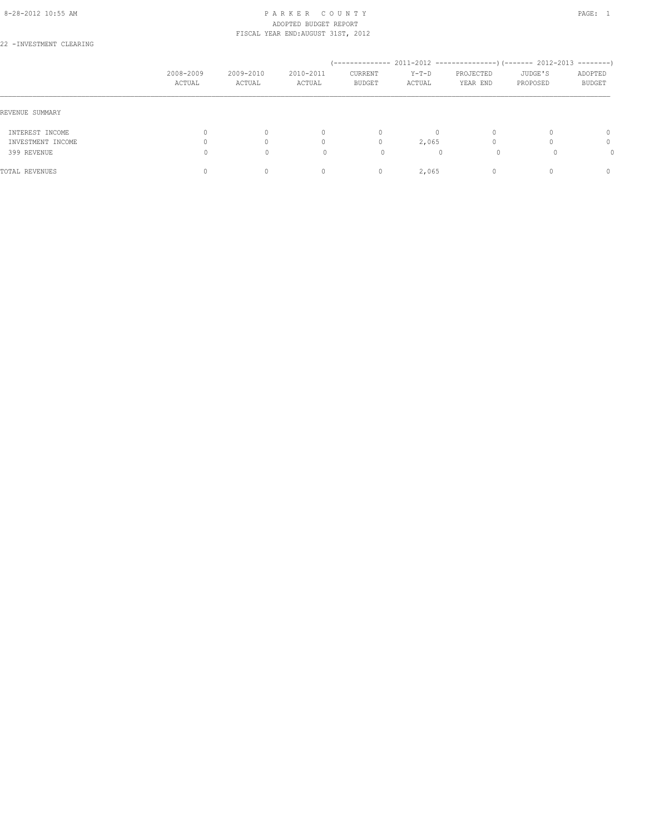#### 8-28-2012 10:55 AM PAGE: 1 PARKER COUNTY ADOPTED BUDGET REPORT FISCAL YEAR END:AUGUST 31ST, 2012

22 -INVESTMENT CLEARING

|                   | 2008-2009<br>ACTUAL | 2009-2010<br>ACTUAL | 2010-2011<br>ACTUAL              | --------------<br>CURRENT<br><b>BUDGET</b> | $Y-T-D$<br>ACTUAL | $2011 - 2012$ ----------------)(------- 2012-2013<br>PROJECTED<br>YEAR END | JUDGE'S<br>PROPOSED | $--------$<br>ADOPTED<br><b>BUDGET</b> |
|-------------------|---------------------|---------------------|----------------------------------|--------------------------------------------|-------------------|----------------------------------------------------------------------------|---------------------|----------------------------------------|
| REVENUE SUMMARY   |                     |                     |                                  |                                            |                   |                                                                            |                     |                                        |
| INTEREST INCOME   |                     |                     | $\begin{array}{c} \n\end{array}$ | $\Omega$                                   | $\Omega$          | $\Omega$                                                                   |                     | $\Omega$                               |
| INVESTMENT INCOME |                     |                     | 0                                | 0                                          | 2,065             |                                                                            |                     | 0                                      |
| 399 REVENUE       |                     | $\Omega$            |                                  | 0                                          |                   |                                                                            |                     |                                        |
| TOTAL REVENUES    |                     |                     | 0                                | $\mathbf{0}$                               | 2,065             |                                                                            |                     | $\begin{array}{c} \n\end{array}$       |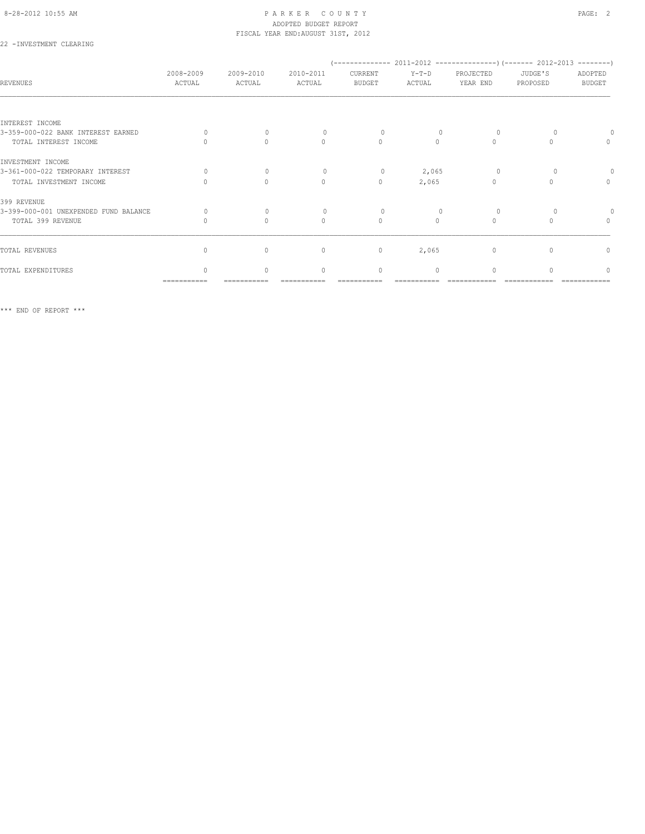# 8-28-2012 10:55 AM PAGE: 2 PARKER COUNTY ADOPTED BUDGET REPORT FISCAL YEAR END:AUGUST 31ST, 2012

# 22 -INVESTMENT CLEARING

| <b>REVENUES</b>                       | 2008-2009<br>ACTUAL | 2009-2010<br>ACTUAL              | 2010-2011<br>ACTUAL              | CURRENT<br><b>BUDGET</b> | $Y-T-D$<br>ACTUAL | PROJECTED<br>YEAR END            | JUDGE'S<br>PROPOSED | ADOPTED<br><b>BUDGET</b> |
|---------------------------------------|---------------------|----------------------------------|----------------------------------|--------------------------|-------------------|----------------------------------|---------------------|--------------------------|
|                                       |                     |                                  |                                  |                          |                   |                                  |                     |                          |
| INTEREST INCOME                       |                     |                                  |                                  |                          |                   |                                  |                     |                          |
| 3-359-000-022 BANK INTEREST EARNED    | $\cap$              | $\Omega$                         | $\bigcap$                        | $\Omega$                 |                   | $\Omega$                         |                     |                          |
| TOTAL INTEREST INCOME                 |                     | $\begin{array}{c} \n\end{array}$ | $\begin{array}{c} \n\end{array}$ | $\circ$                  | $\Omega$          | $\begin{array}{c} \n\end{array}$ |                     | 0                        |
| INVESTMENT INCOME                     |                     |                                  |                                  |                          |                   |                                  |                     |                          |
| 3-361-000-022 TEMPORARY INTEREST      | $\bigcap$           | $\Omega$                         | $\Omega$                         | $\circ$                  | 2,065             | $\Omega$                         |                     |                          |
| TOTAL INVESTMENT INCOME               |                     | $\Omega$                         | $\circ$                          | $\mathbf{0}$             | 2,065             | $\Omega$                         |                     | $\mathbf{0}$             |
| 399 REVENUE                           |                     |                                  |                                  |                          |                   |                                  |                     |                          |
| 3-399-000-001 UNEXPENDED FUND BALANCE | $\Omega$            | $\bigcap$                        |                                  | $\Omega$                 |                   | $\Omega$                         |                     |                          |
| TOTAL 399 REVENUE                     |                     | $\begin{array}{c} \n\end{array}$ | $\begin{array}{c} \n\end{array}$ | $\mathbf{0}$             | $\bigcap$         | $\begin{array}{c} \n\end{array}$ |                     | $\mathbf{0}$             |
|                                       |                     |                                  |                                  |                          |                   |                                  |                     |                          |
| TOTAL REVENUES                        | $\Omega$            | $\circ$                          | $\mathbf{0}$                     | $\mathbb O$              | 2,065             | 0                                |                     | $\mathbf{0}$             |
| TOTAL EXPENDITURES                    | $\cap$              | $\bigcap$                        | $\begin{array}{c} \n\end{array}$ | $\mathbf{0}$             | $\Omega$          | $\bigcap$                        |                     | $\cap$                   |
|                                       | ===========         |                                  |                                  |                          |                   |                                  |                     |                          |

\*\*\* END OF REPORT \*\*\*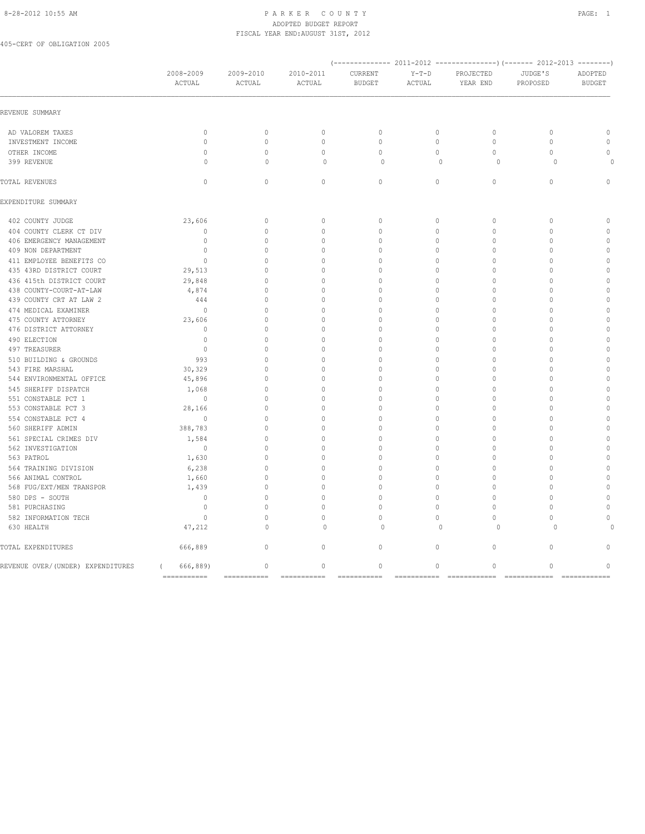# 8-28-2012 10:55 AM P A R K E R C O U N T Y PAGE: 1 ADOPTED BUDGET REPORT FISCAL YEAR END:AUGUST 31ST, 2012

405-CERT OF OBLIGATION 2005

|                                   | 2008-2009<br>ACTUAL    | 2009-2010<br>ACTUAL | 2010-2011<br>ACTUAL | CURRENT<br><b>BUDGET</b> | $Y-T-D$<br>ACTUAL | PROJECTED<br>YEAR END | JUDGE'S<br>PROPOSED | ADOPTED<br><b>BUDGET</b> |
|-----------------------------------|------------------------|---------------------|---------------------|--------------------------|-------------------|-----------------------|---------------------|--------------------------|
| REVENUE SUMMARY                   |                        |                     |                     |                          |                   |                       |                     |                          |
| AD VALOREM TAXES                  | $\mathbf{0}$           | $\circ$             | $\mathbb O$         | $\mathbf{0}$             | $\circ$           | $\circ$               | $\mathbf{0}$        | $\mathbb O$              |
| INVESTMENT INCOME                 | $\mathbb O$            | $\mathbb O$         | $\mathbb O$         | $\mathbb O$              | $\circ$           | $\mathbb O$           | $\mathbb O$         | $\mathbb O$              |
| OTHER INCOME                      | $\mathbf{0}$           | $\circ$             | $\mathbf{0}$        | $\mathbf{0}$             | $\circ$           | $\circ$               | $\mathbf{0}$        | $\Omega$                 |
| 399 REVENUE                       | $\Omega$               | $\Omega$            | $\circ$             | $\Omega$                 | $\Omega$          | $\Omega$              | $\Omega$            |                          |
| TOTAL REVENUES                    | $\circ$                | $\circ$             | $\circ$             | $\circ$                  | $\circ$           | $\circ$               | $\circ$             | $\Omega$                 |
| EXPENDITURE SUMMARY               |                        |                     |                     |                          |                   |                       |                     |                          |
| 402 COUNTY JUDGE                  | 23,606                 | $\mathbf{0}$        | $\mathbf{0}$        | $\mathbf{0}$             | $\circ$           | $\mathbf{0}$          | $\mathbf{0}$        | $\mathbf{0}$             |
| 404 COUNTY CLERK CT DIV           | $\mathbf{0}$           | $\circ$             | $\mathbf{0}$        | $\mathbf{0}$             | $\circ$           | $\mathbf{0}$          | $\mathbf{0}$        | $\mathbb O$              |
| 406 EMERGENCY MANAGEMENT          | $\mathbf{0}$           | $\circ$             | $\mathbf{0}$        | $\mathbf{0}$             | $\mathbf 0$       | $\mathbf{0}$          | $\mathbf{0}$        | $\mathbb O$              |
| 409 NON DEPARTMENT                | $\mathbf{0}$           | $\Omega$            | $\Omega$            | $\Omega$                 | $\mathbf 0$       | $\Omega$              | $\Omega$            | $\mathbb O$              |
| 411 EMPLOYEE BENEFITS CO          | $\mathbf{0}$           | $\circ$             | $\mathbf{0}$        | $\Omega$                 | $\Omega$          | $\mathbf{0}$          | $\mathbf{0}$        | $\mathbb O$              |
| 435 43RD DISTRICT COURT           | 29,513                 | $\Omega$            | $\Omega$            | $\circ$                  | $\mathbf 0$       | $\Omega$              | $\Omega$            | $\mathbf{0}$             |
| 436 415th DISTRICT COURT          | 29,848                 | $\cap$              | 0                   | 0                        | $\circ$           | $\mathbf{0}$          | $\mathbf{0}$        | $\mathbb O$              |
| 438 COUNTY-COURT-AT-LAW           | 4,874                  | $\circ$             | $\mathbf{0}$        | 0                        | $\circ$           | $\mathbf{0}$          | $\mathbf{0}$        | $\mathbb O$              |
| 439 COUNTY CRT AT LAW 2           | 444                    | $\Omega$            | $\mathbf{0}$        | $\mathbf{0}$             | $\mathbf 0$       | $\mathbf{0}$          | $\mathbf{0}$        | $\mathbf{0}$             |
| 474 MEDICAL EXAMINER              | $\circ$                | $\Omega$            | $\mathbf{0}$        | $\circ$                  | $\circ$           | $\mathbf{0}$          | $\mathbf{0}$        | $\mathbb O$              |
| 475 COUNTY ATTORNEY               | 23,606                 | $\Omega$            | $\mathbf{0}$        | $\Omega$                 | $\Omega$          | $\mathbf{0}$          | $\mathbf{0}$        | $\mathbb O$              |
| 476 DISTRICT ATTORNEY             | $\mathbf{0}$           | $\Omega$            | $\mathbf{0}$        | $\Omega$                 | $\mathbf 0$       | $\Omega$              | $\Omega$            | $\mathbf{0}$             |
| 490 ELECTION                      | $\overline{0}$         | $\bigcap$           | $\mathbf{0}$        | $\cap$                   | $\mathbf 0$       | $\mathbf{0}$          | $\mathbf{0}$        | $\mathbb O$              |
| 497 TREASURER                     | $\overline{0}$         | $\Omega$            | $\Omega$            | $\Omega$                 | $\circ$           | $\mathbf{0}$          | $\Omega$            | $\mathbf{0}$             |
| 510 BUILDING & GROUNDS            | 993                    | $\Omega$            | $\mathbf 0$         | $\Omega$                 | $\circ$           | $\mathbf{0}$          | $\Omega$            | $\mathbb O$              |
| 543 FIRE MARSHAL                  | 30,329                 | $\bigcap$           | $\mathbf{0}$        | $\mathbf{0}$             | $\circ$           | $\mathbf{0}$          | $\mathbf{0}$        | $\mathbb O$              |
| 544 ENVIRONMENTAL OFFICE          | 45,896                 | $\circ$             | $\Omega$            | $\circ$                  | $\circ$           | $\mathbf{0}$          | $\Omega$            | $\mathbb O$              |
| 545 SHERIFF DISPATCH              | 1,068                  | $\circ$             | $\mathbf{0}$        | $\Omega$                 | $\circ$           | $\mathbf{0}$          | $\Omega$            | $\mathbb O$              |
| 551 CONSTABLE PCT 1               | $\overline{0}$         | $\bigcap$           | $\mathbf{0}$        | $\cap$                   | $\circ$           | $\mathbf{0}$          | $\mathbf{0}$        | $\mathbb O$              |
| 553 CONSTABLE PCT 3               | 28,166                 | $\circ$             | $\mathbf{0}$        | $\circ$                  | $\circ$           | $\mathbf{0}$          | $\Omega$            | $\mathbb O$              |
| 554 CONSTABLE PCT 4               | $\circ$                | $\circ$             | $\mathbb O$         | $\mathbf{0}$             | $\circ$           | $\mathbf{0}$          | $\mathbf{0}$        | $\mathbb O$              |
| 560 SHERIFF ADMIN                 | 388,783                | $\circ$             | $\mathbf{0}$        | $\circ$                  | $\circ$           | $\mathbf{0}$          | $\mathbf{0}$        | $\mathbb O$              |
| 561 SPECIAL CRIMES DIV            | 1,584                  | $\Omega$            | $\Omega$            | $\Omega$                 | $\mathbf{0}$      | $\Omega$              | $\Omega$            | $\mathbb O$              |
| 562 INVESTIGATION                 | $\circ$                | $\circ$             | 0                   | 0                        | $\circ$           | $\mathbf{0}$          | $\mathbf{0}$        | $\mathbb O$              |
| 563 PATROL                        | 1,630                  | $\circ$             | $\mathbf{0}$        | 0                        | $\circ$           | $\mathbf{0}$          | $\mathbf{0}$        | $\mathbf{0}$             |
| 564 TRAINING DIVISION             | 6,238                  | $\Omega$            | $\Omega$            | $\Omega$                 | $\circ$           | $\Omega$              | $\Omega$            | $\Omega$                 |
| 566 ANIMAL CONTROL                | 1,660                  | $\circ$             | 0                   | 0                        | $\circ$           | $\mathbf{0}$          | $\mathbf{0}$        | $\mathbb O$              |
| 568 FUG/EXT/MEN TRANSPOR          | 1,439                  | $\circ$             | $\mathbf{0}$        | $\Omega$                 | $\circ$           | $\mathbf{0}$          | $\mathbf{0}$        | $\Omega$                 |
| 580 DPS - SOUTH                   | $\mathbf 0$            | $\Omega$            | $\Omega$            | $\Omega$                 | $\circ$           | $\Omega$              | $\Omega$            | $\Omega$                 |
| 581 PURCHASING                    | $\circ$                | $\Omega$            | $\circ$             | $\Omega$                 | $\circ$           | $\Omega$              | $\mathbf{0}$        | $\Omega$                 |
| 582 INFORMATION TECH              | $\circ$                | $\Omega$            | $\Omega$            | $\Omega$                 | $\Omega$          | $\Omega$              | $\Omega$            | $\Omega$                 |
| 630 HEALTH                        | 47,212                 | $\circ$             | $\circ$             | $\mathbf 0$              | $\Omega$          | $\circ$               | $\Omega$            |                          |
| TOTAL EXPENDITURES                | 666,889                | $\circ$             | $\circ$             | $\circ$                  | $\circ$           | $\mathbf{0}$          | $\mathbf{0}$        | $\Omega$                 |
| REVENUE OVER/(UNDER) EXPENDITURES | 666,889)<br>$\sqrt{2}$ | $\circ$             | $\circ$             | $\circ$                  | 0                 | $\circ$               | $\mathbf 0$         | $\circ$                  |
|                                   | $=$ ============       | $=$ ===========     | $=$ ===========     | $=$ ==========           | ===========       | $=$ ============      | $=$ ============    | $=$ ============         |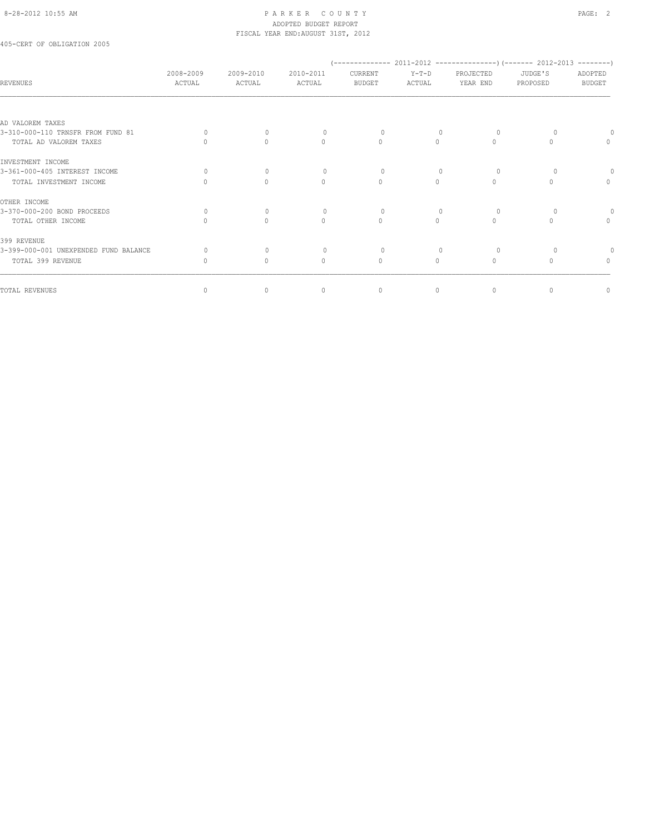#### 8-28-2012 10:55 AM PAGE: 2 ADOPTED BUDGET REPORT FISCAL YEAR END:AUGUST 31ST, 2012

405-CERT OF OBLIGATION 2005

| <b>REVENUES</b>                                                               | 2008-2009<br>ACTUAL | 2009-2010<br>ACTUAL                          | 2010-2011<br>ACTUAL      | CURRENT<br><b>BUDGET</b> | $Y-T-D$<br>ACTUAL                            | PROJECTED<br>YEAR END | JUDGE'S<br>PROPOSED | ADOPTED<br><b>BUDGET</b>         |
|-------------------------------------------------------------------------------|---------------------|----------------------------------------------|--------------------------|--------------------------|----------------------------------------------|-----------------------|---------------------|----------------------------------|
| AD VALOREM TAXES                                                              |                     |                                              |                          |                          |                                              |                       |                     |                                  |
| 3-310-000-110 TRNSFR FROM FUND 81<br>TOTAL AD VALOREM TAXES                   | $\Omega$            | $\bigcap$<br>$\bigcap$                       | $\Omega$<br>$\bigcap$    | $\Omega$<br>$\Omega$     | $\Omega$                                     | $\Omega$<br>$\Omega$  | $\cap$              | $\Omega$                         |
| INVESTMENT INCOME<br>3-361-000-405 INTEREST INCOME<br>TOTAL INVESTMENT INCOME | $\Omega$            | $\Omega$<br>$\begin{array}{c} \n\end{array}$ | $\cap$<br>$\Omega$       | $\Omega$<br>$\Omega$     | $\Omega$                                     | $\Omega$<br>$\Omega$  |                     | $\begin{array}{c} \n\end{array}$ |
| OTHER INCOME<br>3-370-000-200 BOND PROCEEDS<br>TOTAL OTHER INCOME             | $\Omega$            | $\Omega$<br>$\begin{array}{c} \n\end{array}$ | $\Omega$<br>$\Omega$     | $\Omega$<br>$\Omega$     | $\begin{array}{c} \n\end{array}$<br>$\Omega$ | $\Omega$<br>$\Omega$  |                     | $\begin{array}{c} \n\end{array}$ |
| 399 REVENUE<br>3-399-000-001 UNEXPENDED FUND BALANCE<br>TOTAL 399 REVENUE     | Ω<br>$\Omega$       | $\Omega$<br>$\Omega$                         | $\Omega$<br>$\mathbf{0}$ | $\Omega$<br>$\Omega$     | $\begin{array}{c} \n\end{array}$<br>$\Omega$ | $\Omega$<br>$\circ$   | $\Omega$            | $\Omega$                         |
| TOTAL REVENUES                                                                | 0                   | $\circ$                                      | $\mathbf{0}$             | $\circ$                  | $\circ$                                      | $\circ$               | $\mathbf{0}$        | $\mathbf{0}$                     |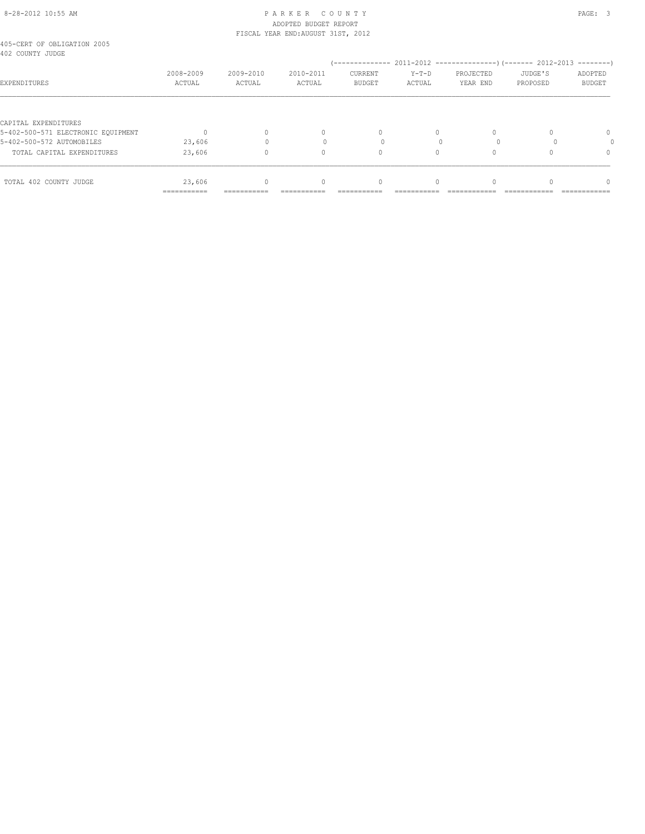#### 8-28-2012 10:55 AM P A R K E R C O U N T Y PAGE: 3 ADOPTED BUDGET REPORT FISCAL YEAR END:AUGUST 31ST, 2012

| 2008-2009<br>ACTUAL   | 2009-2010<br>ACTUAL | 2010-2011<br>ACTUAL | CURRENT<br><b>BUDGET</b> | $Y-T-D$<br>ACTUAL | PROJECTED<br>YEAR END | JUDGE'S<br>PROPOSED | ADOPTED<br>BUDGET |
|-----------------------|---------------------|---------------------|--------------------------|-------------------|-----------------------|---------------------|-------------------|
|                       |                     |                     |                          |                   |                       |                     |                   |
|                       |                     | 0                   | 0                        | 0                 |                       |                     | 0                 |
| 23,606                |                     |                     |                          |                   |                       |                     |                   |
| 23,606                |                     | 0                   | 0                        | $\Omega$          |                       |                     | $\Omega$          |
| 23,606<br>=========== | ===========         | 0                   | 0                        |                   |                       |                     | n                 |
|                       |                     |                     |                          |                   |                       |                     |                   |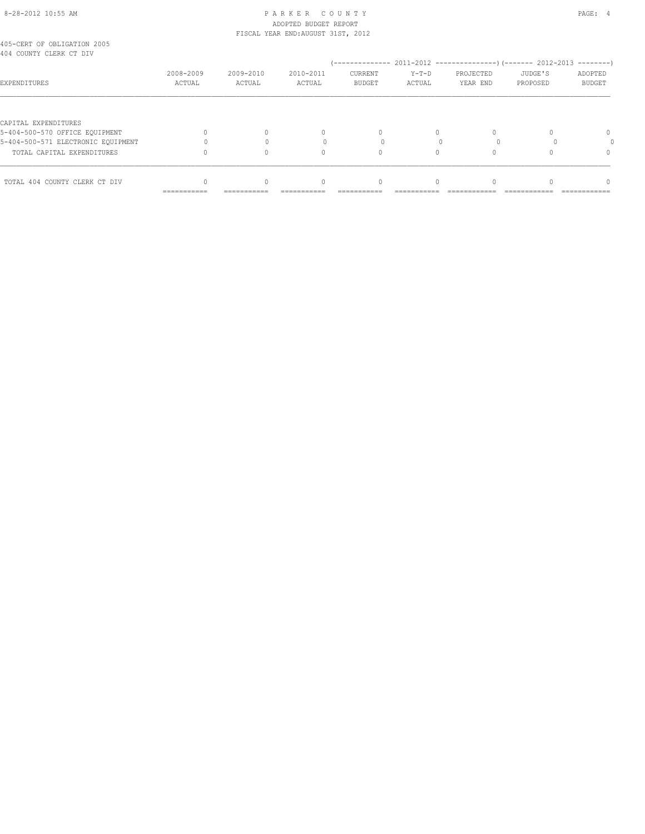# 8-28-2012 10:55 AM P A R K E R C O U N T Y PAGE: 4 ADOPTED BUDGET REPORT

| TOTAL 404 COUNTY CLERK CT DIV                          |                     |                     | $\cap$                             |                          |                   |                       |                     |                          |  |
|--------------------------------------------------------|---------------------|---------------------|------------------------------------|--------------------------|-------------------|-----------------------|---------------------|--------------------------|--|
| TOTAL CAPITAL EXPENDITURES                             |                     |                     | Λ                                  |                          |                   |                       |                     | $\Omega$                 |  |
| 5-404-500-571 ELECTRONIC EOUIPMENT                     |                     |                     |                                    |                          |                   |                       |                     |                          |  |
| CAPITAL EXPENDITURES<br>5-404-500-570 OFFICE EQUIPMENT |                     |                     | $\begin{array}{c} \n\end{array}$   | $\Omega$                 | $\Omega$          |                       |                     | $\Omega$                 |  |
| EXPENDITURES                                           | 2008-2009<br>ACTUAL | 2009-2010<br>ACTUAL | 2010-2011<br>ACTUAL                | CURRENT<br><b>BUDGET</b> | $Y-T-D$<br>ACTUAL | PROJECTED<br>YEAR END | JUDGE'S<br>PROPOSED | ADOPTED<br><b>BUDGET</b> |  |
| 405-CERT OF OBLIGATION 2005<br>404 COUNTY CLERK CT DIV |                     |                     |                                    |                          |                   |                       |                     |                          |  |
|                                                        |                     |                     | FISCAL YEAR END: AUGUST 31ST, 2012 |                          |                   |                       |                     |                          |  |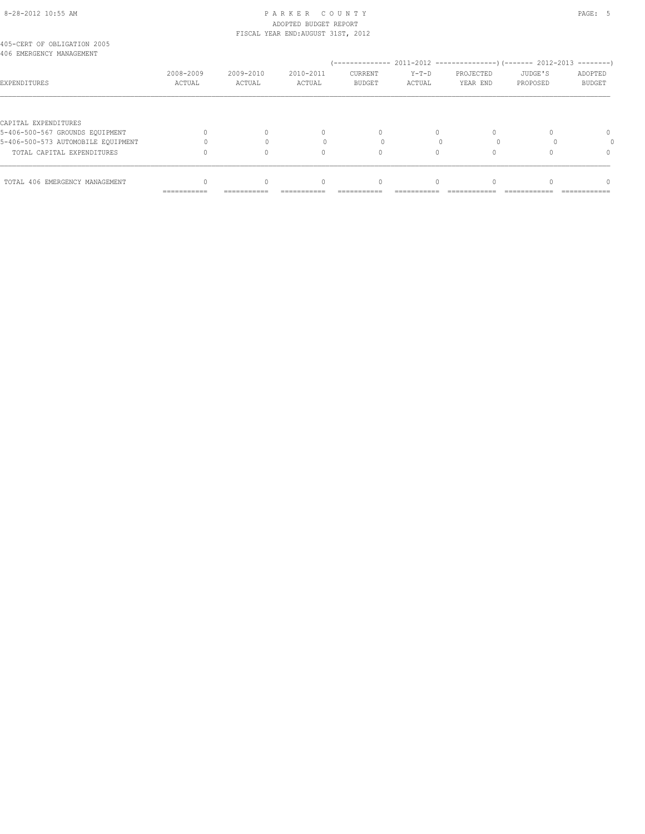# 8-28-2012 10:55 AM PAGE: 5 PARKER COUNTY ADOPTED BUDGET REPORT

| TOTAL 406 EMERGENCY MANAGEMENT                          |                     |                     | $\cap$                             |                          |                   |                       |                     |                          |
|---------------------------------------------------------|---------------------|---------------------|------------------------------------|--------------------------|-------------------|-----------------------|---------------------|--------------------------|
| TOTAL CAPITAL EXPENDITURES                              |                     |                     | Λ                                  |                          |                   |                       |                     | $\Omega$                 |
| 5-406-500-573 AUTOMOBILE EQUIPMENT                      |                     |                     |                                    |                          |                   |                       |                     |                          |
| CAPITAL EXPENDITURES<br>5-406-500-567 GROUNDS EQUIPMENT |                     |                     | $\begin{array}{c} \n\end{array}$   | $\Omega$                 | $\Omega$          |                       |                     | $\Omega$                 |
| EXPENDITURES                                            | 2008-2009<br>ACTUAL | 2009-2010<br>ACTUAL | 2010-2011<br>ACTUAL                | CURRENT<br><b>BUDGET</b> | $Y-T-D$<br>ACTUAL | PROJECTED<br>YEAR END | JUDGE'S<br>PROPOSED | ADOPTED<br><b>BUDGET</b> |
| 405-CERT OF OBLIGATION 2005<br>406 EMERGENCY MANAGEMENT |                     |                     |                                    |                          |                   |                       |                     |                          |
|                                                         |                     |                     | FISCAL YEAR END: AUGUST 31ST, 2012 |                          |                   |                       |                     |                          |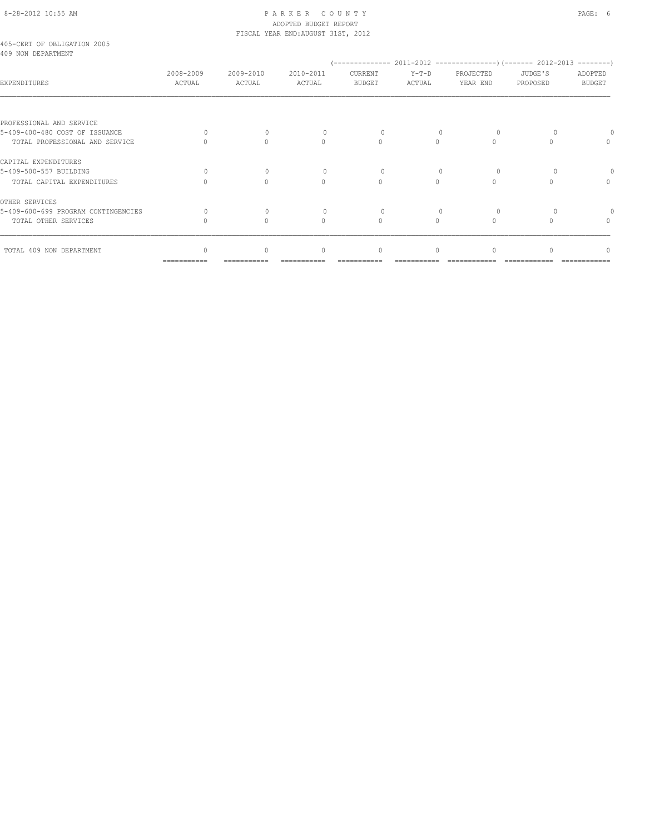# 8-28-2012 10:55 AM P A R K E R C O U N T Y PAGE: 6 ADOPTED BUDGET REPORT FISCAL YEAR END:AUGUST 31ST, 2012

|  | 405-CERT OF OBLIGATION 2005 |  |
|--|-----------------------------|--|
|  | 409 NON DEPARTMENT          |  |

| EVY NON DELANINE                    |                     |                     |                     |                          |                   |                       |                     |                          |
|-------------------------------------|---------------------|---------------------|---------------------|--------------------------|-------------------|-----------------------|---------------------|--------------------------|
| EXPENDITURES                        | 2008-2009<br>ACTUAL | 2009-2010<br>ACTUAL | 2010-2011<br>ACTUAL | CURRENT<br><b>BUDGET</b> | $Y-T-D$<br>ACTUAL | PROJECTED<br>YEAR END | JUDGE'S<br>PROPOSED | ADOPTED<br><b>BUDGET</b> |
| PROFESSIONAL AND SERVICE            |                     |                     |                     |                          |                   |                       |                     |                          |
| 5-409-400-480 COST OF ISSUANCE      |                     | $\Omega$            |                     | 0                        |                   |                       |                     |                          |
| TOTAL PROFESSIONAL AND SERVICE      |                     | $\Omega$            |                     | $\Omega$                 | $\cap$            |                       |                     |                          |
| CAPITAL EXPENDITURES                |                     |                     |                     |                          |                   |                       |                     |                          |
| 5-409-500-557 BUILDING              |                     | $\cup$              |                     | $\Omega$                 |                   |                       |                     |                          |
| TOTAL CAPITAL EXPENDITURES          |                     | $\cap$              | $\cap$              | $\bigcap$                | $\cap$            |                       |                     | $\cap$                   |
| OTHER SERVICES                      |                     |                     |                     |                          |                   |                       |                     |                          |
| 5-409-600-699 PROGRAM CONTINGENCIES |                     | $\Omega$            |                     | 0                        |                   |                       |                     |                          |
| TOTAL OTHER SERVICES                |                     | $\bigcap$           | $\cap$              | $\Omega$                 | $\cap$            |                       |                     | $\cap$                   |
| TOTAL 409 NON DEPARTMENT            |                     | $\mathbf{0}$        | $\Omega$            | $\Omega$                 | $\Omega$          |                       |                     |                          |
|                                     | ===========         |                     |                     |                          |                   |                       |                     |                          |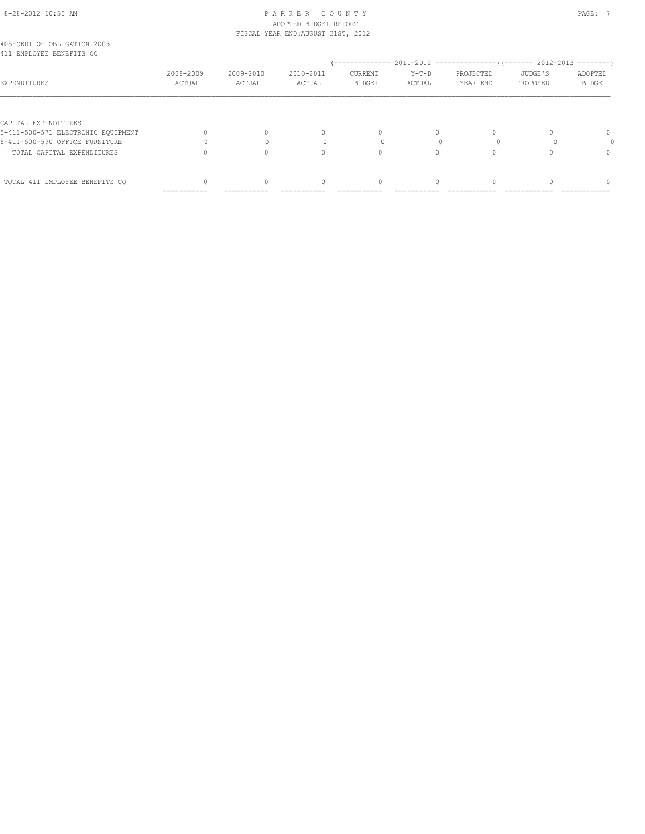# 8-28-2012 10:55 AM PAGE: 7 PAR K E R C O U N T Y ADOPTED BUDGET REPORT

| TOTAL 411 EMPLOYEE BENEFITS CO                             |                     |                     | $\cap$                             |                          |                   |                       |                     |                          |
|------------------------------------------------------------|---------------------|---------------------|------------------------------------|--------------------------|-------------------|-----------------------|---------------------|--------------------------|
| TOTAL CAPITAL EXPENDITURES                                 |                     |                     | Ω                                  |                          |                   |                       |                     | $\Omega$                 |
| 5-411-500-590 OFFICE FURNITURE                             |                     |                     |                                    |                          |                   |                       |                     |                          |
| CAPITAL EXPENDITURES<br>5-411-500-571 ELECTRONIC EOUIPMENT |                     |                     | $\begin{array}{c} \n\end{array}$   | $\Omega$                 | $\Omega$          |                       |                     | $\Omega$                 |
| EXPENDITURES                                               | 2008-2009<br>ACTUAL | 2009-2010<br>ACTUAL | 2010-2011<br>ACTUAL                | CURRENT<br><b>BUDGET</b> | $Y-T-D$<br>ACTUAL | PROJECTED<br>YEAR END | JUDGE'S<br>PROPOSED | ADOPTED<br><b>BUDGET</b> |
| 405-CERT OF OBLIGATION 2005<br>411 EMPLOYEE BENEFITS CO    |                     |                     |                                    |                          |                   |                       |                     |                          |
|                                                            |                     |                     | FISCAL YEAR END: AUGUST 31ST, 2012 |                          |                   |                       |                     |                          |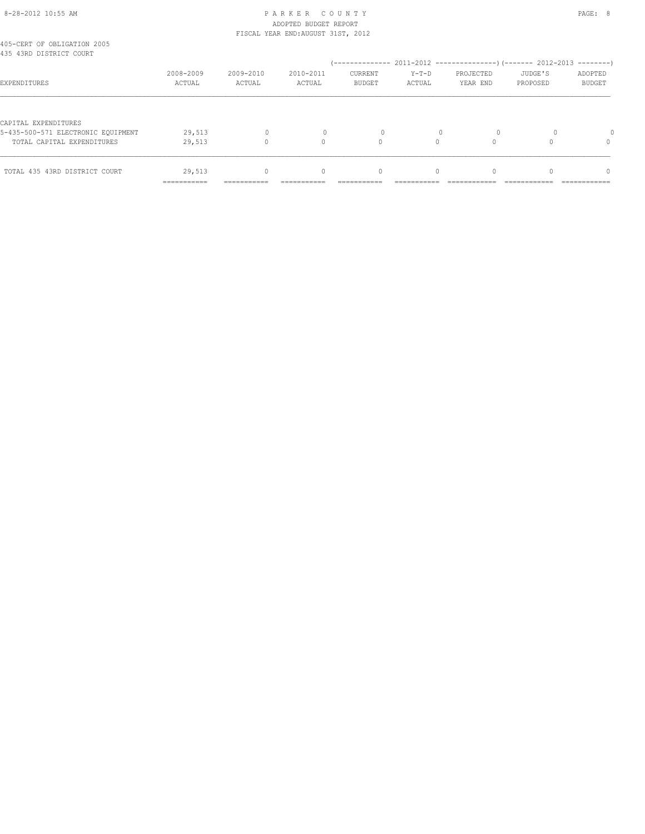# 8-28-2012 10:55 AM P A R K E R C O U N T Y PAGE: 8 ADOPTED BUDGET REPORT

|                                                        |             |              | FISCAL YEAR END: AUGUST 31ST, 2012 |               |          |           |          |               |
|--------------------------------------------------------|-------------|--------------|------------------------------------|---------------|----------|-----------|----------|---------------|
| 405-CERT OF OBLIGATION 2005<br>435 43RD DISTRICT COURT |             |              |                                    |               |          |           |          |               |
|                                                        |             |              |                                    |               |          |           |          | $------$      |
|                                                        | 2008-2009   | 2009-2010    | 2010-2011                          | CURRENT       | $Y-T-D$  | PROJECTED | JUDGE'S  | ADOPTED       |
| EXPENDITURES                                           | ACTUAL      | ACTUAL       | ACTUAL                             | <b>BUDGET</b> | ACTUAL   | YEAR END  | PROPOSED | <b>BUDGET</b> |
|                                                        |             |              |                                    |               |          |           |          |               |
| CAPITAL EXPENDITURES                                   |             |              |                                    |               |          |           |          |               |
| 5-435-500-571 ELECTRONIC EOUIPMENT                     | 29,513      | $\mathbf{0}$ |                                    | 0             |          | $\circ$   |          |               |
| TOTAL CAPITAL EXPENDITURES                             | 29,513      |              | 0                                  | $\Omega$      | $\Omega$ |           |          | 0             |
|                                                        |             |              |                                    |               |          |           |          |               |
| TOTAL 435 43RD DISTRICT COURT                          | 29,513      | $\Omega$     | $\begin{array}{c} \n\end{array}$   | $\Omega$      | $\Omega$ | $\Omega$  |          | $\Omega$      |
|                                                        | =========== | ===========  |                                    |               |          |           |          |               |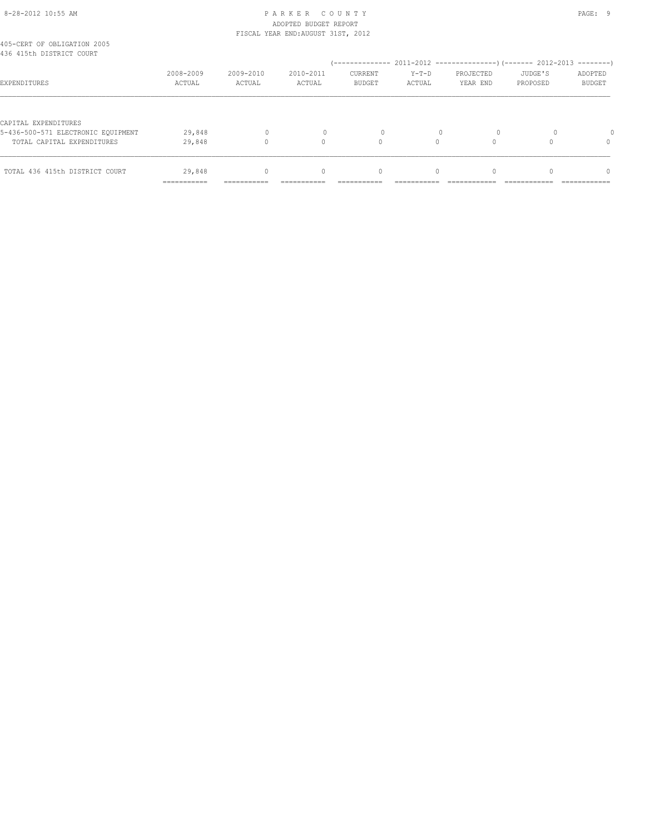# 8-28-2012 10:55 AM P A R K E R C O U N T Y PAGE: 9 ADOPTED BUDGET REPORT FISCAL YEAR END:AUGUST 31ST, 2012

| 405-CERT OF OBLIGATION 2005<br>436 415th DISTRICT COURT                                  |                           |           |                                  |                |          |           |          |               |
|------------------------------------------------------------------------------------------|---------------------------|-----------|----------------------------------|----------------|----------|-----------|----------|---------------|
|                                                                                          |                           |           |                                  |                |          |           |          |               |
|                                                                                          | 2008-2009                 | 2009-2010 | 2010-2011                        | <b>CURRENT</b> | $Y-T-D$  | PROJECTED | JUDGE'S  | ADOPTED       |
| EXPENDITURES                                                                             | ACTUAL                    | ACTUAL    | ACTUAL                           | <b>BUDGET</b>  | ACTUAL   | YEAR END  | PROPOSED | <b>BUDGET</b> |
| CAPITAL EXPENDITURES<br>5-436-500-571 ELECTRONIC EOUIPMENT<br>TOTAL CAPITAL EXPENDITURES | 29,848<br>29,848          | 0         | $\cap$                           | $\Omega$       |          |           |          | $\Omega$      |
| TOTAL 436 415th DISTRICT COURT                                                           | 29,848                    | $\Omega$  | $\begin{array}{c} \n\end{array}$ | $\mathbf{0}$   | $\Omega$ | $\Omega$  |          | $\Omega$      |
|                                                                                          | __________<br>----------- | --------  |                                  |                |          |           |          |               |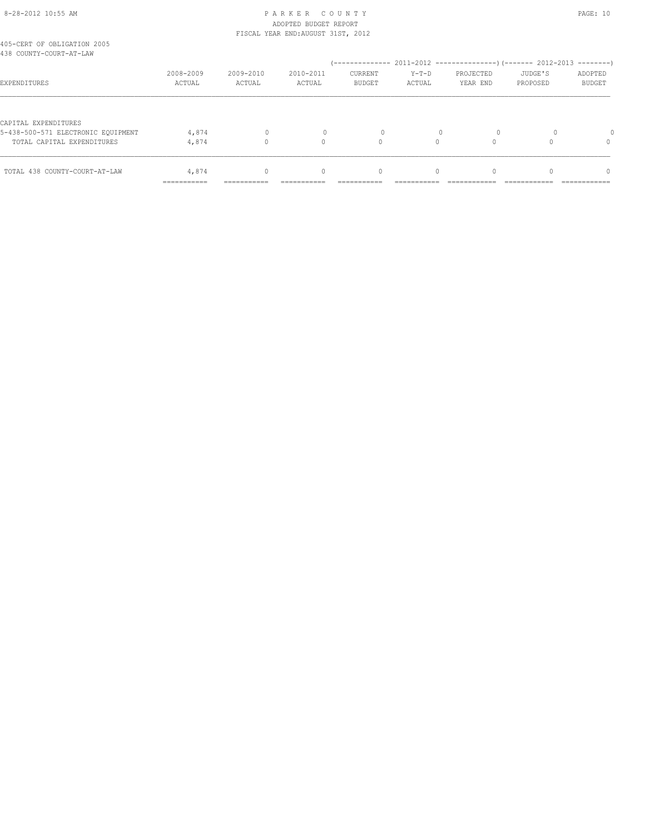# 8-28-2012 10:55 AM P A R K E R C O U N T Y PAGE: 10 ADOPTED BUDGET REPORT

|                                                        |             |              | FISCAL YEAR END: AUGUST 31ST, 2012 |                |          |           |          |               |
|--------------------------------------------------------|-------------|--------------|------------------------------------|----------------|----------|-----------|----------|---------------|
| 405-CERT OF OBLIGATION 2005<br>438 COUNTY-COURT-AT-LAW |             |              |                                    |                |          |           |          |               |
|                                                        |             |              |                                    |                |          |           |          | $------$      |
|                                                        | 2008-2009   | 2009-2010    | 2010-2011                          | <b>CURRENT</b> | $Y-T-D$  | PROJECTED | JUDGE'S  | ADOPTED       |
| EXPENDITURES                                           | ACTUAL      | ACTUAL       | ACTUAL                             | <b>BUDGET</b>  | ACTUAL   | YEAR END  | PROPOSED | <b>BUDGET</b> |
|                                                        |             |              |                                    |                |          |           |          |               |
| CAPITAL EXPENDITURES                                   |             |              |                                    |                |          |           |          |               |
| 5-438-500-571 ELECTRONIC EOUIPMENT                     | 4,874       | $\mathbf{0}$ |                                    | 0              |          | $\circ$   |          |               |
| TOTAL CAPITAL EXPENDITURES                             | 4,874       |              | 0                                  | $\Omega$       | $\Omega$ |           |          | 0             |
|                                                        |             |              |                                    |                |          |           |          |               |
| TOTAL 438 COUNTY-COURT-AT-LAW                          | 4,874       | $\Omega$     | $\begin{array}{c} \n\end{array}$   | 0              | $\Omega$ | $\Omega$  |          | $\Omega$      |
|                                                        | =========== | ===========  |                                    |                |          |           |          |               |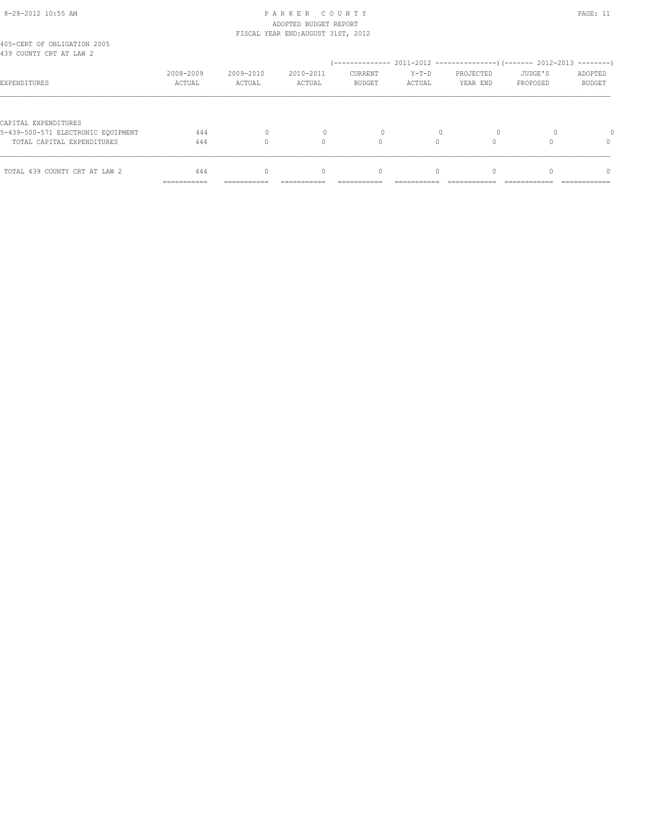# 8-28-2012 10:55 AM P A R K E R C O U N T Y PAGE: 11 ADOPTED BUDGET REPORT FISCAL YEAR END:AUGUST 31ST, 2012

| 405-CERT OF OBLIGATION 2005<br>439 COUNTY CRT AT LAW 2                                   |                            |           |                                  |                |          |           |          |               |
|------------------------------------------------------------------------------------------|----------------------------|-----------|----------------------------------|----------------|----------|-----------|----------|---------------|
|                                                                                          |                            |           |                                  |                |          |           |          |               |
|                                                                                          | 2008-2009                  | 2009-2010 | 2010-2011                        | <b>CURRENT</b> | $Y-T-D$  | PROJECTED | JUDGE'S  | ADOPTED       |
| EXPENDITURES                                                                             | ACTUAL                     | ACTUAL    | ACTUAL                           | <b>BUDGET</b>  | ACTUAL   | YEAR END  | PROPOSED | <b>BUDGET</b> |
| CAPITAL EXPENDITURES<br>5-439-500-571 ELECTRONIC EOUIPMENT<br>TOTAL CAPITAL EXPENDITURES | 444<br>444                 |           | $\cap$                           |                |          |           |          | $\Omega$      |
| TOTAL 439 COUNTY CRT AT LAW 2                                                            | 444                        | $\Omega$  | $\begin{array}{c} \n\end{array}$ | $\mathbf{0}$   | $\Omega$ | $\Omega$  |          | $\Omega$      |
|                                                                                          | -----------<br>----------- | --------- |                                  |                |          |           |          |               |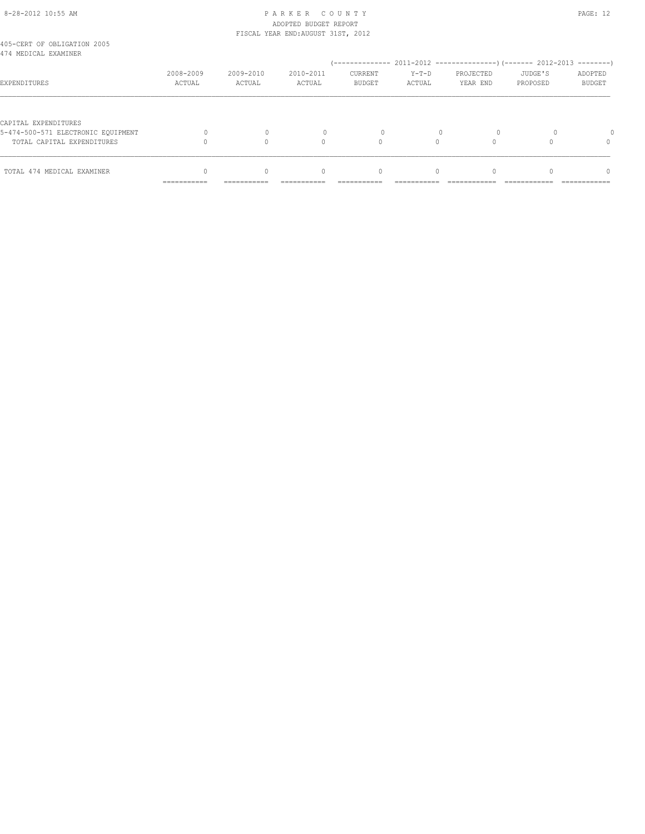# 8-28-2012 10:55 AM P A R K E R C O U N T Y PAGE: 12 ADOPTED BUDGET REPORT FISCAL YEAR END:AUGUST 31ST, 2012

|                                                            | __________<br>----------- | -----------         | ----------          |                                 |                   |                       |                     | ------------                    |
|------------------------------------------------------------|---------------------------|---------------------|---------------------|---------------------------------|-------------------|-----------------------|---------------------|---------------------------------|
| TOTAL 474 MEDICAL EXAMINER                                 |                           |                     | 0                   | 0                               | $\Omega$          |                       |                     | n                               |
| TOTAL CAPITAL EXPENDITURES                                 |                           |                     | $\cap$              |                                 |                   |                       |                     |                                 |
| CAPITAL EXPENDITURES<br>5-474-500-571 ELECTRONIC EOUIPMENT |                           |                     |                     | $\Omega$                        |                   |                       |                     |                                 |
| EXPENDITURES                                               | 2008-2009<br>ACTUAL       | 2009-2010<br>ACTUAL | 2010-2011<br>ACTUAL | <b>CURRENT</b><br><b>BUDGET</b> | $Y-T-D$<br>ACTUAL | PROJECTED<br>YEAR END | JUDGE'S<br>PROPOSED | $--------$<br>ADOPTED<br>BUDGET |
| 405-CERT OF OBLIGATION 2005<br>474 MEDICAL EXAMINER        |                           |                     |                     |                                 |                   |                       |                     |                                 |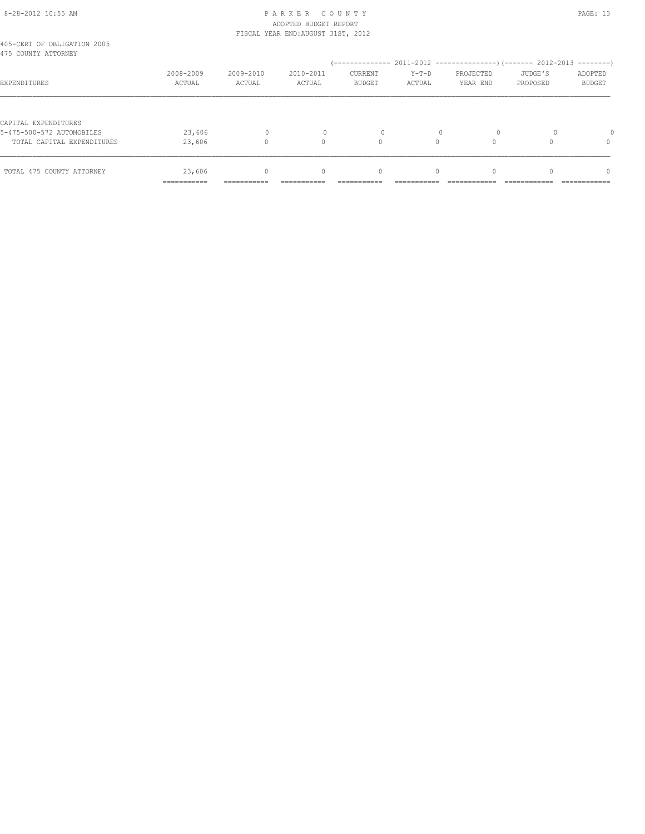# 8-28-2012 10:55 AM P A R K E R C O U N T Y PAGE: 13 ADOPTED BUDGET REPORT FISCAL YEAR END:AUGUST 31ST, 2012

|                                                    | ------------<br>----------- | -----------         |                                  |                                 |                   |                       |                     | ------------                  |
|----------------------------------------------------|-----------------------------|---------------------|----------------------------------|---------------------------------|-------------------|-----------------------|---------------------|-------------------------------|
| TOTAL 475 COUNTY ATTORNEY                          | 23,606                      | $\Omega$            | $\begin{array}{c} \n\end{array}$ | $\mathbf{0}$                    | $\Omega$          | $\Omega$              |                     | $\Omega$                      |
| TOTAL CAPITAL EXPENDITURES                         | 23,606                      |                     | $\cap$                           | 0                               |                   |                       |                     | 0                             |
| CAPITAL EXPENDITURES<br>5-475-500-572 AUTOMOBILES  | 23,606                      | $\Omega$            |                                  | $\Omega$                        |                   | $\Omega$              |                     |                               |
| EXPENDITURES                                       | 2008-2009<br>ACTUAL         | 2009-2010<br>ACTUAL | 2010-2011<br>ACTUAL              | <b>CURRENT</b><br><b>BUDGET</b> | $Y-T-D$<br>ACTUAL | PROJECTED<br>YEAR END | JUDGE'S<br>PROPOSED | $------$<br>ADOPTED<br>BUDGET |
| 405-CERT OF OBLIGATION 2005<br>475 COUNTY ATTORNEY |                             |                     |                                  |                                 |                   |                       |                     |                               |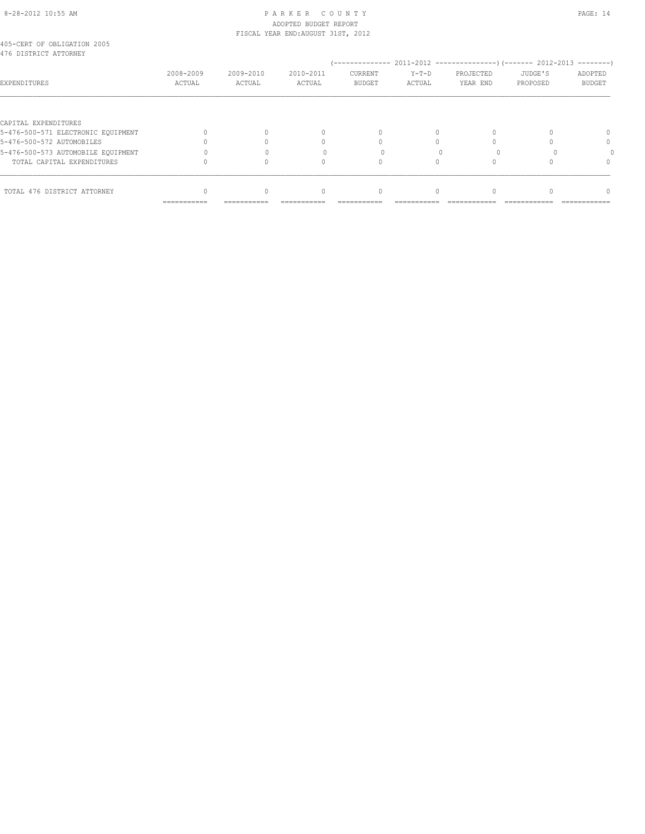# 8-28-2012 10:55 AM P A R K E R C O U N T Y PAGE: 14 ADOPTED BUDGET REPORT

|                                                      |           |           | FISCAL YEAR END: AUGUST 31ST, 2012 |               |         |           |          |               |
|------------------------------------------------------|-----------|-----------|------------------------------------|---------------|---------|-----------|----------|---------------|
| 405-CERT OF OBLIGATION 2005<br>476 DISTRICT ATTORNEY |           |           |                                    |               |         |           |          |               |
|                                                      |           |           |                                    |               |         |           |          |               |
|                                                      | 2008-2009 | 2009-2010 | 2010-2011                          | CURRENT       | $Y-T-D$ | PROJECTED | JUDGE'S  | ADOPTED       |
| EXPENDITURES                                         | ACTUAL    | ACTUAL    | ACTUAL                             | <b>BUDGET</b> | ACTUAL  | YEAR END  | PROPOSED | <b>BUDGET</b> |
|                                                      |           |           |                                    |               |         |           |          |               |
| CAPITAL EXPENDITURES                                 |           |           |                                    |               |         |           |          |               |
| 5-476-500-571 ELECTRONIC EOUIPMENT                   |           |           | 0                                  |               |         |           |          |               |
| 5-476-500-572 AUTOMOBILES                            |           |           |                                    |               |         |           |          | $\Omega$      |
| 5-476-500-573 AUTOMOBILE EQUIPMENT                   |           |           |                                    |               |         |           |          |               |
| TOTAL CAPITAL EXPENDITURES                           |           |           |                                    |               |         |           |          |               |
| TOTAL 476 DISTRICT ATTORNEY                          |           |           | 0                                  | 0             |         |           |          |               |
|                                                      |           |           |                                    |               |         |           |          |               |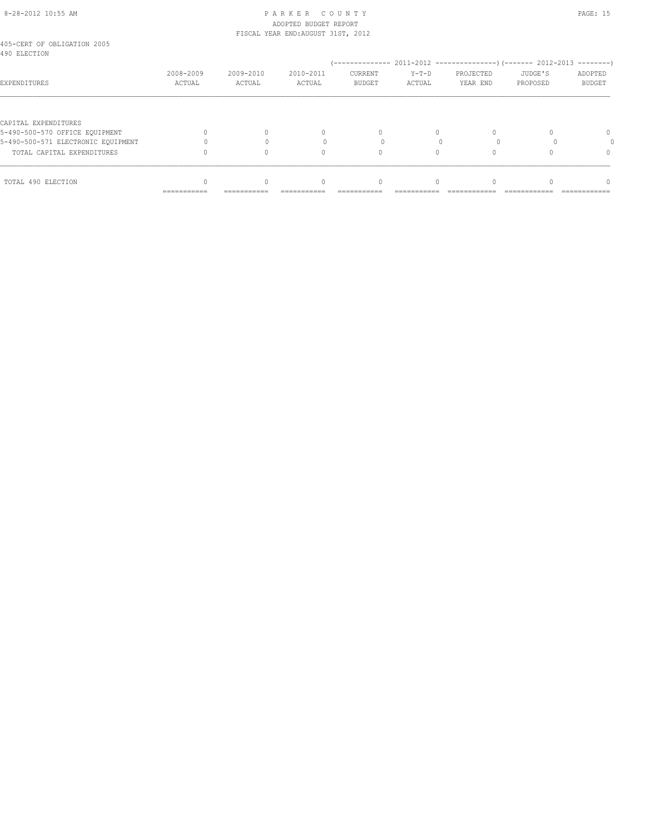#### 8-28-2012 10:55 AM P A R K E R C O U N T Y PAGE: 15 ADOPTED BUDGET REPORT FISCAL YEAR END:AUGUST 31ST, 2012

| 2008-2009<br>ACTUAL | 2009-2010<br>ACTUAL | 2010-2011<br>ACTUAL | CURRENT<br><b>BUDGET</b> | $Y-T-D$<br>ACTUAL                 | PROJECTED<br>YEAR END | JUDGE'S<br>PROPOSED | ADOPTED<br><b>BUDGET</b> |  |
|---------------------|---------------------|---------------------|--------------------------|-----------------------------------|-----------------------|---------------------|--------------------------|--|
|                     |                     |                     |                          |                                   |                       |                     |                          |  |
|                     |                     | 0                   | 0                        | 0                                 |                       |                     | 0                        |  |
|                     |                     |                     |                          |                                   |                       |                     |                          |  |
|                     |                     | 0                   | $\Omega$                 | $\Omega$                          |                       |                     | $\Omega$                 |  |
| ===========         | ===========         | 0                   | 0<br>===========         |                                   |                       |                     |                          |  |
|                     |                     |                     |                          | TIOCHE IEHN ENDINGOUDI GIUIN EUIE |                       |                     |                          |  |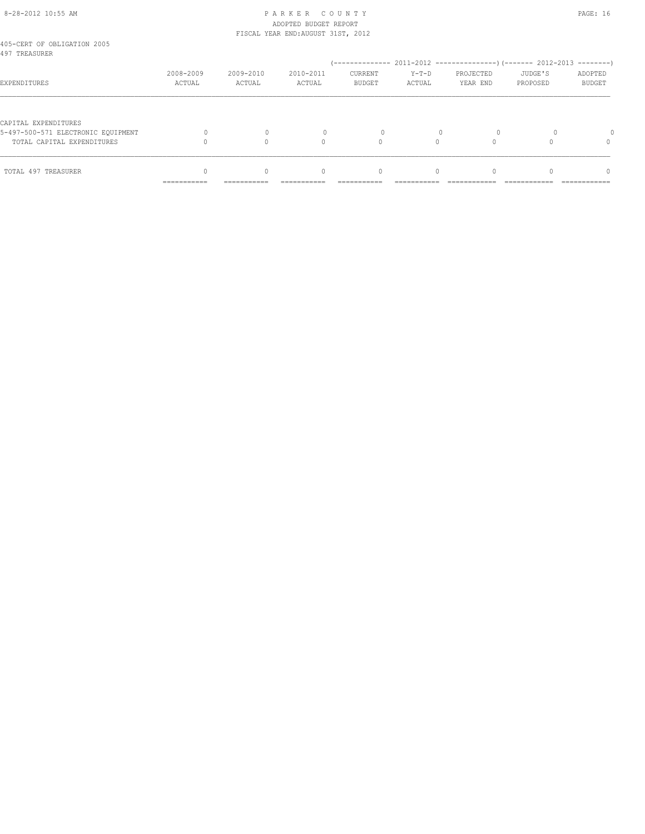# 8-28-2012 10:55 AM P A R K E R C O U N T Y PAGE: 16 ADOPTED BUDGET REPORT FISCAL YEAR END:AUGUST 31ST, 2012

| 405-CERT OF OBLIGATION 2005<br>497 TREASURER |                           |                         |                                                |                          |                        |                       |                     |                          |
|----------------------------------------------|---------------------------|-------------------------|------------------------------------------------|--------------------------|------------------------|-----------------------|---------------------|--------------------------|
|                                              |                           |                         |                                                |                          |                        |                       |                     |                          |
| EXPENDITURES                                 | 2008-2009<br>ACTUAL       | 2009-2010<br>ACTUAL     | 2010-2011<br>ACTUAL                            | CURRENT<br><b>BUDGET</b> | $Y-T-D$<br>ACTUAL      | PROJECTED<br>YEAR END | JUDGE'S<br>PROPOSED | ADOPTED<br><b>BUDGET</b> |
|                                              |                           |                         |                                                |                          |                        |                       |                     |                          |
| CAPITAL EXPENDITURES                         |                           |                         |                                                |                          |                        |                       |                     |                          |
| 5-497-500-571 ELECTRONIC EOUIPMENT           |                           |                         |                                                | $\Omega$                 |                        |                       |                     |                          |
| TOTAL CAPITAL EXPENDITURES                   |                           |                         | $\cap$                                         |                          |                        |                       |                     |                          |
|                                              |                           |                         |                                                |                          |                        |                       |                     |                          |
| TOTAL 497 TREASURER                          | __________<br>----------- | $\Omega$<br>----------- | $\begin{array}{c} \n\end{array}$<br>---------- | 0<br>----------          | $\Omega$<br>---------- |                       |                     | $\cap$<br>------------   |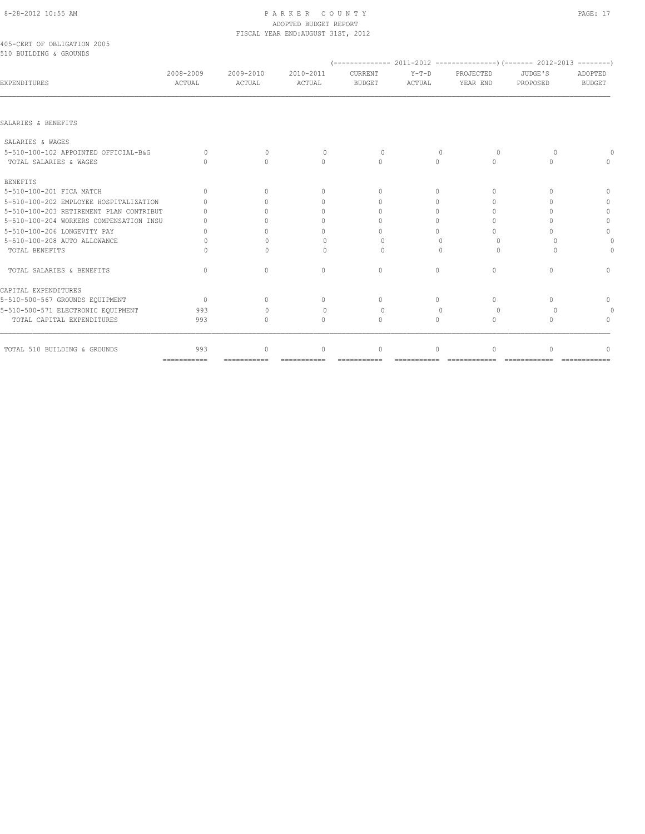# 8-28-2012 10:55 AM PAGE: 17 ADOPTED BUDGET REPORT FISCAL YEAR END:AUGUST 31ST, 2012

405-CERT OF OBLIGATION 2005 510 BUILDING & GROUNDS

| JIV DUIDDING & GNOUNDO                  |                                  |                                  |                                  |                                  |                   |                                  |                     |                          |
|-----------------------------------------|----------------------------------|----------------------------------|----------------------------------|----------------------------------|-------------------|----------------------------------|---------------------|--------------------------|
| <b>EXPENDITURES</b>                     | 2008-2009<br>ACTUAL              | 2009-2010<br>ACTUAL              | 2010-2011<br>ACTUAL              | CURRENT<br><b>BUDGET</b>         | $Y-T-D$<br>ACTUAL | PROJECTED<br>YEAR END            | JUDGE'S<br>PROPOSED | ADOPTED<br><b>BUDGET</b> |
|                                         |                                  |                                  |                                  |                                  |                   |                                  |                     |                          |
| SALARIES & BENEFITS                     |                                  |                                  |                                  |                                  |                   |                                  |                     |                          |
| SALARIES & WAGES                        |                                  |                                  |                                  |                                  |                   |                                  |                     |                          |
| 5-510-100-102 APPOINTED OFFICIAL-B&G    | $\bigcap$                        | $\bigcap$                        | $\Omega$                         | $\bigcap$                        | $\bigcap$         | $\cap$                           | $\cup$              |                          |
| TOTAL SALARIES & WAGES                  | $\cap$                           | $\Omega$                         | $\circ$                          | $\Omega$                         | $\circ$           | $\Omega$                         | $\Omega$            |                          |
| <b>BENEFITS</b>                         |                                  |                                  |                                  |                                  |                   |                                  |                     |                          |
| 5-510-100-201 FICA MATCH                | $\Omega$                         | $\begin{array}{c} \n\end{array}$ | $\begin{array}{c} \n\end{array}$ | $\begin{array}{c} \n\end{array}$ | $\Omega$          | $\begin{array}{c} \n\end{array}$ | 0                   | $\bigcap$                |
| 5-510-100-202 EMPLOYEE HOSPITALIZATION  | $\cap$                           |                                  | $\Omega$                         | $\bigcap$                        | $\bigcap$         | $\cap$                           | $\cup$              | $\cap$                   |
| 5-510-100-203 RETIREMENT PLAN CONTRIBUT |                                  |                                  | $\mathbf{0}$                     | $\cap$                           | $\Omega$          | ∩                                | n                   | $\Omega$                 |
| 5-510-100-204 WORKERS COMPENSATION INSU |                                  |                                  | $\Omega$                         | $\cap$                           | $\Omega$          | ∩                                | ∩                   |                          |
| 5-510-100-206 LONGEVITY PAY             |                                  |                                  | $\Omega$                         | $\cap$                           | $\Omega$          |                                  |                     | $\cap$                   |
| 5-510-100-208 AUTO ALLOWANCE            | 0                                | ∩                                | 0                                | $\Omega$                         | $\cap$            | $\cup$                           | $\Omega$            |                          |
| TOTAL BENEFITS                          | $\cap$                           | $\cap$                           | 0                                | $\cap$                           |                   |                                  | $\cap$              |                          |
| TOTAL SALARIES & BENEFITS               | $\begin{array}{c} \n\end{array}$ | $\begin{array}{c} \n\end{array}$ | $\Omega$                         | $\Omega$                         | $\Omega$          | $\begin{array}{c} \n\end{array}$ | $\bigcap$           |                          |
| CAPITAL EXPENDITURES                    |                                  |                                  |                                  |                                  |                   |                                  |                     |                          |
| 5-510-500-567 GROUNDS EQUIPMENT         | $\overline{0}$                   | $\begin{array}{c} \n\end{array}$ | $\begin{array}{c} \n\end{array}$ | $\begin{array}{c} \n\end{array}$ | $\Omega$          | $\Omega$                         | $\bigcap$           | $\Omega$                 |
| 5-510-500-571 ELECTRONIC EQUIPMENT      | 993                              | $\cap$                           | $\circ$                          | $\Omega$                         | $\cup$            | $\Omega$                         | $\Omega$            |                          |
| TOTAL CAPITAL EXPENDITURES              | 993                              | $\bigcap$                        | $\Omega$                         | $\bigcap$                        | $\Omega$          | $\bigcap$                        | $\bigcap$           |                          |
| TOTAL 510 BUILDING & GROUNDS            | 993                              | $\mathbf 0$                      | $\mathbf{0}$                     | $\circ$                          | $\circ$           | $\Omega$                         | $\cap$              |                          |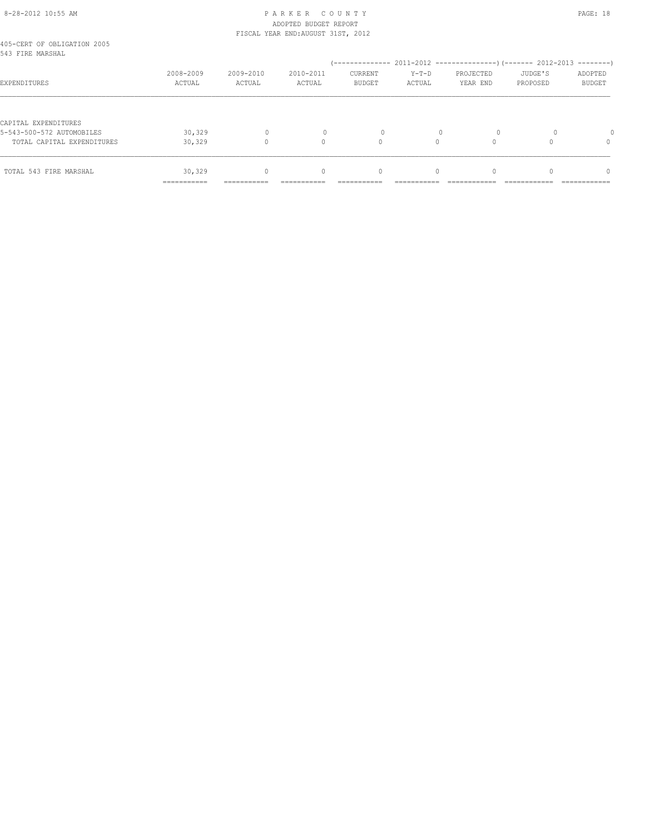# 8-28-2012 10:55 AM P A R K E R C O U N T Y PAGE: 18 ADOPTED BUDGET REPORT FISCAL YEAR END:AUGUST 31ST, 2012

| TOTAL 543 FIRE MARSHAL                            | 30,329              | $\Omega$            | $\begin{array}{c} \n\end{array}$ | $\mathbf{0}$             | $\Omega$          | $\Omega$              |                     | $\Omega$                 |
|---------------------------------------------------|---------------------|---------------------|----------------------------------|--------------------------|-------------------|-----------------------|---------------------|--------------------------|
| TOTAL CAPITAL EXPENDITURES                        | 30,329              |                     | $\cap$                           | 0                        |                   |                       |                     | 0                        |
| CAPITAL EXPENDITURES<br>5-543-500-572 AUTOMOBILES | 30,329              | $\Omega$            |                                  | 0                        |                   | $\Omega$              |                     |                          |
| EXPENDITURES                                      | 2008-2009<br>ACTUAL | 2009-2010<br>ACTUAL | 2010-2011<br>ACTUAL              | CURRENT<br><b>BUDGET</b> | $Y-T-D$<br>ACTUAL | PROJECTED<br>YEAR END | JUDGE'S<br>PROPOSED | ADOPTED<br><b>BUDGET</b> |
| 405-CERT OF OBLIGATION 2005<br>543 FIRE MARSHAL   |                     |                     |                                  |                          |                   |                       |                     |                          |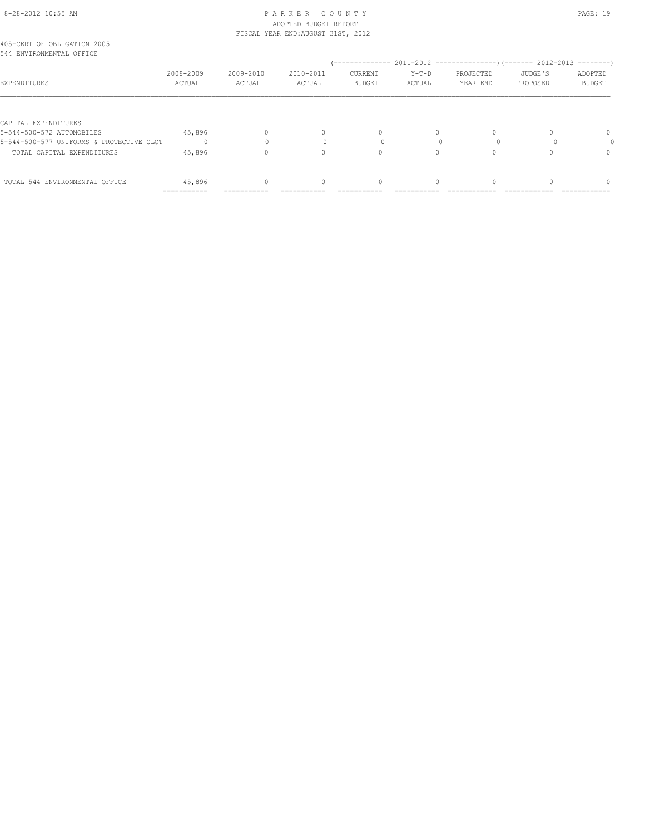# 8-28-2012 10:55 AM P A R K E R C O U N T Y PAGE: 19 ADOPTED BUDGET REPORT

|                                                         | ===========         |                     |                                    |                          |                   |                       |                     |                          |
|---------------------------------------------------------|---------------------|---------------------|------------------------------------|--------------------------|-------------------|-----------------------|---------------------|--------------------------|
| TOTAL 544 ENVIRONMENTAL OFFICE                          | 45,896              |                     | 0                                  |                          |                   |                       |                     |                          |
| TOTAL CAPITAL EXPENDITURES                              | 45,896              |                     | 0                                  |                          |                   |                       |                     | $\Omega$                 |
| 5-544-500-577 UNIFORMS & PROTECTIVE CLOT                |                     |                     |                                    |                          |                   |                       |                     |                          |
| CAPITAL EXPENDITURES<br>5-544-500-572 AUTOMOBILES       | 45,896              |                     | $\begin{array}{c} \n\end{array}$   | $\Omega$                 | $\Omega$          |                       |                     | 0                        |
| EXPENDITURES                                            | 2008-2009<br>ACTUAL | 2009-2010<br>ACTUAL | 2010-2011<br>ACTUAL                | CURRENT<br><b>BUDGET</b> | $Y-T-D$<br>ACTUAL | PROJECTED<br>YEAR END | JUDGE'S<br>PROPOSED | ADOPTED<br><b>BUDGET</b> |
| 405-CERT OF OBLIGATION 2005<br>544 ENVIRONMENTAL OFFICE |                     |                     |                                    |                          |                   |                       |                     |                          |
|                                                         |                     |                     | FISCAL YEAR END: AUGUST 31ST, 2012 |                          |                   |                       |                     |                          |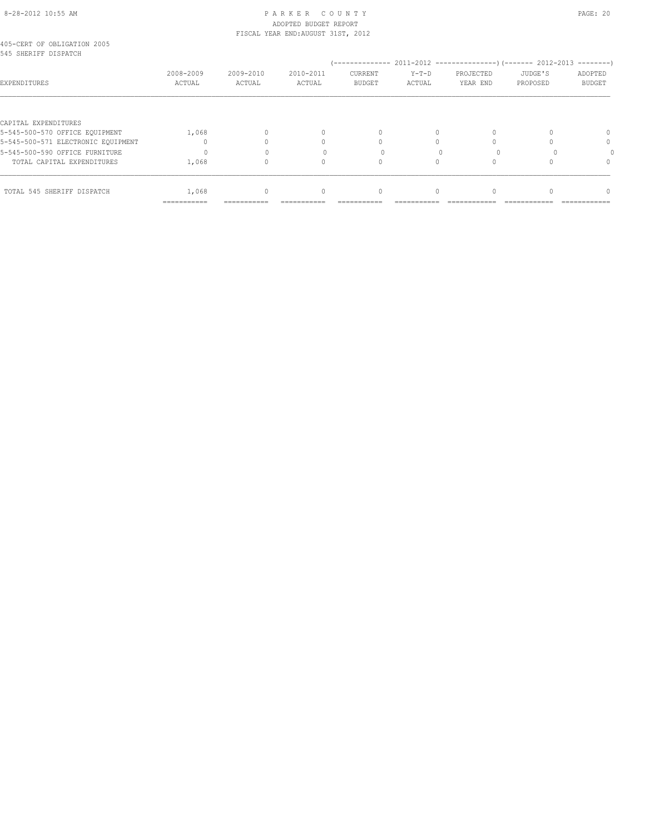# 8-28-2012 10:55 AM P A R K E R C O U N T Y PAGE: 20 ADOPTED BUDGET REPORT

|                                                     |           |           | FISCAL YEAR END: AUGUST 31ST, 2012 |               |         |           |          |         |
|-----------------------------------------------------|-----------|-----------|------------------------------------|---------------|---------|-----------|----------|---------|
| 405-CERT OF OBLIGATION 2005<br>545 SHERIFF DISPATCH |           |           |                                    |               |         |           |          |         |
|                                                     |           |           |                                    |               |         |           |          |         |
|                                                     | 2008-2009 | 2009-2010 | 2010-2011                          | CURRENT       | $Y-T-D$ | PROJECTED | JUDGE'S  | ADOPTED |
| EXPENDITURES                                        | ACTUAL    | ACTUAL    | ACTUAL                             | <b>BUDGET</b> | ACTUAL  | YEAR END  | PROPOSED | BUDGET  |
| CAPITAL EXPENDITURES                                |           |           |                                    |               |         |           |          |         |
| 5-545-500-570 OFFICE EQUIPMENT                      | 1,068     | $\Omega$  |                                    |               | 0       |           | $\Omega$ | ∩ −     |

|                                    | =========== | =========== | ======== |  |  |
|------------------------------------|-------------|-------------|----------|--|--|
| TOTAL 545 SHERIFF DISPATCH         | 1,068       |             |          |  |  |
| TOTAL CAPITAL EXPENDITURES         | 1,068       |             |          |  |  |
| 5-545-500-590 OFFICE FURNITURE     |             |             |          |  |  |
| 5-545-500-571 ELECTRONIC EOUIPMENT |             |             |          |  |  |
| 5-545-500-570 OFFICE EQUIPMENT     | 1,068       |             |          |  |  |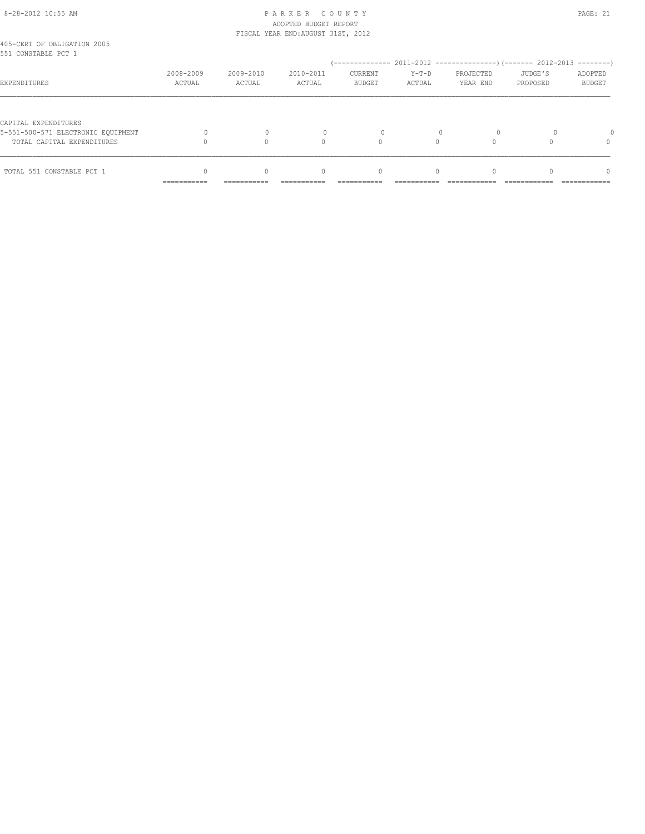# 8-28-2012 10:55 AM P A R K E R C O U N T Y PAGE: 21 ADOPTED BUDGET REPORT FISCAL YEAR END:AUGUST 31ST, 2012

| 2008-2009 | 2009-2010                  | 2010-2011                        | <b>CURRENT</b> | $Y-T-D$  | PROJECTED | JUDGE'S  | ADOPTED       |
|-----------|----------------------------|----------------------------------|----------------|----------|-----------|----------|---------------|
| ACTUAL    | ACTUAL                     | ACTUAL                           | <b>BUDGET</b>  | ACTUAL   | YEAR END  | PROPOSED | <b>BUDGET</b> |
|           |                            | $\cap$                           |                |          |           |          | $\Omega$      |
|           | $\Omega$                   | $\begin{array}{c} \n\end{array}$ | $\mathbf{0}$   | $\Omega$ |           |          | $\Omega$      |
|           | -----------<br>----------- | -----------                      | ----------     |          |           |          |               |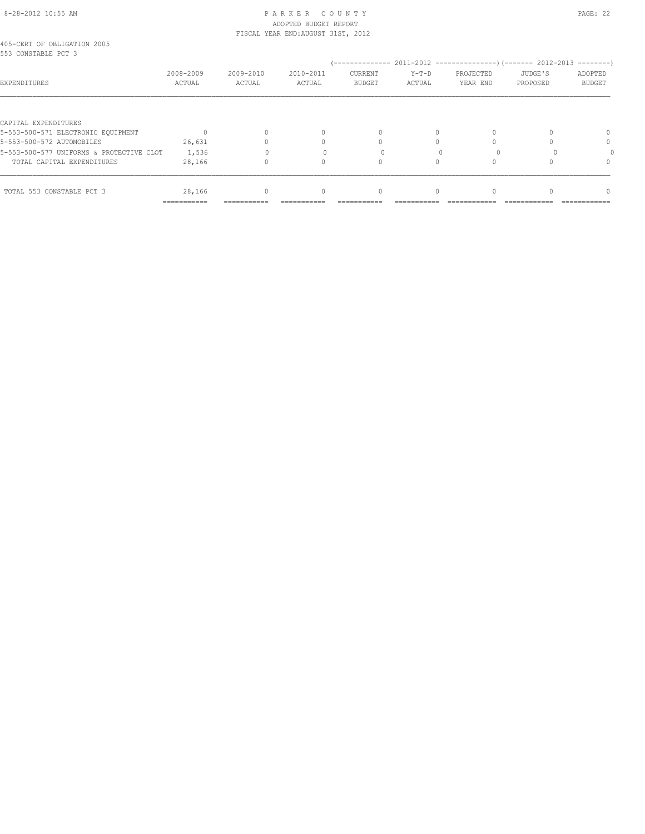# 8-28-2012 10:55 AM P A R K E R C O U N T Y PAGE: 22 ADOPTED BUDGET REPORT FISCAL YEAR END:AUGUST 31ST, 2012

|                     |  | 405-CERT OF OBLIGATION 2005 |  |
|---------------------|--|-----------------------------|--|
| 553 CONSTABLE PCT 3 |  |                             |  |

| JJJ GUNJIADHA KUI J                      |                     |                     |                     |                          |                   |                       |                     | ---------                |
|------------------------------------------|---------------------|---------------------|---------------------|--------------------------|-------------------|-----------------------|---------------------|--------------------------|
| EXPENDITURES                             | 2008-2009<br>ACTUAL | 2009-2010<br>ACTUAL | 2010-2011<br>ACTUAL | CURRENT<br><b>BUDGET</b> | $Y-T-D$<br>ACTUAL | PROJECTED<br>YEAR END | JUDGE'S<br>PROPOSED | ADOPTED<br><b>BUDGET</b> |
|                                          |                     |                     |                     |                          |                   |                       |                     |                          |
| CAPITAL EXPENDITURES                     |                     |                     |                     |                          |                   |                       |                     |                          |
| 5-553-500-571 ELECTRONIC EQUIPMENT       |                     |                     |                     |                          |                   |                       |                     |                          |
| 5-553-500-572 AUTOMOBILES                | 26,631              |                     |                     |                          |                   |                       |                     | 0                        |
| 5-553-500-577 UNIFORMS & PROTECTIVE CLOT | 1,536               |                     |                     |                          |                   |                       |                     |                          |
| TOTAL CAPITAL EXPENDITURES               | 28,166              |                     |                     |                          |                   |                       |                     | n                        |
| TOTAL 553 CONSTABLE PCT 3                | 28,166              | $\Omega$            | $\Omega$            | $\bigcap$                |                   |                       |                     | $\Omega$                 |
|                                          | ------------        | --------------      |                     |                          |                   |                       |                     |                          |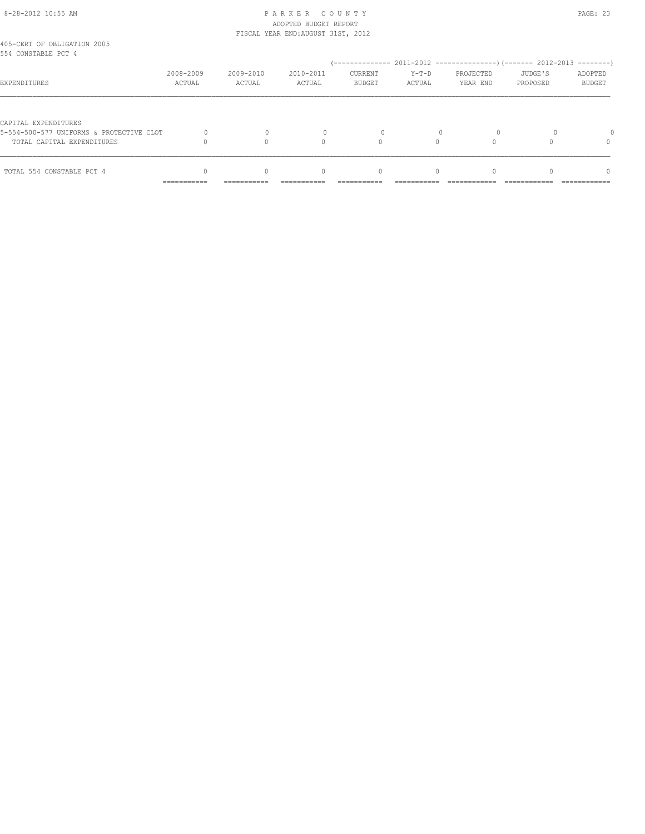# 8-28-2012 10:55 AM P A R K E R C O U N T Y PAGE: 23 ADOPTED BUDGET REPORT FISCAL YEAR END:AUGUST 31ST, 2012

| 405-CERT OF OBLIGATION 2005<br>554 CONSTABLE PCT 4 |                           |             |                                  |               |          |           |          |               |
|----------------------------------------------------|---------------------------|-------------|----------------------------------|---------------|----------|-----------|----------|---------------|
|                                                    | 2008-2009                 | 2009-2010   | 2010-2011                        | CURRENT       | $Y-T-D$  | PROJECTED | JUDGE'S  | ADOPTED       |
| EXPENDITURES                                       | ACTUAL                    | ACTUAL      | ACTUAL                           | <b>BUDGET</b> | ACTUAL   | YEAR END  | PROPOSED | <b>BUDGET</b> |
| CAPITAL EXPENDITURES                               |                           |             |                                  |               |          |           |          |               |
| 5-554-500-577 UNIFORMS & PROTECTIVE CLOT           |                           |             |                                  |               |          |           |          |               |
| TOTAL CAPITAL EXPENDITURES                         |                           |             |                                  |               |          |           |          |               |
| TOTAL 554 CONSTABLE PCT 4                          |                           | $\Omega$    | $\begin{array}{c} \n\end{array}$ | $\mathbf{0}$  | $\Omega$ |           |          | n             |
|                                                    | __________<br>----------- | ----------- | ----------                       |               |          |           |          | ------------  |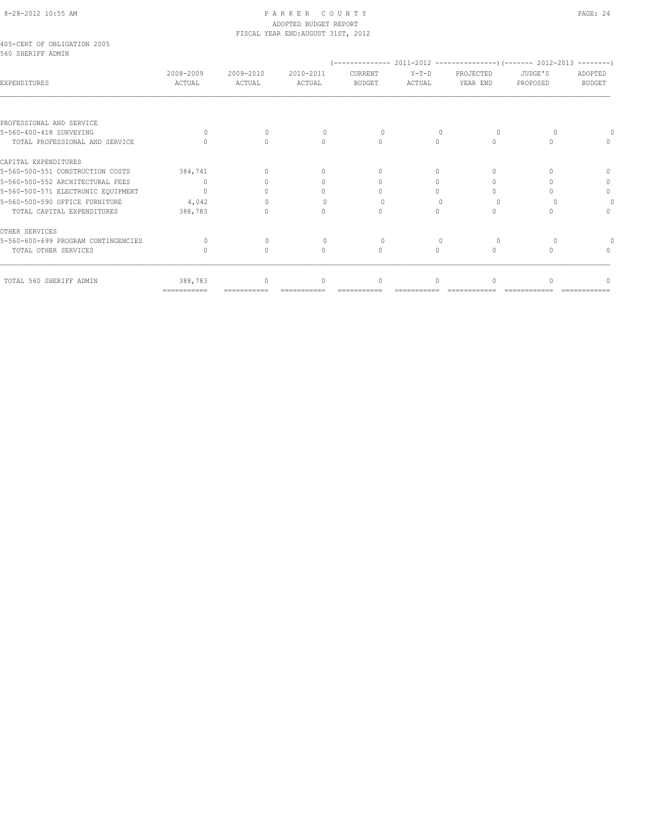# 8-28-2012 10:55 AM PAGE: 24 ADOPTED BUDGET REPORT FISCAL YEAR END:AUGUST 31ST, 2012

|  | 405-CERT OF OBLIGATION 2005 |  |
|--|-----------------------------|--|
|  | 560 SHERTEF ADMIN           |  |

| <b>EXPENDITURES</b>                 | 2008-2009<br>ACTUAL       | 2009-2010<br>ACTUAL | 2010-2011<br>ACTUAL | CURRENT<br><b>BUDGET</b> | Y-T-D<br>ACTUAL | PROJECTED<br>YEAR END | JUDGE'S<br>PROPOSED | ADOPTED<br><b>BUDGET</b> |
|-------------------------------------|---------------------------|---------------------|---------------------|--------------------------|-----------------|-----------------------|---------------------|--------------------------|
|                                     |                           |                     |                     |                          |                 |                       |                     |                          |
| PROFESSIONAL AND SERVICE            |                           |                     |                     |                          |                 |                       |                     |                          |
| 5-560-400-418 SURVEYING             |                           |                     |                     |                          |                 |                       |                     |                          |
| TOTAL PROFESSIONAL AND SERVICE      |                           |                     |                     |                          |                 |                       |                     |                          |
| CAPITAL EXPENDITURES                |                           |                     |                     |                          |                 |                       |                     |                          |
| 5-560-500-551 CONSTRUCTION COSTS    | 384,741                   | $\cap$              |                     |                          |                 |                       |                     |                          |
| 5-560-500-552 ARCHITECTURAL FEES    | $\cup$                    |                     |                     |                          |                 |                       |                     |                          |
| 5-560-500-571 ELECTRONIC EQUIPMENT  |                           |                     |                     |                          |                 |                       |                     | 0                        |
| 5-560-500-590 OFFICE FURNITURE      | 4,042                     |                     |                     |                          |                 |                       |                     |                          |
| TOTAL CAPITAL EXPENDITURES          | 388,783                   |                     |                     |                          |                 |                       |                     |                          |
| OTHER SERVICES                      |                           |                     |                     |                          |                 |                       |                     |                          |
| 5-560-600-699 PROGRAM CONTINGENCIES |                           |                     |                     |                          |                 |                       |                     |                          |
| TOTAL OTHER SERVICES                |                           |                     |                     | 0                        | 0               |                       |                     |                          |
| TOTAL 560 SHERIFF ADMIN             | 388,783                   | $\bigcap$           | $\cap$              | $\cup$                   | $\Omega$        |                       |                     |                          |
|                                     | $=$ = = = = = = = = = = = |                     |                     |                          |                 |                       |                     |                          |
|                                     |                           |                     |                     |                          |                 |                       |                     |                          |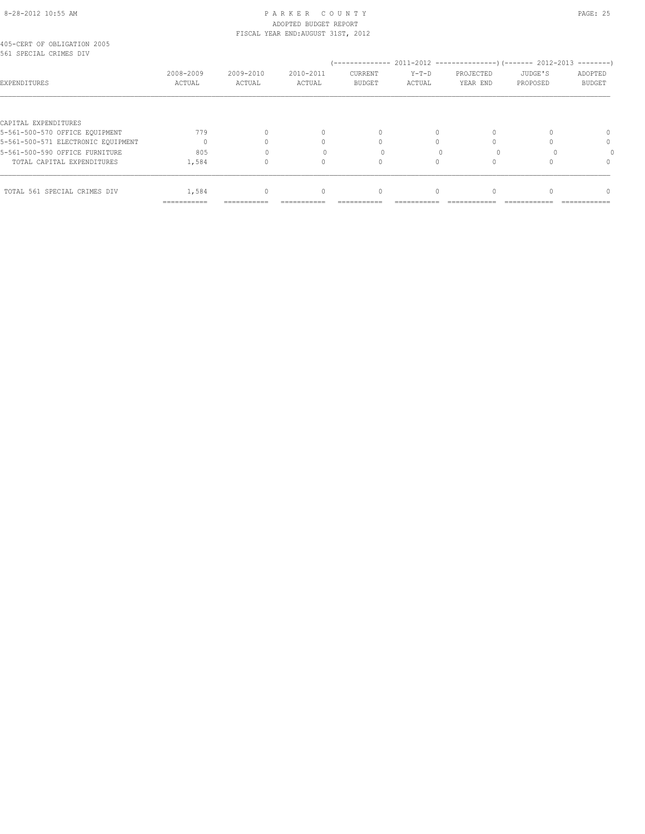# 8-28-2012 10:55 AM P A R K E R C O U N T Y PAGE: 25 ADOPTED BUDGET REPORT FISCAL YEAR END:AUGUST 31ST, 2012

|  | 405-CERT OF OBLIGATION 2005 |  |  |
|--|-----------------------------|--|--|
|  | 561 SPECIAL CRIMES DIV      |  |  |

|                                    |                |            |           |               |         |           |          | $------$ |
|------------------------------------|----------------|------------|-----------|---------------|---------|-----------|----------|----------|
|                                    | 2008-2009      | 2009-2010  | 2010-2011 | CURRENT       | $Y-T-D$ | PROJECTED | JUDGE'S  | ADOPTED  |
| EXPENDITURES                       | ACTUAL         | ACTUAL     | ACTUAL    | <b>BUDGET</b> | ACTUAL  | YEAR END  | PROPOSED | BUDGET   |
| CAPITAL EXPENDITURES               |                |            |           |               |         |           |          |          |
| 5-561-500-570 OFFICE EQUIPMENT     | 779            |            |           |               |         |           |          | $\Omega$ |
|                                    |                |            |           |               |         |           |          |          |
| 5-561-500-571 ELECTRONIC EQUIPMENT |                |            |           |               |         |           |          | $\Omega$ |
| 5-561-500-590 OFFICE FURNITURE     | 805            |            |           |               |         |           |          |          |
| TOTAL CAPITAL EXPENDITURES         | 1,584          |            |           |               |         |           |          | $\Omega$ |
| TOTAL 561 SPECIAL CRIMES DIV       | 1,584          | $\Omega$   | $\Omega$  | $\bigcap$     |         |           |          | $\Omega$ |
|                                    | -------------- | ---------- |           |               |         |           |          |          |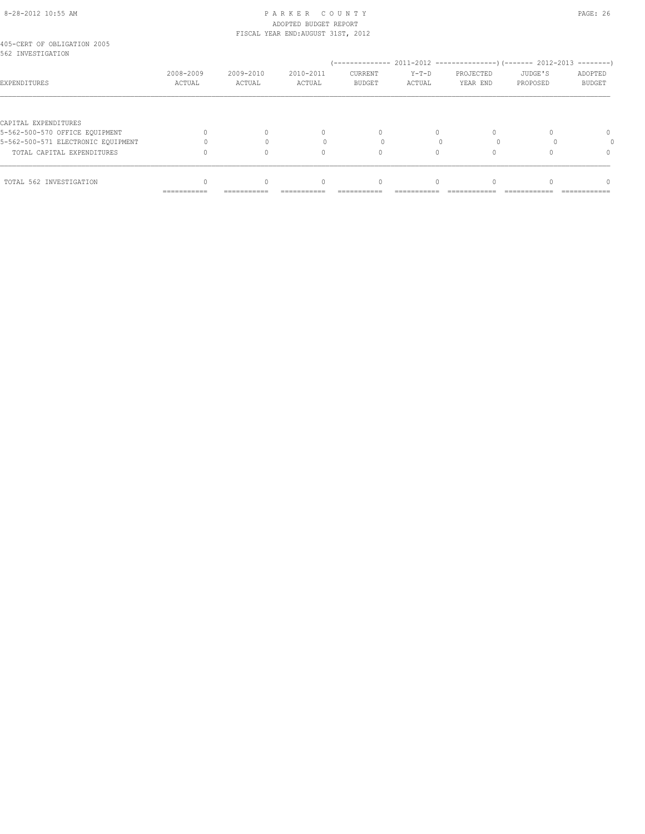#### 8-28-2012 10:55 AM P A R K E R C O U N T Y PAGE: 26 ADOPTED BUDGET REPORT FISCAL YEAR END:AUGUST 31ST, 2012

| 405-CERT OF OBLIGATION 2005<br>562 INVESTIGATION       |                     |                     |                     |                          |                   |                       |                     |                   |
|--------------------------------------------------------|---------------------|---------------------|---------------------|--------------------------|-------------------|-----------------------|---------------------|-------------------|
| EXPENDITURES                                           | 2008-2009<br>ACTUAL | 2009-2010<br>ACTUAL | 2010-2011<br>ACTUAL | CURRENT<br><b>BUDGET</b> | $Y-T-D$<br>ACTUAL | PROJECTED<br>YEAR END | JUDGE'S<br>PROPOSED | ADOPTED<br>BUDGET |
|                                                        |                     |                     |                     |                          |                   |                       |                     |                   |
| CAPITAL EXPENDITURES<br>5-562-500-570 OFFICE EQUIPMENT |                     |                     | 0                   | $\Omega$                 |                   |                       |                     | 0                 |
| 5-562-500-571 ELECTRONIC EQUIPMENT                     |                     |                     |                     |                          |                   |                       |                     |                   |
|                                                        |                     |                     |                     |                          |                   |                       |                     |                   |
| TOTAL CAPITAL EXPENDITURES                             |                     |                     | 0                   | $\Omega$                 |                   |                       |                     | $\Omega$          |
| TOTAL 562 INVESTIGATION                                |                     |                     | $\cap$              | 0                        |                   |                       |                     |                   |
|                                                        | ===========         | ===========         |                     | :==========              |                   |                       |                     |                   |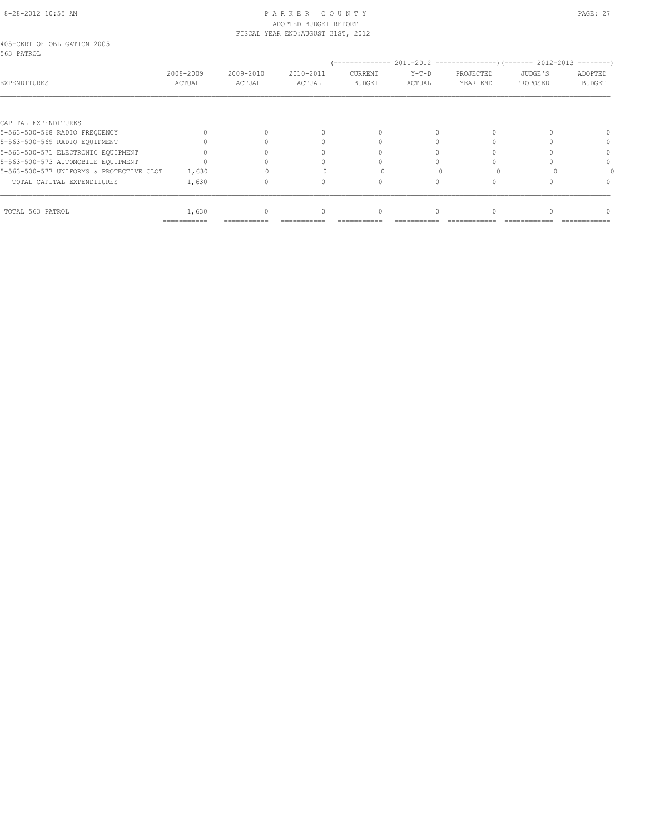# 8-28-2012 10:55 AM PAGE: 27 ADOPTED BUDGET REPORT FISCAL YEAR END:AUGUST 31ST, 2012

|            | 405-CERT OF OBLIGATION 2005 |  |
|------------|-----------------------------|--|
| 563 PATROL |                             |  |

| 2008-2009<br>ACTUAL | 2009-2010<br>ACTUAL | 2010-2011<br>ACTUAL | CURRENT<br><b>BUDGET</b> | $Y-T-D$<br>ACTUAL | PROJECTED<br>YEAR END | JUDGE'S<br>PROPOSED | ADOPTED<br><b>BUDGET</b> |
|---------------------|---------------------|---------------------|--------------------------|-------------------|-----------------------|---------------------|--------------------------|
|                     |                     |                     |                          |                   |                       |                     |                          |
|                     |                     |                     |                          |                   |                       |                     |                          |
|                     |                     |                     | $\Omega$                 |                   | 0                     |                     |                          |
|                     |                     |                     |                          |                   |                       |                     | $\Omega$                 |
|                     |                     |                     |                          |                   |                       |                     | $^{0}$                   |
|                     |                     |                     |                          |                   |                       |                     | $\Omega$                 |
| 1,630               |                     |                     |                          |                   |                       |                     |                          |
| 1,630               |                     |                     |                          |                   |                       |                     | $^{0}$                   |
|                     |                     |                     |                          |                   |                       |                     | $^{0}$                   |
|                     | 1,630               | $\Omega$            |                          | 0                 |                       |                     |                          |

=========== =========== =========== =========== =========== ============ ============ ============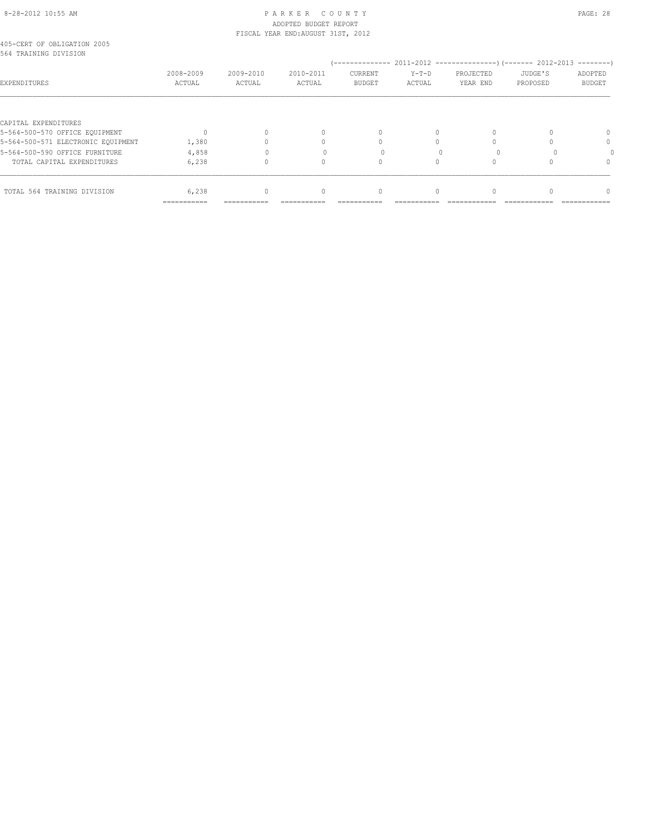# 8-28-2012 10:55 AM P A R K E R C O U N T Y PAGE: 28 ADOPTED BUDGET REPORT FISCAL YEAR END:AUGUST 31ST, 2012

|  | 405-CERT OF OBLIGATION 2005 |  |
|--|-----------------------------|--|
|  | 564 TRAINING DIVISION       |  |

| 904 TKAINING DIVISION              |                     |                     |                     |                          |                   |                       |                     |                          |
|------------------------------------|---------------------|---------------------|---------------------|--------------------------|-------------------|-----------------------|---------------------|--------------------------|
| EXPENDITURES                       | 2008-2009<br>ACTUAL | 2009-2010<br>ACTUAL | 2010-2011<br>ACTUAL | CURRENT<br><b>BUDGET</b> | $Y-T-D$<br>ACTUAL | PROJECTED<br>YEAR END | JUDGE'S<br>PROPOSED | ADOPTED<br><b>BUDGET</b> |
|                                    |                     |                     |                     |                          |                   |                       |                     |                          |
| CAPITAL EXPENDITURES               |                     |                     |                     |                          |                   |                       |                     |                          |
| 5-564-500-570 OFFICE EQUIPMENT     |                     |                     |                     | $\Omega$                 | 0                 | 0                     |                     | $\Omega$                 |
| 5-564-500-571 ELECTRONIC EQUIPMENT | 1,380               |                     |                     |                          |                   |                       |                     | 0                        |
| 5-564-500-590 OFFICE FURNITURE     | 4,858               |                     |                     |                          |                   |                       |                     |                          |
| TOTAL CAPITAL EXPENDITURES         | 6,238               |                     |                     | Ω                        |                   |                       |                     | $\Omega$                 |
|                                    |                     |                     |                     |                          |                   |                       |                     |                          |
| TOTAL 564 TRAINING DIVISION        | 6,238               | 0                   |                     | $\mathbf{0}$             | 0                 | 0                     |                     | $\cap$                   |
|                                    | ===========         |                     |                     |                          |                   |                       |                     |                          |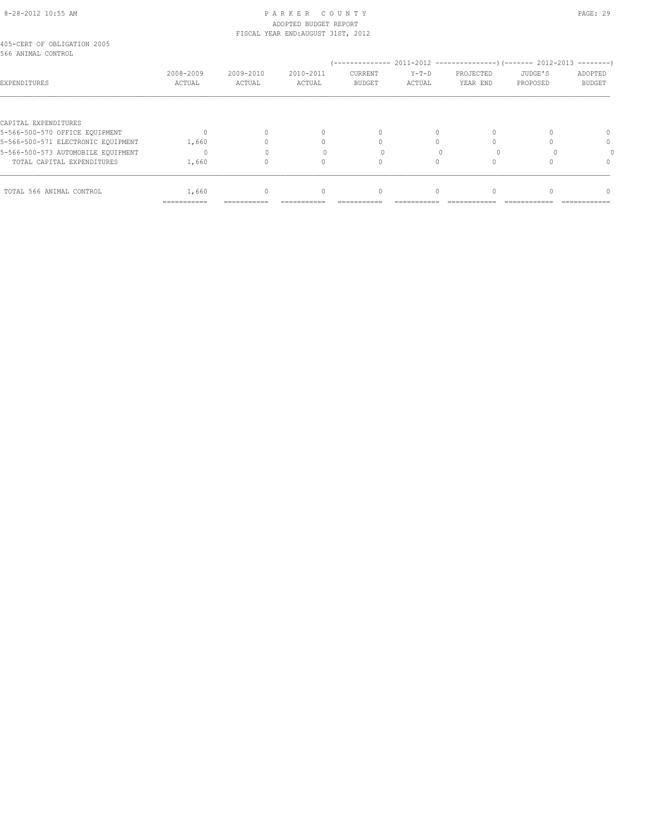# 8-28-2012 10:55 AM P A R K E R C O U N T Y PAGE: 29 ADOPTED BUDGET REPORT FISCAL YEAR END:AUGUST 31ST, 2012

| 405-CERT OF OBLIGATION 2005<br>566 ANIMAL CONTROL |           |           |           |               |         |           |          |               |
|---------------------------------------------------|-----------|-----------|-----------|---------------|---------|-----------|----------|---------------|
|                                                   |           |           |           |               |         |           |          |               |
|                                                   | 2008-2009 | 2009-2010 | 2010-2011 | CURRENT       | $Y-T-D$ | PROJECTED | JUDGE'S  | ADOPTED       |
| EXPENDITURES                                      | ACTUAL    | ACTUAL    | ACTUAL    | <b>BUDGET</b> | ACTUAL  | YEAR END  | PROPOSED | <b>BUDGET</b> |
|                                                   |           |           |           |               |         |           |          |               |
|                                                   |           |           |           |               |         |           |          |               |

| CAPITAL EXPENDITURES               |                              |             |             |                              |                 |                              |               |                                 |
|------------------------------------|------------------------------|-------------|-------------|------------------------------|-----------------|------------------------------|---------------|---------------------------------|
| 5-566-500-570 OFFICE EQUIPMENT     |                              |             |             |                              |                 |                              |               | $\Omega$                        |
| 5-566-500-571 ELECTRONIC EQUIPMENT | 1,660                        |             |             |                              |                 |                              |               | $\Omega$                        |
| 5-566-500-573 AUTOMOBILE EQUIPMENT |                              |             |             |                              |                 |                              |               |                                 |
| TOTAL CAPITAL EXPENDITURES         | 1,660                        |             |             |                              |                 |                              |               |                                 |
| TOTAL 566 ANIMAL CONTROL           | 1,660                        |             |             |                              |                 |                              |               |                                 |
|                                    | -------------<br>----------- | ----------- | ___________ | -------------<br>----------- | __________<br>. | ____________<br>____________ | ------------- | --------------<br>------------- |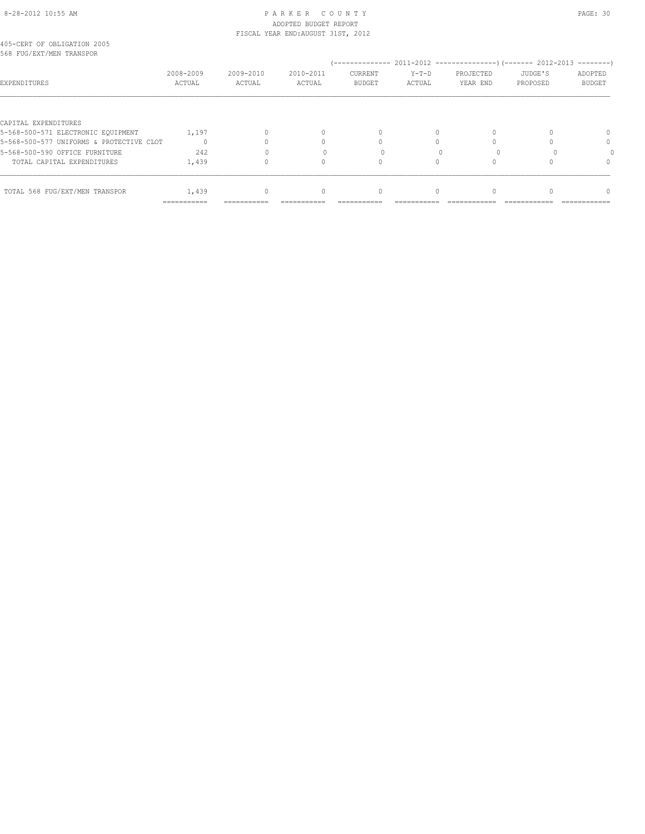# 8-28-2012 10:55 AM P A R K E R C O U N T Y PAGE: 30 ADOPTED BUDGET REPORT FISCAL YEAR END:AUGUST 31ST, 2012

|  |  | 405-CERT OF OBLIGATION 2005 |  |
|--|--|-----------------------------|--|
|  |  | 568 FUG/EXT/MEN TRANSPOR    |  |

| 008 FUG/EXT/MEN TRANSPOR                 |                     |                     |                     |                          |                   |                       |                     |                          |
|------------------------------------------|---------------------|---------------------|---------------------|--------------------------|-------------------|-----------------------|---------------------|--------------------------|
| EXPENDITURES                             | 2008-2009<br>ACTUAL | 2009-2010<br>ACTUAL | 2010-2011<br>ACTUAL | CURRENT<br><b>BUDGET</b> | $Y-T-D$<br>ACTUAL | PROJECTED<br>YEAR END | JUDGE'S<br>PROPOSED | ADOPTED<br><b>BUDGET</b> |
|                                          |                     |                     |                     |                          |                   |                       |                     |                          |
| CAPITAL EXPENDITURES                     |                     |                     |                     |                          |                   |                       |                     |                          |
| 5-568-500-571 ELECTRONIC EOUIPMENT       | 1,197               |                     |                     | 0                        | 0                 |                       |                     |                          |
| 5-568-500-577 UNIFORMS & PROTECTIVE CLOT |                     |                     |                     |                          |                   |                       |                     | 0                        |
| 5-568-500-590 OFFICE FURNITURE           | 242                 |                     |                     |                          |                   |                       |                     |                          |
| TOTAL CAPITAL EXPENDITURES               | 1,439               |                     |                     |                          |                   |                       |                     | 0                        |
| TOTAL 568 FUG/EXT/MEN TRANSPOR           | 1,439               |                     |                     | $\Omega$                 | 0                 |                       |                     | ∩                        |
|                                          | ===========         |                     |                     |                          |                   |                       |                     |                          |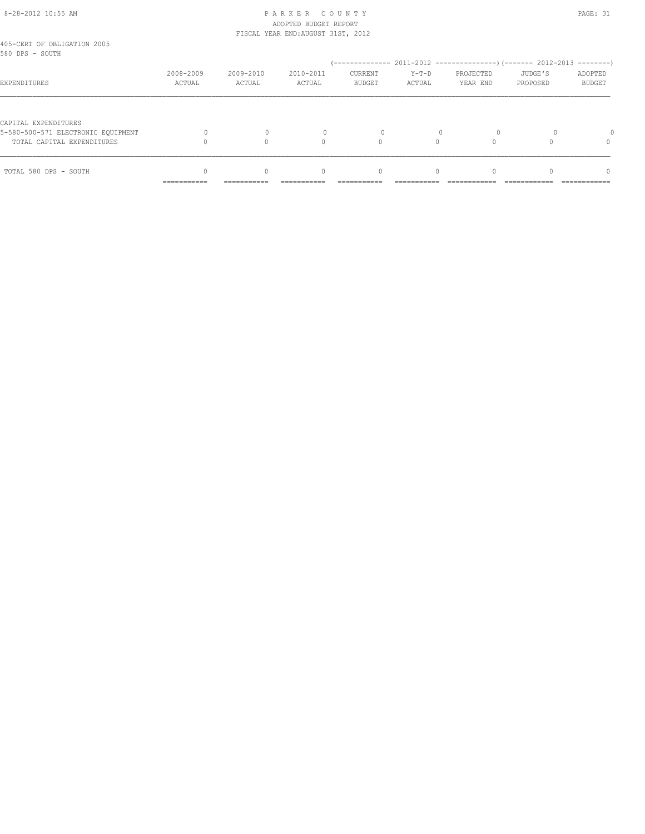# 8-28-2012 10:55 AM P A R K E R C O U N T Y PAGE: 31 ADOPTED BUDGET REPORT FISCAL YEAR END:AUGUST 31ST, 2012

| TOTAL 580 DPS - SOUTH                                      | __________<br>----------- | $\Omega$<br>----------- | $\begin{array}{c} \n\end{array}$ | $\mathbf{0}$                    | $\Omega$          |                       |                     | $\Omega$<br>------------ |
|------------------------------------------------------------|---------------------------|-------------------------|----------------------------------|---------------------------------|-------------------|-----------------------|---------------------|--------------------------|
|                                                            |                           |                         |                                  |                                 |                   |                       |                     |                          |
| TOTAL CAPITAL EXPENDITURES                                 |                           |                         | Λ                                |                                 |                   |                       |                     | $\Omega$                 |
| CAPITAL EXPENDITURES<br>5-580-500-571 ELECTRONIC EOUIPMENT |                           |                         |                                  |                                 |                   | $\Omega$              |                     |                          |
| EXPENDITURES                                               | 2008-2009<br>ACTUAL       | 2009-2010<br>ACTUAL     | 2010-2011<br>ACTUAL              | <b>CURRENT</b><br><b>BUDGET</b> | $Y-T-D$<br>ACTUAL | PROJECTED<br>YEAR END | JUDGE'S<br>PROPOSED | ADOPTED<br><b>BUDGET</b> |
| 405-CERT OF OBLIGATION 2005<br>580 DPS - SOUTH             |                           |                         |                                  |                                 |                   |                       |                     |                          |
|                                                            |                           |                         |                                  |                                 |                   |                       |                     |                          |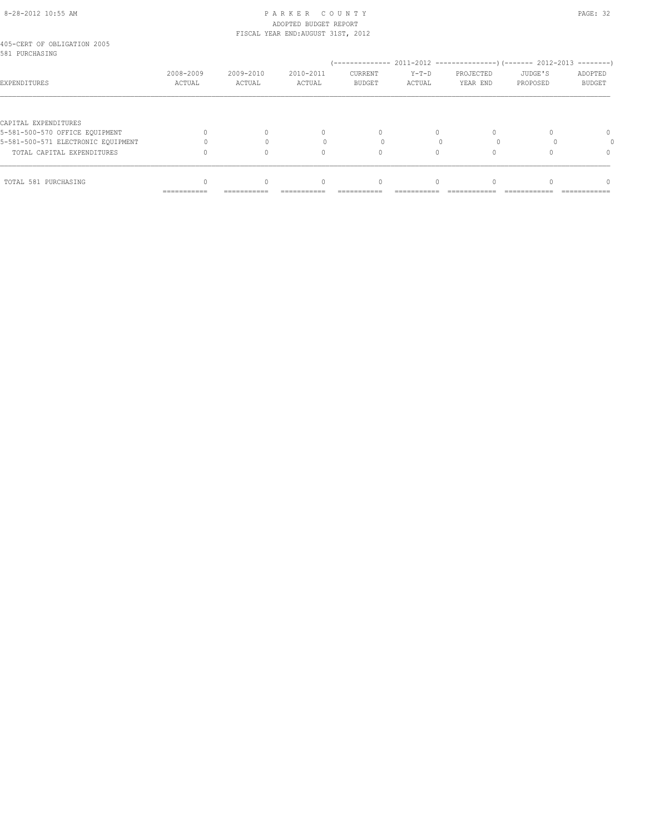# 8-28-2012 10:55 AM P A R K E R C O U N T Y PAGE: 32 ADOPTED BUDGET REPORT

| TOTAL 581 PURCHASING                                   | ==========          |                     | $\Omega$                           |                          |                   |                       |                     |                          |  |
|--------------------------------------------------------|---------------------|---------------------|------------------------------------|--------------------------|-------------------|-----------------------|---------------------|--------------------------|--|
|                                                        |                     |                     |                                    |                          |                   |                       |                     |                          |  |
| TOTAL CAPITAL EXPENDITURES                             |                     |                     | n                                  |                          |                   |                       |                     | $\Omega$                 |  |
| 5-581-500-571 ELECTRONIC EOUIPMENT                     |                     |                     |                                    |                          |                   |                       |                     |                          |  |
| CAPITAL EXPENDITURES<br>5-581-500-570 OFFICE EQUIPMENT |                     |                     | $\begin{array}{c} \n\end{array}$   | $\Omega$                 | $\Omega$          |                       |                     | $\Omega$                 |  |
| EXPENDITURES                                           | 2008-2009<br>ACTUAL | 2009-2010<br>ACTUAL | 2010-2011<br>ACTUAL                | CURRENT<br><b>BUDGET</b> | $Y-T-D$<br>ACTUAL | PROJECTED<br>YEAR END | JUDGE'S<br>PROPOSED | ADOPTED<br><b>BUDGET</b> |  |
| 405-CERT OF OBLIGATION 2005<br>581 PURCHASING          |                     |                     |                                    |                          |                   |                       |                     |                          |  |
|                                                        |                     |                     | FISCAL YEAR END: AUGUST 31ST, 2012 |                          |                   |                       |                     |                          |  |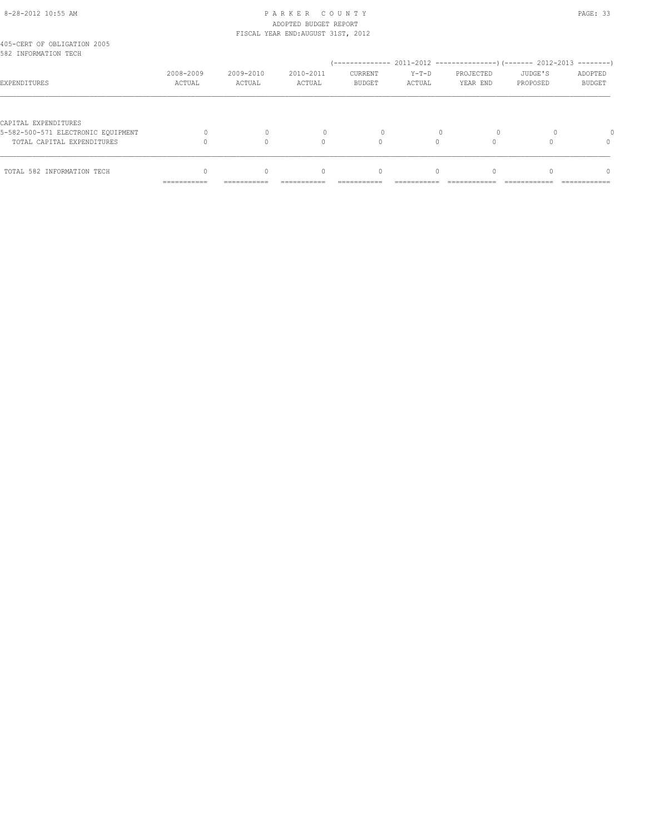## 8-28-2012 10:55 AM P A R K E R C O U N T Y PAGE: 33 ADOPTED BUDGET REPORT FISCAL YEAR END:AUGUST 31ST, 2012

| 405-CERT OF OBLIGATION 2005<br>582 INFORMATION TECH              |                           |                     |                                  |                                 |                   |                       |                     |                          |
|------------------------------------------------------------------|---------------------------|---------------------|----------------------------------|---------------------------------|-------------------|-----------------------|---------------------|--------------------------|
| EXPENDITURES                                                     | 2008-2009<br>ACTUAL       | 2009-2010<br>ACTUAL | 2010-2011<br>ACTUAL              | <b>CURRENT</b><br><b>BUDGET</b> | $Y-T-D$<br>ACTUAL | PROJECTED<br>YEAR END | JUDGE'S<br>PROPOSED | ADOPTED<br><b>BUDGET</b> |
| CAPITAL EXPENDITURES                                             |                           |                     |                                  |                                 |                   |                       |                     |                          |
| 5-582-500-571 ELECTRONIC EOUIPMENT<br>TOTAL CAPITAL EXPENDITURES |                           |                     |                                  |                                 |                   |                       |                     |                          |
| TOTAL 582 INFORMATION TECH                                       | __________<br>----------- | -----------         | $\begin{array}{c} \n\end{array}$ | $\Omega$                        | $\Omega$          |                       |                     | n<br>-----------         |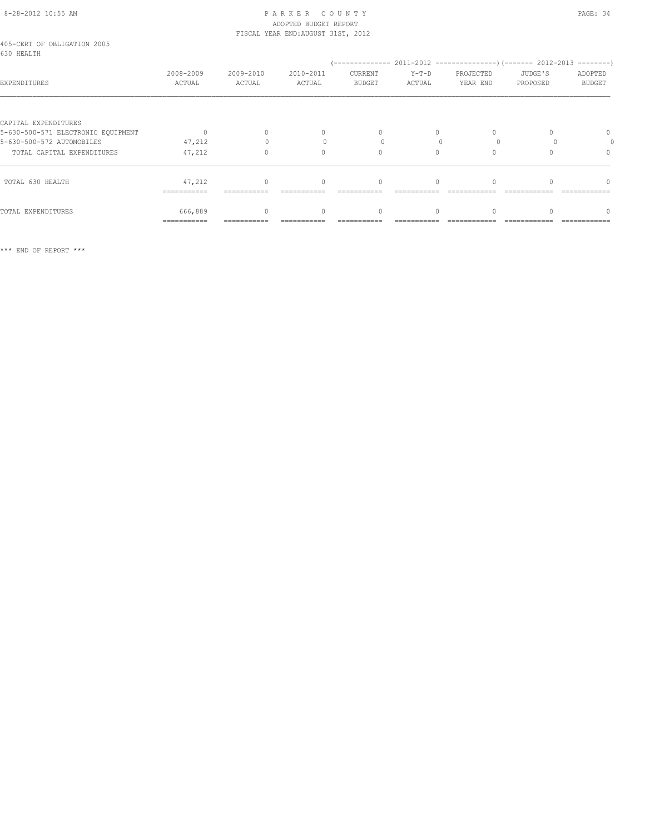# 8-28-2012 10:55 AM PAGE: 34 ADOPTED BUDGET REPORT

|                                                            | ---------           |                     |                                    |                          |                   |                       |                     |                          |  |  |
|------------------------------------------------------------|---------------------|---------------------|------------------------------------|--------------------------|-------------------|-----------------------|---------------------|--------------------------|--|--|
| TOTAL 630 HEALTH                                           | 47,212              |                     | $\Omega$                           | 0                        |                   |                       |                     |                          |  |  |
| TOTAL CAPITAL EXPENDITURES                                 | 47,212              | $\Omega$            | $\begin{array}{c} \n\end{array}$   | 0                        | $\Omega$          |                       |                     | $\Omega$                 |  |  |
| 5-630-500-572 AUTOMOBILES                                  | 47,212              |                     |                                    |                          |                   |                       |                     |                          |  |  |
| CAPITAL EXPENDITURES<br>5-630-500-571 ELECTRONIC EOUIPMENT |                     |                     | $\mathbf{0}$                       | $\circ$                  | 0                 |                       |                     | 0                        |  |  |
| EXPENDITURES                                               | 2008-2009<br>ACTUAL | 2009-2010<br>ACTUAL | 2010-2011<br>ACTUAL                | CURRENT<br><b>BUDGET</b> | $Y-T-D$<br>ACTUAL | PROJECTED<br>YEAR END | JUDGE'S<br>PROPOSED | ADOPTED<br><b>BUDGET</b> |  |  |
| 405-CERT OF OBLIGATION 2005<br>630 HEALTH                  |                     |                     |                                    |                          |                   |                       |                     |                          |  |  |
|                                                            |                     |                     | FISCAL YEAR END: AUGUST 31ST, 2012 |                          |                   |                       |                     |                          |  |  |

TOTAL EXPENDITURES 666,889 0 0 0 0 0 0 0 =========== =========== =========== =========== =========== ============ ============ ============

\*\*\* END OF REPORT \*\*\*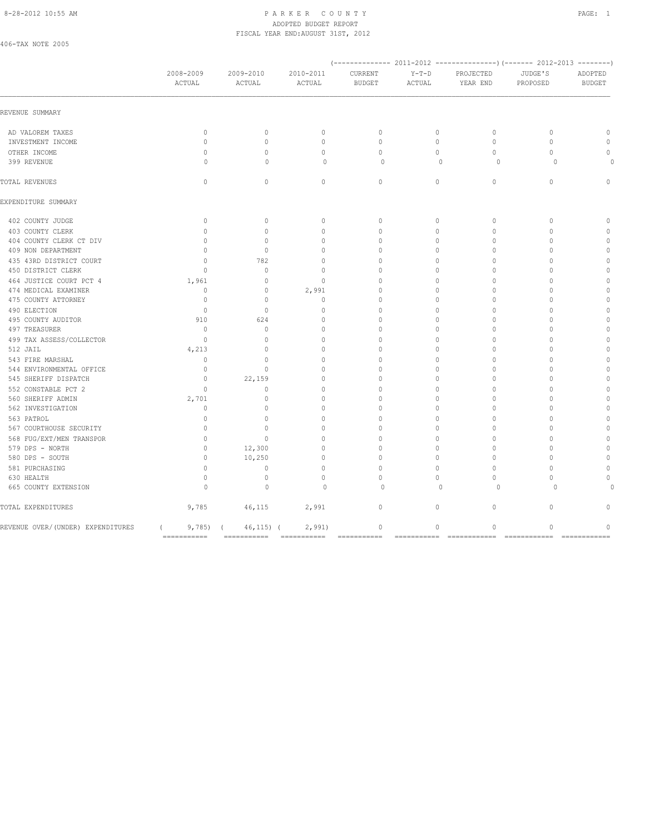#### 8-28-2012 10:55 AM P A R K E R C O U N T Y PAGE: 1 ADOPTED BUDGET REPORT FISCAL YEAR END:AUGUST 31ST, 2012

406-TAX NOTE 2005

|                                     | 2008-2009<br>ACTUAL                      | 2009-2010<br>ACTUAL              | 2010-2011<br>ACTUAL      | CURRENT<br><b>BUDGET</b> | $Y-T-D$<br>ACTUAL      | PROJECTED<br>YEAR END                    | JUDGE'S<br>PROPOSED      | ADOPTED<br><b>BUDGET</b>    |
|-------------------------------------|------------------------------------------|----------------------------------|--------------------------|--------------------------|------------------------|------------------------------------------|--------------------------|-----------------------------|
| REVENUE SUMMARY                     |                                          |                                  |                          |                          |                        |                                          |                          |                             |
| AD VALOREM TAXES                    | $\circ$                                  | $\circ$                          | $\mathbf{0}$             | $\circ$                  | $\circ$                | $\circ$                                  | $\mathbf{0}$             | $\mathbf 0$                 |
| INVESTMENT INCOME                   | $\circ$                                  | $\circ$                          | $\circ$                  | $\circ$                  | $\circ$                | $\circ$                                  | $\circ$                  | $\circ$                     |
| OTHER INCOME                        | $\mathbf{0}$                             | $\Omega$                         | $\Omega$                 | $\Omega$                 | $\circ$                | $\Omega$                                 | $\Omega$                 | $\circ$                     |
| 399 REVENUE                         | 0                                        | $\mathbf{0}$                     | $\circ$                  | $\mathbf 0$              | $\mathbf{0}$           | $\circ$                                  | $\circ$                  |                             |
| TOTAL REVENUES                      | $\mathbf{0}$                             | $\circ$                          | $\circ$                  | $\circ$                  | $\circ$                | $\circ$                                  | $\mathbf{0}$             | $\circ$                     |
| EXPENDITURE SUMMARY                 |                                          |                                  |                          |                          |                        |                                          |                          |                             |
| 402 COUNTY JUDGE                    | $\mathbf{0}$                             | $\circ$                          | $\mathbf{0}$             | $\mathbf{0}$             | $\circ$                | $\circ$                                  | $\mathbf{0}$             | $\mathbf{0}$                |
| 403 COUNTY CLERK                    | $\circ$                                  | $\mathbf{0}$                     | $\mathbf{0}$             | $\mathbf{0}$             | $\circ$                | $\mathbf{0}$                             | $\mathbf{0}$             | $\mathbf{0}$                |
| 404 COUNTY CLERK CT DIV             | $\Omega$                                 | $\Omega$                         | $\Omega$                 | $\Omega$                 | $\Omega$               | $\Omega$                                 | $\Omega$                 | $\mathbb O$                 |
| 409 NON DEPARTMENT                  | $\mathbf{0}$                             | $\mathbf{0}$                     | $\mathbf{0}$             | 0                        | $\circ$                | $\mathbf{0}$                             | $\Omega$                 | $\mathbb O$                 |
| 435 43RD DISTRICT COURT             | $\Omega$                                 | 782                              | $\Omega$                 | $\Omega$                 | $\Omega$               | $\Omega$                                 | $\Omega$                 | $\mathbf{0}$                |
| 450 DISTRICT CLERK                  | $\mathbf{0}$                             | $\mathbf{0}$                     | $\mathbf{0}$             | $\Omega$                 | $\circ$                | $\mathbf{0}$                             | $\mathbf{0}$             | $\mathbb O$                 |
| 464 JUSTICE COURT PCT 4             | 1,961                                    | $\mathbf{0}$                     | $\mathbf{0}$             | $\Omega$                 | $\circ$                | $\Omega$                                 | $\Omega$                 | $\mathbb O$                 |
| 474 MEDICAL EXAMINER                | $\mathbb O$                              | $\mathbb O$                      | 2,991                    | $\circ$                  | $\circ$                | $\mathbf{0}$                             | $\mathbf{0}$             | $\mathbb O$                 |
| 475 COUNTY ATTORNEY                 | $\mathbf{0}$                             | $\Omega$                         | $\circ$                  | $\Omega$                 | $\circ$                | $\Omega$                                 | $\Omega$                 | $\mathbb O$                 |
| 490 ELECTION                        | $\overline{0}$                           | $\circ$                          | $\circ$                  | $\Omega$                 | $\mathbf 0$            | $\mathbf{0}$                             | $\mathbf{0}$             | $\mathbb O$                 |
| 495 COUNTY AUDITOR<br>497 TREASURER | 910<br>$\mathbf{0}$                      | 624<br>$\circ$                   | $\Omega$<br>$\mathbf{0}$ | $\Omega$<br>$\mathbf{0}$ | $\circ$<br>$\mathbf 0$ | $\Omega$<br>$\mathbf{0}$                 | $\mathbf{0}$<br>$\Omega$ | $\mathbb O$<br>$\mathbb O$  |
| 499 TAX ASSESS/COLLECTOR            | $\mathbf{0}$                             | $\Omega$                         | $\mathbf{0}$             | $\Omega$                 | $\mathbf 0$            | $\Omega$                                 | $\Omega$                 | $\mathbf{0}$                |
| 512 JAIL                            | 4,213                                    | $\circ$                          | $\mathbf{0}$             | $\mathbf{0}$             | $\circ$                | $\mathbf{0}$                             | $\mathbf{0}$             | $\mathbb O$                 |
| 543 FIRE MARSHAL                    | $\circ$                                  | $\circ$                          | $\mathbf{0}$             | $\Omega$                 | $\circ$                | $\mathbf{0}$                             | $\Omega$                 | $\mathbf{0}$                |
| 544 ENVIRONMENTAL OFFICE            | $\mathbf{0}$                             | $\mathbf{0}$                     | $\Omega$                 | $\Omega$                 | $\mathbf 0$            | $\Omega$                                 | $\Omega$                 | $\mathbf{0}$                |
| 545 SHERIFF DISPATCH                | $\circ$                                  | 22,159                           | $\mathbf{0}$             | $\mathbf{0}$             | $\circ$                | $\mathbf{0}$                             | $\Omega$                 | $\mathbf{0}$                |
| 552 CONSTABLE PCT 2                 | $\Omega$                                 | $\Omega$                         | $\Omega$                 | $\Omega$                 | $\Omega$               | $\Omega$                                 | $\Omega$                 | $\mathbf{0}$                |
| 560 SHERIFF ADMIN                   | 2,701                                    | $\circ$                          | $\mathbf{0}$             | $\Omega$                 | $\circ$                | $\mathbf{0}$                             | $\mathbf{0}$             | $\mathbf{0}$                |
| 562 INVESTIGATION                   | $\Omega$                                 | $\Omega$                         | $\Omega$                 | $\Omega$                 | $\Omega$               | $\Omega$                                 | $\Omega$                 | $\mathbf{0}$                |
| 563 PATROL                          | $\mathbf{0}$                             | $\begin{array}{c} \n\end{array}$ | $\mathbf{0}$             | 0                        | $\circ$                | $\mathbf{0}$                             | $\Omega$                 | $\mathbf{0}$                |
| 567 COURTHOUSE SECURITY             | $\Omega$                                 | $\Omega$                         | $\Omega$                 | $\Omega$                 | $\Omega$               | $\Omega$                                 | $\Omega$                 | $\mathbf{0}$                |
| 568 FUG/EXT/MEN TRANSPOR            | $\mathbf{0}$                             | $\mathbf{0}$                     | $\mathbf{0}$             | 0                        | $\circ$                | $\mathbf{0}$                             | $\mathbf{0}$             | $\mathbf{0}$                |
| 579 DPS - NORTH                     | $\mathbf{0}$                             | 12,300                           | $\circ$                  | $\Omega$                 | $\circ$                | $\Omega$                                 | $\Omega$                 | $\mathbb O$                 |
| 580 DPS - SOUTH                     | $\circ$                                  | 10,250                           | $\mathbb O$              | $\circ$                  | $\circ$                | $\circ$                                  | $\mathbf{0}$             | $\mathbb O$                 |
| 581 PURCHASING                      | $\mathbf{0}$                             | $\circ$                          | $\Omega$                 | $\Omega$                 | $\Omega$               | $\Omega$                                 | $\Omega$                 | $\Omega$                    |
| 630 HEALTH                          | $\circ$                                  | $\mathbb O$                      | $\circ$                  | $\Omega$                 | $\circ$                | $\Omega$                                 | $\mathbf{0}$             | $\Omega$                    |
| 665 COUNTY EXTENSION                | $\Omega$                                 | $\mathbf{0}$                     | $\Omega$                 | $\Omega$                 | $\Omega$               | $\Omega$                                 | $\Omega$                 |                             |
| TOTAL EXPENDITURES                  | 9,785                                    |                                  | 46,115 2,991             | $\circ$                  | $\circ$                | $\mathbb O$                              | $\circ$                  | $\Omega$                    |
| REVENUE OVER/(UNDER) EXPENDITURES   | $9,785$ ) (<br>$\sqrt{2}$<br>=========== | 46,115) (                        | 2,991                    | $\circ$<br>===========   | $\circ$<br>=========== | $\mathbb O$<br>========================= | $\mathbf{0}$             | $\mathbf 0$<br>============ |
|                                     |                                          |                                  |                          |                          |                        |                                          |                          |                             |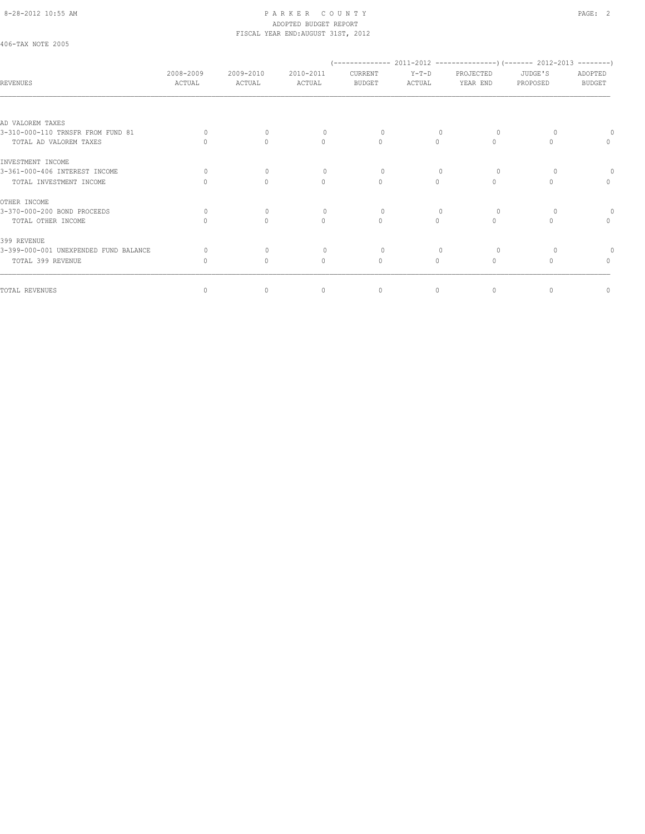#### 8-28-2012 10:55 AM PAGE: 2 ADOPTED BUDGET REPORT FISCAL YEAR END:AUGUST 31ST, 2012

# 406-TAX NOTE 2005

| REVENUES                              | 2008-2009<br>ACTUAL | 2009-2010<br>ACTUAL              | 2010-2011<br>ACTUAL              | CURRENT<br><b>BUDGET</b> | $Y-T-D$<br>ACTUAL | PROJECTED<br>YEAR END            | JUDGE'S<br>PROPOSED | ADOPTED<br><b>BUDGET</b>         |
|---------------------------------------|---------------------|----------------------------------|----------------------------------|--------------------------|-------------------|----------------------------------|---------------------|----------------------------------|
|                                       |                     |                                  |                                  |                          |                   |                                  |                     |                                  |
| AD VALOREM TAXES                      |                     |                                  |                                  |                          |                   |                                  |                     |                                  |
| 3-310-000-110 TRNSFR FROM FUND 81     | $\Omega$            |                                  |                                  | 0                        |                   |                                  |                     |                                  |
| TOTAL AD VALOREM TAXES                |                     | $\bigcap$                        | $\Omega$                         | $\Omega$                 | $\bigcap$         | $\bigcap$                        |                     | $\mathbf{0}$                     |
| INVESTMENT INCOME                     |                     |                                  |                                  |                          |                   |                                  |                     |                                  |
| 3-361-000-406 INTEREST INCOME         | $\Omega$            | $\bigcap$                        |                                  | $\Omega$                 |                   | $\Omega$                         |                     |                                  |
| TOTAL INVESTMENT INCOME               |                     | $\bigcap$                        | $\begin{array}{c} \n\end{array}$ | $\bigcap$                | $\bigcap$         | $\bigcap$                        |                     | $\Omega$                         |
| OTHER INCOME                          |                     |                                  |                                  |                          |                   |                                  |                     |                                  |
| 3-370-000-200 BOND PROCEEDS           | $\Omega$            | $\begin{array}{c} \n\end{array}$ |                                  | $\Omega$                 |                   | $\Omega$                         |                     |                                  |
| TOTAL OTHER INCOME                    |                     | $\bigcap$                        | $\begin{array}{c} \n\end{array}$ | $\Omega$                 | $\Omega$          | $\bigcap$                        |                     | $\begin{array}{c} \n\end{array}$ |
| 399 REVENUE                           |                     |                                  |                                  |                          |                   |                                  |                     |                                  |
| 3-399-000-001 UNEXPENDED FUND BALANCE | 0.                  | $\Omega$                         |                                  | 0                        |                   | $\Omega$                         |                     |                                  |
| TOTAL 399 REVENUE                     | $\Omega$            | $\Omega$                         | $\mathbf{0}$                     | $\mathbf{0}$             | 0                 | $\begin{array}{c} \n\end{array}$ |                     | $\Omega$                         |
|                                       |                     |                                  |                                  |                          |                   |                                  |                     |                                  |
| TOTAL REVENUES                        | $\circ$             | $\circ$                          | $\mathbf{0}$                     | $\circ$                  | $\circ$           | $\mathbf{0}$                     |                     | 0                                |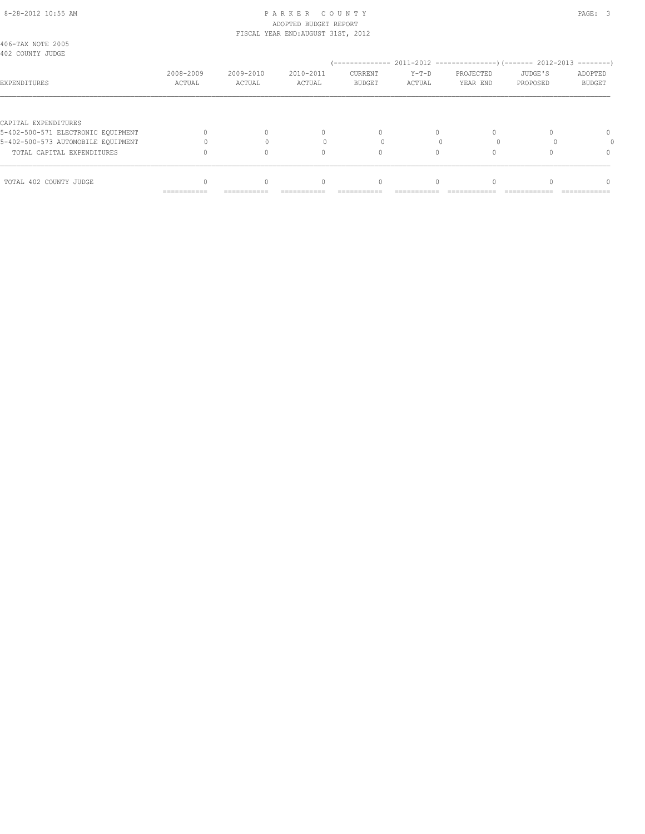#### 8-28-2012 10:55 AM PAGE: 3 ADOPTED BUDGET REPORT FISCAL YEAR END:AUGUST 31ST, 2012

| 406-TAX NOTE 2005<br>402 COUNTY JUDGE                      |             |             |           |                |          |           |          |               |
|------------------------------------------------------------|-------------|-------------|-----------|----------------|----------|-----------|----------|---------------|
|                                                            |             |             |           |                |          |           |          |               |
|                                                            | 2008-2009   | 2009-2010   | 2010-2011 | <b>CURRENT</b> | $Y-T-D$  | PROJECTED | JUDGE'S  | ADOPTED       |
| EXPENDITURES                                               | ACTUAL      | ACTUAL      | ACTUAL    | <b>BUDGET</b>  | ACTUAL   | YEAR END  | PROPOSED | <b>BUDGET</b> |
|                                                            |             |             |           |                |          |           |          |               |
| CAPITAL EXPENDITURES<br>5-402-500-571 ELECTRONIC EOUIPMENT |             |             | 0         | $\Omega$       | $\Omega$ |           |          | $\Omega$      |
| 5-402-500-573 AUTOMOBILE EQUIPMENT                         |             |             |           |                |          |           |          |               |
|                                                            |             |             |           |                |          |           |          |               |
| TOTAL CAPITAL EXPENDITURES                                 |             |             | $\Omega$  | 0              |          |           |          | 0             |
| TOTAL 402 COUNTY JUDGE                                     |             |             | $\Omega$  |                |          |           |          | n             |
|                                                            | =========== | =========== |           |                |          |           |          |               |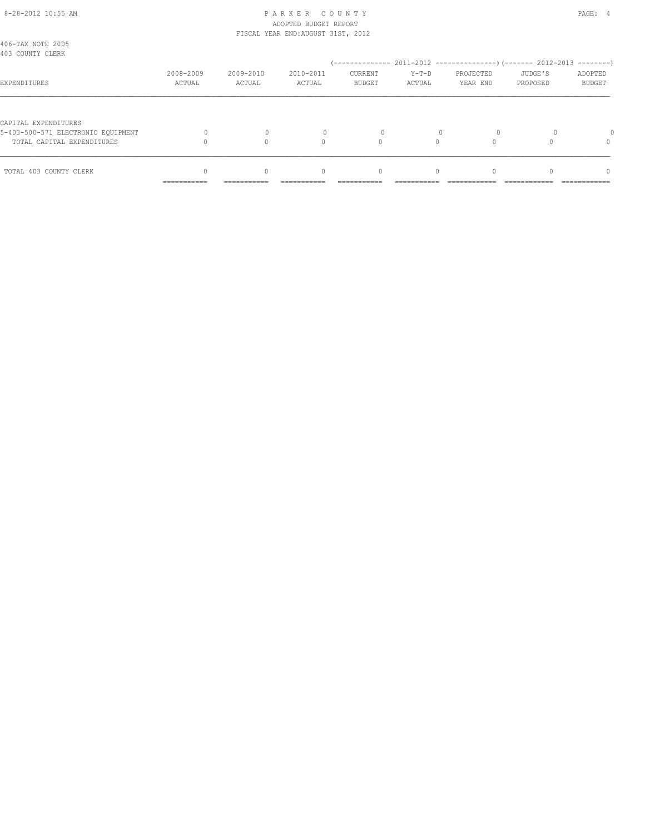#### 8-28-2012 10:55 AM PAGE: 4 ADOPTED BUDGET REPORT FISCAL YEAR END:AUGUST 31ST, 2012

|                                                                  | ___________<br>----------- | -----------         | ----------          | ----------                      | ----------        | ------------          |                     | ------------             |
|------------------------------------------------------------------|----------------------------|---------------------|---------------------|---------------------------------|-------------------|-----------------------|---------------------|--------------------------|
| TOTAL 403 COUNTY CLERK                                           |                            |                     | 0                   | 0                               | $\Omega$          |                       |                     | n                        |
| 5-403-500-571 ELECTRONIC EOUIPMENT<br>TOTAL CAPITAL EXPENDITURES |                            |                     | $\Omega$            | $\Omega$                        |                   |                       |                     | 0                        |
| CAPITAL EXPENDITURES                                             |                            |                     |                     |                                 |                   |                       |                     |                          |
| EXPENDITURES                                                     | 2008-2009<br>ACTUAL        | 2009-2010<br>ACTUAL | 2010-2011<br>ACTUAL | <b>CURRENT</b><br><b>BUDGET</b> | $Y-T-D$<br>ACTUAL | PROJECTED<br>YEAR END | JUDGE'S<br>PROPOSED | ADOPTED<br><b>BUDGET</b> |
| 406-TAX NOTE 2005<br>403 COUNTY CLERK                            |                            |                     |                     |                                 |                   |                       |                     |                          |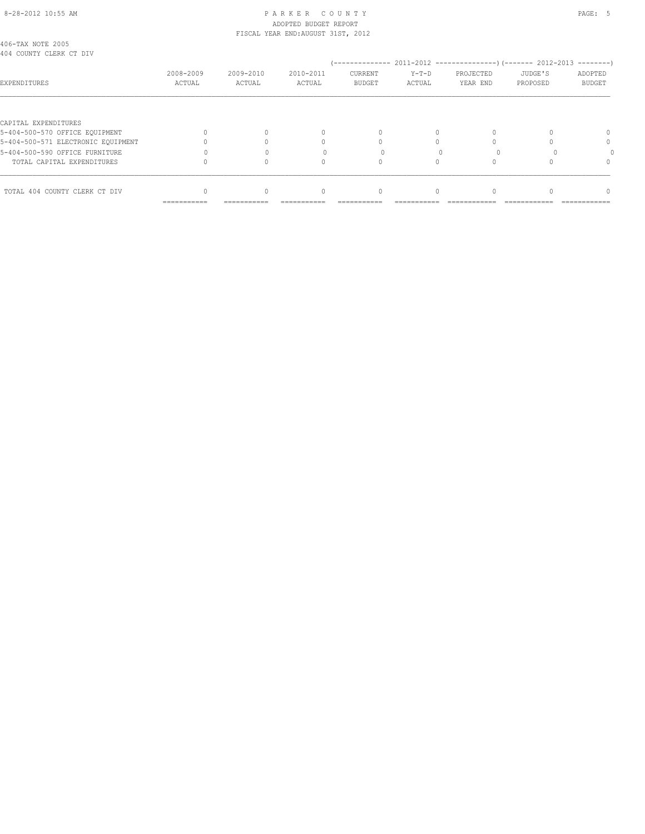# 8-28-2012 10:55 AM PAGE: 5 PARKER COUNTY ADOPTED BUDGET REPORT

|                                              |           |           | FISCAL YEAR END: AUGUST 31ST, 2012 |               |         |           |          |               |
|----------------------------------------------|-----------|-----------|------------------------------------|---------------|---------|-----------|----------|---------------|
| 406-TAX NOTE 2005<br>404 COUNTY CLERK CT DIV |           |           |                                    |               |         |           |          |               |
|                                              |           |           |                                    |               |         |           |          |               |
|                                              | 2008-2009 | 2009-2010 | 2010-2011                          | CURRENT       | $Y-T-D$ | PROJECTED | JUDGE'S  | ADOPTED       |
| EXPENDITURES                                 | ACTUAL    | ACTUAL    | ACTUAL                             | <b>BUDGET</b> | ACTUAL  | YEAR END  | PROPOSED | <b>BUDGET</b> |
|                                              |           |           |                                    |               |         |           |          |               |
| CAPITAL EXPENDITURES                         |           |           |                                    |               |         |           |          |               |
| 5-404-500-570 OFFICE EQUIPMENT               |           |           | 0                                  |               |         |           |          |               |
| 5-404-500-571 ELECTRONIC EOUIPMENT           |           |           |                                    |               |         |           |          | 0             |
| 5-404-500-590 OFFICE FURNITURE               |           |           |                                    |               |         |           |          |               |
| TOTAL CAPITAL EXPENDITURES                   |           |           |                                    |               |         |           |          | $^{0}$        |
| TOTAL 404 COUNTY CLERK CT DIV                |           |           | 0                                  | 0             |         |           |          |               |
|                                              |           |           |                                    |               |         |           |          |               |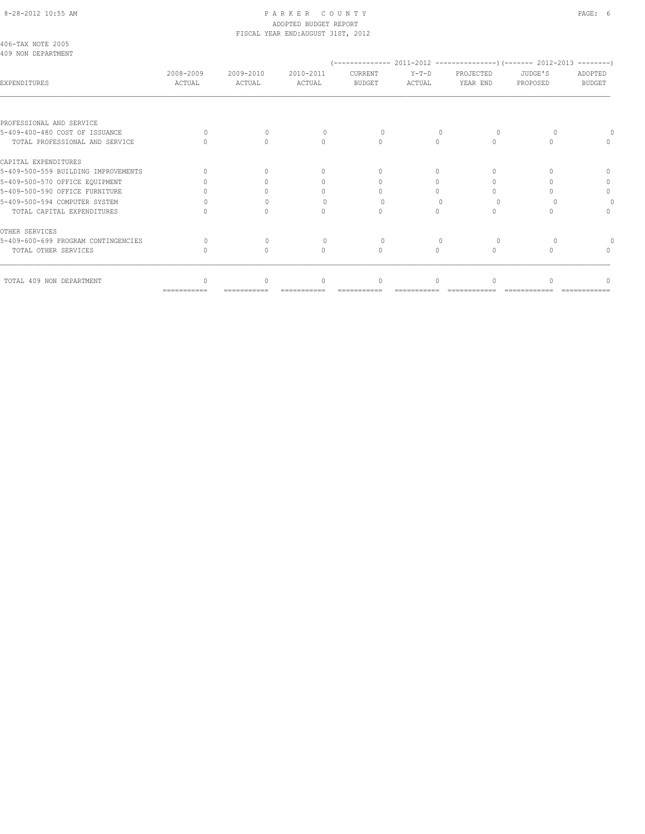# 8-28-2012 10:55 AM P A R K E R C O U N T Y PAGE: 6 ADOPTED BUDGET REPORT

| 2008-2009<br>ACTUAL | 2009-2010<br>ACTUAL              | 2010-2011<br>ACTUAL              | CURRENT<br><b>BUDGET</b>         | $Y-T-D$<br>ACTUAL                  | PROJECTED<br>YEAR END            | JUDGE'S<br>PROPOSED | ADOPTED<br><b>BUDGET</b> |
|---------------------|----------------------------------|----------------------------------|----------------------------------|------------------------------------|----------------------------------|---------------------|--------------------------|
|                     |                                  |                                  |                                  |                                    |                                  |                     |                          |
|                     |                                  |                                  |                                  |                                    |                                  |                     |                          |
| $\cap$              | $\Omega$                         | $\Omega$                         | $\Omega$                         |                                    | $\Omega$                         |                     |                          |
|                     | $\Omega$                         | $\begin{array}{c} \n\end{array}$ | $\circ$                          | $\Omega$                           | $\begin{array}{c} \n\end{array}$ | $\Omega$            | $\Omega$                 |
|                     |                                  |                                  |                                  |                                    |                                  |                     |                          |
|                     | $\bigcap$                        | $\begin{array}{c} \n\end{array}$ | $\begin{array}{c} \n\end{array}$ | $\Omega$                           | $\Omega$                         |                     | n                        |
|                     | ∩                                | $\cap$                           | $\bigcap$                        | $\bigcap$                          | $\Omega$                         |                     | 0                        |
|                     |                                  | 0                                | $\Omega$                         | 0                                  |                                  |                     | $\circ$                  |
|                     |                                  | $\Omega$                         | $\Omega$                         |                                    | $\Omega$                         |                     |                          |
|                     | $\bigcap$                        | $\mathbf{0}$                     | $\mathbf{0}$                     | $\circ$                            | $\mathbf{0}$                     |                     | $\Omega$                 |
|                     |                                  |                                  |                                  |                                    |                                  |                     |                          |
| $\Omega$            | $\begin{array}{c} \n\end{array}$ | $\begin{array}{c} \n\end{array}$ | $\Omega$                         |                                    | $\Omega$                         |                     |                          |
|                     | $\Omega$                         | $\begin{array}{c} \n\end{array}$ | $\circ$                          | $\Omega$                           | $\Omega$                         |                     | $\Omega$                 |
|                     | $\Omega$                         | $\begin{array}{c} \n\end{array}$ | 0                                | $\Omega$                           | $\Omega$                         |                     | n                        |
|                     |                                  |                                  |                                  | FISCAL YEAR END: AUGUST 31ST, 2012 |                                  |                     |                          |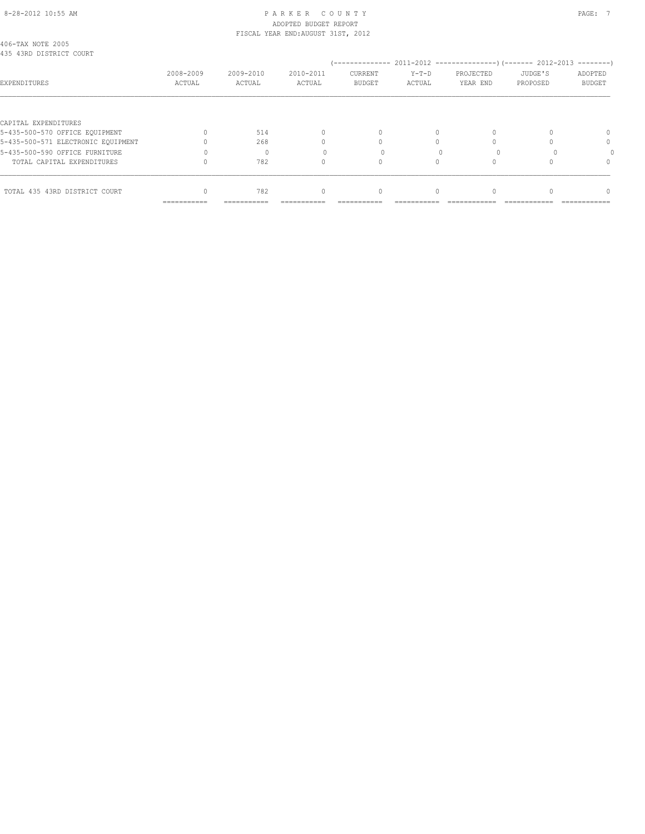# 8-28-2012 10:55 AM PAGE: 7 PAR K E R C O U N T Y ADOPTED BUDGET REPORT

|                                              |           |           | FISCAL YEAR END: AUGUST 31ST, 2012 |               |          |           |          |               |
|----------------------------------------------|-----------|-----------|------------------------------------|---------------|----------|-----------|----------|---------------|
| 406-TAX NOTE 2005<br>435 43RD DISTRICT COURT |           |           |                                    |               |          |           |          |               |
|                                              |           |           |                                    |               |          |           |          |               |
|                                              | 2008-2009 | 2009-2010 | 2010-2011                          | CURRENT       | $Y-T-D$  | PROJECTED | JUDGE'S  | ADOPTED       |
| EXPENDITURES                                 | ACTUAL    | ACTUAL    | ACTUAL                             | <b>BUDGET</b> | ACTUAL   | YEAR END  | PROPOSED | <b>BUDGET</b> |
|                                              |           |           |                                    |               |          |           |          |               |
| CAPITAL EXPENDITURES                         |           |           |                                    |               |          |           |          |               |
| 5-435-500-570 OFFICE EQUIPMENT               |           | 514       | $\mathbf{0}$                       |               |          |           |          | $\Omega$      |
| 5-435-500-571 ELECTRONIC EOUIPMENT           |           | 268       |                                    |               |          |           |          | 0             |
| 5-435-500-590 OFFICE FURNITURE               |           |           |                                    |               |          |           |          |               |
| TOTAL CAPITAL EXPENDITURES                   |           | 782       | $\Omega$                           |               | O        |           |          | $\Omega$      |
|                                              |           |           |                                    |               |          |           |          |               |
| TOTAL 435 43RD DISTRICT COURT                |           | 782       | $\mathbf{0}$                       | 0             | $\Omega$ |           |          |               |
|                                              |           |           |                                    |               |          |           |          |               |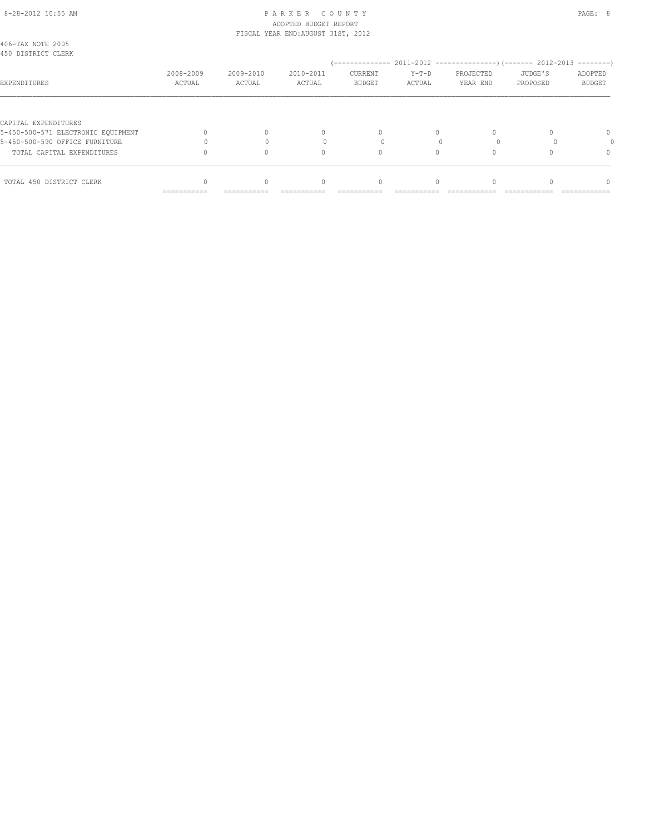## 8-28-2012 10:55 AM PAGE: 8 ADOPTED BUDGET REPORT FISCAL YEAR END:AUGUST 31ST, 2012

| TOTAL 450 DISTRICT CLERK                                   |                     |                     | $\Omega$            |                                 |                   |                       |                     | ∩                        |
|------------------------------------------------------------|---------------------|---------------------|---------------------|---------------------------------|-------------------|-----------------------|---------------------|--------------------------|
| TOTAL CAPITAL EXPENDITURES                                 |                     |                     | $\Omega$            |                                 |                   |                       |                     | 0                        |
| 5-450-500-590 OFFICE FURNITURE                             |                     |                     |                     |                                 |                   |                       |                     |                          |
| CAPITAL EXPENDITURES<br>5-450-500-571 ELECTRONIC EOUIPMENT |                     |                     | 0                   | $\Omega$                        |                   |                       |                     | $\Omega$                 |
| EXPENDITURES                                               | 2008-2009<br>ACTUAL | 2009-2010<br>ACTUAL | 2010-2011<br>ACTUAL | <b>CURRENT</b><br><b>BUDGET</b> | $Y-T-D$<br>ACTUAL | PROJECTED<br>YEAR END | JUDGE'S<br>PROPOSED | ADOPTED<br><b>BUDGET</b> |
| 406-TAX NOTE 2005<br>450 DISTRICT CLERK                    |                     |                     |                     |                                 |                   |                       |                     | ---------                |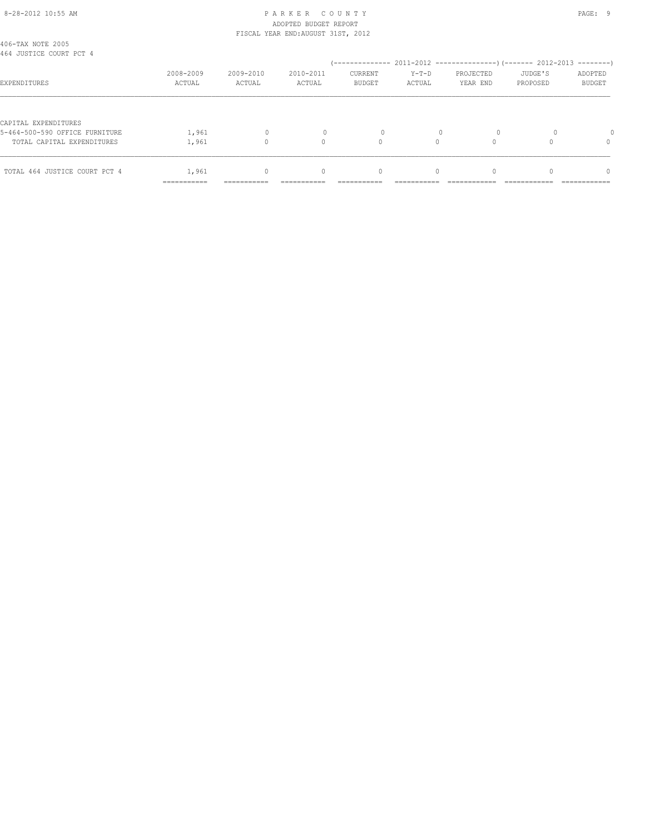## 8-28-2012 10:55 AM P A R K E R C O U N T Y PAGE: 9 ADOPTED BUDGET REPORT FISCAL YEAR END:AUGUST 31ST, 2012

| 406-TAX NOTE 2005<br>464 JUSTICE COURT PCT 4 |             |              |                                  |               |           |           |          |               |
|----------------------------------------------|-------------|--------------|----------------------------------|---------------|-----------|-----------|----------|---------------|
|                                              |             |              |                                  |               |           |           |          |               |
|                                              | 2008-2009   | 2009-2010    | 2010-2011                        | CURRENT       | $Y-T-D$   | PROJECTED | JUDGE'S  | ADOPTED       |
| EXPENDITURES                                 | ACTUAL      | ACTUAL       | ACTUAL                           | <b>BUDGET</b> | ACTUAL    | YEAR END  | PROPOSED | <b>BUDGET</b> |
|                                              |             |              |                                  |               |           |           |          |               |
| CAPITAL EXPENDITURES                         |             |              |                                  |               |           |           |          |               |
| 5-464-500-590 OFFICE FURNITURE               | 1,961       | $\mathbf{0}$ | $\Omega$                         |               |           | $\Omega$  |          |               |
| TOTAL CAPITAL EXPENDITURES                   | 1,961       |              | 0                                | $\Omega$      |           |           |          | $\Omega$      |
|                                              |             |              |                                  |               |           |           |          |               |
| TOTAL 464 JUSTICE COURT PCT 4                | 1,961       | $\mathbf{0}$ | $\begin{array}{c} \n\end{array}$ | $\circ$       | $\bigcap$ | $\Omega$  |          | $\Omega$      |
|                                              | =========== |              |                                  |               |           |           |          |               |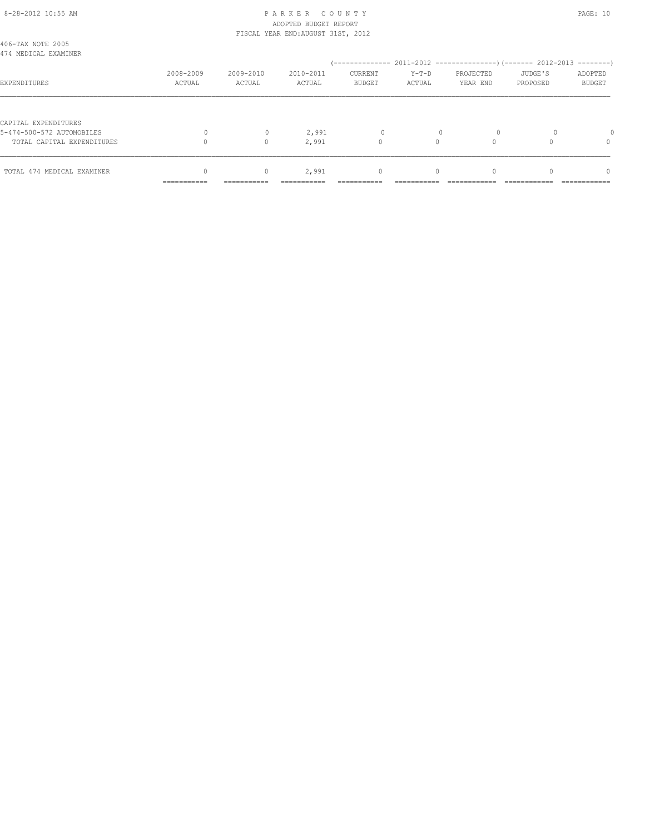#### 8-28-2012 10:55 AM P A R K E R C O U N T Y PAGE: 10 ADOPTED BUDGET REPORT FISCAL YEAR END:AUGUST 31ST, 2012

| 406-TAX NOTE 2005<br>474 MEDICAL EXAMINER |             |              |             |               |             |              |              |               |
|-------------------------------------------|-------------|--------------|-------------|---------------|-------------|--------------|--------------|---------------|
|                                           |             |              |             |               |             |              |              |               |
|                                           | 2008-2009   | 2009-2010    | 2010-2011   | CURRENT       | $Y-T-D$     | PROJECTED    | JUDGE'S      | ADOPTED       |
| EXPENDITURES                              | ACTUAL      | ACTUAL       | ACTUAL      | <b>BUDGET</b> | ACTUAL      | YEAR END     | PROPOSED     | <b>BUDGET</b> |
|                                           |             |              |             |               |             |              |              |               |
| CAPITAL EXPENDITURES                      |             |              |             |               |             |              |              |               |
| 5-474-500-572 AUTOMOBILES                 | $\Omega$    | $\mathbf{0}$ | 2,991       | 0             | $\Omega$    | $\circ$      | $\Omega$     |               |
| TOTAL CAPITAL EXPENDITURES                |             | $\Omega$     | 2,991       | 0             | $\Omega$    |              |              | $\Omega$      |
|                                           |             |              |             |               |             |              |              |               |
| TOTAL 474 MEDICAL EXAMINER                |             | $\circ$      | 2,991       | 0             | $\Omega$    |              |              | $\Omega$      |
|                                           | =========== | ===========  | =========== | ===========   | .========== | ============ | ============ | ------------  |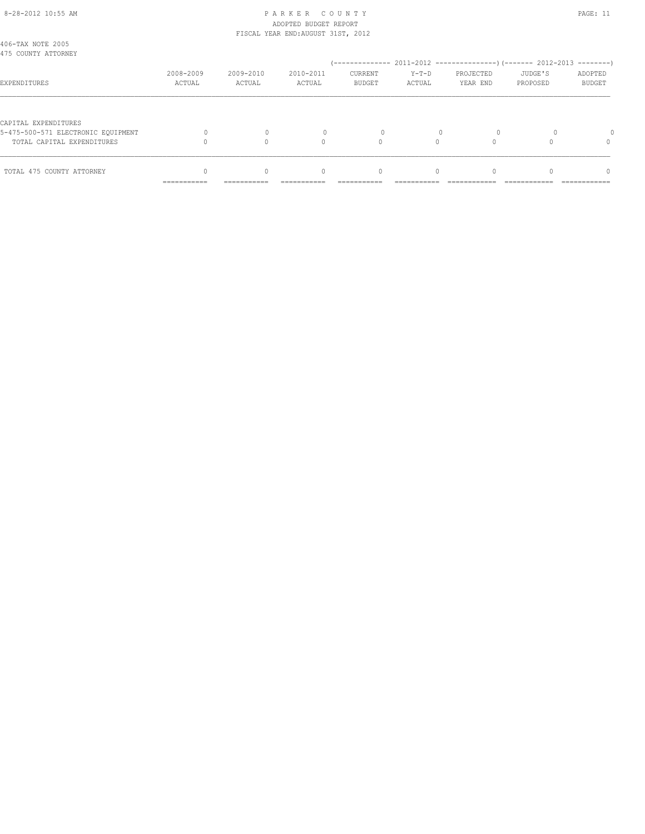#### 8-28-2012 10:55 AM P A R K E R C O U N T Y PAGE: 11 ADOPTED BUDGET REPORT FISCAL YEAR END:AUGUST 31ST, 2012

|                                                                  | ___________<br>----------- | -----------         | ----------          | ----------                      | ----------        | ------------          |                     | ------------             |
|------------------------------------------------------------------|----------------------------|---------------------|---------------------|---------------------------------|-------------------|-----------------------|---------------------|--------------------------|
| TOTAL 475 COUNTY ATTORNEY                                        |                            |                     | 0                   | 0                               | $\Omega$          |                       |                     | n                        |
| 5-475-500-571 ELECTRONIC EOUIPMENT<br>TOTAL CAPITAL EXPENDITURES |                            |                     | $\Omega$            | $\Omega$                        |                   |                       |                     | 0                        |
| CAPITAL EXPENDITURES                                             |                            |                     |                     |                                 |                   |                       |                     |                          |
| EXPENDITURES                                                     | 2008-2009<br>ACTUAL        | 2009-2010<br>ACTUAL | 2010-2011<br>ACTUAL | <b>CURRENT</b><br><b>BUDGET</b> | $Y-T-D$<br>ACTUAL | PROJECTED<br>YEAR END | JUDGE'S<br>PROPOSED | ADOPTED<br><b>BUDGET</b> |
| 406-TAX NOTE 2005<br>475 COUNTY ATTORNEY                         |                            |                     |                     |                                 |                   |                       |                     |                          |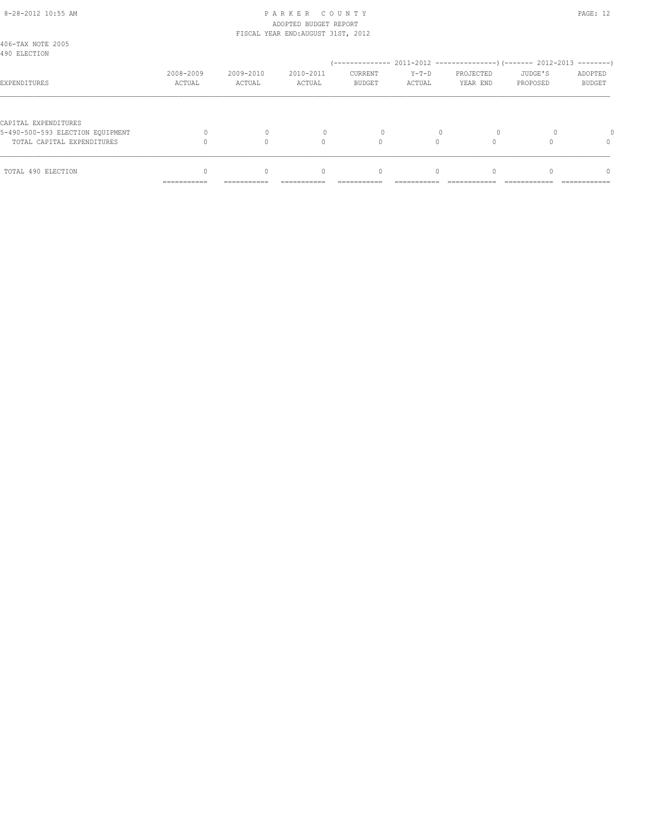## 8-28-2012 10:55 AM P A R K E R C O U N T Y PAGE: 12 ADOPTED BUDGET REPORT FISCAL YEAR END:AUGUST 31ST, 2012

|                                                          | __________<br>----------- | -----------         | ----------                       | ----------                      | ----------        |                       |                     | ------------                  |
|----------------------------------------------------------|---------------------------|---------------------|----------------------------------|---------------------------------|-------------------|-----------------------|---------------------|-------------------------------|
| TOTAL 490 ELECTION                                       |                           | $\Omega$            | $\begin{array}{c} \n\end{array}$ | $\mathbf{0}$                    | $\Omega$          |                       |                     | 0                             |
| TOTAL CAPITAL EXPENDITURES                               |                           |                     | $\Omega$                         | $\Omega$                        |                   |                       |                     |                               |
| CAPITAL EXPENDITURES<br>5-490-500-593 ELECTION EQUIPMENT |                           |                     |                                  | $\Omega$                        |                   |                       |                     |                               |
| EXPENDITURES                                             | 2008-2009<br>ACTUAL       | 2009-2010<br>ACTUAL | 2010-2011<br>ACTUAL              | <b>CURRENT</b><br><b>BUDGET</b> | $Y-T-D$<br>ACTUAL | PROJECTED<br>YEAR END | JUDGE'S<br>PROPOSED | $------$<br>ADOPTED<br>BUDGET |
| 406-TAX NOTE 2005<br>490 ELECTION                        |                           |                     |                                  |                                 |                   |                       |                     |                               |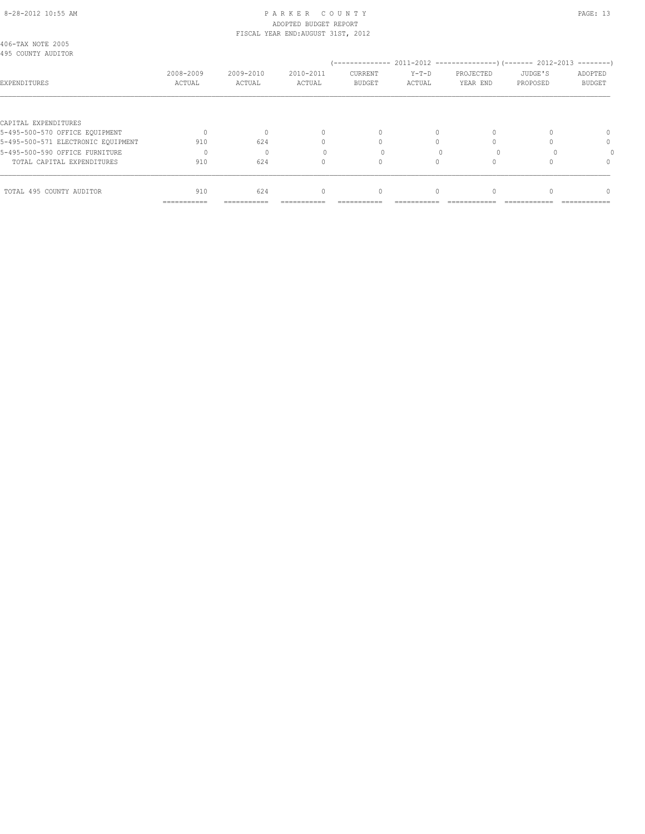#### 8-28-2012 10:55 AM P A R K E R C O U N T Y PAGE: 13 ADOPTED BUDGET REPORT FISCAL YEAR END:AUGUST 31ST, 2012

|                                                        | ===========         |                     |                                  |                          |                   |                       |                     |                          |
|--------------------------------------------------------|---------------------|---------------------|----------------------------------|--------------------------|-------------------|-----------------------|---------------------|--------------------------|
| TOTAL 495 COUNTY AUDITOR                               | 910                 | 624                 | $\begin{array}{c} \n\end{array}$ | $\circ$                  | $\Omega$          |                       |                     | $\cap$                   |
| TOTAL CAPITAL EXPENDITURES                             | 910                 | 624                 | 0                                |                          |                   |                       |                     | $\Omega$                 |
| 5-495-500-590 OFFICE FURNITURE                         |                     | $\Omega$            |                                  |                          |                   |                       |                     |                          |
| 5-495-500-571 ELECTRONIC EQUIPMENT                     | 910                 | 624                 | $\cap$                           |                          |                   |                       |                     | $\Omega$                 |
| CAPITAL EXPENDITURES<br>5-495-500-570 OFFICE EQUIPMENT | $\bigcap$           |                     | $\Omega$                         | $\Omega$                 | $\bigcap$         |                       |                     | $\Omega$                 |
|                                                        |                     |                     |                                  |                          |                   |                       |                     |                          |
| EXPENDITURES                                           | 2008-2009<br>ACTUAL | 2009-2010<br>ACTUAL | 2010-2011<br>ACTUAL              | CURRENT<br><b>BUDGET</b> | $Y-T-D$<br>ACTUAL | PROJECTED<br>YEAR END | JUDGE'S<br>PROPOSED | ADOPTED<br><b>BUDGET</b> |
| 406-TAX NOTE 2005<br>495 COUNTY AUDITOR                |                     |                     |                                  |                          |                   |                       |                     |                          |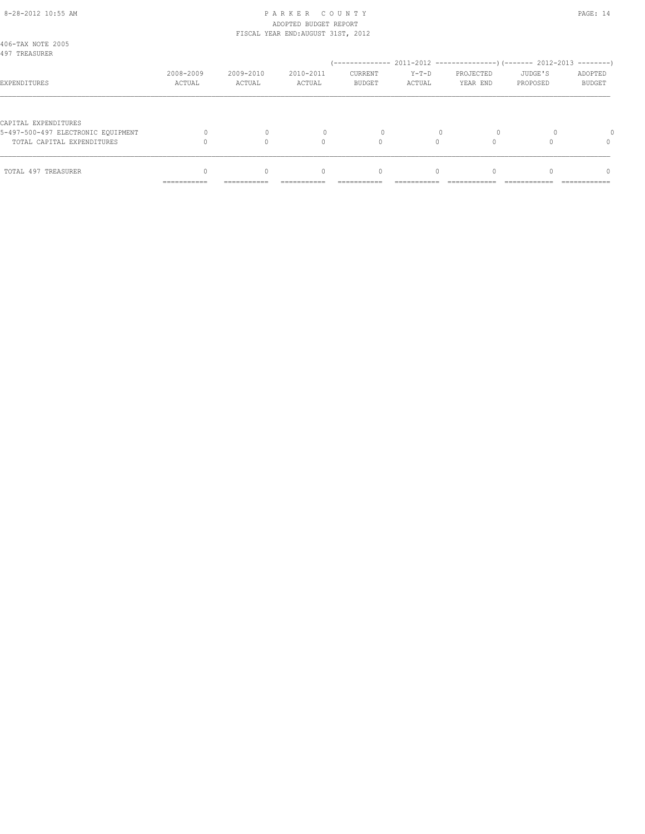#### 8-28-2012 10:55 AM P A R K E R C O U N T Y PAGE: 14 ADOPTED BUDGET REPORT FISCAL YEAR END:AUGUST 31ST, 2012

|                                                            | __________<br>----------- | -----------         | ----------                       | ----------                      | ----------        |                       |                     | ------------                  |
|------------------------------------------------------------|---------------------------|---------------------|----------------------------------|---------------------------------|-------------------|-----------------------|---------------------|-------------------------------|
| TOTAL 497 TREASURER                                        |                           | $\Omega$            | $\begin{array}{c} \n\end{array}$ | $\mathbf{0}$                    | $\Omega$          |                       |                     | 0                             |
| TOTAL CAPITAL EXPENDITURES                                 |                           |                     | $\Omega$                         | $\Omega$                        |                   |                       |                     |                               |
| CAPITAL EXPENDITURES<br>5-497-500-497 ELECTRONIC EOUIPMENT |                           |                     |                                  | $\Omega$                        |                   |                       |                     |                               |
| EXPENDITURES                                               | 2008-2009<br>ACTUAL       | 2009-2010<br>ACTUAL | 2010-2011<br>ACTUAL              | <b>CURRENT</b><br><b>BUDGET</b> | $Y-T-D$<br>ACTUAL | PROJECTED<br>YEAR END | JUDGE'S<br>PROPOSED | $------$<br>ADOPTED<br>BUDGET |
| 406-TAX NOTE 2005<br>497 TREASURER                         |                           |                     |                                  |                                 |                   |                       |                     |                               |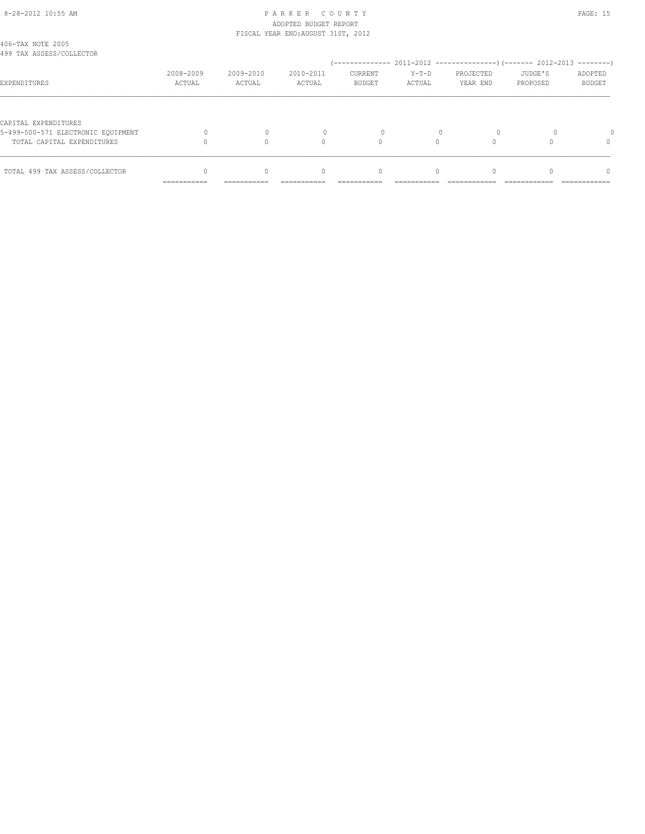#### 8-28-2012 10:55 AM P A R K E R C O U N T Y PAGE: 15 ADOPTED BUDGET REPORT FISCAL YEAR END:AUGUST 31ST, 2012

| 406-TAX NOTE 2005<br>499 TAX ASSESS/COLLECTOR                    |                           |                     |                                  |                                 |                   |                       |                     |                          |
|------------------------------------------------------------------|---------------------------|---------------------|----------------------------------|---------------------------------|-------------------|-----------------------|---------------------|--------------------------|
| EXPENDITURES                                                     | 2008-2009<br>ACTUAL       | 2009-2010<br>ACTUAL | 2010-2011<br>ACTUAL              | <b>CURRENT</b><br><b>BUDGET</b> | $Y-T-D$<br>ACTUAL | PROJECTED<br>YEAR END | JUDGE'S<br>PROPOSED | ADOPTED<br><b>BUDGET</b> |
| CAPITAL EXPENDITURES                                             |                           |                     |                                  |                                 |                   |                       |                     |                          |
| 5-499-500-571 ELECTRONIC EOUIPMENT<br>TOTAL CAPITAL EXPENDITURES |                           |                     |                                  |                                 |                   |                       |                     |                          |
| TOTAL 499 TAX ASSESS/COLLECTOR                                   | __________<br>----------- | ----------          | $\begin{array}{c} \n\end{array}$ | 0                               | $\Omega$          |                       |                     | n                        |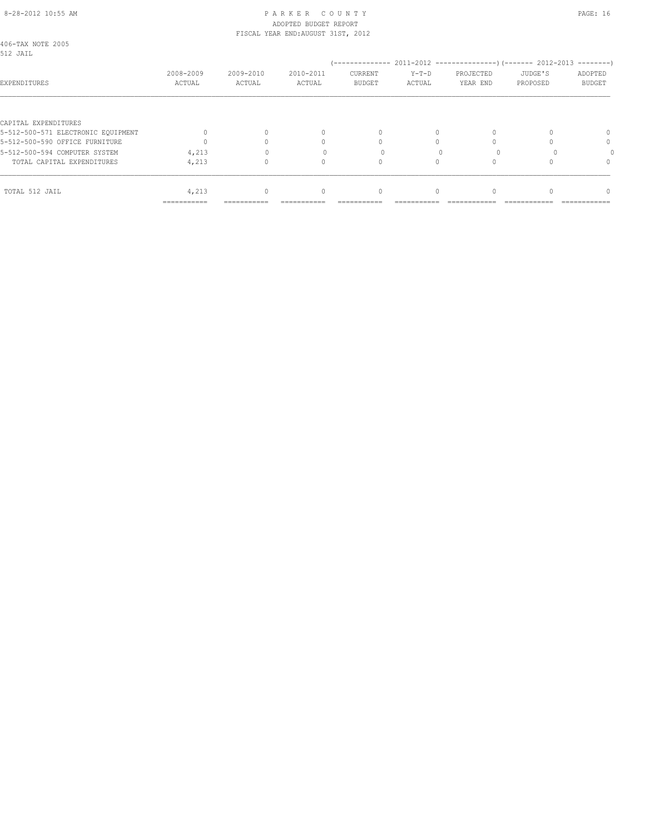#### 8-28-2012 10:55 AM P A R K E R C O U N T Y PAGE: 16 ADOPTED BUDGET REPORT FISCAL YEAR END:AUGUST 31ST, 2012

| TOTAL 512 JAIL                                             | 4,213<br>=========== |           | $\begin{array}{c} \n\end{array}$ | 0             | $\Omega$ |           |          | $\Omega$      |  |
|------------------------------------------------------------|----------------------|-----------|----------------------------------|---------------|----------|-----------|----------|---------------|--|
|                                                            |                      |           |                                  |               |          |           |          |               |  |
| TOTAL CAPITAL EXPENDITURES                                 | 4,213                |           | 0                                |               |          |           |          | $\cap$        |  |
| 5-512-500-594 COMPUTER SYSTEM                              | 4,213                |           |                                  |               |          |           |          |               |  |
| 5-512-500-590 OFFICE FURNITURE                             |                      |           |                                  |               |          |           |          | 0             |  |
| CAPITAL EXPENDITURES<br>5-512-500-571 ELECTRONIC EOUIPMENT |                      |           | $\begin{array}{c} \n\end{array}$ | $\Omega$      | $\Omega$ |           |          | $\Omega$      |  |
| EXPENDITURES                                               | ACTUAL               | ACTUAL    | ACTUAL                           | <b>BUDGET</b> | ACTUAL   | YEAR END  | PROPOSED | <b>BUDGET</b> |  |
|                                                            | 2008-2009            | 2009-2010 | 2010-2011                        | CURRENT       | $Y-T-D$  | PROJECTED | JUDGE'S  | ADOPTED       |  |
| 406-TAX NOTE 2005<br>512 JAIL                              |                      |           |                                  |               |          |           |          |               |  |
|                                                            |                      |           |                                  |               |          |           |          |               |  |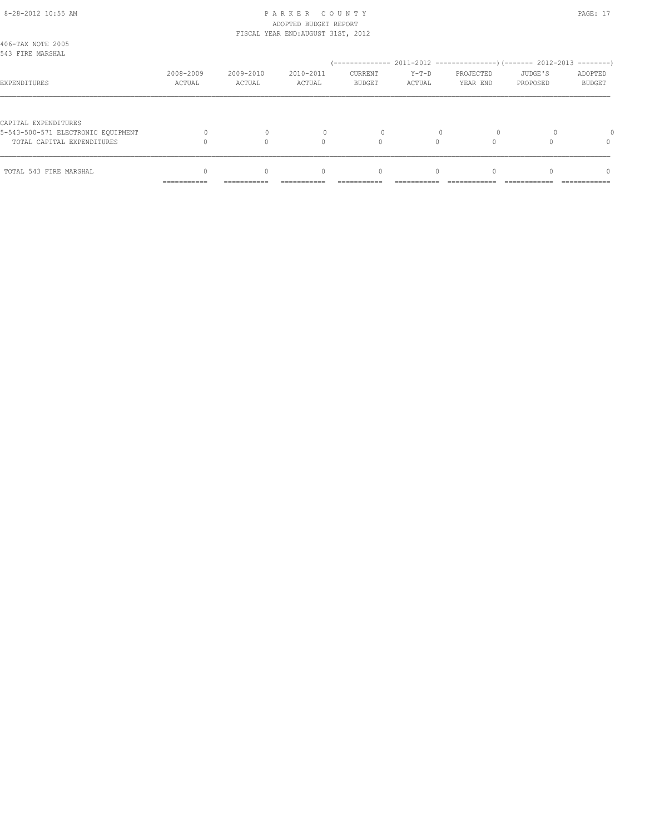#### 8-28-2012 10:55 AM P A R K E R C O U N T Y PAGE: 17 ADOPTED BUDGET REPORT FISCAL YEAR END:AUGUST 31ST, 2012

|                                                                  | __________<br>----------- | -----------         | ----------                       | ----------                      | ----------        |                                                 |                     | ------------      |
|------------------------------------------------------------------|---------------------------|---------------------|----------------------------------|---------------------------------|-------------------|-------------------------------------------------|---------------------|-------------------|
| TOTAL 543 FIRE MARSHAL                                           |                           | $\Omega$            | $\begin{array}{c} \n\end{array}$ | 0                               | $\Omega$          |                                                 |                     | n                 |
| 5-543-500-571 ELECTRONIC EQUIPMENT<br>TOTAL CAPITAL EXPENDITURES |                           |                     | $\Omega$                         | $\Omega$<br>$\Omega$            |                   |                                                 |                     | 0                 |
| CAPITAL EXPENDITURES                                             |                           |                     |                                  |                                 |                   |                                                 |                     |                   |
| EXPENDITURES                                                     | 2008-2009<br>ACTUAL       | 2009-2010<br>ACTUAL | 2010-2011<br>ACTUAL              | <b>CURRENT</b><br><b>BUDGET</b> | $Y-T-D$<br>ACTUAL | PROJECTED<br>YEAR END                           | JUDGE'S<br>PROPOSED | ADOPTED<br>BUDGET |
| 406-TAX NOTE 2005<br>543 FIRE MARSHAL                            |                           |                     |                                  | / ______________                |                   | 2011-2012 -----------------) (------- 2012-2013 |                     | --------          |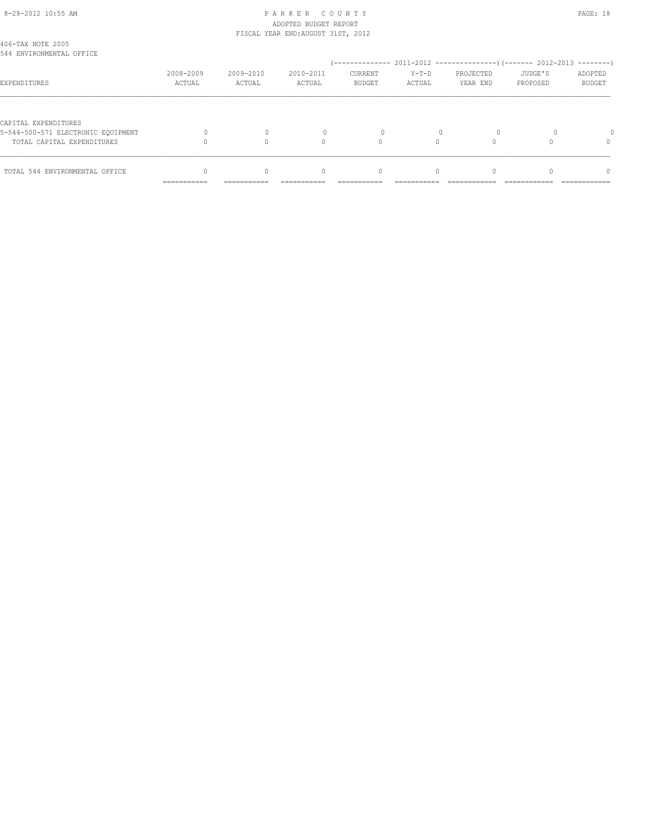#### 8-28-2012 10:55 AM P A R K E R C O U N T Y PAGE: 18 ADOPTED BUDGET REPORT FISCAL YEAR END:AUGUST 31ST, 2012

| 406-TAX NOTE 2005<br>544 ENVIRONMENTAL OFFICE                                            |                            |             |                                  |                                  |           |           |          |               |
|------------------------------------------------------------------------------------------|----------------------------|-------------|----------------------------------|----------------------------------|-----------|-----------|----------|---------------|
|                                                                                          |                            |             |                                  |                                  |           |           |          |               |
|                                                                                          | 2008-2009                  | 2009-2010   | 2010-2011                        | <b>CURRENT</b>                   | $Y-T-D$   | PROJECTED | JUDGE'S  | ADOPTED       |
| EXPENDITURES                                                                             | ACTUAL                     | ACTUAL      | ACTUAL                           | <b>BUDGET</b>                    | ACTUAL    | YEAR END  | PROPOSED | <b>BUDGET</b> |
| CAPITAL EXPENDITURES<br>5-544-500-571 ELECTRONIC EOUIPMENT<br>TOTAL CAPITAL EXPENDITURES |                            |             | Λ                                |                                  |           |           |          | $\Omega$      |
| TOTAL 544 ENVIRONMENTAL OFFICE                                                           |                            | $\Omega$    | $\begin{array}{c} \n\end{array}$ | $\begin{array}{c} \n\end{array}$ | $\bigcap$ |           |          | $\Omega$      |
|                                                                                          | -----------<br>----------- | ----------- |                                  |                                  |           |           |          |               |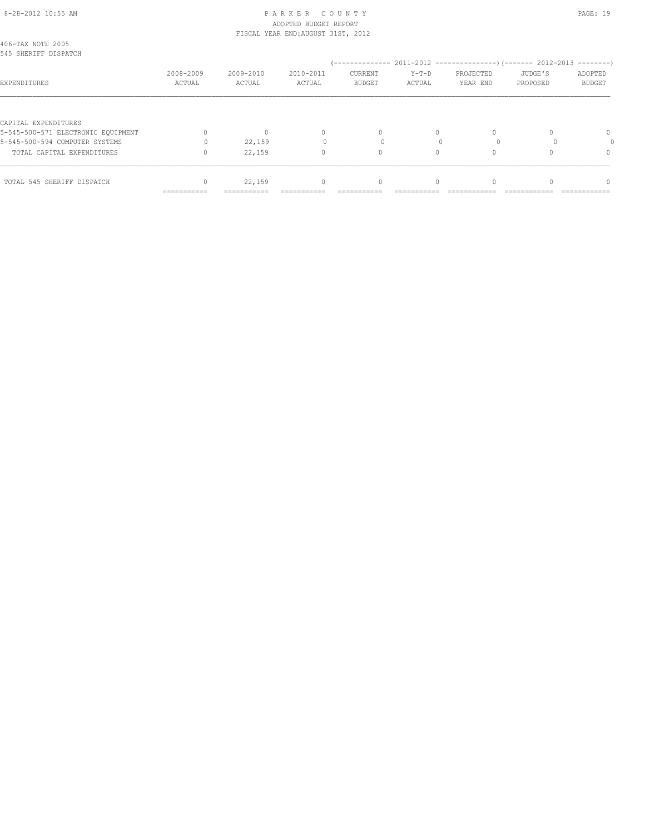#### 8-28-2012 10:55 AM P A R K E R C O U N T Y PAGE: 19 ADOPTED BUDGET REPORT FISCAL YEAR END:AUGUST 31ST, 2012

|                                                            | ===========         | ===========         |                                  |                          |                 |                       |                     |                          |
|------------------------------------------------------------|---------------------|---------------------|----------------------------------|--------------------------|-----------------|-----------------------|---------------------|--------------------------|
| TOTAL 545 SHERIFF DISPATCH                                 |                     | 22,159              | $\begin{array}{c} \n\end{array}$ |                          |                 |                       |                     | n                        |
| TOTAL CAPITAL EXPENDITURES                                 |                     | 22,159              | 0                                | 0                        |                 |                       |                     | 0                        |
| 5-545-500-594 COMPUTER SYSTEMS                             |                     | 22,159              |                                  |                          |                 |                       |                     |                          |
| CAPITAL EXPENDITURES<br>5-545-500-571 ELECTRONIC EOUIPMENT |                     |                     | $\begin{array}{c} \n\end{array}$ | $\Omega$                 | $\Omega$        |                       |                     | $\Omega$                 |
| EXPENDITURES                                               | 2008-2009<br>ACTUAL | 2009-2010<br>ACTUAL | 2010-2011<br>ACTUAL              | CURRENT<br><b>BUDGET</b> | Y-T-D<br>ACTUAL | PROJECTED<br>YEAR END | JUDGE'S<br>PROPOSED | ADOPTED<br><b>BUDGET</b> |
| 406-TAX NOTE 2005<br>545 SHERIFF DISPATCH                  |                     |                     |                                  |                          |                 |                       |                     |                          |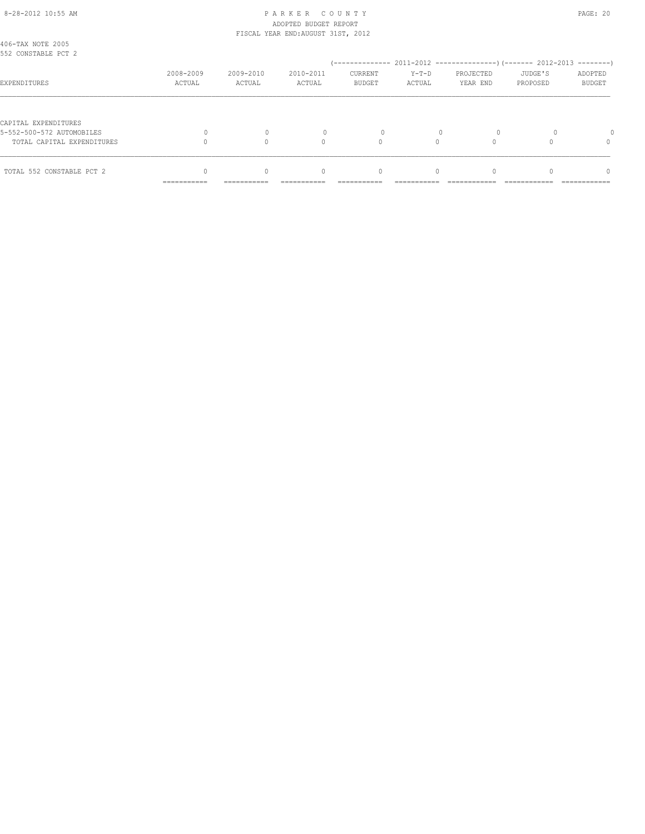#### 8-28-2012 10:55 AM P A R K E R C O U N T Y PAGE: 20 ADOPTED BUDGET REPORT FISCAL YEAR END:AUGUST 31ST, 2012

|                                                   | __________<br>----------- | -----------         | ----------                       | ----------                                          | ----------        |                                                                          |                     | ------------                         |
|---------------------------------------------------|---------------------------|---------------------|----------------------------------|-----------------------------------------------------|-------------------|--------------------------------------------------------------------------|---------------------|--------------------------------------|
| TOTAL 552 CONSTABLE PCT 2                         |                           | $\Omega$            | $\begin{array}{c} \n\end{array}$ | $\mathbf{0}$                                        | $\Omega$          |                                                                          |                     | n                                    |
| TOTAL CAPITAL EXPENDITURES                        |                           |                     | $\Omega$                         | $\Omega$                                            |                   |                                                                          |                     | 0                                    |
| CAPITAL EXPENDITURES<br>5-552-500-572 AUTOMOBILES |                           | $\Omega$            |                                  | $\Omega$                                            |                   |                                                                          |                     |                                      |
| EXPENDITURES                                      | 2008-2009<br>ACTUAL       | 2009-2010<br>ACTUAL | 2010-2011<br>ACTUAL              | / ______________<br><b>CURRENT</b><br><b>BUDGET</b> | $Y-T-D$<br>ACTUAL | 2011-2012 -----------------) (------- 2012-2013<br>PROJECTED<br>YEAR END | JUDGE'S<br>PROPOSED | --------<br>ADOPTED<br><b>BUDGET</b> |
| 406-TAX NOTE 2005<br>552 CONSTABLE PCT 2          |                           |                     |                                  |                                                     |                   |                                                                          |                     |                                      |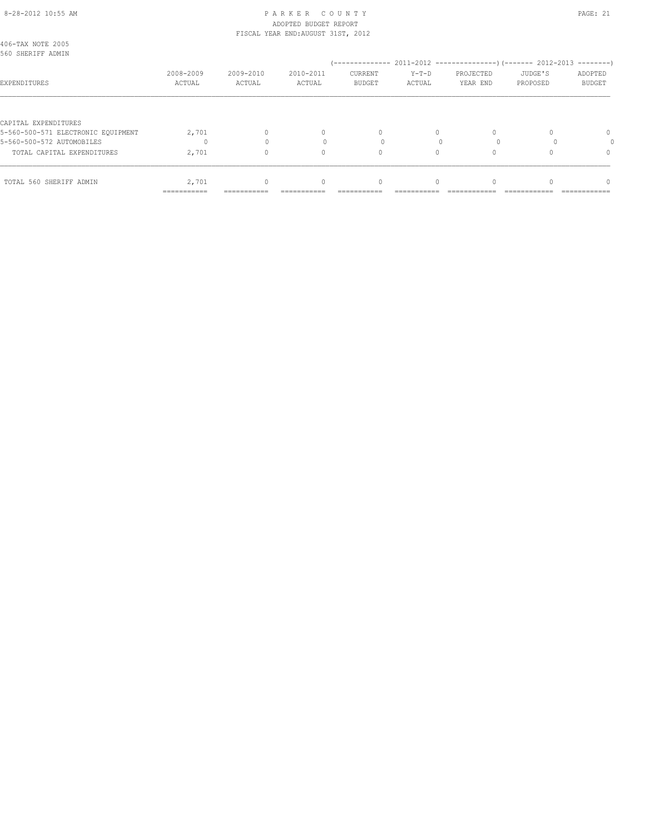#### 8-28-2012 10:55 AM P A R K E R C O U N T Y PAGE: 21 ADOPTED BUDGET REPORT FISCAL YEAR END:AUGUST 31ST, 2012

|                                                            | ===========         | ===========         |                     |                                 |                   |                       |                     |                          |
|------------------------------------------------------------|---------------------|---------------------|---------------------|---------------------------------|-------------------|-----------------------|---------------------|--------------------------|
| TOTAL 560 SHERIFF ADMIN                                    | 2,701               |                     | $\Omega$            | 0                               |                   |                       |                     | n                        |
| TOTAL CAPITAL EXPENDITURES                                 | 2,701               |                     | 0                   | 0                               | 0                 |                       |                     | 0                        |
| 5-560-500-572 AUTOMOBILES                                  |                     |                     |                     |                                 |                   |                       |                     |                          |
| CAPITAL EXPENDITURES<br>5-560-500-571 ELECTRONIC EOUIPMENT | 2,701               |                     | 0                   | $\Omega$                        | $\Omega$          |                       |                     | $\Omega$                 |
| EXPENDITURES                                               | 2008-2009<br>ACTUAL | 2009-2010<br>ACTUAL | 2010-2011<br>ACTUAL | <b>CURRENT</b><br><b>BUDGET</b> | $Y-T-D$<br>ACTUAL | PROJECTED<br>YEAR END | JUDGE'S<br>PROPOSED | ADOPTED<br><b>BUDGET</b> |
| 406-TAX NOTE 2005<br>560 SHERIFF ADMIN                     |                     |                     |                     |                                 |                   |                       |                     |                          |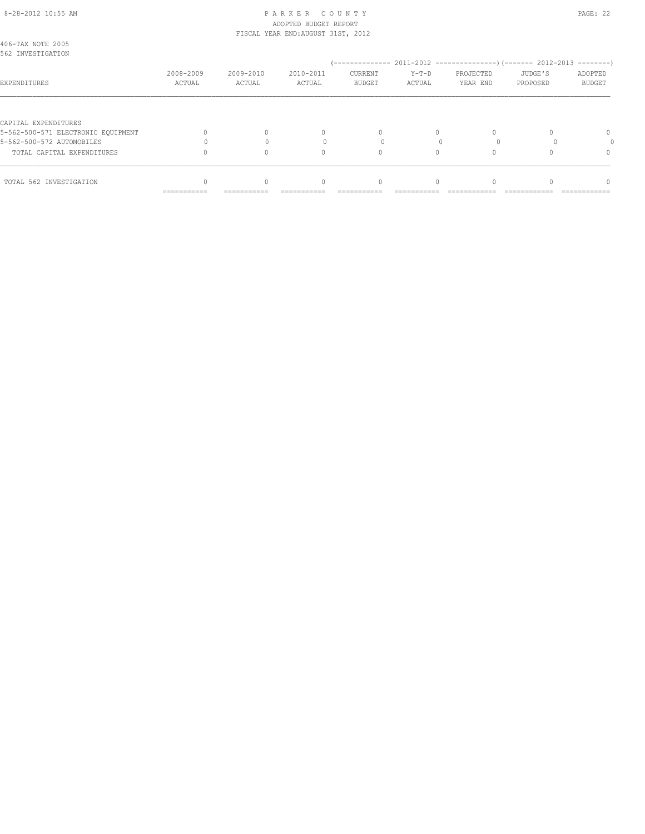#### 8-28-2012 10:55 AM P A R K E R C O U N T Y PAGE: 22 ADOPTED BUDGET REPORT FISCAL YEAR END:AUGUST 31ST, 2012

| 406-TAX NOTE 2005<br>562 INVESTIGATION |                     |                     |                     |                                 |                   |                       |                     |                          |
|----------------------------------------|---------------------|---------------------|---------------------|---------------------------------|-------------------|-----------------------|---------------------|--------------------------|
|                                        |                     |                     |                     |                                 |                   |                       |                     |                          |
| EXPENDITURES                           | 2008-2009<br>ACTUAL | 2009-2010<br>ACTUAL | 2010-2011<br>ACTUAL | <b>CURRENT</b><br><b>BUDGET</b> | $Y-T-D$<br>ACTUAL | PROJECTED<br>YEAR END | JUDGE'S<br>PROPOSED | ADOPTED<br><b>BUDGET</b> |
|                                        |                     |                     |                     |                                 |                   |                       |                     |                          |
| CAPITAL EXPENDITURES                   |                     |                     |                     |                                 |                   |                       |                     |                          |
| 5-562-500-571 ELECTRONIC EOUIPMENT     |                     |                     | 0                   | $\Omega$                        | $\Omega$          |                       |                     | $\Omega$                 |
| 5-562-500-572 AUTOMOBILES              |                     |                     |                     |                                 |                   |                       |                     |                          |
| TOTAL CAPITAL EXPENDITURES             |                     |                     | $\Omega$            | 0                               |                   |                       |                     | 0                        |
| TOTAL 562 INVESTIGATION                |                     |                     | $\Omega$            |                                 |                   |                       |                     | n                        |
|                                        | ===========         | ===========         | ---------           | ----------                      |                   |                       |                     |                          |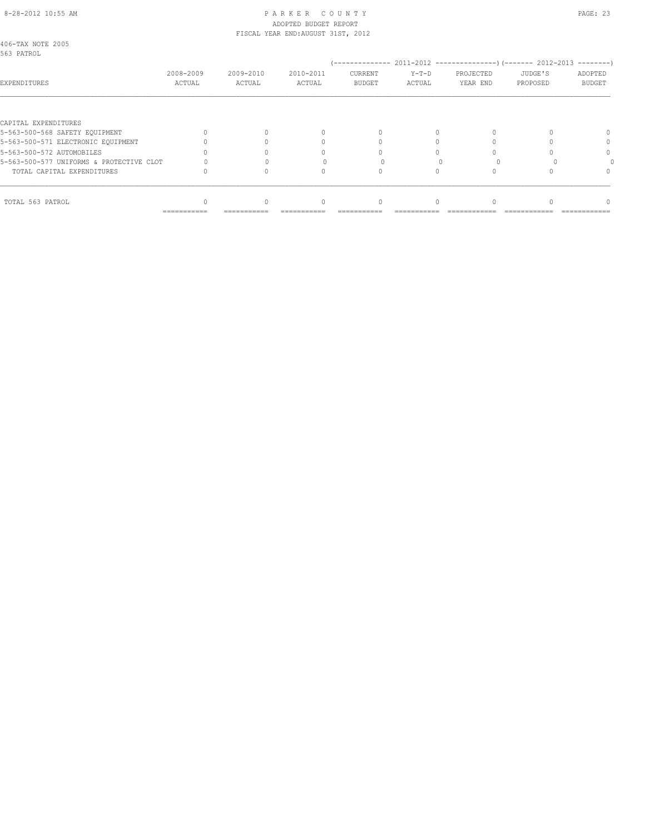## 8-28-2012 10:55 AM PAGE: 23 ADOPTED BUDGET REPORT FISCAL YEAR END:AUGUST 31ST, 2012

| 406-TAX NOTE 2005<br>563 PATROL          |                     |                     |                     |                          |                 |                       |                     |                                       |
|------------------------------------------|---------------------|---------------------|---------------------|--------------------------|-----------------|-----------------------|---------------------|---------------------------------------|
| EXPENDITURES                             | 2008-2009<br>ACTUAL | 2009-2010<br>ACTUAL | 2010-2011<br>ACTUAL | CURRENT<br><b>BUDGET</b> | Y-T-D<br>ACTUAL | PROJECTED<br>YEAR END | JUDGE'S<br>PROPOSED | ---------<br>ADOPTED<br><b>BUDGET</b> |
|                                          |                     |                     |                     |                          |                 |                       |                     |                                       |
| CAPITAL EXPENDITURES                     |                     |                     |                     |                          |                 |                       |                     |                                       |
| 5-563-500-568 SAFETY EQUIPMENT           |                     |                     | 0                   |                          |                 |                       |                     |                                       |
| 5-563-500-571 ELECTRONIC EOUIPMENT       |                     |                     |                     |                          |                 |                       |                     |                                       |
| 5-563-500-572 AUTOMOBILES                |                     |                     |                     |                          |                 |                       |                     |                                       |
| 5-563-500-577 UNIFORMS & PROTECTIVE CLOT |                     |                     |                     |                          |                 |                       |                     |                                       |
| TOTAL CAPITAL EXPENDITURES               |                     |                     |                     |                          |                 |                       |                     |                                       |
| TOTAL 563 PATROL                         |                     |                     | $\Omega$            |                          |                 |                       |                     |                                       |
|                                          | ===========         |                     |                     |                          |                 |                       |                     |                                       |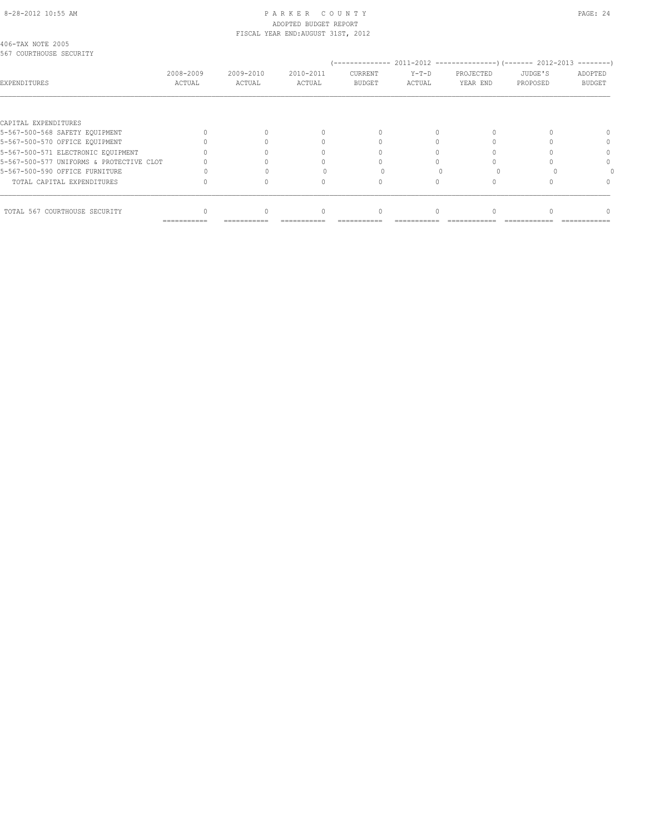# 8-28-2012 10:55 AM PAGE: 24 ADOPTED BUDGET REPORT

|        |           |           | CURRENT       | $Y-T-D$                            | PROJECTED      | JUDGE'S  | ADOPTED                                                    |
|--------|-----------|-----------|---------------|------------------------------------|----------------|----------|------------------------------------------------------------|
| ACTUAL | ACTUAL    | ACTUAL    | <b>BUDGET</b> | ACTUAL                             | YEAR END       | PROPOSED | <b>BUDGET</b>                                              |
|        |           |           |               |                                    |                |          |                                                            |
|        |           |           |               |                                    |                |          |                                                            |
|        |           |           | $\Omega$      |                                    |                |          |                                                            |
|        |           |           |               |                                    |                |          |                                                            |
|        |           |           |               |                                    |                |          |                                                            |
|        |           |           |               |                                    |                |          |                                                            |
|        |           |           |               |                                    |                |          |                                                            |
|        |           |           |               |                                    |                |          |                                                            |
|        |           |           |               |                                    |                |          |                                                            |
|        | 2008-2009 | 2009-2010 | 2010-2011     | FISCAL YEAR END: AUGUST 31ST, 2012 | -------------- |          | $2011-2012$ ----------------) (------- 2012-2013 --------) |

=========== =========== =========== =========== =========== ============ ============ ============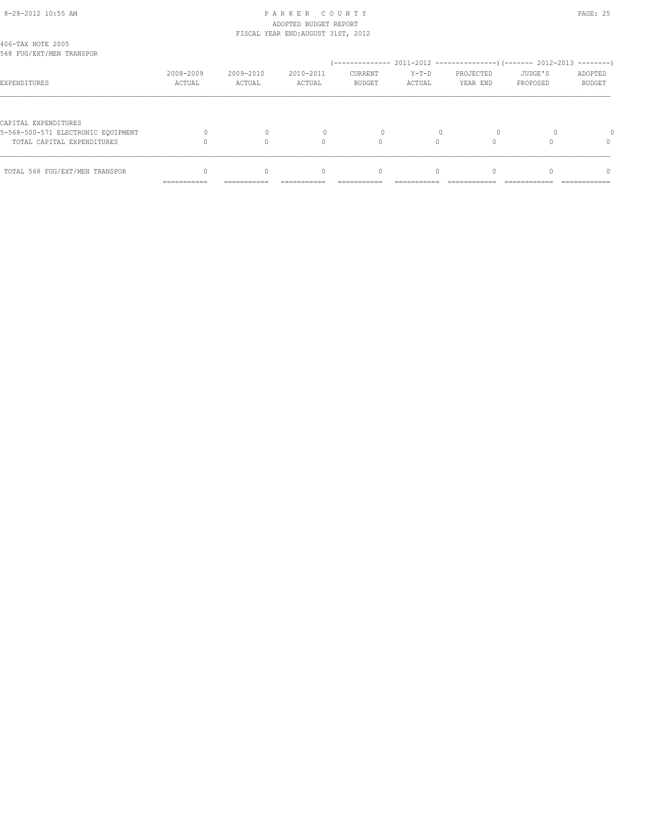## 8-28-2012 10:55 AM P A R K E R C O U N T Y PAGE: 25 ADOPTED BUDGET REPORT FISCAL YEAR END:AUGUST 31ST, 2012

| TOTAL 568 FUG/EXT/MEN TRANSPOR                             |                     | $\Omega$            | $\begin{array}{c} \n\end{array}$ | $\mathbf{0}$             | $\Omega$          |                       |                     | $\Omega$                 |
|------------------------------------------------------------|---------------------|---------------------|----------------------------------|--------------------------|-------------------|-----------------------|---------------------|--------------------------|
| TOTAL CAPITAL EXPENDITURES                                 |                     |                     | $\cap$                           |                          |                   |                       |                     | $\Omega$                 |
| CAPITAL EXPENDITURES<br>5-568-500-571 ELECTRONIC EOUIPMENT |                     |                     |                                  |                          |                   |                       |                     |                          |
| EXPENDITURES                                               | 2008-2009<br>ACTUAL | 2009-2010<br>ACTUAL | 2010-2011<br>ACTUAL              | CURRENT<br><b>BUDGET</b> | $Y-T-D$<br>ACTUAL | PROJECTED<br>YEAR END | JUDGE'S<br>PROPOSED | ADOPTED<br><b>BUDGET</b> |
| 406-TAX NOTE 2005<br>568 FUG/EXT/MEN TRANSPOR              |                     |                     |                                  |                          |                   |                       |                     |                          |
|                                                            |                     |                     |                                  |                          |                   |                       |                     |                          |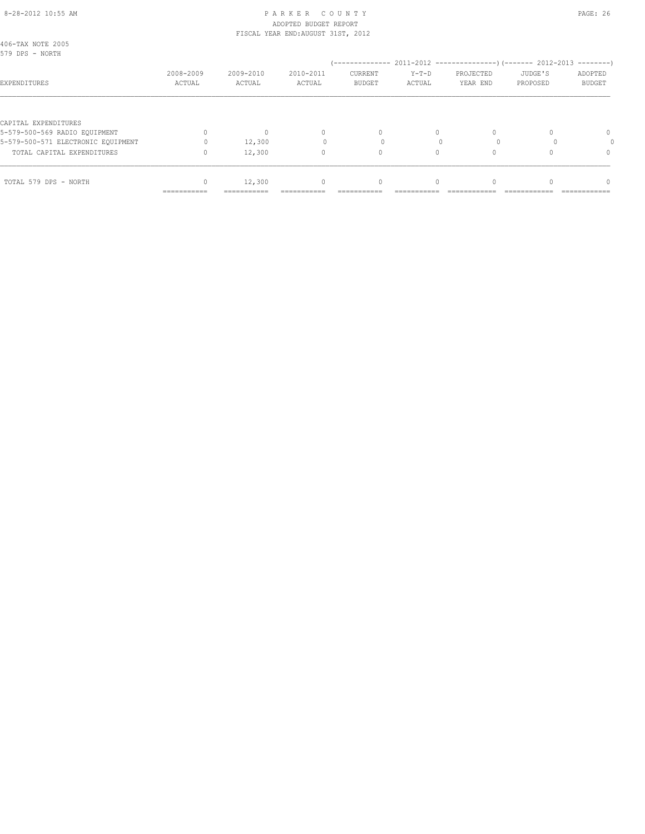#### 8-28-2012 10:55 AM P A R K E R C O U N T Y PAGE: 26 ADOPTED BUDGET REPORT FISCAL YEAR END:AUGUST 31ST, 2012

|                                                       | ===========         | ===========         |                                  |                                 |                   |                       |                     |                          |
|-------------------------------------------------------|---------------------|---------------------|----------------------------------|---------------------------------|-------------------|-----------------------|---------------------|--------------------------|
| TOTAL 579 DPS - NORTH                                 |                     | 12,300              | $\begin{array}{c} \n\end{array}$ |                                 |                   |                       |                     | n                        |
| TOTAL CAPITAL EXPENDITURES                            |                     | 12,300              | 0                                | 0                               | 0                 |                       |                     | $\Omega$                 |
| 5-579-500-571 ELECTRONIC EOUIPMENT                    |                     | 12,300              |                                  |                                 |                   |                       |                     |                          |
| CAPITAL EXPENDITURES<br>5-579-500-569 RADIO EQUIPMENT |                     |                     | $\mathbf{0}$                     | $\Omega$                        | $\Omega$          |                       |                     | $\Omega$                 |
| EXPENDITURES                                          | 2008-2009<br>ACTUAL | 2009-2010<br>ACTUAL | 2010-2011<br>ACTUAL              | <b>CURRENT</b><br><b>BUDGET</b> | $Y-T-D$<br>ACTUAL | PROJECTED<br>YEAR END | JUDGE'S<br>PROPOSED | ADOPTED<br><b>BUDGET</b> |
| 406-TAX NOTE 2005<br>579 DPS - NORTH                  |                     |                     |                                  |                                 |                   |                       |                     |                          |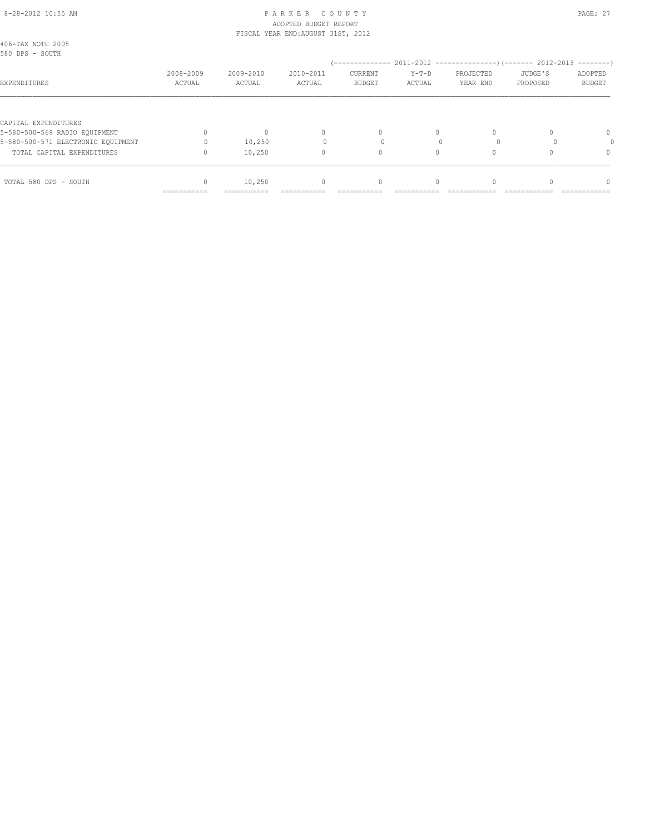#### 8-28-2012 10:55 AM PAGE: 27 ADOPTED BUDGET REPORT FISCAL YEAR END:AUGUST 31ST, 2012

| TOTAL 580 DPS - SOUTH                                 | ===========         | 10,250<br>=========== | $\mathbf{0}$        |                                 |                   |                       |                     | n                                    |
|-------------------------------------------------------|---------------------|-----------------------|---------------------|---------------------------------|-------------------|-----------------------|---------------------|--------------------------------------|
| TOTAL CAPITAL EXPENDITURES                            |                     | 10,250                | 0                   | 0                               | 0                 |                       |                     | $\Omega$                             |
| 5-580-500-571 ELECTRONIC EOUIPMENT                    |                     | 10,250                |                     |                                 |                   |                       |                     |                                      |
| CAPITAL EXPENDITURES<br>5-580-500-569 RADIO EQUIPMENT |                     |                       | $\mathbf{0}$        | $\Omega$                        | $\Omega$          |                       |                     | $\Omega$                             |
| EXPENDITURES                                          | 2008-2009<br>ACTUAL | 2009-2010<br>ACTUAL   | 2010-2011<br>ACTUAL | <b>CURRENT</b><br><b>BUDGET</b> | $Y-T-D$<br>ACTUAL | PROJECTED<br>YEAR END | JUDGE'S<br>PROPOSED | $------$<br>ADOPTED<br><b>BUDGET</b> |
| 406-TAX NOTE 2005<br>580 DPS - SOUTH                  |                     |                       |                     |                                 |                   |                       |                     |                                      |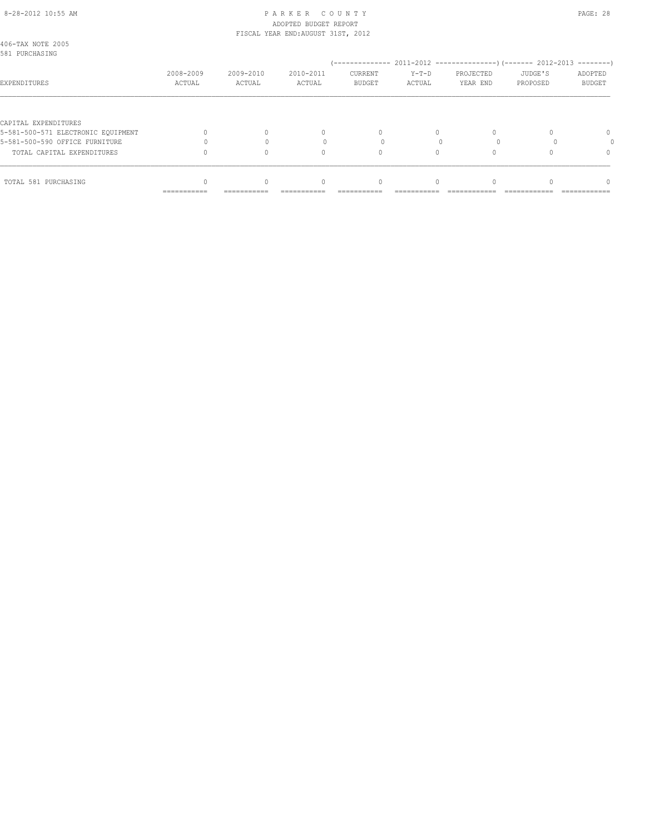#### 8-28-2012 10:55 AM P A R K E R C O U N T Y PAGE: 28 ADOPTED BUDGET REPORT FISCAL YEAR END:AUGUST 31ST, 2012

| TOTAL 581 PURCHASING                                       | ===========         | ===========         | $\Omega$            |                                 |                   |                       |                     | n                        |
|------------------------------------------------------------|---------------------|---------------------|---------------------|---------------------------------|-------------------|-----------------------|---------------------|--------------------------|
| TOTAL CAPITAL EXPENDITURES                                 |                     |                     | $\Omega$            |                                 |                   |                       |                     | 0                        |
| 5-581-500-590 OFFICE FURNITURE                             |                     |                     |                     |                                 |                   |                       |                     |                          |
| CAPITAL EXPENDITURES<br>5-581-500-571 ELECTRONIC EOUIPMENT |                     |                     | 0                   | $\Omega$                        | $\Omega$          |                       |                     | $\Omega$                 |
| EXPENDITURES                                               | 2008-2009<br>ACTUAL | 2009-2010<br>ACTUAL | 2010-2011<br>ACTUAL | <b>CURRENT</b><br><b>BUDGET</b> | $Y-T-D$<br>ACTUAL | PROJECTED<br>YEAR END | JUDGE'S<br>PROPOSED | ADOPTED<br><b>BUDGET</b> |
| 406-TAX NOTE 2005<br>581 PURCHASING                        |                     |                     |                     |                                 |                   |                       |                     | $------$                 |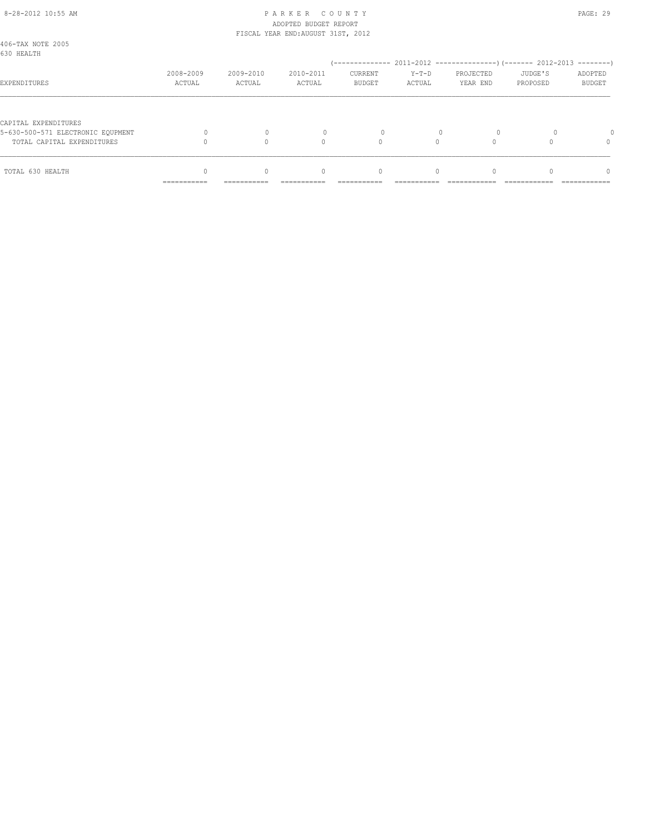## 8-28-2012 10:55 AM P A R K E R C O U N T Y PAGE: 29 ADOPTED BUDGET REPORT FISCAL YEAR END:AUGUST 31ST, 2012

| 406-TAX NOTE 2005<br>630 HEALTH   |                           |             |                                  |               |            |           |          |               |
|-----------------------------------|---------------------------|-------------|----------------------------------|---------------|------------|-----------|----------|---------------|
|                                   | 2008-2009                 | 2009-2010   | 2010-2011                        | CURRENT       | $Y-T-D$    | PROJECTED | JUDGE'S  | ADOPTED       |
| EXPENDITURES                      | ACTUAL                    | ACTUAL      | ACTUAL                           | <b>BUDGET</b> | ACTUAL     | YEAR END  | PROPOSED | <b>BUDGET</b> |
| CAPITAL EXPENDITURES              |                           |             |                                  |               |            |           |          |               |
| 5-630-500-571 ELECTRONIC EOUPMENT |                           |             |                                  | $\Omega$      |            |           |          |               |
| TOTAL CAPITAL EXPENDITURES        |                           |             | $\Omega$                         | $\Omega$      |            |           |          | 0             |
| TOTAL 630 HEALTH                  |                           | $\Omega$    | $\begin{array}{c} \n\end{array}$ | $\mathbf{0}$  | $\Omega$   |           |          | $\cap$        |
|                                   | __________<br>----------- | ----------- | ----------                       |               | ---------- |           |          | ------------  |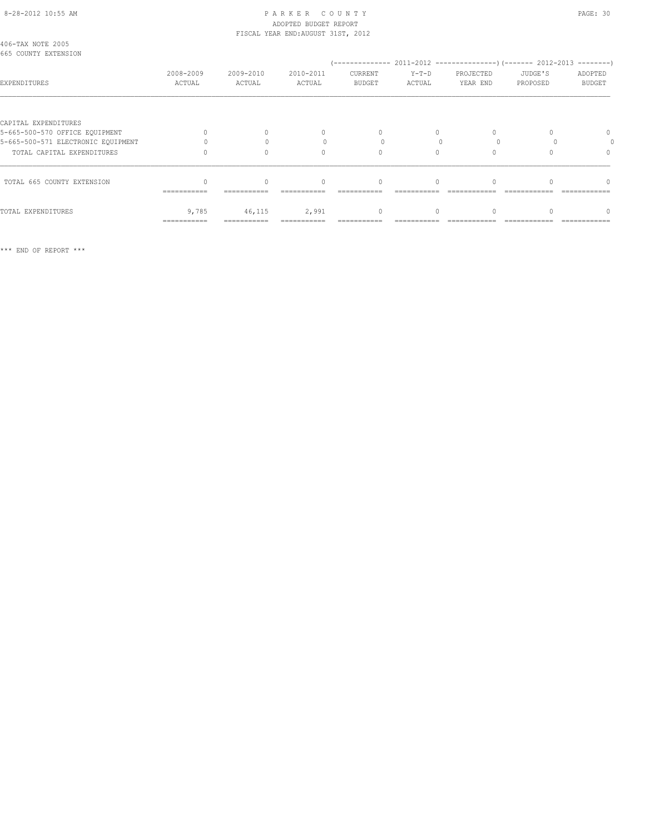#### 8-28-2012 10:55 AM P A R K E R C O U N T Y PAGE: 30 ADOPTED BUDGET REPORT FISCAL YEAR END:AUGUST 31ST, 2012

| 406-TAX NOTE 2005<br>665 COUNTY EXTENSION |                     |                     |                     |                          |                   |                       |                     |                          |  |
|-------------------------------------------|---------------------|---------------------|---------------------|--------------------------|-------------------|-----------------------|---------------------|--------------------------|--|
| EXPENDITURES                              | 2008-2009<br>ACTUAL | 2009-2010<br>ACTUAL | 2010-2011<br>ACTUAL | CURRENT<br><b>BUDGET</b> | $Y-T-D$<br>ACTUAL | PROJECTED<br>YEAR END | JUDGE'S<br>PROPOSED | ADOPTED<br><b>BUDGET</b> |  |
|                                           |                     |                     |                     |                          |                   |                       |                     |                          |  |
| CAPITAL EXPENDITURES                      |                     |                     |                     |                          |                   |                       |                     |                          |  |
| 5-665-500-570 OFFICE EQUIPMENT            |                     |                     | 0                   |                          |                   |                       |                     |                          |  |
| 5-665-500-571 ELECTRONIC EQUIPMENT        |                     |                     |                     |                          |                   |                       |                     |                          |  |
| TOTAL CAPITAL EXPENDITURES                |                     |                     | $\Omega$            |                          |                   |                       |                     |                          |  |
| TOTAL 665 COUNTY EXTENSION                |                     |                     | $\Omega$            | $\Omega$                 |                   |                       |                     |                          |  |
|                                           | ===========         | ===========         |                     |                          |                   |                       |                     |                          |  |
| TOTAL EXPENDITURES                        | 9,785               | 46,115              | 2,991               | $\mathbf{0}$             |                   |                       |                     |                          |  |
|                                           | ===========         |                     |                     |                          |                   |                       |                     |                          |  |

\*\*\* END OF REPORT \*\*\*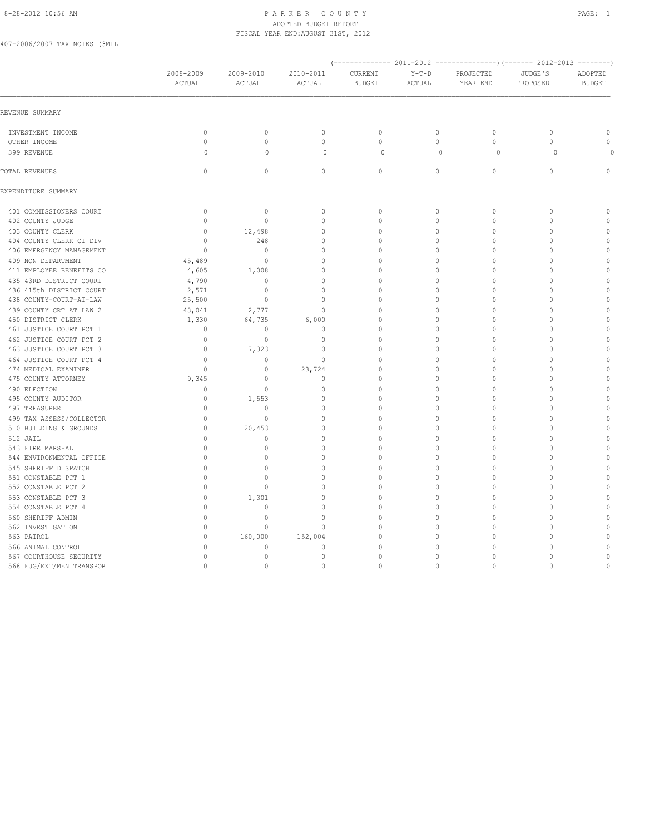#### 8-28-2012 10:56 AM PAGE: 1 PAR K E R C O U N T Y ADOPTED BUDGET REPORT FISCAL YEAR END:AUGUST 31ST, 2012

407-2006/2007 TAX NOTES (3MIL

|                          | 2008-2009    | 2009-2010    | 2010-2011    | CURRENT       | $Y-T-D$      | PROJECTED    | JUDGE'S      | ADOPTED       |
|--------------------------|--------------|--------------|--------------|---------------|--------------|--------------|--------------|---------------|
|                          | ACTUAL       | ACTUAL       | ACTUAL       | <b>BUDGET</b> | ACTUAL       | YEAR END     | PROPOSED     | <b>BUDGET</b> |
| REVENUE SUMMARY          |              |              |              |               |              |              |              |               |
| INVESTMENT INCOME        | $\mathbb O$  | $\mathbb O$  | $\mathbb O$  | $\mathbb O$   | $\circ$      | $\mathbb O$  | $\circ$      | $\mathbb O$   |
| OTHER INCOME             | $\mathbf{0}$ | $\circ$      | $\mathbb O$  | $\mathbb O$   | $\circ$      | $\circ$      | $\mathbf{0}$ | $\mathbb O$   |
| 399 REVENUE              | $\circ$      | $\mathbf 0$  | $\circ$      | $\circ$       | $\mathbf{0}$ | $\circ$      | $\circ$      | $\circ$       |
| TOTAL REVENUES           | $\mathbf{0}$ | $\circ$      | $\circ$      | $\circ$       | $\circ$      | $\circ$      | $\mathbf{0}$ | $\mathbf{0}$  |
| EXPENDITURE SUMMARY      |              |              |              |               |              |              |              |               |
| 401 COMMISSIONERS COURT  | $\mathbb O$  | $\circ$      | $\mathbb O$  | $\mathbb O$   | 0            | $\mathbb O$  | $\mathbb O$  | $\mathbf 0$   |
| 402 COUNTY JUDGE         | $\mathbf{0}$ | $\mathbf{0}$ | $\mathbf{0}$ | $\circ$       | 0            | $\circ$      | $\mathbf{0}$ | $\mathbf 0$   |
| 403 COUNTY CLERK         | $\circ$      | 12,498       | $\mathbf{0}$ | $\circ$       | 0            | $\mathbf{0}$ | $\Omega$     | $\circ$       |
| 404 COUNTY CLERK CT DIV  | $\mathbf{0}$ | 248          | $\mathbb O$  | $\circ$       | 0            | $\mathbf{0}$ | $\mathbf{0}$ | $\circ$       |
| 406 EMERGENCY MANAGEMENT | $\Omega$     | $\mathbf{0}$ | $\mathbf{0}$ | $\circ$       | 0            | $\Omega$     | $\Omega$     | $\mathbb O$   |
| 409 NON DEPARTMENT       | 45,489       | $\mathbf{0}$ | $\mathbf{0}$ | $\mathbf{0}$  | 0            | $\Omega$     | $\Omega$     | $\circ$       |
| 411 EMPLOYEE BENEFITS CO | 4,605        | 1,008        | $\mathbf{0}$ | $\mathbf{0}$  | 0            | $\mathbf{0}$ | $\mathbf{0}$ | $\mathbb O$   |
| 435 43RD DISTRICT COURT  | 4,790        | $\circ$      | $\mathbf{0}$ | $\mathbf{0}$  | 0            | $\Omega$     | $\Omega$     | $\circ$       |
| 436 415th DISTRICT COURT | 2,571        | $\circ$      | $\mathbf{0}$ | $\circ$       | 0            | $\Omega$     | $\Omega$     | $\circ$       |
| 438 COUNTY-COURT-AT-LAW  | 25,500       | $\circ$      | $\mathbf{0}$ | $\Omega$      | 0            | $\Omega$     | $\Omega$     | $\circ$       |
| 439 COUNTY CRT AT LAW 2  | 43,041       | 2,777        | $\mathbb O$  | $\Omega$      | 0            | $\Omega$     | $\Omega$     | $\circ$       |
| 450 DISTRICT CLERK       | 1,330        | 64,735       | 6,000        | $\Omega$      | 0            | $\Omega$     | $\Omega$     | $\mathbb O$   |
| 461 JUSTICE COURT PCT 1  | $\Omega$     | $\mathbf{0}$ | $\mathbf{0}$ | $\Omega$      | $\Omega$     | $\Omega$     | $\Omega$     | $\circ$       |
| 462 JUSTICE COURT PCT 2  | $\mathbf{0}$ | $\mathbb O$  | $\mathbb O$  | $\mathbf{0}$  | 0            | $\Omega$     | $\bigcap$    | $\mathbb O$   |
| 463 JUSTICE COURT PCT 3  | $\mathbb O$  | 7,323        | $\mathbb O$  | $\mathbb O$   | 0            | $\mathbb O$  | $\Omega$     | $\circ$       |
| 464 JUSTICE COURT PCT 4  | $\circ$      | $\circ$      | $\mathbb O$  | $\mathbf{0}$  | 0            | $\Omega$     | $\Omega$     | $\mathbb O$   |
| 474 MEDICAL EXAMINER     | $\mathbf{0}$ | $\circ$      | 23,724       | $\mathbf{0}$  | 0            | $\Omega$     | $\mathbf{0}$ | $\mathbf 0$   |
| 475 COUNTY ATTORNEY      | 9,345        | $\circ$      | $\mathbf 0$  | $\mathbf 0$   | 0            | $\mathbf 0$  | $\Omega$     | $\mathbf 0$   |
| 490 ELECTION             | $\mathbf{0}$ | $\mathbf{0}$ | $\mathbf{0}$ | $\mathbf{0}$  | 0            | $\Omega$     | $\Omega$     | $\mathbf 0$   |
| 495 COUNTY AUDITOR       | $\mathbf{0}$ | 1,553        | $\mathbb O$  | $\mathbf{0}$  | 0            | $\mathbf{0}$ | $\Omega$     | $\circ$       |
| 497 TREASURER            | $\mathbf{0}$ | $\mathbf{0}$ | $\mathbf{0}$ | $\Omega$      | 0            | $\Omega$     | $\mathbf{0}$ | $\mathbf 0$   |
| 499 TAX ASSESS/COLLECTOR | $\mathbf{0}$ | $\mathbf{0}$ | $\mathbf{0}$ | $\mathbf{0}$  | 0            | $\Omega$     | $\Omega$     | $\circ$       |
| 510 BUILDING & GROUNDS   | $\mathbb O$  | 20,453       | $\mathbb O$  | $\mathbf{0}$  | 0            | $\mathbf 0$  | $\Omega$     | $\mathbb O$   |
| 512 JAIL                 | $\mathbf{0}$ | $\circ$      | $\mathbf{0}$ | $\mathbf{0}$  | 0            | $\mathbf 0$  | $\Omega$     | $\circ$       |
| 543 FIRE MARSHAL         | $\mathbf{0}$ | $\mathbf{0}$ | $\mathbb O$  | $\mathbf{0}$  | 0            | $\mathbf 0$  | $\mathbf{0}$ | $\circ$       |
| 544 ENVIRONMENTAL OFFICE | $\mathbf{0}$ | $\mathbf{0}$ | $\mathbb O$  | $\mathbf{0}$  | 0            | $\mathbf 0$  | $\mathbf{0}$ | $\circ$       |
| 545 SHERIFF DISPATCH     | $\mathbf{0}$ | $\mathbf{0}$ | $\mathbf{0}$ | $\mathbf{0}$  | 0            | $\Omega$     | $\mathbf{0}$ | $\circ$       |
| 551 CONSTABLE PCT 1      | $\Omega$     | $\Omega$     | $\mathbf{0}$ | $\Omega$      | 0            | $\Omega$     | $\Omega$     | $\circ$       |
| 552 CONSTABLE PCT 2      | $\mathbf{0}$ | $\mathbf{0}$ | $\mathbf{0}$ | $\mathbf{0}$  | $\Omega$     | $\Omega$     | $\Omega$     | $\circ$       |
| 553 CONSTABLE PCT 3      | $\mathbf{0}$ | 1,301        | $\mathbf{0}$ | $\Omega$      | 0            | $\Omega$     | $\Omega$     | $\mathbf{0}$  |
| 554 CONSTABLE PCT 4      | $\mathbf{0}$ | $\mathbf{0}$ | $\mathbf{0}$ | $\circ$       | 0            | $\Omega$     | $\Omega$     | $\circ$       |
| 560 SHERIFF ADMIN        | $\mathbb O$  | $\mathbb O$  | $\mathbb O$  | $\mathbb O$   | 0            | $\mathbb O$  | $\Omega$     | $\mathbb O$   |
| 562 INVESTIGATION        | $\Omega$     | $\circ$      | $\mathbf{0}$ | $\Omega$      | 0            | $\Omega$     | $\Omega$     | $\mathbb O$   |
| 563 PATROL               | $\circ$      | 160,000      | 152,004      | $\mathbf{0}$  | 0            | $\mathbf 0$  | $\Omega$     | $\circ$       |
| 566 ANIMAL CONTROL       | 0            | $\mathbf 0$  | $\mathbf 0$  | $\mathbf{0}$  | 0            | $\mathbf 0$  | $\mathbf{0}$ | $\mathbf 0$   |
| 567 COURTHOUSE SECURITY  | $\mathbf{0}$ | $\mathbb O$  | $\mathbb O$  | $\mathbf{0}$  | 0            | $\cap$       | $\mathbf{0}$ | $\circ$       |
| 568 FUG/EXT/MEN TRANSPOR | $\mathbb O$  | $\mathbb O$  | $\mathbb O$  | $\mathbf{0}$  | $\circ$      | $\Omega$     | $\mathbf{0}$ | $\mathbb O$   |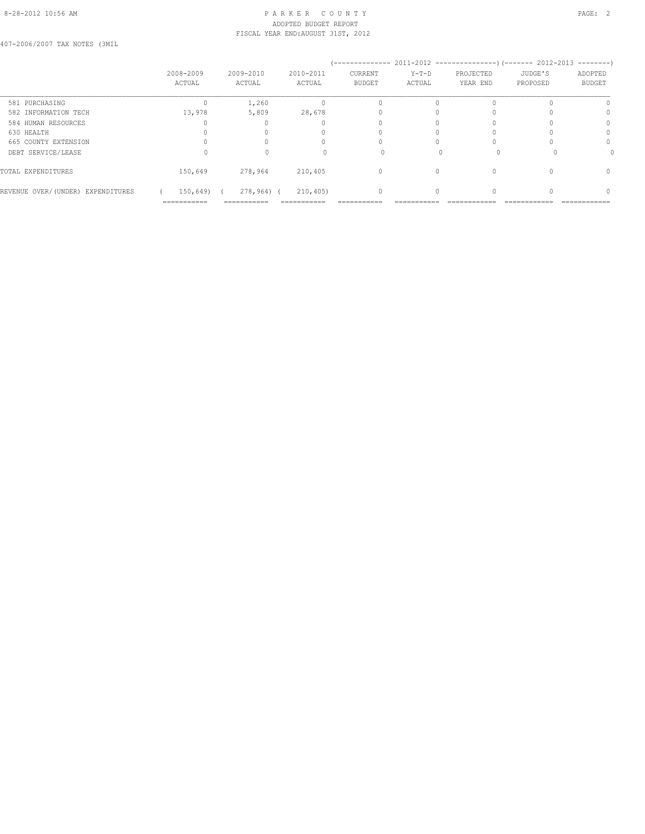#### 8-28-2012 10:56 AM PAGE: 2 ADOPTED BUDGET REPORT FISCAL YEAR END:AUGUST 31ST, 2012

407-2006/2007 TAX NOTES (3MIL

|                                   | 2008-2009<br>ACTUAL | 2009-2010<br>ACTUAL    | 2010-2011<br>ACTUAL | --------------<br>CURRENT<br><b>BUDGET</b> | $Y-T-D$<br>ACTUAL | 2011-2012 -----------------) (------- 2012-2013<br>PROJECTED<br>YEAR END | JUDGE'S<br>PROPOSED | ---------<br>ADOPTED<br><b>BUDGET</b> |
|-----------------------------------|---------------------|------------------------|---------------------|--------------------------------------------|-------------------|--------------------------------------------------------------------------|---------------------|---------------------------------------|
| 581 PURCHASING                    |                     | 1,260                  |                     |                                            |                   |                                                                          |                     |                                       |
| 582 INFORMATION TECH              | 13,978              | 5,809                  | 28,678              |                                            |                   |                                                                          |                     |                                       |
| 584 HUMAN RESOURCES               |                     |                        |                     |                                            |                   |                                                                          |                     |                                       |
| 630 HEALTH                        |                     |                        |                     |                                            |                   |                                                                          |                     | n                                     |
| 665 COUNTY EXTENSION              |                     |                        |                     |                                            |                   |                                                                          |                     | $\Omega$                              |
| DEBT SERVICE/LEASE                |                     |                        |                     |                                            |                   |                                                                          |                     |                                       |
| TOTAL EXPENDITURES                | 150,649             | 278,964                | 210,405             | 0                                          | $\Omega$          |                                                                          |                     | $\Omega$                              |
| REVENUE OVER/(UNDER) EXPENDITURES | 150,649)            | 278,964) (             | 210,405)            | $\Omega$                                   |                   |                                                                          |                     |                                       |
|                                   | ===========         | -------<br>----------- | ----------          |                                            |                   |                                                                          |                     | ------------                          |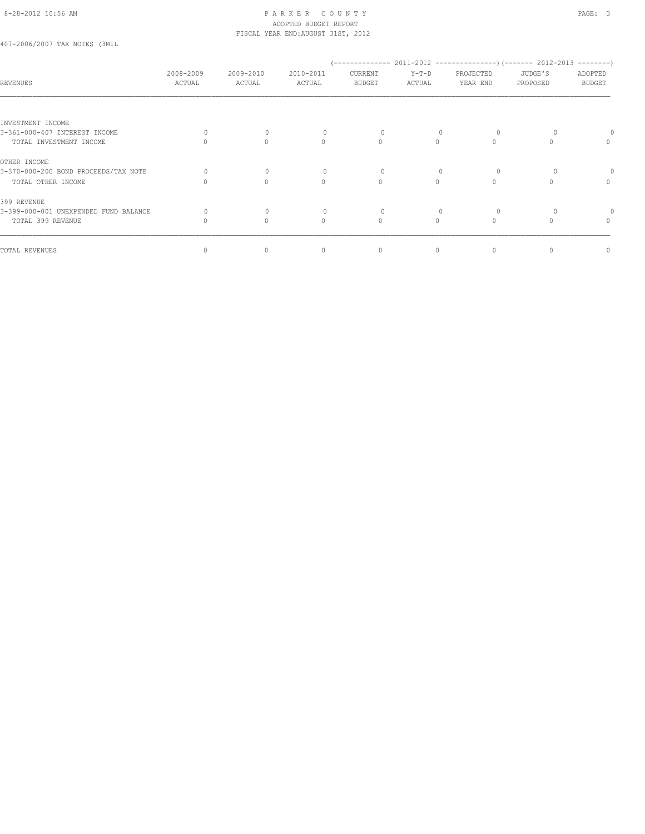#### 8-28-2012 10:56 AM PAGE: 3 ADOPTED BUDGET REPORT FISCAL YEAR END:AUGUST 31ST, 2012

407-2006/2007 TAX NOTES (3MIL

| <b>REVENUES</b>                       | 2008-2009<br>ACTUAL | 2009-2010<br>ACTUAL              | 2010-2011<br>ACTUAL | CURRENT<br>BUDGET                | $Y-T-D$<br>ACTUAL | PROJECTED<br>YEAR END | JUDGE'S<br>PROPOSED | ADOPTED<br><b>BUDGET</b> |
|---------------------------------------|---------------------|----------------------------------|---------------------|----------------------------------|-------------------|-----------------------|---------------------|--------------------------|
|                                       |                     |                                  |                     |                                  |                   |                       |                     |                          |
| INVESTMENT INCOME                     |                     |                                  |                     |                                  |                   |                       |                     |                          |
| 3-361-000-407 INTEREST INCOME         |                     | $\begin{array}{c} \n\end{array}$ |                     | 0                                |                   | $\Omega$              |                     |                          |
| TOTAL INVESTMENT INCOME               |                     | $\begin{array}{c} \n\end{array}$ | $\Omega$            | $\begin{array}{c} \n\end{array}$ |                   |                       |                     | 0                        |
| OTHER INCOME                          |                     |                                  |                     |                                  |                   |                       |                     |                          |
| 3-370-000-200 BOND PROCEEDS/TAX NOTE  |                     | $\Omega$                         |                     |                                  |                   |                       |                     |                          |
| TOTAL OTHER INCOME                    |                     | $\begin{array}{c} \n\end{array}$ | $\mathbf{0}$        | $\begin{array}{c} \n\end{array}$ | $\Omega$          |                       |                     | $\mathbf{0}$             |
| 399 REVENUE                           |                     |                                  |                     |                                  |                   |                       |                     |                          |
| 3-399-000-001 UNEXPENDED FUND BALANCE |                     | $\begin{array}{c} \n\end{array}$ | 0                   | 0                                |                   | $\Omega$              |                     |                          |
| TOTAL 399 REVENUE                     |                     | $\Omega$                         | $\Omega$            | $\mathbf{0}$                     | $\cap$            | $\bigcap$             |                     | $\mathbf{0}$             |
| TOTAL REVENUES                        |                     | 0                                | $\mathbf{0}$        | 0                                | 0                 | 0                     |                     | 0                        |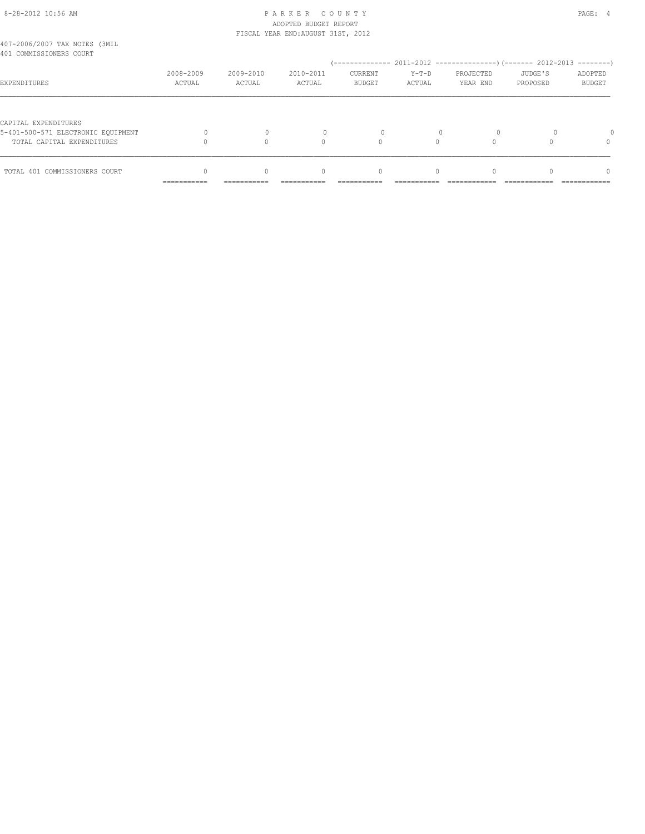# 8-28-2012 10:56 AM P A R K E R C O U N T Y PAGE: 4 ADOPTED BUDGET REPORT

|                                                                  | ------------        | ------------        |                                    |                          |                   |                       |                     |                          |
|------------------------------------------------------------------|---------------------|---------------------|------------------------------------|--------------------------|-------------------|-----------------------|---------------------|--------------------------|
| TOTAL 401 COMMISSIONERS COURT                                    |                     |                     | 0                                  | 0                        |                   |                       |                     | $\Omega$                 |
| 5-401-500-571 ELECTRONIC EOUIPMENT<br>TOTAL CAPITAL EXPENDITURES |                     |                     | $\bigcap$                          |                          | $\Omega$          |                       |                     | $\Omega$                 |
| CAPITAL EXPENDITURES                                             |                     |                     |                                    |                          |                   |                       |                     |                          |
| EXPENDITURES                                                     | 2008-2009<br>ACTUAL | 2009-2010<br>ACTUAL | 2010-2011<br>ACTUAL                | CURRENT<br><b>BUDGET</b> | $Y-T-D$<br>ACTUAL | PROJECTED<br>YEAR END | JUDGE'S<br>PROPOSED | ADOPTED<br><b>BUDGET</b> |
| 407-2006/2007 TAX NOTES (3MIL<br>401 COMMISSIONERS COURT         |                     |                     |                                    |                          |                   |                       |                     |                          |
|                                                                  |                     |                     | FISCAL YEAR END: AUGUST 31ST, 2012 |                          |                   |                       |                     |                          |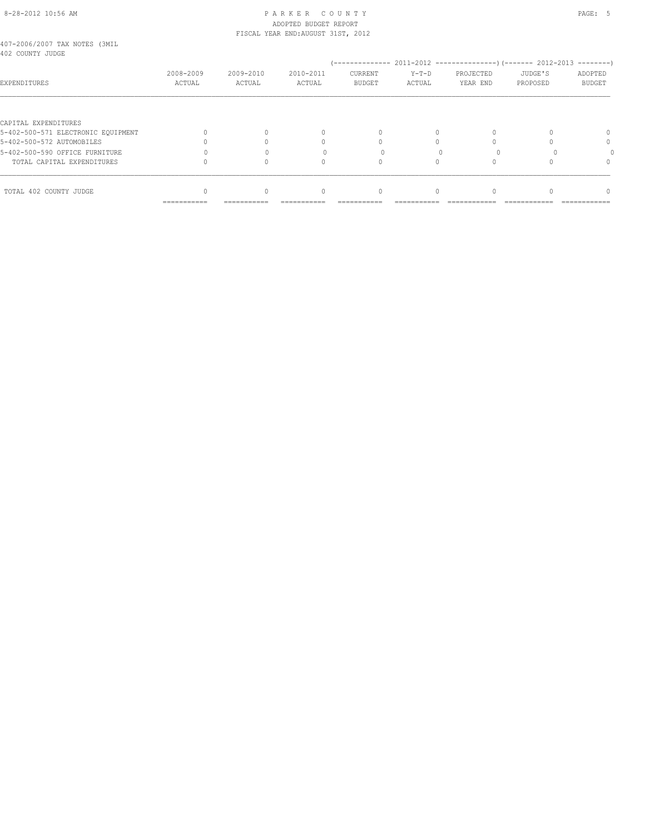#### 8-28-2012 10:56 AM PAGE: 5 ADOPTED BUDGET REPORT FISCAL YEAR END:AUGUST 31ST, 2012

| 407-2006/2007 TAX NOTES (3MIL |  |  |  |
|-------------------------------|--|--|--|
| 402 COUNTY JUDGE              |  |  |  |

| 4UZ CUUNII JUDUL                   |                     |                     |                     |                          |                   |                       |                     |                   |
|------------------------------------|---------------------|---------------------|---------------------|--------------------------|-------------------|-----------------------|---------------------|-------------------|
| EXPENDITURES                       | 2008-2009<br>ACTUAL | 2009-2010<br>ACTUAL | 2010-2011<br>ACTUAL | CURRENT<br><b>BUDGET</b> | $Y-T-D$<br>ACTUAL | PROJECTED<br>YEAR END | JUDGE'S<br>PROPOSED | ADOPTED<br>BUDGET |
|                                    |                     |                     |                     |                          |                   |                       |                     |                   |
| CAPITAL EXPENDITURES               |                     |                     |                     |                          |                   |                       |                     |                   |
| 5-402-500-571 ELECTRONIC EQUIPMENT |                     |                     |                     |                          |                   |                       |                     |                   |
| 5-402-500-572 AUTOMOBILES          |                     |                     |                     |                          |                   |                       |                     | $\Omega$          |
| 5-402-500-590 OFFICE FURNITURE     |                     |                     |                     |                          |                   |                       |                     |                   |
| TOTAL CAPITAL EXPENDITURES         |                     |                     |                     |                          |                   |                       |                     | 0                 |
|                                    |                     |                     |                     |                          |                   |                       |                     |                   |
| TOTAL 402 COUNTY JUDGE             | ===========         |                     |                     | $\cap$                   |                   |                       |                     | n                 |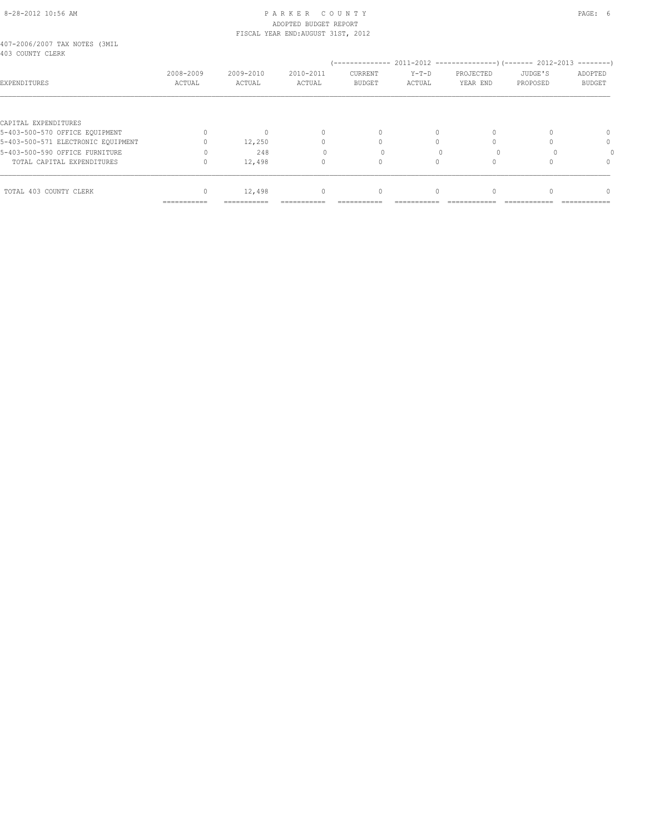#### 8-28-2012 10:56 AM P A R K E R C O U N T Y PAGE: 6 ADOPTED BUDGET REPORT FISCAL YEAR END:AUGUST 31ST, 2012

| 407-2006/2007 TAX NOTES (3MIL |  |  |  |
|-------------------------------|--|--|--|
| 403 COUNTY CLERK              |  |  |  |

| 403 Coonii Clean                   |                             |                     |                     | --------------                  |                   |                       | 2011-2012 -----------------) (------- 2012-2013 | ---------                |
|------------------------------------|-----------------------------|---------------------|---------------------|---------------------------------|-------------------|-----------------------|-------------------------------------------------|--------------------------|
| EXPENDITURES                       | 2008-2009<br>ACTUAL         | 2009-2010<br>ACTUAL | 2010-2011<br>ACTUAL | <b>CURRENT</b><br><b>BUDGET</b> | $Y-T-D$<br>ACTUAL | PROJECTED<br>YEAR END | JUDGE'S<br>PROPOSED                             | ADOPTED<br><b>BUDGET</b> |
|                                    |                             |                     |                     |                                 |                   |                       |                                                 |                          |
| CAPITAL EXPENDITURES               |                             |                     |                     |                                 |                   |                       |                                                 |                          |
| 5-403-500-570 OFFICE EQUIPMENT     |                             | 0                   |                     | $\Omega$                        |                   |                       |                                                 |                          |
| 5-403-500-571 ELECTRONIC EQUIPMENT |                             | 12,250              |                     |                                 |                   |                       |                                                 |                          |
| 5-403-500-590 OFFICE FURNITURE     |                             | 248                 |                     |                                 |                   |                       |                                                 |                          |
| TOTAL CAPITAL EXPENDITURES         |                             | 12,498              |                     |                                 |                   |                       |                                                 |                          |
|                                    |                             |                     |                     |                                 |                   |                       |                                                 |                          |
| TOTAL 403 COUNTY CLERK             |                             | 12,498              | $\cap$              | $\Omega$                        |                   |                       |                                                 | $\cap$                   |
|                                    | ------------<br>----------- | -----------         |                     |                                 |                   |                       |                                                 |                          |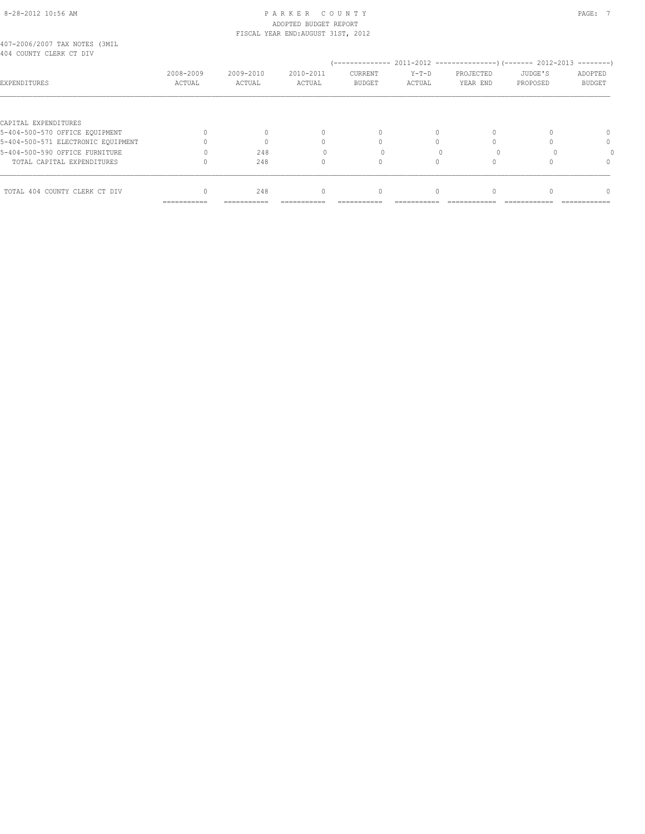#### 8-28-2012 10:56 AM PAGE: 7 ADOPTED BUDGET REPORT FISCAL YEAR END:AUGUST 31ST, 2012

| 407-2006/2007 TAX NOTES (3MIL |  |  |  |
|-------------------------------|--|--|--|
| 404 COUNTY CLERK CT DIV       |  |  |  |

| RAR CAGMIT CHRMY CI DIA            |                     |                     |                     |                          |                   |                       |                     |                          |
|------------------------------------|---------------------|---------------------|---------------------|--------------------------|-------------------|-----------------------|---------------------|--------------------------|
| EXPENDITURES                       | 2008-2009<br>ACTUAL | 2009-2010<br>ACTUAL | 2010-2011<br>ACTUAL | CURRENT<br><b>BUDGET</b> | $Y-T-D$<br>ACTUAL | PROJECTED<br>YEAR END | JUDGE'S<br>PROPOSED | ADOPTED<br><b>BUDGET</b> |
|                                    |                     |                     |                     |                          |                   |                       |                     |                          |
| CAPITAL EXPENDITURES               |                     |                     |                     |                          |                   |                       |                     |                          |
| 5-404-500-570 OFFICE EQUIPMENT     |                     |                     |                     |                          | 0                 |                       |                     |                          |
| 5-404-500-571 ELECTRONIC EQUIPMENT |                     |                     |                     |                          |                   |                       |                     | 0                        |
| 5-404-500-590 OFFICE FURNITURE     |                     | 248                 |                     |                          |                   |                       |                     |                          |
| TOTAL CAPITAL EXPENDITURES         |                     | 248                 |                     |                          |                   |                       |                     | 0                        |
|                                    |                     |                     |                     |                          |                   |                       |                     |                          |
| TOTAL 404 COUNTY CLERK CT DIV      |                     | 248                 |                     | $\Omega$                 |                   |                       |                     |                          |
|                                    | ===========         | -----------         | ---------           | -----------              |                   |                       |                     | ------------             |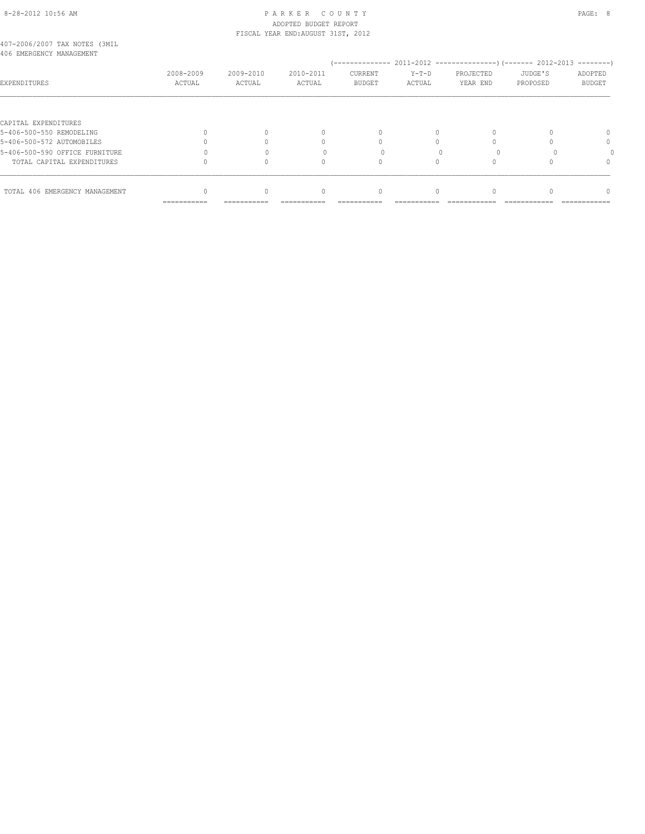#### 8-28-2012 10:56 AM PAGE: 8 ADOPTED BUDGET REPORT FISCAL YEAR END:AUGUST 31ST, 2012

|  | 407-2006/2007 TAX NOTES (3MIL |
|--|-------------------------------|
|  | 406 EMERGENCY MANAGEMENT      |

| ANG PMPKAPIMOT M <del>W</del> IMPIMPIMI |                           |                     |                     |                          |                   |                       |                     | ---------                |
|-----------------------------------------|---------------------------|---------------------|---------------------|--------------------------|-------------------|-----------------------|---------------------|--------------------------|
| EXPENDITURES                            | 2008-2009<br>ACTUAL       | 2009-2010<br>ACTUAL | 2010-2011<br>ACTUAL | CURRENT<br><b>BUDGET</b> | $Y-T-D$<br>ACTUAL | PROJECTED<br>YEAR END | JUDGE'S<br>PROPOSED | ADOPTED<br><b>BUDGET</b> |
|                                         |                           |                     |                     |                          |                   |                       |                     |                          |
| CAPITAL EXPENDITURES                    |                           |                     |                     |                          |                   |                       |                     |                          |
| 5-406-500-550 REMODELING                |                           |                     |                     | $\Omega$                 |                   | $\Omega$              |                     |                          |
| 5-406-500-572 AUTOMOBILES               |                           |                     |                     |                          |                   |                       |                     | n                        |
| 5-406-500-590 OFFICE FURNITURE          |                           |                     |                     |                          |                   |                       |                     |                          |
| TOTAL CAPITAL EXPENDITURES              |                           |                     |                     |                          |                   |                       |                     |                          |
|                                         |                           |                     |                     |                          |                   |                       |                     |                          |
| TOTAL 406 EMERGENCY MANAGEMENT          |                           | 0                   |                     | $\Omega$                 |                   | U                     |                     |                          |
|                                         | $=$ = = = = = = = = = = = | ===========         | ----------          | -----------              |                   |                       |                     | ============             |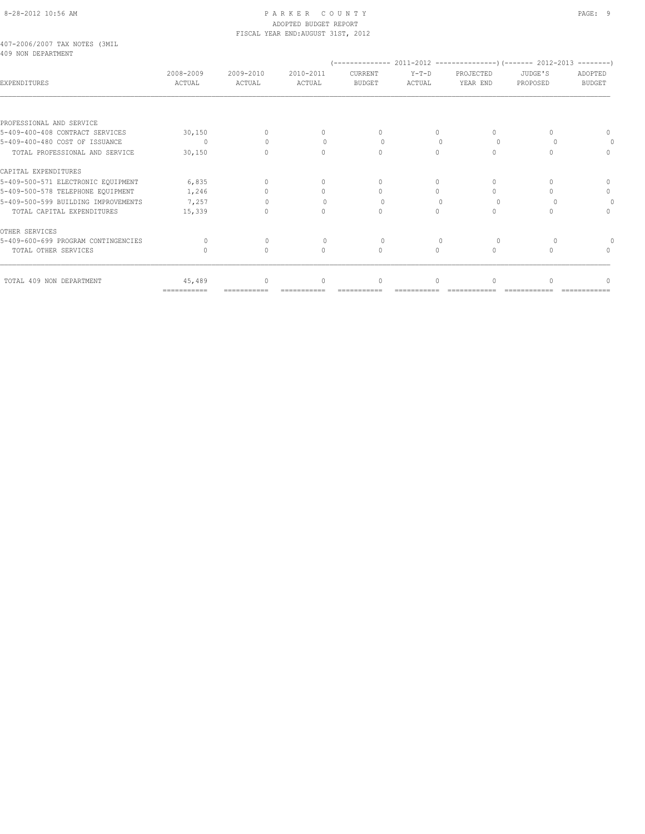## 8-28-2012 10:56 AM PAGE: 9 ADOPTED BUDGET REPORT FISCAL YEAR END:AUGUST 31ST, 2012

#### 407-2006/2007 TAX NOTES (3MIL 409 NON DEPARTMENT

| <b>EXPENDITURES</b>                 | 2008-2009<br>ACTUAL | 2009-2010<br>ACTUAL | 2010-2011<br>ACTUAL              | CURRENT<br><b>BUDGET</b> | $Y-T-D$<br><b>ACTUAL</b> | PROJECTED<br>YEAR END | JUDGE'S<br>PROPOSED | ADOPTED<br><b>BUDGET</b> |
|-------------------------------------|---------------------|---------------------|----------------------------------|--------------------------|--------------------------|-----------------------|---------------------|--------------------------|
|                                     |                     |                     |                                  |                          |                          |                       |                     |                          |
| PROFESSIONAL AND SERVICE            |                     |                     |                                  |                          |                          |                       |                     |                          |
| 5-409-400-408 CONTRACT SERVICES     | 30,150              |                     |                                  |                          | $\Omega$                 | $\cap$                |                     |                          |
| 5-409-400-480 COST OF ISSUANCE      | $\Omega$            |                     |                                  |                          | $\bigcap$                | $\Omega$              |                     |                          |
| TOTAL PROFESSIONAL AND SERVICE      | 30,150              | $\bigcap$           | $\begin{array}{c} \n\end{array}$ | $\bigcap$                | $\bigcap$                | $\Omega$              |                     |                          |
| CAPITAL EXPENDITURES                |                     |                     |                                  |                          |                          |                       |                     |                          |
| 5-409-500-571 ELECTRONIC EQUIPMENT  | 6,835               | 0                   | $\cap$                           | $\cup$                   | $\Omega$                 | $\Omega$              |                     |                          |
| 5-409-500-578 TELEPHONE EQUIPMENT   | 1,246               |                     |                                  |                          |                          | $\bigcap$             |                     | <sup>0</sup>             |
| 5-409-500-599 BUILDING IMPROVEMENTS | 7,257               |                     |                                  |                          |                          | $\cup$                |                     |                          |
| TOTAL CAPITAL EXPENDITURES          | 15,339              |                     | $\bigcap$                        |                          |                          | $\Omega$              |                     |                          |
| OTHER SERVICES                      |                     |                     |                                  |                          |                          |                       |                     |                          |
| 5-409-600-699 PROGRAM CONTINGENCIES |                     |                     |                                  |                          |                          | $\cup$                |                     |                          |
| TOTAL OTHER SERVICES                |                     | 0                   | $\bigcap$                        | $\bigcap$                | $\Omega$                 | $\Omega$              |                     |                          |
| TOTAL 409 NON DEPARTMENT            | 45,489              | $\Omega$            | $\bigcap$                        | $\cap$                   | $\cap$                   | $\bigcap$             |                     |                          |
|                                     | ===========         |                     |                                  |                          |                          |                       |                     |                          |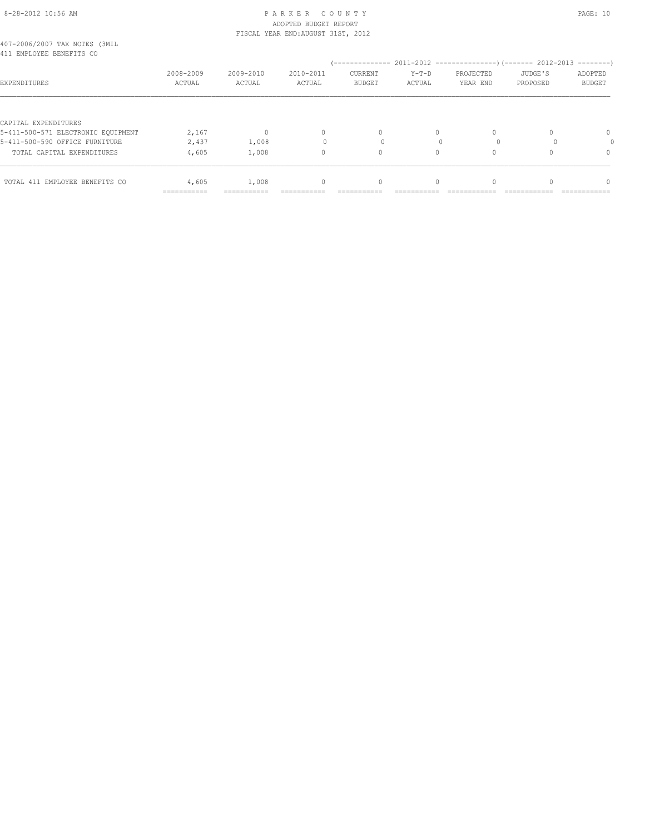#### 8-28-2012 10:56 AM P A R K E R C O U N T Y PAGE: 10 ADOPTED BUDGET REPORT FISCAL YEAR END:AUGUST 31ST, 2012

| 407-2006/2007 TAX NOTES (3MIL |  |  |  |
|-------------------------------|--|--|--|
| 411 EMPLOYEE BENEFITS CO      |  |  |  |

| 411 EMPLOYEE BENEFITS CO           |                           |                     |                     |                                 |                            |                       |                     |                          |
|------------------------------------|---------------------------|---------------------|---------------------|---------------------------------|----------------------------|-----------------------|---------------------|--------------------------|
| <b>EXPENDITURES</b>                | 2008-2009<br>ACTUAL       | 2009-2010<br>ACTUAL | 2010-2011<br>ACTUAL | <b>CURRENT</b><br><b>BUDGET</b> | $Y-T-D$<br>ACTUAL          | PROJECTED<br>YEAR END | JUDGE'S<br>PROPOSED | ADOPTED<br><b>BUDGET</b> |
|                                    |                           |                     |                     |                                 |                            |                       |                     |                          |
| CAPITAL EXPENDITURES               |                           |                     |                     |                                 |                            |                       |                     |                          |
| 5-411-500-571 ELECTRONIC EQUIPMENT | 2,167                     | U                   | $\Omega$            | 0                               |                            | U                     |                     |                          |
| 5-411-500-590 OFFICE FURNITURE     | 2,437                     | 1,008               |                     |                                 |                            |                       |                     |                          |
| TOTAL CAPITAL EXPENDITURES         | 4,605                     | 1,008               |                     | 0                               |                            | 0                     |                     |                          |
| TOTAL 411 EMPLOYEE BENEFITS CO     | 4,605                     | 1,008               | 0                   | 0                               |                            |                       |                     |                          |
|                                    | $=$ = = = = = = = = = = = | $=$ ============    | ===========         | ===========                     | -------------<br>--------- | ---------------       | _____________       | -------------            |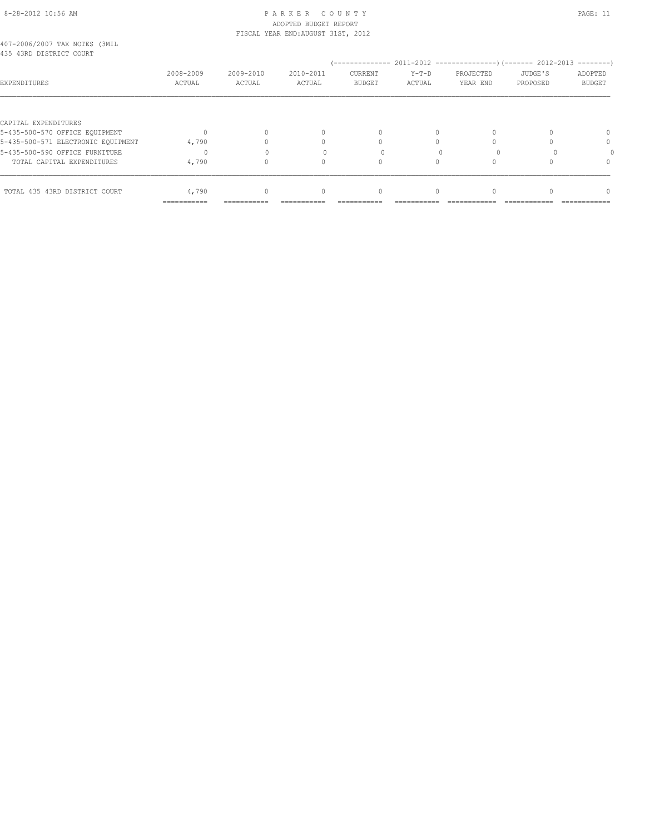#### 8-28-2012 10:56 AM P A R K E R C O U N T Y PAGE: 11 ADOPTED BUDGET REPORT FISCAL YEAR END:AUGUST 31ST, 2012

|  |  | 407-2006/2007 TAX NOTES (3MIL |  |
|--|--|-------------------------------|--|
|  |  | 435 43RD DISTRICT COURT       |  |

| RGG ROKD DISIKICI UUUKI            |                     |                     |                     |                          |                   |                       |                     |                   |
|------------------------------------|---------------------|---------------------|---------------------|--------------------------|-------------------|-----------------------|---------------------|-------------------|
| EXPENDITURES                       | 2008-2009<br>ACTUAL | 2009-2010<br>ACTUAL | 2010-2011<br>ACTUAL | CURRENT<br><b>BUDGET</b> | $Y-T-D$<br>ACTUAL | PROJECTED<br>YEAR END | JUDGE'S<br>PROPOSED | ADOPTED<br>BUDGET |
|                                    |                     |                     |                     |                          |                   |                       |                     |                   |
| CAPITAL EXPENDITURES               |                     |                     |                     |                          |                   |                       |                     |                   |
| 5-435-500-570 OFFICE EQUIPMENT     |                     |                     | $\Omega$            | $\Omega$                 |                   |                       |                     |                   |
| 5-435-500-571 ELECTRONIC EQUIPMENT | 4,790               |                     |                     |                          |                   |                       |                     | 0                 |
| 5-435-500-590 OFFICE FURNITURE     |                     |                     |                     |                          |                   |                       |                     |                   |
| TOTAL CAPITAL EXPENDITURES         | 4,790               |                     |                     | n                        |                   |                       |                     |                   |
|                                    |                     |                     |                     |                          |                   |                       |                     |                   |
| TOTAL 435 43RD DISTRICT COURT      | 4,790               |                     | $\Omega$            | $\Omega$                 |                   |                       |                     |                   |
|                                    | ===========         |                     |                     |                          |                   |                       |                     |                   |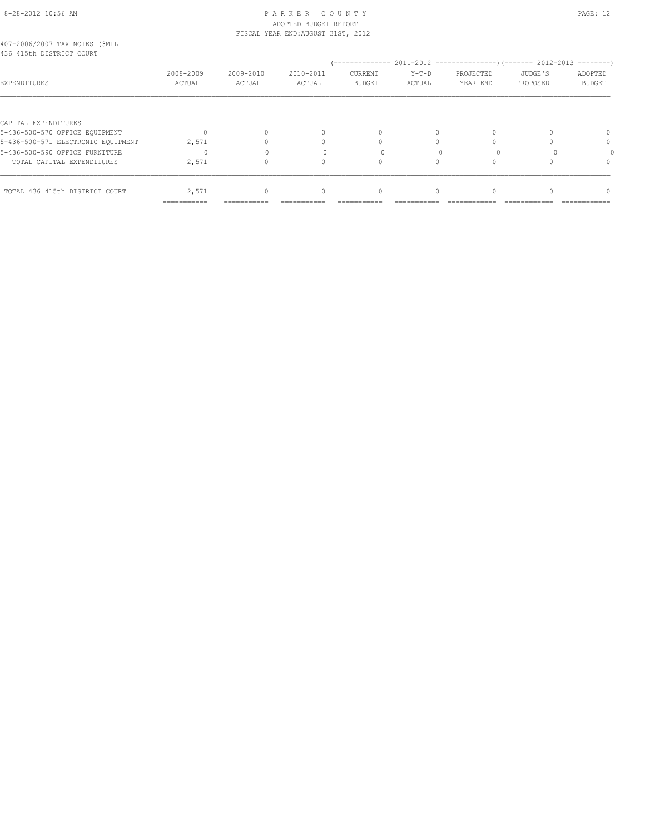#### 8-28-2012 10:56 AM PAGE: 12 ADOPTED BUDGET REPORT FISCAL YEAR END:AUGUST 31ST, 2012

|  |  | 407-2006/2007 TAX NOTES (3MIL |  |
|--|--|-------------------------------|--|
|  |  | 436 415th DISTRICT COURT      |  |

| RG0 ATAMI DISIMIAI AAAMI           |                     |                     |                     |                                 |                   |                       |                     |                          |
|------------------------------------|---------------------|---------------------|---------------------|---------------------------------|-------------------|-----------------------|---------------------|--------------------------|
| EXPENDITURES                       | 2008-2009<br>ACTUAL | 2009-2010<br>ACTUAL | 2010-2011<br>ACTUAL | <b>CURRENT</b><br><b>BUDGET</b> | $Y-T-D$<br>ACTUAL | PROJECTED<br>YEAR END | JUDGE'S<br>PROPOSED | ADOPTED<br><b>BUDGET</b> |
|                                    |                     |                     |                     |                                 |                   |                       |                     |                          |
| CAPITAL EXPENDITURES               |                     |                     |                     |                                 |                   |                       |                     |                          |
| 5-436-500-570 OFFICE EQUIPMENT     |                     |                     |                     |                                 |                   | 0                     |                     |                          |
| 5-436-500-571 ELECTRONIC EQUIPMENT | 2,571               |                     |                     |                                 |                   |                       |                     | 0                        |
| 5-436-500-590 OFFICE FURNITURE     | $\Omega$            |                     |                     |                                 |                   |                       |                     |                          |
| TOTAL CAPITAL EXPENDITURES         | 2,571               |                     |                     |                                 |                   |                       |                     | 0                        |
|                                    |                     |                     |                     |                                 |                   |                       |                     |                          |
| TOTAL 436 415th DISTRICT COURT     | 2,571               | $\Omega$            |                     | 0                               |                   | 0                     |                     | 0                        |
|                                    | ===========         |                     |                     |                                 |                   |                       |                     |                          |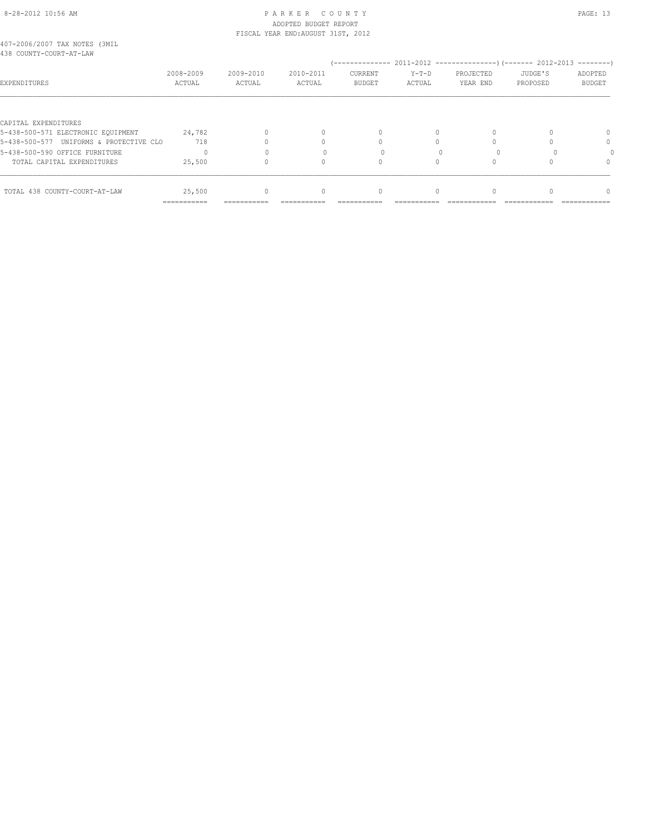#### 8-28-2012 10:56 AM P A R K E R C O U N T Y PAGE: 13 ADOPTED BUDGET REPORT FISCAL YEAR END:AUGUST 31ST, 2012

| 407-2006/2007 TAX NOTES (3MIL |  |  |
|-------------------------------|--|--|
| 438 COUNTY-COURT-AT-LAW       |  |  |

| TUU CUUNII CUUNI AI DAM                 |                     |                     |                     | $(-----12011-2012)$ $(-----2012)$ |                   |                       |                     |                          |
|-----------------------------------------|---------------------|---------------------|---------------------|-----------------------------------|-------------------|-----------------------|---------------------|--------------------------|
| EXPENDITURES                            | 2008-2009<br>ACTUAL | 2009-2010<br>ACTUAL | 2010-2011<br>ACTUAL | CURRENT<br><b>BUDGET</b>          | $Y-T-D$<br>ACTUAL | PROJECTED<br>YEAR END | JUDGE'S<br>PROPOSED | ADOPTED<br><b>BUDGET</b> |
|                                         |                     |                     |                     |                                   |                   |                       |                     |                          |
| CAPITAL EXPENDITURES                    |                     |                     |                     |                                   |                   |                       |                     |                          |
| 5-438-500-571 ELECTRONIC EOUIPMENT      | 24,782              |                     | $\Omega$            |                                   |                   |                       |                     | $\Omega$                 |
| 5-438-500-577 UNIFORMS & PROTECTIVE CLO | 718                 |                     |                     |                                   |                   |                       |                     | 0                        |
| 5-438-500-590 OFFICE FURNITURE          |                     |                     |                     |                                   |                   |                       |                     |                          |
| TOTAL CAPITAL EXPENDITURES              | 25,500              |                     |                     |                                   |                   |                       |                     | $\Omega$                 |
|                                         |                     |                     |                     |                                   |                   |                       |                     |                          |
| TOTAL 438 COUNTY-COURT-AT-LAW           | 25,500              | 0                   | $\Omega$            |                                   |                   |                       |                     | $\cap$                   |
|                                         | ===========         |                     |                     |                                   |                   |                       |                     |                          |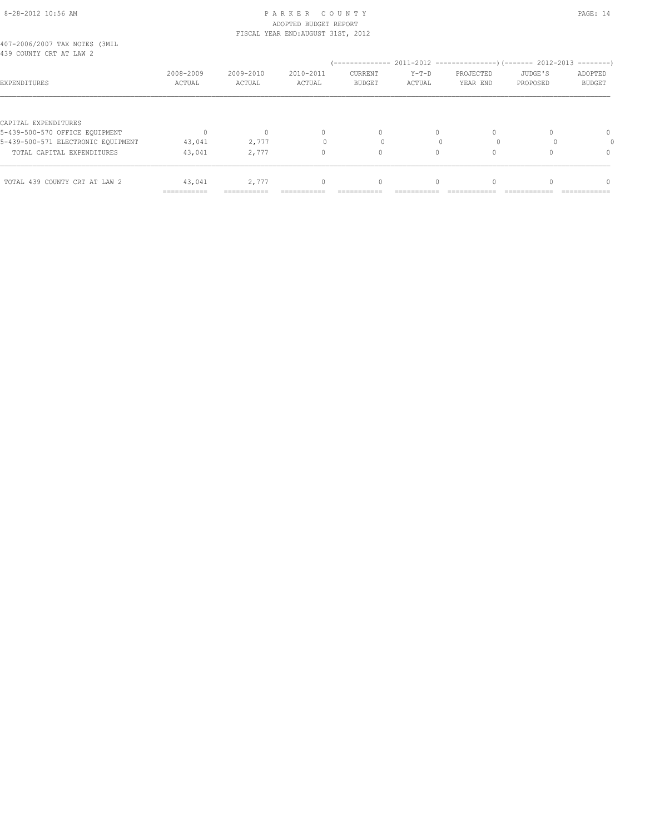#### 8-28-2012 10:56 AM P A R K E R C O U N T Y PAGE: 14 ADOPTED BUDGET REPORT FISCAL YEAR END:AUGUST 31ST, 2012

| 407-2006/2007 TAX NOTES (3MIL |  |  |  |
|-------------------------------|--|--|--|
| 439 COUNTY CRT AT LAW 2       |  |  |  |

| 439 COUNTY CRT AT LAW 2            |                           |                     |                     |                          |                   |                       |                       | ---------                |
|------------------------------------|---------------------------|---------------------|---------------------|--------------------------|-------------------|-----------------------|-----------------------|--------------------------|
| <b>EXPENDITURES</b>                | 2008-2009<br>ACTUAL       | 2009-2010<br>ACTUAL | 2010-2011<br>ACTUAL | CURRENT<br><b>BUDGET</b> | $Y-T-D$<br>ACTUAL | PROJECTED<br>YEAR END | JUDGE'S<br>PROPOSED   | ADOPTED<br><b>BUDGET</b> |
|                                    |                           |                     |                     |                          |                   |                       |                       |                          |
| CAPITAL EXPENDITURES               |                           |                     |                     |                          |                   |                       |                       |                          |
| 5-439-500-570 OFFICE EQUIPMENT     |                           | $\Omega$            | $\Omega$            |                          | $\Omega$          | -0                    |                       | 0                        |
| 5-439-500-571 ELECTRONIC EQUIPMENT | 43,041                    | 2,777               |                     |                          |                   |                       |                       |                          |
| TOTAL CAPITAL EXPENDITURES         | 43,041                    | 2,777               | 0                   |                          |                   |                       |                       | $\Omega$                 |
|                                    |                           |                     |                     |                          |                   |                       |                       |                          |
| TOTAL 439 COUNTY CRT AT LAW 2      | 43,041                    | 2,777               | 0                   |                          |                   | $\Omega$              |                       | $\Omega$                 |
|                                    | $=$ = = = = = = = = = = = | ===========         | ===========         | ===========              | ---------------   | _____________         | --------------------- | _____________            |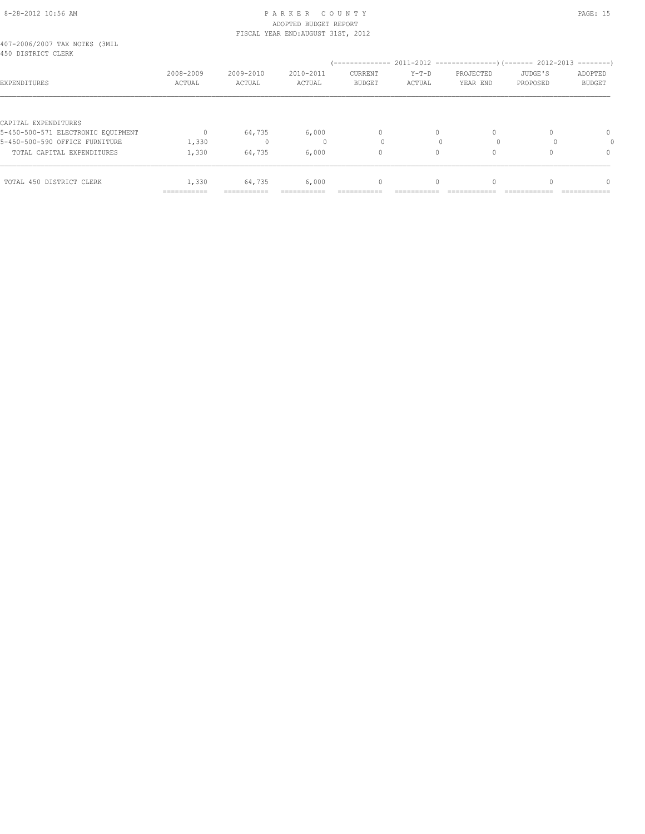#### 8-28-2012 10:56 AM P A R K E R C O U N T Y PAGE: 15 ADOPTED BUDGET REPORT FISCAL YEAR END:AUGUST 31ST, 2012

| 407-2006/2007 TAX NOTES (3MIL |  |  |
|-------------------------------|--|--|
| 450 DISTRICT CLERK            |  |  |

| 490 DISTRICT CLERK                 |                           |                     |                     |                                 |                   |                       |                     | $------$                 |
|------------------------------------|---------------------------|---------------------|---------------------|---------------------------------|-------------------|-----------------------|---------------------|--------------------------|
| <b>EXPENDITURES</b>                | 2008-2009<br>ACTUAL       | 2009-2010<br>ACTUAL | 2010-2011<br>ACTUAL | <b>CURRENT</b><br><b>BUDGET</b> | $Y-T-D$<br>ACTUAL | PROJECTED<br>YEAR END | JUDGE'S<br>PROPOSED | ADOPTED<br><b>BUDGET</b> |
|                                    |                           |                     |                     |                                 |                   |                       |                     |                          |
| CAPITAL EXPENDITURES               |                           |                     |                     |                                 |                   |                       |                     |                          |
| 5-450-500-571 ELECTRONIC EQUIPMENT |                           | 64,735              | 6,000               | 0                               |                   |                       |                     | $\mathbf{0}$             |
| 5-450-500-590 OFFICE FURNITURE     | 1,330                     |                     |                     |                                 |                   |                       |                     |                          |
| TOTAL CAPITAL EXPENDITURES         | 1,330                     | 64,735              | 6,000               | 0                               |                   |                       |                     | 0                        |
|                                    |                           |                     |                     |                                 |                   |                       |                     |                          |
| TOTAL 450 DISTRICT CLERK           | 1,330                     | 64,735              | 6,000               | 0                               |                   |                       |                     |                          |
|                                    | $=$ = = = = = = = = = = = | ===========         | ===========         | ------------                    | -------------     | ---------------       | -------------       | ---------------          |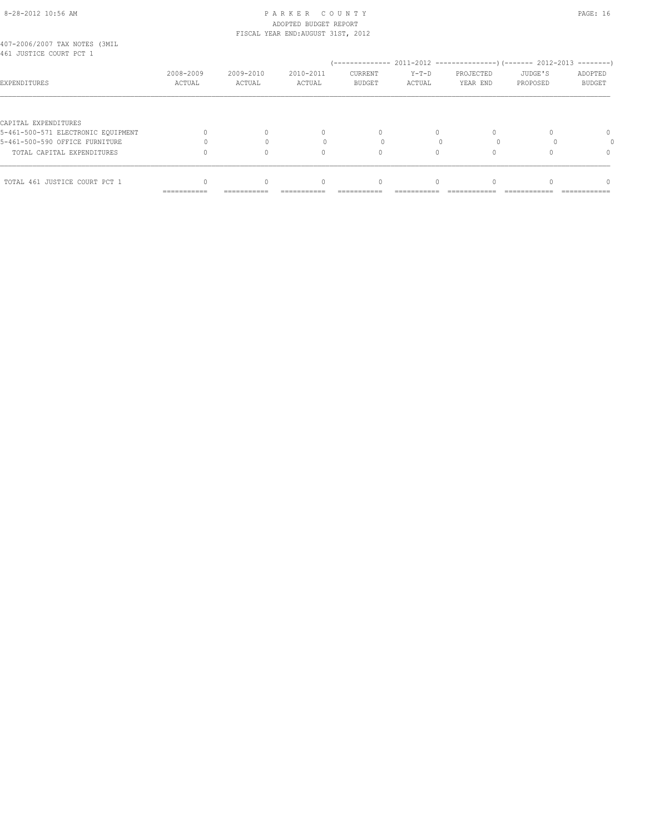#### 8-28-2012 10:56 AM P A R K E R C O U N T Y PAGE: 16 ADOPTED BUDGET REPORT FISCAL YEAR END:AUGUST 31ST, 2012

| 407-2006/2007 TAX NOTES (3MIL |  |  |  |
|-------------------------------|--|--|--|
| 461 JUSTICE COURT PCT 1       |  |  |  |

| 401 ANGITAR AANKI RAI T            |                           |                     |                             |                          |                   |                       |                     |                                 |
|------------------------------------|---------------------------|---------------------|-----------------------------|--------------------------|-------------------|-----------------------|---------------------|---------------------------------|
| EXPENDITURES                       | 2008-2009<br>ACTUAL       | 2009-2010<br>ACTUAL | 2010-2011<br>ACTUAL         | CURRENT<br><b>BUDGET</b> | $Y-T-D$<br>ACTUAL | PROJECTED<br>YEAR END | JUDGE'S<br>PROPOSED | ADOPTED<br><b>BUDGET</b>        |
|                                    |                           |                     |                             |                          |                   |                       |                     |                                 |
| CAPITAL EXPENDITURES               |                           |                     |                             |                          |                   |                       |                     |                                 |
| 5-461-500-571 ELECTRONIC EQUIPMENT |                           |                     |                             | 0                        |                   |                       |                     | 0                               |
| 5-461-500-590 OFFICE FURNITURE     |                           |                     |                             |                          |                   |                       |                     |                                 |
| TOTAL CAPITAL EXPENDITURES         |                           | 0                   |                             |                          |                   |                       |                     |                                 |
| TOTAL 461 JUSTICE COURT PCT 1      |                           | 0                   |                             | 0                        |                   |                       |                     |                                 |
|                                    | $=$ = = = = = = = = = = = | ===========         | --------------<br>--------- | --------------           | ___________       | --------------        | _____________       | -----------------<br>---------- |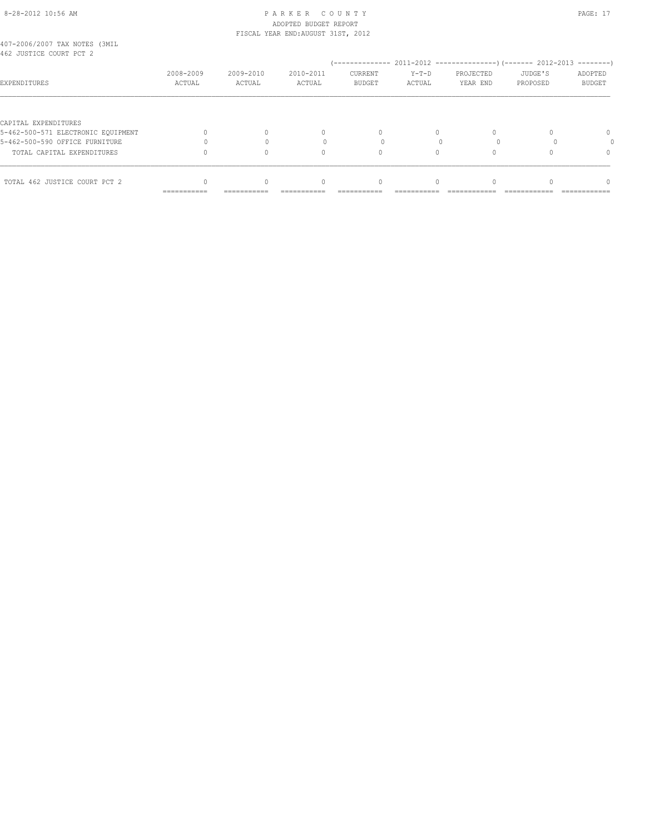## 8-28-2012 10:56 AM P A R K E R C O U N T Y PAGE: 17 ADOPTED BUDGET REPORT FISCAL YEAR END:AUGUST 31ST, 2012

| 407-2006/2007 TAX NOTES (3MIL |  |  |  |
|-------------------------------|--|--|--|
| 462 JUSTICE COURT PCT 2       |  |  |  |

| YUZ UUJIIYA YUUNI EVI Z            |                            |                     |                                | --------------                |                            | 2011-2012 -----------------) (------- 2012-2013 |                               | $------$                          |
|------------------------------------|----------------------------|---------------------|--------------------------------|-------------------------------|----------------------------|-------------------------------------------------|-------------------------------|-----------------------------------|
| EXPENDITURES                       | 2008-2009<br>ACTUAL        | 2009-2010<br>ACTUAL | 2010-2011<br>ACTUAL            | CURRENT<br><b>BUDGET</b>      | $Y-T-D$<br>ACTUAL          | PROJECTED<br>YEAR END                           | JUDGE'S<br>PROPOSED           | ADOPTED<br><b>BUDGET</b>          |
|                                    |                            |                     |                                |                               |                            |                                                 |                               |                                   |
| CAPITAL EXPENDITURES               |                            |                     |                                |                               |                            |                                                 |                               |                                   |
| 5-462-500-571 ELECTRONIC EQUIPMENT |                            |                     |                                |                               |                            |                                                 |                               | $\Omega$                          |
| 5-462-500-590 OFFICE FURNITURE     |                            |                     |                                |                               |                            |                                                 |                               |                                   |
| TOTAL CAPITAL EXPENDITURES         |                            |                     | U                              |                               |                            |                                                 |                               | $\Omega$                          |
| TOTAL 462 JUSTICE COURT PCT 2      |                            |                     | $\Omega$                       |                               |                            |                                                 |                               | $\cup$                            |
|                                    | ____________<br>---------- | ===========         | ---------------<br>----------- | --------------<br>----------- | ------------<br>---------- | _____________<br>------------                   | _____________<br>------------ | -----------------<br>------------ |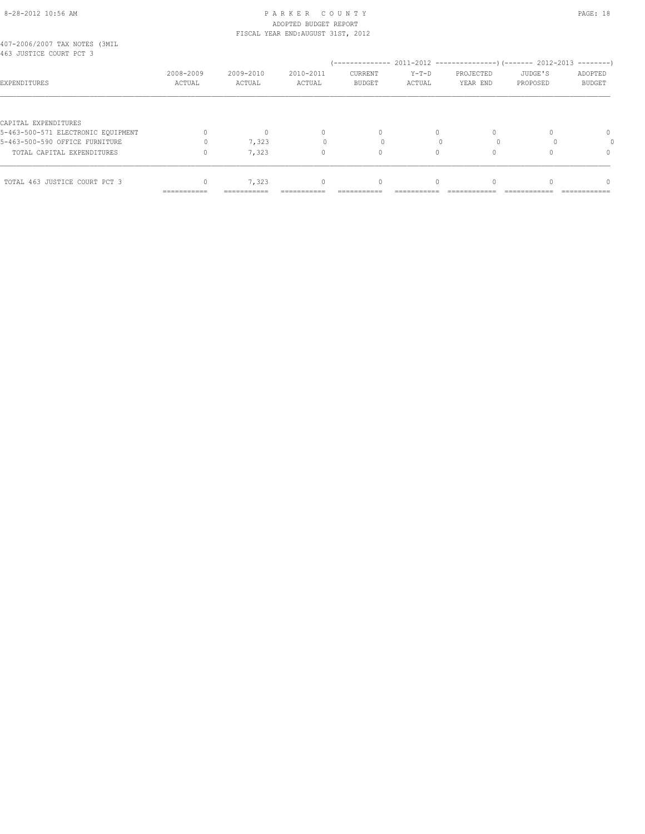#### 8-28-2012 10:56 AM P A R K E R C O U N T Y PAGE: 18 ADOPTED BUDGET REPORT FISCAL YEAR END:AUGUST 31ST, 2012

| 407-2006/2007 TAX NOTES (3MIL |  |  |  |
|-------------------------------|--|--|--|
| 463 JUSTICE COURT PCT 3       |  |  |  |

| 403 JUSTICE COURT PCT 3            |                     |                     |                              |                                 |                   |                       |                     |                          |
|------------------------------------|---------------------|---------------------|------------------------------|---------------------------------|-------------------|-----------------------|---------------------|--------------------------|
| EXPENDITURES                       | 2008-2009<br>ACTUAL | 2009-2010<br>ACTUAL | 2010-2011<br>ACTUAL          | <b>CURRENT</b><br><b>BUDGET</b> | $Y-T-D$<br>ACTUAL | PROJECTED<br>YEAR END | JUDGE'S<br>PROPOSED | ADOPTED<br><b>BUDGET</b> |
|                                    |                     |                     |                              |                                 |                   |                       |                     |                          |
| CAPITAL EXPENDITURES               |                     |                     |                              |                                 |                   |                       |                     |                          |
| 5-463-500-571 ELECTRONIC EQUIPMENT |                     |                     |                              | $\Omega$                        |                   |                       |                     | 0                        |
| 5-463-500-590 OFFICE FURNITURE     |                     | 7,323               |                              |                                 |                   |                       |                     |                          |
| TOTAL CAPITAL EXPENDITURES         |                     | 7,323               |                              | 0                               |                   |                       |                     |                          |
|                                    |                     |                     |                              |                                 |                   |                       |                     |                          |
| TOTAL 463 JUSTICE COURT PCT 3      |                     | 7,323               |                              | 0                               |                   |                       |                     |                          |
|                                    | ===========         | ===========         | --------------<br>---------- | ------------                    | ___________       | --------------        | _____________       | -----------------        |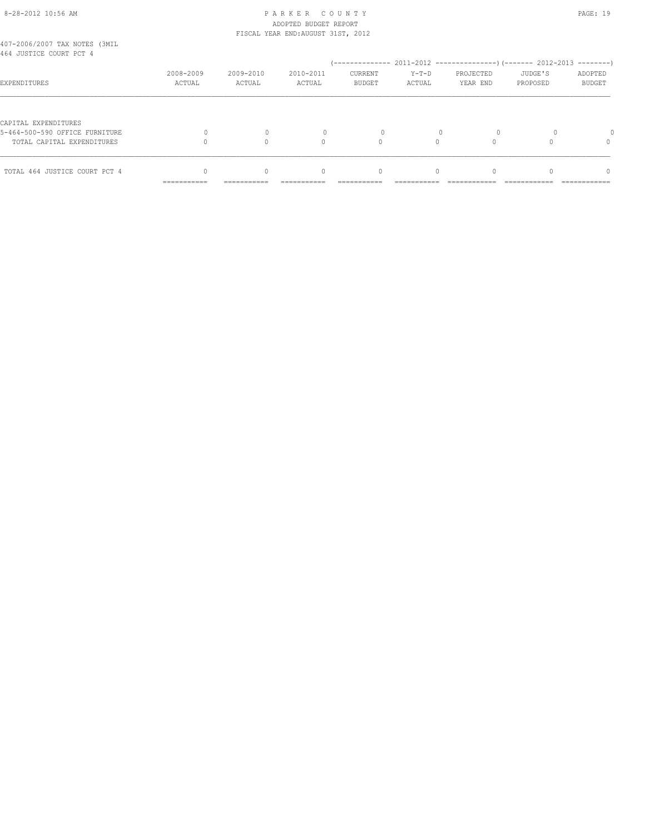# 8-28-2012 10:56 AM P A R K E R C O U N T Y PAGE: 19 ADOPTED BUDGET REPORT

|                                                          |                     |                     | FISCAL YEAR END: AUGUST 31ST, 2012 |                   |                 |                       |                     |                   |
|----------------------------------------------------------|---------------------|---------------------|------------------------------------|-------------------|-----------------|-----------------------|---------------------|-------------------|
| 407-2006/2007 TAX NOTES (3MIL<br>464 JUSTICE COURT PCT 4 |                     |                     |                                    |                   |                 |                       |                     |                   |
|                                                          |                     |                     |                                    |                   |                 |                       |                     |                   |
| EXPENDITURES                                             | 2008-2009<br>ACTUAL | 2009-2010<br>ACTUAL | 2010-2011<br>ACTUAL                | CURRENT<br>BUDGET | Y-T-D<br>ACTUAL | PROJECTED<br>YEAR END | JUDGE'S<br>PROPOSED | ADOPTED<br>BUDGET |
|                                                          |                     |                     |                                    |                   |                 |                       |                     |                   |
| CAPITAL EXPENDITURES                                     |                     |                     |                                    |                   |                 |                       |                     |                   |
| 5-464-500-590 OFFICE FURNITURE                           |                     | 0                   | 0                                  | 0                 |                 | $\Omega$              | 0                   | $\Omega$          |
| TOTAL CAPITAL EXPENDITURES                               |                     | 0                   | $\Omega$                           |                   |                 | 0                     | U                   | $\Omega$          |

|                               | ----------- | ============ | =========== | ------------ | ============ |  |  |
|-------------------------------|-------------|--------------|-------------|--------------|--------------|--|--|
| TOTAL 464 JUSTICE COURT PCT 4 |             |              |             |              |              |  |  |
|                               |             |              |             |              |              |  |  |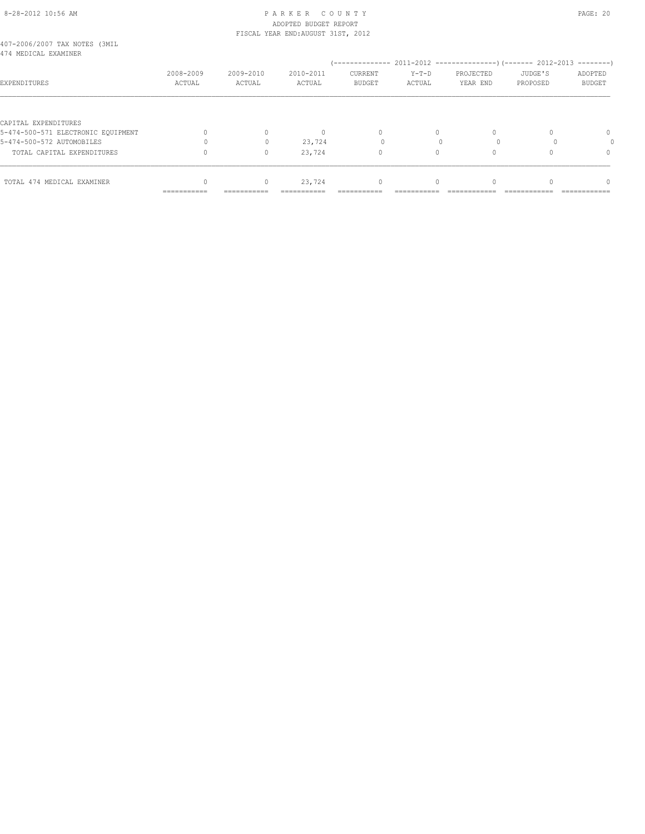#### 8-28-2012 10:56 AM PAGE: 20 ADOPTED BUDGET REPORT FISCAL YEAR END:AUGUST 31ST, 2012

| 407-2006/2007 TAX NOTES (3MIL |  |  |  |
|-------------------------------|--|--|--|
| 474 MEDICAL EXAMINER          |  |  |  |

|                                    |                             |                           |                     | --------------           |                   | 2011-2012 -----------------) (------- 2012-2013 |                     | ---------                |
|------------------------------------|-----------------------------|---------------------------|---------------------|--------------------------|-------------------|-------------------------------------------------|---------------------|--------------------------|
| EXPENDITURES                       | 2008-2009<br>ACTUAL         | 2009-2010<br>ACTUAL       | 2010-2011<br>ACTUAL | CURRENT<br><b>BUDGET</b> | $Y-T-D$<br>ACTUAL | PROJECTED<br>YEAR END                           | JUDGE'S<br>PROPOSED | ADOPTED<br><b>BUDGET</b> |
|                                    |                             |                           |                     |                          |                   |                                                 |                     |                          |
| CAPITAL EXPENDITURES               |                             |                           |                     |                          |                   |                                                 |                     |                          |
| 5-474-500-571 ELECTRONIC EQUIPMENT |                             |                           |                     | $\Omega$                 |                   | 0                                               |                     | $\Omega$                 |
| 5-474-500-572 AUTOMOBILES          |                             |                           | 23,724              |                          |                   |                                                 |                     |                          |
| TOTAL CAPITAL EXPENDITURES         |                             | 0                         | 23,724              | 0                        | 0                 | $\Omega$                                        |                     | $\Omega$                 |
|                                    |                             |                           |                     |                          |                   |                                                 |                     |                          |
| TOTAL 474 MEDICAL EXAMINER         |                             | 0                         | 23,724              | $\Omega$                 |                   | $\Omega$                                        |                     | $\cap$                   |
|                                    | ------------<br>----------- | __________<br>----------- | ----------------    | ______<br>________       |                   |                                                 |                     | ---------------          |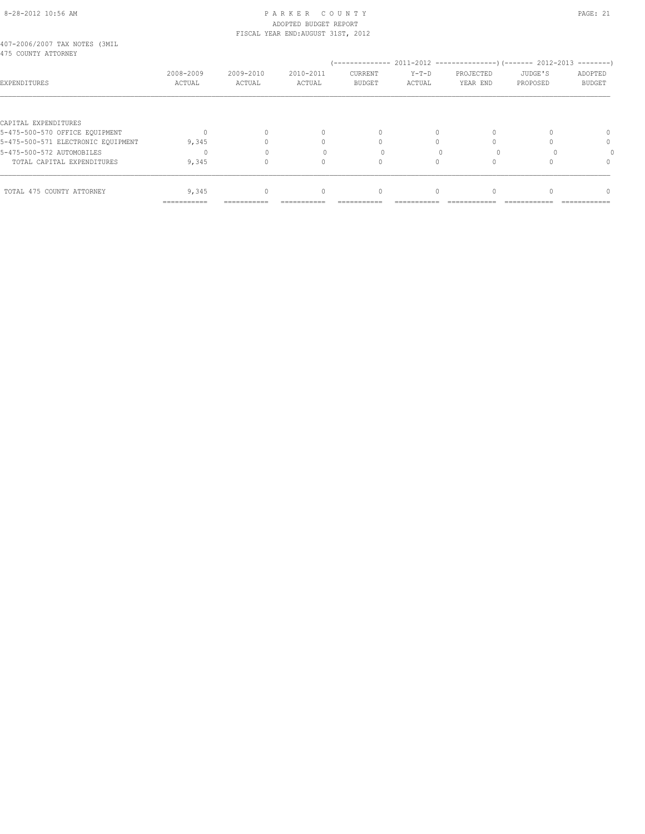#### 8-28-2012 10:56 AM P A R K E R C O U N T Y PAGE: 21 ADOPTED BUDGET REPORT FISCAL YEAR END:AUGUST 31ST, 2012

| 407-2006/2007 TAX NOTES (3MIL |  |  |  |
|-------------------------------|--|--|--|
| 475 COUNTY ATTORNEY           |  |  |  |

| RIJ COUNII AIIURNEI                |                     |                     |                     |                          |                   |                       |                     |                          |
|------------------------------------|---------------------|---------------------|---------------------|--------------------------|-------------------|-----------------------|---------------------|--------------------------|
| EXPENDITURES                       | 2008-2009<br>ACTUAL | 2009-2010<br>ACTUAL | 2010-2011<br>ACTUAL | CURRENT<br><b>BUDGET</b> | $Y-T-D$<br>ACTUAL | PROJECTED<br>YEAR END | JUDGE'S<br>PROPOSED | ADOPTED<br><b>BUDGET</b> |
|                                    |                     |                     |                     |                          |                   |                       |                     |                          |
| CAPITAL EXPENDITURES               |                     |                     |                     |                          |                   |                       |                     |                          |
| 5-475-500-570 OFFICE EQUIPMENT     |                     |                     |                     | $\Omega$                 | 0                 |                       |                     |                          |
| 5-475-500-571 ELECTRONIC EQUIPMENT | 9,345               |                     |                     |                          |                   |                       |                     | 0                        |
| 5-475-500-572 AUTOMOBILES          |                     |                     |                     |                          |                   |                       |                     |                          |
| TOTAL CAPITAL EXPENDITURES         | 9,345               |                     |                     |                          |                   |                       |                     |                          |
|                                    |                     |                     |                     |                          |                   |                       |                     |                          |
| TOTAL 475 COUNTY ATTORNEY          | 9,345               | 0                   |                     | 0                        |                   |                       |                     |                          |
|                                    | ===========         |                     |                     |                          |                   |                       |                     |                          |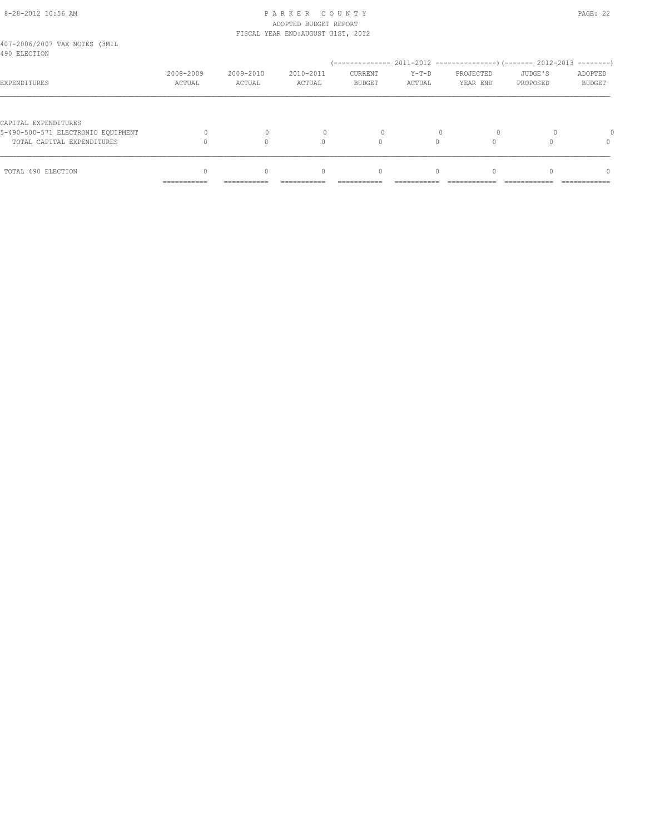#### 8-28-2012 10:56 AM P A R K E R C O U N T Y PAGE: 22 ADOPTED BUDGET REPORT FISCAL YEAR END:AUGUST 31ST, 2012

| 407-2006/2007 TAX NOTES (3MIL<br>490 ELECTION                                            |                            |             |                                  |                                  |          |           |          |               |
|------------------------------------------------------------------------------------------|----------------------------|-------------|----------------------------------|----------------------------------|----------|-----------|----------|---------------|
|                                                                                          |                            |             |                                  |                                  |          |           |          |               |
|                                                                                          | 2008-2009                  | 2009-2010   | 2010-2011                        | <b>CURRENT</b>                   | $Y-T-D$  | PROJECTED | JUDGE'S  | ADOPTED       |
| EXPENDITURES                                                                             | ACTUAL                     | ACTUAL      | ACTUAL                           | <b>BUDGET</b>                    | ACTUAL   | YEAR END  | PROPOSED | <b>BUDGET</b> |
| CAPITAL EXPENDITURES<br>5-490-500-571 ELECTRONIC EOUIPMENT<br>TOTAL CAPITAL EXPENDITURES |                            |             | Λ                                |                                  |          |           |          | $\Omega$      |
| TOTAL 490 ELECTION                                                                       |                            | $\Omega$    | $\begin{array}{c} \n\end{array}$ | $\begin{array}{c} \n\end{array}$ | $\Omega$ |           |          | $\Omega$      |
|                                                                                          | -----------<br>----------- | ----------- |                                  |                                  |          |           |          | ------------  |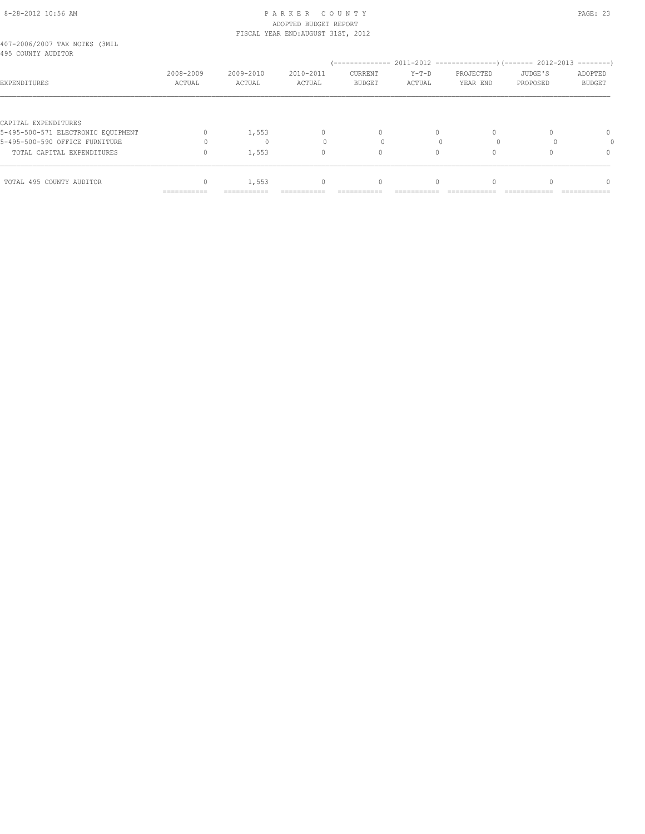#### 8-28-2012 10:56 AM P A R K E R C O U N T Y PAGE: 23 ADOPTED BUDGET REPORT FISCAL YEAR END:AUGUST 31ST, 2012

| 407-2006/2007 TAX NOTES (3MIL |  |  |  |
|-------------------------------|--|--|--|
| 495 COUNTY AUDITOR            |  |  |  |

| 495 COUNTY AUDITOR                 |                           |                     |                           | --------------             |                   | 2011-2012 -----------------) (------- 2012-2013 |                     | $--------$                 |
|------------------------------------|---------------------------|---------------------|---------------------------|----------------------------|-------------------|-------------------------------------------------|---------------------|----------------------------|
| EXPENDITURES                       | 2008-2009<br>ACTUAL       | 2009-2010<br>ACTUAL | 2010-2011<br>ACTUAL       | CURRENT<br><b>BUDGET</b>   | $Y-T-D$<br>ACTUAL | PROJECTED<br>YEAR END                           | JUDGE'S<br>PROPOSED | ADOPTED<br><b>BUDGET</b>   |
|                                    |                           |                     |                           |                            |                   |                                                 |                     |                            |
| CAPITAL EXPENDITURES               |                           |                     |                           |                            |                   |                                                 |                     |                            |
| 5-495-500-571 ELECTRONIC EQUIPMENT |                           | 1,553               | $\Omega$                  | u                          |                   |                                                 |                     | 0                          |
| 5-495-500-590 OFFICE FURNITURE     |                           |                     |                           |                            |                   |                                                 |                     |                            |
| TOTAL CAPITAL EXPENDITURES         |                           | 1,553               | $\Omega$                  |                            |                   |                                                 |                     |                            |
|                                    |                           |                     |                           |                            |                   |                                                 |                     |                            |
| TOTAL 495 COUNTY AUDITOR           |                           | 1,553               | $\Omega$                  |                            |                   |                                                 |                     |                            |
|                                    | $=$ = = = = = = = = = = = | ===========         | $=$ = = = = = = = = = = = | --------------<br>-------- | ---------------   | --------------<br>-----------                   | _____________       | ____________<br>---------- |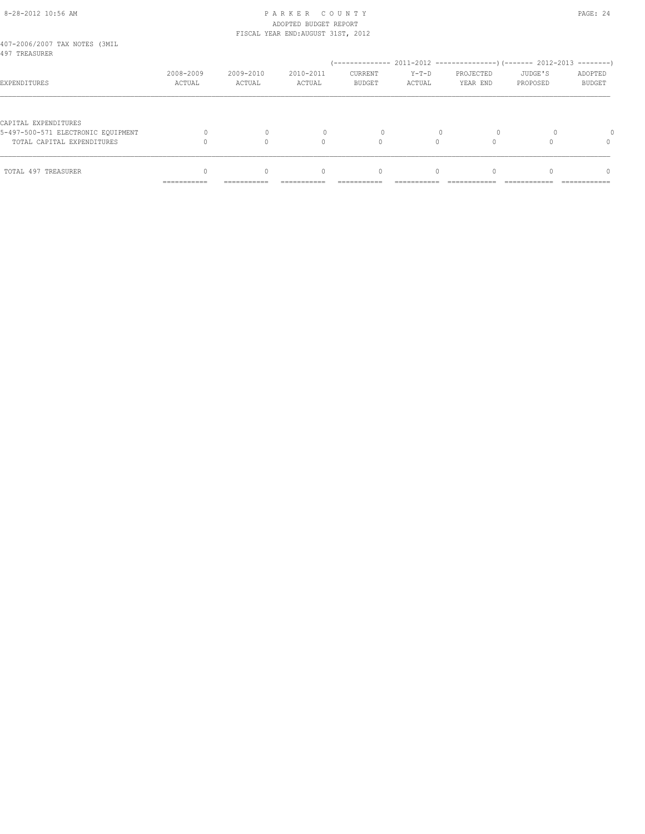#### 8-28-2012 10:56 AM P A R K E R C O U N T Y PAGE: 24 ADOPTED BUDGET REPORT FISCAL YEAR END:AUGUST 31ST, 2012

|            |                          |                                  | <b>CURRENT</b> |                                       | PROJECTED |          | ADOPTED                  |
|------------|--------------------------|----------------------------------|----------------|---------------------------------------|-----------|----------|--------------------------|
| ACTUAL     | ACTUAL                   | ACTUAL                           | <b>BUDGET</b>  | ACTUAL                                | YEAR END  | PROPOSED | <b>BUDGET</b>            |
|            |                          | $\cap$                           |                |                                       |           |          | $\Omega$                 |
| __________ | $\Omega$                 | $\begin{array}{c} \n\end{array}$ | $\mathbf{0}$   | $\Omega$                              |           |          | $\Omega$<br>------------ |
|            | 2008-2009<br>----------- | 2009-2010<br>-----------         | 2010-2011      | ----- ----- ---- ------- --- ---- --- | $Y-T-D$   |          | JUDGE'S                  |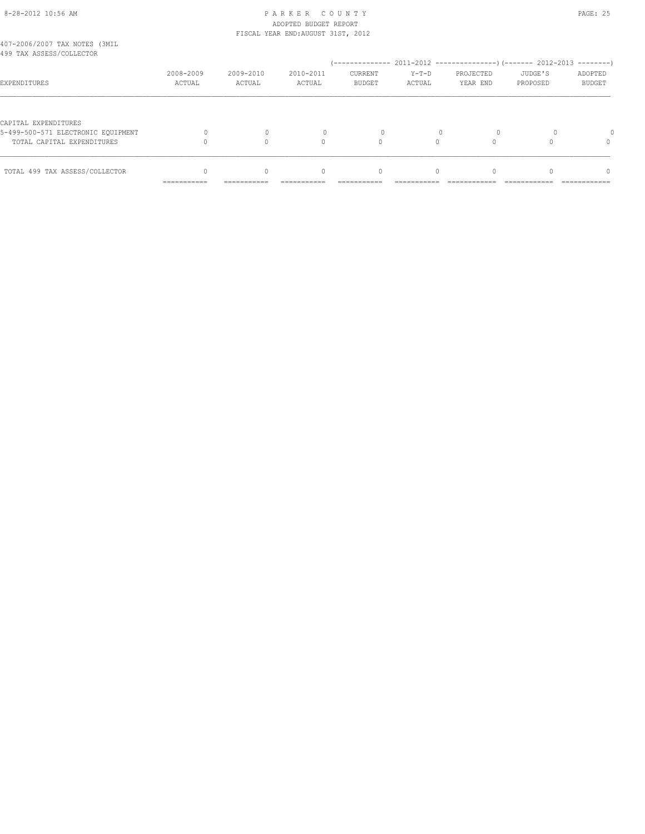# 8-28-2012 10:56 AM P A R K E R C O U N T Y PAGE: 25 ADOPTED BUDGET REPORT

 $\begin{matrix} 0 & 0 & 0 & 0 \\ 0 & 0 & 0 & 0 \\ 0 & 0 & 0 & 0 \\ 0 & 0 & 0 & 0 \\ 0 & 0 & 0 & 0 \\ 0 & 0 & 0 & 0 \\ 0 & 0 & 0 & 0 \\ 0 & 0 & 0 & 0 \\ 0 & 0 & 0 & 0 \\ 0 & 0 & 0 & 0 \\ 0 & 0 & 0 & 0 \\ 0 & 0 & 0 & 0 \\ 0 & 0 & 0 & 0 \\ 0 & 0 & 0 & 0 \\ 0 & 0 & 0 & 0 \\ 0 & 0 & 0 & 0 \\ 0 & 0 & 0 & 0 \\ 0 & 0 & 0 & 0$ 

=========== =========== =========== =========== =========== ============ ============ ============

|                                                           |                     |                     | FISCAL YEAR END: AUGUST 31ST, 2012 |                          |                   |                       |                     |                   |
|-----------------------------------------------------------|---------------------|---------------------|------------------------------------|--------------------------|-------------------|-----------------------|---------------------|-------------------|
| 407-2006/2007 TAX NOTES (3MIL<br>499 TAX ASSESS/COLLECTOR |                     |                     |                                    |                          |                   |                       |                     |                   |
|                                                           |                     |                     |                                    |                          |                   |                       |                     |                   |
| EXPENDITURES                                              | 2008-2009<br>ACTUAL | 2009-2010<br>ACTUAL | 2010-2011<br>ACTUAL                | CURRENT<br><b>BUDGET</b> | $Y-T-D$<br>ACTUAL | PROJECTED<br>YEAR END | JUDGE'S<br>PROPOSED | ADOPTED<br>BUDGET |
|                                                           |                     |                     |                                    |                          |                   |                       |                     |                   |
| CAPITAL EXPENDITURES                                      |                     |                     |                                    |                          |                   |                       |                     |                   |
| 5-499-500-571 ELECTRONIC EOUIPMENT                        |                     | $\mathbf{0}$        | $\circ$                            | 0                        | 0                 |                       |                     | <sup>0</sup>      |
| TOTAL CAPITAL EXPENDITURES                                |                     | $\circ$             | 0                                  | 0                        | 0                 |                       |                     | 0                 |
|                                                           |                     |                     |                                    |                          |                   |                       |                     |                   |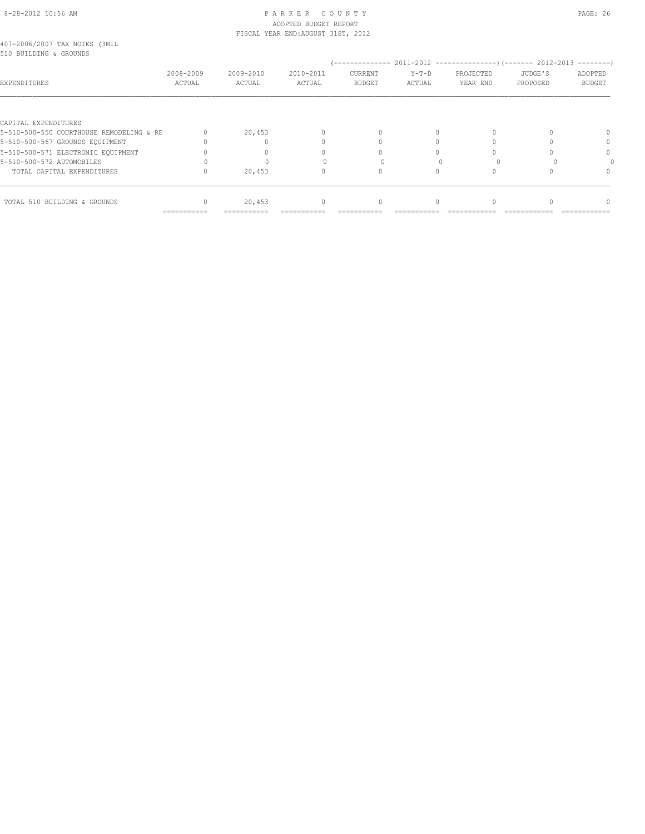## 8-28-2012 10:56 AM P A R K E R C O U N T Y PAGE: 26 ADOPTED BUDGET REPORT FISCAL YEAR END:AUGUST 31ST, 2012

| 407-2006/2007 TAX NOTES (3MIL |  |  |
|-------------------------------|--|--|
| 510 BUILDING & GROUNDS        |  |  |

| 2008-2009<br>ACTUAL | 2009-2010<br>ACTUAL                      | 2010-2011<br>ACTUAL | CURRENT<br><b>BUDGET</b> | $Y-T-D$<br>ACTUAL | PROJECTED<br>YEAR END | JUDGE'S<br>PROPOSED | ADOPTED<br><b>BUDGET</b>                                   |
|---------------------|------------------------------------------|---------------------|--------------------------|-------------------|-----------------------|---------------------|------------------------------------------------------------|
|                     |                                          |                     |                          |                   |                       |                     |                                                            |
|                     |                                          |                     |                          |                   |                       |                     |                                                            |
|                     | 20,453                                   |                     | 0                        | $\Omega$          | 0                     |                     | $\Omega$                                                   |
|                     |                                          |                     |                          |                   |                       |                     | 0                                                          |
|                     |                                          |                     |                          |                   |                       |                     | $\Omega$                                                   |
|                     |                                          |                     |                          |                   |                       |                     |                                                            |
|                     | 20,453                                   |                     | $^{0}$                   |                   |                       |                     |                                                            |
|                     |                                          |                     |                          |                   |                       |                     | 0                                                          |
|                     | 5-510-500-550 COURTHOUSE REMODELING & RE | 20,453              |                          | --------------    | 0                     | 0                   | $2011-2012$ ----------------) (------- 2012-2013 --------) |

=========== =========== =========== =========== =========== ============ ============ ============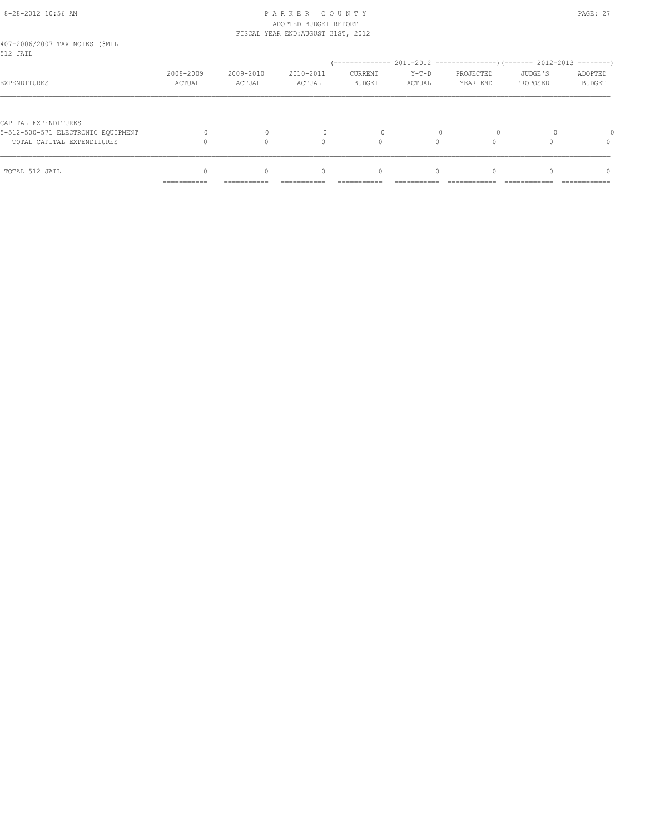# 8-28-2012 10:56 AM P A R K E R C O U N T Y PAGE: 27 ADOPTED BUDGET REPORT

|                                           |                     |                     | FISCAL YEAR END: AUGUST 31ST, 2012 |                                  |                   |                       |                     |                          |
|-------------------------------------------|---------------------|---------------------|------------------------------------|----------------------------------|-------------------|-----------------------|---------------------|--------------------------|
| 407-2006/2007 TAX NOTES (3MIL<br>512 JAIL |                     |                     |                                    |                                  |                   |                       |                     |                          |
|                                           |                     |                     |                                    |                                  |                   |                       |                     |                          |
| EXPENDITURES                              | 2008-2009<br>ACTUAL | 2009-2010<br>ACTUAL | 2010-2011<br>ACTUAL                | CURRENT<br><b>BUDGET</b>         | $Y-T-D$<br>ACTUAL | PROJECTED<br>YEAR END | JUDGE'S<br>PROPOSED | ADOPTED<br><b>BUDGET</b> |
|                                           |                     |                     |                                    |                                  |                   |                       |                     |                          |
| CAPITAL EXPENDITURES                      |                     |                     |                                    |                                  |                   |                       |                     |                          |
| 5-512-500-571 ELECTRONIC EOUIPMENT        |                     |                     |                                    |                                  |                   |                       |                     |                          |
| TOTAL CAPITAL EXPENDITURES                |                     |                     | 0                                  | $\Omega$                         |                   |                       |                     |                          |
| TOTAL 512 JAIL                            |                     | $\bigcap$           | $\begin{array}{c} \n\end{array}$   | $\begin{array}{c} \n\end{array}$ | $\bigcap$         | $\Omega$              |                     | $\Omega$                 |
|                                           | ===========         | ===========         |                                    |                                  |                   |                       |                     |                          |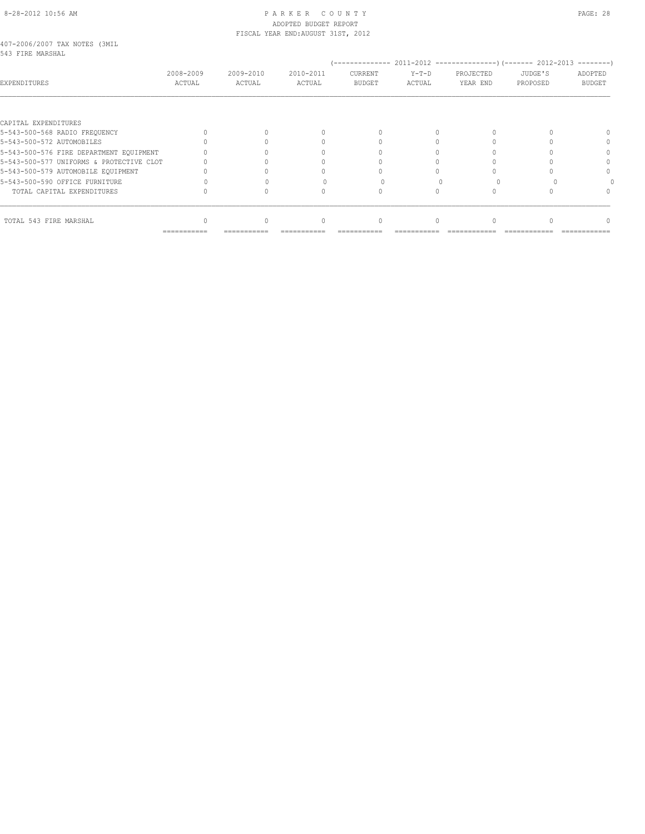#### 8-28-2012 10:56 AM P A R K E R C O U N T Y PAGE: 28 ADOPTED BUDGET REPORT FISCAL YEAR END:AUGUST 31ST, 2012

#### 407-2006/2007 TAX NOTES (3MIL 543 FIRE MARSHAL

| UTU TIND PRINJIRID                       |                     |                     |                     |                          |                   |                       |                     |                          |
|------------------------------------------|---------------------|---------------------|---------------------|--------------------------|-------------------|-----------------------|---------------------|--------------------------|
| EXPENDITURES                             | 2008-2009<br>ACTUAL | 2009-2010<br>ACTUAL | 2010-2011<br>ACTUAL | CURRENT<br><b>BUDGET</b> | $Y-T-D$<br>ACTUAL | PROJECTED<br>YEAR END | JUDGE'S<br>PROPOSED | ADOPTED<br><b>BUDGET</b> |
|                                          |                     |                     |                     |                          |                   |                       |                     |                          |
| CAPITAL EXPENDITURES                     |                     |                     |                     |                          |                   |                       |                     |                          |
| 5-543-500-568 RADIO FREQUENCY            |                     |                     |                     | $\cap$                   |                   |                       |                     |                          |
| 5-543-500-572 AUTOMOBILES                |                     |                     |                     |                          |                   |                       |                     |                          |
| 5-543-500-576 FIRE DEPARTMENT EQUIPMENT  |                     |                     |                     |                          |                   |                       |                     |                          |
| 5-543-500-577 UNIFORMS & PROTECTIVE CLOT |                     |                     |                     |                          |                   |                       |                     |                          |
| 5-543-500-579 AUTOMOBILE EQUIPMENT       |                     |                     |                     |                          |                   |                       |                     |                          |
| 5-543-500-590 OFFICE FURNITURE           |                     |                     |                     |                          |                   |                       |                     |                          |
| TOTAL CAPITAL EXPENDITURES               |                     |                     |                     |                          |                   |                       |                     |                          |
| TOTAL 543 FIRE MARSHAL                   |                     |                     |                     | $\Omega$                 |                   |                       |                     |                          |
|                                          | ===========         | ===========         |                     |                          |                   |                       |                     |                          |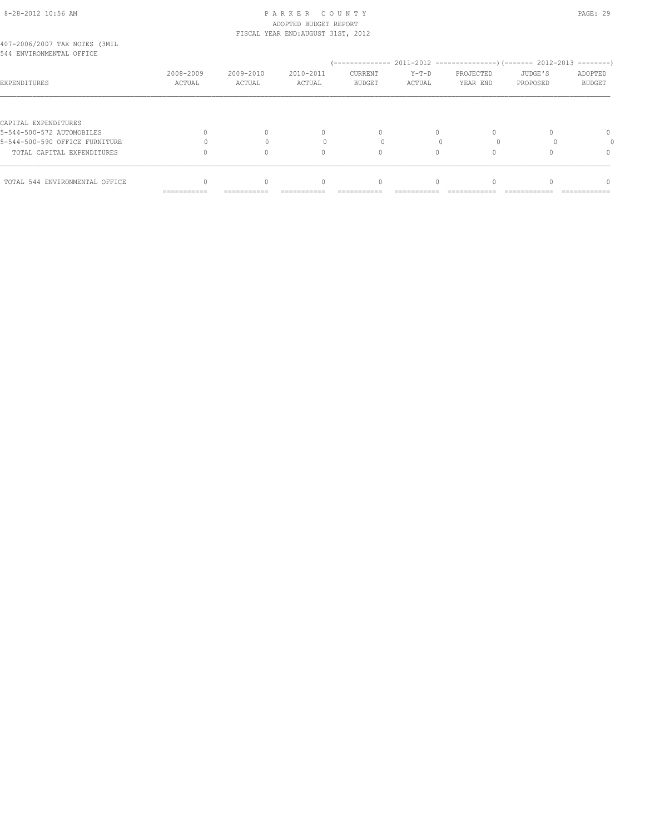# 8-28-2012 10:56 AM P A R K E R C O U N T Y PAGE: 29 ADOPTED BUDGET REPORT

|                                                           |           |           | FISCAL YEAR END: AUGUST 31ST, 2012 |          |        |           |          |              |
|-----------------------------------------------------------|-----------|-----------|------------------------------------|----------|--------|-----------|----------|--------------|
| 407-2006/2007 TAX NOTES (3MIL<br>544 ENVIRONMENTAL OFFICE |           |           |                                    |          |        |           |          |              |
|                                                           |           |           |                                    |          |        |           |          |              |
|                                                           | 2008-2009 | 2009-2010 | 2010-2011                          | CURRENT  | Y-T-D  | PROJECTED | JUDGE'S  | ADOPTED      |
| EXPENDITURES                                              | ACTUAL    | ACTUAL    | ACTUAL                             | BUDGET   | ACTUAL | YEAR END  | PROPOSED | BUDGET       |
|                                                           |           |           |                                    |          |        |           |          |              |
| CAPITAL EXPENDITURES                                      |           |           |                                    |          |        |           |          |              |
| 5-544-500-572 AUTOMOBILES                                 | 0         | $\Omega$  |                                    |          |        | $\Omega$  |          | $\Omega$     |
| 5-544-500-590 OFFICE FURNITURE                            |           | $\Omega$  | $\begin{array}{c} \n\end{array}$   | $\Omega$ | $\cap$ | 0         |          | $\Omega$     |
| TOTAL CAPITAL EXPENDITURES                                | 0         | 0         |                                    |          | 0      | 0         |          | $\mathbf{0}$ |
|                                                           |           |           |                                    |          |        |           |          |              |

TOTAL 544 ENVIRONMENTAL OFFICE  $\begin{array}{cccccccc} 0 & 0 & 0 & 0 & 0 & 0 \end{array}$ 

=========== =========== =========== =========== =========== ============ ============ ============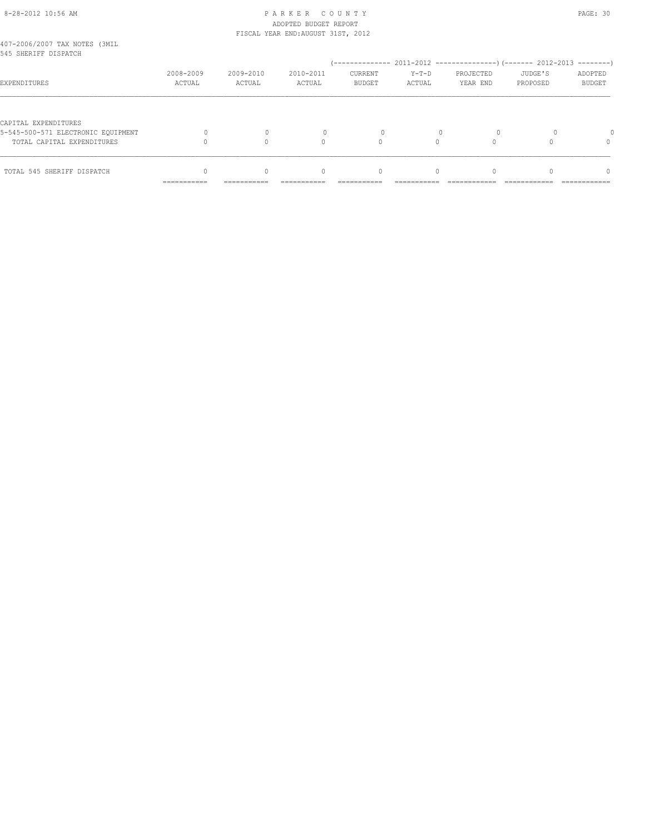# 8-28-2012 10:56 AM P A R K E R C O U N T Y PAGE: 30 ADOPTED BUDGET REPORT

|                                                                  | ------------        | ------------        |                                    |                          |                   |                       |                     |                          |
|------------------------------------------------------------------|---------------------|---------------------|------------------------------------|--------------------------|-------------------|-----------------------|---------------------|--------------------------|
| TOTAL 545 SHERIFF DISPATCH                                       |                     |                     | 0                                  | 0                        |                   |                       |                     | $\Omega$                 |
| 5-545-500-571 ELECTRONIC EOUIPMENT<br>TOTAL CAPITAL EXPENDITURES |                     |                     | $\bigcap$                          |                          | $\Omega$          |                       |                     | $\Omega$                 |
| CAPITAL EXPENDITURES                                             |                     |                     |                                    |                          |                   |                       |                     |                          |
| EXPENDITURES                                                     | 2008-2009<br>ACTUAL | 2009-2010<br>ACTUAL | 2010-2011<br>ACTUAL                | CURRENT<br><b>BUDGET</b> | $Y-T-D$<br>ACTUAL | PROJECTED<br>YEAR END | JUDGE'S<br>PROPOSED | ADOPTED<br><b>BUDGET</b> |
| 407-2006/2007 TAX NOTES (3MIL<br>545 SHERIFF DISPATCH            |                     |                     |                                    |                          |                   |                       |                     |                          |
|                                                                  |                     |                     | FISCAL YEAR END: AUGUST 31ST, 2012 |                          |                   |                       |                     |                          |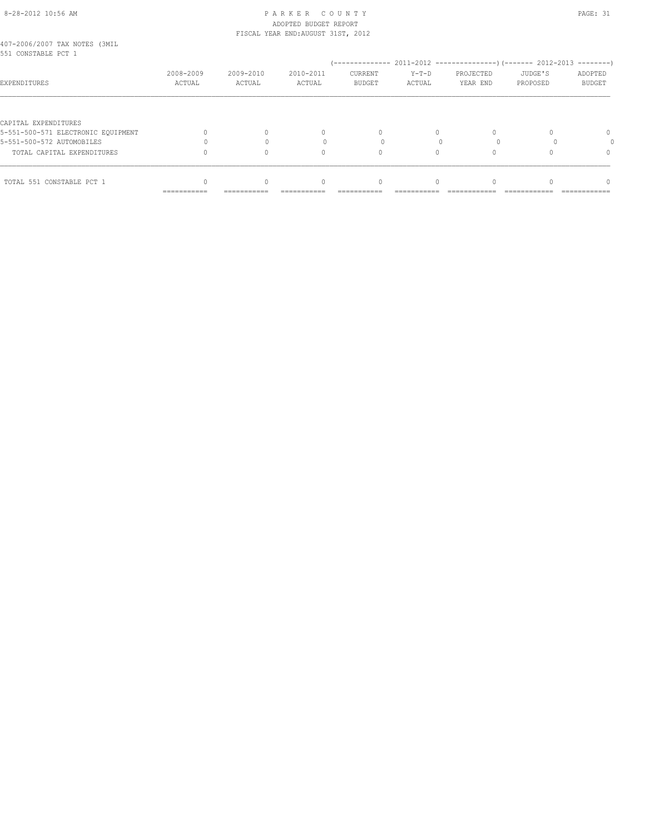#### 8-28-2012 10:56 AM P A R K E R C O U N T Y PAGE: 31 ADOPTED BUDGET REPORT FISCAL YEAR END:AUGUST 31ST, 2012

| 407-2006/2007 TAX NOTES (3MIL |  |  |
|-------------------------------|--|--|
| 551 CONSTABLE PCT 1           |  |  |

| OOT COMPINERE ROL T                |                           |                     |                           |                          |                   |                       |                     |                                 |
|------------------------------------|---------------------------|---------------------|---------------------------|--------------------------|-------------------|-----------------------|---------------------|---------------------------------|
| <b>EXPENDITURES</b>                | 2008-2009<br>ACTUAL       | 2009-2010<br>ACTUAL | 2010-2011<br>ACTUAL       | CURRENT<br><b>BUDGET</b> | $Y-T-D$<br>ACTUAL | PROJECTED<br>YEAR END | JUDGE'S<br>PROPOSED | ADOPTED<br><b>BUDGET</b>        |
|                                    |                           |                     |                           |                          |                   |                       |                     |                                 |
| CAPITAL EXPENDITURES               |                           |                     |                           |                          |                   |                       |                     |                                 |
| 5-551-500-571 ELECTRONIC EQUIPMENT |                           |                     |                           | 0                        |                   |                       |                     | 0                               |
| 5-551-500-572 AUTOMOBILES          |                           |                     |                           |                          |                   |                       |                     |                                 |
| TOTAL CAPITAL EXPENDITURES         |                           | 0                   |                           |                          |                   |                       |                     |                                 |
| TOTAL 551 CONSTABLE PCT 1          |                           | 0                   |                           | 0                        |                   |                       |                     |                                 |
|                                    | $=$ = = = = = = = = = = = | ===========         | ------------<br>--------- | --------------           | ____________      | --------------        | _____________       | -----------------<br>---------- |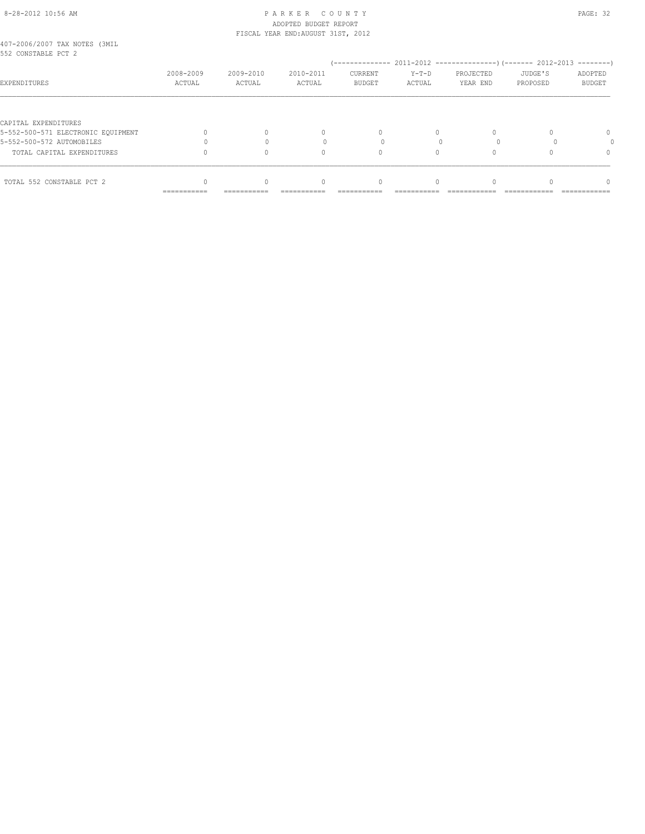#### 8-28-2012 10:56 AM P A R K E R C O U N T Y PAGE: 32 ADOPTED BUDGET REPORT FISCAL YEAR END:AUGUST 31ST, 2012

| 407-2006/2007 TAX NOTES (3MIL |  |  |
|-------------------------------|--|--|
| 552 CONSTABLE PCT 2           |  |  |

| JJZ UUNSIABLE PUI Z                |                     |                     |                     |                          |                   |                       |                     |                                 |
|------------------------------------|---------------------|---------------------|---------------------|--------------------------|-------------------|-----------------------|---------------------|---------------------------------|
| <b>EXPENDITURES</b>                | 2008-2009<br>ACTUAL | 2009-2010<br>ACTUAL | 2010-2011<br>ACTUAL | CURRENT<br><b>BUDGET</b> | $Y-T-D$<br>ACTUAL | PROJECTED<br>YEAR END | JUDGE'S<br>PROPOSED | ADOPTED<br><b>BUDGET</b>        |
|                                    |                     |                     |                     |                          |                   |                       |                     |                                 |
| CAPITAL EXPENDITURES               |                     |                     |                     |                          |                   |                       |                     |                                 |
| 5-552-500-571 ELECTRONIC EQUIPMENT |                     |                     |                     | $\Omega$                 |                   |                       |                     | 0                               |
| 5-552-500-572 AUTOMOBILES          |                     |                     |                     |                          |                   |                       |                     |                                 |
| TOTAL CAPITAL EXPENDITURES         |                     |                     |                     |                          |                   |                       |                     |                                 |
|                                    |                     |                     |                     |                          |                   |                       |                     |                                 |
| TOTAL 552 CONSTABLE PCT 2          |                     |                     |                     | 0                        |                   |                       |                     |                                 |
|                                    | ===========         | ===========         | ===========         | ------------             | ____________      | ---------------       | _____________       | -----------------<br>---------- |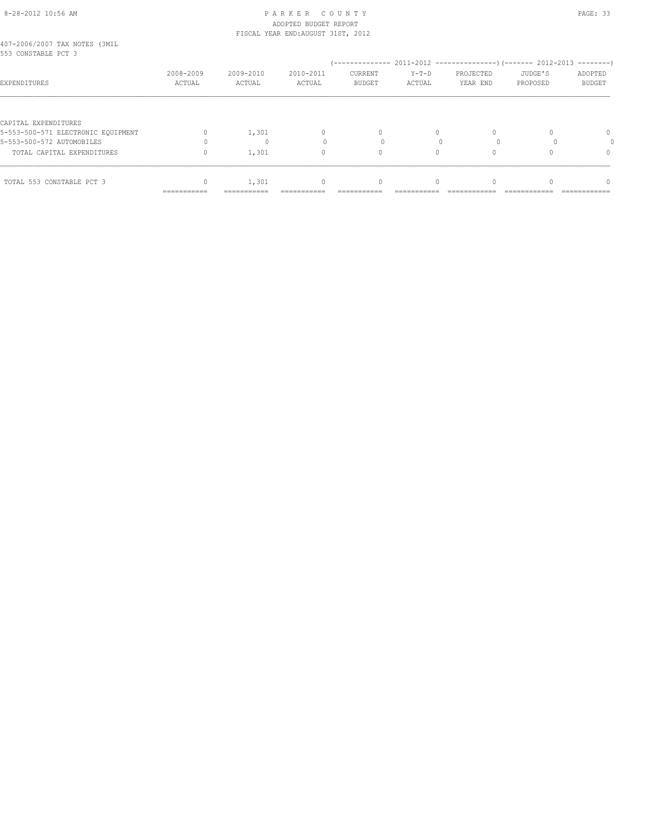#### 8-28-2012 10:56 AM P A R K E R C O U N T Y PAGE: 33 ADOPTED BUDGET REPORT FISCAL YEAR END:AUGUST 31ST, 2012

| 407-2006/2007 TAX NOTES (3MIL |  |  |
|-------------------------------|--|--|
| 553 CONSTABLE PCT 3           |  |  |

| OOO CONSTABLE FUI O                |                           |                     |                         |                          |                   |                       |                     |                                 |
|------------------------------------|---------------------------|---------------------|-------------------------|--------------------------|-------------------|-----------------------|---------------------|---------------------------------|
| EXPENDITURES                       | 2008-2009<br>ACTUAL       | 2009-2010<br>ACTUAL | 2010-2011<br>ACTUAL     | CURRENT<br><b>BUDGET</b> | $Y-T-D$<br>ACTUAL | PROJECTED<br>YEAR END | JUDGE'S<br>PROPOSED | ADOPTED<br><b>BUDGET</b>        |
|                                    |                           |                     |                         |                          |                   |                       |                     |                                 |
| CAPITAL EXPENDITURES               |                           |                     |                         |                          |                   |                       |                     |                                 |
| 5-553-500-571 ELECTRONIC EQUIPMENT |                           | 1,301               |                         | 0                        | 0                 |                       |                     | 0                               |
| 5-553-500-572 AUTOMOBILES          |                           |                     |                         |                          |                   |                       |                     |                                 |
| TOTAL CAPITAL EXPENDITURES         |                           | 1,301               |                         | 0                        | 0                 |                       |                     |                                 |
| TOTAL 553 CONSTABLE PCT 3          |                           | 1,301               |                         | 0                        |                   |                       |                     |                                 |
|                                    | $=$ = = = = = = = = = = = | ===========         | ------------<br>_______ | --------------           | ____________      | --------------        | _____________       | -----------------<br>---------- |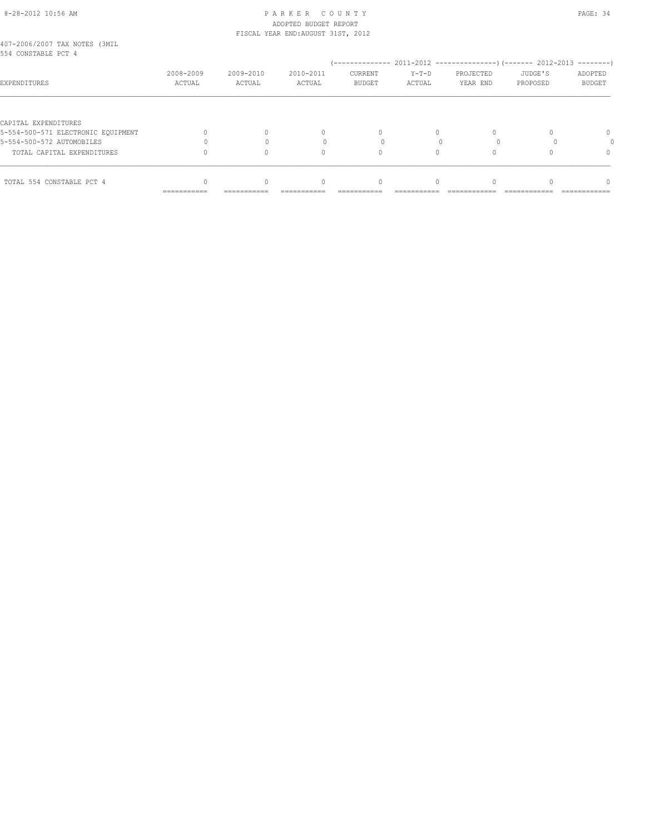## 8-28-2012 10:56 AM P A R K E R C O U N T Y PAGE: 34 ADOPTED BUDGET REPORT FISCAL YEAR END:AUGUST 31ST, 2012

| 407-2006/2007 TAX NOTES (3MIL |  |  |
|-------------------------------|--|--|
| 554 CONSTABLE PCT 4           |  |  |

| EXPENDITURES                       | 2008-2009<br>ACTUAL         | 2009-2010<br>ACTUAL         | 2010-2011<br>ACTUAL | CURRENT<br><b>BUDGET</b> | $Y-T-D$<br>ACTUAL | PROJECTED<br>YEAR END | JUDGE'S<br>PROPOSED | ---------<br>ADOPTED<br>BUDGET |
|------------------------------------|-----------------------------|-----------------------------|---------------------|--------------------------|-------------------|-----------------------|---------------------|--------------------------------|
|                                    |                             |                             |                     |                          |                   |                       |                     |                                |
| CAPITAL EXPENDITURES               |                             |                             |                     |                          |                   |                       |                     |                                |
| 5-554-500-571 ELECTRONIC EQUIPMENT |                             |                             |                     |                          |                   |                       |                     | $\Omega$                       |
| 5-554-500-572 AUTOMOBILES          |                             |                             |                     |                          |                   |                       |                     |                                |
| TOTAL CAPITAL EXPENDITURES         |                             |                             |                     |                          |                   |                       |                     | 0                              |
|                                    |                             |                             |                     |                          |                   |                       |                     |                                |
| TOTAL 554 CONSTABLE PCT 4          |                             |                             |                     |                          |                   |                       |                     | $\cap$                         |
|                                    | ___________<br>------------ | ------------<br>----------- | _________           | ________                 |                   |                       |                     | ---------------                |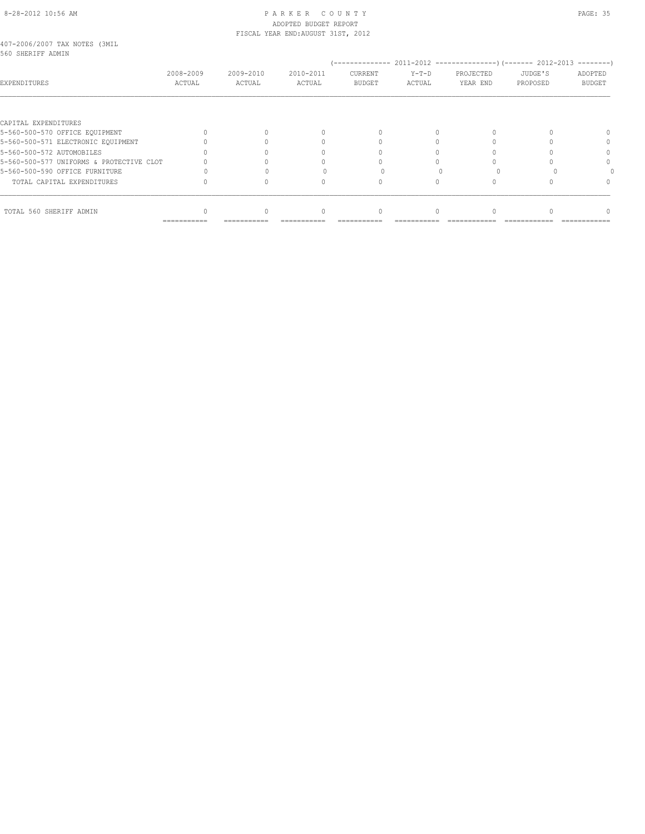## 8-28-2012 10:56 AM P A R K E R C O U N T Y PAGE: 35 ADOPTED BUDGET REPORT FISCAL YEAR END:AUGUST 31ST, 2012

| 407-2006/2007 TAX NOTES (3MIL |  |  |
|-------------------------------|--|--|
| 560 SHERIFF ADMIN             |  |  |

| LJVV DIIBINIE ADRIIN                     |                     |                     |                     |                          |                   |                       |                     |                   |
|------------------------------------------|---------------------|---------------------|---------------------|--------------------------|-------------------|-----------------------|---------------------|-------------------|
| EXPENDITURES                             | 2008-2009<br>ACTUAL | 2009-2010<br>ACTUAL | 2010-2011<br>ACTUAL | CURRENT<br><b>BUDGET</b> | $Y-T-D$<br>ACTUAL | PROJECTED<br>YEAR END | JUDGE'S<br>PROPOSED | ADOPTED<br>BUDGET |
|                                          |                     |                     |                     |                          |                   |                       |                     |                   |
| CAPITAL EXPENDITURES                     |                     |                     |                     |                          |                   |                       |                     |                   |
| 5-560-500-570 OFFICE EQUIPMENT           |                     |                     |                     | $\cap$                   | 0                 | 0                     |                     |                   |
| 5-560-500-571 ELECTRONIC EQUIPMENT       |                     |                     |                     |                          |                   |                       |                     | 0                 |
| 5-560-500-572 AUTOMOBILES                |                     |                     |                     |                          |                   |                       |                     |                   |
| 5-560-500-577 UNIFORMS & PROTECTIVE CLOT |                     |                     |                     |                          |                   |                       |                     |                   |
| 5-560-500-590 OFFICE FURNITURE           |                     |                     |                     |                          |                   |                       |                     |                   |
| TOTAL CAPITAL EXPENDITURES               |                     |                     |                     |                          |                   |                       |                     |                   |
| TOTAL 560 SHERIFF ADMIN                  |                     |                     |                     | 0                        |                   |                       |                     | 0                 |

=========== =========== =========== =========== =========== ============ ============ ============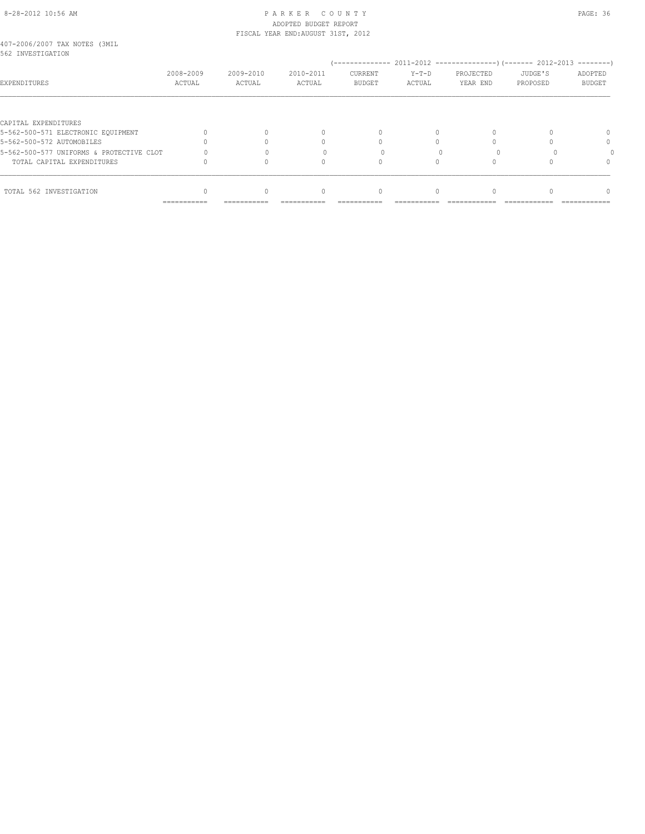#### 8-28-2012 10:56 AM P A R K E R C O U N T Y PAGE: 36 ADOPTED BUDGET REPORT FISCAL YEAR END:AUGUST 31ST, 2012

| 407-2006/2007 TAX NOTES (3MIL |  |           |  |
|-------------------------------|--|-----------|--|
| 562 INVESTIGATION             |  |           |  |
|                               |  | conc_cong |  |

| 902 INVESTIGATION                        |                     |                     |                     |                          |                   |                       |                     |                   |
|------------------------------------------|---------------------|---------------------|---------------------|--------------------------|-------------------|-----------------------|---------------------|-------------------|
| EXPENDITURES                             | 2008-2009<br>ACTUAL | 2009-2010<br>ACTUAL | 2010-2011<br>ACTUAL | CURRENT<br><b>BUDGET</b> | $Y-T-D$<br>ACTUAL | PROJECTED<br>YEAR END | JUDGE'S<br>PROPOSED | ADOPTED<br>BUDGET |
|                                          |                     |                     |                     |                          |                   |                       |                     |                   |
| CAPITAL EXPENDITURES                     |                     |                     |                     |                          |                   |                       |                     |                   |
| 5-562-500-571 ELECTRONIC EOUIPMENT       |                     | $\Omega$            |                     | $\Omega$                 |                   |                       |                     |                   |
| 5-562-500-572 AUTOMOBILES                |                     |                     |                     |                          |                   |                       |                     |                   |
| 5-562-500-577 UNIFORMS & PROTECTIVE CLOT |                     |                     |                     |                          |                   |                       |                     |                   |
| TOTAL CAPITAL EXPENDITURES               |                     |                     |                     |                          |                   |                       |                     |                   |
|                                          |                     |                     |                     |                          |                   |                       |                     |                   |
| TOTAL 562 INVESTIGATION                  |                     | $\Omega$            | $\Omega$            | $\Omega$                 |                   |                       |                     |                   |
|                                          | ===========         | ===========         | ----------          | ----------               |                   |                       |                     | ------------      |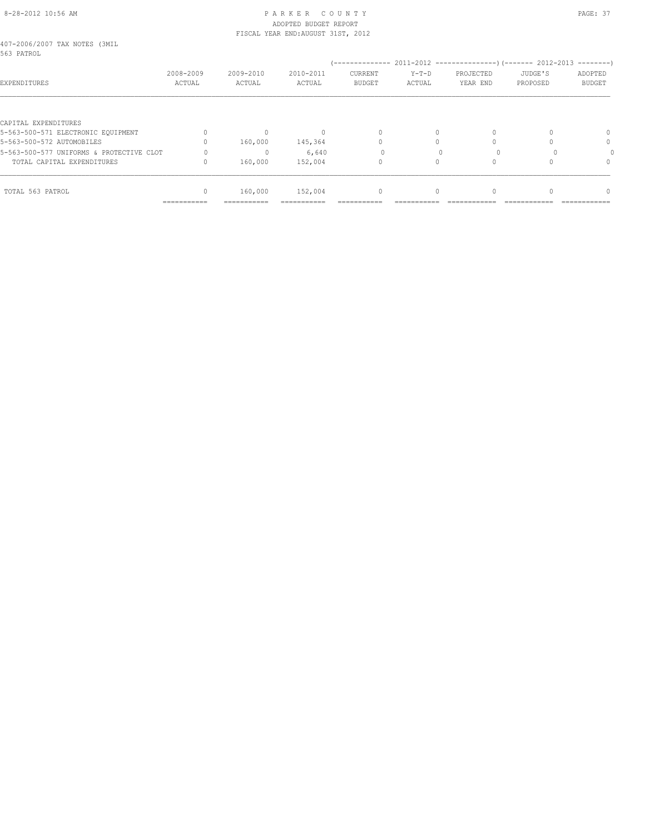#### 8-28-2012 10:56 AM PAGE: 37 ADOPTED BUDGET REPORT FISCAL YEAR END:AUGUST 31ST, 2012

| 407-2006/2007 TAX NOTES (3MIL |  |  |
|-------------------------------|--|--|
| 563 PATROL                    |  |  |

| JUJ PAIRUL                               |                           |                     |                     |                          |                   |                       |                     | $------$                 |
|------------------------------------------|---------------------------|---------------------|---------------------|--------------------------|-------------------|-----------------------|---------------------|--------------------------|
| EXPENDITURES                             | 2008-2009<br>ACTUAL       | 2009-2010<br>ACTUAL | 2010-2011<br>ACTUAL | CURRENT<br><b>BUDGET</b> | $Y-T-D$<br>ACTUAL | PROJECTED<br>YEAR END | JUDGE'S<br>PROPOSED | ADOPTED<br><b>BUDGET</b> |
|                                          |                           |                     |                     |                          |                   |                       |                     |                          |
| CAPITAL EXPENDITURES                     |                           |                     |                     |                          |                   |                       |                     |                          |
| 5-563-500-571 ELECTRONIC EQUIPMENT       |                           | 0                   |                     | $\Omega$                 | 0                 | 0                     |                     | 0                        |
| 5-563-500-572 AUTOMOBILES                |                           | 160,000             | 145,364             |                          |                   |                       |                     | $\Omega$                 |
| 5-563-500-577 UNIFORMS & PROTECTIVE CLOT |                           | 0                   | 6,640               |                          |                   |                       |                     |                          |
| TOTAL CAPITAL EXPENDITURES               |                           | 160,000             | 152,004             |                          |                   |                       |                     | $\Omega$                 |
|                                          |                           |                     |                     |                          |                   |                       |                     |                          |
| TOTAL 563 PATROL                         |                           | 160,000             | 152,004             | $\mathbf{0}$             | 0                 | $\Omega$              |                     | $\Omega$                 |
|                                          | ------------<br>--------- | ------------        |                     |                          |                   |                       |                     |                          |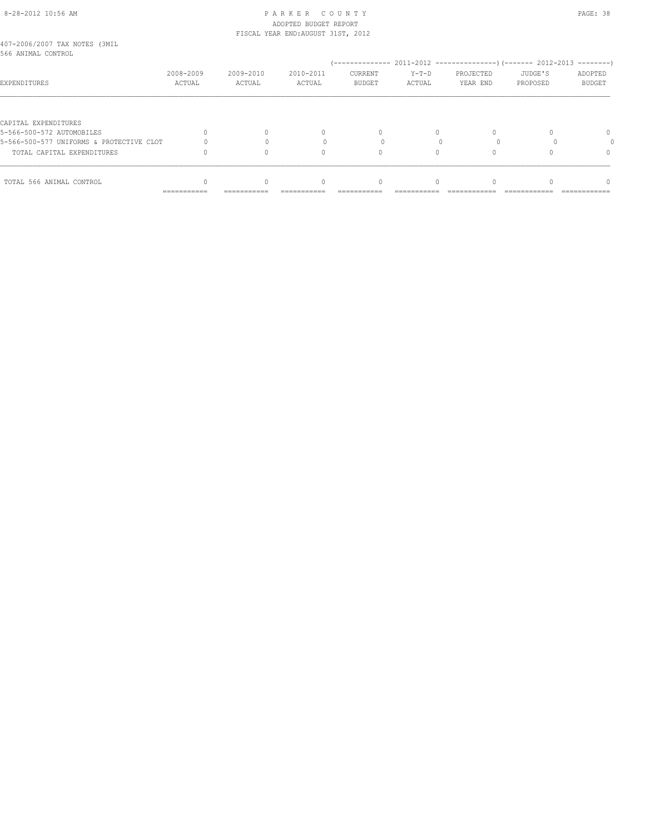# 8-28-2012 10:56 AM P A R K E R C O U N T Y PAGE: 38 ADOPTED BUDGET REPORT

| TOTAL 566 ANIMAL CONTROL                            |                     |                     | $\Omega$                           |                          |                   |                       |                     |                          |
|-----------------------------------------------------|---------------------|---------------------|------------------------------------|--------------------------|-------------------|-----------------------|---------------------|--------------------------|
|                                                     |                     |                     |                                    |                          |                   |                       |                     |                          |
| TOTAL CAPITAL EXPENDITURES                          |                     |                     | Λ                                  |                          |                   |                       |                     | $\Omega$                 |
| 5-566-500-577 UNIFORMS & PROTECTIVE CLOT            |                     |                     |                                    |                          |                   |                       |                     |                          |
| CAPITAL EXPENDITURES<br>5-566-500-572 AUTOMOBILES   |                     |                     | $\begin{array}{c} \n\end{array}$   | $\Omega$                 | $\Omega$          |                       |                     | $\Omega$                 |
|                                                     |                     |                     |                                    |                          |                   |                       |                     |                          |
| EXPENDITURES                                        | 2008-2009<br>ACTUAL | 2009-2010<br>ACTUAL | 2010-2011<br>ACTUAL                | CURRENT<br><b>BUDGET</b> | $Y-T-D$<br>ACTUAL | PROJECTED<br>YEAR END | JUDGE'S<br>PROPOSED | ADOPTED<br><b>BUDGET</b> |
| 407-2006/2007 TAX NOTES (3MIL<br>566 ANIMAL CONTROL |                     |                     |                                    |                          |                   |                       |                     |                          |
|                                                     |                     |                     | FISCAL YEAR END: AUGUST 31ST, 2012 |                          |                   |                       |                     |                          |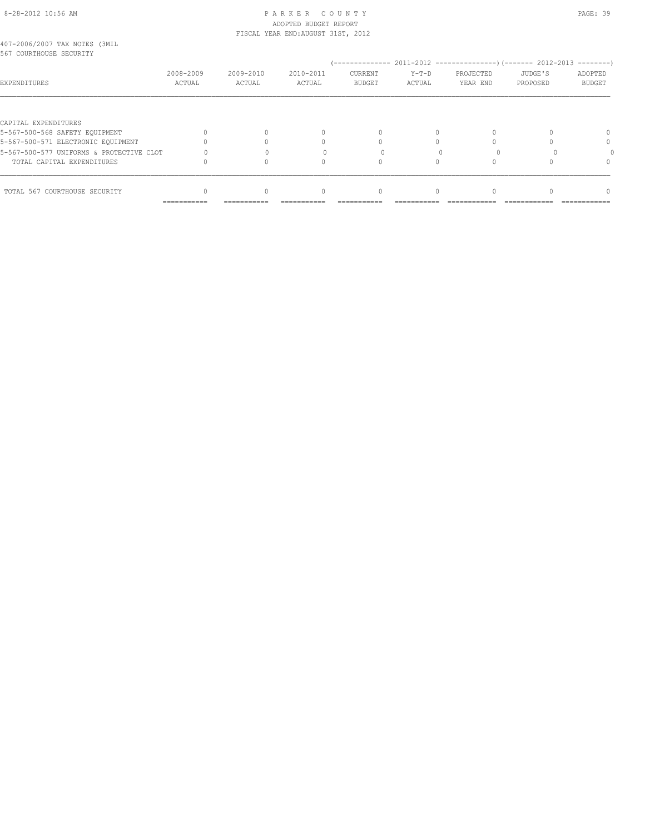#### 8-28-2012 10:56 AM P A R K E R C O U N T Y PAGE: 39 ADOPTED BUDGET REPORT FISCAL YEAR END:AUGUST 31ST, 2012

| 407-2006/2007 TAX NOTES (3MIL |           |
|-------------------------------|-----------|
| 567 COURTHOUSE SECURITY       |           |
|                               | 2008-2009 |

| do ka conkimandr dramatii                |                     |                     |                     |                          |                   |                       |                     |                   |
|------------------------------------------|---------------------|---------------------|---------------------|--------------------------|-------------------|-----------------------|---------------------|-------------------|
| <b>EXPENDITURES</b>                      | 2008-2009<br>ACTUAL | 2009-2010<br>ACTUAL | 2010-2011<br>ACTUAL | CURRENT<br><b>BUDGET</b> | $Y-T-D$<br>ACTUAL | PROJECTED<br>YEAR END | JUDGE'S<br>PROPOSED | ADOPTED<br>BUDGET |
|                                          |                     |                     |                     |                          |                   |                       |                     |                   |
| CAPITAL EXPENDITURES                     |                     |                     |                     |                          |                   |                       |                     |                   |
| 5-567-500-568 SAFETY EQUIPMENT           |                     |                     |                     |                          |                   |                       |                     |                   |
| 5-567-500-571 ELECTRONIC EQUIPMENT       |                     |                     |                     |                          |                   |                       |                     |                   |
| 5-567-500-577 UNIFORMS & PROTECTIVE CLOT |                     |                     |                     |                          |                   |                       |                     |                   |
| TOTAL CAPITAL EXPENDITURES               |                     |                     |                     |                          |                   |                       |                     |                   |
|                                          |                     |                     |                     |                          |                   |                       |                     |                   |
| TOTAL 567 COURTHOUSE SECURITY            |                     | 0                   | $\cap$              | 0                        |                   |                       |                     |                   |
|                                          | ===========         | -----------         | -----------         | ===========              |                   |                       |                     |                   |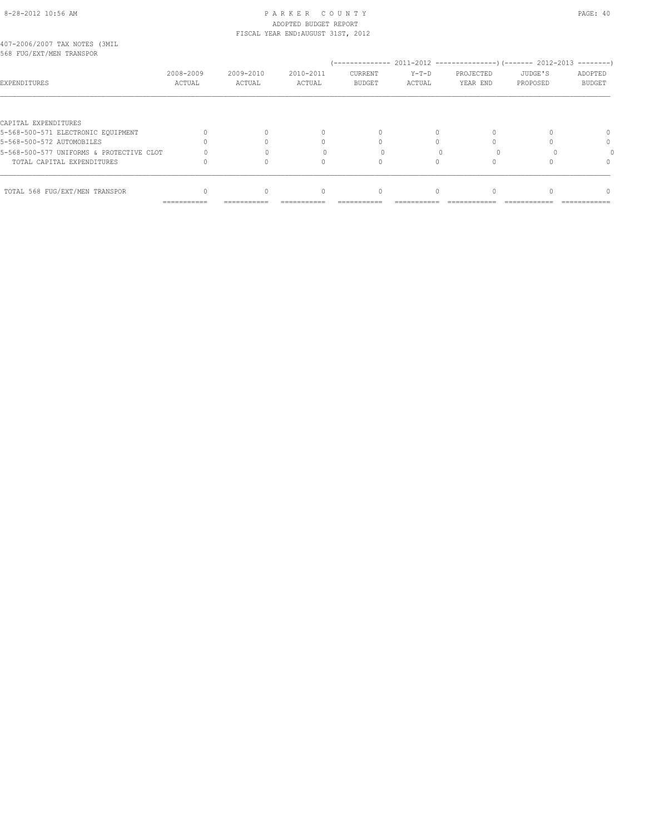### 8-28-2012 10:56 AM P A R K E R C O U N T Y PAGE: 40 ADOPTED BUDGET REPORT FISCAL YEAR END:AUGUST 31ST, 2012

| 407-2006/2007 TAX NOTES (3MIL |  |  |
|-------------------------------|--|--|
| 568 FUG/EXT/MEN TRANSPOR      |  |  |

| 568 FUG/EXT/MEN TRANSPOR                 |                     |                     |                     |                          |                 |                       |                     |                          |
|------------------------------------------|---------------------|---------------------|---------------------|--------------------------|-----------------|-----------------------|---------------------|--------------------------|
| <b>EXPENDITURES</b>                      | 2008-2009<br>ACTUAL | 2009-2010<br>ACTUAL | 2010-2011<br>ACTUAL | CURRENT<br><b>BUDGET</b> | Y-T-D<br>ACTUAL | PROJECTED<br>YEAR END | JUDGE'S<br>PROPOSED | ADOPTED<br><b>BUDGET</b> |
|                                          |                     |                     |                     |                          |                 |                       |                     |                          |
| CAPITAL EXPENDITURES                     |                     |                     |                     |                          |                 |                       |                     |                          |
| 5-568-500-571 ELECTRONIC EQUIPMENT       |                     |                     |                     |                          |                 |                       |                     |                          |
| 5-568-500-572 AUTOMOBILES                |                     |                     |                     |                          |                 |                       |                     | 0                        |
| 5-568-500-577 UNIFORMS & PROTECTIVE CLOT |                     |                     |                     |                          |                 |                       |                     |                          |
| TOTAL CAPITAL EXPENDITURES               |                     |                     |                     |                          |                 |                       |                     | 0                        |
| TOTAL 568 FUG/EXT/MEN TRANSPOR           |                     |                     |                     | $\Omega$                 |                 |                       |                     |                          |
|                                          | ==========          |                     |                     |                          |                 |                       |                     |                          |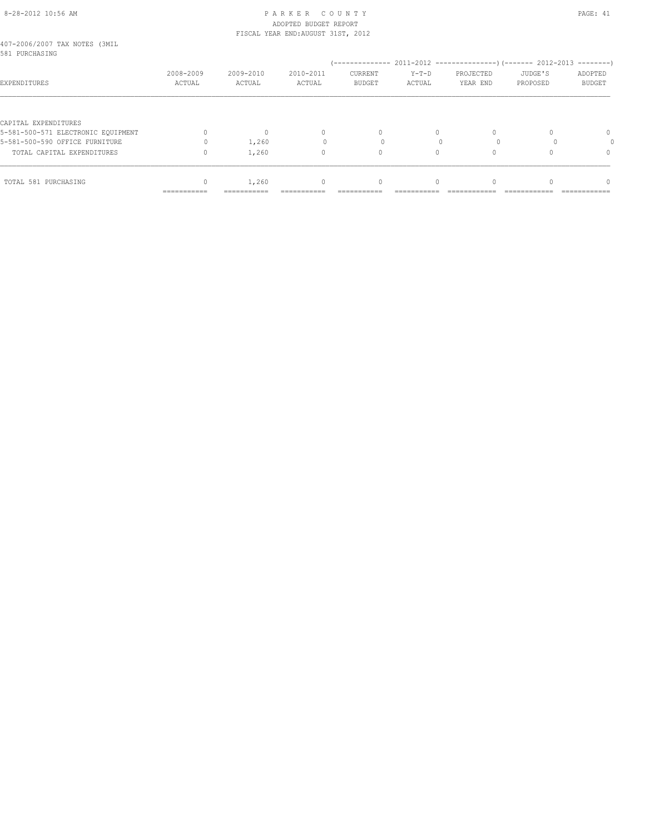### 8-28-2012 10:56 AM P A R K E R C O U N T Y PAGE: 41 ADOPTED BUDGET REPORT FISCAL YEAR END:AUGUST 31ST, 2012

| 407-2006/2007 TAX NOTES (3MIL |  |  |
|-------------------------------|--|--|
| 581 PURCHASING                |  |  |

| 581 PURCHASING                     |                           |                     |                     |                          |                   |                       |                     | ---------                     |
|------------------------------------|---------------------------|---------------------|---------------------|--------------------------|-------------------|-----------------------|---------------------|-------------------------------|
| <b>EXPENDITURES</b>                | 2008-2009<br>ACTUAL       | 2009-2010<br>ACTUAL | 2010-2011<br>ACTUAL | CURRENT<br><b>BUDGET</b> | $Y-T-D$<br>ACTUAL | PROJECTED<br>YEAR END | JUDGE'S<br>PROPOSED | ADOPTED<br>BUDGET             |
|                                    |                           |                     |                     |                          |                   |                       |                     |                               |
| CAPITAL EXPENDITURES               |                           |                     |                     |                          |                   |                       |                     |                               |
| 5-581-500-571 ELECTRONIC EQUIPMENT |                           | 0                   | $\Omega$            | 0                        | 0                 | $\Omega$              |                     | 0                             |
| 5-581-500-590 OFFICE FURNITURE     |                           | 1,260               |                     |                          |                   |                       |                     |                               |
| TOTAL CAPITAL EXPENDITURES         |                           | 1,260               |                     | 0                        |                   | 0                     |                     | $\Omega$                      |
|                                    |                           |                     |                     |                          |                   |                       |                     |                               |
| TOTAL 581 PURCHASING               |                           | 1,260               |                     | 0                        |                   | $\Omega$              |                     | $\cap$                        |
|                                    | $=$ = = = = = = = = = = = | ===========         | ===========         | ===========              | ___________       | _____________         | --------------      | $=$ = = = = = = = = = = = = = |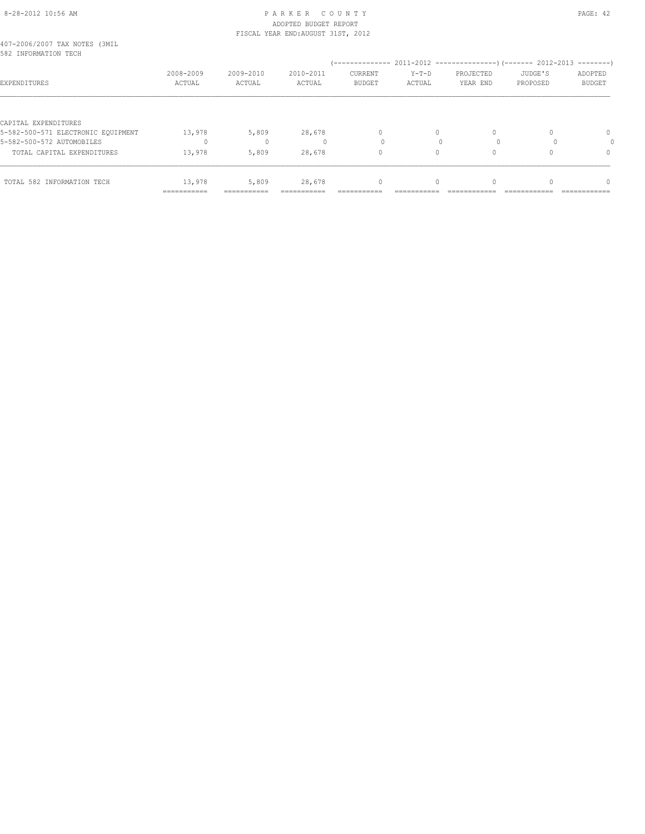# 8-28-2012 10:56 AM P A R K E R C O U N T Y PAGE: 42 ADOPTED BUDGET REPORT FISCAL YEAR END:AUGUST 31ST, 2012

| 407-2006/2007 TAX NOTES (3MIL |  |  |
|-------------------------------|--|--|
| 582 INFORMATION TECH          |  |  |

| D8Z INFORMATION TECH               |                           |                     |                     |                                 |                   |                       |                     |                          |
|------------------------------------|---------------------------|---------------------|---------------------|---------------------------------|-------------------|-----------------------|---------------------|--------------------------|
| <b>EXPENDITURES</b>                | 2008-2009<br>ACTUAL       | 2009-2010<br>ACTUAL | 2010-2011<br>ACTUAL | <b>CURRENT</b><br><b>BUDGET</b> | $Y-T-D$<br>ACTUAL | PROJECTED<br>YEAR END | JUDGE'S<br>PROPOSED | ADOPTED<br><b>BUDGET</b> |
|                                    |                           |                     |                     |                                 |                   |                       |                     |                          |
| CAPITAL EXPENDITURES               |                           |                     |                     |                                 |                   |                       |                     |                          |
| 5-582-500-571 ELECTRONIC EQUIPMENT | 13,978                    | 5,809               | 28,678              | $\mathbf{0}$                    |                   | $\Omega$              |                     |                          |
| 5-582-500-572 AUTOMOBILES          |                           |                     |                     |                                 |                   |                       |                     |                          |
| TOTAL CAPITAL EXPENDITURES         | 13,978                    | 5,809               | 28,678              | 0                               |                   | $\Omega$              |                     |                          |
| TOTAL 582 INFORMATION TECH         | 13,978                    | 5,809               | 28,678              | $\mathbf{0}$                    |                   | $\Omega$              |                     |                          |
|                                    | $=$ = = = = = = = = = = = | $=$ ============    | ===========         | -------------                   | -------------     | ---------------       | _____________       | -------------            |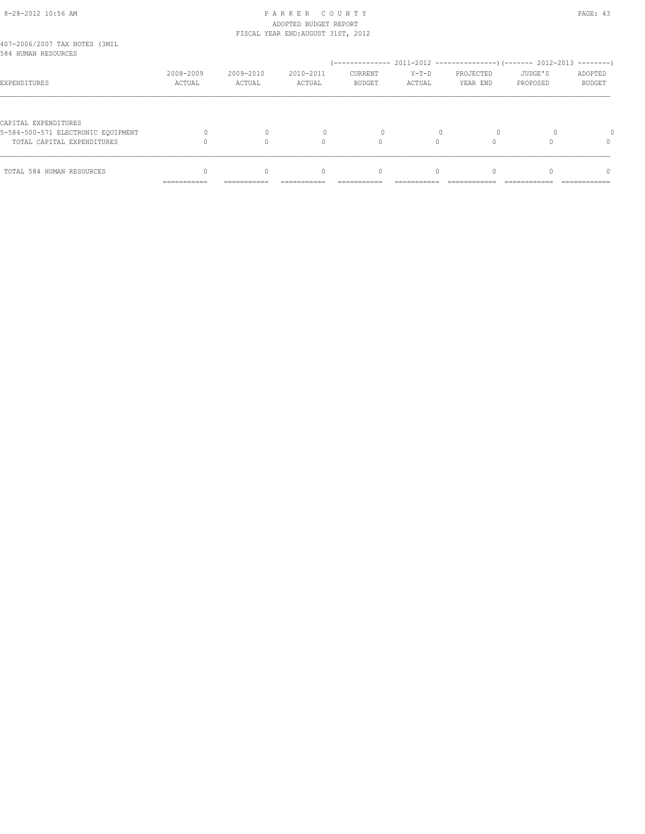# 8-28-2012 10:56 AM P A R K E R C O U N T Y PAGE: 43 ADOPTED BUDGET REPORT

|                                                                  | ------------        | ------------        |                                    |                          |                   |                       |                     |                          |
|------------------------------------------------------------------|---------------------|---------------------|------------------------------------|--------------------------|-------------------|-----------------------|---------------------|--------------------------|
| TOTAL 584 HUMAN RESOURCES                                        |                     |                     | 0                                  | 0                        |                   |                       |                     | $\Omega$                 |
| 5-584-500-571 ELECTRONIC EOUIPMENT<br>TOTAL CAPITAL EXPENDITURES |                     |                     | $\bigcap$                          |                          | $\Omega$          |                       |                     | $\Omega$                 |
| CAPITAL EXPENDITURES                                             |                     |                     |                                    |                          |                   |                       |                     |                          |
| EXPENDITURES                                                     | 2008-2009<br>ACTUAL | 2009-2010<br>ACTUAL | 2010-2011<br>ACTUAL                | CURRENT<br><b>BUDGET</b> | $Y-T-D$<br>ACTUAL | PROJECTED<br>YEAR END | JUDGE'S<br>PROPOSED | ADOPTED<br><b>BUDGET</b> |
| 407-2006/2007 TAX NOTES (3MIL<br>584 HUMAN RESOURCES             |                     |                     |                                    |                          |                   |                       |                     |                          |
|                                                                  |                     |                     | FISCAL YEAR END: AUGUST 31ST, 2012 |                          |                   |                       |                     |                          |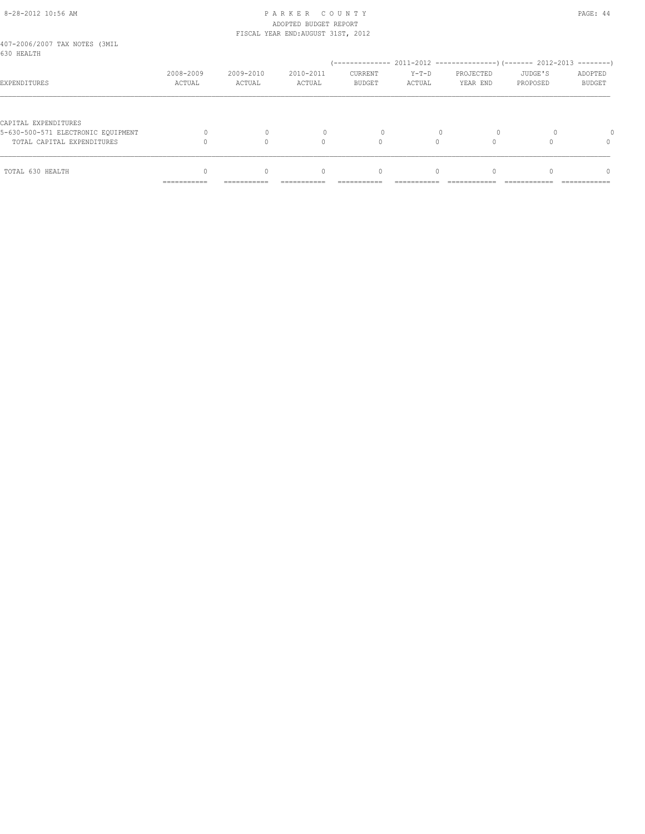# 8-28-2012 10:56 AM P A R K E R C O U N T Y PAGE: 44 ADOPTED BUDGET REPORT

|                                             |                     |                     | FISCAL YEAR END: AUGUST 31ST, 2012 |                                  |                   |                       |                     |                          |
|---------------------------------------------|---------------------|---------------------|------------------------------------|----------------------------------|-------------------|-----------------------|---------------------|--------------------------|
| 407-2006/2007 TAX NOTES (3MIL<br>630 HEALTH |                     |                     |                                    |                                  |                   |                       |                     |                          |
|                                             |                     |                     |                                    |                                  |                   |                       |                     |                          |
| EXPENDITURES                                | 2008-2009<br>ACTUAL | 2009-2010<br>ACTUAL | 2010-2011<br>ACTUAL                | CURRENT<br><b>BUDGET</b>         | $Y-T-D$<br>ACTUAL | PROJECTED<br>YEAR END | JUDGE'S<br>PROPOSED | ADOPTED<br><b>BUDGET</b> |
|                                             |                     |                     |                                    |                                  |                   |                       |                     |                          |
| CAPITAL EXPENDITURES                        |                     |                     |                                    |                                  |                   |                       |                     |                          |
| 5-630-500-571 ELECTRONIC EOUIPMENT          |                     |                     |                                    |                                  |                   |                       |                     |                          |
| TOTAL CAPITAL EXPENDITURES                  |                     |                     | 0                                  | $\Omega$                         |                   |                       |                     |                          |
| TOTAL 630 HEALTH                            |                     | $\bigcap$           | $\begin{array}{c} \n\end{array}$   | $\begin{array}{c} \n\end{array}$ | $\Omega$          | $\Omega$              |                     | $\Omega$                 |
|                                             | ===========         | -----------         |                                    |                                  |                   |                       |                     |                          |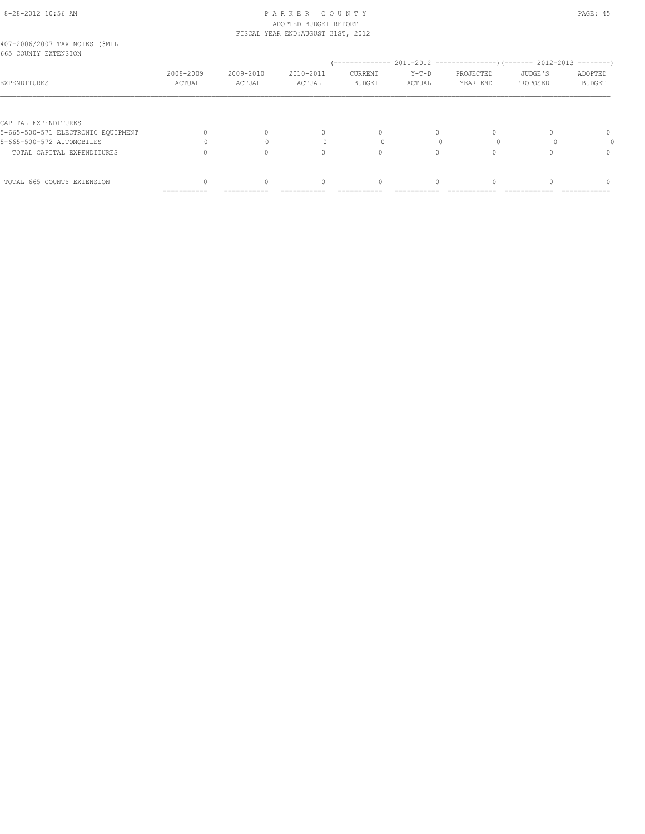# 8-28-2012 10:56 AM P A R K E R C O U N T Y PAGE: 45 ADOPTED BUDGET REPORT

|                                                       |                     |                     | FISCAL YEAR END: AUGUST 31ST, 2012 |                          |                 |                       |                     |                   |
|-------------------------------------------------------|---------------------|---------------------|------------------------------------|--------------------------|-----------------|-----------------------|---------------------|-------------------|
| 407-2006/2007 TAX NOTES (3MIL<br>665 COUNTY EXTENSION |                     |                     |                                    |                          |                 |                       |                     |                   |
|                                                       |                     |                     |                                    |                          |                 |                       |                     |                   |
| <b>EXPENDITURES</b>                                   | 2008-2009<br>ACTUAL | 2009-2010<br>ACTUAL | 2010-2011<br>ACTUAL                | CURRENT<br><b>BUDGET</b> | Y-T-D<br>ACTUAL | PROJECTED<br>YEAR END | JUDGE'S<br>PROPOSED | ADOPTED<br>BUDGET |
|                                                       |                     |                     |                                    |                          |                 |                       |                     |                   |
| CAPITAL EXPENDITURES                                  |                     |                     |                                    |                          |                 |                       |                     |                   |
| 5-665-500-571 ELECTRONIC EQUIPMENT                    |                     |                     |                                    |                          |                 | 0                     |                     | $\cap$            |
| 5-665-500-572 AUTOMOBILES                             |                     |                     |                                    |                          | $\cap$          |                       |                     |                   |
| TOTAL CAPITAL EXPENDITURES                            |                     |                     |                                    |                          |                 | 0                     |                     |                   |

| TOTAL 665<br>COUNTY<br>EXTENSION |  |  |  |  |
|----------------------------------|--|--|--|--|
|                                  |  |  |  |  |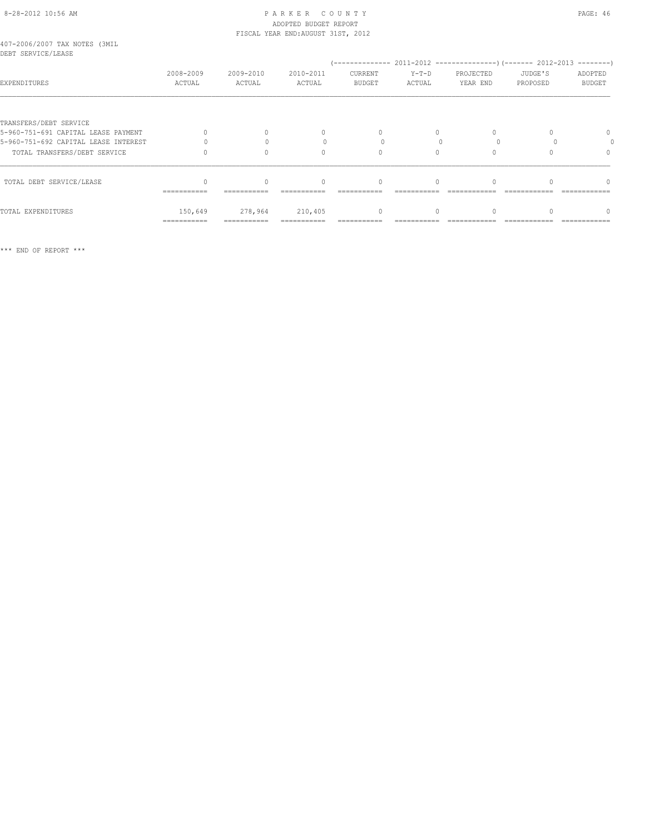# 8-28-2012 10:56 AM P A R K E R C O U N T Y PAGE: 46 ADOPTED BUDGET REPORT FISCAL YEAR END:AUGUST 31ST, 2012

| 407-2006/2007 TAX NOTES (3MIL |  |  |
|-------------------------------|--|--|
| DEBT SERVICE/LEASE            |  |  |

| DEBI SEKVICE/LEASE                   |                     |                     |                     |                                  |                 |                       |                     |                          |
|--------------------------------------|---------------------|---------------------|---------------------|----------------------------------|-----------------|-----------------------|---------------------|--------------------------|
| <b>EXPENDITURES</b>                  | 2008-2009<br>ACTUAL | 2009-2010<br>ACTUAL | 2010-2011<br>ACTUAL | <b>CURRENT</b><br><b>BUDGET</b>  | Y-T-D<br>ACTUAL | PROJECTED<br>YEAR END | JUDGE'S<br>PROPOSED | ADOPTED<br><b>BUDGET</b> |
|                                      |                     |                     |                     |                                  |                 |                       |                     |                          |
| TRANSFERS/DEBT SERVICE               |                     |                     |                     |                                  |                 |                       |                     |                          |
| 5-960-751-691 CAPITAL LEASE PAYMENT  |                     | $\Omega$            |                     | 0                                | 0               | 0                     |                     | $\Omega$                 |
| 5-960-751-692 CAPITAL LEASE INTEREST |                     |                     |                     |                                  |                 |                       |                     |                          |
| TOTAL TRANSFERS/DEBT SERVICE         |                     |                     |                     | 0                                |                 | $\Omega$              |                     | $\Omega$                 |
| TOTAL DEBT SERVICE/LEASE             |                     | $\Omega$            | $\cap$              | $\begin{array}{c} \n\end{array}$ | 0               | $\Omega$              |                     | $\cap$                   |
|                                      | ===========         |                     |                     |                                  |                 |                       |                     |                          |
| TOTAL EXPENDITURES                   | 150,649             | 278,964             | 210,405             | $\mathbf{0}$                     |                 | $\circ$               |                     |                          |
|                                      | ===========         | ===========         |                     |                                  |                 |                       |                     |                          |

\*\*\* END OF REPORT \*\*\*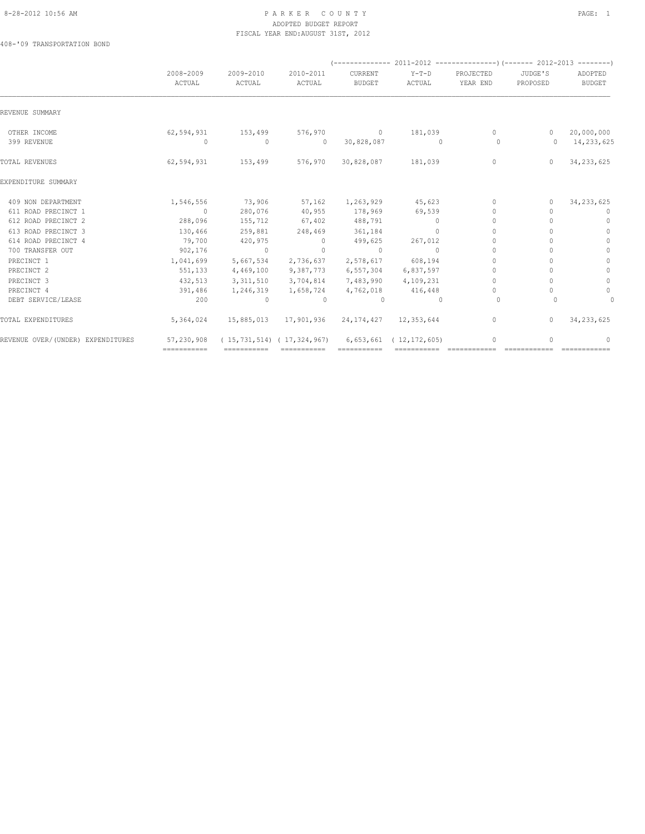### 8-28-2012 10:56 AM PAGE: 1 PAR K E R C O U N T Y ADOPTED BUDGET REPORT FISCAL YEAR END:AUGUST 31ST, 2012

408-'09 TRANSPORTATION BOND

|                                   | 2008-2009<br>ACTUAL | 2009-2010<br>ACTUAL | 2010-2011<br>ACTUAL               | CURRENT<br><b>BUDGET</b> | $Y-T-D$<br>ACTUAL          | PROJECTED<br>YEAR END            | JUDGE'S<br>PROPOSED              | ADOPTED<br><b>BUDGET</b> |
|-----------------------------------|---------------------|---------------------|-----------------------------------|--------------------------|----------------------------|----------------------------------|----------------------------------|--------------------------|
| REVENUE SUMMARY                   |                     |                     |                                   |                          |                            |                                  |                                  |                          |
| OTHER INCOME                      | 62,594,931          | 153,499             | 576,970                           |                          | $0 \t 181,039$             | $\circ$                          | $\circ$                          | 20,000,000               |
| 399 REVENUE                       | 0                   | $\mathbf 0$         | $\circ$                           | 30,828,087               | $\overline{0}$             | $\circ$                          | $\Omega$                         | 14,233,625               |
| TOTAL REVENUES                    | 62,594,931          | 153,499             | 576,970                           | 30,828,087               | 181,039                    | $\circ$                          | $\Omega$                         | 34, 233, 625             |
| EXPENDITURE SUMMARY               |                     |                     |                                   |                          |                            |                                  |                                  |                          |
| 409 NON DEPARTMENT                | 1,546,556           | 73,906              | 57,162                            | 1,263,929                | 45,623                     | $\mathbf{0}$                     | $\mathbf{0}$                     | 34, 233, 625             |
| 611 ROAD PRECINCT 1               | $\sim$ 0            | 280,076             | 40,955                            | 178,969                  | 69,539                     | $\begin{array}{c} \n\end{array}$ | $\cap$                           | 0                        |
| 612 ROAD PRECINCT 2               | 288,096             | 155,712             | 67,402                            | 488,791                  | $\circ$                    | $\mathbf{0}$                     | $\bigcap$                        | $\mathbf{0}$             |
| 613 ROAD PRECINCT 3               | 130,466             | 259,881             | 248,469                           | 361,184                  | $\Omega$                   | $\begin{array}{c} \n\end{array}$ |                                  | $\mathbf{0}$             |
| 614 ROAD PRECINCT 4               | 79,700              | 420,975             | $\overline{0}$                    | 499,625                  | 267,012                    | $\mathbf{0}$                     |                                  | $\Omega$                 |
| 700 TRANSFER OUT                  | 902,176             | $\Omega$            | $\Omega$                          | $\circ$                  | $\Omega$                   | $\begin{array}{c} \n\end{array}$ | $\cap$                           | $\Omega$                 |
| PRECINCT 1                        | 1,041,699           | 5,667,534           | 2,736,637                         | 2,578,617                | 608,194                    | $\Omega$                         | $\cap$                           | $\mathbf{0}$             |
| PRECINCT <sub>2</sub>             | 551,133             | 4,469,100           | 9,387,773                         | 6,557,304                | 6,837,597                  | $\Omega$                         | 0                                | $\mathbf{0}$             |
| PRECINCT 3                        | 432,513             | 3, 311, 510         | 3,704,814                         | 7,483,990                | 4,109,231                  | $\Omega$                         | $\Omega$                         | $\mathbf{0}$             |
| PRECINCT 4                        | 391,486             | 1,246,319           | 1,658,724                         | 4,762,018                | 416,448                    | $\Omega$                         | $\begin{array}{c} \n\end{array}$ | $\mathbf{0}$             |
| DEBT SERVICE/LEASE                | 200                 | $\circ$             | $\Omega$                          | $\Omega$                 | $\Omega$                   | $\Omega$                         | $\Omega$                         | $\theta$                 |
| TOTAL EXPENDITURES                | 5,364,024           | 15,885,013          | 17,901,936                        | 24, 174, 427             | 12,353,644                 | $\mathbf{0}$                     | $\Omega$                         | 34, 233, 625             |
| REVENUE OVER/(UNDER) EXPENDITURES | 57,230,908          |                     | $(15, 731, 514)$ $(17, 324, 967)$ |                          | 6, 653, 661 (12, 172, 605) | 0                                |                                  | $\mathbf{0}$             |
|                                   | ============        | ============        |                                   |                          |                            |                                  |                                  |                          |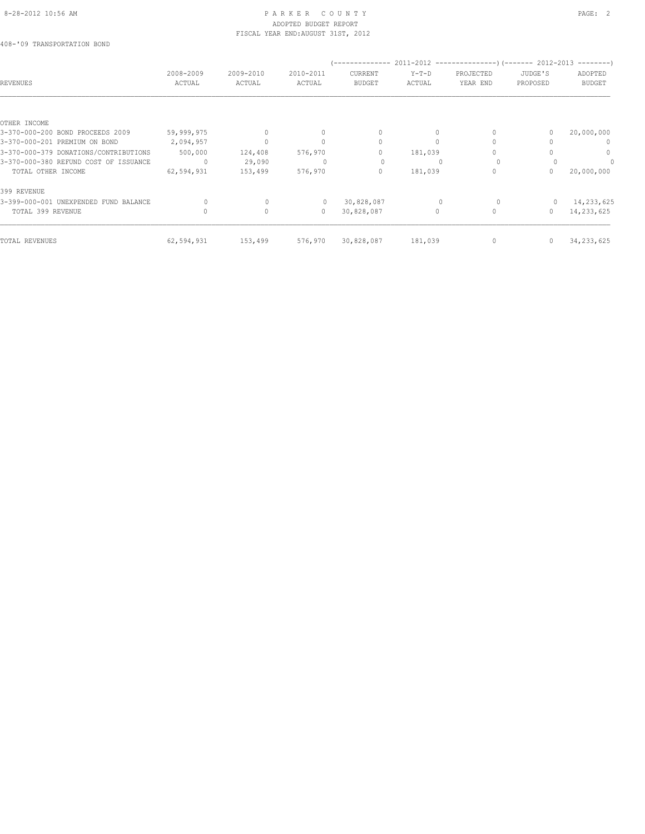#### 8-28-2012 10:56 AM PAGE: 2 ADOPTED BUDGET REPORT FISCAL YEAR END:AUGUST 31ST, 2012

408-'09 TRANSPORTATION BOND

| REVENUES                              | 2008-2009<br>ACTUAL | 2009-2010<br>ACTUAL | 2010-2011<br>ACTUAL              | CURRENT<br><b>BUDGET</b> | $Y-T-D$<br>ACTUAL | PROJECTED<br>YEAR END | JUDGE'S<br>PROPOSED | ADOPTED<br><b>BUDGET</b> |
|---------------------------------------|---------------------|---------------------|----------------------------------|--------------------------|-------------------|-----------------------|---------------------|--------------------------|
| OTHER INCOME                          |                     |                     |                                  |                          |                   |                       |                     |                          |
| 3-370-000-200 BOND PROCEEDS 2009      | 59,999,975          |                     | $\mathbf{0}$                     | 0                        | $\Omega$          |                       |                     | 20,000,000               |
| 3-370-000-201 PREMIUM ON BOND         | 2,094,957           |                     | $\begin{array}{c} \n\end{array}$ | $\circ$                  | $\Omega$          |                       |                     | 0                        |
| 3-370-000-379 DONATIONS/CONTRIBUTIONS | 500,000             | 124,408             | 576,970                          | 0                        | 181,039           |                       |                     | $\mathbf{0}$             |
| 3-370-000-380 REFUND COST OF ISSUANCE | $\Omega$            | 29,090              |                                  | 0                        |                   | $\Omega$              |                     |                          |
| TOTAL OTHER INCOME                    | 62,594,931          | 153,499             | 576,970                          | 0                        | 181,039           |                       | 0                   | 20,000,000               |
| 399 REVENUE                           |                     |                     |                                  |                          |                   |                       |                     |                          |
| 3-399-000-001 UNEXPENDED FUND BALANCE | $\Omega$            | $\Omega$            |                                  | 30,828,087               |                   |                       |                     | 14,233,625               |
| TOTAL 399 REVENUE                     |                     | $\circ$             | $\circ$                          | 30,828,087               | $\Omega$          | $\circ$               | $\Omega$            | 14,233,625               |
| TOTAL REVENUES                        | 62,594,931          | 153,499             | 576,970                          | 30,828,087               | 181,039           | $\mathbf{0}$          | $\mathbf{0}$        | 34, 233, 625             |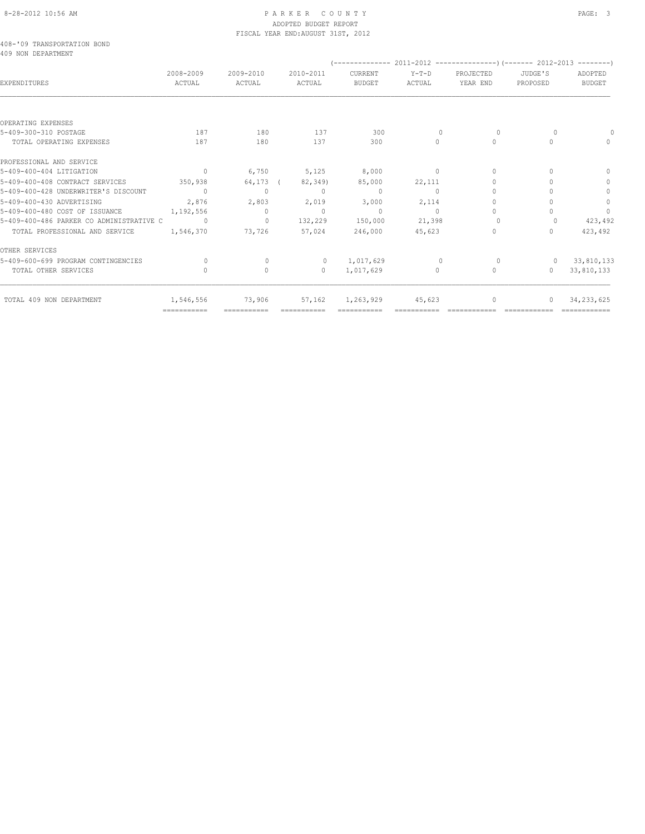### 8-28-2012 10:56 AM PAGE: 3 ADOPTED BUDGET REPORT FISCAL YEAR END:AUGUST 31ST, 2012

408-'09 TRANSPORTATION BOND 409 NON DEPARTMENT

| IV J NUN DELANINENI                      |                           |                     |                     |                          |                 |                       |                     |                          |
|------------------------------------------|---------------------------|---------------------|---------------------|--------------------------|-----------------|-----------------------|---------------------|--------------------------|
| <b>EXPENDITURES</b>                      | 2008-2009<br>ACTUAL       | 2009-2010<br>ACTUAL | 2010-2011<br>ACTUAL | CURRENT<br><b>BUDGET</b> | Y-T-D<br>ACTUAL | PROJECTED<br>YEAR END | JUDGE'S<br>PROPOSED | ADOPTED<br><b>BUDGET</b> |
|                                          |                           |                     |                     |                          |                 |                       |                     |                          |
| OPERATING EXPENSES                       |                           |                     |                     |                          |                 |                       |                     |                          |
| 5-409-300-310 POSTAGE                    | 187                       | 180                 | 137                 | 300                      | $\Omega$        | $\Omega$              |                     |                          |
| TOTAL OPERATING EXPENSES                 | 187                       | 180                 | 137                 | 300                      | $\Omega$        | $\Omega$              | $\bigcap$           | $\cap$                   |
| PROFESSIONAL AND SERVICE                 |                           |                     |                     |                          |                 |                       |                     |                          |
| 5-409-400-404 LITIGATION                 | $\sim$ 0                  | 6,750               | 5,125               | 8,000                    | $\sim$ 0        | $\mathbf{0}$          |                     | $\Omega$                 |
| 5-409-400-408 CONTRACT SERVICES          | 350,938                   |                     | 64,173 (82,349)     | 85,000                   | 22,111          | $\Omega$              |                     | $\Omega$                 |
| 5-409-400-428 UNDERWRITER'S DISCOUNT     | $\sim$ 0                  | $\circ$             | $\sim$ 0            | $\sim$ 0                 | $\circ$         | $\Omega$              |                     | $\mathbf{0}$             |
| 5-409-400-430 ADVERTISING                | 2,876                     | 2,803               | 2,019               | 3,000                    | 2,114           | $\bigcap$             |                     | $\circ$                  |
| 5-409-400-480 COST OF ISSUANCE           | 1, 192, 556               | $\circ$             | $\sim$ 0            | $\sim$ 0                 | $\sim$ 0        | $\bigcap$             |                     | $\circ$                  |
| 5-409-400-486 PARKER CO ADMINISTRATIVE C | $\sim$ 0                  | $\sim$ 0            | 132,229             | 150,000                  | 21,398          | $\Omega$              |                     | 423,492                  |
| TOTAL PROFESSIONAL AND SERVICE           | 1,546,370                 | 73,726              | 57,024              | 246,000                  | 45,623          | $\Omega$              |                     | 423,492                  |
| OTHER SERVICES                           |                           |                     |                     |                          |                 |                       |                     |                          |
| 5-409-600-699 PROGRAM CONTINGENCIES      |                           | $\Omega$            | $\circ$             | 1,017,629                | $\Omega$        | $\Omega$              |                     | 33,810,133               |
| TOTAL OTHER SERVICES                     |                           | $\circ$             | $\overline{0}$      | 1,017,629                | $\circ$         | $\mathbf{0}$          | $\Omega$            | 33,810,133               |
| TOTAL 409 NON DEPARTMENT                 | 1,546,556                 | 73,906              | 57,162              | 1,263,929                | 45,623          | $\circ$               | $\Omega$            | 34, 233, 625             |
|                                          | $=$ = = = = = = = = = = = | ===========         | ===========         |                          |                 |                       |                     |                          |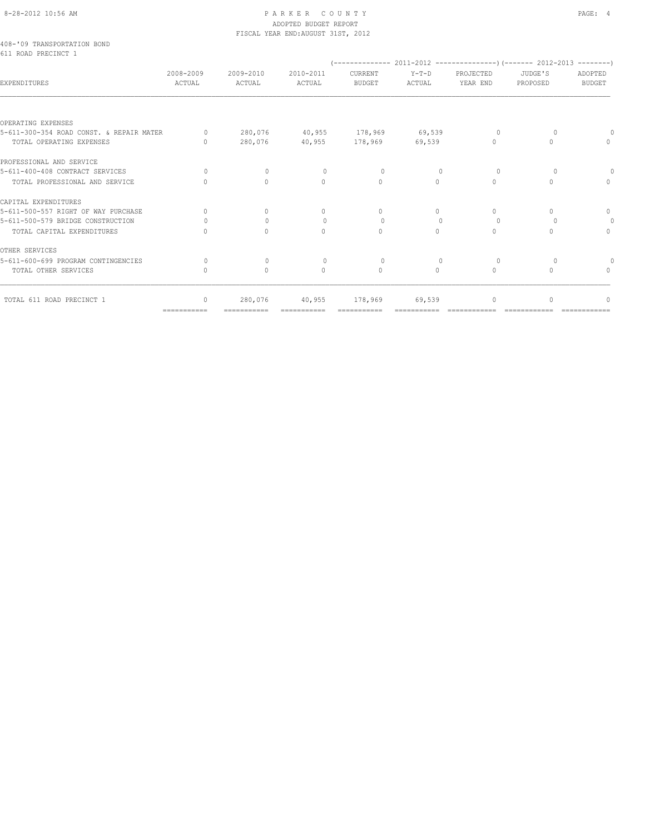# 8-28-2012 10:56 AM PAGE: 4 ADOPTED BUDGET REPORT FISCAL YEAR END:AUGUST 31ST, 2012

|  | 408-'09 TRANSPORTATION BOND |  |  |
|--|-----------------------------|--|--|
|  | 611 ROAD PRECINCT 1         |  |  |

|                                          | 2008-2009                        | 2009-2010                        | 2010-2011   | CURRENT               | $Y-T-D$   | PROJECTED | JUDGE'S   | ADOPTED       |
|------------------------------------------|----------------------------------|----------------------------------|-------------|-----------------------|-----------|-----------|-----------|---------------|
| EXPENDITURES                             | ACTUAL                           | ACTUAL                           | ACTUAL      | <b>BUDGET</b>         | ACTUAL    | YEAR END  | PROPOSED  | <b>BUDGET</b> |
|                                          |                                  |                                  |             |                       |           |           |           |               |
| OPERATING EXPENSES                       |                                  |                                  |             |                       |           |           |           |               |
| 5-611-300-354 ROAD CONST. & REPAIR MATER | $\Omega$                         | 280,076                          |             | 40,955 178,969        | 69,539    | $\cap$    |           |               |
| TOTAL OPERATING EXPENSES                 | $\begin{array}{c} \n\end{array}$ | 280,076                          |             | 40,955 178,969 69,539 |           | $\Omega$  |           |               |
| PROFESSIONAL AND SERVICE                 |                                  |                                  |             |                       |           |           |           |               |
| 5-611-400-408 CONTRACT SERVICES          | $\Omega$                         | $\Omega$                         | $\Omega$    | $\Omega$              | $\Omega$  | $\Omega$  | $\Omega$  | $\Omega$      |
| TOTAL PROFESSIONAL AND SERVICE           | $\bigcap$                        | $\bigcap$                        | $\cap$      | $\bigcap$             | $\Omega$  | $\cap$    |           | $\cap$        |
| CAPITAL EXPENDITURES                     |                                  |                                  |             |                       |           |           |           |               |
| 5-611-500-557 RIGHT OF WAY PURCHASE      | $\Omega$                         | $\bigcap$                        | $\Omega$    | $\Omega$              | $\Omega$  | $\Omega$  |           | $\mathbf{0}$  |
| 5-611-500-579 BRIDGE CONSTRUCTION        |                                  | $\begin{array}{c} \n\end{array}$ | $\Omega$    | $\Omega$              | $\Omega$  | $\Omega$  |           | $\Omega$      |
| TOTAL CAPITAL EXPENDITURES               |                                  | $\bigcap$                        | $\bigcap$   | $\Omega$              | $\Omega$  | $\Omega$  |           | $\Omega$      |
| OTHER SERVICES                           |                                  |                                  |             |                       |           |           |           |               |
| 5-611-600-699 PROGRAM CONTINGENCIES      | 0                                | $\bigcap$                        |             |                       | $\bigcap$ | $\Omega$  |           |               |
| TOTAL OTHER SERVICES                     | $\cap$                           | $\Omega$                         | $\bigcap$   | $\Omega$              | $\Omega$  | $\Omega$  | $\cap$    |               |
| TOTAL 611 ROAD PRECINCT 1                | $\begin{array}{c} \n\end{array}$ | 280,076                          | 40,955      | 178,969               | 69,539    | $\Omega$  | $\bigcap$ |               |
|                                          | $=$ ===========                  |                                  | =========== |                       |           |           |           |               |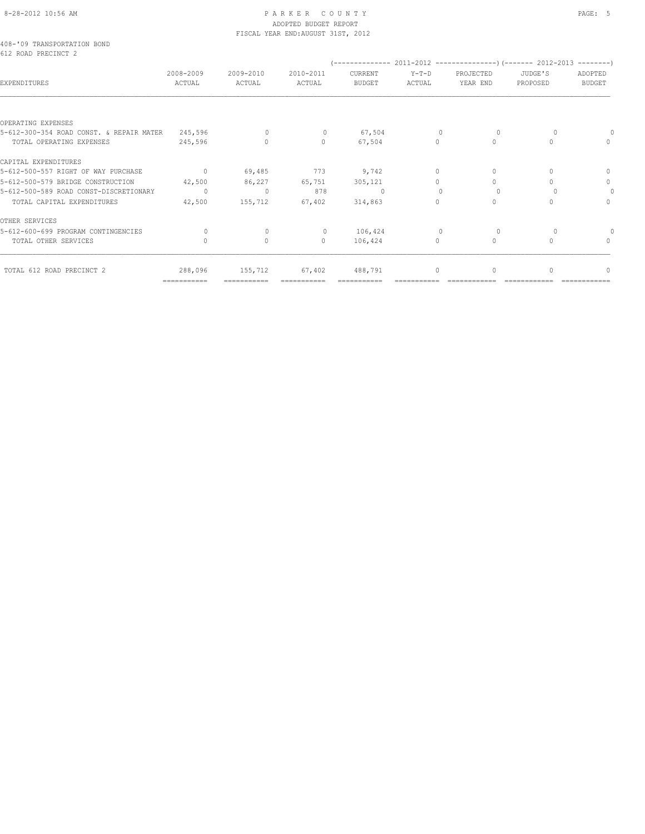### 8-28-2012 10:56 AM P A R K E R C O U N T Y PAGE: 5 ADOPTED BUDGET REPORT FISCAL YEAR END:AUGUST 31ST, 2012

408-'09 TRANSPORTATION BOND 612 ROAD PRECINCT 2

| EXPENDITURES                             | 2008-2009<br>ACTUAL       | 2009-2010<br>ACTUAL | 2010-2011<br>ACTUAL | CURRENT<br><b>BUDGET</b> | $Y-T-D$<br>ACTUAL | PROJECTED<br>YEAR END | JUDGE'S<br>PROPOSED | ADOPTED<br><b>BUDGET</b> |
|------------------------------------------|---------------------------|---------------------|---------------------|--------------------------|-------------------|-----------------------|---------------------|--------------------------|
|                                          |                           |                     |                     |                          |                   |                       |                     |                          |
| OPERATING EXPENSES                       |                           |                     |                     |                          |                   |                       |                     |                          |
| 5-612-300-354 ROAD CONST. & REPAIR MATER | 245,596                   | $\Omega$            | $\circ$             | 67,504                   | $\circ$           | $\Omega$              |                     |                          |
| TOTAL OPERATING EXPENSES                 | 245,596                   | $\Omega$            | $\Omega$            | 67,504                   | $\Omega$          | $\Omega$              |                     | $\Omega$                 |
| CAPITAL EXPENDITURES                     |                           |                     |                     |                          |                   |                       |                     |                          |
| 5-612-500-557 RIGHT OF WAY PURCHASE      | $\overline{0}$            | 69,485              | 773                 | 9,742                    | $\circ$           | 0                     |                     | 0                        |
| 5-612-500-579 BRIDGE CONSTRUCTION        | 42,500                    | 86,227              | 65,751              | 305,121                  | $\Omega$          | $\Omega$              |                     | $\circ$                  |
| 5-612-500-589 ROAD CONST-DISCRETIONARY   | $\circ$                   | $\overline{0}$      | 878                 | $\Omega$                 | $\Omega$          |                       |                     | $\Omega$                 |
| TOTAL CAPITAL EXPENDITURES               | 42,500                    | 155,712             | 67,402              | 314,863                  | $\Omega$          | $\circ$               |                     | $\Omega$                 |
| OTHER SERVICES                           |                           |                     |                     |                          |                   |                       |                     |                          |
| 5-612-600-699 PROGRAM CONTINGENCIES      | $\circ$                   |                     | $\circ$             | 106,424                  | $\overline{0}$    | 0                     |                     | 0                        |
| TOTAL OTHER SERVICES                     | $\Omega$                  | $\Omega$            | $\circ$             | 106,424                  | $\Omega$          | $\circ$               |                     | $\Omega$                 |
| TOTAL 612 ROAD PRECINCT 2                | 288,096                   | 155,712             | 67,402              | 488,791                  | $\circ$           | $\circ$               |                     | $\cup$                   |
|                                          | $=$ = = = = = = = = = = = | ===========         | ===========         |                          |                   |                       |                     |                          |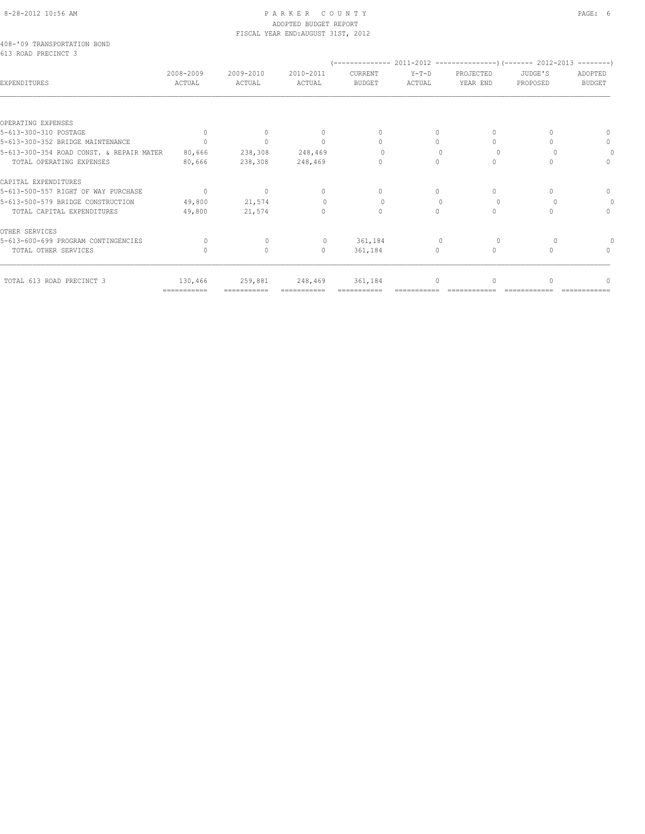# 8-28-2012 10:56 AM P A R K E R C O U N T Y PAGE: 6 ADOPTED BUDGET REPORT FISCAL YEAR END:AUGUST 31ST, 2012

|  | 408-'09 TRANSPORTATION BOND |  |  |
|--|-----------------------------|--|--|
|  | 613 ROAD PRECINCT 3         |  |  |

|                                          | 2008-2009                 | 2009-2010   | 2010-2011    | CURRENT       | Y-T-D                            | PROJECTED | JUDGE'S  | ADOPTED       |
|------------------------------------------|---------------------------|-------------|--------------|---------------|----------------------------------|-----------|----------|---------------|
| <b>EXPENDITURES</b>                      | ACTUAL                    | ACTUAL      | ACTUAL       | <b>BUDGET</b> | ACTUAL                           | YEAR END  | PROPOSED | <b>BUDGET</b> |
|                                          |                           |             |              |               |                                  |           |          |               |
| OPERATING EXPENSES                       |                           |             |              |               |                                  |           |          |               |
| 5-613-300-310 POSTAGE                    | $\Omega$                  |             |              |               | $\Omega$                         | 0         |          |               |
| 5-613-300-352 BRIDGE MAINTENANCE         | $\bigcap$                 | $\bigcap$   | $\cap$       | $\cap$        | $\cap$                           | 0         |          | $\Omega$      |
| 5-613-300-354 ROAD CONST. & REPAIR MATER | 80,666                    | 238,308     | 248,469      | $\Omega$      | $\begin{array}{c} \n\end{array}$ | $\Omega$  |          |               |
| TOTAL OPERATING EXPENSES                 | 80,666                    | 238,308     | 248,469      | $\Omega$      | $\Omega$                         | 0         |          | $\cap$        |
| CAPITAL EXPENDITURES                     |                           |             |              |               |                                  |           |          |               |
| 5-613-500-557 RIGHT OF WAY PURCHASE      | $\overline{0}$            | $\circ$     | $\mathbf{0}$ | $\Omega$      | $\Omega$                         | $\Omega$  |          | $\Omega$      |
| 5-613-500-579 BRIDGE CONSTRUCTION        | 49,800                    | 21,574      |              | $\cup$        | $\cap$                           | $\Omega$  |          |               |
| TOTAL CAPITAL EXPENDITURES               | 49,800                    | 21,574      | $\bigcap$    | $\bigcap$     | $\bigcap$                        | $\Omega$  |          | $\bigcap$     |
| OTHER SERVICES                           |                           |             |              |               |                                  |           |          |               |
| 5-613-600-699 PROGRAM CONTINGENCIES      |                           | $\cap$      | $\Omega$     | 361,184       | $\Omega$                         |           |          |               |
| TOTAL OTHER SERVICES                     |                           | $\bigcap$   | $\Omega$     | 361,184       | $\Omega$                         | $\Omega$  |          |               |
| TOTAL 613 ROAD PRECINCT 3                | 130,466                   | 259,881     | 248,469      | 361,184       |                                  |           |          |               |
|                                          | $=$ = = = = = = = = = = = | =========== | ============ | ============  |                                  |           |          |               |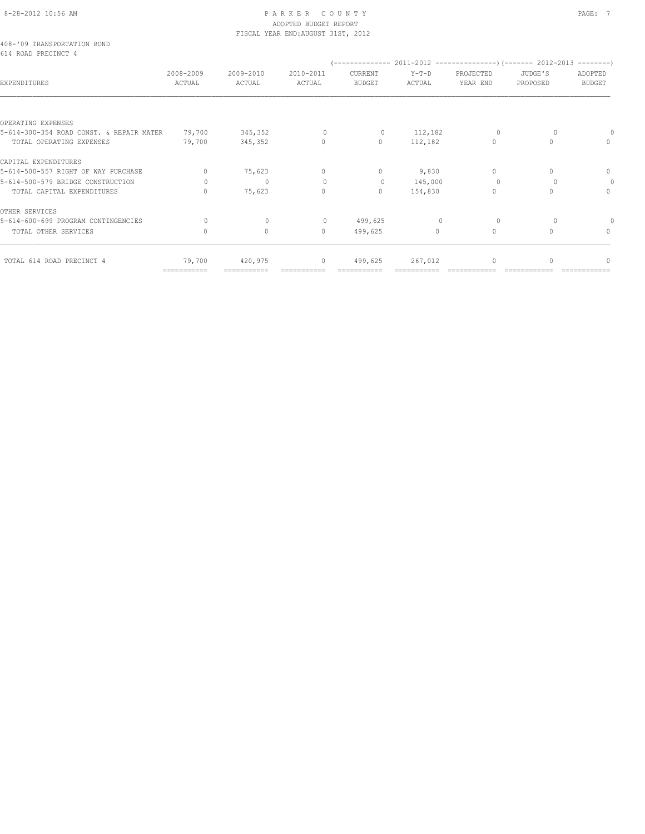# 8-28-2012 10:56 AM PAGE: 7 ADOPTED BUDGET REPORT FISCAL YEAR END:AUGUST 31ST, 2012

# 408-'09 TRANSPORTATION BOND 614 ROAD PRECINCT 4

| 014 RUAD FRAGINGI 4                      |                           |                     |                     |                          |                   |                       |                     |                                  |
|------------------------------------------|---------------------------|---------------------|---------------------|--------------------------|-------------------|-----------------------|---------------------|----------------------------------|
| EXPENDITURES                             | 2008-2009<br>ACTUAL       | 2009-2010<br>ACTUAL | 2010-2011<br>ACTUAL | CURRENT<br><b>BUDGET</b> | $Y-T-D$<br>ACTUAL | PROJECTED<br>YEAR END | JUDGE'S<br>PROPOSED | ADOPTED<br><b>BUDGET</b>         |
|                                          |                           |                     |                     |                          |                   |                       |                     |                                  |
| OPERATING EXPENSES                       |                           |                     |                     |                          |                   |                       |                     |                                  |
| 5-614-300-354 ROAD CONST. & REPAIR MATER | 79,700                    | 345,352             | $\circ$             | 0                        | 112,182           | $\circ$               |                     |                                  |
| TOTAL OPERATING EXPENSES                 | 79,700                    | 345,352             | $\mathbf{0}$        | $\mathbf{0}$             | 112,182           | $\circ$               | 0                   | $\mathbf{0}$                     |
| CAPITAL EXPENDITURES                     |                           |                     |                     |                          |                   |                       |                     |                                  |
| 5-614-500-557 RIGHT OF WAY PURCHASE      | $\Omega$                  | 75,623              | $\mathbf{0}$        | $\mathbf{0}$             | 9,830             | $\circ$               | $\Omega$            | 0                                |
| 5-614-500-579 BRIDGE CONSTRUCTION        | $\Omega$                  | $\mathbf{0}$        | $\circ$             | $\circ$                  | 145,000           | $\Omega$              |                     | $\circ$                          |
| TOTAL CAPITAL EXPENDITURES               |                           | 75,623              | $\circ$             | $\mathbf{0}$             | 154,830           | $\circ$               |                     | $\Omega$                         |
| OTHER SERVICES                           |                           |                     |                     |                          |                   |                       |                     |                                  |
| 5-614-600-699 PROGRAM CONTINGENCIES      | $\Omega$                  | $\Omega$            | $\mathbf{0}$        | 499,625                  | $\mathbf{0}$      | $\Omega$              |                     |                                  |
| TOTAL OTHER SERVICES                     | $\cap$                    | $\circ$             | $\Omega$            | 499,625                  | $\Omega$          | $\circ$               | $\Omega$            | $\begin{array}{c} \n\end{array}$ |
| TOTAL 614 ROAD PRECINCT 4                | 79,700                    | 420,975             | $\mathbf{0}$        | 499,625                  | 267,012           | $\circ$               |                     | ∩                                |
|                                          | $=$ = = = = = = = = = = = | ===========         |                     |                          |                   |                       |                     |                                  |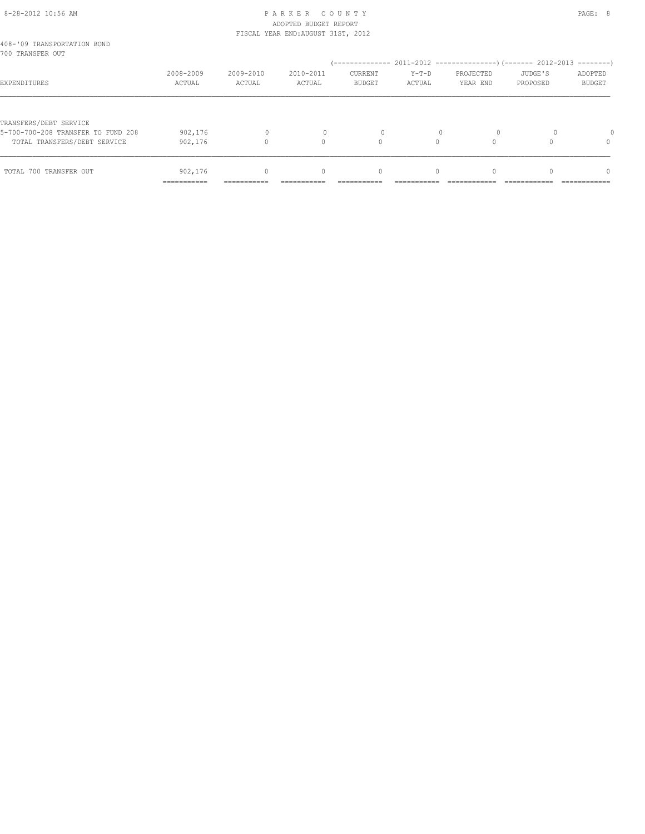# 8-28-2012 10:56 AM P A R K E R C O U N T Y PAGE: 8 ADOPTED BUDGET REPORT FISCAL YEAR END:AUGUST 31ST, 2012

| 408-'09 TRANSPORTATION BOND        |                           |                     |                                  |                                 |                   |                       |                     |                          |
|------------------------------------|---------------------------|---------------------|----------------------------------|---------------------------------|-------------------|-----------------------|---------------------|--------------------------|
| 700 TRANSFER OUT                   |                           |                     |                                  |                                 |                   |                       |                     |                          |
| EXPENDITURES                       | 2008-2009<br>ACTUAL       | 2009-2010<br>ACTUAL | 2010-2011<br>ACTUAL              | <b>CURRENT</b><br><b>BUDGET</b> | $Y-T-D$<br>ACTUAL | PROJECTED<br>YEAR END | JUDGE'S<br>PROPOSED | ADOPTED<br><b>BUDGET</b> |
|                                    |                           |                     |                                  |                                 |                   |                       |                     |                          |
| TRANSFERS/DEBT SERVICE             |                           |                     |                                  |                                 |                   |                       |                     |                          |
| 5-700-700-208 TRANSFER TO FUND 208 | 902,176                   | $\Omega$            |                                  | 0                               |                   | $\Omega$              |                     |                          |
| TOTAL TRANSFERS/DEBT SERVICE       | 902,176                   |                     | $\cap$                           | $\Omega$                        |                   |                       |                     | 0                        |
|                                    |                           |                     |                                  |                                 |                   |                       |                     |                          |
| TOTAL 700 TRANSFER OUT             | 902,176                   | $\Omega$            | $\begin{array}{c} \n\end{array}$ | $\mathbf{0}$                    | $\Omega$          | $\Omega$              |                     | $\Omega$                 |
|                                    | __________<br>----------- | ----------          |                                  |                                 |                   |                       |                     |                          |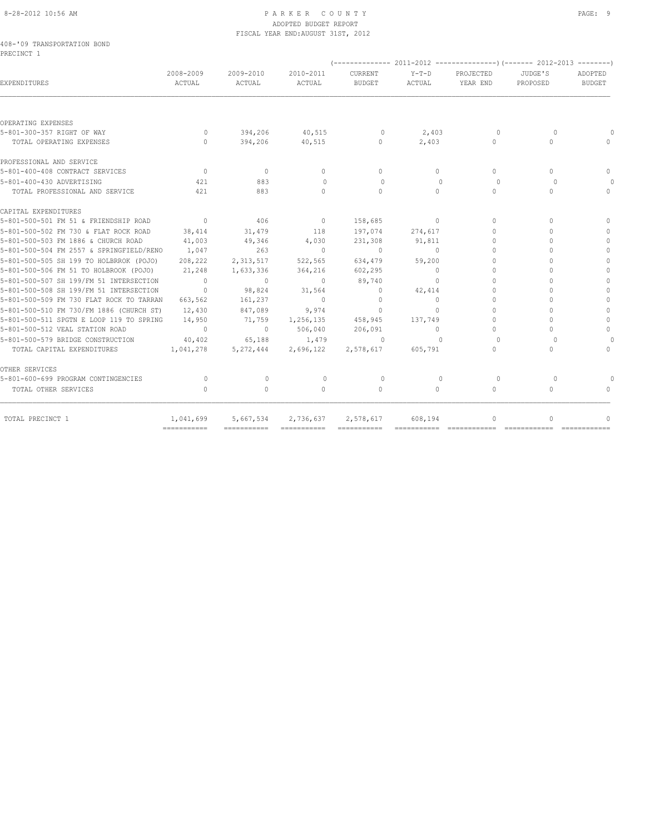# 8-28-2012 10:56 AM PAGE: 9 ADOPTED BUDGET REPORT FISCAL YEAR END:AUGUST 31ST, 2012

|            | 408-'09 TRANSPORTATION BOND |  |
|------------|-----------------------------|--|
| PRECINCT 1 |                             |  |

| <b>EXPENDITURES</b>                      | 2008-2009<br>ACTUAL | 2009-2010<br>ACTUAL | 2010-2011<br>ACTUAL | CURRENT<br><b>BUDGET</b> | $Y-T-D$<br>ACTUAL | PROJECTED<br>YEAR END            | JUDGE'S<br>PROPOSED              | ADOPTED<br><b>BUDGET</b> |
|------------------------------------------|---------------------|---------------------|---------------------|--------------------------|-------------------|----------------------------------|----------------------------------|--------------------------|
|                                          |                     |                     |                     |                          |                   |                                  |                                  |                          |
| OPERATING EXPENSES                       |                     |                     |                     |                          |                   |                                  |                                  |                          |
| 5-801-300-357 RIGHT OF WAY               | $\overline{0}$      | 394,206             | 40,515              | $\overline{0}$           | 2,403             | $\circ$                          | 0                                |                          |
| TOTAL OPERATING EXPENSES                 | $\Omega$            | 394,206             | 40,515              | $\circ$                  | 2,403             | $\Omega$                         | $\begin{array}{c} \n\end{array}$ |                          |
| PROFESSIONAL AND SERVICE                 |                     |                     |                     |                          |                   |                                  |                                  |                          |
| 5-801-400-408 CONTRACT SERVICES          | $\overline{0}$      | $\mathbf{0}$        | $\mathbf{0}$        | $\circ$                  | $\Omega$          | $\Omega$                         | $\begin{array}{c} \n\end{array}$ | $\Omega$                 |
| 5-801-400-430 ADVERTISING                | 421                 | 883                 | $\circ$             | $\Omega$                 | $\Omega$          | $\Omega$                         | $\Omega$                         |                          |
| TOTAL PROFESSIONAL AND SERVICE           | 421                 | 883                 | $\bigcap$           | $\Omega$                 | $\Omega$          | $\Omega$                         | $\Omega$                         | $\bigcap$                |
| CAPITAL EXPENDITURES                     |                     |                     |                     |                          |                   |                                  |                                  |                          |
| 5-801-500-501 FM 51 & FRIENDSHIP ROAD    | $\overline{0}$      | 406                 | $\overline{0}$      | 158,685                  | $\circ$           | $\Omega$                         | $\Omega$                         | $\Omega$                 |
| 5-801-500-502 FM 730 & FLAT ROCK ROAD    | 38,414              | 31,479              | 118                 | 197,074                  | 274,617           | $\Omega$                         | $\Omega$                         | $\Omega$                 |
| 5-801-500-503 FM 1886 & CHURCH ROAD      | 41,003              | 49,346              | 4,030               | 231,308                  | 91,811            | $\bigcap$                        | $\bigcap$                        | $\mathbf{0}$             |
| 5-801-500-504 FM 2557 & SPRINGFIELD/RENO | 1,047               | 263                 | $\circ$             | $\circ$                  | $\circ$           | $\bigcap$                        | $\cap$                           | $\circ$                  |
| 5-801-500-505 SH 199 TO HOLBRROK (POJO)  | 208,222             | 2, 313, 517         | 522,565             | 634,479                  | 59,200            | $\bigcap$                        | $\cap$                           | $\mathbf{0}$             |
| 5-801-500-506 FM 51 TO HOLBROOK (POJO)   | 21,248              | 1,633,336           | 364,216             | 602,295                  | $\circ$           | 0                                | $\cap$                           | $\mathbf{0}$             |
| 5-801-500-507 SH 199/FM 51 INTERSECTION  | $\Omega$            | $\circ$             | $\overline{0}$      | 89,740                   | $\overline{0}$    | $\bigcap$                        | $\cap$                           | $\mathbf{0}$             |
| 5-801-500-508 SH 199/FM 51 INTERSECTION  | $\Omega$            | 98,824              | 31,564              | $\Omega$                 | 42,414            | 0                                | $\cap$                           | $\Omega$                 |
| 5-801-500-509 FM 730 FLAT ROCK TO TARRAN | 663,562             | 161,237             | $\Omega$            | $\Omega$                 | $\Omega$          | $\Omega$                         | $\cap$                           | $\mathbf{0}$             |
| 5-801-500-510 FM 730/FM 1886 (CHURCH ST) | 12,430              | 847,089             | 9,974               | $\Omega$                 | $\Omega$          | $\cap$                           | $\bigcap$                        | $\mathbf{0}$             |
| 5-801-500-511 SPGTN E LOOP 119 TO SPRING | 14,950              | 71,759              | 1,256,135           | 458,945                  | 137,749           | 0                                | $\cap$                           | $\mathbf{0}$             |
| 5-801-500-512 VEAL STATION ROAD          | $\circ$             | $\circ$             | 506,040             | 206,091                  | $\circ$           | $\begin{array}{c} \n\end{array}$ | $\cap$                           | $\mathbf{0}$             |
| 5-801-500-579 BRIDGE CONSTRUCTION        | 40,402              | 65,188              | 1,479               | $\Omega$                 | $\Omega$          | $\Omega$                         | $\cap$                           |                          |
| TOTAL CAPITAL EXPENDITURES               | 1,041,278           | 5,272,444           | 2,696,122           | 2,578,617                | 605,791           | $\Omega$                         | $\bigcap$                        | n                        |
| OTHER SERVICES                           |                     |                     |                     |                          |                   |                                  |                                  |                          |
| 5-801-600-699 PROGRAM CONTINGENCIES      | $\Omega$            | $\Omega$            | $\bigcap$           | $\Omega$                 | $\Omega$          | $\Omega$                         | $\Omega$                         |                          |
| TOTAL OTHER SERVICES                     | $\bigcap$           | $\Omega$            | $\bigcap$           | $\Omega$                 | $\bigcap$         | $\Omega$                         | $\bigcap$                        |                          |
| TOTAL PRECINCT 1                         | 1,041,699           | 5,667,534           |                     | 2,736,637 2,578,617      | 608,194           | $\circ$                          | $\mathbf{0}$                     |                          |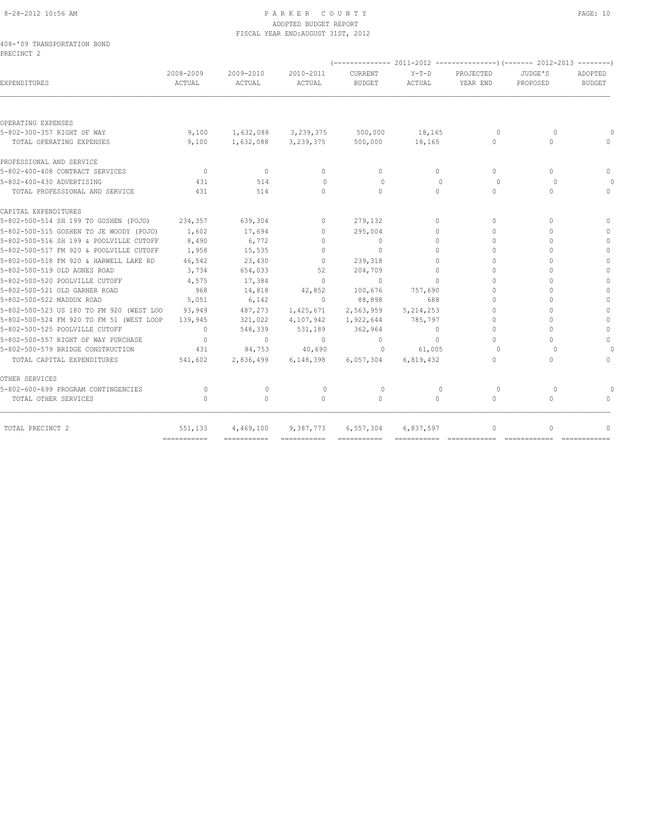# 8-28-2012 10:56 AM P A R K E R C O U N T Y PAGE: 10 ADOPTED BUDGET REPORT FISCAL YEAR END:AUGUST 31ST, 2012

|            | 408-'09 TRANSPORTATION BOND |  |
|------------|-----------------------------|--|
| PRECINCT 2 |                             |  |

|                                          | 2008-2009      | 2009-2010 | 2010-2011                        | CURRENT       | $Y-T-D$     | PROJECTED    | JUDGE'S   | ADOPTED                          |
|------------------------------------------|----------------|-----------|----------------------------------|---------------|-------------|--------------|-----------|----------------------------------|
| EXPENDITURES                             | ACTUAL         | ACTUAL    | ACTUAL                           | <b>BUDGET</b> | ACTUAL      | YEAR END     | PROPOSED  | <b>BUDGET</b>                    |
| OPERATING EXPENSES                       |                |           |                                  |               |             |              |           |                                  |
| 5-802-300-357 RIGHT OF WAY               | 9,100          |           | 1,632,088 3,239,375 500,000      |               | 18,165      | $\Omega$     | $\Omega$  |                                  |
| TOTAL OPERATING EXPENSES                 | 9,100          |           | 1,632,088 3,239,375              | 500,000       | 18,165      | $\Omega$     | $\Omega$  | $\cap$                           |
| PROFESSIONAL AND SERVICE                 |                |           |                                  |               |             |              |           |                                  |
| 5-802-400-408 CONTRACT SERVICES          | $\bigcirc$     | $\Omega$  | $\begin{array}{c} \n\end{array}$ | $\Omega$      | $\Omega$    | $\Omega$     | $\cap$    | $\bigcap$                        |
| 5-802-400-430 ADVERTISING                | 431            | 514       | $\bigcap$                        | $\Omega$      | $\cap$      | $\Omega$     | $\cap$    |                                  |
| TOTAL PROFESSIONAL AND SERVICE           | 431            | 514       | $\Omega$                         | $\Omega$      | $\Omega$    | $\Omega$     | $\cap$    | $\begin{array}{c} \n\end{array}$ |
| CAPITAL EXPENDITURES                     |                |           |                                  |               |             |              |           |                                  |
| 5-802-500-514 SH 199 TO GOSHEN (POJO)    | 234,357        | 639,304   | $\circ$                          | 279,132       | $\Omega$    | $\Omega$     | 0         | $\cap$                           |
| 5-802-500-515 GOSHEN TO JE WOODY (POJO)  | 1,602          | 17,694    | $\Omega$                         | 295,004       | $\Omega$    | $\cap$       | $\Omega$  |                                  |
| 5-802-500-516 SH 199 & POOLVILLE CUTOFF  | 8,490          | 6,772     | $\begin{array}{c} \n\end{array}$ | $\circ$       | $\Omega$    | $\bigcap$    | $\cap$    |                                  |
| 5-802-500-517 FM 920 & POOLVILLE CUTOFF  | 1,958          | 15,535    | $\Omega$                         | $\Omega$      | $\Omega$    | $\Omega$     | $\cap$    | $\bigcap$                        |
| 5-802-500-518 FM 920 & HARWELL LAKE RD   | 46,542         | 23,430    | $\Omega$                         | 239,318       | $\bigcap$   | $\cap$       |           | $\bigcap$                        |
| 5-802-500-519 OLD AGNES ROAD             | 3,734          | 654,033   | 52                               | 204,709       | $\Omega$    | $\cap$       | $\bigcap$ | $\bigcap$                        |
| 5-802-500-520 POOLVILLE CUTOFF           | 4,575          | 17,384    | $\Omega$                         | $\Omega$      | $\Omega$    | $\Omega$     | ∩         | $\bigcap$                        |
| 5-802-500-521 OLD GARNER ROAD            | 968            | 14,818    | 42,852                           | 100,676       | 757,690     | $\Omega$     | $\cap$    | $\Omega$                         |
| 5-802-500-522 MADDUX ROAD                | 5,051          | 6,142     | $\circ$                          | 88,898        | 688         | $\bigcap$    | ∩         | $\bigcap$                        |
| 5-802-500-523 US 180 TO FM 920 (WEST LOO | 93,949         | 487,273   | 1,425,671                        | 2,563,959     | 5, 214, 253 | $\Omega$     | $\Omega$  | $\Omega$                         |
| 5-802-500-524 FM 920 TO FM 51 (WEST LOOP | 139,945        | 321,022   | 4,107,942                        | 1,922,644     | 785,797     | $\Omega$     | $\cap$    | $\bigcap$                        |
| 5-802-500-525 POOLVILLE CUTOFF           | $\overline{0}$ | 548,339   | 531,189                          | 362,964       | $\Omega$    | $\Omega$     | $\cap$    | $\Omega$                         |
| 5-802-500-557 RIGHT OF WAY PURCHASE      | $\overline{0}$ | $\Omega$  | $\Omega$                         | $\mathbf{0}$  | $\Omega$    | $\cap$       | $\cap$    | $\Omega$                         |
| 5-802-500-579 BRIDGE CONSTRUCTION        | 431            | 84,753    | 40,690                           | $\circ$       | 61,005      | $\Omega$     | $\cap$    |                                  |
| TOTAL CAPITAL EXPENDITURES               | 541,602        | 2,836,499 | 6,148,398                        | 6,057,304     | 6,819,432   | $\bigcap$    | $\cap$    | $\begin{array}{c} \n\end{array}$ |
| OTHER SERVICES                           |                |           |                                  |               |             |              |           |                                  |
| 5-802-600-699 PROGRAM CONTINGENCIES      | $\Omega$       | $\circ$   | $\circ$                          | $\circ$       | $\Omega$    | $\Omega$     | $\Omega$  |                                  |
| TOTAL OTHER SERVICES                     | $\cap$         | $\Omega$  | $\bigcap$                        | $\Omega$      | $\Omega$    | $\Omega$     | $\bigcap$ |                                  |
| TOTAL PRECINCT 2                         | 551,133        | 4,469,100 | 9,387,773                        | 6,557,304     | 6,837,597   | $\mathbf{0}$ | 0         | $\bigcap$                        |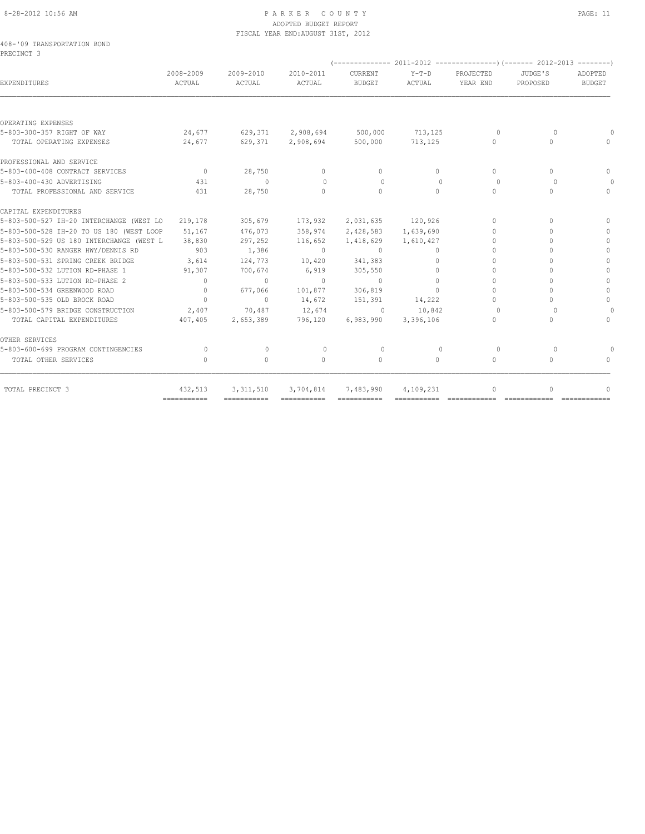# 8-28-2012 10:56 AM P A R K E R C O U N T Y PAGE: 11 ADOPTED BUDGET REPORT FISCAL YEAR END:AUGUST 31ST, 2012

|            | 408-'09 TRANSPORTATION BOND |  |
|------------|-----------------------------|--|
| PRECINCT 3 |                             |  |

| 2008-2009<br>ACTUAL                                 | 2009-2010<br>ACTUAL | 2010-2011<br>ACTUAL              | CURRENT<br><b>BUDGET</b> | Y-T-D<br>ACTUAL                                    | PROJECTED<br>YEAR END                                                                                                                                          | JUDGE'S<br>PROPOSED | ADOPTED<br><b>BUDGET</b> |
|-----------------------------------------------------|---------------------|----------------------------------|--------------------------|----------------------------------------------------|----------------------------------------------------------------------------------------------------------------------------------------------------------------|---------------------|--------------------------|
|                                                     |                     |                                  |                          |                                                    |                                                                                                                                                                |                     |                          |
|                                                     |                     |                                  |                          |                                                    |                                                                                                                                                                |                     |                          |
| 24,677                                              |                     |                                  |                          |                                                    | $\Omega$                                                                                                                                                       | $\Omega$            |                          |
| 24,677                                              |                     |                                  | 500,000                  | 713,125                                            | $\circ$                                                                                                                                                        | $\Omega$            | $\Omega$                 |
|                                                     |                     |                                  |                          |                                                    |                                                                                                                                                                |                     |                          |
| $\overline{0}$                                      | 28,750              | $\circ$                          | $\Omega$                 | $\Omega$                                           | $\begin{array}{c} \n\end{array}$                                                                                                                               | $\Omega$            | $\Omega$                 |
| 431                                                 | $\circ$             | $\Omega$                         | $\Omega$                 | $\Omega$                                           | $\Omega$                                                                                                                                                       | $\bigcap$           | $\bigcap$                |
| 431                                                 | 28,750              | $\Omega$                         | $\Omega$                 | $\bigcap$                                          | $\cap$                                                                                                                                                         | $\cap$              | $\Omega$                 |
|                                                     |                     |                                  |                          |                                                    |                                                                                                                                                                |                     |                          |
| 5-803-500-527 IH-20 INTERCHANGE (WEST LO<br>219,178 | 305,679             | 173,932                          |                          |                                                    | $\begin{array}{c} \n\end{array}$                                                                                                                               | $\Omega$            | $\Omega$                 |
| 5-803-500-528 IH-20 TO US 180 (WEST LOOP<br>51,167  | 476,073             | 358,974                          |                          |                                                    | $\Omega$                                                                                                                                                       | $\Omega$            | $\mathbf{0}$             |
| 5-803-500-529 US 180 INTERCHANGE (WEST L<br>38,830  | 297,252             | 116,652                          | 1,418,629                |                                                    | $\Omega$                                                                                                                                                       | $\bigcap$           | $\Omega$                 |
| 903                                                 | 1,386               | $\sim$ 0                         | $\sim$ 0                 | 0                                                  | $\bigcap$                                                                                                                                                      |                     | $\Omega$                 |
| 3,614                                               | 124,773             | 10,420                           |                          | $\circ$                                            | $\Omega$                                                                                                                                                       |                     | $\mathbf{0}$             |
| 91,307                                              | 700,674             | 6,919                            | 305,550                  | $\circ$                                            | $\Omega$                                                                                                                                                       | $\Omega$            | $\mathbf{0}$             |
| $\Omega$                                            | $\Omega$            | $\sim$ 0                         | $\Omega$                 | $\Omega$                                           | $\Omega$                                                                                                                                                       | $\bigcap$           | $\mathbf{0}$             |
| $\Omega$                                            | 677,066             | 101,877                          |                          | $\cap$                                             | $\Omega$                                                                                                                                                       |                     | $\mathbf{0}$             |
| $\overline{0}$                                      | $\circ$             | 14,672                           |                          |                                                    | $\Omega$                                                                                                                                                       |                     | $\Omega$                 |
| 2,407                                               | 70,487              | 12,674                           |                          | 10,842                                             | $\Omega$                                                                                                                                                       | $\Omega$            | $\Omega$                 |
| 407,405                                             | 2,653,389           | 796,120                          | 6,983,990                |                                                    | $\Omega$                                                                                                                                                       | $\cap$              | $\Omega$                 |
|                                                     |                     |                                  |                          |                                                    |                                                                                                                                                                |                     |                          |
| $\Omega$                                            | $\mathbf{0}$        | $\circ$                          | $\circ$                  | $\circ$                                            | $\circ$                                                                                                                                                        | $\circ$             |                          |
| $\begin{array}{c} \n\end{array}$                    | $\circ$             | $\begin{array}{c} \n\end{array}$ | $\circ$                  | $\Omega$                                           | $\begin{array}{c} \n\end{array}$                                                                                                                               | $\Omega$            | $\Omega$                 |
| 432,513                                             | 3, 311, 510         |                                  |                          |                                                    | 0                                                                                                                                                              | 0                   | $\bigcap$                |
|                                                     | ============        |                                  |                          | 629,371 2,908,694<br>341,383<br>306,819<br>151,391 | 629,371 2,908,694 500,000 713,125<br>2,031,635 120,926<br>2,428,583 1,639,690<br>1,610,427<br>14,222<br>$\sim$ 0<br>3,396,106<br>3,704,814 7,483,990 4,109,231 |                     |                          |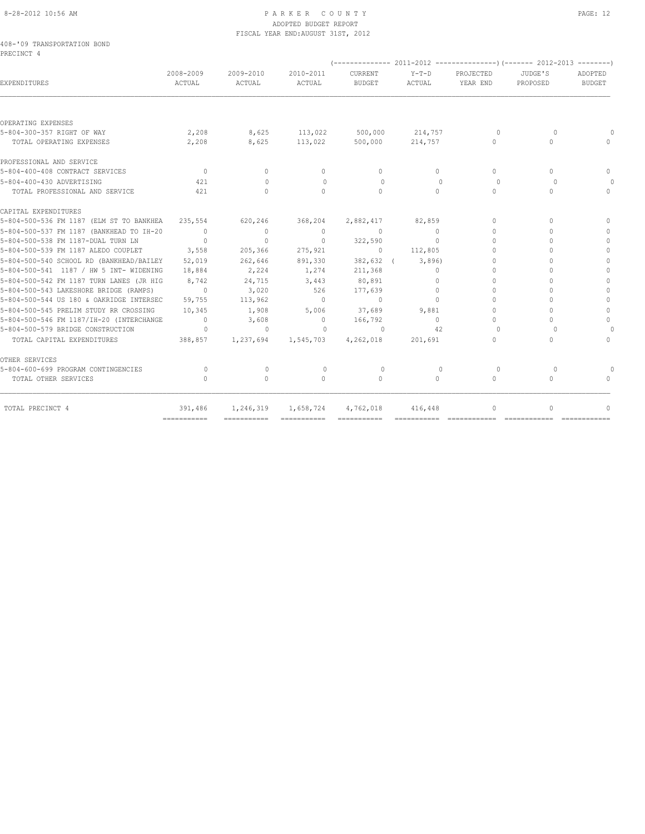# 8-28-2012 10:56 AM P A R K E R C O U N T Y PAGE: 12 ADOPTED BUDGET REPORT FISCAL YEAR END:AUGUST 31ST, 2012

|            | 408-'09 TRANSPORTATION BOND |  |
|------------|-----------------------------|--|
| PRECINCT 4 |                             |  |

|                                                 | 2008-2009                        | 2009-2010                        | 2010-2011                        | CURRENT         | $Y-T-D$      | PROJECTED                        | JUDGE'S                          | ADOPTED                          |
|-------------------------------------------------|----------------------------------|----------------------------------|----------------------------------|-----------------|--------------|----------------------------------|----------------------------------|----------------------------------|
| EXPENDITURES                                    | ACTUAL                           | ACTUAL                           | ACTUAL                           | <b>BUDGET</b>   | ACTUAL       | YEAR END                         | PROPOSED                         | <b>BUDGET</b>                    |
| OPERATING EXPENSES                              |                                  |                                  |                                  |                 |              |                                  |                                  |                                  |
| 5-804-300-357 RIGHT OF WAY                      | 2,208                            |                                  | 8,625 113,022 500,000            |                 | 214,757      | $\circ$                          | $\circ$                          |                                  |
| TOTAL OPERATING EXPENSES                        | 2,208                            | 8,625                            | 113,022                          | 500,000         | 214,757      | $\Omega$                         | 0                                | $\cap$                           |
| PROFESSIONAL AND SERVICE                        |                                  |                                  |                                  |                 |              |                                  |                                  |                                  |
| 5-804-400-408 CONTRACT SERVICES                 | $\overline{0}$                   | $\circ$                          | $\circ$                          | $\mathbf{0}$    | $\Omega$     | $\Omega$                         | $\begin{array}{c} \n\end{array}$ | $\Omega$                         |
| 5-804-400-430 ADVERTISING                       | 421                              | $\begin{array}{c} \n\end{array}$ | $\Omega$                         | $\circ$         | $\Omega$     | $\Omega$                         | $\Omega$                         |                                  |
| TOTAL PROFESSIONAL AND SERVICE                  | 421                              | $\Omega$                         | $\bigcap$                        | $\Omega$        | $\bigcap$    | $\Omega$                         | 0                                | $\cap$                           |
| CAPITAL EXPENDITURES                            |                                  |                                  |                                  |                 |              |                                  |                                  |                                  |
| 5-804-500-536 FM 1187 (ELM ST TO BANKHEA        | 235,554                          | 620,246                          | 368,204                          | 2,882,417       | 82,859       | 0                                | $\cap$                           | $\bigcap$                        |
| 5-804-500-537 FM 1187 (BANKHEAD TO IH-20        | $\overline{0}$                   | $\circ$                          | $\overline{0}$                   | $\sim$ 0        | $\Omega$     | $\Omega$                         | $\cap$                           | $\begin{array}{c} \n\end{array}$ |
| 5-804-500-538 FM 1187-DUAL TURN LN              | $\overline{0}$                   | $\mathbf{0}$                     | $\Omega$                         | 322,590         | $\Omega$     | $\cap$                           | $\cap$                           | $\begin{array}{c} \n\end{array}$ |
| 5-804-500-539 FM 1187 ALEDO COUPLET             | 3,558                            | 205,366                          | 275,921                          | $\sim$ 0        | 112,805      | $\Omega$                         | $\cap$                           | $\Omega$                         |
| 5-804-500-540 SCHOOL RD (BANKHEAD/BAILEY 52,019 |                                  | 262,646                          | 891,330                          | 382,632 (3,896) |              | 0                                | $\cap$                           | $\mathbf{0}$                     |
| 5-804-500-541 1187 / HW 5 INT- WIDENING         | 18,884                           | 2,224                            | 1,274                            | 211,368         | $\Omega$     | $\Omega$                         |                                  | $\Omega$                         |
| 5-804-500-542 FM 1187 TURN LANES (JR HIG        | 8,742                            | 24,715                           | 3,443                            | 80,891          | $\Omega$     | 0                                | 0                                | $\begin{array}{c} \n\end{array}$ |
| 5-804-500-543 LAKESHORE BRIDGE (RAMPS)          | $\circ$                          | 3,020                            | 526                              | 177,639         | $\Omega$     | 0                                | $\cap$                           | $\mathbf{0}$                     |
| 5-804-500-544 US 180 & OAKRIDGE INTERSEC        | 59,755                           | 113,962                          | $\overline{0}$                   | $\sim$ 0        | $\Omega$     | $\Omega$                         | $\cap$                           | $\mathbf{0}$                     |
| 5-804-500-545 PRELIM STUDY RR CROSSING          | 10,345                           | 1,908                            | 5,006                            | 37,689          | 9,881        | $\Omega$                         | $\cap$                           | $\circ$                          |
| 5-804-500-546 FM 1187/IH-20 (INTERCHANGE        | $\sim$ 0                         | 3,608                            | $\bigcirc$                       | 166,792         | $\Omega$     | $\begin{array}{c} \n\end{array}$ | 0                                | $\begin{array}{c} \n\end{array}$ |
| 5-804-500-579 BRIDGE CONSTRUCTION               | $\overline{0}$                   | $\circ$                          | $\overline{0}$                   | $\Omega$        | 42           | $\cap$                           | $\Omega$                         |                                  |
| TOTAL CAPITAL EXPENDITURES                      | 388,857                          | 1,237,694                        | 1,545,703                        | 4,262,018       | 201,691      | 0                                | 0                                | $\begin{array}{c} \n\end{array}$ |
| OTHER SERVICES                                  |                                  |                                  |                                  |                 |              |                                  |                                  |                                  |
| 5-804-600-699 PROGRAM CONTINGENCIES             | $\circ$                          | $\Omega$                         | $\begin{array}{c} \n\end{array}$ | $\Omega$        | $\mathbf{0}$ | 0                                | $\Omega$                         |                                  |
| TOTAL OTHER SERVICES                            | $\begin{array}{c} \n\end{array}$ | $\Omega$                         | $\Omega$                         | $\Omega$        | $\Omega$     | $\Omega$                         | $\Omega$                         | $\Omega$                         |
| TOTAL PRECINCT 4                                | 391,486                          |                                  | 1,246,319 1,658,724 4,762,018    |                 | 416,448      | 0                                | $\cap$                           |                                  |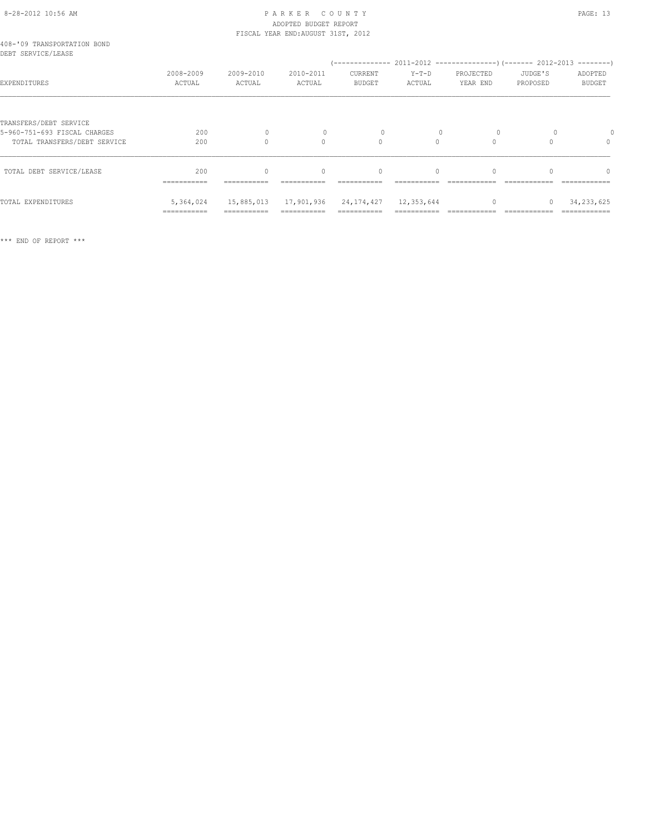# 8-28-2012 10:56 AM P A R K E R C O U N T Y PAGE: 13 ADOPTED BUDGET REPORT

|                                                                                        |                          |                      | FISCAL YEAR END: AUGUST 31ST, 2012 |                          |                   |                       |                     |                                  |
|----------------------------------------------------------------------------------------|--------------------------|----------------------|------------------------------------|--------------------------|-------------------|-----------------------|---------------------|----------------------------------|
| 408-'09 TRANSPORTATION BOND<br>DEBT SERVICE/LEASE                                      |                          |                      |                                    |                          |                   |                       |                     |                                  |
| EXPENDITURES                                                                           | 2008-2009<br>ACTUAL      | 2009-2010<br>ACTUAL  | 2010-2011<br>ACTUAL                | CURRENT<br><b>BUDGET</b> | $Y-T-D$<br>ACTUAL | PROJECTED<br>YEAR END | JUDGE'S<br>PROPOSED | ADOPTED<br><b>BUDGET</b>         |
| TRANSFERS/DEBT SERVICE<br>5-960-751-693 FISCAL CHARGES<br>TOTAL TRANSFERS/DEBT SERVICE | 200<br>200               | $\Omega$<br>$\Omega$ | $\bigcap$                          | $\Omega$                 | $\Omega$          | $\Omega$              |                     | $\begin{array}{c} \n\end{array}$ |
| TOTAL DEBT SERVICE/LEASE                                                               | 200<br>===========       | $\Omega$             | $\mathbf{0}$                       | $\mathbf{0}$             | $\circ$           |                       |                     | $\Omega$                         |
| TOTAL EXPENDITURES                                                                     | 5,364,024<br>=========== | 15,885,013           | 17,901,936                         | 24, 174, 427             | 12,353,644        | $\Omega$              | 0                   | 34, 233, 625                     |

\*\*\* END OF REPORT \*\*\*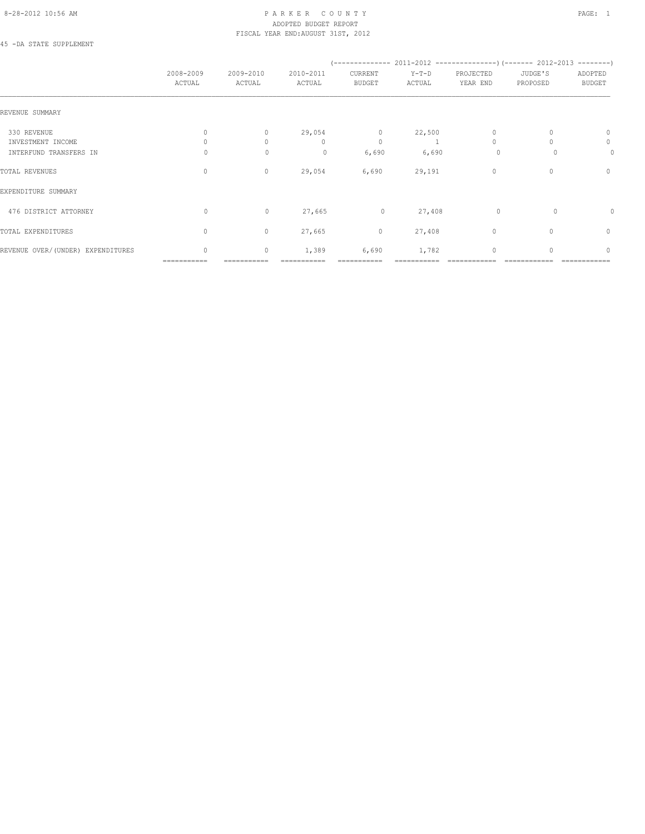# 8-28-2012 10:56 AM P A R K E R C O U N T Y PAGE: 1 ADOPTED BUDGET REPORT FISCAL YEAR END:AUGUST 31ST, 2012

45 -DA STATE SUPPLEMENT

|                                   | 2008-2009<br>ACTUAL         | 2009-2010<br>ACTUAL | 2010-2011<br>ACTUAL    | CURRENT<br><b>BUDGET</b> | $Y-T-D$<br>ACTUAL | PROJECTED<br>YEAR END | JUDGE'S<br>PROPOSED | ADOPTED<br><b>BUDGET</b> |
|-----------------------------------|-----------------------------|---------------------|------------------------|--------------------------|-------------------|-----------------------|---------------------|--------------------------|
| REVENUE SUMMARY                   |                             |                     |                        |                          |                   |                       |                     |                          |
| 330 REVENUE<br>INVESTMENT INCOME  | $\mathbf{0}$                | 0<br>$\Omega$       | 29,054<br>$\mathbf{0}$ | $\circ$<br>$\mathbf{0}$  | 22,500            | 0<br>$\Omega$         |                     | $\mathbf{0}$<br>0        |
| INTERFUND TRANSFERS IN            | 0                           | $\mathbf{0}$        | $\circ$                | 6,690                    | 6,690             | $\circ$               |                     | 0                        |
| TOTAL REVENUES                    | $\mathbf{0}$                | $\circ$             | 29,054                 | 6,690                    | 29,191            | $\circ$               | 0                   | $\mathbf{0}$             |
| EXPENDITURE SUMMARY               |                             |                     |                        |                          |                   |                       |                     |                          |
| 476 DISTRICT ATTORNEY             | 0                           | $\circ$             | 27,665                 | $\circ$                  | 27,408            | $\circ$               | 0                   | 0                        |
| TOTAL EXPENDITURES                | $\mathbf{0}$                | $\circ$             | 27,665                 | $\circ$                  | 27,408            | $\mathbf{0}$          | $\Omega$            | $\mathbf{0}$             |
| REVENUE OVER/(UNDER) EXPENDITURES | $\mathbf{0}$<br>=========== | $\circ$             | 1,389                  | 6,690                    | 1,782             | $\mathbf{0}$          |                     | $\mathbf{0}$             |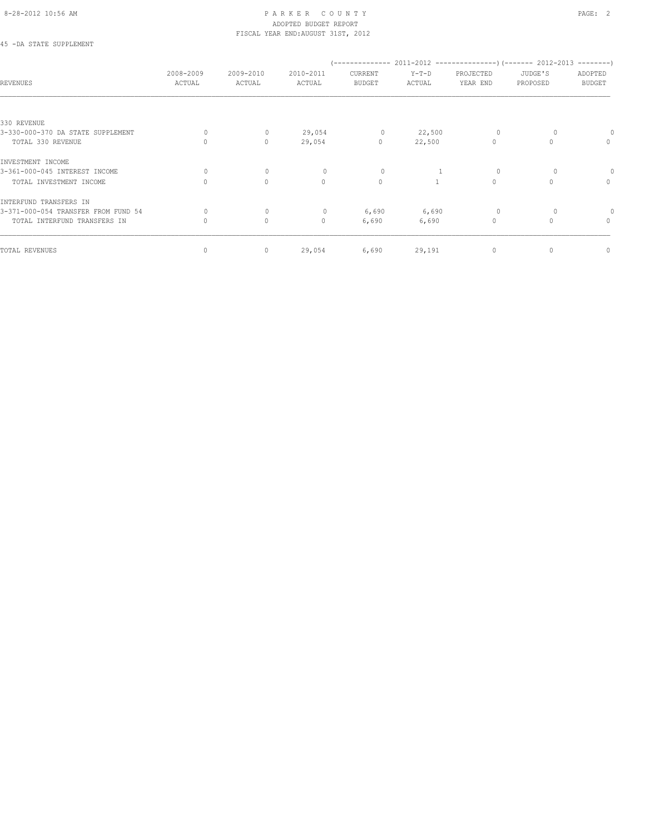# 8-28-2012 10:56 AM PAGE: 2 ADOPTED BUDGET REPORT FISCAL YEAR END:AUGUST 31ST, 2012

# 45 -DA STATE SUPPLEMENT

| <b>REVENUES</b>                     | 2008-2009<br>ACTUAL | 2009-2010<br>ACTUAL | 2010-2011<br>ACTUAL | ______________<br>CURRENT<br><b>BUDGET</b> | $Y-T-D$<br>ACTUAL | PROJECTED<br>YEAR END | $2011-2012$ ---------------) (------- 2012-2013 --------)<br>JUDGE'S<br>PROPOSED | ADOPTED<br><b>BUDGET</b> |
|-------------------------------------|---------------------|---------------------|---------------------|--------------------------------------------|-------------------|-----------------------|----------------------------------------------------------------------------------|--------------------------|
|                                     |                     |                     |                     |                                            |                   |                       |                                                                                  |                          |
| 330 REVENUE                         |                     |                     |                     |                                            |                   |                       |                                                                                  |                          |
| 3-330-000-370 DA STATE SUPPLEMENT   | $\Omega$            | $\mathbf{0}$        | 29,054              | $\circ$                                    | 22,500            | 0                     |                                                                                  |                          |
| TOTAL 330 REVENUE                   | $\Omega$            | $\circ$             | 29,054              | $\circ$                                    | 22,500            | $\mathbf{0}$          | $\Omega$                                                                         | $\mathbf{0}$             |
| INVESTMENT INCOME                   |                     |                     |                     |                                            |                   |                       |                                                                                  |                          |
| 3-361-000-045 INTEREST INCOME       | $\Omega$            | $\mathbf{0}$        | $\Omega$            | 0                                          |                   | $\Omega$              |                                                                                  |                          |
| TOTAL INVESTMENT INCOME             | $\Omega$            | $\Omega$            | $\Omega$            | $\circ$                                    |                   | $\Omega$              |                                                                                  | $\circ$                  |
| INTERFUND TRANSFERS IN              |                     |                     |                     |                                            |                   |                       |                                                                                  |                          |
| 3-371-000-054 TRANSFER FROM FUND 54 | 0                   | $\mathbf{0}$        | $\circ$             | 6,690                                      | 6,690             | $\circ$               |                                                                                  |                          |
| TOTAL INTERFUND TRANSFERS IN        | 0                   | $\circ$             | $\circ$             | 6,690                                      | 6,690             | $\Omega$              |                                                                                  | $\mathbf{0}$             |
| TOTAL REVENUES                      | 0                   | 0                   | 29,054              | 6,690                                      | 29,191            | $\mathbf 0$           | 0                                                                                | $\mathbf{0}$             |
|                                     |                     |                     |                     |                                            |                   |                       |                                                                                  |                          |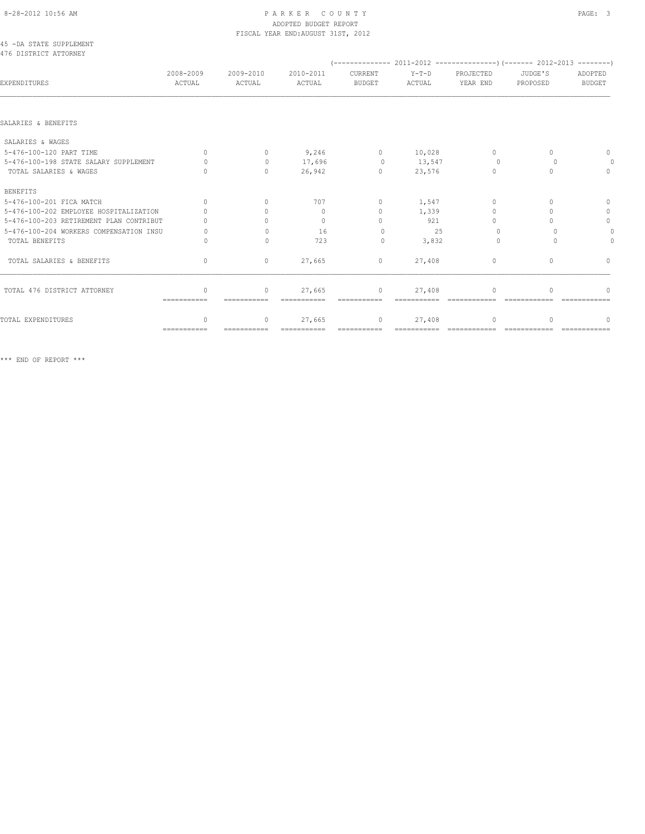# 8-28-2012 10:56 AM PAGE: 3 ADOPTED BUDGET REPORT

|                                                  |                     |                                  | FISCAL YEAR END: AUGUST 31ST, 2012 |                              |                   |                                  |                                  |                          |
|--------------------------------------------------|---------------------|----------------------------------|------------------------------------|------------------------------|-------------------|----------------------------------|----------------------------------|--------------------------|
| 45 -DA STATE SUPPLEMENT<br>476 DISTRICT ATTORNEY |                     |                                  |                                    |                              |                   |                                  |                                  |                          |
| EXPENDITURES                                     | 2008-2009<br>ACTUAL | 2009-2010<br>ACTUAL              | 2010-2011<br>ACTUAL                | CURRENT<br><b>BUDGET</b>     | $Y-T-D$<br>ACTUAL | PROJECTED<br>YEAR END            | JUDGE'S<br>PROPOSED              | ADOPTED<br><b>BUDGET</b> |
| SALARIES & BENEFITS                              |                     |                                  |                                    |                              |                   |                                  |                                  |                          |
| SALARIES & WAGES                                 |                     |                                  |                                    |                              |                   |                                  |                                  |                          |
| 5-476-100-120 PART TIME                          | $\Omega$            | $\Omega$                         | 9,246                              |                              | $0 \t 10,028$     | $\circ$                          | $\Omega$                         | 0                        |
| 5-476-100-198 STATE SALARY SUPPLEMENT            | $\Omega$            | $\circ$                          | 17,696                             | $\circ$                      | 13,547            | $\circ$                          | $\Omega$                         | $\theta$                 |
| TOTAL SALARIES & WAGES                           | $\Omega$            | $\mathbf{0}$                     | 26,942                             | $\circ$                      | 23,576            | $\circ$                          | $\mathbf{0}$                     | $\circ$                  |
| <b>BENEFITS</b>                                  |                     |                                  |                                    |                              |                   |                                  |                                  |                          |
| 5-476-100-201 FICA MATCH                         | $\Omega$            | $\mathbf{0}$                     | 707                                | $\circ$                      | 1,547             | $\mathbf{0}$                     | $\begin{array}{c} \n\end{array}$ | $\mathbf{0}$             |
| 5-476-100-202 EMPLOYEE HOSPITALIZATION           |                     | $\begin{array}{c} \n\end{array}$ | $\circ$                            | $\circ$                      | 1,339             | $\begin{array}{c} \n\end{array}$ | 0                                | $\mathbf{0}$             |
| 5-476-100-203 RETIREMENT PLAN CONTRIBUT          |                     | $\begin{array}{c} \n\end{array}$ | $\circ$                            | $\Omega$                     | 921               | $\Omega$                         |                                  | $\mathbf 0$              |
| 5-476-100-204 WORKERS COMPENSATION INSU          | $\cap$              | $\Omega$                         | 16                                 | $\Omega$                     | 25                | $\Omega$                         |                                  | $\circ$                  |
| TOTAL BENEFITS                                   | $\Omega$            | $\Omega$                         | 723                                | $\circ$                      | 3,832             | $\circ$                          | $\Omega$                         | 0                        |
| TOTAL SALARIES & BENEFITS                        | $\circ$             | $\circ$                          | 27,665                             | $\circ$                      | 27,408            | $\mathbf{0}$                     | $\mathbf{0}$                     | $\mathbf{0}$             |
| TOTAL 476 DISTRICT ATTORNEY                      | 0<br>===========    | $\mathbf{0}$<br>------------     | 27,665<br>------------             | $\mathbf{0}$<br>------------ | 27,408            | 0                                |                                  |                          |
| TOTAL EXPENDITURES                               | $\circ$             | $\circ$                          | 27,665                             | $\circ$                      | 27,408            | $\mathbf{0}$                     | $\mathbf{0}$                     | $\circ$                  |

=========== =========== =========== =========== =========== ============ ============ ============

\*\*\* END OF REPORT \*\*\*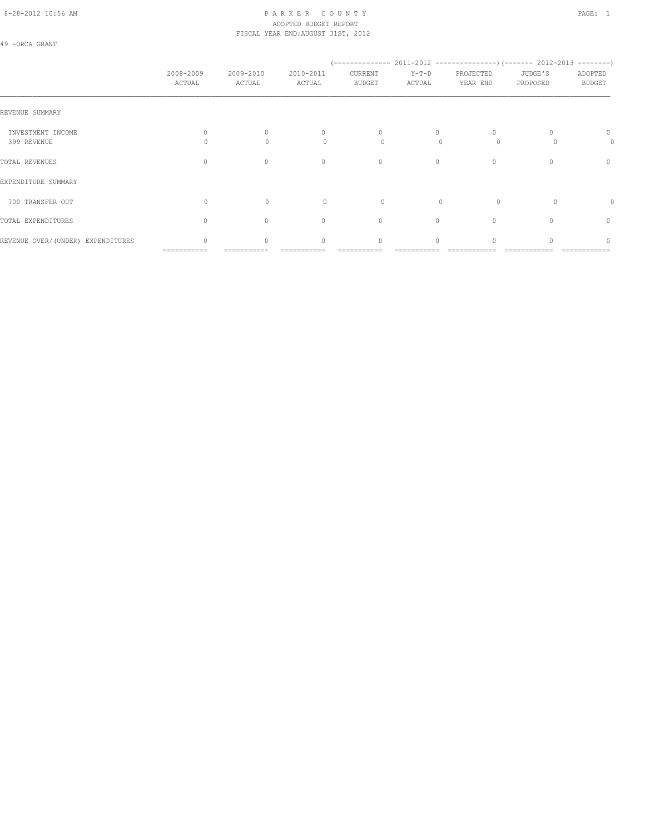# 8-28-2012 10:56 AM PAGE: 1 PAR K E R C O U N T Y ADOPTED BUDGET REPORT FISCAL YEAR END:AUGUST 31ST, 2012

49 -ORCA GRANT

|                                   | 2008-2009<br>ACTUAL | 2009-2010<br>ACTUAL | 2010-2011<br>ACTUAL      | CURRENT<br><b>BUDGET</b> | $Y-T-D$<br>ACTUAL | PROJECTED<br>YEAR END   | JUDGE'S<br>PROPOSED | ADOPTED<br><b>BUDGET</b> |
|-----------------------------------|---------------------|---------------------|--------------------------|--------------------------|-------------------|-------------------------|---------------------|--------------------------|
| REVENUE SUMMARY                   |                     |                     |                          |                          |                   |                         |                     |                          |
| INVESTMENT INCOME<br>399 REVENUE  | 0<br>0              | $\circ$<br>$\Omega$ | $\mathbf{0}$<br>$\Omega$ | $\circ$<br>0             | 0<br>$\Omega$     | $\mathbf{0}$<br>$\circ$ |                     | $\mathbf{0}$<br>0        |
| TOTAL REVENUES                    | $\mathbf{0}$        | $\mathbf{0}$        | $\mathbf{0}$             | $\circ$                  | $\circ$           | $\mathbf{0}$            | $\mathbf{0}$        | 0                        |
| EXPENDITURE SUMMARY               |                     |                     |                          |                          |                   |                         |                     |                          |
| 700 TRANSFER OUT                  | 0                   | $\circ$             | $\circ$                  | $\circ$                  | $\mathbf{0}$      | $\circ$                 | $\circ$             | 0                        |
| TOTAL EXPENDITURES                | $\circ$             | $\mathbf{0}$        | $\circ$                  | $\circ$                  | 0                 | $\mathbf{0}$            | 0                   | 0                        |
| REVENUE OVER/(UNDER) EXPENDITURES | 0                   | $\circ$             | $\mathbf{0}$             | 0                        | $\circ$           | 0                       |                     | $\circ$                  |

=========== =========== =========== =========== =========== ============ ============ ============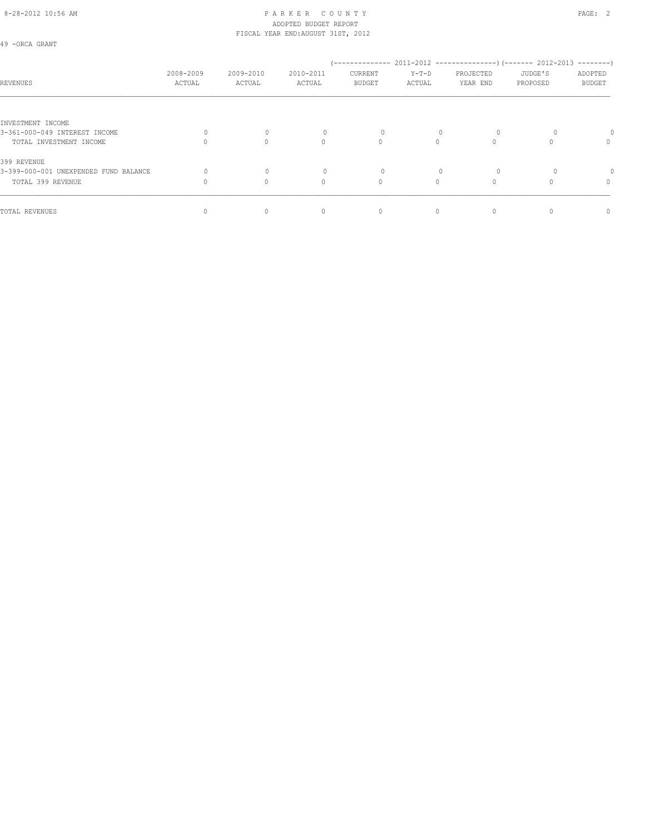### 8-28-2012 10:56 AM PAGE: 2 ADOPTED BUDGET REPORT FISCAL YEAR END:AUGUST 31ST, 2012

49 -ORCA GRANT

| REVENUES                              | 2008-2009<br>ACTUAL | 2009-2010<br>ACTUAL | 2010-2011<br>ACTUAL | CURRENT<br><b>BUDGET</b> | $Y-T-D$<br>ACTUAL | PROJECTED<br>YEAR END | JUDGE'S<br>PROPOSED | ADOPTED<br>BUDGET |
|---------------------------------------|---------------------|---------------------|---------------------|--------------------------|-------------------|-----------------------|---------------------|-------------------|
|                                       |                     |                     |                     |                          |                   |                       |                     |                   |
| INVESTMENT INCOME                     |                     |                     |                     |                          |                   |                       |                     |                   |
| 3-361-000-049 INTEREST INCOME         |                     |                     |                     |                          |                   | $\Omega$              |                     |                   |
| TOTAL INVESTMENT INCOME               |                     | 0                   | 0                   | $\circ$                  |                   |                       |                     | 0                 |
| 399 REVENUE                           |                     |                     |                     |                          |                   |                       |                     |                   |
| 3-399-000-001 UNEXPENDED FUND BALANCE |                     |                     |                     |                          |                   | $\Omega$              |                     |                   |
| TOTAL 399 REVENUE                     |                     | $\Omega$            | 0                   | $\circ$                  | $\Omega$          |                       |                     | $\mathbf{0}$      |
| TOTAL REVENUES                        |                     |                     | 0                   | 0                        | 0                 |                       |                     | 0                 |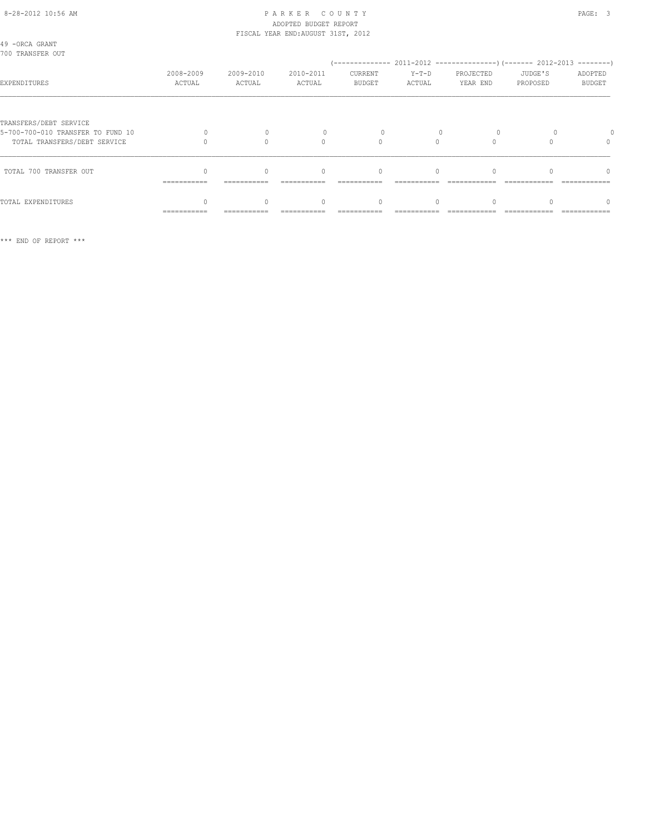### 8-28-2012 10:56 AM PAGE: 3 ADOPTED BUDGET REPORT FISCAL YEAR END:AUGUST 31ST, 2012

| 49 - ORCA GRANT<br>700 TRANSFER OUT                                                         |                     |                     |                     |                          |                   |                       |                     |                          |
|---------------------------------------------------------------------------------------------|---------------------|---------------------|---------------------|--------------------------|-------------------|-----------------------|---------------------|--------------------------|
| EXPENDITURES                                                                                | 2008-2009<br>ACTUAL | 2009-2010<br>ACTUAL | 2010-2011<br>ACTUAL | CURRENT<br><b>BUDGET</b> | $Y-T-D$<br>ACTUAL | PROJECTED<br>YEAR END | JUDGE'S<br>PROPOSED | ADOPTED<br><b>BUDGET</b> |
| TRANSFERS/DEBT SERVICE<br>5-700-700-010 TRANSFER TO FUND 10<br>TOTAL TRANSFERS/DEBT SERVICE |                     |                     | $\Omega$            |                          |                   |                       |                     |                          |
| TOTAL 700 TRANSFER OUT                                                                      | ===========         |                     | $\bigcap$           | $\Omega$                 | $\cap$            |                       |                     | $\cap$                   |
| TOTAL EXPENDITURES                                                                          | ===========         |                     |                     | $\Omega$                 |                   |                       |                     |                          |

\*\*\* END OF REPORT \*\*\*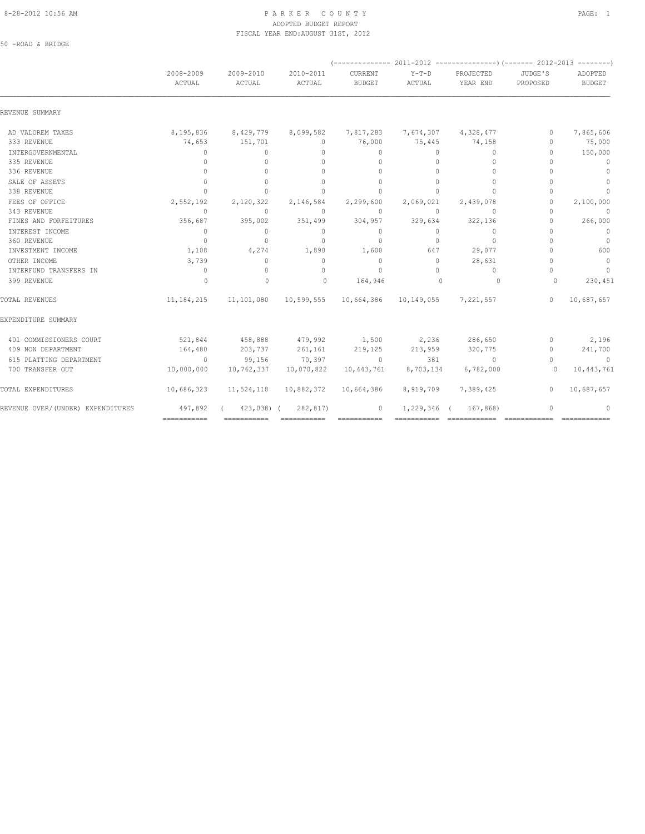### 8-28-2012 10:56 AM PAGE: 1 PAR K E R C O U N T Y ADOPTED BUDGET REPORT FISCAL YEAR END:AUGUST 31ST, 2012

50 -ROAD & BRIDGE

|                                   | 2008-2009<br>ACTUAL              | 2009-2010<br>ACTUAL                           | 2010-2011<br>ACTUAL                                    | CURRENT<br><b>BUDGET</b> | $Y-T-D$<br>ACTUAL | PROJECTED<br>YEAR END            | JUDGE'S<br>PROPOSED              | ADOPTED<br><b>BUDGET</b> |  |
|-----------------------------------|----------------------------------|-----------------------------------------------|--------------------------------------------------------|--------------------------|-------------------|----------------------------------|----------------------------------|--------------------------|--|
| REVENUE SUMMARY                   |                                  |                                               |                                                        |                          |                   |                                  |                                  |                          |  |
| AD VALOREM TAXES                  |                                  | 8,195,836 8,429,779                           | 8,099,582                                              | 7,817,283                |                   | 7,674,307 4,328,477              | $\Omega$                         | 7,865,606                |  |
| 333 REVENUE                       | 74,653                           | 151,701                                       | $\Omega$                                               | 76,000                   | 75,445            | 74,158                           | $\begin{array}{c} \n\end{array}$ | 75,000                   |  |
| INTERGOVERNMENTAL                 | $\mathbf{0}$                     | $\circ$                                       | $\mathbf{0}$                                           | $\Omega$                 | $\circ$           | $\circ$                          | $\begin{array}{c} \n\end{array}$ | 150,000                  |  |
| 335 REVENUE                       | $\mathbf{0}$                     | $\mathbf{0}$                                  | $\Omega$                                               | $\mathbf{0}$             | $\Omega$          | $\circ$                          | $\Omega$                         | $\mathbf 0$              |  |
| 336 REVENUE                       | $\begin{array}{c} \n\end{array}$ | $\begin{array}{c} \n\end{array}$              | $\bigcap$                                              | $\Omega$                 | $\Omega$          | $\mathbf{0}$                     | $\cap$                           | $\circ$                  |  |
| SALE OF ASSETS                    | $\Omega$                         | $\Omega$                                      | $\Omega$                                               | $\Omega$                 | $\Omega$          | $\Omega$                         | $\begin{array}{c} \n\end{array}$ | $\circ$                  |  |
| 338 REVENUE                       | $\begin{array}{c} \n\end{array}$ | $\begin{array}{c} \n\end{array}$              | $\Omega$                                               | $\Omega$                 | $\Omega$          | $\begin{array}{c} \n\end{array}$ | $\begin{array}{c} \n\end{array}$ | $\circ$                  |  |
| FEES OF OFFICE                    | 2,552,192                        | 2,120,322                                     | 2,146,584                                              | 2,299,600                | 2,069,021         | 2,439,078                        | $\begin{array}{c} \n\end{array}$ | 2,100,000                |  |
| 343 REVENUE                       | $\Omega$                         | $\Omega$                                      | $\Omega$                                               | $\Omega$                 | $\Omega$          | $\circ$                          | $\begin{array}{c} \n\end{array}$ | $\overline{0}$           |  |
| FINES AND FORFEITURES             | 356,687                          | 395,002                                       | 351,499                                                | 304,957                  | 329,634           | 322,136                          | $\begin{array}{c} \n\end{array}$ | 266,000                  |  |
| INTEREST INCOME                   | $\Omega$                         | $\circ$                                       | $\Omega$                                               | $\Omega$                 | $\Omega$          | $\circ$                          | $\begin{array}{c} \n\end{array}$ | $\overline{0}$           |  |
| 360 REVENUE                       | $\overline{0}$                   | $\circ$                                       | $\Omega$                                               | $\circ$                  | $\Omega$          | $\circ$                          | $\bigcap$                        | $\overline{0}$           |  |
| INVESTMENT INCOME                 | 1,108                            | 4,274                                         | 1,890                                                  | 1,600                    | 647               | 29,077                           | $\begin{array}{c} \n\end{array}$ | 600                      |  |
| OTHER INCOME                      | 3,739                            | $\circ$                                       | $\circ$                                                | $\circ$                  | $\Omega$          | 28,631                           | $\Omega$                         | $\overline{0}$           |  |
| INTERFUND TRANSFERS IN            | $\circ$                          | $\Omega$                                      | $\Omega$                                               | $\overline{0}$           | $\Omega$          | $\Omega$                         | $\Omega$                         | $\overline{0}$           |  |
| 399 REVENUE                       | $\circ$                          | $\mathbf 0$                                   | $\bigcirc$                                             | 164,946                  | $\mathbf{0}$      | $\overline{0}$                   | $\Omega$                         | 230,451                  |  |
| TOTAL REVENUES                    | 11, 184, 215                     |                                               | 11, 101, 080  10, 599, 555  10, 664, 386  10, 149, 055 |                          |                   | 7,221,557                        | $\Omega$                         | 10,687,657               |  |
| EXPENDITURE SUMMARY               |                                  |                                               |                                                        |                          |                   |                                  |                                  |                          |  |
| 401 COMMISSIONERS COURT           |                                  | $521,844$ $458,888$ $479,992$ $1,500$ $2,236$ |                                                        |                          |                   | 286,650                          | $\circ$                          | 2,196                    |  |
| 409 NON DEPARTMENT                | 164,480                          | 203,737                                       | 261,161                                                | 219,125                  | 213,959           | 320,775                          | $\circ$                          | 241,700                  |  |
| 615 PLATTING DEPARTMENT           | $\sim$ 0 $\sim$ 0 $\sim$         | 99,156                                        | 70,397                                                 | $\sim$ 0                 | 381               | $\sim$ 0                         | $\mathbf{0}$                     | $\sim$ 0                 |  |
| 700 TRANSFER OUT                  | 10,000,000                       | 10,762,337                                    | 10,070,822                                             | 10,443,761               | 8,703,134         | 6,782,000                        | $\Omega$                         | 10,443,761               |  |
| TOTAL EXPENDITURES                | 10,686,323                       | 11,524,118                                    | 10,882,372                                             | 10,664,386               | 8,919,709         | 7,389,425                        | $\circ$                          | 10,687,657               |  |
| REVENUE OVER/(UNDER) EXPENDITURES | 497,892                          | $423,038$ (                                   | 282,817)                                               | $\circ$                  | 1,229,346 (       | 167,868)                         | $\Omega$                         | $\mathbf{0}$             |  |
|                                   | ===========                      |                                               | ============  ============                             |                          |                   |                                  |                                  |                          |  |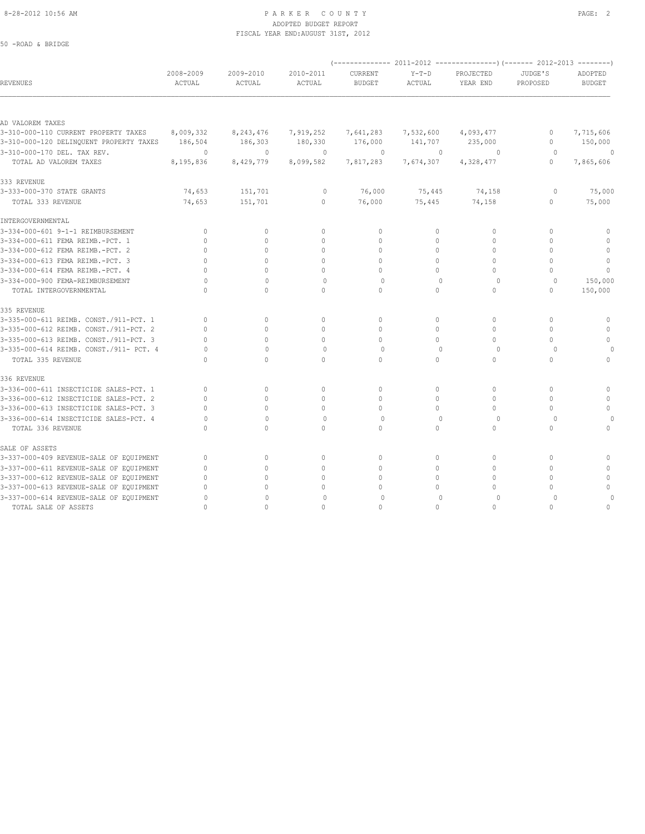#### 8-28-2012 10:56 AM PAGE: 2 ADOPTED BUDGET REPORT FISCAL YEAR END:AUGUST 31ST, 2012

| 50 -ROAD & BRIDGE                       |                     |                     |                     |                          |                   |                       |                     |                          |
|-----------------------------------------|---------------------|---------------------|---------------------|--------------------------|-------------------|-----------------------|---------------------|--------------------------|
|                                         |                     |                     |                     |                          |                   |                       |                     |                          |
| REVENUES                                | 2008-2009<br>ACTUAL | 2009-2010<br>ACTUAL | 2010-2011<br>ACTUAL | CURRENT<br><b>BUDGET</b> | $Y-T-D$<br>ACTUAL | PROJECTED<br>YEAR END | JUDGE'S<br>PROPOSED | ADOPTED<br><b>BUDGET</b> |
|                                         |                     |                     |                     |                          |                   |                       |                     |                          |
| AD VALOREM TAXES                        |                     |                     |                     |                          |                   |                       |                     |                          |
| 3-310-000-110 CURRENT PROPERTY TAXES    | 8,009,332           | 8,243,476           | 7,919,252           | 7,641,283                | 7,532,600         | 4,093,477             | 0                   | 7,715,606                |
| 3-310-000-120 DELINQUENT PROPERTY TAXES | 186,504             | 186,303             | 180,330             | 176,000                  | 141,707           | 235,000               | $\mathbf{0}$        | 150,000                  |
| 3-310-000-170 DEL. TAX REV.             | 0                   | $\mathbf{0}$        | $\mathbf{0}$        | 0                        | $\mathbf{0}$      | $\circ$               | $\circ$             | $\circ$                  |
| TOTAL AD VALOREM TAXES                  | 8,195,836           | 8,429,779           | 8,099,582           | 7,817,283                | 7,674,307         | 4,328,477             | $\mathbf{0}$        | 7,865,606                |
| 333 REVENUE                             |                     |                     |                     |                          |                   |                       |                     |                          |
| 3-333-000-370 STATE GRANTS              | 74,653              | 151,701             | 0                   | 76,000                   | 75,445            | 74,158                | 0                   | 75,000                   |
| TOTAL 333 REVENUE                       | 74,653              | 151,701             | 0                   | 76,000                   | 75,445            | 74,158                | 0                   | 75,000                   |
| INTERGOVERNMENTAL                       |                     |                     |                     |                          |                   |                       |                     |                          |
| 3-334-000-601 9-1-1 REIMBURSEMENT       | $\mathbf{0}$        | $\mathbf{0}$        | $\mathbf{0}$        | $\mathbf{0}$             | 0                 | $\circ$               | $\mathbf{0}$        | 0                        |
| 3-334-000-611 FEMA REIMB.-PCT. 1        | $\mathbf{0}$        | $\circ$             | 0                   | $\mathbf{0}$             | 0                 | $\mathbf{0}$          | $\mathbf{0}$        | $\mathbb O$              |
| 3-334-000-612 FEMA REIMB.-PCT. 2        | $\Omega$            | $\circ$             | 0                   | 0                        | $\circ$           | $\mathbf{0}$          | $\Omega$            | $\mathbb O$              |
| 3-334-000-613 FEMA REIMB.-PCT. 3        | $\cap$              | $\circ$             | $\mathbf{0}$        | $\mathbf{0}$             | $\circ$           | $\mathbf{0}$          | $\Omega$            | $\mathbb O$              |
| 3-334-000-614 FEMA REIMB.-PCT. 4        | $\Omega$            | $\Omega$            | 0                   | $\mathbf{0}$             | $\circ$           | $\mathbf{0}$          | $\Omega$            | $\mathbb O$              |
| 3-334-000-900 FEMA-REIMBURSEMENT        | O                   | $\Omega$            | $\Omega$            | $\Omega$                 | $\bigcap$         | $\Omega$              | $\Omega$            | 150,000                  |
| TOTAL INTERGOVERNMENTAL                 | $\Omega$            | $\circ$             | $\Omega$            | $\circ$                  | $\circ$           | $\mathbf{0}$          | $\mathbf{0}$        | 150,000                  |
| 335 REVENUE                             |                     |                     |                     |                          |                   |                       |                     |                          |
| 3-335-000-611 REIMB. CONST./911-PCT. 1  | $\mathbf{0}$        | $\circ$             | $\mathbf{0}$        | $\mathbf{0}$             | $\circ$           | $\mathbf{0}$          | $\mathbf{0}$        | $\circ$                  |
| 3-335-000-612 REIMB. CONST./911-PCT. 2  | $\mathbf{0}$        | $\circ$             | 0                   | $\mathbf{0}$             | $\circ$           | $\mathbf{0}$          | $\mathbf{0}$        | $\mathbf{0}$             |
| 3-335-000-613 REIMB. CONST./911-PCT. 3  | $\mathbf{0}$        | $\Omega$            | $\mathbf{0}$        | $\mathbf{0}$             | $\circ$           | $\mathbf{0}$          | $\Omega$            | $\circ$                  |
| 3-335-000-614 REIMB. CONST./911- PCT. 4 | $\Omega$            | $\mathbf{0}$        | $\circ$             | $\circ$                  | $\mathbf{0}$      | $\circ$               | $\circ$             |                          |
| TOTAL 335 REVENUE                       | $\cap$              | $\Omega$            | $\Omega$            | $\circ$                  | 0                 | $\mathbf{0}$          | $\mathbf{0}$        | $\circ$                  |
| 336 REVENUE                             |                     |                     |                     |                          |                   |                       |                     |                          |
| 3-336-000-611 INSECTICIDE SALES-PCT. 1  | $\mathbf{0}$        | $\circ$             | $\mathbf{0}$        | $\mathbf{0}$             | $\circ$           | $\mathbf{0}$          | $\mathbf{0}$        | $\mathbf 0$              |
| 3-336-000-612 INSECTICIDE SALES-PCT. 2  | $\Omega$            | $\circ$             | 0                   | $\mathbf{0}$             | $\circ$           | $\mathbf{0}$          | $\mathbf{0}$        | $\mathbf{0}$             |
| 3-336-000-613 INSECTICIDE SALES-PCT. 3  | $\Omega$            | $\circ$             | 0                   | $\mathbf{0}$             | $\circ$           | $\mathbf{0}$          | $\mathbf{0}$        | $\mathbb O$              |
| 3-336-000-614 INSECTICIDE SALES-PCT. 4  | $\Omega$            | $\mathbf{0}$        | $\circ$             | $\circ$                  | $\mathbf{0}$      | $\circ$               | $\Omega$            |                          |
| TOTAL 336 REVENUE                       | $\mathbf{0}$        | $\circ$             | 0                   | $\circ$                  | $\circ$           | $\circ$               | $\mathbf{0}$        | $\circ$                  |
| SALE OF ASSETS                          |                     |                     |                     |                          |                   |                       |                     |                          |
| 3-337-000-409 REVENUE-SALE OF EQUIPMENT | $\mathbf{0}$        | $\circ$             | $\mathbf{0}$        | $\circ$                  | 0                 | $\mathbf 0$           | $\mathbf{0}$        | $\Omega$                 |
| 3-337-000-611 REVENUE-SALE OF EQUIPMENT | $\Omega$            | $\circ$             | 0                   | 0                        | 0                 | 0                     | $\mathbf{0}$        | $\mathbf{0}$             |
| 3-337-000-612 REVENUE-SALE OF EQUIPMENT | $\mathbf{0}$        | $\Omega$            | 0                   | $\cap$                   | $\circ$           | $\mathbf{0}$          | $\mathbf{0}$        | $\mathbf 0$              |
| 3-337-000-613 REVENUE-SALE OF EQUIPMENT | $\Omega$            | $\circ$             | 0                   | 0                        | 0                 | $\Omega$              | $\mathbf{0}$        | $\Omega$                 |
| 3-337-000-614 REVENUE-SALE OF EQUIPMENT | $\Omega$            | $\Omega$            | $\Omega$            | $\circ$                  | $\bigcap$         | $\circ$               | $\Omega$            | $\circ$                  |
| TOTAL SALE OF ASSETS                    | $\cap$              | $\cap$              | $\cap$              | $\cap$                   | $\cap$            | $\Omega$              | $\bigcap$           | $\mathbf{0}$             |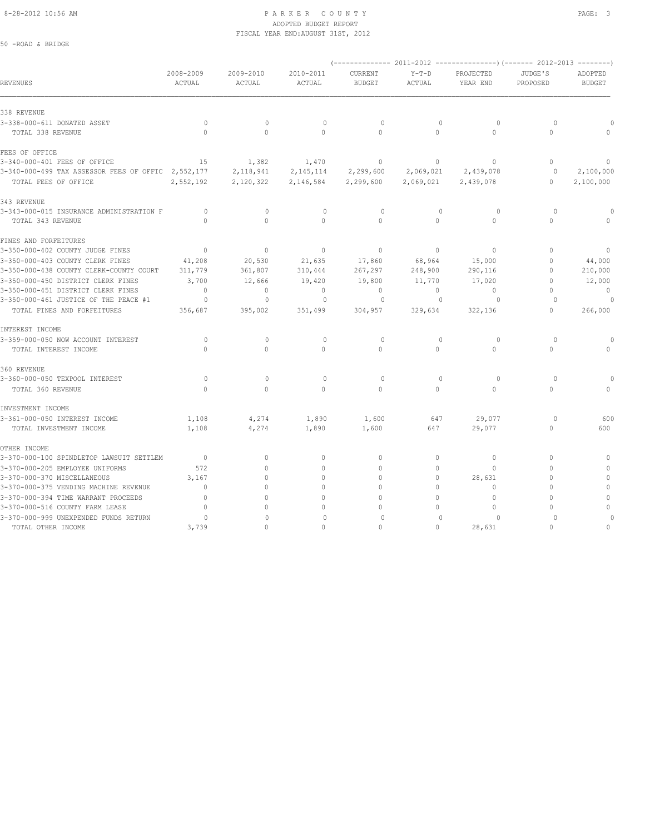### 8-28-2012 10:56 AM PAGE: 3 ADOPTED BUDGET REPORT FISCAL YEAR END:AUGUST 31ST, 2012

50 -ROAD & BRIDGE

|                                                    |                     |                     |                     |                          |                   | (------------- 2011-2012 ---------------) (------- 2012-2013 --------) |                     |                          |
|----------------------------------------------------|---------------------|---------------------|---------------------|--------------------------|-------------------|------------------------------------------------------------------------|---------------------|--------------------------|
| REVENUES                                           | 2008-2009<br>ACTUAL | 2009-2010<br>ACTUAL | 2010-2011<br>ACTUAL | CURRENT<br><b>BUDGET</b> | $Y-T-D$<br>ACTUAL | PROJECTED<br>YEAR END                                                  | JUDGE'S<br>PROPOSED | ADOPTED<br><b>BUDGET</b> |
| 338 REVENUE                                        |                     |                     |                     |                          |                   |                                                                        |                     |                          |
| 3-338-000-611 DONATED ASSET                        | 0                   | $\mathbf 0$         | 0                   | $\circ$                  | $\mathbf 0$       | $\circ$                                                                | $\circ$             |                          |
| TOTAL 338 REVENUE                                  | $\circ$             | $\circ$             | $\mathbf{0}$        | $\circ$                  | $\circ$           | $\circ$                                                                | $\circ$             |                          |
| FEES OF OFFICE                                     |                     |                     |                     |                          |                   |                                                                        |                     |                          |
| 3-340-000-401 FEES OF OFFICE                       | 15                  | 1,382               | 1,470               | $\mathbf 0$              | $\circ$           | $\mathbf{0}$                                                           | $\mathbf{0}$        | 0                        |
| 3-340-000-499 TAX ASSESSOR FEES OF OFFIC 2,552,177 |                     | 2,118,941           | 2, 145, 114         | 2,299,600                | 2,069,021         | 2,439,078                                                              | $\circ$             | 2,100,000                |
| TOTAL FEES OF OFFICE                               | 2,552,192           | 2,120,322           | 2,146,584           | 2,299,600                | 2,069,021         | 2,439,078                                                              | $\mathbf{0}$        | 2,100,000                |
| 343 REVENUE                                        |                     |                     |                     |                          |                   |                                                                        |                     |                          |
| 3-343-000-015 INSURANCE ADMINISTRATION F           | 0                   | $\mathbf 0$         | 0                   | $\circ$                  | $\mathbf{0}$      | $\circ$                                                                | $\circ$             |                          |
| TOTAL 343 REVENUE                                  | $\Omega$            | $\Omega$            | $\Omega$            | $\circ$                  | $\circ$           | $\Omega$                                                               | $\Omega$            |                          |
| FINES AND FORFEITURES                              |                     |                     |                     |                          |                   |                                                                        |                     |                          |
| 3-350-000-402 COUNTY JUDGE FINES                   | $\overline{0}$      | $\circ$             | $\circ$             | $\mathbf 0$              | $\circ$           | $\circ$                                                                | $\mathbf{0}$        |                          |
| 3-350-000-403 COUNTY CLERK FINES                   | 41,208              | 20,530              | 21,635              | 17,860                   | 68,964            | 15,000                                                                 | $\mathbf{0}$        | 44,000                   |
| 3-350-000-438 COUNTY CLERK-COUNTY COURT            | 311,779             | 361,807             | 310,444             | 267,297                  | 248,900           | 290,116                                                                | $\mathbf{0}$        | 210,000                  |
| 3-350-000-450 DISTRICT CLERK FINES                 | 3,700               | 12,666              | 19,420              | 19,800                   | 11,770            | 17,020                                                                 | $\Omega$            | 12,000                   |
| 3-350-000-451 DISTRICT CLERK FINES                 | $\mathbf{0}$        | $\mathbf{0}$        | $\circ$             | $\circ$                  | $\circ$           | $\mathbf{0}$                                                           | $\Omega$            | $\circ$                  |
| 3-350-000-461 JUSTICE OF THE PEACE #1              | 0                   | $\circ$             | $\circ$             | 0                        | $\mathbf{0}$      | $\circ$                                                                | $\Omega$            |                          |
| TOTAL FINES AND FORFEITURES                        | 356,687             | 395,002             | 351,499             | 304,957                  | 329,634           | 322,136                                                                | $\circ$             | 266,000                  |
| INTEREST INCOME                                    |                     |                     |                     |                          |                   |                                                                        |                     |                          |
| 3-359-000-050 NOW ACCOUNT INTEREST                 | $\circ$             | $\mathbf{0}$        | $\mathbf{0}$        | $\circ$                  | $\mathbf{0}$      | $\circ$                                                                | $\Omega$            |                          |
| TOTAL INTEREST INCOME                              | $\Omega$            | $\circ$             | $\circ$             | $\circ$                  | $\circ$           | $\circ$                                                                | $\Omega$            |                          |
| 360 REVENUE                                        |                     |                     |                     |                          |                   |                                                                        |                     |                          |
| 3-360-000-050 TEXPOOL INTEREST                     | $\circ$             | $\mathbf{0}$        | $\circ$             | $\circ$                  | $\Omega$          | $\Omega$                                                               | $\Omega$            |                          |
| TOTAL 360 REVENUE                                  | $\Omega$            | $\Omega$            | $\Omega$            | $\Omega$                 | $\Omega$          | $\Omega$                                                               | $\Omega$            |                          |
| INVESTMENT INCOME                                  |                     |                     |                     |                          |                   |                                                                        |                     |                          |
| 3-361-000-050 INTEREST INCOME                      | 1,108               | 4,274               | 1,890               | 1,600                    | 647               | 29,077                                                                 | $\circ$             | 600                      |
| TOTAL INVESTMENT INCOME                            | 1,108               | 4,274               | 1,890               | 1,600                    | 647               | 29,077                                                                 | $\Omega$            | 600                      |
| OTHER INCOME                                       |                     |                     |                     |                          |                   |                                                                        |                     |                          |
| 3-370-000-100 SPINDLETOP LAWSUIT SETTLEM           | $\overline{0}$      | $\circ$             | $\circ$             | $\mathbf{0}$             | $\circ$           | $\mathbf{0}$                                                           | $\Omega$            | $\Omega$                 |
| 3-370-000-205 EMPLOYEE UNIFORMS                    | 572                 | $\Omega$            | $\Omega$            | $\Omega$                 | $\circ$           | $\Omega$                                                               | $\Omega$            |                          |
| 3-370-000-370 MISCELLANEOUS                        | 3,167               | $\Omega$            | $\Omega$            | $\Omega$                 | $\Omega$          | 28,631                                                                 | $\Omega$            |                          |
| 3-370-000-375 VENDING MACHINE REVENUE              | $\Omega$            |                     | $\Omega$            |                          | $\Omega$          | $\Omega$                                                               | $\cap$              |                          |
| 3-370-000-394 TIME WARRANT PROCEEDS                | $\mathbf{0}$        | $\cap$              | $\Omega$            | $\cap$                   | $\Omega$          | $\mathbf{0}$                                                           | $\cap$              | $\Omega$                 |
| 3-370-000-516 COUNTY FARM LEASE                    | $\mathbf{0}$        | $\cap$              | 0                   | $\cap$                   | $\circ$           | $\Omega$                                                               | $\bigcap$           |                          |
| 3-370-000-999 UNEXPENDED FUNDS RETURN              | $\circ$             | $\cap$              | $\Omega$            | $\Omega$                 | $\Omega$          | $\Omega$                                                               | $\cap$              |                          |
| TOTAL OTHER INCOME                                 | 3,739               | $\Omega$            | $\cap$              | $\cap$                   | $\bigcap$         | 28,631                                                                 | $\Omega$            | $\Omega$                 |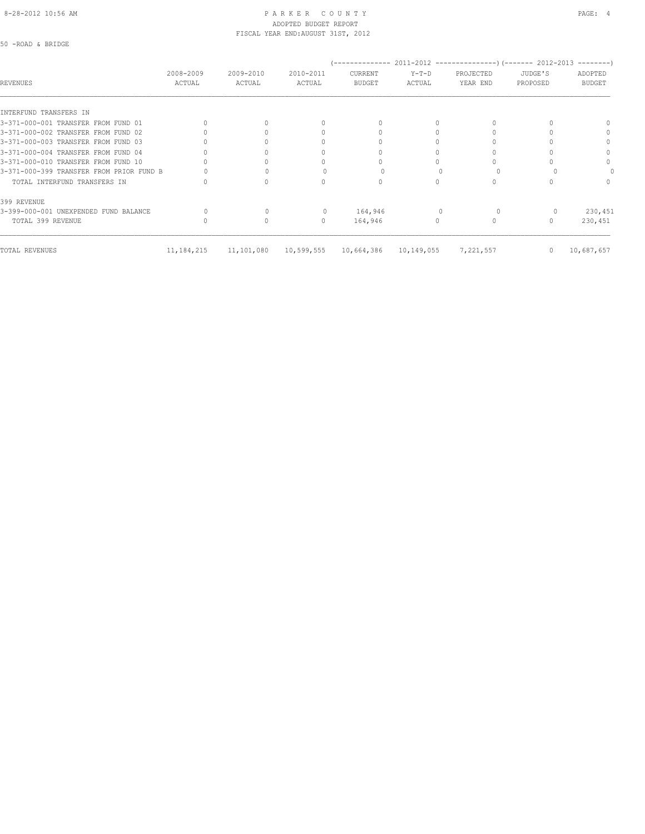### 8-28-2012 10:56 AM PAGE: 4 ADOPTED BUDGET REPORT FISCAL YEAR END:AUGUST 31ST, 2012

50 -ROAD & BRIDGE

|                                          |                     |                     |                     | '--------------          |                   | 2011-2012 ----------------------- 2012-2013 |                     | ---------                |
|------------------------------------------|---------------------|---------------------|---------------------|--------------------------|-------------------|---------------------------------------------|---------------------|--------------------------|
| <b>REVENUES</b>                          | 2008-2009<br>ACTUAL | 2009-2010<br>ACTUAL | 2010-2011<br>ACTUAL | CURRENT<br><b>BUDGET</b> | $Y-T-D$<br>ACTUAL | PROJECTED<br>YEAR END                       | JUDGE'S<br>PROPOSED | ADOPTED<br><b>BUDGET</b> |
|                                          |                     |                     |                     |                          |                   |                                             |                     |                          |
| INTERFUND TRANSFERS IN                   |                     |                     |                     |                          |                   |                                             |                     |                          |
| 3-371-000-001 TRANSFER FROM FUND 01      |                     |                     | $\cap$              | $\Omega$                 |                   |                                             |                     |                          |
| 3-371-000-002 TRANSFER FROM FUND 02      |                     |                     | 0                   |                          |                   |                                             |                     | $\Omega$                 |
| 3-371-000-003 TRANSFER FROM FUND 03      |                     |                     |                     |                          |                   |                                             |                     | $\Omega$                 |
| 3-371-000-004 TRANSFER FROM FUND 04      |                     |                     | $\cap$              |                          |                   |                                             |                     |                          |
| 3-371-000-010 TRANSFER FROM FUND 10      |                     |                     |                     |                          |                   |                                             |                     | $\Omega$                 |
| 3-371-000-399 TRANSFER FROM PRIOR FUND B |                     |                     |                     |                          |                   |                                             |                     |                          |
| TOTAL INTERFUND TRANSFERS IN             |                     |                     | 0                   | $\Omega$                 |                   |                                             |                     | $\Omega$                 |
| 399 REVENUE                              |                     |                     |                     |                          |                   |                                             |                     |                          |
| 3-399-000-001 UNEXPENDED FUND BALANCE    |                     |                     |                     | 164,946                  |                   |                                             |                     | 230,451                  |
| TOTAL 399 REVENUE                        |                     | $\Omega$            | $\mathbf{0}$        | 164,946                  | 0                 |                                             |                     | 230,451                  |
| TOTAL REVENUES                           | 11, 184, 215        | 11,101,080          | 10,599,555          | 10,664,386               | 10,149,055        | 7,221,557                                   | $\mathbf{0}$        | 10,687,657               |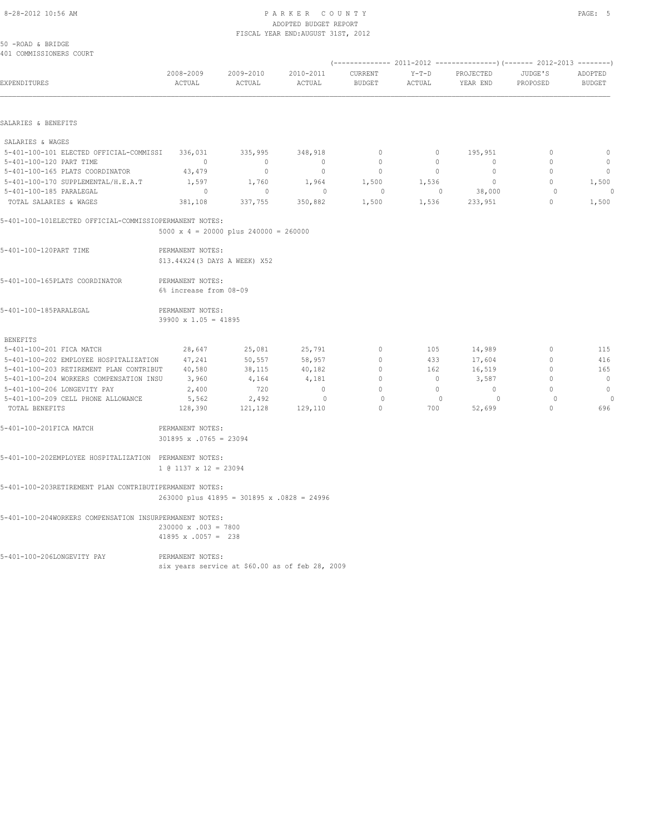#### 8-28-2012 10:56 AM P A R K E R C O U N T Y PAGE: 5 ADOPTED BUDGET REPORT FISCAL YEAR END:AUGUST 31ST, 2012

EXPENDITURES ACTUAL ACTUAL ACTUAL BUDGET ACTUAL YEAR END PROPOSED BUDGET

| 50 -ROAD & BRIDGE<br>401 COMMISSIONERS COURT |           |           |           |         |         |           |         |         |
|----------------------------------------------|-----------|-----------|-----------|---------|---------|-----------|---------|---------|
|                                              |           |           |           |         |         |           |         |         |
|                                              | 2008-2009 | 2009-2010 | 2010-2011 | CURRENT | $Y-T-D$ | PROJECTED | JUDGE'S | ADOPTED |

| SALARIES & | <b>RENEFITS</b> |
|------------|-----------------|

| SALARIES & WAGES                        |         |         |         |       |       |         |          |
|-----------------------------------------|---------|---------|---------|-------|-------|---------|----------|
| 5-401-100-101 ELECTED OFFICIAL-COMMISSI | 336,031 | 335,995 | 348,918 |       |       | 195,951 | $\Omega$ |
| 5-401-100-120 PART TIME                 |         |         | 0       | 0     |       |         | $\Omega$ |
| 5-401-100-165 PLATS COORDINATOR         | 43,479  |         | 0       | 0     |       |         | $\Omega$ |
| 5-401-100-170 SUPPLEMENTAL/H.E.A.T      | 1,597   | 1,760   | 1,964   | 1,500 | 1,536 |         | 1,500    |
| 5-401-100-185 PARALEGAL                 |         |         |         |       |       | 38,000  |          |
| TOTAL SALARIES & WAGES                  | 381,108 | 337,755 | 350,882 | 1,500 | 1,536 | 233,951 | 1,500    |

5-401-100-101ELECTED OFFICIAL-COMMISSIOPERMANENT NOTES:

5000 x 4 = 20000 plus 240000 = 260000

| 5-401-100-120PART TIME         | PERMANENT NOTES:<br>\$13.44X24(3 DAYS A WEEK) X52 |  |  |
|--------------------------------|---------------------------------------------------|--|--|
| 5-401-100-165PLATS COORDINATOR | PERMANENT NOTES:                                  |  |  |

 6% increase from 08-09 5-401-100-185PARALEGAL PERMANENT NOTES:

39900 x 1.05 = 41895

| <b>BENEFITS</b>                         |         |         |         |    |     |        |          |
|-----------------------------------------|---------|---------|---------|----|-----|--------|----------|
| 5-401-100-201 FICA MATCH                | 28,647  | 25,081  | 25,791  | 0  | 105 | 14,989 | 115      |
| 5-401-100-202 EMPLOYEE HOSPITALIZATION  | 47.241  | 50,557  | 58,957  | 0. | 433 | 17,604 | 416      |
| 5-401-100-203 RETIREMENT PLAN CONTRIBUT | 40,580  | 38,115  | 40,182  | 0. | 162 | 16,519 | 165      |
| 5-401-100-204 WORKERS COMPENSATION INSU | 3,960   | 4,164   | 4,181   | 0  |     | 3,587  | $\Omega$ |
| 5-401-100-206 LONGEVITY PAY             | 2,400   | 720     | n.      | 0. |     |        |          |
| 5-401-100-209 CELL PHONE ALLOWANCE      | 5,562   | 2,492   |         |    |     |        |          |
| TOTAL BENEFITS                          | 128,390 | 121,128 | 129,110 |    | 700 | 52,699 | 696      |

| 5-401-100-201FICA MATCH | PERMANENT NOTES:              |
|-------------------------|-------------------------------|
|                         | $301895 \times .0765 = 23094$ |

5-401-100-202EMPLOYEE HOSPITALIZATION PERMANENT NOTES: 1 @ 1137 x 12 = 23094

5-401-100-203RETIREMENT PLAN CONTRIBUTIPERMANENT NOTES:

263000 plus 41895 = 301895 x .0828 = 24996

5-401-100-204WORKERS COMPENSATION INSURPERMANENT NOTES: 230000 x .003 = 7800 41895 x .0057 = 238

5-401-100-206LONGEVITY PAY PERMANENT NOTES: six years service at \$60.00 as of feb 28, 2009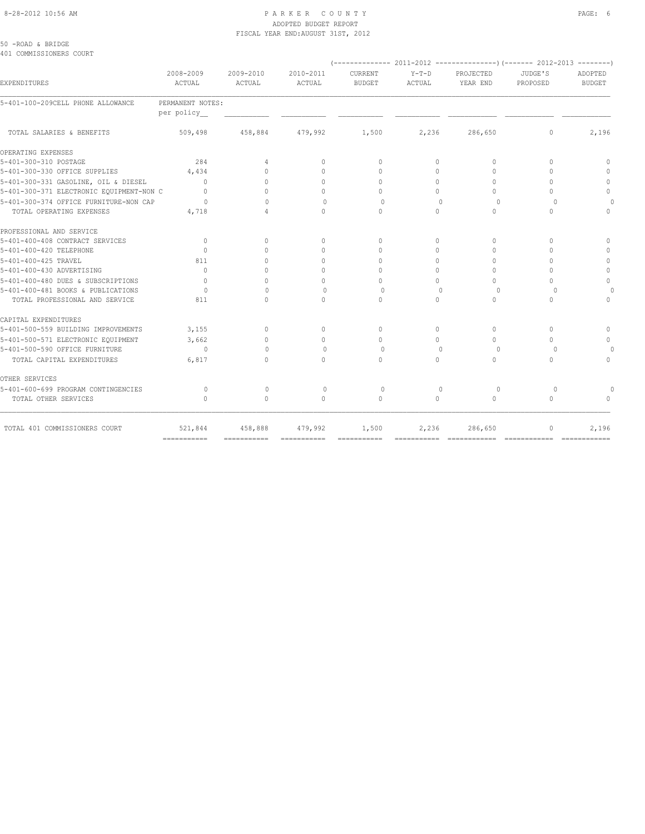### 8-28-2012 10:56 AM PAGE: 6 ADOPTED BUDGET REPORT FISCAL YEAR END:AUGUST 31ST, 2012

50 -ROAD & BRIDGE 401 COMMISSIONERS COURT

| EXPENDITURES                             | 2008-2009<br>ACTUAL | 2009-2010<br>ACTUAL | 2010-2011<br>ACTUAL              | CURRENT<br><b>BUDGET</b> | $Y-T-D$<br>ACTUAL | PROJECTED<br>YEAR END            | JUDGE'S<br>PROPOSED              | ADOPTED<br><b>BUDGET</b> |
|------------------------------------------|---------------------|---------------------|----------------------------------|--------------------------|-------------------|----------------------------------|----------------------------------|--------------------------|
| 5-401-100-209CELL PHONE ALLOWANCE        | PERMANENT NOTES:    |                     |                                  |                          |                   |                                  |                                  |                          |
|                                          | per policy          |                     |                                  |                          |                   |                                  |                                  |                          |
| TOTAL SALARIES & BENEFITS                | 509,498             | 458,884             | 479,992                          | 1,500                    | 2,236             | 286,650                          | 0                                | 2,196                    |
| OPERATING EXPENSES                       |                     |                     |                                  |                          |                   |                                  |                                  |                          |
| 5-401-300-310 POSTAGE                    | 284                 | 4                   | 0                                | $\Omega$                 | $\circ$           | $\Omega$                         | $\Omega$                         | $\Omega$                 |
| 5-401-300-330 OFFICE SUPPLIES            | 4,434               | $\bigcap$           | $\Omega$                         | $\Omega$                 | $\Omega$          | $\Omega$                         | $\Omega$                         | $\Omega$                 |
| 5-401-300-331 GASOLINE, OIL & DIESEL     | $\Omega$            | $\bigcap$           | $\Omega$                         | $\Omega$                 | $\Omega$          | $\Omega$                         | $\Omega$                         | $\Omega$                 |
| 5-401-300-371 ELECTRONIC EQUIPMENT-NON C | $\Omega$            | $\bigcap$           | $\Omega$                         | $\bigcap$                | $\Omega$          | $\cap$                           | $\bigcap$                        | $\mathbf{0}$             |
| 5-401-300-374 OFFICE FURNITURE-NON CAP   | $\circ$             | $\cap$              | $\begin{array}{c} \n\end{array}$ | $\Omega$                 | $\cap$            | $\Omega$                         | $\Omega$                         |                          |
| TOTAL OPERATING EXPENSES                 | 4,718               |                     | $\Omega$                         | $\cap$                   | $\Omega$          | $\Omega$                         | $\Omega$                         | $\circ$                  |
| PROFESSIONAL AND SERVICE                 |                     |                     |                                  |                          |                   |                                  |                                  |                          |
| 5-401-400-408 CONTRACT SERVICES          | $\mathbf{0}$        | $\Omega$            | $\circ$                          | $\Omega$                 | $\circ$           | $\mathbf{0}$                     | $\begin{array}{c} \n\end{array}$ |                          |
| 5-401-400-420 TELEPHONE                  | $\Omega$            | $\Omega$            | $\Omega$                         | $\Omega$                 | $\Omega$          | $\begin{array}{c} \n\end{array}$ | $\begin{array}{c} \n\end{array}$ |                          |
| 5-401-400-425 TRAVEL                     | 811                 | $\cap$              | 0                                | $\Omega$                 | $\Omega$          | $\Omega$                         | n                                | $\Omega$                 |
| 5-401-400-430 ADVERTISING                | $\Omega$            |                     | $\Omega$                         | $\Omega$                 | $\Omega$          | $\Omega$                         | n                                | $\Omega$                 |
| 5-401-400-480 DUES & SUBSCRIPTIONS       | $\Omega$            | $\cap$              | $\Omega$                         | $\Omega$                 | $\Omega$          | $\begin{array}{c} \n\end{array}$ | $\begin{array}{c} \n\end{array}$ | $\Omega$                 |
| 5-401-400-481 BOOKS & PUBLICATIONS       | $\Omega$            | $\cap$              | $\Omega$                         | $\Omega$                 | $\Omega$          | $\Omega$                         | $\cap$                           |                          |
| TOTAL PROFESSIONAL AND SERVICE           | 811                 | $\bigcap$           | $\bigcap$                        | $\cap$                   | $\Omega$          | $\bigcap$                        | $\bigcap$                        | $\cap$                   |
| CAPITAL EXPENDITURES                     |                     |                     |                                  |                          |                   |                                  |                                  |                          |
| 5-401-500-559 BUILDING IMPROVEMENTS      | 3,155               | $\Omega$            | $\Omega$                         | $\Omega$                 | $\Omega$          | $\Omega$                         | $\Omega$                         |                          |
| 5-401-500-571 ELECTRONIC EQUIPMENT       | 3,662               | $\cap$              | $\Omega$                         | $\bigcap$                | $\Omega$          | $\bigcap$                        | $\bigcap$                        |                          |
| 5-401-500-590 OFFICE FURNITURE           | $\sim$ 0            | $\bigcap$           | $\Omega$                         | $\Omega$                 | $\Omega$          | $\Omega$                         | $\cup$                           |                          |
| TOTAL CAPITAL EXPENDITURES               | 6,817               | $\bigcap$           | $\Omega$                         | $\cap$                   | $\Omega$          | $\Omega$                         | $\Omega$                         |                          |
| OTHER SERVICES                           |                     |                     |                                  |                          |                   |                                  |                                  |                          |
| 5-401-600-699 PROGRAM CONTINGENCIES      | $\circ$             | $\mathbf{0}$        | $\circ$                          | $\circ$                  | $\mathbf{0}$      | $\circ$                          | $\Omega$                         |                          |
| TOTAL OTHER SERVICES                     | $\Omega$            | $\circ$             | $\circ$                          | $\circ$                  | $\circ$           | $\circ$                          | $\circ$                          |                          |
| TOTAL 401 COMMISSIONERS COURT            | 521,844             | 458,888             | 479,992                          | 1,500                    | 2,236             | 286,650                          | 0                                | 2,196                    |
|                                          | $=$ ===========     | ===========         | ===========                      | ===========              |                   |                                  |                                  | =============            |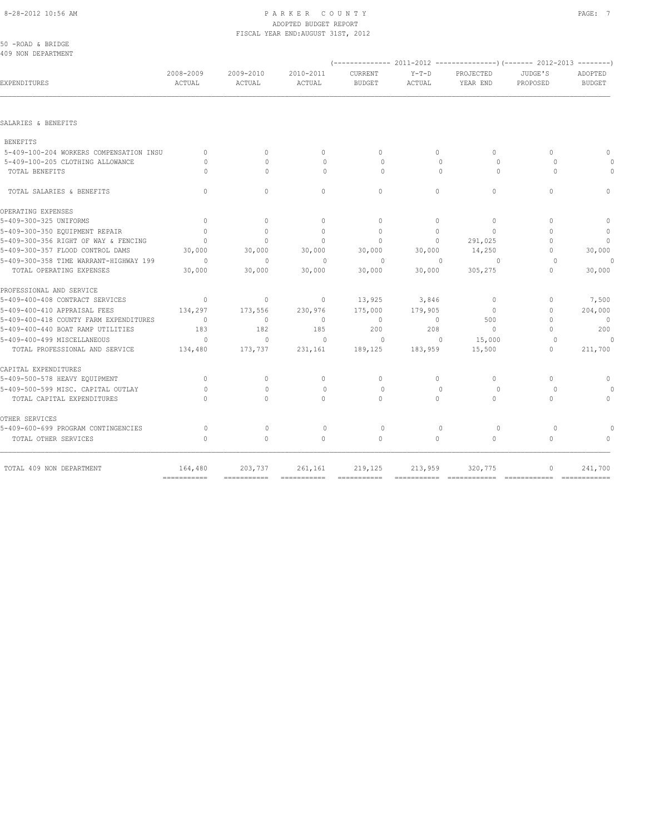### 8-28-2012 10:56 AM P A R K E R C O U N T Y PAGE: 7 ADOPTED BUDGET REPORT FISCAL YEAR END:AUGUST 31ST, 2012

|                          |                                  |                       |                           |                           |                            |                                  |                     | 50 -ROAD & BRIDGE<br>409 NON DEPARTMENT |
|--------------------------|----------------------------------|-----------------------|---------------------------|---------------------------|----------------------------|----------------------------------|---------------------|-----------------------------------------|
| ADOPTED<br><b>BUDGET</b> | JUDGE'S<br>PROPOSED              | PROJECTED<br>YEAR END | $Y-T-D$<br>ACTUAL         | CURRENT<br><b>BUDGET</b>  | 2010-2011<br><b>ACTUAL</b> | 2009-2010<br><b>ACTUAL</b>       | 2008-2009<br>ACTUAL | EXPENDITURES                            |
|                          |                                  |                       |                           |                           |                            |                                  |                     |                                         |
|                          |                                  |                       |                           |                           |                            |                                  |                     | SALARIES & BENEFITS                     |
|                          |                                  |                       |                           |                           |                            |                                  |                     | <b>BENEFITS</b>                         |
|                          | $\begin{array}{c} \n\end{array}$ | $\Omega$              | $\circ$                   | $\mathbf{0}$              | $\mathbf{0}$               | $\Omega$                         | $\circ$             | 5-409-100-204 WORKERS COMPENSATION INSU |
|                          | $\Omega$                         | $\Omega$              | $\Omega$                  | $\Omega$                  | $\Omega$                   | $\bigcap$                        | $\Omega$            | 5-409-100-205 CLOTHING ALLOWANCE        |
| $\Omega$                 | $\Omega$                         | $\circ$               | $\Omega$                  | $\circ$                   | $\Omega$                   | $\Omega$                         | $\Omega$            | TOTAL BENEFITS                          |
| $\Omega$                 | $\Omega$                         | $\Omega$              | $\Omega$                  | $\Omega$                  | $\Omega$                   | $\Omega$                         | $\Omega$            | TOTAL SALARIES & BENEFITS               |
|                          |                                  |                       |                           |                           |                            |                                  |                     | OPERATING EXPENSES                      |
| $\mathbf{0}$             | $\Omega$                         | $\circ$               | $\circ$                   | $\circ$                   | $\circ$                    | $\circ$                          | $\mathbf{0}$        | 5-409-300-325 UNIFORMS                  |
| $\circ$                  | $\Omega$                         | $\Omega$              | $\Omega$                  | $\Omega$                  | $\Omega$                   | $\begin{array}{c} \n\end{array}$ | $\Omega$            | 5-409-300-350 EQUIPMENT REPAIR          |
| $\mathbf{0}$             | $\bigcap$                        | 291,025               | $\circ$                   | $\mathbf{0}$              | $\mathbf{0}$               | $\Omega$                         | $\mathbf{0}$        | 5-409-300-356 RIGHT OF WAY & FENCING    |
| 30,000                   | $\mathbf{0}$                     | 14,250                | 30,000                    | 30,000                    | 30,000                     | 30,000                           | 30,000              | 5-409-300-357 FLOOD CONTROL DAMS        |
| 0                        | $\Omega$                         | $\Omega$              | $\Omega$                  | $\Omega$                  | $\Omega$                   | $\Omega$                         | $\bigcap$           | 5-409-300-358 TIME WARRANT-HIGHWAY 199  |
| 30,000                   | $\Omega$                         | 305,275               | 30,000                    | 30,000                    | 30,000                     | 30,000                           | 30,000              | TOTAL OPERATING EXPENSES                |
|                          |                                  |                       |                           |                           |                            |                                  |                     | PROFESSIONAL AND SERVICE                |
| 7,500                    | $\Omega$                         | $\circ$               | 3,846                     | 13,925                    | $\mathbf{0}$               | $\mathbf{0}$                     | $\mathbf{0}$        | 5-409-400-408 CONTRACT SERVICES         |
| 204,000                  | $\mathbf{0}$                     | $\mathbf{0}$          | 179,905                   | 175,000                   | 230,976                    | 173,556                          | 134,297             | 5-409-400-410 APPRAISAL FEES            |
| $\overline{0}$           | $\Omega$                         | 500                   | $\circ$                   | $\circ$                   | $\mathbf{0}$               | $\circ$                          | $\Omega$            | 5-409-400-418 COUNTY FARM EXPENDITURES  |
| 200                      | $\Omega$                         | $\Omega$              | 208                       | 200                       | 185                        | 182                              | 183                 | 5-409-400-440 BOAT RAMP UTILITIES       |
| $\Omega$                 | $\Omega$                         | 15,000                | $\Omega$                  | $\circ$                   | $\Omega$                   | $\Omega$                         | $\Omega$            | 5-409-400-499 MISCELLANEOUS             |
| 211,700                  | $\Omega$                         | 15,500                | 183,959                   | 189,125                   | 231,161                    | 173,737                          | 134,480             | TOTAL PROFESSIONAL AND SERVICE          |
|                          |                                  |                       |                           |                           |                            |                                  |                     | CAPITAL EXPENDITURES                    |
| $\mathbf{0}$             | $\Omega$                         | $\Omega$              | $\Omega$                  | $\Omega$                  | $\mathbf{0}$               | $\Omega$                         | $\mathbf{0}$        | 5-409-500-578 HEAVY EQUIPMENT           |
|                          | $\Omega$                         | $\Omega$              | $\Omega$                  | $\Omega$                  | $\Omega$                   | $\Omega$                         | $\Omega$            | 5-409-500-599 MISC. CAPITAL OUTLAY      |
| $\Omega$                 | $\Omega$                         | $\Omega$              | $\Omega$                  | $\Omega$                  | $\Omega$                   | $\Omega$                         | $\cap$              | TOTAL CAPITAL EXPENDITURES              |
|                          |                                  |                       |                           |                           |                            |                                  |                     | OTHER SERVICES                          |
|                          | $\Omega$                         | $\circ$               | $\Omega$                  | $\Omega$                  | $\circ$                    | $\Omega$                         | $\Omega$            | 5-409-600-699 PROGRAM CONTINGENCIES     |
| $\Omega$                 | $\Omega$                         | $\Omega$              | $\circ$                   | $\Omega$                  | $\Omega$                   | $\Omega$                         | $\Omega$            | TOTAL OTHER SERVICES                    |
| 241,700                  | $\circ$                          | 320,775               | 213,959                   | 219,125                   | 261,161                    | 203,737                          | 164,480             | TOTAL 409 NON DEPARTMENT                |
|                          | -------------<br>=============   | =============         | $=$ = = = = = = = = = = = | $=$ = = = = = = = = = = = |                            | ===========                      | ===========         |                                         |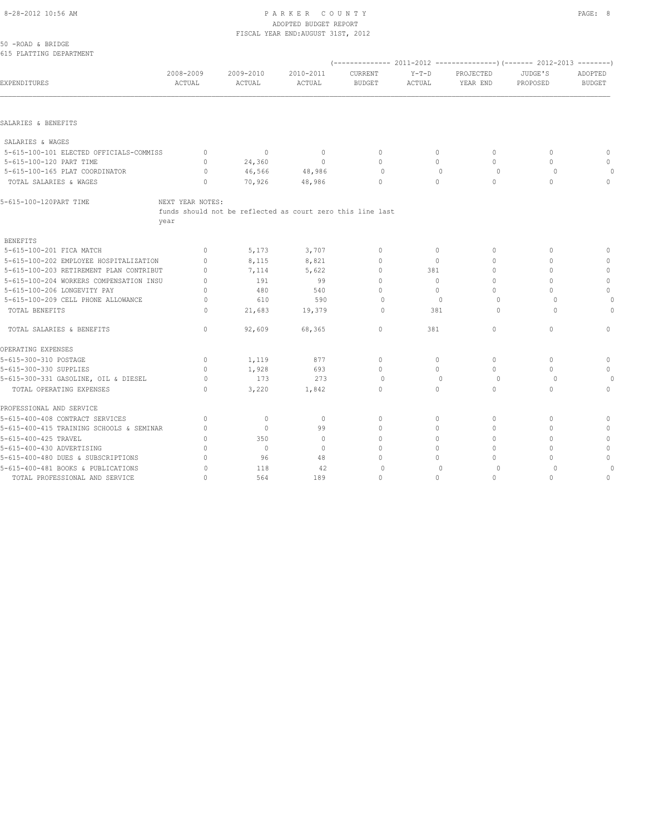# 8-28-2012 10:56 AM PAGE: 8 PAGE: 8 PAGE: 9 ADOPTED BUDGET REPORT

|                                          |                     |                                                            | FISCAL YEAR END: AUGUST 31ST, 2012 |                                  |                   |                                  |                     |                          |
|------------------------------------------|---------------------|------------------------------------------------------------|------------------------------------|----------------------------------|-------------------|----------------------------------|---------------------|--------------------------|
| 50 - ROAD & BRIDGE                       |                     |                                                            |                                    |                                  |                   |                                  |                     |                          |
| 615 PLATTING DEPARTMENT                  |                     |                                                            |                                    |                                  |                   |                                  |                     |                          |
| EXPENDITURES                             | 2008-2009<br>ACTUAL | 2009-2010<br>ACTUAL                                        | 2010-2011<br>ACTUAL                | CURRENT<br><b>BUDGET</b>         | $Y-T-D$<br>ACTUAL | PROJECTED<br>YEAR END            | JUDGE'S<br>PROPOSED | ADOPTED<br><b>BUDGET</b> |
|                                          |                     |                                                            |                                    |                                  |                   |                                  |                     |                          |
| SALARIES & BENEFITS                      |                     |                                                            |                                    |                                  |                   |                                  |                     |                          |
| SALARIES & WAGES                         |                     |                                                            |                                    |                                  |                   |                                  |                     |                          |
| 5-615-100-101 ELECTED OFFICIALS-COMMISS  | $\mathbf{0}$        | $\mathbf{0}$                                               | $\overline{0}$                     | $\mathbf{0}$                     | $\circ$           | $\circ$                          | $\mathbf{0}$        | $\mathbf{0}$             |
| 5-615-100-120 PART TIME                  | $\mathbf{0}$        | 24,360                                                     | $\circ$                            | $\mathbf{0}$                     | $\circ$           | $\Omega$                         | $\mathbf{0}$        | $\mathbf{0}$             |
| 5-615-100-165 PLAT COORDINATOR           | $\circ$             | 46,566                                                     | 48,986                             | $\circ$                          | $\mathbf{0}$      | $\circ$                          | $\Omega$            | $\circ$                  |
| TOTAL SALARIES & WAGES                   | $\Omega$            | 70,926                                                     | 48,986                             | $\Omega$                         | $\Omega$          | $\Omega$                         | $\Omega$            | $\Omega$                 |
| 5-615-100-120PART TIME                   | NEXT YEAR NOTES:    |                                                            |                                    |                                  |                   |                                  |                     |                          |
|                                          |                     | funds should not be reflected as court zero this line last |                                    |                                  |                   |                                  |                     |                          |
|                                          | year                |                                                            |                                    |                                  |                   |                                  |                     |                          |
| <b>BENEFITS</b>                          |                     |                                                            |                                    |                                  |                   |                                  |                     |                          |
| 5-615-100-201 FICA MATCH                 | $\mathbf{0}$        | 5,173                                                      | 3,707                              | $\mathbf{0}$                     | $\circ$           | $\mathbf{0}$                     | $\mathbf{0}$        | $\mathbf 0$              |
| 5-615-100-202 EMPLOYEE HOSPITALIZATION   | $\mathbf{0}$        | 8,115                                                      | 8,821                              | $\circ$                          | $\circ$           | $\mathbf{0}$                     | $\Omega$            | $\mathbf{0}$             |
| 5-615-100-203 RETIREMENT PLAN CONTRIBUT  | $\mathbf{0}$        | 7,114                                                      | 5,622                              | $\mathbf{0}$                     | 381               | $\mathbf{0}$                     | $\mathbf{0}$        | $\mathbf{0}$             |
| 5-615-100-204 WORKERS COMPENSATION INSU  | $\mathbf{0}$        | 191                                                        | 99                                 | $\mathbf{0}$                     | $\circ$           | $\mathbf{0}$                     | $\mathbf{0}$        | $\mathbb O$              |
| 5-615-100-206 LONGEVITY PAY              | $\mathbf{0}$        | 480                                                        | 540                                | $\Omega$                         | $\circ$           | $\Omega$                         | $\Omega$            | $\Omega$                 |
| 5-615-100-209 CELL PHONE ALLOWANCE       | $\circ$             | 610                                                        | 590                                | $\circ$                          | $\mathbf{0}$      | $\Omega$                         | $\Omega$            |                          |
| TOTAL BENEFITS                           | $\Omega$            | 21,683                                                     | 19,379                             | $\Omega$                         | 381               | $\Omega$                         | $\cap$              | $\Omega$                 |
| TOTAL SALARIES & BENEFITS                | $\Omega$            | 92,609                                                     | 68,365                             | $\circ$                          | 381               | $\circ$                          | $\Omega$            | $\circ$                  |
| OPERATING EXPENSES                       |                     |                                                            |                                    |                                  |                   |                                  |                     |                          |
| 5-615-300-310 POSTAGE                    | $\circ$             | 1,119                                                      | 877                                | $\circ$                          | $\circ$           | $\circ$                          | $\mathbf{0}$        | $\mathbb O$              |
| 5-615-300-330 SUPPLIES                   | $\mathbf{0}$        | 1,928                                                      | 693                                | $\circ$                          | $\circ$           | $\circ$                          | $\mathbf{0}$        | $\mathbf{0}$             |
| 5-615-300-331 GASOLINE, OIL & DIESEL     | $\circ$             | 173                                                        | 273                                | $\Omega$                         | $\Omega$          | $\Omega$                         | $\Omega$            | 0                        |
| TOTAL OPERATING EXPENSES                 | $\Omega$            | 3,220                                                      | 1,842                              | $\Omega$                         | $\Omega$          | $\Omega$                         | $\Omega$            | $\Omega$                 |
| PROFESSIONAL AND SERVICE                 |                     |                                                            |                                    |                                  |                   |                                  |                     |                          |
| 5-615-400-408 CONTRACT SERVICES          | $\circ$             | $\circ$                                                    | $\circ$                            | $\mathbf{0}$                     | $\circ$           | $\mathbf{0}$                     | $\mathbf{0}$        | $\mathbf 0$              |
| 5-615-400-415 TRAINING SCHOOLS & SEMINAR | $\mathbf{0}$        | $\circ$                                                    | 99                                 | $\mathbf{0}$                     | $\circ$           | $\Omega$                         | $\Omega$            | $\mathbf{0}$             |
| 5-615-400-425 TRAVEL                     | $\Omega$            | 350                                                        | $\mathbf{0}$                       | $\begin{array}{c} \n\end{array}$ | $\Omega$          | $\Omega$                         | $\Omega$            | $\mathbf{0}$             |
| 5-615-400-430 ADVERTISING                | $\mathbf{0}$        | $\circ$                                                    | $\mathbf{0}$                       | $\Omega$                         | $\circ$           | $\begin{array}{c} \n\end{array}$ | $\Omega$            | $\mathbf{0}$             |
| 5-615-400-480 DUES & SUBSCRIPTIONS       | $\mathbf{0}$        | 96                                                         | 48                                 | 0                                | $\circ$           | $\mathbf{0}$                     | $\mathbf{0}$        | $\mathbb O$              |
| 5-615-400-481 BOOKS & PUBLICATIONS       | $\circ$             | 118                                                        | 42                                 | $\circ$                          | $\mathbf{0}$      | $\circ$                          | $\circ$             |                          |
| TOTAL PROFESSIONAL AND SERVICE           | $\mathbf{0}$        | 564                                                        | 189                                | $\circ$                          | $\circ$           | $\circ$                          | $\mathbf{0}$        | $\mathbf{0}$             |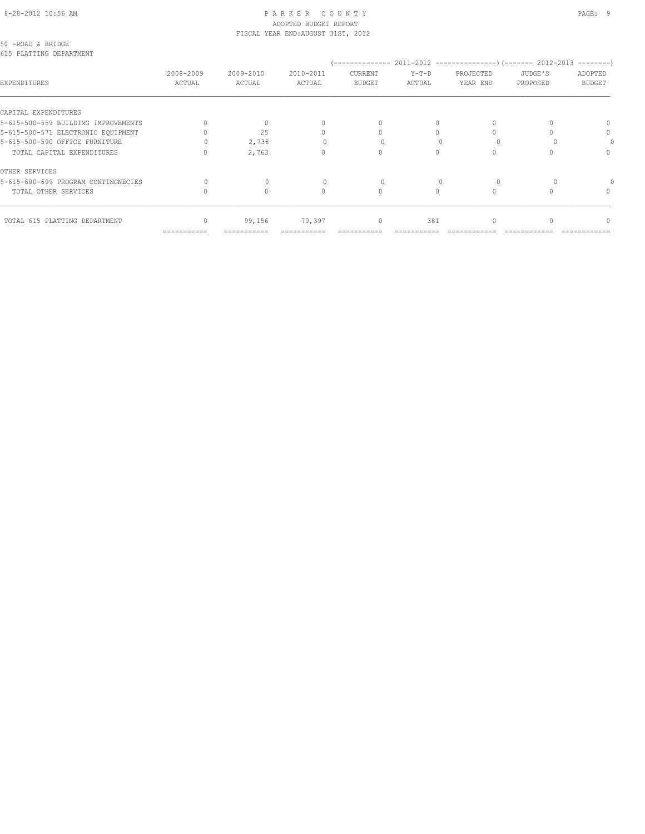#### 8-28-2012 10:56 AM P A R K E R C O U N T Y PAGE: 9 ADOPTED BUDGET REPORT FISCAL YEAR END:AUGUST 31ST, 2012

50 -ROAD & BRIDGE 615 PLATTING DEPARTMENT

| ata t <del>huilteina naitunni</del> int |                     |                     |                     |                          |                   |                       |                     |                          |
|-----------------------------------------|---------------------|---------------------|---------------------|--------------------------|-------------------|-----------------------|---------------------|--------------------------|
| EXPENDITURES                            | 2008-2009<br>ACTUAL | 2009-2010<br>ACTUAL | 2010-2011<br>ACTUAL | CURRENT<br><b>BUDGET</b> | $Y-T-D$<br>ACTUAL | PROJECTED<br>YEAR END | JUDGE'S<br>PROPOSED | ADOPTED<br><b>BUDGET</b> |
| CAPITAL EXPENDITURES                    |                     |                     |                     |                          |                   |                       |                     |                          |
| 5-615-500-559 BUILDING IMPROVEMENTS     |                     |                     |                     | $\Omega$                 | 0                 | 0                     |                     |                          |
| 5-615-500-571 ELECTRONIC EQUIPMENT      |                     | 25                  |                     |                          |                   |                       |                     | $\Omega$                 |
| 5-615-500-590 OFFICE FURNITURE          |                     | 2,738               |                     |                          |                   |                       |                     |                          |
| TOTAL CAPITAL EXPENDITURES              |                     | 2,763               |                     | $\cap$                   |                   |                       |                     | $\cap$                   |
| OTHER SERVICES                          |                     |                     |                     |                          |                   |                       |                     |                          |
| 5-615-600-699 PROGRAM CONTINGNECIES     |                     |                     |                     |                          |                   |                       |                     |                          |
| TOTAL OTHER SERVICES                    |                     |                     |                     | 0                        |                   | $\Omega$              |                     |                          |
| TOTAL 615 PLATTING DEPARTMENT           |                     | 99,156              | 70,397              | $\mathbf{0}$             | 381               | 0                     |                     |                          |
|                                         | ===========         | ===========         |                     |                          |                   |                       |                     |                          |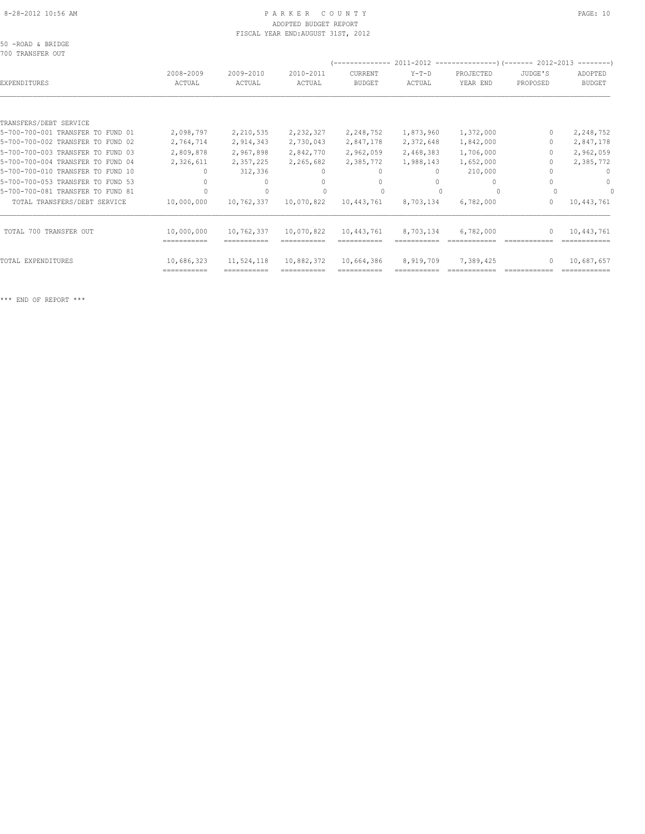# 8-28-2012 10:56 AM P A R K E R C O U N T Y PAGE: 10 ADOPTED BUDGET REPORT FISCAL YEAR END:AUGUST 31ST, 2012

|  |                  |  | 50 -ROAD & BRIDGE |
|--|------------------|--|-------------------|
|  | 700 TRANSFER OUT |  |                   |

| YUU IRANGPER UUI                  |                           |                           |                     |                           |                   |                       |                                  | $------$                 |
|-----------------------------------|---------------------------|---------------------------|---------------------|---------------------------|-------------------|-----------------------|----------------------------------|--------------------------|
| EXPENDITURES                      | 2008-2009<br>ACTUAL       | 2009-2010<br>ACTUAL       | 2010-2011<br>ACTUAL | CURRENT<br><b>BUDGET</b>  | $Y-T-D$<br>ACTUAL | PROJECTED<br>YEAR END | JUDGE'S<br>PROPOSED              | ADOPTED<br><b>BUDGET</b> |
|                                   |                           |                           |                     |                           |                   |                       |                                  |                          |
| TRANSFERS/DEBT SERVICE            |                           |                           |                     |                           |                   |                       |                                  |                          |
| 5-700-700-001 TRANSFER TO FUND 01 | 2,098,797                 | 2,210,535                 | 2,232,327           | 2,248,752                 | 1,873,960         | 1,372,000             |                                  | 2,248,752                |
| 5-700-700-002 TRANSFER TO FUND 02 | 2,764,714                 | 2,914,343                 | 2,730,043           | 2,847,178                 | 2,372,648         | 1,842,000             |                                  | 2,847,178                |
| 5-700-700-003 TRANSFER TO FUND 03 | 2,809,878                 | 2,967,898                 | 2,842,770           | 2,962,059                 | 2,468,383         | 1,706,000             |                                  | 2,962,059                |
| 5-700-700-004 TRANSFER TO FUND 04 | 2,326,611                 | 2,357,225                 | 2,265,682           | 2,385,772                 | 1,988,143         | 1,652,000             |                                  | 2,385,772                |
| 5-700-700-010 TRANSFER TO FUND 10 |                           | 312,336                   | $\Omega$            | $\Omega$                  | $\Omega$          | 210,000               |                                  |                          |
| 5-700-700-053 TRANSFER TO FUND 53 |                           |                           |                     |                           |                   |                       |                                  | $\cap$                   |
| 5-700-700-081 TRANSFER TO FUND 81 |                           |                           |                     |                           |                   |                       |                                  |                          |
| TOTAL TRANSFERS/DEBT SERVICE      | 10,000,000                | 10,762,337                | 10,070,822          | 10,443,761                | 8,703,134         | 6,782,000             | 0                                | 10,443,761               |
| TOTAL 700 TRANSFER OUT            | 10,000,000<br>=========== | 10,762,337                | 10,070,822          | 10,443,761                | 8,703,134         | 6,782,000             | $\begin{array}{c} \n\end{array}$ | 10,443,761               |
| TOTAL EXPENDITURES                | 10,686,323<br>=========== | 11,524,118<br>=========== | 10,882,372          | 10,664,386<br>=========== | 8,919,709         | 7,389,425             | $\begin{array}{c} \n\end{array}$ | 10,687,657               |
|                                   |                           |                           |                     |                           |                   |                       |                                  |                          |

\*\*\* END OF REPORT \*\*\*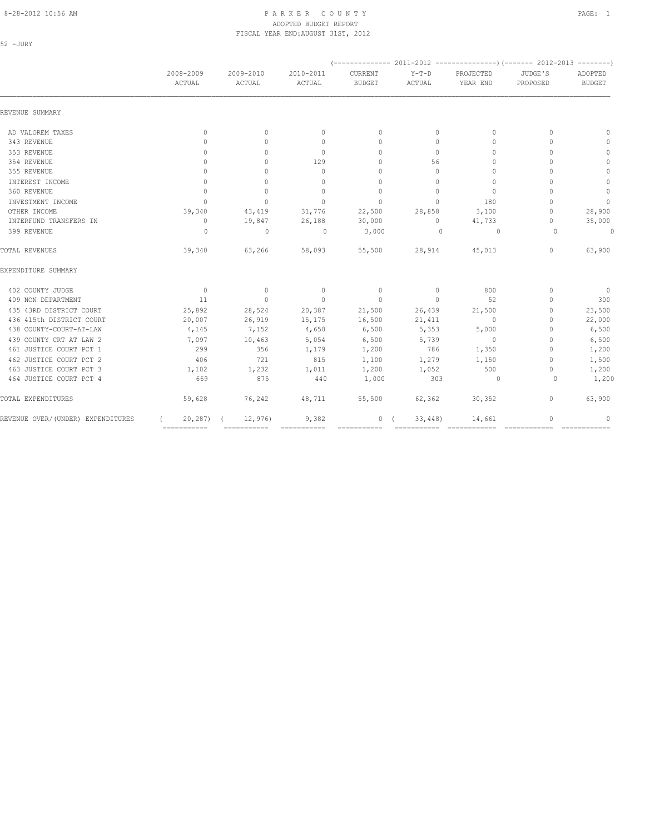#### 8-28-2012 10:56 AM PAGE: 1 ADOPTED BUDGET REPORT FISCAL YEAR END:AUGUST 31ST, 2012

| ×<br>۰. | $\sim$ |  |
|---------|--------|--|
|         |        |  |

|                                    | 2008-2009                 | 2009-2010    | 2010-2011       | <b>CURRENT</b>                   | $Y-T-D$  | PROJECTED      | JUDGE'S                          | ADOPTED        |
|------------------------------------|---------------------------|--------------|-----------------|----------------------------------|----------|----------------|----------------------------------|----------------|
|                                    | ACTUAL                    | ACTUAL       | ACTUAL          | <b>BUDGET</b>                    | ACTUAL   | YEAR END       | PROPOSED                         | <b>BUDGET</b>  |
| REVENUE SUMMARY                    |                           |              |                 |                                  |          |                |                                  |                |
| AD VALOREM TAXES                   | $\mathbf{0}$              | $\circ$      | $\mathbf{0}$    | $\mathbf{0}$                     | $\circ$  | $\mathbf{0}$   | $\mathbf{0}$                     | $\mathbf{0}$   |
| 343 REVENUE                        | $\Omega$                  | $\Omega$     | $\Omega$        | $\begin{array}{c} \n\end{array}$ | $\Omega$ | $\Omega$       | $\Omega$                         | $\mathbf{0}$   |
| 353 REVENUE                        | $\mathbf{0}$              | $\Omega$     | $\mathbf{0}$    | $\Omega$                         | $\circ$  | $\Omega$       | $\Omega$                         | $\circ$        |
| 354 REVENUE                        | 0                         | $\Omega$     | 129             | $\mathbf{0}$                     | 56       | $\mathbf{0}$   | $\bigcap$                        | $\circ$        |
| 355 REVENUE                        | $\Omega$                  | $\bigcap$    | $\Omega$        | $\Omega$                         | $\Omega$ | $\Omega$       | $\bigcap$                        | $\circ$        |
| INTEREST INCOME                    | $\mathbf{0}$              | $\Omega$     | $\Omega$        | $\Omega$                         | $\Omega$ | $\Omega$       | $\bigcap$                        | $\mathbf 0$    |
| 360 REVENUE                        | $\mathbf{0}$              | $\Omega$     | $\Omega$        | $\Omega$                         | $\Omega$ | $\mathbf{0}$   | $\Omega$                         | $\circ$        |
| INVESTMENT INCOME                  | $\mathbf{0}$              | $\mathbf{0}$ | $\mathbf{0}$    | $\mathbf{0}$                     | $\circ$  | 180            | $\bigcap$                        | $\overline{0}$ |
| OTHER INCOME                       | 39,340                    | 43,419       | 31,776          | 22,500                           | 28,858   | 3,100          | $\begin{array}{c} \n\end{array}$ | 28,900         |
| INTERFUND TRANSFERS IN             | $\circ$                   | 19,847       | 26,188          | 30,000                           | $\circ$  | 41,733         | $\begin{array}{c} \n\end{array}$ | 35,000         |
| 399 REVENUE                        | $\circ$                   | $\mathbf{0}$ | $\circ$         | 3,000                            | $\Omega$ | $\overline{0}$ | $\Omega$                         | $\overline{0}$ |
| TOTAL REVENUES                     | 39,340                    | 63,266       | 58,093          | 55,500                           | 28,914   | 45,013         | $\circ$                          | 63,900         |
| EXPENDITURE SUMMARY                |                           |              |                 |                                  |          |                |                                  |                |
| 402 COUNTY JUDGE                   | $\sim$ 0                  | $\circ$      | $\overline{0}$  | $\circ$                          | $\circ$  | 800            | $\mathbf{0}$                     | $\overline{0}$ |
| 409 NON DEPARTMENT                 | 11                        | $\circ$      | $\mathbf{0}$    | $\circ$                          | $\circ$  | 52             | $\Omega$                         | 300            |
| 435 43RD DISTRICT COURT            | 25,892                    | 28,524       | 20,387          | 21,500                           | 26,439   | 21,500         | $\begin{array}{c} \n\end{array}$ | 23,500         |
| 436 415th DISTRICT COURT           | 20,007                    | 26,919       | 15,175          | 16,500                           | 21,411   | $\circ$        | $\mathbf{0}$                     | 22,000         |
| 438 COUNTY-COURT-AT-LAW            | 4,145                     | 7,152        | 4,650           | 6,500                            | 5,353    | 5,000          | $\Omega$                         | 6,500          |
| 439 COUNTY CRT AT LAW 2            | 7,097                     | 10,463       | 5,054           | 6,500                            | 5,739    | $\sim$ 0       | $\Omega$                         | 6,500          |
| 461 JUSTICE COURT PCT 1            | 299                       | 356          | 1,179           | 1,200                            | 786      | 1,350          | $\mathbf{0}$                     | 1,200          |
| 462 JUSTICE COURT PCT 2            | 406                       | 721          | 815             | 1,100                            | 1,279    | 1,150          | $\mathbf{0}$                     | 1,500          |
| 463 JUSTICE COURT PCT 3            | 1,102                     | 1,232        | 1,011           | 1,200                            | 1,052    | 500            | $\begin{array}{c} \n\end{array}$ | 1,200          |
| 464 JUSTICE COURT PCT 4            | 669                       | 875          | 440             | 1,000                            | 303      | $\sim$ 0       | $\Omega$                         | 1,200          |
| TOTAL EXPENDITURES                 | 59,628                    | 76,242       | 48,711          | 55,500                           | 62,362   | 30, 352        | $\circ$                          | 63,900         |
| REVENUE OVER/ (UNDER) EXPENDITURES | $20, 287$ ) (             | 12,976       | 9,382           | 0(                               | 33,448   | 14,661         | 0                                | $\mathbf{0}$   |
|                                    | $=$ = = = = = = = = = = = | ===========  | $=$ =========== | ===========                      |          |                | $=$ =============                |                |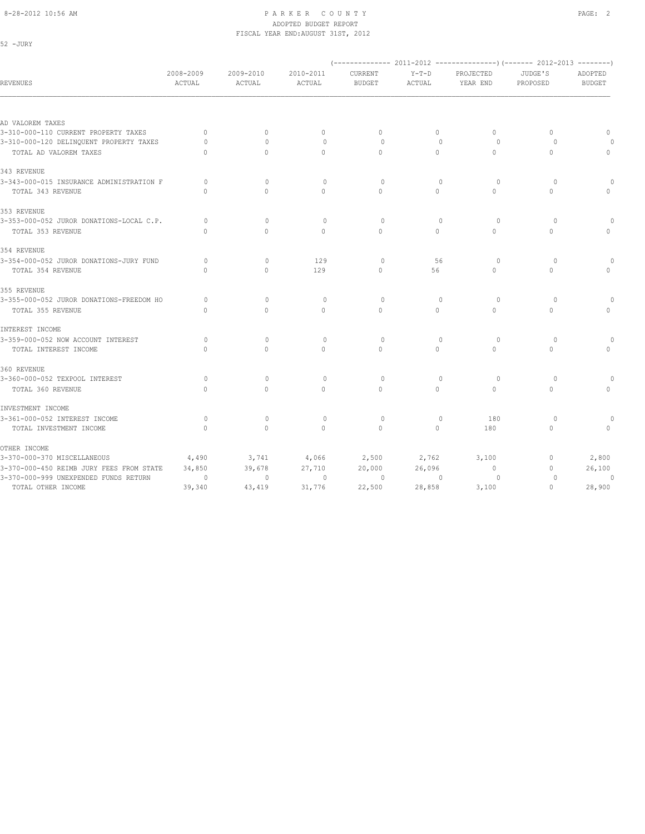52 -JURY

#### 8-28-2012 10:56 AM P A R K E R C O U N T Y PAGE: 2 ADOPTED BUDGET REPORT FISCAL YEAR END:AUGUST 31ST, 2012

| <b>REVENUES</b>                          | 2008-2009<br>ACTUAL | 2009-2010<br>ACTUAL | 2010-2011<br>ACTUAL | <b>CURRENT</b><br><b>BUDGET</b> | $Y-T-D$<br>ACTUAL | PROJECTED<br>YEAR END | JUDGE'S<br>PROPOSED | ADOPTED<br><b>BUDGET</b> |
|------------------------------------------|---------------------|---------------------|---------------------|---------------------------------|-------------------|-----------------------|---------------------|--------------------------|
|                                          |                     |                     |                     |                                 |                   |                       |                     |                          |
| AD VALOREM TAXES                         |                     |                     |                     |                                 |                   |                       |                     |                          |
| 3-310-000-110 CURRENT PROPERTY TAXES     | $\mathbf{0}$        | $\circ$             | $\mathbf{0}$        | $\mathbf{0}$                    | $\circ$           | $\circ$               | $\mathbf{0}$        | $\mathbf{0}$             |
| 3-310-000-120 DELINQUENT PROPERTY TAXES  | $\Omega$            | $\bigcap$           | $\circ$             | $\Omega$                        | $\Omega$          | $\Omega$              | $\Omega$            |                          |
| TOTAL AD VALOREM TAXES                   | $\Omega$            | $\Omega$            | $\Omega$            | $\Omega$                        | $\circ$           | $\Omega$              | $\mathbf{0}$        | $\Omega$                 |
| 343 REVENUE                              |                     |                     |                     |                                 |                   |                       |                     |                          |
| 3-343-000-015 INSURANCE ADMINISTRATION F | $\Omega$            | $\Omega$            | $\circ$             | $\circ$                         | $\mathbf{0}$      | $\circ$               | $\circ$             |                          |
| TOTAL 343 REVENUE                        | $\Omega$            | $\Omega$            | $\Omega$            | $\Omega$                        | $\Omega$          | $\Omega$              | $\Omega$            | $\Omega$                 |
| 353 REVENUE                              |                     |                     |                     |                                 |                   |                       |                     |                          |
| 3-353-000-052 JUROR DONATIONS-LOCAL C.P. | $\Omega$            | $\Omega$            | $\circ$             | $\Omega$                        | $\Omega$          | $\circ$               | $\Omega$            |                          |
| TOTAL 353 REVENUE                        | $\Omega$            | $\Omega$            | $\Omega$            | $\Omega$                        | $\Omega$          | $\Omega$              | $\Omega$            |                          |
| 354 REVENUE                              |                     |                     |                     |                                 |                   |                       |                     |                          |
| 3-354-000-052 JUROR DONATIONS-JURY FUND  | $\Omega$            | $\mathbf{0}$        | 129                 | $\circ$                         | 56                | $\circ$               | $\circ$             |                          |
| TOTAL 354 REVENUE                        | $\Omega$            | $\Omega$            | 129                 | $\Omega$                        | 56                | $\circ$               | $\circ$             |                          |
| 355 REVENUE                              |                     |                     |                     |                                 |                   |                       |                     |                          |
| 3-355-000-052 JUROR DONATIONS-FREEDOM HO | $\Omega$            | $\Omega$            | $\circ$             | $\Omega$                        | $\Omega$          | $\circ$               | $\Omega$            |                          |
| TOTAL 355 REVENUE                        | $\mathbf{0}$        | $\Omega$            | $\circ$             | $\Omega$                        | $\circ$           | $\Omega$              | $\Omega$            | $\cap$                   |
| INTEREST INCOME                          |                     |                     |                     |                                 |                   |                       |                     |                          |
| 3-359-000-052 NOW ACCOUNT INTEREST       | $\Omega$            | $\Omega$            | $\circ$             | $\Omega$                        | $\Omega$          | $\Omega$              | $\Omega$            |                          |
| TOTAL INTEREST INCOME                    | $\Omega$            | $\Omega$            | $\mathbf{0}$        | $\mathbf{0}$                    | $\circ$           | $\mathbf{0}$          | $\mathbf{0}$        |                          |
| 360 REVENUE                              |                     |                     |                     |                                 |                   |                       |                     |                          |
| 3-360-000-052 TEXPOOL INTEREST           | $\circ$             | $\Omega$            | $\circ$             | $\Omega$                        | $\Omega$          | $\circ$               | $\circ$             |                          |
| TOTAL 360 REVENUE                        | $\mathbf{0}$        | $\circ$             | $\circ$             | $\circ$                         | $\circ$           | $\circ$               | $\circ$             |                          |
| INVESTMENT INCOME                        |                     |                     |                     |                                 |                   |                       |                     |                          |
| 3-361-000-052 INTEREST INCOME            | $\circ$             | $\mathbf{0}$        | $\circ$             | $\circ$                         | $\mathbf{0}$      | 180                   | $\Omega$            |                          |
| TOTAL INVESTMENT INCOME                  | $\mathbf{0}$        | $\mathbf{0}$        | $\circ$             | $\mathbf{0}$                    | $\circ$           | 180                   | $\mathbf{0}$        | $\Omega$                 |
| OTHER INCOME                             |                     |                     |                     |                                 |                   |                       |                     |                          |
| 3-370-000-370 MISCELLANEOUS              | 4,490               | 3,741               | 4,066               | 2,500                           | 2,762             | 3,100                 | $\mathbf{0}$        | 2,800                    |
| 3-370-000-450 REIMB JURY FEES FROM STATE | 34,850              | 39,678              | 27,710              | 20,000                          | 26,096            | $\mathbf 0$           | $\mathbf{0}$        | 26,100                   |
| 3-370-000-999 UNEXPENDED FUNDS RETURN    | $\circ$             | $\mathbf{0}$        | $\mathbf{0}$        | $\circ$                         | $\circ$           | $\circ$               | 0                   | 0                        |
| TOTAL OTHER INCOME                       | 39,340              | 43,419              | 31,776              | 22,500                          | 28,858            | 3,100                 | $\mathbf{0}$        | 28,900                   |
|                                          |                     |                     |                     |                                 |                   |                       |                     |                          |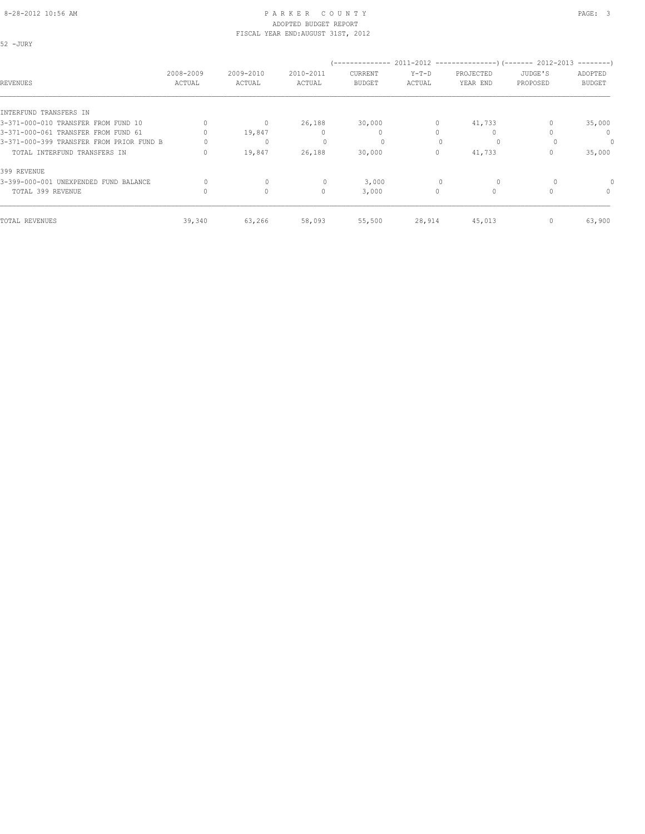## ADOPTED BUDGET REPORT FISCAL YEAR END:AUGUST 31ST, 2012

52 -JURY

| REVENUES                                 | 2008-2009<br>ACTUAL | 2009-2010<br>ACTUAL              | 2010-2011<br>ACTUAL | --------------<br>CURRENT<br><b>BUDGET</b> | $Y-T-D$<br>ACTUAL | 2011-2012 -----------------) (------- 2012-2013<br>PROJECTED<br>YEAR END | JUDGE'S<br>PROPOSED | $------$<br>ADOPTED<br><b>BUDGET</b> |
|------------------------------------------|---------------------|----------------------------------|---------------------|--------------------------------------------|-------------------|--------------------------------------------------------------------------|---------------------|--------------------------------------|
| INTERFUND TRANSFERS IN                   |                     |                                  |                     |                                            |                   |                                                                          |                     |                                      |
| 3-371-000-010 TRANSFER FROM FUND 10      |                     | $\begin{array}{c} \n\end{array}$ | 26,188              | 30,000                                     | $\Omega$          | 41,733                                                                   |                     | 35,000                               |
| 3-371-000-061 TRANSFER FROM FUND 61      |                     | 19,847                           |                     | $\mathbf{0}$                               |                   |                                                                          |                     | $\mathbf{0}$                         |
| 3-371-000-399 TRANSFER FROM PRIOR FUND B |                     | $\mathbf 0$                      |                     | 0                                          |                   | $\Omega$                                                                 |                     | 0                                    |
| TOTAL INTERFUND TRANSFERS IN             | $\Omega$            | 19,847                           | 26,188              | 30,000                                     | 0                 | 41,733                                                                   |                     | 35,000                               |
| 399 REVENUE                              |                     |                                  |                     |                                            |                   |                                                                          |                     |                                      |
| 3-399-000-001 UNEXPENDED FUND BALANCE    |                     | 0                                |                     | 3,000                                      |                   | $\circ$                                                                  |                     |                                      |
| TOTAL 399 REVENUE                        |                     | $\circ$                          | 0                   | 3,000                                      | 0                 | $\Omega$                                                                 |                     | 0                                    |
| TOTAL REVENUES                           | 39,340              | 63,266                           | 58,093              | 55,500                                     | 28,914            | 45,013                                                                   |                     | 63,900                               |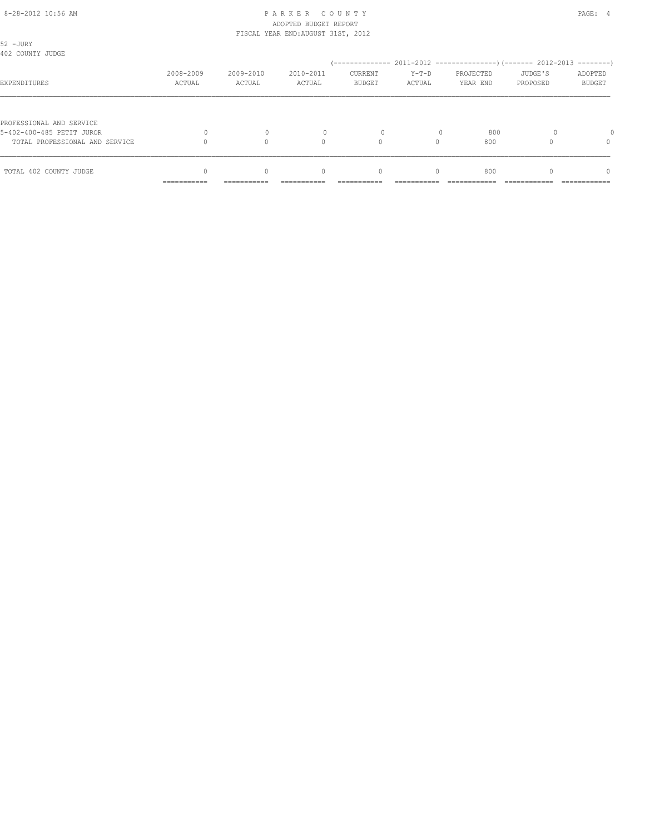### 8-28-2012 10:56 AM PAGE: 4 ADOPTED BUDGET REPORT FISCAL YEAR END:AUGUST 31ST, 2012

| 52 - JURY<br>402 COUNTY JUDGE  |                           |                     |                                  |                                 |                   |                       |                     |                          |
|--------------------------------|---------------------------|---------------------|----------------------------------|---------------------------------|-------------------|-----------------------|---------------------|--------------------------|
| EXPENDITURES                   | 2008-2009<br>ACTUAL       | 2009-2010<br>ACTUAL | 2010-2011<br>ACTUAL              | <b>CURRENT</b><br><b>BUDGET</b> | $Y-T-D$<br>ACTUAL | PROJECTED<br>YEAR END | JUDGE'S<br>PROPOSED | ADOPTED<br><b>BUDGET</b> |
|                                |                           |                     |                                  |                                 |                   |                       |                     |                          |
| PROFESSIONAL AND SERVICE       |                           |                     |                                  |                                 |                   |                       |                     |                          |
| 5-402-400-485 PETIT JUROR      |                           |                     |                                  |                                 |                   | 800                   |                     |                          |
| TOTAL PROFESSIONAL AND SERVICE |                           |                     | U                                | $\Omega$                        |                   | 800                   |                     | $\Omega$                 |
| TOTAL 402 COUNTY JUDGE         |                           | $\Omega$            | $\begin{array}{c} \n\end{array}$ | $\mathbf{0}$                    | $\Omega$          | 800                   |                     | n                        |
|                                | __________<br>----------- | -----------         | ----------                       |                                 |                   |                       |                     | ------------             |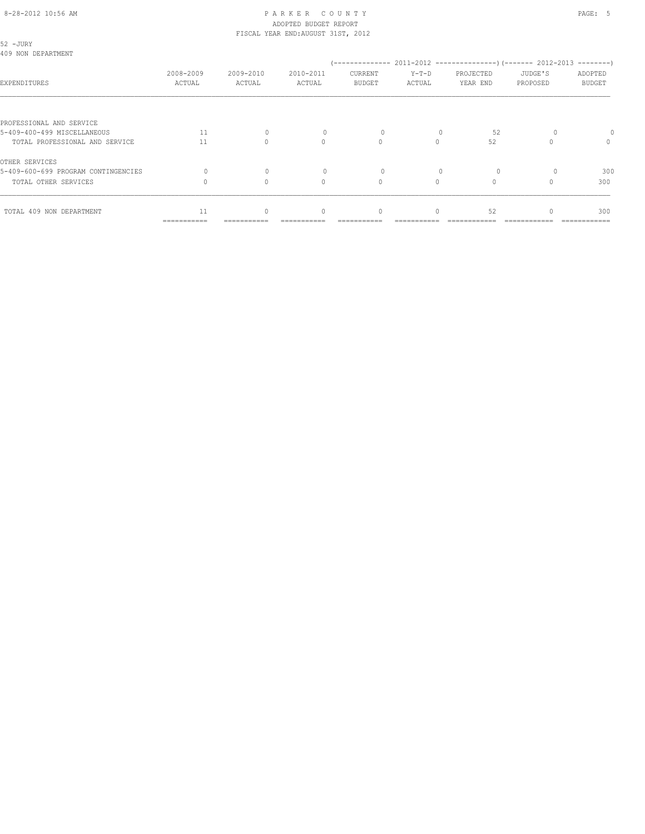#### 8-28-2012 10:56 AM P A R K E R C O U N T Y PAGE: 5 ADOPTED BUDGET REPORT FISCAL YEAR END:AUGUST 31ST, 2012

| 52 - JURY<br>409 NON DEPARTMENT     |                     |                     |                                  |                                  |                   |                       |                     |                          |
|-------------------------------------|---------------------|---------------------|----------------------------------|----------------------------------|-------------------|-----------------------|---------------------|--------------------------|
| EXPENDITURES                        | 2008-2009<br>ACTUAL | 2009-2010<br>ACTUAL | 2010-2011<br>ACTUAL              | CURRENT<br><b>BUDGET</b>         | $Y-T-D$<br>ACTUAL | PROJECTED<br>YEAR END | JUDGE'S<br>PROPOSED | ADOPTED<br><b>BUDGET</b> |
|                                     |                     |                     |                                  |                                  |                   |                       |                     |                          |
| PROFESSIONAL AND SERVICE            |                     |                     |                                  |                                  |                   |                       |                     |                          |
| 5-409-400-499 MISCELLANEOUS         | 11                  | $\Omega$            |                                  | 0                                |                   | 52                    |                     |                          |
| TOTAL PROFESSIONAL AND SERVICE      | 11                  | $\bigcap$           | $\begin{array}{c} \n\end{array}$ | $\begin{array}{c} \n\end{array}$ | $\Omega$          | 52                    |                     | $\mathbf{0}$             |
| OTHER SERVICES                      |                     |                     |                                  |                                  |                   |                       |                     |                          |
| 5-409-600-699 PROGRAM CONTINGENCIES | $\bigcap$           | $\Omega$            |                                  | $\Omega$                         |                   | $\Omega$              |                     | 300                      |
| TOTAL OTHER SERVICES                |                     | $\bigcap$           | $\Omega$                         | $\circ$                          | $\Omega$          |                       |                     | 300                      |
| TOTAL 409 NON DEPARTMENT            | 11                  | $\Omega$            | $\begin{array}{c} \n\end{array}$ | $\mathbf{0}$                     | $\Omega$          | 52                    |                     | 300                      |
|                                     | ===========         | ======              |                                  |                                  |                   |                       |                     |                          |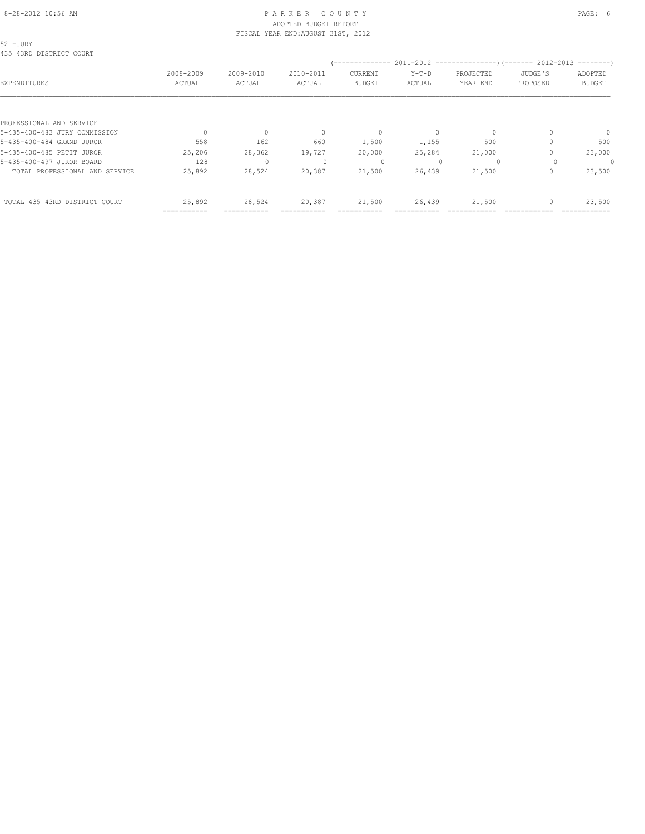#### 8-28-2012 10:56 AM PAGE: 6 ADOPTED BUDGET REPORT FISCAL YEAR END:AUGUST 31ST, 2012

52 -JURY

|                                | =========== |           |           |                |         |                                                |          |               |
|--------------------------------|-------------|-----------|-----------|----------------|---------|------------------------------------------------|----------|---------------|
| TOTAL 435 43RD DISTRICT COURT  | 25,892      | 28,524    | 20,387    | 21,500         | 26,439  | 21,500                                         |          | 23,500        |
| TOTAL PROFESSIONAL AND SERVICE | 25,892      | 28,524    | 20,387    | 21,500         | 26,439  | 21,500                                         |          | 23,500        |
| 5-435-400-497 JUROR BOARD      | 128         | $\Omega$  |           | $\Omega$       |         | $\Omega$                                       |          | $\Omega$      |
| 5-435-400-485 PETIT JUROR      | 25,206      | 28,362    | 19,727    | 20,000         | 25,284  | 21,000                                         |          | 23,000        |
| 5-435-400-484 GRAND JUROR      | 558         | 162       | 660       | 1,500          | 1,155   | 500                                            |          | 500           |
| 5-435-400-483 JURY COMMISSION  |             | 0         |           | $\Omega$       |         | 0                                              |          | $\mathbf{0}$  |
| PROFESSIONAL AND SERVICE       |             |           |           |                |         |                                                |          |               |
|                                |             |           |           |                |         |                                                |          |               |
| EXPENDITURES                   | ACTUAL      | ACTUAL    | ACTUAL    | <b>BUDGET</b>  | ACTUAL  | YEAR END                                       | PROPOSED | <b>BUDGET</b> |
|                                | 2008-2009   | 2009-2010 | 2010-2011 | CURRENT        | $Y-T-D$ | PROJECTED                                      | JUDGE'S  | ADOPTED       |
|                                |             |           |           | -------------- |         | 2011-2012 -----------------)(------- 2012-2013 |          | $------$      |
| 435 43RD DISTRICT COURT        |             |           |           |                |         |                                                |          |               |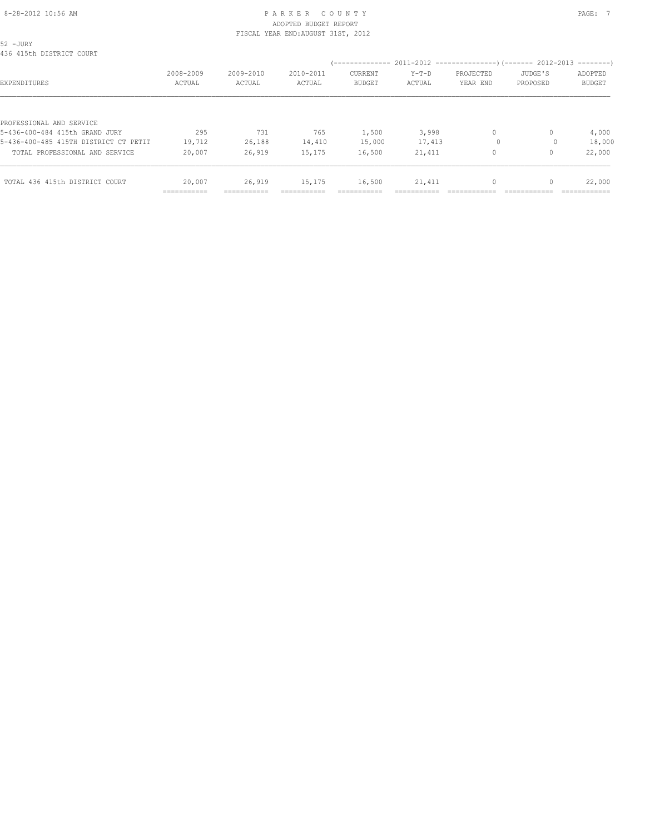# 8-28-2012 10:56 AM P A R K E R C O U N T Y PAGE: 7 ADOPTED BUDGET REPORT

|                                       |              |              | FISCAL YEAR END: AUGUST 31ST, 2012 |               |         |           |          |               |
|---------------------------------------|--------------|--------------|------------------------------------|---------------|---------|-----------|----------|---------------|
| 52 -JURY<br>436 415th DISTRICT COURT  |              |              |                                    |               |         |           |          |               |
|                                       |              |              |                                    |               |         |           |          |               |
|                                       | 2008-2009    | 2009-2010    | 2010-2011                          | CURRENT       | $Y-T-D$ | PROJECTED | JUDGE'S  | ADOPTED       |
| EXPENDITURES                          | ACTUAL       | ACTUAL       | ACTUAL                             | <b>BUDGET</b> | ACTUAL  | YEAR END  | PROPOSED | <b>BUDGET</b> |
| PROFESSIONAL AND SERVICE              |              |              |                                    |               |         |           |          |               |
| 5-436-400-484 415th GRAND JURY        | 295          | 731          | 765                                | 1,500         | 3,998   | $\circ$   | 0        | 4,000         |
| 5-436-400-485 415TH DISTRICT CT PETIT | 19,712       | 26,188       | 14,410                             | 15,000        | 17,413  | $\Omega$  |          | 18,000        |
| TOTAL PROFESSIONAL AND SERVICE        | 20,007       | 26,919       | 15,175                             | 16,500        | 21,411  | 0         |          | 22,000        |
|                                       |              |              |                                    |               |         |           |          |               |
| TOTAL 436 415th DISTRICT COURT        | 20,007       | 26,919       | 15,175                             | 16,500        | 21,411  |           |          | 22,000        |
|                                       | ------------ | ------------ |                                    |               |         |           |          | -----------   |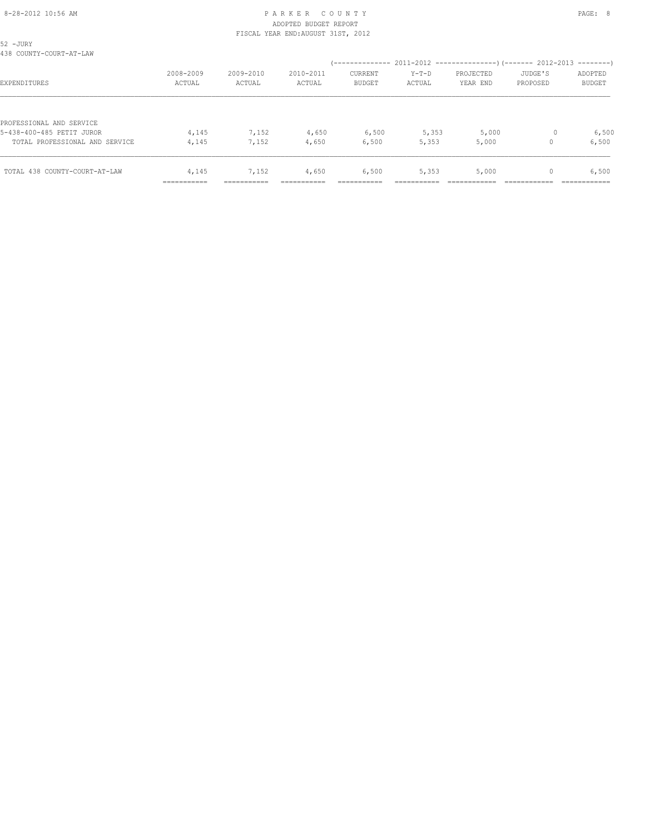### 8-28-2012 10:56 AM PAGE: 8 PARKER COUNTY ADOPTED BUDGET REPORT FISCAL YEAR END:AUGUST 31ST, 2012

| 52 -JURY<br>438 COUNTY-COURT-AT-LAW                         |                                               |                     |                     |                          |                   |                       |                     |                          |
|-------------------------------------------------------------|-----------------------------------------------|---------------------|---------------------|--------------------------|-------------------|-----------------------|---------------------|--------------------------|
| EXPENDITURES                                                | 2008-2009<br>ACTUAL                           | 2009-2010<br>ACTUAL | 2010-2011<br>ACTUAL | CURRENT<br><b>BUDGET</b> | $Y-T-D$<br>ACTUAL | PROJECTED<br>YEAR END | JUDGE'S<br>PROPOSED | ADOPTED<br><b>BUDGET</b> |
| PROFESSIONAL AND SERVICE                                    |                                               |                     |                     |                          |                   |                       |                     |                          |
| 5-438-400-485 PETIT JUROR<br>TOTAL PROFESSIONAL AND SERVICE | 4,145<br>4,145                                | 7,152<br>7,152      | 4,650<br>4,650      | 6,500<br>6,500           | 5,353<br>5,353    | 5,000<br>5,000        |                     | 6,500<br>6,500           |
| TOTAL 438 COUNTY-COURT-AT-LAW                               | 4,145<br>---------------------<br>----------- | 7,152<br>---------- | 4,650               | 6,500                    | 5,353             | 5,000                 | 0                   | 6,500                    |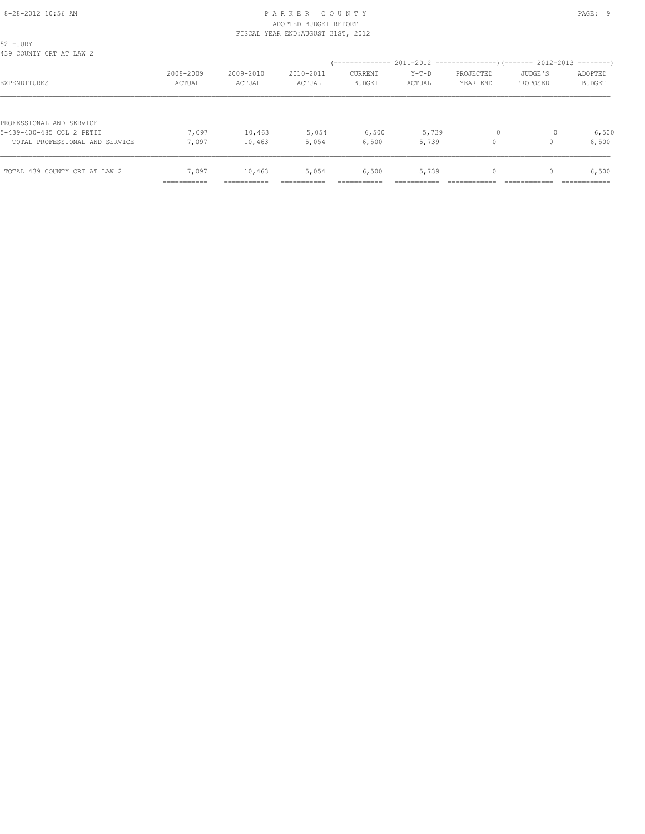### 8-28-2012 10:56 AM P A R K E R C O U N T Y PAGE: 9 ADOPTED BUDGET REPORT FISCAL YEAR END:AUGUST 31ST, 2012

| 52 -JURY<br>439 COUNTY CRT AT LAW 2                         |                                              |                      |                     |                                 |                   |                       |                     |                          |
|-------------------------------------------------------------|----------------------------------------------|----------------------|---------------------|---------------------------------|-------------------|-----------------------|---------------------|--------------------------|
| EXPENDITURES                                                | 2008-2009<br>ACTUAL                          | 2009-2010<br>ACTUAL  | 2010-2011<br>ACTUAL | <b>CURRENT</b><br><b>BUDGET</b> | $Y-T-D$<br>ACTUAL | PROJECTED<br>YEAR END | JUDGE'S<br>PROPOSED | ADOPTED<br><b>BUDGET</b> |
| PROFESSIONAL AND SERVICE                                    |                                              |                      |                     |                                 |                   |                       |                     |                          |
| 5-439-400-485 CCL 2 PETIT<br>TOTAL PROFESSIONAL AND SERVICE | 7,097<br>7,097                               | 10,463<br>10,463     | 5,054<br>5,054      | 6,500<br>6,500                  | 5,739<br>5,739    | $\circ$               | $\Omega$            | 6,500<br>6,500           |
| TOTAL 439 COUNTY CRT AT LAW 2                               | 7,097<br>--------------------<br>----------- | 10,463<br>---------- | 5,054               | 6,500                           | 5,739             | 0                     |                     | 6,500                    |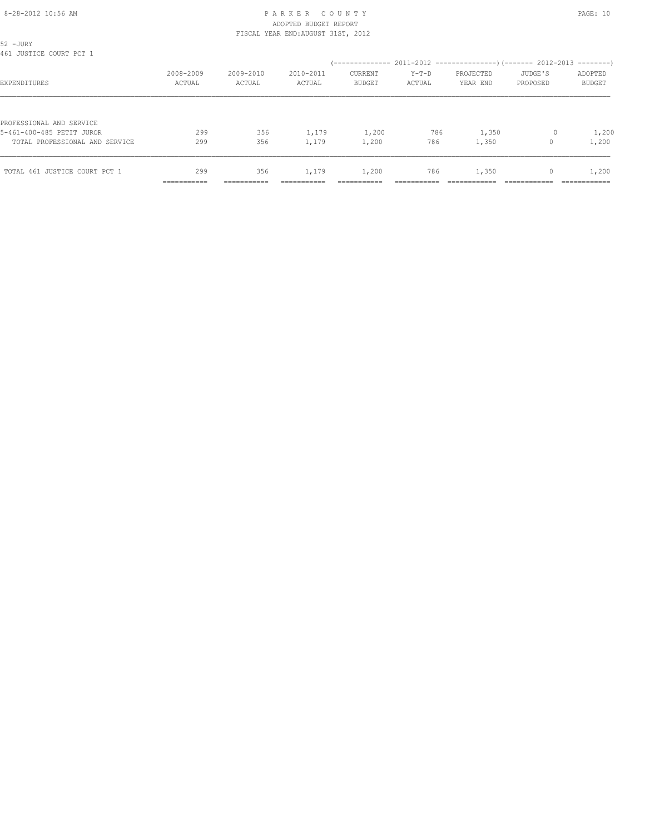#### 8-28-2012 10:56 AM P A R K E R C O U N T Y PAGE: 10 ADOPTED BUDGET REPORT FISCAL YEAR END:AUGUST 31ST, 2012

| 52 -JURY<br>461 JUSTICE COURT PCT 1 |                           |                     |                     |                                 |                   |                       |                                  |                          |
|-------------------------------------|---------------------------|---------------------|---------------------|---------------------------------|-------------------|-----------------------|----------------------------------|--------------------------|
| EXPENDITURES                        | 2008-2009<br>ACTUAL       | 2009-2010<br>ACTUAL | 2010-2011<br>ACTUAL | <b>CURRENT</b><br><b>BUDGET</b> | $Y-T-D$<br>ACTUAL | PROJECTED<br>YEAR END | JUDGE'S<br>PROPOSED              | ADOPTED<br><b>BUDGET</b> |
|                                     |                           |                     |                     |                                 |                   |                       |                                  |                          |
| PROFESSIONAL AND SERVICE            |                           |                     |                     |                                 |                   |                       |                                  |                          |
| 5-461-400-485 PETIT JUROR           | 299                       | 356                 | 1,179               | 1,200                           | 786               | 1,350                 |                                  | 1,200                    |
| TOTAL PROFESSIONAL AND SERVICE      | 299                       | 356                 | 1,179               | 1,200                           | 786               | 1,350                 |                                  | 1,200                    |
| TOTAL 461 JUSTICE COURT PCT 1       | 299                       | 356                 | 1,179               | 1,200                           | 786               | 1,350                 | $\begin{array}{c} \n\end{array}$ | 1,200                    |
|                                     | ----------<br>----------- | ----------          | ---------           |                                 |                   |                       |                                  | .                        |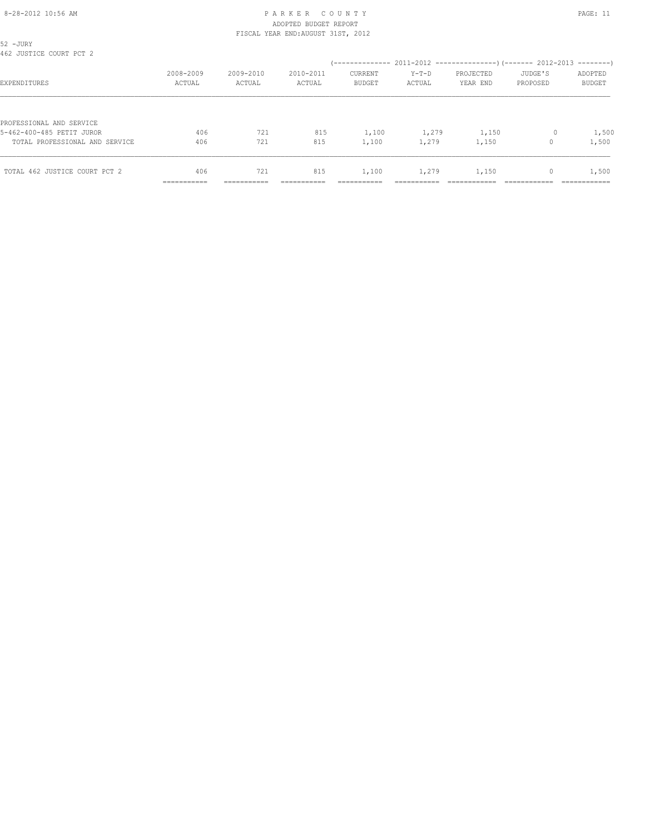#### 8-28-2012 10:56 AM P A R K E R C O U N T Y PAGE: 11 ADOPTED BUDGET REPORT FISCAL YEAR END:AUGUST 31ST, 2012

| 52 -JURY<br>462 JUSTICE COURT PCT 2 |             |           |           |                |         |           |          |               |
|-------------------------------------|-------------|-----------|-----------|----------------|---------|-----------|----------|---------------|
|                                     |             |           |           |                |         |           |          |               |
|                                     | 2008-2009   | 2009-2010 | 2010-2011 | <b>CURRENT</b> | $Y-T-D$ | PROJECTED | JUDGE'S  | ADOPTED       |
| EXPENDITURES                        | ACTUAL      | ACTUAL    | ACTUAL    | <b>BUDGET</b>  | ACTUAL  | YEAR END  | PROPOSED | <b>BUDGET</b> |
| PROFESSIONAL AND SERVICE            |             |           |           |                |         |           |          |               |
| 5-462-400-485 PETIT JUROR           | 406         | 721       | 815       | 1,100          | 1,279   | 1,150     | 0        | 1,500         |
| TOTAL PROFESSIONAL AND SERVICE      | 406         | 721       | 815       | 1,100          | 1,279   | 1,150     |          | 1,500         |
| TOTAL 462 JUSTICE COURT PCT 2       | 406         | 721       | 815       | 1,100          | 1,279   | 1,150     | 0        | 1,500         |
|                                     |             |           |           |                |         |           |          |               |
|                                     | ----------- | --------  |           |                |         |           |          | ------------  |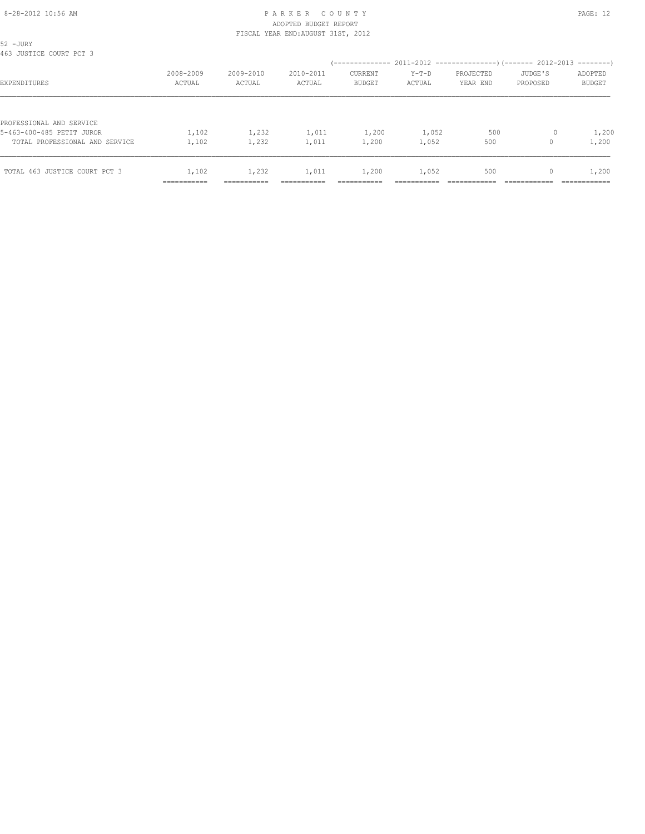### 8-28-2012 10:56 AM P A R K E R C O U N T Y PAGE: 12 ADOPTED BUDGET REPORT FISCAL YEAR END:AUGUST 31ST, 2012

| 52 -JURY<br>463 JUSTICE COURT PCT 3 |                           |                     |                     |                                 |                   |                       |                     |                          |
|-------------------------------------|---------------------------|---------------------|---------------------|---------------------------------|-------------------|-----------------------|---------------------|--------------------------|
| EXPENDITURES                        | 2008-2009<br>ACTUAL       | 2009-2010<br>ACTUAL | 2010-2011<br>ACTUAL | <b>CURRENT</b><br><b>BUDGET</b> | $Y-T-D$<br>ACTUAL | PROJECTED<br>YEAR END | JUDGE'S<br>PROPOSED | ADOPTED<br><b>BUDGET</b> |
|                                     |                           |                     |                     |                                 |                   |                       |                     |                          |
| PROFESSIONAL AND SERVICE            |                           |                     |                     |                                 |                   |                       |                     |                          |
| 5-463-400-485 PETIT JUROR           | 1,102                     | 1,232               | 1,011               | 1,200                           | 1,052             | 500                   |                     | 1,200                    |
| TOTAL PROFESSIONAL AND SERVICE      | 1,102                     | 1,232               | 1,011               | 1,200                           | 1,052             | 500                   |                     | 1,200                    |
| TOTAL 463 JUSTICE COURT PCT 3       | 1,102                     | 1,232               | 1,011               | 1,200                           | 1,052             | 500                   | 0                   | 1,200                    |
|                                     | __________<br>----------- | -----------         | ---------           |                                 |                   |                       |                     | .                        |
|                                     |                           |                     |                     |                                 |                   |                       |                     |                          |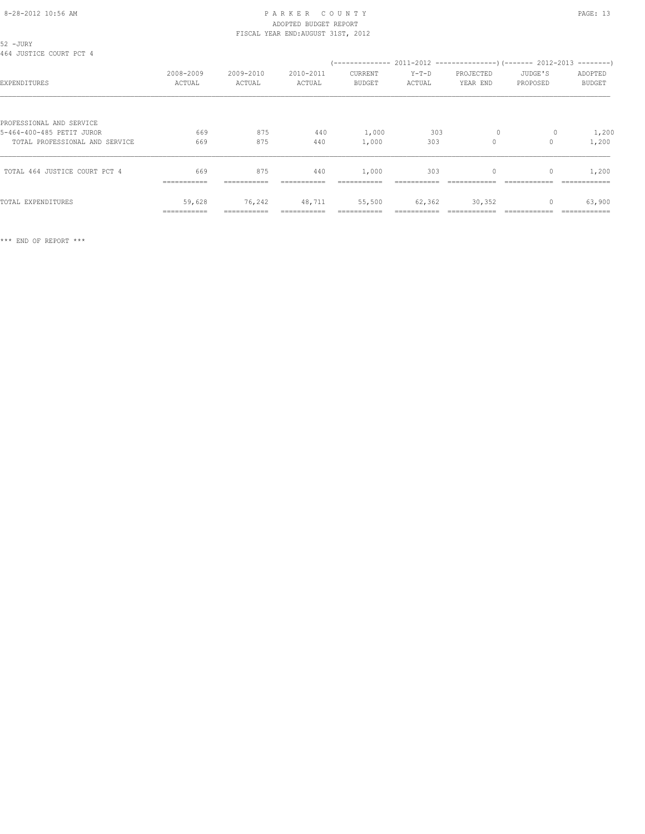### 8-28-2012 10:56 AM P A R K E R C O U N T Y PAGE: 13 ADOPTED BUDGET REPORT FISCAL YEAR END:AUGUST 31ST, 2012

| 52 - JURY<br>464 JUSTICE COURT PCT 4                  |                       |                     |                     |                          |                   |                       |                     |                          |
|-------------------------------------------------------|-----------------------|---------------------|---------------------|--------------------------|-------------------|-----------------------|---------------------|--------------------------|
| EXPENDITURES                                          | 2008-2009<br>ACTUAL   | 2009-2010<br>ACTUAL | 2010-2011<br>ACTUAL | CURRENT<br><b>BUDGET</b> | $Y-T-D$<br>ACTUAL | PROJECTED<br>YEAR END | JUDGE'S<br>PROPOSED | ADOPTED<br><b>BUDGET</b> |
| PROFESSIONAL AND SERVICE<br>5-464-400-485 PETIT JUROR | 669                   | 875                 | 440                 | 1,000                    | 303               | $\circ$               | $\circ$             | 1,200                    |
| TOTAL PROFESSIONAL AND SERVICE                        | 669                   | 875                 | 440                 | 1,000                    | 303               | $\circ$               |                     | 1,200                    |
| TOTAL 464 JUSTICE COURT PCT 4                         | 669                   | 875                 | 440                 | 1,000                    | 303               | 0                     | 0                   | 1,200                    |
| TOTAL EXPENDITURES                                    | 59,628<br>=========== | 76,242              | 48,711              | 55,500                   | 62,362            | 30,352                |                     | 63,900                   |

\*\*\* END OF REPORT \*\*\*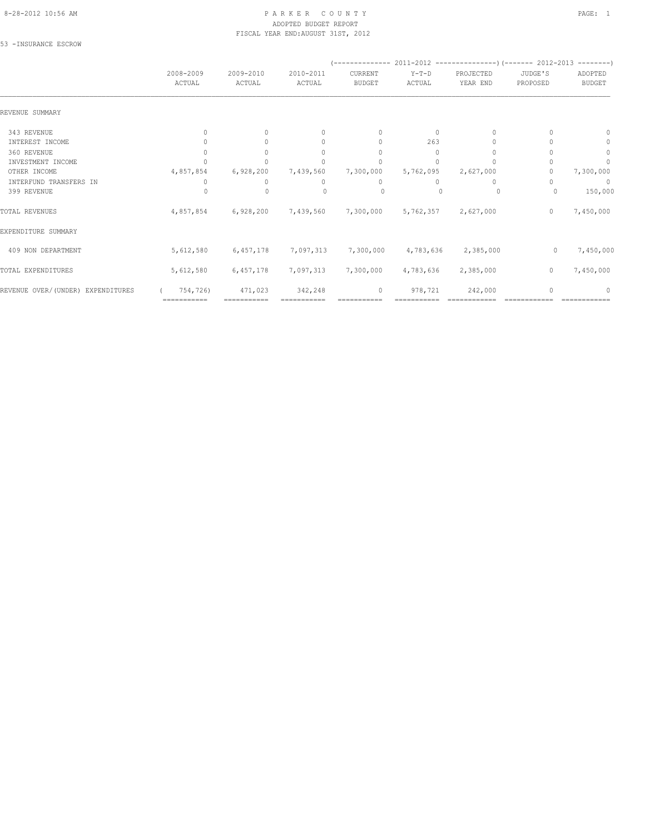#### 8-28-2012 10:56 AM P A R K E R C O U N T Y PAGE: 1 ADOPTED BUDGET REPORT FISCAL YEAR END:AUGUST 31ST, 2012

53 -INSURANCE ESCROW

|                                   | 2008-2009<br>ACTUAL              | 2009-2010<br>ACTUAL | 2010-2011<br>ACTUAL              | CURRENT<br><b>BUDGET</b>         | $Y-T-D$<br>ACTUAL | PROJECTED<br>YEAR END | JUDGE'S<br>PROPOSED | ADOPTED<br><b>BUDGET</b> |
|-----------------------------------|----------------------------------|---------------------|----------------------------------|----------------------------------|-------------------|-----------------------|---------------------|--------------------------|
| REVENUE SUMMARY                   |                                  |                     |                                  |                                  |                   |                       |                     |                          |
| 343 REVENUE                       | $\begin{array}{c} \n\end{array}$ | $\Omega$            | $\begin{array}{c} \n\end{array}$ | $\begin{array}{c} \n\end{array}$ | $\Omega$          | $\Omega$              |                     | $\Omega$                 |
| INTEREST INCOME                   |                                  |                     | 0                                | $\mathbf{0}$                     | 263               |                       |                     | 0                        |
| 360 REVENUE                       |                                  |                     | $\begin{array}{c} \n\end{array}$ | $\Omega$                         | $\Omega$          | $\cup$                |                     | $\mathbf{0}$             |
| INVESTMENT INCOME                 |                                  |                     | 0                                |                                  | $\Omega$          |                       |                     | 0                        |
| OTHER INCOME                      | 4,857,854                        | 6,928,200           | 7,439,560                        | 7,300,000                        | 5,762,095         | 2,627,000             |                     | 7,300,000                |
| INTERFUND TRANSFERS IN            |                                  | 0                   | 0                                | 0                                | 0                 | 0                     |                     | 0                        |
| 399 REVENUE                       |                                  | 0                   | $\Omega$                         | 0                                |                   | 0                     |                     | 150,000                  |
| TOTAL REVENUES                    | 4,857,854                        | 6,928,200           | 7,439,560                        | 7,300,000                        | 5,762,357         | 2,627,000             | 0                   | 7,450,000                |
| EXPENDITURE SUMMARY               |                                  |                     |                                  |                                  |                   |                       |                     |                          |
| 409 NON DEPARTMENT                | 5,612,580                        | 6,457,178           | 7,097,313                        | 7,300,000                        | 4,783,636         | 2,385,000             | 0                   | 7,450,000                |
| TOTAL EXPENDITURES                | 5,612,580                        | 6,457,178           | 7,097,313                        | 7,300,000                        | 4,783,636         | 2,385,000             | $\mathbf{0}$        | 7,450,000                |
| REVENUE OVER/(UNDER) EXPENDITURES | 754,726)                         | 471,023             | 342,248                          | $\circ$                          | 978,721           | 242,000               |                     | ∩                        |
|                                   | ===========                      |                     |                                  |                                  |                   |                       |                     |                          |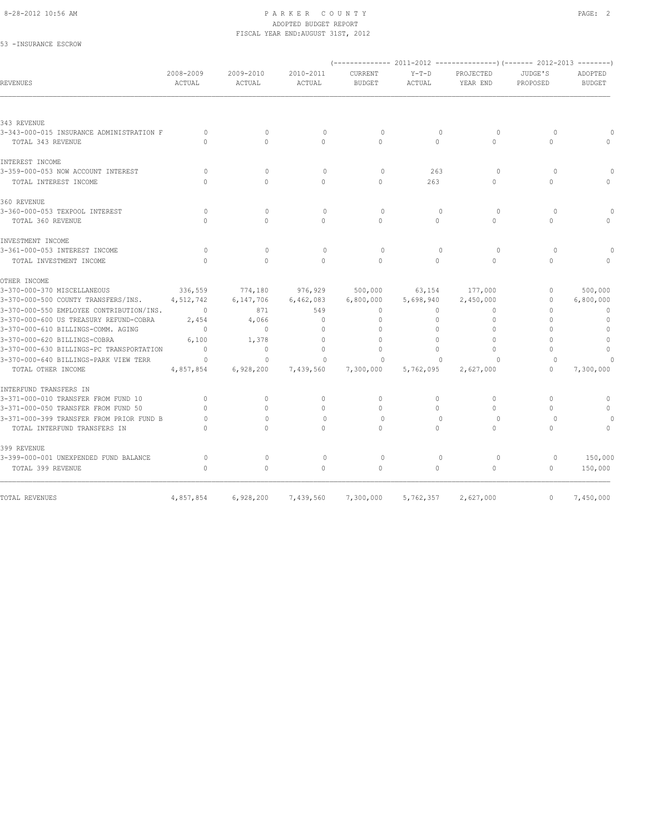#### 8-28-2012 10:56 AM PAGE: 2 ADOPTED BUDGET REPORT FISCAL YEAR END:AUGUST 31ST, 2012

53 -INSURANCE ESCROW

| 2008-2009<br>ACTUAL              | 2009-2010<br>ACTUAL | 2010-2011<br><b>ACTUAL</b>            | CURRENT<br><b>BUDGET</b> | $Y-T-D$<br><b>ACTUAL</b>          | PROJECTED<br>YEAR END | JUDGE'S<br>PROPOSED                           | ADOPTED<br><b>BUDGET</b>         |
|----------------------------------|---------------------|---------------------------------------|--------------------------|-----------------------------------|-----------------------|-----------------------------------------------|----------------------------------|
|                                  |                     |                                       |                          |                                   |                       |                                               |                                  |
|                                  |                     |                                       |                          |                                   |                       |                                               |                                  |
| $\Omega$                         | $\Omega$            | $\mathbf{0}$                          | $\circ$                  | $\mathbf{0}$                      | $\circ$               | $\circ$                                       |                                  |
| $\cap$                           | $\Omega$            | $\Omega$                              | $\Omega$                 | $\Omega$                          | $\Omega$              | $\Omega$                                      | $\bigcap$                        |
|                                  |                     |                                       |                          |                                   |                       |                                               |                                  |
| $\Omega$                         | $\Omega$            | $\Omega$                              | $\Omega$                 | 263                               | $\Omega$              | $\Omega$                                      |                                  |
| $\cap$                           | $\Omega$            | $\Omega$                              | $\Omega$                 | 263                               | $\Omega$              | $\Omega$                                      |                                  |
|                                  |                     |                                       |                          |                                   |                       |                                               |                                  |
| $\circ$                          | $\Omega$            | $\mathbf{0}$                          | $\Omega$                 | $\mathbf{0}$                      | $\circ$               | $\Omega$                                      | $\Omega$                         |
| $\cap$                           | $\Omega$            | $\Omega$                              | $\Omega$                 | $\Omega$                          | $\Omega$              | $\Omega$                                      | $\Omega$                         |
|                                  |                     |                                       |                          |                                   |                       |                                               |                                  |
| $\Omega$                         | $\Omega$            | $\mathbf{0}$                          | $\Omega$                 | $\Omega$                          | $\Omega$              | $\Omega$                                      |                                  |
| $\Omega$                         | $\Omega$            | $\Omega$                              | $\Omega$                 | $\Omega$                          | $\Omega$              | $\Omega$                                      |                                  |
|                                  |                     |                                       |                          |                                   |                       |                                               |                                  |
| 336,559                          | 774,180             | 976,929                               | 500,000                  | 63,154                            | 177,000               | $\mathbf{0}$                                  | 500,000                          |
| 4,512,742                        | 6,147,706           | 6,462,083                             | 6,800,000                | 5,698,940                         | 2,450,000             | $\circ$                                       | 6,800,000                        |
| $\overline{0}$                   | 871                 | 549                                   | $\mathbf{0}$             | $\Omega$                          | $\Omega$              | $\Omega$                                      | $\mathbf{0}$                     |
| 2,454                            | 4,066               | $\mathbf{0}$                          | $\mathbf{0}$             | $\circ$                           | $\Omega$              | $\Omega$                                      | $\mathbf{0}$                     |
| $\Omega$                         | $\Omega$            | $\mathbf{0}$                          | $\mathbf{0}$             | $\circ$                           |                       | $\Omega$                                      | $\mathbf{0}$                     |
| 6,100                            | 1,378               | $\Omega$                              | $\Omega$                 | $\Omega$                          | $\Omega$              | 0                                             | $\mathbf{0}$                     |
|                                  |                     |                                       |                          |                                   |                       |                                               | $\Omega$                         |
| $\Omega$                         | $\cap$              | $\bigcap$                             | $\Omega$                 | $\Omega$                          | $\cap$                | $\Omega$                                      |                                  |
| 4,857,854                        | 6,928,200           | 7,439,560                             | 7,300,000                | 5,762,095                         | 2,627,000             | $\mathbf{0}$                                  | 7,300,000                        |
|                                  |                     |                                       |                          |                                   |                       |                                               |                                  |
| $\mathbf{0}$                     | $\circ$             | $\mathbf{0}$                          | $\mathbf{0}$             | 0                                 | $\circ$               | $\begin{array}{c} \n\end{array}$              | $\mathbf{0}$                     |
| $\Omega$                         |                     | $\Omega$                              |                          | $\Omega$                          |                       |                                               | $\mathbf{0}$                     |
| $\cap$                           | $\Omega$            | $\Omega$                              | $\Omega$                 | $\Omega$                          | $\Omega$              | $\Omega$                                      |                                  |
| $\begin{array}{c} \n\end{array}$ | $\Omega$            | $\Omega$                              | $\Omega$                 | $\Omega$                          | $\Omega$              | $\Omega$                                      | $\begin{array}{c} \n\end{array}$ |
|                                  |                     |                                       |                          |                                   |                       |                                               |                                  |
| $\circ$                          | $\mathbf{0}$        | $\mathbf{0}$                          | $\circ$                  | $\mathbf{0}$                      | $\circ$               | $\circ$                                       | 150,000                          |
| $\Omega$                         | $\Omega$            | $\Omega$                              | $\Omega$                 | $\Omega$                          | $\Omega$              | $\Omega$                                      | 150,000                          |
| 4,857,854                        |                     | 7,439,560                             |                          |                                   |                       | $\mathbf{0}$                                  | 7,450,000                        |
|                                  | $\Omega$            | $\mathbf{0}$<br>$\Omega$<br>6,928,200 | $\mathbf{0}$             | $\Omega$<br>$\Omega$<br>7,300,000 | $\Omega$<br>5,762,357 | $\Omega$<br>$\Omega$<br>$\Omega$<br>2,627,000 | $\Omega$<br>$\Omega$             |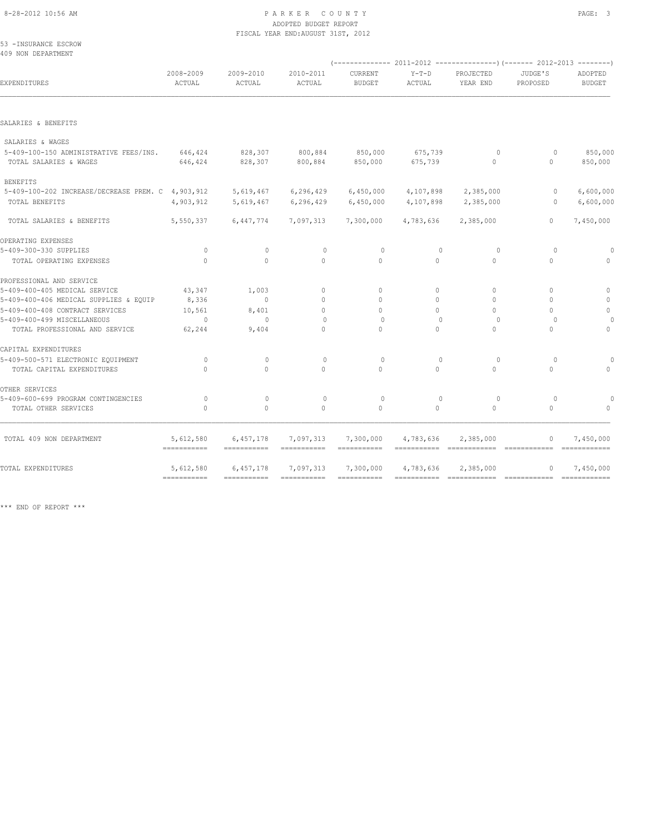#### 8-28-2012 10:56 AM PAGE: 3 ADOPTED BUDGET REPORT FISCAL YEAR END:AUGUST 31ST, 2012

53 -INSURANCE ESCROW 409 NON DEPARTMENT

| EXPENDITURES                                      | 2008-2009<br>ACTUAL                    | 2009-2010<br>ACTUAL      | 2010-2011<br>ACTUAL      | CURRENT<br><b>BUDGET</b>         | $Y-T-D$<br>ACTUAL           | PROJECTED<br>YEAR END                      | JUDGE'S<br>PROPOSED | ADOPTED<br><b>BUDGET</b>    |
|---------------------------------------------------|----------------------------------------|--------------------------|--------------------------|----------------------------------|-----------------------------|--------------------------------------------|---------------------|-----------------------------|
|                                                   |                                        |                          |                          |                                  |                             |                                            |                     |                             |
| SALARIES & BENEFITS                               |                                        |                          |                          |                                  |                             |                                            |                     |                             |
| SALARIES & WAGES                                  |                                        |                          |                          |                                  |                             |                                            |                     |                             |
| 5-409-100-150 ADMINISTRATIVE FEES/INS.            | 646,424                                | 828,307                  | 800,884                  | 850,000                          | 675,739                     | $\circ$                                    | $\Omega$            | 850,000                     |
| TOTAL SALARIES & WAGES                            | 646,424                                | 828,307                  | 800,884                  | 850,000                          | 675,739                     | $\mathbf{0}$                               | $\mathbf{0}$        | 850,000                     |
| <b>BENEFITS</b>                                   |                                        |                          |                          |                                  |                             |                                            |                     |                             |
| 5-409-100-202 INCREASE/DECREASE PREM. C 4,903,912 |                                        | 5,619,467                | 6, 296, 429              | 6,450,000                        | 4,107,898                   | 2,385,000                                  | $\circ$             | 6,600,000                   |
| TOTAL BENEFITS                                    | 4,903,912                              | 5,619,467                | 6,296,429                | 6,450,000                        | 4,107,898                   | 2,385,000                                  | $\Omega$            | 6,600,000                   |
| TOTAL SALARIES & BENEFITS                         | 5,550,337                              | 6,447,774                | 7,097,313                | 7,300,000                        | 4,783,636                   | 2,385,000                                  | $\Omega$            | 7,450,000                   |
| OPERATING EXPENSES                                |                                        |                          |                          |                                  |                             |                                            |                     |                             |
| 5-409-300-330 SUPPLIES                            | $\circ$                                | $\mathbf{0}$             | $\circ$                  | $\circ$                          | $\mathbf{0}$                | $\circ$                                    | $\circ$             |                             |
| TOTAL OPERATING EXPENSES                          | $\circ$                                | $\circ$                  | $\circ$                  | $\circ$                          | $\circ$                     | $\circ$                                    | $\circ$             | $\Omega$                    |
| PROFESSIONAL AND SERVICE                          |                                        |                          |                          |                                  |                             |                                            |                     |                             |
| 5-409-400-405 MEDICAL SERVICE                     | 43,347                                 | 1,003                    | $\mathbf{0}$             | $\begin{array}{c} \n\end{array}$ | 0                           | $\Omega$                                   | $\Omega$            | $\mathbf{0}$                |
| 5-409-400-406 MEDICAL SUPPLIES & EQUIP            | 8,336                                  | $\mathbf{0}$             | $\mathbf{0}$             | $\Omega$                         | $\circ$                     | $\Omega$                                   | $\Omega$            | $\mathbf{0}$                |
| 5-409-400-408 CONTRACT SERVICES                   | 10,561                                 | 8,401                    | $\Omega$                 | $\Omega$                         | $\Omega$                    | $\Omega$                                   | $\bigcap$           | $\circ$                     |
| 5-409-400-499 MISCELLANEOUS                       | $\circ$                                | $\Omega$                 | $\Omega$                 | $\Omega$                         | $\Omega$                    | $\Omega$                                   | $\Omega$            |                             |
| TOTAL PROFESSIONAL AND SERVICE                    | 62,244                                 | 9,404                    | $\Omega$                 | $\Omega$                         | $\Omega$                    | $\Omega$                                   | $\Omega$            | $\mathbf{0}$                |
| CAPITAL EXPENDITURES                              |                                        |                          |                          |                                  |                             |                                            |                     |                             |
| 5-409-500-571 ELECTRONIC EQUIPMENT                | $\Omega$                               | $\Omega$                 | $\Omega$                 | $\Omega$                         | $\Omega$                    | $\Omega$                                   | $\Omega$            |                             |
| TOTAL CAPITAL EXPENDITURES                        | $\Omega$                               | $\Omega$                 | $\Omega$                 | $\Omega$                         | $\Omega$                    | $\Omega$                                   | $\Omega$            | $\cap$                      |
| OTHER SERVICES                                    |                                        |                          |                          |                                  |                             |                                            |                     |                             |
| 5-409-600-699 PROGRAM CONTINGENCIES               | $\Omega$                               | $\mathbf{0}$             | $\circ$                  | $\circ$                          | $\Omega$                    | $\Omega$                                   | $\Omega$            |                             |
| TOTAL OTHER SERVICES                              | $\circ$                                | $\circ$                  | $\circ$                  | $\circ$                          | $\circ$                     | $\circ$                                    | $\circ$             |                             |
| TOTAL 409 NON DEPARTMENT                          | 5,612,580                              | 6,457,178                | 7,097,313                | 7,300,000                        | 4,783,636                   | 2,385,000                                  | $\mathbf{0}$        | 7,450,000                   |
|                                                   | ===========                            |                          | ===========              |                                  | =========================== |                                            |                     | $=$ = = = = = = = = = = = = |
| TOTAL EXPENDITURES                                | 5,612,580<br>$=$ = = = = = = = = = = = | 6,457,178<br>=========== | 7,097,313<br>=========== | 7,300,000<br>===========         | 4,783,636<br>===========    | 2,385,000<br>============================= | 0                   | 7,450,000<br>============   |
|                                                   |                                        |                          |                          |                                  |                             |                                            |                     |                             |

\*\*\* END OF REPORT \*\*\*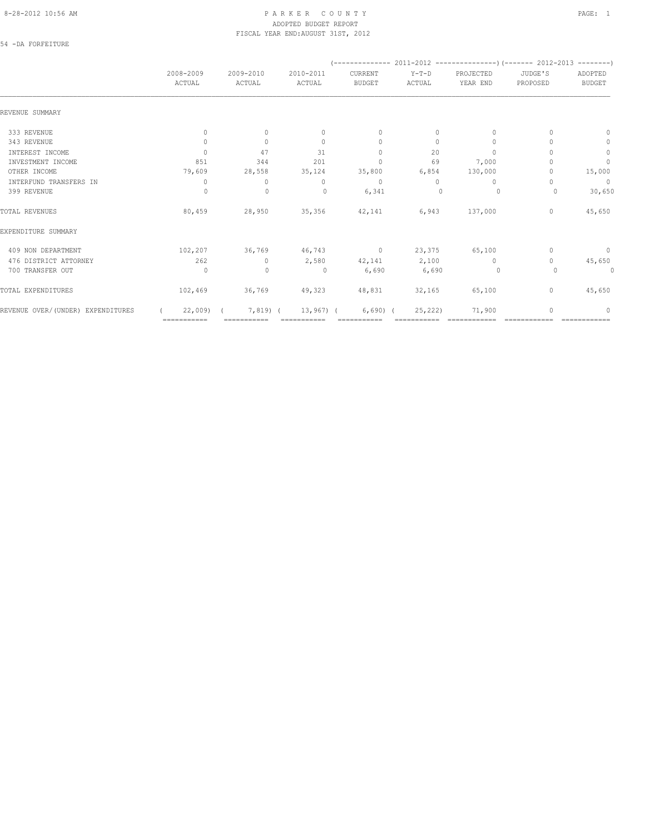### 8-28-2012 10:56 AM P A R K E R C O U N T Y PAGE: 1 ADOPTED BUDGET REPORT FISCAL YEAR END:AUGUST 31ST, 2012

54 -DA FORFEITURE

|                                   | 2008-2009<br>ACTUAL              | 2009-2010<br>ACTUAL | 2010-2011<br>ACTUAL | CURRENT<br><b>BUDGET</b> | $Y-T-D$<br>ACTUAL | PROJECTED<br>YEAR END | JUDGE'S<br>PROPOSED              | ADOPTED<br><b>BUDGET</b> |
|-----------------------------------|----------------------------------|---------------------|---------------------|--------------------------|-------------------|-----------------------|----------------------------------|--------------------------|
| REVENUE SUMMARY                   |                                  |                     |                     |                          |                   |                       |                                  |                          |
| 333 REVENUE                       | $\mathbf{0}$                     | $\mathbf{0}$        | $\mathbf{0}$        | $\mathbf{0}$             | $\circ$           | $\mathbf{0}$          | $\begin{array}{c} \n\end{array}$ | $\mathbf{0}$             |
| 343 REVENUE                       | $\circ$                          | $\mathbf{0}$        | $\Omega$            | $\mathbf{0}$             | $\circ$           | $\mathbf{0}$          |                                  | 0                        |
| INTEREST INCOME                   | $\Omega$                         | 47                  | 31                  | $\Omega$                 | 20                | $\Omega$              |                                  | $\mathbb O$              |
| INVESTMENT INCOME                 | 851                              | 344                 | 201                 | $\mathbf 0$              | 69                | 7,000                 |                                  | $\mathbb O$              |
| OTHER INCOME                      | 79,609                           | 28,558              | 35,124              | 35,800                   | 6,854             | 130,000               |                                  | 15,000                   |
| INTERFUND TRANSFERS IN            | $\begin{array}{c} \n\end{array}$ | $\Omega$            | $\Omega$            | $\Omega$                 | $\Omega$          | $\Omega$              | n                                | $\overline{0}$           |
| 399 REVENUE                       | $\circ$                          | $\circ$             | $\circ$             | 6,341                    | 0                 | 0                     | 0                                | 30,650                   |
| TOTAL REVENUES                    | 80,459                           | 28,950              | 35,356              | 42,141                   | 6,943             | 137,000               | $\circ$                          | 45,650                   |
| EXPENDITURE SUMMARY               |                                  |                     |                     |                          |                   |                       |                                  |                          |
| 409 NON DEPARTMENT                | 102,207                          | 36,769              | 46,743 0 23,375     |                          |                   | 65,100                | 0                                | $\circ$                  |
| 476 DISTRICT ATTORNEY             | 262                              | $\Omega$            | 2,580               | 42,141 2,100             |                   | $\Omega$              | $\bigcap$                        | 45,650                   |
| 700 TRANSFER OUT                  | $\circ$                          | $\mathbf{0}$        | $\circ$             | 6,690                    | 6,690             | $\sim$ 0              | $\circ$                          | 0                        |
| TOTAL EXPENDITURES                | 102,469                          | 36,769              | 49,323              | 48,831                   | 32,165            | 65,100                | $\circ$                          | 45,650                   |
| REVENUE OVER/(UNDER) EXPENDITURES | 22,009                           | $7,819$ (           | $13,967$ ) (        | $6,690$ $($              | 25, 222)          | 71,900                | 0                                | 0                        |
|                                   | ===========                      |                     |                     |                          |                   |                       |                                  |                          |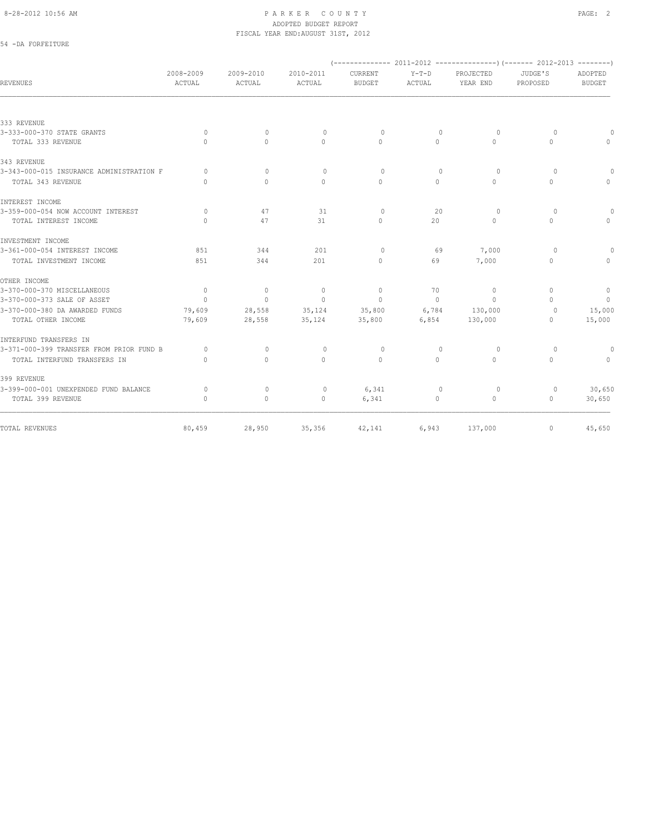#### 8-28-2012 10:56 AM PAGE: 2 ADOPTED BUDGET REPORT FISCAL YEAR END:AUGUST 31ST, 2012

## 54 -DA FORFEITURE

| REVENUES                                 | 2008-2009<br>ACTUAL              | 2009-2010<br>ACTUAL              | 2010-2011<br>ACTUAL              | CURRENT<br><b>BUDGET</b>         | $Y-T-D$<br>ACTUAL | PROJECTED<br>YEAR END            | JUDGE'S<br>PROPOSED              | <b>ADOPTED</b><br><b>BUDGET</b> |
|------------------------------------------|----------------------------------|----------------------------------|----------------------------------|----------------------------------|-------------------|----------------------------------|----------------------------------|---------------------------------|
|                                          |                                  |                                  |                                  |                                  |                   |                                  |                                  |                                 |
| 333 REVENUE                              |                                  |                                  |                                  |                                  |                   |                                  |                                  |                                 |
| 3-333-000-370 STATE GRANTS               | $\circ$                          | $\circ$                          | $\circ$                          | $\circ$                          | $\mathbf{0}$      | $\circ$                          | $\Omega$                         |                                 |
| TOTAL 333 REVENUE                        | $\begin{array}{c} \n\end{array}$ | $\Omega$                         | $\begin{array}{c} \n\end{array}$ | $\bigcap$                        | $\Omega$          | $\cap$                           | $\Omega$                         | $\Omega$                        |
| 343 REVENUE                              |                                  |                                  |                                  |                                  |                   |                                  |                                  |                                 |
| 3-343-000-015 INSURANCE ADMINISTRATION F | $\bigcap$                        | $\Omega$                         | $\begin{array}{c} \n\end{array}$ | $\Omega$                         | $\Omega$          | $\Omega$                         | $\Omega$                         | $\bigcap$                       |
| TOTAL 343 REVENUE                        | $\bigcap$                        | $\Omega$                         | $\Omega$                         | $\Omega$                         | $\Omega$          | $\Omega$                         | $\Omega$                         | $\Omega$                        |
| INTEREST INCOME                          |                                  |                                  |                                  |                                  |                   |                                  |                                  |                                 |
| 3-359-000-054 NOW ACCOUNT INTEREST       | $\Omega$                         | 47                               | 31                               | $\circ$                          | 20                | $\Omega$                         | $\Omega$                         | $\Omega$                        |
| TOTAL INTEREST INCOME                    | $\begin{array}{c} \n\end{array}$ | 47                               | 31                               | $\begin{array}{c} \n\end{array}$ | 20                | 0                                | $\Omega$                         | $\Omega$                        |
| INVESTMENT INCOME                        |                                  |                                  |                                  |                                  |                   |                                  |                                  |                                 |
| 3-361-000-054 INTEREST INCOME            | 851                              | 344                              | 201                              | $\Omega$                         | 69                | 7,000                            | $\bigcap$                        |                                 |
| TOTAL INVESTMENT INCOME                  | 851                              | 344                              | 201                              | $\begin{array}{c} \n\end{array}$ | 69                | 7,000                            | $\Omega$                         |                                 |
| OTHER INCOME                             |                                  |                                  |                                  |                                  |                   |                                  |                                  |                                 |
| 3-370-000-370 MISCELLANEOUS              | $\overline{0}$                   | $\circ$                          | $\mathbb O$                      | $\mathbf{0}$                     | 70                | $\circ$                          | $\begin{array}{c} \n\end{array}$ | $\circ$                         |
| 3-370-000-373 SALE OF ASSET              | $\circ$                          | $\circ$                          | $\mathbf{0}$                     | $\Omega$                         | $\Omega$          | $\begin{array}{c} \n\end{array}$ | $\Omega$                         | $\overline{0}$                  |
| 3-370-000-380 DA AWARDED FUNDS           | 79,609                           | 28,558                           | 35,124                           | 35,800                           | 6,784             | 130,000                          | $\circ$                          | 15,000                          |
| TOTAL OTHER INCOME                       | 79,609                           | 28,558                           | 35,124                           | 35,800                           | 6,854             | 130,000                          | 0                                | 15,000                          |
| INTERFUND TRANSFERS IN                   |                                  |                                  |                                  |                                  |                   |                                  |                                  |                                 |
| 3-371-000-399 TRANSFER FROM PRIOR FUND B | $\Omega$                         | $\begin{array}{c} \n\end{array}$ | $\circ$                          | $\circ$                          | $\Omega$          | $\circ$                          | $\Omega$                         | $\Omega$                        |
| TOTAL INTERFUND TRANSFERS IN             | $\begin{array}{c} \n\end{array}$ | $\Omega$                         | $\Omega$                         | $\begin{array}{c} \n\end{array}$ | $\Omega$          | $\begin{array}{c} \n\end{array}$ | $\Omega$                         | $\Omega$                        |
| 399 REVENUE                              |                                  |                                  |                                  |                                  |                   |                                  |                                  |                                 |
| 3-399-000-001 UNEXPENDED FUND BALANCE    | $\circ$                          | 0                                | 0                                | 6,341                            | $\mathbf{0}$      | 0                                | 0                                | 30,650                          |
| TOTAL 399 REVENUE                        | $\mathbf{0}$                     | $\circ$                          | $\circ$                          | 6,341                            | 0                 | 0                                | $\circ$                          | 30,650                          |
| TOTAL REVENUES                           | 80,459                           | 28,950                           | 35,356                           | 42,141                           | 6,943             | 137,000                          | $\circ$                          | 45,650                          |
|                                          |                                  |                                  |                                  |                                  |                   |                                  |                                  |                                 |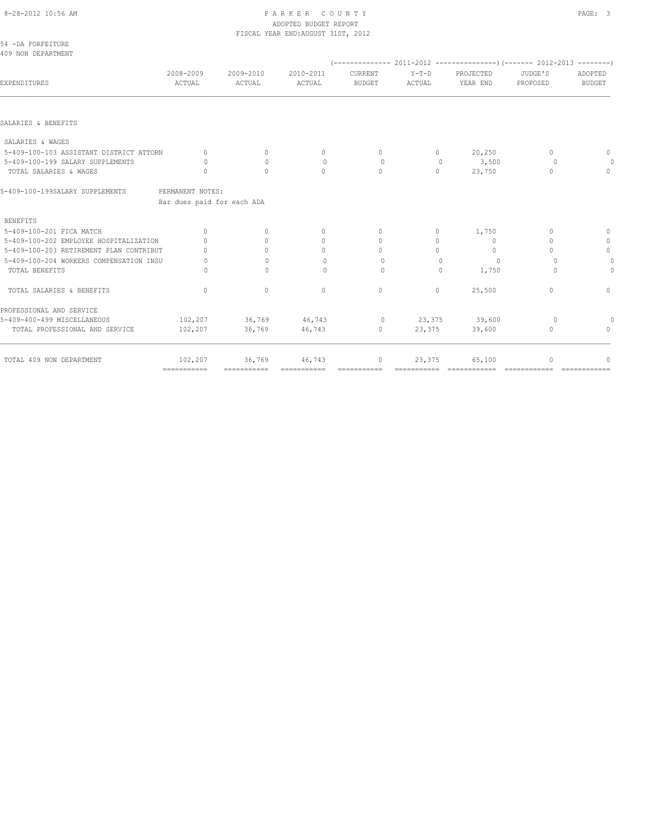### 8-28-2012 10:56 AM P A R K E R C O U N T Y PAGE: 3 ADOPTED BUDGET REPORT FISCAL YEAR END:AUGUST 31ST, 2012

| 2008-2009                                               | 2009-2010<br>ACTUAL | 2010-2011                                      | CURRENT<br><b>BUDGET</b>         | $Y-T-D$      | PROJECTED<br>YEAR END | JUDGE'S      | ADOPTED<br><b>BUDGET</b> |
|---------------------------------------------------------|---------------------|------------------------------------------------|----------------------------------|--------------|-----------------------|--------------|--------------------------|
|                                                         |                     |                                                |                                  |              |                       |              |                          |
|                                                         |                     |                                                |                                  |              |                       |              |                          |
|                                                         |                     |                                                |                                  |              |                       |              |                          |
| 5-409-100-103 ASSISTANT DISTRICT ATTORN<br>$\mathbf{0}$ | $\circ$             | $\mathbf{0}$                                   | $\circ$                          | $\circ$      | 20,250                | $\mathbf{0}$ | 0                        |
| $\bigcap$                                               | $\Omega$            | $\mathbf{0}$                                   | $\circ$                          | $\mathbf{0}$ | 3,500                 | $\Omega$     | 0                        |
| $\mathbf{0}$                                            | $\Omega$            | $\circ$                                        | $\mathbf{0}$                     | $\circ$      | 23,750                | $\mathbf{0}$ | $\mathbf{0}$             |
|                                                         |                     |                                                |                                  |              |                       |              |                          |
|                                                         |                     |                                                |                                  |              |                       |              |                          |
|                                                         |                     |                                                |                                  |              |                       |              |                          |
| $\Omega$                                                | $\mathbf{0}$        | $\mathbf{0}$                                   | $\mathbf{0}$                     | 0            | 1,750                 | $\mathbf{0}$ | $\mathbf{0}$             |
| 5-409-100-202 EMPLOYEE HOSPITALIZATION<br>$\bigcap$     | $\bigcap$           | $\mathbf{0}$                                   | $\begin{array}{c} \n\end{array}$ | 0            | $\Omega$              | $\Omega$     | $\mathbf{0}$             |
| 5-409-100-203 RETIREMENT PLAN CONTRIBUT<br>$\cap$       | $\bigcap$           | $\begin{array}{c} \n\end{array}$               | $\Omega$                         | $\Omega$     | $\Omega$              | $\bigcap$    | $\circ$                  |
| 5-409-100-204 WORKERS COMPENSATION INSU<br>$\Omega$     | $\bigcap$           | $\Omega$                                       | $\circ$                          | $\Omega$     | $\Omega$              | $\Omega$     | 0                        |
| $\Omega$                                                | $\mathbf{0}$        | $\circ$                                        | $\circ$                          | $\mathbf{0}$ | 1,750                 | $\Omega$     | $\overline{0}$           |
| $\Omega$                                                | $\circ$             | $\mathbf{0}$                                   | $\circ$                          | $\circ$      | 25,500                | $\Omega$     | 0                        |
|                                                         |                     |                                                |                                  |              |                       |              |                          |
| 102,207                                                 | 36,769              | 46,743                                         | $\circ$                          | 23,375       | 39,600                | $\circ$      |                          |
| 102,207                                                 | 36,769              | 46,743                                         | $\circ$                          | 23,375       | 39,600                | $\mathbf{0}$ | $\bigcap$                |
| 102,207                                                 | 36,769              | 46,743                                         | $\circ$                          | 23,375       | 65,100                | $\mathbf{0}$ | $\Omega$                 |
|                                                         | ACTUAL              | PERMANENT NOTES:<br>Bar dues paid for each ADA | ACTUAL                           |              | ACTUAL                | ============ | PROPOSED                 |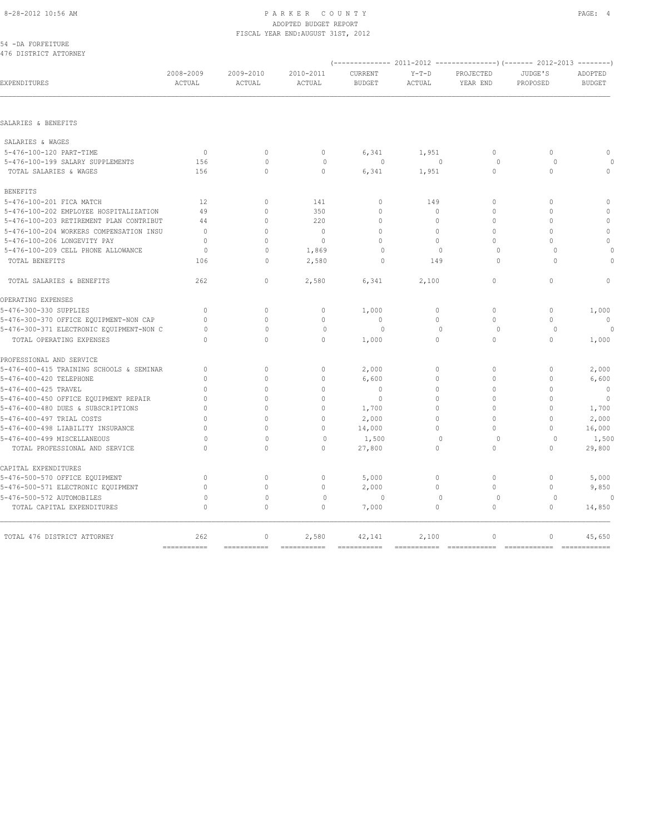#### 8-28-2012 10:56 AM PAGE: 4 ADOPTED BUDGET REPORT FISCAL YEAR END:AUGUST 31ST, 2012

|  | 54 -DA FORFEITURE |                       |  |
|--|-------------------|-----------------------|--|
|  |                   | 476 DISTRICT ATTORNEY |  |

| EXPENDITURES                             | 2008-2009<br>ACTUAL              | 2009-2010<br>ACTUAL    | 2010-2011<br>ACTUAL  | CURRENT<br><b>BUDGET</b> | $Y-T-D$<br><b>ACTUAL</b> | PROJECTED<br>YEAR END        | JUDGE'S<br>PROPOSED                        | ADOPTED<br><b>BUDGET</b> |
|------------------------------------------|----------------------------------|------------------------|----------------------|--------------------------|--------------------------|------------------------------|--------------------------------------------|--------------------------|
|                                          |                                  |                        |                      |                          |                          |                              |                                            |                          |
| SALARIES & BENEFITS                      |                                  |                        |                      |                          |                          |                              |                                            |                          |
| SALARIES & WAGES                         |                                  |                        |                      |                          |                          |                              |                                            |                          |
| 5-476-100-120 PART-TIME                  | $\overline{0}$                   | $\mathbf{0}$           | $\circ$              | 6,341                    | 1,951                    | $\mathbf{0}$                 | $\circ$                                    | $\mathbf{0}$             |
| 5-476-100-199 SALARY SUPPLEMENTS         | 156                              | $\Omega$               | $\mathbf{0}$         | $\circ$                  | $\mathbf{0}$             | $\circ$                      | $\Omega$                                   | $\circ$                  |
| TOTAL SALARIES & WAGES                   | 156                              | $\circ$                | $\circ$              | 6,341                    | 1,951                    | $\mathbf{0}$                 | $\circ$                                    | $\mathbf{0}$             |
| <b>BENEFITS</b>                          |                                  |                        |                      |                          |                          |                              |                                            |                          |
| 5-476-100-201 FICA MATCH                 | 12                               | $\circ$                | 141                  | $\mathbf{0}$             | 149                      | $\mathbf{0}$                 | $\Omega$                                   | $\mathbf{0}$             |
| 5-476-100-202 EMPLOYEE HOSPITALIZATION   | 49                               | $\circ$                | 350                  | $\mathbf 0$              | $\circ$                  | $\mathbf{0}$                 | $\Omega$                                   | $\mathbf{0}$             |
| 5-476-100-203 RETIREMENT PLAN CONTRIBUT  | 44                               | $\circ$                | 220                  | $\mathbf 0$              | $\circ$                  | $\circ$                      | $\cap$                                     | $\mathbb O$              |
| 5-476-100-204 WORKERS COMPENSATION INSU  | $\Omega$                         | $\circ$                | $\Omega$             | $\mathbf 0$              | $\Omega$                 | $\Omega$                     | $\Omega$                                   | $\mathbf{0}$             |
| 5-476-100-206 LONGEVITY PAY              | $\mathbf{0}$                     | $\mathbf{0}$           | $\mathbf{0}$         | $\mathbf 0$              | $\circ$                  | 0                            | $\cap$                                     | $\mathbf{0}$             |
| 5-476-100-209 CELL PHONE ALLOWANCE       | $\Omega$                         | $\Omega$               | 1,869                | $\Omega$                 | $\Omega$                 | $\Omega$                     | $\Omega$                                   | $\bigcap$                |
| TOTAL BENEFITS                           | 106                              | $\Omega$               | 2,580                | $\Omega$                 | 149                      | $\Omega$                     | $\cap$                                     | $\Omega$                 |
|                                          |                                  |                        |                      |                          |                          |                              |                                            |                          |
| TOTAL SALARIES & BENEFITS                | 262                              | $\mathbf{0}$           | 2,580                | 6,341                    | 2,100                    | $\Omega$                     | $\Omega$                                   | $\Omega$                 |
| OPERATING EXPENSES                       |                                  |                        |                      |                          |                          |                              |                                            |                          |
| 5-476-300-330 SUPPLIES                   | $\Omega$                         | $\mathbf{0}$           | $\mathbf{0}$         | 1,000                    | $\circ$                  | $\circ$                      | $\mathbf{0}$                               | 1,000                    |
| 5-476-300-370 OFFICE EQUIPMENT-NON CAP   | $\Omega$                         | $\Omega$               | $\Omega$             | $\Omega$                 | $\Omega$                 | $\Omega$                     | $\Omega$                                   | $\Omega$                 |
| 5-476-300-371 ELECTRONIC EQUIPMENT-NON C | 0                                | $\mathbf{0}$           | $\Omega$             | $\Omega$                 | $\Omega$                 | 0                            | $\Omega$                                   | $\Omega$                 |
| TOTAL OPERATING EXPENSES                 | $\Omega$                         | $\Omega$               | $\Omega$             | 1,000                    | $\Omega$                 | $\Omega$                     | $\Omega$                                   | 1,000                    |
| PROFESSIONAL AND SERVICE                 |                                  |                        |                      |                          |                          |                              |                                            |                          |
| 5-476-400-415 TRAINING SCHOOLS & SEMINAR | $\begin{array}{c} \n\end{array}$ | $\mathbf{0}$           | $\mathbf{0}$         | 2,000                    | $\Omega$                 | $\mathbf{0}$                 | $\mathbf{0}$                               | 2,000                    |
| 5-476-400-420 TELEPHONE                  | $\Omega$                         | $\Omega$               | $\mathbf{0}$         | 6,600                    | $\circ$                  | $\mathbf{0}$                 | $\mathbf{0}$                               | 6,600                    |
| 5-476-400-425 TRAVEL                     | $\Omega$                         | $\Omega$               | $\Omega$             | $\Omega$                 | $\Omega$                 | $\mathbf{0}$                 | $\Omega$                                   | $\mathbf{0}$             |
| 5-476-400-450 OFFICE EQUIPMENT REPAIR    | $\Omega$                         | $\Omega$               | $\Omega$             | $\circ$                  | $\Omega$                 | $\mathbf{0}$                 | $\Omega$                                   | $\overline{0}$           |
| 5-476-400-480 DUES & SUBSCRIPTIONS       | $\Omega$                         | $\circ$                | $\mathbf{0}$         | 1,700                    | $\Omega$                 | $\mathbf{0}$                 | $\Omega$                                   | 1,700                    |
| 5-476-400-497 TRIAL COSTS                | $\Omega$                         | $\Omega$               | $\mathbf{0}$         | 2,000                    | $\Omega$                 | $\mathbf{0}$                 | $\Omega$                                   | 2,000                    |
| 5-476-400-498 LIABILITY INSURANCE        | $\Omega$                         | $\circ$                | $\mathbf{0}$         | 14,000                   | 0                        | 0                            | $\Omega$                                   | 16,000                   |
| 5-476-400-499 MISCELLANEOUS              | $\Omega$                         | $\Omega$               | $\mathbf{0}$         | 1,500                    | $\Omega$                 | $\Omega$                     | $\Omega$                                   | 1,500                    |
| TOTAL PROFESSIONAL AND SERVICE           | $\Omega$                         | $\Omega$               | $\Omega$             | 27,800                   | $\Omega$                 | $\Omega$                     | $\Omega$                                   | 29,800                   |
| CAPITAL EXPENDITURES                     |                                  |                        |                      |                          |                          |                              |                                            |                          |
| 5-476-500-570 OFFICE EQUIPMENT           | $\mathbf{0}$                     | $\circ$                | $\mathbf{0}$         | 5,000                    | $\circ$                  | $\mathbf{0}$                 | $\mathbf{0}$                               | 5,000                    |
| 5-476-500-571 ELECTRONIC EQUIPMENT       | $\mathbf{0}$                     | $\circ$                | $\mathbf{0}$         | 2,000                    | $\circ$                  | 0                            | $\circ$                                    | 9,850                    |
| 5-476-500-572 AUTOMOBILES                | $\circ$                          | $\mathbf{0}$           | $\mathbf{0}$         | $\circ$                  | $\mathbf{0}$             | $\circ$                      | $\circ$                                    | $\circ$                  |
| TOTAL CAPITAL EXPENDITURES               | $\Omega$                         | $\Omega$               | $\Omega$             | 7,000                    | $\Omega$                 | $\Omega$                     | $\Omega$                                   | 14,850                   |
|                                          |                                  |                        |                      |                          |                          |                              |                                            |                          |
| TOTAL 476 DISTRICT ATTORNEY              | 262<br>$=$ = = = = = = = = = = = | $\circ$<br>=========== | 2,580<br>=========== | 42,141                   | 2,100<br>===========     | $\mathbf{0}$<br>============ | $\mathbf{0}$<br>========================== | 45,650                   |
|                                          |                                  |                        |                      |                          |                          |                              |                                            |                          |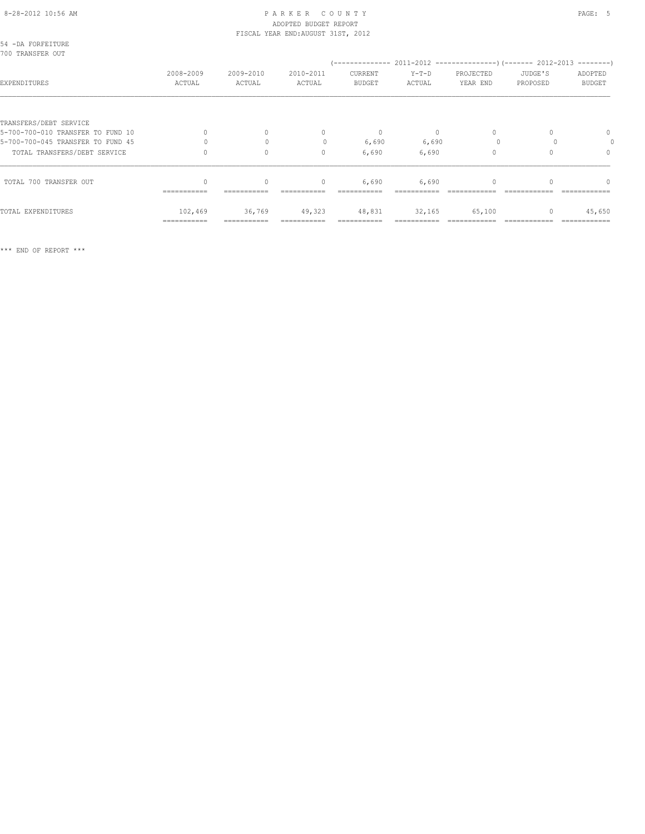#### 8-28-2012 10:56 AM PAGE: 5 ADOPTED BUDGET REPORT FISCAL YEAR END:AUGUST 31ST, 2012

| 54 -DA FORFEITURE<br>700 TRANSFER OUT |                     |                     |                     |                          |                   |                       |                     |                          |
|---------------------------------------|---------------------|---------------------|---------------------|--------------------------|-------------------|-----------------------|---------------------|--------------------------|
| EXPENDITURES                          | 2008-2009<br>ACTUAL | 2009-2010<br>ACTUAL | 2010-2011<br>ACTUAL | CURRENT<br><b>BUDGET</b> | $Y-T-D$<br>ACTUAL | PROJECTED<br>YEAR END | JUDGE'S<br>PROPOSED | ADOPTED<br><b>BUDGET</b> |
|                                       |                     |                     |                     |                          |                   |                       |                     |                          |
| TRANSFERS/DEBT SERVICE                |                     |                     |                     |                          |                   |                       |                     |                          |
| 5-700-700-010 TRANSFER TO FUND 10     |                     | $\Omega$            | $\mathbf{0}$        | $\mathbf{0}$             | $\circ$           | 0                     |                     | $\mathbf{0}$             |
| 5-700-700-045 TRANSFER TO FUND 45     |                     |                     | $\mathbf{0}$        | 6,690                    | 6,690             |                       |                     |                          |
| TOTAL TRANSFERS/DEBT SERVICE          |                     | $\Omega$            | $\mathbf{0}$        | 6,690                    | 6,690             |                       |                     | $\circ$                  |
| TOTAL 700 TRANSFER OUT                |                     | $\mathbf{0}$        | $\circ$             | 6,690                    | 6,690             |                       |                     | $\Omega$                 |
|                                       | ===========         |                     |                     |                          |                   |                       |                     |                          |
| TOTAL EXPENDITURES                    | 102,469             | 36,769              | 49,323              | 48,831                   | 32,165            | 65,100                | 0                   | 45,650                   |
|                                       | ===========         |                     |                     |                          |                   |                       |                     |                          |

\*\*\* END OF REPORT \*\*\*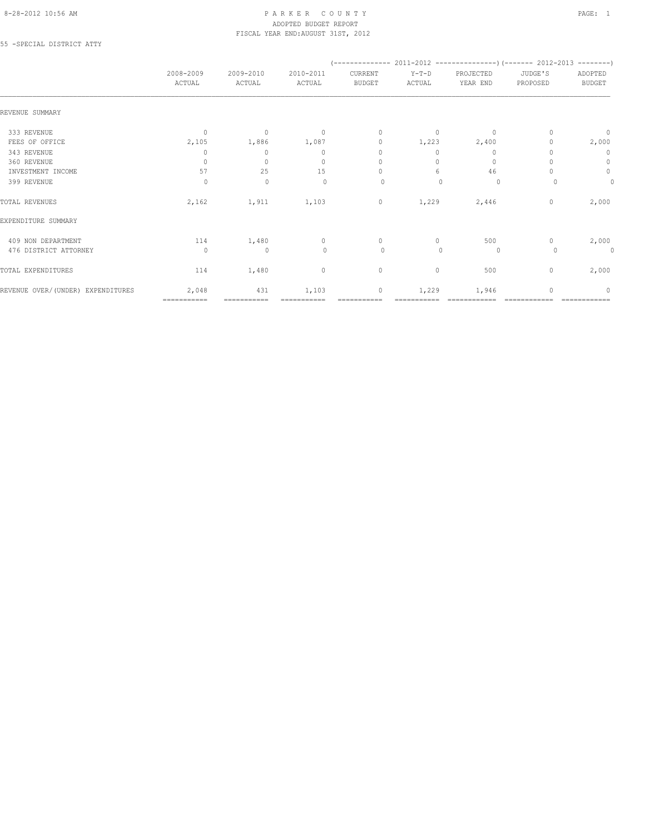#### 8-28-2012 10:56 AM PAGE: 1 PAR K E R C O U N T Y ADOPTED BUDGET REPORT FISCAL YEAR END:AUGUST 31ST, 2012

55 -SPECIAL DISTRICT ATTY

|                                   | 2008-2009<br>ACTUAL | 2009-2010<br>ACTUAL | 2010-2011<br>ACTUAL | CURRENT<br><b>BUDGET</b> | $Y-T-D$<br>ACTUAL | PROJECTED<br>YEAR END | JUDGE'S<br>PROPOSED | ADOPTED<br><b>BUDGET</b> |  |  |
|-----------------------------------|---------------------|---------------------|---------------------|--------------------------|-------------------|-----------------------|---------------------|--------------------------|--|--|
| REVENUE SUMMARY                   |                     |                     |                     |                          |                   |                       |                     |                          |  |  |
| 333 REVENUE                       | $\mathbf{0}$        | $\mathbf{0}$        | $\overline{0}$      | $\mathbf{0}$             | $\circ$           | $\mathbf{0}$          |                     | $\circ$                  |  |  |
| FEES OF OFFICE                    | 2,105               | 1,886               | 1,087               | $\mathbf{0}$             | 1,223             | 2,400                 |                     | 2,000                    |  |  |
| 343 REVENUE                       | 0                   | $\circ$             | $\Omega$            | $\mathbf{0}$             | $\bigcap$         | $\mathbf{0}$          |                     | $\mathbf 0$              |  |  |
| 360 REVENUE                       | $\circ$             | $\mathbf{0}$        | $\mathbf{0}$        | $\mathbf{0}$             | $\bigcap$         | $\mathbf{0}$          |                     | $\circ$                  |  |  |
| INVESTMENT INCOME                 | 57                  | 25                  | 15                  | $\mathbf{0}$             | 6                 | 46                    |                     | $\circ$                  |  |  |
| 399 REVENUE                       | $\circ$             | $\mathbf 0$         | $\mathbf{0}$        | 0                        |                   | 0                     |                     | $\mathbf{0}$             |  |  |
| TOTAL REVENUES                    | 2,162               | 1,911               | 1,103               | $\circ$                  | 1,229             | 2,446                 | $\mathbf{0}$        | 2,000                    |  |  |
| EXPENDITURE SUMMARY               |                     |                     |                     |                          |                   |                       |                     |                          |  |  |
| 409 NON DEPARTMENT                | 114                 | 1,480               | $\circ$             | $\circ$                  | $\circ$           | 500                   | 0                   | 2,000                    |  |  |
| 476 DISTRICT ATTORNEY             | $\Omega$            | $\mathbf 0$         | $\circ$             | $\circ$                  | $\Omega$          | $\circ$               |                     | 0                        |  |  |
| TOTAL EXPENDITURES                | 114                 | 1,480               | $\mathbf 0$         | $\circ$                  | 0                 | 500                   | $\mathbf{0}$        | 2,000                    |  |  |
| REVENUE OVER/(UNDER) EXPENDITURES | 2,048               | 431                 | 1,103               | $\circ$                  | 1,229             | 1,946                 |                     | $\Omega$                 |  |  |
|                                   | ============        | ===========         |                     |                          |                   |                       |                     |                          |  |  |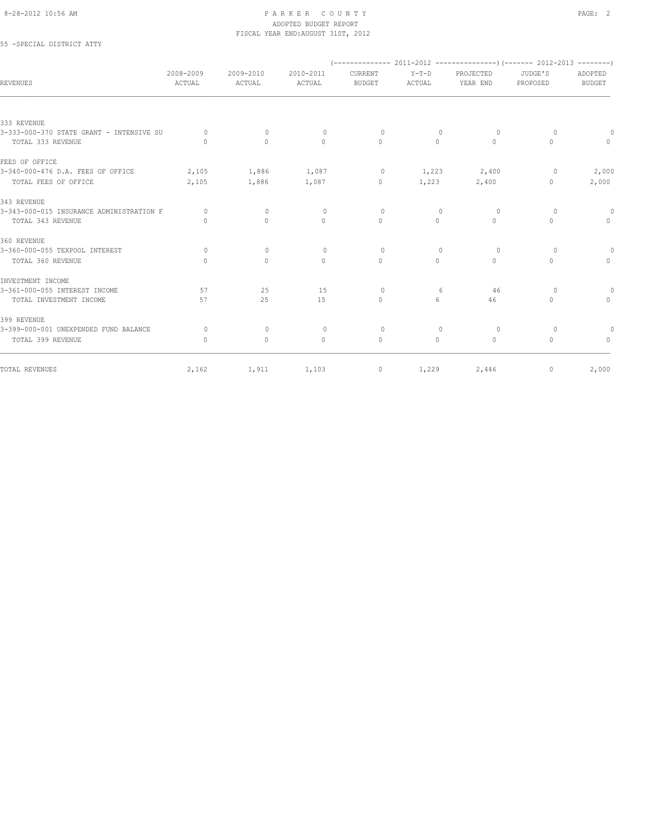### 8-28-2012 10:56 AM PAGE: 2 ADOPTED BUDGET REPORT FISCAL YEAR END:AUGUST 31ST, 2012

## 55 -SPECIAL DISTRICT ATTY

| REVENUES                                 | 2008-2009<br>ACTUAL              | 2009-2010<br>ACTUAL | 2010-2011<br>ACTUAL | CURRENT<br><b>BUDGET</b>         | $Y-T-D$<br>ACTUAL | PROJECTED<br>YEAR END | JUDGE'S<br>PROPOSED | ADOPTED<br><b>BUDGET</b> |
|------------------------------------------|----------------------------------|---------------------|---------------------|----------------------------------|-------------------|-----------------------|---------------------|--------------------------|
|                                          |                                  |                     |                     |                                  |                   |                       |                     |                          |
| 333 REVENUE                              |                                  |                     |                     |                                  |                   |                       |                     |                          |
| 3-333-000-370 STATE GRANT - INTENSIVE SU | $\Omega$                         | $\Omega$            | $\circ$             | $\Omega$                         | $\Omega$          | $\Omega$              | $\Omega$            | $\Omega$                 |
| TOTAL 333 REVENUE                        | $\bigcap$                        | $\Omega$            | $\Omega$            | $\Omega$                         | $\Omega$          | $\Omega$              | $\Omega$            | $\Omega$                 |
| FEES OF OFFICE                           |                                  |                     |                     |                                  |                   |                       |                     |                          |
| 3-340-000-476 D.A. FEES OF OFFICE        | 2,105                            | 1,886               | 1,087               | $\circ$                          |                   | 1,223 2,400           | 0                   | 2,000                    |
| TOTAL FEES OF OFFICE                     | 2,105                            | 1,886               | 1,087               | $\circ$                          | 1,223             | 2,400                 | $\circ$             | 2,000                    |
| 343 REVENUE                              |                                  |                     |                     |                                  |                   |                       |                     |                          |
| 3-343-000-015 INSURANCE ADMINISTRATION F | $\Omega$                         | $\circ$             | $\circ$             | $\Omega$                         | $\Omega$          | $\Omega$              | $\Omega$            | $\Omega$                 |
| TOTAL 343 REVENUE                        | $\begin{array}{c} \n\end{array}$ | $\Omega$            | $\mathbf{0}$        | $\Omega$                         | $\circ$           | 0                     | 0                   | $\circ$                  |
| 360 REVENUE                              |                                  |                     |                     |                                  |                   |                       |                     |                          |
| 3-360-000-055 TEXPOOL INTEREST           | $\circ$                          | $\mathbf{0}$        | $\circ$             | $\Omega$                         | $\Omega$          | $\Omega$              | $\Omega$            | $\circ$                  |
| TOTAL 360 REVENUE                        | $\Omega$                         | $\mathbf{0}$        | $\mathbf{0}$        | $\Omega$                         | $\Omega$          | $\Omega$              | $\Omega$            | $\Omega$                 |
| INVESTMENT INCOME                        |                                  |                     |                     |                                  |                   |                       |                     |                          |
| 3-361-000-055 INTEREST INCOME            | 57                               | 25                  | 15                  | $\circ$                          | 6                 | 46                    | $\circ$             | $\Omega$                 |
| TOTAL INVESTMENT INCOME                  | 57                               | 25                  | 1.5                 | $\begin{array}{c} \n\end{array}$ | 6                 | 46                    | $\Omega$            | $\Omega$                 |
| 399 REVENUE                              |                                  |                     |                     |                                  |                   |                       |                     |                          |
| 3-399-000-001 UNEXPENDED FUND BALANCE    | $\Omega$                         | $\mathbf{0}$        | $\circ$             | $\circ$                          | $\Omega$          | $\circ$               | $\Omega$            |                          |
| TOTAL 399 REVENUE                        | $\begin{array}{c} \n\end{array}$ | $\mathbf{0}$        | $\Omega$            | $\Omega$                         | $\bigcap$         | $\Omega$              | $\Omega$            | $\Omega$                 |
| TOTAL REVENUES                           | 2,162                            | 1,911               | 1,103               | $\circ$                          | 1,229             | 2,446                 | 0                   | 2,000                    |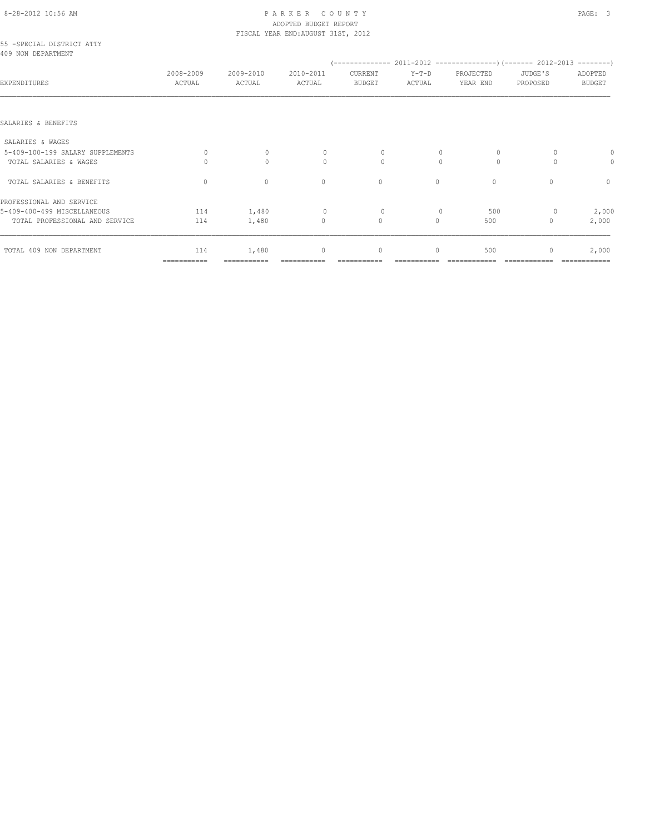# 8-28-2012 10:56 AM P A R K E R C O U N T Y PAGE: 3 ADOPTED BUDGET REPORT

|                                                  |                     |                     | FISCAL YEAR END: AUGUST 31ST, 2012 |                   |                   |                       |                                  |                          |
|--------------------------------------------------|---------------------|---------------------|------------------------------------|-------------------|-------------------|-----------------------|----------------------------------|--------------------------|
| 55 - SPECIAL DISTRICT ATTY<br>409 NON DEPARTMENT |                     |                     |                                    |                   |                   |                       |                                  |                          |
| EXPENDITURES                                     | 2008-2009<br>ACTUAL | 2009-2010<br>ACTUAL | 2010-2011<br>ACTUAL                | CURRENT<br>BUDGET | $Y-T-D$<br>ACTUAL | PROJECTED<br>YEAR END | JUDGE'S<br>PROPOSED              | ADOPTED<br><b>BUDGET</b> |
|                                                  |                     |                     |                                    |                   |                   |                       |                                  |                          |
| SALARIES & BENEFITS                              |                     |                     |                                    |                   |                   |                       |                                  |                          |
| SALARIES & WAGES                                 |                     |                     |                                    |                   |                   |                       |                                  |                          |
| 5-409-100-199 SALARY SUPPLEMENTS                 | $\circ$             | $\mathbf{0}$        | $\mathbf{0}$                       | 0                 | $\mathbf{0}$      | $\circ$               | 0                                |                          |
| TOTAL SALARIES & WAGES                           | 0                   | $\mathbf{0}$        | $\circ$                            | 0                 | $\mathbf{0}$      | $\Omega$              | $\Omega$                         | 0                        |
| TOTAL SALARIES & BENEFITS                        | $\mathbf{0}$        | $\circ$             | $\mathbf{0}$                       | $\mathbf{0}$      | $\circ$           | $\circ$               | $\begin{array}{c} \n\end{array}$ | $\mathbf{0}$             |
| PROFESSIONAL AND SERVICE                         |                     |                     |                                    |                   |                   |                       |                                  |                          |
| 5-409-400-499 MISCELLANEOUS                      | 114                 | 1,480               | $\Omega$                           | $\circ$           | $\Omega$          | 500                   | 0                                | 2,000                    |
| TOTAL PROFESSIONAL AND SERVICE                   | 114                 | 1,480               | $\circ$                            | $\circ$           | $\circ$           | 500                   | 0                                | 2,000                    |
| TOTAL 409 NON DEPARTMENT                         | 114                 | 1,480               | $\mathbf 0$                        | $\mathbb O$       | 0                 | 500                   | 0                                | 2,000                    |

=========== =========== =========== =========== =========== ============ ============ ============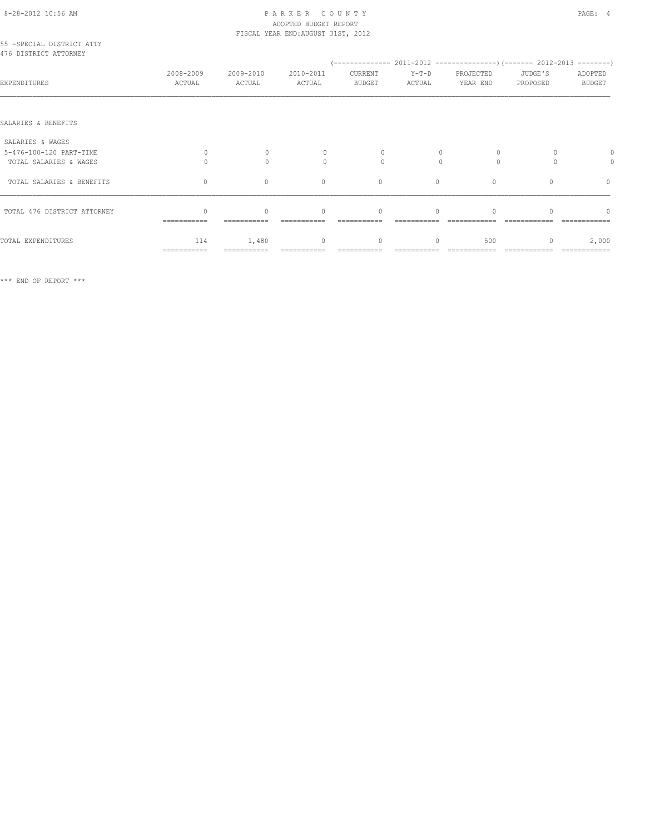#### 8-28-2012 10:56 AM P A R K E R C O U N T Y PAGE: 4 ADOPTED BUDGET REPORT FISCAL YEAR END:AUGUST 31ST, 2012

| 55 - SPECIAL DISTRICT ATTY<br>476 DISTRICT ATTORNEY |                     |                     |                     |                          |                   |                       |                     |                          |
|-----------------------------------------------------|---------------------|---------------------|---------------------|--------------------------|-------------------|-----------------------|---------------------|--------------------------|
|                                                     |                     |                     |                     |                          |                   |                       |                     |                          |
| EXPENDITURES                                        | 2008-2009<br>ACTUAL | 2009-2010<br>ACTUAL | 2010-2011<br>ACTUAL | CURRENT<br><b>BUDGET</b> | $Y-T-D$<br>ACTUAL | PROJECTED<br>YEAR END | JUDGE'S<br>PROPOSED | ADOPTED<br><b>BUDGET</b> |
|                                                     |                     |                     |                     |                          |                   |                       |                     |                          |
| SALARIES & BENEFITS                                 |                     |                     |                     |                          |                   |                       |                     |                          |
| SALARIES & WAGES                                    |                     |                     |                     |                          |                   |                       |                     |                          |
| 5-476-100-120 PART-TIME                             | $\Omega$            | $\Omega$            | $\Omega$            | 0                        |                   | $\circ$               |                     |                          |
| TOTAL SALARIES & WAGES                              | $\cap$              | $\bigcap$           | $\bigcap$           | $\cap$                   | $\bigcap$         | $\Omega$              | $\bigcap$           | 0                        |
| TOTAL SALARIES & BENEFITS                           | $\mathbf{0}$        | $\circ$             | $\mathbf{0}$        | $\mathbf{0}$             | $\circ$           | $\circ$               | $\Omega$            | $\circ$                  |
| TOTAL 476 DISTRICT ATTORNEY                         |                     | $\bigcap$           | $\Omega$            | $\Omega$                 | $\Omega$          |                       |                     | $\bigcap$                |
|                                                     | ===========         |                     |                     |                          |                   |                       |                     |                          |
| TOTAL EXPENDITURES                                  | 114                 | 1,480               | $\circ$             | $\mathbf{0}$             | 0                 | 500                   |                     | 2,000                    |
|                                                     | ===========         |                     |                     |                          |                   |                       |                     | =============            |

\*\*\* END OF REPORT \*\*\*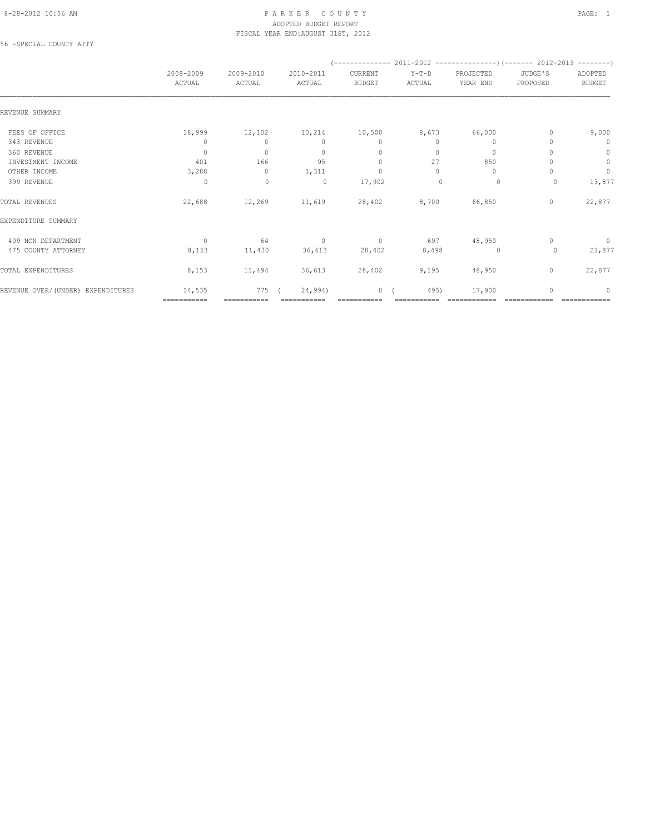#### 8-28-2012 10:56 AM PAGE: 1 PAR K E R C O U N T Y ADOPTED BUDGET REPORT FISCAL YEAR END:AUGUST 31ST, 2012

56 -SPECIAL COUNTY ATTY

|                                   | 2008-2009<br>ACTUAL | 2009-2010<br>ACTUAL | 2010-2011<br>ACTUAL | CURRENT<br><b>BUDGET</b> | Y-T-D<br>ACTUAL | PROJECTED<br>YEAR END            | JUDGE'S<br>PROPOSED | ADOPTED<br><b>BUDGET</b> |
|-----------------------------------|---------------------|---------------------|---------------------|--------------------------|-----------------|----------------------------------|---------------------|--------------------------|
| REVENUE SUMMARY                   |                     |                     |                     |                          |                 |                                  |                     |                          |
| FEES OF OFFICE                    | 18,999              | 12,102              | 10,214              | 10,500                   | 8,673           | 66,000                           |                     | 9,000                    |
| 343 REVENUE                       | 0                   | $\mathbf{0}$        | $\mathbf{0}$        | $\mathbf{0}$             | $\circ$         | 0                                |                     | $\mathbf 0$              |
| 360 REVENUE                       | $\mathbf{0}$        | $\mathbf{0}$        | $\mathbf{0}$        | $\mathbf{0}$             | $\Omega$        | $\circ$                          |                     | $\circ$                  |
| INVESTMENT INCOME                 | 401                 | 166                 | 95                  | $\mathbf{0}$             | 27              | 850                              |                     | $\mathbb O$              |
| OTHER INCOME                      | 3,288               | $\Omega$            | 1,311               | $\mathbf{0}$             | $\Omega$        | $\begin{array}{c} \n\end{array}$ |                     | $\circ$                  |
| 399 REVENUE                       | $\circ$             | $\circ$             | $\circ$             | 17,902                   | $\Omega$        | 0                                | 0                   | 13,877                   |
| TOTAL REVENUES                    | 22,688              | 12,269              | 11,619              | 28,402 8,700             |                 | 66,850                           | $\circ$             | 22,877                   |
| EXPENDITURE SUMMARY               |                     |                     |                     |                          |                 |                                  |                     |                          |
| 409 NON DEPARTMENT                | $\Omega$            | 64                  | $\sim$ 0            | $\sim$ 0                 | 697             | 48,950                           | $\Omega$            | $\circ$                  |
| 475 COUNTY ATTORNEY               | 8,153               | 11,430              | 36,613              | 28,402                   | 8,498           | $\overline{0}$                   | 0                   | 22,877                   |
| TOTAL EXPENDITURES                | 8,153               | 11,494              | 36,613              | 28,402                   | 9,195           | 48,950                           | $\mathbf{0}$        | 22,877                   |
| REVENUE OVER/(UNDER) EXPENDITURES | 14,535              | 775                 | 24,994)             | $\circ$                  | 495)            | 17,900                           |                     | $\Omega$                 |
|                                   | ============        |                     |                     |                          |                 |                                  |                     |                          |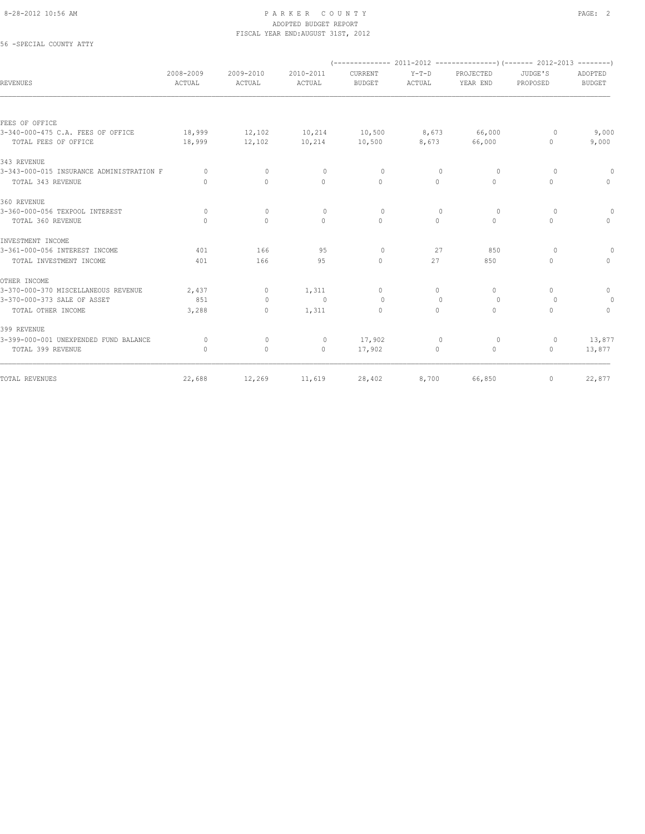### 8-28-2012 10:56 AM PAGE: 2 ADOPTED BUDGET REPORT FISCAL YEAR END:AUGUST 31ST, 2012

56 -SPECIAL COUNTY ATTY

| <b>REVENUES</b>                          | 2008-2009<br>ACTUAL              | 2009-2010<br>ACTUAL | 2010-2011<br>ACTUAL | CURRENT<br><b>BUDGET</b> | $Y-T-D$<br>ACTUAL                | PROJECTED<br>YEAR END | JUDGE'S<br>PROPOSED | ADOPTED<br><b>BUDGET</b> |
|------------------------------------------|----------------------------------|---------------------|---------------------|--------------------------|----------------------------------|-----------------------|---------------------|--------------------------|
|                                          |                                  |                     |                     |                          |                                  |                       |                     |                          |
| FEES OF OFFICE                           |                                  |                     |                     |                          |                                  |                       |                     |                          |
| 3-340-000-475 C.A. FEES OF OFFICE        | 18,999                           | 12,102              | 10,214              | 10,500                   | 8,673                            | 66,000                | 0                   | 9,000                    |
| TOTAL FEES OF OFFICE                     | 18,999                           | 12,102              | 10,214              | 10,500                   | 8,673                            | 66,000                | 0                   | 9,000                    |
| 343 REVENUE                              |                                  |                     |                     |                          |                                  |                       |                     |                          |
| 3-343-000-015 INSURANCE ADMINISTRATION F | $\Omega$                         | $\Omega$            | $\Omega$            | $\Omega$                 | $\Omega$                         | $\Omega$              | $\Omega$            | $\Omega$                 |
| TOTAL 343 REVENUE                        | $\bigcap$                        | $\Omega$            | $\Omega$            | $\Omega$                 | $\Omega$                         | $\Omega$              | $\Omega$            | $\Omega$                 |
| 360 REVENUE                              |                                  |                     |                     |                          |                                  |                       |                     |                          |
| 3-360-000-056 TEXPOOL INTEREST           | $\circ$                          | $\mathbf{0}$        | $\circ$             | $\circ$                  | $\mathbf{0}$                     | 0                     | $\circ$             | $\circ$                  |
| TOTAL 360 REVENUE                        | $\begin{array}{c} \n\end{array}$ | $\Omega$            | $\Omega$            | $\Omega$                 | $\Omega$                         | $\Omega$              | $\Omega$            | $\circ$                  |
| INVESTMENT INCOME                        |                                  |                     |                     |                          |                                  |                       |                     |                          |
| 3-361-000-056 INTEREST INCOME            | 401                              | 166                 | 95                  | $\circ$                  | 27                               | 850                   | $\Omega$            | $\Omega$                 |
| TOTAL INVESTMENT INCOME                  | 401                              | 166                 | 95                  | $\mathbf{0}$             | 27                               | 850                   | $\Omega$            | $\Omega$                 |
| OTHER INCOME                             |                                  |                     |                     |                          |                                  |                       |                     |                          |
| 3-370-000-370 MISCELLANEOUS REVENUE      | 2,437                            | $\circ$             | 1,311               | $\Omega$                 | $\Omega$                         | $\Omega$              | $\Omega$            | $\mathbf{0}$             |
| 3-370-000-373 SALE OF ASSET              | 851                              | $\Omega$            | $\Omega$            | $\Omega$                 | $\begin{array}{c} \n\end{array}$ | $\Omega$              | $\Omega$            | $\circ$                  |
| TOTAL OTHER INCOME                       | 3,288                            | 0                   | 1,311               | $\mathbf{0}$             | $\circ$                          | $\Omega$              | $\Omega$            | $\Omega$                 |
| 399 REVENUE                              |                                  |                     |                     |                          |                                  |                       |                     |                          |
| 3-399-000-001 UNEXPENDED FUND BALANCE    | $\Omega$                         | $\mathbf{0}$        | $\circ$             | 17,902                   | $\mathbf{0}$                     | 0                     | $\circ$             | 13,877                   |
| TOTAL 399 REVENUE                        | $\begin{array}{c} \n\end{array}$ | $\circ$             | $\circ$             | 17,902                   | $\Omega$                         | $\circ$               | $\Omega$            | 13,877                   |
| TOTAL REVENUES                           | 22,688                           | 12,269              | 11,619              | 28,402                   | 8,700                            | 66,850                | 0                   | 22,877                   |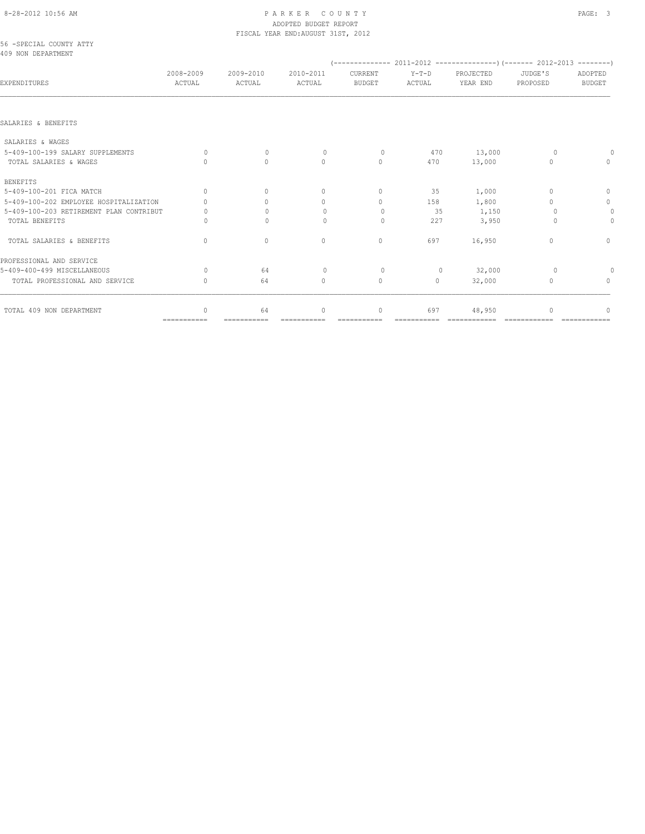# 8-28-2012 10:56 AM P A R K E R C O U N T Y PAGE: 3 ADOPTED BUDGET REPORT

|                                                |                     |                     | FISCAL YEAR END: AUGUST 31ST, 2012 |                          |                   |                                                                        |                                  |                                  |
|------------------------------------------------|---------------------|---------------------|------------------------------------|--------------------------|-------------------|------------------------------------------------------------------------|----------------------------------|----------------------------------|
| 56 - SPECIAL COUNTY ATTY<br>409 NON DEPARTMENT |                     |                     |                                    |                          |                   |                                                                        |                                  |                                  |
|                                                |                     |                     |                                    |                          |                   | $(---------- 2011-2012$ ----------------) (------- 2012-2013 --------) |                                  |                                  |
| EXPENDITURES                                   | 2008-2009<br>ACTUAL | 2009-2010<br>ACTUAL | 2010-2011<br>ACTUAL                | CURRENT<br><b>BUDGET</b> | $Y-T-D$<br>ACTUAL | PROJECTED<br>YEAR END                                                  | JUDGE'S<br>PROPOSED              | ADOPTED<br><b>BUDGET</b>         |
| SALARIES & BENEFITS                            |                     |                     |                                    |                          |                   |                                                                        |                                  |                                  |
| SALARIES & WAGES                               |                     |                     |                                    |                          |                   |                                                                        |                                  |                                  |
| 5-409-100-199 SALARY SUPPLEMENTS               | $\Omega$            | $\mathbf{0}$        |                                    | $\circ$                  | 470               |                                                                        |                                  |                                  |
| TOTAL SALARIES & WAGES                         |                     | $\Omega$            | $\circ$<br>$\circ$                 | $\mathbf{0}$             | 470               | 13,000<br>13,000                                                       | 0<br>$\Omega$                    | $\Omega$                         |
| <b>BENEFITS</b>                                |                     |                     |                                    |                          |                   |                                                                        |                                  |                                  |
| 5-409-100-201 FICA MATCH                       | $\Omega$            | $\Omega$            | $\circ$                            | $\Omega$                 | 35                | 1,000                                                                  | $\begin{array}{c} \n\end{array}$ | $\circ$                          |
| 5-409-100-202 EMPLOYEE HOSPITALIZATION         | $\cap$              | $\Omega$            | $\mathbf{0}$                       | $\circ$                  | 158               | 1,800                                                                  | $\cap$                           | $\circ$                          |
| 5-409-100-203 RETIREMENT PLAN CONTRIBUT        | U                   | $\Omega$            | $\begin{array}{c} \n\end{array}$   | $\Omega$                 | 35                | 1,150                                                                  | ∩                                | 0                                |
| TOTAL BENEFITS                                 | Ω                   | $\bigcap$           | $\begin{array}{c} \n\end{array}$   | $\bigcap$                | 227               | 3,950                                                                  | $\Omega$                         | 0                                |
| TOTAL SALARIES & BENEFITS                      | $\mathbf{0}$        | $\circ$             | $\mathbf{0}$                       | $\mathbf{0}$             | 697               | 16,950                                                                 | $\mathbf{0}$                     | $\circ$                          |
| PROFESSIONAL AND SERVICE                       |                     |                     |                                    |                          |                   |                                                                        |                                  |                                  |
| 5-409-400-499 MISCELLANEOUS                    | $\Omega$            | 64                  | $\Omega$                           | $\Omega$                 | $\Omega$          | 32,000                                                                 | $\Omega$                         |                                  |
| TOTAL PROFESSIONAL AND SERVICE                 | $\mathbf{0}$        | 64                  | $\circ$                            | $\mathbf{0}$             | $\circ$           | 32,000                                                                 | $\mathbf{0}$                     | $\begin{array}{c} \n\end{array}$ |
| TOTAL 409 NON DEPARTMENT                       | $\cap$              | 64                  | $\mathbf{0}$                       | 0                        | 697               | 48,950                                                                 |                                  | $\cup$                           |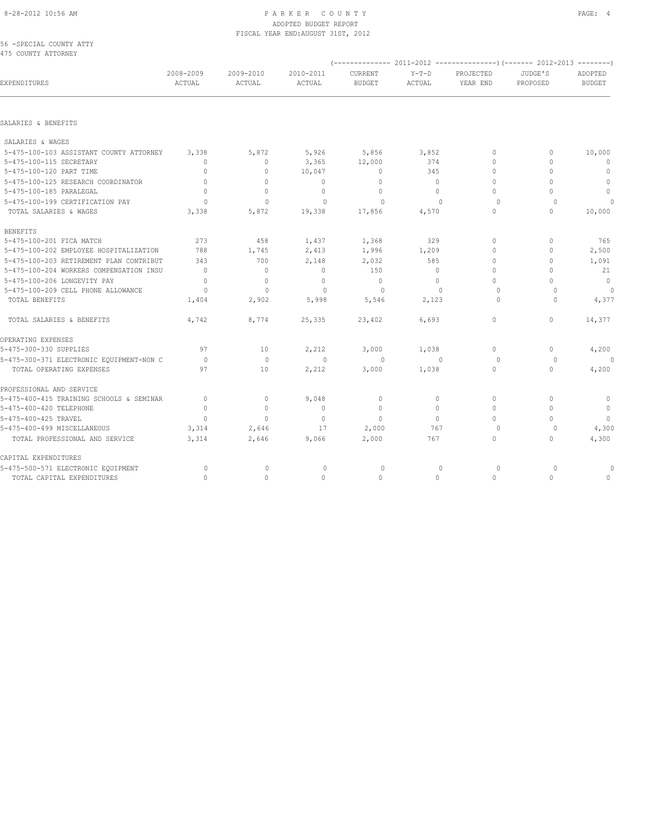### 8-28-2012 10:56 AM PAGE: 4 ADOPTED BUDGET REPORT FISCAL YEAR END:AUGUST 31ST, 2012

|  | 56 -SPECIAL COUNTY ATTY |  |
|--|-------------------------|--|
|  | 475 COUNTY ATTORNEY     |  |

| EXPENDITURES                             | 2008-2009<br>ACTUAL | 2009-2010<br>ACTUAL | 2010-2011<br>ACTUAL | CURRENT<br><b>BUDGET</b> | $Y-T-D$<br>ACTUAL | PROJECTED<br>YEAR END | JUDGE'S<br>PROPOSED | ADOPTED<br><b>BUDGET</b> |
|------------------------------------------|---------------------|---------------------|---------------------|--------------------------|-------------------|-----------------------|---------------------|--------------------------|
|                                          |                     |                     |                     |                          |                   |                       |                     |                          |
| SALARIES & BENEFITS                      |                     |                     |                     |                          |                   |                       |                     |                          |
| SALARIES & WAGES                         |                     |                     |                     |                          |                   |                       |                     |                          |
| 5-475-100-103 ASSISTANT COUNTY ATTORNEY  | 3,338               | 5,872               | 5,926               | 5,856                    | 3,852             | 0                     | $\mathbf{0}$        | 10,000                   |
| 5-475-100-115 SECRETARY                  | $\mathbf{0}$        | 0                   | 3,365               | 12,000                   | 374               | 0                     | $\Omega$            | 0                        |
| 5-475-100-120 PART TIME                  | $\mathbf{0}$        | 0                   | 10,047              | 0                        | 345               | 0                     | $\circ$             | $\mathbf{0}$             |
| 5-475-100-125 RESEARCH COORDINATOR       | $\mathbf{0}$        | $\mathbf{0}$        | $\mathbf{0}$        | $\mathbf{0}$             | $\circ$           | 0                     | $\circ$             | $\mathbf{0}$             |
| 5-475-100-185 PARALEGAL                  | $\Omega$            | $\mathbf{0}$        | $\mathbf 0$         | $\mathbf{0}$             | $\circ$           | $\Omega$              | U                   | $\mathbf{0}$             |
| 5-475-100-199 CERTIFICATION PAY          | $\Omega$            | $\mathbf{0}$        | 0                   | $\Omega$                 | $\Omega$          | $\circ$               | $\Omega$            |                          |
| TOTAL SALARIES & WAGES                   | 3,338               | 5,872               | 19,338              | 17,856                   | 4,570             | 0                     | $\mathbf{0}$        | 10,000                   |
| <b>BENEFITS</b>                          |                     |                     |                     |                          |                   |                       |                     |                          |
| 5-475-100-201 FICA MATCH                 | 273                 | 458                 | 1,437               | 1,368                    | 329               | 0                     | $\circ$             | 765                      |
| 5-475-100-202 EMPLOYEE HOSPITALIZATION   | 788                 | 1,745               | 2,413               | 1,996                    | 1,209             | 0                     | 0                   | 2,500                    |
| 5-475-100-203 RETIREMENT PLAN CONTRIBUT  | 343                 | 700                 | 2,148               | 2,032                    | 585               | 0                     | 0                   | 1,091                    |
| 5-475-100-204 WORKERS COMPENSATION INSU  | $\overline{0}$      | $\circ$             | $\circ$             | 150                      | $\circ$           | 0                     | O                   | 21                       |
| 5-475-100-206 LONGEVITY PAY              | $\mathbf{0}$        | $\mathbf{0}$        | $\mathbf 0$         | $\mathbf{0}$             | $\circ$           | 0                     | 0                   | $\overline{0}$           |
| 5-475-100-209 CELL PHONE ALLOWANCE       | $\circ$             | $\circ$             | $\circ$             | $\circ$                  | $\mathbf{0}$      | 0                     | $\circ$             | $\circ$                  |
| TOTAL BENEFITS                           | 1,404               | 2,902               | 5,998               | 5,546                    | 2,123             | $\Omega$              | $\cap$              | 4,377                    |
| TOTAL SALARIES & BENEFITS                | 4,742               | 8,774               | 25,335              | 23,402                   | 6,693             | 0                     | $\circ$             | 14,377                   |
| OPERATING EXPENSES                       |                     |                     |                     |                          |                   |                       |                     |                          |
| 5-475-300-330 SUPPLIES                   | 97                  | 10                  | 2,212               | 3,000                    | 1,038             | 0                     | 0                   | 4,200                    |
| 5-475-300-371 ELECTRONIC EQUIPMENT-NON C | $\circ$             | $\mathbf 0$         | $\mathbf{0}$        | $\circ$                  | $\mathbf{0}$      | 0                     | 0                   | $\Omega$                 |
| TOTAL OPERATING EXPENSES                 | 97                  | 10                  | 2,212               | 3,000                    | 1,038             | 0                     | $\circ$             | 4,200                    |
| PROFESSIONAL AND SERVICE                 |                     |                     |                     |                          |                   |                       |                     |                          |
| 5-475-400-415 TRAINING SCHOOLS & SEMINAR | $\mathbf{0}$        | $\circ$             | 9,048               | $\mathbf 0$              | $\circ$           | 0                     | $\circ$             | 0                        |
| 5-475-400-420 TELEPHONE                  | $\Omega$            | $\mathbf{0}$        | $\circ$             | $\mathbf{0}$             | $\Omega$          | 0                     | $\Omega$            | $\mathbf{0}$             |
| 5-475-400-425 TRAVEL                     | $\mathbf{0}$        | $\circ$             | $\mathbb O$         | $\mathbf 0$              | $\circ$           | 0                     | $\circ$             | $\overline{0}$           |
| 5-475-400-499 MISCELLANEOUS              | 3,314               | 2,646               | 17                  | 2,000                    | 767               | $\circ$               | $\circ$             | 4,300                    |
| TOTAL PROFESSIONAL AND SERVICE           | 3,314               | 2,646               | 9,066               | 2,000                    | 767               | 0                     | 0                   | 4,300                    |
| CAPITAL EXPENDITURES                     |                     |                     |                     |                          |                   |                       |                     |                          |
| 5-475-500-571 ELECTRONIC EQUIPMENT       | 0                   | 0                   | 0                   | 0                        | $\mathbf{0}$      | $\circ$               | 0                   |                          |
| TOTAL CAPITAL EXPENDITURES               | $\mathbf{0}$        | 0                   | $\mathbf{0}$        | $\mathbf{0}$             | 0                 | 0                     | $\circ$             | 0                        |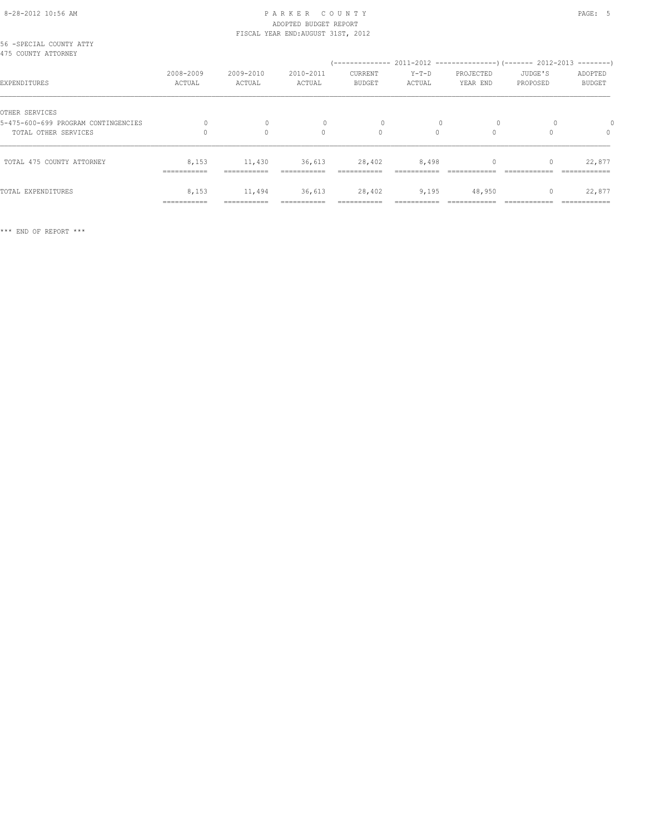### 8-28-2012 10:56 AM P A R K E R C O U N T Y PAGE: 5 ADOPTED BUDGET REPORT FISCAL YEAR END:AUGUST 31ST, 2012

| 56 -SPECIAL COUNTY ATTY<br>475 COUNTY ATTORNEY |                      |                        |                     |                          |                   |                       |                     |                          |
|------------------------------------------------|----------------------|------------------------|---------------------|--------------------------|-------------------|-----------------------|---------------------|--------------------------|
| EXPENDITURES                                   | 2008-2009<br>ACTUAL  | 2009-2010<br>ACTUAL    | 2010-2011<br>ACTUAL | CURRENT<br><b>BUDGET</b> | $Y-T-D$<br>ACTUAL | PROJECTED<br>YEAR END | JUDGE'S<br>PROPOSED | ADOPTED<br><b>BUDGET</b> |
| OTHER SERVICES                                 |                      |                        |                     |                          |                   |                       |                     |                          |
| 5-475-600-699 PROGRAM CONTINGENCIES            |                      |                        |                     |                          |                   |                       |                     |                          |
| TOTAL OTHER SERVICES                           |                      | $\Omega$               | $\Omega$            | $\Omega$                 | $\Omega$          | $\Omega$              |                     | $\Omega$                 |
| TOTAL 475 COUNTY ATTORNEY                      | 8,153<br>----------- | 11,430<br>------------ | 36,613              | 28,402                   | 8,498             |                       |                     | 22,877                   |
| TOTAL EXPENDITURES                             | 8,153<br>=========== | 11,494<br>===========  | 36,613              | 28,402<br>===========    | 9,195             | 48,950                |                     | 22,877                   |

\*\*\* END OF REPORT \*\*\*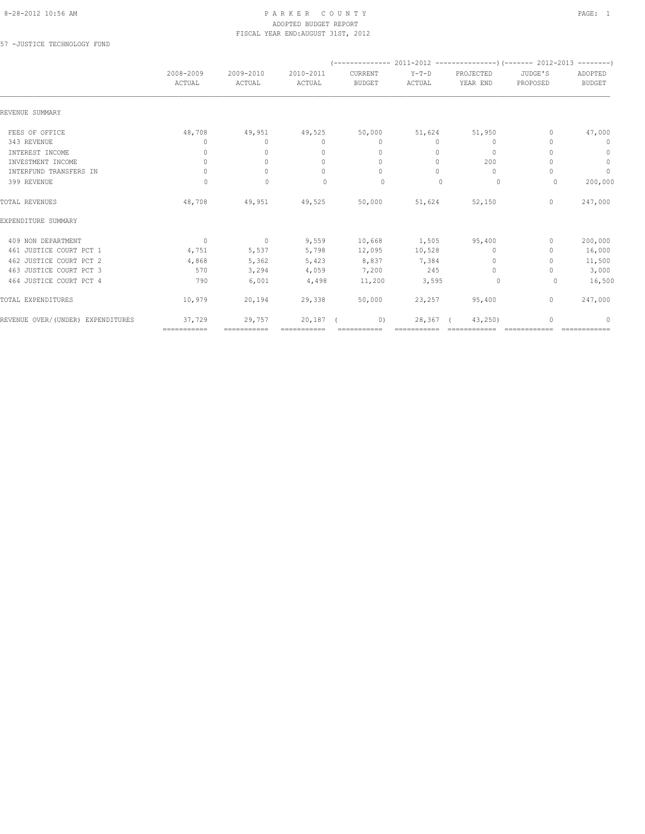#### 8-28-2012 10:56 AM PAGE: 1 PAR K E R C O U N T Y ADOPTED BUDGET REPORT FISCAL YEAR END:AUGUST 31ST, 2012

57 -JUSTICE TECHNOLOGY FUND

|                                   | 2008-2009                        | 2009-2010    | 2010-2011                        | CURRENT                          | $Y-T-D$     | PROJECTED    | JUDGE'S      | ADOPTED       |
|-----------------------------------|----------------------------------|--------------|----------------------------------|----------------------------------|-------------|--------------|--------------|---------------|
|                                   | ACTUAL                           | ACTUAL       | ACTUAL                           | <b>BUDGET</b>                    | ACTUAL      | YEAR END     | PROPOSED     | <b>BUDGET</b> |
| REVENUE SUMMARY                   |                                  |              |                                  |                                  |             |              |              |               |
| FEES OF OFFICE                    | 48,708                           | 49,951       | 49,525                           | 50,000                           | 51,624      | 51,950       | 0            | 47,000        |
| 343 REVENUE                       | 0                                | $\circ$      | $\mathbf{0}$                     | $\mathbf{0}$                     | $\circ$     | $\mathbf{0}$ | 0            | $\mathbf 0$   |
| INTEREST INCOME                   | 0                                | $\Omega$     | $\begin{array}{c} \n\end{array}$ | $\begin{array}{c} \n\end{array}$ | $\bigcap$   | $\bigcap$    |              | 0             |
| INVESTMENT INCOME                 | $\mathbf{0}$                     | $\circ$      | $\mathbf{0}$                     | $\mathbf{0}$                     | $\bigcap$   | 200          |              | $\mathbf{0}$  |
| INTERFUND TRANSFERS IN            | $\begin{array}{c} \n\end{array}$ | $\Omega$     | $\begin{array}{c} \n\end{array}$ | $\begin{array}{c} \n\end{array}$ | $\Omega$    | $\Omega$     |              | $\circ$       |
| 399 REVENUE                       | $\Omega$                         | $\mathbf{0}$ | $\begin{array}{c} \n\end{array}$ | $\Omega$                         | $\bigcap$   | 0            | $\Omega$     | 200,000       |
| TOTAL REVENUES                    | 48,708                           | 49,951       | 49,525                           | 50,000                           | 51,624      | 52,150       | $\mathbf{0}$ | 247,000       |
| EXPENDITURE SUMMARY               |                                  |              |                                  |                                  |             |              |              |               |
| 409 NON DEPARTMENT                | $\overline{0}$                   | $\sim$ 0     | 9,559                            | 10,668                           | 1,505       | 95,400       | 0            | 200,000       |
| 461 JUSTICE COURT PCT 1           | 4,751                            | 5,537        | 5,798                            | 12,095                           | 10,528      | $\mathbf{0}$ | 0            | 16,000        |
| 462 JUSTICE COURT PCT 2           | 4,868                            | 5,362        | 5,423                            | 8,837                            | 7,384       | $\Omega$     | 0            | 11,500        |
| 463 JUSTICE COURT PCT 3           | 570                              | 3,294        | 4,059                            | 7,200                            | 245         | $\mathbf{0}$ |              | 3,000         |
| 464 JUSTICE COURT PCT 4           | 790                              | 6,001        | 4,498                            | 11,200                           | 3,595       | $\circ$      | $\Omega$     | 16,500        |
| TOTAL EXPENDITURES                | 10,979                           | 20,194       | 29,338                           | 50,000                           | 23,257      | 95,400       | $\mathbf{0}$ | 247,000       |
| REVENUE OVER/(UNDER) EXPENDITURES | 37,729                           | 29,757       | 20,187                           | 0)                               | 28,367      | 43,250)      |              | 0             |
|                                   | ============                     | ===========  | ============                     | ===========                      | =========== |              |              |               |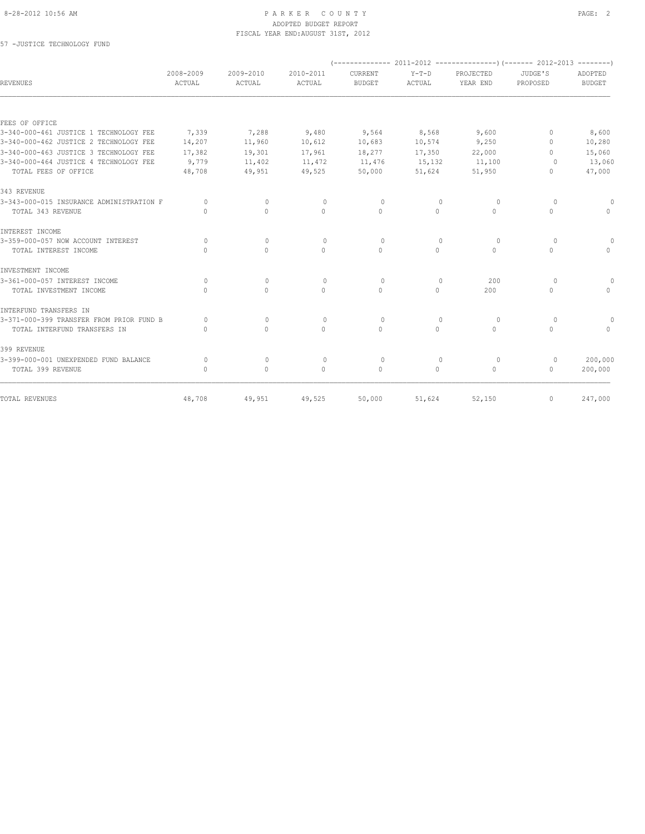#### 8-28-2012 10:56 AM PAGE: 2 ADOPTED BUDGET REPORT FISCAL YEAR END:AUGUST 31ST, 2012

57 -JUSTICE TECHNOLOGY FUND

| 2008-2009<br>ACTUAL                           | 2009-2010<br><b>ACTUAL</b>       | 2010-2011<br>ACTUAL | CURRENT<br><b>BUDGET</b> | $Y-T-D$<br>ACTUAL                | PROJECTED<br>YEAR END | JUDGE'S<br>PROPOSED | ADOPTED<br><b>BUDGET</b> |
|-----------------------------------------------|----------------------------------|---------------------|--------------------------|----------------------------------|-----------------------|---------------------|--------------------------|
|                                               |                                  |                     |                          |                                  |                       |                     |                          |
|                                               |                                  |                     |                          |                                  |                       |                     |                          |
| 7,339                                         | 7,288                            | 9,480               | 9,564                    | 8,568                            | 9,600                 | 0                   | 8,600                    |
| 14,207                                        | 11,960                           | 10,612              | 10,683                   | 10,574                           | 9,250                 | $\Omega$            | 10,280                   |
| 17,382                                        | 19,301                           | 17,961              | 18,277                   | 17,350                           | 22,000                | $\bigcap$           | 15,060                   |
| 9,779                                         | 11,402                           | 11,472              | 11,476                   | 15,132                           | 11,100                | $\Omega$            | 13,060                   |
| 48,708                                        | 49,951                           | 49,525              | 50,000                   | 51,624                           | 51,950                | $\Omega$            | 47,000                   |
|                                               |                                  |                     |                          |                                  |                       |                     |                          |
| 0                                             | $\mathbf{0}$                     | $\circ$             | $\circ$                  | $\mathbf{0}$                     | 0                     | $\circ$             |                          |
| $\bigcap$                                     | $\mathbf{0}$                     | $\Omega$            | $\Omega$                 | $\Omega$                         | $\Omega$              | $\mathbf{0}$        | $\cap$                   |
|                                               |                                  |                     |                          |                                  |                       |                     |                          |
| $\Omega$                                      | $\mathbf{0}$                     | $\mathbf{0}$        | $\circ$                  | $\mathbf{0}$                     | $\circ$               | $\circ$             | $\circ$                  |
| $\cap$                                        | $\Omega$                         | $\Omega$            | $\Omega$                 | $\Omega$                         | $\circ$               | $\mathbf 0$         | $\Omega$                 |
|                                               |                                  |                     |                          |                                  |                       |                     |                          |
| $\Omega$                                      | $\circ$                          | $\circ$             | $\circ$                  | $\mathbf{0}$                     | 200                   | $\circ$             |                          |
| $\Omega$                                      | $\mathbf{0}$                     | $\Omega$            | $\Omega$                 | $\circ$                          | 200                   | $\mathbf{0}$        | $\bigcap$                |
|                                               |                                  |                     |                          |                                  |                       |                     |                          |
| 3-371-000-399 TRANSFER FROM PRIOR FUND B<br>0 | $\begin{array}{c} \n\end{array}$ | $\Omega$            | $\Omega$                 | $\begin{array}{c} \n\end{array}$ | $\Omega$              | $\Omega$            |                          |
| $\bigcap$                                     | $\Omega$                         | $\Omega$            | $\Omega$                 | $\Omega$                         | $\Omega$              | $\Omega$            | $\cap$                   |
|                                               |                                  |                     |                          |                                  |                       |                     |                          |
| $\Omega$                                      | $\mathbf{0}$                     | $\circ$             | $\circ$                  | $\mathbf{0}$                     | $\circ$               | $\circ$             | 200,000                  |
| $\begin{array}{c} \n\end{array}$              | $\circ$                          | $\Omega$            | $\mathbf{0}$             | $\circ$                          | $\circ$               | $\circ$             | 200,000                  |
| 48,708                                        | 49,951                           | 49,525              | 50,000                   | 51,624                           | 52,150                | 0                   | 247,000                  |
|                                               |                                  |                     |                          |                                  |                       |                     |                          |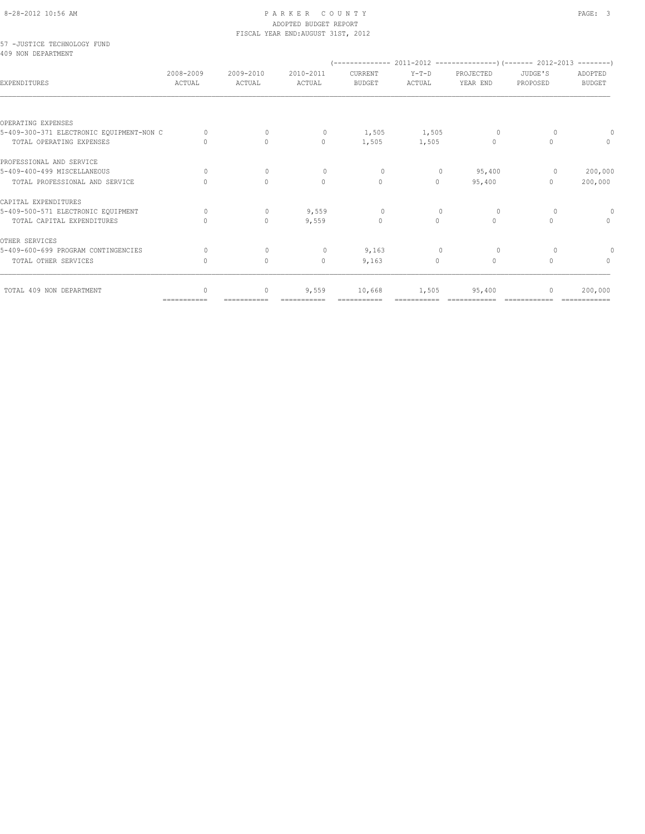#### 8-28-2012 10:56 AM PAGE: 3 ADOPTED BUDGET REPORT FISCAL YEAR END:AUGUST 31ST, 2012

### 57 -JUSTICE TECHNOLOGY FUND 409 NON DEPARTMENT

| YUJ NUN DEFARIMENI                       |                     |                     |                     |                          |                   |                       |                     |                          |
|------------------------------------------|---------------------|---------------------|---------------------|--------------------------|-------------------|-----------------------|---------------------|--------------------------|
| <b>EXPENDITURES</b>                      | 2008-2009<br>ACTUAL | 2009-2010<br>ACTUAL | 2010-2011<br>ACTUAL | CURRENT<br><b>BUDGET</b> | $Y-T-D$<br>ACTUAL | PROJECTED<br>YEAR END | JUDGE'S<br>PROPOSED | ADOPTED<br><b>BUDGET</b> |
|                                          |                     |                     |                     |                          |                   |                       |                     |                          |
| OPERATING EXPENSES                       |                     |                     |                     |                          |                   |                       |                     |                          |
| 5-409-300-371 ELECTRONIC EQUIPMENT-NON C | $\Omega$            | 0                   | $\circ$             | 1,505                    | 1,505             | 0                     | $\Omega$            |                          |
| TOTAL OPERATING EXPENSES                 | $\cap$              | $\Omega$            | $\Omega$            | 1,505                    | 1,505             | $\Omega$              | $\Omega$            | $\bigcap$                |
| PROFESSIONAL AND SERVICE                 |                     |                     |                     |                          |                   |                       |                     |                          |
| 5-409-400-499 MISCELLANEOUS              | $\bigcap$           | $\Omega$            | $\bigcap$           | $\Omega$                 | $\mathbf{0}$      | 95,400                | $\circ$             | 200,000                  |
| TOTAL PROFESSIONAL AND SERVICE           |                     | $\Omega$            | $\circ$             | $\Omega$                 | $\Omega$          | 95,400                | $\Omega$            | 200,000                  |
| CAPITAL EXPENDITURES                     |                     |                     |                     |                          |                   |                       |                     |                          |
| 5-409-500-571 ELECTRONIC EQUIPMENT       | $\bigcap$           | $\Omega$            | 9,559               | $\Omega$                 | $\Omega$          | $\Omega$              | $\Omega$            | $\Omega$                 |
| TOTAL CAPITAL EXPENDITURES               |                     | $\mathbf{0}$        | 9,559               | $\mathbf{0}$             | $\Omega$          | $\Omega$              | $\Omega$            | $\Omega$                 |
| OTHER SERVICES                           |                     |                     |                     |                          |                   |                       |                     |                          |
| 5-409-600-699 PROGRAM CONTINGENCIES      | $\Omega$            | $\Omega$            | $\circ$             | 9,163                    | $\mathbf{0}$      | 0                     | $\Omega$            |                          |
| TOTAL OTHER SERVICES                     | 0                   | $\circ$             | $\mathbf{0}$        | 9,163                    | $\circ$           | 0                     | $\Omega$            | $\Omega$                 |
| TOTAL 409 NON DEPARTMENT                 | $\cap$              | $\mathbf{0}$        | 9,559               | 10,668                   | 1,505             | 95,400                | $\bigcap$           | 200,000                  |
|                                          | ===========         |                     |                     |                          |                   |                       |                     |                          |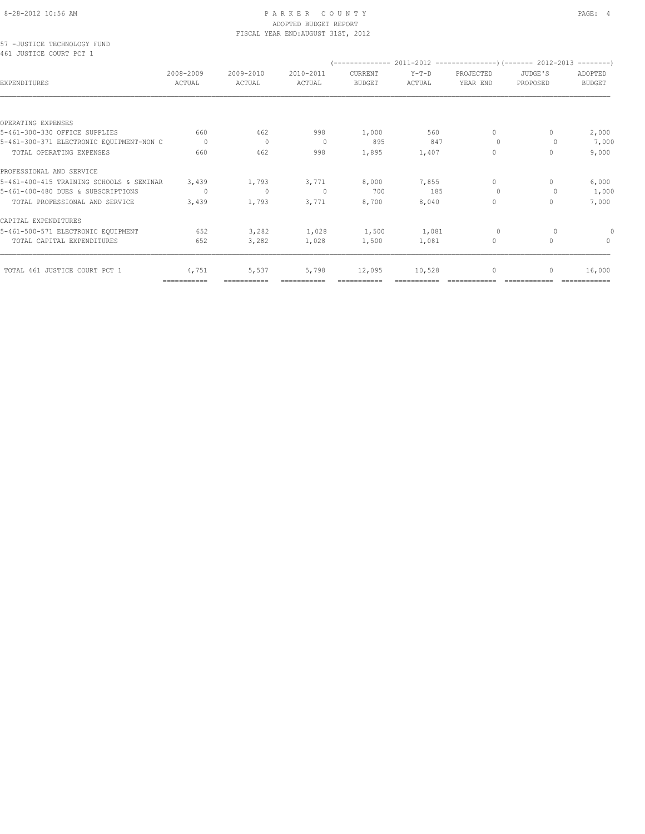#### 8-28-2012 10:56 AM P A R K E R C O U N T Y PAGE: 4 ADOPTED BUDGET REPORT FISCAL YEAR END:AUGUST 31ST, 2012

57 -JUSTICE TECHNOLOGY FUND 461 JUSTICE COURT PCT 1

| HAT ANGITAR CAAMI ECI T                  |                     |                     |                     |                          |                   |                       |                     |                          |
|------------------------------------------|---------------------|---------------------|---------------------|--------------------------|-------------------|-----------------------|---------------------|--------------------------|
| EXPENDITURES                             | 2008-2009<br>ACTUAL | 2009-2010<br>ACTUAL | 2010-2011<br>ACTUAL | CURRENT<br><b>BUDGET</b> | $Y-T-D$<br>ACTUAL | PROJECTED<br>YEAR END | JUDGE'S<br>PROPOSED | ADOPTED<br><b>BUDGET</b> |
|                                          |                     |                     |                     |                          |                   |                       |                     |                          |
| OPERATING EXPENSES                       |                     |                     |                     |                          |                   |                       |                     |                          |
| 5-461-300-330 OFFICE SUPPLIES            | 660                 | 462                 | 998                 | 1,000                    | 560               | $\circ$               | $\Omega$            | 2,000                    |
| 5-461-300-371 ELECTRONIC EQUIPMENT-NON C | $\Omega$            | 0                   | - 0                 | 895                      | 847               | $\Omega$              | 0                   | 7,000                    |
| TOTAL OPERATING EXPENSES                 | 660                 | 462                 | 998                 | 1,895                    | 1,407             | $\circ$               | $\Omega$            | 9,000                    |
| PROFESSIONAL AND SERVICE                 |                     |                     |                     |                          |                   |                       |                     |                          |
| 5-461-400-415 TRAINING SCHOOLS & SEMINAR | 3,439               | 1,793               | 3,771               | 8,000                    | 7,855             | $\circ$               | $\Omega$            | 6,000                    |
| 5-461-400-480 DUES & SUBSCRIPTIONS       | $\circ$             | 0                   | $\Omega$            | 700                      | 185               | $\Omega$              | $\Omega$            | 1,000                    |
| TOTAL PROFESSIONAL AND SERVICE           | 3,439               | 1,793               | 3,771               | 8,700                    | 8,040             | $\circ$               | 0                   | 7,000                    |
| CAPITAL EXPENDITURES                     |                     |                     |                     |                          |                   |                       |                     |                          |
| 5-461-500-571 ELECTRONIC EQUIPMENT       | 652                 | 3,282               | 1,028               | 1,500                    | 1,081             | $\circ$               | $\circ$             | 0                        |
| TOTAL CAPITAL EXPENDITURES               | 652                 | 3,282               | 1,028               | 1,500                    | 1,081             | $\circ$               | $\Omega$            | $\Omega$                 |
| TOTAL 461 JUSTICE COURT PCT 1            | 4,751               | 5,537               | 5,798               | 12,095                   | 10,528            | $\circ$               | 0                   | 16,000                   |
|                                          | ===========         | ===========         |                     | ===========              |                   |                       |                     |                          |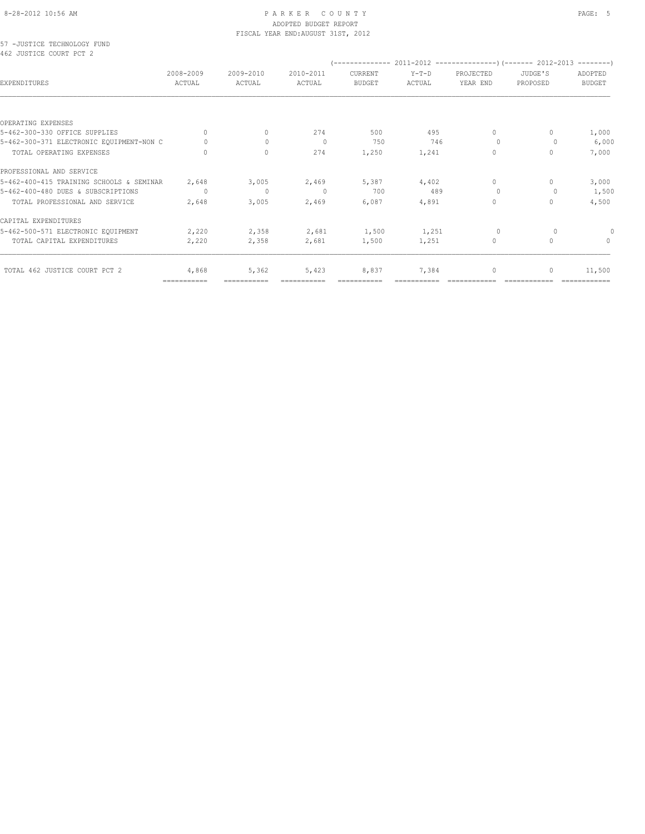#### 8-28-2012 10:56 AM P A R K E R C O U N T Y PAGE: 5 ADOPTED BUDGET REPORT FISCAL YEAR END:AUGUST 31ST, 2012

57 -JUSTICE TECHNOLOGY FUND 462 JUSTICE COURT PCT 2

| ROZ JUSIILA CUURI PUI Z                  |                     |                     |                     |                                 |                   |                       |                     |                          |
|------------------------------------------|---------------------|---------------------|---------------------|---------------------------------|-------------------|-----------------------|---------------------|--------------------------|
| EXPENDITURES                             | 2008-2009<br>ACTUAL | 2009-2010<br>ACTUAL | 2010-2011<br>ACTUAL | <b>CURRENT</b><br><b>BUDGET</b> | $Y-T-D$<br>ACTUAL | PROJECTED<br>YEAR END | JUDGE'S<br>PROPOSED | ADOPTED<br><b>BUDGET</b> |
|                                          |                     |                     |                     |                                 |                   |                       |                     |                          |
| OPERATING EXPENSES                       |                     |                     |                     |                                 |                   |                       |                     |                          |
| 5-462-300-330 OFFICE SUPPLIES            | $\mathbf{0}$        | $\Omega$            | 274                 | 500                             | 495               | $\circ$               | $\Omega$            | 1,000                    |
| 5-462-300-371 ELECTRONIC EQUIPMENT-NON C | $\Omega$            | $\Omega$            | 0                   | 750                             | 746               | $\Omega$              | 0                   | 6,000                    |
| TOTAL OPERATING EXPENSES                 | $\Omega$            | $\Omega$            | 274                 | 1,250                           | 1,241             | $\circ$               | $\Omega$            | 7,000                    |
| PROFESSIONAL AND SERVICE                 |                     |                     |                     |                                 |                   |                       |                     |                          |
| 5-462-400-415 TRAINING SCHOOLS & SEMINAR | 2,648               | 3,005               | 2,469               | 5,387                           | 4,402             | $\circ$               | $\mathbf{0}$        | 3,000                    |
| 5-462-400-480 DUES & SUBSCRIPTIONS       | $\circ$             | $\mathbf{0}$        | $\Omega$            | 700                             | 489               | $\Omega$              | $\Omega$            | 1,500                    |
| TOTAL PROFESSIONAL AND SERVICE           | 2,648               | 3,005               | 2,469               | 6,087                           | 4,891             | 0                     | $\Omega$            | 4,500                    |
| CAPITAL EXPENDITURES                     |                     |                     |                     |                                 |                   |                       |                     |                          |
| 5-462-500-571 ELECTRONIC EQUIPMENT       | 2,220               | 2,358               | 2,681               | 1,500                           | 1,251             | $\circ$               | $\circ$             | $\Omega$                 |
| TOTAL CAPITAL EXPENDITURES               | 2,220               | 2,358               | 2,681               | 1,500                           | 1,251             | $\circ$               | $\mathbf{0}$        | $\mathbf{0}$             |
| TOTAL 462 JUSTICE COURT PCT 2            | 4,868               | 5,362               | 5,423               | 8,837                           | 7,384             | 0                     | 0                   | 11,500                   |
|                                          | ===========         | ===========         |                     |                                 |                   |                       |                     |                          |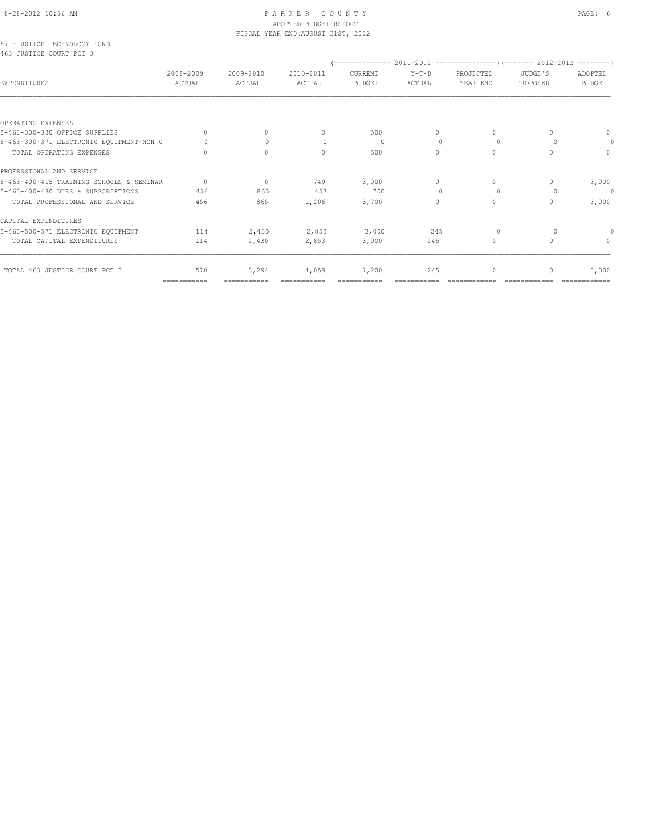#### 8-28-2012 10:56 AM P A R K E R C O U N T Y PAGE: 6 ADOPTED BUDGET REPORT FISCAL YEAR END:AUGUST 31ST, 2012

57 -JUSTICE TECHNOLOGY FUND 463 JUSTICE COURT PCT 3

| AAS AASIICR CAAMI ECI S                  |                     |                     |                     |                                 |                   |                       |                     |                          |
|------------------------------------------|---------------------|---------------------|---------------------|---------------------------------|-------------------|-----------------------|---------------------|--------------------------|
| EXPENDITURES                             | 2008-2009<br>ACTUAL | 2009-2010<br>ACTUAL | 2010-2011<br>ACTUAL | <b>CURRENT</b><br><b>BUDGET</b> | $Y-T-D$<br>ACTUAL | PROJECTED<br>YEAR END | JUDGE'S<br>PROPOSED | ADOPTED<br><b>BUDGET</b> |
|                                          |                     |                     |                     |                                 |                   |                       |                     |                          |
| OPERATING EXPENSES                       |                     |                     |                     |                                 |                   |                       |                     |                          |
| 5-463-300-330 OFFICE SUPPLIES            | 0                   | $\Omega$            | $\Omega$            | 500                             | $\Omega$          | $\Omega$              | $\cap$              | $\mathbf{0}$             |
| 5-463-300-371 ELECTRONIC EQUIPMENT-NON C | $\Omega$            |                     | $\Omega$            | - 0                             | $\Omega$          | $\Omega$              | $\cup$              | 0                        |
| TOTAL OPERATING EXPENSES                 |                     | $\Omega$            | $\Omega$            | 500                             | $\Omega$          | $\Omega$              | $\Omega$            | $\Omega$                 |
| PROFESSIONAL AND SERVICE                 |                     |                     |                     |                                 |                   |                       |                     |                          |
| 5-463-400-415 TRAINING SCHOOLS & SEMINAR | $\Omega$            | $\Omega$            | 749                 | 3,000                           | $\Omega$          | $\Omega$              | $\Omega$            | 3,000                    |
| 5-463-400-480 DUES & SUBSCRIPTIONS       | 456                 | 865                 | 457                 | 700                             | $\Omega$          | $\Omega$              | $\Omega$            | $\theta$                 |
| TOTAL PROFESSIONAL AND SERVICE           | 456                 | 865                 | 1,206               | 3,700                           | 0                 | $\Omega$              | $\Omega$            | 3,000                    |
| CAPITAL EXPENDITURES                     |                     |                     |                     |                                 |                   |                       |                     |                          |
| 5-463-500-571 ELECTRONIC EQUIPMENT       | 114                 | 2,430               | 2,853               | 3,000                           | 245               | $\circ$               | $\circ$             |                          |
| TOTAL CAPITAL EXPENDITURES               | 114                 | 2,430               | 2,853               | 3,000                           | 245               | $\Omega$              | $\Omega$            | $\Omega$                 |
| TOTAL 463 JUSTICE COURT PCT 3            | 570                 | 3,294               | 4,059               | 7,200                           | 245               | 0                     | 0                   | 3,000                    |
|                                          | ===========         | ===========         |                     |                                 |                   |                       |                     |                          |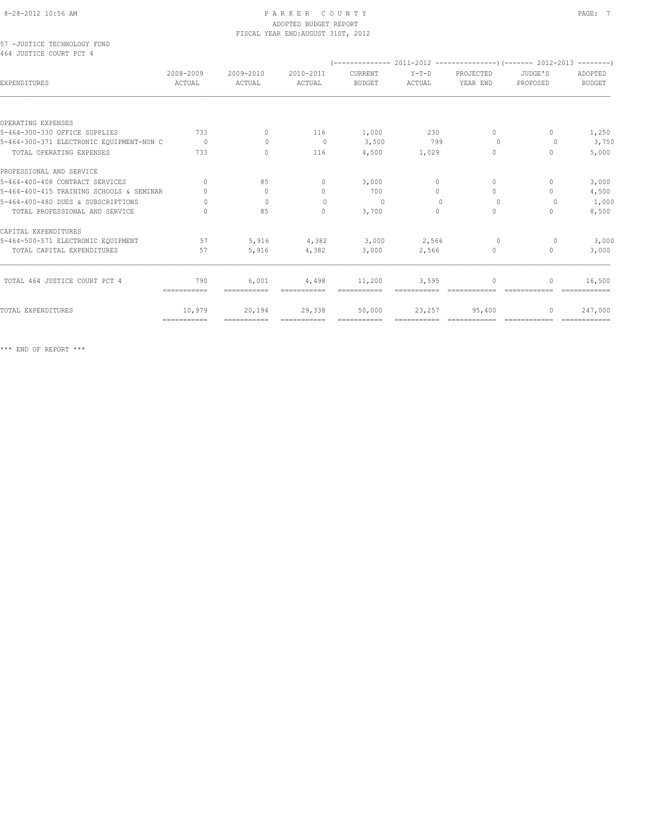#### 8-28-2012 10:56 AM PAGE: 7 ADOPTED BUDGET REPORT FISCAL YEAR END:AUGUST 31ST, 2012

57 -JUSTICE TECHNOLOGY FUND 464 JUSTICE COURT PCT 4

| <b>EXPENDITURES</b>                      | 2008-2009<br>ACTUAL              | 2009-2010<br>ACTUAL              | 2010-2011<br>ACTUAL | CURRENT<br><b>BUDGET</b> | $Y-T-D$<br><b>ACTUAL</b> | PROJECTED<br>YEAR END            | JUDGE'S<br>PROPOSED              | ADOPTED<br><b>BUDGET</b> |
|------------------------------------------|----------------------------------|----------------------------------|---------------------|--------------------------|--------------------------|----------------------------------|----------------------------------|--------------------------|
|                                          |                                  |                                  |                     |                          |                          |                                  |                                  |                          |
| OPERATING EXPENSES                       |                                  |                                  |                     |                          |                          |                                  |                                  |                          |
| 5-464-300-330 OFFICE SUPPLIES            | 733                              | $\begin{array}{c} \n\end{array}$ | 116                 | 1,000                    | 230                      | $\Omega$                         | $\Omega$                         | 1,250                    |
| 5-464-300-371 ELECTRONIC EQUIPMENT-NON C | $\Omega$                         | $\Omega$                         | $\overline{0}$      | 3,500                    | 799                      | $\Omega$                         | $\Omega$                         | 3,750                    |
| TOTAL OPERATING EXPENSES                 | 733                              | $\Omega$                         | 116                 | 4,500                    | 1,029                    | $\circ$                          | $\mathbf{0}$                     | 5,000                    |
| PROFESSIONAL AND SERVICE                 |                                  |                                  |                     |                          |                          |                                  |                                  |                          |
| 5-464-400-408 CONTRACT SERVICES          | $\cap$                           | 85                               | $\Omega$            | 3,000                    | $\Omega$                 | $\Omega$                         | $\Omega$                         | 3,000                    |
| 5-464-400-415 TRAINING SCHOOLS & SEMINAR | $\Omega$                         | $\circ$                          | $\circ$             | 700                      | $\Omega$                 | $\Omega$                         | $\Omega$                         | 4,500                    |
| 5-464-400-480 DUES & SUBSCRIPTIONS       | $\Omega$                         | $\Omega$                         | $\mathbf{0}$        | $\Omega$                 | $\Omega$                 | $\circ$                          | $\circ$                          | 1,000                    |
| TOTAL PROFESSIONAL AND SERVICE           | $\cap$                           | 85                               | $\Omega$            | 3,700                    | $\Omega$                 | $\circ$                          | $\Omega$                         | 8,500                    |
| CAPITAL EXPENDITURES                     |                                  |                                  |                     |                          |                          |                                  |                                  |                          |
| 5-464-500-571 ELECTRONIC EQUIPMENT       | 57                               | 5,916                            | 4,382               | 3,000                    | 2,566                    | $\circ$                          | 0                                | 3,000                    |
| TOTAL CAPITAL EXPENDITURES               | 57                               | 5,916                            | 4,382               | 3,000                    | 2,566                    | $\Omega$                         | $\Omega$                         | 3,000                    |
|                                          |                                  |                                  |                     |                          |                          |                                  |                                  |                          |
| TOTAL 464 JUSTICE COURT PCT 4            | 790<br>$=$ = = = = = = = = = = = | 6,001                            | 4,498               | 11,200                   | 3,595                    | $\begin{array}{c} \n\end{array}$ | $\begin{array}{c} \n\end{array}$ | 16,500                   |
| TOTAL EXPENDITURES                       | 10,979                           | 20,194                           | 29,338              | 50,000                   | 23,257                   | 95,400                           | 0                                | 247,000                  |
|                                          | ============                     | ===========                      |                     |                          |                          |                                  |                                  |                          |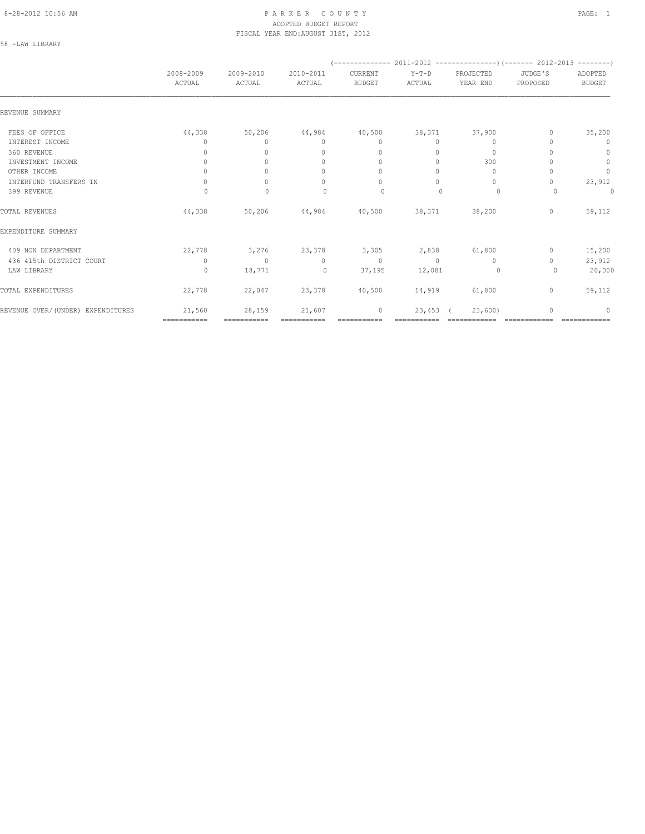#### 8-28-2012 10:56 AM PAGE: 1 PARKER COUNTY ADOPTED BUDGET REPORT FISCAL YEAR END:AUGUST 31ST, 2012

58 -LAW LIBRARY

|                                   | 2008-2009<br>ACTUAL              | 2009-2010<br>ACTUAL | 2010-2011<br>ACTUAL              | CURRENT<br><b>BUDGET</b>         | $Y-T-D$<br>ACTUAL | PROJECTED<br>YEAR END | JUDGE'S<br>PROPOSED | ADOPTED<br><b>BUDGET</b> |
|-----------------------------------|----------------------------------|---------------------|----------------------------------|----------------------------------|-------------------|-----------------------|---------------------|--------------------------|
| REVENUE SUMMARY                   |                                  |                     |                                  |                                  |                   |                       |                     |                          |
| FEES OF OFFICE                    | 44,338                           | 50,206              | 44,984                           | 40,500                           | 38,371            | 37,900                | 0                   | 35,200                   |
| INTEREST INCOME                   | 0                                | $\Omega$            | $\mathbf{0}$                     | $\mathbf{0}$                     | 0                 | 0                     |                     | $\mathbf{0}$             |
| 360 REVENUE                       | $\Omega$                         | $\Omega$            | $\begin{array}{c} \n\end{array}$ | $\begin{array}{c} \n\end{array}$ | $\Omega$          | $\circ$               |                     | $\circ$                  |
| INVESTMENT INCOME                 | $\circ$                          | $\Omega$            | $\mathbf{0}$                     | $\mathbf{0}$                     | $\circ$           | 300                   |                     | $\mathbb O$              |
| OTHER INCOME                      | $\Omega$                         |                     | $\begin{array}{c} \n\end{array}$ | $\Omega$                         | $\Omega$          | $\Omega$              |                     | $\mathbb O$              |
| INTERFUND TRANSFERS IN            | $\begin{array}{c} \n\end{array}$ | $\cap$              | $\begin{array}{c} \n\end{array}$ | $\begin{array}{c} \n\end{array}$ | $\bigcap$         | $\Omega$              | 0                   | 23,912                   |
| 399 REVENUE                       | 0                                | $\mathbf{0}$        | $\Omega$                         | $\circ$                          |                   | $\circ$               | 0                   | 0                        |
| TOTAL REVENUES                    | 44,338                           | 50,206              | 44,984                           | 40,500                           | 38,371            | 38,200                | 0                   | 59,112                   |
| EXPENDITURE SUMMARY               |                                  |                     |                                  |                                  |                   |                       |                     |                          |
| 409 NON DEPARTMENT                | 22,778                           | 3,276               | 23,378                           | 3,305                            | 2,838             | 61,800                | $\mathbf{0}$        | 15,200                   |
| 436 415th DISTRICT COURT          | $\circ$                          | $\bigcap$           | $\Omega$                         | $\circ$                          | $\Omega$          | $\Omega$              | 0                   | 23,912                   |
| LAW LIBRARY                       | $\circ$                          | 18,771              | $\circ$                          | 37,195                           | 12,081            | $\circ$               | 0                   | 20,000                   |
| TOTAL EXPENDITURES                | 22,778                           | 22,047              | 23,378                           | 40,500                           | 14,919            | 61,800                | $\circ$             | 59,112                   |
| REVENUE OVER/(UNDER) EXPENDITURES | 21,560                           | 28,159              | 21,607                           | 0                                | 23,453            | 23,600                | O                   | $\mathbf{0}$             |
|                                   | ============                     | ============        |                                  | ===========                      |                   |                       |                     |                          |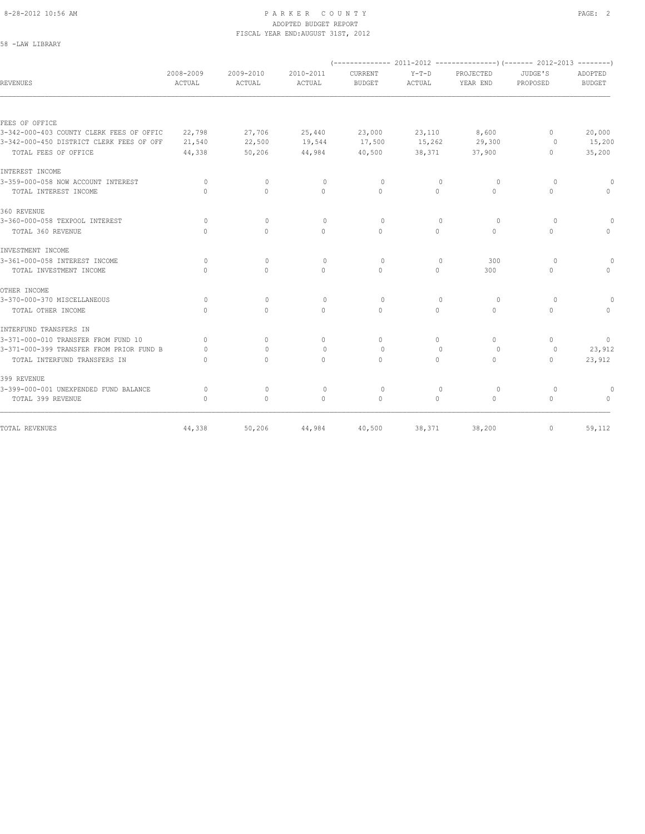58 -LAW LIBRARY

#### 8-28-2012 10:56 AM PAGE: 2 ADOPTED BUDGET REPORT FISCAL YEAR END:AUGUST 31ST, 2012

| REVENUES                                 | 2008-2009<br>ACTUAL | 2009-2010<br>ACTUAL              | 2010-2011<br>ACTUAL              | <b>CURRENT</b><br><b>BUDGET</b>  | $Y-T-D$<br>ACTUAL | PROJECTED<br>YEAR END | JUDGE'S<br>PROPOSED              | ADOPTED<br><b>BUDGET</b>         |
|------------------------------------------|---------------------|----------------------------------|----------------------------------|----------------------------------|-------------------|-----------------------|----------------------------------|----------------------------------|
|                                          |                     |                                  |                                  |                                  |                   |                       |                                  |                                  |
| FEES OF OFFICE                           |                     |                                  |                                  |                                  |                   |                       |                                  |                                  |
| 3-342-000-403 COUNTY CLERK FEES OF OFFIC | 22,798              | 27,706                           | 25,440                           | 23,000                           | 23,110            | 8,600                 | $\Omega$                         | 20,000                           |
| 3-342-000-450 DISTRICT CLERK FEES OF OFF | 21,540              | 22,500                           | 19,544                           | 17,500                           | 15,262            | 29,300                | 0                                | 15,200                           |
| TOTAL FEES OF OFFICE                     | 44,338              | 50,206                           | 44,984                           | 40,500                           | 38,371            | 37,900                | 0                                | 35,200                           |
| INTEREST INCOME                          |                     |                                  |                                  |                                  |                   |                       |                                  |                                  |
| 3-359-000-058 NOW ACCOUNT INTEREST       | $\bigcap$           | $\Omega$                         | $\mathbf{0}$                     | $\Omega$                         | $\Omega$          | 0                     | $\Omega$                         | $\Omega$                         |
| TOTAL INTEREST INCOME                    | $\Omega$            | $\Omega$                         | $\Omega$                         | $\Omega$                         | $\Omega$          | $\Omega$              | $\Omega$                         | $\Omega$                         |
| 360 REVENUE                              |                     |                                  |                                  |                                  |                   |                       |                                  |                                  |
| 3-360-000-058 TEXPOOL INTEREST           | $\circ$             | $\mathbf{0}$                     | $\mathbf{0}$                     | $\circ$                          | $\Omega$          | $\circ$               | $\Omega$                         | $\circ$                          |
| TOTAL 360 REVENUE                        | $\bigcap$           | $\Omega$                         | $\Omega$                         | $\Omega$                         | $\Omega$          | $\Omega$              | $\Omega$                         | $\Omega$                         |
| INVESTMENT INCOME                        |                     |                                  |                                  |                                  |                   |                       |                                  |                                  |
| 3-361-000-058 INTEREST INCOME            | $\circ$             | $\mathbf{0}$                     | $\circ$                          | $\circ$                          | $\mathbf{0}$      | 300                   | $\circ$                          |                                  |
| TOTAL INVESTMENT INCOME                  | $\bigcap$           | $\begin{array}{c} \n\end{array}$ | $\begin{array}{c} \n\end{array}$ | $\begin{array}{c} \n\end{array}$ | $\Omega$          | 300                   | $\begin{array}{c} \n\end{array}$ | $\bigcap$                        |
| OTHER INCOME                             |                     |                                  |                                  |                                  |                   |                       |                                  |                                  |
| 3-370-000-370 MISCELLANEOUS              | $\circ$             | $\mathbf{0}$                     | $\mathbf{0}$                     | $\circ$                          | $\mathbf{0}$      | 0                     | $\circ$                          |                                  |
| TOTAL OTHER INCOME                       | $\Omega$            | $\Omega$                         | $\Omega$                         | $\Omega$                         | $\Omega$          | $\Omega$              | $\Omega$                         | $\begin{array}{c} \n\end{array}$ |
| INTERFUND TRANSFERS IN                   |                     |                                  |                                  |                                  |                   |                       |                                  |                                  |
| 3-371-000-010 TRANSFER FROM FUND 10      | $\bigcap$           | $\Omega$                         | $\mathbf{0}$                     | $\begin{array}{c} \n\end{array}$ | 0                 | $\Omega$              | $\Omega$                         | $\mathbf{0}$                     |
| 3-371-000-399 TRANSFER FROM PRIOR FUND B | $\bigcap$           | $\bigcap$                        | $\bigcap$                        | $\bigcap$                        | $\cap$            | $\Omega$              | $\bigcap$                        | 23,912                           |
| TOTAL INTERFUND TRANSFERS IN             | $\bigcap$           | $\bigcap$                        | $\begin{array}{c} \n\end{array}$ | $\begin{array}{c} \n\end{array}$ | $\Omega$          | $\Omega$              | $\begin{array}{c} \n\end{array}$ | 23,912                           |
| 399 REVENUE                              |                     |                                  |                                  |                                  |                   |                       |                                  |                                  |
| 3-399-000-001 UNEXPENDED FUND BALANCE    | 0                   | $\mathbf{0}$                     | $\mathbf{0}$                     | $\circ$                          | $\mathbf{0}$      | 0                     | $\circ$                          | 0                                |
| TOTAL 399 REVENUE                        | $\bigcap$           | $\Omega$                         | $\Omega$                         | $\Omega$                         | $\Omega$          | $\Omega$              | $\Omega$                         |                                  |
| TOTAL REVENUES                           | 44,338              | 50,206                           | 44,984                           | 40,500                           | 38,371            | 38,200                | $\begin{array}{c} \n\end{array}$ | 59,112                           |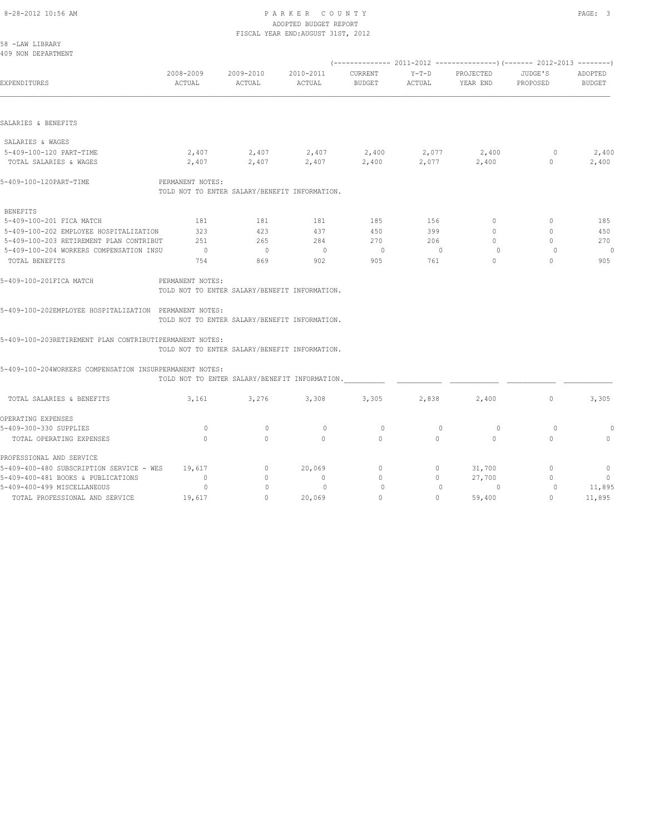PROFESSIONAL AND SERVICE

# 8-28-2012 10:56 AM P A R K E R C O U N T Y PAGE: 3 ADOPTED BUDGET REPORT

|                                                         |                     |                                                 | ADVIIBD DUDGEI NEIVNI<br>FISCAL YEAR END: AUGUST 31ST, 2012 |                          |                 |                       |                     |                          |
|---------------------------------------------------------|---------------------|-------------------------------------------------|-------------------------------------------------------------|--------------------------|-----------------|-----------------------|---------------------|--------------------------|
| 58 -LAW LIBRARY                                         |                     |                                                 |                                                             |                          |                 |                       |                     |                          |
| 409 NON DEPARTMENT                                      |                     |                                                 |                                                             |                          |                 |                       |                     |                          |
|                                                         |                     |                                                 |                                                             |                          |                 |                       |                     |                          |
| EXPENDITURES                                            | 2008-2009<br>ACTUAL | 2009-2010<br>ACTUAL                             | 2010-2011<br>ACTUAL                                         | CURRENT<br>BUDGET        | Y-T-D<br>ACTUAL | PROJECTED<br>YEAR END | JUDGE'S<br>PROPOSED | ADOPTED<br><b>BUDGET</b> |
|                                                         |                     |                                                 |                                                             |                          |                 |                       |                     |                          |
| SALARIES & BENEFITS                                     |                     |                                                 |                                                             |                          |                 |                       |                     |                          |
| SALARIES & WAGES                                        |                     |                                                 |                                                             |                          |                 |                       |                     |                          |
| 5-409-100-120 PART-TIME                                 |                     | $2,407$ $2,407$ $2,400$ $2,400$ $2,077$ $2,400$ |                                                             |                          |                 |                       | 0                   | 2,400                    |
| TOTAL SALARIES & WAGES                                  |                     | 2,407 2,407                                     | 2,407                                                       | 2,400                    | 2,077           | 2,400                 | $\circ$             | 2,400                    |
| 5-409-100-120PART-TIME                                  | PERMANENT NOTES:    |                                                 |                                                             |                          |                 |                       |                     |                          |
|                                                         |                     | TOLD NOT TO ENTER SALARY/BENEFIT INFORMATION.   |                                                             |                          |                 |                       |                     |                          |
| <b>BENEFITS</b>                                         |                     |                                                 |                                                             |                          |                 |                       |                     |                          |
| 5-409-100-201 FICA MATCH                                | 181                 | 181                                             | 181                                                         | 185                      | 156             | $\circ$               | $\circ$             | 185                      |
| 5-409-100-202 EMPLOYEE HOSPITALIZATION                  | 323                 | 423                                             | 437                                                         | 450                      | 399             | $\circ$               | $\mathbf{0}$        | 450                      |
| 5-409-100-203 RETIREMENT PLAN CONTRIBUT                 | 251                 | 265                                             | 284                                                         | 270                      | 206             | $\Omega$              | $\Omega$            | 270                      |
| 5-409-100-204 WORKERS COMPENSATION INSU                 | $\overline{0}$      | $\overline{0}$                                  | $\overline{0}$                                              | $\overline{\phantom{0}}$ | $\sim$ 0        | $\Omega$              | $\Omega$            | 0                        |
| TOTAL BENEFITS                                          | 754                 | 869                                             | 902                                                         | 905                      | 761             | $\Omega$              | $\Omega$            | 905                      |
| 5-409-100-201FICA MATCH                                 | PERMANENT NOTES:    |                                                 |                                                             |                          |                 |                       |                     |                          |
|                                                         |                     | TOLD NOT TO ENTER SALARY/BENEFIT INFORMATION.   |                                                             |                          |                 |                       |                     |                          |
| 5-409-100-202EMPLOYEE HOSPITALIZATION PERMANENT NOTES:  |                     |                                                 |                                                             |                          |                 |                       |                     |                          |
|                                                         |                     | TOLD NOT TO ENTER SALARY/BENEFIT INFORMATION.   |                                                             |                          |                 |                       |                     |                          |
| 5-409-100-203RETIREMENT PLAN CONTRIBUTIPERMANENT NOTES: |                     |                                                 |                                                             |                          |                 |                       |                     |                          |
|                                                         |                     | TOLD NOT TO ENTER SALARY/BENEFIT INFORMATION.   |                                                             |                          |                 |                       |                     |                          |
| 5-409-100-204WORKERS COMPENSATION INSURPERMANENT NOTES: |                     |                                                 |                                                             |                          |                 |                       |                     |                          |
|                                                         |                     | TOLD NOT TO ENTER SALARY/BENEFIT INFORMATION.   |                                                             |                          |                 |                       |                     |                          |
| TOTAL SALARIES & BENEFITS                               | 3,161               | 3,276                                           | 3,308                                                       | 3,305                    | 2,838           | 2,400                 | $\mathbf{0}$        | 3,305                    |
| OPERATING EXPENSES                                      |                     |                                                 |                                                             |                          |                 |                       |                     |                          |
| 5-409-300-330 SUPPLIES                                  | $\Omega$            | $\mathbf{0}$                                    | $\Omega$                                                    | $\Omega$                 | $\Omega$        | $\Omega$              | $\Omega$            | 0                        |

5-409-300-330 SUPPLIES 0 0 0 0 0 0 0 0 TOTAL OPERATING EXPENSES 0 0 0 0 0 0 0 0

5-409-400-481 BOOKS & PUBLICATIONS 0 0 0 0 27,700 0 0 5-409-400-499 MISCELLANEOUS 0 0 0 0 0 0 0 11,895 3-409-400-480 SUBSCRIPTION SERVICE - WES<br>3-409-400-481 BOOKS & PUBLICATIONS 0 0 0 0 0 0 0 27,700 0 0 0<br>3-409-400-499 MISCELLANEOUS 0 0 0 0 0 0 0 0 0 0 11,895<br>TOTAL PROFESSIONAL AND SERVICE 19,617 0 20,069 0 0 59,400 0 11,8

5-409-400-480 SUBSCRIPTION SERVICE - WES  $\begin{array}{cccc} 19,617 & 0 & 20,069 & 0 \\ 5-409-400-481 & BOOKS & & FUBLICATIONS & & 0 & 0 & 0 \\ 5-409-400-499 & MISCELLANEOUS & & 0 & 0 & 0 \end{array}$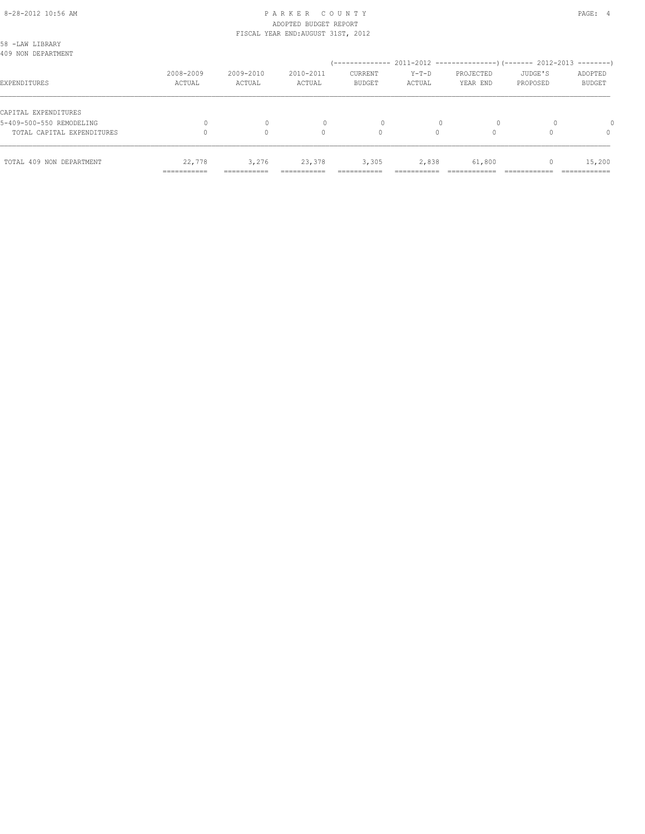#### 8-28-2012 10:56 AM PAGE: 4 ADOPTED BUDGET REPORT FISCAL YEAR END:AUGUST 31ST, 2012

|                                                  | ------------<br>----------- |                     | _________           | ------------             | _____             |                       |                     | ___________              |
|--------------------------------------------------|-----------------------------|---------------------|---------------------|--------------------------|-------------------|-----------------------|---------------------|--------------------------|
| TOTAL 409 NON DEPARTMENT                         | 22,778                      | 3,276               | 23,378              | 3,305                    | 2,838             | 61,800                |                     | 15,200                   |
| TOTAL CAPITAL EXPENDITURES                       |                             |                     | 0                   | 0                        | 0                 |                       |                     | 0                        |
| CAPITAL EXPENDITURES<br>5-409-500-550 REMODELING |                             | 0                   |                     | 0                        |                   | $\Omega$              |                     |                          |
| EXPENDITURES                                     | 2008-2009<br>ACTUAL         | 2009-2010<br>ACTUAL | 2010-2011<br>ACTUAL | CURRENT<br><b>BUDGET</b> | $Y-T-D$<br>ACTUAL | PROJECTED<br>YEAR END | JUDGE'S<br>PROPOSED | ADOPTED<br><b>BUDGET</b> |
| 58 -LAW LIBRARY<br>409 NON DEPARTMENT            |                             |                     |                     |                          |                   |                       |                     |                          |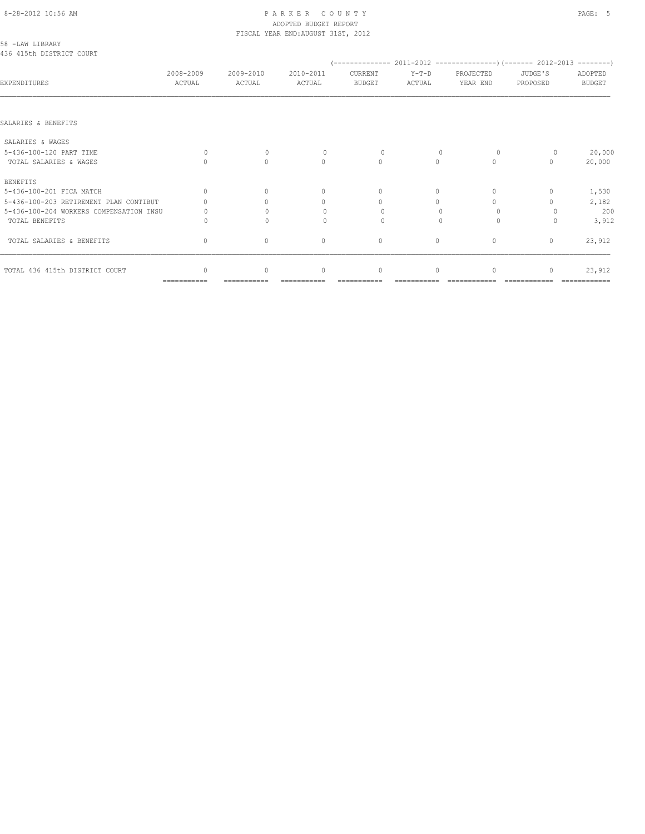# 8-28-2012 10:56 AM P A R K E R C O U N T Y PAGE: 5 ADOPTED BUDGET REPORT

|                                             |                     |                                  | FISCAL YEAR END: AUGUST 31ST, 2012 |                                  |                   |                       |                     |                          |
|---------------------------------------------|---------------------|----------------------------------|------------------------------------|----------------------------------|-------------------|-----------------------|---------------------|--------------------------|
| 58 -LAW LIBRARY<br>436 415th DISTRICT COURT |                     |                                  |                                    |                                  |                   |                       |                     |                          |
| EXPENDITURES                                | 2008-2009<br>ACTUAL | 2009-2010<br>ACTUAL              | 2010-2011<br>ACTUAL                | CURRENT<br><b>BUDGET</b>         | $Y-T-D$<br>ACTUAL | PROJECTED<br>YEAR END | JUDGE'S<br>PROPOSED | ADOPTED<br><b>BUDGET</b> |
|                                             |                     |                                  |                                    |                                  |                   |                       |                     |                          |
| SALARIES & BENEFITS                         |                     |                                  |                                    |                                  |                   |                       |                     |                          |
| SALARIES & WAGES                            |                     |                                  |                                    |                                  |                   |                       |                     |                          |
| 5-436-100-120 PART TIME                     | $\Omega$            | $\mathbf{0}$                     | $\Omega$                           | $\circ$                          |                   | $\circ$               |                     | 20,000                   |
| TOTAL SALARIES & WAGES                      |                     | $\Omega$                         | $\Omega$                           | $\Omega$                         | $\Omega$          | $\Omega$              | $\cap$              | 20,000                   |
| <b>BENEFITS</b>                             |                     |                                  |                                    |                                  |                   |                       |                     |                          |
| 5-436-100-201 FICA MATCH                    | $\Omega$            | $\Omega$                         | $\begin{array}{c} \n\end{array}$   | $\mathbf{0}$                     | 0                 | $\mathbf{0}$          |                     | 1,530                    |
| 5-436-100-203 RETIREMENT PLAN CONTIBUT      |                     | $\begin{array}{c} \n\end{array}$ | $\mathbf{0}$                       | $\begin{array}{c} \n\end{array}$ | $\circ$           | $\Omega$              |                     | 2,182                    |
| 5-436-100-204 WORKERS COMPENSATION INSU     | 0                   | $\Omega$                         |                                    | 0                                |                   | 0                     |                     | 200                      |
| TOTAL BENEFITS                              |                     | $\bigcap$                        | $\cap$                             | $\bigcap$                        |                   | $\Omega$              |                     | 3,912                    |
| TOTAL SALARIES & BENEFITS                   | $\circ$             | $\mathbf{0}$                     | $\mathbf{0}$                       | $\circ$                          | $\circ$           | $\mathbf{0}$          | $\mathbf{0}$        | 23,912                   |
| TOTAL 436 415th DISTRICT COURT              | $\mathbf{0}$        | $\circ$                          | $\mathbf{0}$                       | 0                                | $\circ$           | 0                     | $\mathbf{0}$        | 23,912                   |

=========== =========== =========== =========== =========== ============ ============ ============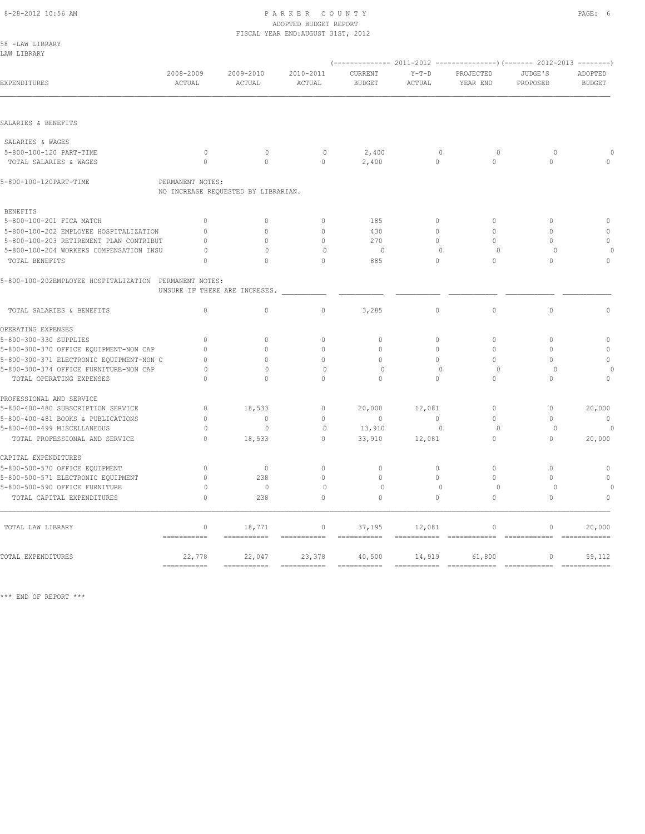#### 8-28-2012 10:56 AM P A R K E R C O U N T Y PAGE: 6 ADOPTED BUDGET REPORT FISCAL YEAR END:AUGUST 31ST, 2012

|                                                               |                               |                                     | TIUVAD IDAN DND.AUGUUI UIUI, 2012 |                                     |                          |                                        |                              |                         |
|---------------------------------------------------------------|-------------------------------|-------------------------------------|-----------------------------------|-------------------------------------|--------------------------|----------------------------------------|------------------------------|-------------------------|
| 58 -LAW LIBRARY<br>LAW LIBRARY                                |                               |                                     |                                   |                                     |                          |                                        |                              |                         |
|                                                               |                               |                                     |                                   |                                     |                          |                                        |                              |                         |
|                                                               | 2008-2009                     | 2009-2010                           | 2010-2011                         | CURRENT                             | $Y-T-D$                  | PROJECTED                              | JUDGE'S                      | ADOPTED                 |
| EXPENDITURES                                                  | ACTUAL                        | ACTUAL                              | ACTUAL                            | <b>BUDGET</b>                       | ACTUAL                   | YEAR END                               | PROPOSED                     | <b>BUDGET</b>           |
|                                                               |                               |                                     |                                   |                                     |                          |                                        |                              |                         |
| SALARIES & BENEFITS                                           |                               |                                     |                                   |                                     |                          |                                        |                              |                         |
| SALARIES & WAGES                                              |                               |                                     |                                   |                                     |                          |                                        |                              |                         |
| 5-800-100-120 PART-TIME                                       | $\Omega$                      | $\mathbf{0}$                        | $\circ$                           | 2,400                               | $\circ$                  | $\Omega$                               | $\cap$                       |                         |
| TOTAL SALARIES & WAGES                                        | $\Omega$                      | $\Omega$                            | $\Omega$                          | 2,400                               | $\circ$                  | $\Omega$                               | $\Omega$                     |                         |
| 5-800-100-120PART-TIME                                        | PERMANENT NOTES:              | NO INCREASE REQUESTED BY LIBRARIAN. |                                   |                                     |                          |                                        |                              |                         |
| <b>BENEFITS</b>                                               |                               |                                     |                                   |                                     |                          |                                        |                              |                         |
| 5-800-100-201 FICA MATCH                                      | $\Omega$                      | $\Omega$                            | $\Omega$                          | 185                                 | $\circ$                  | $\Omega$                               | $\Omega$                     | $\Omega$                |
| 5-800-100-202 EMPLOYEE HOSPITALIZATION                        | $\Omega$                      | $\cap$                              | $\Omega$                          | 430                                 | $\Omega$                 | $\cap$                                 | $\Omega$                     | $\Omega$                |
| 5-800-100-203 RETIREMENT PLAN CONTRIBUT                       | $\Omega$                      | $\Omega$                            | $\mathbf{0}$                      | 270                                 | $\circ$                  | $\Omega$                               | $\circ$                      | $\mathbf{0}$            |
| 5-800-100-204 WORKERS COMPENSATION INSU                       | $\Omega$                      | $\Omega$                            | $\circ$                           | $\circ$                             | $\mathbf{0}$             | $\circ$                                | $\circ$                      |                         |
| TOTAL BENEFITS                                                | $\cap$                        | $\Omega$                            | $\Omega$                          | 885                                 | $\circ$                  | $\circ$                                | $\Omega$                     | $\mathbf{0}$            |
| 5-800-100-202EMPLOYEE HOSPITALIZATION PERMANENT NOTES:        | UNSURE IF THERE ARE INCRESES. |                                     |                                   |                                     |                          |                                        |                              |                         |
| TOTAL SALARIES & BENEFITS                                     | $\circ$                       | $\circ$                             | $\mathbb O$                       | 3,285                               | $\circ$                  | $\circ$                                | $\circ$                      | $\mathbb O$             |
| OPERATING EXPENSES                                            |                               |                                     |                                   |                                     |                          |                                        |                              |                         |
| 5-800-300-330 SUPPLIES                                        | $\mathbf{0}$                  | $\Omega$                            | $\mathbf{0}$                      | $\mathbf{0}$                        | $\circ$                  | $\mathbf{0}$                           | $\mathbf{0}$                 | $\circ$                 |
| 5-800-300-370 OFFICE EQUIPMENT-NON CAP                        | $\Omega$                      | $\bigcap$                           | $\Omega$                          | $\Omega$                            | $\Omega$                 | $\Omega$                               | $\Omega$                     | $\mathbf{0}$            |
| 5-800-300-371 ELECTRONIC EQUIPMENT-NON C                      | $\Omega$                      | $\Omega$                            | $\Omega$                          | $\Omega$                            | $\Omega$                 | $\Omega$                               | $\Omega$                     | $\circ$                 |
| 5-800-300-374 OFFICE FURNITURE-NON CAP                        | $\circ$                       | $\Omega$                            | $\circ$                           | $\circ$                             | $\mathbf{0}$             | $\circ$                                | $\Omega$                     | $\Omega$                |
| TOTAL OPERATING EXPENSES                                      | $\mathbf{0}$                  | $\circ$                             | $\Omega$                          | $\circ$                             | $\circ$                  | $\circ$                                | $\circ$                      | $\circ$                 |
| PROFESSIONAL AND SERVICE                                      |                               |                                     |                                   |                                     |                          |                                        |                              |                         |
| 5-800-400-480 SUBSCRIPTION SERVICE                            | $\circ$                       | 18,533                              | $\circ$                           | 20,000                              | 12,081                   | $\Omega$                               | $\circ$                      | 20,000                  |
| 5-800-400-481 BOOKS & PUBLICATIONS                            | $\mathbf{0}$                  | $\mathbf{0}$                        | $\mathbf{0}$                      | $\mathbf{0}$                        | $\circ$                  | $\circ$                                | $\mathbf{0}$                 | $\mathbb O$             |
| 5-800-400-499 MISCELLANEOUS<br>TOTAL PROFESSIONAL AND SERVICE | $\Omega$<br>$\cap$            | $\Omega$<br>18,533                  | $\circ$<br>$\Omega$               | 13,910<br>33,910                    | $\Omega$<br>12,081       | $\Omega$<br>$\cap$                     | $\Omega$<br>$\cap$           | $\Omega$<br>20,000      |
|                                                               |                               |                                     |                                   |                                     |                          |                                        |                              |                         |
| CAPITAL EXPENDITURES                                          |                               |                                     |                                   |                                     |                          |                                        |                              |                         |
| 5-800-500-570 OFFICE EQUIPMENT                                | $\mathbf{0}$                  | $\mathbf{0}$                        | $\mathbf{0}$                      | $\mathbf{0}$                        | $\circ$                  | $\Omega$                               | $\mathbf{0}$                 | $\mathbf{0}$            |
| 5-800-500-571 ELECTRONIC EQUIPMENT                            | $\mathbf{0}$                  | 238<br>$\mathbb O$                  | $\Omega$                          | $\Omega$<br>$\circ$                 | $\Omega$<br>$\mathbf{0}$ | $\Omega$<br>$\circ$                    | $\Omega$<br>$\circ$          | $\circ$                 |
| 5-800-500-590 OFFICE FURNITURE<br>TOTAL CAPITAL EXPENDITURES  | $\circ$<br>$\Omega$           | 238                                 | 0<br>$\Omega$                     | $\Omega$                            | $\circ$                  | $\Omega$                               | $\Omega$                     | $\circ$                 |
|                                                               |                               |                                     |                                   |                                     |                          |                                        |                              |                         |
| TOTAL LAW LIBRARY                                             | $\mathbf 0$<br>===========    | 18,771<br>$=$ ===========           | $\circ$<br>===========            | 37,195<br>$=$ = = = = = = = = = = = | 12,081                   | $\circ$<br>$=$ = = = = = = = = = = = = | $\mathbf 0$<br>============= | 20,000<br>============= |
| TOTAL EXPENDITURES                                            | 22,778                        | 22,047                              | 23,378                            | 40,500                              | 14,919                   | 61,800                                 | $\mathbf{0}$                 | 59,112                  |
|                                                               | $=$ ===========               | ===========                         | ===========                       | $=$ = = = = = = = = = = =           | ===========              | $=$ ============                       | ============                 | ============            |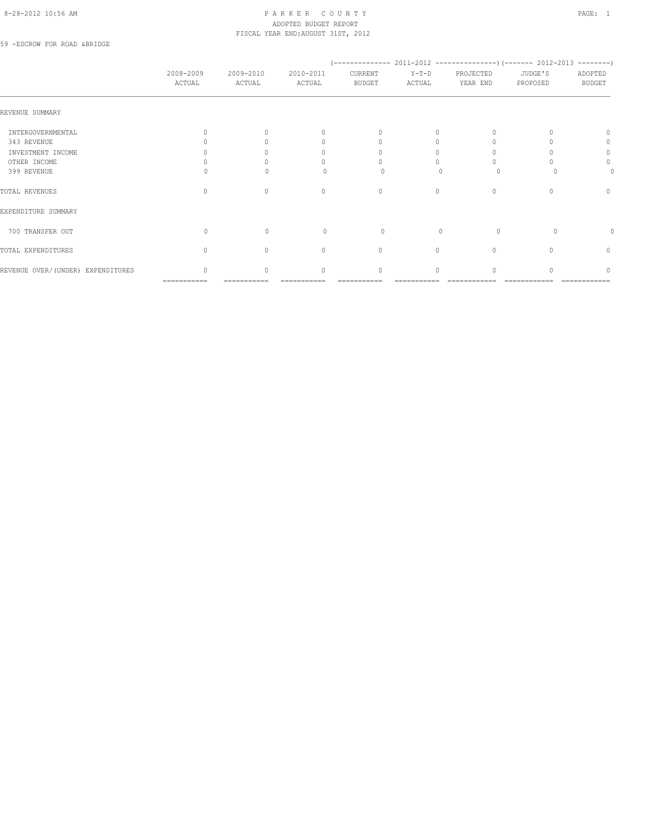#### 8-28-2012 10:56 AM P A R K E R C O U N T Y PAGE: 1 ADOPTED BUDGET REPORT FISCAL YEAR END:AUGUST 31ST, 2012

59 -ESCROW FOR ROAD &BRIDGE

|                                   | 2008-2009<br>ACTUAL              | 2009-2010<br>ACTUAL | 2010-2011<br>ACTUAL              | (--------------<br>CURRENT<br><b>BUDGET</b> | $Y-T-D$<br>ACTUAL | PROJECTED<br>YEAR END            | 2011-2012 --------------------- (------- 2012-2013 ---------)<br>JUDGE'S<br>PROPOSED | ADOPTED<br><b>BUDGET</b>         |
|-----------------------------------|----------------------------------|---------------------|----------------------------------|---------------------------------------------|-------------------|----------------------------------|--------------------------------------------------------------------------------------|----------------------------------|
| REVENUE SUMMARY                   |                                  |                     |                                  |                                             |                   |                                  |                                                                                      |                                  |
| INTERGOVERNMENTAL                 | $\Omega$                         | $\bigcap$           | $\begin{array}{c} \n\end{array}$ | $\begin{array}{c} \n\end{array}$            | 0                 | $\Omega$                         |                                                                                      | $\cap$                           |
| 343 REVENUE                       |                                  |                     | $\mathbf{0}$                     | $\Omega$                                    | $\Omega$          | $\Omega$                         |                                                                                      | 0                                |
| INVESTMENT INCOME                 |                                  |                     | 0                                |                                             | Ω                 |                                  |                                                                                      | 0                                |
| OTHER INCOME                      |                                  |                     | 0                                |                                             |                   |                                  |                                                                                      | 0                                |
| 399 REVENUE                       |                                  |                     | ∩                                | $\Omega$                                    |                   | $\Omega$                         |                                                                                      |                                  |
| TOTAL REVENUES                    | $\begin{array}{c} \n\end{array}$ | $\Omega$            | $\mathbf{0}$                     | $\mathbf{0}$                                | $\circ$           | $\begin{array}{c} \n\end{array}$ | $\cap$                                                                               | $\begin{array}{c} \n\end{array}$ |
| EXPENDITURE SUMMARY               |                                  |                     |                                  |                                             |                   |                                  |                                                                                      |                                  |
| 700 TRANSFER OUT                  | $\Omega$                         | $\mathbf{0}$        | $\begin{array}{c} \n\end{array}$ | 0                                           | $\Omega$          | $\circ$                          | $\Omega$                                                                             | 0                                |
| TOTAL EXPENDITURES                | $\Omega$                         | $\Omega$            | $\mathbf{0}$                     | $\mathbf{0}$                                | $\circ$           | $\mathbf{0}$                     |                                                                                      | $\circ$                          |
| REVENUE OVER/(UNDER) EXPENDITURES | $\Omega$                         | $\cap$              | $\begin{array}{c} \n\end{array}$ | $\Omega$                                    | $\Omega$          | $\cap$                           |                                                                                      | $\cap$                           |
|                                   | ===========                      |                     |                                  |                                             |                   |                                  |                                                                                      |                                  |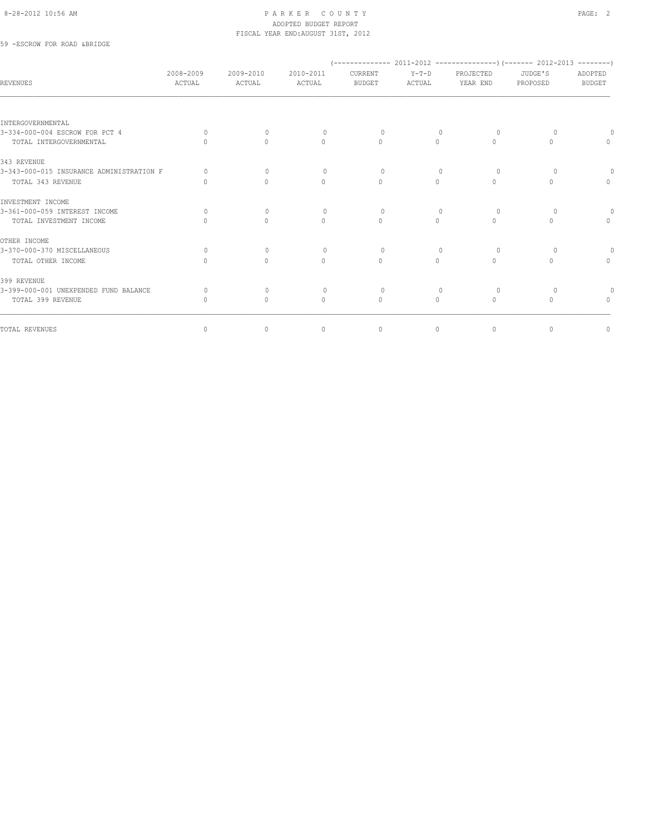#### 8-28-2012 10:56 AM PAGE: 2 ADOPTED BUDGET REPORT FISCAL YEAR END:AUGUST 31ST, 2012

59 -ESCROW FOR ROAD &BRIDGE

|                                          |                                  |                                  |                     |                          |                   |                       | $(---------- 2011-2012$ ----------------) (------- 2012-2013 --------) |                                  |
|------------------------------------------|----------------------------------|----------------------------------|---------------------|--------------------------|-------------------|-----------------------|------------------------------------------------------------------------|----------------------------------|
| <b>REVENUES</b>                          | 2008-2009<br>ACTUAL              | 2009-2010<br>ACTUAL              | 2010-2011<br>ACTUAL | CURRENT<br><b>BUDGET</b> | $Y-T-D$<br>ACTUAL | PROJECTED<br>YEAR END | JUDGE'S<br>PROPOSED                                                    | ADOPTED<br><b>BUDGET</b>         |
|                                          |                                  |                                  |                     |                          |                   |                       |                                                                        |                                  |
| INTERGOVERNMENTAL                        |                                  |                                  |                     |                          |                   |                       |                                                                        |                                  |
| 3-334-000-004 ESCROW FOR PCT 4           | $\Omega$                         | $\Omega$                         | $\Omega$            | $\circ$                  | $\Omega$          | $\Omega$              |                                                                        |                                  |
| TOTAL INTERGOVERNMENTAL                  | $\cap$                           | $\Omega$                         | $\Omega$            | $\Omega$                 | $\Omega$          | $\Omega$              | $\bigcap$                                                              | $\Omega$                         |
| 343 REVENUE                              |                                  |                                  |                     |                          |                   |                       |                                                                        |                                  |
| 3-343-000-015 INSURANCE ADMINISTRATION F | $\Omega$                         | $\Omega$                         | $\Omega$            | $\Omega$                 | $\Omega$          | $\Omega$              | ∩                                                                      |                                  |
| TOTAL 343 REVENUE                        | 0                                | $\circ$                          | $\mathbf{0}$        | $\mathbf{0}$             | $\circ$           | $\mathbf{0}$          | 0                                                                      | $\circ$                          |
| INVESTMENT INCOME                        |                                  |                                  |                     |                          |                   |                       |                                                                        |                                  |
| 3-361-000-059 INTEREST INCOME            | 0                                | $\mathbf{0}$                     | $\mathbf{0}$        | $\circ$                  | $\mathbf{0}$      | 0                     | $\circ$                                                                |                                  |
| TOTAL INVESTMENT INCOME                  | $\bigcap$                        | $\bigcap$                        | $\Omega$            | $\Omega$                 | $\Omega$          | $\bigcap$             | $\bigcap$                                                              | $\begin{array}{c} \n\end{array}$ |
| OTHER INCOME                             |                                  |                                  |                     |                          |                   |                       |                                                                        |                                  |
| 3-370-000-370 MISCELLANEOUS              | $\Omega$                         | $\Omega$                         | $\Omega$            | $\Omega$                 | $\cap$            | $\Omega$              |                                                                        |                                  |
| TOTAL OTHER INCOME                       |                                  | $\begin{array}{c} \n\end{array}$ | $\Omega$            | $\Omega$                 | $\Omega$          | $\Omega$              |                                                                        | $\begin{array}{c} \n\end{array}$ |
| 399 REVENUE                              |                                  |                                  |                     |                          |                   |                       |                                                                        |                                  |
| 3-399-000-001 UNEXPENDED FUND BALANCE    | $\Omega$                         | $\mathbf{0}$                     | $\circ$             | $\circ$                  | $\mathbf{0}$      | 0                     | $\circ$                                                                |                                  |
| TOTAL 399 REVENUE                        | $\begin{array}{c} \n\end{array}$ | $\mathbf{0}$                     | $\mathbf{0}$        | $\mathbf{0}$             | $\circ$           | $\Omega$              | $\begin{array}{c} \n\end{array}$                                       | $\Omega$                         |
| TOTAL REVENUES                           | $\circ$                          | $\circ$                          | $\circ$             | $\circ$                  | $\circ$           | $\circ$               | $\mathbf{0}$                                                           | 0                                |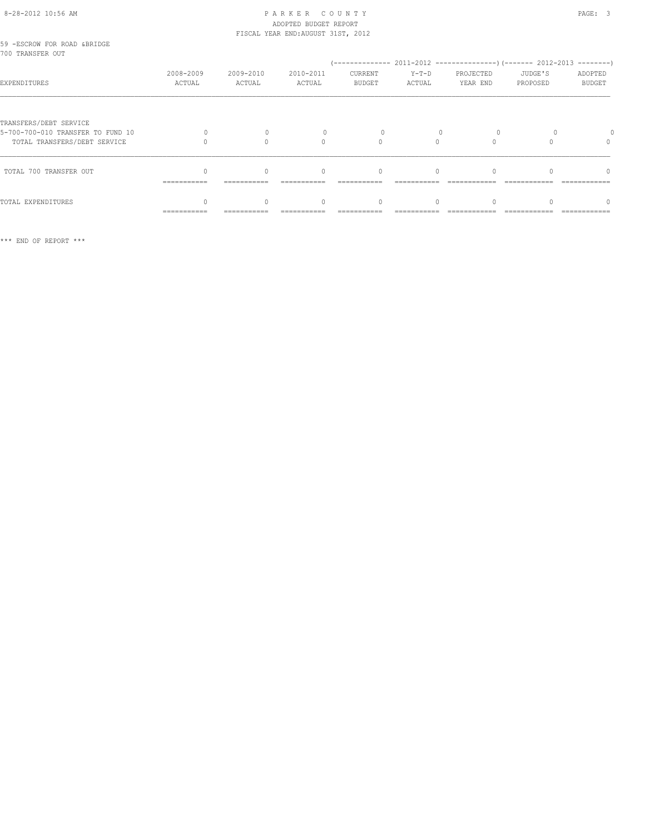# 8-28-2012 10:56 AM P A R K E R C O U N T Y PAGE: 3 ADOPTED BUDGET REPORT

|                                                             |                     |                     | FISCAL YEAR END: AUGUST 31ST, 2012 |                                  |                   |                       |                     |                          |
|-------------------------------------------------------------|---------------------|---------------------|------------------------------------|----------------------------------|-------------------|-----------------------|---------------------|--------------------------|
| 59 -ESCROW FOR ROAD &BRIDGE<br>700 TRANSFER OUT             |                     |                     |                                    |                                  |                   |                       |                     |                          |
| EXPENDITURES                                                | 2008-2009<br>ACTUAL | 2009-2010<br>ACTUAL | 2010-2011<br>ACTUAL                | CURRENT<br><b>BUDGET</b>         | $Y-T-D$<br>ACTUAL | PROJECTED<br>YEAR END | JUDGE'S<br>PROPOSED | ADOPTED<br><b>BUDGET</b> |
| TRANSFERS/DEBT SERVICE<br>5-700-700-010 TRANSFER TO FUND 10 |                     |                     |                                    |                                  |                   |                       |                     |                          |
| TOTAL TRANSFERS/DEBT SERVICE                                |                     | $\cap$              | $\cap$                             | $\bigcap$                        | $\cap$            |                       |                     | $\Omega$                 |
| TOTAL 700 TRANSFER OUT                                      | ===========         |                     | $\begin{array}{c} \n\end{array}$   | $\mathbf{0}$                     | $\Omega$          |                       |                     |                          |
| TOTAL EXPENDITURES                                          | ------------        | $\Omega$            | $\Omega$                           | $\begin{array}{c} \n\end{array}$ | $\bigcap$         |                       |                     |                          |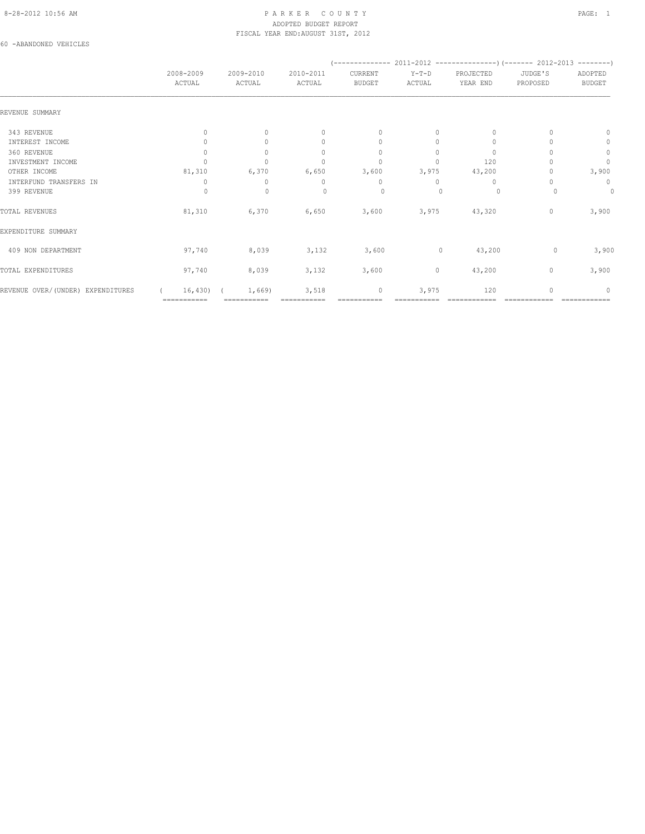#### 8-28-2012 10:56 AM PAGE: 1 PARKER COUNTY ADOPTED BUDGET REPORT FISCAL YEAR END:AUGUST 31ST, 2012

60 -ABANDONED VEHICLES

| 2008-2009<br>ACTUAL              | 2009-2010<br>ACTUAL | 2010-2011<br>ACTUAL              | CURRENT<br><b>BUDGET</b> | $Y-T-D$<br>ACTUAL | PROJECTED<br>YEAR END | JUDGE'S<br>PROPOSED | ADOPTED<br><b>BUDGET</b> |  |
|----------------------------------|---------------------|----------------------------------|--------------------------|-------------------|-----------------------|---------------------|--------------------------|--|
|                                  |                     |                                  |                          |                   |                       |                     |                          |  |
| $\begin{array}{c} \n\end{array}$ | $\Omega$            | $\begin{array}{c} \n\end{array}$ | $\mathbf{0}$             | $\Omega$          | 0                     |                     | $\Omega$                 |  |
|                                  | $\Omega$            | $\begin{array}{c} \n\end{array}$ | $\mathbf{0}$             | $\circ$           | 0                     |                     | 0                        |  |
| $\Omega$                         | $\Omega$            | $\begin{array}{c} \n\end{array}$ | $\mathbf{0}$             | $\Omega$          | $\Omega$              |                     | $\circ$                  |  |
|                                  | $\Omega$            | n                                | $\Omega$                 | $\Omega$          | 120                   |                     | $\mathbf{0}$             |  |
| 81,310                           | 6,370               | 6,650                            | 3,600                    | 3,975             | 43,200                |                     | 3,900                    |  |
| 0                                | 0                   | 0                                | 0                        | $\Omega$          | 0                     |                     | 0                        |  |
| 0                                | $\mathbf{0}$        | $\Omega$                         | 0                        |                   | $\circ$               |                     | 0                        |  |
| 81,310                           | 6,370               | 6,650                            | 3,600                    | 3,975             | 43,320                | 0                   | 3,900                    |  |
|                                  |                     |                                  |                          |                   |                       |                     |                          |  |
| 97,740                           | 8,039               | 3,132                            | 3,600                    | $\mathbf 0$       | 43,200                |                     | 3,900                    |  |
| 97,740                           | 8,039               | 3,132                            | 3,600                    | 0                 | 43,200                | $\mathbf{0}$        | 3,900                    |  |
| 16,430)<br>===========           | 1,669)              | 3,518                            | 0                        | 3,975             | 120                   |                     | n                        |  |
|                                  |                     |                                  |                          |                   |                       |                     | 0                        |  |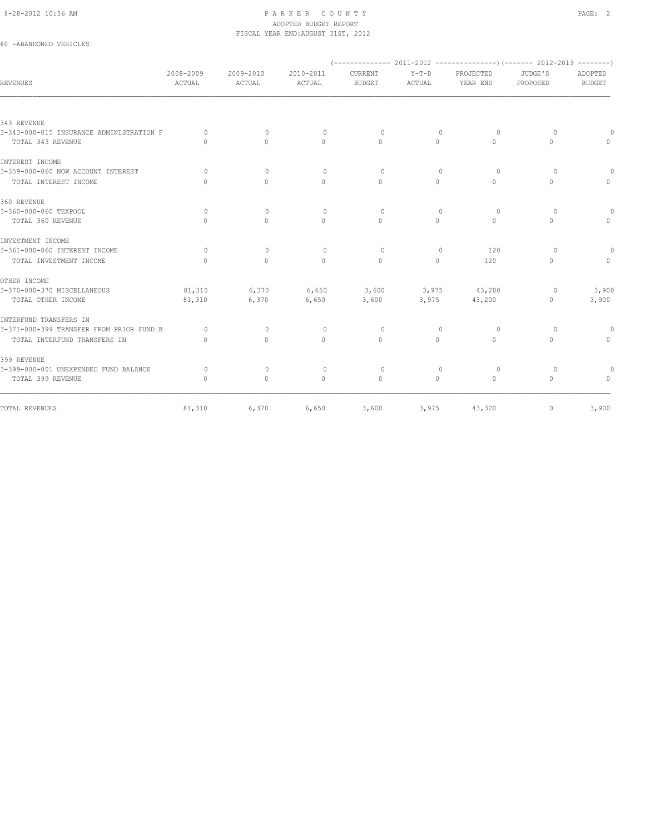#### 8-28-2012 10:56 AM PAGE: 2 ADOPTED BUDGET REPORT FISCAL YEAR END:AUGUST 31ST, 2012

## 60 -ABANDONED VEHICLES

| <b>REVENUES</b>                          | 2008-2009<br>ACTUAL | 2009-2010<br>ACTUAL | 2010-2011<br>ACTUAL | CURRENT<br><b>BUDGET</b> | $Y-T-D$<br><b>ACTUAL</b> | PROJECTED<br>YEAR END | JUDGE'S<br>PROPOSED | ADOPTED<br><b>BUDGET</b> |
|------------------------------------------|---------------------|---------------------|---------------------|--------------------------|--------------------------|-----------------------|---------------------|--------------------------|
|                                          |                     |                     |                     |                          |                          |                       |                     |                          |
| 343 REVENUE                              |                     |                     |                     |                          |                          |                       |                     |                          |
| 3-343-000-015 INSURANCE ADMINISTRATION F | $\Omega$            | $\Omega$            | $\mathbf{0}$        | $\Omega$                 | $\Omega$                 | $\Omega$              | $\Omega$            | $\Omega$                 |
| TOTAL 343 REVENUE                        | $\Omega$            | $\Omega$            | $\Omega$            | $\Omega$                 | $\Omega$                 | $\Omega$              | $\Omega$            | $\Omega$                 |
| INTEREST INCOME                          |                     |                     |                     |                          |                          |                       |                     |                          |
| 3-359-000-060 NOW ACCOUNT INTEREST       | $\Omega$            | $\mathbf{0}$        | $\mathbf{0}$        | $\circ$                  | $\mathbf{0}$             | $\circ$               | $\Omega$            | $\Omega$                 |
| TOTAL INTEREST INCOME                    | $\Omega$            | $\Omega$            | $\Omega$            | $\Omega$                 | $\Omega$                 | $\Omega$              | $\Omega$            | $\Omega$                 |
| 360 REVENUE                              |                     |                     |                     |                          |                          |                       |                     |                          |
| 3-360-000-060 TEXPOOL                    | $\circ$             | $\mathbf{0}$        | $\mathbf{0}$        | $\circ$                  | $\mathbf{0}$             | $\circ$               | $\circ$             | 0                        |
| TOTAL 360 REVENUE                        | $\bigcap$           | $\Omega$            | $\Omega$            | $\Omega$                 | $\Omega$                 | $\Omega$              | $\Omega$            | $\circ$                  |
| INVESTMENT INCOME                        |                     |                     |                     |                          |                          |                       |                     |                          |
| 3-361-000-060 INTEREST INCOME            | $\Omega$            | $\mathbf{0}$        | $\mathbf{0}$        | $\circ$                  | $\mathbf{0}$             | 120                   | $\Omega$            | $\Omega$                 |
| TOTAL INVESTMENT INCOME                  | $\Omega$            | $\Omega$            | $\Omega$            | $\Omega$                 | $\Omega$                 | 120                   | $\Omega$            | $\Omega$                 |
| OTHER INCOME                             |                     |                     |                     |                          |                          |                       |                     |                          |
| 3-370-000-370 MISCELLANEOUS              | 81,310              | 6,370               | 6,650               | 3,600                    | 3,975                    | 43,200                | $\circ$             | 3,900                    |
| TOTAL OTHER INCOME                       | 81,310              | 6,370               | 6,650               | 3,600                    | 3,975                    | 43,200                | 0                   | 3,900                    |
| INTERFUND TRANSFERS IN                   |                     |                     |                     |                          |                          |                       |                     |                          |
| 3-371-000-399 TRANSFER FROM PRIOR FUND B | $\Omega$            | $\Omega$            | $\mathbf{0}$        | $\circ$                  | $\mathbf{0}$             | $\circ$               | $\circ$             | $\circ$                  |
| TOTAL INTERFUND TRANSFERS IN             | $\Omega$            | $\circ$             | $\mathbf{0}$        | $\mathbf{0}$             | 0                        | $\circ$               | 0                   | $\circ$                  |
| 399 REVENUE                              |                     |                     |                     |                          |                          |                       |                     |                          |
| 3-399-000-001 UNEXPENDED FUND BALANCE    | $\Omega$            | $\mathbf{0}$        | $\mathbf{0}$        | $\circ$                  | 0                        | $\circ$               | $\circ$             | $\circ$                  |
| TOTAL 399 REVENUE                        | $\mathbf{0}$        | $\mathbf{0}$        | $\mathbf{0}$        | $\mathbf{0}$             | 0                        | $\circ$               | 0                   | $\circ$                  |
| TOTAL REVENUES                           | 81,310              | 6,370               | 6,650               | 3,600                    | 3,975                    | 43,320                | $\circ$             | 3,900                    |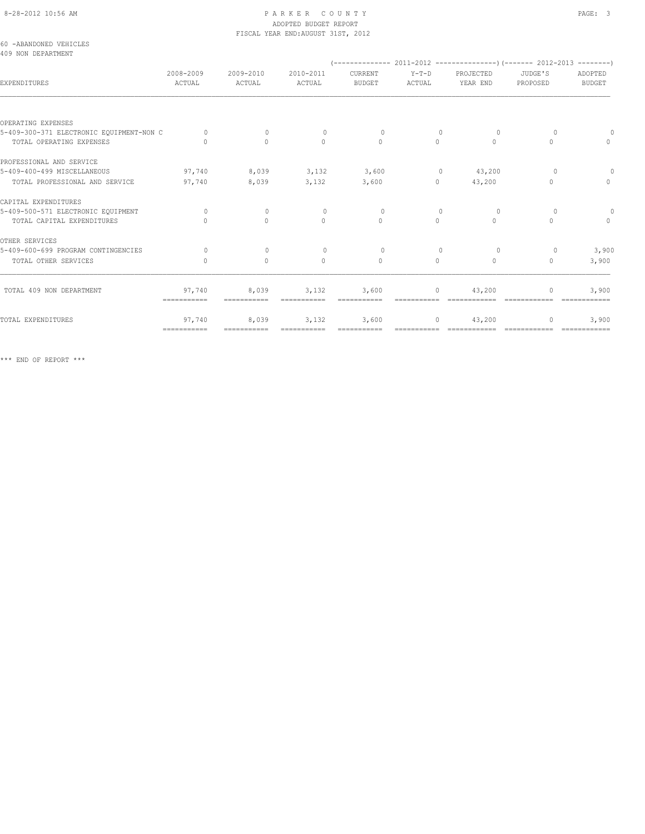# ADOPTED BUDGET REPORT

|                                              |                       |                     | FISCAL YEAR END: AUGUST 31ST, 2012 |                          |                                   |                                                                                                                                                                                                                                                                                                                                              |                |                                  |
|----------------------------------------------|-----------------------|---------------------|------------------------------------|--------------------------|-----------------------------------|----------------------------------------------------------------------------------------------------------------------------------------------------------------------------------------------------------------------------------------------------------------------------------------------------------------------------------------------|----------------|----------------------------------|
| 60 -ABANDONED VEHICLES<br>409 NON DEPARTMENT |                       |                     |                                    |                          |                                   |                                                                                                                                                                                                                                                                                                                                              |                |                                  |
| EXPENDITURES                                 | 2008-2009<br>ACTUAL   | 2009-2010<br>ACTUAL | 2010-2011<br>ACTUAL                | CURRENT<br><b>BUDGET</b> | ACTUAL                            | Y-T-D PROJECTED JUDGE'S<br>YEAR END                                                                                                                                                                                                                                                                                                          | PROPOSED       | ADOPTED<br><b>BUDGET</b>         |
|                                              |                       |                     |                                    |                          |                                   |                                                                                                                                                                                                                                                                                                                                              |                |                                  |
| OPERATING EXPENSES                           |                       |                     |                                    |                          |                                   |                                                                                                                                                                                                                                                                                                                                              |                |                                  |
| 5-409-300-371 ELECTRONIC EQUIPMENT-NON C     | $\sim$ 0              | $\Omega$            | $\Omega$                           | $\Omega$                 |                                   | $\Omega$                                                                                                                                                                                                                                                                                                                                     | $\Omega$       |                                  |
| TOTAL OPERATING EXPENSES                     | $\bigcap$             | $\Omega$            | $\Omega$                           | $\Omega$                 | $\Omega$                          | $\Omega$                                                                                                                                                                                                                                                                                                                                     | $\Omega$       | $\begin{array}{c} \n\end{array}$ |
| PROFESSIONAL AND SERVICE                     |                       |                     |                                    |                          |                                   |                                                                                                                                                                                                                                                                                                                                              |                |                                  |
| 5-409-400-499 MISCELLANEOUS                  | 97,740                | 8,039               | $3,132$ $3,600$                    |                          | $\sim$ 0 $\sim$ 0 $\sim$ 0 $\sim$ | 43,200                                                                                                                                                                                                                                                                                                                                       | $\Omega$       |                                  |
| TOTAL PROFESSIONAL AND SERVICE               | 97,740                | 8,039               | 3,132                              | 3,600                    |                                   | 43,200<br>$\overline{0}$ and $\overline{0}$ and $\overline{0}$ and $\overline{0}$ and $\overline{0}$ and $\overline{0}$ and $\overline{0}$ and $\overline{0}$ and $\overline{0}$ and $\overline{0}$ and $\overline{0}$ and $\overline{0}$ and $\overline{0}$ and $\overline{0}$ and $\overline{0}$ and $\overline{0}$ and $\overline{0}$ and | $\circ$        | $\Omega$                         |
| CAPITAL EXPENDITURES                         |                       |                     |                                    |                          |                                   |                                                                                                                                                                                                                                                                                                                                              |                |                                  |
| 5-409-500-571 ELECTRONIC EQUIPMENT           | $\circ$               | $\circ$             | $\circ$                            | $\circ$                  | $\circ$                           | $\circ$                                                                                                                                                                                                                                                                                                                                      | 0              |                                  |
| TOTAL CAPITAL EXPENDITURES                   | $\cap$                | $\Omega$            | $\begin{array}{c} \n\end{array}$   | $\Omega$                 | $\Omega$                          | $\Omega$                                                                                                                                                                                                                                                                                                                                     | $\bigcap$      | $\Omega$                         |
| OTHER SERVICES                               |                       |                     |                                    |                          |                                   |                                                                                                                                                                                                                                                                                                                                              |                |                                  |
| 5-409-600-699 PROGRAM CONTINGENCIES          | $\Omega$              | $\Omega$            | $\Omega$                           | $\Omega$                 | $\Omega$                          | $\Omega$                                                                                                                                                                                                                                                                                                                                     | 0              | 3,900                            |
| TOTAL OTHER SERVICES                         | $\bigcap$             | $\Omega$            | $\Omega$                           | $\mathbf{0}$             | $\circ$                           | $\circ$                                                                                                                                                                                                                                                                                                                                      | $\mathbf{0}$   | 3,900                            |
| TOTAL 409 NON DEPARTMENT                     | 97,740                | 8,039               | 3,132                              | 3,600                    | $\circ$                           | 43,200                                                                                                                                                                                                                                                                                                                                       | 0              | 3,900                            |
|                                              | $=$ ===========       | ===========         | ------------                       | ===========              | $=$ ===========                   | ==============================                                                                                                                                                                                                                                                                                                               |                |                                  |
| TOTAL EXPENDITURES                           | 97,740<br>=========== | 8,039               | 3,132                              |                          | 3,600 0 43,200                    |                                                                                                                                                                                                                                                                                                                                              | $\overline{0}$ | 3,900                            |
|                                              |                       |                     |                                    |                          |                                   |                                                                                                                                                                                                                                                                                                                                              |                |                                  |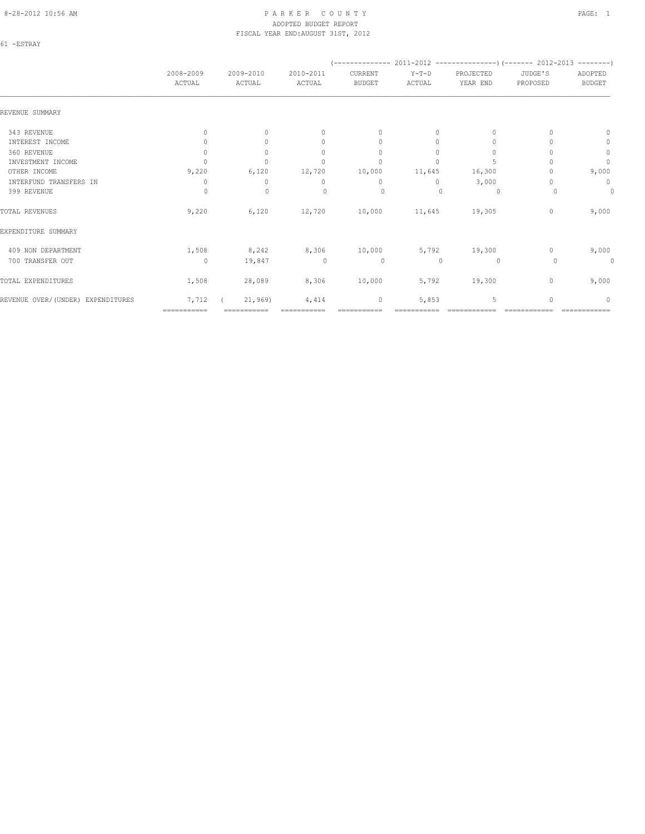#### 8-28-2012 10:56 AM P A R K E R C O U N T Y PAGE: 1 ADOPTED BUDGET REPORT FISCAL YEAR END:AUGUST 31ST, 2012

61 -ESTRAY

|                                   | 2008-2009<br>ACTUAL              | 2009-2010<br>ACTUAL | 2010-2011<br>ACTUAL              | CURRENT<br><b>BUDGET</b>         | Y-T-D<br>ACTUAL | PROJECTED<br>YEAR END | JUDGE'S<br>PROPOSED | ADOPTED<br><b>BUDGET</b>         |
|-----------------------------------|----------------------------------|---------------------|----------------------------------|----------------------------------|-----------------|-----------------------|---------------------|----------------------------------|
|                                   |                                  |                     |                                  |                                  |                 |                       |                     |                                  |
| REVENUE SUMMARY                   |                                  |                     |                                  |                                  |                 |                       |                     |                                  |
| 343 REVENUE                       | $\begin{array}{c} \n\end{array}$ | $\Omega$            | $\begin{array}{c} \n\end{array}$ | $\begin{array}{c} \n\end{array}$ | $\Omega$        | $\Omega$              |                     | $\Omega$                         |
| INTEREST INCOME                   | 0                                | $\Omega$            | $\mathbf{0}$                     | $\mathbf{0}$                     | $\Omega$        | $\cup$                |                     | $\circ$                          |
| 360 REVENUE                       | $\mathbf{0}$                     | $\Omega$            | $\begin{array}{c} \n\end{array}$ | $\mathbf{0}$                     | $\Omega$        | $\Omega$              |                     | $\mathbb O$                      |
| INVESTMENT INCOME                 | $\Omega$                         | $\circ$             | $\mathbf{0}$                     | $\mathbf{0}$                     | 0               |                       |                     | $\mathbf{0}$                     |
| OTHER INCOME                      | 9,220                            | 6,120               | 12,720                           | 10,000                           | 11,645          | 16,300                |                     | 9,000                            |
| INTERFUND TRANSFERS IN            | 0                                | $\mathbf{0}$        | $\mathbf{0}$                     | $\mathbf{0}$                     | $\circ$         | 3,000                 |                     | $\mathbf 0$                      |
| 399 REVENUE                       | 0                                | $\mathbf 0$         | $\begin{array}{c} \n\end{array}$ | 0                                | $\cup$          | 0                     | 0                   | $\circ$                          |
| TOTAL REVENUES                    | 9,220                            | 6,120               | 12,720                           | 10,000                           | 11,645          | 19,305                | $\mathbf{0}$        | 9,000                            |
| EXPENDITURE SUMMARY               |                                  |                     |                                  |                                  |                 |                       |                     |                                  |
| 409 NON DEPARTMENT                | 1,508                            | 8,242               | 8,306                            | 10,000                           | 5,792           | 19,300                | 0                   | 9,000                            |
| 700 TRANSFER OUT                  | $\circ$                          | 19,847              | $\circ$                          | $\circ$                          | 0               | 0                     | 0                   | 0                                |
| TOTAL EXPENDITURES                | 1,508                            | 28,089              | 8,306                            | 10,000                           | 5,792           | 19,300                | 0                   | 9,000                            |
| REVENUE OVER/(UNDER) EXPENDITURES | 7,712                            | 21,969)             | 4,414                            | 0                                | 5,853           | 5                     | $\Omega$            | $\begin{array}{c} \n\end{array}$ |
|                                   | ===========                      | ===========         |                                  |                                  |                 |                       |                     |                                  |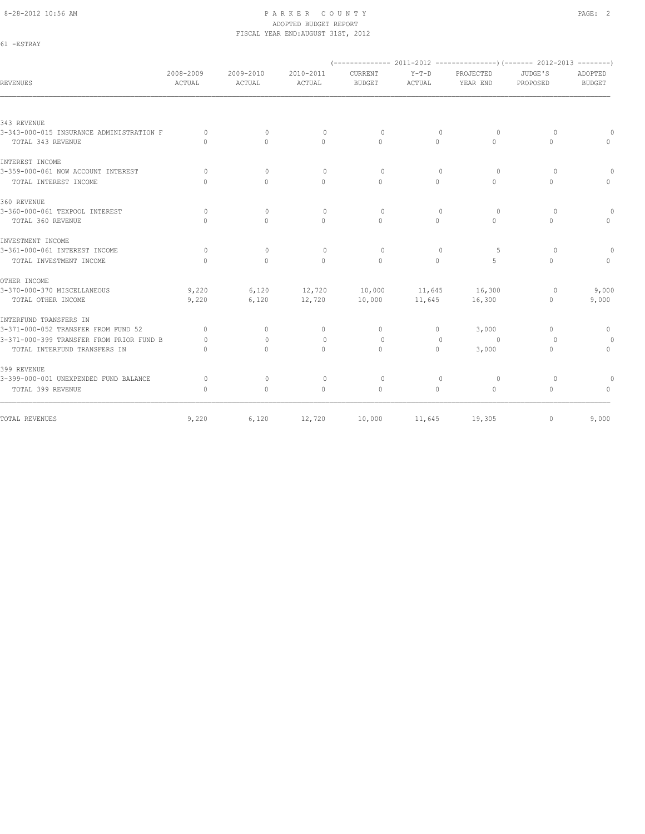61 -ESTRAY

#### 8-28-2012 10:56 AM PAGE: 2 ADOPTED BUDGET REPORT FISCAL YEAR END:AUGUST 31ST, 2012

| REVENUES                                 | 2008-2009<br>ACTUAL | 2009-2010<br>ACTUAL | 2010-2011<br>ACTUAL | CURRENT<br><b>BUDGET</b> | $Y-T-D$<br>ACTUAL | PROJECTED<br>YEAR END | JUDGE'S<br>PROPOSED              | ADOPTED<br><b>BUDGET</b> |
|------------------------------------------|---------------------|---------------------|---------------------|--------------------------|-------------------|-----------------------|----------------------------------|--------------------------|
|                                          |                     |                     |                     |                          |                   |                       |                                  |                          |
| 343 REVENUE                              |                     |                     |                     |                          |                   |                       |                                  |                          |
| 3-343-000-015 INSURANCE ADMINISTRATION F | $\Omega$            | $\mathbf{0}$        | $\mathbf{0}$        | $\circ$                  | 0                 | $\circ$               | $\Omega$                         |                          |
| TOTAL 343 REVENUE                        | $\cap$              | $\bigcap$           | $\Omega$            | $\Omega$                 | $\Omega$          | $\bigcap$             | $\Omega$                         |                          |
| INTEREST INCOME                          |                     |                     |                     |                          |                   |                       |                                  |                          |
| 3-359-000-061 NOW ACCOUNT INTEREST       | $\Omega$            | $\Omega$            | $\Omega$            | $\circ$                  | $\Omega$          | $\circ$               | $\Omega$                         |                          |
| TOTAL INTEREST INCOME                    | $\cap$              | $\cap$              | $\Omega$            | $\Omega$                 | $\Omega$          | $\cap$                | $\Omega$                         |                          |
| 360 REVENUE                              |                     |                     |                     |                          |                   |                       |                                  |                          |
| 3-360-000-061 TEXPOOL INTEREST           | $\Omega$            | $\Omega$            | $\Omega$            | $\Omega$                 | $\Omega$          | $\circ$               | $\Omega$                         |                          |
| TOTAL 360 REVENUE                        | $\bigcap$           | $\Omega$            | $\Omega$            | $\Omega$                 | $\Omega$          | $\bigcap$             | $\Omega$                         |                          |
| INVESTMENT INCOME                        |                     |                     |                     |                          |                   |                       |                                  |                          |
| 3-361-000-061 INTEREST INCOME            | $\Omega$            | $\Omega$            | $\Omega$            | $\Omega$                 | $\Omega$          | -5                    | $\Omega$                         |                          |
| TOTAL INVESTMENT INCOME                  | $\Omega$            | $\circ$             | $\mathbf{0}$        | $\mathbf{0}$             | $\circ$           | 5                     | $\mathbf{0}$                     |                          |
| OTHER INCOME                             |                     |                     |                     |                          |                   |                       |                                  |                          |
| 3-370-000-370 MISCELLANEOUS              | 9,220               | 6,120               | 12,720              | 10,000                   | 11,645            | 16,300                | 0                                | 9,000                    |
| TOTAL OTHER INCOME                       | 9,220               | 6,120               | 12,720              | 10,000                   | 11,645            | 16,300                | $\mathbf{0}$                     | 9,000                    |
| INTERFUND TRANSFERS IN                   |                     |                     |                     |                          |                   |                       |                                  |                          |
| 3-371-000-052 TRANSFER FROM FUND 52      | $\Omega$            | $\circ$             | $\mathbf{0}$        | $\mathbf{0}$             | $\circ$           | 3,000                 | $\begin{array}{c} \n\end{array}$ | $\mathbf{0}$             |
| 3-371-000-399 TRANSFER FROM PRIOR FUND B | $\Omega$            | $\Omega$            | $\mathbf{0}$        | $\circ$                  | $\mathbf{0}$      | 0                     | $\Omega$                         | 0                        |
| TOTAL INTERFUND TRANSFERS IN             | $\Omega$            | $\Omega$            | $\circ$             | $\circ$                  | $\circ$           | 3,000                 | $\mathbf{0}$                     | $\circ$                  |
| 399 REVENUE                              |                     |                     |                     |                          |                   |                       |                                  |                          |
| 3-399-000-001 UNEXPENDED FUND BALANCE    | $\circ$             | $\Omega$            | $\Omega$            | $\Omega$                 | $\Omega$          | $\Omega$              | $\Omega$                         | $\Omega$                 |
| TOTAL 399 REVENUE                        | $\mathbf{0}$        | $\circ$             | $\mathbf{0}$        | $\mathbf{0}$             | $\circ$           | $\circ$               | $\mathbf{0}$                     | $\Omega$                 |
| TOTAL REVENUES                           | 9,220               | 6,120               | 12,720              | 10,000                   | 11,645            | 19,305                | 0                                | 9,000                    |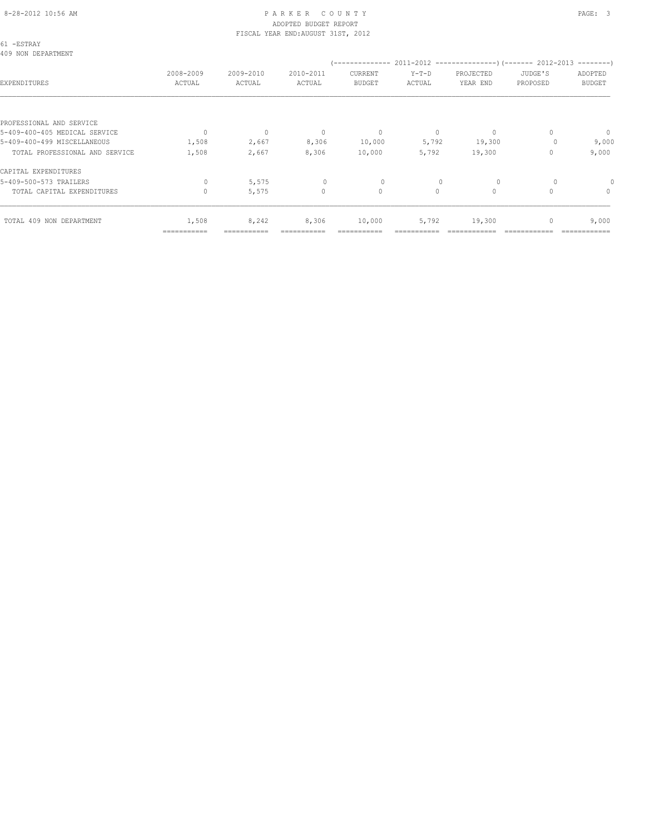#### 8-28-2012 10:56 AM PAGE: 3 ADOPTED BUDGET REPORT FISCAL YEAR END:AUGUST 31ST, 2012

| 61 -ESTRAY<br>409 NON DEPARTMENT |              |              |              |               |          |              |          |               |
|----------------------------------|--------------|--------------|--------------|---------------|----------|--------------|----------|---------------|
|                                  | 2008-2009    | 2009-2010    | 2010-2011    | CURRENT       | $Y-T-D$  | PROJECTED    | JUDGE'S  | ADOPTED       |
| EXPENDITURES                     | ACTUAL       | ACTUAL       | ACTUAL       | <b>BUDGET</b> | ACTUAL   | YEAR END     | PROPOSED | <b>BUDGET</b> |
|                                  |              |              |              |               |          |              |          |               |
| PROFESSIONAL AND SERVICE         |              |              |              |               |          |              |          |               |
| 5-409-400-405 MEDICAL SERVICE    | $\mathbf{0}$ | $\mathbf{0}$ | $\mathbf 0$  | $\mathbf 0$   | 0        | $\mathbf{0}$ | 0        | $\circ$       |
| 5-409-400-499 MISCELLANEOUS      | 1,508        | 2,667        | 8,306        | 10,000        | 5,792    | 19,300       |          | 9,000         |
| TOTAL PROFESSIONAL AND SERVICE   | 1,508        | 2,667        | 8,306        | 10,000        | 5,792    | 19,300       | 0        | 9,000         |
| CAPITAL EXPENDITURES             |              |              |              |               |          |              |          |               |
| 5-409-500-573 TRAILERS           | 0            | 5,575        | $\mathbf{0}$ | $\circ$       |          | 0            |          |               |
| TOTAL CAPITAL EXPENDITURES       | $\Omega$     | 5,575        | $\Omega$     | $\circ$       | $\Omega$ | $\circ$      | $\cap$   | $\circ$       |
| TOTAL 409 NON DEPARTMENT         | 1,508        | 8,242        | 8,306        | 10,000        | 5,792    | 19,300       | 0        | 9,000         |
|                                  | ===========  | ===========  | ===========  | ===========   |          |              |          |               |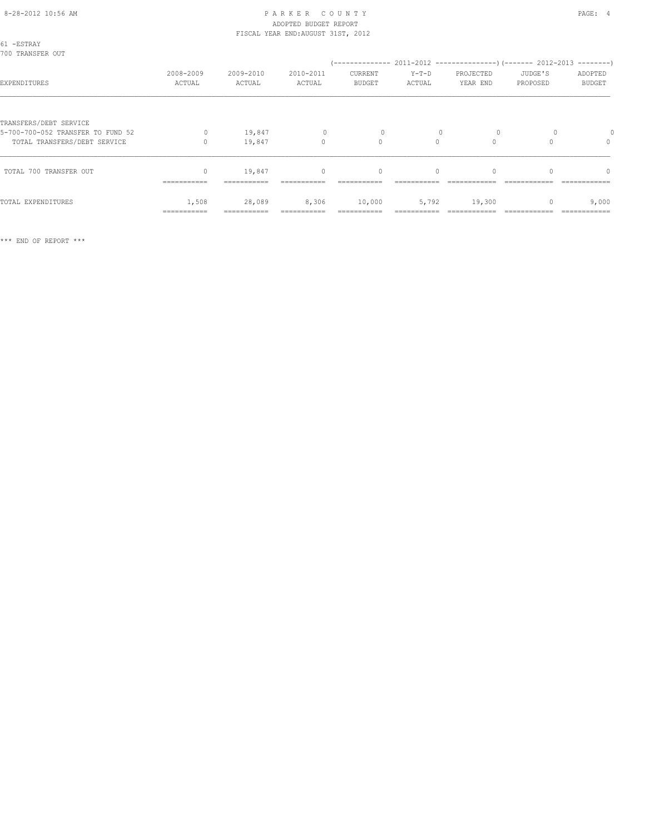#### 8-28-2012 10:56 AM PAGE: 4 ADOPTED BUDGET REPORT FISCAL YEAR END:AUGUST 31ST, 2012

| 61 -ESTRAY<br>700 TRANSFER OUT    |                         |                       |                     |                                  |                   |                       |                     |                                  |
|-----------------------------------|-------------------------|-----------------------|---------------------|----------------------------------|-------------------|-----------------------|---------------------|----------------------------------|
| EXPENDITURES                      | 2008-2009<br>ACTUAL     | 2009-2010<br>ACTUAL   | 2010-2011<br>ACTUAL | CURRENT<br><b>BUDGET</b>         | $Y-T-D$<br>ACTUAL | PROJECTED<br>YEAR END | JUDGE'S<br>PROPOSED | ADOPTED<br><b>BUDGET</b>         |
| TRANSFERS/DEBT SERVICE            |                         |                       |                     |                                  |                   |                       |                     |                                  |
| 5-700-700-052 TRANSFER TO FUND 52 | $\Omega$                | 19,847                | $\mathbf{0}$        |                                  |                   |                       |                     |                                  |
| TOTAL TRANSFERS/DEBT SERVICE      |                         | 19,847                | $\mathbf{0}$        | $\circ$                          | $\circ$           | $\Omega$              |                     | $\mathbf{0}$                     |
| TOTAL 700 TRANSFER OUT            | $\Omega$<br>=========== | 19,847<br>=========== | $\mathbf{0}$        | $\begin{array}{c} \n\end{array}$ | $\Omega$          | $\Omega$              | $\cap$              | $\begin{array}{c} \n\end{array}$ |
|                                   |                         |                       |                     |                                  |                   |                       |                     |                                  |
| TOTAL EXPENDITURES                | 1,508<br>===========    | 28,089                | 8,306               | 10,000                           | 5,792             | 19,300                |                     | 9,000                            |
|                                   |                         |                       |                     |                                  |                   |                       |                     |                                  |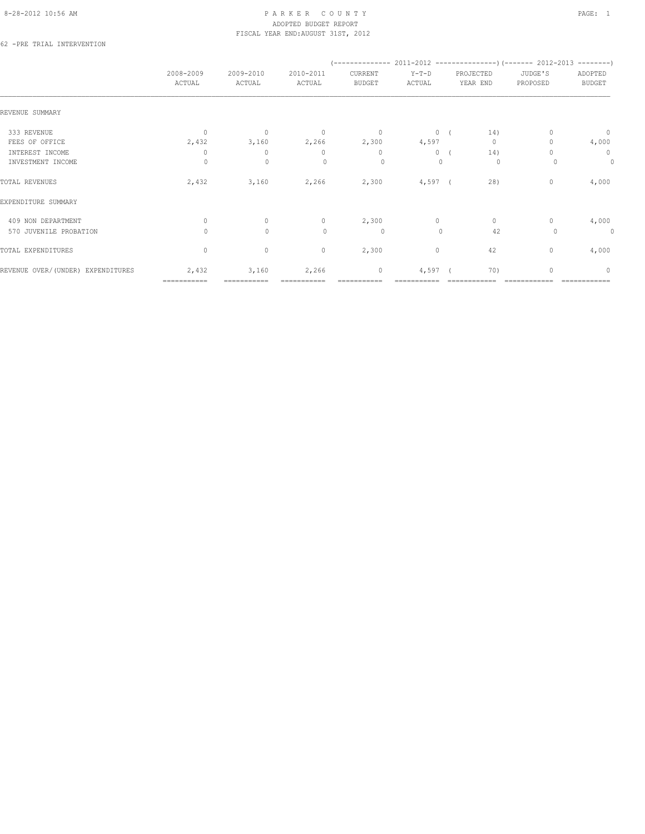#### 8-28-2012 10:56 AM PAGE: 1 PARKER COUNTY PAGE: 1 ADOPTED BUDGET REPORT FISCAL YEAR END:AUGUST 31ST, 2012

62 -PRE TRIAL INTERVENTION

|                                    | 2008-2009<br>ACTUAL | 2009-2010<br>ACTUAL | 2010-2011<br>ACTUAL | CURRENT<br><b>BUDGET</b> | $Y-T-D$<br>ACTUAL | PROJECTED<br>YEAR END | JUDGE'S<br>PROPOSED     | ADOPTED<br><b>BUDGET</b> |
|------------------------------------|---------------------|---------------------|---------------------|--------------------------|-------------------|-----------------------|-------------------------|--------------------------|
| REVENUE SUMMARY                    |                     |                     |                     |                          |                   |                       |                         |                          |
| 333 REVENUE                        | $\circ$             | $\mathbf{0}$        | $\overline{0}$      | $\circ$                  | 0(                |                       | 14)                     | $\overline{0}$           |
| FEES OF OFFICE                     | 2,432               | 3,160               | 2,266               | 2,300                    | 4,597             |                       | $\circ$                 | 4,000                    |
| INTEREST INCOME                    | 0                   | $\mathbf{0}$        | $\mathbf{0}$        | $\mathbf{0}$             | $\circ$           |                       | 14)                     | $\circ$                  |
| INVESTMENT INCOME                  | $\Omega$            | $\mathbf{0}$        | $\Omega$            | $\circ$                  | $\mathbf{0}$      |                       | $\circ$                 | $\circ$                  |
| TOTAL REVENUES                     | 2,432               | 3,160               | 2,266               | 2,300                    | $4,597$ (         |                       | 28)<br>0                | 4,000                    |
| EXPENDITURE SUMMARY                |                     |                     |                     |                          |                   |                       |                         |                          |
| 409 NON DEPARTMENT                 | $\mathbf{0}$        | $\circ$             | $\circ$             | 2,300                    | $\circ$           |                       | $\circ$<br>$\mathbf{0}$ | 4,000                    |
| 570 JUVENILE PROBATION             | $\circ$             | $\mathbf{0}$        | $\circ$             | $\circ$                  | $\mathbf{0}$      |                       | 42                      | $\circ$<br>0             |
| TOTAL EXPENDITURES                 | $\circ$             | $\mathbb O$         | $\circ$             | 2,300                    | $\circ$           |                       | 42<br>0                 | 4,000                    |
| REVENUE OVER/ (UNDER) EXPENDITURES | 2,432               | 3,160               | 2,266               | $\mathbb O$              | 4,597             |                       | 70)<br>$\mathbf{0}$     | $\mathbf{0}$             |
|                                    | ===========         | -----------         |                     |                          |                   |                       |                         |                          |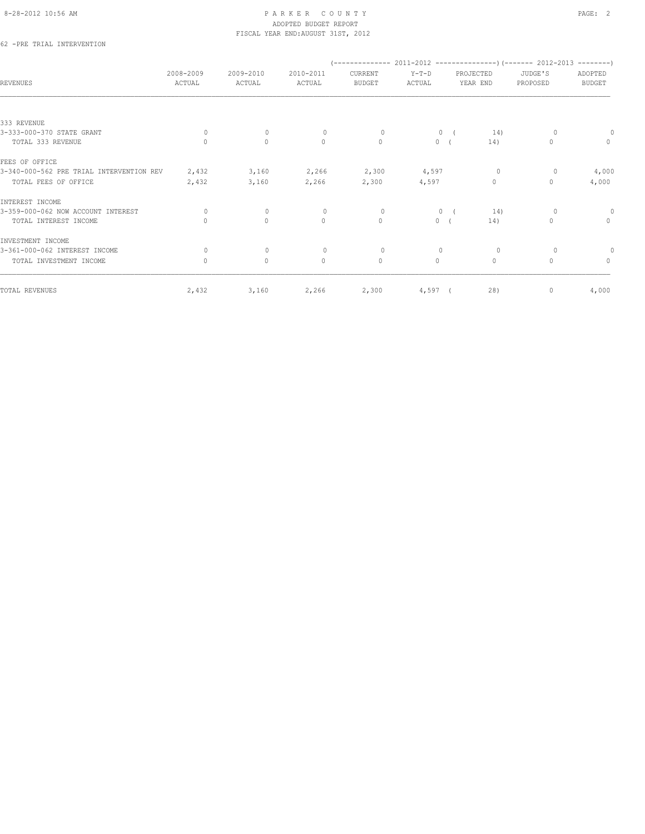#### 8-28-2012 10:56 AM PAGE: 2 ADOPTED BUDGET REPORT FISCAL YEAR END:AUGUST 31ST, 2012

62 -PRE TRIAL INTERVENTION

| <b>REVENUES</b>                          | 2008-2009<br>ACTUAL              | 2009-2010<br>ACTUAL | 2010-2011<br>ACTUAL | CURRENT<br><b>BUDGET</b> | $Y-T-D$<br>ACTUAL | PROJECTED<br>YEAR END | JUDGE'S<br>PROPOSED | ADOPTED<br><b>BUDGET</b> |
|------------------------------------------|----------------------------------|---------------------|---------------------|--------------------------|-------------------|-----------------------|---------------------|--------------------------|
|                                          |                                  |                     |                     |                          |                   |                       |                     |                          |
| 333 REVENUE                              |                                  |                     |                     |                          |                   |                       |                     |                          |
| 3-333-000-370 STATE GRANT                | $\Omega$                         | $\mathbf{0}$        | $\mathbf{0}$        | $\circ$                  | $\circ$           | 14)                   |                     |                          |
| TOTAL 333 REVENUE                        | $\Omega$                         | $\circ$             | $\circ$             | $\mathbf{0}$             | 0(                | 14)                   | $\mathbf{0}$        | $\circ$                  |
| FEES OF OFFICE                           |                                  |                     |                     |                          |                   |                       |                     |                          |
| 3-340-000-562 PRE TRIAL INTERVENTION REV | 2,432                            | 3,160               | 2,266               | 2,300                    | 4,597             | $\circ$               | 0                   | 4,000                    |
| TOTAL FEES OF OFFICE                     | 2,432                            | 3,160               | 2,266               | 2,300                    | 4,597             | $\circ$               | $\mathbf{0}$        | 4,000                    |
| INTEREST INCOME                          |                                  |                     |                     |                          |                   |                       |                     |                          |
| 3-359-000-062 NOW ACCOUNT INTEREST       | 0                                | $\mathbf{0}$        | $\mathbf{0}$        | $\circ$                  | $\circ$           | 14)                   | $\circ$             | $\theta$                 |
| TOTAL INTEREST INCOME                    | $\begin{array}{c} \n\end{array}$ | $\mathbf{0}$        | $\circ$             | $\mathbf{0}$             | $\circ$           | 14)                   | $\mathbf{0}$        | $\circ$                  |
| INVESTMENT INCOME                        |                                  |                     |                     |                          |                   |                       |                     |                          |
| 3-361-000-062 INTEREST INCOME            | 0                                | $\mathbf{0}$        | $\mathbf{0}$        | $\circ$                  | $\mathbf{0}$      | $\circ$               | 0                   |                          |
| TOTAL INVESTMENT INCOME                  | $\circ$                          | $\mathbf{0}$        | $\circ$             | $\mathbf{0}$             | $\circ$           | $\circ$               | $\Omega$            | $\mathbf{0}$             |
| TOTAL REVENUES                           | 2,432                            | 3,160               | 2,266               | 2,300                    | $4,597$ (         | 28)                   | $\mathbf{0}$        | 4,000                    |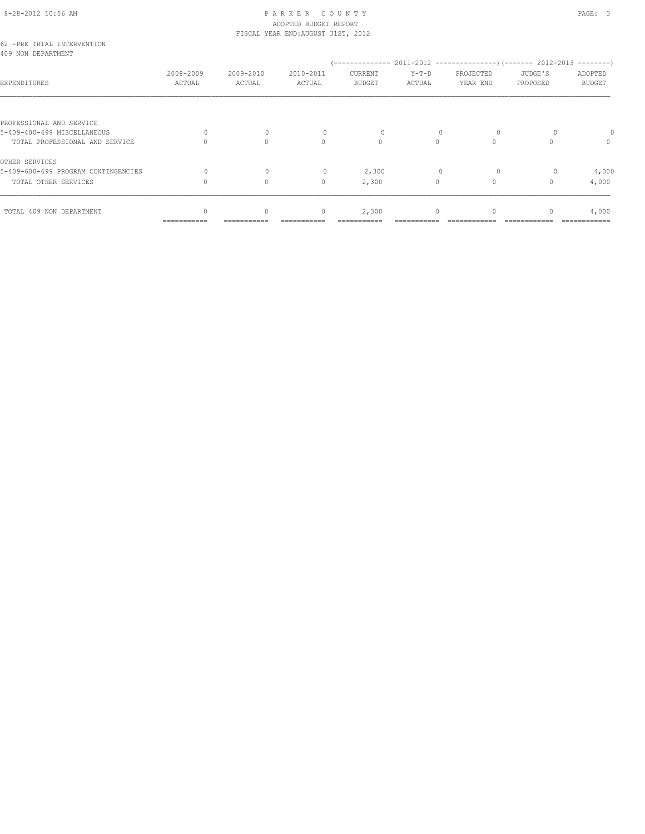# 8-28-2012 10:56 AM P A R K E R C O U N T Y PAGE: 3 ADOPTED BUDGET REPORT

| TOTAL 409 NON DEPARTMENT                                                                  |                     | $\Omega$              | $\mathbf{0}$                       | 2,300                    | $\Omega$          | $\Omega$              |                     | 4,000                    |
|-------------------------------------------------------------------------------------------|---------------------|-----------------------|------------------------------------|--------------------------|-------------------|-----------------------|---------------------|--------------------------|
| TOTAL OTHER SERVICES                                                                      |                     | $\Omega$              | $\mathbf{0}$                       | 2,300                    | 0                 | $\Omega$              |                     | 4,000                    |
| OTHER SERVICES<br>5-409-600-699 PROGRAM CONTINGENCIES                                     |                     | $\Omega$              |                                    | 2,300                    |                   |                       |                     | 4,000                    |
| PROFESSIONAL AND SERVICE<br>5-409-400-499 MISCELLANEOUS<br>TOTAL PROFESSIONAL AND SERVICE | 0                   | $\mathbf 0$<br>$\cap$ | 0<br>$\Omega$                      | 0<br>$\Omega$            | $\Omega$          | $\circ$<br>$\Omega$   |                     | $\circ$                  |
| EXPENDITURES                                                                              | 2008-2009<br>ACTUAL | 2009-2010<br>ACTUAL   | 2010-2011<br>ACTUAL                | CURRENT<br><b>BUDGET</b> | $Y-T-D$<br>ACTUAL | PROJECTED<br>YEAR END | JUDGE'S<br>PROPOSED | ADOPTED<br><b>BUDGET</b> |
| 62 -PRE TRIAL INTERVENTION<br>409 NON DEPARTMENT                                          |                     |                       | FISCAL YEAR END: AUGUST 31ST, 2012 |                          |                   |                       |                     |                          |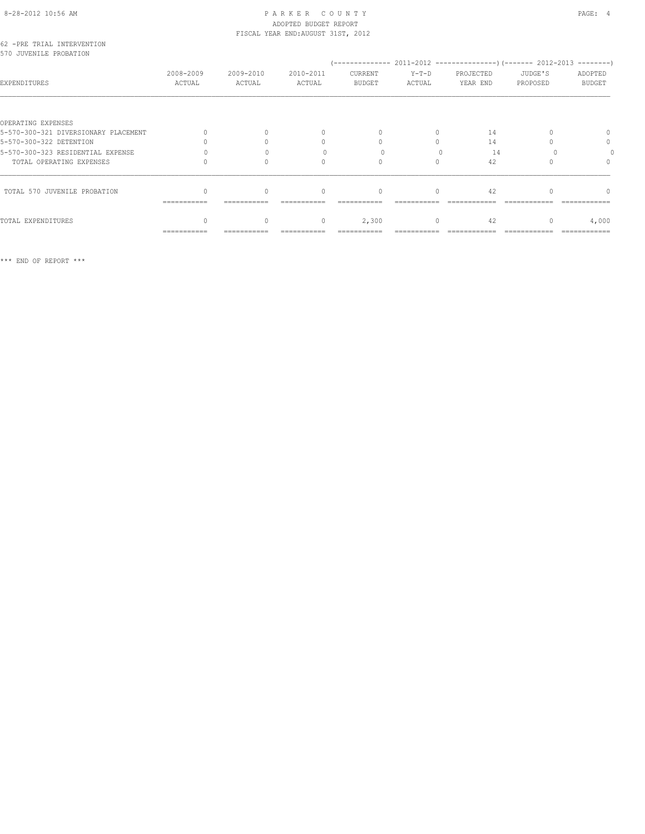# 8-28-2012 10:56 AM P A R K E R C O U N T Y PAGE: 4 ADOPTED BUDGET REPORT

| 62 -PRE TRIAL INTERVENTION<br>570 JUVENILE PROBATION | FISCAL YEAR END: AUGUST 31ST, 2012 |                     |                     |                   |                   |                       |                     |                          |
|------------------------------------------------------|------------------------------------|---------------------|---------------------|-------------------|-------------------|-----------------------|---------------------|--------------------------|
| EXPENDITURES                                         | 2008-2009<br>ACTUAL                | 2009-2010<br>ACTUAL | 2010-2011<br>ACTUAL | CURRENT<br>BUDGET | $Y-T-D$<br>ACTUAL | PROJECTED<br>YEAR END | JUDGE'S<br>PROPOSED | ADOPTED<br><b>BUDGET</b> |
|                                                      |                                    |                     |                     |                   |                   |                       |                     |                          |
| OPERATING EXPENSES                                   |                                    |                     |                     |                   |                   |                       |                     |                          |
| 5-570-300-321 DIVERSIONARY PLACEMENT                 |                                    |                     | $\Omega$            | $\Omega$          | $\Omega$          | 14                    |                     | $\Omega$                 |
| 5-570-300-322 DETENTION                              |                                    |                     | $\mathbf{0}$        |                   | $\Omega$          | 14                    |                     | $\mathbf{0}$             |
| 5-570-300-323 RESIDENTIAL EXPENSE                    |                                    |                     |                     |                   |                   | 14                    |                     |                          |
| TOTAL OPERATING EXPENSES                             |                                    |                     | 0                   | $\Omega$          | $\Omega$          | 42                    |                     |                          |
| TOTAL 570 JUVENILE PROBATION                         | ============                       | $\Omega$            | $\mathbf{0}$        | $\mathbf{0}$      | 0                 | 42                    |                     | $\cap$                   |
| TOTAL EXPENDITURES                                   |                                    | 0                   | $\circ$             | 2,300             | $\circ$           | 42                    |                     | 4,000                    |
|                                                      | ===========                        | ===========         | ===========         | ===========       |                   | ============          |                     | =============            |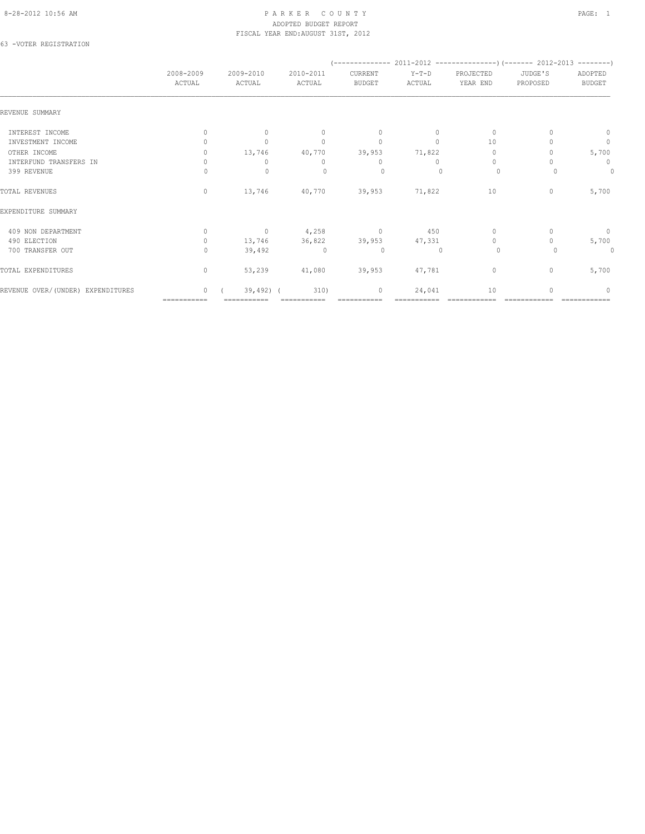#### 8-28-2012 10:56 AM PAGE: 1 PAR K E R C O U N T Y ADOPTED BUDGET REPORT FISCAL YEAR END:AUGUST 31ST, 2012

63 -VOTER REGISTRATION

|                                   | 2008-2009<br>ACTUAL              | 2009-2010<br>ACTUAL              | 2010-2011<br>ACTUAL              | CURRENT<br><b>BUDGET</b> | $Y-T-D$<br>ACTUAL | PROJECTED<br>YEAR END            | JUDGE'S<br>PROPOSED | ADOPTED<br><b>BUDGET</b> |  |
|-----------------------------------|----------------------------------|----------------------------------|----------------------------------|--------------------------|-------------------|----------------------------------|---------------------|--------------------------|--|
| REVENUE SUMMARY                   |                                  |                                  |                                  |                          |                   |                                  |                     |                          |  |
| INTEREST INCOME                   | $\begin{array}{c} \n\end{array}$ | $\begin{array}{c} \n\end{array}$ | $\Omega$                         | $\mathbf{0}$             | $\Omega$          | $\mathbf{0}$                     |                     | 0                        |  |
| INVESTMENT INCOME                 |                                  | $\Omega$                         | $\begin{array}{c} \n\end{array}$ | $\mathbf{0}$             | $\Omega$          | 10                               |                     | $\circ$                  |  |
| OTHER INCOME                      |                                  | 13,746                           | 40,770                           | 39,953                   | 71,822            | 0                                |                     | 5,700                    |  |
| INTERFUND TRANSFERS IN            |                                  | $\Omega$                         | $\Omega$                         | 0                        | $\Omega$          | $\begin{array}{c} \n\end{array}$ |                     | 0                        |  |
| 399 REVENUE                       |                                  | $\mathbf{0}$                     | $\Omega$                         | 0                        |                   | $\circ$                          |                     | $\circ$                  |  |
| TOTAL REVENUES                    | $\mathbf{0}$                     | 13,746                           | 40,770                           | 39,953                   | 71,822            | 10                               | $\mathbf{0}$        | 5,700                    |  |
| EXPENDITURE SUMMARY               |                                  |                                  |                                  |                          |                   |                                  |                     |                          |  |
| 409 NON DEPARTMENT                | $\begin{array}{c} \n\end{array}$ | $\circ$                          | 4,258                            | $\circ$                  | 450               | $\mathbf{0}$                     |                     | $\circ$                  |  |
| 490 ELECTION                      | $\mathbf{0}$                     | 13,746                           | 36,822                           | 39,953                   | 47,331            | $\circ$                          |                     | 5,700                    |  |
| 700 TRANSFER OUT                  | $\Omega$                         | 39,492                           | $\Omega$                         | $\circ$                  | $\mathbf{0}$      | $\circ$                          |                     | $\circ$                  |  |
| TOTAL EXPENDITURES                | $\mathbf{0}$                     | 53,239                           | 41,080                           | 39,953                   | 47,781            | $\mathbf{0}$                     | $\mathbf{0}$        | 5,700                    |  |
| REVENUE OVER/(UNDER) EXPENDITURES | $\cap$                           | $39,492$ ) (                     | 310)                             | $\mathbf{0}$             | 24,041            | 10                               |                     | $\Omega$                 |  |
|                                   | ===========                      |                                  |                                  |                          |                   |                                  |                     |                          |  |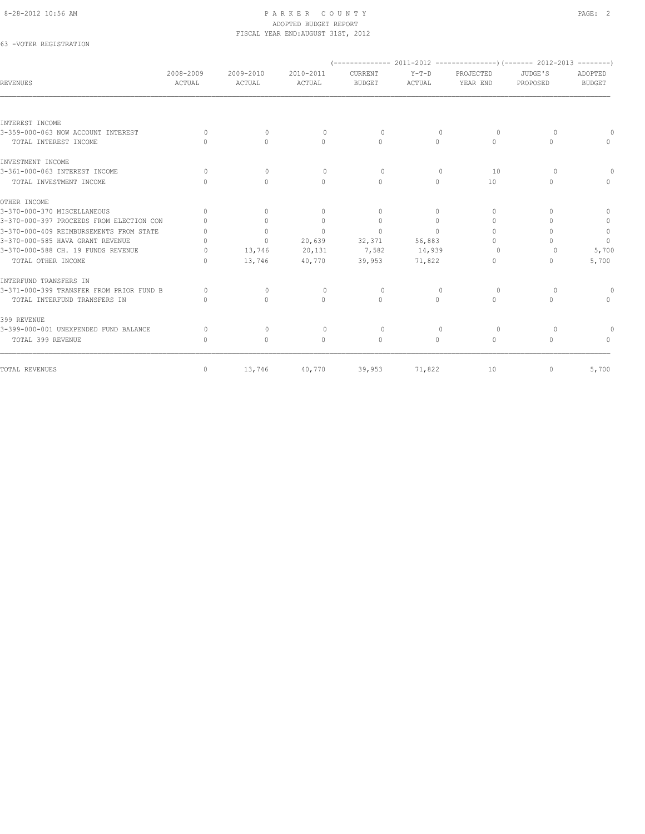#### 8-28-2012 10:56 AM PAGE: 2 ADOPTED BUDGET REPORT FISCAL YEAR END:AUGUST 31ST, 2012

## 63 -VOTER REGISTRATION

| <b>REVENUES</b>                          | 2008-2009<br>ACTUAL | 2009-2010<br>ACTUAL              | 2010-2011<br>ACTUAL              | CURRENT<br><b>BUDGET</b> | $Y-T-D$<br>ACTUAL | PROJECTED<br>YEAR END            | JUDGE'S<br>PROPOSED              | ADOPTED<br><b>BUDGET</b> |
|------------------------------------------|---------------------|----------------------------------|----------------------------------|--------------------------|-------------------|----------------------------------|----------------------------------|--------------------------|
|                                          |                     |                                  |                                  |                          |                   |                                  |                                  |                          |
| INTEREST INCOME                          |                     |                                  |                                  |                          |                   |                                  |                                  |                          |
| 3-359-000-063 NOW ACCOUNT INTEREST       | $\Omega$            | $\mathbf{0}$                     | $\mathbf{0}$                     | 0                        | $\mathbf{0}$      | 0                                | $\Omega$                         | $\Omega$                 |
| TOTAL INTEREST INCOME                    | $\cap$              | $\Omega$                         | $\Omega$                         | $\Omega$                 | $\Omega$          | $\Omega$                         | $\Omega$                         | $\Omega$                 |
| INVESTMENT INCOME                        |                     |                                  |                                  |                          |                   |                                  |                                  |                          |
| 3-361-000-063 INTEREST INCOME            | $\Omega$            | $\begin{array}{c} \n\end{array}$ | $\Omega$                         | $\Omega$                 | $\Omega$          | 10                               | $\Omega$                         | $\Omega$                 |
| TOTAL INVESTMENT INCOME                  | $\bigcap$           | $\Omega$                         | $\Omega$                         | $\Omega$                 | $\Omega$          | 10                               | $\Omega$                         | $\Omega$                 |
| OTHER INCOME                             |                     |                                  |                                  |                          |                   |                                  |                                  |                          |
| 3-370-000-370 MISCELLANEOUS              | $\bigcap$           | $\Omega$                         | $\begin{array}{c} \n\end{array}$ | $\Omega$                 | $\Omega$          | $\Omega$                         | $\begin{array}{c} \n\end{array}$ | $\Omega$                 |
| 3-370-000-397 PROCEEDS FROM ELECTION CON | $\bigcap$           | $\Omega$                         | $\mathbf{0}$                     | $\Omega$                 | $\Omega$          | $\begin{array}{c} \n\end{array}$ | $\bigcap$                        | $\circ$                  |
| 3-370-000-409 REIMBURSEMENTS FROM STATE  | $\bigcap$           | $\Omega$                         | $\Omega$                         | $\Omega$                 | $\bigcap$         | $\Omega$                         | $\bigcap$                        | $\circ$                  |
| 3-370-000-585 HAVA GRANT REVENUE         | $\bigcap$           | $\circ$                          | 20,639                           | 32,371                   | 56,883            | $\bigcap$                        | $\bigcap$                        | $\Omega$                 |
| 3-370-000-588 CH. 19 FUNDS REVENUE       | $\bigcap$           | 13,746                           | 20,131                           | 7,582                    | 14,939            | $\Omega$                         | $\circ$                          | 5,700                    |
| TOTAL OTHER INCOME                       | $\bigcap$           | 13,746                           | 40,770                           | 39,953                   | 71,822            | $\Omega$                         | $\mathbf{0}$                     | 5,700                    |
| INTERFUND TRANSFERS IN                   |                     |                                  |                                  |                          |                   |                                  |                                  |                          |
| 3-371-000-399 TRANSFER FROM PRIOR FUND B | $\Omega$            | $\circ$                          | $\mathbf{0}$                     | 0                        | 0                 | 0                                | 0                                | $\Omega$                 |
| TOTAL INTERFUND TRANSFERS IN             | $\bigcap$           | $\Omega$                         | $\bigcap$                        | $\Omega$                 | $\cap$            | $\Omega$                         | $\bigcap$                        | $\Omega$                 |
| 399 REVENUE                              |                     |                                  |                                  |                          |                   |                                  |                                  |                          |
| 3-399-000-001 UNEXPENDED FUND BALANCE    | $\Omega$            | $\circ$                          | $\mathbf{0}$                     | 0                        | $\mathbf{0}$      | $\Omega$                         | $\Omega$                         |                          |
| TOTAL 399 REVENUE                        | $\bigcap$           | $\mathbf{0}$                     | $\begin{array}{c} \n\end{array}$ | $\Omega$                 | $\Omega$          | $\Omega$                         | $\begin{array}{c} \n\end{array}$ | $\Omega$                 |
| TOTAL REVENUES                           | $\mathbf{0}$        | 13,746                           | 40,770                           | 39,953                   | 71,822            | 10                               | $\mathbf{0}$                     | 5,700                    |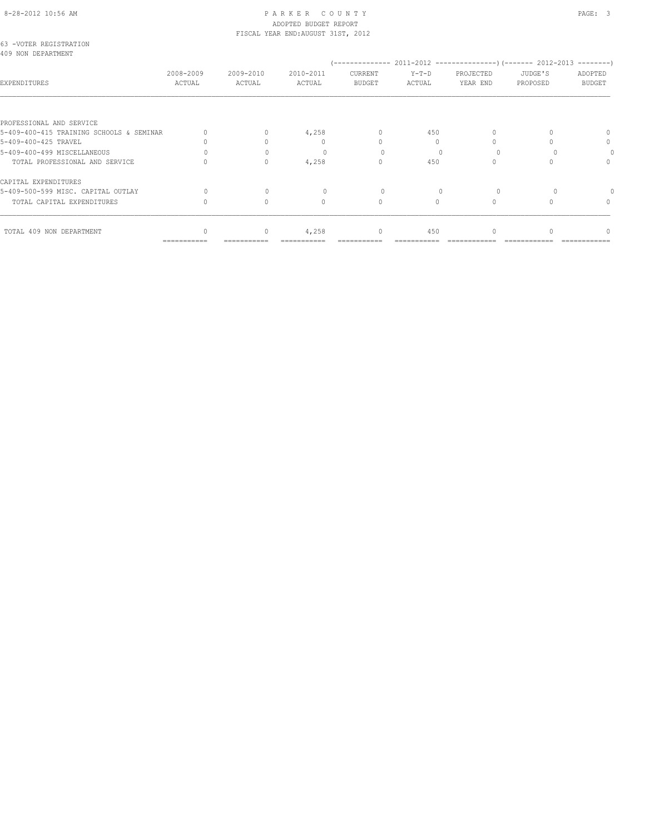#### 8-28-2012 10:56 AM P A R K E R C O U N T Y PAGE: 3 ADOPTED BUDGET REPORT FISCAL YEAR END:AUGUST 31ST, 2012

|                                              |                     |                     | IIUUIN INNI NIU.NUUUUI UIUI LUIL |                                  |                   |                       |                     |                          |
|----------------------------------------------|---------------------|---------------------|----------------------------------|----------------------------------|-------------------|-----------------------|---------------------|--------------------------|
| 63 -VOTER REGISTRATION<br>409 NON DEPARTMENT |                     |                     |                                  |                                  |                   |                       |                     |                          |
| EXPENDITURES                                 | 2008-2009<br>ACTUAL | 2009-2010<br>ACTUAL | 2010-2011<br>ACTUAL              | CURRENT<br><b>BUDGET</b>         | $Y-T-D$<br>ACTUAL | PROJECTED<br>YEAR END | JUDGE'S<br>PROPOSED | ADOPTED<br><b>BUDGET</b> |
|                                              |                     |                     |                                  |                                  |                   |                       |                     |                          |
| PROFESSIONAL AND SERVICE                     |                     |                     |                                  |                                  |                   |                       |                     |                          |
| 5-409-400-415 TRAINING SCHOOLS & SEMINAR     |                     | $\Omega$            | 4,258                            | $\mathbf{0}$                     | 450               |                       |                     |                          |
| 5-409-400-425 TRAVEL                         |                     |                     | $\begin{array}{c} \n\end{array}$ | $\bigcap$                        | $\Omega$          |                       |                     | 0                        |
| 5-409-400-499 MISCELLANEOUS                  |                     |                     |                                  |                                  |                   |                       |                     |                          |
| TOTAL PROFESSIONAL AND SERVICE               |                     | $\Omega$            | 4,258                            | $\begin{array}{c} \n\end{array}$ | 450               |                       |                     | $\bigcap$                |
| CAPITAL EXPENDITURES                         |                     |                     |                                  |                                  |                   |                       |                     |                          |
| 5-409-500-599 MISC. CAPITAL OUTLAY           |                     | $\Omega$            |                                  | 0                                |                   |                       |                     |                          |
| TOTAL CAPITAL EXPENDITURES                   |                     | $\Omega$            | $\Omega$                         | $\Omega$                         | $\Omega$          | $\Omega$              |                     | $\Omega$                 |
| TOTAL 409 NON DEPARTMENT                     |                     | $\Omega$            | 4,258                            | $\mathbf{0}$                     | 450               |                       |                     |                          |
|                                              | ===========         |                     |                                  |                                  |                   |                       |                     |                          |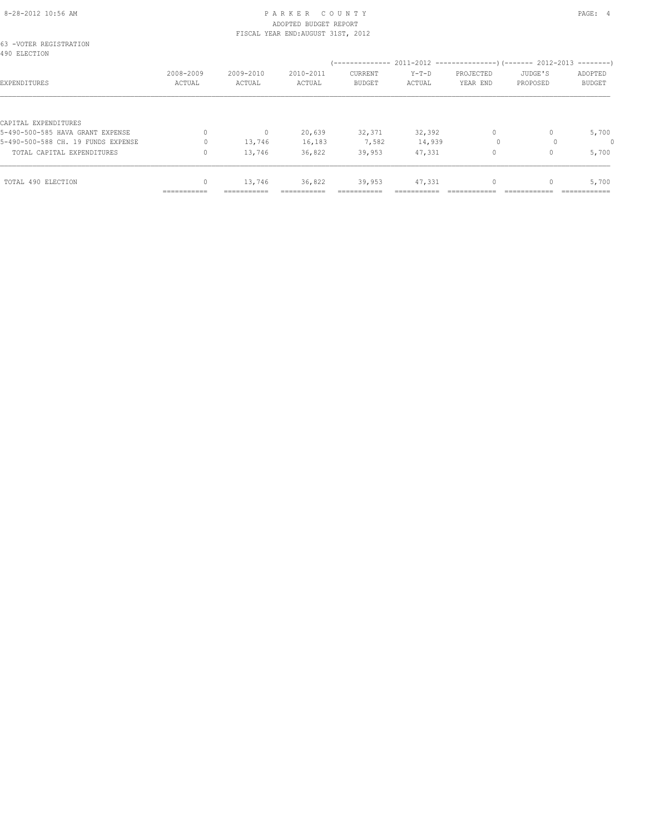#### 8-28-2012 10:56 AM PAGE: 4 ADOPTED BUDGET REPORT FISCAL YEAR END:AUGUST 31ST, 2012

| 63 -VOTER REGISTRATION<br>490 ELECTION                                 |                     |                                            |                     |                                 |                  |                       |                     |                          |
|------------------------------------------------------------------------|---------------------|--------------------------------------------|---------------------|---------------------------------|------------------|-----------------------|---------------------|--------------------------|
| EXPENDITURES                                                           | 2008-2009<br>ACTUAL | 2009-2010<br>ACTUAL                        | 2010-2011<br>ACTUAL | <b>CURRENT</b><br><b>BUDGET</b> | Y-T-D<br>ACTUAL  | PROJECTED<br>YEAR END | JUDGE'S<br>PROPOSED | ADOPTED<br><b>BUDGET</b> |
| CAPITAL EXPENDITURES                                                   |                     |                                            |                     |                                 |                  |                       |                     |                          |
| 5-490-500-585 HAVA GRANT EXPENSE<br>5-490-500-588 CH. 19 FUNDS EXPENSE |                     | $\begin{array}{c} \n\end{array}$<br>13,746 | 20,639<br>16,183    | 32,371<br>7,582                 | 32,392<br>14,939 | $\Omega$<br>$\Omega$  |                     | 5,700<br>0               |
| TOTAL CAPITAL EXPENDITURES                                             |                     | 13,746                                     | 36,822              | 39,953                          | 47,331           | 0                     |                     | 5,700                    |
| TOTAL 490 ELECTION                                                     | 0<br>===========    | 13,746<br>===========                      | 36,822              | 39,953<br>==========            | 47,331           |                       |                     | 5,700                    |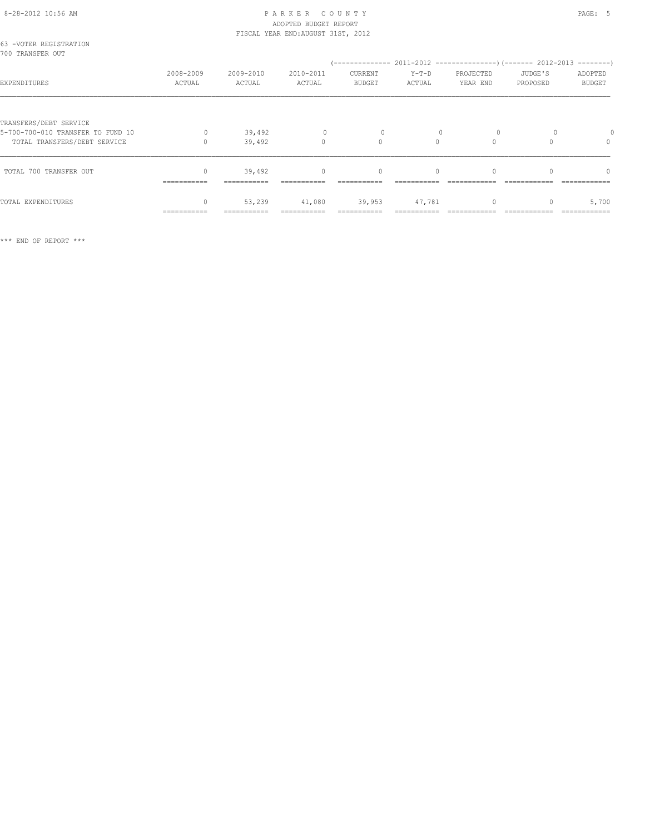#### 8-28-2012 10:56 AM P A R K E R C O U N T Y PAGE: 5 ADOPTED BUDGET REPORT FISCAL YEAR END:AUGUST 31ST, 2012

| 63 -VOTER REGISTRATION<br>700 TRANSFER OUT                                                  |                     |                     |                          |                          |                   |                       |                     |                                  |
|---------------------------------------------------------------------------------------------|---------------------|---------------------|--------------------------|--------------------------|-------------------|-----------------------|---------------------|----------------------------------|
| EXPENDITURES                                                                                | 2008-2009<br>ACTUAL | 2009-2010<br>ACTUAL | 2010-2011<br>ACTUAL      | CURRENT<br><b>BUDGET</b> | $Y-T-D$<br>ACTUAL | PROJECTED<br>YEAR END | JUDGE'S<br>PROPOSED | ADOPTED<br><b>BUDGET</b>         |
| TRANSFERS/DEBT SERVICE<br>5-700-700-010 TRANSFER TO FUND 10<br>TOTAL TRANSFERS/DEBT SERVICE | $\circ$             | 39,492<br>39,492    | $\mathbf{0}$<br>$\Omega$ | $\circ$<br>$\Omega$      | $\Omega$          | $\circ$<br>$\Omega$   |                     | 0<br>$\mathbf{0}$                |
| TOTAL 700 TRANSFER OUT                                                                      | $\Omega$            | 39,492              | $\circ$                  | $\mathbf{0}$             | $\Omega$          | $\Omega$              |                     | $\begin{array}{c} \n\end{array}$ |
| TOTAL EXPENDITURES                                                                          | $\mathbf{0}$        | 53,239              | 41,080                   | 39,953                   | 47,781            | $\mathbf{0}$          |                     | 5,700                            |
|                                                                                             | ===========         |                     |                          |                          |                   |                       |                     |                                  |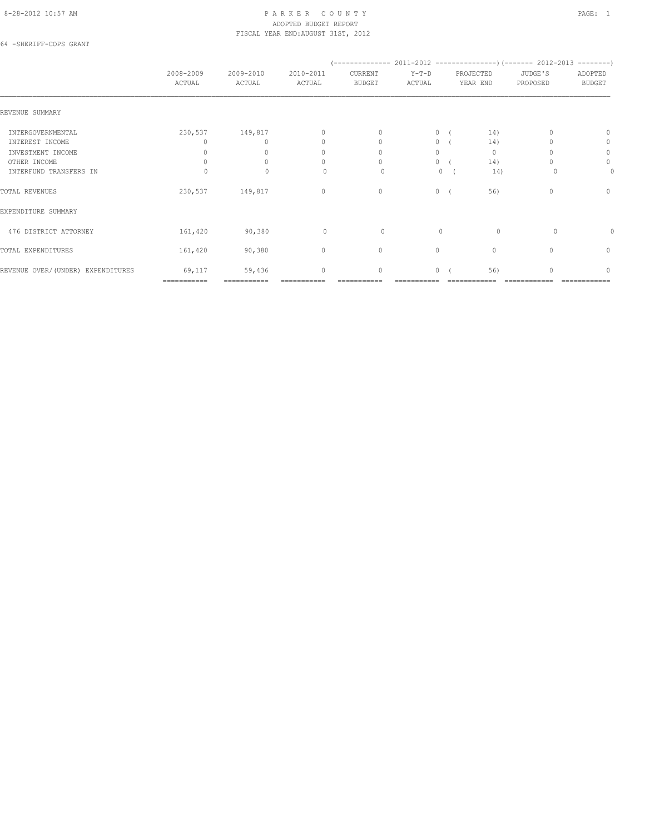#### 8-28-2012 10:57 AM P A R K E R C O U N T Y PAGE: 1 ADOPTED BUDGET REPORT FISCAL YEAR END:AUGUST 31ST, 2012

64 -SHERIFF-COPS GRANT

|                                   | 2008-2009<br>ACTUAL | 2009-2010<br>ACTUAL | 2010-2011<br>ACTUAL | CURRENT<br><b>BUDGET</b>         | $Y-T-D$<br>ACTUAL | PROJECTED<br>YEAR END | JUDGE'S<br>PROPOSED | ADOPTED<br><b>BUDGET</b> |
|-----------------------------------|---------------------|---------------------|---------------------|----------------------------------|-------------------|-----------------------|---------------------|--------------------------|
| REVENUE SUMMARY                   |                     |                     |                     |                                  |                   |                       |                     |                          |
| INTERGOVERNMENTAL                 | 230,537             | 149,817             | $\mathbf{0}$        | $\mathbf{0}$                     | $\circ$           | 14)                   |                     | 0                        |
| INTEREST INCOME                   | 0                   | $\Omega$            | $\mathbf{0}$        | $\begin{array}{c} \n\end{array}$ | $\circ$           | 14)                   |                     | 0                        |
| INVESTMENT INCOME                 | 0                   |                     | $\mathbf{0}$        | $\Omega$                         | $\circ$           | $\mathbf{0}$          |                     | $\circ$                  |
| OTHER INCOME                      |                     | $\Omega$            | 0                   | $\Omega$                         | 0                 | 14)                   |                     | $\mathbf{0}$             |
| INTERFUND TRANSFERS IN            |                     | $\Omega$            | $\Omega$            | 0                                | $\mathbf{0}$      | 14)                   |                     | 0                        |
| TOTAL REVENUES                    | 230,537             | 149,817             | $\mathbf{0}$        | $\mathbf{0}$                     | $\circ$           | 56)                   | $\Omega$            | $\mathbf{0}$             |
| EXPENDITURE SUMMARY               |                     |                     |                     |                                  |                   |                       |                     |                          |
| 476 DISTRICT ATTORNEY             | 161,420             | 90,380              | $\mathbf{0}$        | 0                                | $\mathbf{0}$      | $\circ$               | 0                   | 0                        |
| TOTAL EXPENDITURES                | 161,420             | 90,380              | $\circ$             | $\circ$                          | 0                 | $\mathbf{0}$          | $\mathbf{0}$        | 0                        |
| REVENUE OVER/(UNDER) EXPENDITURES | 69,117              | 59,436              | $\circ$             | $\circ$                          | $\circ$           | 56)                   | $\cap$              | $\Omega$                 |
|                                   | ============        | ===========         |                     |                                  |                   |                       |                     |                          |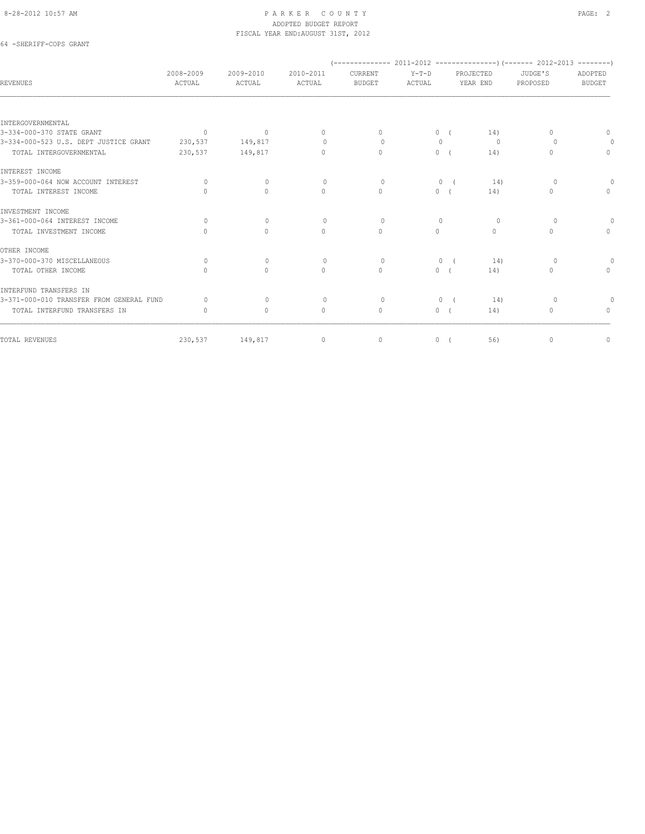#### 8-28-2012 10:57 AM PAGE: 2 ADOPTED BUDGET REPORT FISCAL YEAR END:AUGUST 31ST, 2012

## 64 -SHERIFF-COPS GRANT

| <b>REVENUES</b>                          | 2008-2009<br>ACTUAL              | 2009-2010<br>ACTUAL | 2010-2011<br>ACTUAL              | CURRENT<br><b>BUDGET</b> | $Y-T-D$<br>ACTUAL |            | PROJECTED<br>YEAR END | JUDGE'S<br>PROPOSED | ADOPTED<br><b>BUDGET</b> |
|------------------------------------------|----------------------------------|---------------------|----------------------------------|--------------------------|-------------------|------------|-----------------------|---------------------|--------------------------|
|                                          |                                  |                     |                                  |                          |                   |            |                       |                     |                          |
| INTERGOVERNMENTAL                        |                                  |                     |                                  |                          |                   |            |                       |                     |                          |
| 3-334-000-370 STATE GRANT                | $\sim$ 0                         | $\mathbf 0$         | $\Omega$                         | $\Omega$                 |                   | 0(         | 14)                   | $\Omega$            | $\Omega$                 |
| 3-334-000-523 U.S. DEPT JUSTICE GRANT    | 230,537                          | 149,817             | $\circ$                          | $\Omega$                 | $\mathbf{0}$      |            | $\circ$               | $\Omega$            | 0                        |
| TOTAL INTERGOVERNMENTAL                  | 230,537                          | 149,817             | $\begin{array}{c} \n\end{array}$ | $\mathbf{0}$             |                   | 0(         | 14)                   | 0                   | $\circ$                  |
| INTEREST INCOME                          |                                  |                     |                                  |                          |                   |            |                       |                     |                          |
| 3-359-000-064 NOW ACCOUNT INTEREST       | $\circ$                          | $\circ$             | $\circ$                          | $\circ$                  | $\circ$           | $\sqrt{2}$ | 14)                   | $\circ$             | $\Omega$                 |
| TOTAL INTEREST INCOME                    |                                  | $\Omega$            | $\circ$                          | $\mathbf{0}$             |                   | 0(         | 14)                   | $\Omega$            | $\circ$                  |
| INVESTMENT INCOME                        |                                  |                     |                                  |                          |                   |            |                       |                     |                          |
| 3-361-000-064 INTEREST INCOME            | $\Omega$                         | $\circ$             | $\circ$                          | $\Omega$                 | $\Omega$          |            | $\Omega$              | $\Omega$            | 0                        |
| TOTAL INVESTMENT INCOME                  | $\begin{array}{c} \n\end{array}$ | $\circ$             | $\circ$                          | $\mathbf{0}$             | $\circ$           |            | $\circ$               | $\Omega$            | $\Omega$                 |
| OTHER INCOME                             |                                  |                     |                                  |                          |                   |            |                       |                     |                          |
| 3-370-000-370 MISCELLANEOUS              | $\Omega$                         | $\Omega$            | $\circ$                          | $\Omega$                 | $\mathbf{0}$      | $\sqrt{2}$ | 14)                   | $\Omega$            | $\circ$                  |
| TOTAL OTHER INCOME                       | $\Omega$                         | $\circ$             | $\circ$                          | $\circ$                  |                   | 0(         | 14)                   | $\circ$             | $\circ$                  |
| INTERFUND TRANSFERS IN                   |                                  |                     |                                  |                          |                   |            |                       |                     |                          |
| 3-371-000-010 TRANSFER FROM GENERAL FUND | $\Omega$                         | $\mathbf{0}$        | $\circ$                          | $\Omega$                 | $\circ$           | $\sqrt{2}$ | 14)                   | $\Omega$            | $\Omega$                 |
| TOTAL INTERFUND TRANSFERS IN             | $\begin{array}{c} \n\end{array}$ | $\Omega$            | $\mathbf{0}$                     | $\mathbf{0}$             |                   | 0(         | 14)                   | $\Omega$            | $\Omega$                 |
| TOTAL REVENUES                           | 230,537                          | 149,817             | $\circ$                          | $\mathbf 0$              | $\circ$           |            | 56)                   | $\mathbf{0}$        | $\mathbb O$              |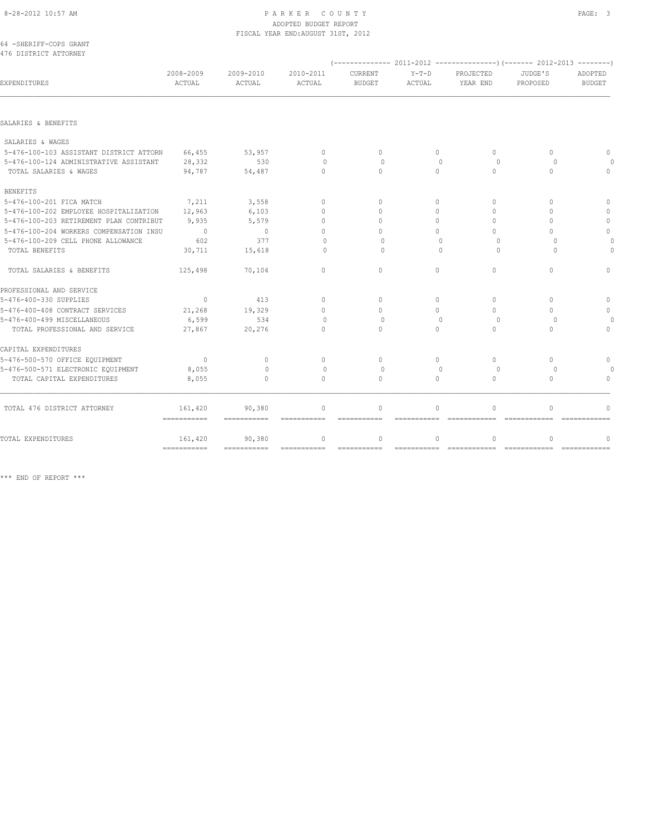# 8-28-2012 10:57 AM P A R K E R C O U N T Y PAGE: 3

|                                         |                     |                     | ADOPTED BUDGET REPORT<br>FISCAL YEAR END: AUGUST 31ST, 2012 |                                  |                   |                                                                        |                                  |                          |
|-----------------------------------------|---------------------|---------------------|-------------------------------------------------------------|----------------------------------|-------------------|------------------------------------------------------------------------|----------------------------------|--------------------------|
| 64 - SHERIFF-COPS GRANT                 |                     |                     |                                                             |                                  |                   |                                                                        |                                  |                          |
| 476 DISTRICT ATTORNEY                   |                     |                     |                                                             |                                  |                   | $(---------- 2011-2012$ ----------------) (------- 2012-2013 --------) |                                  |                          |
| EXPENDITURES                            | 2008-2009<br>ACTUAL | 2009-2010<br>ACTUAL | 2010-2011<br>ACTUAL                                         | CURRENT<br><b>BUDGET</b>         | $Y-T-D$<br>ACTUAL | PROJECTED<br>YEAR END                                                  | JUDGE'S<br>PROPOSED              | ADOPTED<br><b>BUDGET</b> |
| SALARIES & BENEFITS                     |                     |                     |                                                             |                                  |                   |                                                                        |                                  |                          |
|                                         |                     |                     |                                                             |                                  |                   |                                                                        |                                  |                          |
| SALARIES & WAGES                        |                     |                     |                                                             |                                  |                   |                                                                        |                                  |                          |
| 5-476-100-103 ASSISTANT DISTRICT ATTORN | 66,455              | 53,957              | $\mathbf{0}$                                                | $\mathbf{0}$                     | 0                 | $\Omega$                                                               | $\begin{array}{c} \n\end{array}$ | $\Omega$                 |
| 5-476-100-124 ADMINISTRATIVE ASSISTANT  | 28,332              | 530                 | $\Omega$                                                    | $\Omega$                         | $\bigcap$         | $\Omega$                                                               | $\Omega$                         |                          |
| TOTAL SALARIES & WAGES                  | 94,787              | 54,487              | $\Omega$                                                    | $\Omega$                         | $\Omega$          | $\Omega$                                                               | $\Omega$                         | $\Omega$                 |
| <b>BENEFITS</b>                         |                     |                     |                                                             |                                  |                   |                                                                        |                                  |                          |
| 5-476-100-201 FICA MATCH                | 7,211               | 3,558               | $\mathbf{0}$                                                | $\mathbf{0}$                     | $\circ$           | $\mathbf{0}$                                                           | $\Omega$                         | $\mathbf{0}$             |
| 5-476-100-202 EMPLOYEE HOSPITALIZATION  | 12,963              | 6,103               | $\Omega$                                                    | $\begin{array}{c} \n\end{array}$ | $\Omega$          | $\Omega$                                                               | $\bigcap$                        | $\Omega$                 |
| 5-476-100-203 RETIREMENT PLAN CONTRIBUT | 9,935               | 5,579               | $\bigcap$                                                   | $\cap$                           | $\bigcap$         | $\Omega$                                                               | $\bigcap$                        | $\Omega$                 |
| 5-476-100-204 WORKERS COMPENSATION INSU | $\Omega$            | $\Omega$            | $\Omega$                                                    | $\Omega$                         | $\Omega$          | $\bigcap$                                                              | $\bigcap$                        | $\Omega$                 |
| 5-476-100-209 CELL PHONE ALLOWANCE      | 602                 | 377                 | $\Omega$                                                    | $\Omega$                         | $\Omega$          | $\Omega$                                                               | $\Omega$                         |                          |
| TOTAL BENEFITS                          | 30,711              | 15,618              | $\Omega$                                                    | $\Omega$                         | $\Omega$          | $\circ$                                                                | $\Omega$                         |                          |
| TOTAL SALARIES & BENEFITS               | 125,498             | 70,104              | $\mathbf{0}$                                                | $\circ$                          | $\circ$           | $\mathbf{0}$                                                           | $\Omega$                         | $\Omega$                 |
| PROFESSIONAL AND SERVICE                |                     |                     |                                                             |                                  |                   |                                                                        |                                  |                          |
| 5-476-400-330 SUPPLIES                  | $\mathbf{0}$        | 413                 | $\Omega$                                                    | $\Omega$                         | $\Omega$          | $\Omega$                                                               | $\Omega$                         | $\Omega$                 |
| 5-476-400-408 CONTRACT SERVICES         | 21,268              | 19,329              | $\Omega$                                                    | $\Omega$                         | $\Omega$          | $\Omega$                                                               | $\Omega$                         | $\mathbf{0}$             |
| 5-476-400-499 MISCELLANEOUS             | 6,599               | 534                 | $\Omega$                                                    | $\Omega$                         | $\Omega$          | $\Omega$                                                               | $\Omega$                         |                          |
| TOTAL PROFESSIONAL AND SERVICE          | 27,867              | 20,276              | $\Omega$                                                    | $\Omega$                         | $\Omega$          | $\Omega$                                                               | $\Omega$                         | $\Omega$                 |
| CAPITAL EXPENDITURES                    |                     |                     |                                                             |                                  |                   |                                                                        |                                  |                          |
| 5-476-500-570 OFFICE EQUIPMENT          | $\mathbf{0}$        | $\circ$             | $\mathbf{0}$                                                | $\mathbf{0}$                     | $\circ$           | $\circ$                                                                | $\Omega$                         | $\Omega$                 |
| 5-476-500-571 ELECTRONIC EQUIPMENT      | 8,055               | $\mathbf{0}$        | $\circ$                                                     | $\circ$                          | $\Omega$          | $\Omega$                                                               | $\Omega$                         |                          |
| TOTAL CAPITAL EXPENDITURES              | 8,055               | $\Omega$            | $\Omega$                                                    | $\Omega$                         | $\Omega$          | $\Omega$                                                               | $\Omega$                         | $\cap$                   |
| TOTAL 476 DISTRICT ATTORNEY             | 161,420             | 90,380              | $\mathbf{0}$                                                | $\mathbf{0}$                     | $\Omega$          | $\mathbf{0}$                                                           | $\Omega$                         | $\cap$                   |

TOTAL EXPENDITURES 161,420 90,380 0 0 0 0 0 0 =========== =========== =========== =========== =========== ============ ============ ============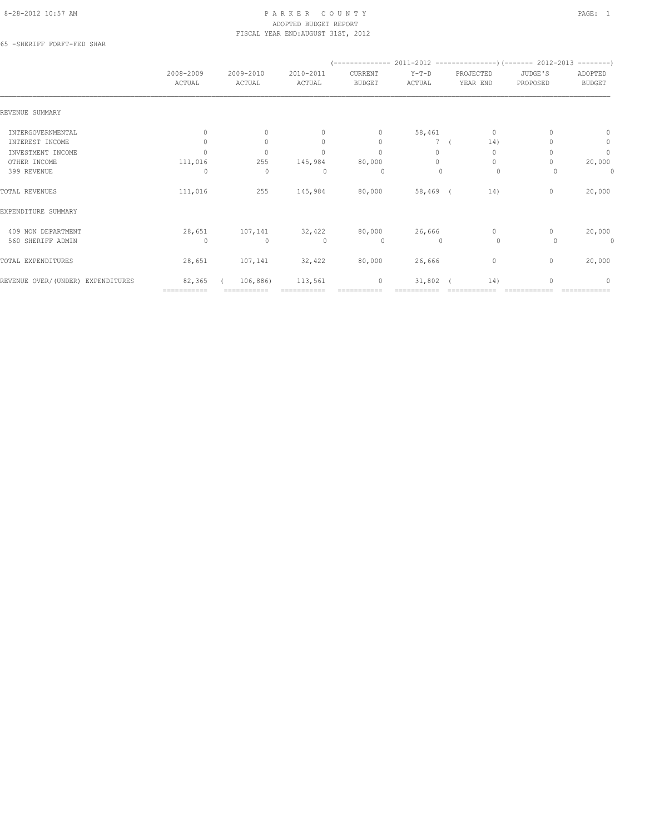#### 8-28-2012 10:57 AM PAGE: 1 ADOPTED BUDGET REPORT FISCAL YEAR END:AUGUST 31ST, 2012

65 -SHERIFF FORFT-FED SHAR

|                                   | 2008-2009<br>ACTUAL | 2009-2010<br>ACTUAL | 2010-2011<br>ACTUAL              | CURRENT<br><b>BUDGET</b> | $Y-T-D$<br>ACTUAL | PROJECTED<br>YEAR END | JUDGE'S<br>PROPOSED | ADOPTED<br><b>BUDGET</b> |
|-----------------------------------|---------------------|---------------------|----------------------------------|--------------------------|-------------------|-----------------------|---------------------|--------------------------|
| REVENUE SUMMARY                   |                     |                     |                                  |                          |                   |                       |                     |                          |
| INTERGOVERNMENTAL                 | $\mathbf{0}$        | $\mathbf{0}$        | $\mathbf{0}$                     | $\circ$                  | 58,461            | 0                     |                     | 0                        |
| INTEREST INCOME                   | $\Omega$            | $\mathbf{0}$        | $\Omega$                         | $\mathbf{0}$             | 7 <sub>0</sub>    | 14)                   |                     | $\circ$                  |
| INVESTMENT INCOME                 | $\cap$              | $\mathbf{0}$        | $\Omega$                         | $\mathbf{0}$             | $\circ$           | $\circ$               | 0                   | $\mathbb O$              |
| OTHER INCOME                      | 111,016             | 255                 | 145,984                          | 80,000                   | $\Omega$          | $\circ$               | $\Omega$            | 20,000                   |
| 399 REVENUE                       | $\Omega$            | $\mathbf{0}$        | $\begin{array}{c} \n\end{array}$ | $\Omega$                 | $\Omega$          | $\circ$               | $\Omega$            | 0                        |
| TOTAL REVENUES                    | 111,016             | 255                 | 145,984                          | 80,000                   | $58,469$ (        | 14)                   | $\mathbf{0}$        | 20,000                   |
| EXPENDITURE SUMMARY               |                     |                     |                                  |                          |                   |                       |                     |                          |
| 409 NON DEPARTMENT                | 28,651              | 107,141             | 32,422                           | 80,000                   | 26,666            | $\circ$               | $\Omega$            | 20,000                   |
| 560 SHERIFF ADMIN                 | $\Omega$            | $\mathbf{0}$        | $\bigcap$                        | $\circ$                  | $\Omega$          | $\circ$               | $\Omega$            | $\mathbf{0}$             |
| TOTAL EXPENDITURES                | 28,651              | 107,141             | 32,422                           | 80,000                   | 26,666            | $\circ$               | $\mathbf{0}$        | 20,000                   |
| REVENUE OVER/(UNDER) EXPENDITURES | 82,365              | 106,886)            | 113,561                          | $\circ$                  | 31,802            | 14)                   | $\Omega$            | $\Omega$                 |
|                                   | ============        | ===========         |                                  |                          |                   |                       |                     |                          |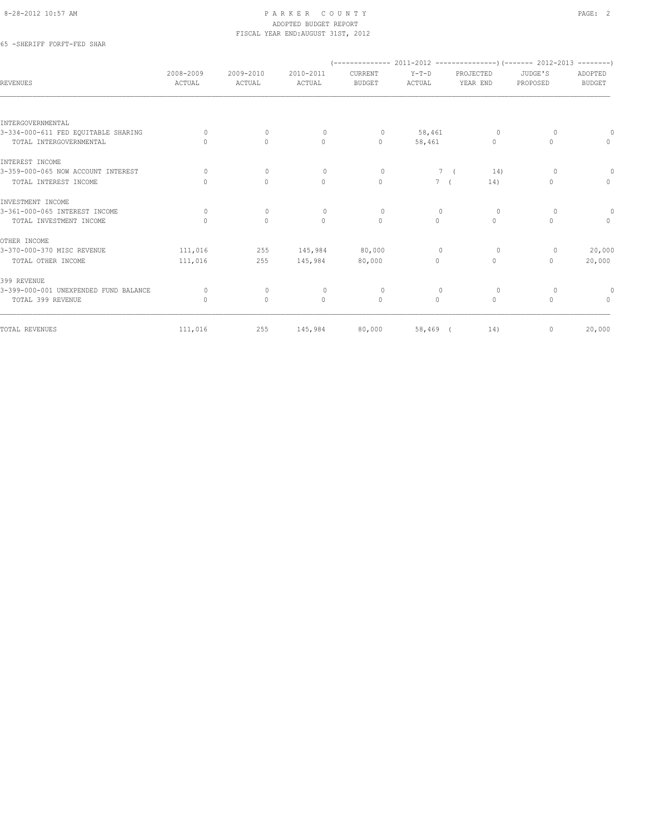#### 8-28-2012 10:57 AM PAGE: 2 ADOPTED BUDGET REPORT FISCAL YEAR END:AUGUST 31ST, 2012

## 65 -SHERIFF FORFT-FED SHAR

| 2008-2009<br>ACTUAL | 2009-2010<br>ACTUAL | 2010-2011<br>ACTUAL | CURRENT<br><b>BUDGET</b> | $Y-T-D$<br>ACTUAL | PROJECTED<br>YEAR END            | JUDGE'S<br>PROPOSED                        | ADOPTED<br><b>BUDGET</b> |  |
|---------------------|---------------------|---------------------|--------------------------|-------------------|----------------------------------|--------------------------------------------|--------------------------|--|
|                     |                     |                     |                          |                   |                                  |                                            |                          |  |
|                     |                     |                     |                          |                   |                                  |                                            |                          |  |
| $\Omega$            | $\mathbf{0}$        | $\circ$             | $\circ$                  | 58,461            | $\circ$                          | $\Omega$                                   |                          |  |
| $\bigcap$           | $\circ$             | $\mathbf{0}$        | $\circ$                  | 58,461            | $\begin{array}{c} \n\end{array}$ | $\cap$                                     | $\Omega$                 |  |
|                     |                     |                     |                          |                   |                                  |                                            |                          |  |
| $\Omega$            | $\mathbf{0}$        | $\circ$             | $\circ$                  |                   | 14)                              | $\circ$                                    | $\circ$                  |  |
| $\Omega$            | $\circ$             | $\mathbf{0}$        | $\mathbf{0}$             |                   | 14)                              | $\Omega$                                   | $\circ$                  |  |
|                     |                     |                     |                          |                   |                                  |                                            |                          |  |
| $\circ$             | $\mathbf{0}$        | $\mathbf{0}$        | $\circ$                  | $\mathbf{0}$      | $\circ$                          | $\Omega$                                   | 0                        |  |
| $\mathbf{0}$        | $\mathbf{0}$        | $\mathbf{0}$        | $\mathbf{0}$             | $\circ$           | $\circ$                          | $\Omega$                                   | $\circ$                  |  |
|                     |                     |                     |                          |                   |                                  |                                            |                          |  |
| 111,016             | 255                 | 145,984             | 80,000                   | $\mathbf{0}$      | $\circ$                          | $\circ$                                    | 20,000                   |  |
| 111,016             | 255                 | 145,984             | 80,000                   | $\Omega$          | $\circ$                          | 0                                          | 20,000                   |  |
|                     |                     |                     |                          |                   |                                  |                                            |                          |  |
| $\Omega$            | $\mathbf{0}$        | $\circ$             | $\circ$                  | $\mathbf{0}$      | $\circ$                          | $\Omega$                                   |                          |  |
| $\mathbf{0}$        | $\mathbf{0}$        | $\mathbf{0}$        | $\mathbb O$              | $\circ$           | $\circ$                          | $\Omega$                                   | $\circ$                  |  |
|                     |                     |                     |                          |                   |                                  |                                            | 20,000                   |  |
|                     | 111,016             | 255                 | 145,984                  | 80,000            |                                  | 7 <sup>6</sup><br>$7-1$<br>58,469 (<br>14) | $\mathbf{0}$             |  |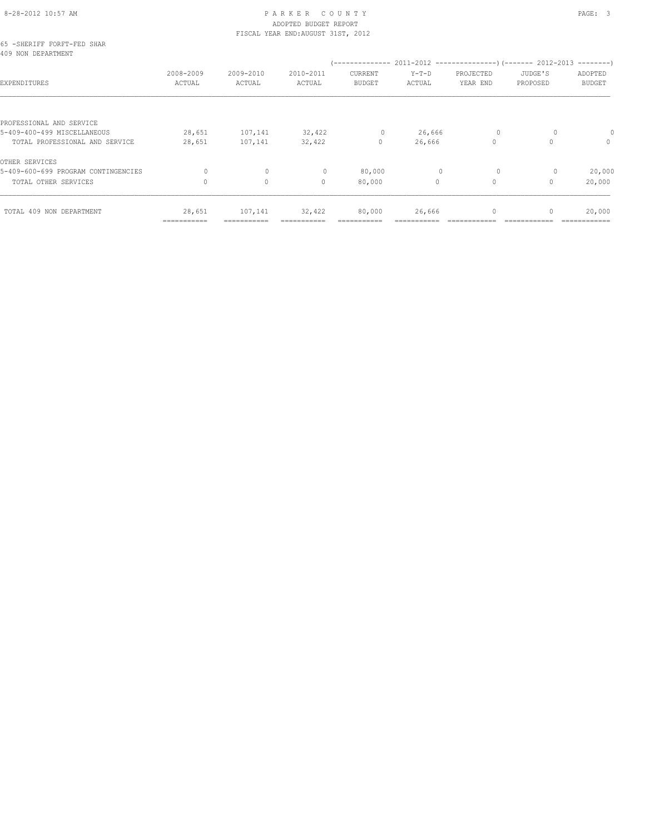# 8-28-2012 10:57 AM PAGE: 3 ADOPTED BUDGET REPORT

|                                                         | =========== |              |                                    |               |              |              |                                  |               |
|---------------------------------------------------------|-------------|--------------|------------------------------------|---------------|--------------|--------------|----------------------------------|---------------|
| TOTAL 409 NON DEPARTMENT                                | 28,651      | 107,141      | 32,422                             | 80,000        | 26,666       | $\mathbf{0}$ | $\begin{array}{c} \n\end{array}$ | 20,000        |
| TOTAL OTHER SERVICES                                    | $\Omega$    | $\circ$      | $\begin{array}{c} \n\end{array}$   | 80,000        | $\Omega$     | $\circ$      | $\cap$                           | 20,000        |
| OTHER SERVICES<br>5-409-600-699 PROGRAM CONTINGENCIES   | 0           | $\mathbf{0}$ | $\mathbf{0}$                       | 80,000        | $\mathbf{0}$ | $\circ$      | 0                                | 20,000        |
| TOTAL PROFESSIONAL AND SERVICE                          | 28,651      | 107,141      | 32,422                             | $\mathbf{0}$  | 26,666       | $\Omega$     |                                  | $\Omega$      |
| PROFESSIONAL AND SERVICE<br>5-409-400-499 MISCELLANEOUS | 28,651      | 107,141      | 32,422                             | 0             | 26,666       | $\circ$      |                                  |               |
| EXPENDITURES                                            | ACTUAL      | ACTUAL       | ACTUAL                             | <b>BUDGET</b> | ACTUAL       | YEAR END     | PROPOSED                         | <b>BUDGET</b> |
| 409 NON DEPARTMENT                                      | 2008-2009   | 2009-2010    | 2010-2011                          | CURRENT       | $Y-T-D$      | PROJECTED    | JUDGE'S                          | ADOPTED       |
| 65 -SHERIFF FORFT-FED SHAR                              |             |              | FISCAL YEAR END: AUGUST 31ST, 2012 |               |              |              |                                  |               |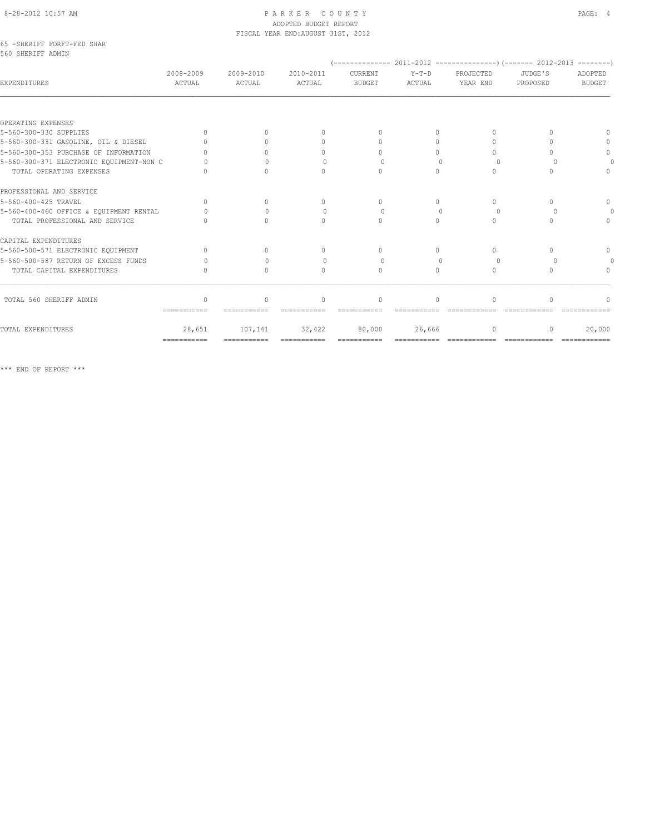#### 8-28-2012 10:57 AM PAGE: 4 ADOPTED BUDGET REPORT FISCAL YEAR END:AUGUST 31ST, 2012

#### 65 -SHERIFF FORFT-FED SHAR 560 SHERIFF ADMIN

| EXPENDITURES                             | 2008-2009<br>ACTUAL | $2009 - 2010$<br>ACTUAL | $2010 - 2011$<br>ACTUAL          | CURRENT<br><b>BUDGET</b>         | $Y-T-D$<br>ACTUAL | PROJECTED<br>YEAR END            | JUDGE'S<br>PROPOSED | ADOPTED<br><b>BUDGET</b> |
|------------------------------------------|---------------------|-------------------------|----------------------------------|----------------------------------|-------------------|----------------------------------|---------------------|--------------------------|
|                                          |                     |                         |                                  |                                  |                   |                                  |                     |                          |
| OPERATING EXPENSES                       |                     |                         |                                  |                                  |                   |                                  |                     |                          |
| 5-560-300-330 SUPPLIES                   | $\Omega$            |                         | $\begin{array}{c} \n\end{array}$ | $\bigcap$                        | $\Omega$          | ∩                                |                     |                          |
| 5-560-300-331 GASOLINE, OIL & DIESEL     |                     |                         | 0                                | $\cap$                           | $\Omega$          | $\cap$                           |                     |                          |
| 5-560-300-353 PURCHASE OF INFORMATION    |                     |                         | $\cap$                           | $\cap$                           | $\bigcap$         | $\cap$                           |                     | $\Omega$                 |
| 5-560-300-371 ELECTRONIC EQUIPMENT-NON C |                     |                         | ∩                                | $\bigcap$                        |                   | $\Omega$                         |                     |                          |
| TOTAL OPERATING EXPENSES                 |                     |                         | $\bigcap$                        | $\bigcap$                        | $\Omega$          | $\bigcap$                        |                     |                          |
| PROFESSIONAL AND SERVICE                 |                     |                         |                                  |                                  |                   |                                  |                     |                          |
| 5-560-400-425 TRAVEL                     | $\Omega$            | $\Omega$                | $\begin{array}{c} \n\end{array}$ | $\begin{array}{c} \n\end{array}$ | $\bigcap$         | $\begin{array}{c} \n\end{array}$ | ∩                   | $\Omega$                 |
| 5-560-400-460 OFFICE & EQUIPMENT RENTAL  |                     |                         | $\bigcap$                        | $\bigcap$                        |                   | $\Omega$                         |                     |                          |
| TOTAL PROFESSIONAL AND SERVICE           |                     |                         | $\cap$                           | $\bigcap$                        | $\bigcap$         | $\bigcap$                        |                     | $\bigcap$                |
| CAPITAL EXPENDITURES                     |                     |                         |                                  |                                  |                   |                                  |                     |                          |
| 5-560-500-571 ELECTRONIC EQUIPMENT       | $\cap$              | $\bigcap$               | $\begin{array}{c} \n\end{array}$ | $\bigcap$                        | $\bigcap$         | $\bigcap$                        |                     | $\Omega$                 |
| 5-560-500-587 RETURN OF EXCESS FUNDS     | Λ                   |                         | $\bigcap$                        | $\Omega$                         |                   | $\Omega$                         |                     |                          |
| TOTAL CAPITAL EXPENDITURES               | $\bigcap$           | $\bigcap$               | $\begin{array}{c} \n\end{array}$ | $\begin{array}{c} \n\end{array}$ | $\Omega$          | $\begin{array}{c} \n\end{array}$ |                     |                          |
| TOTAL 560 SHERIFF ADMIN                  | $\Omega$            | $\Omega$                | $\begin{array}{c} \n\end{array}$ | $\begin{array}{c} \n\end{array}$ | $\Omega$          | $\Omega$                         | $\cap$              |                          |
|                                          | ============        |                         |                                  |                                  |                   |                                  |                     |                          |
| TOTAL EXPENDITURES                       | 28,651              | 107,141                 | 32,422                           | 80,000                           | 26,666            | $\cap$                           | n                   | 20,000                   |
|                                          | ===========         | ===========             | ===========                      |                                  |                   | =============                    | -------------       |                          |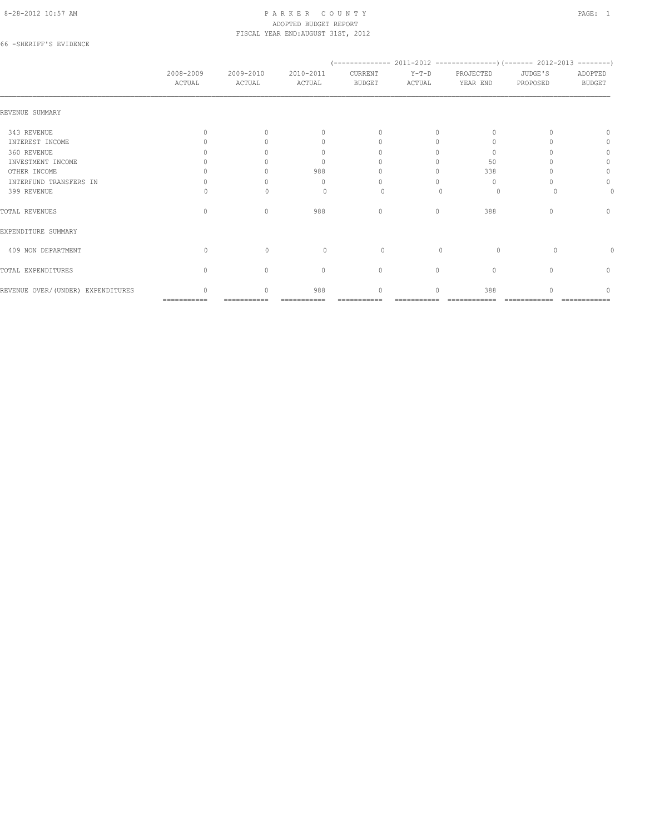#### 8-28-2012 10:57 AM P A R K E R C O U N T Y PAGE: 1 ADOPTED BUDGET REPORT FISCAL YEAR END:AUGUST 31ST, 2012

### 66 -SHERIFF'S EVIDENCE

|                                   | 2008-2009<br>ACTUAL              | 2009-2010<br>ACTUAL              | 2010-2011<br>ACTUAL              | CURRENT<br><b>BUDGET</b> | $Y-T-D$<br>ACTUAL | PROJECTED<br>YEAR END | JUDGE'S<br>PROPOSED | ADOPTED<br><b>BUDGET</b> |
|-----------------------------------|----------------------------------|----------------------------------|----------------------------------|--------------------------|-------------------|-----------------------|---------------------|--------------------------|
| REVENUE SUMMARY                   |                                  |                                  |                                  |                          |                   |                       |                     |                          |
| 343 REVENUE                       | $\bigcap$                        | $\cap$                           | $\begin{array}{c} \n\end{array}$ | $\Omega$                 | $\Omega$          |                       |                     |                          |
| INTEREST INCOME                   |                                  |                                  | n                                | $\Omega$                 |                   | $\cup$                |                     |                          |
| 360 REVENUE                       |                                  |                                  | ∩                                |                          |                   | $\Omega$              |                     | 0                        |
| INVESTMENT INCOME                 |                                  |                                  | $\begin{array}{c} \n\end{array}$ |                          |                   | 50                    |                     | 0                        |
| OTHER INCOME                      |                                  |                                  | 988                              |                          |                   | 338                   |                     | 0                        |
| INTERFUND TRANSFERS IN            |                                  |                                  | n                                |                          |                   | $\Omega$              |                     | $\Omega$                 |
| 399 REVENUE                       |                                  |                                  |                                  | $\Omega$                 |                   | $\Omega$              |                     |                          |
| TOTAL REVENUES                    | $\Omega$                         | $\Omega$                         | 988                              | $\mathbf{0}$             | 0                 | 388                   |                     | $\Omega$                 |
| EXPENDITURE SUMMARY               |                                  |                                  |                                  |                          |                   |                       |                     |                          |
| 409 NON DEPARTMENT                | $\Omega$                         | $\Omega$                         | $\Omega$                         | $\circ$                  | $\bigcap$         | $\Omega$              | $\Omega$            |                          |
| TOTAL EXPENDITURES                | $\begin{array}{c} \n\end{array}$ | $\begin{array}{c} \n\end{array}$ | $\mathbf{0}$                     | $\circ$                  | $\bigcap$         | $\Omega$              |                     | 0                        |
| REVENUE OVER/(UNDER) EXPENDITURES | $\cap$                           | $\cap$                           | 988                              | $\cap$                   | $\Omega$          | 388                   |                     |                          |
|                                   | ===========                      |                                  |                                  |                          |                   |                       |                     |                          |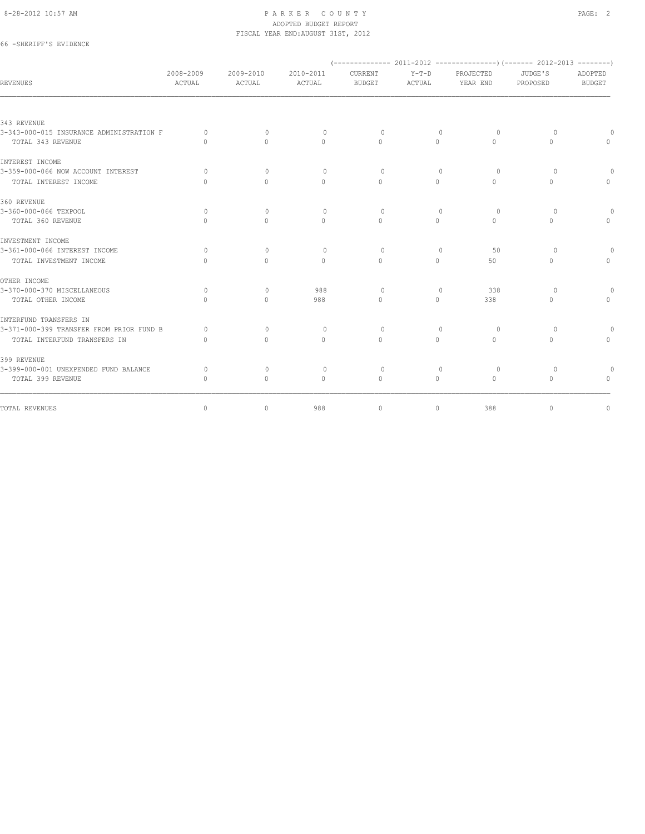#### 8-28-2012 10:57 AM PAGE: 2 ADOPTED BUDGET REPORT FISCAL YEAR END:AUGUST 31ST, 2012

## 66 -SHERIFF'S EVIDENCE

| REVENUES                                 | 2008-2009<br>ACTUAL | 2009-2010<br>ACTUAL | 2010-2011<br>ACTUAL              | CURRENT<br><b>BUDGET</b> | $Y-T-D$<br>ACTUAL | PROJECTED<br>YEAR END            | JUDGE'S<br>PROPOSED | ADOPTED<br><b>BUDGET</b> |
|------------------------------------------|---------------------|---------------------|----------------------------------|--------------------------|-------------------|----------------------------------|---------------------|--------------------------|
|                                          |                     |                     |                                  |                          |                   |                                  |                     |                          |
| 343 REVENUE                              |                     |                     |                                  |                          |                   |                                  |                     |                          |
| 3-343-000-015 INSURANCE ADMINISTRATION F | 0                   | $\Omega$            | $\circ$                          | $\Omega$                 | $\mathbf{0}$      | $\circ$                          | $\Omega$            | $\Omega$                 |
| TOTAL 343 REVENUE                        | $\Omega$            | $\Omega$            | $\Omega$                         | $\Omega$                 | $\Omega$          | $\Omega$                         | $\Omega$            | $\circ$                  |
| INTEREST INCOME                          |                     |                     |                                  |                          |                   |                                  |                     |                          |
| 3-359-000-066 NOW ACCOUNT INTEREST       | $\Omega$            | $\Omega$            | $\Omega$                         | $\Omega$                 | $\Omega$          | $\circ$                          | $\Omega$            | $\Omega$                 |
| TOTAL INTEREST INCOME                    | $\bigcap$           | $\Omega$            | $\Omega$                         | $\Omega$                 | $\Omega$          | $\Omega$                         | $\Omega$            | $\bigcap$                |
| 360 REVENUE                              |                     |                     |                                  |                          |                   |                                  |                     |                          |
| 3-360-000-066 TEXPOOL                    | $\Omega$            | $\Omega$            | $\begin{array}{c} \n\end{array}$ | $\Omega$                 | $\Omega$          | $\Omega$                         | $\Omega$            | $\Omega$                 |
| TOTAL 360 REVENUE                        | $\cap$              | $\Omega$            | $\Omega$                         | $\Omega$                 | $\Omega$          | $\Omega$                         | $\Omega$            | $\Omega$                 |
| INVESTMENT INCOME                        |                     |                     |                                  |                          |                   |                                  |                     |                          |
| 3-361-000-066 INTEREST INCOME            | $\Omega$            | $\Omega$            | $\begin{array}{c} \n\end{array}$ | $\Omega$                 | $\Omega$          | 50                               | $\Omega$            | $\Omega$                 |
| TOTAL INVESTMENT INCOME                  | $\cap$              | $\Omega$            | $\Omega$                         | $\Omega$                 | $\Omega$          | 50                               | $\Omega$            | $\Omega$                 |
| OTHER INCOME                             |                     |                     |                                  |                          |                   |                                  |                     |                          |
| 3-370-000-370 MISCELLANEOUS              | $\Omega$            | $\Omega$            | 988                              | $\Omega$                 | $\Omega$          | 338                              | $\Omega$            | $\Omega$                 |
| TOTAL OTHER INCOME                       | $\Omega$            | $\Omega$            | 988                              | $\Omega$                 | $\Omega$          | 338                              | $\Omega$            | $\mathbf{0}$             |
| INTERFUND TRANSFERS IN                   |                     |                     |                                  |                          |                   |                                  |                     |                          |
| 3-371-000-399 TRANSFER FROM PRIOR FUND B | $\bigcap$           | $\mathbf{0}$        | $\circ$                          | $\circ$                  | $\circ$           | $\circ$                          | $\circ$             | $\Omega$                 |
| TOTAL INTERFUND TRANSFERS IN             | $\cup$              | $\Omega$            | $\Omega$                         | $\Omega$                 | $\Omega$          | $\Omega$                         | $\Omega$            | $\Omega$                 |
| 399 REVENUE                              |                     |                     |                                  |                          |                   |                                  |                     |                          |
| 3-399-000-001 UNEXPENDED FUND BALANCE    | $\Omega$            | $\mathbf{0}$        | $\circ$                          | $\circ$                  | $\mathbf{0}$      | $\circ$                          | $\circ$             | $\circ$                  |
| TOTAL 399 REVENUE                        | $\bigcap$           | $\Omega$            | $\mathbf{0}$                     | $\mathbf{0}$             | $\Omega$          | $\begin{array}{c} \n\end{array}$ | 0                   | $\Omega$                 |
| TOTAL REVENUES                           | 0                   | 0                   | 988                              | $\mathbf 0$              | 0                 | 388                              | 0                   | 0                        |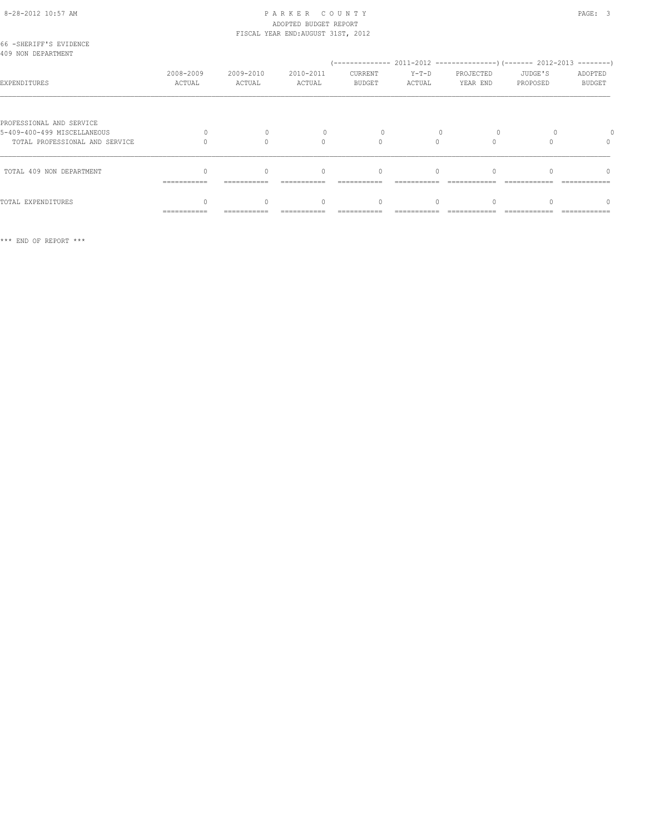#### 8-28-2012 10:57 AM PAGE: 3 ADOPTED BUDGET REPORT FISCAL YEAR END:AUGUST 31ST, 2012

| 66 -SHERIFF'S EVIDENCE<br>409 NON DEPARTMENT                                              |                     |                     |                     |                          |                 |                       |                     |                          |
|-------------------------------------------------------------------------------------------|---------------------|---------------------|---------------------|--------------------------|-----------------|-----------------------|---------------------|--------------------------|
| EXPENDITURES                                                                              | 2008-2009<br>ACTUAL | 2009-2010<br>ACTUAL | 2010-2011<br>ACTUAL | CURRENT<br><b>BUDGET</b> | Y-T-D<br>ACTUAL | PROJECTED<br>YEAR END | JUDGE'S<br>PROPOSED | ADOPTED<br><b>BUDGET</b> |
| PROFESSIONAL AND SERVICE<br>5-409-400-499 MISCELLANEOUS<br>TOTAL PROFESSIONAL AND SERVICE |                     | $\Omega$            | $\cap$              | 0                        |                 |                       |                     | $\Omega$                 |
| TOTAL 409 NON DEPARTMENT                                                                  | $\cap$              | $\cap$              | $\bigcap$           | $\Omega$                 | $\bigcap$       |                       |                     | n                        |
| TOTAL EXPENDITURES                                                                        | ===========         | $\Omega$            | $\Omega$            | 0                        | $\Omega$        |                       |                     | n                        |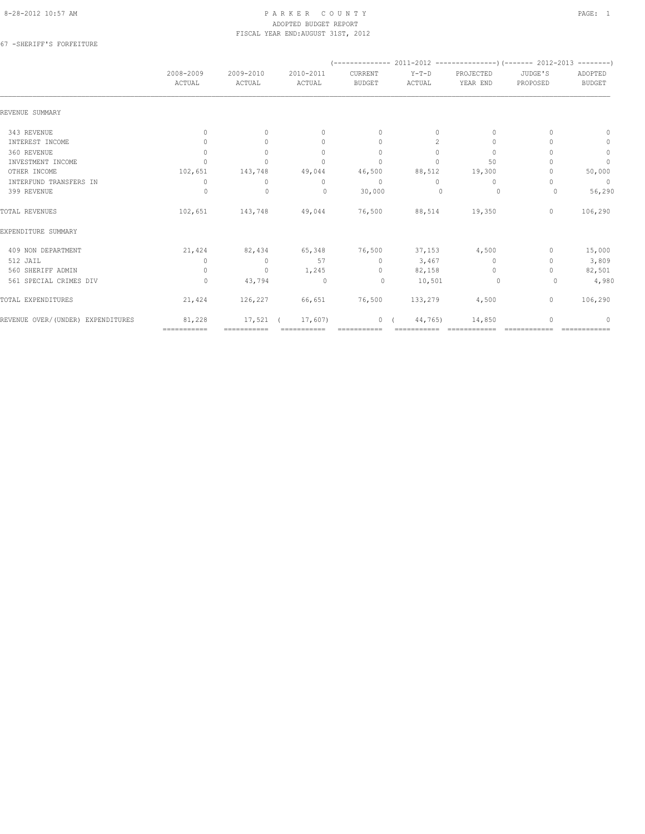#### 8-28-2012 10:57 AM P A R K E R C O U N T Y PAGE: 1 ADOPTED BUDGET REPORT FISCAL YEAR END:AUGUST 31ST, 2012

67 -SHERIFF'S FORFEITURE

| 2008-2009<br>ACTUAL              | 2009-2010<br>ACTUAL | 2010-2011<br>ACTUAL              | CURRENT<br><b>BUDGET</b>    | $Y-T-D$     | PROJECTED    | JUDGE'S      | ADOPTED       |
|----------------------------------|---------------------|----------------------------------|-----------------------------|-------------|--------------|--------------|---------------|
|                                  |                     |                                  |                             | ACTUAL      | YEAR END     | PROPOSED     | <b>BUDGET</b> |
|                                  |                     |                                  |                             |             |              |              |               |
| $\circ$                          | $\circ$             | $\mathbf{0}$                     | $\circ$                     | 0           | 0            |              | $\mathbf{0}$  |
| $\Omega$                         | $\Omega$            | $\mathbf{0}$                     | $\mathbf{0}$                | 2           | $\mathbf{0}$ |              | $\circ$       |
| $\mathbf{0}$                     | $\circ$             | $\mathbf{0}$                     | $\mathbf{0}$                | $\Omega$    | $\mathbf{0}$ |              | $\mathbb O$   |
| $\cap$                           | $\Omega$            | $\Omega$                         | $\mathbf{0}$                | $\Omega$    | 50           |              | $\mathbf{0}$  |
| 102,651                          | 143,748             | 49,044                           | 46,500                      | 88,512      | 19,300       |              | 50,000        |
| $\begin{array}{c} \n\end{array}$ | $\circ$             | $\begin{array}{c} \n\end{array}$ | $\mathbf{0}$                | $\bigcap$   | $\mathbf{0}$ |              | $\mathbf 0$   |
| 0                                | $\mathbf 0$         | $\mathbf{0}$                     | 30,000                      | $\circ$     | 0            | $\circ$      | 56,290        |
| 102,651                          | 143,748             | 49,044                           | 76,500                      | 88,514      | 19,350       | $\mathbf{0}$ | 106,290       |
|                                  |                     |                                  |                             |             |              |              |               |
| 21,424                           | 82,434              | 65,348                           | 76,500                      | 37,153      | 4,500        | $\mathbf{0}$ | 15,000        |
| 0                                | $\mathbf{0}$        | 57                               | $\mathbf{0}$                | 3,467       | $\mathbf{0}$ | n            | 3,809         |
| $\circ$                          | $\circ$             | 1,245                            | $\circ$                     | 82,158      | $\mathbf{0}$ |              | 82,501        |
| $\Omega$                         | 43,794              | $\Omega$                         | $\circ$                     | 10,501      | 0            | $\Omega$     | 4,980         |
| 21,424                           | 126,227             | 66,651                           | 76,500                      | 133,279     | 4,500        | 0            | 106,290       |
| 81,228                           | 17,521              | 17,607)                          | $\mathbf{0}$                | 44,765)     | 14,850       |              | 0             |
|                                  |                     |                                  | ============<br>=========== | =========== |              |              |               |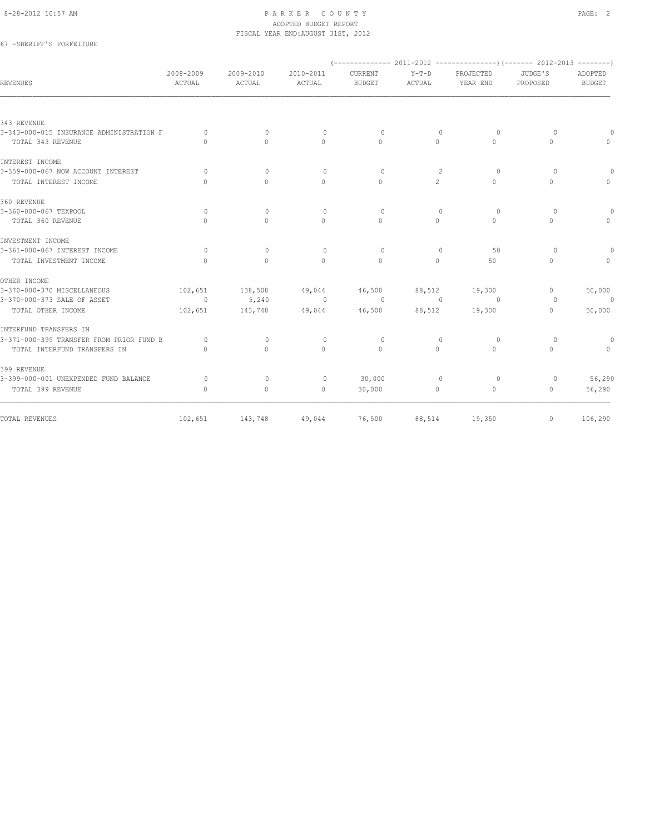### 67 -SHERIFF'S FORFEITURE

| <b>REVENUES</b>                          | 2008-2009<br>ACTUAL              | 2009-2010<br>ACTUAL | 2010-2011<br>ACTUAL | <b>CURRENT</b><br><b>BUDGET</b> | $Y-T-D$<br>ACTUAL                | PROJECTED<br>YEAR END            | JUDGE'S<br>PROPOSED              | ADOPTED<br><b>BUDGET</b>         |  |  |
|------------------------------------------|----------------------------------|---------------------|---------------------|---------------------------------|----------------------------------|----------------------------------|----------------------------------|----------------------------------|--|--|
|                                          |                                  |                     |                     |                                 |                                  |                                  |                                  |                                  |  |  |
| 343 REVENUE                              |                                  |                     |                     |                                 |                                  |                                  |                                  |                                  |  |  |
| 3-343-000-015 INSURANCE ADMINISTRATION F | $\Omega$                         | $\mathbf{0}$        | $\circ$             | $\Omega$                        | $\mathbf{0}$                     | $\circ$                          | $\circ$                          | 0                                |  |  |
| TOTAL 343 REVENUE                        | $\bigcap$                        | $\Omega$            | $\Omega$            | $\Omega$                        | $\Omega$                         | $\Omega$                         | $\begin{array}{c} \n\end{array}$ | $\Omega$                         |  |  |
| INTEREST INCOME                          |                                  |                     |                     |                                 |                                  |                                  |                                  |                                  |  |  |
| 3-359-000-067 NOW ACCOUNT INTEREST       | $\bigcap$                        | $\Omega$            | $\Omega$            | $\Omega$                        | 2                                | $\Omega$                         | $\Omega$                         | $\circ$                          |  |  |
| TOTAL INTEREST INCOME                    | $\bigcap$                        | $\bigcap$           | $\Omega$            | $\bigcap$                       | 2                                | $\cap$                           | $\Omega$                         | $\begin{array}{c} \n\end{array}$ |  |  |
| 360 REVENUE                              |                                  |                     |                     |                                 |                                  |                                  |                                  |                                  |  |  |
| 3-360-000-067 TEXPOOL                    | $\Omega$                         | $\Omega$            | $\Omega$            | $\Omega$                        | $\begin{array}{c} \n\end{array}$ | $\Omega$                         | $\circ$                          | $\circ$                          |  |  |
| TOTAL 360 REVENUE                        | $\Omega$                         | $\Omega$            | $\Omega$            | $\Omega$                        | $\Omega$                         | $\Omega$                         | $\Omega$                         | $\Omega$                         |  |  |
| INVESTMENT INCOME                        |                                  |                     |                     |                                 |                                  |                                  |                                  |                                  |  |  |
| 3-361-000-067 INTEREST INCOME            | $\circ$                          | $\mathbf{0}$        | $\mathbf{0}$        | $\circ$                         | $\mathbf{0}$                     | 50                               | $\circ$                          | $\circ$                          |  |  |
| TOTAL INVESTMENT INCOME                  | $\Omega$                         | $\Omega$            | $\Omega$            | $\Omega$                        | $\Omega$                         | 50                               | $\mathbf{0}$                     | $\mathbf{0}$                     |  |  |
| OTHER INCOME                             |                                  |                     |                     |                                 |                                  |                                  |                                  |                                  |  |  |
| 3-370-000-370 MISCELLANEOUS              | 102,651                          | 138,508             | 49,044              | 46,500                          | 88,512                           | 19,300                           | $\mathbf{0}$                     | 50,000                           |  |  |
| 3-370-000-373 SALE OF ASSET              | $\circ$                          | 5,240               | $\overline{0}$      | $\sim$ 0                        | $\bigcirc$                       | $\Omega$                         | $\circ$                          | $\sim$ 0                         |  |  |
| TOTAL OTHER INCOME                       | 102,651                          | 143,748             | 49,044              | 46,500                          | 88,512                           | 19,300                           | $\mathbf{0}$                     | 50,000                           |  |  |
| INTERFUND TRANSFERS IN                   |                                  |                     |                     |                                 |                                  |                                  |                                  |                                  |  |  |
| 3-371-000-399 TRANSFER FROM PRIOR FUND B | $\Omega$                         | $\Omega$            | $\circ$             | $\circ$                         | $\mathbf{0}$                     | $\circ$                          | 0                                | $\circ$                          |  |  |
| TOTAL INTERFUND TRANSFERS IN             | $\begin{array}{c} \n\end{array}$ | $\Omega$            | $\Omega$            | $\Omega$                        | $\Omega$                         | $\begin{array}{c} \n\end{array}$ | $\Omega$                         | $\Omega$                         |  |  |
| 399 REVENUE                              |                                  |                     |                     |                                 |                                  |                                  |                                  |                                  |  |  |
| 3-399-000-001 UNEXPENDED FUND BALANCE    | $\Omega$                         | $\mathbf{0}$        | $\circ$             | 30,000                          | $\Omega$                         | $\Omega$                         | $\circ$                          | 56,290                           |  |  |
| TOTAL 399 REVENUE                        | $\Omega$                         | $\circ$             | $\circ$             | 30,000                          | $\circ$                          | $\circ$                          | $\circ$                          | 56,290                           |  |  |
| TOTAL REVENUES                           | 102,651                          | 143,748             | 49,044              | 76,500                          | 88,514                           | 19,350                           | $\mathbf{0}$                     | 106,290                          |  |  |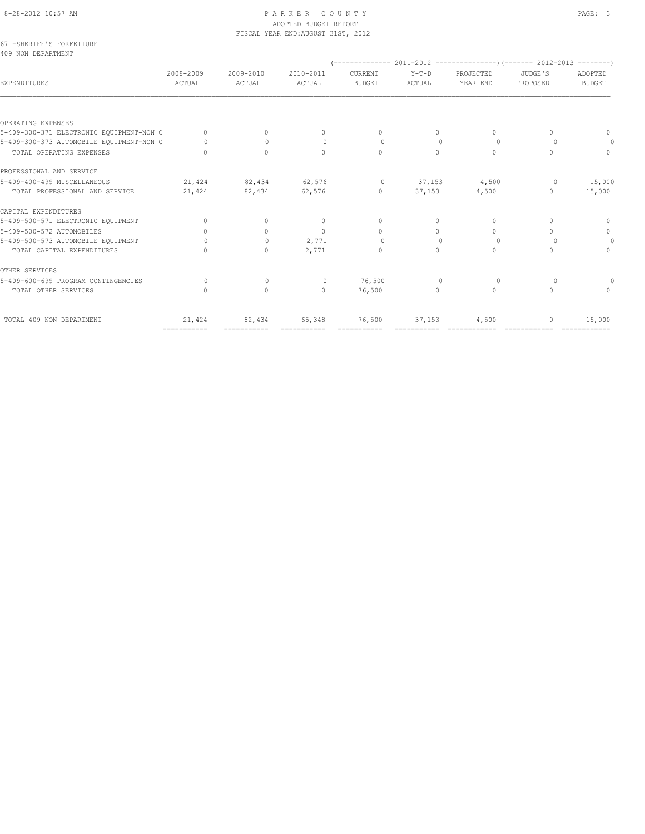|                                   |  | 67 - SHERIFF'S FORFEITURE |  |
|-----------------------------------|--|---------------------------|--|
| $A \cap \Omega$ NIONI DEDARRMENIE |  |                           |  |

| 2008-2009<br>ACTUAL                                  | 2009-2010<br>ACTUAL | 2010-2011<br>ACTUAL | CURRENT<br><b>BUDGET</b> | $Y-T-D$<br>ACTUAL | PROJECTED<br>YEAR END            | JUDGE'S<br>PROPOSED              | ADOPTED<br><b>BUDGET</b> |
|------------------------------------------------------|---------------------|---------------------|--------------------------|-------------------|----------------------------------|----------------------------------|--------------------------|
|                                                      |                     |                     |                          |                   |                                  |                                  |                          |
|                                                      |                     |                     |                          |                   |                                  |                                  |                          |
| 5-409-300-371 ELECTRONIC EQUIPMENT-NON C<br>$\Omega$ | $\Omega$            | 0                   | $\Omega$                 | 0                 | $\begin{array}{c} \n\end{array}$ | $\cap$                           | $\mathbf{0}$             |
| 5-409-300-373 AUTOMOBILE EQUIPMENT-NON C<br>$\Omega$ | $\Omega$            | $\circ$             | $\Omega$                 | $\Omega$          | $\Omega$                         | $\Omega$                         | $\Omega$                 |
| $\cap$                                               | $\Omega$            | $\Omega$            | $\Omega$                 | $\Omega$          | $\Omega$                         | $\bigcap$                        | $\Omega$                 |
|                                                      |                     |                     |                          |                   |                                  |                                  |                          |
| 21,424                                               | 82,434              | 62,576              | $\circ$                  | 37,153            | 4,500                            | $\circ$                          | 15,000                   |
| 21,424                                               | 82,434              | 62,576              | $\Omega$                 | 37,153            | 4,500                            | $\Omega$                         | 15,000                   |
|                                                      |                     |                     |                          |                   |                                  |                                  |                          |
| $\Omega$                                             | $\circ$             | $\mathbf{0}$        | $\mathbf{0}$             | $\Omega$          | $\Omega$                         | $\Omega$                         | $\circ$                  |
| $\Omega$                                             | $\Omega$            | $\Omega$            | $\mathbf{0}$             | $\Omega$          | $\begin{array}{c} \n\end{array}$ | $\Omega$                         | $\mathbf{0}$             |
| $\bigcap$                                            | $\Omega$            | 2,771               | $\Omega$                 | $\Omega$          | $\Omega$                         | $\Omega$                         | $\Omega$                 |
| $\cap$                                               | $\bigcap$           | 2,771               | $\Omega$                 | 0                 | $\bigcap$                        | $\cap$                           | $\Omega$                 |
|                                                      |                     |                     |                          |                   |                                  |                                  |                          |
| $\Omega$                                             | $\mathbf{0}$        | $\circ$             | 76,500                   | $\Omega$          | $\circ$                          | $\circ$                          | $\Omega$                 |
| $\begin{array}{c} \n\end{array}$                     | $\circ$             | $\mathbf{0}$        | 76,500                   | 0                 | $\Omega$                         | $\begin{array}{c} \n\end{array}$ | $\Omega$                 |
| 21,424                                               | 82,434              | 65,348              | 76,500                   | 37,153            | 4,500                            |                                  | 15,000                   |
|                                                      | ===========         | ===========         |                          |                   | ===========                      |                                  |                          |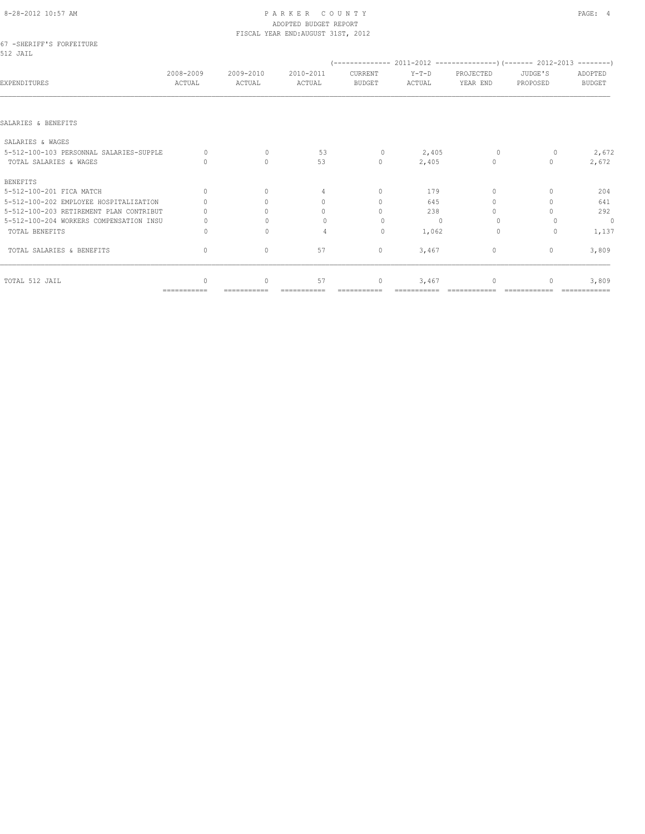### 8-28-2012 10:57 AM PAGE: 4 ADOPTED BUDGET REPORT

| PROJECTED<br>JUDGE'S<br>YEAR END<br>PROPOSED     | ADOPTED<br><b>BUDGET</b> |
|--------------------------------------------------|--------------------------|
|                                                  |                          |
|                                                  |                          |
|                                                  |                          |
| $\Omega$<br>0                                    | 2,672                    |
| $\mathbf{0}$<br>$\cap$                           | 2,672                    |
|                                                  |                          |
| $\begin{array}{c} \n\end{array}$<br>$\cap$       | 204                      |
| $\bigcap$                                        | 641                      |
| $\bigcap$                                        | 292                      |
| $\Omega$                                         | $\mathbf{0}$             |
| $\Omega$<br>$\Omega$                             | 1,137                    |
| $\mathbf{0}$<br>$\begin{array}{c} \n\end{array}$ | 3,809                    |
| $\Omega$                                         | 3,809                    |
|                                                  |                          |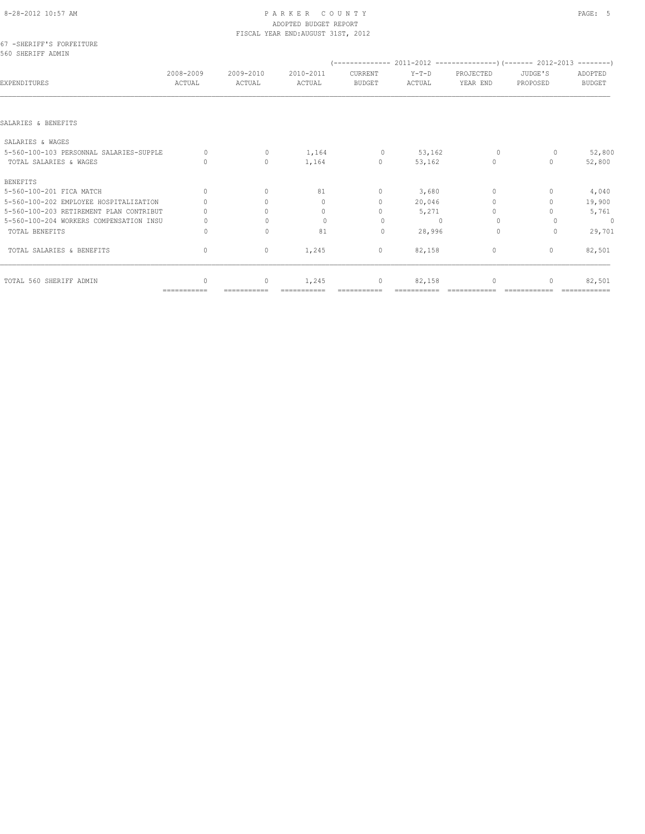## 8-28-2012 10:57 AM P A R K E R C O U N T Y PAGE: 5 ADOPTED BUDGET REPORT

|                                               |                     |                     | FISCAL YEAR END: AUGUST 31ST, 2012 |                                  |                   |                                  |                                  |                          |
|-----------------------------------------------|---------------------|---------------------|------------------------------------|----------------------------------|-------------------|----------------------------------|----------------------------------|--------------------------|
| 67 -SHERIFF'S FORFEITURE<br>560 SHERIFF ADMIN |                     |                     |                                    |                                  |                   |                                  |                                  |                          |
|                                               |                     |                     |                                    |                                  |                   |                                  |                                  |                          |
| EXPENDITURES                                  | 2008-2009<br>ACTUAL | 2009-2010<br>ACTUAL | 2010-2011<br>ACTUAL                | CURRENT<br><b>BUDGET</b>         | $Y-T-D$<br>ACTUAL | PROJECTED<br>YEAR END            | JUDGE'S<br>PROPOSED              | ADOPTED<br><b>BUDGET</b> |
|                                               |                     |                     |                                    |                                  |                   |                                  |                                  |                          |
| SALARIES & BENEFITS                           |                     |                     |                                    |                                  |                   |                                  |                                  |                          |
| SALARIES & WAGES                              |                     |                     |                                    |                                  |                   |                                  |                                  |                          |
| 5-560-100-103 PERSONNAL SALARIES-SUPPLE       | $\cap$              | $\mathbf{0}$        | 1,164                              | $\circ$                          | 53,162            | $\Omega$                         | 0                                | 52,800                   |
| TOTAL SALARIES & WAGES                        | $\bigcap$           | $\circ$             | 1,164                              | $\mathbf{0}$                     | 53,162            | $\mathbf{0}$                     | $\bigcap$                        | 52,800                   |
| <b>BENEFITS</b>                               |                     |                     |                                    |                                  |                   |                                  |                                  |                          |
| 5-560-100-201 FICA MATCH                      | $\Omega$            | $\mathbf{0}$        | 81                                 | $\mathbf{0}$                     | 3,680             | $\mathbf{0}$                     | 0                                | 4,040                    |
| 5-560-100-202 EMPLOYEE HOSPITALIZATION        |                     | $\bigcap$           | $\begin{array}{c} \n\end{array}$   | $\begin{array}{c} \n\end{array}$ | 20,046            | $\begin{array}{c} \n\end{array}$ | n                                | 19,900                   |
| 5-560-100-203 RETIREMENT PLAN CONTRIBUT       |                     | $\cap$              | $\begin{array}{c} \n\end{array}$   | $\Omega$                         | 5,271             | $\begin{array}{c} \n\end{array}$ |                                  | 5,761                    |
| 5-560-100-204 WORKERS COMPENSATION INSU       |                     | $\Omega$            | $\Omega$                           | $\Omega$                         | $\cup$            | $\Omega$                         |                                  | $\mathbf{0}$             |
| TOTAL BENEFITS                                | Ω                   | $\Omega$            | 81                                 | $\Omega$                         | 28,996            | $\Omega$                         | $\Omega$                         | 29,701                   |
| TOTAL SALARIES & BENEFITS                     | $\mathbf{0}$        | $\mathbf{0}$        | 1,245                              | $\mathbf{0}$                     | 82,158            | $\mathbf{0}$                     | $\begin{array}{c} \n\end{array}$ | 82,501                   |
| TOTAL 560 SHERIFF ADMIN                       | $\cap$              | $\circ$             | 1,245                              | $\mathbf{0}$                     | 82,158            | $\Omega$                         |                                  | 82,501                   |
|                                               | ===========         |                     |                                    |                                  |                   |                                  |                                  |                          |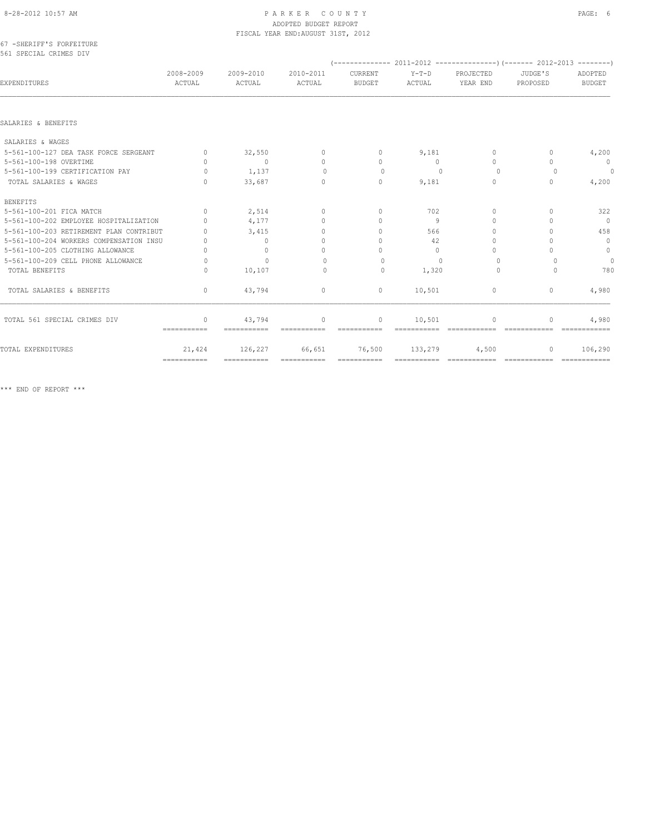| 67 - SHERIFF'S FORFEITURE |  |  |
|---------------------------|--|--|
| 561 SPECIAL CRIMES DIV    |  |  |

| EXPENDITURES                            | 2008-2009<br>ACTUAL     | 2009-2010<br>ACTUAL   | 2010-2011<br>ACTUAL              | CURRENT<br><b>BUDGET</b>         | $Y-T-D$<br>ACTUAL | PROJECTED<br>YEAR END            | JUDGE'S<br>PROPOSED              | ADOPTED<br><b>BUDGET</b>    |
|-----------------------------------------|-------------------------|-----------------------|----------------------------------|----------------------------------|-------------------|----------------------------------|----------------------------------|-----------------------------|
|                                         |                         |                       |                                  |                                  |                   |                                  |                                  |                             |
| SALARIES & BENEFITS                     |                         |                       |                                  |                                  |                   |                                  |                                  |                             |
| SALARIES & WAGES                        |                         |                       |                                  |                                  |                   |                                  |                                  |                             |
| 5-561-100-127 DEA TASK FORCE SERGEANT   | $\Omega$                | 32,550                | $\mathbf{0}$                     | $\begin{array}{c} \n\end{array}$ | 9,181             | $\Omega$                         | 0                                | 4,200                       |
| 5-561-100-198 OVERTIME                  | $\bigcap$               | $\overline{0}$        | $\Omega$                         | $\begin{array}{c} \n\end{array}$ | $\Omega$          | $\Omega$                         | $\bigcap$                        | $\overline{0}$              |
| 5-561-100-199 CERTIFICATION PAY         | $\bigcap$               | 1,137                 | $\bigcap$                        | $\Omega$                         | $\bigcap$         | $\Omega$                         | $\Omega$                         | $\circ$                     |
| TOTAL SALARIES & WAGES                  | $\bigcap$               | 33,687                | $\begin{array}{c} \n\end{array}$ | $\mathbf{0}$                     | 9,181             | $\begin{array}{c} \n\end{array}$ | $\begin{array}{c} \n\end{array}$ | 4,200                       |
| <b>BENEFITS</b>                         |                         |                       |                                  |                                  |                   |                                  |                                  |                             |
| 5-561-100-201 FICA MATCH                | $\Omega$                | 2,514                 | $\mathbf{0}$                     | $\begin{array}{c} \n\end{array}$ | 702               | $\begin{array}{c} \n\end{array}$ | n                                | 322                         |
| 5-561-100-202 EMPLOYEE HOSPITALIZATION  | $\cap$                  | 4,177                 | $\Omega$                         | $\begin{array}{c} \n\end{array}$ | 9                 | $\Omega$                         | $\Omega$                         | $\overline{0}$              |
| 5-561-100-203 RETIREMENT PLAN CONTRIBUT |                         | 3,415                 | $\Omega$                         | $\bigcap$                        | 566               | $\cap$                           | $\cap$                           | 458                         |
| 5-561-100-204 WORKERS COMPENSATION INSU |                         | $\Omega$              | $\Omega$                         | $\Omega$                         | 42                | $\cap$                           |                                  | $\overline{0}$              |
| 5-561-100-205 CLOTHING ALLOWANCE        | $\Omega$                | $\mathbf{0}$          | $\begin{array}{c} \n\end{array}$ | $\Omega$                         | $\Omega$          | $\begin{array}{c} \n\end{array}$ | $\cap$                           | $\circ$                     |
| 5-561-100-209 CELL PHONE ALLOWANCE      | $\bigcap$               | $\Omega$              | $\bigcap$                        | $\bigcap$                        | $\cup$            | $\Omega$                         |                                  | $\circ$                     |
| TOTAL BENEFITS                          | $\Omega$                | 10,107                | $\circ$                          | 0                                | 1,320             | $\circ$                          | $\Omega$                         | 780                         |
| TOTAL SALARIES & BENEFITS               | $\mathbf{0}$            | 43,794                | $\mathbf{0}$                     | $\mathbf{0}$                     | 10,501            | $\circ$                          | $\mathbf{0}$                     | 4,980                       |
| TOTAL 561 SPECIAL CRIMES DIV            | $\Omega$<br>=========== | 43,794<br>----------- | $\mathbf{0}$<br>------------     | $\Omega$<br>------------         | 10,501            | $\Omega$                         | n<br>-------------               | 4,980                       |
| TOTAL EXPENDITURES                      | 21,424                  | 126,227               | 66,651                           | 76,500                           | 133,279           | 4,500                            | $\mathbf{0}$                     | 106,290                     |
|                                         |                         | ============          |                                  | ===========                      | ===========       | =============                    | =============                    | $=$ = = = = = = = = = = = = |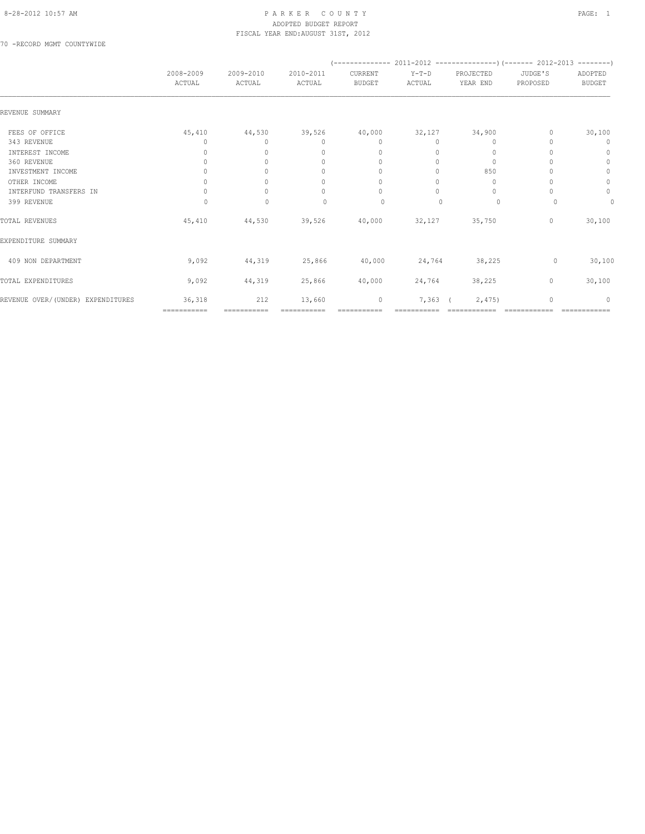70 -RECORD MGMT COUNTYWIDE

|                                   |                                  |                     |                                  | $(---------- 2011-2012$ ----------------) (------- 2012-2013 --------) |                 |                       |                     |                                  |
|-----------------------------------|----------------------------------|---------------------|----------------------------------|------------------------------------------------------------------------|-----------------|-----------------------|---------------------|----------------------------------|
|                                   | 2008-2009<br>ACTUAL              | 2009-2010<br>ACTUAL | 2010-2011<br>ACTUAL              | CURRENT<br><b>BUDGET</b>                                               | Y-T-D<br>ACTUAL | PROJECTED<br>YEAR END | JUDGE'S<br>PROPOSED | ADOPTED<br><b>BUDGET</b>         |
| REVENUE SUMMARY                   |                                  |                     |                                  |                                                                        |                 |                       |                     |                                  |
| FEES OF OFFICE                    | 45,410                           | 44,530              | 39,526                           | 40,000                                                                 | 32,127          | 34,900                | 0                   | 30,100                           |
| 343 REVENUE                       | 0                                | $\Omega$            | $\begin{array}{c} \n\end{array}$ | $\Omega$                                                               | $\Omega$        | $\Omega$              |                     | 0                                |
| INTEREST INCOME                   | $\Omega$                         | $\Omega$            | $\begin{array}{c} \n\end{array}$ | $\mathbf{0}$                                                           | $\Omega$        | 0                     |                     | $\begin{array}{c} \n\end{array}$ |
| 360 REVENUE                       | 0                                |                     | $\mathbf{0}$                     | $\mathbf{0}$                                                           | 0               | $\circ$               |                     | $\mathbf{0}$                     |
| INVESTMENT INCOME                 | $\circ$                          | $\bigcap$           | $\mathbf{0}$                     | $\Omega$                                                               | 0               | 850                   |                     | $\circ$                          |
| OTHER INCOME                      | 0                                |                     | $\mathbf{0}$                     | $\begin{array}{c} \n\end{array}$                                       | 0               | 0                     |                     | $\circ$                          |
| INTERFUND TRANSFERS IN            | $\begin{array}{c} \n\end{array}$ | $\Omega$            | $\begin{array}{c} \n\end{array}$ | $\begin{array}{c} \n\end{array}$                                       | $\Omega$        | $\mathbf{0}$          |                     | $\circ$                          |
| 399 REVENUE                       | $\Omega$                         | $\mathbf{0}$        | $\begin{array}{c} \n\end{array}$ | 0                                                                      | $\Omega$        | $\circ$               | $\Omega$            | 0                                |
| TOTAL REVENUES                    | 45,410                           | 44,530              | 39,526                           | 40,000                                                                 | 32,127          | 35,750                | $\circ$             | 30,100                           |
| EXPENDITURE SUMMARY               |                                  |                     |                                  |                                                                        |                 |                       |                     |                                  |
| 409 NON DEPARTMENT                | 9,092                            | 44,319              | 25,866                           | 40,000                                                                 | 24,764          | 38,225                | $\circ$             | 30,100                           |
| TOTAL EXPENDITURES                | 9,092                            | 44,319              | 25,866                           | 40,000                                                                 | 24,764          | 38,225                | 0                   | 30,100                           |
| REVENUE OVER/(UNDER) EXPENDITURES | 36,318                           | 212<br>===========  | 13,660                           | $\mathbb O$<br>===========                                             | $7,363$ (       | 2,475                 | $\Omega$            | $\Omega$                         |
|                                   | ===========                      |                     |                                  |                                                                        |                 |                       |                     |                                  |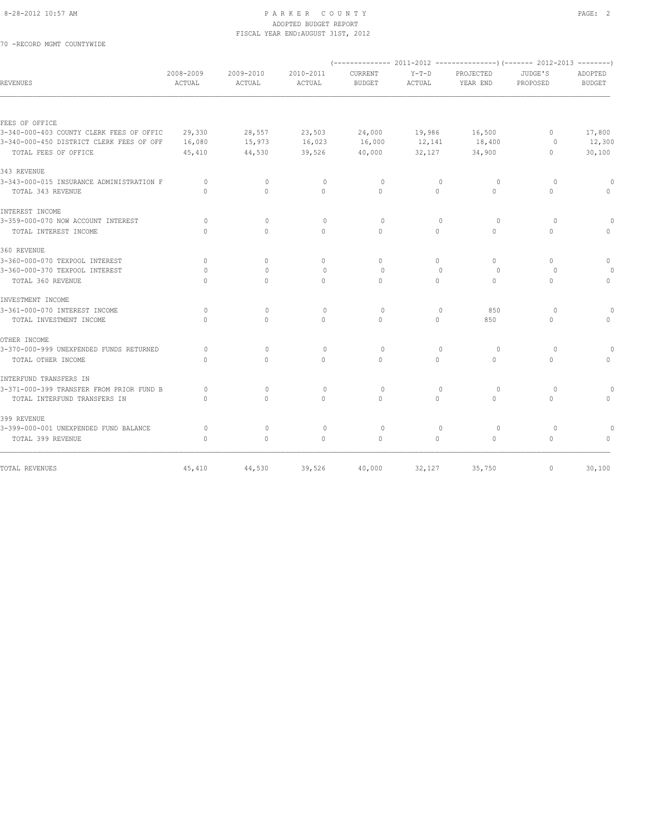70 -RECORD MGMT COUNTYWIDE

| 2008-2009<br>ACTUAL              | 2009-2010<br>ACTUAL                                                                                                                                                                                                                                   | 2010-2011                  | CURRENT                    | $Y-T-D$                    | PROJECTED                  | JUDGE'S                          |                                              |
|----------------------------------|-------------------------------------------------------------------------------------------------------------------------------------------------------------------------------------------------------------------------------------------------------|----------------------------|----------------------------|----------------------------|----------------------------|----------------------------------|----------------------------------------------|
|                                  |                                                                                                                                                                                                                                                       | ACTUAL                     | <b>BUDGET</b>              | ACTUAL                     | YEAR END                   | PROPOSED                         | ADOPTED<br><b>BUDGET</b>                     |
|                                  |                                                                                                                                                                                                                                                       |                            |                            |                            |                            |                                  |                                              |
|                                  |                                                                                                                                                                                                                                                       |                            |                            |                            |                            |                                  |                                              |
|                                  |                                                                                                                                                                                                                                                       |                            |                            |                            |                            | $\mathbf{0}$                     | 17,800                                       |
|                                  |                                                                                                                                                                                                                                                       |                            |                            |                            |                            |                                  | 12,300                                       |
|                                  |                                                                                                                                                                                                                                                       |                            |                            |                            |                            |                                  | 30,100                                       |
|                                  |                                                                                                                                                                                                                                                       |                            |                            |                            |                            |                                  |                                              |
| $\circ$                          | $\mathbf{0}$                                                                                                                                                                                                                                          | $\circ$                    | $\circ$                    | $\mathbf{0}$               | $\circ$                    | $\Omega$                         |                                              |
| $\bigcap$                        | $\bigcap$                                                                                                                                                                                                                                             | $\Omega$                   | $\bigcap$                  | $\Omega$                   | $\bigcap$                  | $\Omega$                         |                                              |
|                                  |                                                                                                                                                                                                                                                       |                            |                            |                            |                            |                                  |                                              |
| $\Omega$                         | $\Omega$                                                                                                                                                                                                                                              | $\Omega$                   | $\Omega$                   | $\Omega$                   | $\circ$                    | $\circ$                          |                                              |
| $\bigcap$                        | $\Omega$                                                                                                                                                                                                                                              | $\mathbf{0}$               | $\Omega$                   | $\circ$                    | $\circ$                    | $\mathbf{0}$                     |                                              |
|                                  |                                                                                                                                                                                                                                                       |                            |                            |                            |                            |                                  |                                              |
| $\begin{array}{c} \n\end{array}$ | $\Omega$                                                                                                                                                                                                                                              | $\Omega$                   | $\Omega$                   | $\Omega$                   | $\Omega$                   | $\begin{array}{c} \n\end{array}$ | $\Omega$                                     |
| $\circ$                          | $\mathbf{0}$                                                                                                                                                                                                                                          | $\mathbf{0}$               | $\circ$                    | $\Omega$                   | 0                          | $\circ$                          |                                              |
| $\Omega$                         | $\circ$                                                                                                                                                                                                                                               | $\mathbf{0}$               | $\circ$                    | $\circ$                    | $\circ$                    | $\circ$                          | $\Omega$                                     |
|                                  |                                                                                                                                                                                                                                                       |                            |                            |                            |                            |                                  |                                              |
| $\circ$                          | $\mathbf{0}$                                                                                                                                                                                                                                          | $\mathbf{0}$               | $\circ$                    | $\Omega$                   | 850                        | $\Omega$                         |                                              |
| $\Omega$                         | $\Omega$                                                                                                                                                                                                                                              | $\Omega$                   | $\Omega$                   | $\Omega$                   | 850                        | $\Omega$                         | $\cap$                                       |
|                                  |                                                                                                                                                                                                                                                       |                            |                            |                            |                            |                                  |                                              |
| $\Omega$                         | $\Omega$                                                                                                                                                                                                                                              | $\circ$                    | 0                          | $\Omega$                   | $\circ$                    | $\Omega$                         |                                              |
| $\Omega$                         | $\Omega$                                                                                                                                                                                                                                              | $\Omega$                   | $\Omega$                   | $\Omega$                   | $\Omega$                   | $\circ$                          | $\cap$                                       |
|                                  |                                                                                                                                                                                                                                                       |                            |                            |                            |                            |                                  |                                              |
| 0                                | $\mathbf{0}$                                                                                                                                                                                                                                          | $\mathbf{0}$               | 0                          | $\mathbf{0}$               | $\circ$                    | $\circ$                          |                                              |
| $\Omega$                         | $\Omega$                                                                                                                                                                                                                                              | $\Omega$                   | $\Omega$                   | $\Omega$                   | $\Omega$                   | $\Omega$                         | $\Omega$                                     |
|                                  |                                                                                                                                                                                                                                                       |                            |                            |                            |                            |                                  |                                              |
| $\Omega$                         | $\Omega$                                                                                                                                                                                                                                              | $\circ$                    | $\Omega$                   | $\Omega$                   | $\Omega$                   | $\Omega$                         |                                              |
| $\circ$                          | $\circ$                                                                                                                                                                                                                                               | $\Omega$                   | $\Omega$                   | $\Omega$                   | $\Omega$                   | $\Omega$                         | $\Omega$                                     |
| 45,410                           | 44,530                                                                                                                                                                                                                                                | 39,526                     | 40,000                     | 32,127                     | 35,750                     | $\circ$                          | 30,100                                       |
|                                  | 3-340-000-403 COUNTY CLERK FEES OF OFFIC<br>29,330<br>16,080<br>3-340-000-450 DISTRICT CLERK FEES OF OFF<br>45,410<br>3-343-000-015 INSURANCE ADMINISTRATION F<br>3-370-000-999 UNEXPENDED FUNDS RETURNED<br>3-371-000-399 TRANSFER FROM PRIOR FUND B | 28,557<br>15,973<br>44,530 | 23,503<br>16,023<br>39,526 | 24,000<br>16,000<br>40,000 | 19,986<br>12,141<br>32,127 | 16,500<br>18,400<br>34,900       | $\Omega$<br>$\begin{array}{c} \n\end{array}$ |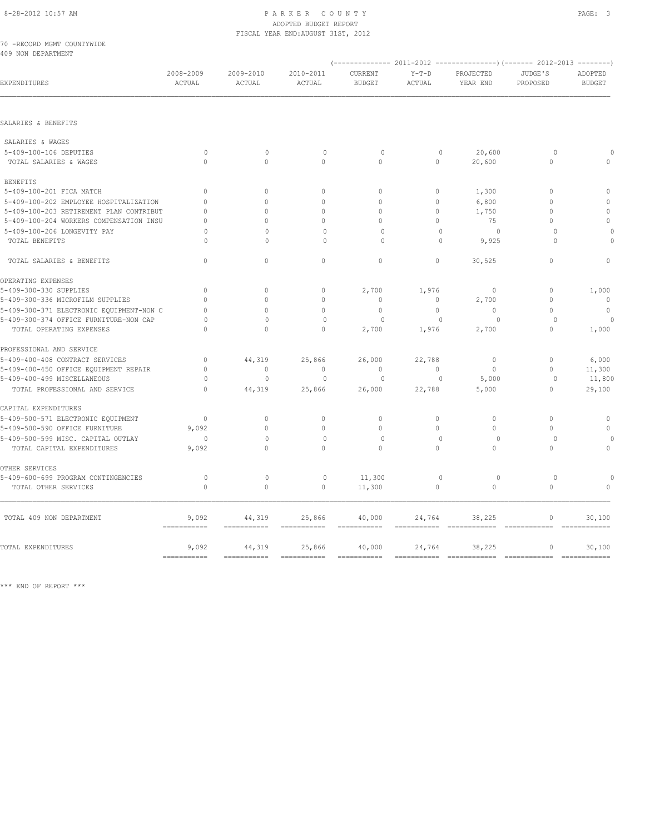70 -RECORD MGMT COUNTYWIDE 409 NON DEPARTMENT

| EXPENDITURES                             | 2008-2009<br>ACTUAL                | 2009-2010<br>ACTUAL              | 2010-2011<br>ACTUAL       | CURRENT<br><b>BUDGET</b>  | $Y-T-D$<br><b>ACTUAL</b> | PROJECTED<br>YEAR END  | JUDGE'S<br>PROPOSED | ADOPTED<br><b>BUDGET</b>    |
|------------------------------------------|------------------------------------|----------------------------------|---------------------------|---------------------------|--------------------------|------------------------|---------------------|-----------------------------|
| SALARIES & BENEFITS                      |                                    |                                  |                           |                           |                          |                        |                     |                             |
|                                          |                                    |                                  |                           |                           |                          |                        |                     |                             |
| SALARIES & WAGES                         |                                    |                                  |                           |                           |                          |                        |                     |                             |
| 5-409-100-106 DEPUTIES                   | $\circ$                            | $\mathbf{0}$                     | $\mathbf{0}$              | $\circ$                   | $\mathbf{0}$             | 20,600                 | $\circ$             |                             |
| TOTAL SALARIES & WAGES                   | $\Omega$                           | $\Omega$                         | $\Omega$                  | $\Omega$                  | $\Omega$                 | 20,600                 | $\Omega$            | $\Omega$                    |
| <b>BENEFITS</b>                          |                                    |                                  |                           |                           |                          |                        |                     |                             |
| 5-409-100-201 FICA MATCH                 | $\mathbf{0}$                       | $\circ$                          | $\mathbf{0}$              | $\circ$                   | $\circ$                  | 1,300                  | $\circ$             | $\mathbf{0}$                |
| 5-409-100-202 EMPLOYEE HOSPITALIZATION   | $\Omega$                           | $\Omega$                         | $\Omega$                  | $\Omega$                  | $\circ$                  | 6,800                  | $\Omega$            | $\Omega$                    |
| 5-409-100-203 RETIREMENT PLAN CONTRIBUT  | $\Omega$                           | $\Omega$                         | $\mathbf{0}$              | $\Omega$                  | $\circ$                  | 1,750                  | $\mathbf{0}$        | $\mathbf{0}$                |
| 5-409-100-204 WORKERS COMPENSATION INSU  | $\Omega$                           | $\Omega$                         | $\Omega$                  | $\cap$                    | $\Omega$                 | 75                     | $\Omega$            | $\Omega$                    |
| 5-409-100-206 LONGEVITY PAY              | $\Omega$                           | $\cap$                           | $\Omega$                  | $\Omega$                  | $\Omega$                 | $\circ$                | $\Omega$            | $\Omega$                    |
| TOTAL BENEFITS                           | $\Omega$                           | $\Omega$                         | 0                         | $\circ$                   | $\mathbf{0}$             | 9,925                  | 0                   | $\Omega$                    |
|                                          |                                    |                                  |                           |                           |                          |                        |                     |                             |
| TOTAL SALARIES & BENEFITS                | $\mathbf{0}$                       | $\circ$                          | $\mathbf{0}$              | $\circ$                   | $\circ$                  | 30,525                 | $\circ$             | $\circ$                     |
| OPERATING EXPENSES                       |                                    |                                  |                           |                           |                          |                        |                     |                             |
| 5-409-300-330 SUPPLIES                   | $\mathbf{0}$                       | $\mathbf{0}$                     | $\circ$                   | 2,700                     | 1,976                    | $\mathbf 0$            | $\circ$             | 1,000                       |
| 5-409-300-336 MICROFILM SUPPLIES         | $\Omega$                           | $\Omega$                         | $\mathbf{0}$              | $\mathbf{0}$              | $\circ$                  | 2,700                  | $\mathbf{0}$        | $\overline{0}$              |
| 5-409-300-371 ELECTRONIC EQUIPMENT-NON C | $\Omega$                           | $\Omega$                         | $\Omega$                  | $\mathbf{0}$              | $\circ$                  | $\mathbf{0}$           | $\Omega$            | $\mathbf{0}$                |
| 5-409-300-374 OFFICE FURNITURE-NON CAP   | $\Omega$                           | $\Omega$                         | $\circ$                   | 0                         | $\mathbf 0$              | 0                      | $\Omega$            |                             |
| TOTAL OPERATING EXPENSES                 | $\Omega$                           | $\Omega$                         | $\Omega$                  | 2,700                     | 1,976                    | 2,700                  | $\Omega$            | 1,000                       |
| PROFESSIONAL AND SERVICE                 |                                    |                                  |                           |                           |                          |                        |                     |                             |
| 5-409-400-408 CONTRACT SERVICES          | $\circ$                            | 44,319                           | 25,866                    | 26,000                    | 22,788                   | $\circ$                | $\circ$             | 6,000                       |
| 5-409-400-450 OFFICE EQUIPMENT REPAIR    | $\Omega$                           | $\begin{array}{c} \n\end{array}$ | $\Omega$                  | $\Omega$                  | $\Omega$                 | $\Omega$               | $\Omega$            | 11,300                      |
| 5-409-400-499 MISCELLANEOUS              | $\circ$                            | $\mathbf{0}$                     | $\mathbf{0}$              | $\circ$                   | $\circ$                  | 5,000                  | $\circ$             | 11,800                      |
| TOTAL PROFESSIONAL AND SERVICE           | $\Omega$                           | 44,319                           | 25,866                    | 26,000                    | 22,788                   | 5,000                  | $\circ$             | 29,100                      |
| CAPITAL EXPENDITURES                     |                                    |                                  |                           |                           |                          |                        |                     |                             |
| 5-409-500-571 ELECTRONIC EQUIPMENT       | $\cap$                             | $\Omega$                         | $\circ$                   | $\Omega$                  | 0                        | $\Omega$               | $\Omega$            | $\mathbf 0$                 |
| 5-409-500-590 OFFICE FURNITURE           | 9,092                              | $\Omega$                         | $\mathbf{0}$              | $\Omega$                  | $\circ$                  | $\Omega$               | $\Omega$            | $\Omega$                    |
| 5-409-500-599 MISC. CAPITAL OUTLAY       | $\circ$                            | $\Omega$                         | $\mathbf{0}$              | $\circ$                   | $\mathbf{0}$             | $\circ$                | $\circ$             |                             |
| TOTAL CAPITAL EXPENDITURES               | 9,092                              | $\Omega$                         | $\Omega$                  | $\Omega$                  | $\Omega$                 | $\Omega$               | $\Omega$            | $\circ$                     |
| OTHER SERVICES                           |                                    |                                  |                           |                           |                          |                        |                     |                             |
| 5-409-600-699 PROGRAM CONTINGENCIES      | $\circ$                            | $\mathbb O$                      | $\circ$                   | 11,300                    | $\mathbb O$              | $\circ$                | $\circ$             |                             |
| TOTAL OTHER SERVICES                     | $\circ$                            | $\circ$                          | $\mathbf{0}$              | 11,300                    | $\circ$                  | $\circ$                | $\circ$             | $\mathbf{0}$                |
| TOTAL 409 NON DEPARTMENT                 | 9,092<br>===========               | 44,319<br>===========            | 25,866                    | 40,000                    | 24,764                   | 38,225                 | 0<br>============   | 30,100                      |
|                                          |                                    |                                  |                           |                           |                          |                        |                     |                             |
| TOTAL EXPENDITURES                       | 9,092<br>$=$ = = = = = = = = = = = | 44,319<br>===========            | 25,866<br>$=$ =========== | 40,000<br>$=$ =========== | 24,764                   | 38,225<br>============ | 0<br>============   | 30,100<br>$=$ ============= |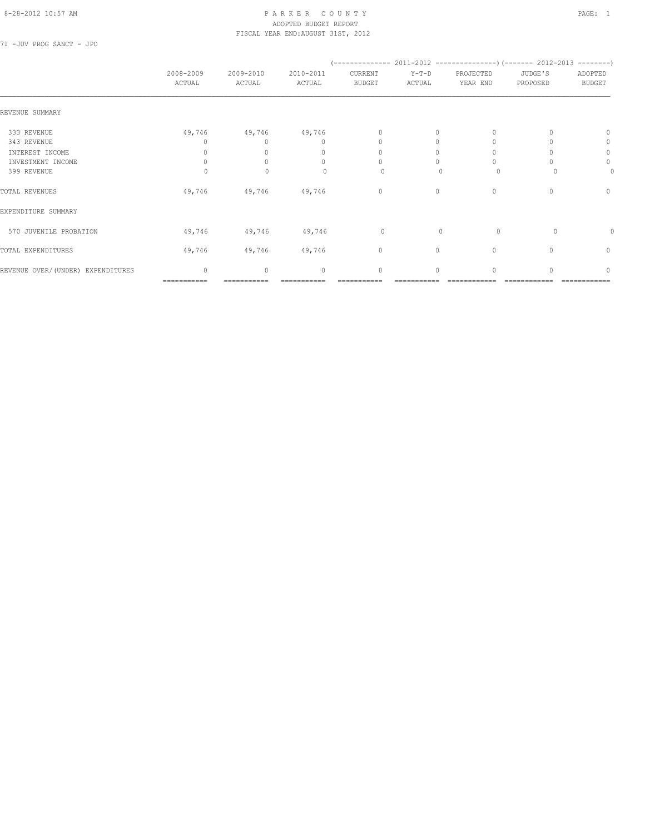### 8-28-2012 10:57 AM P A R K E R C O U N T Y PAGE: 1 ADOPTED BUDGET REPORT FISCAL YEAR END:AUGUST 31ST, 2012

71 -JUV PROG SANCT - JPO

|                                   | 2008-2009<br>ACTUAL | 2009-2010<br>ACTUAL | 2010-2011<br>ACTUAL              | (--------------<br>CURRENT<br><b>BUDGET</b> | $Y-T-D$<br>ACTUAL | $2011 - 2012$ ----------------) (------- 2012-2013 ---------)<br>PROJECTED<br>YEAR END | JUDGE'S<br>PROPOSED | ADOPTED<br><b>BUDGET</b>         |
|-----------------------------------|---------------------|---------------------|----------------------------------|---------------------------------------------|-------------------|----------------------------------------------------------------------------------------|---------------------|----------------------------------|
| REVENUE SUMMARY                   |                     |                     |                                  |                                             |                   |                                                                                        |                     |                                  |
| 333 REVENUE                       | 49,746              | 49,746              | 49,746                           | $\mathbf{0}$                                | 0                 | 0                                                                                      |                     | $\Omega$                         |
| 343 REVENUE                       | $\Omega$            | $\Omega$            | $\mathbf{0}$                     | $\mathbf{0}$                                | 0                 | $\Omega$                                                                               |                     | 0                                |
| INTEREST INCOME                   | 0                   |                     | $\begin{array}{c} \n\end{array}$ | $\Omega$                                    | $\Omega$          |                                                                                        |                     | 0                                |
| INVESTMENT INCOME                 | $\Omega$            |                     | $\begin{array}{c} \n\end{array}$ | $\Omega$                                    | $\bigcap$         | $\cup$                                                                                 |                     | $\circ$                          |
| 399 REVENUE                       | $\Omega$            | $\Omega$            | $\Omega$                         | 0                                           | n                 | $\Omega$                                                                               |                     | 0                                |
| TOTAL REVENUES                    | 49,746              | 49,746              | 49,746                           | $\circ$                                     | $\circ$           | $\mathbf{0}$                                                                           | $\Omega$            | $\mathbf{0}$                     |
| EXPENDITURE SUMMARY               |                     |                     |                                  |                                             |                   |                                                                                        |                     |                                  |
| 570 JUVENILE PROBATION            | 49,746              | 49,746              | 49,746                           | 0                                           | $\mathbf{0}$      | $\circ$                                                                                | 0                   | 0                                |
| TOTAL EXPENDITURES                | 49,746              | 49,746              | 49,746                           | $\circ$                                     | 0                 | $\mathbf{0}$                                                                           | 0                   | $\circ$                          |
| REVENUE OVER/(UNDER) EXPENDITURES | $\mathbf{0}$        | $\mathbf{0}$        | $\mathbf{0}$                     | $\mathbf{0}$                                | $\circ$           | $\Omega$                                                                               | $\cap$              | $\begin{array}{c} \n\end{array}$ |
|                                   | ===========         |                     |                                  |                                             |                   |                                                                                        |                     |                                  |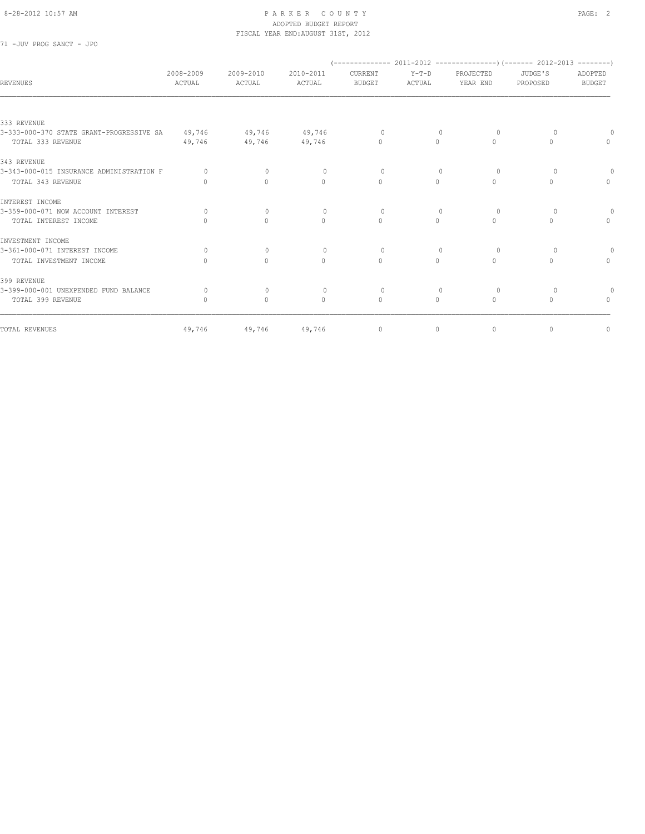71 -JUV PROG SANCT - JPO

| REVENUES                                 | 2008-2009<br>ACTUAL              | 2009-2010<br>ACTUAL              | 2010-2011<br>ACTUAL | CURRENT<br><b>BUDGET</b> | $Y-T-D$<br>ACTUAL | PROJECTED<br>YEAR END | JUDGE'S<br>PROPOSED | ADOPTED<br><b>BUDGET</b>         |
|------------------------------------------|----------------------------------|----------------------------------|---------------------|--------------------------|-------------------|-----------------------|---------------------|----------------------------------|
|                                          |                                  |                                  |                     |                          |                   |                       |                     |                                  |
| 333 REVENUE                              |                                  |                                  |                     |                          |                   |                       |                     |                                  |
| 3-333-000-370 STATE GRANT-PROGRESSIVE SA | 49,746                           | 49,746                           | 49,746              | $\circ$                  | $\mathbf{0}$      | $\circ$               | 0                   |                                  |
| TOTAL 333 REVENUE                        | 49,746                           | 49,746                           | 49,746              | $\Omega$                 | $\circ$           | $\Omega$              | $\Omega$            | $\Omega$                         |
| 343 REVENUE                              |                                  |                                  |                     |                          |                   |                       |                     |                                  |
| 3-343-000-015 INSURANCE ADMINISTRATION F | $\Omega$                         | $\Omega$                         | $\Omega$            | $\Omega$                 | $\Omega$          | $\Omega$              | $\Omega$            |                                  |
| TOTAL 343 REVENUE                        | $\begin{array}{c} \n\end{array}$ | $\circ$                          | $\mathbf{0}$        | $\mathbf{0}$             | $\circ$           | $\circ$               | $\Omega$            | $\Omega$                         |
| INTEREST INCOME                          |                                  |                                  |                     |                          |                   |                       |                     |                                  |
| 3-359-000-071 NOW ACCOUNT INTEREST       | $\bigcap$                        | $\mathbf{0}$                     | $\circ$             | $\circ$                  | $\mathbf{0}$      | 0                     | $\circ$             | 0                                |
| TOTAL INTEREST INCOME                    | $\bigcap$                        | $\Omega$                         | $\Omega$            | $\Omega$                 | $\Omega$          | $\Omega$              | $\bigcap$           | $\begin{array}{c} \n\end{array}$ |
| INVESTMENT INCOME                        |                                  |                                  |                     |                          |                   |                       |                     |                                  |
| 3-361-000-071 INTEREST INCOME            | $\bigcap$                        | $\Omega$                         | $\Omega$            | $\Omega$                 | $\Omega$          | $\Omega$              | $\Omega$            |                                  |
| TOTAL INVESTMENT INCOME                  |                                  | $\begin{array}{c} \n\end{array}$ | $\circ$             | $\circ$                  | $\circ$           | $\Omega$              | $\cap$              | $\mathbf{0}$                     |
| 399 REVENUE                              |                                  |                                  |                     |                          |                   |                       |                     |                                  |
| 3-399-000-001 UNEXPENDED FUND BALANCE    | $\Omega$                         | $\mathbf{0}$                     | $\Omega$            | $\circ$                  | $\Omega$          | 0                     | $\Omega$            |                                  |
| TOTAL 399 REVENUE                        | $\begin{array}{c} \n\end{array}$ | $\Omega$                         | $\Omega$            | $\mathbf{0}$             | $\Omega$          | $\Omega$              | $\Omega$            | $\begin{array}{c} \n\end{array}$ |
| TOTAL REVENUES                           | 49,746                           | 49,746                           | 49,746              | $\circ$                  | $\circ$           | $\circ$               | $\mathbf{0}$        | $\mathbf 0$                      |
|                                          |                                  |                                  |                     |                          |                   |                       |                     |                                  |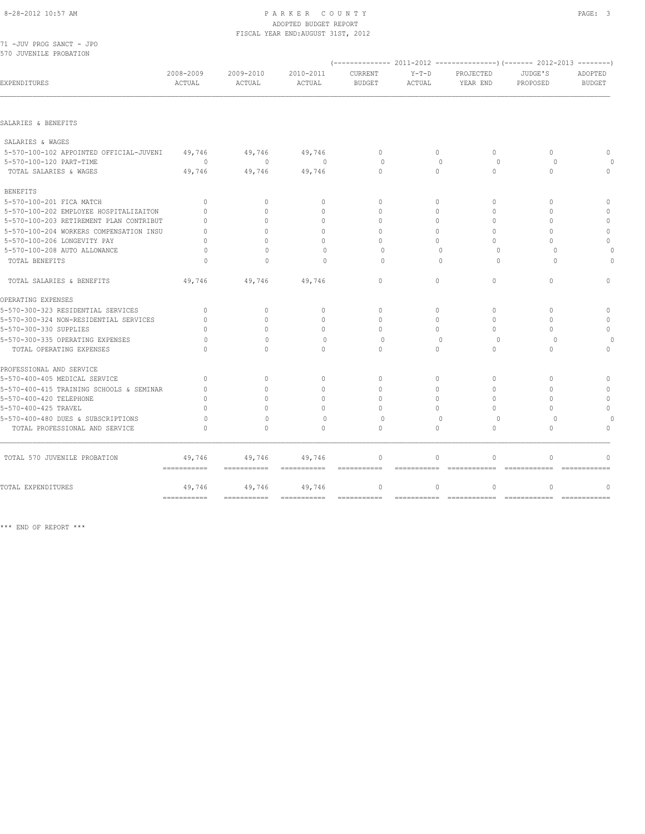### 8-28-2012 10:57 AM P A R K E R C O U N T Y PAGE: 3 ADOPTED BUDGET REPORT

|                                          |                     |                                  | FISCAL YEAR END: AUGUST 31ST, 2012 |                                 |                        |                         |                               |                          |
|------------------------------------------|---------------------|----------------------------------|------------------------------------|---------------------------------|------------------------|-------------------------|-------------------------------|--------------------------|
| 71 -JUV PROG SANCT - JPO                 |                     |                                  |                                    |                                 |                        |                         |                               |                          |
| 570 JUVENILE PROBATION                   |                     |                                  |                                    |                                 |                        |                         |                               |                          |
|                                          |                     |                                  |                                    |                                 |                        |                         |                               |                          |
| EXPENDITURES                             | 2008-2009<br>ACTUAL | 2009-2010<br>ACTUAL              | 2010-2011<br>ACTUAL                | <b>CURRENT</b><br><b>BUDGET</b> | $Y-T-D$<br>ACTUAL      | PROJECTED<br>YEAR END   | JUDGE'S<br>PROPOSED           | ADOPTED<br><b>BUDGET</b> |
|                                          |                     |                                  |                                    |                                 |                        |                         |                               |                          |
| SALARIES & BENEFITS                      |                     |                                  |                                    |                                 |                        |                         |                               |                          |
| SALARIES & WAGES                         |                     |                                  |                                    |                                 |                        |                         |                               |                          |
| 5-570-100-102 APPOINTED OFFICIAL-JUVENI  | 49,746              | 49,746                           | 49,746                             | $\mathbf{0}$                    | $\circ$                | $\circ$                 | $\mathbf{0}$                  | $\mathbf{0}$             |
| 5-570-100-120 PART-TIME                  | $\Omega$            | $\Omega$                         | $\Omega$                           | $\Omega$                        | $\Omega$               | $\Omega$                | $\Omega$                      |                          |
| TOTAL SALARIES & WAGES                   | 49,746              | 49,746                           | 49,746                             | $\Omega$                        | $\Omega$               | $\Omega$                | $\Omega$                      | $\mathbf{0}$             |
| <b>BENEFITS</b>                          |                     |                                  |                                    |                                 |                        |                         |                               |                          |
| 5-570-100-201 FICA MATCH                 | $\mathbf{0}$        | $\mathbf{0}$                     | $\mathbf{0}$                       | $\mathbf{0}$                    | $\circ$                | $\mathbf{0}$            | $\mathbf{0}$                  | $\circ$                  |
| 5-570-100-202 EMPLOYEE HOSPITALIZAITON   | $\Omega$            | $\Omega$                         | $\Omega$                           | $\bigcap$                       | $\Omega$               | $\Omega$                | $\Omega$                      | $\Omega$                 |
| 5-570-100-203 RETIREMENT PLAN CONTRIBUT  | $\Omega$            | $\Omega$                         | $\Omega$                           | $\Omega$                        | $\Omega$               | $\Omega$                | $\Omega$                      | $\mathbf{0}$             |
| 5-570-100-204 WORKERS COMPENSATION INSU  | $\Omega$            | $\cap$                           | $\cap$                             | $\Omega$                        | $\Omega$               | $\Omega$                | $\Omega$                      | $\theta$                 |
| 5-570-100-206 LONGEVITY PAY              | $\Omega$            | $\Omega$                         | $\cap$                             | $\Omega$                        | $\Omega$               | $\Omega$                | $\Omega$                      | $\Omega$                 |
| 5-570-100-208 AUTO ALLOWANCE             | $\Omega$            | $\begin{array}{c} \n\end{array}$ | $\begin{array}{c} \n\end{array}$   | $\Omega$                        | $\Omega$               | $\Omega$                | $\Omega$                      |                          |
| TOTAL BENEFITS                           | $\circ$             | $\Omega$                         | $\mathbf 0$                        | $\Omega$                        | $\Omega$               | $\circ$                 | $\Omega$                      |                          |
| TOTAL SALARIES & BENEFITS                | 49,746              | 49,746                           | 49,746                             | $\circ$                         | $\circ$                | $\circ$                 | $\mathbf{0}$                  | $\mathbf{0}$             |
| OPERATING EXPENSES                       |                     |                                  |                                    |                                 |                        |                         |                               |                          |
| 5-570-300-323 RESIDENTIAL SERVICES       | $\mathbf{0}$        | $\Omega$                         | $\mathbf{0}$                       | $\Omega$                        | $\Omega$               | $\Omega$                | $\Omega$                      | $\circ$                  |
| 5-570-300-324 NON-RESIDENTIAL SERVICES   | $\mathbf{0}$        | $\Omega$                         | $\mathbf{0}$                       | $\Omega$                        | $\circ$                | $\Omega$                | $\Omega$                      | $\mathbf{0}$             |
| 5-570-300-330 SUPPLIES                   | $\Omega$            | $\Omega$                         | $\Omega$                           | $\Omega$                        | $\Omega$               | $\Omega$                | $\Omega$                      | $\mathbf{0}$             |
| 5-570-300-335 OPERATING EXPENSES         | $\Omega$            | $\Omega$                         | $\circ$                            | $\circ$                         | $\circ$                | $\circ$                 | $\circ$                       |                          |
| TOTAL OPERATING EXPENSES                 | $\Omega$            | $\Omega$                         | $\Omega$                           | $\Omega$                        | $\Omega$               | $\Omega$                | $\Omega$                      | $\Omega$                 |
| PROFESSIONAL AND SERVICE                 |                     |                                  |                                    |                                 |                        |                         |                               |                          |
| 5-570-400-405 MEDICAL SERVICE            | $\Omega$            | $\begin{array}{c} \n\end{array}$ | $\Omega$                           | $\Omega$                        | $\Omega$               | $\Omega$                | $\Omega$                      | $\mathbf{0}$             |
| 5-570-400-415 TRAINING SCHOOLS & SEMINAR | $\Omega$            | $\Omega$                         | $\Omega$                           | $\Omega$                        | $\Omega$               | $\Omega$                | $\Omega$                      | $\Omega$                 |
| 5-570-400-420 TELEPHONE                  | $\Omega$            | $\bigcap$                        | $\begin{array}{c} \n\end{array}$   | $\Omega$                        | $\Omega$               | $\bigcap$               | $\Omega$                      | $\Omega$                 |
| 5-570-400-425 TRAVEL                     | $\Omega$            | $\cap$                           | $\Omega$                           | $\Omega$                        | $\Omega$               | $\Omega$                | $\Omega$                      | $\mathbf{0}$             |
| 5-570-400-480 DUES & SUBSCRIPTIONS       | $\Omega$            | $\mathbf{0}$                     | $\Omega$                           | $\Omega$                        | $\Omega$               | $\Omega$                | $\Omega$                      |                          |
| TOTAL PROFESSIONAL AND SERVICE           | $\Omega$            | $\Omega$                         | $\Omega$                           | $\Omega$                        | $\Omega$               | $\Omega$                | $\Omega$                      | $\circ$                  |
| TOTAL 570 JUVENILE PROBATION             | 49,746              | 49,746                           | 49,746                             | $\mathbf{0}$                    | $\circ$                | $\mathbf{0}$            | $\mathbf{0}$                  | $\mathbf{0}$             |
| TOTAL EXPENDITURES                       | ===========         | $=$ ===========                  | ===========<br>49,746              | ============<br>$\circ$         | ===========<br>$\circ$ | ============<br>$\circ$ | =============<br>$\mathbf{0}$ | ============<br>$\circ$  |
|                                          | 49,746              | 49,746                           |                                    |                                 |                        |                         |                               |                          |

=========== =========== =========== =========== =========== ============ ============ ============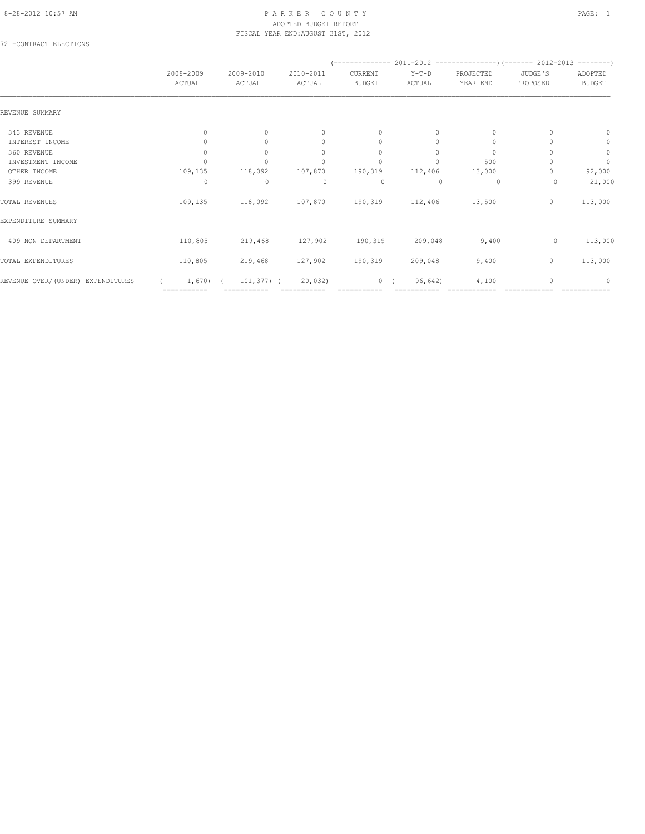72 -CONTRACT ELECTIONS

|                                   | 2008-2009<br>ACTUAL              | 2009-2010<br>ACTUAL | 2010-2011<br>ACTUAL              | CURRENT<br><b>BUDGET</b> | $Y-T-D$<br>ACTUAL | PROJECTED<br>YEAR END | JUDGE'S<br>PROPOSED | ADOPTED<br><b>BUDGET</b> |
|-----------------------------------|----------------------------------|---------------------|----------------------------------|--------------------------|-------------------|-----------------------|---------------------|--------------------------|
| REVENUE SUMMARY                   |                                  |                     |                                  |                          |                   |                       |                     |                          |
| 343 REVENUE                       | $\begin{array}{c} \n\end{array}$ | $\Omega$            | $\mathbf{0}$                     | $\mathbf{0}$             | 0                 | $\mathbf{0}$          |                     | $\mathbf{0}$             |
| INTEREST INCOME                   |                                  | $\Omega$            | $\mathbf{0}$                     | $\mathbf{0}$             | $\Omega$          | 0                     |                     | $\circ$                  |
| 360 REVENUE                       | 0                                | $\cup$              | $\begin{array}{c} \n\end{array}$ | $\mathbf{0}$             | $\Omega$          | $\Omega$              |                     | $\mathbb O$              |
| INVESTMENT INCOME                 |                                  |                     | $\Omega$                         | $\Omega$                 | $\Omega$          | 500                   |                     | $\circ$                  |
| OTHER INCOME                      | 109,135                          | 118,092             | 107,870                          | 190,319                  | 112,406           | 13,000                |                     | 92,000                   |
| 399 REVENUE                       | 0                                | $\mathbf 0$         | 0                                | 0                        | $\Omega$          | 0                     | 0                   | 21,000                   |
| TOTAL REVENUES                    | 109,135                          | 118,092             | 107,870                          | 190,319                  | 112,406           | 13,500                | 0                   | 113,000                  |
| EXPENDITURE SUMMARY               |                                  |                     |                                  |                          |                   |                       |                     |                          |
| 409 NON DEPARTMENT                | 110,805                          | 219,468             | 127,902                          | 190,319                  | 209,048           | 9,400                 | $\circ$             | 113,000                  |
| TOTAL EXPENDITURES                | 110,805                          | 219,468             | 127,902                          | 190,319                  | 209,048           | 9,400                 | $\circ$             | 113,000                  |
| REVENUE OVER/(UNDER) EXPENDITURES | 1,670                            | $101, 377)$ (       | 20,032)                          | 0(                       | 96,642)           | 4,100                 | O                   | $\cap$                   |
|                                   | ===========                      |                     |                                  |                          |                   |                       |                     |                          |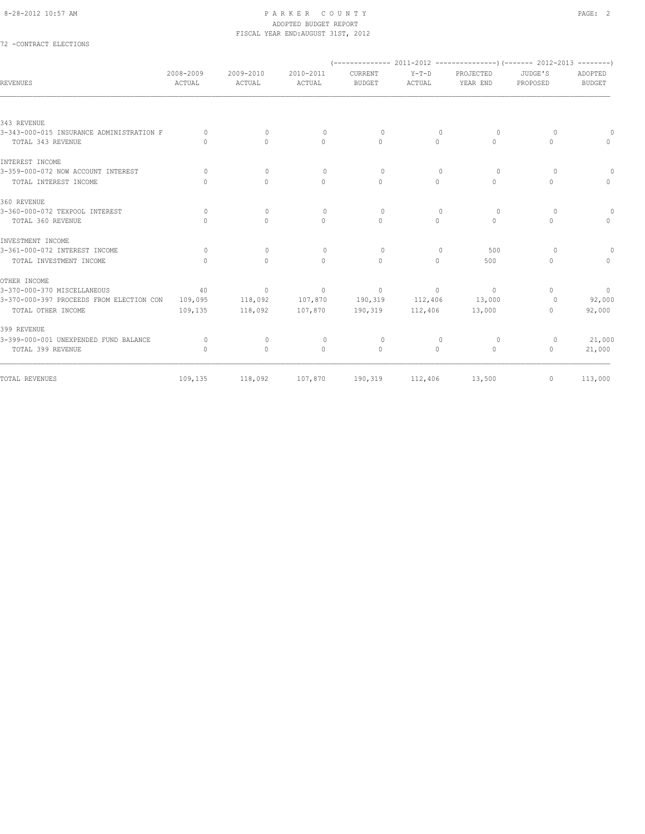### 72 -CONTRACT ELECTIONS

| <b>REVENUES</b>                          | 2008-2009<br>ACTUAL              | 2009-2010<br>ACTUAL              | 2010-2011<br>ACTUAL | CURRENT<br><b>BUDGET</b> | $Y-T-D$<br>ACTUAL                | PROJECTED<br>YEAR END | JUDGE'S<br>PROPOSED              | ADOPTED<br><b>BUDGET</b> |
|------------------------------------------|----------------------------------|----------------------------------|---------------------|--------------------------|----------------------------------|-----------------------|----------------------------------|--------------------------|
|                                          |                                  |                                  |                     |                          |                                  |                       |                                  |                          |
| 343 REVENUE                              |                                  |                                  |                     |                          |                                  |                       |                                  |                          |
| 3-343-000-015 INSURANCE ADMINISTRATION F | $\bigcap$                        | $\Omega$                         | $\circ$             | $\Omega$                 | $\Omega$                         | $\Omega$              | $\Omega$                         | $\Omega$                 |
| TOTAL 343 REVENUE                        | $\begin{array}{c} \n\end{array}$ | $\Omega$                         | $\mathbf{0}$        | $\Omega$                 | $\circ$                          | $\Omega$              | $\circ$                          | $\Omega$                 |
| INTEREST INCOME                          |                                  |                                  |                     |                          |                                  |                       |                                  |                          |
| 3-359-000-072 NOW ACCOUNT INTEREST       | $\bigcap$                        | $\circ$                          | $\circ$             | $\circ$                  | $\mathbf{0}$                     | $\Omega$              | $\Omega$                         |                          |
| TOTAL INTEREST INCOME                    | $\bigcap$                        | $\Omega$                         | $\circ$             | $\mathbf{0}$             | $\circ$                          | $\circ$               | $\circ$                          | $\Omega$                 |
| 360 REVENUE                              |                                  |                                  |                     |                          |                                  |                       |                                  |                          |
| 3-360-000-072 TEXPOOL INTEREST           | $\bigcap$                        | $\begin{array}{c} \n\end{array}$ | $\circ$             | $\Omega$                 | $\Omega$                         | $\Omega$              | $\circ$                          | $\circ$                  |
| TOTAL 360 REVENUE                        | $\begin{array}{c} \n\end{array}$ | $\Omega$                         | $\mathbf{0}$        | $\Omega$                 | $\circ$                          | $\Omega$              | $\mathbf{0}$                     | $\Omega$                 |
| INVESTMENT INCOME                        |                                  |                                  |                     |                          |                                  |                       |                                  |                          |
| 3-361-000-072 INTEREST INCOME            | $\circ$                          | $\circ$                          | $\circ$             | $\circ$                  | $\begin{array}{c} \n\end{array}$ | 500                   | $\Omega$                         |                          |
| TOTAL INVESTMENT INCOME                  | $\begin{array}{c} \n\end{array}$ | $\Omega$                         | $\Omega$            | $\Omega$                 | $\Omega$                         | 500                   | $\Omega$                         | $\Omega$                 |
| OTHER INCOME                             |                                  |                                  |                     |                          |                                  |                       |                                  |                          |
| 3-370-000-370 MISCELLANEOUS              | 40                               | $\mathbf{0}$                     | $\mathbf{0}$        | $\circ$                  | $\Omega$                         | $\mathbf{0}$          | $\begin{array}{c} \n\end{array}$ | $\circ$                  |
| 3-370-000-397 PROCEEDS FROM ELECTION CON | 109,095                          | 118,092                          | 107,870             | 190,319                  | 112,406                          | 13,000                | 0                                | 92,000                   |
| TOTAL OTHER INCOME                       | 109,135                          | 118,092                          | 107,870             | 190,319                  | 112,406                          | 13,000                | $\mathbf{0}$                     | 92,000                   |
| 399 REVENUE                              |                                  |                                  |                     |                          |                                  |                       |                                  |                          |
| 3-399-000-001 UNEXPENDED FUND BALANCE    | $\Omega$                         | $\circ$                          | $\circ$             | $\circ$                  | $\Omega$                         | $\Omega$              | 0                                | 21,000                   |
| TOTAL 399 REVENUE                        | $\Omega$                         | $\circ$                          | $\Omega$            | $\mathbf{0}$             | $\circ$                          | $\circ$               | $\mathbf{0}$                     | 21,000                   |
| TOTAL REVENUES                           | 109,135                          | 118,092                          | 107,870             | 190,319                  | 112,406                          | 13,500                | $\mathbf{0}$                     | 113,000                  |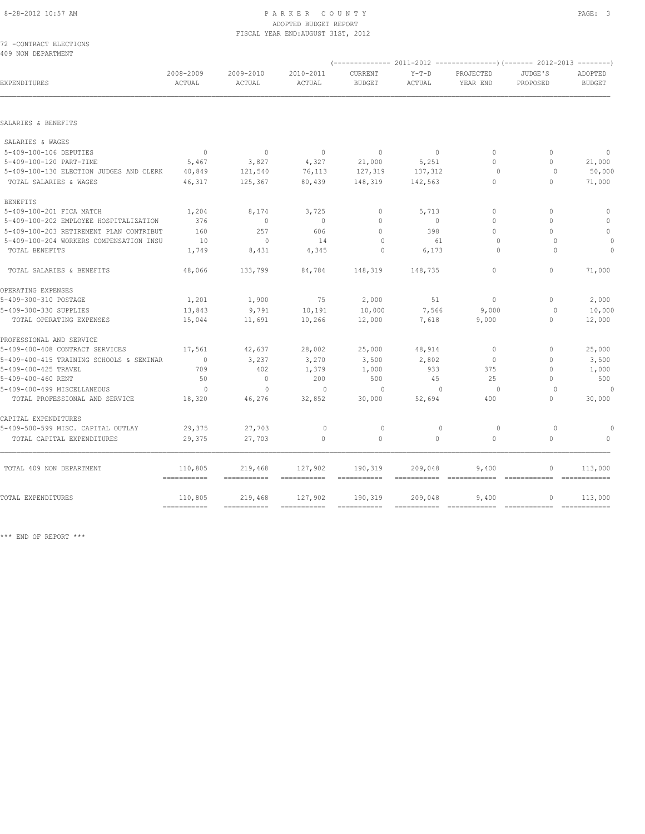|  | 72 -CONTRACT ELECTIONS |
|--|------------------------|
|  | 409 NON DEPARTMENT     |

| EXPENDITURES                             | 2008-2009<br>ACTUAL       | 2009-2010<br>ACTUAL    | 2010-2011<br>ACTUAL    | <b>CURRENT</b><br><b>BUDGET</b> | $Y-T-D$<br>ACTUAL | PROJECTED<br>YEAR END                           | JUDGE'S<br>PROPOSED | <b>ADOPTED</b><br><b>BUDGET</b> |
|------------------------------------------|---------------------------|------------------------|------------------------|---------------------------------|-------------------|-------------------------------------------------|---------------------|---------------------------------|
|                                          |                           |                        |                        |                                 |                   |                                                 |                     |                                 |
| SALARIES & BENEFITS                      |                           |                        |                        |                                 |                   |                                                 |                     |                                 |
| SALARIES & WAGES                         |                           |                        |                        |                                 |                   |                                                 |                     |                                 |
| 5-409-100-106 DEPUTIES                   | $\overline{0}$            | $\mathbf{0}$           | $\overline{0}$         | $\Omega$                        | $\circ$           | $\Omega$                                        | $\mathbf{0}$        | $\overline{0}$                  |
| 5-409-100-120 PART-TIME                  | 5,467                     | 3,827                  | 4,327                  | 21,000                          | 5,251             | $\Omega$                                        | $\mathbf{0}$        | 21,000                          |
| 5-409-100-130 ELECTION JUDGES AND CLERK  | 40,849                    | 121,540                | 76,113                 | 127,319                         | 137,312           | $\circ$                                         | $\circ$             | 50,000                          |
| TOTAL SALARIES & WAGES                   | 46,317                    | 125,367                | 80,439                 | 148,319                         | 142,563           | $\mathbf{0}$                                    | $\mathbf{0}$        | 71,000                          |
| <b>BENEFITS</b>                          |                           |                        |                        |                                 |                   |                                                 |                     |                                 |
| 5-409-100-201 FICA MATCH                 | 1,204                     | 8,174                  | 3,725                  | $\mathbf{0}$                    | 5,713             | $\Omega$                                        | $\mathbf{0}$        | $\mathbf{0}$                    |
| 5-409-100-202 EMPLOYEE HOSPITALIZATION   | 376                       | $\mathbf{0}$           | $\mathbf{0}$           | $\Omega$                        | $\circ$           | $\Omega$                                        | $\Omega$            | $\mathbf{0}$                    |
| 5-409-100-203 RETIREMENT PLAN CONTRIBUT  | 160                       | 257                    | 606                    | $\Omega$                        | 398               | $\Omega$                                        | $\Omega$            | $\circ$                         |
| 5-409-100-204 WORKERS COMPENSATION INSU  | 10                        | $\mathbf{0}$           | 14                     | $\circ$                         | 61                | $\circ$                                         | $\mathbf{0}$        | $\theta$                        |
| TOTAL BENEFITS                           | 1,749                     | 8,431                  | 4,345                  | 0                               | 6,173             | $\Omega$                                        | $\mathbf{0}$        | $\mathbf 0$                     |
| TOTAL SALARIES & BENEFITS                | 48,066                    | 133,799                | 84,784                 | 148,319                         | 148,735           | $\Omega$                                        | $\Omega$            | 71,000                          |
| OPERATING EXPENSES                       |                           |                        |                        |                                 |                   |                                                 |                     |                                 |
| 5-409-300-310 POSTAGE                    | 1,201                     | 1,900                  | 75                     | 2,000                           | 51                | $\circ$                                         | $\circ$             | 2,000                           |
| 5-409-300-330 SUPPLIES                   | 13,843                    | 9,791                  | 10,191                 | 10,000                          | 7,566             | 9,000                                           | $\circ$             | 10,000                          |
| TOTAL OPERATING EXPENSES                 | 15,044                    | 11,691                 | 10,266                 | 12,000                          | 7,618             | 9,000                                           | $\mathbf{0}$        | 12,000                          |
| PROFESSIONAL AND SERVICE                 |                           |                        |                        |                                 |                   |                                                 |                     |                                 |
| 5-409-400-408 CONTRACT SERVICES          | 17,561                    | 42,637                 | 28,002                 | 25,000                          | 48,914            | $\Omega$                                        | $\mathbf{0}$        | 25,000                          |
| 5-409-400-415 TRAINING SCHOOLS & SEMINAR | $\overline{0}$            | 3,237                  | 3,270                  | 3,500                           | 2,802             | $\circ$                                         | $\Omega$            | 3,500                           |
| 5-409-400-425 TRAVEL                     | 709                       | 402                    | 1,379                  | 1,000                           | 933               | 375                                             | $\Omega$            | 1,000                           |
| 5-409-400-460 RENT                       | 50                        | $\circ$                | 200                    | 500                             | 45                | 25                                              | $\mathbf 0$         | 500                             |
| 5-409-400-499 MISCELLANEOUS              | $\circ$                   | $\mathbf{0}$           | $\mathbf{0}$           | $\circ$                         | $\mathbf{0}$      | $\circ$                                         | $\circ$             | $\theta$                        |
| TOTAL PROFESSIONAL AND SERVICE           | 18,320                    | 46,276                 | 32,852                 | 30,000                          | 52,694            | 400                                             | $\Omega$            | 30,000                          |
| CAPITAL EXPENDITURES                     |                           |                        |                        |                                 |                   |                                                 |                     |                                 |
| 5-409-500-599 MISC. CAPITAL OUTLAY       | 29,375                    | 27,703                 | $\circ$                | $\circ$                         | $\mathbf{0}$      | $\circ$                                         | $\circ$             |                                 |
| TOTAL CAPITAL EXPENDITURES               | 29,375                    | 27,703                 | $\mathbf{0}$           | $\circ$                         | $\circ$           | $\mathbf 0$                                     | $\mathbf 0$         |                                 |
| TOTAL 409 NON DEPARTMENT                 | 110,805<br>===========    | 219,468<br>=========== | 127,902<br>=========== | 190,319                         | 209,048           | 9,400<br>=========== ============= ============ | $\mathbf{0}$        | 113,000<br>$=$ ============     |
| TOTAL EXPENDITURES                       | 110,805                   | 219,468                | 127,902                | 190,319                         | 209,048           | 9,400                                           | 0                   | 113,000                         |
|                                          | $=$ = = = = = = = = = = = |                        | ===========            |                                 |                   | $=$ = = = = = = = = = = = =                     | ============        | $=$ = = = = = = = = = = = =     |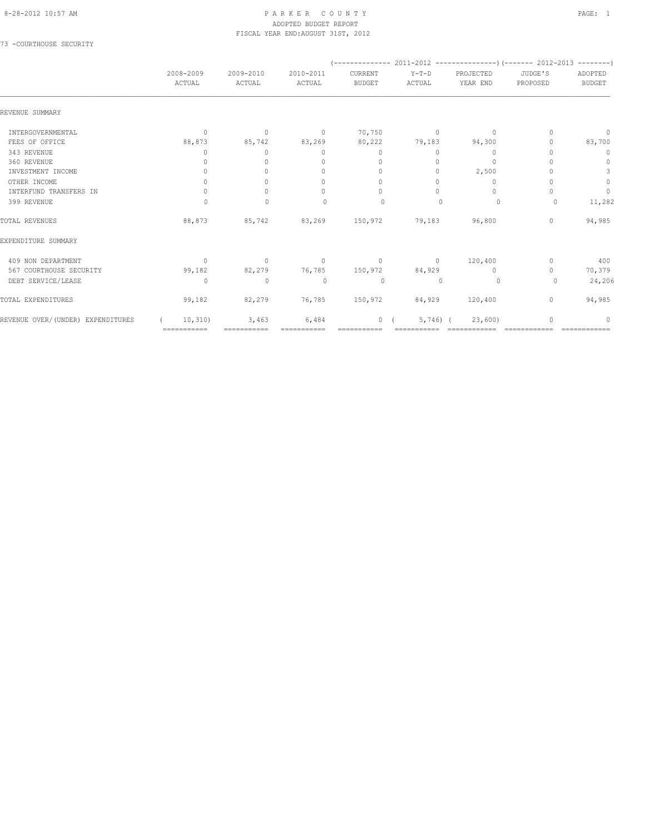### 8-28-2012 10:57 AM P A R K E R C O U N T Y PAGE: 1 ADOPTED BUDGET REPORT FISCAL YEAR END:AUGUST 31ST, 2012

73 -COURTHOUSE SECURITY

|                                   |                     |                     |                                  |                                  |                 | $(---------- 2011-2012$ ----------------) (------- 2012-2013 --------) |                                  |                          |
|-----------------------------------|---------------------|---------------------|----------------------------------|----------------------------------|-----------------|------------------------------------------------------------------------|----------------------------------|--------------------------|
|                                   | 2008-2009<br>ACTUAL | 2009-2010<br>ACTUAL | 2010-2011<br>ACTUAL              | CURRENT<br><b>BUDGET</b>         | Y-T-D<br>ACTUAL | PROJECTED<br>YEAR END                                                  | JUDGE'S<br>PROPOSED              | ADOPTED<br><b>BUDGET</b> |
| REVENUE SUMMARY                   |                     |                     |                                  |                                  |                 |                                                                        |                                  |                          |
| INTERGOVERNMENTAL                 | $\circ$             | $\circ$             | $\overline{0}$                   | 70,750                           | $\sim$ 0        | $\mathbf 0$                                                            | $\begin{array}{c} \n\end{array}$ | $\mathbf 0$              |
| FEES OF OFFICE                    | 88,873              | 85,742              | 83,269                           | 80,222                           | 79,183          | 94,300                                                                 |                                  | 83,700                   |
| 343 REVENUE                       | 0                   | $\circ$             | $\mathbf{0}$                     | $\mathbf{0}$                     | 0               | $\mathbf{0}$                                                           |                                  | $\mathbf 0$              |
| 360 REVENUE                       | 0                   | $\Omega$            | $\mathbf{0}$                     | $\mathbf{0}$                     | $\circ$         | $\mathbf{0}$                                                           |                                  | $\mathbf{0}$             |
| INVESTMENT INCOME                 | $\circ$             | $\Omega$            | $\begin{array}{c} \n\end{array}$ | $\begin{array}{c} \n\end{array}$ | $\bigcap$       | 2,500                                                                  |                                  | 3                        |
| OTHER INCOME                      | $\Omega$            | $\Omega$            | $\Omega$                         | $\begin{array}{c} \n\end{array}$ | $\Omega$        | 0                                                                      |                                  | $\mathbb O$              |
| INTERFUND TRANSFERS IN            | $\Omega$            | $\Omega$            | $\begin{array}{c} \n\end{array}$ | $\begin{array}{c} \n\end{array}$ | $\bigcap$       | $\Omega$                                                               |                                  | $\circ$                  |
| 399 REVENUE                       | 0                   | $\mathbf{0}$        | $\begin{array}{c} \n\end{array}$ | 0                                | $\mathbf{0}$    | 0                                                                      | 0                                | 11,282                   |
| TOTAL REVENUES                    | 88,873              | 85,742              | 83,269 150,972                   |                                  | 79,183          | 96,800                                                                 | $\circ$                          | 94,985                   |
| EXPENDITURE SUMMARY               |                     |                     |                                  |                                  |                 |                                                                        |                                  |                          |
| 409 NON DEPARTMENT                | $\mathbf{0}$        | $\overline{0}$      | $\sim$ 0                         | $\sim$ 0                         | $\sim$ 0        | 120,400                                                                | $\mathbf{0}$                     | 400                      |
| 567 COURTHOUSE SECURITY           | 99,182              | 82,279              |                                  | 76,785 150,972                   | 84,929          | $\mathbf{0}$                                                           | $\Omega$                         | 70,379                   |
| DEBT SERVICE/LEASE                | $\Omega$            | $\mathbf{0}$        | $\Omega$                         | $\circ$                          | $\Omega$        | $\circ$                                                                | $\Omega$                         | 24,206                   |
| TOTAL EXPENDITURES                | 99,182              | 82,279              |                                  | 76,785 150,972                   | 84,929          | 120,400                                                                | $\circ$                          | 94,985                   |
| REVENUE OVER/(UNDER) EXPENDITURES | 10, 310)            | 3,463               | 6,484                            | $\mathbf{0}$                     | $5,746$ (       | 23,600                                                                 |                                  | 0                        |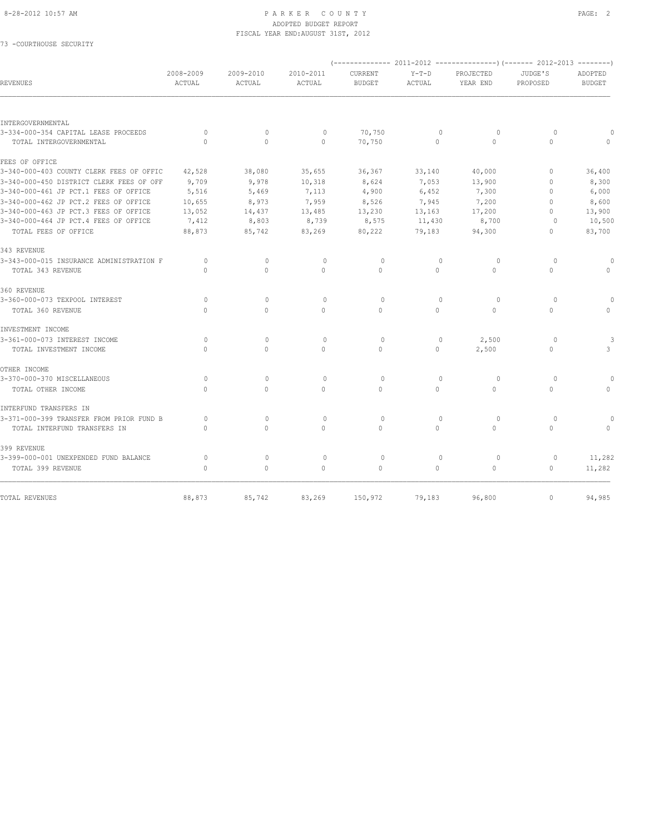73 -COURTHOUSE SECURITY

| <b>REVENUES</b>                          | 2008-2009<br>ACTUAL              | 2009-2010<br>ACTUAL | 2010-2011<br><b>ACTUAL</b> | CURRENT<br><b>BUDGET</b> | $Y-T-D$<br>ACTUAL                | PROJECTED<br>YEAR END | JUDGE'S<br>PROPOSED | ADOPTED<br><b>BUDGET</b> |
|------------------------------------------|----------------------------------|---------------------|----------------------------|--------------------------|----------------------------------|-----------------------|---------------------|--------------------------|
|                                          |                                  |                     |                            |                          |                                  |                       |                     |                          |
| INTERGOVERNMENTAL                        |                                  |                     |                            |                          |                                  |                       |                     |                          |
| 3-334-000-354 CAPITAL LEASE PROCEEDS     | $\circ$                          | $\circ$             | $\mathbf{0}$               | 70,750                   | $\mathbf{0}$                     | $\circ$               | $\circ$             |                          |
| TOTAL INTERGOVERNMENTAL                  | $\Omega$                         | $\circ$             | $\mathbf{0}$               | 70,750                   | $\circ$                          | $\Omega$              | $\circ$             |                          |
| FEES OF OFFICE                           |                                  |                     |                            |                          |                                  |                       |                     |                          |
| 3-340-000-403 COUNTY CLERK FEES OF OFFIC | 42,528                           | 38,080              | 35,655                     | 36,367                   | 33,140                           | 40,000                | 0                   | 36,400                   |
| 3-340-000-450 DISTRICT CLERK FEES OF OFF | 9,709                            | 9,978               | 10,318                     | 8,624                    | 7,053                            | 13,900                | $\Omega$            | 8,300                    |
| 3-340-000-461 JP PCT.1 FEES OF OFFICE    | 5,516                            | 5,469               | 7,113                      | 4,900                    | 6,452                            | 7,300                 | $\Omega$            | 6,000                    |
| 3-340-000-462 JP PCT.2 FEES OF OFFICE    | 10,655                           | 8,973               | 7,959                      | 8,526                    | 7,945                            | 7,200                 | $\Omega$            | 8,600                    |
| 3-340-000-463 JP PCT.3 FEES OF OFFICE    | 13,052                           | 14,437              | 13,485                     | 13,230                   | 13,163                           | 17,200                | $\Omega$            | 13,900                   |
| 3-340-000-464 JP PCT.4 FEES OF OFFICE    | 7,412                            | 8,803               | 8,739                      | 8,575                    | 11,430                           | 8,700                 | $\circ$             | 10,500                   |
| TOTAL FEES OF OFFICE                     | 88,873                           | 85,742              | 83,269                     | 80,222                   | 79,183                           | 94,300                | 0                   | 83,700                   |
| 343 REVENUE                              |                                  |                     |                            |                          |                                  |                       |                     |                          |
| 3-343-000-015 INSURANCE ADMINISTRATION F | $\circ$                          | $\mathbf{0}$        | $\mathbf{0}$               | $\circ$                  | $\mathbf{0}$                     | $\circ$               | $\circ$             | $\Omega$                 |
| TOTAL 343 REVENUE                        | $\begin{array}{c} \n\end{array}$ | $\Omega$            | $\Omega$                   | $\Omega$                 | $\circ$                          | $\Omega$              | $\mathbf{0}$        | 0                        |
| 360 REVENUE                              |                                  |                     |                            |                          |                                  |                       |                     |                          |
| 3-360-000-073 TEXPOOL INTEREST           | $\Omega$                         | $\mathbf{0}$        | $\mathbf{0}$               | $\circ$                  | $\begin{array}{c} \n\end{array}$ | $\Omega$              | $\Omega$            | 0                        |
| TOTAL 360 REVENUE                        | $\Omega$                         | $\circ$             | $\mathbf{0}$               | $\Omega$                 | $\circ$                          | $\mathbf{0}$          | $\mathbf 0$         |                          |
| INVESTMENT INCOME                        |                                  |                     |                            |                          |                                  |                       |                     |                          |
| 3-361-000-073 INTEREST INCOME            | $\circ$                          | $\mathbf{0}$        | $\circ$                    | $\circ$                  | $\mathbf{0}$                     | 2,500                 | $\circ$             |                          |
| TOTAL INVESTMENT INCOME                  | $\bigcap$                        | $\Omega$            | $\cap$                     | $\cap$                   | $\Omega$                         | 2,500                 | $\Omega$            | 3                        |
| OTHER INCOME                             |                                  |                     |                            |                          |                                  |                       |                     |                          |
| 3-370-000-370 MISCELLANEOUS              | $\Omega$                         | $\Omega$            | $\Omega$                   | $\Omega$                 | $\Omega$                         | $\Omega$              | $\Omega$            | $\Omega$                 |
| TOTAL OTHER INCOME                       | $\bigcap$                        | $\Omega$            | $\Omega$                   | $\Omega$                 | $\Omega$                         | $\Omega$              | $\mathbf 0$         | $\Omega$                 |
| INTERFUND TRANSFERS IN                   |                                  |                     |                            |                          |                                  |                       |                     |                          |
| 3-371-000-399 TRANSFER FROM PRIOR FUND B | 0                                | $\mathbf{0}$        | $\mathbf{0}$               | $\circ$                  | $\mathbf{0}$                     | $\circ$               | $\circ$             |                          |
| TOTAL INTERFUND TRANSFERS IN             | $\Omega$                         | 0                   | $\mathbf{0}$               | $\Omega$                 | $\circ$                          | $\circ$               | $\mathbf 0$         |                          |
| 399 REVENUE                              |                                  |                     |                            |                          |                                  |                       |                     |                          |
| 3-399-000-001 UNEXPENDED FUND BALANCE    | $\circ$                          | $\mathbb O$         | $\circ$                    | $\circ$                  | $\mathbf{0}$                     | $\circ$               | $\mathbf 0$         | 11,282                   |
| TOTAL 399 REVENUE                        | $\Omega$                         | $\circ$             | $\Omega$                   | $\mathbf{0}$             | $\circ$                          | $\circ$               | 0                   | 11,282                   |
| TOTAL REVENUES                           | 88,873                           | 85,742              | 83,269                     | 150,972                  | 79,183                           | 96,800                | $\circ$             | 94,985                   |
|                                          |                                  |                     |                            |                          |                                  |                       |                     |                          |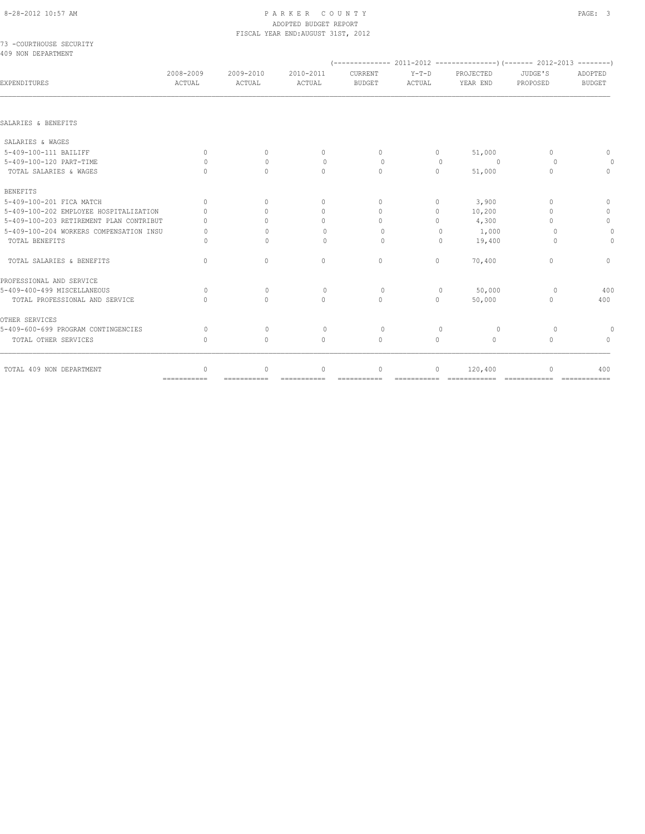PROFESSIONAL AND SERVICE

OTHER SERVICES

# ADOPTED BUDGET REPORT

TOTAL SALARIES & BENEFITS 0 0 0 0 0 70,400 0 0

5-409-400-499 MISCELLANEOUS 0 0 0 0 0 50,000 0 400

5-409-600-699 PROGRAM CONTINGENCIES 0 0 0 0 0 0 0 0 TOTAL OTHER SERVICES 0 0 0 0 0 0 0 0

 TOTAL 409 NON DEPARTMENT 0 0 0 0 0 120,400 0 400 =========== =========== =========== =========== =========== ============ ============ ============

|                                               |                                  |                     | FISCAL YEAR END: AUGUST 31ST, 2012 |                          |                   |                       |                     |                                  |
|-----------------------------------------------|----------------------------------|---------------------|------------------------------------|--------------------------|-------------------|-----------------------|---------------------|----------------------------------|
| 73 -COURTHOUSE SECURITY<br>409 NON DEPARTMENT |                                  |                     |                                    |                          |                   |                       |                     |                                  |
| EXPENDITURES                                  | 2008-2009<br>ACTUAL              | 2009-2010<br>ACTUAL | 2010-2011<br>ACTUAL                | CURRENT<br><b>BUDGET</b> | $Y-T-D$<br>ACTUAL | PROJECTED<br>YEAR END | JUDGE'S<br>PROPOSED | ADOPTED<br><b>BUDGET</b>         |
| SALARIES & BENEFITS                           |                                  |                     |                                    |                          |                   |                       |                     |                                  |
| SALARIES & WAGES                              |                                  |                     |                                    |                          |                   |                       |                     |                                  |
| 5-409-100-111 BAILIFF                         | $\begin{array}{c} \n\end{array}$ | $\Omega$            |                                    |                          | $\circ$           | 51,000                |                     | $\Omega$                         |
| 5-409-100-120 PART-TIME                       |                                  | $\Omega$            | $\circ$                            | 0                        | 0                 | $\Omega$              | $\circ$             | 0                                |
| TOTAL SALARIES & WAGES                        | $\Omega$                         | $\Omega$            |                                    | $\Omega$                 | $\circ$           | 51,000                | $\circ$             |                                  |
| BENEFITS                                      |                                  |                     |                                    |                          |                   |                       |                     |                                  |
| 5-409-100-201 FICA MATCH                      | $\begin{array}{c} \n\end{array}$ | $\Omega$            |                                    |                          | $\circ$           | 3,900                 |                     |                                  |
| 5-409-100-202 EMPLOYEE HOSPITALIZATION        |                                  |                     |                                    |                          | 0                 | 10,200                |                     | $\bigcap$                        |
| 5-409-100-203 RETIREMENT PLAN CONTRIBUT       | $\Omega$                         |                     |                                    |                          | $\Omega$          | 4,300                 |                     | $\begin{array}{c} \n\end{array}$ |
| 5-409-100-204 WORKERS COMPENSATION INSU       |                                  |                     | 0                                  |                          |                   | 1,000                 | $\cap$              |                                  |
| TOTAL BENEFITS                                |                                  |                     |                                    |                          |                   | 19,400                |                     | 0                                |

TOTAL PROFESSIONAL AND SERVICE 0 0 0 0 0 50,000 0 400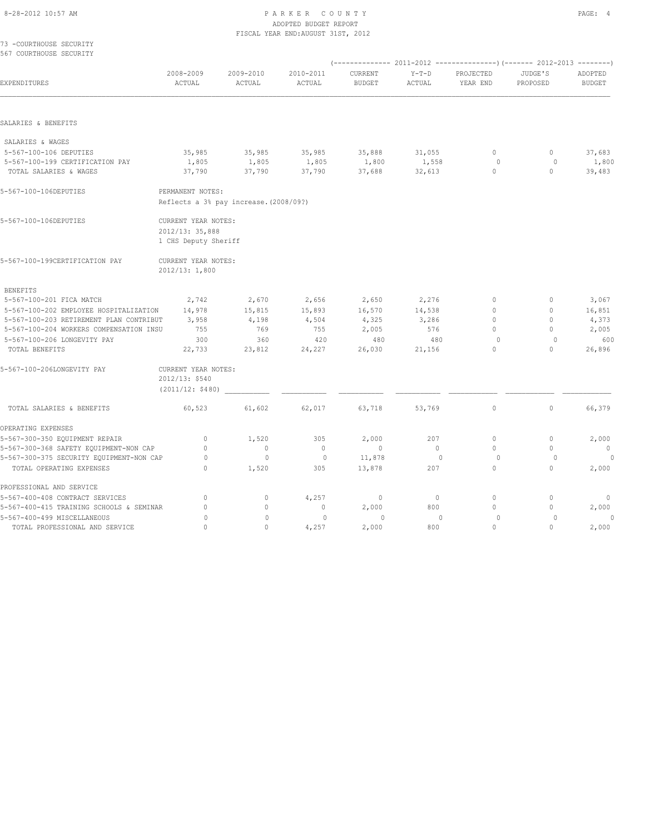### 8-28-2012 10:57 AM PAGE: 4 PARKER COUNTY ADOPTED BUDGET REPORT

| 73 -COURTHOUSE SECURITY                  |                                        |                     | FISCAL YEAR END: AUGUST 31ST, 2012 |                          |                   |                       |                     |                          |
|------------------------------------------|----------------------------------------|---------------------|------------------------------------|--------------------------|-------------------|-----------------------|---------------------|--------------------------|
| 567 COURTHOUSE SECURITY                  |                                        |                     |                                    |                          |                   |                       |                     |                          |
|                                          |                                        |                     |                                    |                          |                   |                       |                     |                          |
| EXPENDITURES                             | 2008-2009<br>ACTUAL                    | 2009-2010<br>ACTUAL | 2010-2011<br>ACTUAL                | CURRENT<br><b>BUDGET</b> | $Y-T-D$<br>ACTUAL | PROJECTED<br>YEAR END | JUDGE'S<br>PROPOSED | ADOPTED<br><b>BUDGET</b> |
|                                          |                                        |                     |                                    |                          |                   |                       |                     |                          |
| SALARIES & BENEFITS                      |                                        |                     |                                    |                          |                   |                       |                     |                          |
| SALARIES & WAGES                         |                                        |                     |                                    |                          |                   |                       |                     |                          |
| 5-567-100-106 DEPUTIES                   | 35,985                                 | 35,985              | 35,985                             | 35,888                   | 31,055            | $\circ$               | 0                   | 37,683                   |
| 5-567-100-199 CERTIFICATION PAY          | 1,805                                  | 1,805               | 1,805                              | 1,800                    | 1,558             | 0                     | 0                   | 1,800                    |
| TOTAL SALARIES & WAGES                   | 37,790                                 | 37,790              | 37,790                             | 37,688                   | 32,613            | $\circ$               | $\circ$             | 39,483                   |
| 5-567-100-106DEPUTIES                    | PERMANENT NOTES:                       |                     |                                    |                          |                   |                       |                     |                          |
|                                          | Reflects a 3% pay increase. (2008/09?) |                     |                                    |                          |                   |                       |                     |                          |
| 5-567-100-106DEPUTIES                    | CURRENT YEAR NOTES:                    |                     |                                    |                          |                   |                       |                     |                          |
|                                          | 2012/13: 35,888                        |                     |                                    |                          |                   |                       |                     |                          |
|                                          | 1 CHS Deputy Sheriff                   |                     |                                    |                          |                   |                       |                     |                          |
| 5-567-100-199CERTIFICATION PAY           | CURRENT YEAR NOTES:                    |                     |                                    |                          |                   |                       |                     |                          |
|                                          | 2012/13: 1,800                         |                     |                                    |                          |                   |                       |                     |                          |
| <b>BENEFITS</b>                          |                                        |                     |                                    |                          |                   |                       |                     |                          |
| 5-567-100-201 FICA MATCH                 | 2,742                                  | 2,670               | 2,656                              | 2,650                    | 2,276             | $\mathbf{0}$          | $\mathbf{0}$        | 3,067                    |
| 5-567-100-202 EMPLOYEE HOSPITALIZATION   | 14,978                                 | 15,815              | 15,893                             | 16,570                   | 14,538            | $\Omega$              | $\mathbf{0}$        | 16,851                   |
| 5-567-100-203 RETIREMENT PLAN CONTRIBUT  | 3,958                                  | 4,198               | 4,504                              | 4,325                    | 3,286             | $\mathbf{0}$          | $\mathbf{0}$        | 4,373                    |
| 5-567-100-204 WORKERS COMPENSATION INSU  | 755                                    | 769                 | 755                                | 2,005                    | 576               | $\Omega$              | $\mathbf{0}$        | 2,005                    |
| 5-567-100-206 LONGEVITY PAY              | 300                                    | 360                 | 420                                | 480                      | 480               | $\circ$               | $\circ$             | 600                      |
| TOTAL BENEFITS                           | 22,733                                 | 23,812              | 24,227                             | 26,030                   | 21,156            | $\circ$               | $\mathbf{0}$        | 26,896                   |
| 5-567-100-206LONGEVITY PAY               | CURRENT YEAR NOTES:                    |                     |                                    |                          |                   |                       |                     |                          |
|                                          | 2012/13: \$540                         |                     |                                    |                          |                   |                       |                     |                          |
|                                          | (2011/12: \$480)                       |                     |                                    |                          |                   |                       |                     |                          |
| TOTAL SALARIES & BENEFITS                | 60,523                                 | 61,602              | 62,017                             | 63,718                   | 53,769            | $\mathbb O$           | $\circ$             | 66,379                   |
| OPERATING EXPENSES                       |                                        |                     |                                    |                          |                   |                       |                     |                          |
| 5-567-300-350 EQUIPMENT REPAIR           | $\circ$                                | 1,520               | 305                                | 2,000                    | 207               | $\mathbf{0}$          | $\mathbf{0}$        | 2,000                    |
| 5-567-300-368 SAFETY EQUIPMENT-NON CAP   | $\Omega$                               | $\mathbf{0}$        | $\mathbf{0}$                       | $\mathbf{0}$             | $\circ$           | $\Omega$              | $\Omega$            | $\mathbf{0}$             |
| 5-567-300-375 SECURITY EQUIPMENT-NON CAP | $\circ$                                | $\mathbf 0$         | $\circ$                            | 11,878                   | 0                 | $\circ$               | $\circ$             |                          |
| TOTAL OPERATING EXPENSES                 | $\mathbf{0}$                           | 1,520               | 305                                | 13,878                   | 207               | $\circ$               | $\circ$             | 2,000                    |
| PROFESSIONAL AND SERVICE                 |                                        |                     |                                    |                          |                   |                       |                     |                          |
| 5-567-400-408 CONTRACT SERVICES          | $\mathbf{0}$                           | $\mathbf{0}$        | 4,257                              | $\mathbf 0$              | $\circ$           | $\mathbf{0}$          | $\mathbf{0}$        | 0                        |

5-567-400-415 TRAINING SCHOOLS & SEMINAR 0 0 0 2,000 800 0 0 2,000 5-567-400-499 MISCELLANEOUS 0 0 0 0 0 0 0 0 TOTAL PROFESSIONAL AND SERVICE 0 0 4,257 2,000 800 0 0 2,000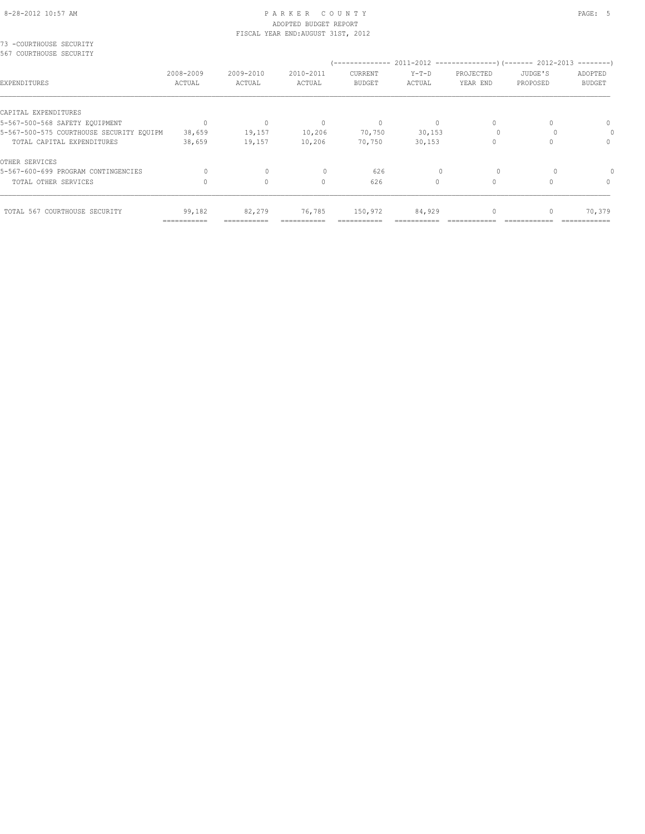## 8-28-2012 10:57 AM PAGE: 5 PARKER COUNTY ADOPTED BUDGET REPORT

|                                                    |             |           | FISCAL YEAR END: AUGUST 31ST, 2012 |               |          |           |          |               |
|----------------------------------------------------|-------------|-----------|------------------------------------|---------------|----------|-----------|----------|---------------|
| 73 -COURTHOUSE SECURITY<br>567 COURTHOUSE SECURITY |             |           |                                    |               |          |           |          |               |
|                                                    |             |           |                                    |               |          |           |          |               |
|                                                    | 2008-2009   | 2009-2010 | 2010-2011                          | CURRENT       | $Y-T-D$  | PROJECTED | JUDGE'S  | ADOPTED       |
| EXPENDITURES                                       | ACTUAL      | ACTUAL    | ACTUAL                             | <b>BUDGET</b> | ACTUAL   | YEAR END  | PROPOSED | <b>BUDGET</b> |
| CAPITAL EXPENDITURES                               |             |           |                                    |               |          |           |          |               |
|                                                    | $\sim$ 0    |           | $\circ$                            |               | $\Omega$ |           |          |               |
| 5-567-500-568 SAFETY EQUIPMENT                     |             | $\circ$   |                                    | $\circ$       |          | $\circ$   |          | $\mathbf{0}$  |
| 5-567-500-575 COURTHOUSE SECURITY EQUIPM           | 38,659      | 19,157    | 10,206                             | 70,750        | 30, 153  |           |          | 0             |
| TOTAL CAPITAL EXPENDITURES                         | 38,659      | 19,157    | 10,206                             | 70,750        | 30,153   |           |          | $\Omega$      |
| OTHER SERVICES                                     |             |           |                                    |               |          |           |          |               |
| 5-567-600-699 PROGRAM CONTINGENCIES                |             | $\Omega$  |                                    | 626           |          | $\Omega$  |          |               |
| TOTAL OTHER SERVICES                               |             | $\cap$    | $\bigcap$                          | 626           | $\Omega$ | $\Omega$  |          | $\Omega$      |
| TOTAL 567 COURTHOUSE SECURITY                      | 99,182      | 82,279    | 76,785                             | 150,972       | 84,929   | 0         |          | 70,379        |
|                                                    | =========== |           |                                    |               |          |           |          |               |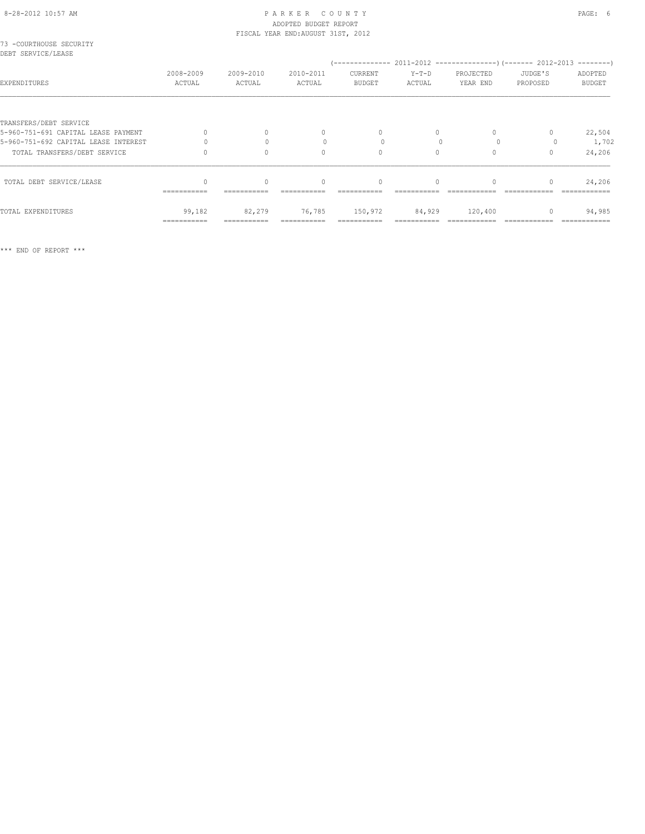## 8-28-2012 10:57 AM PAGE: 6 ADOPTED BUDGET REPORT

|                                                               |                       |                     | FISCAL YEAR END: AUGUST 31ST, 2012 |                          |                   |                                  |                                  |                          |
|---------------------------------------------------------------|-----------------------|---------------------|------------------------------------|--------------------------|-------------------|----------------------------------|----------------------------------|--------------------------|
| 73 -COURTHOUSE SECURITY<br>DEBT SERVICE/LEASE                 |                       |                     |                                    |                          |                   |                                  |                                  |                          |
| EXPENDITURES                                                  | 2008-2009<br>ACTUAL   | 2009-2010<br>ACTUAL | 2010-2011<br>ACTUAL                | CURRENT<br><b>BUDGET</b> | $Y-T-D$<br>ACTUAL | PROJECTED<br>YEAR END            | JUDGE'S<br>PROPOSED              | ADOPTED<br><b>BUDGET</b> |
|                                                               |                       |                     |                                    |                          |                   |                                  |                                  |                          |
| TRANSFERS/DEBT SERVICE<br>5-960-751-691 CAPITAL LEASE PAYMENT |                       | $\Omega$            | $\mathbf{0}$                       | $\mathbf{0}$             | 0                 |                                  |                                  | 22,504                   |
| 5-960-751-692 CAPITAL LEASE INTEREST                          |                       |                     |                                    | $\bigcap$                |                   | $\Omega$                         |                                  | 1,702                    |
| TOTAL TRANSFERS/DEBT SERVICE                                  |                       | $\Omega$            | $\Omega$                           | $\circ$                  | $\circ$           | $\Omega$                         | $\Omega$                         | 24,206                   |
| TOTAL DEBT SERVICE/LEASE                                      |                       | $\bigcap$           | $\Omega$                           | $\Omega$                 | $\bigcap$         | $\begin{array}{c} \n\end{array}$ | $\begin{array}{c} \n\end{array}$ | 24,206                   |
| TOTAL EXPENDITURES                                            | 99,182<br>=========== | 82,279              | 76,785                             | 150,972                  | 84,929            | 120,400                          | $\mathbf{0}$                     | 94,985                   |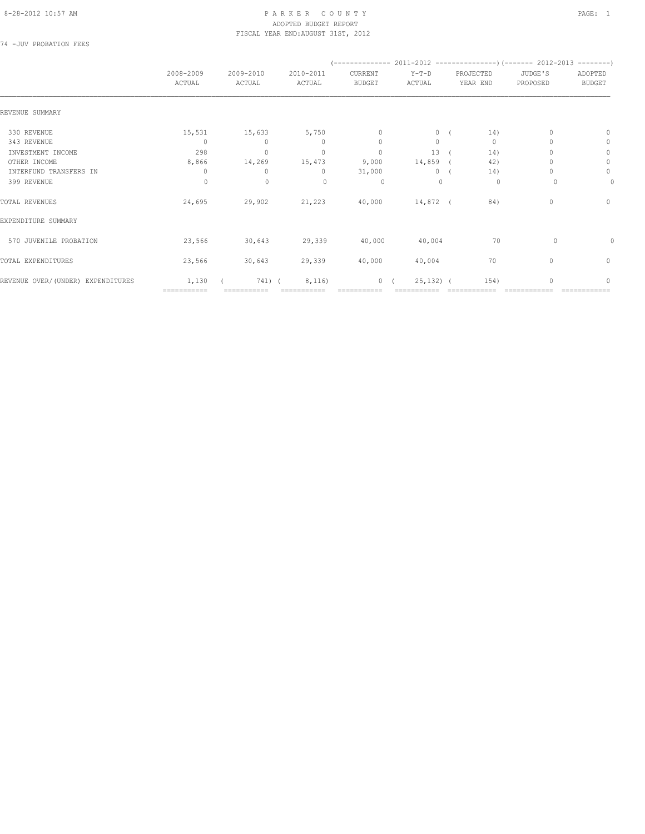74 -JUV PROBATION FEES

|                                   | 2008-2009            | 2009-2010                        | 2010-2011    | CURRENT        | $Y-T-D$      | PROJECTED    | JUDGE'S                          | ADOPTED       |
|-----------------------------------|----------------------|----------------------------------|--------------|----------------|--------------|--------------|----------------------------------|---------------|
|                                   | ACTUAL               | ACTUAL                           | ACTUAL       | <b>BUDGET</b>  | ACTUAL       | YEAR END     | PROPOSED                         | <b>BUDGET</b> |
| REVENUE SUMMARY                   |                      |                                  |              |                |              |              |                                  |               |
| 330 REVENUE                       | 15,531               | 15,633                           | 5,750        | $\mathbf{0}$   | $\circ$      | 14)          |                                  | 0             |
| 343 REVENUE                       | $\Omega$             | $\begin{array}{c} \n\end{array}$ | $\Omega$     | $\mathbf{0}$   | $\Omega$     | $\mathbf{0}$ |                                  | $\mathbf{0}$  |
| INVESTMENT INCOME                 | 298                  | $\mathbf{0}$                     | $\mathbf{0}$ | $\mathbf{0}$   | 13           | 14)          |                                  | $\circ$       |
| OTHER INCOME                      | 8,866                | 14,269                           | 15,473       | 9,000          | $14,859$ (   | 42)          |                                  | $\circ$       |
| INTERFUND TRANSFERS IN            | $\mathbf{0}$         | $\Omega$                         | $\circ$      | 31,000         | $0-1$        | 14)          |                                  | 0             |
| 399 REVENUE                       | $\circ$              | $\mathbf 0$                      | $\mathbf{0}$ | 0              | $\mathbf{0}$ | 0            | 0                                | 0             |
| TOTAL REVENUES                    | 24,695               | 29,902                           | 21,223       | 40,000         | 14,872 (     | 84)          | $\mathbf{0}$                     | $\mathbf{0}$  |
| EXPENDITURE SUMMARY               |                      |                                  |              |                |              |              |                                  |               |
| 570 JUVENILE PROBATION            | 23,566               | 30,643                           | 29,339       | 40,000         | 40,004       | 70           | $\Omega$                         | 0             |
| TOTAL EXPENDITURES                | 23,566               | 30,643                           | 29,339       | 40,000         | 40,004       | 70           | $\begin{array}{c} \n\end{array}$ | $\mathbf{0}$  |
| REVENUE OVER/(UNDER) EXPENDITURES | 1,130<br>=========== | 741) (                           | 8,116)       | $\overline{0}$ | $25, 132)$ ( | 154)         |                                  | $\Omega$      |
|                                   |                      |                                  |              |                |              |              |                                  |               |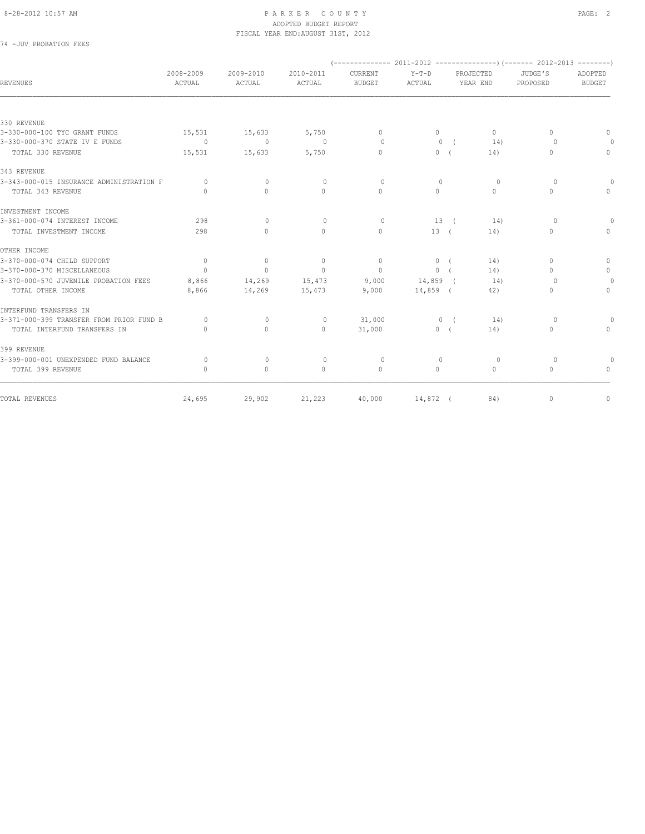### 74 -JUV PROBATION FEES

| REVENUES                                 | 2008-2009<br>ACTUAL              | 2009-2010<br>ACTUAL              | 2010-2011<br>ACTUAL | CURRENT<br><b>BUDGET</b> | $Y-T-D$<br>ACTUAL | PROJECTED<br>YEAR END | JUDGE'S<br>PROPOSED              | ADOPTED<br><b>BUDGET</b>         |
|------------------------------------------|----------------------------------|----------------------------------|---------------------|--------------------------|-------------------|-----------------------|----------------------------------|----------------------------------|
|                                          |                                  |                                  |                     |                          |                   |                       |                                  |                                  |
| 330 REVENUE                              |                                  |                                  |                     |                          |                   |                       |                                  |                                  |
| 3-330-000-100 TYC GRANT FUNDS            | 15,531                           | 15,633                           | 5,750               | $\Omega$                 | $\circ$           | $\Omega$              | $\Omega$                         | $\begin{array}{c} \n\end{array}$ |
| 3-330-000-370 STATE IV E FUNDS           | $\circ$                          | $\circ$                          | $\sim$ 0            | $\Omega$                 | $\mathbf{0}$      | 14)<br>$\sqrt{2}$     | $\Omega$                         |                                  |
| TOTAL 330 REVENUE                        | 15,531                           | 15,633                           | 5,750               | $\Omega$                 | 0(                | 14)                   | $\begin{array}{c} \n\end{array}$ | $\circ$                          |
| 343 REVENUE                              |                                  |                                  |                     |                          |                   |                       |                                  |                                  |
| 3-343-000-015 INSURANCE ADMINISTRATION F | $\Omega$                         | $\circ$                          | $\circ$             | $\Omega$                 | $\Omega$          | $\circ$               | $\Omega$                         |                                  |
| TOTAL 343 REVENUE                        | $\begin{array}{c} \n\end{array}$ | $\Omega$                         | $\Omega$            | $\Omega$                 | $\Omega$          | $\Omega$              | $\mathbf{0}$                     | $\cap$                           |
| INVESTMENT INCOME                        |                                  |                                  |                     |                          |                   |                       |                                  |                                  |
| 3-361-000-074 INTEREST INCOME            | 298                              | $\Omega$                         | $\circ$             | $\circ$                  | 13(               | 14)                   | $\circ$                          | 0                                |
| TOTAL INVESTMENT INCOME                  | 298                              | $\Omega$                         | $\Omega$            | $\Omega$                 | 13(               | 14)                   | 0                                | $\Omega$                         |
| OTHER INCOME                             |                                  |                                  |                     |                          |                   |                       |                                  |                                  |
| 3-370-000-074 CHILD SUPPORT              | $\Omega$                         | $\circ$                          | $\circ$             | $\Omega$                 | 0 <sub>0</sub>    | 14)                   | $\Omega$                         | $\mathbf{0}$                     |
| 3-370-000-370 MISCELLANEOUS              | $\overline{0}$                   | $\mathbf{0}$                     | $\Omega$            | $\circ$                  | 0(                | 14)                   | $\Omega$                         | $\circ$                          |
| 3-370-000-570 JUVENILE PROBATION FEES    | 8,866                            | 14,269                           | 15,473              | 9,000                    | 14,859 (          | 14)                   | 0                                | $\circ$                          |
| TOTAL OTHER INCOME                       | 8,866                            | 14,269                           | 15,473              | 9,000                    | $14,859$ (        | 42)                   | $\circ$                          | $\Omega$                         |
| INTERFUND TRANSFERS IN                   |                                  |                                  |                     |                          |                   |                       |                                  |                                  |
| 3-371-000-399 TRANSFER FROM PRIOR FUND B | $\Omega$                         | $\mathbf{0}$                     | $\circ$             | 31,000                   | $0$ (             | 14)                   | $\circ$                          | 0                                |
| TOTAL INTERFUND TRANSFERS IN             | $\bigcap$                        | $\begin{array}{c} \n\end{array}$ | $\circ$             | 31,000                   | 0(                | 14)                   | $\mathbf{0}$                     | $\Omega$                         |
| 399 REVENUE                              |                                  |                                  |                     |                          |                   |                       |                                  |                                  |
| 3-399-000-001 UNEXPENDED FUND BALANCE    | $\circ$                          | $\mathbf{0}$                     | $\circ$             | $\circ$                  | $\mathbf{0}$      | $\circ$               | $\circ$                          |                                  |
| TOTAL 399 REVENUE                        | $\Omega$                         | $\circ$                          | $\Omega$            | $\mathbf{0}$             | $\Omega$          | $\circ$               | $\circ$                          | $\begin{array}{c} \n\end{array}$ |
| TOTAL REVENUES                           | 24,695                           | 29,902                           | 21,223              | 40,000                   | 14,872 (          | 84)                   | $\mathbf 0$                      | $\circ$                          |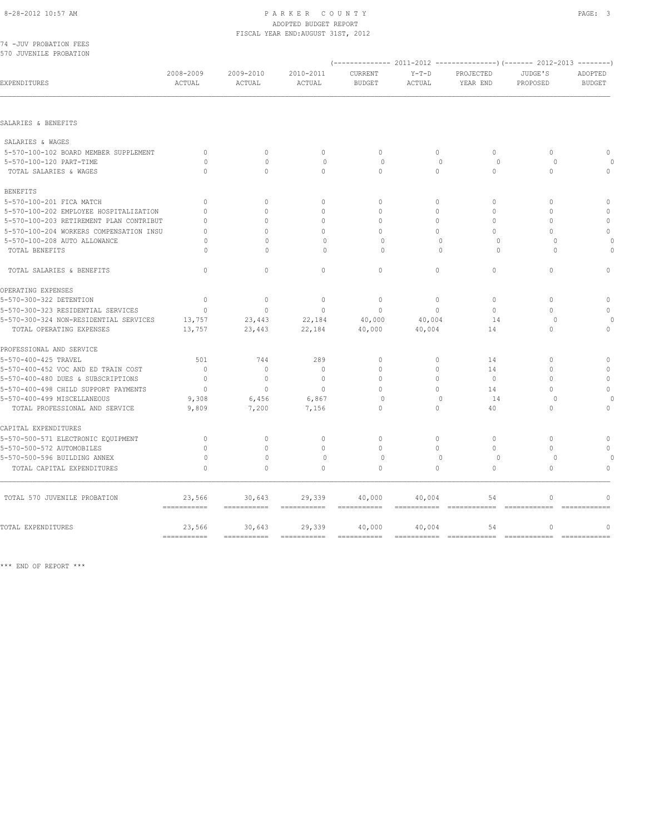### ADOPTED BUDGET REPORT FISCAL YEAR END:AUGUST 31ST, 2012

| 74 -JUV PROBATION FEES<br>570 JUVENILE PROBATION |              |                                  |                                  |                           |              |               |               |               |
|--------------------------------------------------|--------------|----------------------------------|----------------------------------|---------------------------|--------------|---------------|---------------|---------------|
|                                                  |              |                                  |                                  |                           |              |               |               |               |
|                                                  | 2008-2009    | 2009-2010                        | 2010-2011                        | CURRENT                   | $Y-T-D$      | PROJECTED     | JUDGE'S       | ADOPTED       |
| EXPENDITURES                                     | ACTUAL       | ACTUAL                           | ACTUAL                           | <b>BUDGET</b>             | ACTUAL       | YEAR END      | PROPOSED      | <b>BUDGET</b> |
| SALARIES & BENEFITS                              |              |                                  |                                  |                           |              |               |               |               |
|                                                  |              |                                  |                                  |                           |              |               |               |               |
| SALARIES & WAGES                                 |              |                                  |                                  |                           |              |               |               |               |
| 5-570-100-102 BOARD MEMBER SUPPLEMENT            | $\Omega$     | $\Omega$                         | $\circ$                          | $\Omega$                  | 0            | $\Omega$      | $\Omega$      | $\Omega$      |
| 5-570-100-120 PART-TIME                          | $\Omega$     | $\Omega$                         | $\circ$                          | $\Omega$                  | $\Omega$     | $\Omega$      | $\Omega$      |               |
| TOTAL SALARIES & WAGES                           | $\Omega$     | $\mathbf{0}$                     | 0                                | $\circ$                   | $\circ$      | $\circ$       | $\mathbf{0}$  | $\Omega$      |
| <b>BENEFITS</b>                                  |              |                                  |                                  |                           |              |               |               |               |
| 5-570-100-201 FICA MATCH                         | $\mathbf{0}$ | $\mathbf{0}$                     | $\circ$                          | $\circ$                   | $\circ$      | $\circ$       | $\mathbf{0}$  | $\mathbb O$   |
| 5-570-100-202 EMPLOYEE HOSPITALIZATION           | $\Omega$     | $\Omega$                         | $\Omega$                         | $\Omega$                  | $\Omega$     | $\Omega$      | $\Omega$      | $\mathbf{0}$  |
| 5-570-100-203 RETIREMENT PLAN CONTRIBUT          | $\Omega$     | $\Omega$                         | $\Omega$                         | $\Omega$                  | $\Omega$     | $\mathbf{0}$  | $\mathbf{0}$  | $\mathbf{0}$  |
| 5-570-100-204 WORKERS COMPENSATION INSU          | $\Omega$     | $\cap$                           | $\begin{array}{c} \n\end{array}$ | $\Omega$                  | $\bigcap$    | $\Omega$      | $\Omega$      | $\mathbf{0}$  |
| 5-570-100-208 AUTO ALLOWANCE                     | $\Omega$     | $\begin{array}{c} \n\end{array}$ | $\begin{array}{c} \n\end{array}$ | $\Omega$                  | $\Omega$     | $\Omega$      | $\Omega$      |               |
| TOTAL BENEFITS                                   | $\Omega$     | $\Omega$                         | $\mathbf{0}$                     | $\circ$                   | $\Omega$     | $\circ$       | $\Omega$      |               |
| TOTAL SALARIES & BENEFITS                        | $\mathbf{0}$ | $\mathbf{0}$                     | $\Omega$                         | $\mathbf{0}$              | $\circ$      | $\mathbf{0}$  | $\mathbf{0}$  | $\Omega$      |
| OPERATING EXPENSES                               |              |                                  |                                  |                           |              |               |               |               |
| 5-570-300-322 DETENTION                          | $\mathbf 0$  | $\circ$                          | $\mathbb O$                      | $\mathbf 0$               | $\circ$      | $\mathbf{0}$  | $\mathbf{0}$  | $\mathbf{0}$  |
| 5-570-300-323 RESIDENTIAL SERVICES               | $\mathbf{0}$ | $\Omega$                         | $\Omega$                         | $\mathbf{0}$              | $\Omega$     | $\Omega$      | $\Omega$      | $\Omega$      |
| 5-570-300-324 NON-RESIDENTIAL SERVICES           | 13,757       | 23,443                           | 22,184                           | 40,000                    | 40,004       | 14            | $\circ$       |               |
| TOTAL OPERATING EXPENSES                         | 13,757       | 23,443                           | 22,184                           | 40,000                    | 40,004       | 14            | $\mathbf{0}$  | $\mathbf{0}$  |
| PROFESSIONAL AND SERVICE                         |              |                                  |                                  |                           |              |               |               |               |
| 5-570-400-425 TRAVEL                             | 501          | 744                              | 289                              | $\mathbf{0}$              | $\circ$      | 14            | $\Omega$      | $\mathbf{0}$  |
| 5-570-400-452 VOC AND ED TRAIN COST              | $\mathbf{0}$ | $\mathbf{0}$                     | $\mathbf{0}$                     | 0                         | 0            | 14            | $\mathbf{0}$  | $\Omega$      |
| 5-570-400-480 DUES & SUBSCRIPTIONS               | $\mathbf{0}$ | $\mathbf{0}$                     | $\mathbf{0}$                     | $\mathbf{0}$              | $\circ$      | $\mathbf{0}$  | $\Omega$      | $\mathbf{0}$  |
| 5-570-400-498 CHILD SUPPORT PAYMENTS             | $\Omega$     | $\Omega$                         | $\Omega$                         | $\Omega$                  | $\Omega$     | 14            | $\Omega$      | $\Omega$      |
| 5-570-400-499 MISCELLANEOUS                      | 9,308        | 6,456                            | 6,867                            | $\Omega$                  | $\mathbf{0}$ | 14            | $\Omega$      | $\cap$        |
| TOTAL PROFESSIONAL AND SERVICE                   | 9,809        | 7,200                            | 7,156                            | $\circ$                   | $\circ$      | 40            | $\Omega$      | $\mathbf{0}$  |
| CAPITAL EXPENDITURES                             |              |                                  |                                  |                           |              |               |               |               |
| 5-570-500-571 ELECTRONIC EQUIPMENT               | $\mathbf{0}$ | $\mathbf{0}$                     | $\mathbf{0}$                     | $\mathbf{0}$              | $\circ$      | $\mathbf{0}$  | $\mathbf{0}$  | $\mathbf{0}$  |
| 5-570-500-572 AUTOMOBILES                        | $\mathbf{0}$ | $\mathbf{0}$                     | $\mathbf{0}$                     | $\mathbf{0}$              | $\circ$      | $\circ$       | $\mathbf{0}$  | $\Omega$      |
| 5-570-500-596 BUILDING ANNEX                     | $\circ$      | $\circ$                          | $\mathbb O$                      | $\mathbb O$               | $\mathbf{0}$ | $\circ$       | $\circ$       |               |
| TOTAL CAPITAL EXPENDITURES                       | $\mathbf{0}$ | $\mathbf{0}$                     | $\mathbf{0}$                     | $\mathbf{0}$              | $\circ$      | $\circ$       | $\mathbf{0}$  | $\Omega$      |
| TOTAL 570 JUVENILE PROBATION                     | 23,566       | 30,643                           | 29,339                           | 40,000                    | 40,004       | 54            | $\mathbf{0}$  | $\mathbf{0}$  |
|                                                  |              |                                  | $=$ = = = = = = = = = = =        | $=$ = = = = = = = = = = = |              | ============= | ------------- | ------------- |
| TOTAL EXPENDITURES                               | 23,566       | 30,643                           | 29,339                           | 40,000                    | 40,004       | 54            | $\mathbf{0}$  | $\mathbf{0}$  |

=========== =========== =========== =========== =========== ============ ============ ============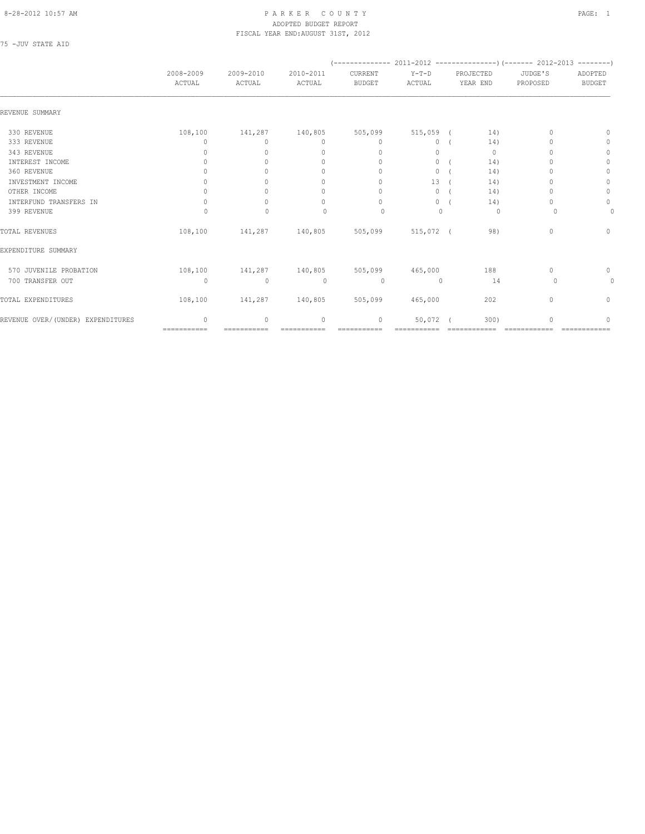### 8-28-2012 10:57 AM P A R K E R C O U N T Y PAGE: 1 ADOPTED BUDGET REPORT FISCAL YEAR END:AUGUST 31ST, 2012

75 -JUV STATE AID

|                                   | 2008-2009<br>ACTUAL | 2009-2010<br>ACTUAL             | 2010-2011<br>ACTUAL              | CURRENT<br><b>BUDGET</b>         | $Y-T-D$<br>ACTUAL | PROJECTED<br>YEAR END | JUDGE'S<br>PROPOSED | ADOPTED<br><b>BUDGET</b> |
|-----------------------------------|---------------------|---------------------------------|----------------------------------|----------------------------------|-------------------|-----------------------|---------------------|--------------------------|
|                                   |                     |                                 |                                  |                                  |                   |                       |                     |                          |
| REVENUE SUMMARY                   |                     |                                 |                                  |                                  |                   |                       |                     |                          |
| 330 REVENUE                       | 108,100             | 141,287                         | 140,805                          | 505,099                          | $515,059$ (       | 14)                   |                     | $\Omega$                 |
| 333 REVENUE                       | 0                   | $\circ$                         | $\mathbf{0}$                     | $\mathbf{0}$                     | $\circ$           | 14)                   |                     | 0                        |
| 343 REVENUE                       | 0                   | $\Omega$                        | $\mathbf{0}$                     | $\mathbf{0}$                     | $\circ$           | $\mathbf{0}$          |                     | 0                        |
| INTEREST INCOME                   | 0                   |                                 | $\mathbf{0}$                     | 0                                | $\circ$           | 14)                   |                     | $\mathbf{0}$             |
| 360 REVENUE                       | 0                   |                                 | 0                                | $\Omega$                         | $\circ$           | 14)                   |                     | 0                        |
| INVESTMENT INCOME                 | $\Omega$            | $\cup$                          | $\begin{array}{c} \n\end{array}$ | $\begin{array}{c} \n\end{array}$ | 13                | 14)                   |                     | 0                        |
| OTHER INCOME                      | 0                   | $\bigcap$                       | $\mathbf{0}$                     | $\mathbf{0}$                     | 0                 | 14)                   |                     | $\mathbf{0}$             |
| INTERFUND TRANSFERS IN            | $\Omega$            | $\bigcap$                       | 0                                | $\Omega$                         | $\Omega$          | 14)                   | $\cap$              | $\circ$                  |
| 399 REVENUE                       | $\Omega$            | $\mathbf{0}$                    | $\begin{array}{c} \n\end{array}$ | $\Omega$                         | $\Omega$          | 0                     | $\Omega$            | 0                        |
| TOTAL REVENUES                    | 108,100             |                                 | 141,287 140,805 505,099          |                                  | 515,072 (         | 98)                   | $\mathbf{0}$        | $\mathbf{0}$             |
| EXPENDITURE SUMMARY               |                     |                                 |                                  |                                  |                   |                       |                     |                          |
| 570 JUVENILE PROBATION            |                     | 108,100 141,287 140,805 505,099 |                                  |                                  | 465,000           | 188                   | $\mathbf{0}$        | 0                        |
| 700 TRANSFER OUT                  | $\circ$             | $\circ$                         | $\mathbf{0}$                     | $\circ$                          | $\mathbf{0}$      | 14                    | $\Omega$            | 0                        |
| TOTAL EXPENDITURES                | 108,100             | 141,287 140,805 505,099         |                                  |                                  | 465,000           | 202                   | $\mathbf{0}$        | $\mathbf{0}$             |
| REVENUE OVER/(UNDER) EXPENDITURES | $\Omega$            | $\Omega$                        | $\mathbf{0}$                     | 0                                | 50,072            | 300)                  |                     | 0                        |
|                                   | ===========         |                                 | ===========                      |                                  |                   |                       |                     |                          |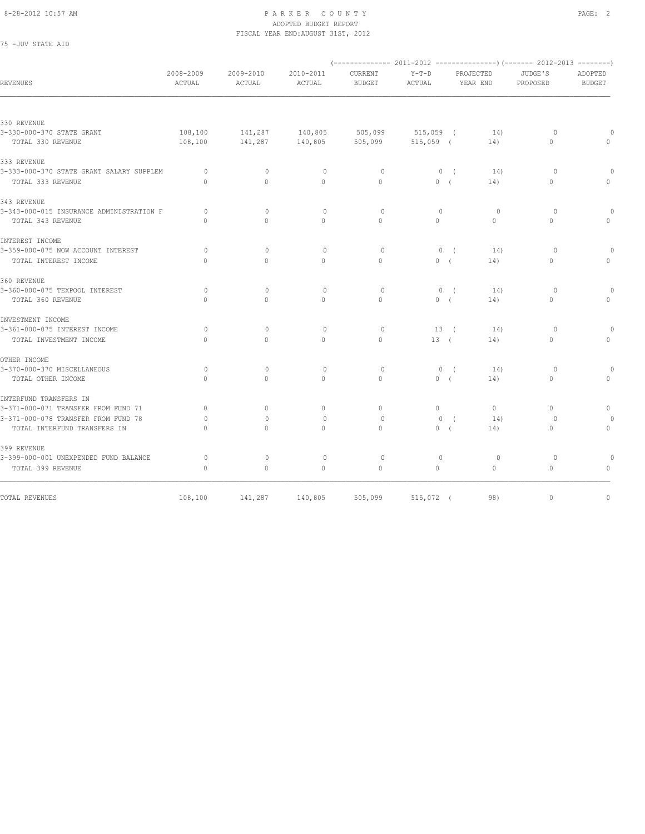| 75 - JUV STATE AID                       |                     |                                  |                     |                          |                   |                       |          |                         |                                  |
|------------------------------------------|---------------------|----------------------------------|---------------------|--------------------------|-------------------|-----------------------|----------|-------------------------|----------------------------------|
| REVENUES                                 | 2008-2009<br>ACTUAL | 2009-2010<br>ACTUAL              | 2010-2011<br>ACTUAL | CURRENT<br><b>BUDGET</b> | $Y-T-D$<br>ACTUAL | PROJECTED<br>YEAR END |          | JUDGE'S<br>PROPOSED     | ADOPTED<br><b>BUDGET</b>         |
|                                          |                     |                                  |                     |                          |                   |                       |          |                         |                                  |
| 330 REVENUE                              |                     |                                  |                     |                          |                   |                       |          |                         |                                  |
| 3-330-000-370 STATE GRANT                | 108,100             | 141,287                          | 140,805             | 505,099                  | $515,059$ (       |                       | 14)      | $\circ$<br>$\mathbf{0}$ |                                  |
| TOTAL 330 REVENUE                        | 108,100             | 141,287                          | 140,805             | 505,099                  | $515,059$ (       |                       | 14)      |                         | $\mathbf{0}$                     |
| 333 REVENUE                              |                     |                                  |                     |                          |                   |                       |          |                         |                                  |
| 3-333-000-370 STATE GRANT SALARY SUPPLEM | $\circ$             | $\mathbf{0}$                     | $\circ$             | $\circ$                  |                   | 0(                    | 14)      | $\circ$                 | $\circ$                          |
| TOTAL 333 REVENUE                        | $\bigcap$           | $\Omega$                         | $\Omega$            | $\Omega$                 | 0(                |                       | 14)      | $\Omega$                | $\Omega$                         |
| 343 REVENUE                              |                     |                                  |                     |                          |                   |                       |          |                         |                                  |
| 3-343-000-015 INSURANCE ADMINISTRATION F | $\Omega$            | $\Omega$                         | $\Omega$            | $\circ$                  | $\Omega$          |                       | $\Omega$ | $\circ$                 | $\Omega$                         |
| TOTAL 343 REVENUE                        | $\Omega$            | $\Omega$                         | $\Omega$            | $\Omega$                 | $\Omega$          |                       | $\Omega$ | $\Omega$                | $\mathbf{0}$                     |
| INTEREST INCOME                          |                     |                                  |                     |                          |                   |                       |          |                         |                                  |
| 3-359-000-075 NOW ACCOUNT INTEREST       | $\circ$             | $\mathbf{0}$                     | $\mathbf{0}$        | $\circ$                  |                   | 0(                    | 14)      | $\circ$                 |                                  |
| TOTAL INTEREST INCOME                    | $\mathbf{0}$        | $\mathbf{0}$                     | $\circ$             | $\circ$                  | 0(                |                       | 14)      | $\mathbf{0}$            | $\mathbf{0}$                     |
| 360 REVENUE                              |                     |                                  |                     |                          |                   |                       |          |                         |                                  |
| 3-360-000-075 TEXPOOL INTEREST           | $\circ$             | $\mathbf{0}$                     | $\mathbf{0}$        | $\circ$                  | $\circ$           | $\sqrt{ }$            | 14)      | $\circ$                 | $\circ$                          |
| TOTAL 360 REVENUE                        | $\Omega$            | $\Omega$                         | $\Omega$            | $\Omega$                 | 0(                |                       | 14)      | $\Omega$                | $\begin{array}{c} \n\end{array}$ |
| INVESTMENT INCOME                        |                     |                                  |                     |                          |                   |                       |          |                         |                                  |
| 3-361-000-075 INTEREST INCOME            | $\Omega$            | $\Omega$                         | $\mathbf{0}$        | $\Omega$                 | 13(               |                       | 14)      | $\circ$                 | $\Omega$                         |
| TOTAL INVESTMENT INCOME                  | $\Omega$            | $\Omega$                         | $\Omega$            | $\Omega$                 | 13(               |                       | 14)      | $\Omega$                | $\mathbf{0}$                     |
| OTHER INCOME                             |                     |                                  |                     |                          |                   |                       |          |                         |                                  |
| 3-370-000-370 MISCELLANEOUS              | $\circ$             | $\mathbf{0}$                     | $\circ$             | $\circ$                  |                   | 0(                    | 14)      | $\circ$                 | $\circ$                          |
| TOTAL OTHER INCOME                       | $\mathbf{0}$        | $\mathbf{0}$                     | $\circ$             | $\circ$                  | 0(                |                       | 14)      | $\mathbf{0}$            | $\mathbf{0}$                     |
| INTERFUND TRANSFERS IN                   |                     |                                  |                     |                          |                   |                       |          |                         |                                  |
| 3-371-000-071 TRANSFER FROM FUND 71      | $\mathbf{0}$        | $\circ$                          | $\circ$             | $\mathbf{0}$             | $\circ$           |                       | $\circ$  | $\circ$                 | $\mathbf{0}$                     |
| 3-371-000-078 TRANSFER FROM FUND 78      | $\circ$             | $\begin{array}{c} \n\end{array}$ | $\mathbf{0}$        | $\circ$                  | $\mathbf{0}$      | $\sqrt{ }$            | 14)      | $\circ$                 |                                  |
| TOTAL INTERFUND TRANSFERS IN             | $\Omega$            | $\Omega$                         | $\Omega$            | $\Omega$                 | 0(                |                       | 14)      | $\circ$                 | $\mathbf{0}$                     |
| 399 REVENUE                              |                     |                                  |                     |                          |                   |                       |          |                         |                                  |
| 3-399-000-001 UNEXPENDED FUND BALANCE    | $\circ$             | $\mathbf{0}$                     | $\mathbb O$         | $\circ$                  | $\mathbf{0}$      |                       | $\circ$  | $\circ$                 | $\mathbf{0}$                     |
| TOTAL 399 REVENUE                        | $\mathbf{0}$        | $\mathbb O$                      | $\circ$             | $\circ$                  | $\circ$           |                       | $\circ$  | $\circ$                 | $\circ$                          |
| TOTAL REVENUES                           | 108,100             | 141,287                          | 140,805             | 505,099                  | $515,072$ (       |                       | 98)      | $\mathbf 0$             | $\circ$                          |
|                                          |                     |                                  |                     |                          |                   |                       |          |                         |                                  |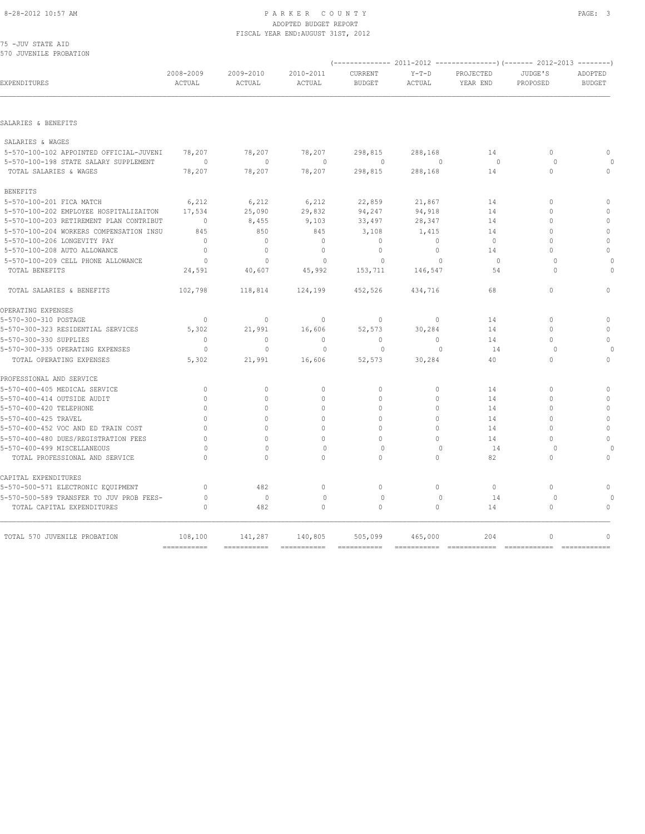|  | 75 -JUV STATE AID |                        |  |
|--|-------------------|------------------------|--|
|  |                   | 570 JUVENILE PROBATION |  |

| EXPENDITURES                             | 2008-2009<br>ACTUAL       | 2009-2010<br>ACTUAL | 2010-2011<br>ACTUAL | CURRENT<br><b>BUDGET</b> | $Y-T-D$<br>ACTUAL | PROJECTED<br>YEAR END | JUDGE'S<br>PROPOSED | ADOPTED<br><b>BUDGET</b> |  |
|------------------------------------------|---------------------------|---------------------|---------------------|--------------------------|-------------------|-----------------------|---------------------|--------------------------|--|
|                                          |                           |                     |                     |                          |                   |                       |                     |                          |  |
| SALARIES & BENEFITS                      |                           |                     |                     |                          |                   |                       |                     |                          |  |
| SALARIES & WAGES                         |                           |                     |                     |                          |                   |                       |                     |                          |  |
| 5-570-100-102 APPOINTED OFFICIAL-JUVENI  | 78,207                    | 78,207              | 78,207              | 298,815                  | 288,168           | 14                    | $\circ$             | $\mathbf{0}$             |  |
| 5-570-100-198 STATE SALARY SUPPLEMENT    | $\Omega$                  | $\Omega$            | $\mathbf{0}$        | $\circ$                  | $\Omega$          | $\Omega$              | $\Omega$            | $\Omega$                 |  |
| TOTAL SALARIES & WAGES                   | 78,207                    | 78,207              | 78,207              | 298,815                  | 288,168           | 14                    | $\mathbf{0}$        | $\mathbf{0}$             |  |
| <b>BENEFITS</b>                          |                           |                     |                     |                          |                   |                       |                     |                          |  |
| 5-570-100-201 FICA MATCH                 | 6,212                     | 6,212               | 6,212               | 22,859                   | 21,867            | 14                    | $\mathbf{0}$        | $\mathbf{0}$             |  |
| 5-570-100-202 EMPLOYEE HOSPITALIZAITON   | 17,534                    | 25,090              | 29,832              | 94,247                   | 94,918            | 14                    | $\Omega$            | $\mathbf{0}$             |  |
| 5-570-100-203 RETIREMENT PLAN CONTRIBUT  | $\mathbf{0}$              | 8,455               | 9,103               | 33,497                   | 28,347            | 14                    | $\Omega$            | $\mathbf{0}$             |  |
| 5-570-100-204 WORKERS COMPENSATION INSU  | 845                       | 850                 | 845                 | 3,108                    | 1,415             | 14                    | $\Omega$            | $\mathbf{0}$             |  |
| 5-570-100-206 LONGEVITY PAY              | $\Omega$                  | $\mathbf{0}$        | $\mathbf{0}$        | $\mathbf{0}$             | $\Omega$          | $\Omega$              | $\Omega$            | $\mathbf{0}$             |  |
| 5-570-100-208 AUTO ALLOWANCE             | $\circ$                   | $\mathbf{0}$        | $\mathbf{0}$        | $\mathbf 0$              | $\circ$           | 14                    | $\Omega$            | $\mathbf{0}$             |  |
| 5-570-100-209 CELL PHONE ALLOWANCE       | $\Omega$                  | $\Omega$            | $\Omega$            | $\Omega$                 | $\Omega$          | $\Omega$              | $\Omega$            | $\Omega$                 |  |
| TOTAL BENEFITS                           | 24,591                    | 40,607              | 45,992              | 153,711                  | 146,547           | 54                    | $\Omega$            | $\Omega$                 |  |
| TOTAL SALARIES & BENEFITS                | 102,798                   | 118,814             | 124,199             | 452,526                  | 434,716           | 68                    | $\Omega$            | $\Omega$                 |  |
| OPERATING EXPENSES                       |                           |                     |                     |                          |                   |                       |                     |                          |  |
| 5-570-300-310 POSTAGE                    | $\Omega$                  | $\circ$             | $\mathbf{0}$        | $\Omega$                 | $\Omega$          | 14                    | $\Omega$            | $\mathbf{0}$             |  |
| 5-570-300-323 RESIDENTIAL SERVICES       | 5,302                     | 21,991              | 16,606              | 52,573                   | 30,284            | 14                    | $\Omega$            | $\Omega$                 |  |
| 5-570-300-330 SUPPLIES                   | $\Omega$                  | $\Omega$            | $\mathbf{0}$        | $\Omega$                 | $\Omega$          | 14                    | $\Omega$            | $\Omega$                 |  |
| 5-570-300-335 OPERATING EXPENSES         | $\Omega$                  | $\Omega$            | $\Omega$            | $\Omega$                 | $\Omega$          | 14                    | $\Omega$            | $\Omega$                 |  |
| TOTAL OPERATING EXPENSES                 | 5,302                     | 21,991              | 16,606              | 52,573                   | 30,284            | 40                    | $\cap$              | $\Omega$                 |  |
| PROFESSIONAL AND SERVICE                 |                           |                     |                     |                          |                   |                       |                     |                          |  |
| 5-570-400-405 MEDICAL SERVICE            | $\Omega$                  | $\circ$             | $\mathbf 0$         | $\Omega$                 | $\Omega$          | 14                    | $\Omega$            | $\Omega$                 |  |
| 5-570-400-414 OUTSIDE AUDIT              | $\bigcap$                 | $\Omega$            | $\Omega$            | $\Omega$                 | $\Omega$          | 14                    | $\cap$              | $\Omega$                 |  |
| 5-570-400-420 TELEPHONE                  | $\Omega$                  | $\Omega$            | $\Omega$            | $\Omega$                 | $\Omega$          | 14                    | $\Omega$            | $\mathbb O$              |  |
| 5-570-400-425 TRAVEL                     | $\cap$                    | $\circ$             | $\mathbf{0}$        | $\mathbf 0$              | $\cap$            | 14                    | $\cap$              | $\mathbf{0}$             |  |
| 5-570-400-452 VOC AND ED TRAIN COST      | $\mathbf 0$               | $\circ$             | $\mathbf{0}$        | $\mathbf 0$              | $\Omega$          | 14                    | $\Omega$            | $\mathbb O$              |  |
| 5-570-400-480 DUES/REGISTRATION FEES     | $\Omega$                  | $\Omega$            | $\Omega$            | $\Omega$                 | $\Omega$          | 14                    | $\Omega$            | $\mathbf{0}$             |  |
| 5-570-400-499 MISCELLANEOUS              | $\Omega$                  | $\mathbf{0}$        | $\mathbf{0}$        | $\Omega$                 | $\Omega$          | 14                    | $\Omega$            | $\circ$                  |  |
| TOTAL PROFESSIONAL AND SERVICE           | $\cap$                    | $\circ$             | $\Omega$            | $\mathbf{0}$             | $\Omega$          | 82                    | $\Omega$            | $\mathbf{0}$             |  |
| CAPITAL EXPENDITURES                     |                           |                     |                     |                          |                   |                       |                     |                          |  |
| 5-570-500-571 ELECTRONIC EQUIPMENT       | $\circ$                   | 482                 | $\circ$             | $\mathbf{0}$             | $\circ$           | $\circ$               | $\circ$             | $\mathbf{0}$             |  |
| 5-570-500-589 TRANSFER TO JUV PROB FEES- | $\mathbf{0}$              | $\circ$             | $\mathbf{0}$        | $\mathbf{0}$             | $\mathbf{0}$      | 14                    | $\circ$             | $\circ$                  |  |
| TOTAL CAPITAL EXPENDITURES               | $\circ$                   | 482                 | $\circ$             | $\mathbf{0}$             | $\circ$           | 14                    | $\circ$             | $\mathbf{0}$             |  |
| TOTAL 570 JUVENILE PROBATION             | 108,100                   | 141,287             | 140,805             |                          | 465,000           | 204                   | $\mathbf{0}$        | $\mathbf{0}$             |  |
|                                          | $=$ = = = = = = = = = = = |                     |                     | 505,099                  |                   |                       |                     |                          |  |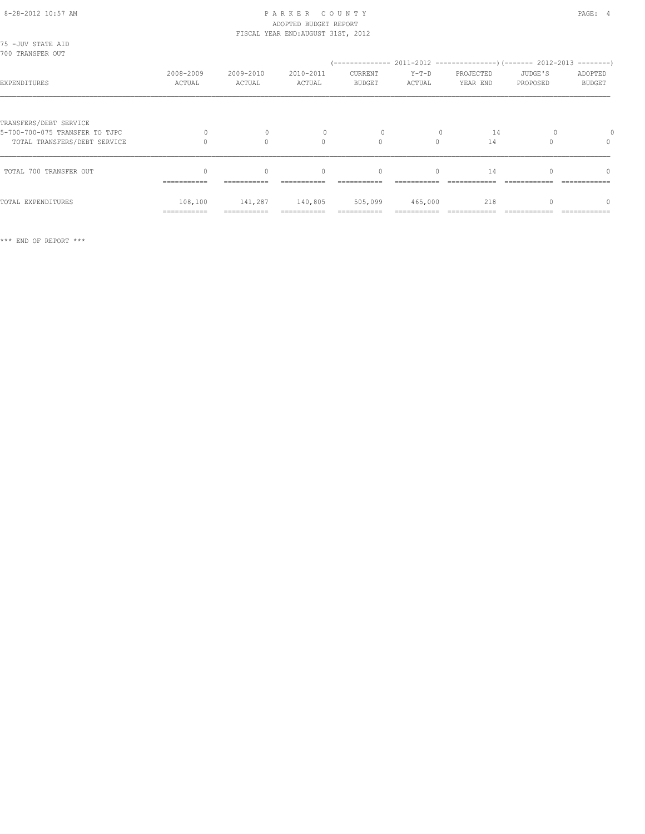| 75 - JUV STATE AID<br>700 TRANSFER OUT                         |                        |                        |                                                 |                                  |                   |                       |                     |                                                  |
|----------------------------------------------------------------|------------------------|------------------------|-------------------------------------------------|----------------------------------|-------------------|-----------------------|---------------------|--------------------------------------------------|
| EXPENDITURES                                                   | 2008-2009<br>ACTUAL    | 2009-2010<br>ACTUAL    | 2010-2011<br>ACTUAL                             | CURRENT<br><b>BUDGET</b>         | $Y-T-D$<br>ACTUAL | PROJECTED<br>YEAR END | JUDGE'S<br>PROPOSED | ADOPTED<br><b>BUDGET</b>                         |
| TRANSFERS/DEBT SERVICE                                         |                        |                        |                                                 |                                  |                   |                       |                     |                                                  |
| 5-700-700-075 TRANSFER TO TJPC<br>TOTAL TRANSFERS/DEBT SERVICE |                        | $\Omega$               | $\Omega$                                        | $\Omega$                         | $\Omega$          | 14<br>14              |                     | $\begin{array}{c} \n\end{array}$                 |
| TOTAL 700 TRANSFER OUT                                         | $\cap$<br>===========  | $\cap$<br>===========  | $\begin{array}{c} \n\end{array}$<br>=========== | $\begin{array}{c} \n\end{array}$ | $\Omega$          | 14                    |                     | $\begin{array}{c} \n\end{array}$<br>============ |
| TOTAL EXPENDITURES                                             | 108,100<br>=========== | 141,287<br>=========== | 140,805                                         | 505,099                          | 465,000           | 218                   |                     | $\Omega$                                         |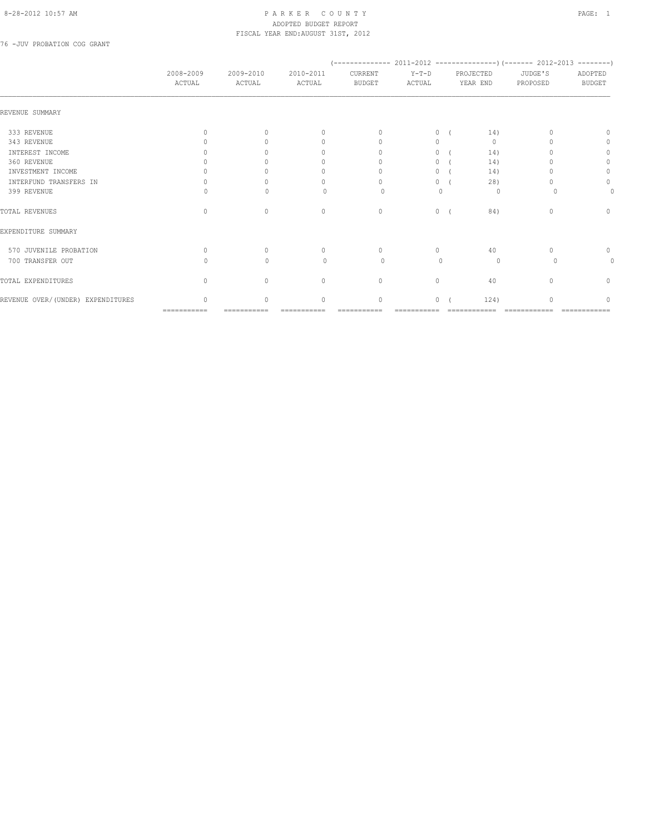76 -JUV PROBATION COG GRANT

|                                    | 2008-2009<br>ACTUAL              | 2009-2010<br>ACTUAL              | 2010-2011<br>ACTUAL | CURRENT<br><b>BUDGET</b> | $Y-T-D$<br>ACTUAL |    | PROJECTED<br>YEAR END | JUDGE'S<br>PROPOSED | ADOPTED<br><b>BUDGET</b> |
|------------------------------------|----------------------------------|----------------------------------|---------------------|--------------------------|-------------------|----|-----------------------|---------------------|--------------------------|
| REVENUE SUMMARY                    |                                  |                                  |                     |                          |                   |    |                       |                     |                          |
| 333 REVENUE                        | <sup>0</sup>                     | $\cup$                           |                     | $\cup$                   | $\Omega$          |    | 14)                   |                     |                          |
| 343 REVENUE                        |                                  |                                  |                     | $\cup$                   | $\Omega$          |    | $\mathbf{0}$          |                     | 0                        |
| INTEREST INCOME                    |                                  |                                  |                     | $\cup$                   | $\Omega$          |    | 14)                   |                     | 0                        |
| 360 REVENUE                        |                                  |                                  |                     |                          |                   | 0( | 14)                   |                     | 0                        |
| INVESTMENT INCOME                  |                                  |                                  |                     | 0                        |                   | 0( | 14)                   |                     | $\mathbf{0}$             |
| INTERFUND TRANSFERS IN             |                                  |                                  |                     | $\cap$                   |                   | 0( | 28)                   |                     | 0                        |
| 399 REVENUE                        |                                  |                                  | $\Omega$            | ∩                        | $\mathbf{0}$      |    | 0                     |                     | 0                        |
| TOTAL REVENUES                     | $\Omega$                         | $\begin{array}{c} \n\end{array}$ | $\Omega$            | $\mathbf{0}$             |                   | 0( | 84)                   | 0                   | $\mathbf{0}$             |
| EXPENDITURE SUMMARY                |                                  |                                  |                     |                          |                   |    |                       |                     |                          |
| 570 JUVENILE PROBATION             | $\cap$                           | $\bigcap$                        | $\cap$              | $\Omega$                 | $\Omega$          |    | 40                    |                     | 0                        |
| 700 TRANSFER OUT                   |                                  | $\cup$                           | $\Omega$            | $\Omega$                 | $\Omega$          |    | $\circ$               |                     | 0                        |
| TOTAL EXPENDITURES                 | $\begin{array}{c} \n\end{array}$ | $\Omega$                         | $\Omega$            | $\mathbf{0}$             | $\Omega$          |    | 40                    |                     | 0                        |
| REVENUE OVER/ (UNDER) EXPENDITURES | $\cap$                           | $\Omega$                         | $\bigcap$           | 0                        | $\Omega$          |    | 124)                  | $\cap$              | n                        |
|                                    | ===========                      | ===========                      |                     |                          |                   |    |                       |                     |                          |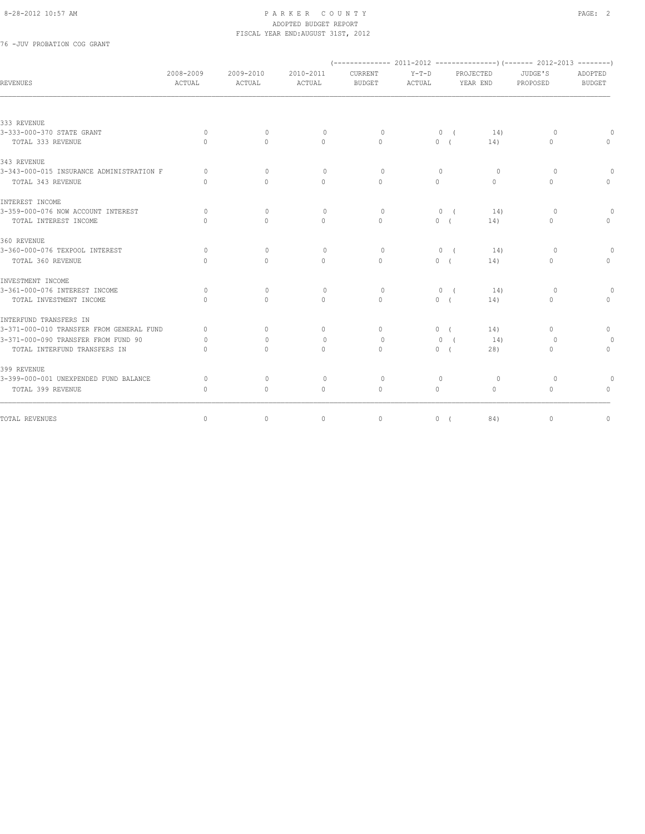76 -JUV PROBATION COG GRANT

| <b>REVENUES</b>                          | 2008-2009<br>ACTUAL | 2009-2010<br>ACTUAL | 2010-2011<br>ACTUAL              | CURRENT<br><b>BUDGET</b>         | $Y-T-D$<br>ACTUAL |            | PROJECTED<br>YEAR END | JUDGE'S<br>PROPOSED              | ADOPTED<br><b>BUDGET</b>         |
|------------------------------------------|---------------------|---------------------|----------------------------------|----------------------------------|-------------------|------------|-----------------------|----------------------------------|----------------------------------|
|                                          |                     |                     |                                  |                                  |                   |            |                       |                                  |                                  |
| 333 REVENUE                              |                     |                     |                                  |                                  |                   |            |                       |                                  |                                  |
| 3-333-000-370 STATE GRANT                | $\Omega$            | $\Omega$            | $\Omega$                         | $\Omega$                         |                   | 0(         | 14)                   | $\Omega$                         |                                  |
| TOTAL 333 REVENUE                        | $\bigcap$           | $\bigcap$           | $\cap$                           | $\cap$                           | 0(                |            | 14)                   | $\Omega$                         |                                  |
| 343 REVENUE                              |                     |                     |                                  |                                  |                   |            |                       |                                  |                                  |
| 3-343-000-015 INSURANCE ADMINISTRATION F | $\Omega$            | $\Omega$            | $\Omega$                         | $\Omega$                         | $\Omega$          |            | $\circ$               | $\circ$                          | 0                                |
| TOTAL 343 REVENUE                        | $\cap$              | $\bigcap$           | $\cap$                           | $\cap$                           | $\Omega$          |            | $\Omega$              | $\Omega$                         | $\Omega$                         |
| INTEREST INCOME                          |                     |                     |                                  |                                  |                   |            |                       |                                  |                                  |
| 3-359-000-076 NOW ACCOUNT INTEREST       | $\Omega$            | $\Omega$            | $\Omega$                         | $\Omega$                         | $\circ$           |            | 14)                   | $\circ$                          |                                  |
| TOTAL INTEREST INCOME                    | $\bigcap$           | $\bigcap$           | $\begin{array}{c} \n\end{array}$ | $\begin{array}{c} \n\end{array}$ | 0 <sub>0</sub>    |            | 14)                   | $\begin{array}{c} \n\end{array}$ | $\begin{array}{c} \n\end{array}$ |
| 360 REVENUE                              |                     |                     |                                  |                                  |                   |            |                       |                                  |                                  |
| 3-360-000-076 TEXPOOL INTEREST           | $\Omega$            | $\Omega$            | $\Omega$                         | $\Omega$                         |                   | $0 \left($ | 14)                   | $\Omega$                         |                                  |
| TOTAL 360 REVENUE                        | $\bigcap$           | $\Omega$            | $\begin{array}{c} \n\end{array}$ | $\Omega$                         | 0(                |            | 14)                   | $\begin{array}{c} \n\end{array}$ | $\begin{array}{c} \n\end{array}$ |
| INVESTMENT INCOME                        |                     |                     |                                  |                                  |                   |            |                       |                                  |                                  |
| 3-361-000-076 INTEREST INCOME            | $\Omega$            | $\Omega$            | $\Omega$                         | $\circ$                          |                   | $0 \left($ | 14)                   | $\Omega$                         |                                  |
| TOTAL INVESTMENT INCOME                  | $\bigcap$           | $\Omega$            | $\Omega$                         | $\Omega$                         | 0(                |            | 14)                   | $\Omega$                         | $\Omega$                         |
| INTERFUND TRANSFERS IN                   |                     |                     |                                  |                                  |                   |            |                       |                                  |                                  |
| 3-371-000-010 TRANSFER FROM GENERAL FUND | $\Omega$            | $\Omega$            | $\circ$                          | $\Omega$                         | 0(                |            | 14)                   | $\circ$                          | $\circ$                          |
| 3-371-000-090 TRANSFER FROM FUND 90      | $\Omega$            | $\Omega$            | $\mathbf{0}$                     | $\Omega$                         | $\Omega$          | $\sqrt{ }$ | 14)                   | $\Omega$                         | 0                                |
| TOTAL INTERFUND TRANSFERS IN             | $\bigcap$           | $\Omega$            | $\Omega$                         | $\Omega$                         | 0(                |            | 28)                   | $\mathbf{0}$                     | $\circ$                          |
| 399 REVENUE                              |                     |                     |                                  |                                  |                   |            |                       |                                  |                                  |
| 3-399-000-001 UNEXPENDED FUND BALANCE    | $\circ$             | $\mathbf{0}$        | $\circ$                          | $\circ$                          | $\mathbf{0}$      |            | $\circ$               | $\circ$                          |                                  |
| TOTAL 399 REVENUE                        | $\Omega$            | $\Omega$            | $\Omega$                         | $\Omega$                         | $\Omega$          |            | $\Omega$              | $\Omega$                         | $\begin{array}{c} \n\end{array}$ |
| TOTAL REVENUES                           | $\circ$             | $\circ$             | $\circ$                          | $\mathbf{0}$                     | $0-1$             |            | 84)                   | $\mathbf{0}$                     | $\mathbb O$                      |
|                                          |                     |                     |                                  |                                  |                   |            |                       |                                  |                                  |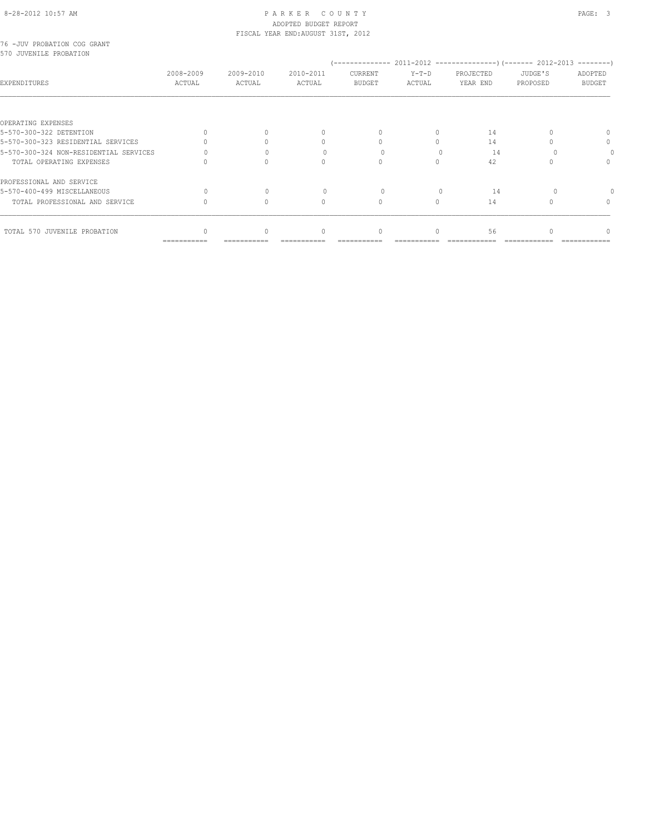### 8-28-2012 10:57 AM PAGE: 3 ADOPTED BUDGET REPORT

 $\begin{matrix} 0 & 0 & 0 & 0 \\ 0 & 0 & 0 & 0 \\ 0 & 0 & 0 & 0 \\ 0 & 0 & 0 & 0 \\ 0 & 0 & 0 & 0 \\ 0 & 0 & 0 & 0 \\ 0 & 0 & 0 & 0 \\ 0 & 0 & 0 & 0 \\ 0 & 0 & 0 & 0 \\ 0 & 0 & 0 & 0 \\ 0 & 0 & 0 & 0 \\ 0 & 0 & 0 & 0 \\ 0 & 0 & 0 & 0 \\ 0 & 0 & 0 & 0 \\ 0 & 0 & 0 & 0 \\ 0 & 0 & 0 & 0 \\ 0 & 0 & 0 & 0 \\ 0 & 0 & 0 & 0$ 

=========== =========== =========== =========== =========== ============ ============ ============

| 2008-2009<br>ACTUAL | 2009-2010<br>ACTUAL | 2010-2011<br>ACTUAL | CURRENT<br><b>BUDGET</b> | $Y-T-D$<br>ACTUAL                  | PROJECTED<br>YEAR END | JUDGE'S<br>PROPOSED | ADOPTED<br><b>BUDGET</b> |
|---------------------|---------------------|---------------------|--------------------------|------------------------------------|-----------------------|---------------------|--------------------------|
|                     |                     |                     |                          |                                    |                       |                     |                          |
|                     |                     |                     |                          |                                    | 14                    |                     | $\Omega$                 |
|                     |                     |                     |                          |                                    | 14                    |                     | 0                        |
|                     |                     |                     |                          |                                    | 14                    |                     |                          |
|                     |                     |                     |                          |                                    | 42                    |                     |                          |
|                     |                     |                     |                          |                                    |                       |                     |                          |
|                     |                     |                     |                          |                                    | 14                    |                     |                          |
|                     |                     |                     |                          |                                    | 14                    |                     | 0                        |
|                     |                     |                     |                          | FISCAL YEAR END: AUGUST 31ST, 2012 |                       |                     |                          |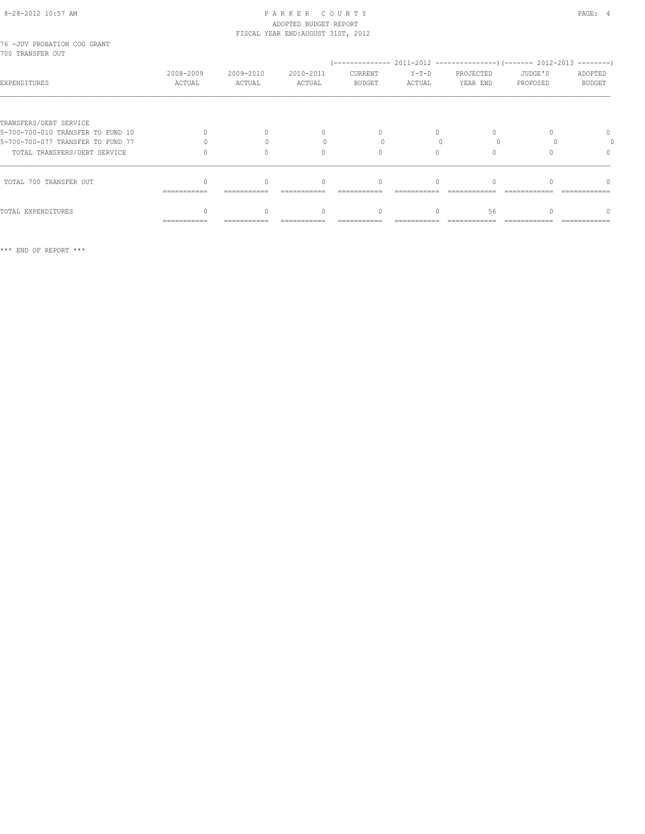# ADOPTED BUDGET REPORT

TOTAL EXPENDITURES 0 0 0 0 0 56 0 0 =========== =========== =========== =========== =========== ============ ============ ============

|                                                 |                     |                     | FISCAL YEAR END: AUGUST 31ST, 2012 |                          |                   |                       |                     |                          |
|-------------------------------------------------|---------------------|---------------------|------------------------------------|--------------------------|-------------------|-----------------------|---------------------|--------------------------|
| 76 -JUV PROBATION COG GRANT<br>700 TRANSFER OUT |                     |                     |                                    |                          |                   |                       |                     |                          |
|                                                 |                     |                     |                                    |                          |                   |                       |                     |                          |
| <b>EXPENDITURES</b>                             | 2008-2009<br>ACTUAL | 2009-2010<br>ACTUAL | 2010-2011<br>ACTUAL                | CURRENT<br><b>BUDGET</b> | $Y-T-D$<br>ACTUAL | PROJECTED<br>YEAR END | JUDGE'S<br>PROPOSED | ADOPTED<br><b>BUDGET</b> |
|                                                 |                     |                     |                                    |                          |                   |                       |                     |                          |
| TRANSFERS/DEBT SERVICE                          |                     |                     |                                    |                          |                   |                       |                     |                          |
| 5-700-700-010 TRANSFER TO FUND 10               |                     |                     |                                    |                          | 0                 |                       |                     | $\Omega$                 |
| 5-700-700-077 TRANSFER TO FUND 77               |                     |                     |                                    |                          |                   |                       |                     |                          |
| TOTAL TRANSFERS/DEBT SERVICE                    |                     |                     |                                    |                          | 0                 |                       |                     | $\Omega$                 |
| TOTAL 700 TRANSFER OUT                          |                     | 0                   |                                    | $\Omega$                 | 0                 |                       |                     | n                        |
|                                                 | ===========         |                     |                                    |                          |                   |                       |                     |                          |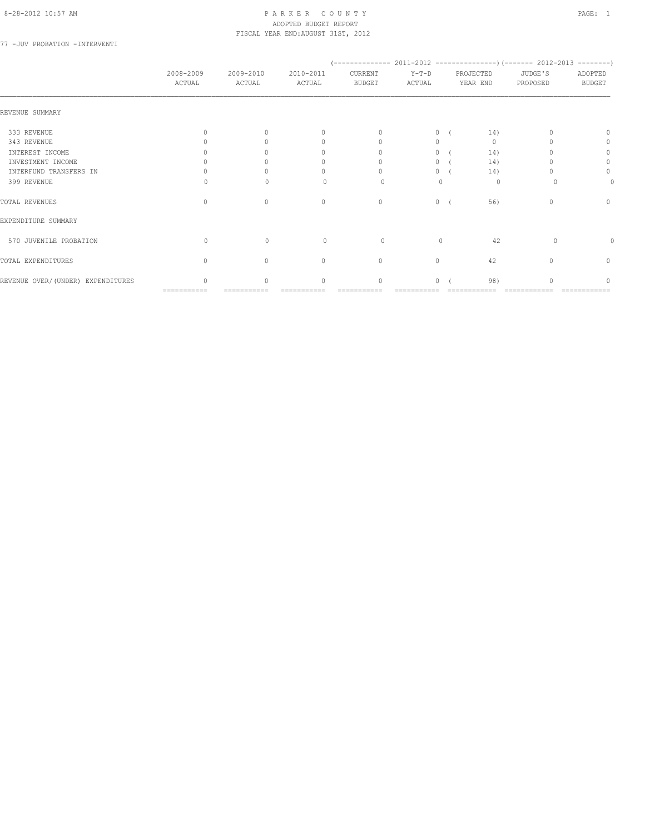77 -JUV PROBATION -INTERVENTI

|                                   | 2008-2009<br>ACTUAL | 2009-2010<br>ACTUAL | 2010-2011<br>ACTUAL              | CURRENT<br><b>BUDGET</b>         | $Y-T-D$<br>ACTUAL |            | PROJECTED<br>YEAR END | JUDGE'S<br>PROPOSED | ADOPTED<br><b>BUDGET</b> |
|-----------------------------------|---------------------|---------------------|----------------------------------|----------------------------------|-------------------|------------|-----------------------|---------------------|--------------------------|
| REVENUE SUMMARY                   |                     |                     |                                  |                                  |                   |            |                       |                     |                          |
| 333 REVENUE                       | $\cup$              | $\cap$              | $\begin{array}{c} \n\end{array}$ | $\begin{array}{c} \n\end{array}$ | $\circ$           |            | 14)                   |                     | $\Omega$                 |
| 343 REVENUE                       |                     |                     | 0                                | $\begin{array}{c} \n\end{array}$ | 0                 |            | $\mathbf{0}$          |                     | 0                        |
| INTEREST INCOME                   |                     |                     | 0                                | 0                                | 0                 |            | 14)                   |                     | 0                        |
| INVESTMENT INCOME                 |                     |                     | 0                                | $\Omega$                         | 0                 |            | 14)                   |                     | 0                        |
| INTERFUND TRANSFERS IN            |                     |                     | 0                                |                                  | 0                 |            | 14)                   |                     | $\circ$                  |
| 399 REVENUE                       | Ω                   | $\cap$              | $\Omega$                         | 0                                | $\mathbf{0}$      |            | $\circ$               |                     | 0                        |
| TOTAL REVENUES                    | $\Omega$            | $\mathbf{0}$        | $\mathbf{0}$                     | $\circ$                          | $\circ$           | $\sqrt{2}$ | 56)                   | 0                   | $\mathbf{0}$             |
| EXPENDITURE SUMMARY               |                     |                     |                                  |                                  |                   |            |                       |                     |                          |
| 570 JUVENILE PROBATION            | $\bigcap$           | $\Omega$            | $\Omega$                         | 0                                | $\Omega$          |            | 42                    | $\Omega$            |                          |
| TOTAL EXPENDITURES                | $\Omega$            | $\cap$              | $\mathbf{0}$                     | $\mathbf{0}$                     | $\circ$           |            | 42                    | $\cap$              | $\mathbf{0}$             |
| REVENUE OVER/(UNDER) EXPENDITURES | $\cap$              | $\cap$              | $\begin{array}{c} \n\end{array}$ | $\Omega$                         | $\Omega$          |            | 98)                   |                     | ∩                        |
|                                   | ===========         | ===========         |                                  |                                  |                   |            |                       |                     |                          |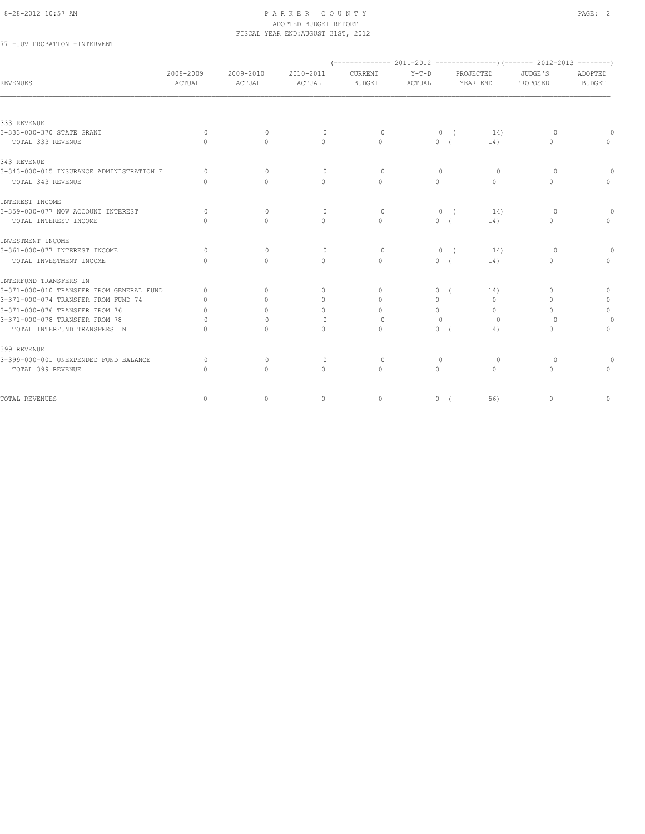### 77 -JUV PROBATION -INTERVENTI

| REVENUES                                 | 2008-2009<br>ACTUAL              | 2009-2010<br>ACTUAL              | 2010-2011<br>ACTUAL | CURRENT<br><b>BUDGET</b> | $Y-T-D$<br>ACTUAL                |            | PROJECTED<br>YEAR END            | JUDGE'S<br>PROPOSED              | ADOPTED<br><b>BUDGET</b> |
|------------------------------------------|----------------------------------|----------------------------------|---------------------|--------------------------|----------------------------------|------------|----------------------------------|----------------------------------|--------------------------|
|                                          |                                  |                                  |                     |                          |                                  |            |                                  |                                  |                          |
| 333 REVENUE                              |                                  |                                  |                     |                          |                                  |            |                                  |                                  |                          |
| 3-333-000-370 STATE GRANT                | $\Omega$                         | $\begin{array}{c} \n\end{array}$ | $\Omega$            | $\bigcap$                |                                  | 0(         | 14)                              | $\Omega$                         |                          |
| TOTAL 333 REVENUE                        | $\bigcap$                        | $\bigcap$                        | $\Omega$            | $\bigcap$                |                                  | 0(         | 14)                              | $\begin{array}{c} \n\end{array}$ |                          |
| 343 REVENUE                              |                                  |                                  |                     |                          |                                  |            |                                  |                                  |                          |
| 3-343-000-015 INSURANCE ADMINISTRATION F | $\bigcap$                        | $\Omega$                         | $\Omega$            | $\Omega$                 | $\begin{array}{c} \n\end{array}$ |            | $\Omega$                         | $\Omega$                         |                          |
| TOTAL 343 REVENUE                        | $\cap$                           | $\Omega$                         | $\Omega$            | $\Omega$                 | $\Omega$                         |            | $\Omega$                         | $\Omega$                         | $\Omega$                 |
| INTEREST INCOME                          |                                  |                                  |                     |                          |                                  |            |                                  |                                  |                          |
| 3-359-000-077 NOW ACCOUNT INTEREST       | $\Omega$                         | $\mathbf{0}$                     | $\circ$             | $\circ$                  | $\circ$                          | $\sqrt{ }$ | 14)                              | $\circ$                          |                          |
| TOTAL INTEREST INCOME                    | $\Omega$                         | $\Omega$                         | $\Omega$            | $\Omega$                 |                                  | 0(         | 14)                              | $\mathbf{0}$                     | $\Omega$                 |
| INVESTMENT INCOME                        |                                  |                                  |                     |                          |                                  |            |                                  |                                  |                          |
| 3-361-000-077 INTEREST INCOME            | $\Omega$                         | $\Omega$                         | $\Omega$            | $\Omega$                 |                                  | 0(         | 14)                              | $\circ$                          |                          |
| TOTAL INVESTMENT INCOME                  | $\cap$                           | $\begin{array}{c} \n\end{array}$ | $\Omega$            | $\Omega$                 |                                  | 0(         | 14)                              | 0                                | $\Omega$                 |
| INTERFUND TRANSFERS IN                   |                                  |                                  |                     |                          |                                  |            |                                  |                                  |                          |
| 3-371-000-010 TRANSFER FROM GENERAL FUND | $\begin{array}{c} \n\end{array}$ | $\begin{array}{c} \n\end{array}$ | $\mathbf{0}$        | $\Omega$                 |                                  | 0(         | 14)                              | $\begin{array}{c} \n\end{array}$ | $\mathbf{0}$             |
| 3-371-000-074 TRANSFER FROM FUND 74      | $\bigcap$                        | $\bigcap$                        | $\Omega$            | $\bigcap$                | $\Omega$                         |            | $\begin{array}{c} \n\end{array}$ | $\Omega$                         | $\circ$                  |
| 3-371-000-076 TRANSFER FROM 76           | $\cap$                           | $\bigcap$                        | $\Omega$            | $\Omega$                 | $\circ$                          |            | $\Omega$                         | $\Omega$                         | $\circ$                  |
| 3-371-000-078 TRANSFER FROM 78           | $\cap$                           | $\Omega$                         | $\mathbf{0}$        | $\Omega$                 | $\Omega$                         |            | $\circ$                          | $\Omega$                         | $\circ$                  |
| TOTAL INTERFUND TRANSFERS IN             | $\Omega$                         | $\Omega$                         | $\circ$             | $\mathbf{0}$             |                                  | 0(         | 14)                              | $\mathbf{0}$                     | 0                        |
| 399 REVENUE                              |                                  |                                  |                     |                          |                                  |            |                                  |                                  |                          |
| 3-399-000-001 UNEXPENDED FUND BALANCE    | $\bigcap$                        | $\circ$                          | $\Omega$            | $\circ$                  | $\mathbf{0}$                     |            | $\circ$                          | $\circ$                          |                          |
| TOTAL 399 REVENUE                        | $\bigcap$                        | $\begin{array}{c} \n\end{array}$ | $\Omega$            | $\Omega$                 | $\Omega$                         |            | $\Omega$                         | $\Omega$                         |                          |
| TOTAL REVENUES                           | $\circ$                          | $\circ$                          | $\mathbf{0}$        | $\mathbf{0}$             |                                  | 0(         | 56)                              | $\mathbf{0}$                     | 0                        |
|                                          |                                  |                                  |                     |                          |                                  |            |                                  |                                  |                          |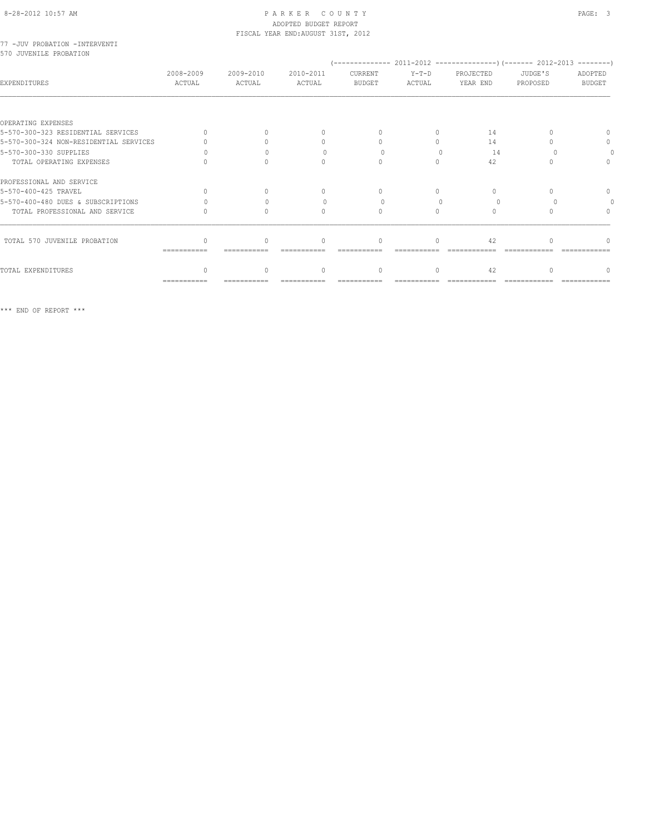### 77 -JUV PROBATION -INTERVENTI 570 JUVENILE PROBATION

| EXPENDITURES                           | 2008-2009<br>ACTUAL       | 2009-2010<br>ACTUAL | 2010-2011<br><b>ACTUAL</b> | CURRENT<br><b>BUDGET</b> | $Y-T-D$<br>ACTUAL | PROJECTED<br>YEAR END | JUDGE'S<br>PROPOSED | ADOPTED<br><b>BUDGET</b> |
|----------------------------------------|---------------------------|---------------------|----------------------------|--------------------------|-------------------|-----------------------|---------------------|--------------------------|
|                                        |                           |                     |                            |                          |                   |                       |                     |                          |
| OPERATING EXPENSES                     |                           |                     |                            |                          |                   |                       |                     |                          |
| 5-570-300-323 RESIDENTIAL SERVICES     | $\cap$                    |                     |                            | $\cap$                   |                   | 14                    |                     |                          |
| 5-570-300-324 NON-RESIDENTIAL SERVICES |                           |                     |                            |                          |                   | 14                    |                     | $\cap$                   |
| 5-570-300-330 SUPPLIES                 |                           |                     |                            |                          |                   | 14                    |                     |                          |
| TOTAL OPERATING EXPENSES               |                           |                     |                            | $\bigcap$                |                   | 42                    |                     |                          |
| PROFESSIONAL AND SERVICE               |                           |                     |                            |                          |                   |                       |                     |                          |
| 5-570-400-425 TRAVEL                   |                           |                     |                            |                          |                   |                       |                     |                          |
| 5-570-400-480 DUES & SUBSCRIPTIONS     |                           |                     |                            |                          |                   |                       |                     |                          |
| TOTAL PROFESSIONAL AND SERVICE         |                           |                     |                            | $\bigcap$                |                   | $\bigcap$             |                     |                          |
|                                        |                           |                     |                            |                          |                   |                       |                     |                          |
| TOTAL 570 JUVENILE PROBATION           | ∩                         | $\cap$              |                            | $\cap$                   |                   | 42                    |                     |                          |
|                                        | $=$ = = = = = = = = = = = |                     |                            |                          |                   |                       |                     |                          |
| TOTAL EXPENDITURES                     | $\Omega$                  |                     | $\cap$                     | $\Omega$                 | $\bigcap$         | 42                    |                     |                          |
|                                        | $=$ = = = = = = = = = = = |                     |                            |                          |                   |                       |                     |                          |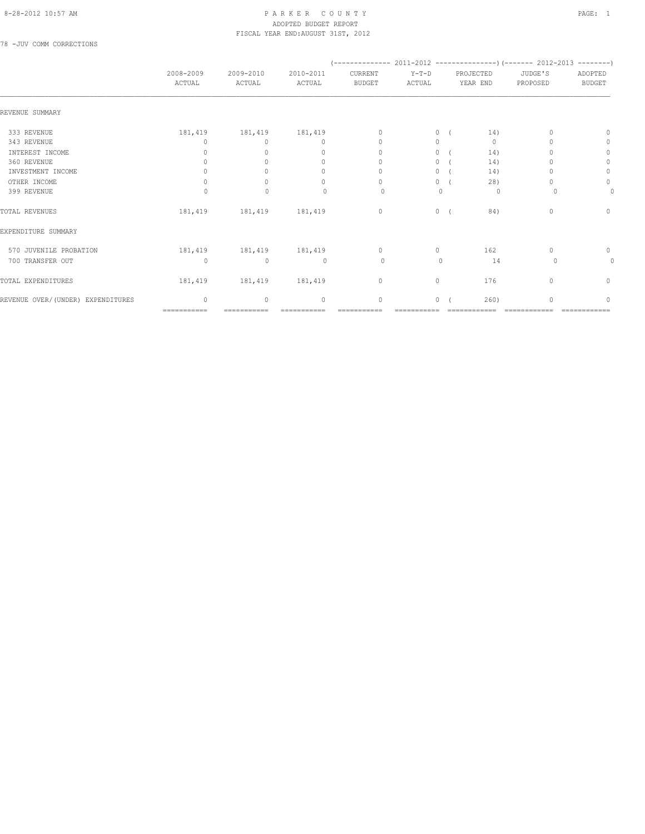### 8-28-2012 10:57 AM P A R K E R C O U N T Y PAGE: 1 ADOPTED BUDGET REPORT FISCAL YEAR END:AUGUST 31ST, 2012

78 -JUV COMM CORRECTIONS

|                                   |                     |                     |                                  |                                  |                   | $(---------- 2011-2012$ ----------------) (------- 2012-2013 --------)<br>PROJECTED<br>YEAR END |              |                     |                          |
|-----------------------------------|---------------------|---------------------|----------------------------------|----------------------------------|-------------------|-------------------------------------------------------------------------------------------------|--------------|---------------------|--------------------------|
|                                   | 2008-2009<br>ACTUAL | 2009-2010<br>ACTUAL | 2010-2011<br>ACTUAL              | CURRENT<br><b>BUDGET</b>         | $Y-T-D$<br>ACTUAL |                                                                                                 |              | JUDGE'S<br>PROPOSED | ADOPTED<br><b>BUDGET</b> |
|                                   |                     |                     |                                  |                                  |                   |                                                                                                 |              |                     |                          |
| REVENUE SUMMARY                   |                     |                     |                                  |                                  |                   |                                                                                                 |              |                     |                          |
| 333 REVENUE                       | 181,419             | 181,419             | 181,419                          | $\Omega$                         | $\circ$           |                                                                                                 | 14)          |                     | n                        |
| 343 REVENUE                       | <sup>0</sup>        | $\Omega$            | 0                                | $\mathbf{0}$                     | $\circ$           |                                                                                                 | $\mathbf{0}$ |                     | 0                        |
| INTEREST INCOME                   | 0                   | $\Omega$            | $\begin{array}{c} \n\end{array}$ | $\begin{array}{c} \n\end{array}$ | $\circ$           |                                                                                                 | 14)          |                     | $\mathbf{0}$             |
| 360 REVENUE                       |                     |                     | $\mathbf{0}$                     | 0                                | $\circ$           |                                                                                                 | 14)          |                     | $\circ$                  |
| INVESTMENT INCOME                 |                     |                     | $\mathbf{0}$                     | 0                                | $\circ$           |                                                                                                 | 14)          |                     | $\circ$                  |
| OTHER INCOME                      | $\Omega$            | $\Omega$            | $\begin{array}{c} \n\end{array}$ | $\Omega$                         | $\circ$           |                                                                                                 | 28)          |                     | $\circ$                  |
| 399 REVENUE                       | $\Omega$            | $\mathbf{0}$        | $\begin{array}{c} \n\end{array}$ | $\circ$                          | $\mathbf{0}$      |                                                                                                 | 0            | $\Omega$            | 0                        |
| TOTAL REVENUES                    | 181,419             | 181,419             | 181,419                          | $\circ$                          |                   | $0 \sqrt{2}$                                                                                    | 84)          | $\mathbf{0}$        | $\circ$                  |
| EXPENDITURE SUMMARY               |                     |                     |                                  |                                  |                   |                                                                                                 |              |                     |                          |
| 570 JUVENILE PROBATION            | 181,419             | 181, 419 181, 419   |                                  | $\circ$                          | $\circ$           |                                                                                                 | 162          | 0                   | 0                        |
| 700 TRANSFER OUT                  | $\circ$             | $\mathbf{0}$        | $\circ$                          | $\circ$                          | $\mathbf{0}$      |                                                                                                 | 14           | 0                   | $\mathbf{0}$             |
| TOTAL EXPENDITURES                | 181,419             | 181,419             | 181,419                          | $\circ$                          | $\circ$           |                                                                                                 | 176          | $\mathbf{0}$        | $\circ$                  |
| REVENUE OVER/(UNDER) EXPENDITURES | $\Omega$            | $\mathbf{0}$        | $\mathbf{0}$                     | 0                                | 0                 |                                                                                                 | 260)         | $\Omega$            | $\Omega$                 |
|                                   | ===========         |                     |                                  |                                  |                   |                                                                                                 |              |                     |                          |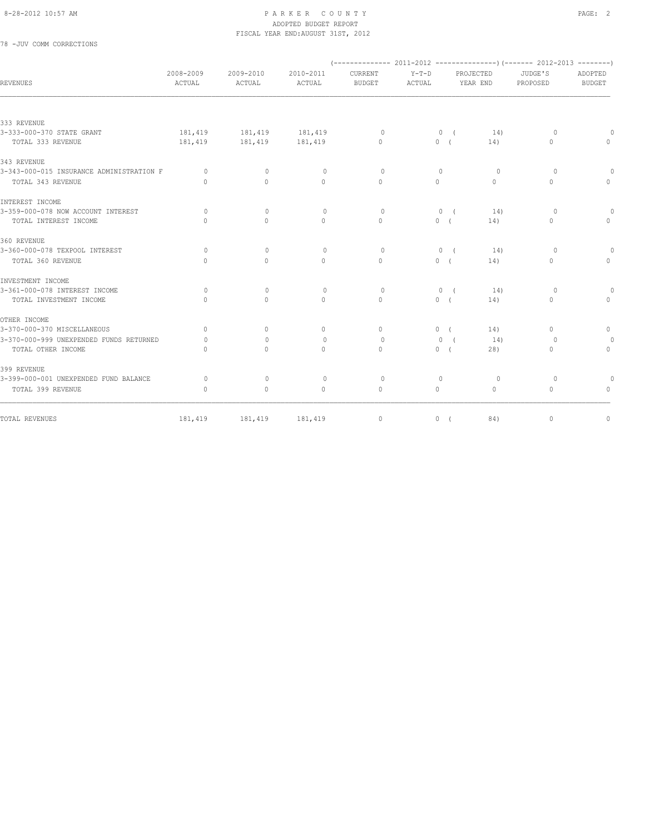#### 8-28-2012 10:57 AM PAGE: 2 ADOPTED BUDGET REPORT FISCAL YEAR END:AUGUST 31ST, 2012

## 78 -JUV COMM CORRECTIONS

| REVENUES                                 | 2008-2009<br>ACTUAL | 2009-2010<br>ACTUAL | 2010-2011<br><b>ACTUAL</b>       | CURRENT<br><b>BUDGET</b> | $Y-T-D$<br>ACTUAL |              | PROJECTED<br>YEAR END | JUDGE'S<br>PROPOSED | ADOPTED<br><b>BUDGET</b> |
|------------------------------------------|---------------------|---------------------|----------------------------------|--------------------------|-------------------|--------------|-----------------------|---------------------|--------------------------|
|                                          |                     |                     |                                  |                          |                   |              |                       |                     |                          |
| 333 REVENUE                              |                     |                     |                                  |                          |                   |              |                       |                     |                          |
| 3-333-000-370 STATE GRANT                | 181,419             | 181, 419            | 181, 419                         | $\Omega$                 |                   | 0(           | 14)                   | $\circ$             | $\Omega$                 |
| TOTAL 333 REVENUE                        | 181,419             | 181,419             | 181,419                          | $\Omega$                 |                   | 0(           | 14)                   | $\Omega$            | $\circ$                  |
| 343 REVENUE                              |                     |                     |                                  |                          |                   |              |                       |                     |                          |
| 3-343-000-015 INSURANCE ADMINISTRATION F | $\Omega$            | $\Omega$            | $\mathbf{0}$                     | $\Omega$                 | $\Omega$          |              | $\Omega$              | $\Omega$            | $\Omega$                 |
| TOTAL 343 REVENUE                        | $\bigcap$           | $\Omega$            | $\Omega$                         | $\Omega$                 | $\Omega$          |              | $\Omega$              | $\Omega$            | $\mathbf{0}$             |
| INTEREST INCOME                          |                     |                     |                                  |                          |                   |              |                       |                     |                          |
| 3-359-000-078 NOW ACCOUNT INTEREST       | $\bigcap$           | $\Omega$            | $\begin{array}{c} \n\end{array}$ | $\Omega$                 |                   | 0(           | 14)                   | $\Omega$            | $\Omega$                 |
| TOTAL INTEREST INCOME                    | $\bigcap$           | $\Omega$            | $\Omega$                         | $\Omega$                 |                   | 0(           | 14)                   | $\Omega$            | $\circ$                  |
| 360 REVENUE                              |                     |                     |                                  |                          |                   |              |                       |                     |                          |
| 3-360-000-078 TEXPOOL INTEREST           | $\Omega$            | $\Omega$            | $\Omega$                         | $\Omega$                 |                   | 0(           | 14)                   | $\Omega$            | $\Omega$                 |
| TOTAL 360 REVENUE                        | $\cap$              | $\Omega$            | $\Omega$                         | $\bigcap$                |                   | 0(           | 14)                   | $\Omega$            | $\mathbf{0}$             |
| INVESTMENT INCOME                        |                     |                     |                                  |                          |                   |              |                       |                     |                          |
| 3-361-000-078 INTEREST INCOME            | $\circ$             | $\Omega$            | $\mathbf{0}$                     | $\circ$                  |                   | $0 \sqrt{2}$ | 14)                   | $\circ$             | $\circ$                  |
| TOTAL INVESTMENT INCOME                  | $\bigcap$           | $\Omega$            | $\Omega$                         | $\Omega$                 |                   | 0(           | 14)                   | $\Omega$            | $\Omega$                 |
| OTHER INCOME                             |                     |                     |                                  |                          |                   |              |                       |                     |                          |
| 3-370-000-370 MISCELLANEOUS              | $\circ$             | $\mathbf{0}$        | $\mathbf{0}$                     | $\circ$                  |                   | 0(           | 14)                   | $\mathbf{0}$        | $\circ$                  |
| 3-370-000-999 UNEXPENDED FUNDS RETURNED  | $\Omega$            | $\Omega$            | $\Omega$                         | $\Omega$                 | $\mathbf{0}$      | $\sqrt{ }$   | 14)                   | $\Omega$            | $\Omega$                 |
| TOTAL OTHER INCOME                       | $\bigcap$           | $\bigcap$           | $\Omega$                         | $\Omega$                 |                   | 0(           | 28)                   | 0                   | $\circ$                  |
| 399 REVENUE                              |                     |                     |                                  |                          |                   |              |                       |                     |                          |
| 3-399-000-001 UNEXPENDED FUND BALANCE    | $\Omega$            | $\Omega$            | $\circ$                          | $\circ$                  | $\circ$           |              | $\circ$               | $\Omega$            | $\Omega$                 |
| TOTAL 399 REVENUE                        | $\Omega$            | $\circ$             | $\mathbf{0}$                     | $\circ$                  | $\circ$           |              | $\Omega$              | $\Omega$            | $\Omega$                 |
| TOTAL REVENUES                           | 181,419             | 181,419             | 181,419                          | $\mathbf{0}$             |                   | 0(           | 84)                   | $\mathbf{0}$        | $\mathbf{0}$             |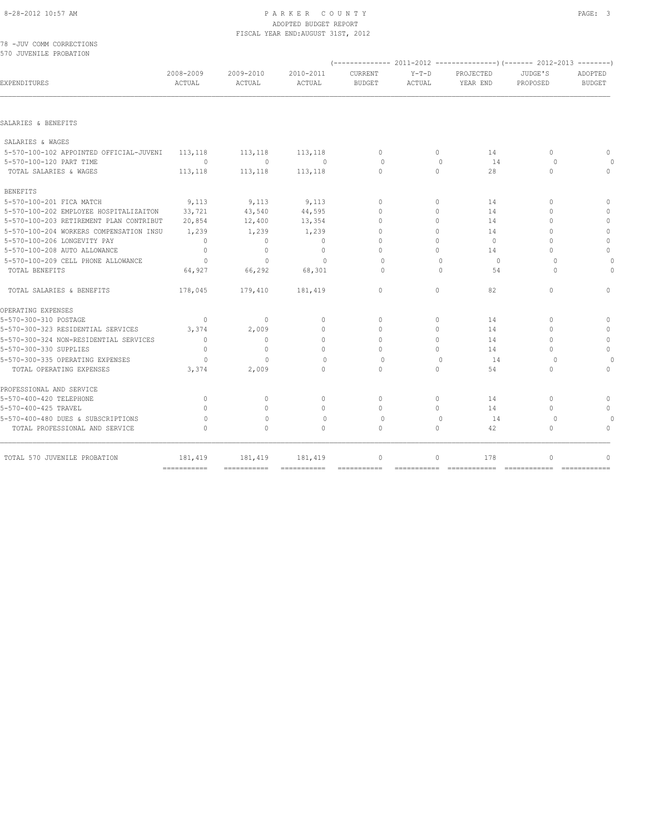# 8-28-2012 10:57 AM PAGE: 3

|                                                    |                     |                     | ADOPTED BUDGET REPORT<br>FISCAL YEAR END: AUGUST 31ST, 2012 |                          |                                  |                       |                     |                          |
|----------------------------------------------------|---------------------|---------------------|-------------------------------------------------------------|--------------------------|----------------------------------|-----------------------|---------------------|--------------------------|
| 78 -JUV COMM CORRECTIONS<br>570 JUVENILE PROBATION |                     |                     |                                                             |                          |                                  |                       |                     |                          |
| EXPENDITURES                                       | 2008-2009<br>ACTUAL | 2009-2010<br>ACTUAL | 2010-2011<br>ACTUAL                                         | CURRENT<br><b>BUDGET</b> | $Y-T-D$<br>ACTUAL                | PROJECTED<br>YEAR END | JUDGE'S<br>PROPOSED | ADOPTED<br><b>BUDGET</b> |
| SALARIES & BENEFITS                                |                     |                     |                                                             |                          |                                  |                       |                     |                          |
| SALARIES & WAGES                                   |                     |                     |                                                             |                          |                                  |                       |                     |                          |
| 5-570-100-102 APPOINTED OFFICIAL-JUVENI            | 113,118             | 113,118             | 113,118                                                     | $\mathbf{0}$             | $\circ$                          | 14                    | $\Omega$            | 0                        |
| 5-570-100-120 PART TIME                            | $\circ$             | $\Omega$            | $\overline{0}$                                              | $\Omega$                 | $\Omega$                         | 14                    | $\cup$              | $\Omega$                 |
| TOTAL SALARIES & WAGES                             | 113,118             | 113,118             | 113,118                                                     | $\Omega$                 | $\Omega$                         | 28                    | $\Omega$            | $\Omega$                 |
| <b>BENEFITS</b>                                    |                     |                     |                                                             |                          |                                  |                       |                     |                          |
| 5-570-100-201 FICA MATCH                           | 9,113               | 9,113               | 9,113                                                       | $\Omega$                 | $\bigcap$                        | 14                    | $\cap$              | $\Omega$                 |
| 5-570-100-202 EMPLOYEE HOSPITALIZAITON             | 33,721              | 43,540              | 44,595                                                      | $\Omega$                 | $\Omega$                         | 14                    |                     | 0                        |
| 5-570-100-203 RETIREMENT PLAN CONTRIBUT            | 20,854              | 12,400              | 13,354                                                      | $\cap$                   | $\Omega$                         | 14                    |                     | 0                        |
| 5-570-100-204 WORKERS COMPENSATION INSU            | 1,239               | 1,239               | 1,239                                                       | $\Omega$                 | $\bigcap$                        | 14                    |                     | 0                        |
| 5-570-100-206 LONGEVITY PAY                        | $\mathbf{0}$        | $\bigcap$           | $\bigcap$                                                   | $\bigcap$                | $\Omega$                         | $\circ$               |                     | 0                        |
| 5-570-100-208 AUTO ALLOWANCE                       | $\Omega$            |                     | $\Omega$                                                    |                          | $\Omega$                         | 14                    |                     | $\Omega$                 |
| 5-570-100-209 CELL PHONE ALLOWANCE                 | $\circ$             | $\mathbf{0}$        | $\mathbf{0}$                                                | $\Omega$                 | $\begin{array}{c} \n\end{array}$ | $\circ$               |                     | 0                        |

| 5-570-100-203 RETIREMENT PLAN CONTRIBUT | 20,854                    | 12,400          | 13,354          |          |   | 14            |   |
|-----------------------------------------|---------------------------|-----------------|-----------------|----------|---|---------------|---|
| 5-570-100-204 WORKERS COMPENSATION INSU | 1,239                     | 1,239           | 1,239           |          |   | 14            |   |
| 5-570-100-206 LONGEVITY PAY             |                           |                 |                 |          |   | $\Omega$      |   |
| 5-570-100-208 AUTO ALLOWANCE            |                           |                 |                 |          |   | 14            | 0 |
| 5-570-100-209 CELL PHONE ALLOWANCE      |                           |                 |                 |          |   | $\Omega$      |   |
| TOTAL BENEFITS                          | 64,927                    | 66,292          | 68,301          |          |   | 54            |   |
| TOTAL SALARIES & BENEFITS               | 178,045                   | 179,410         | 181,419         | n        | ∩ | 82            |   |
| OPERATING EXPENSES                      |                           |                 |                 |          |   |               |   |
| 5-570-300-310 POSTAGE                   | $\bigcap$                 | $\bigcap$       |                 |          |   | 14            |   |
| 5-570-300-323 RESIDENTIAL SERVICES      | 3,374                     | 2,009           |                 |          |   | 14            |   |
| 5-570-300-324 NON-RESIDENTIAL SERVICES  |                           | $\cap$          |                 |          |   | 14            |   |
| 5-570-300-330 SUPPLIES                  |                           | $\cap$          |                 |          |   | 14            |   |
| 5-570-300-335 OPERATING EXPENSES        |                           |                 |                 |          |   | 14            |   |
| TOTAL OPERATING EXPENSES                | 3,374                     | 2,009           |                 |          |   | 54            |   |
| PROFESSIONAL AND SERVICE                |                           |                 |                 |          |   |               |   |
| 5-570-400-420 TELEPHONE                 |                           |                 |                 |          |   | 14            |   |
| 5-570-400-425 TRAVEL                    |                           |                 |                 |          |   | 14            |   |
| 5-570-400-480 DUES & SUBSCRIPTIONS      |                           |                 |                 |          |   | 14            |   |
| TOTAL PROFESSIONAL AND SERVICE          |                           |                 |                 |          |   | 42            |   |
| TOTAL 570 JUVENILE PROBATION            | 181,419                   | 181,419         | 181,419         | $\Omega$ |   | 178           |   |
|                                         | $=$ = = = = = = = = = = = | $=$ =========== | $=$ =========== |          |   | ============= |   |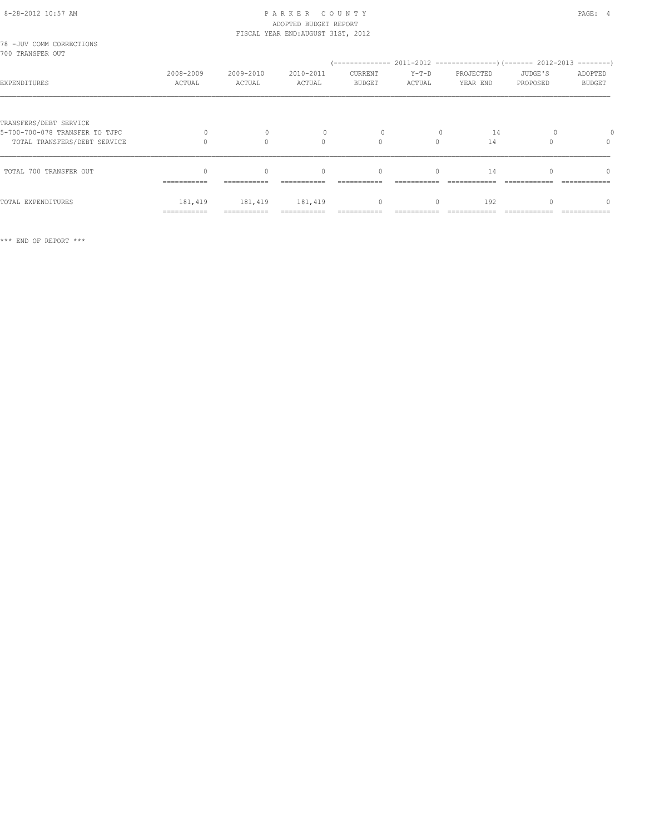## 8-28-2012 10:57 AM PAGE: 4 ADOPTED BUDGET REPORT

|                                                          |                        |                     | FISCAL YEAR END: AUGUST 31ST, 2012 |                   |                   |                       |                     |                                  |
|----------------------------------------------------------|------------------------|---------------------|------------------------------------|-------------------|-------------------|-----------------------|---------------------|----------------------------------|
| 78 - JUV COMM CORRECTIONS<br>700 TRANSFER OUT            |                        |                     |                                    |                   |                   |                       |                     |                                  |
| EXPENDITURES                                             | 2008-2009<br>ACTUAL    | 2009-2010<br>ACTUAL | 2010-2011<br>ACTUAL                | CURRENT<br>BUDGET | $Y-T-D$<br>ACTUAL | PROJECTED<br>YEAR END | JUDGE'S<br>PROPOSED | ADOPTED<br><b>BUDGET</b>         |
| TRANSFERS/DEBT SERVICE<br>5-700-700-078 TRANSFER TO TJPC |                        | $\mathbf{0}$        |                                    |                   |                   | 14                    |                     |                                  |
| TOTAL TRANSFERS/DEBT SERVICE                             |                        | $\Omega$            | $\Omega$                           | $\Omega$          | $\Omega$          | 14                    |                     | $\begin{array}{c} \n\end{array}$ |
| TOTAL 700 TRANSFER OUT                                   | ===========            | $\Omega$            | $\mathbf{0}$                       | $\mathbf{0}$      | $\Omega$          | 14                    |                     | $\Omega$                         |
| TOTAL EXPENDITURES                                       | 181,419<br>=========== | 181,419             | 181,419                            | $\circ$           | $\Omega$          | 192                   |                     | $\Omega$                         |

\*\*\* END OF REPORT \*\*\*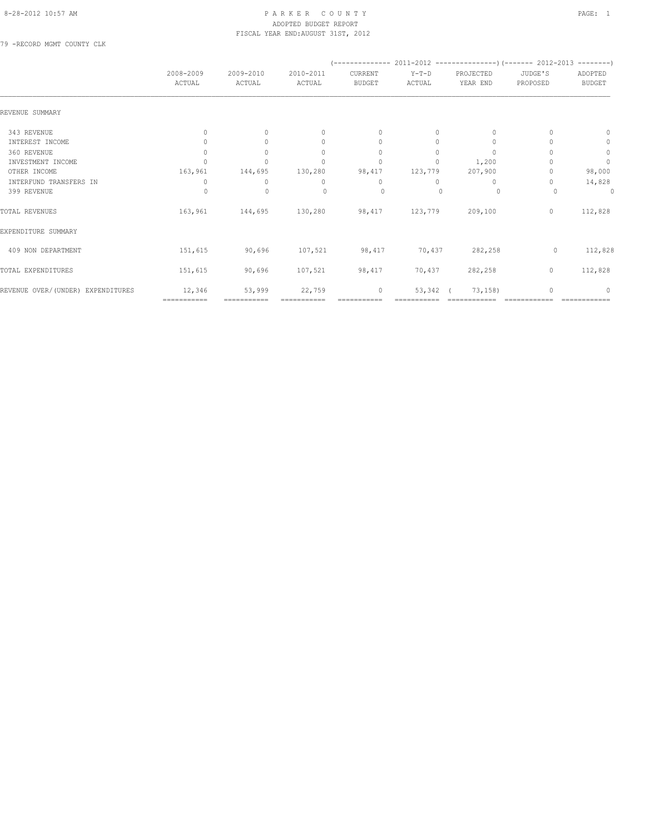#### 8-28-2012 10:57 AM PAGE: 1 ADOPTED BUDGET REPORT FISCAL YEAR END:AUGUST 31ST, 2012

79 -RECORD MGMT COUNTY CLK

|                                   |                     |                     |                                  |                                  | $(---------- 2011-2012$ ----------------) (------- 2012-2013 --------) |                       |                     |                          |
|-----------------------------------|---------------------|---------------------|----------------------------------|----------------------------------|------------------------------------------------------------------------|-----------------------|---------------------|--------------------------|
|                                   | 2008-2009<br>ACTUAL | 2009-2010<br>ACTUAL | 2010-2011<br>ACTUAL              | CURRENT<br><b>BUDGET</b>         | $Y-T-D$<br>ACTUAL                                                      | PROJECTED<br>YEAR END | JUDGE'S<br>PROPOSED | ADOPTED<br><b>BUDGET</b> |
| REVENUE SUMMARY                   |                     |                     |                                  |                                  |                                                                        |                       |                     |                          |
| 343 REVENUE                       | $\mathbf{0}$        | $\Omega$            | $\mathbf{0}$                     | $\mathbf{0}$                     | $\Omega$                                                               | 0                     |                     | 0                        |
| INTEREST INCOME                   |                     | $\bigcap$           | $\begin{array}{c} \n\end{array}$ | $\begin{array}{c} \n\end{array}$ | $\Omega$                                                               | $\Omega$              |                     | $\mathbf{0}$             |
| 360 REVENUE                       | 0                   |                     | $\begin{array}{c} \n\end{array}$ | $\mathbf{0}$                     | $\Omega$                                                               | $\mathbf{0}$          |                     | $\mathbb O$              |
| INVESTMENT INCOME                 |                     |                     | $\cap$                           | $\Omega$                         | $\bigcap$                                                              | 1,200                 |                     | $\circ$                  |
| OTHER INCOME                      | 163,961             | 144,695             | 130,280                          | 98,417                           | 123,779                                                                | 207,900               |                     | 98,000                   |
| INTERFUND TRANSFERS IN            | 0                   | 0                   | 0                                | $\mathbf{0}$                     | $\bigcap$                                                              | $\mathbf{0}$          |                     | 14,828                   |
| 399 REVENUE                       | $\Omega$            | $\mathbf{0}$        | $\Omega$                         | $\Omega$                         | $\cup$                                                                 | $\Omega$              | $\Omega$            | 0                        |
| TOTAL REVENUES                    | 163,961             | 144,695             | 130,280                          | 98,417                           | 123,779                                                                | 209,100               | 0                   | 112,828                  |
| EXPENDITURE SUMMARY               |                     |                     |                                  |                                  |                                                                        |                       |                     |                          |
| 409 NON DEPARTMENT                | 151,615             | 90,696              | 107,521                          | 98,417                           | 70,437                                                                 | 282,258               | $\circ$             | 112,828                  |
| TOTAL EXPENDITURES                | 151,615             | 90,696              | 107,521                          | 98,417                           | 70,437                                                                 | 282,258               | $\mathbf{0}$        | 112,828                  |
| REVENUE OVER/(UNDER) EXPENDITURES | 12,346              | 53,999              | 22,759                           | 0                                | 53,342                                                                 | 73, 158)              |                     | $\Omega$                 |
|                                   | ============        | ===========         |                                  |                                  |                                                                        |                       |                     |                          |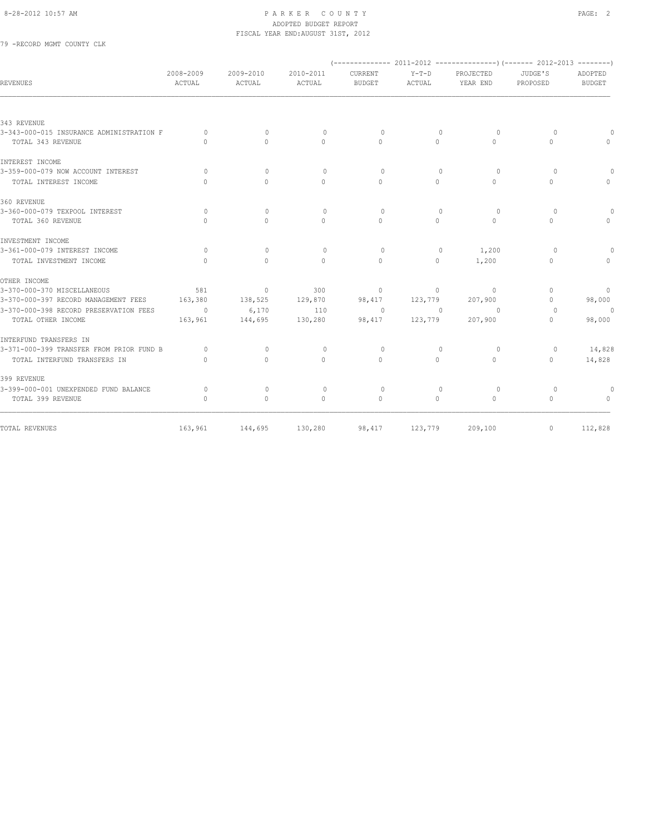#### 8-28-2012 10:57 AM PAGE: 2 ADOPTED BUDGET REPORT FISCAL YEAR END:AUGUST 31ST, 2012

79 -RECORD MGMT COUNTY CLK

| <b>REVENUES</b>                          | 2008-2009<br>ACTUAL | 2009-2010<br>ACTUAL | 2010-2011<br>ACTUAL              | <b>CURRENT</b><br><b>BUDGET</b> | $Y-T-D$<br>ACTUAL | PROJECTED<br>YEAR END | JUDGE'S<br>PROPOSED              | ADOPTED<br><b>BUDGET</b>         |
|------------------------------------------|---------------------|---------------------|----------------------------------|---------------------------------|-------------------|-----------------------|----------------------------------|----------------------------------|
|                                          |                     |                     |                                  |                                 |                   |                       |                                  |                                  |
| 343 REVENUE                              |                     |                     |                                  |                                 |                   |                       |                                  |                                  |
| 3-343-000-015 INSURANCE ADMINISTRATION F | $\circ$             | $\circ$             | $\mathbf{0}$                     | $\circ$                         | $\mathbf{0}$      | $\circ$               | $\circ$                          |                                  |
| TOTAL 343 REVENUE                        | $\bigcap$           | $\bigcap$           | $\cap$                           | $\cap$                          | $\Omega$          | $\Omega$              | $\Omega$                         |                                  |
| INTEREST INCOME                          |                     |                     |                                  |                                 |                   |                       |                                  |                                  |
| 3-359-000-079 NOW ACCOUNT INTEREST       | $\Omega$            | $\Omega$            | $\Omega$                         | $\Omega$                        | $\Omega$          | $\Omega$              | $\Omega$                         |                                  |
| TOTAL INTEREST INCOME                    | $\cap$              | $\bigcap$           | $\Omega$                         | $\Omega$                        | $\Omega$          | $\Omega$              | $\Omega$                         | $\bigcap$                        |
| 360 REVENUE                              |                     |                     |                                  |                                 |                   |                       |                                  |                                  |
| 3-360-000-079 TEXPOOL INTEREST           | $\Omega$            | $\Omega$            | $\bigcap$                        | $\Omega$                        | $\Omega$          | $\circ$               | $\Omega$                         |                                  |
| TOTAL 360 REVENUE                        | $\Omega$            | $\Omega$            | $\Omega$                         | $\Omega$                        | $\Omega$          | $\Omega$              | $\Omega$                         | $\bigcap$                        |
| INVESTMENT INCOME                        |                     |                     |                                  |                                 |                   |                       |                                  |                                  |
| 3-361-000-079 INTEREST INCOME            | $\Omega$            | $\Omega$            | $\bigcirc$                       | $\Omega$                        | $\mathbf{0}$      | 1,200                 | $\Omega$                         |                                  |
| TOTAL INVESTMENT INCOME                  | $\Omega$            | $\Omega$            | $\Omega$                         | $\Omega$                        | $\circ$           | 1,200                 | $\mathbf{0}$                     | $\Omega$                         |
| OTHER INCOME                             |                     |                     |                                  |                                 |                   |                       |                                  |                                  |
| 3-370-000-370 MISCELLANEOUS              | 581                 | $\overline{0}$      | 300                              | $\circ$                         | $\circ$           | $\circ$               | $\begin{array}{c} \n\end{array}$ | $\overline{0}$                   |
| 3-370-000-397 RECORD MANAGEMENT FEES     | 163,380             | 138,525             | 129,870                          | 98,417                          | 123,779           | 207,900               | $\Omega$                         | 98,000                           |
| 3-370-000-398 RECORD PRESERVATION FEES   | $\sim$ 0            | 6,170               | 110                              | $\overline{0}$                  | $\overline{0}$    | $\overline{0}$        | $\Omega$                         | $\theta$                         |
| TOTAL OTHER INCOME                       | 163,961             | 144,695             | 130,280                          | 98,417                          | 123,779           | 207,900               | $\Omega$                         | 98,000                           |
| INTERFUND TRANSFERS IN                   |                     |                     |                                  |                                 |                   |                       |                                  |                                  |
| 3-371-000-399 TRANSFER FROM PRIOR FUND B | $\Omega$            | $\Omega$            | $\Omega$                         | $\Omega$                        | $\Omega$          | $\Omega$              | $\Omega$                         | 14,828                           |
| TOTAL INTERFUND TRANSFERS IN             | $\bigcap$           | $\bigcap$           | $\Omega$                         | $\Omega$                        | $\Omega$          | $\Omega$              | $\Omega$                         | 14,828                           |
| 399 REVENUE                              |                     |                     |                                  |                                 |                   |                       |                                  |                                  |
| 3-399-000-001 UNEXPENDED FUND BALANCE    | $\Omega$            | $\mathbf{0}$        | $\begin{array}{c} \n\end{array}$ | $\circ$                         | $\Omega$          | $\circ$               | $\circ$                          |                                  |
| TOTAL 399 REVENUE                        | $\Omega$            | $\Omega$            | $\Omega$                         | $\Omega$                        | $\Omega$          | $\Omega$              | $\Omega$                         | $\begin{array}{c} \n\end{array}$ |
| TOTAL REVENUES                           | 163,961             | 144,695             | 130,280                          | 98,417                          | 123,779           | 209,100               | $\circ$                          | 112,828                          |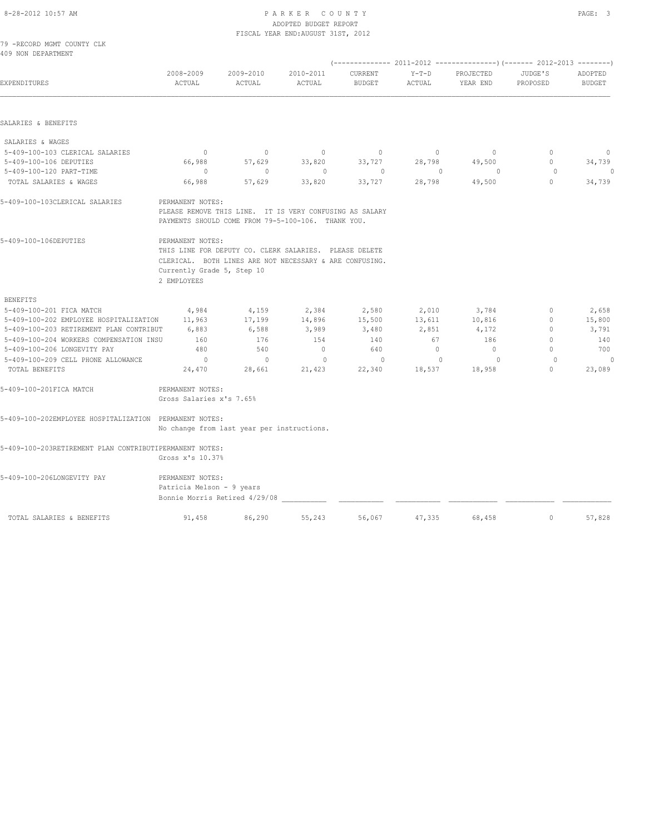5-409-100-206LONGEVITY PAY PERMANENT NOTES:

Patricia Melson - 9 years

| 8-28-2012 10:57 AM                                                                 | PARKER COUNTY<br>ADOPTED BUDGET REPORT<br>FISCAL YEAR END: AUGUST 31ST, 2012      |                                            |                                                                                                                                                                                                                                    |                          |                   |                       |                          |                          |  |
|------------------------------------------------------------------------------------|-----------------------------------------------------------------------------------|--------------------------------------------|------------------------------------------------------------------------------------------------------------------------------------------------------------------------------------------------------------------------------------|--------------------------|-------------------|-----------------------|--------------------------|--------------------------|--|
| 79 - RECORD MGMT COUNTY CLK<br>409 NON DEPARTMENT                                  |                                                                                   |                                            |                                                                                                                                                                                                                                    |                          |                   |                       |                          |                          |  |
|                                                                                    |                                                                                   |                                            |                                                                                                                                                                                                                                    |                          |                   |                       |                          |                          |  |
| EXPENDITURES                                                                       | 2008-2009<br>ACTUAL                                                               | 2009-2010<br>ACTUAL                        | 2010-2011<br>ACTUAL                                                                                                                                                                                                                | CURRENT<br><b>BUDGET</b> | $Y-T-D$<br>ACTUAL | PROJECTED<br>YEAR END | JUDGE'S<br>PROPOSED      | ADOPTED<br><b>BUDGET</b> |  |
| SALARIES & BENEFITS                                                                |                                                                                   |                                            |                                                                                                                                                                                                                                    |                          |                   |                       |                          |                          |  |
| SALARIES & WAGES                                                                   |                                                                                   |                                            |                                                                                                                                                                                                                                    |                          |                   |                       |                          |                          |  |
| 5-409-100-103 CLERICAL SALARIES                                                    | $\overline{0}$                                                                    | $\circ$                                    | $\circ$                                                                                                                                                                                                                            | $\circ$                  | $\circ$           | $\circ$               | $\Omega$                 | $\circ$                  |  |
| 5-409-100-106 DEPUTIES                                                             | 66,988                                                                            | 57,629                                     | 33,820                                                                                                                                                                                                                             | 33,727                   | 28,798            | 49,500                | $\mathbf{0}$             | 34,739                   |  |
| 5-409-100-120 PART-TIME                                                            | $\circ$                                                                           | $\mathbf{0}$                               | $\mathbf{0}$                                                                                                                                                                                                                       | $\circ$                  | $\mathbf{0}$      | $\circ$               | $\circ$                  | $\theta$                 |  |
| TOTAL SALARIES & WAGES                                                             | 66,988                                                                            | 57,629                                     | 33,820                                                                                                                                                                                                                             | 33,727                   | 28,798            | 49,500                | $\circ$                  | 34,739                   |  |
| 5-409-100-103CLERICAL SALARIES<br>5-409-100-106DEPUTIES                            | PERMANENT NOTES:<br>PERMANENT NOTES:<br>Currently Grade 5, Step 10<br>2 EMPLOYEES |                                            | PLEASE REMOVE THIS LINE. IT IS VERY CONFUSING AS SALARY<br>PAYMENTS SHOULD COME FROM 79-5-100-106. THANK YOU.<br>THIS LINE FOR DEPUTY CO. CLERK SALARIES. PLEASE DELETE<br>CLERICAL. BOTH LINES ARE NOT NECESSARY & ARE CONFUSING. |                          |                   |                       |                          |                          |  |
| <b>BENEFITS</b>                                                                    |                                                                                   |                                            |                                                                                                                                                                                                                                    |                          |                   |                       |                          |                          |  |
| 5-409-100-201 FICA MATCH                                                           | 4,984                                                                             | 4,159                                      | 2,384                                                                                                                                                                                                                              | 2,580                    | 2,010             | 3,784                 | $\mathbf{0}$             | 2,658                    |  |
| 5-409-100-202 EMPLOYEE HOSPITALIZATION                                             | 11,963                                                                            | 17,199                                     | 14,896                                                                                                                                                                                                                             | 15,500                   | 13,611            | 10,816                | $\mathbf{0}$             | 15,800                   |  |
| 5-409-100-203 RETIREMENT PLAN CONTRIBUT<br>5-409-100-204 WORKERS COMPENSATION INSU | 6,883                                                                             | 6,588                                      | 3,989                                                                                                                                                                                                                              | 3,480                    | 2,851             | 4,172                 | $\mathbf{0}$<br>$\Omega$ | 3,791<br>140             |  |
| 5-409-100-206 LONGEVITY PAY                                                        | 160<br>480                                                                        | 176<br>540                                 | 154<br>$\mathbf{0}$                                                                                                                                                                                                                | 140<br>640               | 67<br>$\circ$     | 186<br>$\circ$        | $\Omega$                 | 700                      |  |
| 5-409-100-209 CELL PHONE ALLOWANCE                                                 | $\overline{0}$                                                                    | $\Omega$                                   | $\mathbf{0}$                                                                                                                                                                                                                       | $\circ$                  | $\mathbf{0}$      | $\circ$               | $\circ$                  | $\theta$                 |  |
| TOTAL BENEFITS                                                                     | 24,470                                                                            | 28,661                                     | 21,423                                                                                                                                                                                                                             | 22,340                   | 18,537            | 18,958                | $\mathbf{0}$             | 23,089                   |  |
| 5-409-100-201FICA MATCH                                                            | PERMANENT NOTES:<br>Gross Salaries x's 7.65%                                      |                                            |                                                                                                                                                                                                                                    |                          |                   |                       |                          |                          |  |
| 5-409-100-202EMPLOYEE HOSPITALIZATION PERMANENT NOTES:                             |                                                                                   | No change from last year per instructions. |                                                                                                                                                                                                                                    |                          |                   |                       |                          |                          |  |
| 5-409-100-203RETIREMENT PLAN CONTRIBUTIPERMANENT NOTES:                            |                                                                                   |                                            |                                                                                                                                                                                                                                    |                          |                   |                       |                          |                          |  |
|                                                                                    | Gross x's 10.37%                                                                  |                                            |                                                                                                                                                                                                                                    |                          |                   |                       |                          |                          |  |

Bonnie Morris Retired 4/29/08 \_\_\_\_\_\_\_\_\_\_\_ \_\_\_\_\_\_\_\_\_\_\_ \_\_\_\_\_\_\_\_\_\_\_ \_\_\_\_\_\_\_\_\_\_\_\_ \_\_\_\_\_\_\_\_\_\_\_\_ \_\_\_\_\_\_\_\_\_\_\_\_

TOTAL SALARIES & BENEFITS 91,458 86,290 55,243 56,067 47,335 68,458 0 57,828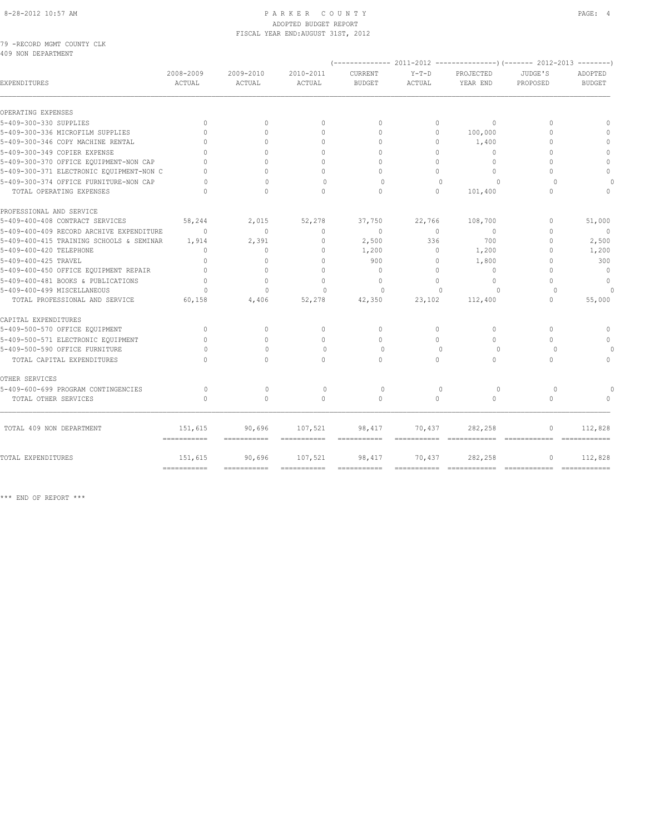#### 8-28-2012 10:57 AM PAGE: 4 ADOPTED BUDGET REPORT FISCAL YEAR END:AUGUST 31ST, 2012

79 -RECORD MGMT COUNTY CLK 409 NON DEPARTMENT

| <b>EXPENDITURES</b>                      | 2008-2009<br>ACTUAL                | 2009-2010<br>ACTUAL              | 2010-2011<br><b>ACTUAL</b>       | CURRENT<br><b>BUDGET</b>  | $Y-T-D$<br><b>ACTUAL</b> | PROJECTED<br>YEAR END | JUDGE'S<br>PROPOSED              | ADOPTED<br><b>BUDGET</b> |
|------------------------------------------|------------------------------------|----------------------------------|----------------------------------|---------------------------|--------------------------|-----------------------|----------------------------------|--------------------------|
| OPERATING EXPENSES                       |                                    |                                  |                                  |                           |                          |                       |                                  |                          |
| 5-409-300-330 SUPPLIES                   | $\Omega$                           | $\Omega$                         | $\circ$                          | $\Omega$                  | $\circ$                  | $\Omega$              | $\Omega$                         |                          |
| 5-409-300-336 MICROFILM SUPPLIES         | $\bigcap$                          |                                  | $\Omega$                         | $\bigcap$                 | $\Omega$                 | 100,000               | $\Omega$                         |                          |
| 5-409-300-346 COPY MACHINE RENTAL        | $\bigcap$                          | $\bigcap$                        | $\begin{array}{c} \n\end{array}$ | $\bigcap$                 | $\bigcap$                | 1,400                 | $\Omega$                         |                          |
| 5-409-300-349 COPIER EXPENSE             | $\Omega$                           | $\Omega$                         | $\Omega$                         | $\Omega$                  | $\bigcap$                | $\Omega$              | $\cap$                           | $\Omega$                 |
| 5-409-300-370 OFFICE EQUIPMENT-NON CAP   | $\cap$                             |                                  | $\cap$                           | $\cap$                    | $\Omega$                 | $\bigcirc$            | $\cap$                           | $\Omega$                 |
| 5-409-300-371 ELECTRONIC EQUIPMENT-NON C | $\Omega$                           | $\Omega$                         | $\Omega$                         | $\cap$                    | $\Omega$                 | $\circ$               | $\bigcap$                        | $\circ$                  |
| 5-409-300-374 OFFICE FURNITURE-NON CAP   | $\cap$                             | $\cap$                           | $\Omega$                         | $\Omega$                  | $\Omega$                 | $\Omega$              | $\Omega$                         |                          |
| TOTAL OPERATING EXPENSES                 | $\Omega$                           | $\circ$                          | $\mathbf{0}$                     | $\circ$                   | $\circ$                  | 101,400               | $\mathbf{0}$                     | $\Omega$                 |
| PROFESSIONAL AND SERVICE                 |                                    |                                  |                                  |                           |                          |                       |                                  |                          |
| 5-409-400-408 CONTRACT SERVICES          | 58,244                             | 2,015                            | 52,278                           | 37,750                    | 22,766                   | 108,700               | $\mathbf{0}$                     | 51,000                   |
| 5-409-400-409 RECORD ARCHIVE EXPENDITURE | $\Omega$                           | $\Omega$                         | $\Omega$                         | $\Omega$                  | $\Omega$                 | $\Omega$              | $\Omega$                         | $\Omega$                 |
| 5-409-400-415 TRAINING SCHOOLS & SEMINAR | 1,914                              | 2,391                            | $\mathbf{0}$                     | 2,500                     | 336                      | 700                   | $\mathbf{0}$                     | 2,500                    |
| 5-409-400-420 TELEPHONE                  | $\cap$                             | $\mathbf{0}$                     | $\Omega$                         | 1,200                     | $\circ$                  | 1,200                 | $\Omega$                         | 1,200                    |
| 5-409-400-425 TRAVEL                     | $\Omega$                           | $\Omega$                         | $\Omega$                         | 900                       | $\circ$                  | 1,800                 | $\Omega$                         | 300                      |
| 5-409-400-450 OFFICE EQUIPMENT REPAIR    | $\bigcap$                          | $\cap$                           | $\bigcap$                        | $\Omega$                  | $\Omega$                 | $\circ$               | $\bigcap$                        | $\mathbf{0}$             |
| 5-409-400-481 BOOKS & PUBLICATIONS       | $\Omega$                           | $\Omega$                         | $\Omega$                         | $\Omega$                  | $\Omega$                 | $\Omega$              | $\bigcap$                        | $\Omega$                 |
| 5-409-400-499 MISCELLANEOUS              | $\Omega$                           | $\circ$                          | $\Omega$                         | $\Omega$                  | $\Omega$                 | $\Omega$              | $\Omega$                         |                          |
| TOTAL PROFESSIONAL AND SERVICE           | 60,158                             | 4,406                            | 52,278                           | 42,350                    | 23,102                   | 112,400               | $\circ$                          | 55,000                   |
| CAPITAL EXPENDITURES                     |                                    |                                  |                                  |                           |                          |                       |                                  |                          |
| 5-409-500-570 OFFICE EQUIPMENT           | $\Omega$                           | $\circ$                          | $\mathbf{0}$                     | $\Omega$                  | $\Omega$                 | $\Omega$              | $\begin{array}{c} \n\end{array}$ | $\Omega$                 |
| 5-409-500-571 ELECTRONIC EQUIPMENT       | $\cap$                             | $\bigcap$                        | $\Omega$                         | $\Omega$                  | $\Omega$                 | $\Omega$              | $\bigcap$                        | $\Omega$                 |
| 5-409-500-590 OFFICE FURNITURE           | $\Omega$                           | $\begin{array}{c} \n\end{array}$ | $\Omega$                         | $\Omega$                  | $\Omega$                 | $\Omega$              | $\Omega$                         |                          |
| TOTAL CAPITAL EXPENDITURES               | $\cap$                             | $\cap$                           | $\bigcap$                        | $\bigcap$                 | $\cap$                   | $\bigcap$             | $\bigcap$                        | $\Omega$                 |
| OTHER SERVICES                           |                                    |                                  |                                  |                           |                          |                       |                                  |                          |
| 5-409-600-699 PROGRAM CONTINGENCIES      | $\Omega$                           | $\Omega$                         | $\Omega$                         | $\Omega$                  | $\Omega$                 | $\Omega$              | $\Omega$                         |                          |
| TOTAL OTHER SERVICES                     | $\Omega$                           | $\Omega$                         | $\Omega$                         | $\Omega$                  | $\Omega$                 | $\Omega$              | $\Omega$                         |                          |
| TOTAL 409 NON DEPARTMENT                 | 151,615<br>$=$ = = = = = = = = = = | 90,696                           | 107,521                          | 98,417                    | 70,437                   | 282,258               | $\circ$                          | 112,828<br>============  |
| TOTAL EXPENDITURES                       | 151,615                            | 90,696                           | 107,521                          | 98,417                    | 70,437                   | 282,258               | $\mathbf{0}$                     | 112,828                  |
|                                          |                                    | $=$ ===========                  | $=$ ============                 | $=$ = = = = = = = = = = = |                          |                       |                                  |                          |

\*\*\* END OF REPORT \*\*\*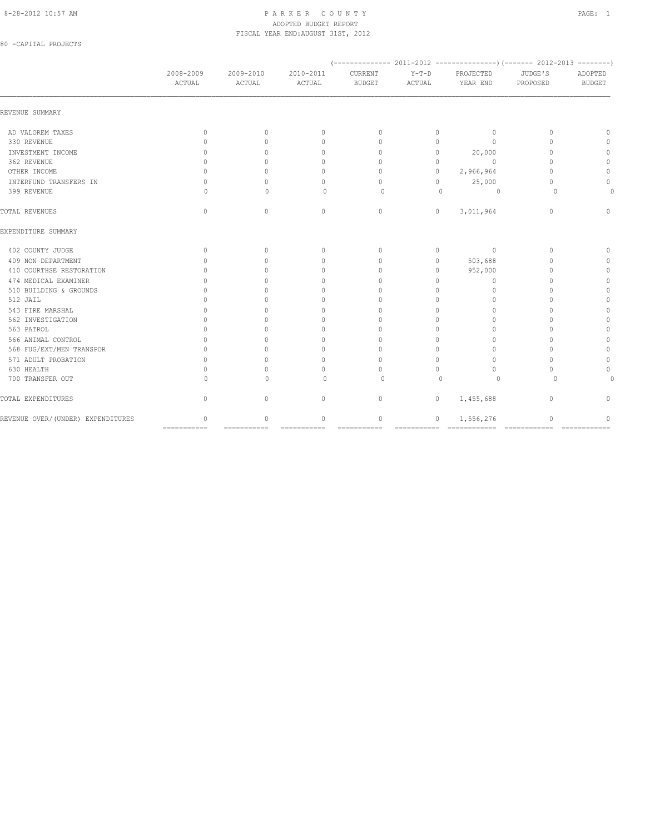#### 8-28-2012 10:57 AM PAGE: 1 ADOPTED BUDGET REPORT FISCAL YEAR END:AUGUST 31ST, 2012

80 -CAPITAL PROJECTS

|                                   | 2008-2009<br>ACTUAL              | 2009-2010<br>ACTUAL         | 2010-2011<br>ACTUAL             | CURRENT<br><b>BUDGET</b>       | $Y-T-D$<br>ACTUAL | PROJECTED<br>YEAR END | JUDGE'S<br>PROPOSED | ADOPTED<br><b>BUDGET</b> |
|-----------------------------------|----------------------------------|-----------------------------|---------------------------------|--------------------------------|-------------------|-----------------------|---------------------|--------------------------|
| REVENUE SUMMARY                   |                                  |                             |                                 |                                |                   |                       |                     |                          |
| AD VALOREM TAXES                  | $\mathbf{0}$                     | $\circ$                     | $\mathbf{0}$                    | $\circ$                        | 0                 | $\circ$               | $\mathbf{0}$        | n                        |
| 330 REVENUE                       | 0                                | $\Omega$                    | $\mathbf{0}$                    | $\Omega$                       | 0                 | $\Omega$              | $\Omega$            | $\cap$                   |
| INVESTMENT INCOME                 | $\begin{array}{c} \n\end{array}$ | 0                           | 0                               | $\Omega$                       | $\circ$           | 20,000                | $\Omega$            | $\cap$                   |
| 362 REVENUE                       | $\Omega$                         |                             | 0                               | $\mathbf{0}$                   | $\circ$           | $\Omega$              | $\cap$              | $\Omega$                 |
| OTHER INCOME                      | $\Omega$                         |                             | 0                               | $\Omega$                       | $\circ$           | 2,966,964             | $\cap$              | $\Omega$                 |
| INTERFUND TRANSFERS IN            | $\mathbf{0}$                     |                             | $\mathbf{0}$                    | $\Omega$                       | $\circ$           | 25,000                | $\Omega$            | $\Omega$                 |
| 399 REVENUE                       | $\Omega$                         | $\cap$                      | $\Omega$                        | $\Omega$                       | $\Omega$          | $\circ$               | $\Omega$            |                          |
| TOTAL REVENUES                    | $\mathbf{0}$                     | $\mathbf{0}$                | $\circ$                         | $\circ$                        | $\circ$           | 3,011,964             | $\mathbf{0}$        | 0                        |
| EXPENDITURE SUMMARY               |                                  |                             |                                 |                                |                   |                       |                     |                          |
| 402 COUNTY JUDGE                  | $\mathbf{0}$                     | $\Omega$                    | $\mathbf{0}$                    | $\Omega$                       | $\circ$           | $\circ$               | $\Omega$            | $\mathbf{0}$             |
| 409 NON DEPARTMENT                | $\Omega$                         | $\cap$                      | $\mathbf{0}$                    | $\Omega$                       | $\circ$           | 503,688               | $\cap$              | $\cap$                   |
| 410 COURTHSE RESTORATION          | $\begin{array}{c} \n\end{array}$ | ∩                           | 0                               | $\Omega$                       | 0                 | 952,000               | $\Omega$            | $\mathbf{0}$             |
| 474 MEDICAL EXAMINER              | $\Omega$                         |                             | $\mathbf{0}$                    | $\Omega$                       | $\Omega$          | $\circ$               | $\cap$              | $\mathbf{0}$             |
| 510 BUILDING & GROUNDS            | $\Omega$                         |                             | $\Omega$                        | $\Omega$                       | $\Omega$          | $\Omega$              | $\cap$              | $\mathbf{0}$             |
| 512 JAIL                          | O                                |                             | $\Omega$                        | $\cap$                         | $\Omega$          | $\Omega$              | $\Omega$            | $\Omega$                 |
| 543 FIRE MARSHAL                  | $\bigcap$                        |                             | $\Omega$                        | $\cap$                         | $\Omega$          | $\bigcap$             | $\cap$              | $\Omega$                 |
| 562 INVESTIGATION                 | O                                |                             | $\mathbf{0}$                    | $\bigcap$                      | $\Omega$          | $\Omega$              | $\cap$              | $\mathbf{0}$             |
| 563 PATROL                        | $\cap$                           |                             | $\mathbf{0}$                    | $\bigcap$                      | $\Omega$          | $\cap$                | $\cap$              | $\Omega$                 |
| 566 ANIMAL CONTROL                | $\bigcap$                        |                             | $\mathbf{0}$                    | $\cap$                         | $\Omega$          | $\Omega$              |                     | $\Omega$                 |
| 568 FUG/EXT/MEN TRANSPOR          | $\Omega$                         |                             | $\mathbf{0}$                    | $\Omega$                       | $\circ$           | $\Omega$              | n                   | $\Omega$                 |
| 571 ADULT PROBATION               | $\Omega$                         | $\cap$                      | $\mathbf{0}$                    | $\Omega$                       | $\circ$           | $\Omega$              | $\cap$              | 0                        |
| 630 HEALTH                        | $\Omega$                         |                             | $\Omega$                        | $\Omega$                       | $\Omega$          | $\Omega$              | $\Omega$            |                          |
| 700 TRANSFER OUT                  | $\cap$                           | U                           | $\Omega$                        | $\Omega$                       | $\Omega$          | $\Omega$              | $\Omega$            |                          |
| TOTAL EXPENDITURES                | $\mathbf{0}$                     | $\circ$                     | $\mathbf 0$                     | $\circ$                        | $\circ$           | 1,455,688             | $\circ$             | n                        |
| REVENUE OVER/(UNDER) EXPENDITURES | 0<br>===========                 | $\mathbf{0}$<br>=========== | $\mathbf{0}$<br>$=$ =========== | 0<br>$=$ = = = = = = = = = = = | 0                 | 1,556,276             | $\Omega$            | n                        |
|                                   |                                  |                             |                                 |                                |                   |                       |                     |                          |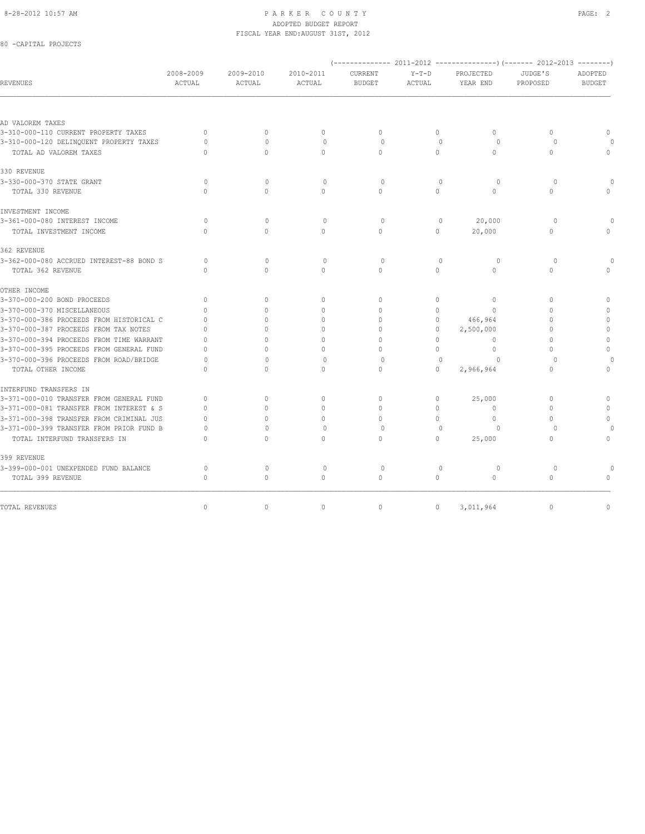#### 8-28-2012 10:57 AM PAGE: 2 ADOPTED BUDGET REPORT FISCAL YEAR END:AUGUST 31ST, 2012

### 80 -CAPITAL PROJECTS

| PROJECTED<br>YEAR END<br>$\Omega$<br>$\Omega$<br>$\cap$<br>$\circ$<br>$\Omega$ | JUDGE'S<br>PROPOSED<br>$\Omega$<br>$\Omega$<br>$\Omega$<br>$\mathbf 0$<br>$\Omega$ | ADOPTED<br><b>BUDGET</b><br>$\Omega$<br>$\Omega$<br>$\bigcap$ |
|--------------------------------------------------------------------------------|------------------------------------------------------------------------------------|---------------------------------------------------------------|
|                                                                                |                                                                                    |                                                               |
|                                                                                |                                                                                    |                                                               |
|                                                                                |                                                                                    |                                                               |
|                                                                                |                                                                                    |                                                               |
|                                                                                |                                                                                    |                                                               |
|                                                                                |                                                                                    |                                                               |
|                                                                                |                                                                                    |                                                               |
|                                                                                |                                                                                    |                                                               |
|                                                                                |                                                                                    |                                                               |
|                                                                                |                                                                                    |                                                               |
| 20,000                                                                         | $\circ$                                                                            |                                                               |
| 20,000                                                                         | $\Omega$                                                                           |                                                               |
|                                                                                |                                                                                    |                                                               |
| $\circ$                                                                        | $\circ$                                                                            |                                                               |
| $\Omega$                                                                       | $\Omega$                                                                           |                                                               |
|                                                                                |                                                                                    |                                                               |
| $\begin{array}{c} \n\end{array}$                                               | $\Omega$                                                                           | $\Omega$                                                      |
| $\Omega$                                                                       | $\Omega$                                                                           |                                                               |
| 466,964                                                                        | $\Omega$                                                                           | $\Omega$                                                      |
| 2,500,000                                                                      | $\Omega$                                                                           | $\mathbf{0}$                                                  |
| $\Omega$                                                                       | $\Omega$                                                                           | $\mathbf{0}$                                                  |
| $\Omega$                                                                       | $\Omega$                                                                           | $\mathbf{0}$                                                  |
| $\cap$                                                                         | $\Omega$                                                                           |                                                               |
| 2,966,964                                                                      | $\Omega$                                                                           | $\Omega$                                                      |
|                                                                                |                                                                                    |                                                               |
| 25,000                                                                         | $\mathbf{0}$                                                                       | $\Omega$                                                      |
| $\Omega$                                                                       | $\Omega$                                                                           |                                                               |
| $\Omega$                                                                       | $\Omega$                                                                           | $\Omega$                                                      |
|                                                                                |                                                                                    |                                                               |
| 25,000                                                                         | $\Omega$                                                                           | $\circ$                                                       |
|                                                                                |                                                                                    |                                                               |
| $\circ$                                                                        | $\circ$                                                                            |                                                               |
| $\Omega$                                                                       | $\Omega$                                                                           | $\bigcap$                                                     |
| 3,011,964                                                                      | $\mathbf{0}$                                                                       | $\mathbb O$                                                   |
|                                                                                | $\Omega$                                                                           | $\circ$                                                       |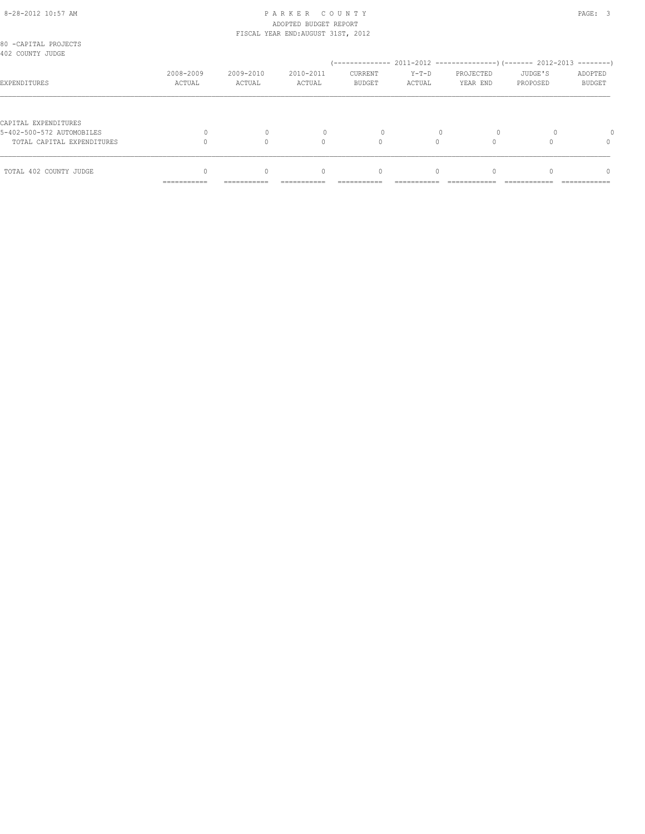#### 8-28-2012 10:57 AM PAGE: 3 ADOPTED BUDGET REPORT FISCAL YEAR END:AUGUST 31ST, 2012

|                                                                                 | ===========         | ===========         | ===========         | ===========              | ===========       | ============          | ============                                    | =============     |
|---------------------------------------------------------------------------------|---------------------|---------------------|---------------------|--------------------------|-------------------|-----------------------|-------------------------------------------------|-------------------|
| TOTAL 402 COUNTY JUDGE                                                          |                     |                     | 0                   | 0                        | $\Omega$          |                       |                                                 | $\Omega$          |
| CAPITAL EXPENDITURES<br>5-402-500-572 AUTOMOBILES<br>TOTAL CAPITAL EXPENDITURES |                     | $\mathbf{0}$        | $\Omega$            | 0                        |                   | $\circ$               |                                                 | $\Omega$          |
| EXPENDITURES                                                                    | 2008-2009<br>ACTUAL | 2009-2010<br>ACTUAL | 2010-2011<br>ACTUAL | CURRENT<br><b>BUDGET</b> | $Y-T-D$<br>ACTUAL | PROJECTED<br>YEAR END | JUDGE'S<br>PROPOSED                             | ADOPTED<br>BUDGET |
| 80 -CAPITAL PROJECTS<br>402 COUNTY JUDGE                                        |                     |                     |                     | / ______________         |                   |                       | 2011-2012 -----------------) (------- 2012-2013 | --------          |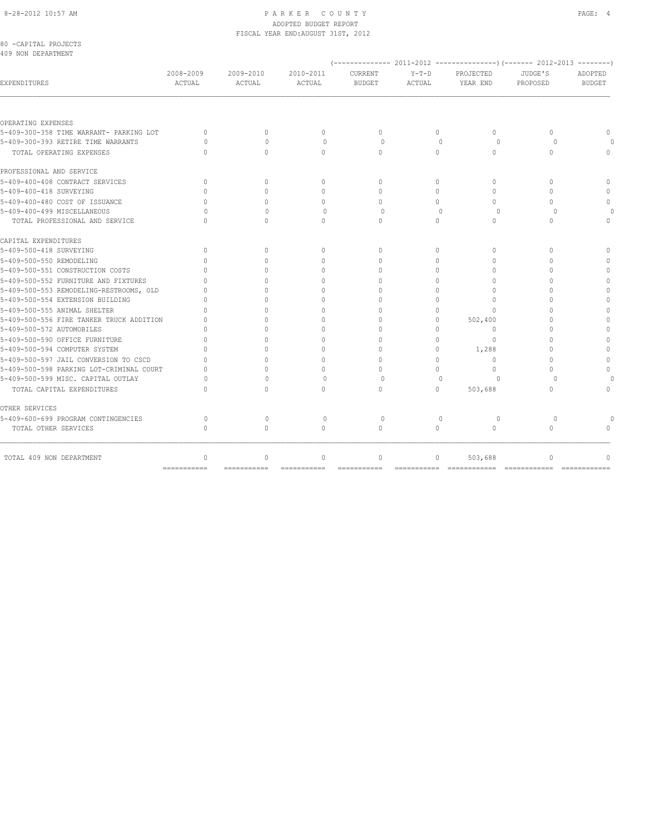#### 8-28-2012 10:57 AM PAGE: 4 ADOPTED BUDGET REPORT FISCAL YEAR END:AUGUST 31ST, 2012

| 80 -CAPITAL PROJECTS<br>409 NON DEPARTMENT |                     |                            |                            |                          |                   |                                  |                     |                          |
|--------------------------------------------|---------------------|----------------------------|----------------------------|--------------------------|-------------------|----------------------------------|---------------------|--------------------------|
|                                            |                     |                            |                            |                          |                   |                                  |                     |                          |
| EXPENDITURES                               | 2008-2009<br>ACTUAL | 2009-2010<br><b>ACTUAL</b> | 2010-2011<br><b>ACTUAL</b> | CURRENT<br><b>BUDGET</b> | $Y-T-D$<br>ACTUAL | PROJECTED<br>YEAR END            | JUDGE'S<br>PROPOSED | ADOPTED<br><b>BUDGET</b> |
| OPERATING EXPENSES                         |                     |                            |                            |                          |                   |                                  |                     |                          |
| 5-409-300-358 TIME WARRANT- PARKING LOT    | $\Omega$            | $\Omega$                   | $\Omega$                   | $\Omega$                 | $\Omega$          | $\Omega$                         | $\Omega$            | $\Omega$                 |
| 5-409-300-393 RETIRE TIME WARRANTS         | $\cap$              | $\bigcap$                  | $\Omega$                   | $\Omega$                 |                   | $\Omega$<br>$\Omega$             | $\Omega$            |                          |
| TOTAL OPERATING EXPENSES                   | $\Omega$            | $\Omega$                   | $\Omega$                   | $\Omega$                 | $\circ$           | $\circ$                          | $\mathbf{0}$        | $\cap$                   |
| PROFESSIONAL AND SERVICE                   |                     |                            |                            |                          |                   |                                  |                     |                          |
| 5-409-400-408 CONTRACT SERVICES            | $\mathbf{0}$        | $\mathbf{0}$               | $\mathbf{0}$               | $\mathbf{0}$             | $\circ$           | $\mathbf{0}$                     | $\Omega$            | $\Omega$                 |
| 5-409-400-418 SURVEYING                    | $\cap$              | $\Omega$                   | $\Omega$                   | $\Omega$                 | $\Omega$          | $\Omega$                         | $\Omega$            | $\Omega$                 |
| 5-409-400-480 COST OF ISSUANCE             | $\cap$              | $\bigcap$                  | 0                          | $\Omega$                 | $\Omega$          | $\begin{array}{c} \n\end{array}$ | $\bigcap$           | $\cap$                   |
| 5-409-400-499 MISCELLANEOUS                | U                   | $\Omega$                   | 0                          | 0                        |                   | $\mathbf{0}$<br>$\circ$          | $\Omega$            |                          |
| TOTAL PROFESSIONAL AND SERVICE             | $\Omega$            | $\Omega$                   | $\Omega$                   | $\mathbf{0}$             | $\Omega$          | $\mathbf{0}$                     | $\Omega$            | $\Omega$                 |
| CAPITAL EXPENDITURES                       |                     |                            |                            |                          |                   |                                  |                     |                          |
| 5-409-500-418 SURVEYING                    | $\Omega$            | $\Omega$                   | $\Omega$                   | $\Omega$                 | $\Omega$          | $\Omega$                         | $\Omega$            | $\Omega$                 |
| 5-409-500-550 REMODELING                   | $\Omega$            | $\Omega$                   | $\Omega$                   | $\Omega$                 | $\Omega$          | $\Omega$                         | $\Omega$            | $\Omega$                 |
| 5-409-500-551 CONSTRUCTION COSTS           | $\cap$              | $\bigcap$                  | $\Omega$                   | $\Omega$                 | $\Omega$          | $\Omega$                         | $\bigcap$           | $\cap$                   |
| 5-409-500-552 FURNITURE AND FIXTURES       | $\cap$              | ∩                          | 0                          | $\cap$                   | $\Omega$          | 0                                | $\cup$              | $\Omega$                 |
| 5-409-500-553 REMODELING-RESTROOMS, OLD    | n                   | ∩                          | $\Omega$                   | $\cap$                   | $\Omega$          | $\Omega$                         | $\cap$              | $\Omega$                 |
| 5-409-500-554 EXTENSION BUILDING           |                     | $\cap$                     | $\Omega$                   | $\cap$                   | $\Omega$          | $\Omega$                         | $\cap$              | $\cap$                   |
| 5-409-500-555 ANIMAL SHELTER               | $\cap$              | $\Omega$                   | 0                          | $\cap$                   | $\Omega$          | $\Omega$                         | O                   | $\Omega$                 |
| 5-409-500-556 FIRE TANKER TRUCK ADDITION   | $\cap$              | $\cap$                     | $\Omega$                   | $\Omega$                 | $\Omega$          | 502,400                          | $\cap$              | $\Omega$                 |
| 5-409-500-572 AUTOMOBILES                  |                     |                            | $\Omega$                   | $\Omega$                 | $\Omega$          | $\Omega$                         | $\Omega$            |                          |
| 5-409-500-590 OFFICE FURNITURE             | $\cap$              | $\cap$                     | $\Omega$                   | $\cap$                   | $\Omega$          | $\Omega$                         | O                   | $\cap$                   |
| 5-409-500-594 COMPUTER SYSTEM              | $\cap$              | $\cap$                     | $\Omega$                   | $\Omega$                 | $\Omega$          | 1,288                            | $\bigcap$           | $\Omega$                 |
| 5-409-500-597 JAIL CONVERSION TO CSCD      | n                   | $\bigcap$                  | $\Omega$                   | $\Omega$                 | $\Omega$          | $\Omega$                         | $\Omega$            | $\Omega$                 |
| 5-409-500-598 PARKING LOT-CRIMINAL COURT   | $\cap$              | $\bigcap$                  | $\Omega$                   | $\cap$                   | $\Omega$          | $\Omega$                         | $\bigcap$           | $\cap$                   |
| 5-409-500-599 MISC. CAPITAL OUTLAY         | O                   | $\Omega$                   | $\Omega$                   | $\Omega$                 |                   | $\Omega$<br>$\Omega$             | $\Omega$            |                          |
| TOTAL CAPITAL EXPENDITURES                 | ∩                   | $\Omega$                   | $\Omega$                   | $\Omega$                 | $\Omega$          | 503,688                          | $\Omega$            | $\cap$                   |
| OTHER SERVICES                             |                     |                            |                            |                          |                   |                                  |                     |                          |
| 5-409-600-699 PROGRAM CONTINGENCIES        | $\Omega$            | $\Omega$                   | $\Omega$                   | $\Omega$                 |                   | $\Omega$<br>$\Omega$             | $\Omega$            |                          |
| TOTAL OTHER SERVICES                       | $\Omega$            | $\Omega$                   | $\Omega$                   | $\Omega$                 | $\Omega$          | $\Omega$                         | $\Omega$            |                          |
| TOTAL 409 NON DEPARTMENT                   | $\mathbf{0}$        | $\Omega$                   | $\circ$                    | $\mathbf{0}$             | $\circ$           | 503,688                          | $\mathbf{0}$        | $\cap$                   |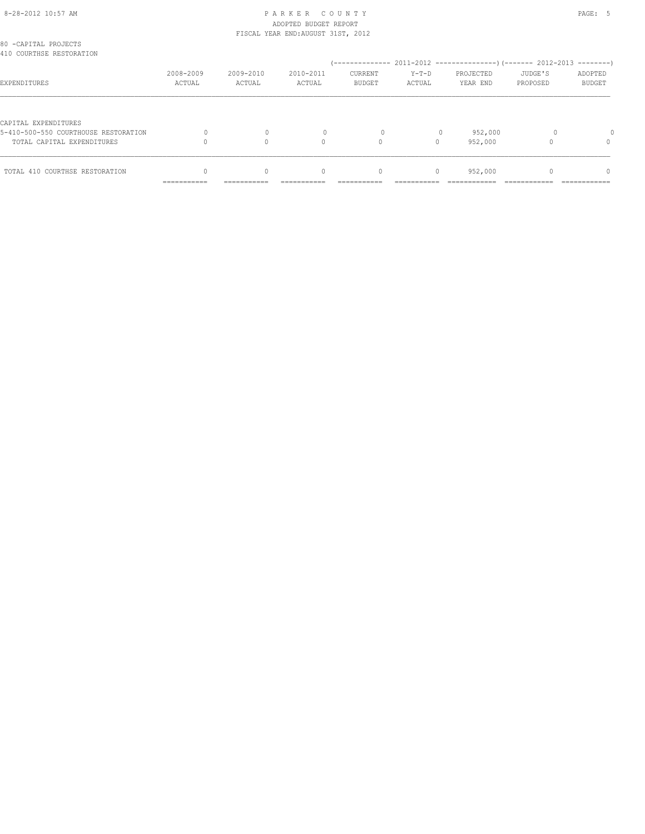#### 8-28-2012 10:57 AM PAGE: 5 ADOPTED BUDGET REPORT FISCAL YEAR END:AUGUST 31ST, 2012

|                                                                    | ------------        |                     |                                  |                          |                   |                       |                     |                   |
|--------------------------------------------------------------------|---------------------|---------------------|----------------------------------|--------------------------|-------------------|-----------------------|---------------------|-------------------|
| TOTAL 410 COURTHSE RESTORATION                                     |                     | $\Omega$            | $\begin{array}{c} \n\end{array}$ | $\mathbf{0}$             | 0                 | 952,000               |                     | $\Omega$          |
| 5-410-500-550 COURTHOUSE RESTORATION<br>TOTAL CAPITAL EXPENDITURES |                     | 0                   | $\Omega$                         | 0<br>$\circ$             | $\Omega$          | 952,000<br>952,000    |                     | $\Omega$          |
| CAPITAL EXPENDITURES                                               |                     |                     |                                  |                          |                   |                       |                     |                   |
| EXPENDITURES                                                       | 2008-2009<br>ACTUAL | 2009-2010<br>ACTUAL | 2010-2011<br>ACTUAL              | CURRENT<br><b>BUDGET</b> | $Y-T-D$<br>ACTUAL | PROJECTED<br>YEAR END | JUDGE'S<br>PROPOSED | ADOPTED<br>BUDGET |
| 80 -CAPITAL PROJECTS<br>410 COURTHSE RESTORATION                   |                     |                     |                                  |                          |                   |                       |                     |                   |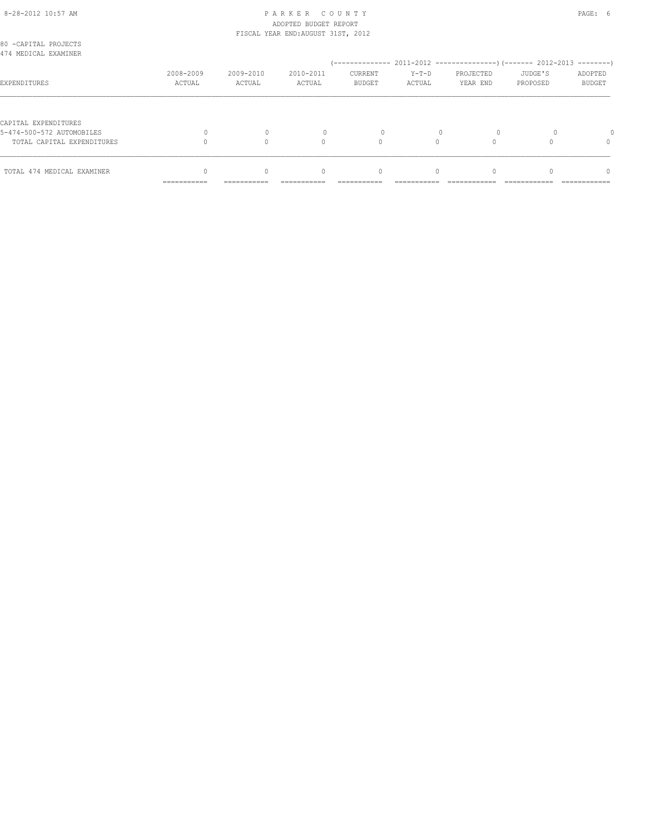#### 8-28-2012 10:57 AM PAGE: 6 ADOPTED BUDGET REPORT FISCAL YEAR END:AUGUST 31ST, 2012

|                                                                                 | ===========         | ===========         | ===========         | ===========              | ===========       | ============          | ============        | =============            |
|---------------------------------------------------------------------------------|---------------------|---------------------|---------------------|--------------------------|-------------------|-----------------------|---------------------|--------------------------|
| TOTAL 474 MEDICAL EXAMINER                                                      |                     |                     | 0                   | 0                        | $\Omega$          |                       |                     | $\Omega$                 |
| CAPITAL EXPENDITURES<br>5-474-500-572 AUTOMOBILES<br>TOTAL CAPITAL EXPENDITURES |                     |                     | $\Omega$            | 0                        | $\Omega$          | 0                     |                     | $\Omega$                 |
| EXPENDITURES                                                                    | 2008-2009<br>ACTUAL | 2009-2010<br>ACTUAL | 2010-2011<br>ACTUAL | CURRENT<br><b>BUDGET</b> | $Y-T-D$<br>ACTUAL | PROJECTED<br>YEAR END | JUDGE'S<br>PROPOSED | ADOPTED<br><b>BUDGET</b> |
| 80 -CAPITAL PROJECTS<br>474 MEDICAL EXAMINER                                    |                     |                     |                     |                          |                   |                       |                     |                          |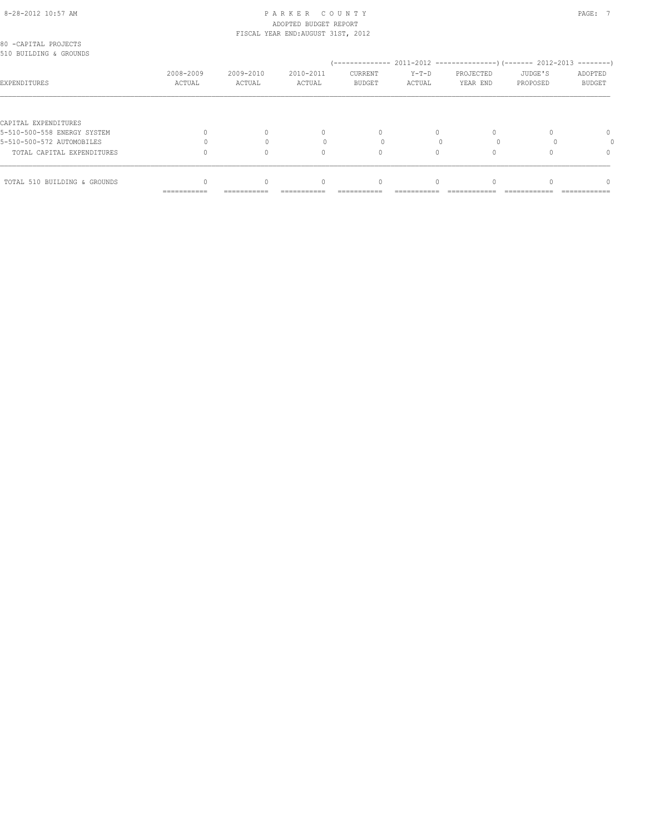#### 8-28-2012 10:57 AM PAGE: 7 ADOPTED BUDGET REPORT FISCAL YEAR END:AUGUST 31ST, 2012

| 80 -CAPITAL PROJECTS<br>510 BUILDING & GROUNDS |             |             |           |               |        |           |          |               |
|------------------------------------------------|-------------|-------------|-----------|---------------|--------|-----------|----------|---------------|
|                                                |             |             |           |               |        |           |          |               |
|                                                | 2008-2009   | 2009-2010   | 2010-2011 | CURRENT       | Y-T-D  | PROJECTED | JUDGE'S  | ADOPTED       |
| EXPENDITURES                                   | ACTUAL      | ACTUAL      | ACTUAL    | <b>BUDGET</b> | ACTUAL | YEAR END  | PROPOSED | <b>BUDGET</b> |
|                                                |             |             |           |               |        |           |          |               |
| CAPITAL EXPENDITURES                           |             |             |           |               |        |           |          |               |
| 5-510-500-558 ENERGY SYSTEM                    |             |             | 0         |               |        |           |          | $\Omega$      |
| 5-510-500-572 AUTOMOBILES                      |             |             |           |               |        |           |          |               |
| TOTAL CAPITAL EXPENDITURES                     |             |             | $\Omega$  | 0             |        |           |          |               |
|                                                |             |             |           |               |        |           |          |               |
| TOTAL 510 BUILDING & GROUNDS                   |             |             | $\Omega$  | 0             |        |           |          | ∩             |
|                                                | =========== | =========== |           |               |        |           |          |               |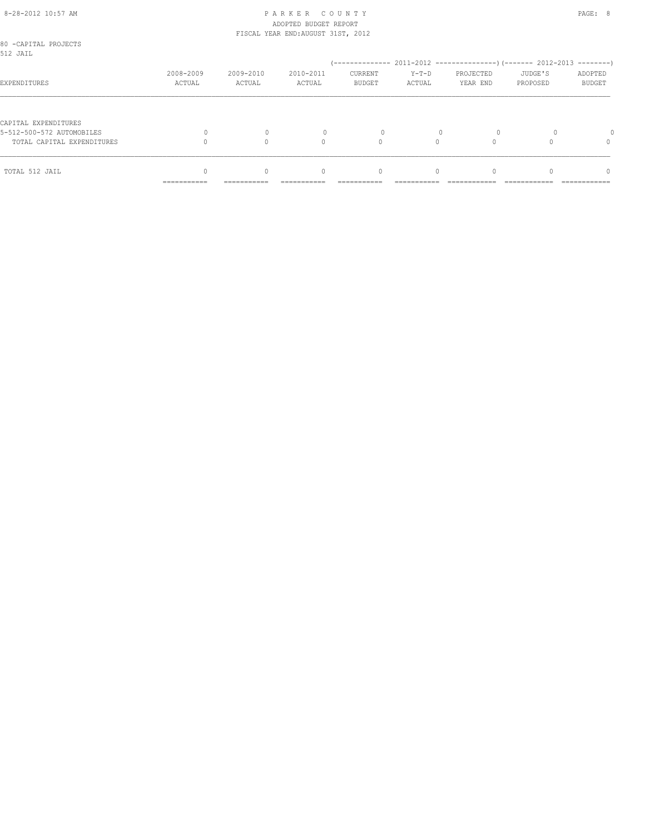#### 8-28-2012 10:57 AM PAGE: 8 ADOPTED BUDGET REPORT FISCAL YEAR END:AUGUST 31ST, 2012

|                                                         | ===========         | ===========         | ===========         | ===========              | ===========          | ============          | ============        | =============            |
|---------------------------------------------------------|---------------------|---------------------|---------------------|--------------------------|----------------------|-----------------------|---------------------|--------------------------|
| TOTAL 512 JAIL                                          |                     | $\Omega$            | 0                   | 0                        | $\Omega$             |                       |                     | $\Omega$                 |
| 5-512-500-572 AUTOMOBILES<br>TOTAL CAPITAL EXPENDITURES |                     | $\Omega$            | $\Omega$            | 0                        | $\Omega$<br>$\Omega$ | $\Omega$              |                     | $\Omega$                 |
| CAPITAL EXPENDITURES                                    |                     |                     |                     |                          |                      |                       |                     |                          |
| EXPENDITURES                                            | 2008-2009<br>ACTUAL | 2009-2010<br>ACTUAL | 2010-2011<br>ACTUAL | CURRENT<br><b>BUDGET</b> | $Y-T-D$<br>ACTUAL    | PROJECTED<br>YEAR END | JUDGE'S<br>PROPOSED | ADOPTED<br><b>BUDGET</b> |
| 80 -CAPITAL PROJECTS<br>512 JAIL                        |                     |                     |                     |                          |                      |                       |                     |                          |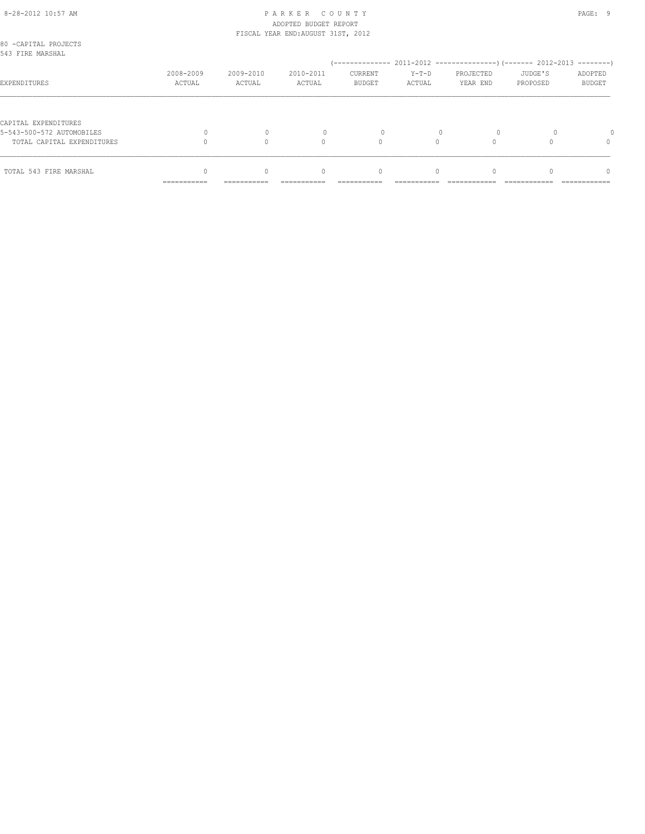#### 8-28-2012 10:57 AM PAGE: 9 ADOPTED BUDGET REPORT FISCAL YEAR END:AUGUST 31ST, 2012

|                                                                                 | ===========         | ===========         | ===========         | ===========                                  | ===========       | ============                                                             | ============        | =============                 |
|---------------------------------------------------------------------------------|---------------------|---------------------|---------------------|----------------------------------------------|-------------------|--------------------------------------------------------------------------|---------------------|-------------------------------|
| TOTAL 543 FIRE MARSHAL                                                          |                     | $\Omega$            | 0                   | 0                                            | $\Omega$          |                                                                          |                     | $\Omega$                      |
| CAPITAL EXPENDITURES<br>5-543-500-572 AUTOMOBILES<br>TOTAL CAPITAL EXPENDITURES |                     | $\mathbf{0}$        | $\Omega$            | 0                                            |                   | $\circ$                                                                  |                     | $\Omega$                      |
|                                                                                 |                     |                     |                     |                                              |                   |                                                                          |                     |                               |
| 543 FIRE MARSHAL<br>EXPENDITURES                                                | 2008-2009<br>ACTUAL | 2009-2010<br>ACTUAL | 2010-2011<br>ACTUAL | / ______________<br>CURRENT<br><b>BUDGET</b> | $Y-T-D$<br>ACTUAL | 2011-2012 -----------------) (------- 2012-2013<br>PROJECTED<br>YEAR END | JUDGE'S<br>PROPOSED | --------<br>ADOPTED<br>BUDGET |
| 80 -CAPITAL PROJECTS                                                            |                     |                     |                     |                                              |                   |                                                                          |                     |                               |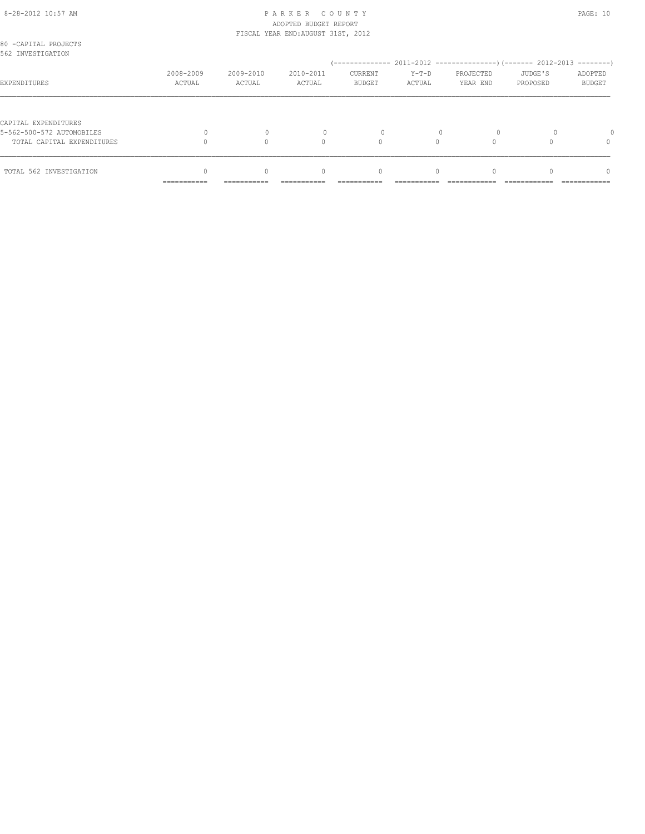#### 8-28-2012 10:57 AM P A R K E R C O U N T Y PAGE: 10 ADOPTED BUDGET REPORT FISCAL YEAR END:AUGUST 31ST, 2012

| 80 -CAPITAL PROJECTS<br>562 INVESTIGATION |                           |                     |                                  |                          |                   |                       |                     |                          |
|-------------------------------------------|---------------------------|---------------------|----------------------------------|--------------------------|-------------------|-----------------------|---------------------|--------------------------|
|                                           |                           |                     |                                  |                          |                   |                       |                     |                          |
| EXPENDITURES                              | 2008-2009<br>ACTUAL       | 2009-2010<br>ACTUAL | 2010-2011<br>ACTUAL              | CURRENT<br><b>BUDGET</b> | $Y-T-D$<br>ACTUAL | PROJECTED<br>YEAR END | JUDGE'S<br>PROPOSED | ADOPTED<br><b>BUDGET</b> |
|                                           |                           |                     |                                  |                          |                   |                       |                     |                          |
| CAPITAL EXPENDITURES                      |                           |                     |                                  |                          |                   |                       |                     |                          |
| 5-562-500-572 AUTOMOBILES                 |                           |                     |                                  | $\Omega$                 |                   |                       |                     |                          |
| TOTAL CAPITAL EXPENDITURES                |                           |                     | $\Omega$                         | $\Omega$                 |                   |                       |                     | 0                        |
| TOTAL 562 INVESTIGATION                   |                           | $\Omega$            | $\begin{array}{c} \n\end{array}$ | $\mathbf{0}$             | $\Omega$          |                       |                     | $\cap$                   |
|                                           | __________<br>----------- | -----------         | ----------                       | ----------               | ----------        |                       |                     | ------------             |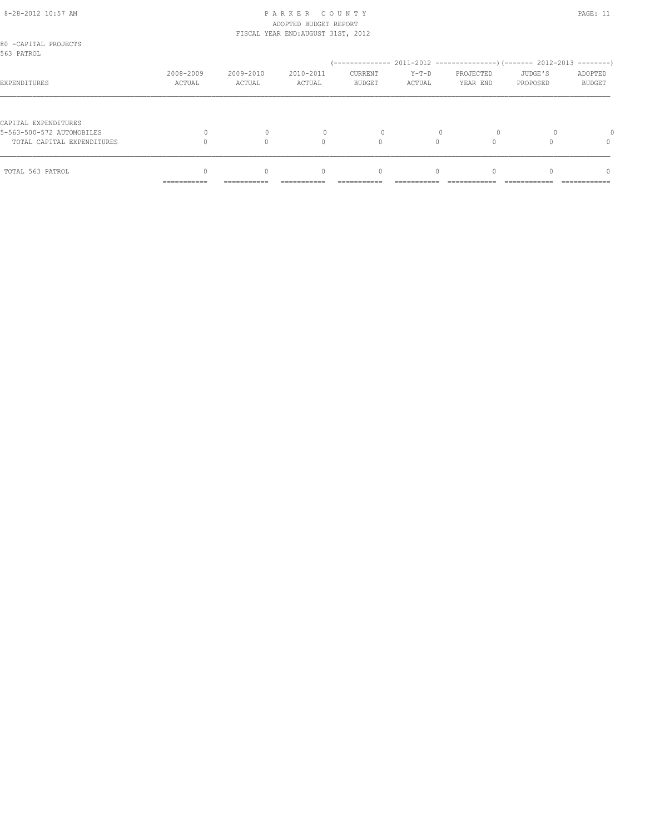#### 8-28-2012 10:57 AM P A R K E R C O U N T Y PAGE: 11 ADOPTED BUDGET REPORT FISCAL YEAR END:AUGUST 31ST, 2012

| 80 -CAPITAL PROJECTS<br>563 PATROL |                            |                     |                                  |                          |                   |                       |                     |                          |
|------------------------------------|----------------------------|---------------------|----------------------------------|--------------------------|-------------------|-----------------------|---------------------|--------------------------|
|                                    |                            |                     |                                  |                          |                   |                       |                     |                          |
| EXPENDITURES                       | 2008-2009<br>ACTUAL        | 2009-2010<br>ACTUAL | 2010-2011<br>ACTUAL              | CURRENT<br><b>BUDGET</b> | $Y-T-D$<br>ACTUAL | PROJECTED<br>YEAR END | JUDGE'S<br>PROPOSED | ADOPTED<br><b>BUDGET</b> |
|                                    |                            |                     |                                  |                          |                   |                       |                     |                          |
| CAPITAL EXPENDITURES               |                            |                     |                                  |                          |                   |                       |                     |                          |
| 5-563-500-572 AUTOMOBILES          |                            |                     |                                  | $\Omega$                 |                   |                       |                     |                          |
| TOTAL CAPITAL EXPENDITURES         |                            |                     | $\Omega$                         | $\Omega$                 |                   |                       |                     | 0                        |
| TOTAL 563 PATROL                   |                            | $\Omega$            | $\begin{array}{c} \n\end{array}$ | $\mathbf{0}$             | $\Omega$          |                       |                     | $\cap$                   |
|                                    | -----------<br>----------- | -----------         | ----------                       | ----------               | ----------        |                       |                     | ------------             |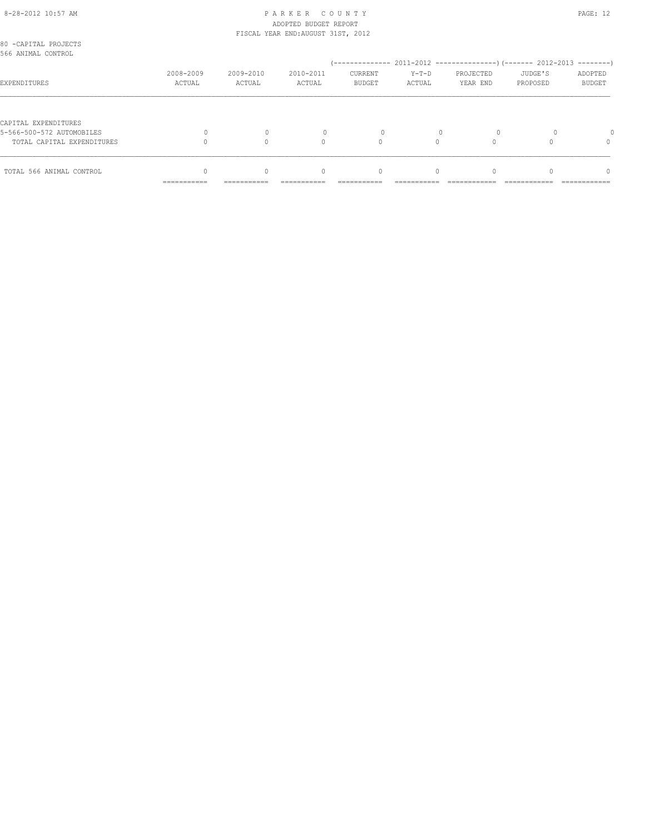#### 8-28-2012 10:57 AM PAGE: 12 ADOPTED BUDGET REPORT FISCAL YEAR END:AUGUST 31ST, 2012

| TOTAL 566 ANIMAL CONTROL                          |                     | $\Omega$            | $\begin{array}{c} \n\end{array}$ | $\mathbf{0}$      | $\Omega$          |                       |                     | $\Omega$                 |
|---------------------------------------------------|---------------------|---------------------|----------------------------------|-------------------|-------------------|-----------------------|---------------------|--------------------------|
| TOTAL CAPITAL EXPENDITURES                        |                     |                     | 0                                | $\Omega$          |                   |                       |                     | $\Omega$                 |
| CAPITAL EXPENDITURES<br>5-566-500-572 AUTOMOBILES |                     | $\Omega$            | $\Omega$                         |                   |                   |                       |                     |                          |
| EXPENDITURES                                      | 2008-2009<br>ACTUAL | 2009-2010<br>ACTUAL | 2010-2011<br>ACTUAL              | CURRENT<br>BUDGET | $Y-T-D$<br>ACTUAL | PROJECTED<br>YEAR END | JUDGE'S<br>PROPOSED | ADOPTED<br><b>BUDGET</b> |
| 80 -CAPITAL PROJECTS<br>566 ANIMAL CONTROL        |                     |                     |                                  |                   |                   |                       |                     |                          |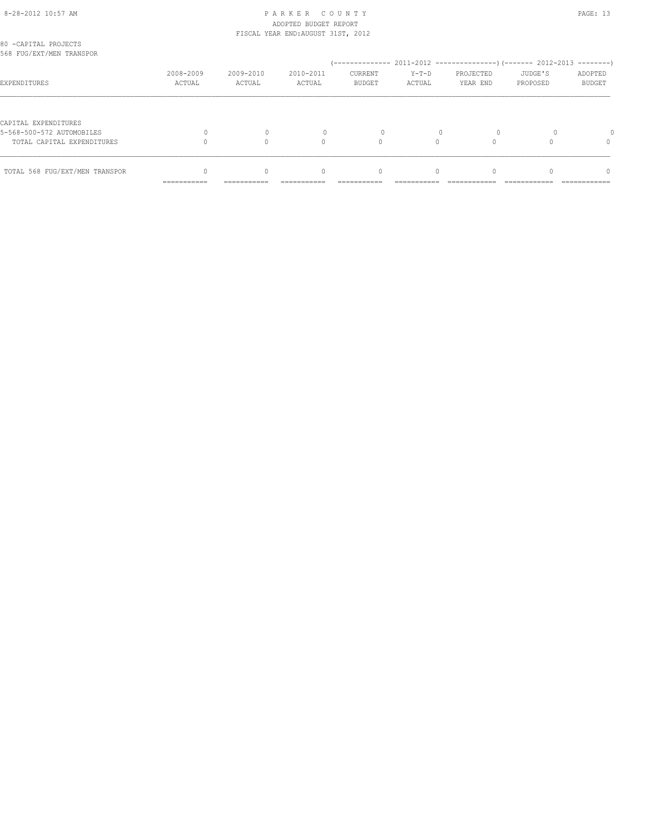#### 8-28-2012 10:57 AM P A R K E R C O U N T Y PAGE: 13 ADOPTED BUDGET REPORT FISCAL YEAR END:AUGUST 31ST, 2012

| TOTAL 568 FUG/EXT/MEN TRANSPOR                          |                     | $\Omega$            | $\begin{array}{c} \n\end{array}$ | $\mathbf{0}$             | $\Omega$          |                       |                     | $\Omega$                 |
|---------------------------------------------------------|---------------------|---------------------|----------------------------------|--------------------------|-------------------|-----------------------|---------------------|--------------------------|
| 5-568-500-572 AUTOMOBILES<br>TOTAL CAPITAL EXPENDITURES |                     | $\mathbf 0$         | 0                                | $\Omega$                 |                   |                       |                     | $\Omega$                 |
| CAPITAL EXPENDITURES                                    |                     |                     |                                  |                          |                   |                       |                     |                          |
| EXPENDITURES                                            | 2008-2009<br>ACTUAL | 2009-2010<br>ACTUAL | 2010-2011<br>ACTUAL              | CURRENT<br><b>BUDGET</b> | $Y-T-D$<br>ACTUAL | PROJECTED<br>YEAR END | JUDGE'S<br>PROPOSED | ADOPTED<br><b>BUDGET</b> |
| 80 -CAPITAL PROJECTS<br>568 FUG/EXT/MEN TRANSPOR        |                     |                     |                                  |                          |                   |                       |                     |                          |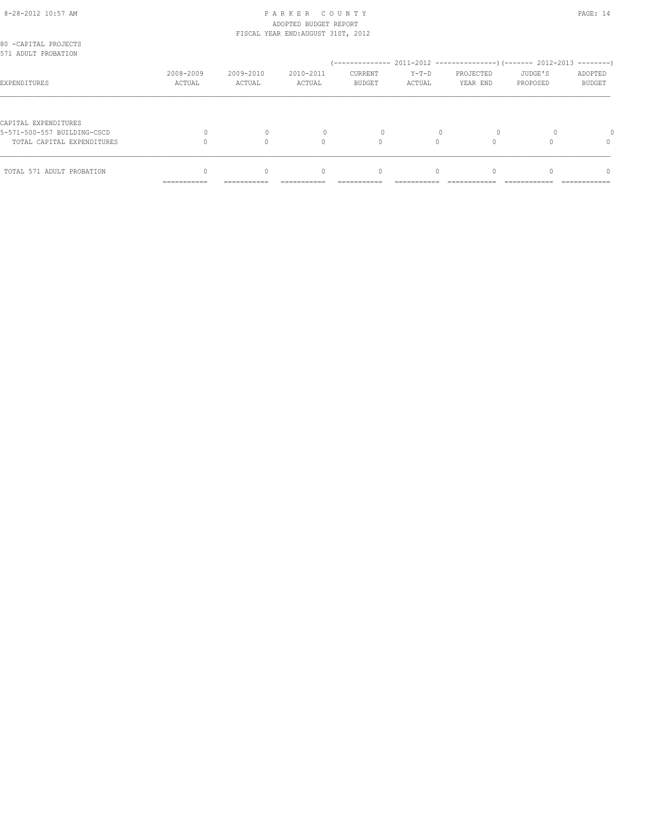#### 8-28-2012 10:57 AM PAGE: 14 ADOPTED BUDGET REPORT FISCAL YEAR END:AUGUST 31ST, 2012

| 80 -CAPITAL PROJECTS<br>571 ADULT PROBATION |                           |                     |                                  |                          |                   |                       |                     |                          |
|---------------------------------------------|---------------------------|---------------------|----------------------------------|--------------------------|-------------------|-----------------------|---------------------|--------------------------|
|                                             |                           |                     |                                  |                          |                   |                       |                     |                          |
| EXPENDITURES                                | 2008-2009<br>ACTUAL       | 2009-2010<br>ACTUAL | 2010-2011<br>ACTUAL              | CURRENT<br><b>BUDGET</b> | $Y-T-D$<br>ACTUAL | PROJECTED<br>YEAR END | JUDGE'S<br>PROPOSED | ADOPTED<br><b>BUDGET</b> |
|                                             |                           |                     |                                  |                          |                   |                       |                     |                          |
| CAPITAL EXPENDITURES                        |                           |                     |                                  |                          |                   |                       |                     |                          |
| 5-571-500-557 BUILDING-CSCD                 |                           |                     |                                  |                          |                   |                       |                     |                          |
| TOTAL CAPITAL EXPENDITURES                  |                           |                     | $\Omega$                         |                          |                   |                       |                     | 0                        |
| TOTAL 571 ADULT PROBATION                   |                           | $\Omega$            | $\begin{array}{c} \n\end{array}$ | $\mathbf{0}$             | $\Omega$          |                       |                     | $\cap$                   |
|                                             | __________<br>----------- | -----------         | ----------                       | ----------               | ---------         |                       |                     | ------------             |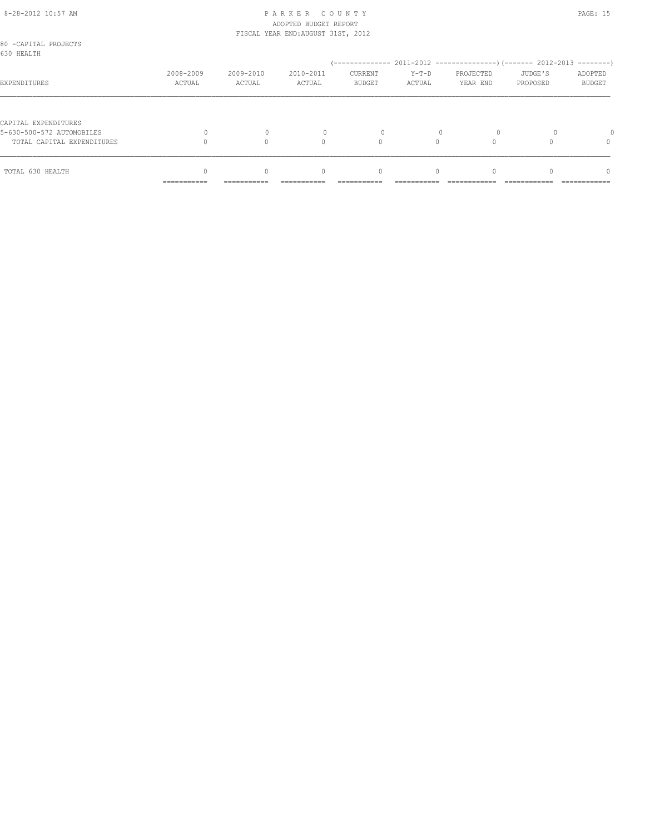#### 8-28-2012 10:57 AM P A R K E R C O U N T Y PAGE: 15 ADOPTED BUDGET REPORT FISCAL YEAR END:AUGUST 31ST, 2012

| 80 -CAPITAL PROJECTS<br>630 HEALTH |                            |                         |                                                |                            |                        |                       |                     |                          |
|------------------------------------|----------------------------|-------------------------|------------------------------------------------|----------------------------|------------------------|-----------------------|---------------------|--------------------------|
|                                    |                            |                         |                                                |                            |                        |                       |                     |                          |
| EXPENDITURES                       | 2008-2009<br>ACTUAL        | 2009-2010<br>ACTUAL     | 2010-2011<br>ACTUAL                            | CURRENT<br><b>BUDGET</b>   | $Y-T-D$<br>ACTUAL      | PROJECTED<br>YEAR END | JUDGE'S<br>PROPOSED | ADOPTED<br><b>BUDGET</b> |
|                                    |                            |                         |                                                |                            |                        |                       |                     |                          |
| CAPITAL EXPENDITURES               |                            |                         |                                                |                            |                        |                       |                     |                          |
| 5-630-500-572 AUTOMOBILES          |                            |                         |                                                | $\Omega$                   |                        | $\circ$               |                     |                          |
| TOTAL CAPITAL EXPENDITURES         |                            |                         | $\Omega$                                       | $\Omega$                   |                        |                       |                     | 0                        |
|                                    |                            |                         |                                                |                            |                        |                       |                     |                          |
| TOTAL 630 HEALTH                   | -----------<br>----------- | $\Omega$<br>----------- | $\begin{array}{c} \n\end{array}$<br>---------- | $\mathbf{0}$<br>---------- | $\Omega$<br>---------- |                       |                     | n<br>------------        |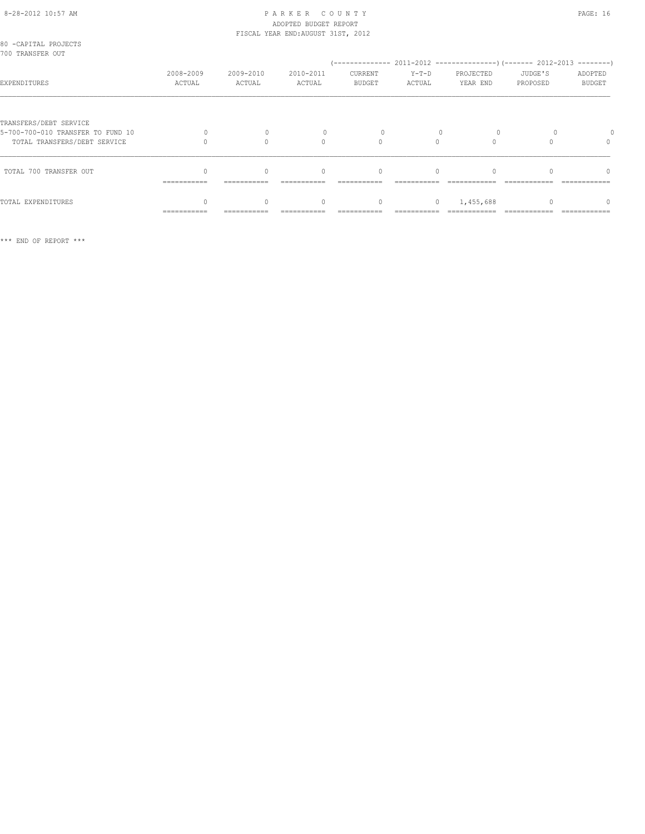#### 8-28-2012 10:57 AM P A R K E R C O U N T Y PAGE: 16 ADOPTED BUDGET REPORT FISCAL YEAR END:AUGUST 31ST, 2012

| 80 -CAPITAL PROJECTS<br>700 TRANSFER OUT                                                    |                     |                     |                     |                           |                   |                       |                     |                          |
|---------------------------------------------------------------------------------------------|---------------------|---------------------|---------------------|---------------------------|-------------------|-----------------------|---------------------|--------------------------|
| EXPENDITURES                                                                                | 2008-2009<br>ACTUAL | 2009-2010<br>ACTUAL | 2010-2011<br>ACTUAL | CURRENT<br><b>BUDGET</b>  | $Y-T-D$<br>ACTUAL | PROJECTED<br>YEAR END | JUDGE'S<br>PROPOSED | ADOPTED<br><b>BUDGET</b> |
| TRANSFERS/DEBT SERVICE<br>5-700-700-010 TRANSFER TO FUND 10<br>TOTAL TRANSFERS/DEBT SERVICE |                     |                     | 0                   |                           |                   |                       |                     | $\Omega$                 |
| TOTAL 700 TRANSFER OUT                                                                      | ===========         | ===========         | $\bigcap$           | $\bigcap$<br>------------ | $\cap$            |                       |                     | $\cap$                   |
| TOTAL EXPENDITURES                                                                          | ===========         |                     | 0                   | $\mathbf{0}$              | $\circ$           | 1,455,688             |                     |                          |

\*\*\* END OF REPORT \*\*\*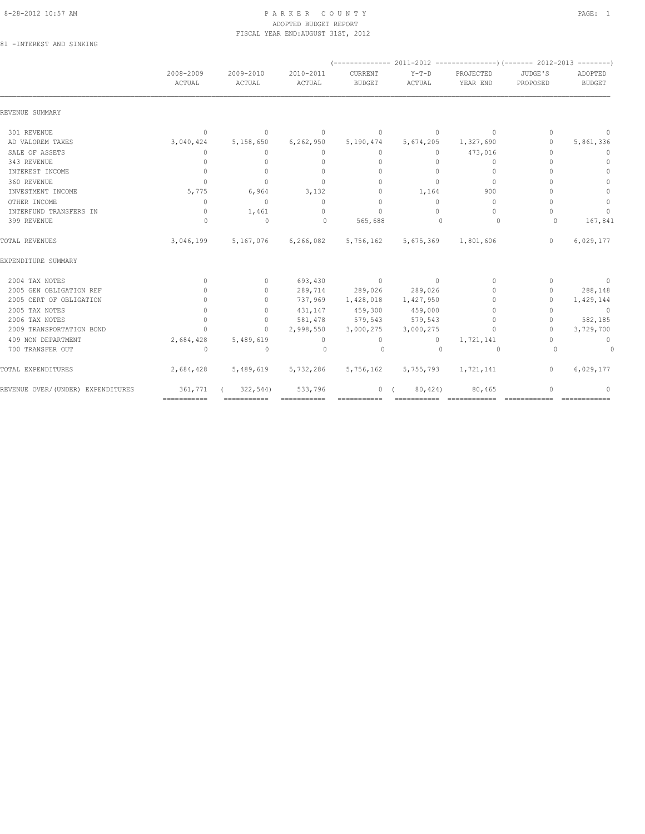#### 8-28-2012 10:57 AM PAGE: 1 ADOPTED BUDGET REPORT FISCAL YEAR END:AUGUST 31ST, 2012

81 -INTEREST AND SINKING

|                                   | 2008-2009<br>ACTUAL | 2009-2010<br>ACTUAL | 2010-2011<br>ACTUAL | CURRENT<br><b>BUDGET</b> | $Y-T-D$<br>ACTUAL   | PROJECTED<br>YEAR END            | JUDGE'S<br>PROPOSED              | ADOPTED<br><b>BUDGET</b> |
|-----------------------------------|---------------------|---------------------|---------------------|--------------------------|---------------------|----------------------------------|----------------------------------|--------------------------|
| REVENUE SUMMARY                   |                     |                     |                     |                          |                     |                                  |                                  |                          |
| 301 REVENUE                       | $\overline{0}$      | $\circ$             | $\circ$             | $\mathbf 0$              | $\circ$             | $\Omega$                         | $\Omega$                         | $\mathbf{0}$             |
| AD VALOREM TAXES                  | 3,040,424           | 5,158,650           | 6, 262, 950         | 5,190,474                | 5,674,205           | 1,327,690                        | $\circ$                          | 5,861,336                |
| SALE OF ASSETS                    | $\circ$             | $\circ$             | $\circ$             | $\circ$                  | $\circ$             | 473,016                          | $\mathbf{0}$                     | $\mathbf{0}$             |
| 343 REVENUE                       | $\mathbf{0}$        | $\circ$             | $\mathbf{0}$        | $\mathbf{0}$             | $\circ$             | $\circ$                          | $\Omega$                         | $\mathbf{0}$             |
| INTEREST INCOME                   | $\mathbf{0}$        | $\mathbf{0}$        | $\Omega$            | $\mathbf{0}$             | $\Omega$            | $\mathbf{0}$                     | ∩                                | $\Omega$                 |
| 360 REVENUE                       | $\Omega$            | $\Omega$            | $\Omega$            | $\Omega$                 | $\Omega$            | $\Omega$                         | $\bigcap$                        | $\Omega$                 |
| INVESTMENT INCOME                 | 5,775               | 6,964               | 3,132               | $\circ$                  | 1,164               | 900                              | $\bigcap$                        | $\circ$                  |
| OTHER INCOME                      | $\Omega$            | $\circ$             | $\Omega$            | $\mathbf{0}$             | $\Omega$            | $\Omega$                         | $\bigcap$                        | $\mathbf 0$              |
| INTERFUND TRANSFERS IN            | $\circ$             | 1,461               | $\Omega$            | $\Omega$                 | $\Omega$            | $\Omega$                         | $\bigcap$                        | $\Omega$                 |
| 399 REVENUE                       | $\Omega$            | $\mathbf{0}$        | $\Omega$            | 565,688                  | $\Omega$            | 0                                | $\Omega$                         | 167,841                  |
| TOTAL REVENUES                    | 3,046,199           |                     | 5,167,076 6,266,082 |                          | 5,756,162 5,675,369 | 1,801,606                        | $\mathbf{0}$                     | 6,029,177                |
| EXPENDITURE SUMMARY               |                     |                     |                     |                          |                     |                                  |                                  |                          |
| 2004 TAX NOTES                    | $\Omega$            | $\Omega$            |                     | 693,430 0                | $\sim$ 0            | $\Omega$                         | $\Omega$                         | $\circ$                  |
| 2005 GEN OBLIGATION REF           | $\Omega$            | $\circ$             |                     | 289,714 289,026 289,026  |                     | $\bigcap$                        | $\Omega$                         | 288,148                  |
| 2005 CERT OF OBLIGATION           | $\Omega$            | $\circ$             | 737,969             | 1,428,018                | 1,427,950           | $\bigcap$                        | $\Omega$                         | 1,429,144                |
| 2005 TAX NOTES                    | $\mathbf{0}$        | $\circ$             | 431,147             | 459,300                  | 459,000             | $\begin{array}{c} \n\end{array}$ | $\begin{array}{c} \n\end{array}$ | $\overline{0}$           |
| 2006 TAX NOTES                    | $\circ$             | $\circ$             | 581,478             | 579,543                  | 579,543             | $\mathbf{0}$                     | $\mathbf{0}$                     | 582,185                  |
| 2009 TRANSPORTATION BOND          | $\Omega$            | $\Omega$            | 2,998,550           | 3,000,275                | 3,000,275           | $\begin{array}{c} \n\end{array}$ | $\Omega$                         | 3,729,700                |
| 409 NON DEPARTMENT                | 2,684,428           | 5,489,619           | $\circ$             | $\circ$                  | $\circ$             | 1,721,141                        | $\begin{array}{c} \n\end{array}$ | $\mathbf{0}$             |
| 700 TRANSFER OUT                  | $\Omega$            | $\Omega$            | $\Omega$            | $\Omega$                 | $\Omega$            | $\Omega$                         | $\Omega$                         | 0                        |
| TOTAL EXPENDITURES                | 2,684,428           | 5,489,619           | 5,732,286           | 5,756,162                | 5,755,793           | 1,721,141                        | $\circ$                          | 6,029,177                |
| REVENUE OVER/(UNDER) EXPENDITURES | 361,771             | 322,544             | 533,796             | 0(                       | 80,424)             | 80,465                           | $\mathbf{0}$                     | $\mathbf{0}$             |
|                                   | ===========         |                     |                     |                          |                     |                                  |                                  |                          |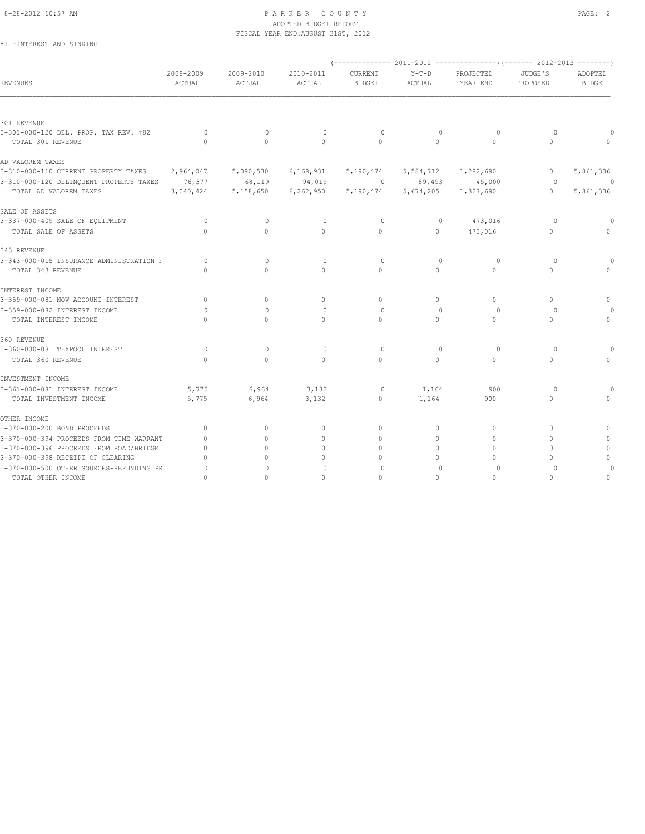#### 8-28-2012 10:57 AM PAGE: 2 ADOPTED BUDGET REPORT FISCAL YEAR END:AUGUST 31ST, 2012

81 -INTEREST AND SINKING

| REVENUES                                             | 2008-2009<br>ACTUAL | 2009-2010<br>ACTUAL | 2010-2011<br>ACTUAL              | CURRENT<br><b>BUDGET</b>         | $Y-T-D$<br>ACTUAL | PROJECTED<br>YEAR END            | JUDGE'S<br>PROPOSED | ADOPTED<br><b>BUDGET</b> |
|------------------------------------------------------|---------------------|---------------------|----------------------------------|----------------------------------|-------------------|----------------------------------|---------------------|--------------------------|
|                                                      |                     |                     |                                  |                                  |                   |                                  |                     |                          |
| 301 REVENUE<br>3-301-000-120 DEL. PROP. TAX REV. #82 | $\Omega$            | $\Omega$            | $\circ$                          | $\circ$                          | $\mathbf{0}$      | $\circ$                          | 0                   |                          |
| TOTAL 301 REVENUE                                    | $\Omega$            | $\Omega$            | $\Omega$                         | $\Omega$                         | $\circ$           | $\Omega$                         | $\mathbf{0}$        |                          |
| AD VALOREM TAXES                                     |                     |                     |                                  |                                  |                   |                                  |                     |                          |
| 3-310-000-110 CURRENT PROPERTY TAXES                 | 2,964,047           | 5,090,530           | 6, 168, 931                      | 5,190,474                        | 5,584,712         | 1,282,690                        | $\circ$             | 5,861,336                |
| 3-310-000-120 DELINQUENT PROPERTY TAXES 76,377       |                     | 68,119              | 94,019                           | $\circ$                          | 89,493            | 45,000                           | $\circ$             | $\theta$                 |
| TOTAL AD VALOREM TAXES                               | 3,040,424           | 5,158,650           | 6, 262, 950                      | 5,190,474                        | 5,674,205         | 1,327,690                        | $\circ$             | 5,861,336                |
| SALE OF ASSETS                                       |                     |                     |                                  |                                  |                   |                                  |                     |                          |
| 3-337-000-409 SALE OF EQUIPMENT                      | $\circ$             | $\mathbb O$         | $\mathbf{0}$                     | $\circ$                          | $\mathbf{0}$      | 473,016                          | $\circ$             |                          |
| TOTAL SALE OF ASSETS                                 | $\Omega$            | $\Omega$            | $\Omega$                         | $\Omega$                         | $\circ$           | 473,016                          | $\Omega$            |                          |
| 343 REVENUE                                          |                     |                     |                                  |                                  |                   |                                  |                     |                          |
| 3-343-000-015 INSURANCE ADMINISTRATION F             | $\Omega$            | $\Omega$            | $\mathbf{0}$                     | $\Omega$                         | $\Omega$          | $\circ$                          | $\Omega$            |                          |
| TOTAL 343 REVENUE                                    | $\Omega$            | $\cap$              | $\Omega$                         | $\Omega$                         | $\Omega$          | $\Omega$                         | $\Omega$            |                          |
| INTEREST INCOME                                      |                     |                     |                                  |                                  |                   |                                  |                     |                          |
| 3-359-000-081 NOW ACCOUNT INTEREST                   | $\mathbf{0}$        | $\Omega$            | $\mathbf{0}$                     | $\Omega$                         | $\circ$           | $\Omega$                         | $\Omega$            | 0                        |
| 3-359-000-082 INTEREST INCOME                        | $\Omega$            | $\Omega$            | $\circ$                          | $\Omega$                         | $\Omega$          | $\Omega$                         | $\Omega$            |                          |
| TOTAL INTEREST INCOME                                | $\Omega$            | $\Omega$            | 0                                | $\circ$                          | $\circ$           | $\Omega$                         | $\mathbf{0}$        | $\Omega$                 |
| 360 REVENUE                                          |                     |                     |                                  |                                  |                   |                                  |                     |                          |
| 3-360-000-081 TEXPOOL INTEREST                       | $\circ$             | $\mathbf{0}$        | $\circ$                          | $\circ$                          | $\mathbf{0}$      | $\circ$                          | $\circ$             |                          |
| TOTAL 360 REVENUE                                    | $\Omega$            | $\Omega$            | $\Omega$                         | $\Omega$                         | $\circ$           | $\Omega$                         | $\mathbf{0}$        |                          |
| INVESTMENT INCOME                                    |                     |                     |                                  |                                  |                   |                                  |                     |                          |
| 3-361-000-081 INTEREST INCOME                        | 5,775               | 6,964               | 3,132                            | $\circ$                          | 1,164             | 900                              | $\circ$             |                          |
| TOTAL INVESTMENT INCOME                              | 5,775               | 6,964               | 3,132                            | $\circ$                          | 1,164             | 900                              | $\circ$             |                          |
| OTHER INCOME                                         |                     |                     |                                  |                                  |                   |                                  |                     |                          |
| 3-370-000-200 BOND PROCEEDS                          | $\mathbf{0}$        | $\mathbf{0}$        | $\mathbf{0}$                     | $\mathbf{0}$                     | 0                 | $\mathbf{0}$                     | $\mathbf{0}$        | $\Omega$                 |
| 3-370-000-394 PROCEEDS FROM TIME WARRANT             | $\mathbf{0}$        | $\Omega$            | $\mathbf{0}$                     | $\begin{array}{c} \n\end{array}$ | $\circ$           | $\mathbf{0}$                     | $\Omega$            |                          |
| 3-370-000-396 PROCEEDS FROM ROAD/BRIDGE              | $\mathbf{0}$        | $\Omega$            | $\begin{array}{c} \n\end{array}$ | $\Omega$                         | $\Omega$          | $\Omega$                         | $\Omega$            | $\mathbf{0}$             |
| 3-370-000-398 RECEIPT OF CLEARING                    | $\Omega$            |                     | $\mathbf{0}$                     | $\Omega$                         | $\circ$           | $\begin{array}{c} \n\end{array}$ | $\Omega$            | $\Omega$                 |
| 3-370-000-500 OTHER SOURCES-REFUNDING PR             | $\circ$             | $\mathbf{0}$        | $\mathbf{0}$                     | 0                                | $\mathbf{0}$      | $\circ$                          | $\circ$             |                          |
| TOTAL OTHER INCOME                                   | $\circ$             | $\circ$             | $\circ$                          | $\mathbf{0}$                     | $\circ$           | $\mathbf{0}$                     | $\mathbf{0}$        | $\mathbf{0}$             |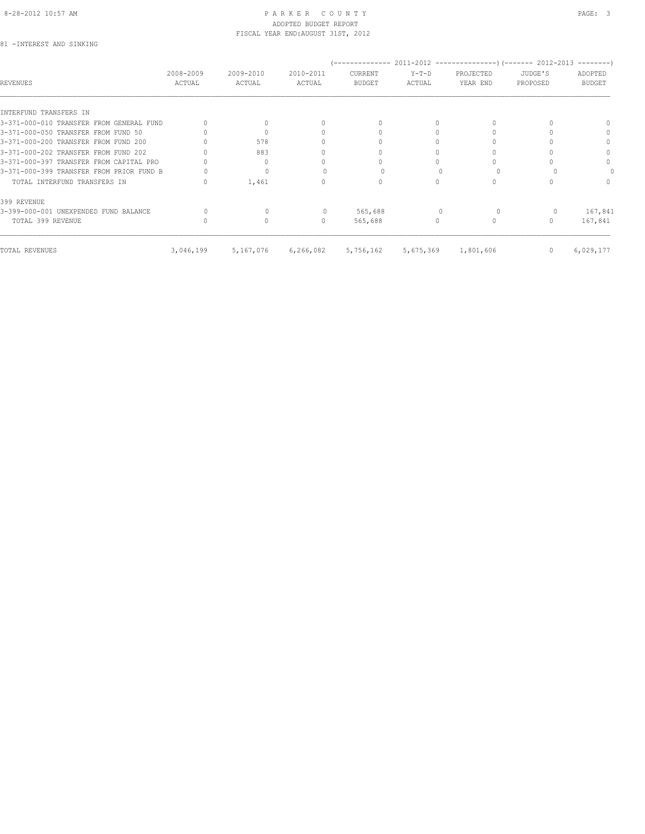#### 8-28-2012 10:57 AM PAGE: 3 ADOPTED BUDGET REPORT FISCAL YEAR END:AUGUST 31ST, 2012

81 -INTEREST AND SINKING

| REVENUES                                 | 2008-2009<br>ACTUAL | 2009-2010<br>ACTUAL | 2010-2011<br>ACTUAL              | CURRENT<br><b>BUDGET</b> | $Y-T-D$<br>ACTUAL | PROJECTED<br>YEAR END | JUDGE'S<br>PROPOSED | ---------<br>ADOPTED<br><b>BUDGET</b> |
|------------------------------------------|---------------------|---------------------|----------------------------------|--------------------------|-------------------|-----------------------|---------------------|---------------------------------------|
| INTERFUND TRANSFERS IN                   |                     |                     |                                  |                          |                   |                       |                     |                                       |
| 3-371-000-010 TRANSFER FROM GENERAL FUND |                     |                     | $\cap$                           | $\Omega$                 |                   |                       |                     |                                       |
| 3-371-000-050 TRANSFER FROM FUND 50      |                     |                     |                                  |                          |                   |                       |                     | $\Omega$                              |
| 3-371-000-200 TRANSFER FROM FUND 200     |                     | 578                 | n                                |                          |                   |                       |                     | $\Omega$                              |
| 3-371-000-202 TRANSFER FROM FUND 202     |                     | 883                 | 0                                |                          |                   |                       |                     | $\Omega$                              |
| 3-371-000-397 TRANSFER FROM CAPITAL PRO  |                     | $\Omega$            |                                  |                          |                   |                       |                     | $\Omega$                              |
| 3-371-000-399 TRANSFER FROM PRIOR FUND B |                     | $\Omega$            |                                  |                          |                   |                       |                     |                                       |
| TOTAL INTERFUND TRANSFERS IN             |                     | 1,461               | 0                                | $\Omega$                 |                   |                       |                     | $\Omega$                              |
| 399 REVENUE                              |                     |                     |                                  |                          |                   |                       |                     |                                       |
| 3-399-000-001 UNEXPENDED FUND BALANCE    |                     |                     |                                  | 565,688                  |                   |                       |                     | 167,841                               |
| TOTAL 399 REVENUE                        |                     | $\Omega$            | $\begin{array}{c} \n\end{array}$ | 565,688                  | $\Omega$          |                       |                     | 167,841                               |
| TOTAL REVENUES                           | 3,046,199           | 5,167,076           | 6,266,082                        | 5,756,162                | 5,675,369         | 1,801,606             | 0                   | 6,029,177                             |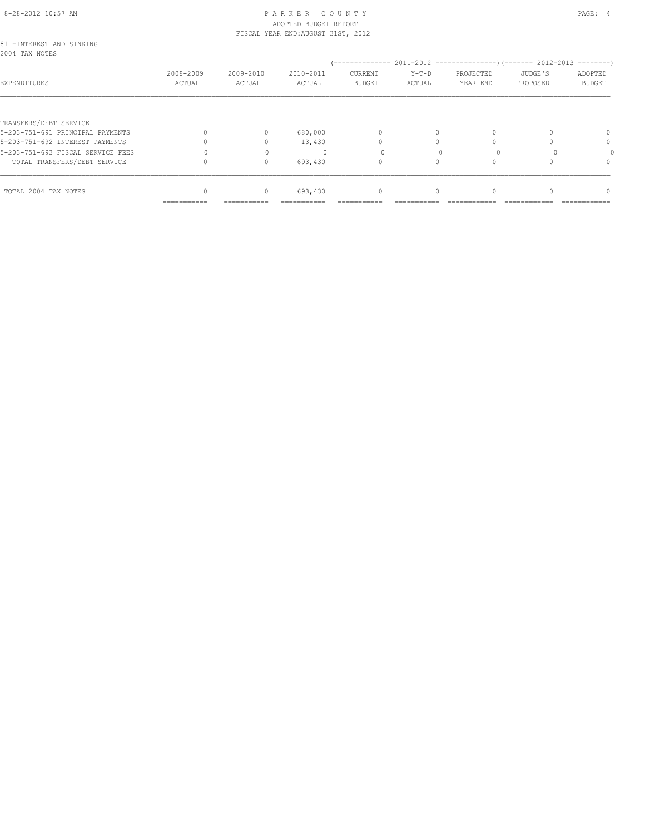## 8-28-2012 10:57 AM PAGE: 4 ADOPTED BUDGET REPORT

|                                             |           |           | FISCAL YEAR END: AUGUST 31ST, 2012 |               |          |           |          |               |
|---------------------------------------------|-----------|-----------|------------------------------------|---------------|----------|-----------|----------|---------------|
| 81 - INTEREST AND SINKING<br>2004 TAX NOTES |           |           |                                    |               | $Y-T-D$  | PROJECTED | JUDGE'S  |               |
|                                             |           | 2009-2010 | 2010-2011                          | CURRENT       |          |           |          |               |
|                                             | 2008-2009 |           |                                    |               |          |           |          | ADOPTED       |
| EXPENDITURES                                | ACTUAL    | ACTUAL    | ACTUAL                             | <b>BUDGET</b> | ACTUAL   | YEAR END  | PROPOSED | <b>BUDGET</b> |
|                                             |           |           |                                    |               |          |           |          |               |
| TRANSFERS/DEBT SERVICE                      |           |           |                                    |               |          |           |          |               |
| 5-203-751-691 PRINCIPAL PAYMENTS            |           | $\Omega$  | 680,000                            | $\Omega$      |          |           |          | $\Omega$      |
| 5-203-751-692 INTEREST PAYMENTS             |           |           | 13,430                             |               |          |           |          | 0             |
| 5-203-751-693 FISCAL SERVICE FEES           |           |           |                                    |               |          |           |          |               |
| TOTAL TRANSFERS/DEBT SERVICE                |           | $\Omega$  | 693,430                            | $\Omega$      | $\Omega$ |           |          | $\Omega$      |
| TOTAL 2004 TAX NOTES                        |           | 0         | 693,430                            | $\mathbf{0}$  | 0        |           |          |               |
|                                             |           |           |                                    |               |          |           |          |               |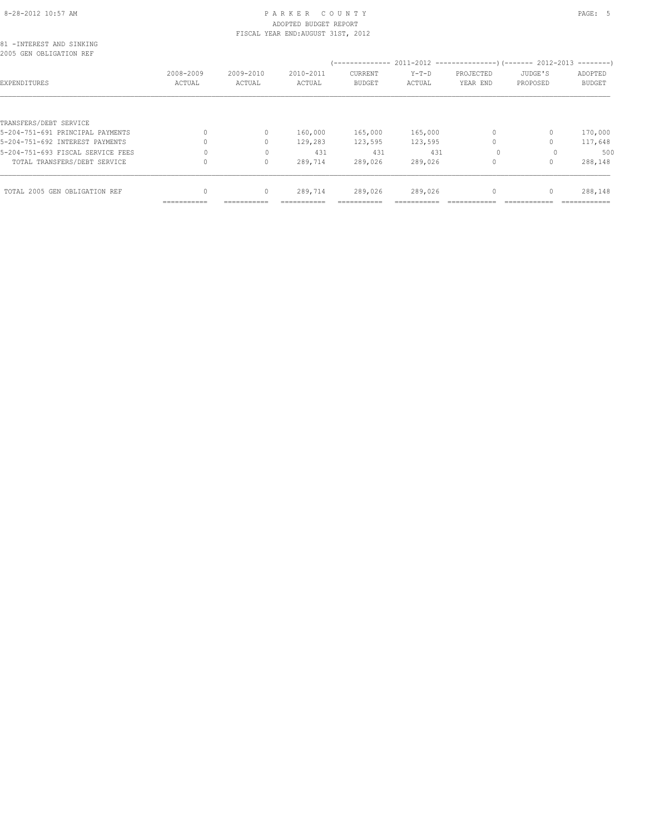# 8-28-2012 10:57 AM PAGE: 5 PARKER COUNTY ADOPTED BUDGET REPORT

|                                                      |                                  |              | FISCAL YEAR END: AUGUST 31ST, 2012 |         |         |           |          |               |
|------------------------------------------------------|----------------------------------|--------------|------------------------------------|---------|---------|-----------|----------|---------------|
| 81 - INTEREST AND SINKING<br>2005 GEN OBLIGATION REF |                                  |              |                                    |         |         |           |          |               |
|                                                      |                                  |              |                                    |         |         |           |          |               |
|                                                      | 2008-2009                        | 2009-2010    | 2010-2011                          | CURRENT | $Y-T-D$ | PROJECTED | JUDGE'S  | ADOPTED       |
| EXPENDITURES                                         | ACTUAL                           | ACTUAL       | ACTUAL                             | BUDGET  | ACTUAL  | YEAR END  | PROPOSED | <b>BUDGET</b> |
|                                                      |                                  |              |                                    |         |         |           |          |               |
| TRANSFERS/DEBT SERVICE                               |                                  |              |                                    |         |         |           |          |               |
| 5-204-751-691 PRINCIPAL PAYMENTS                     | $\begin{array}{c} \n\end{array}$ | 0            | 160,000                            | 165,000 | 165,000 | 0         | $\Omega$ | 170,000       |
| 5-204-751-692 INTEREST PAYMENTS                      |                                  | 0            | 129,283                            | 123,595 | 123,595 |           |          | 117,648       |
| 5-204-751-693 FISCAL SERVICE FEES                    |                                  | $\mathbf{0}$ | 431                                | 431     | 431     | $\Omega$  |          | 500           |
| TOTAL TRANSFERS/DEBT SERVICE                         |                                  | 0            | 289,714                            | 289,026 | 289,026 |           |          | 288,148       |
| TOTAL 2005 GEN OBLIGATION REF                        | 0                                | 0            | 289,714                            | 289,026 | 289,026 | 0         | $\Omega$ | 288,148       |
|                                                      | ===========                      |              |                                    |         |         |           |          |               |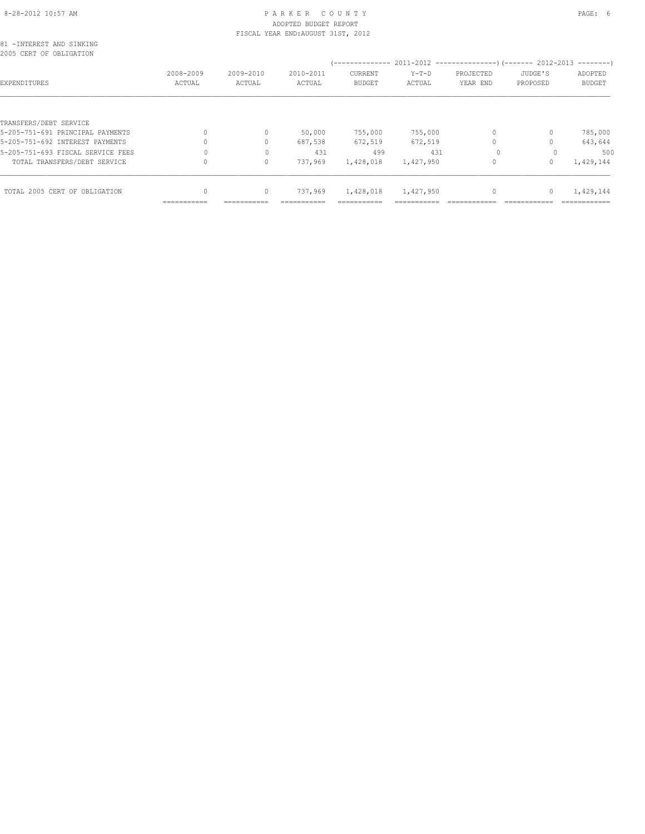## 8-28-2012 10:57 AM PAGE: 6 PARKER COUNTY ADOPTED BUDGET REPORT

| FISCAL YEAR END: AUGUST 31ST, 2012<br>81 - INTEREST AND SINKING<br>2005 CERT OF OBLIGATION<br>2008-2009<br>2009-2010<br>2010-2011<br>CURRENT<br>EXPENDITURES<br>ACTUAL<br>ACTUAL<br>ACTUAL<br>BUDGET<br>TRANSFERS/DEBT SERVICE<br>5-205-751-691 PRINCIPAL PAYMENTS<br>755,000<br>$\mathbf{0}$<br>50,000<br>5-205-751-692 INTEREST PAYMENTS<br>$\mathbf{0}$<br>687,538<br>672,519 |             |              |         |           |           |           |          |               |
|----------------------------------------------------------------------------------------------------------------------------------------------------------------------------------------------------------------------------------------------------------------------------------------------------------------------------------------------------------------------------------|-------------|--------------|---------|-----------|-----------|-----------|----------|---------------|
|                                                                                                                                                                                                                                                                                                                                                                                  |             |              |         |           |           |           |          |               |
|                                                                                                                                                                                                                                                                                                                                                                                  |             |              |         |           |           |           |          |               |
|                                                                                                                                                                                                                                                                                                                                                                                  |             |              |         |           | $Y-T-D$   | PROJECTED | JUDGE'S  | ADOPTED       |
|                                                                                                                                                                                                                                                                                                                                                                                  |             |              |         |           | ACTUAL    | YEAR END  | PROPOSED | <b>BUDGET</b> |
|                                                                                                                                                                                                                                                                                                                                                                                  |             |              |         |           |           |           |          |               |
|                                                                                                                                                                                                                                                                                                                                                                                  |             |              |         |           |           |           |          |               |
|                                                                                                                                                                                                                                                                                                                                                                                  |             |              |         |           | 755,000   | 0         | 0        | 785,000       |
|                                                                                                                                                                                                                                                                                                                                                                                  |             |              |         |           | 672,519   | $\circ$   | 0        | 643,644       |
| 5-205-751-693 FISCAL SERVICE FEES                                                                                                                                                                                                                                                                                                                                                |             | $\Omega$     | 431     | 499       | 431       | $\Omega$  | $\Omega$ | 500           |
| TOTAL TRANSFERS/DEBT SERVICE                                                                                                                                                                                                                                                                                                                                                     |             | $\mathbf{0}$ | 737,969 | 1,428,018 | 1,427,950 | $\Omega$  | $\Omega$ | 1,429,144     |
| TOTAL 2005 CERT OF OBLIGATION                                                                                                                                                                                                                                                                                                                                                    |             | 0            | 737,969 | 1,428,018 | 1,427,950 | $\circ$   | 0        | 1,429,144     |
|                                                                                                                                                                                                                                                                                                                                                                                  | =========== |              |         |           |           |           |          |               |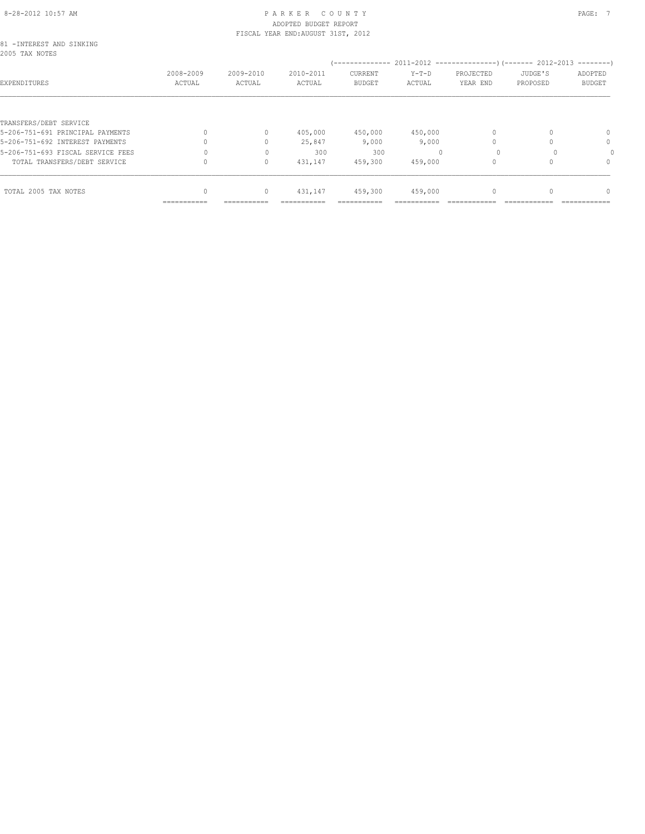## 8-28-2012 10:57 AM PAGE: 7 PAR K E R C O U N T Y ADOPTED BUDGET REPORT

| 81 - INTEREST AND SINKING<br>2005 TAX NOTES<br>EXPENDITURES<br>TRANSFERS/DEBT SERVICE<br>5-206-751-691 PRINCIPAL PAYMENTS<br>5-206-751-692 INTEREST PAYMENTS<br>5-206-751-693 FISCAL SERVICE FEES<br>TOTAL TRANSFERS/DEBT SERVICE | FISCAL YEAR END: AUGUST 31ST, 2012 |           |           |               |         |           |          |               |
|-----------------------------------------------------------------------------------------------------------------------------------------------------------------------------------------------------------------------------------|------------------------------------|-----------|-----------|---------------|---------|-----------|----------|---------------|
|                                                                                                                                                                                                                                   |                                    |           |           |               |         |           |          |               |
|                                                                                                                                                                                                                                   |                                    |           |           | CURRENT       | $Y-T-D$ | PROJECTED | JUDGE'S  |               |
|                                                                                                                                                                                                                                   | 2008-2009                          | 2009-2010 | 2010-2011 |               |         |           |          | ADOPTED       |
|                                                                                                                                                                                                                                   | ACTUAL                             | ACTUAL    | ACTUAL    | <b>BUDGET</b> | ACTUAL  | YEAR END  | PROPOSED | <b>BUDGET</b> |
|                                                                                                                                                                                                                                   |                                    |           |           |               |         |           |          |               |
|                                                                                                                                                                                                                                   |                                    |           |           |               |         |           |          |               |
|                                                                                                                                                                                                                                   |                                    | 0         | 405,000   | 450,000       | 450,000 |           |          | 0             |
|                                                                                                                                                                                                                                   |                                    | 0         | 25,847    | 9,000         | 9,000   |           |          | $\mathbf{0}$  |
|                                                                                                                                                                                                                                   |                                    |           | 300       | 300           |         | $\Omega$  |          |               |
|                                                                                                                                                                                                                                   |                                    | $\Omega$  | 431,147   | 459,300       | 459,000 |           |          | $\Omega$      |
| TOTAL 2005 TAX NOTES                                                                                                                                                                                                              |                                    | 0         | 431,147   | 459,300       | 459,000 |           |          | $\Omega$      |
|                                                                                                                                                                                                                                   |                                    |           |           |               |         |           |          |               |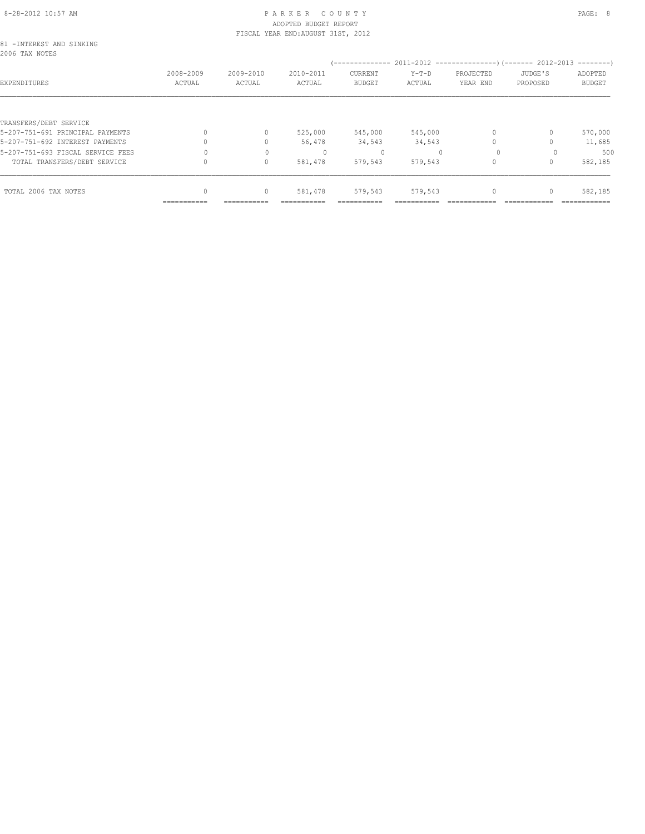## 8-28-2012 10:57 AM PAGE: 8 PARKER COUNTY ADOPTED BUDGET REPORT

|                                             | FISCAL YEAR END: AUGUST 31ST, 2012 |           |           |               |         |           |          |               |  |
|---------------------------------------------|------------------------------------|-----------|-----------|---------------|---------|-----------|----------|---------------|--|
| 81 - INTEREST AND SINKING<br>2006 TAX NOTES |                                    |           |           |               |         |           |          |               |  |
|                                             |                                    |           |           |               |         |           |          |               |  |
|                                             | 2008-2009                          | 2009-2010 | 2010-2011 | CURRENT       | $Y-T-D$ | PROJECTED | JUDGE'S  | ADOPTED       |  |
| EXPENDITURES                                | ACTUAL                             | ACTUAL    | ACTUAL    | <b>BUDGET</b> | ACTUAL  | YEAR END  | PROPOSED | <b>BUDGET</b> |  |
|                                             |                                    |           |           |               |         |           |          |               |  |
| TRANSFERS/DEBT SERVICE                      |                                    |           |           |               |         |           |          |               |  |
| 5-207-751-691 PRINCIPAL PAYMENTS            |                                    | 0         | 525,000   | 545,000       | 545,000 |           |          | 570,000       |  |
| 5-207-751-692 INTEREST PAYMENTS             |                                    | $\Omega$  | 56,478    | 34,543        | 34,543  |           |          | 11,685        |  |
| 5-207-751-693 FISCAL SERVICE FEES           |                                    | 0         |           | 0             |         | $\Omega$  |          | 500           |  |
| TOTAL TRANSFERS/DEBT SERVICE                |                                    | $\circ$   | 581,478   | 579,543       | 579,543 |           |          | 582,185       |  |
| TOTAL 2006 TAX NOTES                        |                                    | 0         | 581,478   | 579,543       | 579,543 |           |          | 582,185       |  |
|                                             |                                    |           |           |               |         |           |          |               |  |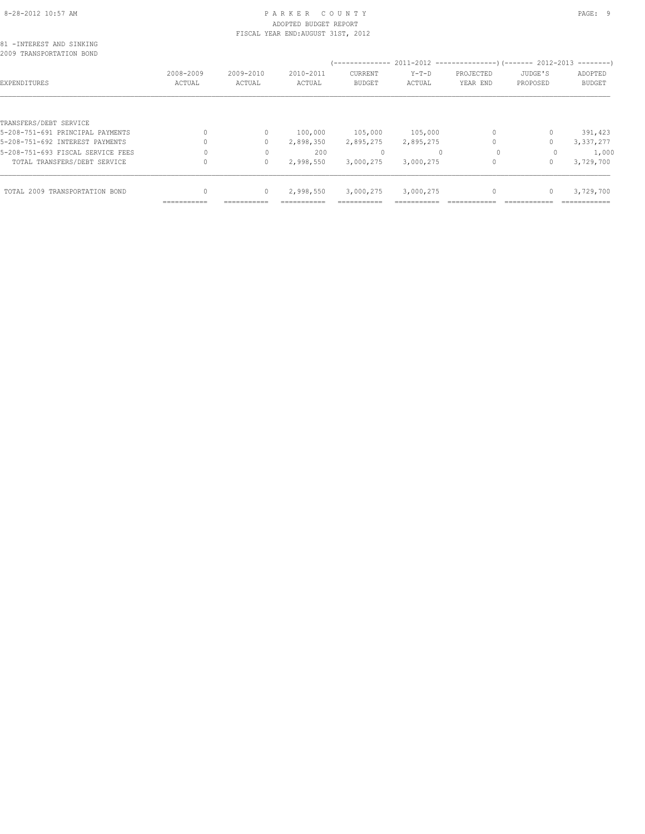# 8-28-2012 10:57 AM PAGE: 9 ADOPTED BUDGET REPORT

|                                                      |           |           | FISCAL YEAR END: AUGUST 31ST, 2012 |               |           |           |          |               |
|------------------------------------------------------|-----------|-----------|------------------------------------|---------------|-----------|-----------|----------|---------------|
| 81 -INTEREST AND SINKING<br>2009 TRANSPORTATION BOND |           |           |                                    |               |           |           |          |               |
|                                                      |           |           |                                    |               |           |           |          |               |
|                                                      | 2008-2009 | 2009-2010 | 2010-2011                          | CURRENT       | $Y-T-D$   | PROJECTED | JUDGE'S  | ADOPTED       |
| EXPENDITURES                                         | ACTUAL    | ACTUAL    | ACTUAL                             | <b>BUDGET</b> | ACTUAL    | YEAR END  | PROPOSED | <b>BUDGET</b> |
|                                                      |           |           |                                    |               |           |           |          |               |
| TRANSFERS/DEBT SERVICE                               |           |           |                                    |               |           |           |          |               |
| 5-208-751-691 PRINCIPAL PAYMENTS                     |           | 0         | 100,000                            | 105,000       | 105,000   | $\circ$   |          | 391,423       |
| 5-208-751-692 INTEREST PAYMENTS                      |           | 0         | 2,898,350                          | 2,895,275     | 2,895,275 |           |          | 3,337,277     |
| 5-208-751-693 FISCAL SERVICE FEES                    |           | 0         | 200                                | $\Omega$      |           | $\Omega$  |          | 1,000         |
| TOTAL TRANSFERS/DEBT SERVICE                         |           | 0         | 2,998,550                          | 3,000,275     | 3,000,275 |           | 0        | 3,729,700     |
| TOTAL 2009 TRANSPORTATION BOND                       |           | $\circ$   | 2,998,550                          | 3,000,275     | 3,000,275 |           |          | 3,729,700     |
|                                                      |           |           |                                    |               |           |           |          |               |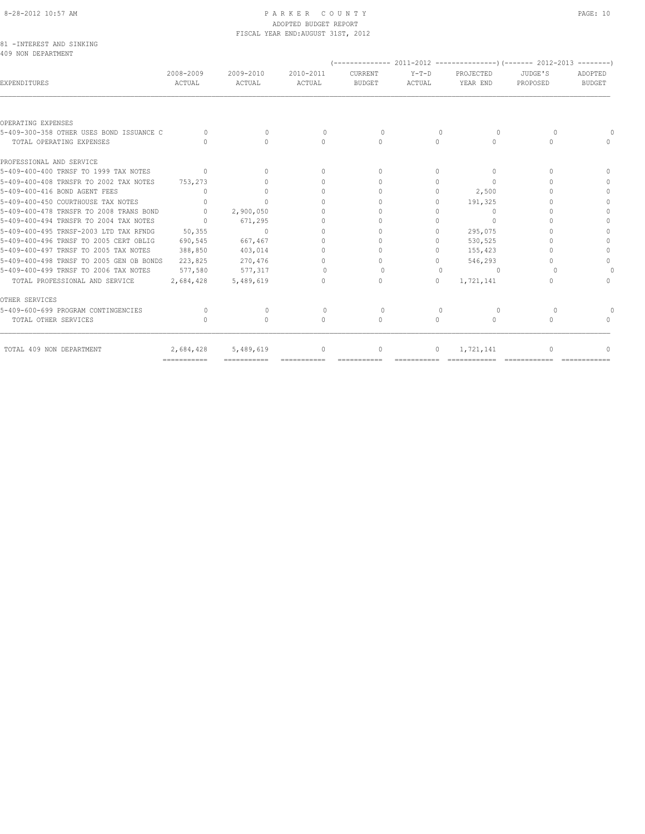#### 8-28-2012 10:57 AM P A R K E R C O U N T Y PAGE: 10 ADOPTED BUDGET REPORT FISCAL YEAR END:AUGUST 31ST, 2012

|  |                    | 81 -INTEREST AND SINKING |  |
|--|--------------------|--------------------------|--|
|  | 409 NON DEPARTMENT |                          |  |

| <b>EXPENDITURES</b>                      | 2008-2009<br>ACTUAL | 2009-2010<br>ACTUAL | 2010-2011<br>ACTUAL              | CURRENT<br><b>BUDGET</b>         | $Y-T-D$<br>ACTUAL                | PROJECTED<br>YEAR END            | JUDGE'S<br>PROPOSED | ADOPTED<br><b>BUDGET</b> |
|------------------------------------------|---------------------|---------------------|----------------------------------|----------------------------------|----------------------------------|----------------------------------|---------------------|--------------------------|
|                                          |                     |                     |                                  |                                  |                                  |                                  |                     |                          |
| OPERATING EXPENSES                       |                     |                     |                                  |                                  |                                  |                                  |                     |                          |
| 5-409-300-358 OTHER USES BOND ISSUANCE C | $\bigcap$           | $\Omega$            | $\bigcap$                        | $\Omega$                         | $\Omega$                         | $\Omega$                         | $\cap$              |                          |
| TOTAL OPERATING EXPENSES                 | n.                  | $\bigcap$           | $\begin{array}{c} \n\end{array}$ | $\Omega$                         | $\Omega$                         | 0                                | ∩                   |                          |
| PROFESSIONAL AND SERVICE                 |                     |                     |                                  |                                  |                                  |                                  |                     |                          |
| 5-409-400-400 TRNSF TO 1999 TAX NOTES    | $\bigcap$           | $\bigcap$           | $\Omega$                         | $\cap$                           | $\bigcap$                        | O                                | $\cap$              |                          |
| 5-409-400-408 TRNSFR TO 2002 TAX NOTES   | 753,273             |                     | 0                                | 0                                | 0                                | 0                                |                     |                          |
| 5-409-400-416 BOND AGENT FEES            | $\cap$              | 0                   | $\cup$                           | $\cap$                           | 0                                | 2,500                            |                     |                          |
| 5-409-400-450 COURTHOUSE TAX NOTES       | $\bigcap$           | $\bigcap$           | $\cap$                           | $\cap$                           | $\Omega$                         | 191,325                          |                     |                          |
| 5-409-400-478 TRNSFR TO 2008 TRANS BOND  | $\bigcap$           | 2,900,050           | 0                                |                                  | O                                | $\begin{array}{c} \n\end{array}$ |                     |                          |
| 5-409-400-494 TRNSFR TO 2004 TAX NOTES   | $\bigcap$           | 671,295             | 0                                |                                  |                                  | O                                |                     |                          |
| 5-409-400-495 TRNSF-2003 LTD TAX RENDG   | 50,355              | $\bigcap$           | $\Omega$                         | ∩                                | $\Omega$                         | 295,075                          |                     |                          |
| 5-409-400-496 TRNSF TO 2005 CERT OBLIG   | 690,545             | 667,467             | $\Omega$                         | $\cap$                           | $\cap$                           | 530,525                          |                     |                          |
| 5-409-400-497 TRNSF TO 2005 TAX NOTES    | 388,850             | 403,014             | $\Omega$                         |                                  | $\bigcap$                        | 155,423                          |                     |                          |
| 5-409-400-498 TRNSF TO 2005 GEN OB BONDS | 223,825             | 270,476             | $\Omega$                         | 0                                | $\Omega$                         | 546,293                          |                     | $\cap$                   |
| 5-409-400-499 TRNSF TO 2006 TAX NOTES    | 577,580             | 577,317             | $\Omega$                         | $\bigcap$                        | $\begin{array}{c} \n\end{array}$ | $\cup$                           |                     |                          |
| TOTAL PROFESSIONAL AND SERVICE           | 2,684,428           | 5,489,619           | $\Omega$                         | $\begin{array}{c} \n\end{array}$ | $\Omega$                         | 1,721,141                        |                     |                          |
| OTHER SERVICES                           |                     |                     |                                  |                                  |                                  |                                  |                     |                          |
| 5-409-600-699 PROGRAM CONTINGENCIES      | $\cap$              | $\cap$              | $\Omega$                         | $\Omega$                         | $\begin{array}{c} \n\end{array}$ | $\cup$                           | $\cap$              |                          |
| TOTAL OTHER SERVICES                     |                     | $\cap$              | $\begin{array}{c} \n\end{array}$ | $\begin{array}{c} \n\end{array}$ | $\cap$                           | $\bigcap$                        | $\cap$              |                          |
| TOTAL 409 NON DEPARTMENT                 | 2,684,428           | 5,489,619           | $\mathbf{0}$                     | $\circ$                          | $\circ$                          | 1,721,141                        | 0                   |                          |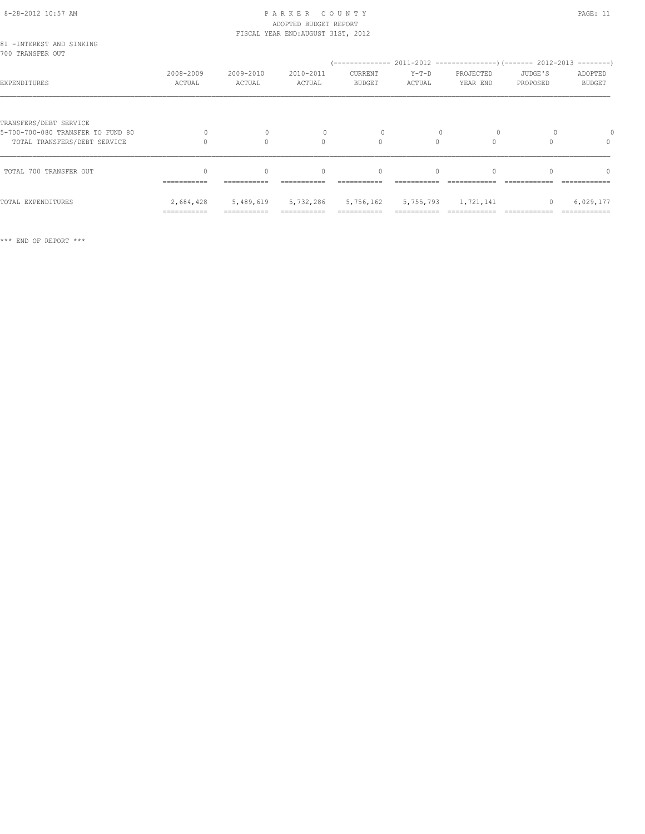#### 8-28-2012 10:57 AM P A R K E R C O U N T Y PAGE: 11 ADOPTED BUDGET REPORT FISCAL YEAR END:AUGUST 31ST, 2012

| 81 - INTEREST AND SINKING<br>700 TRANSFER OUT               |                          |                     |                     |                          |                               |                       |                     |                          |
|-------------------------------------------------------------|--------------------------|---------------------|---------------------|--------------------------|-------------------------------|-----------------------|---------------------|--------------------------|
| EXPENDITURES                                                | 2008-2009<br>ACTUAL      | 2009-2010<br>ACTUAL | 2010-2011<br>ACTUAL | CURRENT<br><b>BUDGET</b> | Y-T-D<br>ACTUAL               | PROJECTED<br>YEAR END | JUDGE'S<br>PROPOSED | ADOPTED<br><b>BUDGET</b> |
| TRANSFERS/DEBT SERVICE<br>5-700-700-080 TRANSFER TO FUND 80 | $\Omega$                 | $\mathbf{0}$        |                     |                          |                               | $\circ$               |                     |                          |
| TOTAL TRANSFERS/DEBT SERVICE                                |                          | $\bigcap$           | $\Omega$            | $\Omega$                 | $\bigcap$                     | $\cap$                |                     | $\Omega$                 |
| TOTAL 700 TRANSFER OUT                                      | ===========              | $\Omega$            | $\Omega$            | $\Omega$                 | $\Omega$                      |                       |                     | $\Omega$                 |
| TOTAL EXPENDITURES                                          | 2,684,428<br>=========== |                     | 5,489,619 5,732,286 |                          | 5,756,162 5,755,793 1,721,141 |                       | $\circ$             | 6,029,177                |

\*\*\* END OF REPORT \*\*\*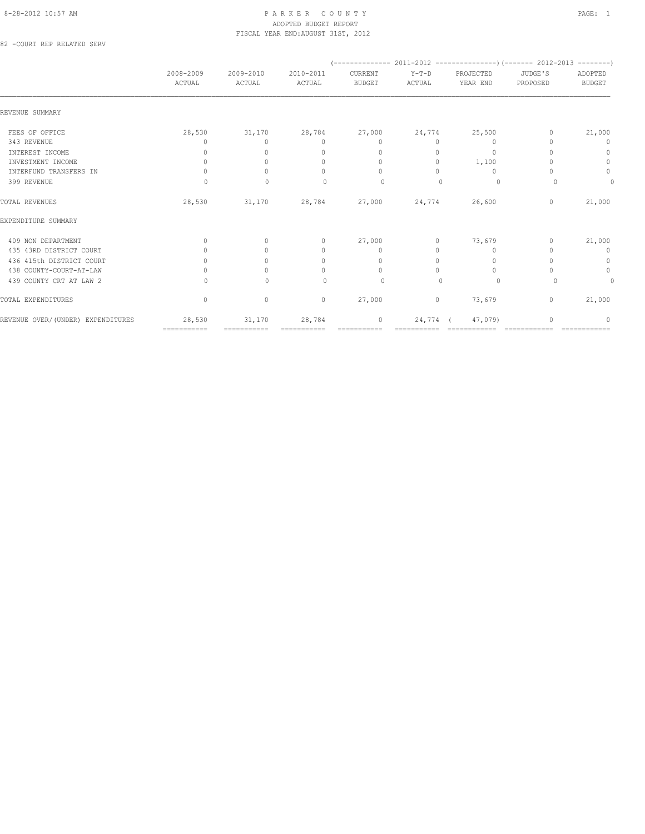#### 8-28-2012 10:57 AM PAGE: 1 ADOPTED BUDGET REPORT FISCAL YEAR END:AUGUST 31ST, 2012

82 -COURT REP RELATED SERV

|                                   | 2008-2009<br>ACTUAL              | 2009-2010<br>ACTUAL | 2010-2011<br>ACTUAL              | CURRENT<br><b>BUDGET</b>         | $Y-T-D$<br>ACTUAL | PROJECTED<br>YEAR END            | JUDGE'S<br>PROPOSED | ADOPTED<br><b>BUDGET</b> |
|-----------------------------------|----------------------------------|---------------------|----------------------------------|----------------------------------|-------------------|----------------------------------|---------------------|--------------------------|
| REVENUE SUMMARY                   |                                  |                     |                                  |                                  |                   |                                  |                     |                          |
| FEES OF OFFICE                    | 28,530                           | 31,170              | 28,784                           | 27,000                           | 24,774            | 25,500                           | 0                   | 21,000                   |
| 343 REVENUE                       | 0                                | $\circ$             | $\mathbf{0}$                     | 0                                | $\circ$           | $\mathbf{0}$                     |                     | 0                        |
| INTEREST INCOME                   | 0                                | $\Omega$            | $\mathbf{0}$                     | $\mathbf{0}$                     | 0                 | $\mathbf{0}$                     |                     | $\circ$                  |
| INVESTMENT INCOME                 | $\mathbf{0}$                     | $\Omega$            | $\mathbf{0}$                     | $\mathbf{0}$                     | 0                 | 1,100                            |                     | $\mathbf{0}$             |
| INTERFUND TRANSFERS IN            | $\begin{array}{c} \n\end{array}$ |                     | $\begin{array}{c} \n\end{array}$ | $\Omega$                         | $\Omega$          | $\Omega$                         |                     | $\mathbb O$              |
| 399 REVENUE                       | $\Omega$                         | $\Omega$            | $\begin{array}{c} \n\end{array}$ | $\Omega$                         | $\Omega$          | $\Omega$                         | $\Omega$            | 0                        |
| TOTAL REVENUES                    | 28,530                           | 31,170              | 28,784                           | 27,000                           | 24,774            | 26,600                           | $\mathbf 0$         | 21,000                   |
| EXPENDITURE SUMMARY               |                                  |                     |                                  |                                  |                   |                                  |                     |                          |
| 409 NON DEPARTMENT                | $\begin{array}{c} \n\end{array}$ | $\Omega$            | $\circ$                          | 27,000                           | 0                 | 73,679                           | $\mathbf{0}$        | 21,000                   |
| 435 43RD DISTRICT COURT           | $\Omega$                         | $\bigcap$           | $\mathbf{0}$                     | $\mathbf{0}$                     | $\circ$           | 0                                |                     | $\mathbf{0}$             |
| 436 415th DISTRICT COURT          | $\begin{array}{c} \n\end{array}$ | $\bigcap$           | $\mathbf{0}$                     | $\begin{array}{c} \n\end{array}$ | 0                 | $\begin{array}{c} \n\end{array}$ |                     | $\circ$                  |
| 438 COUNTY-COURT-AT-LAW           | $\Omega$                         | $\Omega$            | 0                                | $\circ$                          | $\Omega$          | $\mathbf{0}$                     |                     | $\circ$                  |
| 439 COUNTY CRT AT LAW 2           | $\Omega$                         | $\Omega$            | $\Omega$                         | $\circ$                          | $\bigcap$         | $\Omega$                         | $\cap$              | 0                        |
| TOTAL EXPENDITURES                | $\mathbb O$                      | $\mathbb O$         | $\circ$                          | 27,000                           | $\circ$           | 73,679                           | $\circ$             | 21,000                   |
| REVENUE OVER/(UNDER) EXPENDITURES | 28,530                           | 31,170              | 28,784                           | $\mathbf{0}$                     | 24,774            | 47,079)                          |                     | 0                        |
|                                   | ============                     | ===========         | ===========                      | ===========                      |                   |                                  |                     |                          |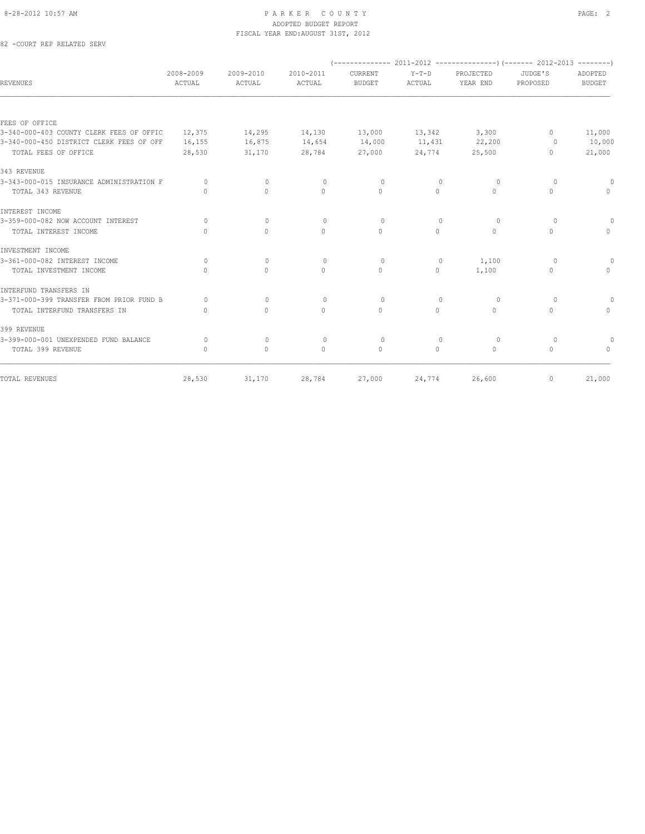#### 8-28-2012 10:57 AM PAGE: 2 ADOPTED BUDGET REPORT FISCAL YEAR END:AUGUST 31ST, 2012

82 -COURT REP RELATED SERV

| REVENUES                                 | 2008-2009<br>ACTUAL              | 2009-2010<br>ACTUAL | 2010-2011<br><b>ACTUAL</b> | CURRENT<br><b>BUDGET</b> | $Y-T-D$<br>ACTUAL | PROJECTED<br>YEAR END | JUDGE'S<br>PROPOSED | ADOPTED<br><b>BUDGET</b>         |  |
|------------------------------------------|----------------------------------|---------------------|----------------------------|--------------------------|-------------------|-----------------------|---------------------|----------------------------------|--|
|                                          |                                  |                     |                            |                          |                   |                       |                     |                                  |  |
| FEES OF OFFICE                           |                                  |                     |                            |                          |                   |                       |                     |                                  |  |
| 3-340-000-403 COUNTY CLERK FEES OF OFFIC | 12,375                           | 14,295              | 14,130                     | 13,000                   | 13,342            | 3,300                 | $\mathbf{0}$        | 11,000                           |  |
| 3-340-000-450 DISTRICT CLERK FEES OF OFF | 16,155                           | 16,875              | 14,654                     | 14,000                   | 11,431            | 22,200                | $\circ$             | 10,000                           |  |
| TOTAL FEES OF OFFICE                     | 28,530                           | 31,170              | 28,784                     | 27,000                   | 24,774            | 25,500                | $\mathbf{0}$        | 21,000                           |  |
| 343 REVENUE                              |                                  |                     |                            |                          |                   |                       |                     |                                  |  |
| 3-343-000-015 INSURANCE ADMINISTRATION F | $\Omega$                         | $\mathbf{0}$        | $\mathbf{0}$               | $\circ$                  | $\mathbf{0}$      | $\circ$               | $\circ$             |                                  |  |
| TOTAL 343 REVENUE                        | $\begin{array}{c} \n\end{array}$ | $\Omega$            | $\mathbf{0}$               | $\Omega$                 | $\circ$           | $\circ$               | $\mathbf{0}$        | $\begin{array}{c} \n\end{array}$ |  |
| INTEREST INCOME                          |                                  |                     |                            |                          |                   |                       |                     |                                  |  |
| 3-359-000-082 NOW ACCOUNT INTEREST       | $\Omega$                         | $\Omega$            | $\Omega$                   | $\Omega$                 | $\Omega$          | $\Omega$              | $\Omega$            | 0                                |  |
| TOTAL INTEREST INCOME                    | $\begin{array}{c} \n\end{array}$ | $\circ$             | $\mathbf{0}$               | $\circ$                  | $\circ$           | $\circ$               | $\mathbf{0}$        | $\begin{array}{c} \n\end{array}$ |  |
| INVESTMENT INCOME                        |                                  |                     |                            |                          |                   |                       |                     |                                  |  |
| 3-361-000-082 INTEREST INCOME            | $\Omega$                         | $\Omega$            | $\Omega$                   | $\Omega$                 | $\mathbf{0}$      | 1,100                 | $\Omega$            |                                  |  |
| TOTAL INVESTMENT INCOME                  | $\cap$                           | $\Omega$            | $\Omega$                   | $\Omega$                 | $\circ$           | 1,100                 | $\Omega$            | $\begin{array}{c} \n\end{array}$ |  |
| INTERFUND TRANSFERS IN                   |                                  |                     |                            |                          |                   |                       |                     |                                  |  |
| 3-371-000-399 TRANSFER FROM PRIOR FUND B | $\Omega$                         | $\Omega$            | $\Omega$                   | $\Omega$                 | $\Omega$          | $\Omega$              | $\Omega$            | $\Omega$                         |  |
| TOTAL INTERFUND TRANSFERS IN             | $\mathbf{0}$                     | $\circ$             | $\circ$                    | $\circ$                  | $\circ$           | $\circ$               | $\mathbf{0}$        | $\Omega$                         |  |
| 399 REVENUE                              |                                  |                     |                            |                          |                   |                       |                     |                                  |  |
| 3-399-000-001 UNEXPENDED FUND BALANCE    | 0                                | $\mathbf{0}$        | $\mathbf{0}$               | $\circ$                  | $\mathbf{0}$      | $\circ$               | $\circ$             |                                  |  |
| TOTAL 399 REVENUE                        | $\Omega$                         | $\Omega$            | $\Omega$                   | $\Omega$                 | $\Omega$          | $\Omega$              | $\Omega$            | $\bigcap$                        |  |
| TOTAL REVENUES                           | 28,530                           | 31,170              | 28,784                     | 27,000                   | 24,774            | 26,600                | $\mathbf{0}$        | 21,000                           |  |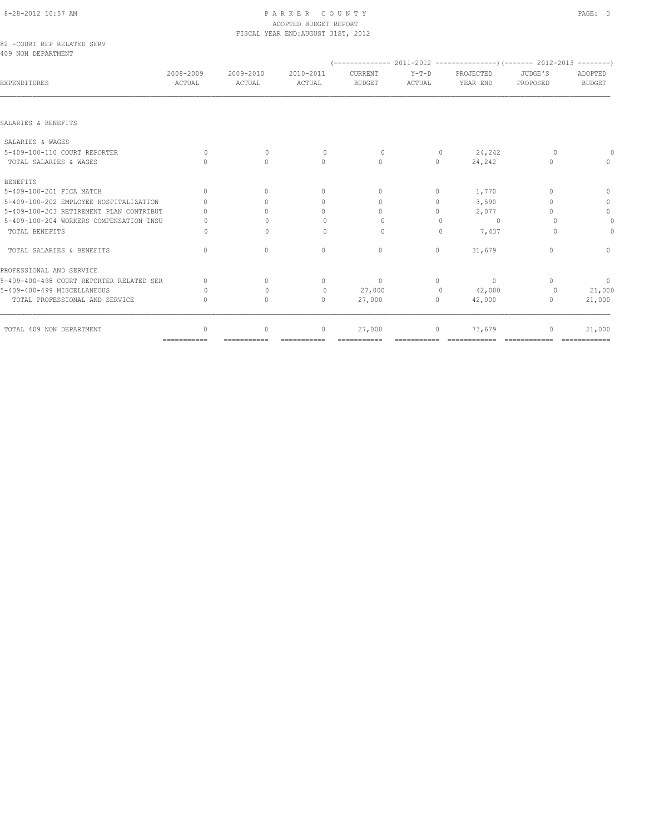# 8-28-2012 10:57 AM PAGE: 3 ADOPTED BUDGET REPORT

|                                                  |                     |                                  | FISCAL YEAR END: AUGUST 31ST, 2012 |                          |                                  |                       |                     |                                  |
|--------------------------------------------------|---------------------|----------------------------------|------------------------------------|--------------------------|----------------------------------|-----------------------|---------------------|----------------------------------|
| 82 -COURT REP RELATED SERV<br>409 NON DEPARTMENT |                     |                                  |                                    |                          |                                  |                       |                     |                                  |
| <b>EXPENDITURES</b>                              | 2008-2009<br>ACTUAL | 2009-2010<br>ACTUAL              | 2010-2011<br>ACTUAL                | CURRENT<br><b>BUDGET</b> | $Y-T-D$<br>ACTUAL                | PROJECTED<br>YEAR END | JUDGE'S<br>PROPOSED | ADOPTED<br><b>BUDGET</b>         |
| SALARIES & BENEFITS                              |                     |                                  |                                    |                          |                                  |                       |                     |                                  |
| SALARIES & WAGES                                 |                     |                                  |                                    |                          |                                  |                       |                     |                                  |
| 5-409-100-110 COURT REPORTER                     | $\circ$             | $\mathbf{0}$                     | $\circ$                            | $\circ$                  | $\overline{0}$                   | 24,242                | $\circ$             |                                  |
| TOTAL SALARIES & WAGES                           | $\bigcap$           | $\bigcap$                        | $\Omega$                           | $\Omega$                 | $\circ$                          | 24,242                | $\Omega$            | $\begin{array}{c} \n\end{array}$ |
| <b>BENEFITS</b>                                  |                     |                                  |                                    |                          |                                  |                       |                     |                                  |
| 5-409-100-201 FICA MATCH                         | $\Omega$            | $\bigcap$                        | 0                                  | $\Omega$                 | 0                                | 1,770                 | $\Omega$            | 0                                |
| 5-409-100-202 EMPLOYEE HOSPITALIZATION           | $\bigcap$           | ∩                                | 0                                  | $\bigcap$                | $\circ$                          | 3,590                 | $\bigcap$           | $\circ$                          |
| 5-409-100-203 RETIREMENT PLAN CONTRIBUT          |                     | $\Omega$                         | 0                                  | $\circ$                  | 0                                | 2,077                 | $\Omega$            | $\mathbb O$                      |
| 5-409-100-204 WORKERS COMPENSATION INSU          |                     | $\cap$                           | $\Omega$                           | $\Omega$                 | $\begin{array}{c} \n\end{array}$ | $\Omega$              | n                   | $\theta$                         |
| TOTAL BENEFITS                                   | $\Omega$            | $\Omega$                         | $\mathbf{0}$                       | $\Omega$                 | $\Omega$                         | 7,437                 | $\Omega$            | 0                                |
| TOTAL SALARIES & BENEFITS                        | $\Omega$            | $\begin{array}{c} \n\end{array}$ | 0                                  | $\mathbf{0}$             | $\circ$                          | 31,679                | $\Omega$            | $\mathbf{0}$                     |
| PROFESSIONAL AND SERVICE                         |                     |                                  |                                    |                          |                                  |                       |                     |                                  |
| 5-409-400-498 COURT REPORTER RELATED SER         | $\mathbf{0}$        | $\Omega$                         | 0                                  | $\mathbf{0}$             | 0                                | $\circ$               | $\Omega$            | $\circ$                          |
| 5-409-400-499 MISCELLANEOUS                      | $\Omega$            | $\Omega$                         | $\circ$                            | 27,000                   | $\circ$                          | 42,000                | 0                   | 21,000                           |
| TOTAL PROFESSIONAL AND SERVICE                   | $\mathbf{0}$        | $\Omega$                         | $\Omega$                           | 27,000                   | $\circ$                          | 42,000                | $\mathbf{0}$        | 21,000                           |

TOTAL 409 NON DEPARTMENT **0** 0 0 27,000 0 27,000 0 23,679 0 21,000 =========== =========== =========== =========== =========== ============ ============ ============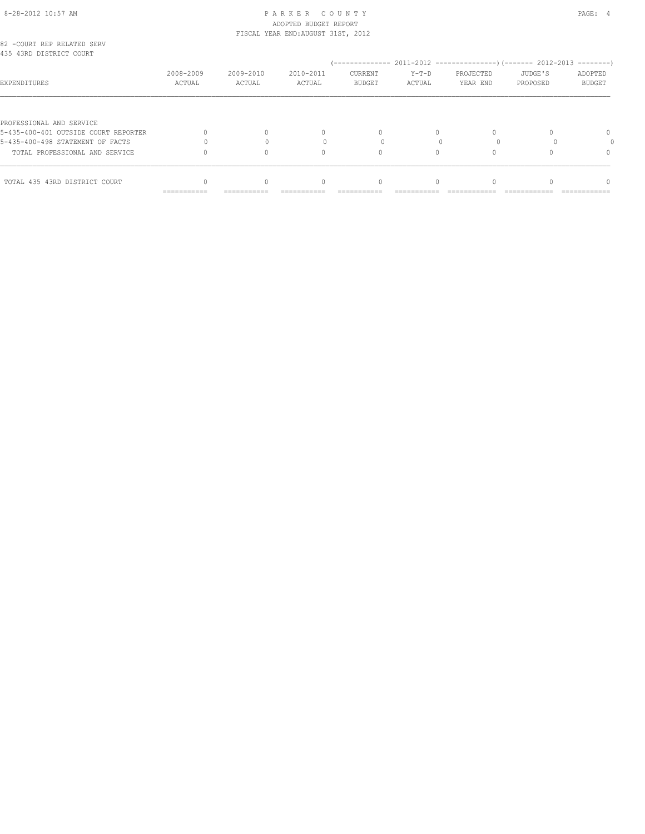## 8-28-2012 10:57 AM PAGE: 4 ADOPTED BUDGET REPORT FISCAL YEAR END:AUGUST 31ST, 2012

| 82 -COURT REP RELATED SERV<br>435 43RD DISTRICT COURT            |                     |                     |                     |                          |                   |                       |                     |                   |
|------------------------------------------------------------------|---------------------|---------------------|---------------------|--------------------------|-------------------|-----------------------|---------------------|-------------------|
| EXPENDITURES                                                     | 2008-2009<br>ACTUAL | 2009-2010<br>ACTUAL | 2010-2011<br>ACTUAL | CURRENT<br><b>BUDGET</b> | $Y-T-D$<br>ACTUAL | PROJECTED<br>YEAR END | JUDGE'S<br>PROPOSED | ADOPTED<br>BUDGET |
|                                                                  |                     |                     |                     |                          |                   |                       |                     |                   |
| PROFESSIONAL AND SERVICE<br>5-435-400-401 OUTSIDE COURT REPORTER |                     |                     | 0                   | $\Omega$                 |                   |                       |                     | 0                 |
| 5-435-400-498 STATEMENT OF FACTS                                 |                     |                     |                     |                          |                   |                       |                     |                   |
|                                                                  |                     |                     |                     |                          |                   |                       |                     |                   |
| TOTAL PROFESSIONAL AND SERVICE                                   |                     |                     | $\cap$              |                          |                   |                       |                     | $\Omega$          |
| TOTAL 435 43RD DISTRICT COURT                                    |                     |                     | $\cap$              |                          |                   |                       |                     |                   |
|                                                                  | ===========         | ===========         |                     |                          |                   |                       |                     |                   |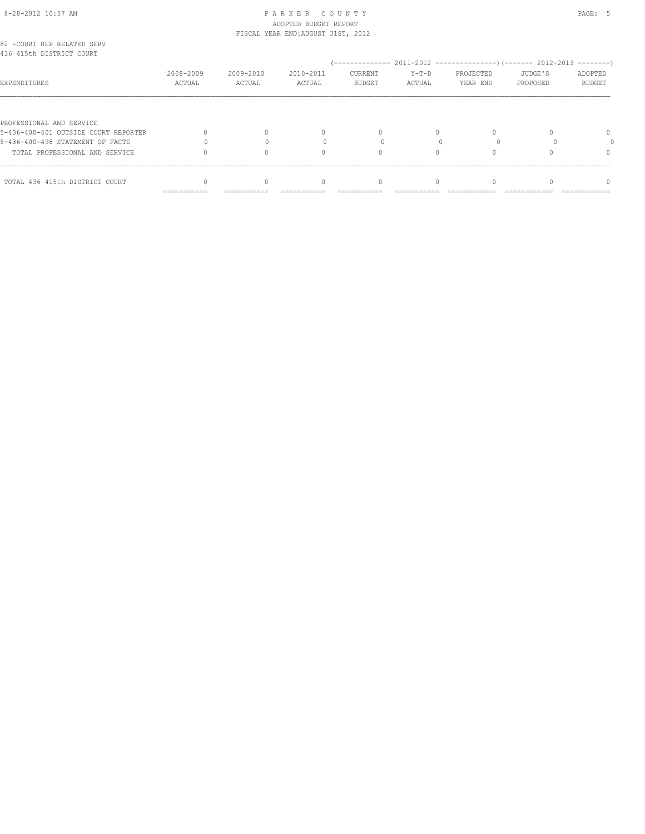# 8-28-2012 10:57 AM PAGE: 5 PARKER COUNTY ADOPTED BUDGET REPORT

| TOTAL 436 415th DISTRICT COURT                                   |                     |                                    |                                  |                          |                   |                       |                     |                          |
|------------------------------------------------------------------|---------------------|------------------------------------|----------------------------------|--------------------------|-------------------|-----------------------|---------------------|--------------------------|
| TOTAL PROFESSIONAL AND SERVICE                                   |                     |                                    | n                                |                          |                   |                       |                     | $\Omega$                 |
| 5-436-400-498 STATEMENT OF FACTS                                 |                     |                                    |                                  |                          |                   |                       |                     |                          |
| PROFESSIONAL AND SERVICE<br>5-436-400-401 OUTSIDE COURT REPORTER |                     |                                    | $\begin{array}{c} \n\end{array}$ | $\Omega$                 | $\Omega$          |                       |                     | $\Omega$                 |
| EXPENDITURES                                                     | 2008-2009<br>ACTUAL | 2009-2010<br>ACTUAL                | 2010-2011<br>ACTUAL              | CURRENT<br><b>BUDGET</b> | $Y-T-D$<br>ACTUAL | PROJECTED<br>YEAR END | JUDGE'S<br>PROPOSED | ADOPTED<br><b>BUDGET</b> |
| 82 -COURT REP RELATED SERV<br>436 415th DISTRICT COURT           |                     |                                    |                                  |                          |                   |                       |                     |                          |
|                                                                  |                     | FISCAL YEAR END: AUGUST 31ST, 2012 |                                  |                          |                   |                       |                     |                          |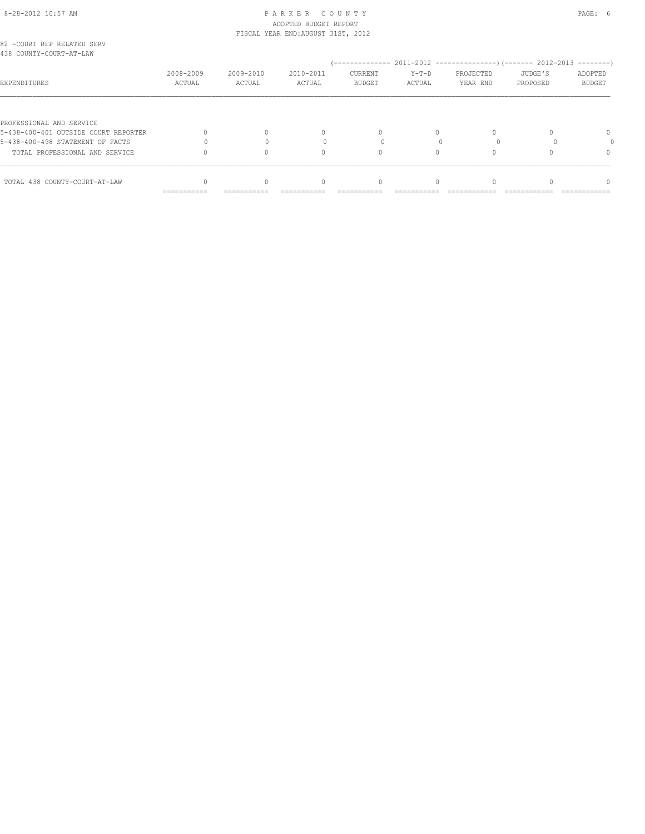# 8-28-2012 10:57 AM PAGE: 6 PARKER COUNTY ADOPTED BUDGET REPORT

| TOTAL 438 COUNTY-COURT-AT-LAW                                    |                                    |                     | $\cap$                           |                          |                   |                       |                     |                          |
|------------------------------------------------------------------|------------------------------------|---------------------|----------------------------------|--------------------------|-------------------|-----------------------|---------------------|--------------------------|
| TOTAL PROFESSIONAL AND SERVICE                                   |                                    |                     |                                  |                          |                   |                       |                     | $\Omega$                 |
|                                                                  |                                    |                     | n                                |                          |                   |                       |                     |                          |
| 5-438-400-498 STATEMENT OF FACTS                                 |                                    |                     |                                  |                          |                   |                       |                     |                          |
| PROFESSIONAL AND SERVICE<br>5-438-400-401 OUTSIDE COURT REPORTER |                                    |                     | $\begin{array}{c} \n\end{array}$ | $\Omega$                 | $\Omega$          |                       |                     | $\Omega$                 |
| EXPENDITURES                                                     | 2008-2009<br>ACTUAL                | 2009-2010<br>ACTUAL | 2010-2011<br>ACTUAL              | CURRENT<br><b>BUDGET</b> | $Y-T-D$<br>ACTUAL | PROJECTED<br>YEAR END | JUDGE'S<br>PROPOSED | ADOPTED<br><b>BUDGET</b> |
| 82 -COURT REP RELATED SERV<br>438 COUNTY-COURT-AT-LAW            |                                    |                     |                                  |                          |                   |                       |                     |                          |
|                                                                  | FISCAL YEAR END: AUGUST 31ST, 2012 |                     |                                  |                          |                   |                       |                     |                          |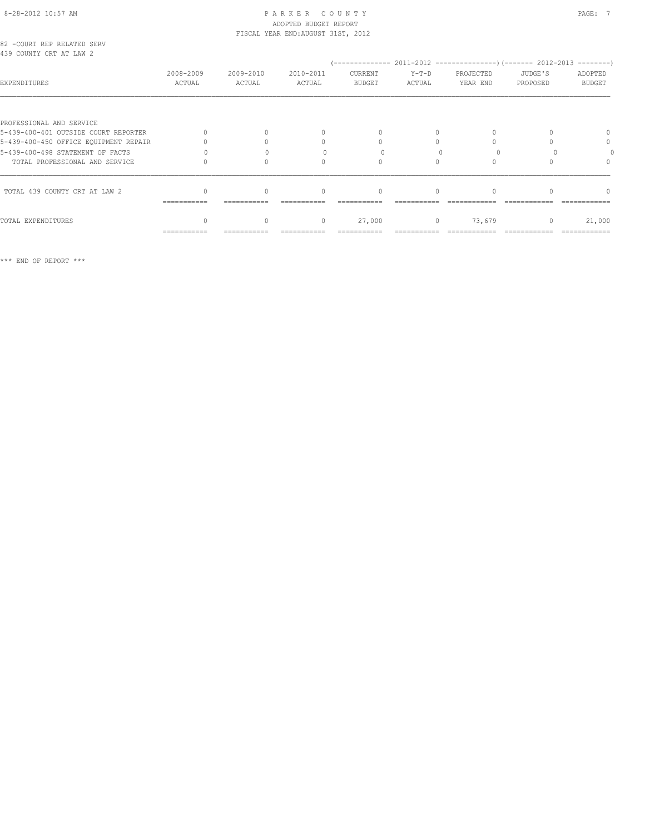# 8-28-2012 10:57 AM P A R K E R C O U N T Y PAGE: 7 ADOPTED BUDGET REPORT FISCAL YEAR END:AUGUST 31ST, 2012

| 82 -COURT REP RELATED SERV |  |  |  |
|----------------------------|--|--|--|
| 439 COUNTY CRT AT LAW 2    |  |  |  |

| 439 COUNTY CRT AT LAW 2               |                     |                     |                     |                          |                   |                       |                     |                          |
|---------------------------------------|---------------------|---------------------|---------------------|--------------------------|-------------------|-----------------------|---------------------|--------------------------|
| <b>EXPENDITURES</b>                   | 2008-2009<br>ACTUAL | 2009-2010<br>ACTUAL | 2010-2011<br>ACTUAL | CURRENT<br><b>BUDGET</b> | $Y-T-D$<br>ACTUAL | PROJECTED<br>YEAR END | JUDGE'S<br>PROPOSED | ADOPTED<br><b>BUDGET</b> |
| PROFESSIONAL AND SERVICE              |                     |                     |                     |                          |                   |                       |                     |                          |
| 5-439-400-401 OUTSIDE COURT REPORTER  |                     |                     |                     | $\Omega$                 |                   | 0                     |                     |                          |
| 5-439-400-450 OFFICE EQUIPMENT REPAIR |                     |                     |                     | $\bigcap$                |                   |                       |                     | 0                        |
| 5-439-400-498 STATEMENT OF FACTS      |                     |                     |                     |                          |                   |                       |                     |                          |
| TOTAL PROFESSIONAL AND SERVICE        |                     |                     |                     | $\bigcap$                |                   |                       |                     | $^{0}$                   |
| TOTAL 439 COUNTY CRT AT LAW 2         |                     | 0                   |                     | $\Omega$                 |                   |                       |                     |                          |
|                                       | ------------        |                     |                     |                          |                   |                       |                     |                          |
| TOTAL EXPENDITURES                    |                     | 0                   | $\mathbf{0}$        | 27,000                   | $\circ$           | 73,679                | $\mathbf{0}$        | 21,000                   |
|                                       | ===========         |                     |                     |                          |                   |                       |                     |                          |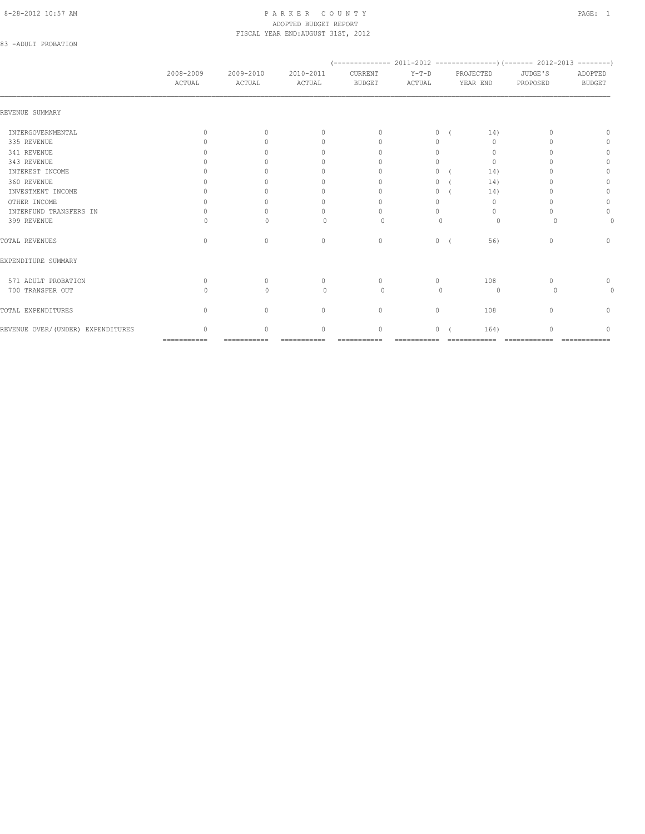## 8-28-2012 10:57 AM PAGE: 1 ADOPTED BUDGET REPORT FISCAL YEAR END:AUGUST 31ST, 2012

# 83 -ADULT PROBATION

|                                    | 2008-2009<br>ACTUAL              | 2009-2010<br>ACTUAL | 2010-2011<br>ACTUAL              | CURRENT<br><b>BUDGET</b>         | $Y-T-D$<br>ACTUAL |  | PROJECTED<br>YEAR END            | JUDGE'S<br>PROPOSED | ADOPTED<br><b>BUDGET</b> |
|------------------------------------|----------------------------------|---------------------|----------------------------------|----------------------------------|-------------------|--|----------------------------------|---------------------|--------------------------|
| REVENUE SUMMARY                    |                                  |                     |                                  |                                  |                   |  |                                  |                     |                          |
| INTERGOVERNMENTAL                  | $\begin{array}{c} \n\end{array}$ | $\bigcap$           | $\Omega$                         | $\begin{array}{c} \n\end{array}$ | 0                 |  | 14)                              |                     | $\cap$                   |
| 335 REVENUE                        |                                  | ∩                   | $\Omega$                         | $\begin{array}{c} \n\end{array}$ | $\Omega$          |  | $\Omega$                         |                     | 0                        |
| 341 REVENUE                        |                                  |                     | 0                                | $\Omega$                         | $\Omega$          |  | 0                                |                     | 0                        |
| 343 REVENUE                        |                                  |                     | n                                | $\cap$                           | $\Omega$          |  | $\mathbf{0}$                     |                     | $\mathbf{0}$             |
| INTEREST INCOME                    |                                  |                     | 0                                |                                  | 0                 |  | 14)                              |                     | $\mathbf{0}$             |
| 360 REVENUE                        |                                  |                     | 0                                | $\cap$                           | $\Omega$          |  | 14)                              |                     | 0                        |
| INVESTMENT INCOME                  |                                  |                     | 0                                | $\Omega$                         | 0                 |  | 14)                              |                     | 0                        |
| OTHER INCOME                       |                                  |                     | 0                                | $\Omega$                         | 0                 |  | $\mathbf{0}$                     |                     | $\circ$                  |
| INTERFUND TRANSFERS IN             |                                  |                     | 0                                | $\cap$                           | $\Omega$          |  | $\begin{array}{c} \n\end{array}$ |                     | $\mathbf{0}$             |
| 399 REVENUE                        | Λ                                | $\cap$              | $\bigcap$                        | $\Omega$                         | $\Omega$          |  | $\Omega$                         |                     |                          |
| TOTAL REVENUES                     | $\mathbf{0}$                     | $\circ$             | $\mathbf{0}$                     | $\mathbf{0}$                     | $\circ$           |  | 56)                              | $\mathbf{0}$        | $\circ$                  |
| EXPENDITURE SUMMARY                |                                  |                     |                                  |                                  |                   |  |                                  |                     |                          |
| 571 ADULT PROBATION                | $\begin{array}{c} \n\end{array}$ | $\Omega$            | $\mathbf{0}$                     | $\begin{array}{c} \n\end{array}$ | $\circ$           |  | 108                              | n                   | 0                        |
| 700 TRANSFER OUT                   | Λ                                | $\bigcap$           | $\begin{array}{c} \n\end{array}$ | $\Omega$                         | $\bigcap$         |  | $\circ$                          | $\Omega$            |                          |
| TOTAL EXPENDITURES                 | $\begin{array}{c} \n\end{array}$ | $\Omega$            | $\mathbf{0}$                     | $\circ$                          | $\circ$           |  | 108                              | $\cap$              | 0                        |
| REVENUE OVER/ (UNDER) EXPENDITURES | $\cap$                           | $\cap$              | $\Omega$                         | $\Omega$                         | $\Omega$          |  | 164)                             |                     | ∩                        |
|                                    | $=$ = = = = = = = = = = =        | -----------         | ------------                     | ------------                     | -----------       |  | -------------                    | -------------       | -------------            |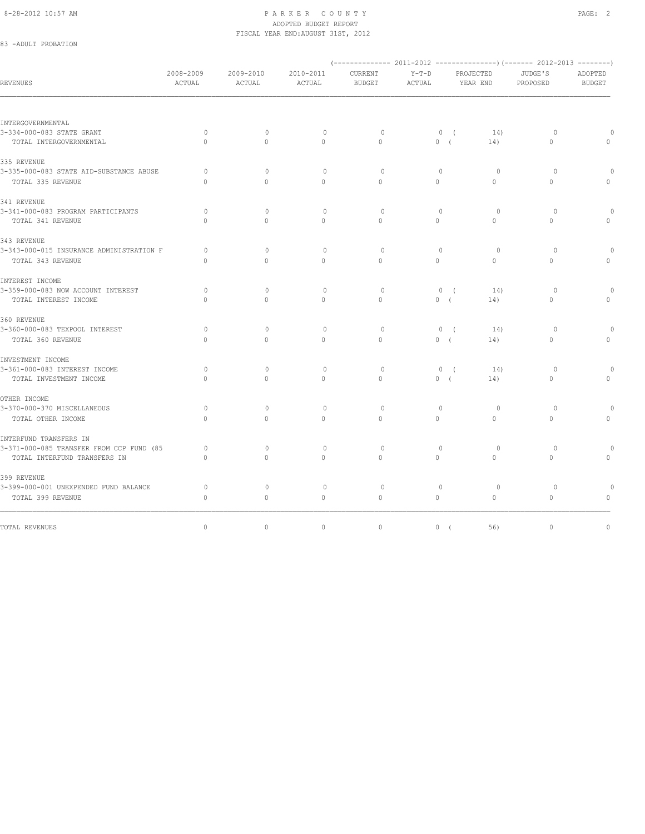### 8-28-2012 10:57 AM PAGE: 2 ADOPTED BUDGET REPORT FISCAL YEAR END:AUGUST 31ST, 2012

# 83 -ADULT PROBATION

| REVENUES                                 | 2008-2009<br>ACTUAL | 2009-2010<br>ACTUAL | 2010-2011<br>ACTUAL | CURRENT<br><b>BUDGET</b> | $Y-T-D$<br>ACTUAL |                       | PROJECTED<br>YEAR END | JUDGE'S<br>PROPOSED | ADOPTED<br><b>BUDGET</b> |
|------------------------------------------|---------------------|---------------------|---------------------|--------------------------|-------------------|-----------------------|-----------------------|---------------------|--------------------------|
|                                          |                     |                     |                     |                          |                   |                       |                       |                     |                          |
| INTERGOVERNMENTAL                        |                     |                     |                     |                          |                   |                       |                       |                     |                          |
| 3-334-000-083 STATE GRANT                | $\circ$             | $\mathbf{0}$        | $\circ$             | $\circ$                  |                   | 0(                    | 14)                   | $\circ$             |                          |
| TOTAL INTERGOVERNMENTAL                  | $\Omega$            | $\Omega$            | $\circ$             | $\Omega$                 |                   | 0(                    | 14)                   | $\circ$             |                          |
| 335 REVENUE                              |                     |                     |                     |                          |                   |                       |                       |                     |                          |
| 3-335-000-083 STATE AID-SUBSTANCE ABUSE  | $\circ$             | $\mathbf{0}$        | $\circ$             | $\circ$                  |                   | $\mathbf{0}$          | $\circ$               | $\circ$             | $\Omega$                 |
| TOTAL 335 REVENUE                        | $\Omega$            | $\Omega$            | $\Omega$            | $\Omega$                 | $\Omega$          |                       | $\Omega$              | $\Omega$            | $\Omega$                 |
| 341 REVENUE                              |                     |                     |                     |                          |                   |                       |                       |                     |                          |
| 3-341-000-083 PROGRAM PARTICIPANTS       | $\circ$             | $\mathbf{0}$        | $\circ$             | $\circ$                  |                   | $\mathbf{0}$          | $\circ$               | $\circ$             |                          |
| TOTAL 341 REVENUE                        | $\Omega$            | $\Omega$            | $\Omega$            | $\Omega$                 | $\circ$           |                       | $\Omega$              | $\Omega$            | $\circ$                  |
| 343 REVENUE                              |                     |                     |                     |                          |                   |                       |                       |                     |                          |
| 3-343-000-015 INSURANCE ADMINISTRATION F | 0                   | $\Omega$            | $\circ$             | $\circ$                  |                   | $\mathbf{0}$          | $\circ$               | $\circ$             |                          |
| TOTAL 343 REVENUE                        | $\Omega$            | $\Omega$            | $\Omega$            | $\Omega$                 | $\Omega$          |                       | $\Omega$              | $\Omega$            | $\Omega$                 |
| INTEREST INCOME                          |                     |                     |                     |                          |                   |                       |                       |                     |                          |
| 3-359-000-083 NOW ACCOUNT INTEREST       | $\Omega$            | $\Omega$            | $\circ$             | $\Omega$                 |                   | $\circ$<br>$\sqrt{ }$ | 14)                   | $\circ$             | $\Omega$                 |
| TOTAL INTEREST INCOME                    | $\mathbf{0}$        | $\circ$             | $\circ$             | $\mathbf{0}$             |                   | 0(                    | 14)                   | 0                   | 0                        |
| 360 REVENUE                              |                     |                     |                     |                          |                   |                       |                       |                     |                          |
| 3-360-000-083 TEXPOOL INTEREST           | $\circ$             | $\mathbf{0}$        | $\circ$             | $\circ$                  |                   | 0(                    | 14)                   | $\circ$             | $\Omega$                 |
| TOTAL 360 REVENUE                        | $\Omega$            | $\Omega$            | $\circ$             | $\Omega$                 |                   | 0(                    | 14)                   | $\circ$             | 0                        |
| INVESTMENT INCOME                        |                     |                     |                     |                          |                   |                       |                       |                     |                          |
| 3-361-000-083 INTEREST INCOME            | $\circ$             | $\mathbf{0}$        | $\circ$             | $\circ$                  |                   | 0(                    | 14)                   | $\circ$             |                          |
| TOTAL INVESTMENT INCOME                  | $\Omega$            | $\Omega$            | $\circ$             | $\Omega$                 |                   | 0(                    | 14)                   | $\mathbf{0}$        | 0                        |
| OTHER INCOME                             |                     |                     |                     |                          |                   |                       |                       |                     |                          |
| 3-370-000-370 MISCELLANEOUS              | $\circ$             | $\mathbf{0}$        | $\circ$             | $\circ$                  |                   | $\mathbf{0}$          | $\circ$               | $\circ$             |                          |
| TOTAL OTHER INCOME                       | $\Omega$            | $\Omega$            | $\circ$             | $\Omega$                 | $\circ$           |                       | $\circ$               | $\mathbf{0}$        | 0                        |
| INTERFUND TRANSFERS IN                   |                     |                     |                     |                          |                   |                       |                       |                     |                          |
| 3-371-000-085 TRANSFER FROM CCP FUND (85 | $\circ$             | $\mathbf{0}$        | $\circ$             | $\circ$                  |                   | $\mathbf{0}$          | $\circ$               | $\circ$             | $\Omega$                 |
| TOTAL INTERFUND TRANSFERS IN             | $\Omega$            | $\Omega$            | $\Omega$            | $\Omega$                 | $\Omega$          |                       | $\circ$               | $\mathbf{0}$        | $\Omega$                 |
| 399 REVENUE                              |                     |                     |                     |                          |                   |                       |                       |                     |                          |
| 3-399-000-001 UNEXPENDED FUND BALANCE    | $\circ$             | $\mathbf{0}$        | $\circ$             | $\circ$                  |                   | $\mathbf{0}$          | $\circ$               | $\circ$             | $\Omega$                 |
| TOTAL 399 REVENUE                        | $\Omega$            | $\mathbf{0}$        | $\circ$             | $\circ$                  | $\circ$           |                       | $\circ$               | $\Omega$            | $\Omega$                 |
|                                          |                     |                     |                     |                          |                   |                       |                       |                     |                          |
| TOTAL REVENUES                           | $\Omega$            | $\mathbf{0}$        | $\circ$             | $\mathbf{0}$             |                   | 0(                    | 56)                   | $\mathbf{0}$        | $\mathbf{0}$             |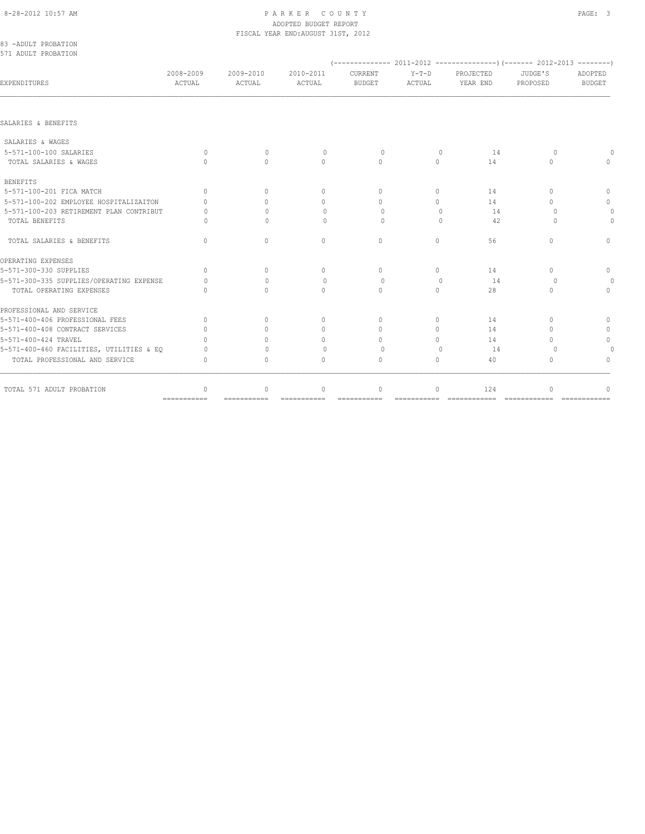## 8-28-2012 10:57 AM PAGE: 3 ADOPTED BUDGET REPORT FISCAL YEAR END:AUGUST 31ST, 2012

| 83 -ADULT PROBATION<br>571 ADULT PROBATION |                                  |                     |                                  |                                  |                   |                       |                     |                          |
|--------------------------------------------|----------------------------------|---------------------|----------------------------------|----------------------------------|-------------------|-----------------------|---------------------|--------------------------|
|                                            |                                  |                     |                                  |                                  |                   |                       |                     |                          |
| EXPENDITURES                               | 2008-2009<br>ACTUAL              | 2009-2010<br>ACTUAL | 2010-2011<br>ACTUAL              | <b>CURRENT</b><br><b>BUDGET</b>  | $Y-T-D$<br>ACTUAL | PROJECTED<br>YEAR END | JUDGE'S<br>PROPOSED | ADOPTED<br><b>BUDGET</b> |
|                                            |                                  |                     |                                  |                                  |                   |                       |                     |                          |
| SALARIES & BENEFITS                        |                                  |                     |                                  |                                  |                   |                       |                     |                          |
| SALARIES & WAGES                           |                                  |                     |                                  |                                  |                   |                       |                     |                          |
| 5-571-100-100 SALARIES                     | $\Omega$                         | $\Omega$            | $\Omega$                         | $\Omega$                         | $\Omega$          | 14                    | $\Omega$            |                          |
| TOTAL SALARIES & WAGES                     | $\bigcap$                        | $\bigcap$           | $\Omega$                         | $\begin{array}{c} \n\end{array}$ | $\Omega$          | 14                    | $\bigcap$           | $\bigcap$                |
| <b>BENEFITS</b>                            |                                  |                     |                                  |                                  |                   |                       |                     |                          |
| 5-571-100-201 FICA MATCH                   | $\Omega$                         | $\bigcap$           | $\begin{array}{c} \n\end{array}$ | $\Omega$                         | $\bigcap$         | 14                    | $\bigcap$           | $\mathbf{0}$             |
| 5-571-100-202 EMPLOYEE HOSPITALIZAITON     | $\cap$                           | $\bigcap$           | $\begin{array}{c} \n\end{array}$ | $\cap$                           | $\bigcap$         | 14                    | $\bigcap$           | $\mathbf{0}$             |
| 5-571-100-203 RETIREMENT PLAN CONTRIBUT    | O                                | $\bigcap$           | $\Omega$                         | $\cap$                           | $\Omega$          | 14                    | $\bigcap$           |                          |
| TOTAL BENEFITS                             | Λ                                | $\bigcap$           | $\Omega$                         | $\Omega$                         | $\Omega$          | 42                    | $\cap$              | $\Omega$                 |
| TOTAL SALARIES & BENEFITS                  | $\begin{array}{c} \n\end{array}$ | $\Omega$            | $\Omega$                         | $\circ$                          | $\circ$           | 56                    | $\Omega$            | $\mathbf{0}$             |
| OPERATING EXPENSES                         |                                  |                     |                                  |                                  |                   |                       |                     |                          |
| 5-571-300-330 SUPPLIES                     | $\begin{array}{c} \n\end{array}$ | $\Omega$            | $\mathbf{0}$                     | $\Omega$                         | $\Omega$          | 14                    | $\bigcap$           | $\mathbf{0}$             |
| 5-571-300-335 SUPPLIES/OPERATING EXPENSE   | Λ                                | $\bigcap$           | $\circ$                          | $\Omega$                         | $\Omega$          | 14                    | $\Omega$            |                          |
| TOTAL OPERATING EXPENSES                   | $\Omega$                         | $\Omega$            | $\Omega$                         | $\Omega$                         | $\Omega$          | 2.8                   | $\Omega$            | $\Omega$                 |
| PROFESSIONAL AND SERVICE                   |                                  |                     |                                  |                                  |                   |                       |                     |                          |
| 5-571-400-406 PROFESSIONAL FEES            | $\Omega$                         | $\cap$              | $\mathbf{0}$                     | $\Omega$                         | $\Omega$          | 14                    | $\bigcap$           | $\Omega$                 |
| 5-571-400-408 CONTRACT SERVICES            | $\bigcap$                        | $\bigcap$           | $\mathbf{0}$                     | $\begin{array}{c} \n\end{array}$ | $\bigcap$         | 14                    | $\bigcap$           | $\mathbf{0}$             |
| 5-571-400-424 TRAVEL                       |                                  |                     | 0                                | $\Omega$                         | $\Omega$          | 14                    | $\cap$              | $\circ$                  |
| 5-571-400-460 FACILITIES, UTILITIES & EQ   |                                  | $\Omega$            | $\Omega$                         | $\Omega$                         | $\bigcap$         | 14                    | $\Omega$            |                          |
| TOTAL PROFESSIONAL AND SERVICE             | $\begin{array}{c} \n\end{array}$ | $\Omega$            | $\begin{array}{c} \n\end{array}$ | $\begin{array}{c} \n\end{array}$ | 0                 | 40                    | $\Omega$            | $\cap$                   |
| TOTAL 571 ADULT PROBATION                  | $\mathbf{0}$                     | $\mathbf{0}$        | $\mathbf{0}$                     | $\mathbf{0}$                     | $\circ$           | 124                   | $\Omega$            |                          |
|                                            | ===========                      |                     |                                  |                                  |                   |                       |                     |                          |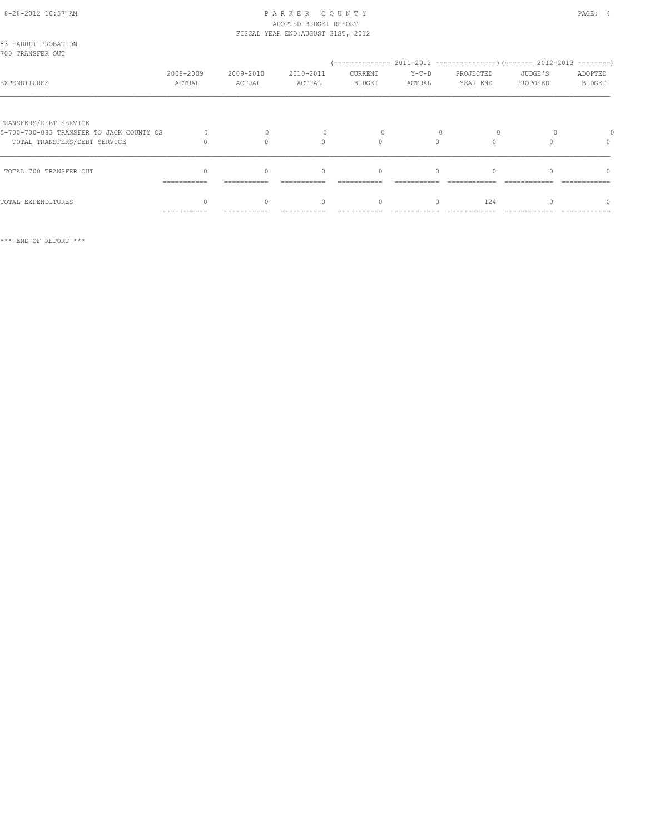## 8-28-2012 10:57 AM PAGE: 4 ADOPTED BUDGET REPORT FISCAL YEAR END:AUGUST 31ST, 2012

| 83 -ADULT PROBATION<br>700 TRANSFER OUT                                                            |                     |                     |                     |                          |                 |                       |                     |                          |
|----------------------------------------------------------------------------------------------------|---------------------|---------------------|---------------------|--------------------------|-----------------|-----------------------|---------------------|--------------------------|
| EXPENDITURES                                                                                       | 2008-2009<br>ACTUAL | 2009-2010<br>ACTUAL | 2010-2011<br>ACTUAL | CURRENT<br><b>BUDGET</b> | Y-T-D<br>ACTUAL | PROJECTED<br>YEAR END | JUDGE'S<br>PROPOSED | ADOPTED<br><b>BUDGET</b> |
| TRANSFERS/DEBT SERVICE<br>5-700-700-083 TRANSFER TO JACK COUNTY CS<br>TOTAL TRANSFERS/DEBT SERVICE |                     |                     | 0                   |                          |                 |                       |                     | $\Omega$                 |
| TOTAL 700 TRANSFER OUT                                                                             | ===========         | ===========         | $\bigcap$           | $\bigcap$                | $\cap$          |                       |                     | $\cap$                   |
| TOTAL EXPENDITURES                                                                                 | ===========         |                     |                     | $\Omega$                 | $\Omega$        | 124                   |                     |                          |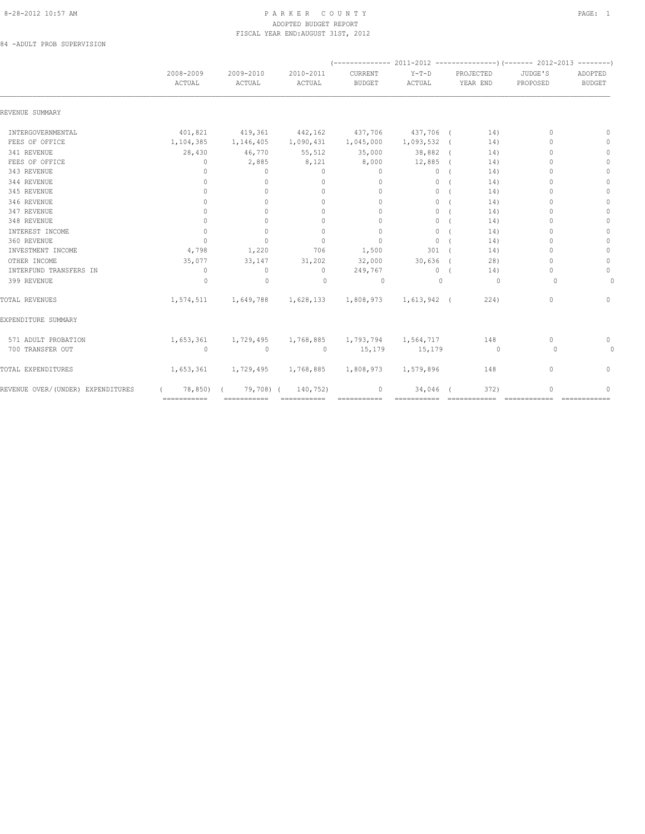## 8-28-2012 10:57 AM P A R K E R C O U N T Y PAGE: 1 ADOPTED BUDGET REPORT FISCAL YEAR END:AUGUST 31ST, 2012

84 -ADULT PROB SUPERVISION

|                                   | 2008-2009<br>ACTUAL | 2009-2010<br>ACTUAL | 2010-2011<br>ACTUAL | CURRENT<br><b>BUDGET</b>      | $Y-T-D$<br>ACTUAL |  | PROJECTED<br>YEAR END    | JUDGE'S<br>PROPOSED              | ADOPTED<br><b>BUDGET</b> |
|-----------------------------------|---------------------|---------------------|---------------------|-------------------------------|-------------------|--|--------------------------|----------------------------------|--------------------------|
| REVENUE SUMMARY                   |                     |                     |                     |                               |                   |  |                          |                                  |                          |
| INTERGOVERNMENTAL                 | 401,821             | 419,361             | 442,162             | 437,706                       | 437,706 (         |  | 14)                      | $\Omega$                         | $\Omega$                 |
| FEES OF OFFICE                    | 1,104,385           | 1,146,405           | 1,090,431           | 1,045,000                     | 1,093,532 (       |  | 14)                      | $\Omega$                         | $\mathbf{0}$             |
| 341 REVENUE                       | 28,430              | 46,770              | 55,512              | 35,000                        | 38,882 (          |  | 14)                      | $\Omega$                         | $\mathbf{0}$             |
| FEES OF OFFICE                    | $\mathbf{0}$        | 2,885               | 8,121               | 8,000                         | 12,885            |  | 14)                      | $\Omega$                         | $\Omega$                 |
| 343 REVENUE                       | $\mathbf{0}$        | $\circ$             | $\mathbf{0}$        | $\mathbf{0}$                  | $\circ$           |  | 14)                      | $\Omega$                         | $\mathbf{0}$             |
| 344 REVENUE                       | $\Omega$            | $\circ$             | $\mathbf{0}$        | $\mathbf{0}$                  | $\circ$           |  | 14)                      | $\bigcap$                        | $\circ$                  |
| 345 REVENUE                       | $\Omega$            | $\Omega$            | $\Omega$            | $\Omega$                      | $\circ$           |  | 14)                      | $\cap$                           | $\mathbf{0}$             |
| 346 REVENUE                       | $\mathbf{0}$        | $\circ$             | $\mathbf{0}$        | $\mathbf{0}$                  | $\circ$           |  | 14)                      | $\Omega$                         | $\mathbf{0}$             |
| 347 REVENUE                       | $\mathbf{0}$        | $\Omega$            | $\mathbf{0}$        | $\Omega$                      | $\circ$           |  | 14)                      | $\Omega$                         | $\mathbf{0}$             |
| 348 REVENUE                       | $\Omega$            | $\Omega$            | $\Omega$            | $\mathbf{0}$                  | $\circ$           |  | 14)                      | $\Omega$                         | $\Omega$                 |
| INTEREST INCOME                   | $\circ$             | $\mathbf{0}$        | $\mathbf{0}$        | $\mathbf{0}$                  | $\circ$           |  | 14)                      | $\cap$                           | $\circ$                  |
| 360 REVENUE                       | $\Omega$            | $\Omega$            | $\Omega$            | $\mathbf{0}$                  | $\circ$           |  | 14)                      | $\cap$                           | $\Omega$                 |
| INVESTMENT INCOME                 | 4,798               | 1,220               | 706                 | 1,500                         | 301               |  | 14)                      | $\Omega$                         | $\mathbf{0}$             |
| OTHER INCOME                      | 35,077              | 33,147              | 31,202              | 32,000                        | $30,636$ (        |  | 28)                      | $\cap$                           | $\mathbf{0}$             |
| INTERFUND TRANSFERS IN            | $\mathbf{0}$        | $\circ$             | $\circ$             | 249,767                       | $\circ$           |  | 14)                      | $\bigcap$                        | $\circ$                  |
| 399 REVENUE                       | $\Omega$            | $\mathbf{0}$        | $\Omega$            | $\circ$                       | $\Omega$          |  | $\Omega$                 | $\Omega$                         | $\Omega$                 |
| TOTAL REVENUES                    | 1,574,511           | 1,649,788           | 1,628,133           | 1,808,973                     | 1,613,942 (       |  | 224)                     | $\begin{array}{c} \n\end{array}$ | $\mathbf{0}$             |
| EXPENDITURE SUMMARY               |                     |                     |                     |                               |                   |  |                          |                                  |                          |
| 571 ADULT PROBATION               | 1,653,361           | 1,729,495           |                     | 1,768,885 1,793,794 1,564,717 |                   |  | 148                      | $\mathbf{0}$                     | 0                        |
| 700 TRANSFER OUT                  | $\circ$             | $\mathbf{0}$        | $\circ$             | 15,179                        | 15,179            |  | $\overline{\phantom{0}}$ | $\Omega$                         | 0                        |
| TOTAL EXPENDITURES                | 1,653,361           | 1,729,495           | 1,768,885           | 1,808,973                     | 1,579,896         |  | 148                      | $\mathbf{0}$                     | $\circ$                  |
| REVENUE OVER/(UNDER) EXPENDITURES | 78,850)             | 79,708) (           | 140,752)            | $\mathbf{0}$                  | 34,046            |  | 372)                     | $\Omega$                         | $\Omega$                 |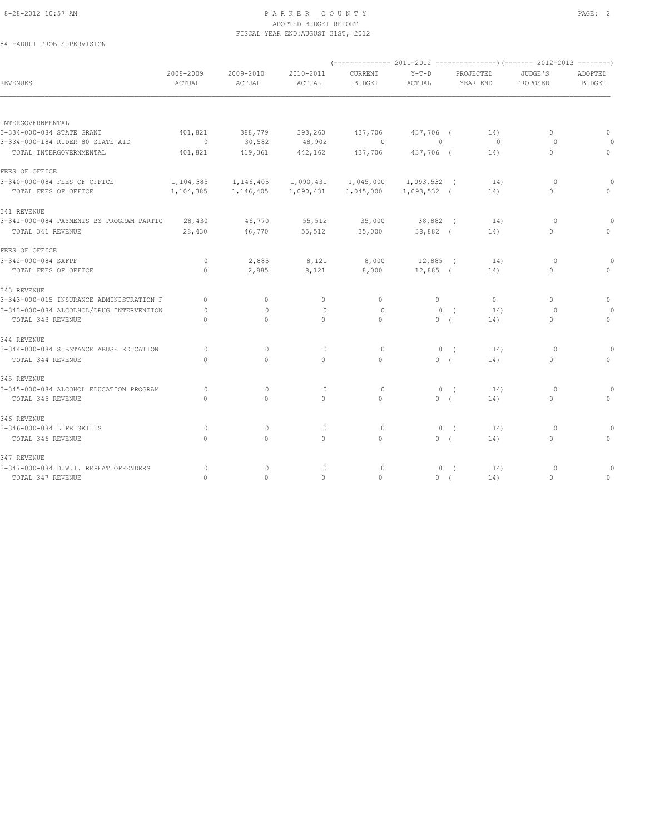# 8-28-2012 10:57 AM PAGE: 2 ADOPTED BUDGET REPORT FISCAL YEAR END:AUGUST 31ST, 2012

84 -ADULT PROB SUPERVISION

| REVENUES                                 | 2008-2009<br>ACTUAL              | 2009-2010<br>ACTUAL              | 2010-2011<br>ACTUAL | CURRENT<br><b>BUDGET</b> | $Y-T-D$<br>ACTUAL | PROJECTED<br>YEAR END | JUDGE'S<br>PROPOSED              | ADOPTED<br><b>BUDGET</b>         |  |
|------------------------------------------|----------------------------------|----------------------------------|---------------------|--------------------------|-------------------|-----------------------|----------------------------------|----------------------------------|--|
|                                          |                                  |                                  |                     |                          |                   |                       |                                  |                                  |  |
| INTERGOVERNMENTAL                        |                                  |                                  |                     |                          |                   |                       |                                  |                                  |  |
| 3-334-000-084 STATE GRANT                | 401,821                          | 388,779                          | 393,260             | 437,706                  | 437,706 (         | 14)                   | $\circ$                          | $\mathbf{0}$                     |  |
| 3-334-000-184 RIDER 80 STATE AID         | $\circ$                          | 30,582                           | 48,902              | $\Omega$                 | $\mathbf{0}$      | $\circ$               | $\circ$                          |                                  |  |
| TOTAL INTERGOVERNMENTAL                  | 401,821                          | 419,361                          | 442,162             | 437,706                  | 437,706 (         | 14)                   | $\circ$                          | 0                                |  |
| FEES OF OFFICE                           |                                  |                                  |                     |                          |                   |                       |                                  |                                  |  |
| 3-340-000-084 FEES OF OFFICE             | 1,104,385                        | 1,146,405                        | 1,090,431           | 1,045,000                | 1,093,532 (       | 14)                   | $\circ$                          |                                  |  |
| TOTAL FEES OF OFFICE                     | 1,104,385                        | 1,146,405                        | 1,090,431           | 1,045,000                | 1,093,532 (       | 14)                   | $\circ$                          | 0                                |  |
| 341 REVENUE                              |                                  |                                  |                     |                          |                   |                       |                                  |                                  |  |
| 3-341-000-084 PAYMENTS BY PROGRAM PARTIC | 28,430                           | 46,770                           | 55,512              | 35,000                   | 38,882 (          | 14)                   | $\circ$                          |                                  |  |
| TOTAL 341 REVENUE                        | 28,430                           | 46,770                           | 55,512              | 35,000                   | 38,882 (          | 14)                   | $\circ$                          | 0                                |  |
| FEES OF OFFICE                           |                                  |                                  |                     |                          |                   |                       |                                  |                                  |  |
| 3-342-000-084 SAFPF                      | $\circ$                          | 2,885                            | 8,121               | 8,000                    | 12,885 (          | 14)                   | $\circ$                          | $\Omega$                         |  |
| TOTAL FEES OF OFFICE                     | $\Omega$                         | 2,885                            | 8,121               | 8,000                    | $12,885$ (        | 14)                   | $\mathbf{0}$                     | $\Omega$                         |  |
| 343 REVENUE                              |                                  |                                  |                     |                          |                   |                       |                                  |                                  |  |
| 3-343-000-015 INSURANCE ADMINISTRATION F | $\begin{array}{c} \n\end{array}$ | $\mathbf{0}$                     | $\mathbf{0}$        | $\circ$                  | $\circ$           | $\circ$               | $\begin{array}{c} \n\end{array}$ | 0                                |  |
| 3-343-000-084 ALCOLHOL/DRUG INTERVENTION | $\Omega$                         | $\begin{array}{c} \n\end{array}$ | $\mathbf{0}$        | $\Omega$                 | $\Omega$          | 14)<br>$\sqrt{ }$     | $\Omega$                         |                                  |  |
| TOTAL 343 REVENUE                        | $\circ$                          | $\mathbf{0}$                     | $\mathbf{0}$        | $\mathbf{0}$             | 0(                | 14)                   | $\circ$                          | $\mathbf{0}$                     |  |
| 344 REVENUE                              |                                  |                                  |                     |                          |                   |                       |                                  |                                  |  |
| 3-344-000-084 SUBSTANCE ABUSE EDUCATION  | $\Omega$                         | $\mathbf{0}$                     | $\circ$             | $\circ$                  | 0(                | 14)                   | $\circ$                          |                                  |  |
| TOTAL 344 REVENUE                        | $\circ$                          | $\mathbf{0}$                     | $\circ$             | $\mathbf{0}$             | 0(                | 14)                   | 0                                | 0                                |  |
| 345 REVENUE                              |                                  |                                  |                     |                          |                   |                       |                                  |                                  |  |
| 3-345-000-084 ALCOHOL EDUCATION PROGRAM  | 0                                | $\mathbf{0}$                     | $\mathbf 0$         | $\circ$                  | 0(                | 14)                   | 0                                |                                  |  |
| TOTAL 345 REVENUE                        | $\Omega$                         | $\Omega$                         | $\mathbf{0}$        | $\Omega$                 | 0(                | 14)                   | $\circ$                          | $\begin{array}{c} \n\end{array}$ |  |
| 346 REVENUE                              |                                  |                                  |                     |                          |                   |                       |                                  |                                  |  |
| 3-346-000-084 LIFE SKILLS                | $\circ$                          | $\mathbf{0}$                     | $\circ$             | $\circ$                  | 0(                | 14)                   | $\circ$                          |                                  |  |
| TOTAL 346 REVENUE                        | $\Omega$                         | $\Omega$                         | $\Omega$            | $\Omega$                 | 0(                | 14)                   | $\circ$                          | 0                                |  |
| 347 REVENUE                              |                                  |                                  |                     |                          |                   |                       |                                  |                                  |  |
| 3-347-000-084 D.W.I. REPEAT OFFENDERS    | $\Omega$                         | $\mathbf{0}$                     | $\mathbf{0}$        | $\circ$                  | $\circ$           | 14)<br>$\sqrt{ }$     | 0                                |                                  |  |
| TOTAL 347 REVENUE                        | $\mathbf{0}$                     | 0                                | $\mathbf 0$         | $\circ$                  | 0(                | 14)                   | $\mathbf{0}$                     | 0                                |  |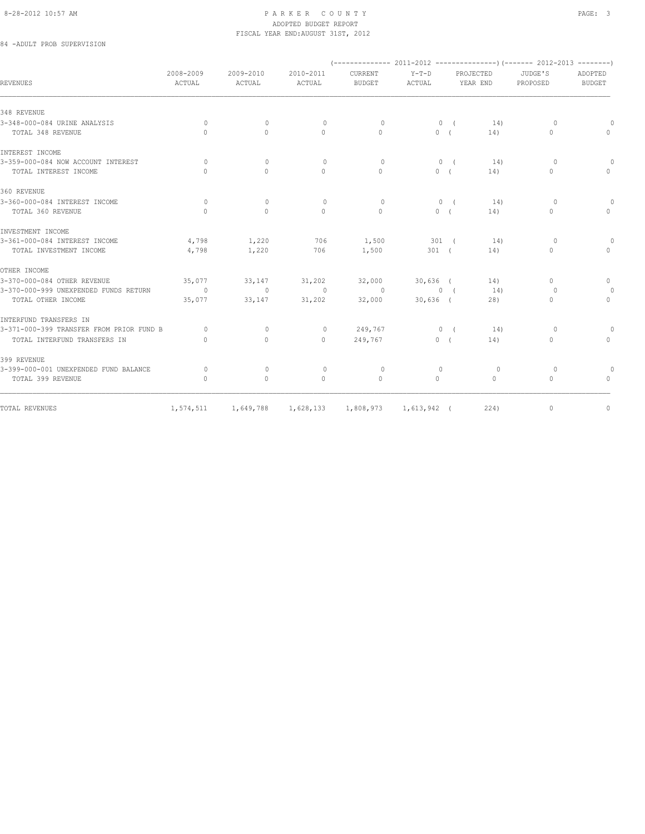## 8-28-2012 10:57 AM PAGE: 3 ADOPTED BUDGET REPORT FISCAL YEAR END:AUGUST 31ST, 2012

# 84 -ADULT PROB SUPERVISION

| <b>REVENUES</b>                          | 2008-2009<br>ACTUAL | 2009-2010<br>ACTUAL | 2010-2011<br>ACTUAL              | CURRENT<br><b>BUDGET</b> | $Y-T-D$<br>ACTUAL     |            | PROJECTED<br>YEAR END | JUDGE'S<br>PROPOSED | ADOPTED<br><b>BUDGET</b> |
|------------------------------------------|---------------------|---------------------|----------------------------------|--------------------------|-----------------------|------------|-----------------------|---------------------|--------------------------|
|                                          |                     |                     |                                  |                          |                       |            |                       |                     |                          |
| 348 REVENUE                              |                     |                     |                                  |                          |                       |            |                       |                     |                          |
| 3-348-000-084 URINE ANALYSIS             | $\Omega$            | $\Omega$            | $\circ$                          | $\Omega$                 |                       | $0 \left($ | 14)                   | $\Omega$            | $\Omega$                 |
| TOTAL 348 REVENUE                        | $\mathbf{0}$        | $\circ$             | $\mathbf{0}$                     | $\mathbf{0}$             | 0(                    |            | 14)                   | $\mathbf{0}$        | $\mathbf{0}$             |
| INTEREST INCOME                          |                     |                     |                                  |                          |                       |            |                       |                     |                          |
| 3-359-000-084 NOW ACCOUNT INTEREST       | $\Omega$            | $\Omega$            | $\Omega$                         | $\Omega$                 |                       | 0(         | 14)                   | $\Omega$            | $\Omega$                 |
| TOTAL INTEREST INCOME                    | $\Omega$            | $\Omega$            | $\Omega$                         | $\Omega$                 | 0(                    |            | 14)                   | $\Omega$            | $\Omega$                 |
| 360 REVENUE                              |                     |                     |                                  |                          |                       |            |                       |                     |                          |
| 3-360-000-084 INTEREST INCOME            | $\Omega$            | $\Omega$            | $\begin{array}{c} \n\end{array}$ | $\Omega$                 |                       | $0 \left($ | 14)                   | $\Omega$            | $\circ$                  |
| TOTAL 360 REVENUE                        | $\cap$              | $\Omega$            | $\Omega$                         | $\Omega$                 | 0(                    |            | 14)                   | $\Omega$            | $\Omega$                 |
| INVESTMENT INCOME                        |                     |                     |                                  |                          |                       |            |                       |                     |                          |
| 3-361-000-084 INTEREST INCOME            | 4,798               | 1,220               | 706                              | 1,500                    | 301 (                 |            | 14)                   | $\Omega$            | $\Omega$                 |
| TOTAL INVESTMENT INCOME                  | 4,798               | 1,220               | 706                              | 1,500                    | $301$ (               |            | 14)                   | 0                   | $\Omega$                 |
| OTHER INCOME                             |                     |                     |                                  |                          |                       |            |                       |                     |                          |
| 3-370-000-084 OTHER REVENUE              | 35,077              | 33,147              | 31,202                           | 32,000                   | $30,636$ (            |            | 14)                   | 0                   | $\circ$                  |
| 3-370-000-999 UNEXPENDED FUNDS RETURN    | $\sim$ 0            | $\Omega$            | $\bigcirc$                       | $\overline{0}$           |                       | $0 \left($ | 14)                   | $\Omega$            | $\Omega$                 |
| TOTAL OTHER INCOME                       | 35,077              | 33,147              | 31,202                           | 32,000                   | $30,636$ (            |            | 28)                   | 0                   | $\circ$                  |
| INTERFUND TRANSFERS IN                   |                     |                     |                                  |                          |                       |            |                       |                     |                          |
| 3-371-000-399 TRANSFER FROM PRIOR FUND B | $\Omega$            | $\mathbf{0}$        | $\circ$                          | 249,767                  |                       | 0(         | 14)                   | $\circ$             | 0                        |
| TOTAL INTERFUND TRANSFERS IN             | $\Omega$            | $\circ$             | $\circ$                          | 249,767                  | 0(                    |            | 14)                   | 0                   | $\circ$                  |
| 399 REVENUE                              |                     |                     |                                  |                          |                       |            |                       |                     |                          |
| 3-399-000-001 UNEXPENDED FUND BALANCE    | $\Omega$            | $\Omega$            | $\circ$                          | $\circ$                  | $\circ$               |            | $\circ$               | $\Omega$            | $\circ$                  |
| TOTAL 399 REVENUE                        | $\mathbf{0}$        | $\Omega$            | $\mathbf{0}$                     | $\mathbf{0}$             | $\Omega$              |            | $\Omega$              | $\Omega$            | $\mathbf{0}$             |
|                                          |                     |                     |                                  |                          |                       |            |                       |                     |                          |
| TOTAL REVENUES                           | 1,574,511           | 1,649,788           | 1,628,133                        |                          | 1,808,973 1,613,942 ( |            | 224)                  | $\mathbf{0}$        | $\circ$                  |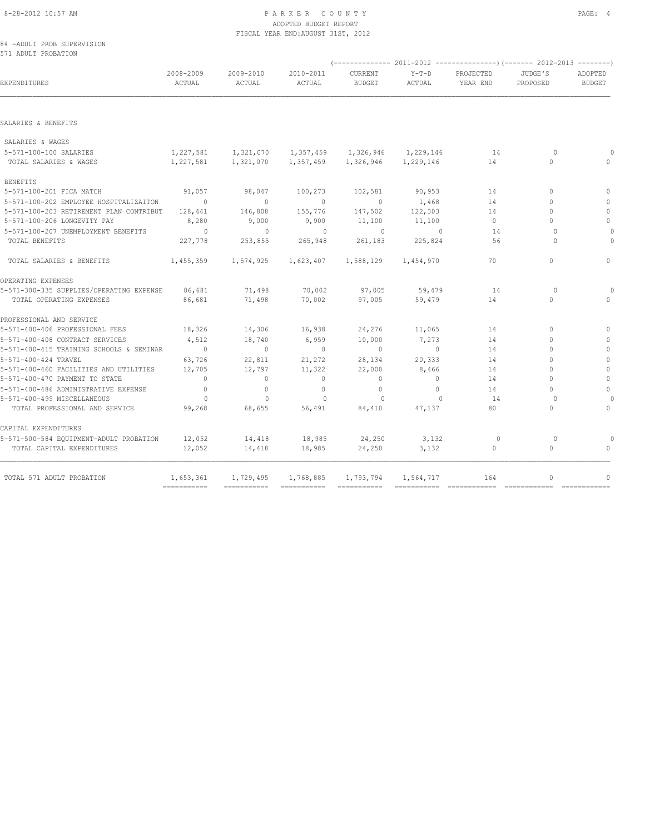### 8-28-2012 10:57 AM PAGE: 4 ADOPTED BUDGET REPORT FISCAL YEAR END:AUGUST 31ST, 2012

84 -ADULT PROB SUPERVISION 571 ADULT PROBATION

| <b>EXPENDITURES</b>                      | 2008-2009<br>ACTUAL | 2009-2010<br>ACTUAL | 2010-2011<br>ACTUAL | CURRENT<br><b>BUDGET</b>                          | $Y-T-D$<br>ACTUAL | PROJECTED<br>YEAR END | JUDGE'S<br>PROPOSED              | ADOPTED<br><b>BUDGET</b> |  |
|------------------------------------------|---------------------|---------------------|---------------------|---------------------------------------------------|-------------------|-----------------------|----------------------------------|--------------------------|--|
|                                          |                     |                     |                     |                                                   |                   |                       |                                  |                          |  |
| SALARIES & BENEFITS                      |                     |                     |                     |                                                   |                   |                       |                                  |                          |  |
| SALARIES & WAGES                         |                     |                     |                     |                                                   |                   |                       |                                  |                          |  |
| 5-571-100-100 SALARIES                   |                     |                     |                     | 1,227,581 1,321,070 1,357,459 1,326,946 1,229,146 |                   | 14                    | $\Omega$                         |                          |  |
| TOTAL SALARIES & WAGES                   | 1,227,581           | 1,321,070           |                     | 1,357,459 1,326,946 1,229,146                     |                   | 14                    | $\mathbf{0}$                     |                          |  |
| <b>BENEFITS</b>                          |                     |                     |                     |                                                   |                   |                       |                                  |                          |  |
| 5-571-100-201 FICA MATCH                 | 91,057              | 98,047              | 100,273             | 102,581                                           | 90,953            | 14                    | $\begin{array}{c} \n\end{array}$ | $\Omega$                 |  |
| 5-571-100-202 EMPLOYEE HOSPITALIZAITON   | $\sim$ 0            | $\Omega$            | $\sim$ 0            | $\circ$                                           | 1,468             | 14                    | $\Omega$                         | $\Omega$                 |  |
| 5-571-100-203 RETIREMENT PLAN CONTRIBUT  | 128,441             | 146,808             | 155,776             | 147,502                                           | 122,303           | 14                    | $\Omega$                         | $\circ$                  |  |
| 5-571-100-206 LONGEVITY PAY              | 8,280               | 9,000               | 9,900               | 11,100                                            | 11,100            | $\circ$               | $\bigcap$                        | $\circ$                  |  |
| 5-571-100-207 UNEMPLOYMENT BENEFITS      | $\sim$ 0            | $\sim$ 0            | $\overline{0}$      | $\sim$ 0                                          | $\sim$ 0          | 14                    | $\Omega$                         |                          |  |
| TOTAL BENEFITS                           | 227,778             | 253,855             | 265,948             | 261,183                                           | 225,824           | 56                    | $\cap$                           |                          |  |
| TOTAL SALARIES & BENEFITS                | 1,455,359           | 1,574,925           | 1,623,407           | 1,588,129                                         | 1,454,970         | 70                    | $\circ$                          | $\Omega$                 |  |
| OPERATING EXPENSES                       |                     |                     |                     |                                                   |                   |                       |                                  |                          |  |
| 5-571-300-335 SUPPLIES/OPERATING EXPENSE | 86,681              | 71,498              | 70,002              | 97,005                                            | 59,479            | 14                    | $\Omega$                         |                          |  |
| TOTAL OPERATING EXPENSES                 | 86,681              | 71,498              | 70,002              | 97,005                                            | 59,479            | 14                    | $\Omega$                         | $\cap$                   |  |
| PROFESSIONAL AND SERVICE                 |                     |                     |                     |                                                   |                   |                       |                                  |                          |  |
| 5-571-400-406 PROFESSIONAL FEES          | 18,326              | 14,306              | 16,938              | 24,276                                            | 11,065            | 14                    | $\mathbf{0}$                     | $\Omega$                 |  |
| 5-571-400-408 CONTRACT SERVICES          | 4,512               | 18,740              | 6,959               | 10,000                                            | 7,273             | 14                    | $\Omega$                         | $\mathbf{0}$             |  |
| 5-571-400-415 TRAINING SCHOOLS & SEMINAR | $\sim$ 0            | $\Omega$            | $\overline{0}$      | $\overline{0}$                                    | $\overline{0}$    | 14                    | $\begin{array}{c} \n\end{array}$ | $\Omega$                 |  |
| 5-571-400-424 TRAVEL                     | 63,726              | 22,811              | 21,272              | 28,134                                            | 20,333            | 14                    | $\Omega$                         | $\mathbf{0}$             |  |
| 5-571-400-460 FACILITIES AND UTILITIES   | 12,705              | 12,797              | 11,322              | 22,000                                            | 8,466             | 14                    | $\Omega$                         | $\mathbb O$              |  |
| 5-571-400-470 PAYMENT TO STATE           | $\overline{0}$      | $\circ$             | $\Omega$            | $\circ$                                           | $\circ$           | 14                    | $\Omega$                         | $\mathbf{0}$             |  |
| 5-571-400-486 ADMINISTRATIVE EXPENSE     | $\overline{0}$      | 0                   | $\circ$             | $\circ$                                           | $\circ$           | 14                    | $\bigcap$                        | $\Omega$                 |  |
| 5-571-400-499 MISCELLANEOUS              | $\circ$             | $\mathbf{0}$        | $\mathbf{0}$        | $\overline{0}$                                    | $\mathbf{0}$      | 14                    | $\Omega$                         |                          |  |
| TOTAL PROFESSIONAL AND SERVICE           | 99,268              | 68,655              | 56,491              | 84,410                                            | 47,137            | 80                    | $\Omega$                         | $\Omega$                 |  |
| CAPITAL EXPENDITURES                     |                     |                     |                     |                                                   |                   |                       |                                  |                          |  |
| 5-571-500-584 EQUIPMENT-ADULT PROBATION  | 12,052              | 14,418              | 18,985              | 24,250                                            | 3,132             | $\circ$               | $\Omega$                         |                          |  |
| TOTAL CAPITAL EXPENDITURES               | 12,052              | 14,418              | 18,985              | 24,250                                            | 3,132             | $\circ$               | $\circ$                          |                          |  |
| TOTAL 571 ADULT PROBATION                | 1,653,361           | 1,729,495           | 1,768,885           | 1,793,794                                         | 1,564,717         | 164                   | $\mathbf{0}$                     |                          |  |
|                                          | $=$ ==========      | ===========         | $=$ ===========     | $=$ ==========                                    |                   |                       |                                  |                          |  |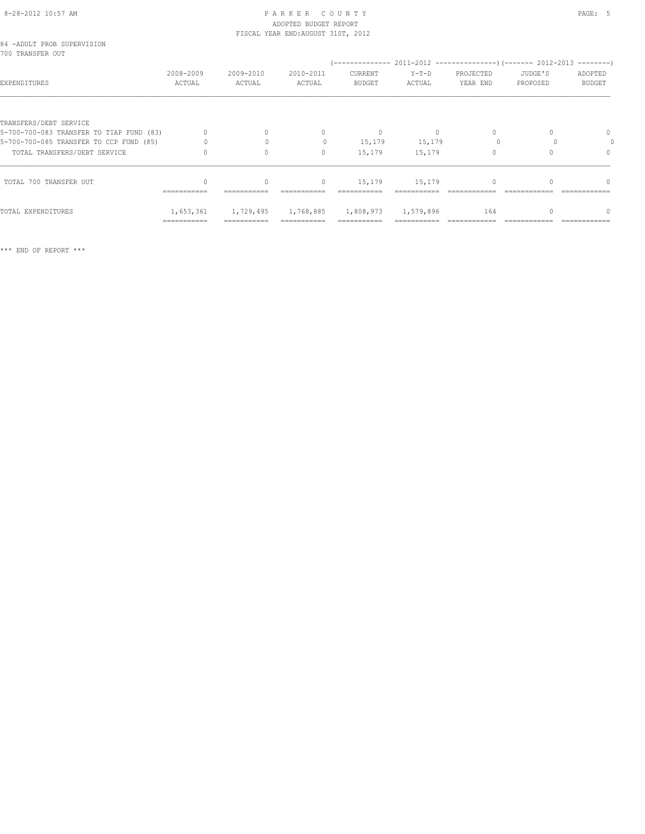### 8-28-2012 10:57 AM PAGE: 5 ADOPTED BUDGET REPORT FISCAL YEAR END:AUGUST 31ST, 2012

|                  | 84 -ADULT PROB SUPERVISION |           |             |
|------------------|----------------------------|-----------|-------------|
| 700 TRANSFER OUT |                            |           |             |
|                  |                            | 2008-2009 | $2009 - 20$ |

|                                          | 2008-2009   | 2009-2010   | 2010-2011                        | <b>CURRENT</b>        | $Y-T-D$   | PROJECTED | JUDGE'S  | ADOPTED       |
|------------------------------------------|-------------|-------------|----------------------------------|-----------------------|-----------|-----------|----------|---------------|
| EXPENDITURES                             | ACTUAL      | ACTUAL      | ACTUAL                           | <b>BUDGET</b>         | ACTUAL    | YEAR END  | PROPOSED | <b>BUDGET</b> |
|                                          |             |             |                                  |                       |           |           |          |               |
| TRANSFERS/DEBT SERVICE                   |             |             |                                  |                       |           |           |          |               |
| 5-700-700-083 TRANSFER TO TIAP FUND (83) |             |             | $\begin{array}{c} \n\end{array}$ | $\mathbf{0}$          |           |           |          | 0             |
| 5-700-700-085 TRANSFER TO CCP FUND (85)  |             |             |                                  | 15,179                | 15,179    |           |          |               |
| TOTAL TRANSFERS/DEBT SERVICE             |             |             | $\mathbf{0}$                     | 15,179                | 15,179    |           |          | 0             |
|                                          |             |             |                                  |                       |           |           |          |               |
| TOTAL 700 TRANSFER OUT                   | =========== | =========== | $\mathbf{0}$                     | 15,179<br>=========== | 15,179    |           |          | 0             |
| TOTAL EXPENDITURES                       | 1,653,361   | 1,729,495   | 1,768,885                        | 1,808,973             | 1,579,896 | 164       |          |               |
|                                          | =========== | =========== |                                  |                       |           |           |          |               |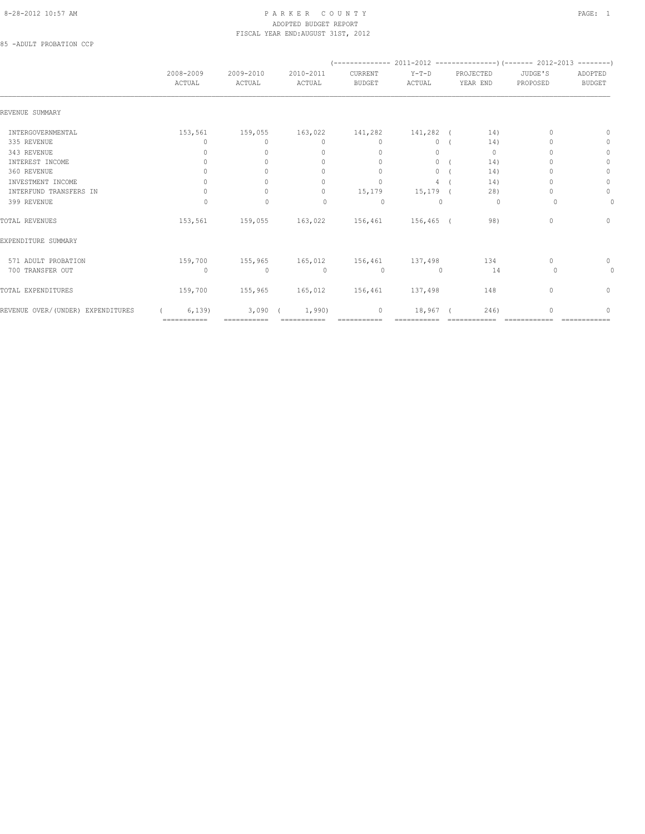## 8-28-2012 10:57 AM PAGE: 1 ADOPTED BUDGET REPORT FISCAL YEAR END:AUGUST 31ST, 2012

85 -ADULT PROBATION CCP

|                                   | 2008-2009<br>ACTUAL              | 2009-2010<br>ACTUAL  | 2010-2011<br>ACTUAL              | CURRENT<br><b>BUDGET</b>         | $Y-T-D$<br>ACTUAL | PROJECTED<br>YEAR END | JUDGE'S<br>PROPOSED | ADOPTED<br><b>BUDGET</b>         |
|-----------------------------------|----------------------------------|----------------------|----------------------------------|----------------------------------|-------------------|-----------------------|---------------------|----------------------------------|
| REVENUE SUMMARY                   |                                  |                      |                                  |                                  |                   |                       |                     |                                  |
| INTERGOVERNMENTAL                 | 153,561                          | 159,055              | 163,022                          | 141,282                          | 141,282 (         | 14)                   | $\Omega$            | $\Omega$                         |
| 335 REVENUE                       | $\Omega$                         | $\Omega$             | $\mathbf{0}$                     | $\mathbf{0}$                     | $\circ$           | 14)                   |                     | $\mathbf{0}$                     |
| 343 REVENUE                       | 0                                | $\Omega$             | $\mathbf{0}$                     | $\mathbf{0}$                     | 0                 | $\circ$               |                     | $\circ$                          |
| INTEREST INCOME                   | 0                                | $\Omega$             | $\mathbf{0}$                     | $\circ$                          | $\Omega$          | 14)                   |                     | $\mathbf{0}$                     |
| 360 REVENUE                       | $\Omega$                         |                      | $\begin{array}{c} \n\end{array}$ | $\begin{array}{c} \n\end{array}$ | 0                 | 14)                   |                     | $\mathbf{0}$                     |
| INVESTMENT INCOME                 | $\begin{array}{c} \n\end{array}$ |                      | $\Omega$                         | $\Omega$                         | 4                 | 14)                   |                     | $\circ$                          |
| INTERFUND TRANSFERS IN            | 0                                |                      | $\circ$                          | 15,179                           | $15, 179$ (       | 28)                   |                     | $\circ$                          |
| 399 REVENUE                       | 0                                | $\mathbf 0$          | 0                                | $\circ$                          | $\Omega$          | 0                     | $\Omega$            | 0                                |
| TOTAL REVENUES                    | 153,561                          | 159,055              | 163,022                          | 156,461                          | $156, 465$ (      | 98)                   | $\Omega$            | $\begin{array}{c} \n\end{array}$ |
| EXPENDITURE SUMMARY               |                                  |                      |                                  |                                  |                   |                       |                     |                                  |
| 571 ADULT PROBATION               | 159,700                          | 155,965              |                                  | 165,012 156,461                  | 137,498           | 134                   | $\Omega$            | $\mathbf{0}$                     |
| 700 TRANSFER OUT                  | $\circ$                          | $\mathbf{0}$         | $\circ$                          | $\circ$                          | $\mathbf{0}$      | 14                    | 0                   | 0                                |
| TOTAL EXPENDITURES                | 159,700                          | 155,965              | 165,012                          | 156,461                          | 137,498           | 148                   | $\mathbf{0}$        | 0                                |
| REVENUE OVER/(UNDER) EXPENDITURES | 6, 139<br>============           | 3,090<br>=========== | 1,990)                           | 0                                | 18,967            | 246)                  |                     | 0                                |
|                                   |                                  |                      |                                  |                                  |                   |                       |                     |                                  |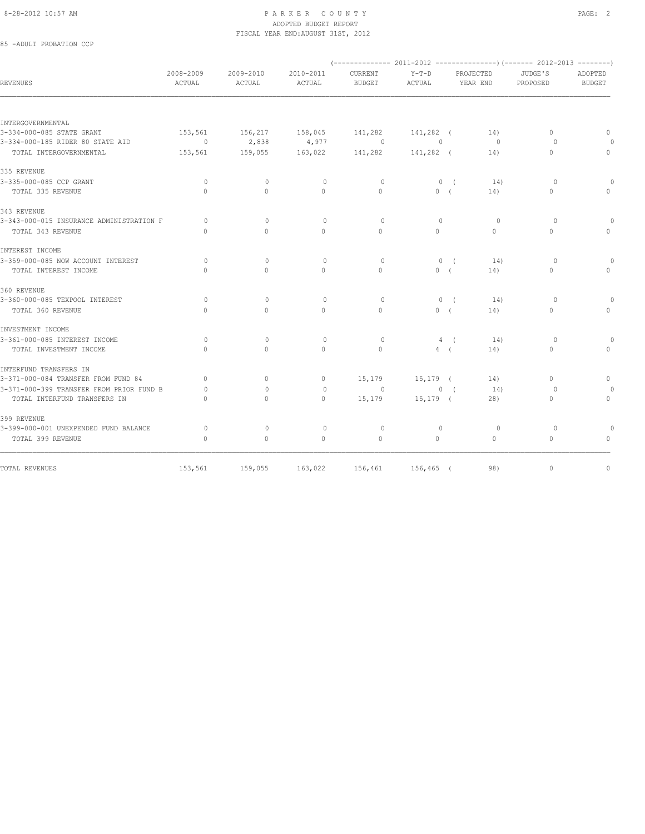## 8-28-2012 10:57 AM PAGE: 2 ADOPTED BUDGET REPORT FISCAL YEAR END:AUGUST 31ST, 2012

85 -ADULT PROBATION CCP

| <b>REVENUES</b>                          | 2008-2009<br>ACTUAL | $2009 - 2010$<br>ACTUAL | 2010-2011<br>ACTUAL | CURRENT<br><b>BUDGET</b> | $Y-T-D$<br>ACTUAL |                | <b>PROJECTED</b><br>YEAR END | JUDGE'S<br>PROPOSED | ADOPTED<br><b>BUDGET</b> |
|------------------------------------------|---------------------|-------------------------|---------------------|--------------------------|-------------------|----------------|------------------------------|---------------------|--------------------------|
|                                          |                     |                         |                     |                          |                   |                |                              |                     |                          |
| INTERGOVERNMENTAL                        |                     |                         |                     |                          |                   |                |                              |                     |                          |
| 3-334-000-085 STATE GRANT                | 153,561             | 156,217                 | 158,045             | 141,282                  | 141,282 (         |                | 14)                          | $\Omega$            | $\mathbf{0}$             |
| 3-334-000-185 RIDER 80 STATE AID         | $\sim$ 0            | 2,838                   | 4,977               | $\sim$ 0                 | $\Omega$          |                | $\Omega$                     | $\Omega$            |                          |
| TOTAL INTERGOVERNMENTAL                  | 153,561             | 159,055                 | 163,022             | 141,282                  | 141,282 (         |                | 14)                          | $\Omega$            | $\circ$                  |
| 335 REVENUE                              |                     |                         |                     |                          |                   |                |                              |                     |                          |
| 3-335-000-085 CCP GRANT                  | $\circ$             | $\mathbf{0}$            | $\mathbf{0}$        | $\circ$                  |                   | 0(             | 14)                          | $\circ$             | $\cap$                   |
| TOTAL 335 REVENUE                        | $\Omega$            | $\Omega$                | $\circ$             | $\Omega$                 | 0(                |                | 14)                          | $\Omega$            | $\Omega$                 |
| 343 REVENUE                              |                     |                         |                     |                          |                   |                |                              |                     |                          |
| 3-343-000-015 INSURANCE ADMINISTRATION F | $\Omega$            | $\Omega$                | $\Omega$            | $\Omega$                 | $\mathbf{0}$      |                | $\circ$                      | $\Omega$            | $\Omega$                 |
| TOTAL 343 REVENUE                        | $\cap$              | $\bigcap$               | $\Omega$            | $\Omega$                 | $\Omega$          |                | $\Omega$                     | $\Omega$            | $\Omega$                 |
| INTEREST INCOME                          |                     |                         |                     |                          |                   |                |                              |                     |                          |
| 3-359-000-085 NOW ACCOUNT INTEREST       | $\Omega$            | $\Omega$                | $\Omega$            | $\Omega$                 |                   | 0 <sub>0</sub> | 14)                          | $\Omega$            | $\cap$                   |
| TOTAL INTEREST INCOME                    | $\Omega$            | $\Omega$                | $\circ$             | $\Omega$                 | 0(                |                | 14)                          | $\circ$             | $\mathbf{0}$             |
| 360 REVENUE                              |                     |                         |                     |                          |                   |                |                              |                     |                          |
| 3-360-000-085 TEXPOOL INTEREST           | $\circ$             | $\mathbf{0}$            | $\circ$             | $\circ$                  |                   | 0(             | 14)                          | $\circ$             | $\Omega$                 |
| TOTAL 360 REVENUE                        | $\Omega$            | $\Omega$                | $\Omega$            | $\Omega$                 | 0(                |                | 14)                          | $\Omega$            | $\Omega$                 |
| INVESTMENT INCOME                        |                     |                         |                     |                          |                   |                |                              |                     |                          |
| 3-361-000-085 INTEREST INCOME            | $\circ$             | $\Omega$                | $\circ$             | $\circ$                  |                   | 4(             | 14)                          | $\Omega$            | $\cap$                   |
| TOTAL INVESTMENT INCOME                  | $\Omega$            | $\Omega$                | $\Omega$            | $\Omega$                 | 4(                |                | 14)                          | $\Omega$            | $\Omega$                 |
| INTERFUND TRANSFERS IN                   |                     |                         |                     |                          |                   |                |                              |                     |                          |
| 3-371-000-084 TRANSFER FROM FUND 84      | $\circ$             | $\circ$                 | $\mathbf{0}$        | 15,179                   | 15,179 (          |                | 14)                          | $\mathbf{0}$        | $\mathbf{0}$             |
| 3-371-000-399 TRANSFER FROM PRIOR FUND B | $\Omega$            | $\Omega$                | $\Omega$            | $\Omega$                 |                   | 0(             | 14)                          | $\Omega$            | $\Omega$                 |
| TOTAL INTERFUND TRANSFERS IN             | $\Omega$            | $\Omega$                | $\Omega$            | 15,179                   | $15, 179$ (       |                | 28)                          | $\Omega$            | $\circ$                  |
| 399 REVENUE                              |                     |                         |                     |                          |                   |                |                              |                     |                          |
| 3-399-000-001 UNEXPENDED FUND BALANCE    | $\Omega$            | $\Omega$                | $\circ$             | $\circ$                  | $\mathbf{0}$      |                | $\circ$                      | $\circ$             | $\Omega$                 |
| TOTAL 399 REVENUE                        | $\mathbf{0}$        | $\circ$                 | $\mathbf{0}$        | $\mathbf{0}$             | $\circ$           |                | $\Omega$                     | $\circ$             | $\mathbf{0}$             |
|                                          |                     |                         |                     |                          |                   |                |                              | $\Omega$            | $\mathbf{0}$             |
| TOTAL REVENUES                           | 153,561             | 159,055                 | 163,022             | 156,461 156,465 (        |                   |                | 98)                          |                     |                          |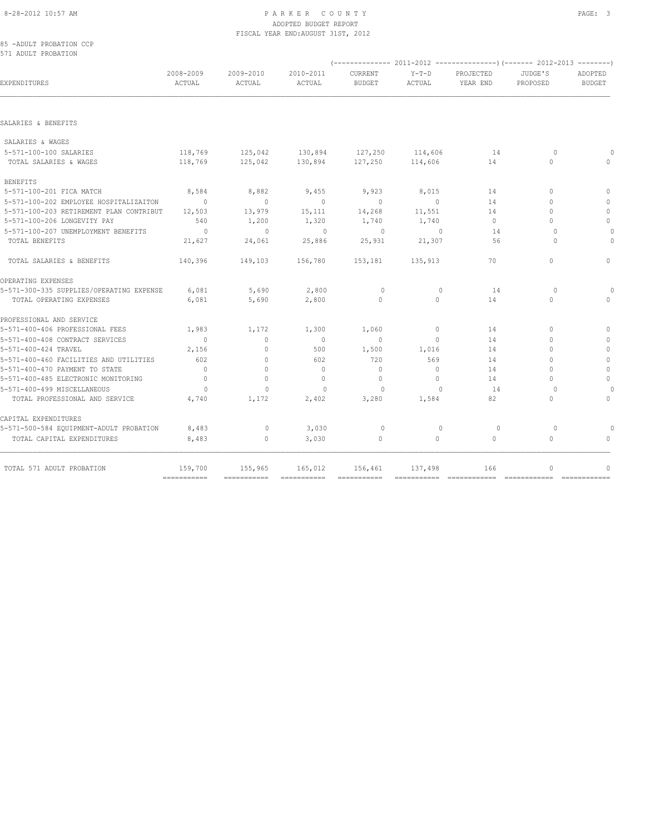# 8-28-2012 10:57 AM PAGE: 3 ADOPTED BUDGET REPORT FISCAL YEAR END:AUGUST 31ST, 2012

|  | 85 -ADULT PROBATION CCP |  |
|--|-------------------------|--|
|  | 571 ADULT PROBATION     |  |

| 2008-2009<br>ACTUAL | 2009-2010<br>ACTUAL                                                                 | 2010-2011<br>ACTUAL | <b>CURRENT</b><br><b>BUDGET</b> | $Y-T-D$<br>ACTUAL | PROJECTED<br>YEAR END | JUDGE'S<br>PROPOSED | ADOPTED<br><b>BUDGET</b> |
|---------------------|-------------------------------------------------------------------------------------|---------------------|---------------------------------|-------------------|-----------------------|---------------------|--------------------------|
|                     |                                                                                     |                     |                                 |                   |                       |                     |                          |
|                     |                                                                                     |                     |                                 |                   |                       |                     |                          |
|                     |                                                                                     |                     |                                 |                   |                       |                     |                          |
| 118,769             | 125,042                                                                             |                     |                                 | 114,606           | 14                    | $\Omega$            |                          |
| 118,769             | 125,042                                                                             | 130,894             |                                 | 114,606           | 14                    | $\Omega$            | $\Omega$                 |
|                     |                                                                                     |                     |                                 |                   |                       |                     |                          |
| 8,584               | 8,882                                                                               | 9,455               | 9,923                           | 8,015             | 14                    | $\Omega$            | $\Omega$                 |
| $\sim$ 0            | $\overline{0}$                                                                      | $\overline{0}$      | $\overline{0}$                  | $\overline{0}$    | 14                    | $\Omega$            | $\mathbf{0}$             |
| 12,503              | 13,979                                                                              | 15,111              | 14,268                          | 11,551            | 14                    | $\Omega$            | $\mathbf{0}$             |
| 540                 | 1,200                                                                               | 1,320               | 1,740                           | 1,740             | $\Omega$              | $\bigcap$           | $\circ$                  |
| $\sim$ 0            | $\mathbf{0}$                                                                        | $\sim$ 0            | $\circ$                         | $\sim$ 0          | 14                    | $\bigcap$           | $\Omega$                 |
| 21,627              | 24,061                                                                              | 25,886              | 25,931                          | 21,307            | 56                    | $\Omega$            | $\Omega$                 |
| 140,396             | 149,103                                                                             | 156,780             | 153,181                         | 135,913           | 70                    | $\circ$             | $\mathbf{0}$             |
|                     |                                                                                     |                     |                                 |                   |                       |                     |                          |
| 6,081               | 5,690                                                                               | 2,800               | $\circ$                         | $\mathbf{0}$      | 14                    | $\Omega$            |                          |
| 6,081               | 5,690                                                                               | 2,800               | $\Omega$                        | $\Omega$          | 14                    | $\Omega$            | $\Omega$                 |
|                     |                                                                                     |                     |                                 |                   |                       |                     |                          |
| 1,983               | 1,172                                                                               | 1,300               | 1,060                           | $\circ$           | 14                    | $\Omega$            | $\Omega$                 |
| $\Omega$            | $\circ$                                                                             | $\overline{0}$      | $\circ$                         | $\Omega$          | 14                    | $\Omega$            | $\mathbf{0}$             |
| 2,156               | $\Omega$                                                                            | 500                 | 1,500                           | 1,016             | 14                    | $\cap$              | $\Omega$                 |
| 602                 | $\circ$                                                                             | 602                 | 720                             | 569               | 14                    | $\Omega$            | $\mathbf{0}$             |
| $\overline{0}$      | $\circ$                                                                             | $\overline{0}$      | $\mathbf{0}$                    | $\circ$           | 14                    | $\Omega$            | $\mathbb O$              |
| $\Omega$            | $\Omega$                                                                            | $\Omega$            | $\mathbf{0}$                    | $\Omega$          | 14                    | $\cap$              | $\mathbf{0}$             |
| $\circ$             | $\mathbf{0}$                                                                        | $\mathbf{0}$        | $\circ$                         | $\Omega$          | 14                    | $\Omega$            |                          |
| 4,740               | 1,172                                                                               | 2,402               | 3,280                           | 1,584             | 82                    | 0                   | $\circ$                  |
|                     |                                                                                     |                     |                                 |                   |                       |                     |                          |
| 8,483               | $\circ$                                                                             | 3,030               | $\circ$                         | $\mathbf 0$       | 0                     | $\circ$             |                          |
| 8,483               | $\circ$                                                                             | 3,030               | $\mathbf{0}$                    | $\circ$           | $\circ$               | 0                   | $\Omega$                 |
| 159,700             | 155,965                                                                             | 165,012             | 156,461                         | 137,498           | 166                   | $\circ$             |                          |
|                     | 5-571-100-203 RETIREMENT PLAN CONTRIBUT<br>5-571-300-335 SUPPLIES/OPERATING EXPENSE |                     |                                 | 127,250           | 130,894 127,250       |                     |                          |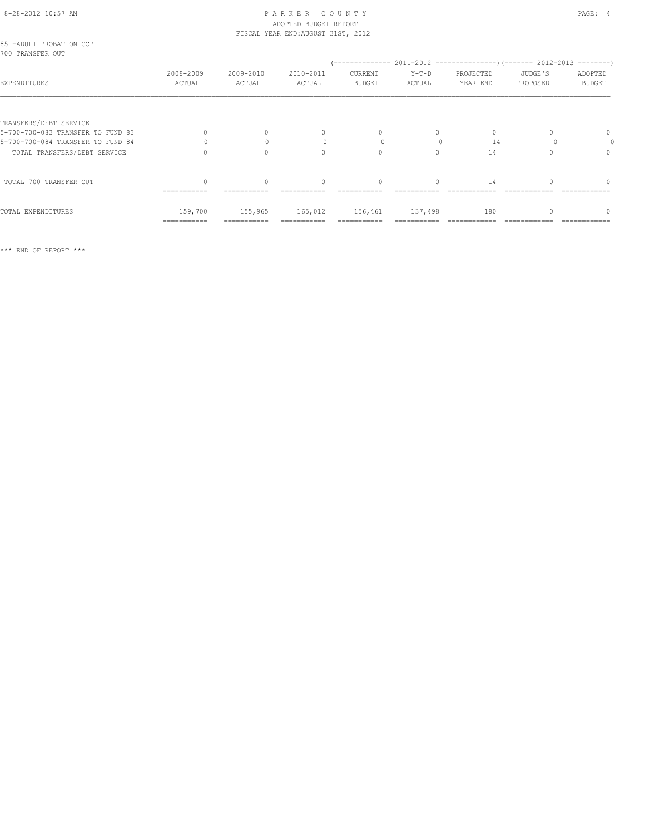### 8-28-2012 10:57 AM PAGE: 4 ADOPTED BUDGET REPORT FISCAL YEAR END:AUGUST 31ST, 2012

| 85 -ADULT PROBATION CCP<br>700 TRANSFER OUT |                                  |                     |                                  |                                  |                   |                       |                     |                          |  |  |
|---------------------------------------------|----------------------------------|---------------------|----------------------------------|----------------------------------|-------------------|-----------------------|---------------------|--------------------------|--|--|
| EXPENDITURES                                | 2008-2009<br>ACTUAL              | 2009-2010<br>ACTUAL | 2010-2011<br>ACTUAL              | CURRENT<br><b>BUDGET</b>         | $Y-T-D$<br>ACTUAL | PROJECTED<br>YEAR END | JUDGE'S<br>PROPOSED | ADOPTED<br><b>BUDGET</b> |  |  |
|                                             |                                  |                     |                                  |                                  |                   |                       |                     |                          |  |  |
| TRANSFERS/DEBT SERVICE                      |                                  |                     |                                  |                                  |                   |                       |                     |                          |  |  |
| 5-700-700-083 TRANSFER TO FUND 83           | $\begin{array}{c} \n\end{array}$ | $\Omega$            | $\mathbf{0}$                     | $\begin{array}{c} \n\end{array}$ | $\bigcap$         | $\Omega$              |                     | $\Omega$                 |  |  |
| 5-700-700-084 TRANSFER TO FUND 84           |                                  |                     |                                  |                                  |                   | 14                    |                     |                          |  |  |
| TOTAL TRANSFERS/DEBT SERVICE                |                                  | $\Omega$            | 0                                | 0                                | $\Omega$          | 14                    |                     | $\Omega$                 |  |  |
| TOTAL 700 TRANSFER OUT                      | ===========                      | $\Omega$            | $\begin{array}{c} \n\end{array}$ | $\begin{array}{c} \n\end{array}$ | $\Omega$          | 14                    |                     | $\bigcap$                |  |  |
|                                             |                                  |                     |                                  |                                  |                   |                       |                     |                          |  |  |
| TOTAL EXPENDITURES                          | 159,700                          | 155,965             | 165,012                          | 156,461                          | 137,498           | 180                   |                     |                          |  |  |
|                                             | ===========                      |                     |                                  |                                  |                   |                       |                     |                          |  |  |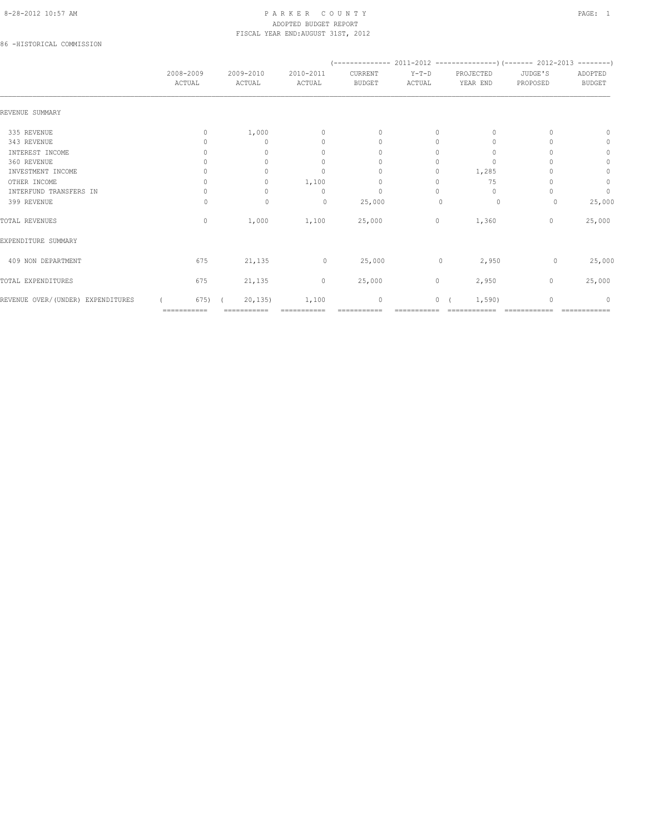# 8-28-2012 10:57 AM PAGE: 1 PARKER COUNTY PAGE: 1 ADOPTED BUDGET REPORT FISCAL YEAR END:AUGUST 31ST, 2012

86 -HISTORICAL COMMISSION

|                                   | 2008-2009<br>ACTUAL | 2009-2010<br>ACTUAL | 2010-2011<br>ACTUAL              | CURRENT<br><b>BUDGET</b>         | $Y-T-D$<br>ACTUAL | PROJECTED<br>YEAR END            | JUDGE'S<br>PROPOSED | ADOPTED<br><b>BUDGET</b> |
|-----------------------------------|---------------------|---------------------|----------------------------------|----------------------------------|-------------------|----------------------------------|---------------------|--------------------------|
| REVENUE SUMMARY                   |                     |                     |                                  |                                  |                   |                                  |                     |                          |
| 335 REVENUE                       | $\Omega$            | 1,000               | $\mathbf{0}$                     | $\mathbf{0}$                     | 0                 | $\cup$                           |                     | n                        |
| 343 REVENUE                       |                     | $\Omega$            | $\begin{array}{c} \n\end{array}$ | $\begin{array}{c} \n\end{array}$ | $\Omega$          | $\Omega$                         |                     | 0                        |
| INTEREST INCOME                   |                     | $\cap$              | $\begin{array}{c} \n\end{array}$ | $\Omega$                         | $\Omega$          | 0                                |                     | $\mathbf{0}$             |
| 360 REVENUE                       |                     |                     | $\mathbf{0}$                     | $\Omega$                         | 0                 | $\Omega$                         |                     | $\circ$                  |
| INVESTMENT INCOME                 |                     |                     | $\mathbf{0}$                     | 0                                | 0                 | 1,285                            |                     | $\circ$                  |
| OTHER INCOME                      | 0                   | $\Omega$            | 1,100                            | $\mathbf{0}$                     | 0                 | 75                               |                     | $\circ$                  |
| INTERFUND TRANSFERS IN            |                     | $\Omega$            | $\begin{array}{c} \n\end{array}$ | $\mathbf{0}$                     | $\Omega$          | $\begin{array}{c} \n\end{array}$ |                     | $\circ$                  |
| 399 REVENUE                       | Ω                   | $\mathbf{0}$        | $\circ$                          | 25,000                           | $\cup$            | 0                                | 0                   | 25,000                   |
| TOTAL REVENUES                    | $\circ$             | 1,000               | 1,100                            | 25,000                           | $\circ$           | 1,360                            | $\mathbf{0}$        | 25,000                   |
| EXPENDITURE SUMMARY               |                     |                     |                                  |                                  |                   |                                  |                     |                          |
| 409 NON DEPARTMENT                | 675                 | 21,135              | $\circ$                          | 25,000                           | 0                 | 2,950                            | 0                   | 25,000                   |
| TOTAL EXPENDITURES                | 675                 | 21,135              | $\circ$                          | 25,000                           | $\circ$           | 2,950                            | $\mathbf{0}$        | 25,000                   |
| REVENUE OVER/(UNDER) EXPENDITURES | 675)                | 20, 135             | 1,100                            | 0                                | $\circ$           | 1,590)                           | $\mathbf{0}$        | $\Omega$                 |
|                                   | ===========         | ===========         |                                  |                                  |                   |                                  |                     |                          |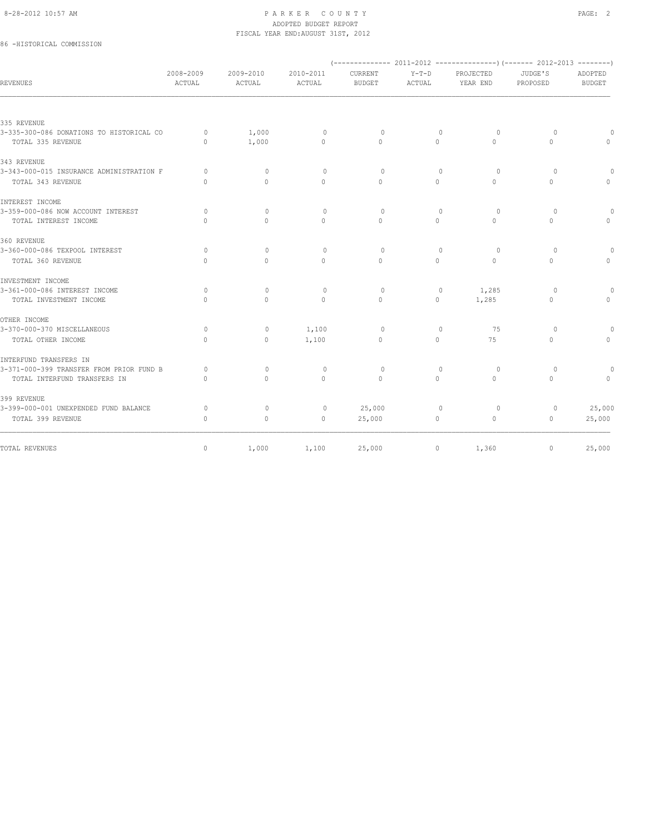### 8-28-2012 10:57 AM PAGE: 2 ADOPTED BUDGET REPORT FISCAL YEAR END:AUGUST 31ST, 2012

# 86 -HISTORICAL COMMISSION

| REVENUES                                 | 2008-2009<br>ACTUAL              | 2009-2010<br>ACTUAL | 2010-2011<br>ACTUAL | CURRENT<br><b>BUDGET</b>         | $Y-T-D$<br>ACTUAL | PROJECTED<br>YEAR END            | JUDGE'S<br>PROPOSED | ADOPTED<br><b>BUDGET</b> |
|------------------------------------------|----------------------------------|---------------------|---------------------|----------------------------------|-------------------|----------------------------------|---------------------|--------------------------|
|                                          |                                  |                     |                     |                                  |                   |                                  |                     |                          |
| 335 REVENUE                              |                                  |                     |                     |                                  |                   |                                  |                     |                          |
| 3-335-300-086 DONATIONS TO HISTORICAL CO | $\Omega$                         | 1,000               | $\circ$             | $\Omega$                         | $\mathbf{0}$      | $\circ$                          | $\Omega$            |                          |
| TOTAL 335 REVENUE                        | $\Omega$                         | 1,000               | $\mathbf{0}$        | $\Omega$                         | $\circ$           | $\Omega$                         | $\circ$             | $\Omega$                 |
| 343 REVENUE                              |                                  |                     |                     |                                  |                   |                                  |                     |                          |
| 3-343-000-015 INSURANCE ADMINISTRATION F | $\Omega$                         | $\Omega$            | $\Omega$            | $\Omega$                         | $\Omega$          | $\Omega$                         | $\Omega$            | $\Omega$                 |
| TOTAL 343 REVENUE                        | $\begin{array}{c} \n\end{array}$ | $\Omega$            | $\Omega$            | $\begin{array}{c} \n\end{array}$ | $\Omega$          | $\Omega$                         | $\Omega$            | $\Omega$                 |
| INTEREST INCOME                          |                                  |                     |                     |                                  |                   |                                  |                     |                          |
| 3-359-000-086 NOW ACCOUNT INTEREST       | $\circ$                          | $\mathbf{0}$        | $\circ$             | $\circ$                          | $\mathbf{0}$      | $\circ$                          | $\circ$             | $\Omega$                 |
| TOTAL INTEREST INCOME                    | $\Omega$                         | 0                   | $\Omega$            | $\begin{array}{c} \n\end{array}$ | $\Omega$          | 0                                | $\Omega$            | $\Omega$                 |
| 360 REVENUE                              |                                  |                     |                     |                                  |                   |                                  |                     |                          |
| 3-360-000-086 TEXPOOL INTEREST           | $\Omega$                         | $\Omega$            | $\circ$             | $\circ$                          | $\mathbf{0}$      | $\circ$                          | $\Omega$            | $\Omega$                 |
| TOTAL 360 REVENUE                        | $\cap$                           | $\Omega$            | $\Omega$            | $\bigcap$                        | $\Omega$          | $\Omega$                         | $\Omega$            | $\bigcap$                |
| INVESTMENT INCOME                        |                                  |                     |                     |                                  |                   |                                  |                     |                          |
| 3-361-000-086 INTEREST INCOME            | $\circ$                          | $\mathbf{0}$        | $\circ$             | $\circ$                          | $\mathbf{0}$      | 1,285                            | $\circ$             |                          |
| TOTAL INVESTMENT INCOME                  | $\Omega$                         | $\Omega$            | $\circ$             | $\mathbf{0}$                     | $\Omega$          | 1,285                            | $\circ$             | $\mathbf{0}$             |
| OTHER INCOME                             |                                  |                     |                     |                                  |                   |                                  |                     |                          |
| 3-370-000-370 MISCELLANEOUS              | $\circ$                          | $\mathbf{0}$        | 1,100               | $\Omega$                         | $\mathbf{0}$      | 75                               | $\circ$             | $\Omega$                 |
| TOTAL OTHER INCOME                       | $\Omega$                         | 0                   | 1,100               | $\Omega$                         | $\circ$           | 75                               | $\Omega$            | $\mathbf{0}$             |
| INTERFUND TRANSFERS IN                   |                                  |                     |                     |                                  |                   |                                  |                     |                          |
| 3-371-000-399 TRANSFER FROM PRIOR FUND B | $\Omega$                         | $\Omega$            | $\mathbf{0}$        | $\circ$                          | $\mathbf{0}$      | $\circ$                          | $\Omega$            |                          |
| TOTAL INTERFUND TRANSFERS IN             | $\Omega$                         | $\Omega$            | $\Omega$            | $\Omega$                         | $\Omega$          | $\Omega$                         | $\Omega$            | $\Omega$                 |
| 399 REVENUE                              |                                  |                     |                     |                                  |                   |                                  |                     |                          |
| 3-399-000-001 UNEXPENDED FUND BALANCE    | $\Omega$                         | $\mathbf{0}$        | $\circ$             | 25,000                           | $\mathbf{0}$      | $\circ$                          | $\circ$             | 25,000                   |
| TOTAL 399 REVENUE                        | $\Omega$                         | $\mathbf{0}$        | $\circ$             | 25,000                           | 0                 | $\begin{array}{c} \n\end{array}$ | $\mathbf{0}$        | 25,000                   |
| TOTAL REVENUES                           | $\circ$                          | 1,000               | 1,100               | 25,000                           | $\circ$           | 1,360                            | $\mathbf{0}$        | 25,000                   |
|                                          |                                  |                     |                     |                                  |                   |                                  |                     |                          |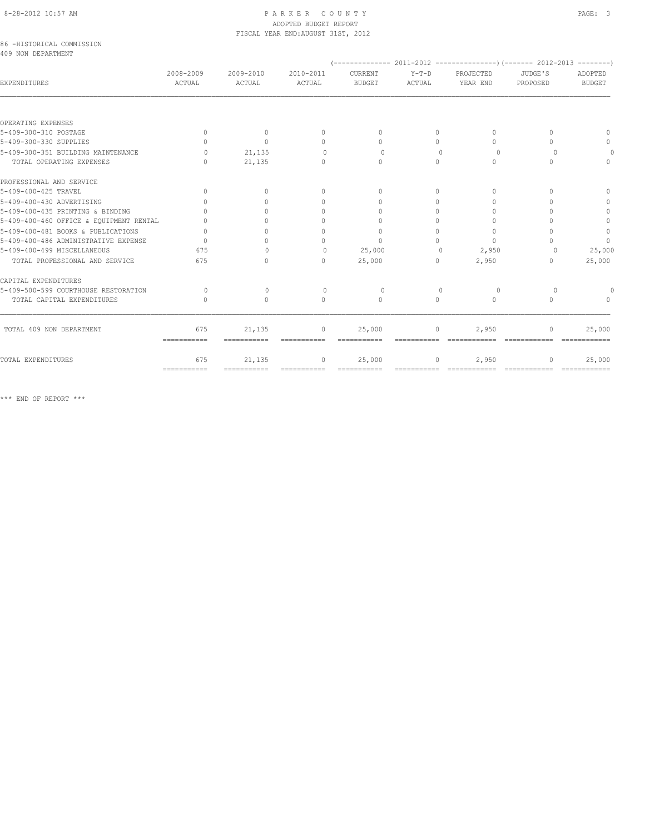# 8-28-2012 10:57 AM PAGE: 3 ADOPTED BUDGET REPORT FISCAL YEAR END:AUGUST 31ST, 2012

## 86 -HISTORICAL COMMISSION 409 NON DEPARTMENT

| EXPENDITURES                            | 2008-2009<br><b>ACTUAL</b>       | 2009-2010<br>ACTUAL | 2010-2011<br><b>ACTUAL</b>       | CURRENT<br><b>BUDGET</b>         | $Y-T-D$<br>ACTUAL | PROJECTED<br>YEAR END            | JUDGE'S<br>PROPOSED              | ADOPTED<br><b>BUDGET</b> |
|-----------------------------------------|----------------------------------|---------------------|----------------------------------|----------------------------------|-------------------|----------------------------------|----------------------------------|--------------------------|
|                                         |                                  |                     |                                  |                                  |                   |                                  |                                  |                          |
| OPERATING EXPENSES                      |                                  |                     |                                  |                                  |                   |                                  |                                  |                          |
| 5-409-300-310 POSTAGE                   | $\Omega$                         | $\mathbf{0}$        | $\mathbf{0}$                     | $\bigcap$                        | $\Omega$          | $\begin{array}{c} \n\end{array}$ |                                  |                          |
| 5-409-300-330 SUPPLIES                  | $\cap$                           | $\Omega$            | $\begin{array}{c} \n\end{array}$ | $\bigcap$                        | $\bigcap$         | $\bigcap$                        |                                  |                          |
| 5-409-300-351 BUILDING MAINTENANCE      | $\cap$                           | 21,135              | $\Omega$                         | $\bigcap$                        | $\bigcap$         | $\Omega$                         |                                  |                          |
| TOTAL OPERATING EXPENSES                | $\cap$                           | 21,135              | $\begin{array}{c} \n\end{array}$ | $\begin{array}{c} \n\end{array}$ | $\Omega$          | $\Omega$                         |                                  | $\Omega$                 |
| PROFESSIONAL AND SERVICE                |                                  |                     |                                  |                                  |                   |                                  |                                  |                          |
| 5-409-400-425 TRAVEL                    | $\Omega$                         | $\Omega$            | $\Omega$                         | $\Omega$                         | $\Omega$          | $\begin{array}{c} \n\end{array}$ |                                  | $\cap$                   |
| 5-409-400-430 ADVERTISING               |                                  |                     | $\cap$                           | $\bigcap$                        | $\bigcap$         | $\bigcap$                        |                                  | $\cap$                   |
| 5-409-400-435 PRINTING & BINDING        |                                  |                     | $\cap$                           |                                  | $\bigcap$         | $\cap$                           |                                  |                          |
| 5-409-400-460 OFFICE & EQUIPMENT RENTAL |                                  |                     | $\cap$                           | $\Omega$                         | $\Omega$          | $\Omega$                         |                                  | $\mathbf{0}$             |
| 5-409-400-481 BOOKS & PUBLICATIONS      |                                  |                     | $\cap$                           | $\begin{array}{c} \n\end{array}$ | $\Omega$          | $\Omega$                         |                                  | $\mathbb O$              |
| 5-409-400-486 ADMINISTRATIVE EXPENSE    | $\bigcap$                        |                     | $\cap$                           | $\Omega$                         | $\cap$            | $\Omega$                         |                                  | $\Omega$                 |
| 5-409-400-499 MISCELLANEOUS             | 675                              |                     | $\circ$                          | 25,000                           | $\Omega$          | 2,950                            |                                  | 25,000                   |
| TOTAL PROFESSIONAL AND SERVICE          | 675                              | $\bigcap$           | $\bigcap$                        | 25,000                           | $\bigcap$         | 2,950                            | $\cap$                           | 25,000                   |
| CAPITAL EXPENDITURES                    |                                  |                     |                                  |                                  |                   |                                  |                                  |                          |
| 5-409-500-599 COURTHOUSE RESTORATION    | $\bigcap$                        | $\Omega$            | $\Omega$                         | $\Omega$                         | $\cup$            | $\Omega$                         | ∩                                |                          |
| TOTAL CAPITAL EXPENDITURES              | $\begin{array}{c} \n\end{array}$ | $\Omega$            | $\Omega$                         | $\Omega$                         | $\Omega$          | $\Omega$                         | $\Omega$                         | $\bigcap$                |
| TOTAL 409 NON DEPARTMENT                | 675                              | 21,135              | $\mathbf{0}$                     | 25,000                           | 0                 | 2,950                            | $\Omega$                         | 25,000                   |
|                                         | ===========                      |                     |                                  |                                  |                   |                                  |                                  |                          |
| TOTAL EXPENDITURES                      | 675                              | 21,135              | $\mathbf{0}$                     | 25,000                           | $\circ$           | 2,950                            | $\begin{array}{c} \n\end{array}$ | 25,000                   |
|                                         | ===========                      | ===========         | ===========                      | ===========                      | ===========       | =============                    | =============                    | -------------            |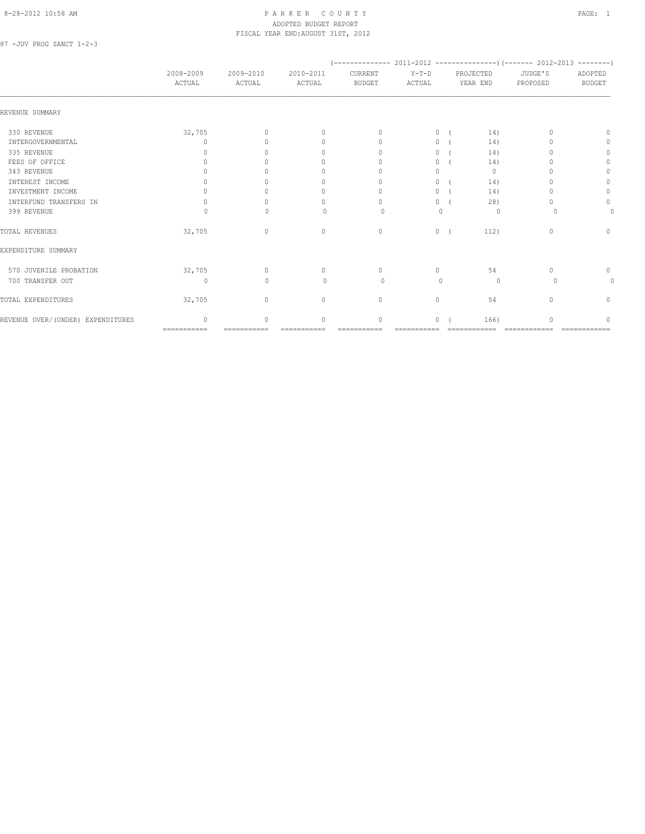## 8-28-2012 10:58 AM P A R K E R C O U N T Y PAGE: 1 ADOPTED BUDGET REPORT FISCAL YEAR END:AUGUST 31ST, 2012

87 -JUV PROG SANCT 1-2-3

|                                    | 2008-2009<br>ACTUAL | 2009-2010<br>ACTUAL | 2010-2011<br>ACTUAL              | CURRENT<br><b>BUDGET</b>         | $Y-T-D$<br>ACTUAL | PROJECTED<br>YEAR END | JUDGE'S<br>PROPOSED | ADOPTED<br><b>BUDGET</b> |
|------------------------------------|---------------------|---------------------|----------------------------------|----------------------------------|-------------------|-----------------------|---------------------|--------------------------|
| REVENUE SUMMARY                    |                     |                     |                                  |                                  |                   |                       |                     |                          |
| 330 REVENUE                        | 32,705              | $\Omega$            | $\mathbf{0}$                     | $\Omega$                         | $\circ$           | 14)                   |                     | n                        |
| INTERGOVERNMENTAL                  | $\cap$              | $\bigcap$           | $\begin{array}{c} \n\end{array}$ | $\mathbf{0}$                     | 0                 | 14)                   |                     | 0                        |
| 335 REVENUE                        | n                   | ∩                   | $\begin{array}{c} \n\end{array}$ | $\begin{array}{c} \n\end{array}$ | $\circ$           | 14)                   |                     | 0                        |
| FEES OF OFFICE                     |                     |                     | 0                                | $\Omega$                         | $\circ$           | 14)                   |                     | $\Omega$                 |
| 343 REVENUE                        |                     |                     | 0                                | $\Omega$                         | $\Omega$          | $\mathbf{0}$          |                     | 0                        |
| INTEREST INCOME                    |                     |                     | 0                                | $\Omega$                         | $\Omega$          | 14)                   |                     | $\Omega$                 |
| INVESTMENT INCOME                  |                     |                     | 0                                | $\Omega$                         | 0                 | 14)                   |                     | $\mathbf{0}$             |
| INTERFUND TRANSFERS IN             | 0                   |                     | 0                                | $\Omega$                         | 0                 | 28)                   |                     | $\circ$                  |
| 399 REVENUE                        | 0                   | $\Omega$            | $\Omega$                         | 0                                | $\mathbf{0}$      | $\circ$               |                     | 0                        |
| TOTAL REVENUES                     | 32,705              | $\mathbf{0}$        | $\mathbf{0}$                     | $\circ$                          | $\circ$           | 112)                  | 0                   | $\mathbf{0}$             |
| EXPENDITURE SUMMARY                |                     |                     |                                  |                                  |                   |                       |                     |                          |
| 570 JUVENILE PROBATION             | 32,705              | $\circ$             | 0                                | $\circ$                          | $\circ$           | 54                    | $\cap$              | $\circ$                  |
| 700 TRANSFER OUT                   | 0                   | $\Omega$            | $\begin{array}{c} \n\end{array}$ | $\Omega$                         | $\Omega$          | $\circ$               | $\Omega$            | 0                        |
| TOTAL EXPENDITURES                 | 32,705              | $\mathbf{0}$        | $\circ$                          | $\circ$                          | $\circ$           | 54                    | $\Omega$            | 0                        |
| REVENUE OVER/ (UNDER) EXPENDITURES | $\bigcap$           | $\cap$              | $\Omega$                         | $\circ$                          | $\Omega$          | 166)                  |                     |                          |
|                                    | ===========         | ===========         | ===========                      |                                  |                   | ============          | ============        |                          |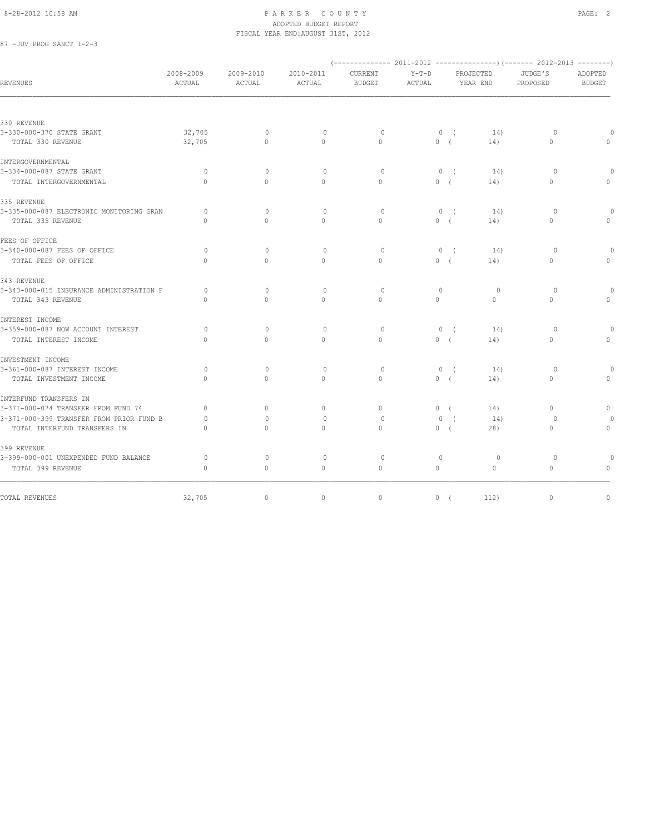## 8-28-2012 10:58 AM PAGE: 2 ADOPTED BUDGET REPORT FISCAL YEAR END:AUGUST 31ST, 2012

87 -JUV PROG SANCT 1-2-3

| JUDGE'S<br>PROPOSED<br>$\circ$<br>$\mathbf{0}$<br>$\circ$<br>$\circ$ | ADOPTED<br><b>BUDGET</b><br>$\Omega$<br>$\Omega$<br>$\mathbf{0}$ |
|----------------------------------------------------------------------|------------------------------------------------------------------|
|                                                                      |                                                                  |
|                                                                      |                                                                  |
|                                                                      |                                                                  |
|                                                                      |                                                                  |
|                                                                      |                                                                  |
|                                                                      |                                                                  |
|                                                                      |                                                                  |
|                                                                      |                                                                  |
|                                                                      |                                                                  |
| $\circ$                                                              | $\circ$                                                          |
| $\Omega$                                                             | $\Omega$                                                         |
|                                                                      |                                                                  |
| $\Omega$                                                             | $\cap$                                                           |
| 0                                                                    | $\Omega$                                                         |
|                                                                      |                                                                  |
| $\circ$                                                              | $\Omega$                                                         |
|                                                                      |                                                                  |
|                                                                      |                                                                  |
|                                                                      | $\Omega$                                                         |
|                                                                      | $\Omega$                                                         |
|                                                                      |                                                                  |
|                                                                      | $\Omega$                                                         |
|                                                                      | $\mathbf{0}$                                                     |
|                                                                      |                                                                  |
| $\Omega$                                                             | $\mathbf{0}$                                                     |
| $\circ$                                                              |                                                                  |
| $\circ$                                                              | $\circ$                                                          |
|                                                                      |                                                                  |
| $\circ$                                                              | $\circ$                                                          |
| $\Omega$                                                             | $\Omega$                                                         |
| $\circ$                                                              | $\mathbf{0}$                                                     |
|                                                                      | $\Omega$<br>$\circ$<br>$\Omega$<br>$\circ$<br>$\mathbf{0}$       |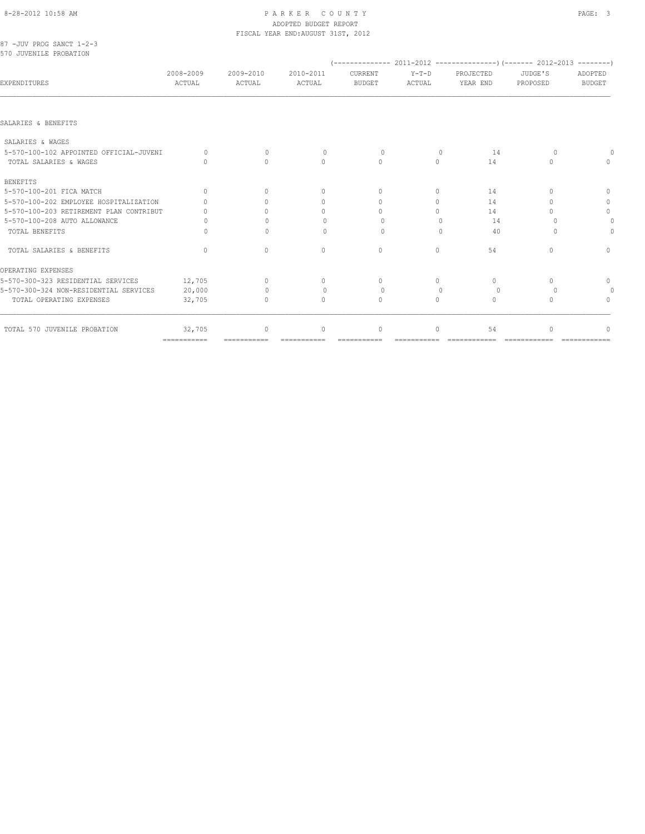# 8-28-2012 10:58 AM P A R K E R C O U N T Y PAGE: 3 ADOPTED BUDGET REPORT

|           |                                                                                                                                                                     |                                     |                                     |                                          |                                  |                                       | ADOPTED                                               |
|-----------|---------------------------------------------------------------------------------------------------------------------------------------------------------------------|-------------------------------------|-------------------------------------|------------------------------------------|----------------------------------|---------------------------------------|-------------------------------------------------------|
|           |                                                                                                                                                                     |                                     |                                     |                                          |                                  |                                       | <b>BUDGET</b>                                         |
|           |                                                                                                                                                                     |                                     |                                     |                                          |                                  |                                       |                                                       |
|           |                                                                                                                                                                     |                                     |                                     |                                          |                                  |                                       |                                                       |
|           |                                                                                                                                                                     |                                     |                                     |                                          |                                  |                                       |                                                       |
| $\bigcap$ | $\mathbf{0}$                                                                                                                                                        | $\circ$                             | $\circ$                             | $\mathbf{0}$                             | 14                               | 0                                     |                                                       |
| $\bigcap$ | $\bigcap$                                                                                                                                                           | $\Omega$                            | $\Omega$                            | $\Omega$                                 | 14                               | $\bigcap$                             |                                                       |
|           |                                                                                                                                                                     |                                     |                                     |                                          |                                  |                                       |                                                       |
| $\bigcap$ | $\bigcap$                                                                                                                                                           | $\mathbf{0}$                        | $\Omega$                            | $\circ$                                  | 14                               | $\bigcap$                             | n                                                     |
|           | $\bigcap$                                                                                                                                                           | $\mathbf{0}$                        | $\Omega$                            | $\circ$                                  | 14                               | n                                     | 0                                                     |
| $\cup$    | $\cap$                                                                                                                                                              | 0                                   | $\Omega$                            | $\Omega$                                 | 14                               | ∩                                     | $\mathbf{0}$                                          |
| Ω         | $\cup$                                                                                                                                                              | $\Omega$                            | $\Omega$                            | ∩                                        | 14                               |                                       |                                                       |
| 0         | $\begin{array}{c} \n\end{array}$                                                                                                                                    | $\begin{array}{c} \n\end{array}$    | $\Omega$                            | $\Omega$                                 | 40                               | $\Omega$                              |                                                       |
| $\Omega$  | $\Omega$                                                                                                                                                            | $\Omega$                            | $\circ$                             | $\circ$                                  | 54                               | $\bigcap$                             | $\begin{array}{c} \n\end{array}$                      |
|           |                                                                                                                                                                     |                                     |                                     |                                          |                                  |                                       |                                                       |
| 12,705    | $\Omega$                                                                                                                                                            | $\circ$                             | $\circ$                             | $\circ$                                  | $\circ$                          | $\begin{array}{c} \n\end{array}$      | $\mathbf{0}$                                          |
| 20,000    | $\Omega$                                                                                                                                                            | $\mathbf{0}$                        | $\circ$                             | $\Omega$                                 | 0                                |                                       |                                                       |
| 32,705    | $\bigcap$                                                                                                                                                           | $\begin{array}{c} \n\end{array}$    | $\begin{array}{c} \n\end{array}$    | $\bigcap$                                | $\begin{array}{c} \n\end{array}$ | $\cap$                                | $\Omega$                                              |
| 32,705    | $\Omega$                                                                                                                                                            | $\Omega$                            | 0                                   | $\Omega$                                 | 54                               |                                       |                                                       |
|           | 2008-2009<br>ACTUAL<br>5-570-100-102 APPOINTED OFFICIAL-JUVENI<br>5-570-100-202 EMPLOYEE HOSPITALIZATION<br>5-570-100-203 RETIREMENT PLAN CONTRIBUT<br>============ | 2009-2010<br>ACTUAL<br>============ | 2010-2011<br>ACTUAL<br>============ | CURRENT<br><b>BUDGET</b><br>============ | $Y-T-D$<br>ACTUAL                | PROJECTED<br>YEAR END<br>============ | JUDGE'S<br>PROPOSED<br>=============<br>============= |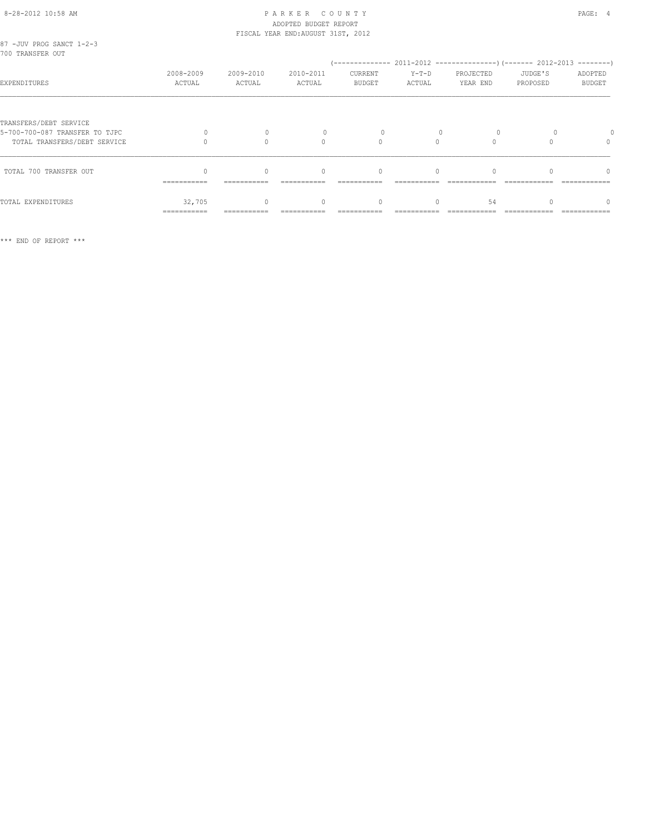# 8-28-2012 10:58 AM PAGE: 4 ADOPTED BUDGET REPORT FISCAL YEAR END:AUGUST 31ST, 2012

| 87 -JUV PROG SANCT 1-2-3<br>700 TRANSFER OUT                                             |                       |                     |                                                 |                          |                   |                       |                     |                                                  |
|------------------------------------------------------------------------------------------|-----------------------|---------------------|-------------------------------------------------|--------------------------|-------------------|-----------------------|---------------------|--------------------------------------------------|
| EXPENDITURES                                                                             | 2008-2009<br>ACTUAL   | 2009-2010<br>ACTUAL | 2010-2011<br>ACTUAL                             | CURRENT<br><b>BUDGET</b> | $Y-T-D$<br>ACTUAL | PROJECTED<br>YEAR END | JUDGE'S<br>PROPOSED | ADOPTED<br><b>BUDGET</b>                         |
| TRANSFERS/DEBT SERVICE<br>5-700-700-087 TRANSFER TO TJPC<br>TOTAL TRANSFERS/DEBT SERVICE |                       |                     | $\cap$                                          | $\Omega$                 | $\bigcap$         |                       |                     | $\Omega$                                         |
| TOTAL 700 TRANSFER OUT                                                                   | ===========           | ===========         | $\begin{array}{c} \n\end{array}$<br>=========== | $\Omega$                 | $\Omega$          |                       |                     | $\begin{array}{c} \n\end{array}$<br>============ |
| TOTAL EXPENDITURES                                                                       | 32,705<br>=========== |                     |                                                 | $\Omega$                 |                   | 54                    |                     | $\cap$                                           |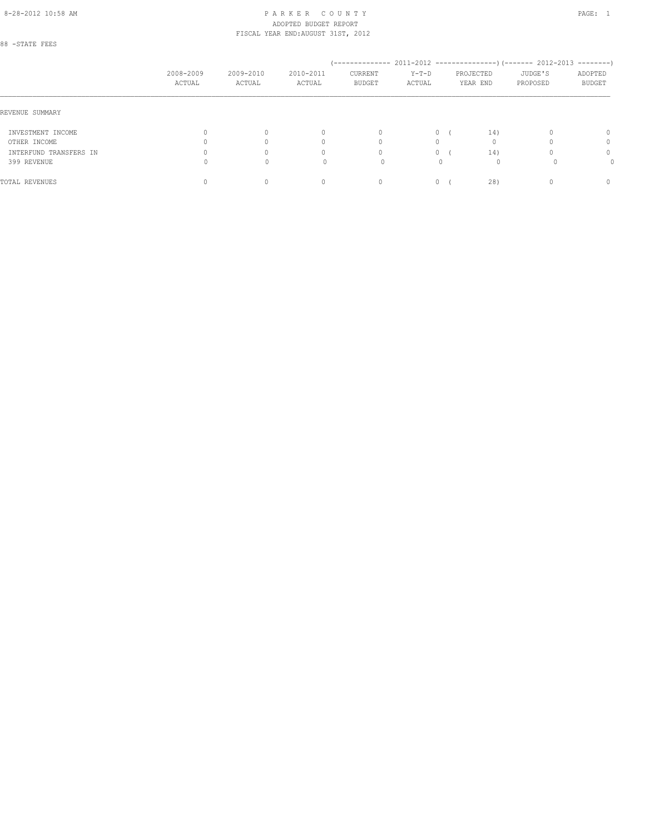# 8-28-2012 10:58 AM PAGE: 1 PAR K E R C O U N T Y ADOPTED BUDGET REPORT FISCAL YEAR END:AUGUST 31ST, 2012

88 -STATE FEES

|                        | 2008-2009<br>ACTUAL | 2009-2010<br>ACTUAL | 2010-2011<br>ACTUAL              | CURRENT<br><b>BUDGET</b> | $Y-T-D$<br>ACTUAL | PROJECTED<br>YEAR END | JUDGE'S<br>PROPOSED | ADOPTED<br><b>BUDGET</b> |
|------------------------|---------------------|---------------------|----------------------------------|--------------------------|-------------------|-----------------------|---------------------|--------------------------|
| REVENUE SUMMARY        |                     |                     |                                  |                          |                   |                       |                     |                          |
| INVESTMENT INCOME      |                     |                     | $\begin{array}{c} \n\end{array}$ | $\mathbf{0}$             | $\Omega$          |                       | 14)                 | $\Omega$                 |
| OTHER INCOME           |                     |                     | 0                                | $\Omega$                 | 0                 |                       |                     | 0                        |
| INTERFUND TRANSFERS IN |                     |                     | 0                                | $\circ$                  | $\Omega$          |                       | 14)                 | 0                        |
| 399 REVENUE            |                     | 0                   |                                  | $\Omega$                 |                   |                       | $\Omega$            |                          |
| TOTAL REVENUES         |                     |                     | U                                | 0                        | 0                 |                       | 28)                 | $\Omega$                 |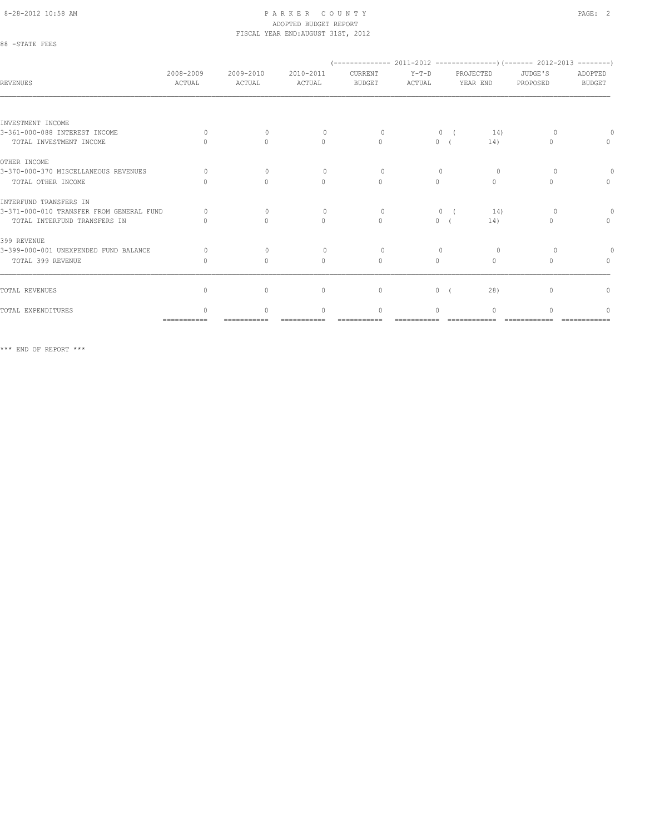## 8-28-2012 10:58 AM PAGE: 2 ADOPTED BUDGET REPORT FISCAL YEAR END:AUGUST 31ST, 2012

88 -STATE FEES

| <b>REVENUES</b>                          | 2008-2009<br>ACTUAL | 2009-2010<br>ACTUAL | 2010-2011<br>ACTUAL              | CURRENT<br><b>BUDGET</b> | $Y-T-D$<br>ACTUAL |            | PROJECTED<br>YEAR END            | JUDGE'S<br>PROPOSED              | ADOPTED<br><b>BUDGET</b>         |
|------------------------------------------|---------------------|---------------------|----------------------------------|--------------------------|-------------------|------------|----------------------------------|----------------------------------|----------------------------------|
|                                          |                     |                     |                                  |                          |                   |            |                                  |                                  |                                  |
| INVESTMENT INCOME                        |                     |                     |                                  |                          |                   |            |                                  |                                  |                                  |
| 3-361-000-088 INTEREST INCOME            | $\Omega$            | $\Omega$            | $\Omega$                         | $\Omega$                 | $\mathbf{0}$      | $\sqrt{2}$ | 14)                              |                                  |                                  |
| TOTAL INVESTMENT INCOME                  | $\cap$              | $\Omega$            | $\mathbf{0}$                     | $\Omega$                 | $\circ$           |            | 14)                              | $\Omega$                         | $\begin{array}{c} \n\end{array}$ |
| OTHER INCOME                             |                     |                     |                                  |                          |                   |            |                                  |                                  |                                  |
| 3-370-000-370 MISCELLANEOUS REVENUES     | $\Omega$            | $\Omega$            | $\Omega$                         | $\Omega$                 |                   |            | $\Omega$                         |                                  |                                  |
| TOTAL OTHER INCOME                       |                     | $\bigcap$           | $\Omega$                         | $\Omega$                 | $\Omega$          |            | $\Omega$                         | $\bigcap$                        | $\begin{array}{c} \n\end{array}$ |
| INTERFUND TRANSFERS IN                   |                     |                     |                                  |                          |                   |            |                                  |                                  |                                  |
| 3-371-000-010 TRANSFER FROM GENERAL FUND | $\bigcap$           | $\Omega$            | $\Omega$                         | $\Omega$                 | $\Omega$          |            | 14)                              | $\Omega$                         |                                  |
| TOTAL INTERFUND TRANSFERS IN             |                     | $\Omega$            | $\Omega$                         | $\Omega$                 | $\circ$           |            | 14)                              | $\Omega$                         | $\begin{array}{c} \n\end{array}$ |
| 399 REVENUE                              |                     |                     |                                  |                          |                   |            |                                  |                                  |                                  |
| 3-399-000-001 UNEXPENDED FUND BALANCE    | $\Omega$            | $\Omega$            | $\Omega$                         | $\Omega$                 |                   |            | $\Omega$                         |                                  |                                  |
| TOTAL 399 REVENUE                        | 0                   | $\Omega$            | $\begin{array}{c} \n\end{array}$ | $\mathbf{0}$             | $\Omega$          |            | $\begin{array}{c} \n\end{array}$ | $\bigcap$                        | $\begin{array}{c} \n\end{array}$ |
|                                          |                     |                     |                                  |                          |                   |            |                                  |                                  |                                  |
| TOTAL REVENUES                           | $\mathbf{0}$        | $\mathbf{0}$        | $\mathbf{0}$                     | $\mathbf{0}$             | $\circ$           |            | 28)                              | $\begin{array}{c} \n\end{array}$ | $\mathbf{0}$                     |
| TOTAL EXPENDITURES                       |                     | $\cap$              | $\begin{array}{c} \n\end{array}$ | $\Omega$                 | $\cap$            |            | $\Omega$                         |                                  | ∩                                |
|                                          | ===========         |                     |                                  |                          |                   |            |                                  |                                  |                                  |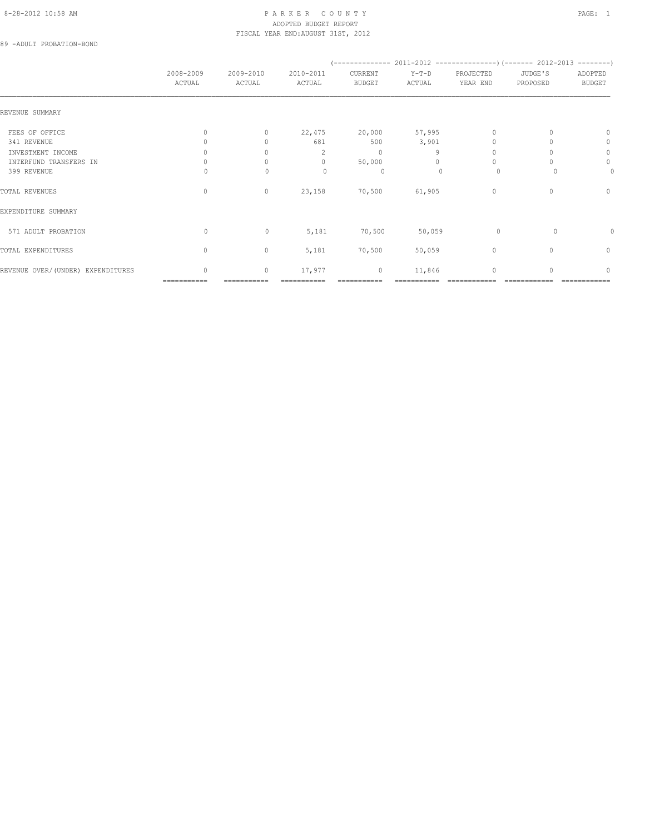## 8-28-2012 10:58 AM PAGE: 1 PARKER COUNTY ADOPTED BUDGET REPORT FISCAL YEAR END:AUGUST 31ST, 2012

89 -ADULT PROBATION-BOND

|                                   | 2008-2009<br>ACTUAL              | 2009-2010<br>ACTUAL              | 2010-2011<br>ACTUAL | CURRENT<br>BUDGET | $Y-T-D$<br>ACTUAL | PROJECTED<br>YEAR END | JUDGE'S<br>PROPOSED | ADOPTED<br><b>BUDGET</b> |
|-----------------------------------|----------------------------------|----------------------------------|---------------------|-------------------|-------------------|-----------------------|---------------------|--------------------------|
|                                   |                                  |                                  |                     |                   |                   |                       |                     |                          |
| REVENUE SUMMARY                   |                                  |                                  |                     |                   |                   |                       |                     |                          |
| FEES OF OFFICE                    | $\Omega$                         | 0                                | 22,475              | 20,000            | 57,995            | $\Omega$              |                     | $\mathbf{0}$             |
| 341 REVENUE                       | 0                                | $\begin{array}{c} \n\end{array}$ | 681                 | 500               | 3,901             |                       |                     | 0                        |
| INVESTMENT INCOME                 | 0                                |                                  | 2                   | $\mathbf{0}$      | 9                 |                       |                     | $\circ$                  |
| INTERFUND TRANSFERS IN            | $\begin{array}{c} \n\end{array}$ |                                  | $\mathbf{0}$        | 50,000            | $\Omega$          | $\Omega$              |                     | 0                        |
| 399 REVENUE                       |                                  | 0                                | 0                   | $\circ$           |                   | $\circ$               |                     | 0                        |
| TOTAL REVENUES                    | $\Omega$                         | $\circ$                          | 23,158              | 70,500            | 61,905            | $\mathbf{0}$          | $\Omega$            | $\mathbf{0}$             |
| EXPENDITURE SUMMARY               |                                  |                                  |                     |                   |                   |                       |                     |                          |
| 571 ADULT PROBATION               | 0                                | $\mathbf 0$                      | 5,181               | 70,500            | 50,059            | $\circ$               | 0                   | 0                        |
| TOTAL EXPENDITURES                | $\circ$                          | $\circ$                          | 5,181               | 70,500            | 50,059            | $\circ$               | $\mathbf{0}$        | $\circ$                  |
| REVENUE OVER/(UNDER) EXPENDITURES | $\Omega$                         | $\circ$                          | 17,977              | $\circ$           | 11,846            | $\circ$               | $\cap$              | $\Omega$                 |
|                                   | ===========                      |                                  |                     |                   |                   |                       |                     | ============             |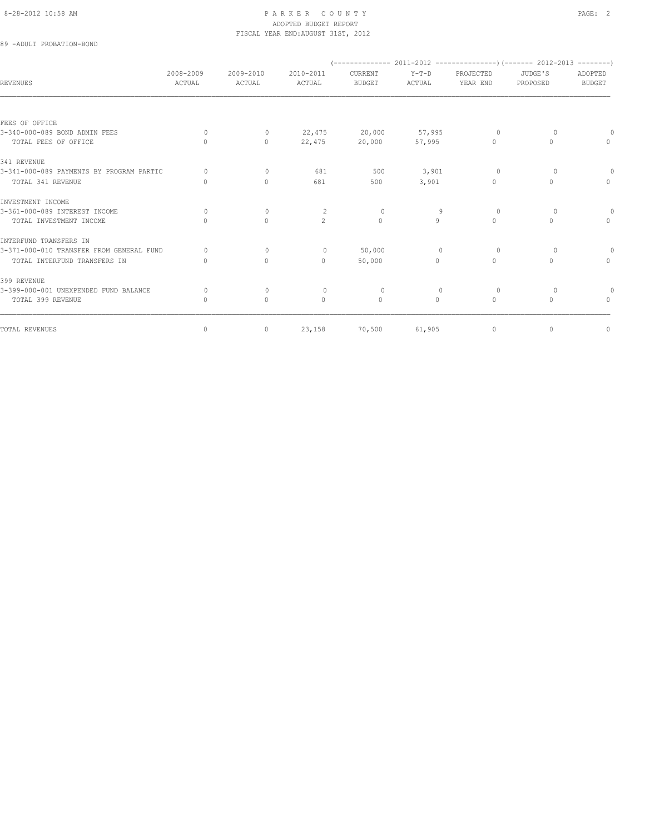# 8-28-2012 10:58 AM PAGE: 2 ADOPTED BUDGET REPORT FISCAL YEAR END:AUGUST 31ST, 2012

# 89 -ADULT PROBATION-BOND

| ACTUAL                           | 2009-2010<br>ACTUAL | 2010-2011<br>ACTUAL | CURRENT<br><b>BUDGET</b> | $Y-T-D$<br>ACTUAL | PROJECTED<br>YEAR END            | JUDGE'S<br>PROPOSED | ADOPTED<br><b>BUDGET</b> |
|----------------------------------|---------------------|---------------------|--------------------------|-------------------|----------------------------------|---------------------|--------------------------|
|                                  |                     |                     |                          |                   |                                  |                     |                          |
|                                  |                     |                     |                          |                   |                                  |                     |                          |
| $\Omega$                         | $\mathbf{0}$        | 22,475              |                          |                   | $\Omega$                         | $\Omega$            |                          |
| $\bigcap$                        | $\Omega$            | 22,475              | 20,000                   | 57,995            | $\Omega$                         | $\Omega$            | $\Omega$                 |
|                                  |                     |                     |                          |                   |                                  |                     |                          |
| $\circ$                          | $\mathbf{0}$        | 681                 | 500                      | 3,901             | $\circ$                          | $\circ$             |                          |
| $\mathbf{0}$                     | $\mathbf{0}$        | 681                 | 500                      | 3,901             | $\Omega$                         | $\circ$             | $\Omega$                 |
|                                  |                     |                     |                          |                   |                                  |                     |                          |
| $\Omega$                         | $\Omega$            | 2                   | $\Omega$                 | 9                 | $\Omega$                         | $\Omega$            | $\circ$                  |
| $\Omega$                         | $\Omega$            | $\overline{2}$      | $\Omega$                 | 9                 | $\Omega$                         | $\Omega$            | $\Omega$                 |
|                                  |                     |                     |                          |                   |                                  |                     |                          |
| $\Omega$                         | $\mathbf{0}$        | $\circ$             | 50,000                   | $\overline{0}$    | $\circ$                          | $\Omega$            | $\Omega$                 |
| $\cap$                           | $\Omega$            | $\Omega$            | 50,000                   | $\Omega$          | $\begin{array}{c} \n\end{array}$ | $\Omega$            | $\Omega$                 |
|                                  |                     |                     |                          |                   |                                  |                     |                          |
| $\bigcap$                        | $\mathbf{0}$        | $\circ$             | $\Omega$                 | $\Omega$          | $\Omega$                         | $\Omega$            | 0                        |
| $\begin{array}{c} \n\end{array}$ | $\circ$             | $\mathbf{0}$        | $\mathbf{0}$             | $\circ$           | $\circ$                          | $\circ$             | $\Omega$                 |
| 0                                | $\circ$             | 23,158              | 70,500                   | 61,905            | $\circ$                          | $\circ$             | $\mathbb O$              |
|                                  | 2008-2009           |                     |                          | 20,000            | 57,995                           |                     |                          |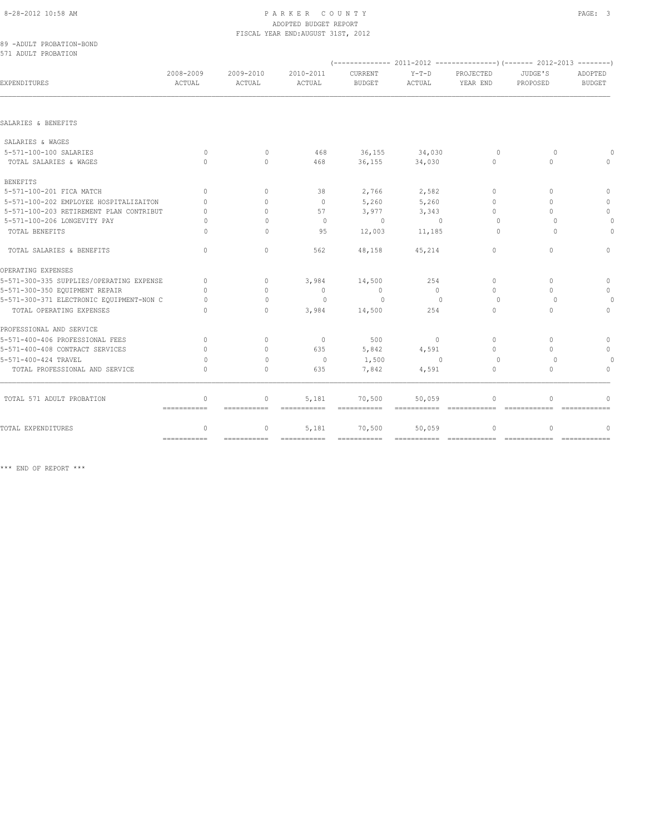### 8-28-2012 10:58 AM PAGE: 3 ADOPTED BUDGET REPORT FISCAL YEAR END:AUGUST 31ST, 2012

89 -ADULT PROBATION-BOND 571 ADULT PROBATION

| EXPENDITURES                             | 2008-2009<br>ACTUAL              | 2009-2010<br>ACTUAL              | 2010-2011<br>ACTUAL   | CURRENT<br><b>BUDGET</b> | $Y-T-D$<br>ACTUAL | PROJECTED<br>YEAR END | JUDGE'S<br>PROPOSED              | ADOPTED<br><b>BUDGET</b> |
|------------------------------------------|----------------------------------|----------------------------------|-----------------------|--------------------------|-------------------|-----------------------|----------------------------------|--------------------------|
|                                          |                                  |                                  |                       |                          |                   |                       |                                  |                          |
| SALARIES & BENEFITS                      |                                  |                                  |                       |                          |                   |                       |                                  |                          |
| SALARIES & WAGES                         |                                  |                                  |                       |                          |                   |                       |                                  |                          |
| 5-571-100-100 SALARIES                   | $\Omega$                         | $\bigcap$                        | 468                   | 36,155                   | 34,030            | $\Omega$              | $\bigcap$                        |                          |
| TOTAL SALARIES & WAGES                   | $\bigcap$                        | $\bigcap$                        | 468                   | 36,155                   | 34,030            | $\Omega$              | $\bigcap$                        |                          |
| <b>BENEFITS</b>                          |                                  |                                  |                       |                          |                   |                       |                                  |                          |
| 5-571-100-201 FICA MATCH                 | $\Omega$                         | $\begin{array}{c} \n\end{array}$ | 38                    | 2,766                    | 2,582             | $\Omega$              | $\begin{array}{c} \n\end{array}$ | $\cap$                   |
| 5-571-100-202 EMPLOYEE HOSPITALIZAITON   | $\cap$                           | $\cap$                           | $\circ$               | 5,260                    | 5,260             | $\bigcap$             | $\bigcap$                        | $\cap$                   |
| 5-571-100-203 RETIREMENT PLAN CONTRIBUT  | 0                                | $\Omega$                         | 57                    | 3,977                    | 3,343             | $\Omega$              | $\Omega$                         | $\mathbf{0}$             |
| 5-571-100-206 LONGEVITY PAY              | $\Omega$                         | $\Omega$                         | $\mathbf{0}$          | $\Omega$                 | $\overline{0}$    | $\cup$                | $\Omega$                         |                          |
| TOTAL BENEFITS                           | 0                                | $\Omega$                         | 95                    | 12,003                   | 11,185            | $\Omega$              | $\Omega$                         |                          |
| TOTAL SALARIES & BENEFITS                | $\Omega$                         | $\Omega$                         | 562                   | 48,158                   | 45,214            | $\Omega$              | $\Omega$                         | $\Omega$                 |
| OPERATING EXPENSES                       |                                  |                                  |                       |                          |                   |                       |                                  |                          |
| 5-571-300-335 SUPPLIES/OPERATING EXPENSE | $\begin{array}{c} \n\end{array}$ | $\Omega$                         | 3,984                 | 14,500                   | 254               | $\Omega$              | $\begin{array}{c} \n\end{array}$ | $\mathbf{0}$             |
| 5-571-300-350 EQUIPMENT REPAIR           | $\cap$                           | $\begin{array}{c} \n\end{array}$ | $\mathbf{0}$          | $\circ$                  | $\Omega$          | $\Omega$              | $\bigcap$                        |                          |
| 5-571-300-371 ELECTRONIC EQUIPMENT-NON C | 0                                | $\begin{array}{c} \n\end{array}$ | $\Omega$              | $\Omega$                 | $\Omega$          | $\Omega$              | $\Omega$                         |                          |
| TOTAL OPERATING EXPENSES                 | $\cap$                           | $\Omega$                         | 3,984                 | 14,500                   | 254               | $\Omega$              | $\begin{array}{c} \n\end{array}$ | $\Omega$                 |
| PROFESSIONAL AND SERVICE                 |                                  |                                  |                       |                          |                   |                       |                                  |                          |
| 5-571-400-406 PROFESSIONAL FEES          | $\Omega$                         | $\Omega$                         | $\circ$               | 500                      | $\circ$           | $\Omega$              | $\Omega$                         | $\Omega$                 |
| 5-571-400-408 CONTRACT SERVICES          | 0                                | $\begin{array}{c} \n\end{array}$ | 635                   | 5,842                    | 4,591             | $\bigcap$             | $\bigcap$                        | $\mathbf{0}$             |
| 5-571-400-424 TRAVEL                     | 0                                | $\begin{array}{c} \n\end{array}$ | $\mathbf{0}$          | 1,500                    | $\Omega$          | $\Omega$              | $\Omega$                         |                          |
| TOTAL PROFESSIONAL AND SERVICE           | $\bigcap$                        | $\begin{array}{c} \n\end{array}$ | 635                   | 7,842                    | 4,591             | $\Omega$              | $\bigcap$                        | $\cap$                   |
| TOTAL 571 ADULT PROBATION                | $\mathbf{0}$<br>------------     | $\circ$<br>------------          | 5,181<br>------------ | 70,500                   | 50,059            | $\Omega$              | $\Omega$<br>-------------        | -------------            |
| TOTAL EXPENDITURES                       | $\Omega$                         | $\circ$                          | 5,181                 | 70,500                   | 50,059            | $\Omega$              | $\Omega$                         | $\Omega$                 |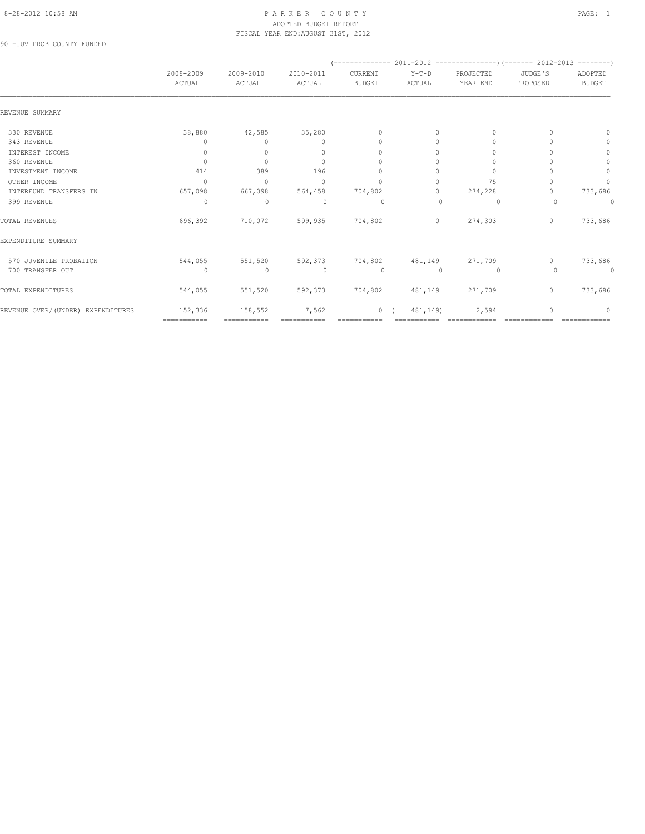# 8-28-2012 10:58 AM PAGE: 1 PARKER COUNTY PAGE: 1 ADOPTED BUDGET REPORT FISCAL YEAR END:AUGUST 31ST, 2012

90 -JUV PROB COUNTY FUNDED

|                                   | 2008-2009<br>ACTUAL              | 2009-2010<br>ACTUAL              | 2010-2011<br>ACTUAL              | CURRENT<br><b>BUDGET</b> | $Y-T-D$<br>ACTUAL | PROJECTED<br>YEAR END | JUDGE'S<br>PROPOSED | ADOPTED<br><b>BUDGET</b> |
|-----------------------------------|----------------------------------|----------------------------------|----------------------------------|--------------------------|-------------------|-----------------------|---------------------|--------------------------|
| REVENUE SUMMARY                   |                                  |                                  |                                  |                          |                   |                       |                     |                          |
| 330 REVENUE                       | 38,880                           | 42,585                           | 35,280                           | $\mathbf{0}$             | 0                 | 0                     |                     | $\Omega$                 |
| 343 REVENUE                       | 0                                | $\Omega$                         | $\begin{array}{c} \n\end{array}$ | $\Omega$                 | $\Omega$          | $\Omega$              |                     | 0                        |
| INTEREST INCOME                   | 0                                | 0                                | $\mathbf{0}$                     | $\Omega$                 | $\Omega$          |                       |                     | $\mathbf{0}$             |
| 360 REVENUE                       | $\begin{array}{c} \n\end{array}$ | $\begin{array}{c} \n\end{array}$ | $\begin{array}{c} \n\end{array}$ | $\Omega$                 | $\Omega$          | $\Omega$              |                     | $\Omega$                 |
| INVESTMENT INCOME                 | 414                              | 389                              | 196                              | $\Omega$                 | $\Omega$          | $\Omega$              |                     | $\circ$                  |
| OTHER INCOME                      | $\begin{array}{c} \n\end{array}$ | $\Omega$                         | $\Omega$                         | $\Omega$                 | $\bigcap$         | 75                    |                     | $\Omega$                 |
| INTERFUND TRANSFERS IN            | 657,098                          | 667,098                          | 564,458                          | 704,802                  | 0                 | 274,228               |                     | 733,686                  |
| 399 REVENUE                       | $\bigcap$                        | $\mathbf 0$                      | $\Omega$                         | 0                        | $\Omega$          | $\circ$               | $\Omega$            | $\Omega$                 |
| TOTAL REVENUES                    | 696,392                          | 710,072                          | 599,935                          | 704,802                  | $\circ$           | 274,303               | $\mathbf{0}$        | 733,686                  |
| EXPENDITURE SUMMARY               |                                  |                                  |                                  |                          |                   |                       |                     |                          |
| 570 JUVENILE PROBATION            | 544,055                          | 551,520                          | 592,373                          | 704,802                  | 481,149           | 271,709               | $\Omega$            | 733,686                  |
| 700 TRANSFER OUT                  | $\circ$                          | $\mathbf 0$                      | $\circ$                          | $\circ$                  | $\mathbf{0}$      | 0                     | $\Omega$            | 0                        |
| TOTAL EXPENDITURES                | 544,055                          | 551,520                          | 592,373                          | 704,802                  | 481,149           | 271,709               | $\mathbf{0}$        | 733,686                  |
| REVENUE OVER/(UNDER) EXPENDITURES | 152,336                          | 158,552                          | 7,562                            | $\circ$                  | 481,149)          | 2,594                 | O                   | $\Omega$                 |
|                                   | ============                     |                                  |                                  |                          |                   |                       |                     |                          |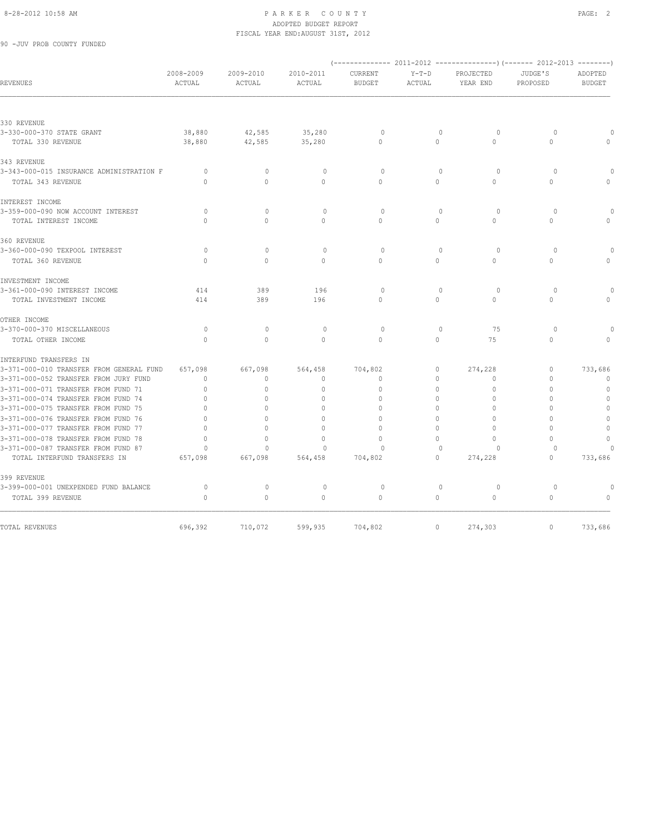## 8-28-2012 10:58 AM PAGE: 2 ADOPTED BUDGET REPORT FISCAL YEAR END:AUGUST 31ST, 2012

90 -JUV PROB COUNTY FUNDED

| <b>REVENUES</b>                          | 2008-2009<br>ACTUAL | 2009-2010<br>ACTUAL | 2010-2011<br>ACTUAL              | CURRENT<br><b>BUDGET</b> | $Y-T-D$<br>ACTUAL | PROJECTED<br>YEAR END | JUDGE'S<br>PROPOSED | ADOPTED<br><b>BUDGET</b> |
|------------------------------------------|---------------------|---------------------|----------------------------------|--------------------------|-------------------|-----------------------|---------------------|--------------------------|
|                                          |                     |                     |                                  |                          |                   |                       |                     |                          |
| 330 REVENUE                              |                     |                     |                                  |                          |                   |                       |                     |                          |
| 3-330-000-370 STATE GRANT                | 38,880              | 42,585              | 35,280                           | 0                        | 0                 | $\circ$               | $\circ$             |                          |
| TOTAL 330 REVENUE                        | 38,880              | 42,585              | 35,280                           | $\Omega$                 | $\Omega$          | $\Omega$              | $\Omega$            |                          |
| 343 REVENUE                              |                     |                     |                                  |                          |                   |                       |                     |                          |
| 3-343-000-015 INSURANCE ADMINISTRATION F | $\circ$             | $\mathbf{0}$        | $\circ$                          | $\Omega$                 | $\mathbf{0}$      | $\circ$               | $\Omega$            | $\cap$                   |
| TOTAL 343 REVENUE                        | $\Omega$            | $\circ$             | $\mathbf{0}$                     | $\Omega$                 | $\circ$           | $\Omega$              | 0                   | $\mathbf{0}$             |
| INTEREST INCOME                          |                     |                     |                                  |                          |                   |                       |                     |                          |
| 3-359-000-090 NOW ACCOUNT INTEREST       | $\circ$             | $\Omega$            | $\mathbf{0}$                     | $\circ$                  | $\mathbf{0}$      | $\circ$               | $\circ$             |                          |
| TOTAL INTEREST INCOME                    | $\Omega$            | $\Omega$            | $\Omega$                         | $\Omega$                 | $\Omega$          | $\Omega$              | $\Omega$            | $\Omega$                 |
| 360 REVENUE                              |                     |                     |                                  |                          |                   |                       |                     |                          |
| 3-360-000-090 TEXPOOL INTEREST           | $\circ$             | $\Omega$            | $\mathbf{0}$                     | $\circ$                  | $\mathbf{0}$      | $\circ$               | $\circ$             | $\Omega$                 |
| TOTAL 360 REVENUE                        | $\Omega$            | $\Omega$            | $\mathbf{0}$                     | $\mathbf{0}$             | 0                 | $\Omega$              | 0                   | $\Omega$                 |
| INVESTMENT INCOME                        |                     |                     |                                  |                          |                   |                       |                     |                          |
| 3-361-000-090 INTEREST INCOME            | 414                 | 389                 | 196                              | $\Omega$                 | $\circ$           | $\circ$               | $\Omega$            | $\Omega$                 |
| TOTAL INVESTMENT INCOME                  | 414                 | 389                 | 196                              | $\Omega$                 | 0                 | $\circ$               | $\Omega$            | $\Omega$                 |
| OTHER INCOME                             |                     |                     |                                  |                          |                   |                       |                     |                          |
| 3-370-000-370 MISCELLANEOUS              | $\circ$             | $\mathbf{0}$        | $\mathbf{0}$                     | $\circ$                  | $\mathbf{0}$      | 75                    | $\circ$             |                          |
| TOTAL OTHER INCOME                       | $\Omega$            | $\Omega$            | $\Omega$                         | $\Omega$                 | $\Omega$          | 75                    | $\Omega$            | $\bigcap$                |
| INTERFUND TRANSFERS IN                   |                     |                     |                                  |                          |                   |                       |                     |                          |
| 3-371-000-010 TRANSFER FROM GENERAL FUND | 657,098             | 667,098             | 564,458                          | 704,802                  | 0                 | 274,228               | 0                   | 733,686                  |
| 3-371-000-052 TRANSFER FROM JURY FUND    | $\mathbf{0}$        | $\mathbf{0}$        | $\mathbf{0}$                     | $\mathbf{0}$             | $\circ$           | $\Omega$              | 0                   | $\mathbf{0}$             |
| 3-371-000-071 TRANSFER FROM FUND 71      | $\Omega$            | $\Omega$            | $\mathbf{0}$                     | $\Omega$                 | $\Omega$          | $\Omega$              | O                   | $\mathbf{0}$             |
| 3-371-000-074 TRANSFER FROM FUND 74      | $\Omega$            | $\Omega$            | $\mathbf{0}$                     | $\Omega$                 | $\Omega$          | $\Omega$              | O                   | $\circ$                  |
| 3-371-000-075 TRANSFER FROM FUND 75      | $\Omega$            | $\Omega$            | $\Omega$                         | $\Omega$                 | $\Omega$          | $\Omega$              | O                   | $\circ$                  |
| 3-371-000-076 TRANSFER FROM FUND 76      | $\Omega$            | $\Omega$            | $\mathbf{0}$                     | $\Omega$                 | $\Omega$          | $\Omega$              | $\Omega$            | $\mathbb O$              |
| 3-371-000-077 TRANSFER FROM FUND 77      | $\Omega$            | $\Omega$            | $\begin{array}{c} \n\end{array}$ | $\Omega$                 | $\Omega$          | $\Omega$              | $\Omega$            | $\mathbf{0}$             |
| 3-371-000-078 TRANSFER FROM FUND 78      | $\Omega$            | O                   | $\mathbf{0}$                     | $\Omega$                 | $\Omega$          | $\Omega$              | 0                   | $\mathbf{0}$             |
| 3-371-000-087 TRANSFER FROM FUND 87      | $\Omega$            | $\Omega$            | $\Omega$                         | $\Omega$                 | $\mathbf{0}$      | 0                     | $\circ$             |                          |
| TOTAL INTERFUND TRANSFERS IN             | 657,098             | 667,098             | 564,458                          | 704,802                  | $\Omega$          | 274,228               | 0                   | 733,686                  |
| 399 REVENUE                              |                     |                     |                                  |                          |                   |                       |                     |                          |
| 3-399-000-001 UNEXPENDED FUND BALANCE    | $\circ$             | $\circ$             | $\circ$                          | $\circ$                  | $\mathbf 0$       | $\circ$               | $\circ$             | $\circ$                  |
| TOTAL 399 REVENUE                        | $\mathbf{0}$        | $\circ$             | $\circ$                          | $\circ$                  | $\circ$           | $\circ$               | $\mathbf{0}$        | $\mathbf{0}$             |
|                                          |                     |                     |                                  |                          |                   |                       |                     |                          |
| TOTAL REVENUES                           | 696,392             | 710,072             | 599,935                          | 704,802                  | $\circ$           | 274,303               | $\circ$             | 733,686                  |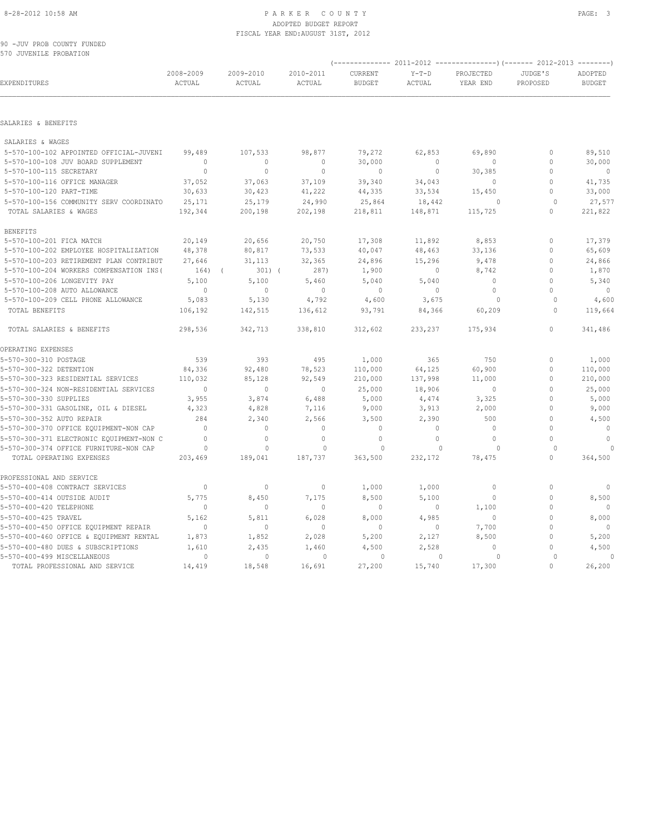### 8-28-2012 10:58 AM PAGE: 3 ADOPTED BUDGET REPORT FISCAL YEAR END:AUGUST 31ST, 2012

90 -JUV PROB COUNTY FUNDED 570 JUVENILE PROBATION

|                                                                               |                     |                         |                        |                          |                         | (------------- 2011-2012 ---------------) (------- 2012-2013 --------) |                     |                          |
|-------------------------------------------------------------------------------|---------------------|-------------------------|------------------------|--------------------------|-------------------------|------------------------------------------------------------------------|---------------------|--------------------------|
| EXPENDITURES                                                                  | 2008-2009<br>ACTUAL | 2009-2010<br>ACTUAL     | 2010-2011<br>ACTUAL    | CURRENT<br><b>BUDGET</b> | $Y-T-D$<br>ACTUAL       | PROJECTED<br>YEAR END                                                  | JUDGE'S<br>PROPOSED | ADOPTED<br><b>BUDGET</b> |
| SALARIES & BENEFITS                                                           |                     |                         |                        |                          |                         |                                                                        |                     |                          |
|                                                                               |                     |                         |                        |                          |                         |                                                                        |                     |                          |
| SALARIES & WAGES                                                              |                     |                         |                        |                          |                         |                                                                        |                     |                          |
| 5-570-100-102 APPOINTED OFFICIAL-JUVENI<br>5-570-100-108 JUV BOARD SUPPLEMENT | 99,489<br>$\Omega$  | 107,533<br>$\mathbf{0}$ | 98,877<br>$\mathbf{0}$ | 79,272                   | 62,853<br>$\Omega$      | 69,890<br>$\mathbf{0}$                                                 | 0<br>$\mathbf{0}$   | 89,510                   |
| 5-570-100-115 SECRETARY                                                       | $\mathbb O$         | $\mathbb O$             | $\mathbf 0$            | 30,000<br>$\circ$        | $\circ$                 | 30,385                                                                 | $\circ$             | 30,000<br>$\overline{0}$ |
| 5-570-100-116 OFFICE MANAGER                                                  | 37,052              | 37,063                  | 37,109                 | 39,340                   | 34,043                  | $\mathbf{0}$                                                           | $\mathbf{0}$        | 41,735                   |
| 5-570-100-120 PART-TIME                                                       | 30,633              | 30,423                  | 41,222                 | 44,335                   | 33,534                  | 15,450                                                                 | $\circ$             | 33,000                   |
| 5-570-100-156 COMMUNITY SERV COORDINATO                                       | 25,171              | 25,179                  | 24,990                 | 25,864                   | 18,442                  | $\circ$                                                                | $\circ$             | 27,577                   |
| TOTAL SALARIES & WAGES                                                        | 192,344             | 200,198                 | 202,198                | 218,811                  | 148,871                 | 115,725                                                                | $\circ$             | 221,822                  |
| <b>BENEFITS</b>                                                               |                     |                         |                        |                          |                         |                                                                        |                     |                          |
| 5-570-100-201 FICA MATCH                                                      | 20,149              | 20,656                  | 20,750                 | 17,308                   | 11,892                  | 8,853                                                                  | $\circ$             | 17,379                   |
| 5-570-100-202 EMPLOYEE HOSPITALIZATION                                        | 48,378              | 80,817                  | 73,533                 | 40,047                   | 48,463                  | 33,136                                                                 | $\circ$             | 65,609                   |
| 5-570-100-203 RETIREMENT PLAN CONTRIBUT                                       | 27,646              | 31,113                  | 32,365                 | 24,896                   | 15,296                  | 9,478                                                                  | $\Omega$            | 24,866                   |
| 5-570-100-204 WORKERS COMPENSATION INS (                                      | 164)                | $301)$ (<br>$\sqrt{2}$  | 287)                   | 1,900                    | $\circ$                 | 8,742                                                                  | $\circ$             | 1,870                    |
| 5-570-100-206 LONGEVITY PAY                                                   | 5,100               | 5,100                   | 5,460                  | 5,040                    | 5,040                   | $\mathbf{0}$                                                           | $\circ$             | 5,340                    |
| 5-570-100-208 AUTO ALLOWANCE                                                  | $\overline{0}$      | $\mathbf{0}$            | $\overline{0}$         | $\mathbb O$              | $\circ$                 | $\mathbb O$                                                            | $\Omega$            | $\overline{0}$           |
| 5-570-100-209 CELL PHONE ALLOWANCE                                            | 5,083               | 5,130                   | 4,792                  | 4,600                    | 3,675                   | 0                                                                      | $\Omega$            | 4,600                    |
| TOTAL BENEFITS                                                                | 106,192             | 142,515                 | 136,612                | 93,791                   | 84,366                  | 60,209                                                                 | 0                   | 119,664                  |
| TOTAL SALARIES & BENEFITS                                                     | 298,536             | 342,713                 | 338,810                | 312,602                  | 233,237                 | 175,934                                                                | $\circ$             | 341,486                  |
| OPERATING EXPENSES                                                            |                     |                         |                        |                          |                         |                                                                        |                     |                          |
| 5-570-300-310 POSTAGE                                                         | 539                 | 393                     | 495                    | 1,000                    | 365                     | 750                                                                    | $\mathbf{0}$        | 1,000                    |
| 5-570-300-322 DETENTION                                                       | 84,336              | 92,480                  | 78,523                 | 110,000                  | 64,125                  | 60,900                                                                 | 0                   | 110,000                  |
| 5-570-300-323 RESIDENTIAL SERVICES                                            | 110,032             | 85,128                  | 92,549                 | 210,000                  | 137,998                 | 11,000                                                                 | $\mathbb O$         | 210,000                  |
| 5-570-300-324 NON-RESIDENTIAL SERVICES                                        | $\Omega$            | $\Omega$                | $\circ$                | 25,000                   | 18,906                  | $\mathbb O$                                                            | $\Omega$            | 25,000                   |
| 5-570-300-330 SUPPLIES                                                        | 3,955               | 3,874                   | 6,488                  | 5,000                    | 4,474                   | 3,325                                                                  | $\circ$             | 5,000                    |
| 5-570-300-331 GASOLINE, OIL & DIESEL                                          | 4,323               | 4,828                   | 7,116                  | 9,000                    | 3,913                   | 2,000                                                                  | $\circ$             | 9,000                    |
| 5-570-300-352 AUTO REPAIR                                                     | 284                 | 2,340                   | 2,566                  | 3,500                    | 2,390                   | 500                                                                    | $\circ$             | 4,500                    |
| 5-570-300-370 OFFICE EQUIPMENT-NON CAP                                        | $\mathbf{0}$        | $\mathbf{0}$            | $\mathbf{0}$           | $\mathbf 0$              | $\circ$                 | $\mathbf{0}$                                                           | $\circ$             | $\mathbf{0}$             |
| 5-570-300-371 ELECTRONIC EQUIPMENT-NON C                                      | $\Omega$            | $\circ$                 | $\mathbf{0}$           | $\mathbf{0}$             | $\circ$                 | $\circ$                                                                | $\Omega$            | $\Omega$                 |
| 5-570-300-374 OFFICE FURNITURE-NON CAP<br>TOTAL OPERATING EXPENSES            | $\circ$<br>203,469  | $\circ$<br>189,041      | 0<br>187,737           | 0<br>363,500             | $\mathbf{0}$<br>232,172 | $\circ$<br>78,475                                                      | $\circ$<br>$\Omega$ | 364,500                  |
| PROFESSIONAL AND SERVICE                                                      |                     |                         |                        |                          |                         |                                                                        |                     |                          |
| 5-570-400-408 CONTRACT SERVICES                                               | $\mathbb{O}$        | $\circ$                 | $\mathbf 0$            | 1,000                    | 1,000                   | 0                                                                      | $\circ$             | $\circ$                  |
| 5-570-400-414 OUTSIDE AUDIT                                                   | 5,775               | 8,450                   | 7,175                  | 8,500                    | 5,100                   | $\circ$                                                                | $\circ$             | 8,500                    |
| 5-570-400-420 TELEPHONE                                                       | $\mathbf{0}$        | $\mathbf{0}$            | $\mathbf{0}$           | $\mathbb O$              | $\circ$                 | 1,100                                                                  | $\circ$             | - 0                      |
| 5-570-400-425 TRAVEL                                                          | 5,162               | 5,811                   | 6,028                  | 8,000                    | 4,985                   | $\circ$                                                                | $\circ$             | 8,000                    |
| 5-570-400-450 OFFICE EQUIPMENT REPAIR                                         | $\mathbf{0}$        | $\circ$                 | $\mathbf 0$            | $\mathbf 0$              | 0                       | 7,700                                                                  | $\circ$             | 0                        |
| 5-570-400-460 OFFICE & EQUIPMENT RENTAL                                       | 1,873               | 1,852                   | 2,028                  | 5,200                    | 2,127                   | 8,500                                                                  | $\mathbf{0}$        | 5,200                    |
| 5-570-400-480 DUES & SUBSCRIPTIONS                                            | 1,610               | 2,435                   | 1,460                  | 4,500                    | 2,528                   | $\Omega$                                                               | $\Omega$            | 4,500                    |
| 5-570-400-499 MISCELLANEOUS                                                   | $\circ$             | $\mathbf{0}$            | $\mathbf{0}$           | $\circ$                  | $\mathbf{0}$            | $\circ$                                                                | $\Omega$            | $\Omega$                 |
| TOTAL PROFESSIONAL AND SERVICE                                                | 14,419              | 18,548                  | 16,691                 | 27,200                   | 15,740                  | 17,300                                                                 | $\Omega$            | 26,200                   |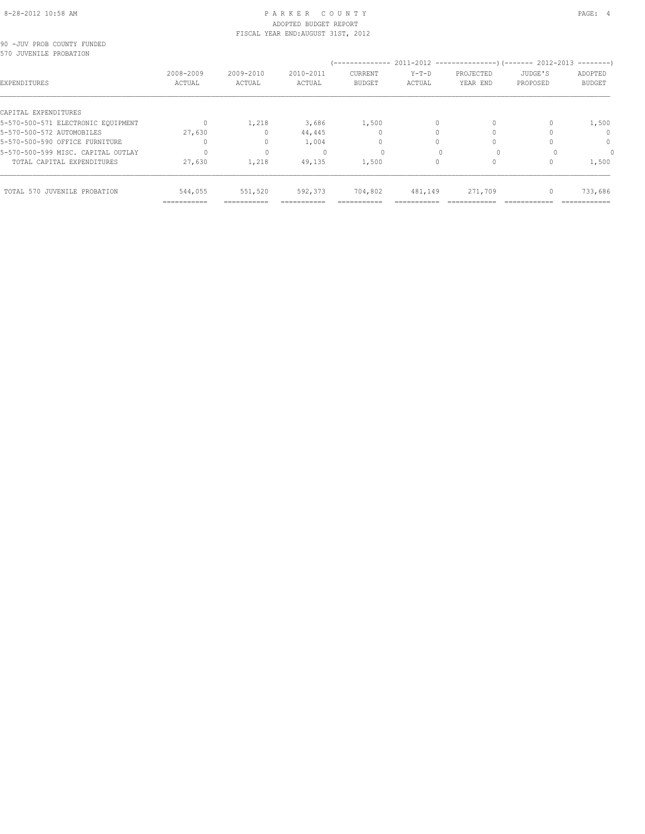# 8-28-2012 10:58 AM PAGE: 4 ADOPTED BUDGET REPORT FISCAL YEAR END:AUGUST 31ST, 2012

|  | 90 -JUV PROB COUNTY FUNDED |  |
|--|----------------------------|--|
|  | 570 JUVENILE PROBATION     |  |

| UJIU JUVENILE PRUDAIIUN            |                     |                         |                     | --------------                  |                   |                                                                              |                     | ---------                |
|------------------------------------|---------------------|-------------------------|---------------------|---------------------------------|-------------------|------------------------------------------------------------------------------|---------------------|--------------------------|
| EXPENDITURES                       | 2008-2009<br>ACTUAL | $2009 - 2010$<br>ACTUAL | 2010-2011<br>ACTUAL | <b>CURRENT</b><br><b>BUDGET</b> | $Y-T-D$<br>ACTUAL | 2011-2012 ---------------------- (------- 2012-2013<br>PROJECTED<br>YEAR END | JUDGE'S<br>PROPOSED | ADOPTED<br><b>BUDGET</b> |
| CAPITAL EXPENDITURES               |                     |                         |                     |                                 |                   |                                                                              |                     |                          |
| 5-570-500-571 ELECTRONIC EQUIPMENT |                     | 1,218                   | 3,686               | 1,500                           | $\Omega$          |                                                                              |                     | 1,500                    |
| 5-570-500-572 AUTOMOBILES          | 27,630              |                         | 44,445              |                                 |                   |                                                                              |                     | $\Omega$                 |
| 5-570-500-590 OFFICE FURNITURE     |                     |                         | 1,004               |                                 |                   |                                                                              |                     | $\Omega$                 |
| 5-570-500-599 MISC. CAPITAL OUTLAY | $\Omega$            |                         |                     | $\Omega$                        |                   |                                                                              |                     |                          |
| TOTAL CAPITAL EXPENDITURES         | 27,630              | 1,218                   | 49,135              | 1,500                           | 0                 |                                                                              |                     | 1,500                    |
| TOTAL 570 JUVENILE PROBATION       | 544,055             | 551,520                 | 592,373             | 704,802                         | 481,149           | 271,709                                                                      | $\mathbf{0}$        | 733,686                  |
|                                    | ===========         | ===========             | ===========         | ===========                     | ===========       |                                                                              |                     | ============             |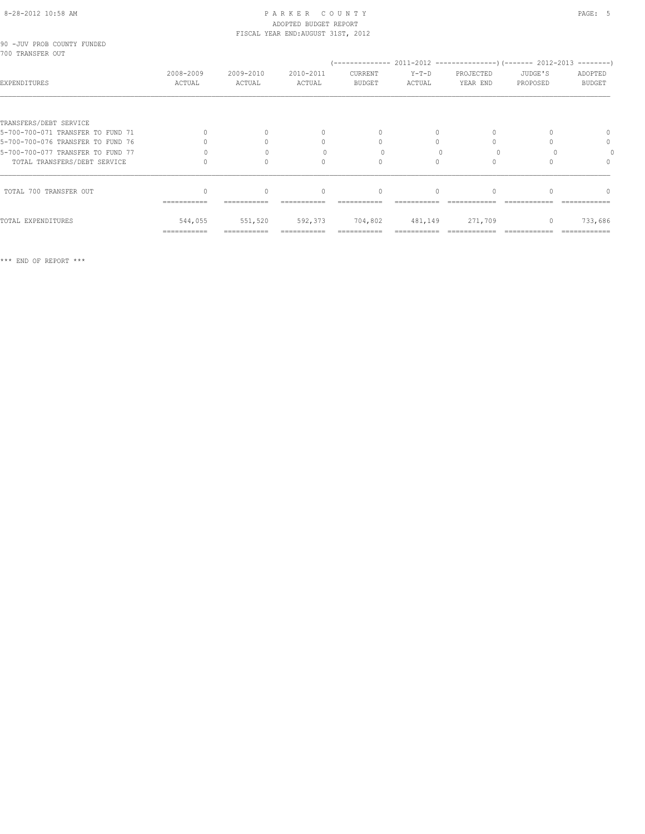# 8-28-2012 10:58 AM P A R K E R C O U N T Y PAGE: 5 ADOPTED BUDGET REPORT FISCAL YEAR END:AUGUST 31ST, 2012

|  |                  | 90 -JUV PROB COUNTY FUNDED |  |
|--|------------------|----------------------------|--|
|  | 700 TRANSFER OUT |                            |  |

| 1700 IRANJELR UUI                 |                     |                     |                                  |                          |                   |                       |                     |                          |
|-----------------------------------|---------------------|---------------------|----------------------------------|--------------------------|-------------------|-----------------------|---------------------|--------------------------|
| EXPENDITURES                      | 2008-2009<br>ACTUAL | 2009-2010<br>ACTUAL | 2010-2011<br>ACTUAL              | CURRENT<br><b>BUDGET</b> | $Y-T-D$<br>ACTUAL | PROJECTED<br>YEAR END | JUDGE'S<br>PROPOSED | ADOPTED<br><b>BUDGET</b> |
|                                   |                     |                     |                                  |                          |                   |                       |                     |                          |
| TRANSFERS/DEBT SERVICE            |                     |                     |                                  |                          |                   |                       |                     |                          |
| 5-700-700-071 TRANSFER TO FUND 71 | $\bigcap$           |                     | $\begin{array}{c} \n\end{array}$ |                          |                   |                       |                     |                          |
| 5-700-700-076 TRANSFER TO FUND 76 |                     |                     | 0                                |                          |                   |                       |                     | 0                        |
| 5-700-700-077 TRANSFER TO FUND 77 |                     |                     |                                  |                          |                   |                       |                     |                          |
| TOTAL TRANSFERS/DEBT SERVICE      |                     |                     |                                  |                          |                   |                       |                     |                          |
| TOTAL 700 TRANSFER OUT            |                     |                     | $\begin{array}{c} \n\end{array}$ |                          |                   |                       |                     |                          |
|                                   | ===========         |                     |                                  |                          |                   |                       |                     |                          |
| TOTAL EXPENDITURES                | 544,055             | 551,520             | 592,373                          | 704,802                  | 481,149           | 271,709               |                     | 733,686                  |
|                                   | ===========         |                     |                                  |                          |                   |                       |                     |                          |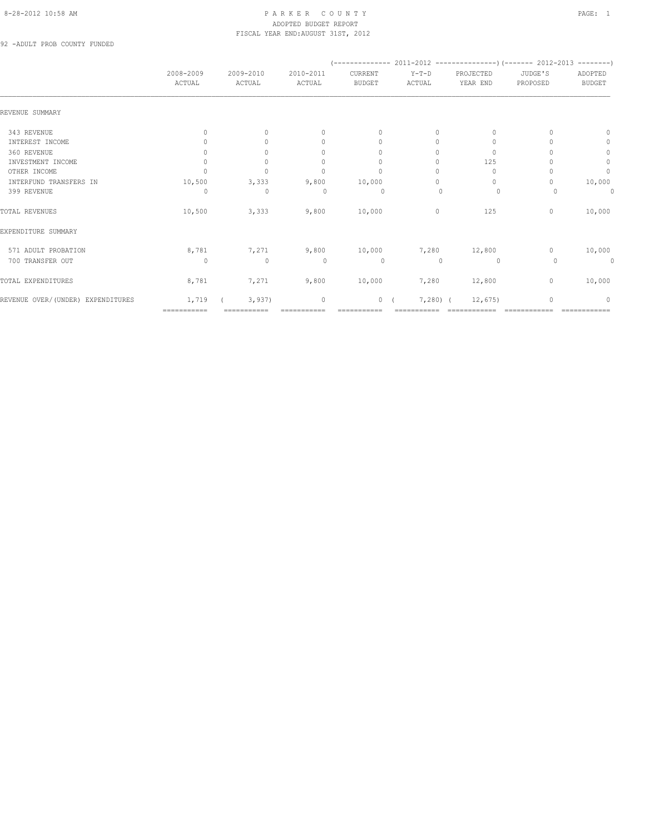## 8-28-2012 10:58 AM P A R K E R C O U N T Y PAGE: 1 ADOPTED BUDGET REPORT FISCAL YEAR END:AUGUST 31ST, 2012

92 -ADULT PROB COUNTY FUNDED

|                                   | 2008-2009<br>ACTUAL | 2009-2010<br>ACTUAL | 2010-2011<br>ACTUAL              | CURRENT<br><b>BUDGET</b>         | Y-T-D<br>ACTUAL | PROJECTED<br>YEAR END | JUDGE'S<br>PROPOSED | ADOPTED<br><b>BUDGET</b> |
|-----------------------------------|---------------------|---------------------|----------------------------------|----------------------------------|-----------------|-----------------------|---------------------|--------------------------|
| REVENUE SUMMARY                   |                     |                     |                                  |                                  |                 |                       |                     |                          |
| 343 REVENUE                       | 0                   | $\Omega$            | $\mathbf{0}$                     | $\mathbf{0}$                     | 0               | $\Omega$              |                     | 0                        |
| INTEREST INCOME                   | $\bigcap$           | $\cap$              | $\begin{array}{c} \n\end{array}$ | $\begin{array}{c} \n\end{array}$ | $\bigcap$       | 0                     |                     | $\mathbf{0}$             |
| 360 REVENUE                       | 0                   | $\cap$              | 0                                | $\begin{array}{c} \n\end{array}$ | $\Omega$        | 0                     |                     | $\circ$                  |
| INVESTMENT INCOME                 | $\mathbf{0}$        | $\circ$             | $\begin{array}{c} \n\end{array}$ | $\mathbf{0}$                     | $\Omega$        | 125                   |                     | $\mathbb O$              |
| OTHER INCOME                      | $\Omega$            | $\circ$             | $\mathbf{0}$                     | $\mathbf{0}$                     | 0               | $\mathbf{0}$          |                     | $\circ$                  |
| INTERFUND TRANSFERS IN            | 10,500              | 3,333               | 9,800                            | 10,000                           | 0               | 0                     |                     | 10,000                   |
| 399 REVENUE                       | 0                   | $\mathbf{0}$        | $\Omega$                         | $\circ$                          | $\mathbf{0}$    | 0                     |                     | 0                        |
| TOTAL REVENUES                    | 10,500              | 3,333               | 9,800                            | 10,000                           | $\circ$         | 125                   | $\mathbf{0}$        | 10,000                   |
| EXPENDITURE SUMMARY               |                     |                     |                                  |                                  |                 |                       |                     |                          |
| 571 ADULT PROBATION               | 8,781               | 7,271               | 9,800                            | 10,000                           | 7,280           | 12,800                | $\mathbf{0}$        | 10,000                   |
| 700 TRANSFER OUT                  | $\circ$             | $\mathbf 0$         | $\circ$                          | $\circ$                          | $\mathbf{0}$    | $\circ$               | 0                   | $\theta$                 |
| TOTAL EXPENDITURES                | 8,781               | 7,271               | 9,800                            | 10,000                           | 7,280           | 12,800                | $\mathbf{0}$        | 10,000                   |
| REVENUE OVER/(UNDER) EXPENDITURES | 1,719               | 3,937               | $\mathbf 0$                      | 0(                               | $7,280$ (       | 12,675                | $\mathbf{0}$        | $\Omega$                 |
|                                   | ===========         |                     |                                  |                                  |                 |                       |                     |                          |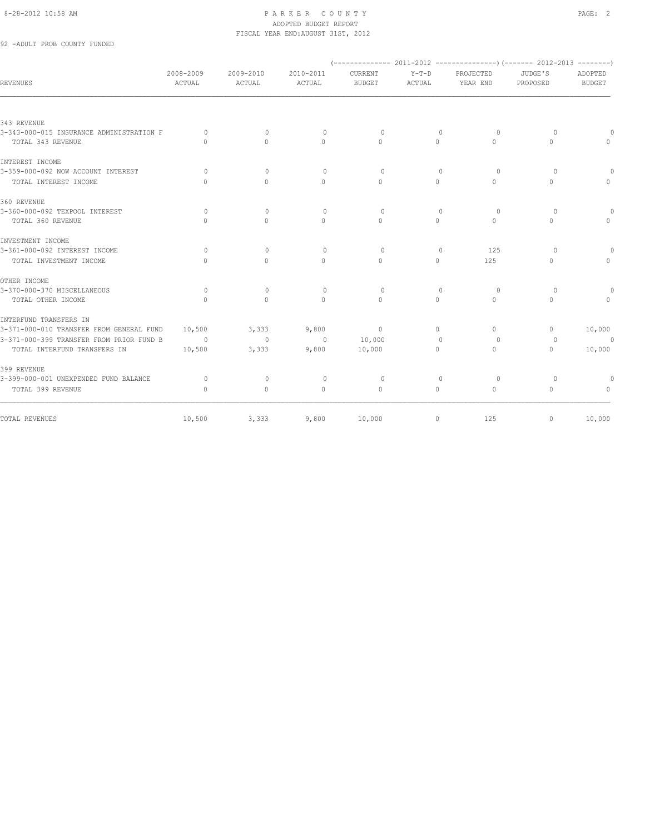92 -ADULT PROB COUNTY FUNDED

| <b>REVENUES</b>                          | 2008-2009<br>ACTUAL              | 2009-2010<br>ACTUAL              | 2010-2011<br>ACTUAL | CURRENT<br><b>BUDGET</b> | $Y-T-D$<br>ACTUAL                | PROJECTED<br>YEAR END            | JUDGE'S<br>PROPOSED              | ADOPTED<br><b>BUDGET</b>         |
|------------------------------------------|----------------------------------|----------------------------------|---------------------|--------------------------|----------------------------------|----------------------------------|----------------------------------|----------------------------------|
|                                          |                                  |                                  |                     |                          |                                  |                                  |                                  |                                  |
| 343 REVENUE                              |                                  |                                  |                     |                          |                                  |                                  |                                  |                                  |
| 3-343-000-015 INSURANCE ADMINISTRATION F | $\Omega$                         | $\begin{array}{c} \n\end{array}$ | $\Omega$            | $\Omega$                 | $\begin{array}{c} \n\end{array}$ | $\Omega$                         | $\Omega$                         | $\Omega$                         |
| TOTAL 343 REVENUE                        | $\Omega$                         | $\bigcap$                        | $\Omega$            | $\bigcap$                | $\Omega$                         | $\Omega$                         | $\Omega$                         | $\mathbf{0}$                     |
| INTEREST INCOME                          |                                  |                                  |                     |                          |                                  |                                  |                                  |                                  |
| 3-359-000-092 NOW ACCOUNT INTEREST       | $\Omega$                         | $\begin{array}{c} \n\end{array}$ | $\Omega$            | $\Omega$                 | $\Omega$                         | $\Omega$                         | $\Omega$                         | $\circ$                          |
| TOTAL INTEREST INCOME                    | $\Omega$                         | $\begin{array}{c} \n\end{array}$ | $\Omega$            | $\Omega$                 | $\Omega$                         | $\begin{array}{c} \n\end{array}$ | $\Omega$                         | $\Omega$                         |
| 360 REVENUE                              |                                  |                                  |                     |                          |                                  |                                  |                                  |                                  |
| 3-360-000-092 TEXPOOL INTEREST           | $\Omega$                         | $\Omega$                         | $\circ$             | $\Omega$                 | $\mathbf{0}$                     | $\circ$                          | $\circ$                          | $\theta$                         |
| TOTAL 360 REVENUE                        | $\bigcap$                        | $\Omega$                         | $\Omega$            | $\Omega$                 | $\Omega$                         | $\Omega$                         | $\Omega$                         | $\Omega$                         |
| INVESTMENT INCOME                        |                                  |                                  |                     |                          |                                  |                                  |                                  |                                  |
| 3-361-000-092 INTEREST INCOME            | $\Omega$                         | $\Omega$                         | $\Omega$            | $\Omega$                 | $\begin{array}{c} \n\end{array}$ | 125                              | $\Omega$                         | $\theta$                         |
| TOTAL INVESTMENT INCOME                  | $\bigcap$                        | $\Omega$                         | $\Omega$            | $\cap$                   | $\Omega$                         | 125                              | $\Omega$                         | $\circ$                          |
| OTHER INCOME                             |                                  |                                  |                     |                          |                                  |                                  |                                  |                                  |
| 3-370-000-370 MISCELLANEOUS              | $\circ$                          | $\circ$                          | $\circ$             | $\Omega$                 | $\begin{array}{c} \n\end{array}$ | $\circ$                          | $\circ$                          | $\circ$                          |
| TOTAL OTHER INCOME                       | $\bigcap$                        | $\Omega$                         | $\cap$              | $\Omega$                 | $\Omega$                         | $\Omega$                         | $\Omega$                         | $\Omega$                         |
| INTERFUND TRANSFERS IN                   |                                  |                                  |                     |                          |                                  |                                  |                                  |                                  |
| 3-371-000-010 TRANSFER FROM GENERAL FUND | 10,500                           | 3,333                            | 9,800               | $\circ$                  | $\Omega$                         | $\Omega$                         | $\mathbf{0}$                     | 10,000                           |
| 3-371-000-399 TRANSFER FROM PRIOR FUND B | $\sim$ 0                         | $\sim$ 0                         | $\overline{0}$      | 10,000                   | $\mathbf{0}$                     | $\circ$                          | $\circ$                          | $\Omega$                         |
| TOTAL INTERFUND TRANSFERS IN             | 10,500                           | 3,333                            | 9,800               | 10,000                   | $\Omega$                         | $\Omega$                         | $\begin{array}{c} \n\end{array}$ | 10,000                           |
| 399 REVENUE                              |                                  |                                  |                     |                          |                                  |                                  |                                  |                                  |
| 3-399-000-001 UNEXPENDED FUND BALANCE    | $\circ$                          | $\mathbf{0}$                     | $\circ$             | $\circ$                  | $\mathbf{0}$                     | $\circ$                          | $\circ$                          | $\circ$                          |
| TOTAL 399 REVENUE                        | $\begin{array}{c} \n\end{array}$ | $\circ$                          | $\mathbf{0}$        | $\mathbf{0}$             | $\circ$                          | $\circ$                          | $\circ$                          | $\begin{array}{c} \n\end{array}$ |
| TOTAL REVENUES                           | 10,500                           | 3,333                            | 9,800               | 10,000                   | $\circ$                          | 125                              | $\mathbf{0}$                     | 10,000                           |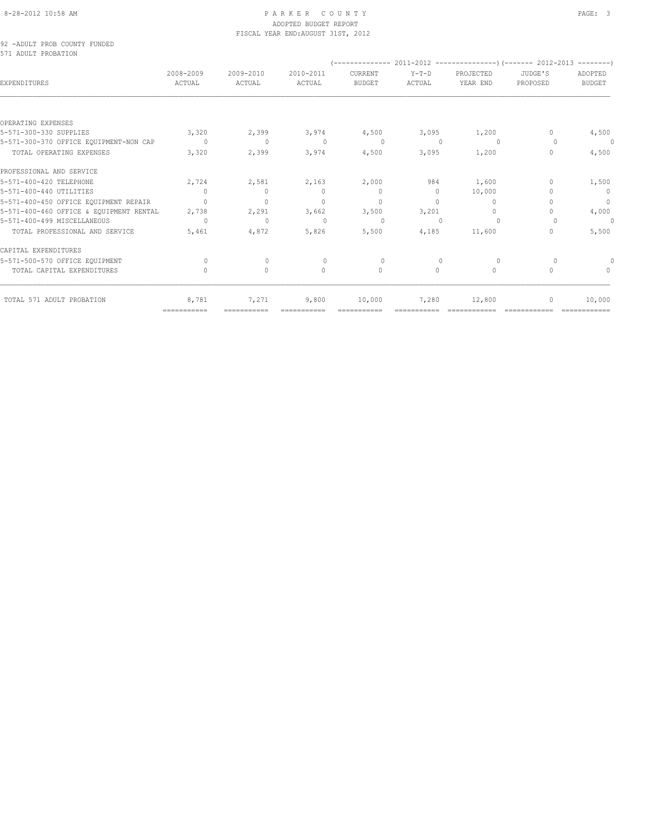#### 92 -ADULT PROB COUNTY FUNDED 571 ADULT PROBATION

| 2008-2009<br>ACTUAL | 2009-2010<br>ACTUAL              | 2010-2011<br>ACTUAL              | CURRENT<br><b>BUDGET</b> | $Y-T-D$  | PROJECTED                        | JUDGE'S  | ADOPTED       |
|---------------------|----------------------------------|----------------------------------|--------------------------|----------|----------------------------------|----------|---------------|
|                     |                                  |                                  |                          | ACTUAL   | YEAR END                         | PROPOSED | <b>BUDGET</b> |
|                     |                                  |                                  |                          |          |                                  |          |               |
|                     |                                  |                                  |                          |          |                                  |          |               |
| 3,320               | 2,399                            | 3,974                            | 4,500                    | 3,095    | 1,200                            | $\cap$   | 4,500         |
| $\Omega$            | $\mathbf{0}$                     | $\begin{array}{c} \n\end{array}$ | $\Omega$                 |          | $\Omega$                         | $\Omega$ | $\theta$      |
| 3,320               | 2,399                            | 3,974                            | 4,500                    | 3,095    | 1,200                            | $\Omega$ | 4,500         |
|                     |                                  |                                  |                          |          |                                  |          |               |
| 2,724               | 2,581                            | 2,163                            | 2,000                    | 984      | 1,600                            | $\cup$   | 1,500         |
| $\bigcap$           | $\bigcap$                        | $\bigcap$                        | $\Omega$                 | $\Omega$ | 10,000                           | ∩        | $\Omega$      |
| $\bigcap$           | $\begin{array}{c} \n\end{array}$ | $\Omega$                         | $\Omega$                 | $\Omega$ | $\begin{array}{c} \n\end{array}$ |          | $\mathbf{0}$  |
| 2,738               | 2,291                            | 3,662                            | 3,500                    | 3,201    | $\Omega$                         | $\cup$   | 4,000         |
| $\Omega$            | $\Omega$                         | $\mathbf{0}$                     | $\Omega$                 |          | $\Omega$                         | $\Omega$ | 0             |
| 5,461               | 4,872                            | 5,826                            | 5,500                    | 4,185    | 11,600                           | $\Omega$ | 5,500         |
|                     |                                  |                                  |                          |          |                                  |          |               |
| $\Omega$            | $\Omega$                         | $\Omega$                         | $\Omega$                 |          | $\Omega$                         | $\cup$   | 0             |
| $\cap$              | $\Omega$                         | $\Omega$                         | $\Omega$                 | $\Omega$ | $\mathbf{0}$                     | $\Omega$ | $\cap$        |
|                     |                                  |                                  |                          |          |                                  |          |               |
|                     |                                  |                                  |                          |          |                                  |          |               |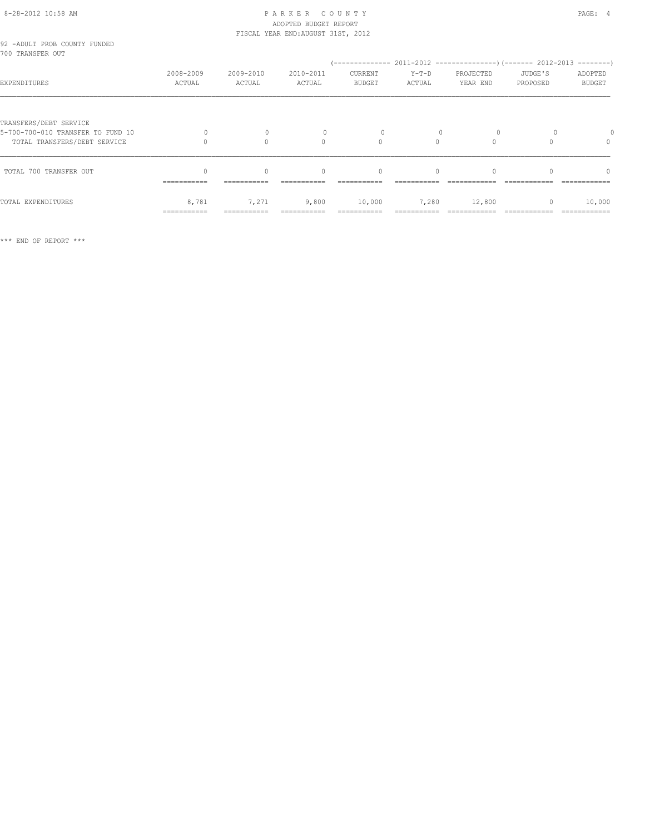# 8-28-2012 10:58 AM P A R K E R C O U N T Y PAGE: 4 ADOPTED BUDGET REPORT

TOTAL EXPENDITURES 8,781 7,271 9,800 10,000 7,280 12,800 0 10,000 =========== =========== =========== =========== =========== ============ ============ ============

|                                                             | ----------- | ------------ |                                    |               |          |           |          |               |
|-------------------------------------------------------------|-------------|--------------|------------------------------------|---------------|----------|-----------|----------|---------------|
| TOTAL 700 TRANSFER OUT                                      |             |              | $\begin{array}{c} \n\end{array}$   | $\mathbf{0}$  | $\Omega$ |           |          |               |
| TOTAL TRANSFERS/DEBT SERVICE                                |             |              | $\Omega$                           |               |          |           |          |               |
| TRANSFERS/DEBT SERVICE<br>5-700-700-010 TRANSFER TO FUND 10 |             |              |                                    |               |          |           |          |               |
| EXPENDITURES                                                | ACTUAL      | ACTUAL       | ACTUAL                             | <b>BUDGET</b> | ACTUAL   | YEAR END  | PROPOSED | <b>BUDGET</b> |
| 700 TRANSFER OUT                                            | 2008-2009   | 2009-2010    | 2010-2011                          | CURRENT       | $Y-T-D$  | PROJECTED | JUDGE'S  | ADOPTED       |
| 92 -ADULT PROB COUNTY FUNDED                                |             |              | FISCAL YEAR END: AUGUST 31ST, 2012 |               |          |           |          |               |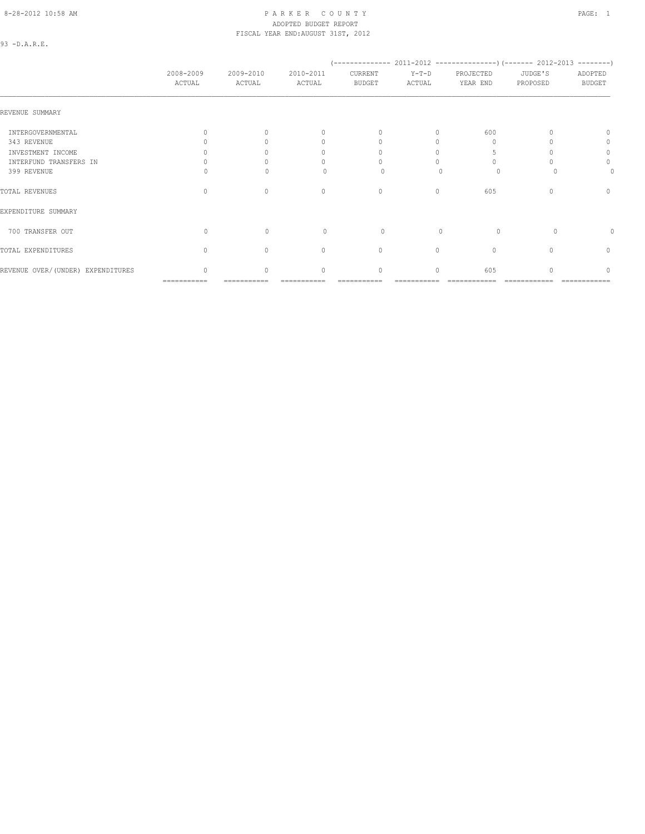# 8-28-2012 10:58 AM PAGE: 1 PARKER COUNTY PAGE: 1 ADOPTED BUDGET REPORT FISCAL YEAR END:AUGUST 31ST, 2012

93 -D.A.R.E.

|                                   | 2008-2009<br>ACTUAL              | 2009-2010<br>ACTUAL              | 2010-2011<br>ACTUAL              | CURRENT<br>BUDGET                | $Y-T-D$<br>ACTUAL | PROJECTED<br>YEAR END | JUDGE'S<br>PROPOSED | ADOPTED<br><b>BUDGET</b> |
|-----------------------------------|----------------------------------|----------------------------------|----------------------------------|----------------------------------|-------------------|-----------------------|---------------------|--------------------------|
| REVENUE SUMMARY                   |                                  |                                  |                                  |                                  |                   |                       |                     |                          |
| INTERGOVERNMENTAL                 |                                  | $\cap$                           | $\begin{array}{c} \n\end{array}$ | $\begin{array}{c} \n\end{array}$ | $\bigcap$         | 600                   |                     | $\Omega$                 |
| 343 REVENUE                       |                                  |                                  | 0                                | $\Omega$                         | Ω                 | $\cap$                |                     | 0                        |
| INVESTMENT INCOME                 |                                  |                                  | 0                                | $\Omega$                         | O                 |                       |                     | $\circ$                  |
| INTERFUND TRANSFERS IN            |                                  |                                  | n                                | $\Omega$                         |                   |                       |                     | 0                        |
| 399 REVENUE                       |                                  |                                  | <sup>0</sup>                     | $\Omega$                         |                   | 0                     |                     | 0                        |
| TOTAL REVENUES                    | $\begin{array}{c} \n\end{array}$ | $\begin{array}{c} \n\end{array}$ | $\mathbf{0}$                     | $\mathbf{0}$                     | $\circ$           | 605                   | n                   | $\mathbf{0}$             |
| EXPENDITURE SUMMARY               |                                  |                                  |                                  |                                  |                   |                       |                     |                          |
| 700 TRANSFER OUT                  | $\Omega$                         | $\mathbf{0}$                     | $\circ$                          | 0                                | $\mathbf{0}$      | $\circ$               | $\Omega$            |                          |
| TOTAL EXPENDITURES                | $\begin{array}{c} \n\end{array}$ | $\Omega$                         | $\mathbf{0}$                     | $\mathbf{0}$                     | $\circ$           | $\mathbf{0}$          |                     | $\mathbf{0}$             |
| REVENUE OVER/(UNDER) EXPENDITURES | 0                                | $\circ$                          | $\mathbf{0}$                     | 0                                | 0                 | 605                   |                     | $\circ$                  |

=========== =========== =========== =========== =========== ============ ============ ============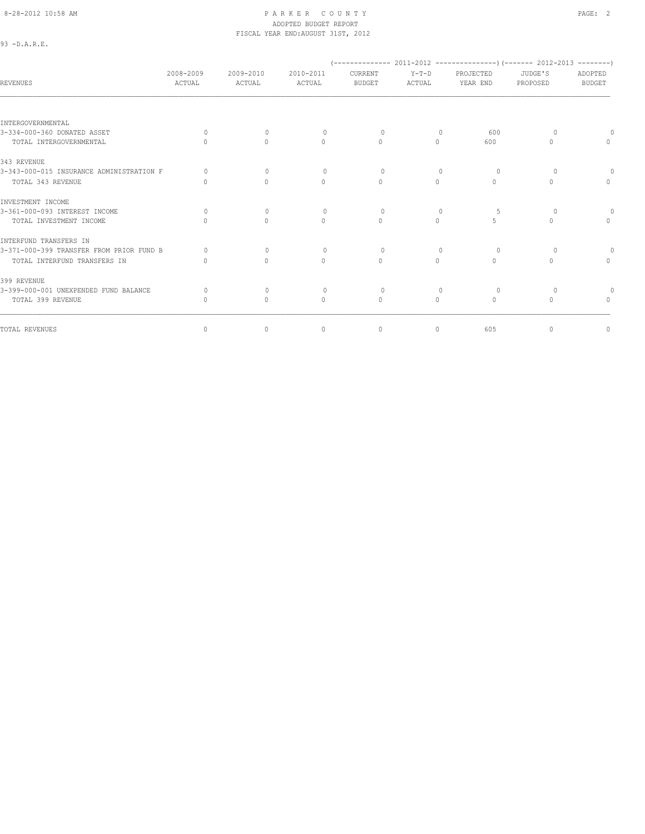93 -D.A.R.E.

# ADOPTED BUDGET REPORT FISCAL YEAR END:AUGUST 31ST, 2012

 (-------------- 2011-2012 ---------------)(------- 2012-2013 --------) 2008-2009 2009-2010 2010-2011 CURRENT Y-T-D PROJECTED JUDGE'S ADOPTED REVENUES ACTUAL ACTUAL ACTUAL BUDGET ACTUAL YEAR END PROPOSED BUDGET INTERGOVERNMENTAL 3-334-000-360 DONATED ASSET 0 0 0 0 0 600 0 0 TOTAL INTERGOVERNMENTAL 0 0 0 0 0 600 0 0 343 REVENUE 3-343-000-015 INSURANCE ADMINISTRATION F 0 0 0 0 0 0 0 0 TOTAL 343 REVENUE 0 0 0 0 0 0 0 0 INVESTMENT INCOME 3-361-000-093 INTEREST INCOME 0 0 0 0 0 5 0 0 TOTAL INVESTMENT INCOME INTERFUND TRANSFERS IN 3-371-000-399 TRANSFER FROM PRIOR FUND B 0 0 0 0 0 0 0 0 TOTAL INTERFUND TRANSFERS IN 0 0 0 0 0 0 0 0 399 REVENUE 3-399-000-001 UNEXPENDED FUND BALANCE 0 0 0 0 0 0 0 0 TOTAL 399 REVENUE 0 0 0 0 0 0 0 0 TOTAL REVENUES 0 0 0 0 0 605 0 0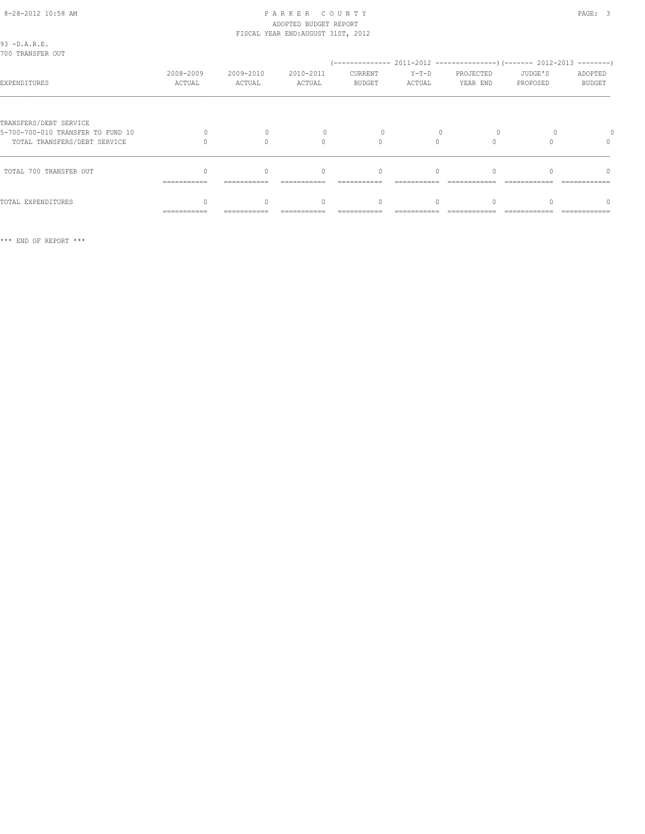| 93 - D.A.R.E.<br>700 TRANSFER OUT                                                           |                     |                     |                     |                          |                   |                       |                     |                          |
|---------------------------------------------------------------------------------------------|---------------------|---------------------|---------------------|--------------------------|-------------------|-----------------------|---------------------|--------------------------|
| EXPENDITURES                                                                                | 2008-2009<br>ACTUAL | 2009-2010<br>ACTUAL | 2010-2011<br>ACTUAL | CURRENT<br><b>BUDGET</b> | $Y-T-D$<br>ACTUAL | PROJECTED<br>YEAR END | JUDGE'S<br>PROPOSED | ADOPTED<br><b>BUDGET</b> |
| TRANSFERS/DEBT SERVICE<br>5-700-700-010 TRANSFER TO FUND 10<br>TOTAL TRANSFERS/DEBT SERVICE |                     |                     | $\Omega$            |                          |                   |                       |                     |                          |
| TOTAL 700 TRANSFER OUT                                                                      | ===========         |                     | $\bigcap$           | $\Omega$                 | $\cap$            |                       |                     | $\cap$                   |
| TOTAL EXPENDITURES                                                                          | ===========         |                     | 0                   | $\Omega$                 |                   |                       |                     |                          |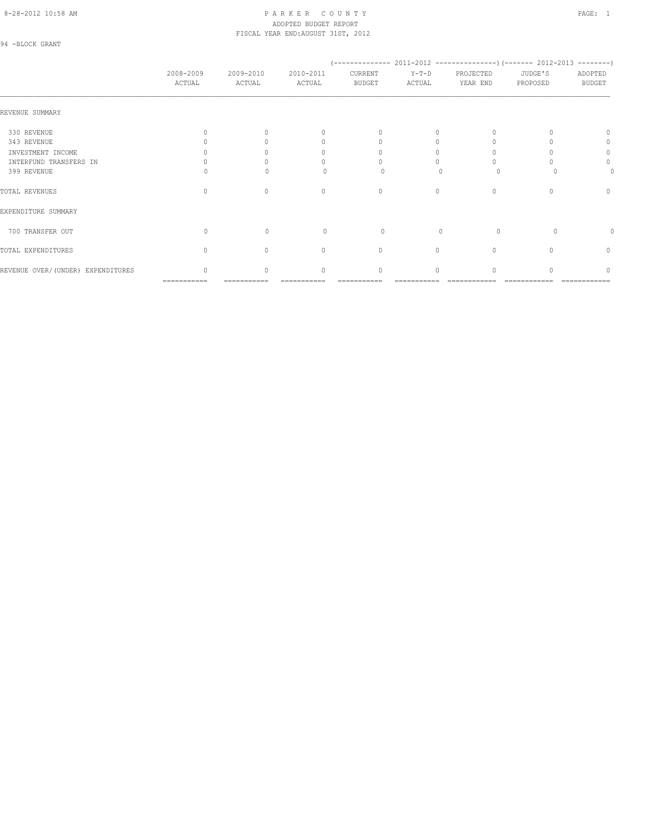#### 8-28-2012 10:58 AM P A R K E R C O U N T Y PAGE: 1 ADOPTED BUDGET REPORT FISCAL YEAR END:AUGUST 31ST, 2012

94 -BLOCK GRANT

|                                   | 2008-2009<br>ACTUAL              | 2009-2010<br>ACTUAL | 2010-2011<br>ACTUAL              | CURRENT<br><b>BUDGET</b> | $Y-T-D$<br>ACTUAL | PROJECTED<br>YEAR END            | JUDGE'S<br>PROPOSED | ADOPTED<br><b>BUDGET</b> |
|-----------------------------------|----------------------------------|---------------------|----------------------------------|--------------------------|-------------------|----------------------------------|---------------------|--------------------------|
| REVENUE SUMMARY                   |                                  |                     |                                  |                          |                   |                                  |                     |                          |
| 330 REVENUE                       |                                  | ∩                   | $\begin{array}{c} \n\end{array}$ | $\Omega$                 | $\Omega$          |                                  |                     | $\cap$                   |
| 343 REVENUE                       |                                  |                     | 0                                | U                        |                   |                                  |                     | 0                        |
| INVESTMENT INCOME                 |                                  |                     | 0                                |                          | Ω                 |                                  |                     | $\mathbf{0}$             |
| INTERFUND TRANSFERS IN            |                                  |                     | 0                                |                          |                   |                                  |                     | 0                        |
| 399 REVENUE                       |                                  |                     |                                  | 0                        |                   | 0                                |                     | 0                        |
| TOTAL REVENUES                    | $\begin{array}{c} \n\end{array}$ | $\Omega$            | $\mathbf{0}$                     | $\mathbf{0}$             | $\circ$           | $\begin{array}{c} \n\end{array}$ | $\Omega$            | $\mathbf{0}$             |
| EXPENDITURE SUMMARY               |                                  |                     |                                  |                          |                   |                                  |                     |                          |
| 700 TRANSFER OUT                  | $\Omega$                         | $\Omega$            | $\Omega$                         | 0                        | $\Omega$          | $\Omega$                         | $\Omega$            |                          |
| TOTAL EXPENDITURES                | $\Omega$                         | $\Omega$            | $\mathbf{0}$                     | $\circ$                  | $\circ$           | $\Omega$                         |                     | 0                        |
| REVENUE OVER/(UNDER) EXPENDITURES | 0                                | $\circ$             | $\mathbf{0}$                     | 0                        | 0                 | $\Omega$                         |                     | $\mathbf 0$              |

=========== =========== =========== =========== =========== ============ ============ ============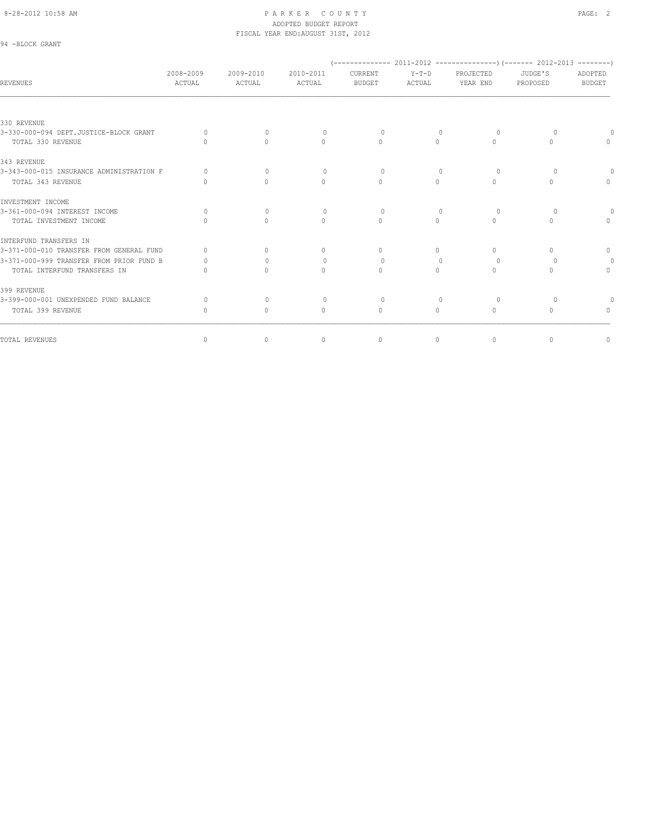94 -BLOCK GRANT

| <b>REVENUES</b>                          | 2008-2009<br>ACTUAL              | 2009-2010<br>ACTUAL              | 2010-2011<br>ACTUAL              | CURRENT<br><b>BUDGET</b>         | $Y-T-D$<br>ACTUAL                | PROJECTED<br>YEAR END | $(---------- 2011-2012$ ----------------)(------- 2012-2013 --------)<br>JUDGE'S<br>PROPOSED | ADOPTED<br><b>BUDGET</b> |
|------------------------------------------|----------------------------------|----------------------------------|----------------------------------|----------------------------------|----------------------------------|-----------------------|----------------------------------------------------------------------------------------------|--------------------------|
|                                          |                                  |                                  |                                  |                                  |                                  |                       |                                                                                              |                          |
| 330 REVENUE                              |                                  |                                  |                                  |                                  |                                  |                       |                                                                                              |                          |
| 3-330-000-094 DEPT.JUSTICE-BLOCK GRANT   | $\Omega$                         | $\begin{array}{c} \n\end{array}$ | $\Omega$                         | $\Omega$                         | $\mathbf{0}$                     | 0                     | $\Omega$                                                                                     |                          |
| TOTAL 330 REVENUE                        |                                  | $\bigcap$                        | $\Omega$                         | $\Omega$                         | $\bigcap$                        | $\Omega$              | $\bigcap$                                                                                    | $\Omega$                 |
| 343 REVENUE                              |                                  |                                  |                                  |                                  |                                  |                       |                                                                                              |                          |
| 3-343-000-015 INSURANCE ADMINISTRATION F | $\Omega$                         | $\Omega$                         | $\circ$                          | $\Omega$                         | $\mathbf{0}$                     | 0                     | $\Omega$                                                                                     | $\Omega$                 |
| TOTAL 343 REVENUE                        |                                  | $\Omega$                         | $\begin{array}{c} \n\end{array}$ | $\Omega$                         | $\bigcap$                        | $\Omega$              | $\bigcap$                                                                                    | $\Omega$                 |
| INVESTMENT INCOME                        |                                  |                                  |                                  |                                  |                                  |                       |                                                                                              |                          |
| 3-361-000-094 INTEREST INCOME            | $\Omega$                         | $\Omega$                         | $\Omega$                         | $\Omega$                         | $\begin{array}{c} \n\end{array}$ | $\Omega$              | $\Omega$                                                                                     |                          |
| TOTAL INVESTMENT INCOME                  |                                  | $\bigcap$                        | $\begin{array}{c} \n\end{array}$ | $\begin{array}{c} \n\end{array}$ | $\Omega$                         | 0                     | $\cap$                                                                                       | $\Omega$                 |
| INTERFUND TRANSFERS IN                   |                                  |                                  |                                  |                                  |                                  |                       |                                                                                              |                          |
| 3-371-000-010 TRANSFER FROM GENERAL FUND | $\cap$                           | $\bigcap$                        | $\begin{array}{c} \n\end{array}$ | $\begin{array}{c} \n\end{array}$ | $\bigcap$                        | 0                     | $\bigcap$                                                                                    | $\cap$                   |
| 3-371-000-999 TRANSFER FROM PRIOR FUND B |                                  | $\Omega$                         | $\mathbf{0}$                     | $\circ$                          | 0                                | 0                     | $\Omega$                                                                                     |                          |
| TOTAL INTERFUND TRANSFERS IN             |                                  | $\Omega$                         | $\Omega$                         | $\Omega$                         | $\Omega$                         | $\Omega$              | $\bigcap$                                                                                    | $\Omega$                 |
| 399 REVENUE                              |                                  |                                  |                                  |                                  |                                  |                       |                                                                                              |                          |
| 3-399-000-001 UNEXPENDED FUND BALANCE    | $\Omega$                         | $\mathbf{0}$                     | $\circ$                          | $\Omega$                         | $\mathbf{0}$                     | $\Omega$              | $\Omega$                                                                                     |                          |
| TOTAL 399 REVENUE                        | $\begin{array}{c} \n\end{array}$ | $\circ$                          | $\mathbf{0}$                     | $\mathbf{0}$                     | 0                                | $\circ$               | $\Omega$                                                                                     | $\Omega$                 |
| TOTAL REVENUES                           | $\mathbf{0}$                     | $\mathbb O$                      | $\mathbf{0}$                     | $\circ$                          | $\circ$                          | $\mathbf{0}$          | $\circ$                                                                                      | $\mathbf{0}$             |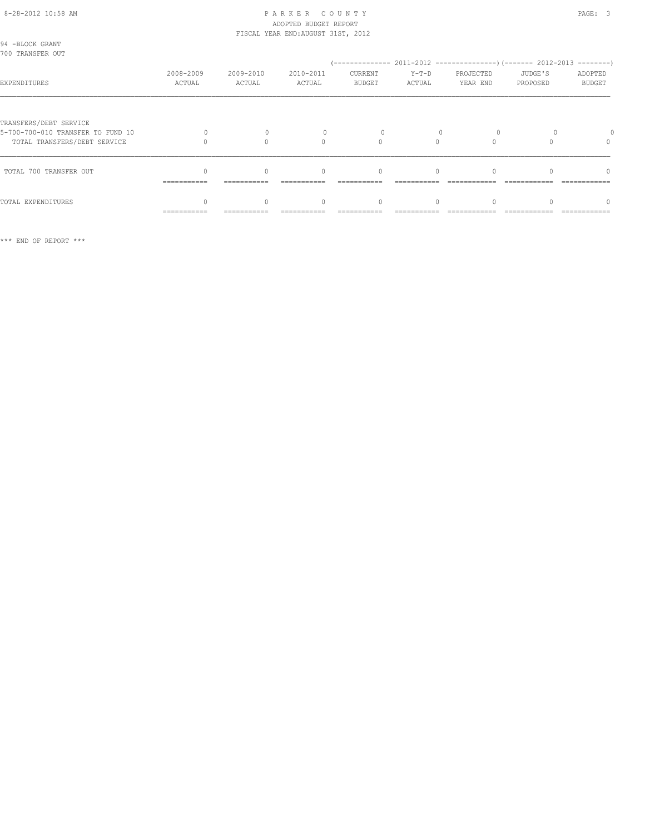| 94 -BLOCK GRANT<br>700 TRANSFER OUT                                                         |                     |                     |                     |                          |                   |                       |                     |                          |
|---------------------------------------------------------------------------------------------|---------------------|---------------------|---------------------|--------------------------|-------------------|-----------------------|---------------------|--------------------------|
| EXPENDITURES                                                                                | 2008-2009<br>ACTUAL | 2009-2010<br>ACTUAL | 2010-2011<br>ACTUAL | CURRENT<br><b>BUDGET</b> | $Y-T-D$<br>ACTUAL | PROJECTED<br>YEAR END | JUDGE'S<br>PROPOSED | ADOPTED<br><b>BUDGET</b> |
| TRANSFERS/DEBT SERVICE<br>5-700-700-010 TRANSFER TO FUND 10<br>TOTAL TRANSFERS/DEBT SERVICE |                     |                     | $\Omega$            |                          |                   |                       |                     |                          |
| TOTAL 700 TRANSFER OUT                                                                      | ===========         |                     | $\bigcap$           | $\Omega$                 | $\cap$            |                       |                     | $\cap$                   |
| TOTAL EXPENDITURES                                                                          | ===========         |                     | 0                   | $\Omega$                 |                   |                       |                     |                          |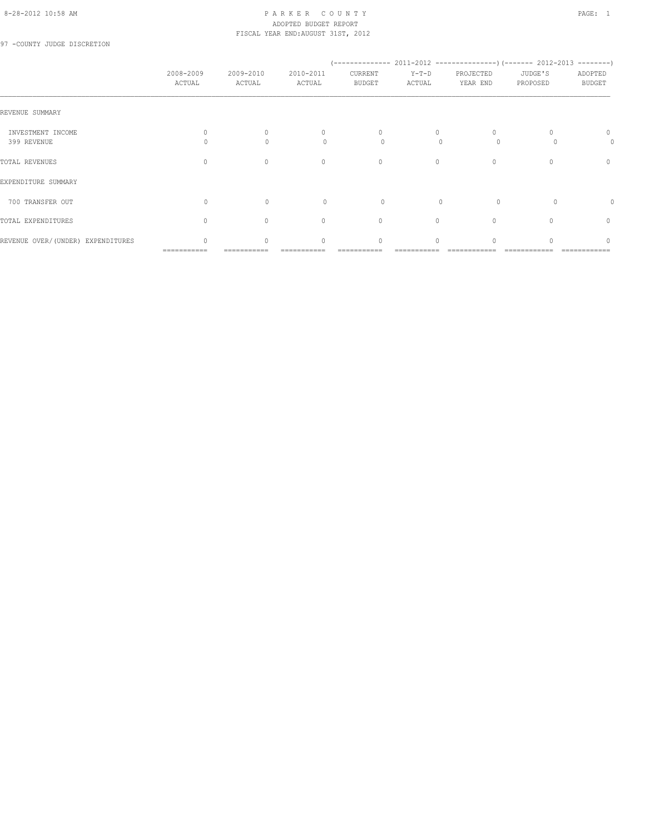#### 8-28-2012 10:58 AM PAGE: 1 PAR K E R C O U N T Y ADOPTED BUDGET REPORT FISCAL YEAR END:AUGUST 31ST, 2012

97 -COUNTY JUDGE DISCRETION

|                                   | 2008-2009<br>ACTUAL              | 2009-2010<br>ACTUAL              | 2010-2011<br>ACTUAL                          | CURRENT<br><b>BUDGET</b> | $Y-T-D$<br>ACTUAL      | PROJECTED<br>YEAR END            | JUDGE'S<br>PROPOSED | ADOPTED<br><b>BUDGET</b> |
|-----------------------------------|----------------------------------|----------------------------------|----------------------------------------------|--------------------------|------------------------|----------------------------------|---------------------|--------------------------|
| REVENUE SUMMARY                   |                                  |                                  |                                              |                          |                        |                                  |                     |                          |
| INVESTMENT INCOME<br>399 REVENUE  |                                  | $\Omega$<br>$\Omega$             | $\begin{array}{c} \n\end{array}$<br>$\Omega$ | $\mathbf{0}$<br>0        | $\bigcap$<br>$\bigcap$ | $\Omega$<br>$\circ$              |                     | 0<br>0                   |
| TOTAL REVENUES                    | $\begin{array}{c} \n\end{array}$ | $\begin{array}{c} \n\end{array}$ | $\mathbf{0}$                                 | $\circ$                  | $\circ$                | $\mathbf{0}$                     | $\Omega$            | 0                        |
| EXPENDITURE SUMMARY               |                                  |                                  |                                              |                          |                        |                                  |                     |                          |
| 700 TRANSFER OUT                  | $\Omega$                         | $\Omega$                         | $\Omega$                                     | $\Omega$                 | $\cap$                 | $\Omega$                         |                     | 0                        |
| TOTAL EXPENDITURES                | $\begin{array}{c} \n\end{array}$ | $\Omega$                         | $\Omega$                                     | $\circ$                  | $\Omega$               | $\begin{array}{c} \n\end{array}$ | $\cap$              | $\mathbf{0}$             |
| REVENUE OVER/(UNDER) EXPENDITURES | $\cap$<br>===========            | $\Omega$                         | $\begin{array}{c} \n\end{array}$             | 0                        | $\Omega$               |                                  |                     | 0                        |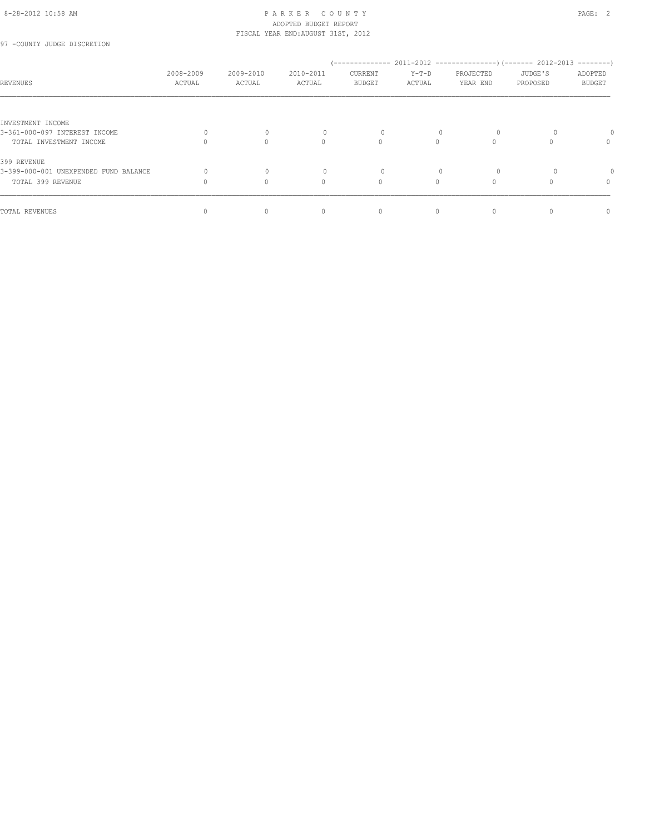97 -COUNTY JUDGE DISCRETION

| REVENUES                              | 2008-2009<br>ACTUAL | 2009-2010<br>ACTUAL | 2010-2011<br>ACTUAL              | CURRENT<br><b>BUDGET</b> | $Y-T-D$<br>ACTUAL | PROJECTED<br>YEAR END | JUDGE'S<br>PROPOSED | ADOPTED<br><b>BUDGET</b> |
|---------------------------------------|---------------------|---------------------|----------------------------------|--------------------------|-------------------|-----------------------|---------------------|--------------------------|
|                                       |                     |                     |                                  |                          |                   |                       |                     |                          |
| INVESTMENT INCOME                     |                     |                     |                                  |                          |                   |                       |                     |                          |
| 3-361-000-097 INTEREST INCOME         |                     | $\Omega$            |                                  | 0                        |                   | $\circ$               |                     |                          |
| TOTAL INVESTMENT INCOME               |                     | $\Omega$            | 0                                | $\circ$                  | $\Omega$          |                       |                     | 0                        |
| 399 REVENUE                           |                     |                     |                                  |                          |                   |                       |                     |                          |
| 3-399-000-001 UNEXPENDED FUND BALANCE |                     |                     |                                  | $\Omega$                 |                   | $\Omega$              |                     |                          |
| TOTAL 399 REVENUE                     |                     | $\Omega$            | 0                                | $\circ$                  | $\Omega$          |                       |                     | 0                        |
| TOTAL REVENUES                        |                     | $\Omega$            | $\begin{array}{c} \n\end{array}$ | $\mathbf{0}$             | $\Omega$          |                       |                     | 0                        |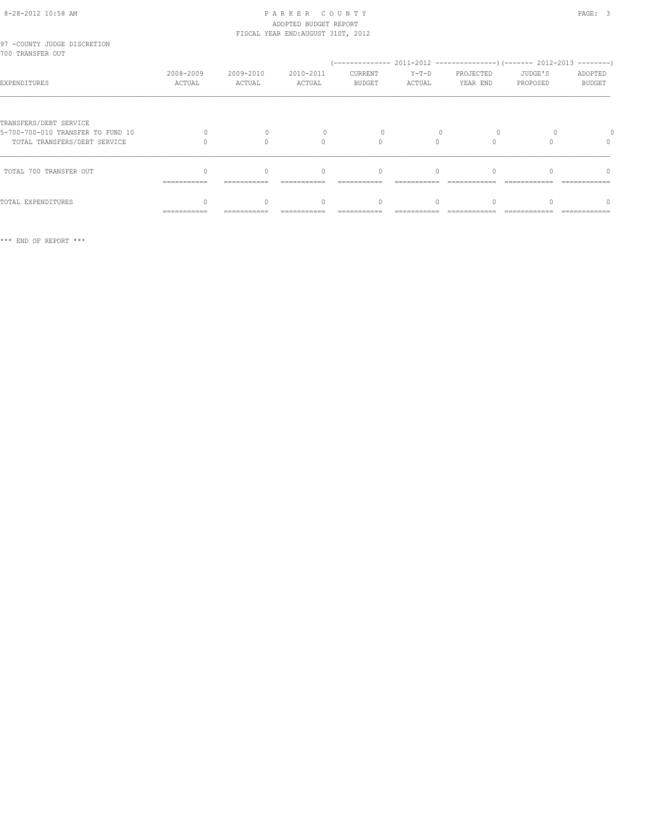# 8-28-2012 10:58 AM P A R K E R C O U N T Y PAGE: 3 ADOPTED BUDGET REPORT FISCAL YEAR END:AUGUST 31ST, 2012

| 97 -COUNTY JUDGE DISCRETION<br>700 TRANSFER OUT                                             |                     |                     |                                  |                                  |                   |                       |                     |                          |
|---------------------------------------------------------------------------------------------|---------------------|---------------------|----------------------------------|----------------------------------|-------------------|-----------------------|---------------------|--------------------------|
| EXPENDITURES                                                                                | 2008-2009<br>ACTUAL | 2009-2010<br>ACTUAL | 2010-2011<br>ACTUAL              | CURRENT<br><b>BUDGET</b>         | $Y-T-D$<br>ACTUAL | PROJECTED<br>YEAR END | JUDGE'S<br>PROPOSED | ADOPTED<br><b>BUDGET</b> |
| TRANSFERS/DEBT SERVICE<br>5-700-700-010 TRANSFER TO FUND 10<br>TOTAL TRANSFERS/DEBT SERVICE |                     |                     | $\bigcap$                        | $\bigcap$                        | $\bigcap$         |                       |                     | 0                        |
| TOTAL 700 TRANSFER OUT                                                                      | ===========         |                     | $\begin{array}{c} \n\end{array}$ | $\begin{array}{c} \n\end{array}$ | $\cap$            |                       |                     | $\cap$                   |
| TOTAL EXPENDITURES                                                                          | ==========          |                     | $\Omega$                         | $\begin{array}{c} \n\end{array}$ | $\Omega$          |                       |                     | $\cap$                   |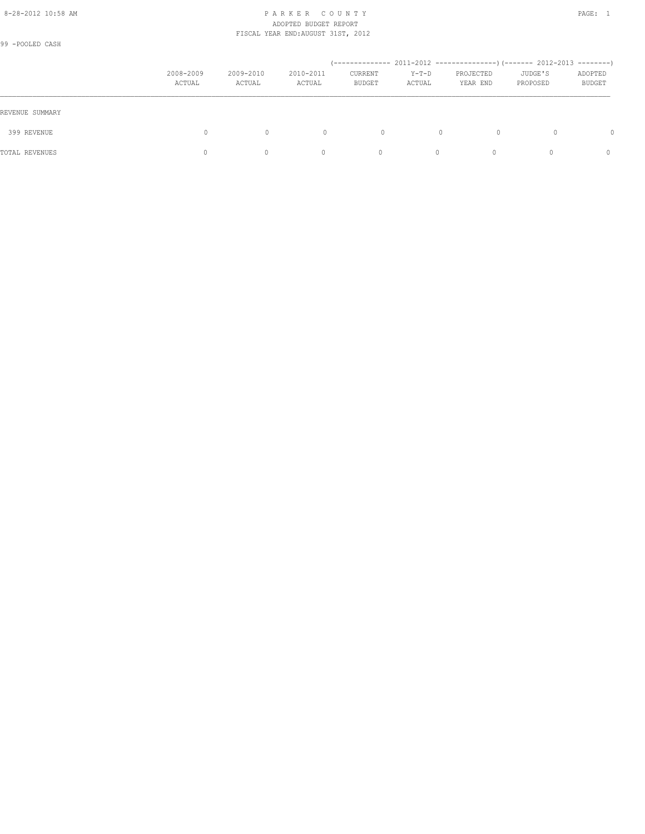#### 8-28-2012 10:58 AM PAGE: 1 PAR K E R C O U N T Y ADOPTED BUDGET REPORT FISCAL YEAR END:AUGUST 31ST, 2012

99 -POOLED CASH

|                 | 2008-2009<br>ACTUAL | 2009-2010<br>ACTUAL | 2010-2011<br>ACTUAL | CURRENT<br>BUDGET | $Y-T-D$<br>ACTUAL | PROJECTED<br>YEAR END | JUDGE'S<br>PROPOSED | ADOPTED<br>BUDGET |
|-----------------|---------------------|---------------------|---------------------|-------------------|-------------------|-----------------------|---------------------|-------------------|
| REVENUE SUMMARY |                     |                     |                     |                   |                   |                       |                     |                   |
| 399 REVENUE     | $\Omega$            | $\mathbf{0}$        | $\mathbf{0}$        | 0                 |                   | $\Omega$<br>0         | 0                   | $\Omega$          |
| TOTAL REVENUES  | 0                   | 0                   |                     | 0                 | $\Omega$          | $\bigcap$             | $\Omega$            | $\Omega$          |